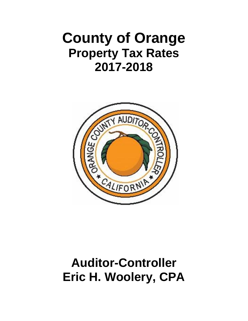# **County of Orange Property Tax Rates 2017-2018**



## **Auditor-Controller Eric H. Woolery, CPA**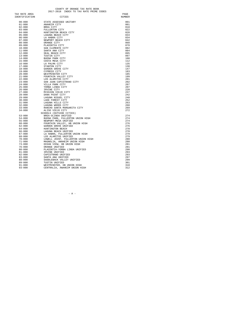#### COUNTY OF ORANGE TAX RATE BOOK<br>2017-2018 INDEX TO TAX RATE PRIME CODES

| TAX RATE AREA  |                                    | PAGE   |
|----------------|------------------------------------|--------|
| IDENTIFICATION | CITIES                             | NUMBER |
|                |                                    |        |
| $00 - 000$     | STATE ASSESSED UNITARY             | 001    |
| $01 - 000$     | ANAHEIM CITY                       | 001    |
| $02 - 000$     | BREA CITY                          | 018    |
| $03 - 000$     | FULLERTON CITY                     | 022    |
| $04 - 000$     | HUNTINGTON BEACH CITY              | 028    |
| $05 - 000$     | LAGUNA BEACH CITY                  | 033    |
| $06 - 000$     | LA HABRA CITY                      | 034    |
| $07 - 000$     | NEWPORT BEACH CITY                 | 042    |
| $08 - 000$     | ORANGE CITY                        | 060    |
| $09 - 000$     | PLACENTIA CITY                     | 078    |
| $10 - 000$     | SAN CLEMENTE CITY                  | 082    |
| $11 - 000$     | SANTA ANA CITY                     | 084    |
| $12 - 000$     | SEAL BEACH CITY                    | 095    |
| $13 - 000$     | TUSTIN CITY                        | 097    |
| $14 - 000$     | BUENA PARK CITY                    | 108    |
| $15 - 000$     | COSTA MESA CITY                    | 112    |
| 16-000         | LA PALMA CITY                      | 135    |
| $17 - 000$     | STANTON CITY                       | 138    |
| $18 - 000$     | GARDEN GROVE CITY                  | 147    |
| $19 - 000$     | CYPRESS CITY                       | 183    |
| $20 - 000$     | WESTMINSTER CITY                   | 185    |
| $21 - 000$     | FOUNTAIN VALLEY CITY               | 199    |
| $22 - 000$     | LOS ALAMITOS CITY                  | 201    |
| $23 - 000$     | SAN JUAN CAPISTRANO CITY           | 202    |
| $24 - 000$     | VILLA PARK CITY                    | 207    |
| $25 - 000$     | YORBA LINDA CITY                   | 207    |
| $26 - 000$     | IRVINE CITY                        | 220    |
| $27 - 000$     | MISSION VIEJO CITY                 | 237    |
| 28-000         | DANA POINT CITY                    | 242    |
| $29 - 000$     | LAGUNA NIGUEL CITY                 | 248    |
| $30 - 000$     | LAKE FOREST CITY                   | 252    |
| $31 - 000$     | LAGUNA HILLS CITY                  | 263    |
| $32 - 000$     | LAGUNA WOODS CITY                  | 268    |
| $33 - 000$     | RANCHO SANTA MARGARITA CITY        | 269    |
| $34 - 000$     | ALISO VIEJO CITY                   | 272    |
|                | SCHOOLS (OUTSIDE CITIES)           |        |
| $53 - 000$     | BREA-OLINDA UNIFIED                | 274    |
| $54 - 000$     | BUENA PARK, FULLERTON UNION HIGH   | 274    |
| $55 - 000$     | NEWPORT-MESA UNIFIED               | 274    |
| $60 - 000$     | FOUNTAIN VALLEY, HB UNION HIGH     | 276    |
| $62 - 000$     | GARDEN GROVE UNIFIED               | 276    |
| $64 - 000$     | HUNTINGTON BEACH                   | 278    |
| 66-000         | LAGUNA BEACH UNIFIED               | 278    |
| 67-000         | LA HABRA, FULLERTON UNION HIGH     | 279    |
| 68-000         | LOS ALAMITOS UNIFIED               | 279    |
| $70 - 000$     | LOWELL JOINT, FULLERTON UNION HIGH | 280    |
| $71 - 000$     | MAGNOLIA, ANAHEIM UNION HIGH       | 280    |
| $73 - 000$     | OCEAN VIEW, HB UNION HIGH          | 281    |
| $76 - 000$     | ORANGE UNIFIED                     | 281    |
| $80 - 000$     | PLACENTIA-YORBA LINDA UNIFIED      | 290    |
| $81 - 000$     | IRVINE UNIFIED                     | 293    |
| $82 - 000$     | CAPISTRANO UNIFIED                 | 293    |
| $83 - 000$     | SANTA ANA UNIFIED                  | 297    |
| $88 - 000$     | SADDLEBACK VALLEY UNIFIED          | 299    |
| $89 - 000$     | TUSTIN UNIFIED                     | 301    |
| $91 - 000$     | WESTMINSTER, HB UNION HIGH         | 310    |
| $93 - 000$     | CENTRALIA, ANAHEIM UNION HIGH      | 312    |

 $-$  A  $-$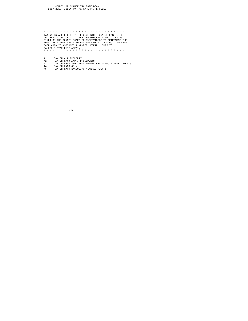\* \* \* \* \* \* \* \* \* \* \* \* \* \* \* \* \* \* \* \* \* \* \* \* \* \* \* \* TAX RATES ARE FIXED BY THE GOVERNING BODY OF EACH CITY AND SPECIAL DISTRICT. THEY ARE GROUPED WITH TAX RATES FIXED BY THE COUNTY BOARD OF SUPERVISORS TO DETERMINE THE TOTAL RATE APPLICABLE TO PROPERTY WITHIN A SPECIFIED AREA. EACH AREA IS ASSIGNED A NUMBER HEREIN. THIS IS CALLED A "TAX RATE AREA". \* \* \* \* \* \* \* \* \* \* \* \* \* \* \* \* \* \* \* \* \* \* \* \* \* \* \* \*

- 
- A1 TAX ON ALL PROPERTY<br>A2 TAX ON LAND AND IMPROVEMENTS<br>A3 TAX ON LAND AND IMPROVEMENTS EXCLUDING MINERAL RIGHTS<br>A4 TAX ON LAND EXCLUDING MINERAL RIGHTS<br>A5 TAX ON LAND EXCLUDING MINERAL RIGHTS
	-

 $-$  B  $-$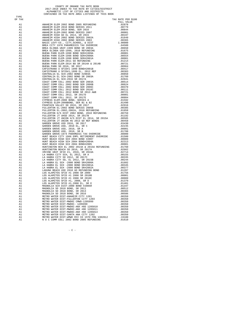## COUNTY OF ORANGE TAX RATE BOOK<br>2017-2018 INDEX TO TAX RATE BY CITIES/DISTRICT<br>ALPHABETIC LIST OF CITIES AND DISTRICTS<br>CONTAINED IN TAX RATE AREA LISTINGS OF THIS BOOK

TAX RATE PER \$100

TYPE<br>OF TAX

| OF TAX                                 | ADMIRINE RILEN 2003 BORD 2005 REPUBBLES 2011 1999<br>ADMIRINE RILEN 2003 BORD REPUBBLES 2011 1991<br>ADMIRINE RILEN 2003 BORD REPUBBLES 2011 1991<br>ADMIRINE RILEN 2003 BORD REPUBBLES 2011 1991<br>ADMIRINE RILEN 2003 BORD REPUBBL | TAX RATE PER \$1<br>FULL VALUE |
|----------------------------------------|---------------------------------------------------------------------------------------------------------------------------------------------------------------------------------------------------------------------------------------|--------------------------------|
| A1                                     |                                                                                                                                                                                                                                       |                                |
| A1                                     |                                                                                                                                                                                                                                       |                                |
| A1                                     |                                                                                                                                                                                                                                       |                                |
| A1<br>A1                               |                                                                                                                                                                                                                                       |                                |
| A1                                     |                                                                                                                                                                                                                                       |                                |
| A1                                     |                                                                                                                                                                                                                                       |                                |
| A1                                     |                                                                                                                                                                                                                                       |                                |
| A1                                     |                                                                                                                                                                                                                                       |                                |
| A1                                     |                                                                                                                                                                                                                                       |                                |
| A1<br>A1                               |                                                                                                                                                                                                                                       |                                |
| A1                                     |                                                                                                                                                                                                                                       |                                |
| A1                                     |                                                                                                                                                                                                                                       |                                |
| A1<br>A1<br>A1<br>A1<br>A1<br>A1<br>A1 |                                                                                                                                                                                                                                       |                                |
|                                        |                                                                                                                                                                                                                                       |                                |
|                                        |                                                                                                                                                                                                                                       |                                |
|                                        |                                                                                                                                                                                                                                       |                                |
|                                        |                                                                                                                                                                                                                                       |                                |
| A1                                     |                                                                                                                                                                                                                                       |                                |
| A1                                     |                                                                                                                                                                                                                                       |                                |
| A1                                     |                                                                                                                                                                                                                                       |                                |
| A1                                     |                                                                                                                                                                                                                                       |                                |
| A1                                     |                                                                                                                                                                                                                                       |                                |
| A1                                     |                                                                                                                                                                                                                                       |                                |
| A1<br>A1                               |                                                                                                                                                                                                                                       |                                |
| A1                                     |                                                                                                                                                                                                                                       |                                |
| A1                                     |                                                                                                                                                                                                                                       |                                |
| A1                                     |                                                                                                                                                                                                                                       |                                |
| A1                                     |                                                                                                                                                                                                                                       |                                |
| A1                                     |                                                                                                                                                                                                                                       |                                |
| A1<br>A1                               |                                                                                                                                                                                                                                       |                                |
| A1                                     |                                                                                                                                                                                                                                       |                                |
| A1                                     |                                                                                                                                                                                                                                       |                                |
| A1                                     |                                                                                                                                                                                                                                       |                                |
| A1                                     |                                                                                                                                                                                                                                       |                                |
| A1                                     |                                                                                                                                                                                                                                       |                                |
| A1<br>A1                               |                                                                                                                                                                                                                                       |                                |
| A1                                     |                                                                                                                                                                                                                                       |                                |
| A1                                     |                                                                                                                                                                                                                                       |                                |
| A1<br>A1<br>A1<br>A1<br>A1             |                                                                                                                                                                                                                                       |                                |
|                                        |                                                                                                                                                                                                                                       |                                |
|                                        |                                                                                                                                                                                                                                       |                                |
|                                        |                                                                                                                                                                                                                                       |                                |
| A1<br>A1                               |                                                                                                                                                                                                                                       |                                |
| A1                                     |                                                                                                                                                                                                                                       |                                |
| A1                                     |                                                                                                                                                                                                                                       |                                |
| A1                                     |                                                                                                                                                                                                                                       |                                |
| A1                                     |                                                                                                                                                                                                                                       |                                |
| A1                                     |                                                                                                                                                                                                                                       |                                |
| A1<br>A1                               |                                                                                                                                                                                                                                       |                                |
| A1                                     |                                                                                                                                                                                                                                       |                                |
| A1                                     |                                                                                                                                                                                                                                       |                                |
| A1                                     |                                                                                                                                                                                                                                       |                                |
| A1                                     |                                                                                                                                                                                                                                       |                                |
| A1                                     |                                                                                                                                                                                                                                       |                                |
| A1<br>A1                               |                                                                                                                                                                                                                                       |                                |
| A1                                     |                                                                                                                                                                                                                                       |                                |
| A1                                     |                                                                                                                                                                                                                                       |                                |
| A1                                     |                                                                                                                                                                                                                                       |                                |
| A1                                     |                                                                                                                                                                                                                                       |                                |
| A1                                     |                                                                                                                                                                                                                                       |                                |
| A1                                     |                                                                                                                                                                                                                                       |                                |
| A1<br>A1                               |                                                                                                                                                                                                                                       |                                |
| A1                                     |                                                                                                                                                                                                                                       |                                |
| A1                                     |                                                                                                                                                                                                                                       |                                |
| A1                                     |                                                                                                                                                                                                                                       |                                |
| A1                                     |                                                                                                                                                                                                                                       |                                |

 $-$  C  $-$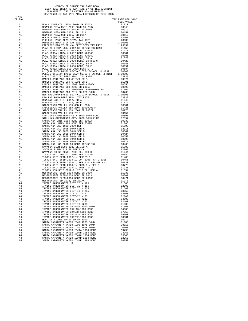## COUNTY OF ORANGE TAX RATE BOOK<br>2017-2018 INDEX TO TAX RATE BY CITIES/DISTRICT<br>ALPHABETIC LIST OF CITIES AND DISTRICTS<br>CONTAINED IN TAX RATE AREA LISTINGS OF THIS BOOK

TYPE<br>OF TAX

| А              | 1                                                                                                                           |
|----------------|-----------------------------------------------------------------------------------------------------------------------------|
| 7              | $\overline{1}$                                                                                                              |
| l<br>ļ         | $\overline{1}$                                                                                                              |
| į              | ׇ֦֘֝<br>l<br>֘֝֬                                                                                                            |
|                | l<br>ï                                                                                                                      |
| į              | $\mathbf{1}$<br>$\mathbf{1}$                                                                                                |
| ١<br>Δ         | 1                                                                                                                           |
| ļ              | $\frac{1}{2}$<br>l                                                                                                          |
| 1              | $\mathbf{1}$                                                                                                                |
| į<br>J         | í<br>l                                                                                                                      |
| 7              | í<br>֖֖֖֖ׅ֖֖֖֖֖֧֖֪֪֪ׅ֧֧֪֪֪֪֪֪֪֪֪֪֪֪֪֪֪֪֪ׅ֚֚֚֚֚֚֚֚֚֚֚֚֚֚֚֚֚֚֚֚֚֚֚֚֚֚֡֬֡֡֡֬֝֝֓֞֡֬֓֞֡֞֡֓֞֡֓֞֡֞֞֞֝֬֞֝<br>1                      |
|                | ֺ֚֝<br>1                                                                                                                    |
|                | $\ddot{\phantom{a}}$<br>l                                                                                                   |
|                | $\frac{1}{2}$<br>1                                                                                                          |
|                | $\mathbf{1}$<br>$\overline{1}$                                                                                              |
| į              | í<br>l                                                                                                                      |
| Ā              | í<br>֖֖֖֖ׅׅ֧֪֧֖֚֚֚֚֚֚֚֚֚֚֚֚֚֚֚֚֚֚֚֡֬֡֡֡֬֝֡֡֬֝֬֝֓֞֞֡֡֬֓֞֡֬֝֬֝֓֞֝֬֝֞֞<br>1                                                    |
| P              | $\overline{a}$<br>1                                                                                                         |
| ŗ<br>Ī         | $\overline{1}$                                                                                                              |
| A              | $\frac{1}{1}$<br>$\overline{1}$                                                                                             |
| 7              |                                                                                                                             |
| l<br>j         | $\mathbf{1}$                                                                                                                |
| Ā              | $\overline{1}$<br>l<br>ĺ                                                                                                    |
| Ā              | 1<br>ֺ֚֝                                                                                                                    |
| ļ              | 1<br>$\overline{1}$                                                                                                         |
|                | l                                                                                                                           |
| į<br>ì<br>7    | $\overline{1}$<br>ׇ֘֝֬֝                                                                                                     |
| ļ              | $\mathbf{1}$                                                                                                                |
| A              | í<br>l                                                                                                                      |
| A              | l<br>í<br>1                                                                                                                 |
| P              | $\overline{a}$<br>۱                                                                                                         |
| l,             | $\overline{1}$                                                                                                              |
| A              | l<br>$\mathbf{1}$                                                                                                           |
| Δ              | $\frac{1}{1}$                                                                                                               |
| A              |                                                                                                                             |
| j<br>Ą         | $\overline{1}$<br>l<br>ĺ                                                                                                    |
| A              | 1<br>$\overline{a}$                                                                                                         |
| ļ<br>l         | 1<br>$\overline{1}$                                                                                                         |
|                | ï<br>l                                                                                                                      |
|                | 1                                                                                                                           |
| į              | $\begin{array}{c} \begin{array}{c} \hline \end{array} \\ \hline \end{array}$<br>ī                                           |
| ļ              | $\mathbf{1}$                                                                                                                |
| A              | l<br>$\overline{1}$                                                                                                         |
| A              | $\overline{a}$<br>1                                                                                                         |
| l,             | $\mathbf{1}$<br>l                                                                                                           |
| 7<br>j         | $\mathbf{1}$                                                                                                                |
| А              | $\ddot{\phantom{0}}$<br>$\begin{array}{c} \begin{array}{c} \hline \end{array} \\ \hline \end{array}$<br>1<br>$\overline{1}$ |
| Ą<br>1         | $\mathbf{1}$                                                                                                                |
| A              | $\overline{1}$                                                                                                              |
|                | J<br>1                                                                                                                      |
|                | $\overline{1}$                                                                                                              |
|                | į<br>$\overline{1}$                                                                                                         |
|                | 1                                                                                                                           |
|                | $\begin{array}{c} \begin{array}{c} \hline \end{array} \\ \hline \end{array}$<br>$\mathbf{1}$                                |
|                | $\mathbf{1}$                                                                                                                |
| į              | í<br>l                                                                                                                      |
| Z              | $\frac{4}{4}$                                                                                                               |
| Þ<br>1         | $\overline{4}$                                                                                                              |
| ١<br>.<br>А    | 4                                                                                                                           |
| A              | 4                                                                                                                           |
| j<br>Ą         | $\frac{1}{4}$                                                                                                               |
| $\overline{A}$ | 4                                                                                                                           |
| $\overline{A}$ | $\frac{4}{4}$                                                                                                               |
| p              |                                                                                                                             |
|                | l                                                                                                                           |
| ņ              | ١                                                                                                                           |
|                |                                                                                                                             |
|                | į                                                                                                                           |
|                | ١                                                                                                                           |
|                |                                                                                                                             |
|                | í                                                                                                                           |
| j<br>ï         | 4                                                                                                                           |
|                |                                                                                                                             |
|                | ļ<br>ź                                                                                                                      |
| Ā              | 4                                                                                                                           |
| Ā              | ١                                                                                                                           |
|                |                                                                                                                             |

| OF TAX   |                                                                              | TAX RATE PER \$100<br>FULL VALUE |
|----------|------------------------------------------------------------------------------|----------------------------------|
|          |                                                                              |                                  |
|          |                                                                              |                                  |
|          |                                                                              |                                  |
|          |                                                                              |                                  |
|          |                                                                              |                                  |
|          |                                                                              |                                  |
|          |                                                                              |                                  |
|          |                                                                              |                                  |
|          |                                                                              |                                  |
|          |                                                                              |                                  |
|          |                                                                              |                                  |
|          |                                                                              |                                  |
|          |                                                                              |                                  |
|          |                                                                              |                                  |
|          |                                                                              |                                  |
|          |                                                                              |                                  |
|          |                                                                              |                                  |
|          |                                                                              |                                  |
|          |                                                                              |                                  |
|          |                                                                              |                                  |
|          |                                                                              |                                  |
|          |                                                                              |                                  |
|          |                                                                              |                                  |
|          |                                                                              |                                  |
|          |                                                                              |                                  |
|          |                                                                              |                                  |
|          |                                                                              |                                  |
|          |                                                                              |                                  |
|          |                                                                              |                                  |
|          |                                                                              |                                  |
|          |                                                                              |                                  |
|          |                                                                              |                                  |
|          |                                                                              |                                  |
|          |                                                                              |                                  |
|          |                                                                              |                                  |
|          |                                                                              |                                  |
|          |                                                                              |                                  |
|          |                                                                              |                                  |
|          |                                                                              |                                  |
|          |                                                                              |                                  |
|          |                                                                              |                                  |
|          |                                                                              |                                  |
|          |                                                                              |                                  |
|          |                                                                              |                                  |
|          |                                                                              |                                  |
|          |                                                                              |                                  |
|          |                                                                              |                                  |
|          |                                                                              |                                  |
|          |                                                                              |                                  |
|          |                                                                              |                                  |
|          |                                                                              |                                  |
|          |                                                                              |                                  |
|          |                                                                              |                                  |
|          |                                                                              |                                  |
|          |                                                                              |                                  |
|          |                                                                              |                                  |
|          |                                                                              |                                  |
|          |                                                                              |                                  |
| A4       | IRVINE RANCH WATER DIST-ID #253                                              | .02100                           |
| A4<br>A4 | IRVINE RANCH WATER DIST-ID #288<br>IRVINE RANCH WATER ID #240 BOND FUND      | .01000<br>.01500                 |
| A4       | IRVINE RANCH WATER ID#113-1989 BOND                                          | .04000                           |
| A4       | IRVINE RANCH WATER ID#188-1989 BOND                                          | .07350                           |
| A4       | IRVINE RANCH WATER ID#213-1989 BOND                                          | .05900                           |
| AA       | IRVINE RANCH WATER ID#252-1989 BOND                                          | .00001                           |
| A4       | MOULTON NIGUEL WATER ID #7 BOND                                              | .05179                           |
| A4<br>A4 | SANTA MARGARITA WATER ID#2-1968 BOND<br>SANTA MARGARITA WATER ID#3 1978 BOND | .01100<br>.28110                 |
| A4       | SANTA MARGARITA WATER ID#4 1978 BOND                                         | .10000                           |
| A4       | SANTA MARGARITA WATER ID#4A 1984 BOND                                        | .19790                           |
| A4       | SANTA MARGARITA WATER ID#4B 1984 BOND                                        | .24960                           |
| A4       | SANTA MARGARITA WATER ID#4C 1984 BOND                                        | .03040                           |
| A4       | SANTA MARGARITA WATER ID#4D 1984 BOND                                        | .02250                           |
| A4       | SANTA MARGARITA WATER ID#4E 1984 BOND<br>$-$ D $-$                           | .06050                           |
|          |                                                                              |                                  |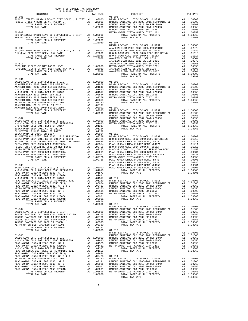| COUNTY OF ORANGE TAX RATE BOOK<br>2017-2018 TRA TAX RATES                                                                                                             |                                    |                                                                                      |          |       |       |       |       |       |       |       |       |       |       |       |       |       |       |      |      |      |            |            |  |  |  |
|-----------------------------------------------------------------------------------------------------------------------------------------------------------------------|------------------------------------|--------------------------------------------------------------------------------------|----------|-------|-------|-------|-------|-------|-------|-------|-------|-------|-------|-------|-------|-------|-------|------|------|------|------------|------------|--|--|--|
| DISTRICT                                                                                                                                                              |                                    | $\begin{array}{ccccc}\n\text{TAX RATE} & & & \text{DISTRICT} \\ \hline\n\end{array}$ | TAX RATE |       |       |       |       |       |       |       |       |       |       |       |       |       |       |      |      |      |            |            |  |  |  |
| $00 - 001$                                                                                                                                                            |                                    |                                                                                      |          |       |       |       |       |       |       |       |       |       |       |       |       |       |       |      |      |      |            |            |  |  |  |
|                                                                                                                                                                       |                                    |                                                                                      |          |       |       |       |       |       |       |       |       |       |       |       |       |       |       |      |      |      |            |            |  |  |  |
|                                                                                                                                                                       |                                    |                                                                                      |          |       |       |       |       |       |       |       |       |       |       |       |       |       |       |      |      |      |            |            |  |  |  |
|                                                                                                                                                                       |                                    |                                                                                      |          |       |       |       |       |       |       |       |       |       |       |       |       |       |       |      |      |      |            |            |  |  |  |
|                                                                                                                                                                       |                                    |                                                                                      |          |       |       |       |       |       |       |       |       |       |       |       |       |       |       |      |      |      |            |            |  |  |  |
|                                                                                                                                                                       |                                    | TOTAL TAX RATE                                                                       |          |       |       |       |       |       |       |       |       |       |       |       |       |       |       |      |      |      |            |            |  |  |  |
| $01 - 001$                                                                                                                                                            |                                    |                                                                                      |          |       |       |       |       |       |       |       |       |       |       |       |       |       |       |      |      |      |            |            |  |  |  |
|                                                                                                                                                                       |                                    |                                                                                      |          |       |       |       |       |       |       |       |       |       |       |       |       |       |       |      |      |      |            |            |  |  |  |
|                                                                                                                                                                       |                                    |                                                                                      |          |       |       |       |       |       |       |       |       |       |       |       |       |       |       |      |      |      |            |            |  |  |  |
|                                                                                                                                                                       |                                    |                                                                                      |          |       |       |       |       |       |       |       |       |       |       |       |       |       |       |      |      |      |            |            |  |  |  |
|                                                                                                                                                                       |                                    |                                                                                      |          |       |       |       |       |       |       |       |       |       |       |       |       |       |       |      |      |      |            |            |  |  |  |
|                                                                                                                                                                       |                                    |                                                                                      |          |       |       |       |       |       |       |       |       |       |       |       |       |       |       |      |      |      |            |            |  |  |  |
|                                                                                                                                                                       |                                    |                                                                                      |          |       |       |       |       |       |       |       |       |       |       |       |       |       |       |      |      |      |            |            |  |  |  |
|                                                                                                                                                                       |                                    |                                                                                      |          |       |       |       |       |       |       |       |       |       |       |       |       |       |       |      |      |      |            |            |  |  |  |
|                                                                                                                                                                       |                                    |                                                                                      |          |       |       |       |       |       |       |       |       |       |       |       |       |       |       |      |      |      |            |            |  |  |  |
|                                                                                                                                                                       |                                    |                                                                                      |          |       |       |       |       |       |       |       |       |       |       |       |       |       |       |      |      |      |            |            |  |  |  |
|                                                                                                                                                                       |                                    |                                                                                      |          |       |       |       |       |       |       |       |       |       |       |       |       |       |       |      |      |      |            |            |  |  |  |
|                                                                                                                                                                       |                                    |                                                                                      |          |       |       |       |       |       |       |       |       |       |       |       |       |       |       |      |      |      |            |            |  |  |  |
|                                                                                                                                                                       |                                    |                                                                                      |          |       |       |       |       |       |       |       |       |       |       |       |       |       |       |      |      |      |            |            |  |  |  |
|                                                                                                                                                                       |                                    |                                                                                      |          |       |       |       |       |       |       |       |       |       |       |       |       |       |       |      |      |      |            |            |  |  |  |
|                                                                                                                                                                       |                                    |                                                                                      |          |       |       |       |       |       |       |       |       |       |       |       |       |       |       |      |      |      |            |            |  |  |  |
|                                                                                                                                                                       |                                    |                                                                                      |          |       |       |       |       |       |       |       |       |       |       |       |       |       |       |      |      |      |            |            |  |  |  |
|                                                                                                                                                                       |                                    |                                                                                      |          |       |       |       |       |       |       |       |       |       |       |       |       |       |       |      |      |      |            |            |  |  |  |
|                                                                                                                                                                       |                                    |                                                                                      |          |       |       |       |       |       |       |       |       |       |       |       |       |       |       |      |      |      |            |            |  |  |  |
|                                                                                                                                                                       |                                    |                                                                                      |          |       |       |       |       |       |       |       |       |       |       |       |       |       |       |      |      |      |            |            |  |  |  |
|                                                                                                                                                                       |                                    |                                                                                      |          |       |       |       |       |       |       |       |       |       |       |       |       |       |       |      |      |      |            |            |  |  |  |
|                                                                                                                                                                       |                                    |                                                                                      |          |       |       |       |       |       |       |       |       |       |       |       |       |       |       |      |      |      |            |            |  |  |  |
|                                                                                                                                                                       |                                    |                                                                                      |          |       |       |       |       |       |       |       |       |       |       |       |       |       |       |      |      |      |            |            |  |  |  |
|                                                                                                                                                                       |                                    |                                                                                      |          |       |       |       |       |       |       |       |       |       |       |       |       |       |       |      |      |      |            |            |  |  |  |
|                                                                                                                                                                       |                                    |                                                                                      |          |       |       |       |       |       |       |       |       |       |       |       |       |       |       |      |      |      |            |            |  |  |  |
| $\n\n\nMEFRO WATE DIST-ANAEEM C TUTY 1201\nAAI\n.0048\nAAI\n.0048\nAAI\n.0048\nAAI\n.0048\nAAI\n.0048\nAAI\n.0048\nAAI\n.0048\nAAI\n.0048\nAAI\n0048\nAAI\n0048\nAAI$ | MEFRO WATE DIST-ANAEEM C TUTY 1201 | AAI                                                                                  | .0048    | AAI   | .0048 | AAI   | .0048 | AAI   | .0048 | AAI   | .0048 | AAI   | .0048 | AAI   | .0048 | AAI   | .0048 | AAI  | 0048 | AAI  | 0048       | AAI </math |  |  |  |
| MEFRO WATE DIST-ANAEEM C TUTY 1201                                                                                                                                    | AAI                                | .0048                                                                                | AAI      | .0048 | AAI   | .0048 | AAI   | .0048 | AAI   | .0048 | AAI   | .0048 | AAI   | .0048 | AAI   | .0048 | AAI   | 0048 | AAI  | 0048 | AAI </math |            |  |  |  |
|                                                                                                                                                                       |                                    |                                                                                      |          |       |       |       |       |       |       |       |       |       |       |       |       |       |       |      |      |      |            |            |  |  |  |
|                                                                                                                                                                       |                                    |                                                                                      |          |       |       |       |       |       |       |       |       |       |       |       |       |       |       |      |      |      |            |            |  |  |  |
|                                                                                                                                                                       |                                    |                                                                                      |          |       |       |       |       |       |       |       |       |       |       |       |       |       |       |      |      |      |            |            |  |  |  |
|                                                                                                                                                                       |                                    |                                                                                      |          |       |       |       |       |       |       |       |       |       |       |       |       |       |       |      |      |      |            |            |  |  |  |
|                                                                                                                                                                       |                                    |                                                                                      |          |       |       |       |       |       |       |       |       |       |       |       |       |       |       |      |      |      |            |            |  |  |  |
|                                                                                                                                                                       |                                    |                                                                                      |          |       |       |       |       |       |       |       |       |       |       |       |       |       |       |      |      |      |            |            |  |  |  |
|                                                                                                                                                                       |                                    |                                                                                      |          |       |       |       |       |       |       |       |       |       |       |       |       |       |       |      |      |      |            |            |  |  |  |
|                                                                                                                                                                       |                                    |                                                                                      |          |       |       |       |       |       |       |       |       |       |       |       |       |       |       |      |      |      |            |            |  |  |  |
|                                                                                                                                                                       |                                    |                                                                                      |          |       |       |       |       |       |       |       |       |       |       |       |       |       |       |      |      |      |            |            |  |  |  |
|                                                                                                                                                                       |                                    |                                                                                      |          |       |       |       |       |       |       |       |       |       |       |       |       |       |       |      |      |      |            |            |  |  |  |
|                                                                                                                                                                       |                                    |                                                                                      |          |       |       |       |       |       |       |       |       |       |       |       |       |       |       |      |      |      |            |            |  |  |  |
|                                                                                                                                                                       |                                    |                                                                                      |          |       |       |       |       |       |       |       |       |       |       |       |       |       |       |      |      |      |            |            |  |  |  |
|                                                                                                                                                                       |                                    |                                                                                      |          |       |       |       |       |       |       |       |       |       |       |       |       |       |       |      |      |      |            |            |  |  |  |
|                                                                                                                                                                       |                                    |                                                                                      |          |       |       |       |       |       |       |       |       |       |       |       |       |       |       |      |      |      |            |            |  |  |  |
|                                                                                                                                                                       |                                    |                                                                                      |          |       |       |       |       |       |       |       |       |       |       |       |       |       |       |      |      |      |            |            |  |  |  |
|                                                                                                                                                                       |                                    |                                                                                      |          |       |       |       |       |       |       |       |       |       |       |       |       |       |       |      |      |      |            |            |  |  |  |
|                                                                                                                                                                       |                                    | TOTAL TAX RATE                                                                       | 1.03363  |       |       |       |       |       |       |       |       |       |       |       |       |       |       |      |      |      |            |            |  |  |  |
|                                                                                                                                                                       |                                    |                                                                                      |          |       |       |       |       |       |       |       |       |       |       |       |       |       |       |      |      |      |            |            |  |  |  |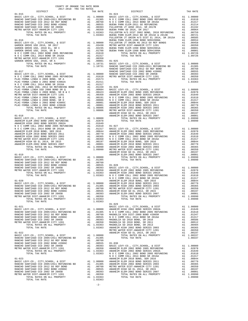|                | TAX RATE<br>DISTRICT |         | DISTRICT   | TAX RATE |
|----------------|----------------------|---------|------------|----------|
|                |                      |         |            |          |
|                |                      |         |            |          |
|                |                      |         |            |          |
|                |                      |         |            |          |
|                |                      |         |            |          |
|                |                      |         |            |          |
|                |                      |         |            |          |
|                |                      |         |            |          |
|                |                      |         |            |          |
|                |                      |         |            |          |
|                |                      |         |            |          |
|                |                      |         |            |          |
|                |                      |         |            |          |
|                |                      |         |            |          |
|                |                      |         |            |          |
|                |                      |         |            |          |
|                |                      |         |            |          |
|                |                      |         |            |          |
|                |                      |         |            |          |
|                |                      |         |            |          |
|                |                      |         |            |          |
|                |                      |         |            |          |
|                |                      |         |            |          |
|                |                      |         |            |          |
|                |                      |         |            |          |
|                |                      |         |            |          |
|                |                      |         |            |          |
|                |                      |         |            |          |
|                |                      |         |            |          |
|                |                      |         |            |          |
|                |                      |         |            |          |
|                |                      |         |            |          |
|                |                      |         |            |          |
|                |                      |         |            |          |
|                |                      |         |            |          |
|                |                      |         |            |          |
|                |                      |         |            |          |
|                |                      |         |            |          |
|                |                      |         |            |          |
|                |                      |         |            |          |
|                |                      |         |            |          |
|                |                      |         |            |          |
|                |                      |         |            |          |
|                |                      |         |            |          |
|                |                      |         |            |          |
|                |                      |         |            |          |
|                |                      |         |            |          |
|                |                      |         |            |          |
|                |                      |         |            |          |
|                |                      |         |            |          |
|                |                      |         |            |          |
|                |                      |         |            |          |
|                |                      |         |            |          |
|                |                      |         |            |          |
|                |                      |         |            |          |
|                |                      |         |            |          |
|                |                      |         |            |          |
|                |                      |         |            |          |
|                |                      |         |            |          |
|                |                      |         |            |          |
|                |                      |         |            |          |
|                |                      |         |            |          |
|                |                      |         |            |          |
|                |                      |         |            |          |
|                |                      |         |            |          |
|                |                      |         |            |          |
|                |                      |         |            |          |
|                |                      |         |            |          |
|                |                      |         | $01 - 029$ |          |
|                |                      |         |            |          |
|                |                      |         |            |          |
|                |                      |         |            |          |
|                |                      |         |            |          |
|                |                      |         |            |          |
|                |                      |         |            |          |
|                |                      |         |            |          |
|                |                      |         |            |          |
|                |                      |         |            |          |
|                |                      |         |            |          |
|                |                      |         |            |          |
|                |                      |         |            |          |
|                |                      |         |            |          |
|                |                      |         |            |          |
|                |                      |         |            |          |
|                |                      |         |            |          |
|                |                      |         |            |          |
|                |                      |         |            |          |
|                |                      |         |            |          |
|                |                      |         |            |          |
|                |                      |         |            |          |
|                |                      |         |            |          |
|                |                      |         |            |          |
|                |                      |         |            |          |
|                |                      |         |            |          |
| TOTAL TAX RATE |                      | 1.03363 |            |          |
|                |                      |         |            |          |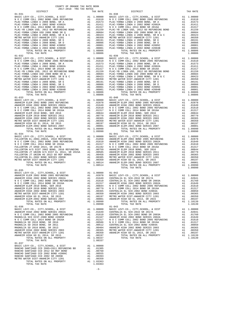| $01 - 031$                                                                                                                                                                                                                                                                                                                                                                                                                       |    |                      | $01 - 038$ |
|----------------------------------------------------------------------------------------------------------------------------------------------------------------------------------------------------------------------------------------------------------------------------------------------------------------------------------------------------------------------------------------------------------------------------------|----|----------------------|------------|
|                                                                                                                                                                                                                                                                                                                                                                                                                                  |    |                      |            |
|                                                                                                                                                                                                                                                                                                                                                                                                                                  |    |                      |            |
|                                                                                                                                                                                                                                                                                                                                                                                                                                  |    |                      |            |
|                                                                                                                                                                                                                                                                                                                                                                                                                                  |    |                      |            |
|                                                                                                                                                                                                                                                                                                                                                                                                                                  |    |                      |            |
|                                                                                                                                                                                                                                                                                                                                                                                                                                  |    |                      |            |
|                                                                                                                                                                                                                                                                                                                                                                                                                                  |    |                      |            |
|                                                                                                                                                                                                                                                                                                                                                                                                                                  |    |                      |            |
|                                                                                                                                                                                                                                                                                                                                                                                                                                  |    |                      |            |
|                                                                                                                                                                                                                                                                                                                                                                                                                                  |    |                      |            |
| TOTAL TAX RATE                                                                                                                                                                                                                                                                                                                                                                                                                   |    | 1.08806              |            |
| $01 - 032$                                                                                                                                                                                                                                                                                                                                                                                                                       |    |                      | $01 - 039$ |
|                                                                                                                                                                                                                                                                                                                                                                                                                                  |    |                      |            |
|                                                                                                                                                                                                                                                                                                                                                                                                                                  |    |                      |            |
|                                                                                                                                                                                                                                                                                                                                                                                                                                  |    |                      |            |
|                                                                                                                                                                                                                                                                                                                                                                                                                                  |    |                      |            |
|                                                                                                                                                                                                                                                                                                                                                                                                                                  |    |                      |            |
|                                                                                                                                                                                                                                                                                                                                                                                                                                  |    |                      |            |
|                                                                                                                                                                                                                                                                                                                                                                                                                                  |    |                      |            |
|                                                                                                                                                                                                                                                                                                                                                                                                                                  |    |                      |            |
|                                                                                                                                                                                                                                                                                                                                                                                                                                  |    |                      |            |
|                                                                                                                                                                                                                                                                                                                                                                                                                                  |    |                      |            |
|                                                                                                                                                                                                                                                                                                                                                                                                                                  |    |                      |            |
| TOTAL TAX RATE<br>$\begin{tabular}{l c c c} & & & & & & & & & 1.08806 \\ \hline \texttt{BASE} & \texttt{LEVY-CO.}, & \texttt{CITY}, \texttt{SCHOOL}, & \& & \texttt{DIST} & & & & & 01-040 \\ \texttt{ANAEIEM} & \texttt{ELEM} & 2002 & \texttt{BOND} & 2005 & \texttt{REFUNDING} & & & & & 1.00000 & \texttt{BASE} & \texttt{L} \\ \texttt{ANAEIEM} & \texttt{HIGH} & 2002 & \texttt{BOND} & \texttt{SERLIS} & 2002A & & & & 1$ |    | 1.08806              |            |
|                                                                                                                                                                                                                                                                                                                                                                                                                                  |    |                      |            |
|                                                                                                                                                                                                                                                                                                                                                                                                                                  |    |                      |            |
|                                                                                                                                                                                                                                                                                                                                                                                                                                  |    |                      |            |
|                                                                                                                                                                                                                                                                                                                                                                                                                                  |    |                      |            |
|                                                                                                                                                                                                                                                                                                                                                                                                                                  |    |                      |            |
|                                                                                                                                                                                                                                                                                                                                                                                                                                  |    |                      |            |
|                                                                                                                                                                                                                                                                                                                                                                                                                                  |    |                      |            |
|                                                                                                                                                                                                                                                                                                                                                                                                                                  |    |                      |            |
|                                                                                                                                                                                                                                                                                                                                                                                                                                  |    |                      |            |
|                                                                                                                                                                                                                                                                                                                                                                                                                                  |    |                      |            |
|                                                                                                                                                                                                                                                                                                                                                                                                                                  |    |                      |            |
|                                                                                                                                                                                                                                                                                                                                                                                                                                  |    |                      |            |
|                                                                                                                                                                                                                                                                                                                                                                                                                                  |    |                      |            |
|                                                                                                                                                                                                                                                                                                                                                                                                                                  |    |                      |            |
|                                                                                                                                                                                                                                                                                                                                                                                                                                  |    |                      |            |
|                                                                                                                                                                                                                                                                                                                                                                                                                                  |    |                      |            |
|                                                                                                                                                                                                                                                                                                                                                                                                                                  |    |                      |            |
|                                                                                                                                                                                                                                                                                                                                                                                                                                  |    |                      |            |
|                                                                                                                                                                                                                                                                                                                                                                                                                                  |    |                      |            |
|                                                                                                                                                                                                                                                                                                                                                                                                                                  |    |                      |            |
| TOTAL TAX RATE                                                                                                                                                                                                                                                                                                                                                                                                                   |    | 1.08514              |            |
|                                                                                                                                                                                                                                                                                                                                                                                                                                  |    |                      |            |
| $01 - 035$                                                                                                                                                                                                                                                                                                                                                                                                                       |    |                      |            |
|                                                                                                                                                                                                                                                                                                                                                                                                                                  |    |                      |            |
|                                                                                                                                                                                                                                                                                                                                                                                                                                  |    |                      |            |
|                                                                                                                                                                                                                                                                                                                                                                                                                                  |    |                      |            |
|                                                                                                                                                                                                                                                                                                                                                                                                                                  |    |                      |            |
|                                                                                                                                                                                                                                                                                                                                                                                                                                  |    |                      |            |
|                                                                                                                                                                                                                                                                                                                                                                                                                                  |    |                      |            |
|                                                                                                                                                                                                                                                                                                                                                                                                                                  |    |                      |            |
|                                                                                                                                                                                                                                                                                                                                                                                                                                  |    |                      |            |
| ANAHEIM ELEM-2002 BOND SERIES 2007<br>TOTAL RATES ON ALL PROPERTY                                                                                                                                                                                                                                                                                                                                                                | A1 | .00001<br>A1 1.09990 | ANAHEIM    |
| TOTAL TAX RATE                                                                                                                                                                                                                                                                                                                                                                                                                   |    | 1,09990              |            |
| $01 - 036$                                                                                                                                                                                                                                                                                                                                                                                                                       |    |                      | $01 - 043$ |
| BASIC LEVY-CO., CITY, SCHOOL, & DIST                                                                                                                                                                                                                                                                                                                                                                                             |    | A1 1.00000           | BASIC L    |
|                                                                                                                                                                                                                                                                                                                                                                                                                                  |    |                      |            |
|                                                                                                                                                                                                                                                                                                                                                                                                                                  |    |                      |            |
|                                                                                                                                                                                                                                                                                                                                                                                                                                  |    |                      |            |
|                                                                                                                                                                                                                                                                                                                                                                                                                                  |    |                      |            |
|                                                                                                                                                                                                                                                                                                                                                                                                                                  |    |                      |            |
|                                                                                                                                                                                                                                                                                                                                                                                                                                  |    |                      |            |
|                                                                                                                                                                                                                                                                                                                                                                                                                                  |    |                      |            |
| ANAHEIM HIGH GO EL 2014, SR 2015<br>TOTAL RATES ON ALL PROPERTY                                                                                                                                                                                                                                                                                                                                                                  | A1 | .00197<br>A1 1.08337 |            |
| TOTAL TAX RATE                                                                                                                                                                                                                                                                                                                                                                                                                   |    | 1.08337              |            |
| $01 - 037$                                                                                                                                                                                                                                                                                                                                                                                                                       |    |                      |            |
| BASIC LEVY-CO., CITY, SCHOOL, & DIST                                                                                                                                                                                                                                                                                                                                                                                             |    | A1 1.00000<br>.01305 |            |
| EANCHO SANTIAGO CCD 2005+2011 REFUNDING BD<br>A RANCHO SANTIAGO CCD 2002 BOND<br>A RANCHO SANTIAGO CCD 2002 BOND<br>A RANCHO SANTIAGO CCD 2002 BOND<br>A RANCHO SANTIAGO CCD 2002 BOND<br>2016 PANCHO SANTIAGO CCD 2002 BOND                                                                                                                                                                                                     |    | .00760               |            |
|                                                                                                                                                                                                                                                                                                                                                                                                                                  | A1 | .00555               |            |
| RANCHO SANTIAGO CCD 2002 SR 2005B                                                                                                                                                                                                                                                                                                                                                                                                | A1 | .00393               |            |
| METRO WATER DIST-ANAHEIM CITY 1201<br>TOTAL RATES ON ALL PROPERTY                                                                                                                                                                                                                                                                                                                                                                | A1 | .00350<br>A1 1.03363 |            |
| TOTAL TAX RATE                                                                                                                                                                                                                                                                                                                                                                                                                   |    | 1.03363              |            |

-3-

| 2017-2018 TRA TAX RATES<br>DISTRICT                                                                                                                                                                                                | TAX RATE | DISTRICT   | TAX RATE |
|------------------------------------------------------------------------------------------------------------------------------------------------------------------------------------------------------------------------------------|----------|------------|----------|
| $01 - 031$                                                                                                                                                                                                                         |          | $01 - 038$ |          |
|                                                                                                                                                                                                                                    |          |            |          |
|                                                                                                                                                                                                                                    |          |            |          |
|                                                                                                                                                                                                                                    |          |            |          |
|                                                                                                                                                                                                                                    |          |            |          |
|                                                                                                                                                                                                                                    |          |            |          |
|                                                                                                                                                                                                                                    |          |            |          |
|                                                                                                                                                                                                                                    |          |            |          |
|                                                                                                                                                                                                                                    |          |            |          |
|                                                                                                                                                                                                                                    |          |            |          |
|                                                                                                                                                                                                                                    |          |            |          |
|                                                                                                                                                                                                                                    |          |            |          |
|                                                                                                                                                                                                                                    |          |            |          |
|                                                                                                                                                                                                                                    |          |            |          |
|                                                                                                                                                                                                                                    |          |            |          |
|                                                                                                                                                                                                                                    |          |            |          |
|                                                                                                                                                                                                                                    |          |            |          |
|                                                                                                                                                                                                                                    |          |            |          |
|                                                                                                                                                                                                                                    |          |            |          |
|                                                                                                                                                                                                                                    |          |            |          |
|                                                                                                                                                                                                                                    |          |            |          |
|                                                                                                                                                                                                                                    |          |            |          |
|                                                                                                                                                                                                                                    |          |            |          |
|                                                                                                                                                                                                                                    |          |            |          |
|                                                                                                                                                                                                                                    |          |            |          |
|                                                                                                                                                                                                                                    |          |            |          |
|                                                                                                                                                                                                                                    |          |            |          |
|                                                                                                                                                                                                                                    |          |            |          |
|                                                                                                                                                                                                                                    |          |            |          |
|                                                                                                                                                                                                                                    |          |            |          |
| $01 - 033$                                                                                                                                                                                                                         |          | $01 - 040$ |          |
|                                                                                                                                                                                                                                    |          |            |          |
|                                                                                                                                                                                                                                    |          |            |          |
|                                                                                                                                                                                                                                    |          |            |          |
|                                                                                                                                                                                                                                    |          |            |          |
|                                                                                                                                                                                                                                    |          |            |          |
|                                                                                                                                                                                                                                    |          |            |          |
|                                                                                                                                                                                                                                    |          |            |          |
|                                                                                                                                                                                                                                    |          |            |          |
|                                                                                                                                                                                                                                    |          |            |          |
|                                                                                                                                                                                                                                    |          |            |          |
|                                                                                                                                                                                                                                    |          |            |          |
|                                                                                                                                                                                                                                    |          |            |          |
|                                                                                                                                                                                                                                    |          |            |          |
|                                                                                                                                                                                                                                    |          |            |          |
|                                                                                                                                                                                                                                    |          |            |          |
|                                                                                                                                                                                                                                    |          |            |          |
|                                                                                                                                                                                                                                    |          |            |          |
|                                                                                                                                                                                                                                    |          |            |          |
|                                                                                                                                                                                                                                    |          |            |          |
|                                                                                                                                                                                                                                    |          |            |          |
|                                                                                                                                                                                                                                    |          |            |          |
|                                                                                                                                                                                                                                    |          |            |          |
|                                                                                                                                                                                                                                    |          |            |          |
|                                                                                                                                                                                                                                    |          |            |          |
|                                                                                                                                                                                                                                    |          |            |          |
| $01 - 035$                                                                                                                                                                                                                         |          |            |          |
|                                                                                                                                                                                                                                    |          |            |          |
|                                                                                                                                                                                                                                    |          |            |          |
|                                                                                                                                                                                                                                    |          |            |          |
|                                                                                                                                                                                                                                    |          |            |          |
|                                                                                                                                                                                                                                    |          |            |          |
|                                                                                                                                                                                                                                    |          |            |          |
|                                                                                                                                                                                                                                    |          |            |          |
|                                                                                                                                                                                                                                    |          |            |          |
| ANAHEIM HIGH 2002 BOND SERIES 2003 A1 .00350 CENTRALIA EL SCH-2002 BOND #2004A<br>METRO WATER DIST-ANAHEIM CITY 1201 A1 .00350 ANAHEIM HIGH 2002 BOND BERIES 2003 A1 .00350<br>METRO WATER DIST-ANAHEIM CITY 1201 A1 .00350 ANAHEI |          |            |          |
|                                                                                                                                                                                                                                    |          |            |          |
|                                                                                                                                                                                                                                    |          |            |          |
|                                                                                                                                                                                                                                    |          |            |          |
| $01 - 036$                                                                                                                                                                                                                         |          | $01 - 043$ |          |
|                                                                                                                                                                                                                                    |          |            |          |
|                                                                                                                                                                                                                                    |          |            |          |
|                                                                                                                                                                                                                                    |          |            |          |
|                                                                                                                                                                                                                                    |          |            |          |
|                                                                                                                                                                                                                                    |          |            |          |
|                                                                                                                                                                                                                                    |          |            |          |
|                                                                                                                                                                                                                                    |          |            |          |
|                                                                                                                                                                                                                                    |          |            |          |
|                                                                                                                                                                                                                                    |          |            |          |
|                                                                                                                                                                                                                                    |          |            |          |
|                                                                                                                                                                                                                                    |          |            |          |
| TOTAL TAX RATE                                                                                                                                                                                                                     | 1.08337  |            |          |
| $01 - 037$                                                                                                                                                                                                                         |          |            |          |
| BASIC LEVY-CO., CITY, SCHOOL, & DIST Al 1.00000                                                                                                                                                                                    |          |            |          |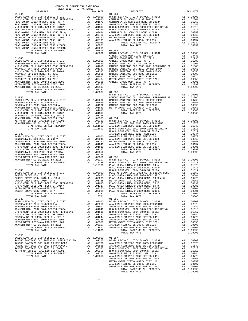| COUNTY OF ORANGE TAX RATE BOOK      |  |                                                                                                                                                                                                                                                                                                                                                                            |          |
|-------------------------------------|--|----------------------------------------------------------------------------------------------------------------------------------------------------------------------------------------------------------------------------------------------------------------------------------------------------------------------------------------------------------------------------|----------|
| 2017-2018 TRA TAX RATES<br>DISTRICT |  | TAX RATES TAX RATE $01-051$<br>DISTRICT                                                                                                                                                                                                                                                                                                                                    | TAX RATE |
| $01 - 044$                          |  |                                                                                                                                                                                                                                                                                                                                                                            |          |
|                                     |  |                                                                                                                                                                                                                                                                                                                                                                            |          |
|                                     |  |                                                                                                                                                                                                                                                                                                                                                                            |          |
|                                     |  |                                                                                                                                                                                                                                                                                                                                                                            |          |
|                                     |  |                                                                                                                                                                                                                                                                                                                                                                            |          |
|                                     |  |                                                                                                                                                                                                                                                                                                                                                                            |          |
|                                     |  |                                                                                                                                                                                                                                                                                                                                                                            |          |
|                                     |  |                                                                                                                                                                                                                                                                                                                                                                            |          |
|                                     |  |                                                                                                                                                                                                                                                                                                                                                                            |          |
|                                     |  |                                                                                                                                                                                                                                                                                                                                                                            |          |
|                                     |  |                                                                                                                                                                                                                                                                                                                                                                            |          |
|                                     |  |                                                                                                                                                                                                                                                                                                                                                                            |          |
|                                     |  |                                                                                                                                                                                                                                                                                                                                                                            |          |
|                                     |  |                                                                                                                                                                                                                                                                                                                                                                            |          |
|                                     |  |                                                                                                                                                                                                                                                                                                                                                                            |          |
|                                     |  |                                                                                                                                                                                                                                                                                                                                                                            |          |
|                                     |  |                                                                                                                                                                                                                                                                                                                                                                            |          |
|                                     |  |                                                                                                                                                                                                                                                                                                                                                                            |          |
|                                     |  |                                                                                                                                                                                                                                                                                                                                                                            |          |
|                                     |  |                                                                                                                                                                                                                                                                                                                                                                            |          |
|                                     |  |                                                                                                                                                                                                                                                                                                                                                                            |          |
|                                     |  |                                                                                                                                                                                                                                                                                                                                                                            |          |
|                                     |  | $\begin{array}{cccccccc} 01-044 & 01578110 & 01571000 & 01-051 & 00000 & 001-051 & 00000 & 01-0501 & 000000 & 01-0501 & 000000 & 01-0501 & 0000000 & 01-0501 & 00000000 & 01-0501 & 01-0501 & 01-0501 & 01-0501 & 01-0501 & 01-0501 & 01-0501 & 01-0501 & 01-0501 & $                                                                                                      |          |
|                                     |  |                                                                                                                                                                                                                                                                                                                                                                            |          |
|                                     |  |                                                                                                                                                                                                                                                                                                                                                                            |          |
|                                     |  |                                                                                                                                                                                                                                                                                                                                                                            |          |
|                                     |  |                                                                                                                                                                                                                                                                                                                                                                            |          |
|                                     |  |                                                                                                                                                                                                                                                                                                                                                                            |          |
|                                     |  |                                                                                                                                                                                                                                                                                                                                                                            |          |
|                                     |  |                                                                                                                                                                                                                                                                                                                                                                            |          |
|                                     |  |                                                                                                                                                                                                                                                                                                                                                                            |          |
|                                     |  |                                                                                                                                                                                                                                                                                                                                                                            |          |
|                                     |  |                                                                                                                                                                                                                                                                                                                                                                            |          |
|                                     |  |                                                                                                                                                                                                                                                                                                                                                                            |          |
|                                     |  |                                                                                                                                                                                                                                                                                                                                                                            |          |
|                                     |  |                                                                                                                                                                                                                                                                                                                                                                            |          |
|                                     |  |                                                                                                                                                                                                                                                                                                                                                                            |          |
|                                     |  |                                                                                                                                                                                                                                                                                                                                                                            |          |
|                                     |  |                                                                                                                                                                                                                                                                                                                                                                            |          |
|                                     |  |                                                                                                                                                                                                                                                                                                                                                                            |          |
|                                     |  |                                                                                                                                                                                                                                                                                                                                                                            |          |
|                                     |  |                                                                                                                                                                                                                                                                                                                                                                            |          |
|                                     |  |                                                                                                                                                                                                                                                                                                                                                                            |          |
|                                     |  |                                                                                                                                                                                                                                                                                                                                                                            |          |
|                                     |  |                                                                                                                                                                                                                                                                                                                                                                            |          |
|                                     |  |                                                                                                                                                                                                                                                                                                                                                                            |          |
|                                     |  |                                                                                                                                                                                                                                                                                                                                                                            |          |
|                                     |  |                                                                                                                                                                                                                                                                                                                                                                            |          |
|                                     |  |                                                                                                                                                                                                                                                                                                                                                                            |          |
|                                     |  |                                                                                                                                                                                                                                                                                                                                                                            |          |
|                                     |  |                                                                                                                                                                                                                                                                                                                                                                            |          |
|                                     |  |                                                                                                                                                                                                                                                                                                                                                                            |          |
|                                     |  |                                                                                                                                                                                                                                                                                                                                                                            |          |
|                                     |  |                                                                                                                                                                                                                                                                                                                                                                            |          |
|                                     |  |                                                                                                                                                                                                                                                                                                                                                                            |          |
|                                     |  |                                                                                                                                                                                                                                                                                                                                                                            |          |
|                                     |  |                                                                                                                                                                                                                                                                                                                                                                            |          |
|                                     |  |                                                                                                                                                                                                                                                                                                                                                                            |          |
|                                     |  |                                                                                                                                                                                                                                                                                                                                                                            |          |
|                                     |  |                                                                                                                                                                                                                                                                                                                                                                            |          |
|                                     |  |                                                                                                                                                                                                                                                                                                                                                                            |          |
|                                     |  |                                                                                                                                                                                                                                                                                                                                                                            |          |
|                                     |  | $\begin{tabular}{l c c c c c} \hline 01-050 & 01-050 & 01-057 & 01-050 \\ \hline RASIC LEVY-CO., CITY, SCHOOL, & E DIST & A1 & 1.00000 & 01-057 & 01-057 \\ \hline RANCEO SANTIAGO CCD 2012 GORE F BONDD & A1 & .01305 & BASIC LEVY-CO., CITY, SCHOOL, & DIST & A1 & 1.00000 \\ \hline RANCEO SANTIAGO CCD 2012 GORD F BONDD & A1 & .01305 & BASIC LEVY-CO., CITY, SCHOOL$ |          |
|                                     |  |                                                                                                                                                                                                                                                                                                                                                                            |          |
|                                     |  |                                                                                                                                                                                                                                                                                                                                                                            |          |
|                                     |  |                                                                                                                                                                                                                                                                                                                                                                            |          |
|                                     |  |                                                                                                                                                                                                                                                                                                                                                                            |          |
|                                     |  |                                                                                                                                                                                                                                                                                                                                                                            |          |
|                                     |  |                                                                                                                                                                                                                                                                                                                                                                            |          |
|                                     |  |                                                                                                                                                                                                                                                                                                                                                                            |          |
|                                     |  |                                                                                                                                                                                                                                                                                                                                                                            |          |
|                                     |  |                                                                                                                                                                                                                                                                                                                                                                            |          |
|                                     |  |                                                                                                                                                                                                                                                                                                                                                                            |          |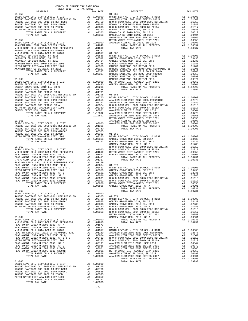| 2017-2018 TRA TAX RATES<br>DISTRICT | TAX RATE | DISTRICT | TAX RATE |
|-------------------------------------|----------|----------|----------|
|                                     |          |          |          |
|                                     |          |          |          |
|                                     |          |          |          |
|                                     |          |          |          |
|                                     |          |          |          |
|                                     |          |          |          |
|                                     |          |          |          |
|                                     |          |          |          |
|                                     |          |          |          |
|                                     |          |          |          |
|                                     |          |          |          |
|                                     |          |          |          |
|                                     |          |          |          |
|                                     |          |          |          |
|                                     |          |          |          |
|                                     |          |          |          |
|                                     |          |          |          |
|                                     |          |          |          |
|                                     |          |          |          |
|                                     |          |          |          |
|                                     |          |          |          |
|                                     |          |          |          |
|                                     |          |          |          |
|                                     |          |          |          |
|                                     |          |          |          |
|                                     |          |          |          |
|                                     |          |          |          |
|                                     |          |          |          |
|                                     |          |          |          |
|                                     |          |          |          |
|                                     |          |          |          |
|                                     |          |          |          |
|                                     |          |          |          |
|                                     |          |          |          |
|                                     |          |          |          |
|                                     |          |          |          |
|                                     |          |          |          |
|                                     |          |          |          |
|                                     |          |          |          |
|                                     |          |          |          |
|                                     |          |          |          |
|                                     |          |          |          |
|                                     |          |          |          |
|                                     |          |          |          |
|                                     |          |          |          |
|                                     |          |          |          |
|                                     |          |          |          |
|                                     |          |          |          |
|                                     |          |          |          |
|                                     |          |          |          |
|                                     |          |          |          |
|                                     |          |          |          |
|                                     |          |          |          |
|                                     |          |          |          |
|                                     |          |          |          |
|                                     |          |          |          |
|                                     |          |          |          |
|                                     |          |          |          |
|                                     |          |          |          |
|                                     |          |          |          |
|                                     |          |          |          |
|                                     |          |          |          |
|                                     |          |          |          |
|                                     |          |          |          |
|                                     |          |          |          |
|                                     |          |          |          |
|                                     |          |          |          |
|                                     |          |          |          |
|                                     |          |          |          |
|                                     |          |          |          |
|                                     |          |          |          |
|                                     |          |          |          |
|                                     |          |          |          |
|                                     |          |          |          |
|                                     |          |          |          |
|                                     |          |          |          |
|                                     |          |          |          |
|                                     |          |          |          |
|                                     |          |          |          |
|                                     |          |          |          |
|                                     |          |          |          |
|                                     |          |          |          |
|                                     |          |          |          |
|                                     |          |          |          |

COUNTY OF ORANGE TAX RATE BOOK

-5-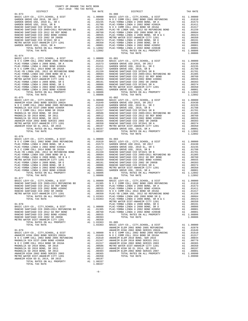| $01 - 074$                                                                |    |                                                    |                    |
|---------------------------------------------------------------------------|----|----------------------------------------------------|--------------------|
|                                                                           |    |                                                    |                    |
|                                                                           |    |                                                    |                    |
|                                                                           |    |                                                    |                    |
|                                                                           |    |                                                    |                    |
|                                                                           |    |                                                    |                    |
|                                                                           |    |                                                    |                    |
|                                                                           |    |                                                    |                    |
|                                                                           |    |                                                    |                    |
|                                                                           |    |                                                    |                    |
| TOTAL TAX RATE                                                            |    | 1.08806                                            |                    |
|                                                                           |    |                                                    |                    |
|                                                                           |    |                                                    |                    |
|                                                                           |    |                                                    |                    |
|                                                                           |    |                                                    |                    |
|                                                                           |    |                                                    |                    |
|                                                                           |    |                                                    |                    |
|                                                                           |    |                                                    |                    |
|                                                                           |    |                                                    |                    |
|                                                                           |    |                                                    |                    |
| TOTAL TAX RATE                                                            |    | 1.08337                                            |                    |
| $01 - 076$                                                                |    |                                                    |                    |
|                                                                           |    |                                                    |                    |
|                                                                           |    |                                                    |                    |
|                                                                           |    |                                                    |                    |
|                                                                           |    |                                                    |                    |
|                                                                           |    |                                                    |                    |
|                                                                           |    |                                                    |                    |
|                                                                           |    |                                                    |                    |
|                                                                           |    |                                                    |                    |
|                                                                           |    |                                                    |                    |
|                                                                           |    |                                                    |                    |
| $01 - 077$                                                                |    |                                                    | $01 - 084$         |
|                                                                           |    |                                                    |                    |
|                                                                           |    |                                                    |                    |
|                                                                           |    |                                                    |                    |
|                                                                           |    |                                                    |                    |
| TOTAL RATES ON ALL PROPERTY                                               |    |                                                    |                    |
| TOTAL TAX RATE                                                            |    | A1 .00000<br>A1 1.03363 PLAC-YO<br>1.03363 PLAC-YO |                    |
|                                                                           |    |                                                    | METRO W            |
| $01 - 078$                                                                |    |                                                    | PLAC-YO            |
|                                                                           |    | A1 1.00000 PLAC-YO<br>A1 .01305 PLAC-YO            |                    |
|                                                                           |    |                                                    | PLAC-YO            |
| RANCHO SANTIAGO CCD 2002 BOND #2006C<br>RANCHO SANTIAGO CCD 2002 SR 2005B | A1 | .00555                                             |                    |
| METRO WATER DIST-ANAHEIM CITY 1201                                        |    | A1 .00393<br>A1 .00350<br>.00350                   |                    |
| TOTAL RATES ON ALL PROPERTY                                               |    | A1 1.03363                                         | $01 - 085$         |
| TOTAL TAX RATE                                                            |    | 1.03363                                            | BASIC L<br>ANAHEIM |
| $01 - 079$                                                                |    |                                                    | ANAHEIM            |
|                                                                           |    |                                                    |                    |
|                                                                           |    |                                                    |                    |
|                                                                           |    |                                                    |                    |
|                                                                           |    |                                                    |                    |
|                                                                           |    |                                                    |                    |
| ANAHEIM HIGH 2002 BOND SERIES 2003                                        | A1 | .00365                                             |                    |
| METRO WATER DIST-ANAHEIM CITY 1201                                        |    |                                                    |                    |
| ANAHEIM HIGH GO EL 2014, SR 2015                                          |    | A1 .00350<br>A1 .00197                             |                    |
| TOTAL RATES ON ALL PROPERTY<br>TOTAL TAX RATE                             |    | A1 1.08337<br>1.08337                              |                    |
|                                                                           |    |                                                    |                    |

| COUNTY OF ORANGE TAX RATE BOOK<br>2017-2018 TRA TAX RATES<br>$2017-2018 \quad \text{TRA TAX RATES}$ DISTRICT $\hspace{2.5cm}$ |          |                |          |
|-------------------------------------------------------------------------------------------------------------------------------|----------|----------------|----------|
|                                                                                                                               | TAX RATE | DISTRICT       | TAX RATE |
| $01 - 073$                                                                                                                    |          | $01 - 080$     |          |
|                                                                                                                               |          |                |          |
|                                                                                                                               |          |                |          |
|                                                                                                                               |          |                |          |
|                                                                                                                               |          |                |          |
|                                                                                                                               |          |                |          |
|                                                                                                                               |          |                |          |
|                                                                                                                               |          |                |          |
|                                                                                                                               |          |                |          |
|                                                                                                                               |          | TOTAL TAX RATE | 1.08806  |
| $01 - 074$                                                                                                                    |          |                |          |
|                                                                                                                               |          |                |          |
|                                                                                                                               |          |                |          |
|                                                                                                                               |          |                |          |
|                                                                                                                               |          |                |          |
|                                                                                                                               |          |                |          |
|                                                                                                                               |          |                |          |
|                                                                                                                               |          |                |          |
|                                                                                                                               |          |                |          |
|                                                                                                                               |          |                |          |
|                                                                                                                               |          |                |          |
|                                                                                                                               |          |                |          |
|                                                                                                                               |          |                |          |
|                                                                                                                               |          |                |          |
|                                                                                                                               |          |                |          |
|                                                                                                                               |          |                |          |
|                                                                                                                               |          |                |          |
|                                                                                                                               |          |                |          |
|                                                                                                                               |          |                |          |
|                                                                                                                               |          |                |          |
|                                                                                                                               |          |                |          |
| $01 - 076$                                                                                                                    |          |                |          |
|                                                                                                                               |          |                |          |
|                                                                                                                               |          |                |          |
|                                                                                                                               |          |                |          |
|                                                                                                                               |          |                |          |
|                                                                                                                               |          |                |          |
|                                                                                                                               |          |                |          |
|                                                                                                                               |          |                |          |
|                                                                                                                               |          |                |          |
|                                                                                                                               |          |                |          |
|                                                                                                                               |          |                |          |
|                                                                                                                               |          |                |          |
|                                                                                                                               |          |                |          |
|                                                                                                                               |          |                |          |
|                                                                                                                               |          |                |          |
|                                                                                                                               |          |                |          |
|                                                                                                                               |          |                |          |
|                                                                                                                               |          |                |          |
|                                                                                                                               |          |                |          |
|                                                                                                                               |          |                |          |
|                                                                                                                               |          |                |          |
|                                                                                                                               |          |                |          |
|                                                                                                                               |          |                |          |
|                                                                                                                               |          |                |          |
|                                                                                                                               |          |                |          |
|                                                                                                                               |          |                |          |
|                                                                                                                               |          |                |          |
|                                                                                                                               |          |                |          |
|                                                                                                                               |          |                |          |
|                                                                                                                               |          |                |          |
|                                                                                                                               |          |                |          |
|                                                                                                                               |          |                |          |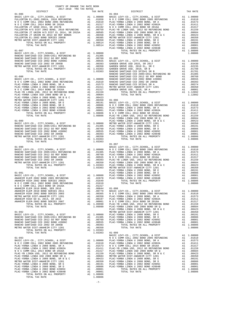| TAX RATE<br>DISTRICT |  | DISTRICT | TAX RATE |
|----------------------|--|----------|----------|
|                      |  |          |          |
|                      |  |          |          |
|                      |  |          |          |
|                      |  |          |          |
|                      |  |          |          |
|                      |  |          |          |
|                      |  |          |          |
|                      |  |          |          |
|                      |  |          |          |
|                      |  |          |          |
|                      |  |          |          |
|                      |  |          |          |
|                      |  |          |          |
|                      |  |          |          |
|                      |  |          |          |
|                      |  |          |          |
|                      |  |          |          |
|                      |  |          |          |
|                      |  |          |          |
|                      |  |          |          |
|                      |  |          |          |
|                      |  |          |          |
|                      |  |          |          |
|                      |  |          |          |
|                      |  |          |          |
|                      |  |          |          |
|                      |  |          |          |
|                      |  |          |          |
|                      |  |          |          |
|                      |  |          |          |
|                      |  |          |          |
|                      |  |          |          |
|                      |  |          |          |
|                      |  |          |          |
|                      |  |          |          |
|                      |  |          |          |
|                      |  |          |          |
|                      |  |          |          |
|                      |  |          |          |
|                      |  |          |          |
|                      |  |          |          |
|                      |  |          |          |
|                      |  |          |          |
|                      |  |          |          |
|                      |  |          |          |
|                      |  |          |          |
|                      |  |          |          |
|                      |  |          |          |
|                      |  |          |          |
|                      |  |          |          |
|                      |  |          |          |
|                      |  |          |          |
|                      |  |          |          |
|                      |  |          |          |
|                      |  |          |          |
|                      |  |          |          |
|                      |  |          |          |
|                      |  |          |          |
|                      |  |          |          |
|                      |  |          |          |
|                      |  |          |          |
|                      |  |          |          |
|                      |  |          |          |
|                      |  |          |          |
|                      |  |          |          |
|                      |  |          |          |
|                      |  |          |          |
|                      |  |          |          |
|                      |  |          |          |
|                      |  |          |          |
|                      |  |          |          |
|                      |  |          |          |
|                      |  |          |          |
|                      |  |          |          |
|                      |  |          |          |
|                      |  |          |          |
|                      |  |          |          |
|                      |  |          |          |
|                      |  |          |          |
|                      |  |          |          |
|                      |  |          |          |
|                      |  |          |          |
|                      |  |          |          |
|                      |  |          |          |
|                      |  |          |          |
|                      |  |          |          |
|                      |  |          |          |
|                      |  |          |          |
|                      |  |          |          |
|                      |  |          |          |
|                      |  |          |          |
|                      |  |          |          |
|                      |  |          |          |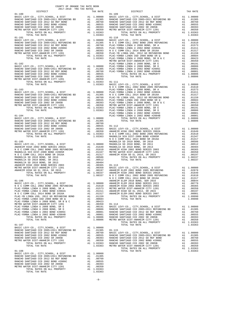| COUNTY OF ORANGE TAX RATE BOOK      |          |            |          |
|-------------------------------------|----------|------------|----------|
| 2017-2018 TRA TAX RATES<br>DISTRICT | TAX RATE | DISTRICT   | TAX RATE |
| $01 - 100$                          |          | $01 - 109$ |          |
|                                     |          |            |          |
|                                     |          |            |          |
|                                     |          |            |          |
|                                     |          |            |          |
|                                     |          |            |          |
|                                     |          |            |          |
|                                     |          |            |          |
|                                     |          |            |          |
|                                     |          |            |          |
|                                     |          |            |          |
|                                     |          |            |          |
|                                     |          |            |          |
|                                     |          |            |          |
|                                     |          |            |          |
|                                     |          |            |          |
|                                     |          |            |          |
|                                     |          |            |          |
|                                     |          |            |          |
|                                     |          |            |          |
|                                     |          |            |          |
|                                     |          |            |          |
|                                     |          |            |          |
|                                     |          |            |          |
|                                     |          |            |          |
|                                     |          |            |          |
|                                     |          |            |          |
|                                     |          |            |          |
|                                     |          |            |          |
|                                     |          |            |          |
|                                     |          |            |          |
|                                     |          |            |          |
|                                     |          |            |          |
|                                     |          |            |          |
|                                     |          |            |          |
|                                     |          |            |          |
|                                     |          |            |          |
|                                     |          |            |          |
|                                     |          |            |          |
|                                     |          |            |          |
|                                     |          |            |          |
|                                     |          |            |          |
|                                     |          |            |          |
|                                     |          |            |          |
|                                     |          |            |          |
|                                     |          |            |          |
|                                     |          |            |          |
|                                     |          |            |          |
|                                     |          |            |          |
|                                     |          |            |          |
|                                     |          |            |          |
|                                     |          |            |          |
|                                     |          |            |          |
|                                     |          |            |          |
|                                     |          |            |          |
|                                     |          |            |          |
|                                     |          |            |          |
|                                     |          |            |          |
|                                     |          |            |          |
|                                     |          |            |          |
|                                     |          |            |          |
|                                     |          |            |          |
|                                     |          |            |          |
|                                     |          |            |          |
|                                     |          |            |          |
|                                     |          |            |          |
|                                     |          |            |          |
|                                     |          |            |          |
|                                     |          |            |          |
|                                     |          |            |          |
|                                     |          |            |          |

-8-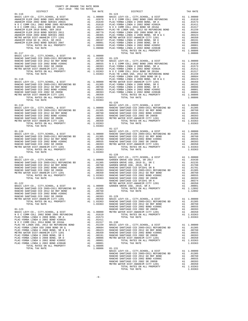| COUNTY OF ORANGE TAX RATE BOOK<br>2017-2018 TRA TAX RATES<br>$2017-2018 \quad \text{TRA RATES}$ DISTRICT $2017-2018 \quad \text{TRA TAX RATES}$ |          |                        |          |
|-------------------------------------------------------------------------------------------------------------------------------------------------|----------|------------------------|----------|
| $01 - 116$                                                                                                                                      | TAX RATE | DISTRICT<br>$01 - 124$ | TAX RATE |
|                                                                                                                                                 |          |                        |          |
|                                                                                                                                                 |          |                        |          |
|                                                                                                                                                 |          |                        |          |
|                                                                                                                                                 |          |                        |          |
|                                                                                                                                                 |          |                        |          |
|                                                                                                                                                 |          |                        |          |
|                                                                                                                                                 |          |                        |          |
|                                                                                                                                                 |          |                        |          |
|                                                                                                                                                 |          |                        |          |
|                                                                                                                                                 |          |                        |          |
| $01 - 117$                                                                                                                                      |          | TOTAL TAX RATE         | 1.08806  |
|                                                                                                                                                 |          |                        |          |
|                                                                                                                                                 |          |                        |          |
|                                                                                                                                                 |          |                        |          |
|                                                                                                                                                 |          |                        |          |
|                                                                                                                                                 |          |                        |          |
|                                                                                                                                                 |          |                        |          |
|                                                                                                                                                 |          |                        |          |
|                                                                                                                                                 |          |                        |          |
|                                                                                                                                                 |          |                        |          |
|                                                                                                                                                 |          |                        |          |
|                                                                                                                                                 |          |                        |          |
|                                                                                                                                                 |          |                        |          |
|                                                                                                                                                 |          |                        |          |
|                                                                                                                                                 |          |                        |          |
|                                                                                                                                                 |          |                        |          |
|                                                                                                                                                 |          |                        |          |
|                                                                                                                                                 |          |                        |          |
|                                                                                                                                                 |          |                        |          |
|                                                                                                                                                 |          |                        |          |
|                                                                                                                                                 |          |                        |          |
|                                                                                                                                                 |          |                        |          |
|                                                                                                                                                 |          |                        |          |
|                                                                                                                                                 |          |                        |          |
|                                                                                                                                                 |          |                        |          |
|                                                                                                                                                 |          |                        |          |
|                                                                                                                                                 |          |                        |          |
|                                                                                                                                                 |          |                        |          |
|                                                                                                                                                 |          |                        |          |
|                                                                                                                                                 |          |                        |          |
|                                                                                                                                                 |          |                        |          |
|                                                                                                                                                 |          |                        |          |
|                                                                                                                                                 |          |                        |          |
|                                                                                                                                                 |          |                        |          |
|                                                                                                                                                 |          |                        |          |
|                                                                                                                                                 |          |                        |          |
|                                                                                                                                                 |          |                        |          |
|                                                                                                                                                 |          |                        |          |
|                                                                                                                                                 |          |                        |          |
|                                                                                                                                                 |          |                        |          |
|                                                                                                                                                 |          |                        |          |
|                                                                                                                                                 |          |                        |          |
|                                                                                                                                                 |          |                        |          |
|                                                                                                                                                 |          |                        |          |
|                                                                                                                                                 |          |                        |          |
|                                                                                                                                                 |          |                        |          |
|                                                                                                                                                 |          |                        |          |
|                                                                                                                                                 |          |                        |          |
|                                                                                                                                                 |          |                        |          |
|                                                                                                                                                 |          |                        |          |
|                                                                                                                                                 |          |                        |          |
|                                                                                                                                                 |          |                        |          |
|                                                                                                                                                 |          |                        |          |
|                                                                                                                                                 |          |                        |          |
|                                                                                                                                                 |          |                        |          |
|                                                                                                                                                 |          |                        |          |
|                                                                                                                                                 |          |                        |          |
|                                                                                                                                                 |          |                        |          |
|                                                                                                                                                 |          |                        |          |
|                                                                                                                                                 |          |                        |          |
|                                                                                                                                                 |          |                        |          |
|                                                                                                                                                 |          |                        |          |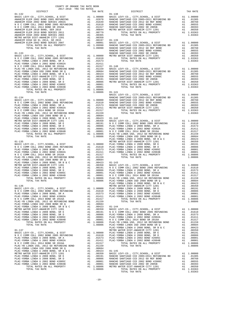| COUNTY OF ORANGE TAX RATE BOOK<br>$2017-2018 \quad \text{TRA RATES}$ DISTRICT $\hspace{2.5cm}$ |          |          |          |
|------------------------------------------------------------------------------------------------|----------|----------|----------|
|                                                                                                | TAX RATE | DISTRICT | TAX RATE |
|                                                                                                |          |          |          |
|                                                                                                |          |          |          |
|                                                                                                |          |          |          |
|                                                                                                |          |          |          |
|                                                                                                |          |          |          |
|                                                                                                |          |          |          |
|                                                                                                |          |          |          |
|                                                                                                |          |          |          |
|                                                                                                |          |          |          |
|                                                                                                |          |          |          |
|                                                                                                |          |          |          |
|                                                                                                |          |          |          |
|                                                                                                |          |          |          |
|                                                                                                |          |          |          |
|                                                                                                |          |          |          |
|                                                                                                |          |          |          |
|                                                                                                |          |          |          |
|                                                                                                |          |          |          |
|                                                                                                |          |          |          |
|                                                                                                |          |          |          |
|                                                                                                |          |          |          |
|                                                                                                |          |          |          |
|                                                                                                |          |          |          |
|                                                                                                |          |          |          |
|                                                                                                |          |          |          |
|                                                                                                |          |          |          |
|                                                                                                |          |          |          |
|                                                                                                |          |          |          |
|                                                                                                |          |          |          |
|                                                                                                |          |          |          |
|                                                                                                |          |          |          |
|                                                                                                |          |          |          |
|                                                                                                |          |          |          |
|                                                                                                |          |          |          |
|                                                                                                |          |          |          |
|                                                                                                |          |          |          |
|                                                                                                |          |          |          |
|                                                                                                |          |          |          |
|                                                                                                |          |          |          |
|                                                                                                |          |          |          |
|                                                                                                |          |          |          |
|                                                                                                |          |          |          |
|                                                                                                |          |          |          |
|                                                                                                |          |          |          |
|                                                                                                |          |          |          |
|                                                                                                |          |          |          |
|                                                                                                |          |          |          |
|                                                                                                |          |          |          |
|                                                                                                |          |          |          |
|                                                                                                |          |          |          |
|                                                                                                |          |          |          |
|                                                                                                |          |          |          |
|                                                                                                |          |          |          |
|                                                                                                |          |          |          |
|                                                                                                |          |          |          |
|                                                                                                |          |          |          |
|                                                                                                |          |          |          |
|                                                                                                |          |          |          |
|                                                                                                |          |          |          |
|                                                                                                |          |          |          |
|                                                                                                |          |          |          |
|                                                                                                |          |          |          |
|                                                                                                |          |          |          |
|                                                                                                |          |          |          |
|                                                                                                |          |          |          |
|                                                                                                |          |          |          |
|                                                                                                |          |          |          |
|                                                                                                |          |          |          |
|                                                                                                |          |          |          |
|                                                                                                |          |          |          |
|                                                                                                |          |          |          |
|                                                                                                |          |          |          |
|                                                                                                |          |          |          |
|                                                                                                |          |          |          |
|                                                                                                |          |          |          |
|                                                                                                |          |          |          |
|                                                                                                |          |          |          |
|                                                                                                |          |          |          |
|                                                                                                |          |          |          |
|                                                                                                |          |          |          |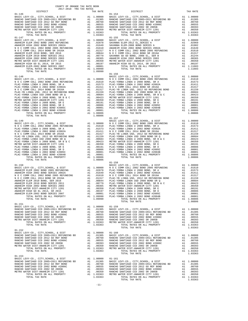| 2017-2018 TRA TAX RATES<br>DISTRICT | TAX RATE | DISTRICT   | TAX RATE |
|-------------------------------------|----------|------------|----------|
| $01 - 146$                          |          | $01 - 154$ |          |
|                                     |          |            |          |
|                                     |          |            |          |
|                                     |          |            |          |
|                                     |          | $01 - 158$ |          |
|                                     |          |            |          |
|                                     |          |            |          |
|                                     |          |            |          |

COUNTY OF ORANGE TAX RATE BOOK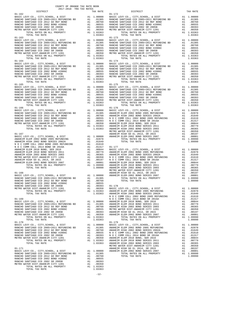| $2017-2018 \quad \text{TRA RATES}$ DISTRICT $2017-2018 \quad \text{TRA TAX RATES}$ | TAX RATE | <b>DISTRICT</b>                                                                                                                                                                                                                                                                                                                                                                 | TAX RATE |
|------------------------------------------------------------------------------------|----------|---------------------------------------------------------------------------------------------------------------------------------------------------------------------------------------------------------------------------------------------------------------------------------------------------------------------------------------------------------------------------------|----------|
| $01 - 162$                                                                         |          | $01 - 172$                                                                                                                                                                                                                                                                                                                                                                      |          |
|                                                                                    |          |                                                                                                                                                                                                                                                                                                                                                                                 |          |
|                                                                                    |          |                                                                                                                                                                                                                                                                                                                                                                                 |          |
|                                                                                    |          |                                                                                                                                                                                                                                                                                                                                                                                 |          |
|                                                                                    |          |                                                                                                                                                                                                                                                                                                                                                                                 |          |
|                                                                                    |          |                                                                                                                                                                                                                                                                                                                                                                                 |          |
|                                                                                    |          |                                                                                                                                                                                                                                                                                                                                                                                 |          |
|                                                                                    |          |                                                                                                                                                                                                                                                                                                                                                                                 |          |
|                                                                                    |          |                                                                                                                                                                                                                                                                                                                                                                                 |          |
|                                                                                    |          |                                                                                                                                                                                                                                                                                                                                                                                 |          |
|                                                                                    |          |                                                                                                                                                                                                                                                                                                                                                                                 |          |
|                                                                                    |          |                                                                                                                                                                                                                                                                                                                                                                                 |          |
|                                                                                    |          |                                                                                                                                                                                                                                                                                                                                                                                 |          |
|                                                                                    |          |                                                                                                                                                                                                                                                                                                                                                                                 |          |
|                                                                                    |          |                                                                                                                                                                                                                                                                                                                                                                                 |          |
|                                                                                    |          |                                                                                                                                                                                                                                                                                                                                                                                 |          |
|                                                                                    |          |                                                                                                                                                                                                                                                                                                                                                                                 |          |
|                                                                                    |          |                                                                                                                                                                                                                                                                                                                                                                                 |          |
|                                                                                    |          |                                                                                                                                                                                                                                                                                                                                                                                 |          |
|                                                                                    |          |                                                                                                                                                                                                                                                                                                                                                                                 |          |
|                                                                                    |          |                                                                                                                                                                                                                                                                                                                                                                                 |          |
|                                                                                    |          |                                                                                                                                                                                                                                                                                                                                                                                 |          |
|                                                                                    |          |                                                                                                                                                                                                                                                                                                                                                                                 |          |
|                                                                                    |          |                                                                                                                                                                                                                                                                                                                                                                                 |          |
|                                                                                    |          |                                                                                                                                                                                                                                                                                                                                                                                 |          |
|                                                                                    |          |                                                                                                                                                                                                                                                                                                                                                                                 |          |
|                                                                                    |          |                                                                                                                                                                                                                                                                                                                                                                                 |          |
|                                                                                    |          |                                                                                                                                                                                                                                                                                                                                                                                 |          |
|                                                                                    |          |                                                                                                                                                                                                                                                                                                                                                                                 |          |
|                                                                                    |          |                                                                                                                                                                                                                                                                                                                                                                                 |          |
|                                                                                    |          |                                                                                                                                                                                                                                                                                                                                                                                 |          |
|                                                                                    |          |                                                                                                                                                                                                                                                                                                                                                                                 |          |
|                                                                                    |          |                                                                                                                                                                                                                                                                                                                                                                                 |          |
|                                                                                    |          |                                                                                                                                                                                                                                                                                                                                                                                 |          |
|                                                                                    |          |                                                                                                                                                                                                                                                                                                                                                                                 |          |
|                                                                                    |          |                                                                                                                                                                                                                                                                                                                                                                                 |          |
|                                                                                    |          |                                                                                                                                                                                                                                                                                                                                                                                 |          |
|                                                                                    |          |                                                                                                                                                                                                                                                                                                                                                                                 |          |
|                                                                                    |          |                                                                                                                                                                                                                                                                                                                                                                                 |          |
|                                                                                    |          |                                                                                                                                                                                                                                                                                                                                                                                 |          |
|                                                                                    |          |                                                                                                                                                                                                                                                                                                                                                                                 |          |
|                                                                                    |          |                                                                                                                                                                                                                                                                                                                                                                                 |          |
|                                                                                    |          |                                                                                                                                                                                                                                                                                                                                                                                 |          |
|                                                                                    |          |                                                                                                                                                                                                                                                                                                                                                                                 |          |
|                                                                                    |          |                                                                                                                                                                                                                                                                                                                                                                                 |          |
|                                                                                    |          |                                                                                                                                                                                                                                                                                                                                                                                 |          |
|                                                                                    |          |                                                                                                                                                                                                                                                                                                                                                                                 |          |
|                                                                                    |          |                                                                                                                                                                                                                                                                                                                                                                                 |          |
|                                                                                    |          |                                                                                                                                                                                                                                                                                                                                                                                 |          |
|                                                                                    |          |                                                                                                                                                                                                                                                                                                                                                                                 |          |
|                                                                                    |          |                                                                                                                                                                                                                                                                                                                                                                                 |          |
|                                                                                    |          |                                                                                                                                                                                                                                                                                                                                                                                 |          |
|                                                                                    |          |                                                                                                                                                                                                                                                                                                                                                                                 |          |
|                                                                                    |          |                                                                                                                                                                                                                                                                                                                                                                                 |          |
|                                                                                    |          |                                                                                                                                                                                                                                                                                                                                                                                 |          |
|                                                                                    |          |                                                                                                                                                                                                                                                                                                                                                                                 |          |
|                                                                                    |          |                                                                                                                                                                                                                                                                                                                                                                                 |          |
|                                                                                    |          |                                                                                                                                                                                                                                                                                                                                                                                 |          |
|                                                                                    |          |                                                                                                                                                                                                                                                                                                                                                                                 |          |
|                                                                                    |          |                                                                                                                                                                                                                                                                                                                                                                                 |          |
|                                                                                    |          |                                                                                                                                                                                                                                                                                                                                                                                 |          |
|                                                                                    |          |                                                                                                                                                                                                                                                                                                                                                                                 |          |
|                                                                                    |          |                                                                                                                                                                                                                                                                                                                                                                                 |          |
|                                                                                    |          |                                                                                                                                                                                                                                                                                                                                                                                 |          |
|                                                                                    |          |                                                                                                                                                                                                                                                                                                                                                                                 |          |
|                                                                                    |          |                                                                                                                                                                                                                                                                                                                                                                                 |          |
|                                                                                    |          |                                                                                                                                                                                                                                                                                                                                                                                 |          |
|                                                                                    |          |                                                                                                                                                                                                                                                                                                                                                                                 |          |
|                                                                                    |          |                                                                                                                                                                                                                                                                                                                                                                                 |          |
|                                                                                    |          |                                                                                                                                                                                                                                                                                                                                                                                 |          |
|                                                                                    |          |                                                                                                                                                                                                                                                                                                                                                                                 |          |
|                                                                                    |          | $\begin{tabular}{cccc} 01-170 & 1014L & 14A R41E & 1.09990 \\ \hline \texttt{BABIC LEV2-CO, CITY, SCHOOL, & DISTT & \texttt{A1 1.0000} BASEIC LEV2-CO, CITY, SCHOOL, & DISTT & \texttt{A1 1.0000} BAGEIC EV2-CO, CITY, SCHOOL, & DISTT & \texttt{A1 1.0000} BAGEICAV-CO, CITY, CEDO, D200E REVUDING & \texttt{A1 1.02000} BRAICLO SAMITIAGO CCD 2002 BOND 2002B AND SEREVUDING$ |          |
|                                                                                    |          |                                                                                                                                                                                                                                                                                                                                                                                 |          |
|                                                                                    |          |                                                                                                                                                                                                                                                                                                                                                                                 |          |
|                                                                                    |          |                                                                                                                                                                                                                                                                                                                                                                                 |          |
|                                                                                    |          |                                                                                                                                                                                                                                                                                                                                                                                 |          |
|                                                                                    |          |                                                                                                                                                                                                                                                                                                                                                                                 |          |
|                                                                                    |          |                                                                                                                                                                                                                                                                                                                                                                                 |          |
|                                                                                    |          |                                                                                                                                                                                                                                                                                                                                                                                 |          |

-12-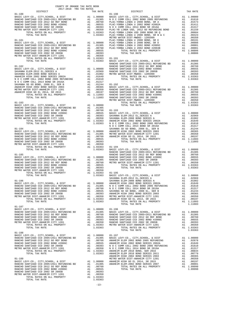| COUNTY OF ORANGE TAX RATE BOOK<br>2017-2018 TRA TAX RATES<br>$2017-2018 \quad \text{TRA RATES}$ DISTRICT $\hspace{2.5cm}$ |          |                                                                                                                                                                                                                                     |          |
|---------------------------------------------------------------------------------------------------------------------------|----------|-------------------------------------------------------------------------------------------------------------------------------------------------------------------------------------------------------------------------------------|----------|
|                                                                                                                           | TAX RATE | DISTRICT                                                                                                                                                                                                                            | TAX RATE |
|                                                                                                                           |          |                                                                                                                                                                                                                                     |          |
|                                                                                                                           |          |                                                                                                                                                                                                                                     |          |
|                                                                                                                           |          |                                                                                                                                                                                                                                     |          |
|                                                                                                                           |          |                                                                                                                                                                                                                                     |          |
|                                                                                                                           |          |                                                                                                                                                                                                                                     |          |
|                                                                                                                           |          |                                                                                                                                                                                                                                     |          |
|                                                                                                                           |          |                                                                                                                                                                                                                                     |          |
|                                                                                                                           |          |                                                                                                                                                                                                                                     |          |
|                                                                                                                           |          |                                                                                                                                                                                                                                     |          |
|                                                                                                                           |          |                                                                                                                                                                                                                                     |          |
|                                                                                                                           |          |                                                                                                                                                                                                                                     |          |
|                                                                                                                           |          |                                                                                                                                                                                                                                     |          |
|                                                                                                                           |          |                                                                                                                                                                                                                                     |          |
|                                                                                                                           |          |                                                                                                                                                                                                                                     |          |
|                                                                                                                           |          |                                                                                                                                                                                                                                     |          |
|                                                                                                                           |          |                                                                                                                                                                                                                                     |          |
|                                                                                                                           |          |                                                                                                                                                                                                                                     |          |
|                                                                                                                           |          |                                                                                                                                                                                                                                     |          |
|                                                                                                                           |          |                                                                                                                                                                                                                                     |          |
|                                                                                                                           |          |                                                                                                                                                                                                                                     |          |
|                                                                                                                           |          |                                                                                                                                                                                                                                     |          |
|                                                                                                                           |          |                                                                                                                                                                                                                                     |          |
|                                                                                                                           |          |                                                                                                                                                                                                                                     |          |
|                                                                                                                           |          |                                                                                                                                                                                                                                     |          |
|                                                                                                                           |          |                                                                                                                                                                                                                                     |          |
|                                                                                                                           |          |                                                                                                                                                                                                                                     |          |
|                                                                                                                           |          |                                                                                                                                                                                                                                     |          |
|                                                                                                                           |          |                                                                                                                                                                                                                                     |          |
|                                                                                                                           |          |                                                                                                                                                                                                                                     |          |
|                                                                                                                           |          |                                                                                                                                                                                                                                     |          |
|                                                                                                                           |          |                                                                                                                                                                                                                                     |          |
|                                                                                                                           |          |                                                                                                                                                                                                                                     |          |
|                                                                                                                           |          |                                                                                                                                                                                                                                     |          |
|                                                                                                                           |          |                                                                                                                                                                                                                                     |          |
|                                                                                                                           |          |                                                                                                                                                                                                                                     |          |
|                                                                                                                           |          |                                                                                                                                                                                                                                     |          |
|                                                                                                                           |          |                                                                                                                                                                                                                                     |          |
|                                                                                                                           |          |                                                                                                                                                                                                                                     |          |
|                                                                                                                           |          |                                                                                                                                                                                                                                     |          |
|                                                                                                                           |          |                                                                                                                                                                                                                                     |          |
|                                                                                                                           |          |                                                                                                                                                                                                                                     |          |
|                                                                                                                           |          |                                                                                                                                                                                                                                     |          |
|                                                                                                                           |          |                                                                                                                                                                                                                                     |          |
|                                                                                                                           |          |                                                                                                                                                                                                                                     |          |
|                                                                                                                           |          |                                                                                                                                                                                                                                     |          |
|                                                                                                                           |          |                                                                                                                                                                                                                                     |          |
|                                                                                                                           |          |                                                                                                                                                                                                                                     |          |
|                                                                                                                           |          |                                                                                                                                                                                                                                     |          |
|                                                                                                                           |          |                                                                                                                                                                                                                                     |          |
|                                                                                                                           |          |                                                                                                                                                                                                                                     |          |
|                                                                                                                           |          |                                                                                                                                                                                                                                     |          |
|                                                                                                                           |          |                                                                                                                                                                                                                                     |          |
|                                                                                                                           |          |                                                                                                                                                                                                                                     |          |
|                                                                                                                           |          |                                                                                                                                                                                                                                     |          |
|                                                                                                                           |          | RANCHO SANTIAGO CCD 2005 +2005 EL COMO COMO COMO COL 2001 AND COMO COL 2001 AND COMO COLL 2014 BOND BE 2016A<br>RANCHO SANTIAGO CCD 2002 BOND #2006C<br>RANCHO SANTIAGO CCD 2002 BOND #2006C<br>AL 0.00555 SAVANNA SD GO BOND, 2008 |          |
| $01 - 187$                                                                                                                |          |                                                                                                                                                                                                                                     |          |
|                                                                                                                           |          |                                                                                                                                                                                                                                     |          |
|                                                                                                                           |          |                                                                                                                                                                                                                                     |          |
|                                                                                                                           |          |                                                                                                                                                                                                                                     |          |
|                                                                                                                           |          |                                                                                                                                                                                                                                     |          |
|                                                                                                                           |          |                                                                                                                                                                                                                                     |          |
|                                                                                                                           |          |                                                                                                                                                                                                                                     |          |
| $01 - 188$                                                                                                                |          |                                                                                                                                                                                                                                     |          |
|                                                                                                                           |          |                                                                                                                                                                                                                                     |          |
|                                                                                                                           |          |                                                                                                                                                                                                                                     |          |
|                                                                                                                           |          |                                                                                                                                                                                                                                     |          |
|                                                                                                                           |          |                                                                                                                                                                                                                                     |          |
|                                                                                                                           |          |                                                                                                                                                                                                                                     |          |
|                                                                                                                           |          |                                                                                                                                                                                                                                     |          |
|                                                                                                                           |          |                                                                                                                                                                                                                                     |          |
|                                                                                                                           |          |                                                                                                                                                                                                                                     |          |
|                                                                                                                           |          |                                                                                                                                                                                                                                     |          |
|                                                                                                                           |          |                                                                                                                                                                                                                                     |          |
|                                                                                                                           |          |                                                                                                                                                                                                                                     |          |
|                                                                                                                           |          |                                                                                                                                                                                                                                     |          |
| TOTAL TAX RATE                                                                                                            | 1.03363  |                                                                                                                                                                                                                                     |          |
|                                                                                                                           |          |                                                                                                                                                                                                                                     |          |

-13-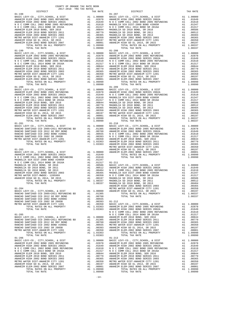|  |                                                                                                                                                                                                                                                                                                                                                                    |                                       | TLTT TAITH                                                                                                                                                                                                                                                                                                                                                                      |
|--|--------------------------------------------------------------------------------------------------------------------------------------------------------------------------------------------------------------------------------------------------------------------------------------------------------------------------------------------------------------------|---------------------------------------|---------------------------------------------------------------------------------------------------------------------------------------------------------------------------------------------------------------------------------------------------------------------------------------------------------------------------------------------------------------------------------|
|  |                                                                                                                                                                                                                                                                                                                                                                    |                                       |                                                                                                                                                                                                                                                                                                                                                                                 |
|  |                                                                                                                                                                                                                                                                                                                                                                    |                                       |                                                                                                                                                                                                                                                                                                                                                                                 |
|  |                                                                                                                                                                                                                                                                                                                                                                    |                                       |                                                                                                                                                                                                                                                                                                                                                                                 |
|  |                                                                                                                                                                                                                                                                                                                                                                    |                                       |                                                                                                                                                                                                                                                                                                                                                                                 |
|  |                                                                                                                                                                                                                                                                                                                                                                    |                                       |                                                                                                                                                                                                                                                                                                                                                                                 |
|  |                                                                                                                                                                                                                                                                                                                                                                    |                                       |                                                                                                                                                                                                                                                                                                                                                                                 |
|  |                                                                                                                                                                                                                                                                                                                                                                    |                                       |                                                                                                                                                                                                                                                                                                                                                                                 |
|  |                                                                                                                                                                                                                                                                                                                                                                    |                                       |                                                                                                                                                                                                                                                                                                                                                                                 |
|  |                                                                                                                                                                                                                                                                                                                                                                    |                                       |                                                                                                                                                                                                                                                                                                                                                                                 |
|  |                                                                                                                                                                                                                                                                                                                                                                    |                                       |                                                                                                                                                                                                                                                                                                                                                                                 |
|  |                                                                                                                                                                                                                                                                                                                                                                    |                                       |                                                                                                                                                                                                                                                                                                                                                                                 |
|  |                                                                                                                                                                                                                                                                                                                                                                    |                                       |                                                                                                                                                                                                                                                                                                                                                                                 |
|  |                                                                                                                                                                                                                                                                                                                                                                    |                                       |                                                                                                                                                                                                                                                                                                                                                                                 |
|  |                                                                                                                                                                                                                                                                                                                                                                    |                                       |                                                                                                                                                                                                                                                                                                                                                                                 |
|  |                                                                                                                                                                                                                                                                                                                                                                    |                                       |                                                                                                                                                                                                                                                                                                                                                                                 |
|  |                                                                                                                                                                                                                                                                                                                                                                    |                                       |                                                                                                                                                                                                                                                                                                                                                                                 |
|  |                                                                                                                                                                                                                                                                                                                                                                    |                                       |                                                                                                                                                                                                                                                                                                                                                                                 |
|  |                                                                                                                                                                                                                                                                                                                                                                    |                                       |                                                                                                                                                                                                                                                                                                                                                                                 |
|  |                                                                                                                                                                                                                                                                                                                                                                    |                                       |                                                                                                                                                                                                                                                                                                                                                                                 |
|  |                                                                                                                                                                                                                                                                                                                                                                    |                                       |                                                                                                                                                                                                                                                                                                                                                                                 |
|  |                                                                                                                                                                                                                                                                                                                                                                    |                                       |                                                                                                                                                                                                                                                                                                                                                                                 |
|  |                                                                                                                                                                                                                                                                                                                                                                    |                                       |                                                                                                                                                                                                                                                                                                                                                                                 |
|  |                                                                                                                                                                                                                                                                                                                                                                    |                                       |                                                                                                                                                                                                                                                                                                                                                                                 |
|  |                                                                                                                                                                                                                                                                                                                                                                    |                                       |                                                                                                                                                                                                                                                                                                                                                                                 |
|  |                                                                                                                                                                                                                                                                                                                                                                    |                                       |                                                                                                                                                                                                                                                                                                                                                                                 |
|  |                                                                                                                                                                                                                                                                                                                                                                    |                                       |                                                                                                                                                                                                                                                                                                                                                                                 |
|  |                                                                                                                                                                                                                                                                                                                                                                    |                                       |                                                                                                                                                                                                                                                                                                                                                                                 |
|  |                                                                                                                                                                                                                                                                                                                                                                    |                                       |                                                                                                                                                                                                                                                                                                                                                                                 |
|  |                                                                                                                                                                                                                                                                                                                                                                    |                                       |                                                                                                                                                                                                                                                                                                                                                                                 |
|  |                                                                                                                                                                                                                                                                                                                                                                    |                                       |                                                                                                                                                                                                                                                                                                                                                                                 |
|  |                                                                                                                                                                                                                                                                                                                                                                    |                                       |                                                                                                                                                                                                                                                                                                                                                                                 |
|  |                                                                                                                                                                                                                                                                                                                                                                    |                                       |                                                                                                                                                                                                                                                                                                                                                                                 |
|  |                                                                                                                                                                                                                                                                                                                                                                    |                                       |                                                                                                                                                                                                                                                                                                                                                                                 |
|  |                                                                                                                                                                                                                                                                                                                                                                    |                                       |                                                                                                                                                                                                                                                                                                                                                                                 |
|  |                                                                                                                                                                                                                                                                                                                                                                    |                                       |                                                                                                                                                                                                                                                                                                                                                                                 |
|  |                                                                                                                                                                                                                                                                                                                                                                    |                                       |                                                                                                                                                                                                                                                                                                                                                                                 |
|  |                                                                                                                                                                                                                                                                                                                                                                    |                                       |                                                                                                                                                                                                                                                                                                                                                                                 |
|  |                                                                                                                                                                                                                                                                                                                                                                    |                                       |                                                                                                                                                                                                                                                                                                                                                                                 |
|  |                                                                                                                                                                                                                                                                                                                                                                    |                                       |                                                                                                                                                                                                                                                                                                                                                                                 |
|  |                                                                                                                                                                                                                                                                                                                                                                    |                                       |                                                                                                                                                                                                                                                                                                                                                                                 |
|  |                                                                                                                                                                                                                                                                                                                                                                    |                                       |                                                                                                                                                                                                                                                                                                                                                                                 |
|  |                                                                                                                                                                                                                                                                                                                                                                    |                                       |                                                                                                                                                                                                                                                                                                                                                                                 |
|  |                                                                                                                                                                                                                                                                                                                                                                    |                                       |                                                                                                                                                                                                                                                                                                                                                                                 |
|  |                                                                                                                                                                                                                                                                                                                                                                    |                                       |                                                                                                                                                                                                                                                                                                                                                                                 |
|  |                                                                                                                                                                                                                                                                                                                                                                    |                                       |                                                                                                                                                                                                                                                                                                                                                                                 |
|  |                                                                                                                                                                                                                                                                                                                                                                    |                                       |                                                                                                                                                                                                                                                                                                                                                                                 |
|  |                                                                                                                                                                                                                                                                                                                                                                    |                                       |                                                                                                                                                                                                                                                                                                                                                                                 |
|  |                                                                                                                                                                                                                                                                                                                                                                    |                                       |                                                                                                                                                                                                                                                                                                                                                                                 |
|  |                                                                                                                                                                                                                                                                                                                                                                    |                                       |                                                                                                                                                                                                                                                                                                                                                                                 |
|  |                                                                                                                                                                                                                                                                                                                                                                    |                                       |                                                                                                                                                                                                                                                                                                                                                                                 |
|  |                                                                                                                                                                                                                                                                                                                                                                    |                                       |                                                                                                                                                                                                                                                                                                                                                                                 |
|  |                                                                                                                                                                                                                                                                                                                                                                    |                                       |                                                                                                                                                                                                                                                                                                                                                                                 |
|  |                                                                                                                                                                                                                                                                                                                                                                    |                                       |                                                                                                                                                                                                                                                                                                                                                                                 |
|  |                                                                                                                                                                                                                                                                                                                                                                    |                                       |                                                                                                                                                                                                                                                                                                                                                                                 |
|  |                                                                                                                                                                                                                                                                                                                                                                    |                                       |                                                                                                                                                                                                                                                                                                                                                                                 |
|  |                                                                                                                                                                                                                                                                                                                                                                    |                                       |                                                                                                                                                                                                                                                                                                                                                                                 |
|  |                                                                                                                                                                                                                                                                                                                                                                    |                                       |                                                                                                                                                                                                                                                                                                                                                                                 |
|  |                                                                                                                                                                                                                                                                                                                                                                    |                                       |                                                                                                                                                                                                                                                                                                                                                                                 |
|  |                                                                                                                                                                                                                                                                                                                                                                    |                                       |                                                                                                                                                                                                                                                                                                                                                                                 |
|  |                                                                                                                                                                                                                                                                                                                                                                    |                                       |                                                                                                                                                                                                                                                                                                                                                                                 |
|  |                                                                                                                                                                                                                                                                                                                                                                    |                                       |                                                                                                                                                                                                                                                                                                                                                                                 |
|  |                                                                                                                                                                                                                                                                                                                                                                    |                                       |                                                                                                                                                                                                                                                                                                                                                                                 |
|  |                                                                                                                                                                                                                                                                                                                                                                    |                                       |                                                                                                                                                                                                                                                                                                                                                                                 |
|  |                                                                                                                                                                                                                                                                                                                                                                    |                                       |                                                                                                                                                                                                                                                                                                                                                                                 |
|  |                                                                                                                                                                                                                                                                                                                                                                    |                                       |                                                                                                                                                                                                                                                                                                                                                                                 |
|  |                                                                                                                                                                                                                                                                                                                                                                    |                                       |                                                                                                                                                                                                                                                                                                                                                                                 |
|  |                                                                                                                                                                                                                                                                                                                                                                    |                                       |                                                                                                                                                                                                                                                                                                                                                                                 |
|  | RANCHO SANTIAGO CCD 2005+2011 REFUNDING BD A1 0.1305 CONDUCT TOTAL RATES ON ALL PROPERTY A1 1.08337<br>PANCHO SANTIAGO CCD 2012 CO BEE BOND                                                                                                                                                                                                                        |                                       |                                                                                                                                                                                                                                                                                                                                                                                 |
|  |                                                                                                                                                                                                                                                                                                                                                                    |                                       |                                                                                                                                                                                                                                                                                                                                                                                 |
|  |                                                                                                                                                                                                                                                                                                                                                                    |                                       |                                                                                                                                                                                                                                                                                                                                                                                 |
|  |                                                                                                                                                                                                                                                                                                                                                                    |                                       |                                                                                                                                                                                                                                                                                                                                                                                 |
|  |                                                                                                                                                                                                                                                                                                                                                                    |                                       |                                                                                                                                                                                                                                                                                                                                                                                 |
|  |                                                                                                                                                                                                                                                                                                                                                                    |                                       |                                                                                                                                                                                                                                                                                                                                                                                 |
|  |                                                                                                                                                                                                                                                                                                                                                                    |                                       |                                                                                                                                                                                                                                                                                                                                                                                 |
|  |                                                                                                                                                                                                                                                                                                                                                                    |                                       |                                                                                                                                                                                                                                                                                                                                                                                 |
|  |                                                                                                                                                                                                                                                                                                                                                                    |                                       |                                                                                                                                                                                                                                                                                                                                                                                 |
|  |                                                                                                                                                                                                                                                                                                                                                                    |                                       |                                                                                                                                                                                                                                                                                                                                                                                 |
|  |                                                                                                                                                                                                                                                                                                                                                                    |                                       |                                                                                                                                                                                                                                                                                                                                                                                 |
|  |                                                                                                                                                                                                                                                                                                                                                                    |                                       |                                                                                                                                                                                                                                                                                                                                                                                 |
|  |                                                                                                                                                                                                                                                                                                                                                                    |                                       |                                                                                                                                                                                                                                                                                                                                                                                 |
|  |                                                                                                                                                                                                                                                                                                                                                                    |                                       |                                                                                                                                                                                                                                                                                                                                                                                 |
|  |                                                                                                                                                                                                                                                                                                                                                                    |                                       |                                                                                                                                                                                                                                                                                                                                                                                 |
|  |                                                                                                                                                                                                                                                                                                                                                                    |                                       |                                                                                                                                                                                                                                                                                                                                                                                 |
|  |                                                                                                                                                                                                                                                                                                                                                                    |                                       |                                                                                                                                                                                                                                                                                                                                                                                 |
|  |                                                                                                                                                                                                                                                                                                                                                                    |                                       |                                                                                                                                                                                                                                                                                                                                                                                 |
|  |                                                                                                                                                                                                                                                                                                                                                                    |                                       |                                                                                                                                                                                                                                                                                                                                                                                 |
|  |                                                                                                                                                                                                                                                                                                                                                                    |                                       |                                                                                                                                                                                                                                                                                                                                                                                 |
|  |                                                                                                                                                                                                                                                                                                                                                                    |                                       |                                                                                                                                                                                                                                                                                                                                                                                 |
|  | $\begin{tabular}{cccccccc} BABC & EW^* \hbox{CO} & 0.1177, 8\text{CHOO}, & 6 & 1577 \\ \text{RAMCHO SAMTHAO CCD } 2005 + 2011 & 8 \text{REV} & 8000 \\ \text{RAMCHO SAMTHAO CCD } 2005 + 2011 & 8 \text{REV} & 10010 \\ \text{RAMCHO SAMTHAO CCD } 2005 + 2011 & 8 \text{REV} & 10010 \\ \text{RAMCHO SAMTHAO CCD } 2002 & 80800 & 8000 \\ \text{RAMCHO SAMTHAO C$ |                                       |                                                                                                                                                                                                                                                                                                                                                                                 |
|  | tru nait                                                                                                                                                                                                                                                                                                                                                           | ---------<br>$01 - 207$<br>$01 - 210$ | $\begin{array}{ cccccccc } \hline & \text{1--201} & \text{1--202} & \text{1--203} & \text{1--212} & \text{1--204} & \text{1--205} & \text{1--206} & \text{1--210} & \text{1--211} & \text{1--222} & \text{1--231} & \text{1--232} & \text{1--233} & \text{1--231} & \text{1--232} & \text{1--233} & \text{1--231} & \text{1--232} & \text{1--233} & \text{1--233} & \text{1--2$ |

| $\begin{tabular}{l c c c c c c} \multicolumn{4}{c}{\textbf{N O C COMM COLL 2014 BOND SR 2016A} & \multicolumn{4}{c}{\textbf{A1}} & .01317 & \multicolumn{4}{c}{\textbf{N O C COMM COLL 2014 BOND SR 2016A} & \multicolumn{4}{c}{\textbf{A1}} & .01317 \\ \multicolumn{4}{c}{\textbf{ANAEEM ELEM 2010 BOND SER 2016} & \multicolumn{4}{c}{\textbf{A1}} & .00364 & \multicolumn{4}{c}{\textbf{A1}} & .0047$ |  |  |  |
|-----------------------------------------------------------------------------------------------------------------------------------------------------------------------------------------------------------------------------------------------------------------------------------------------------------------------------------------------------------------------------------------------------------|--|--|--|
|                                                                                                                                                                                                                                                                                                                                                                                                           |  |  |  |
|                                                                                                                                                                                                                                                                                                                                                                                                           |  |  |  |
|                                                                                                                                                                                                                                                                                                                                                                                                           |  |  |  |
|                                                                                                                                                                                                                                                                                                                                                                                                           |  |  |  |
|                                                                                                                                                                                                                                                                                                                                                                                                           |  |  |  |
|                                                                                                                                                                                                                                                                                                                                                                                                           |  |  |  |
|                                                                                                                                                                                                                                                                                                                                                                                                           |  |  |  |
|                                                                                                                                                                                                                                                                                                                                                                                                           |  |  |  |
|                                                                                                                                                                                                                                                                                                                                                                                                           |  |  |  |
|                                                                                                                                                                                                                                                                                                                                                                                                           |  |  |  |
|                                                                                                                                                                                                                                                                                                                                                                                                           |  |  |  |
|                                                                                                                                                                                                                                                                                                                                                                                                           |  |  |  |
|                                                                                                                                                                                                                                                                                                                                                                                                           |  |  |  |
|                                                                                                                                                                                                                                                                                                                                                                                                           |  |  |  |
|                                                                                                                                                                                                                                                                                                                                                                                                           |  |  |  |
|                                                                                                                                                                                                                                                                                                                                                                                                           |  |  |  |
|                                                                                                                                                                                                                                                                                                                                                                                                           |  |  |  |
|                                                                                                                                                                                                                                                                                                                                                                                                           |  |  |  |
|                                                                                                                                                                                                                                                                                                                                                                                                           |  |  |  |
|                                                                                                                                                                                                                                                                                                                                                                                                           |  |  |  |
|                                                                                                                                                                                                                                                                                                                                                                                                           |  |  |  |
|                                                                                                                                                                                                                                                                                                                                                                                                           |  |  |  |
|                                                                                                                                                                                                                                                                                                                                                                                                           |  |  |  |
|                                                                                                                                                                                                                                                                                                                                                                                                           |  |  |  |
|                                                                                                                                                                                                                                                                                                                                                                                                           |  |  |  |
|                                                                                                                                                                                                                                                                                                                                                                                                           |  |  |  |
|                                                                                                                                                                                                                                                                                                                                                                                                           |  |  |  |
|                                                                                                                                                                                                                                                                                                                                                                                                           |  |  |  |
|                                                                                                                                                                                                                                                                                                                                                                                                           |  |  |  |
|                                                                                                                                                                                                                                                                                                                                                                                                           |  |  |  |
|                                                                                                                                                                                                                                                                                                                                                                                                           |  |  |  |
|                                                                                                                                                                                                                                                                                                                                                                                                           |  |  |  |
|                                                                                                                                                                                                                                                                                                                                                                                                           |  |  |  |
|                                                                                                                                                                                                                                                                                                                                                                                                           |  |  |  |
|                                                                                                                                                                                                                                                                                                                                                                                                           |  |  |  |
|                                                                                                                                                                                                                                                                                                                                                                                                           |  |  |  |
|                                                                                                                                                                                                                                                                                                                                                                                                           |  |  |  |
|                                                                                                                                                                                                                                                                                                                                                                                                           |  |  |  |
|                                                                                                                                                                                                                                                                                                                                                                                                           |  |  |  |
|                                                                                                                                                                                                                                                                                                                                                                                                           |  |  |  |
|                                                                                                                                                                                                                                                                                                                                                                                                           |  |  |  |
|                                                                                                                                                                                                                                                                                                                                                                                                           |  |  |  |
|                                                                                                                                                                                                                                                                                                                                                                                                           |  |  |  |
|                                                                                                                                                                                                                                                                                                                                                                                                           |  |  |  |
|                                                                                                                                                                                                                                                                                                                                                                                                           |  |  |  |
|                                                                                                                                                                                                                                                                                                                                                                                                           |  |  |  |
|                                                                                                                                                                                                                                                                                                                                                                                                           |  |  |  |
|                                                                                                                                                                                                                                                                                                                                                                                                           |  |  |  |
|                                                                                                                                                                                                                                                                                                                                                                                                           |  |  |  |
|                                                                                                                                                                                                                                                                                                                                                                                                           |  |  |  |
|                                                                                                                                                                                                                                                                                                                                                                                                           |  |  |  |
|                                                                                                                                                                                                                                                                                                                                                                                                           |  |  |  |
| $\begin{tabular}{c c c c c} \hline \textsc{19TA} \textsc{RATE} & \textsc{10R} & \textsc{10R} & \textsc{10R} & \textsc{10R} & \textsc{10R} & \textsc{10R} & \textsc{10R} & \textsc{10R} & \textsc{10R} & \textsc{10R} & \textsc{10R} & \textsc{10R} & \textsc{10R} \\ \hline \textsc{10R} & \textsc{10R} & \textsc{10R} & \textsc{10R} & \textsc{10R} & \textsc{10R} & \textsc{10R} & \text$               |  |  |  |
|                                                                                                                                                                                                                                                                                                                                                                                                           |  |  |  |
|                                                                                                                                                                                                                                                                                                                                                                                                           |  |  |  |
|                                                                                                                                                                                                                                                                                                                                                                                                           |  |  |  |
|                                                                                                                                                                                                                                                                                                                                                                                                           |  |  |  |
|                                                                                                                                                                                                                                                                                                                                                                                                           |  |  |  |
|                                                                                                                                                                                                                                                                                                                                                                                                           |  |  |  |
|                                                                                                                                                                                                                                                                                                                                                                                                           |  |  |  |
|                                                                                                                                                                                                                                                                                                                                                                                                           |  |  |  |
|                                                                                                                                                                                                                                                                                                                                                                                                           |  |  |  |
|                                                                                                                                                                                                                                                                                                                                                                                                           |  |  |  |

-14-

COUNTY OF ORANGE TAX RATE BOOK 2017-2018 TRA TAX RATES

DISTRICT TAX RATE DISTRICT TAX RATE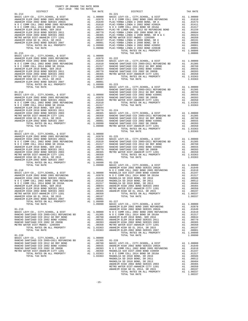| DISTRICT   | 2017-2018 TRA TAX RATES<br>TAX RATE | DISTRICT                                                                                                                                                                                                                                                                                                                  | TAX RATE |
|------------|-------------------------------------|---------------------------------------------------------------------------------------------------------------------------------------------------------------------------------------------------------------------------------------------------------------------------------------------------------------------------|----------|
| $01 - 214$ |                                     | $01 - 221$                                                                                                                                                                                                                                                                                                                |          |
|            |                                     |                                                                                                                                                                                                                                                                                                                           |          |
|            |                                     |                                                                                                                                                                                                                                                                                                                           |          |
|            |                                     |                                                                                                                                                                                                                                                                                                                           |          |
|            |                                     |                                                                                                                                                                                                                                                                                                                           |          |
|            |                                     |                                                                                                                                                                                                                                                                                                                           |          |
|            |                                     |                                                                                                                                                                                                                                                                                                                           |          |
|            |                                     |                                                                                                                                                                                                                                                                                                                           |          |
|            |                                     |                                                                                                                                                                                                                                                                                                                           |          |
|            |                                     |                                                                                                                                                                                                                                                                                                                           |          |
|            |                                     |                                                                                                                                                                                                                                                                                                                           |          |
|            |                                     |                                                                                                                                                                                                                                                                                                                           |          |
|            |                                     |                                                                                                                                                                                                                                                                                                                           |          |
|            |                                     |                                                                                                                                                                                                                                                                                                                           |          |
|            |                                     |                                                                                                                                                                                                                                                                                                                           |          |
|            |                                     |                                                                                                                                                                                                                                                                                                                           |          |
|            |                                     |                                                                                                                                                                                                                                                                                                                           |          |
|            |                                     |                                                                                                                                                                                                                                                                                                                           |          |
|            |                                     |                                                                                                                                                                                                                                                                                                                           |          |
|            |                                     |                                                                                                                                                                                                                                                                                                                           |          |
|            |                                     |                                                                                                                                                                                                                                                                                                                           |          |
|            |                                     |                                                                                                                                                                                                                                                                                                                           |          |
|            |                                     |                                                                                                                                                                                                                                                                                                                           |          |
|            |                                     |                                                                                                                                                                                                                                                                                                                           |          |
|            |                                     |                                                                                                                                                                                                                                                                                                                           |          |
|            |                                     |                                                                                                                                                                                                                                                                                                                           |          |
|            |                                     |                                                                                                                                                                                                                                                                                                                           |          |
|            |                                     |                                                                                                                                                                                                                                                                                                                           |          |
|            |                                     |                                                                                                                                                                                                                                                                                                                           |          |
|            |                                     |                                                                                                                                                                                                                                                                                                                           |          |
|            |                                     |                                                                                                                                                                                                                                                                                                                           |          |
|            |                                     |                                                                                                                                                                                                                                                                                                                           |          |
|            |                                     |                                                                                                                                                                                                                                                                                                                           |          |
|            |                                     |                                                                                                                                                                                                                                                                                                                           |          |
|            |                                     |                                                                                                                                                                                                                                                                                                                           |          |
|            |                                     | TOTAL TAX RATE                                                                                                                                                                                                                                                                                                            | 1.03363  |
|            |                                     |                                                                                                                                                                                                                                                                                                                           |          |
|            |                                     |                                                                                                                                                                                                                                                                                                                           |          |
|            |                                     |                                                                                                                                                                                                                                                                                                                           |          |
|            |                                     |                                                                                                                                                                                                                                                                                                                           |          |
|            |                                     |                                                                                                                                                                                                                                                                                                                           |          |
|            |                                     |                                                                                                                                                                                                                                                                                                                           |          |
|            |                                     |                                                                                                                                                                                                                                                                                                                           |          |
|            |                                     |                                                                                                                                                                                                                                                                                                                           |          |
|            |                                     |                                                                                                                                                                                                                                                                                                                           |          |
|            |                                     |                                                                                                                                                                                                                                                                                                                           |          |
|            |                                     |                                                                                                                                                                                                                                                                                                                           |          |
|            |                                     |                                                                                                                                                                                                                                                                                                                           |          |
|            |                                     |                                                                                                                                                                                                                                                                                                                           |          |
|            |                                     |                                                                                                                                                                                                                                                                                                                           |          |
|            |                                     |                                                                                                                                                                                                                                                                                                                           |          |
|            |                                     |                                                                                                                                                                                                                                                                                                                           |          |
|            |                                     |                                                                                                                                                                                                                                                                                                                           |          |
|            |                                     |                                                                                                                                                                                                                                                                                                                           |          |
|            |                                     |                                                                                                                                                                                                                                                                                                                           |          |
|            |                                     |                                                                                                                                                                                                                                                                                                                           |          |
|            |                                     | $\begin{tabular}{l cccc} {\bf AMBE1H & ELEM & 2010 BODW & 25R1ES & 2011 & 11.00779 & 10R1ES & 0R1ES & 2011 & 11.00359 \\ \hline \text{ARAB1E1H & ELEM & 2010 BODW & 25R1ES & 2011 & 11.00359 & 11.00359 \\ \text{ARAB1E1H & EIEM & 2010 BODW & 25R1ES & 2011 & 11.00001 & 10.0000 \\ \text{ARAB1E1H & EIEM & 2010 BODW &$ |          |
|            |                                     |                                                                                                                                                                                                                                                                                                                           |          |
|            |                                     |                                                                                                                                                                                                                                                                                                                           |          |
|            |                                     |                                                                                                                                                                                                                                                                                                                           |          |
|            |                                     |                                                                                                                                                                                                                                                                                                                           |          |
|            |                                     |                                                                                                                                                                                                                                                                                                                           |          |
|            |                                     |                                                                                                                                                                                                                                                                                                                           |          |
|            |                                     |                                                                                                                                                                                                                                                                                                                           |          |
|            |                                     |                                                                                                                                                                                                                                                                                                                           |          |
|            |                                     |                                                                                                                                                                                                                                                                                                                           |          |
|            |                                     |                                                                                                                                                                                                                                                                                                                           |          |
|            |                                     |                                                                                                                                                                                                                                                                                                                           |          |
|            |                                     |                                                                                                                                                                                                                                                                                                                           |          |
|            |                                     |                                                                                                                                                                                                                                                                                                                           |          |
|            |                                     |                                                                                                                                                                                                                                                                                                                           |          |
|            |                                     |                                                                                                                                                                                                                                                                                                                           |          |
|            |                                     |                                                                                                                                                                                                                                                                                                                           |          |
|            |                                     |                                                                                                                                                                                                                                                                                                                           |          |
|            |                                     |                                                                                                                                                                                                                                                                                                                           |          |
|            |                                     |                                                                                                                                                                                                                                                                                                                           |          |
|            |                                     |                                                                                                                                                                                                                                                                                                                           |          |
|            |                                     |                                                                                                                                                                                                                                                                                                                           |          |
|            |                                     |                                                                                                                                                                                                                                                                                                                           |          |
|            |                                     |                                                                                                                                                                                                                                                                                                                           |          |
|            |                                     |                                                                                                                                                                                                                                                                                                                           |          |

COUNTY OF ORANGE TAX RATE BOOK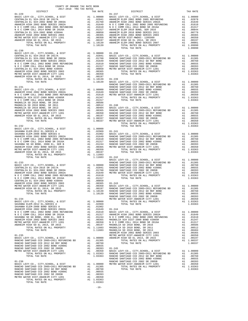| TAX RATE<br>DISTRICT                                                                                                                                                                                                          |  | DISTRICT       | TAX RATE |
|-------------------------------------------------------------------------------------------------------------------------------------------------------------------------------------------------------------------------------|--|----------------|----------|
| $01 - 229$                                                                                                                                                                                                                    |  |                |          |
|                                                                                                                                                                                                                               |  |                |          |
|                                                                                                                                                                                                                               |  |                |          |
|                                                                                                                                                                                                                               |  |                |          |
|                                                                                                                                                                                                                               |  |                |          |
|                                                                                                                                                                                                                               |  |                |          |
|                                                                                                                                                                                                                               |  |                |          |
|                                                                                                                                                                                                                               |  |                |          |
|                                                                                                                                                                                                                               |  |                |          |
|                                                                                                                                                                                                                               |  |                |          |
|                                                                                                                                                                                                                               |  |                |          |
|                                                                                                                                                                                                                               |  |                |          |
|                                                                                                                                                                                                                               |  |                |          |
|                                                                                                                                                                                                                               |  |                |          |
|                                                                                                                                                                                                                               |  |                |          |
|                                                                                                                                                                                                                               |  |                |          |
|                                                                                                                                                                                                                               |  |                |          |
|                                                                                                                                                                                                                               |  |                |          |
|                                                                                                                                                                                                                               |  |                |          |
|                                                                                                                                                                                                                               |  |                |          |
|                                                                                                                                                                                                                               |  |                |          |
|                                                                                                                                                                                                                               |  |                |          |
|                                                                                                                                                                                                                               |  |                |          |
|                                                                                                                                                                                                                               |  |                |          |
|                                                                                                                                                                                                                               |  |                |          |
|                                                                                                                                                                                                                               |  |                |          |
|                                                                                                                                                                                                                               |  |                |          |
|                                                                                                                                                                                                                               |  |                |          |
|                                                                                                                                                                                                                               |  |                |          |
|                                                                                                                                                                                                                               |  |                |          |
|                                                                                                                                                                                                                               |  |                |          |
|                                                                                                                                                                                                                               |  |                |          |
|                                                                                                                                                                                                                               |  |                |          |
|                                                                                                                                                                                                                               |  |                |          |
|                                                                                                                                                                                                                               |  |                |          |
|                                                                                                                                                                                                                               |  |                |          |
|                                                                                                                                                                                                                               |  |                |          |
|                                                                                                                                                                                                                               |  |                |          |
| $01 - 232$                                                                                                                                                                                                                    |  | TOTAL TAX RATE | 1.03363  |
|                                                                                                                                                                                                                               |  |                |          |
|                                                                                                                                                                                                                               |  |                |          |
|                                                                                                                                                                                                                               |  |                |          |
|                                                                                                                                                                                                                               |  |                |          |
|                                                                                                                                                                                                                               |  |                |          |
|                                                                                                                                                                                                                               |  |                |          |
|                                                                                                                                                                                                                               |  |                |          |
|                                                                                                                                                                                                                               |  |                |          |
|                                                                                                                                                                                                                               |  |                |          |
|                                                                                                                                                                                                                               |  |                |          |
|                                                                                                                                                                                                                               |  |                |          |
|                                                                                                                                                                                                                               |  |                |          |
|                                                                                                                                                                                                                               |  |                |          |
|                                                                                                                                                                                                                               |  |                |          |
|                                                                                                                                                                                                                               |  |                |          |
|                                                                                                                                                                                                                               |  |                |          |
|                                                                                                                                                                                                                               |  |                |          |
|                                                                                                                                                                                                                               |  |                |          |
|                                                                                                                                                                                                                               |  |                |          |
|                                                                                                                                                                                                                               |  |                |          |
|                                                                                                                                                                                                                               |  |                |          |
|                                                                                                                                                                                                                               |  |                |          |
|                                                                                                                                                                                                                               |  |                |          |
|                                                                                                                                                                                                                               |  |                |          |
|                                                                                                                                                                                                                               |  |                |          |
|                                                                                                                                                                                                                               |  |                |          |
|                                                                                                                                                                                                                               |  |                |          |
|                                                                                                                                                                                                                               |  |                |          |
|                                                                                                                                                                                                                               |  |                |          |
|                                                                                                                                                                                                                               |  |                |          |
|                                                                                                                                                                                                                               |  |                |          |
|                                                                                                                                                                                                                               |  |                |          |
|                                                                                                                                                                                                                               |  |                |          |
|                                                                                                                                                                                                                               |  |                |          |
|                                                                                                                                                                                                                               |  |                |          |
|                                                                                                                                                                                                                               |  |                |          |
|                                                                                                                                                                                                                               |  |                |          |
|                                                                                                                                                                                                                               |  |                |          |
|                                                                                                                                                                                                                               |  |                |          |
|                                                                                                                                                                                                                               |  |                |          |
|                                                                                                                                                                                                                               |  |                |          |
|                                                                                                                                                                                                                               |  |                |          |
|                                                                                                                                                                                                                               |  |                |          |
|                                                                                                                                                                                                                               |  |                |          |
|                                                                                                                                                                                                                               |  |                |          |
|                                                                                                                                                                                                                               |  |                |          |
|                                                                                                                                                                                                                               |  |                |          |
|                                                                                                                                                                                                                               |  |                |          |
|                                                                                                                                                                                                                               |  |                |          |
|                                                                                                                                                                                                                               |  |                |          |
|                                                                                                                                                                                                                               |  |                |          |
| ARAAN MARKET HIGH OR AN 1990 MARKET AN 1990 MAN 1990 MAN 1990 MAN 1990 MAN 1990 MAN 1990 MAN 1990 MAN 1990 MAN 1990 MAN 1990 MAN 1990 MAN 1990 MAN 1990 MAN 1990 MAN 1990 MAN 1990 MAN 1990 MAN 1990 MAN 1990 MAN 1990 MAN 19 |  |                |          |
|                                                                                                                                                                                                                               |  |                |          |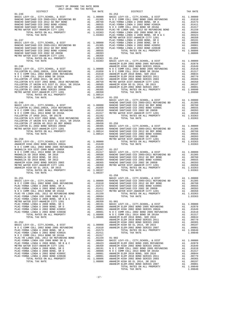| $2017-2018 \quad \text{TRA TAX RATES}$ DISTRICT                                                                                                                                                                                                                                |  | TAX RATE DISTRICT |  |
|--------------------------------------------------------------------------------------------------------------------------------------------------------------------------------------------------------------------------------------------------------------------------------|--|-------------------|--|
|                                                                                                                                                                                                                                                                                |  |                   |  |
|                                                                                                                                                                                                                                                                                |  |                   |  |
|                                                                                                                                                                                                                                                                                |  |                   |  |
|                                                                                                                                                                                                                                                                                |  |                   |  |
|                                                                                                                                                                                                                                                                                |  |                   |  |
|                                                                                                                                                                                                                                                                                |  |                   |  |
|                                                                                                                                                                                                                                                                                |  |                   |  |
|                                                                                                                                                                                                                                                                                |  |                   |  |
|                                                                                                                                                                                                                                                                                |  |                   |  |
|                                                                                                                                                                                                                                                                                |  |                   |  |
|                                                                                                                                                                                                                                                                                |  |                   |  |
|                                                                                                                                                                                                                                                                                |  |                   |  |
|                                                                                                                                                                                                                                                                                |  |                   |  |
|                                                                                                                                                                                                                                                                                |  |                   |  |
|                                                                                                                                                                                                                                                                                |  |                   |  |
|                                                                                                                                                                                                                                                                                |  |                   |  |
|                                                                                                                                                                                                                                                                                |  |                   |  |
|                                                                                                                                                                                                                                                                                |  |                   |  |
|                                                                                                                                                                                                                                                                                |  |                   |  |
|                                                                                                                                                                                                                                                                                |  |                   |  |
|                                                                                                                                                                                                                                                                                |  |                   |  |
|                                                                                                                                                                                                                                                                                |  |                   |  |
|                                                                                                                                                                                                                                                                                |  |                   |  |
|                                                                                                                                                                                                                                                                                |  |                   |  |
|                                                                                                                                                                                                                                                                                |  |                   |  |
|                                                                                                                                                                                                                                                                                |  |                   |  |
|                                                                                                                                                                                                                                                                                |  |                   |  |
|                                                                                                                                                                                                                                                                                |  |                   |  |
|                                                                                                                                                                                                                                                                                |  |                   |  |
|                                                                                                                                                                                                                                                                                |  |                   |  |
|                                                                                                                                                                                                                                                                                |  |                   |  |
|                                                                                                                                                                                                                                                                                |  |                   |  |
|                                                                                                                                                                                                                                                                                |  |                   |  |
|                                                                                                                                                                                                                                                                                |  |                   |  |
|                                                                                                                                                                                                                                                                                |  |                   |  |
|                                                                                                                                                                                                                                                                                |  |                   |  |
|                                                                                                                                                                                                                                                                                |  |                   |  |
|                                                                                                                                                                                                                                                                                |  |                   |  |
|                                                                                                                                                                                                                                                                                |  |                   |  |
|                                                                                                                                                                                                                                                                                |  |                   |  |
|                                                                                                                                                                                                                                                                                |  |                   |  |
|                                                                                                                                                                                                                                                                                |  |                   |  |
|                                                                                                                                                                                                                                                                                |  |                   |  |
|                                                                                                                                                                                                                                                                                |  |                   |  |
|                                                                                                                                                                                                                                                                                |  |                   |  |
|                                                                                                                                                                                                                                                                                |  |                   |  |
|                                                                                                                                                                                                                                                                                |  |                   |  |
|                                                                                                                                                                                                                                                                                |  |                   |  |
|                                                                                                                                                                                                                                                                                |  |                   |  |
|                                                                                                                                                                                                                                                                                |  |                   |  |
|                                                                                                                                                                                                                                                                                |  |                   |  |
|                                                                                                                                                                                                                                                                                |  |                   |  |
|                                                                                                                                                                                                                                                                                |  |                   |  |
|                                                                                                                                                                                                                                                                                |  |                   |  |
|                                                                                                                                                                                                                                                                                |  |                   |  |
|                                                                                                                                                                                                                                                                                |  |                   |  |
|                                                                                                                                                                                                                                                                                |  |                   |  |
|                                                                                                                                                                                                                                                                                |  |                   |  |
|                                                                                                                                                                                                                                                                                |  |                   |  |
|                                                                                                                                                                                                                                                                                |  |                   |  |
|                                                                                                                                                                                                                                                                                |  |                   |  |
|                                                                                                                                                                                                                                                                                |  |                   |  |
|                                                                                                                                                                                                                                                                                |  |                   |  |
|                                                                                                                                                                                                                                                                                |  |                   |  |
|                                                                                                                                                                                                                                                                                |  |                   |  |
|                                                                                                                                                                                                                                                                                |  |                   |  |
|                                                                                                                                                                                                                                                                                |  |                   |  |
|                                                                                                                                                                                                                                                                                |  |                   |  |
|                                                                                                                                                                                                                                                                                |  |                   |  |
|                                                                                                                                                                                                                                                                                |  |                   |  |
|                                                                                                                                                                                                                                                                                |  |                   |  |
|                                                                                                                                                                                                                                                                                |  |                   |  |
|                                                                                                                                                                                                                                                                                |  |                   |  |
|                                                                                                                                                                                                                                                                                |  |                   |  |
|                                                                                                                                                                                                                                                                                |  |                   |  |
|                                                                                                                                                                                                                                                                                |  |                   |  |
|                                                                                                                                                                                                                                                                                |  |                   |  |
|                                                                                                                                                                                                                                                                                |  |                   |  |
|                                                                                                                                                                                                                                                                                |  |                   |  |
| $\begin{array}{cccccc} 0.7 & 0.7 & 0.01 & 0.01 & 0.01 & 0.01 & 0.01 & 0.01 & 0.01 & 0.01 & 0.01 & 0.01 & 0.01 & 0.01 & 0.01 & 0.01 & 0.01 & 0.01 & 0.01 & 0.01 & 0.01 & 0.01 & 0.01 & 0.01 & 0.01 & 0.01 & 0.01 & 0.01 & 0.01 & 0.01 & 0.01 & 0.01 & 0.01 & 0.01 & 0.01 & 0.0$ |  |                   |  |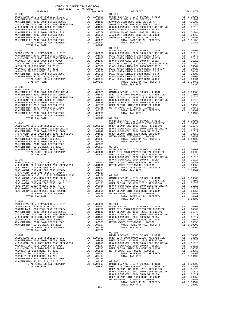| COUNTY OF ORANGE TAX RATE BOOK<br>2017-2018 TRA TAX RATES |    |                                                                                                                                                                                                                                                                                                                        |                                    |                |                |                |                |           |                |           |           |           |           |           |           |             |           |           |             |   |  |
|-----------------------------------------------------------|----|------------------------------------------------------------------------------------------------------------------------------------------------------------------------------------------------------------------------------------------------------------------------------------------------------------------------|------------------------------------|----------------|----------------|----------------|----------------|-----------|----------------|-----------|-----------|-----------|-----------|-----------|-----------|-------------|-----------|-----------|-------------|---|--|
| DISTRICT<br>$01 - 903$                                    |    | $\begin{array}{lllll} \textsc{max} & \textsc{max} & \textsc{max} \\ \textsc{max} & \textsc{max} & \textsc{max} \\ \textsc{max} & \textsc{max} & \textsc{max} \\ \textsc{max} & \textsc{max} & \textsc{max} \\ \textsc{max} & \textsc{max} & \textsc{max} \\ \textsc{max} & \textsc{max} & \textsc{max} \\ \end{array}$ | TAX RATE                           |                |                |                |                |           |                |           |           |           |           |           |           |             |           |           |             |   |  |
|                                                           |    |                                                                                                                                                                                                                                                                                                                        |                                    |                |                |                |                |           |                |           |           |           |           |           |           |             |           |           |             |   |  |
|                                                           |    |                                                                                                                                                                                                                                                                                                                        |                                    |                |                |                |                |           |                |           |           |           |           |           |           |             |           |           |             |   |  |
|                                                           |    |                                                                                                                                                                                                                                                                                                                        |                                    |                |                |                |                |           |                |           |           |           |           |           |           |             |           |           |             |   |  |
|                                                           |    |                                                                                                                                                                                                                                                                                                                        |                                    |                |                |                |                |           |                |           |           |           |           |           |           |             |           |           |             |   |  |
|                                                           |    |                                                                                                                                                                                                                                                                                                                        |                                    |                |                |                |                |           |                |           |           |           |           |           |           |             |           |           |             |   |  |
|                                                           |    |                                                                                                                                                                                                                                                                                                                        |                                    |                |                |                |                |           |                |           |           |           |           |           |           |             |           |           |             |   |  |
|                                                           |    |                                                                                                                                                                                                                                                                                                                        |                                    |                |                |                |                |           |                |           |           |           |           |           |           |             |           |           |             |   |  |
|                                                           |    |                                                                                                                                                                                                                                                                                                                        |                                    |                |                |                |                |           |                |           |           |           |           |           |           |             |           |           |             |   |  |
|                                                           |    |                                                                                                                                                                                                                                                                                                                        |                                    |                |                |                |                |           |                |           |           |           |           |           |           |             |           |           |             |   |  |
|                                                           |    | $01 - 911$                                                                                                                                                                                                                                                                                                             |                                    |                |                |                |                |           |                |           |           |           |           |           |           |             |           |           |             |   |  |
|                                                           |    |                                                                                                                                                                                                                                                                                                                        |                                    |                |                |                |                |           |                |           |           |           |           |           |           |             |           |           |             |   |  |
|                                                           |    |                                                                                                                                                                                                                                                                                                                        |                                    |                |                |                |                |           |                |           |           |           |           |           |           |             |           |           |             |   |  |
|                                                           |    |                                                                                                                                                                                                                                                                                                                        |                                    |                |                |                |                |           |                |           |           |           |           |           |           |             |           |           |             |   |  |
|                                                           |    |                                                                                                                                                                                                                                                                                                                        |                                    |                |                |                |                |           |                |           |           |           |           |           |           |             |           |           |             |   |  |
|                                                           |    |                                                                                                                                                                                                                                                                                                                        |                                    |                |                |                |                |           |                |           |           |           |           |           |           |             |           |           |             |   |  |
|                                                           |    |                                                                                                                                                                                                                                                                                                                        |                                    |                |                |                |                |           |                |           |           |           |           |           |           |             |           |           |             |   |  |
|                                                           |    |                                                                                                                                                                                                                                                                                                                        |                                    |                |                |                |                |           |                |           |           |           |           |           |           |             |           |           |             |   |  |
|                                                           |    |                                                                                                                                                                                                                                                                                                                        |                                    |                |                |                |                |           |                |           |           |           |           |           |           |             |           |           |             |   |  |
|                                                           |    |                                                                                                                                                                                                                                                                                                                        |                                    |                |                |                |                |           |                |           |           |           |           |           |           |             |           |           |             |   |  |
|                                                           |    |                                                                                                                                                                                                                                                                                                                        |                                    |                |                |                |                |           |                |           |           |           |           |           |           |             |           |           |             |   |  |
| $01 - 905$                                                |    |                                                                                                                                                                                                                                                                                                                        |                                    |                |                |                |                |           |                |           |           |           |           |           |           |             |           |           |             |   |  |
|                                                           |    |                                                                                                                                                                                                                                                                                                                        |                                    |                |                |                |                |           |                |           |           |           |           |           |           |             |           |           |             |   |  |
|                                                           |    |                                                                                                                                                                                                                                                                                                                        |                                    |                |                |                |                |           |                |           |           |           |           |           |           |             |           |           |             |   |  |
|                                                           |    |                                                                                                                                                                                                                                                                                                                        |                                    |                |                |                |                |           |                |           |           |           |           |           |           |             |           |           |             |   |  |
|                                                           |    |                                                                                                                                                                                                                                                                                                                        |                                    |                |                |                |                |           |                |           |           |           |           |           |           |             |           |           |             |   |  |
|                                                           |    |                                                                                                                                                                                                                                                                                                                        |                                    |                |                |                |                |           |                |           |           |           |           |           |           |             |           |           |             |   |  |
|                                                           |    |                                                                                                                                                                                                                                                                                                                        |                                    |                |                |                |                |           |                |           |           |           |           |           |           |             |           |           |             |   |  |
|                                                           |    |                                                                                                                                                                                                                                                                                                                        |                                    |                |                |                |                |           |                |           |           |           |           |           |           |             |           |           |             |   |  |
|                                                           |    |                                                                                                                                                                                                                                                                                                                        |                                    |                |                |                |                |           |                |           |           |           |           |           |           |             |           |           |             |   |  |
|                                                           |    |                                                                                                                                                                                                                                                                                                                        |                                    |                |                |                |                |           |                |           |           |           |           |           |           |             |           |           |             |   |  |
|                                                           |    |                                                                                                                                                                                                                                                                                                                        |                                    |                |                |                |                |           |                |           |           |           |           |           |           |             |           |           |             |   |  |
|                                                           |    |                                                                                                                                                                                                                                                                                                                        |                                    |                |                |                |                |           |                |           |           |           |           |           |           |             |           |           |             |   |  |
|                                                           |    |                                                                                                                                                                                                                                                                                                                        |                                    |                |                |                |                |           |                |           |           |           |           |           |           |             |           |           |             |   |  |
|                                                           |    |                                                                                                                                                                                                                                                                                                                        |                                    |                |                |                |                |           |                |           |           |           |           |           |           |             |           |           |             |   |  |
|                                                           |    |                                                                                                                                                                                                                                                                                                                        |                                    |                |                |                |                |           |                |           |           |           |           |           |           |             |           |           |             |   |  |
|                                                           |    |                                                                                                                                                                                                                                                                                                                        |                                    |                |                |                |                |           |                |           |           |           |           |           |           |             |           |           |             |   |  |
|                                                           |    |                                                                                                                                                                                                                                                                                                                        |                                    |                |                |                |                |           |                |           |           |           |           |           |           |             |           |           |             |   |  |
|                                                           |    |                                                                                                                                                                                                                                                                                                                        |                                    |                |                |                |                |           |                |           |           |           |           |           |           |             |           |           |             |   |  |
|                                                           |    |                                                                                                                                                                                                                                                                                                                        |                                    |                |                |                |                |           |                |           |           |           |           |           |           |             |           |           |             |   |  |
|                                                           |    |                                                                                                                                                                                                                                                                                                                        |                                    |                |                |                |                |           |                |           |           |           |           |           |           |             |           |           |             |   |  |
|                                                           |    |                                                                                                                                                                                                                                                                                                                        |                                    |                |                |                |                |           |                |           |           |           |           |           |           |             |           |           |             |   |  |
|                                                           |    |                                                                                                                                                                                                                                                                                                                        |                                    |                |                |                |                |           |                |           |           |           |           |           |           |             |           |           |             |   |  |
|                                                           |    |                                                                                                                                                                                                                                                                                                                        |                                    |                |                |                |                |           |                |           |           |           |           |           |           |             |           |           |             |   |  |
|                                                           |    |                                                                                                                                                                                                                                                                                                                        |                                    |                |                |                |                |           |                |           |           |           |           |           |           |             |           |           |             |   |  |
|                                                           |    |                                                                                                                                                                                                                                                                                                                        |                                    |                |                |                |                |           |                |           |           |           |           |           |           |             |           |           |             |   |  |
|                                                           |    |                                                                                                                                                                                                                                                                                                                        |                                    |                |                |                |                |           |                |           |           |           |           |           |           |             |           |           |             |   |  |
|                                                           |    |                                                                                                                                                                                                                                                                                                                        |                                    |                |                |                |                |           |                |           |           |           |           |           |           |             |           |           |             |   |  |
|                                                           |    |                                                                                                                                                                                                                                                                                                                        |                                    |                |                |                |                |           |                |           |           |           |           |           |           |             |           |           |             |   |  |
|                                                           |    |                                                                                                                                                                                                                                                                                                                        |                                    |                |                |                |                |           |                |           |           |           |           |           |           |             |           |           |             |   |  |
|                                                           |    |                                                                                                                                                                                                                                                                                                                        |                                    |                |                |                |                |           |                |           |           |           |           |           |           |             |           |           |             |   |  |
|                                                           |    |                                                                                                                                                                                                                                                                                                                        |                                    |                |                |                |                |           |                |           |           |           |           |           |           |             |           |           |             |   |  |
|                                                           |    |                                                                                                                                                                                                                                                                                                                        |                                    |                |                |                |                |           |                |           |           |           |           |           |           |             |           |           |             |   |  |
|                                                           |    | $\n\n\nPLIAC-YORBA LINDA U 2008 BOND, SRE\nAL\n2008 BOND, SRE\nAL\n2008 BOND, SRE\nAL\n2008 BOND, SRE\nAL\n2008 BOND\n2008 BOND\n2008 BOND\n2008 BOND\n2008 BOND\n2008 BOND\n2008 BOND\n2008 BOND\n2008 BREDND\n2$                                                                                                     | PLIAC-YORBA LINDA U 2008 BOND, SRE | AL             | 2008 BOND, SRE | AL             | 2008 BOND, SRE | AL        | 2008 BOND, SRE | AL        | 2008 BOND | 2008 BOND | 2008 BOND | 2008 BOND | 2008 BOND | 2008 BOND   | 2008 BOND | 2008 BOND | 2008 BREDND | 2 |  |
| PLIAC-YORBA LINDA U 2008 BOND, SRE                        | AL | 2008 BOND, SRE                                                                                                                                                                                                                                                                                                         | AL                                 | 2008 BOND, SRE | AL             | 2008 BOND, SRE | AL             | 2008 BOND | 2008 BOND      | 2008 BOND | 2008 BOND | 2008 BOND | 2008 BOND | 2008 BOND | 2008 BOND | 2008 BREDND | 2         |           |             |   |  |
|                                                           |    |                                                                                                                                                                                                                                                                                                                        |                                    |                |                |                |                |           |                |           |           |           |           |           |           |             |           |           |             |   |  |
| $01 - 908$                                                |    |                                                                                                                                                                                                                                                                                                                        |                                    |                |                |                |                |           |                |           |           |           |           |           |           |             |           |           |             |   |  |
|                                                           |    |                                                                                                                                                                                                                                                                                                                        |                                    |                |                |                |                |           |                |           |           |           |           |           |           |             |           |           |             |   |  |
|                                                           |    |                                                                                                                                                                                                                                                                                                                        |                                    |                |                |                |                |           |                |           |           |           |           |           |           |             |           |           |             |   |  |
|                                                           |    |                                                                                                                                                                                                                                                                                                                        |                                    |                |                |                |                |           |                |           |           |           |           |           |           |             |           |           |             |   |  |
|                                                           |    |                                                                                                                                                                                                                                                                                                                        |                                    |                |                |                |                |           |                |           |           |           |           |           |           |             |           |           |             |   |  |
|                                                           |    |                                                                                                                                                                                                                                                                                                                        |                                    |                |                |                |                |           |                |           |           |           |           |           |           |             |           |           |             |   |  |
|                                                           |    |                                                                                                                                                                                                                                                                                                                        |                                    |                |                |                |                |           |                |           |           |           |           |           |           |             |           |           |             |   |  |
|                                                           |    |                                                                                                                                                                                                                                                                                                                        |                                    |                |                |                |                |           |                |           |           |           |           |           |           |             |           |           |             |   |  |
|                                                           |    |                                                                                                                                                                                                                                                                                                                        |                                    |                |                |                |                |           |                |           |           |           |           |           |           |             |           |           |             |   |  |
|                                                           |    | $02 - 005$                                                                                                                                                                                                                                                                                                             |                                    |                |                |                |                |           |                |           |           |           |           |           |           |             |           |           |             |   |  |
|                                                           |    |                                                                                                                                                                                                                                                                                                                        |                                    |                |                |                |                |           |                |           |           |           |           |           |           |             |           |           |             |   |  |
|                                                           |    |                                                                                                                                                                                                                                                                                                                        |                                    |                |                |                |                |           |                |           |           |           |           |           |           |             |           |           |             |   |  |
|                                                           |    |                                                                                                                                                                                                                                                                                                                        |                                    |                |                |                |                |           |                |           |           |           |           |           |           |             |           |           |             |   |  |
|                                                           |    |                                                                                                                                                                                                                                                                                                                        |                                    |                |                |                |                |           |                |           |           |           |           |           |           |             |           |           |             |   |  |
|                                                           |    |                                                                                                                                                                                                                                                                                                                        |                                    |                |                |                |                |           |                |           |           |           |           |           |           |             |           |           |             |   |  |
|                                                           |    |                                                                                                                                                                                                                                                                                                                        |                                    |                |                |                |                |           |                |           |           |           |           |           |           |             |           |           |             |   |  |
|                                                           |    |                                                                                                                                                                                                                                                                                                                        |                                    |                |                |                |                |           |                |           |           |           |           |           |           |             |           |           |             |   |  |
|                                                           |    |                                                                                                                                                                                                                                                                                                                        |                                    |                |                |                |                |           |                |           |           |           |           |           |           |             |           |           |             |   |  |
|                                                           |    |                                                                                                                                                                                                                                                                                                                        |                                    |                |                |                |                |           |                |           |           |           |           |           |           |             |           |           |             |   |  |
|                                                           |    |                                                                                                                                                                                                                                                                                                                        |                                    |                |                |                |                |           |                |           |           |           |           |           |           |             |           |           |             |   |  |
|                                                           |    |                                                                                                                                                                                                                                                                                                                        |                                    |                |                |                |                |           |                |           |           |           |           |           |           |             |           |           |             |   |  |
|                                                           |    |                                                                                                                                                                                                                                                                                                                        |                                    |                |                |                |                |           |                |           |           |           |           |           |           |             |           |           |             |   |  |
|                                                           |    |                                                                                                                                                                                                                                                                                                                        |                                    |                |                |                |                |           |                |           |           |           |           |           |           |             |           |           |             |   |  |
|                                                           |    |                                                                                                                                                                                                                                                                                                                        |                                    |                |                |                |                |           |                |           |           |           |           |           |           |             |           |           |             |   |  |
|                                                           |    |                                                                                                                                                                                                                                                                                                                        |                                    |                |                |                |                |           |                |           |           |           |           |           |           |             |           |           |             |   |  |

-18-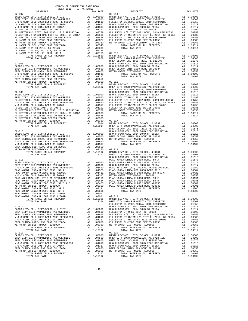| COUNTY OF ORANGE TAX RATE BOOK<br>$2017-2018 \quad \text{TRA TAX RATES}$ DISTRICT $\hspace{2.5cm}$ |          |          |          |
|----------------------------------------------------------------------------------------------------|----------|----------|----------|
|                                                                                                    | TAX RATE | DISTRICT | TAX RATE |
|                                                                                                    |          |          |          |
|                                                                                                    |          |          |          |
|                                                                                                    |          |          |          |
|                                                                                                    |          |          |          |
|                                                                                                    |          |          |          |
|                                                                                                    |          |          |          |
|                                                                                                    |          |          |          |
|                                                                                                    |          |          |          |
|                                                                                                    |          |          |          |
|                                                                                                    |          |          |          |
|                                                                                                    |          |          |          |

| 115K DISI-MWDOC- 140JJJJ |  |                             |
|--------------------------|--|-----------------------------|
|                          |  | TOTAL RATES ON ALL PROPERTY |
| TOTAL TAX RATE           |  |                             |

| $02 - 013$     |         | $02 - 020$     |         |
|----------------|---------|----------------|---------|
|                |         |                |         |
|                |         |                |         |
|                |         |                |         |
|                |         |                |         |
|                |         |                |         |
|                |         |                |         |
| TOTAL TAX RATE | 1.10102 | TOTAL TAX RATE | 1.10102 |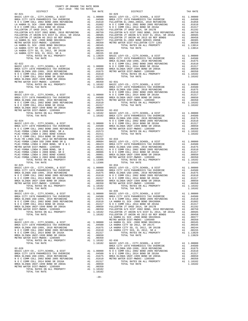| DISTRICT                                      | TAX RATE   |                    |
|-----------------------------------------------|------------|--------------------|
|                                               |            |                    |
|                                               |            |                    |
|                                               |            |                    |
|                                               |            |                    |
|                                               |            |                    |
|                                               |            |                    |
|                                               |            |                    |
|                                               |            |                    |
|                                               |            |                    |
|                                               |            |                    |
|                                               |            |                    |
|                                               |            |                    |
|                                               |            |                    |
|                                               |            |                    |
|                                               |            |                    |
|                                               |            |                    |
|                                               |            |                    |
|                                               |            | BREA OL            |
|                                               |            |                    |
|                                               |            |                    |
|                                               |            |                    |
|                                               |            |                    |
|                                               |            |                    |
|                                               |            |                    |
|                                               |            |                    |
|                                               |            |                    |
|                                               |            |                    |
|                                               |            | BREA OL            |
|                                               |            |                    |
|                                               |            |                    |
|                                               |            |                    |
|                                               |            |                    |
|                                               |            |                    |
|                                               |            |                    |
|                                               |            |                    |
|                                               |            |                    |
|                                               |            |                    |
|                                               |            |                    |
| $02 - 024$                                    |            | NOCC               |
|                                               |            |                    |
|                                               |            |                    |
|                                               |            |                    |
|                                               |            |                    |
|                                               |            |                    |
|                                               |            |                    |
|                                               |            |                    |
|                                               |            |                    |
|                                               |            |                    |
|                                               |            |                    |
|                                               |            |                    |
|                                               |            |                    |
|                                               |            |                    |
|                                               |            |                    |
| TOTAL TAX RATE                                | 1.13306    |                    |
|                                               |            |                    |
|                                               |            |                    |
|                                               |            |                    |
|                                               |            |                    |
|                                               |            |                    |
|                                               |            |                    |
|                                               |            |                    |
|                                               |            |                    |
|                                               |            |                    |
|                                               |            |                    |
|                                               |            |                    |
|                                               |            |                    |
|                                               |            |                    |
|                                               |            |                    |
|                                               |            |                    |
|                                               |            |                    |
|                                               |            |                    |
|                                               |            |                    |
|                                               |            |                    |
|                                               |            | LA HABR            |
| $02 - 027$                                    |            | METRO W            |
|                                               |            |                    |
|                                               |            |                    |
|                                               |            |                    |
|                                               |            |                    |
|                                               |            |                    |
|                                               |            |                    |
|                                               |            |                    |
| TOTAL TAX RATE                                |            |                    |
|                                               | 1.10102    | BASIC L<br>BREA CI |
| $02 - 028$                                    |            | BREA OL            |
|                                               |            |                    |
|                                               |            |                    |
|                                               |            |                    |
|                                               |            |                    |
|                                               |            |                    |
|                                               |            |                    |
| TOTAL RATES ON ALL PROPERTY<br>TOTAL TAX PATE | A1 1.10102 |                    |

| COUNTY OF ORANGE TAX RATE BOOK<br>$2017-2018 \quad \text{TRA RATES}$ DISTRICT $\hspace{2.5cm}$ |          | $\begin{smallmatrix} 12.46 & 0.0000 & 0.00000 & 0.00000 & 0.00000 & 0.00000 & 0.00000 & 0.00000 & 0.00000 & 0.00000 & 0.00000 & 0.00000 & 0.00000 & 0.00000 & 0.00000 & 0.00000 & 0.00000 & 0.00000 & 0.00000 & 0.00000 & 0.00000 & 0.00000 & 0.00000 & 0.00000 & $             |          |
|------------------------------------------------------------------------------------------------|----------|---------------------------------------------------------------------------------------------------------------------------------------------------------------------------------------------------------------------------------------------------------------------------------|----------|
|                                                                                                | TAX RATE | DISTRICT                                                                                                                                                                                                                                                                        | TAX RATE |
|                                                                                                |          |                                                                                                                                                                                                                                                                                 |          |
|                                                                                                |          |                                                                                                                                                                                                                                                                                 |          |
|                                                                                                |          |                                                                                                                                                                                                                                                                                 |          |
|                                                                                                |          |                                                                                                                                                                                                                                                                                 |          |
|                                                                                                |          |                                                                                                                                                                                                                                                                                 |          |
|                                                                                                |          |                                                                                                                                                                                                                                                                                 |          |
|                                                                                                |          |                                                                                                                                                                                                                                                                                 |          |
|                                                                                                |          |                                                                                                                                                                                                                                                                                 |          |
|                                                                                                |          |                                                                                                                                                                                                                                                                                 |          |
|                                                                                                |          |                                                                                                                                                                                                                                                                                 |          |
|                                                                                                |          |                                                                                                                                                                                                                                                                                 |          |
|                                                                                                |          |                                                                                                                                                                                                                                                                                 |          |
|                                                                                                |          |                                                                                                                                                                                                                                                                                 |          |
|                                                                                                |          |                                                                                                                                                                                                                                                                                 |          |
|                                                                                                |          |                                                                                                                                                                                                                                                                                 |          |
|                                                                                                |          |                                                                                                                                                                                                                                                                                 |          |
|                                                                                                |          |                                                                                                                                                                                                                                                                                 |          |
|                                                                                                |          |                                                                                                                                                                                                                                                                                 |          |
|                                                                                                |          |                                                                                                                                                                                                                                                                                 |          |
|                                                                                                |          |                                                                                                                                                                                                                                                                                 |          |
|                                                                                                |          |                                                                                                                                                                                                                                                                                 |          |
|                                                                                                |          |                                                                                                                                                                                                                                                                                 |          |
|                                                                                                |          |                                                                                                                                                                                                                                                                                 |          |
|                                                                                                |          |                                                                                                                                                                                                                                                                                 |          |
|                                                                                                |          |                                                                                                                                                                                                                                                                                 |          |
|                                                                                                |          |                                                                                                                                                                                                                                                                                 |          |
|                                                                                                |          |                                                                                                                                                                                                                                                                                 |          |
|                                                                                                |          |                                                                                                                                                                                                                                                                                 |          |
|                                                                                                |          |                                                                                                                                                                                                                                                                                 |          |
|                                                                                                |          |                                                                                                                                                                                                                                                                                 |          |
|                                                                                                |          |                                                                                                                                                                                                                                                                                 |          |
|                                                                                                |          |                                                                                                                                                                                                                                                                                 |          |
|                                                                                                |          |                                                                                                                                                                                                                                                                                 |          |
|                                                                                                |          |                                                                                                                                                                                                                                                                                 |          |
|                                                                                                |          |                                                                                                                                                                                                                                                                                 |          |
|                                                                                                |          |                                                                                                                                                                                                                                                                                 |          |
|                                                                                                |          |                                                                                                                                                                                                                                                                                 |          |
|                                                                                                |          |                                                                                                                                                                                                                                                                                 |          |
|                                                                                                |          |                                                                                                                                                                                                                                                                                 |          |
|                                                                                                |          |                                                                                                                                                                                                                                                                                 |          |
|                                                                                                |          |                                                                                                                                                                                                                                                                                 |          |
|                                                                                                |          |                                                                                                                                                                                                                                                                                 |          |
|                                                                                                |          |                                                                                                                                                                                                                                                                                 |          |
|                                                                                                |          |                                                                                                                                                                                                                                                                                 |          |
|                                                                                                |          |                                                                                                                                                                                                                                                                                 |          |
|                                                                                                |          |                                                                                                                                                                                                                                                                                 |          |
| $02 - 025$                                                                                     |          | $02 - 034$                                                                                                                                                                                                                                                                      |          |
|                                                                                                |          |                                                                                                                                                                                                                                                                                 |          |
|                                                                                                |          |                                                                                                                                                                                                                                                                                 |          |
|                                                                                                |          |                                                                                                                                                                                                                                                                                 |          |
|                                                                                                |          |                                                                                                                                                                                                                                                                                 |          |
|                                                                                                |          |                                                                                                                                                                                                                                                                                 |          |
|                                                                                                |          |                                                                                                                                                                                                                                                                                 |          |
|                                                                                                |          |                                                                                                                                                                                                                                                                                 |          |
| $\frac{1}{2}$<br>TOTAL TAX RATE                                                                | 1.10102  | TOTAL TAX RATE                                                                                                                                                                                                                                                                  | 1.10102  |
|                                                                                                |          |                                                                                                                                                                                                                                                                                 |          |
|                                                                                                |          |                                                                                                                                                                                                                                                                                 |          |
|                                                                                                |          |                                                                                                                                                                                                                                                                                 |          |
|                                                                                                |          |                                                                                                                                                                                                                                                                                 |          |
|                                                                                                |          |                                                                                                                                                                                                                                                                                 |          |
|                                                                                                |          |                                                                                                                                                                                                                                                                                 |          |
|                                                                                                |          | $\begin{array}{cccccccc} 104-0.04 & 0.04 & 0.04 & 0.04 & 0.04 & 0.04 & 0.04 & 0.04 & 0.04 & 0.04 & 0.04 & 0.04 & 0.04 & 0.04 & 0.04 & 0.04 & 0.04 & 0.04 & 0.04 & 0.04 & 0.04 & 0.04 & 0.04 & 0.04 & 0.04 & 0.04 & 0.04 & 0.04 & 0.04 & 0.04 & 0.04 & 0.04 & 0.04 & 0.04 & 0.0$ |          |
|                                                                                                |          |                                                                                                                                                                                                                                                                                 |          |
|                                                                                                |          |                                                                                                                                                                                                                                                                                 |          |
|                                                                                                |          |                                                                                                                                                                                                                                                                                 |          |
|                                                                                                |          |                                                                                                                                                                                                                                                                                 |          |
|                                                                                                |          |                                                                                                                                                                                                                                                                                 |          |
|                                                                                                |          |                                                                                                                                                                                                                                                                                 |          |
|                                                                                                |          |                                                                                                                                                                                                                                                                                 |          |
|                                                                                                |          |                                                                                                                                                                                                                                                                                 |          |
|                                                                                                |          |                                                                                                                                                                                                                                                                                 |          |
|                                                                                                |          |                                                                                                                                                                                                                                                                                 |          |
|                                                                                                |          |                                                                                                                                                                                                                                                                                 |          |
|                                                                                                |          |                                                                                                                                                                                                                                                                                 |          |
|                                                                                                |          |                                                                                                                                                                                                                                                                                 |          |
|                                                                                                |          |                                                                                                                                                                                                                                                                                 |          |
|                                                                                                |          |                                                                                                                                                                                                                                                                                 |          |
|                                                                                                |          |                                                                                                                                                                                                                                                                                 |          |
|                                                                                                |          |                                                                                                                                                                                                                                                                                 |          |
|                                                                                                |          |                                                                                                                                                                                                                                                                                 |          |
|                                                                                                |          |                                                                                                                                                                                                                                                                                 |          |
|                                                                                                |          |                                                                                                                                                                                                                                                                                 |          |

-20-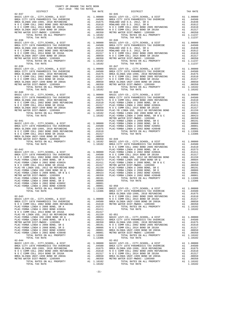|            | ---------<br>$02 - 037$             | TAT TATES  | $02 - 045$ |
|------------|-------------------------------------|------------|------------|
|            |                                     |            |            |
|            |                                     |            |            |
|            |                                     |            |            |
|            |                                     |            |            |
|            |                                     |            |            |
|            |                                     |            |            |
|            |                                     |            |            |
|            | TOTAL TAX RATE                      | 1.10102    |            |
|            |                                     |            |            |
|            |                                     |            |            |
|            |                                     |            |            |
|            |                                     |            |            |
|            |                                     |            |            |
|            |                                     |            |            |
|            |                                     |            |            |
|            |                                     |            |            |
|            |                                     |            |            |
|            |                                     |            |            |
|            |                                     |            |            |
|            |                                     |            |            |
|            |                                     |            |            |
|            |                                     |            |            |
|            |                                     |            |            |
|            |                                     |            |            |
|            |                                     |            |            |
|            |                                     |            |            |
|            |                                     |            |            |
|            |                                     |            |            |
|            |                                     |            |            |
|            |                                     |            |            |
|            |                                     |            |            |
|            |                                     |            | METRO W    |
| $02 - 041$ |                                     |            | PLAC-YO    |
|            |                                     |            |            |
|            |                                     |            |            |
|            |                                     |            |            |
|            |                                     |            |            |
|            |                                     |            |            |
|            |                                     |            |            |
|            |                                     |            |            |
|            |                                     |            | NOCC       |
|            |                                     |            |            |
|            |                                     |            |            |
|            |                                     |            |            |
|            |                                     |            |            |
|            |                                     |            |            |
|            |                                     |            |            |
|            |                                     |            |            |
|            |                                     |            |            |
|            |                                     |            |            |
|            |                                     |            |            |
|            |                                     |            |            |
|            |                                     |            |            |
|            |                                     |            |            |
|            |                                     |            | BREA OL    |
|            | $02 - 043$                          |            | NOCC       |
|            |                                     |            |            |
|            |                                     |            |            |
|            |                                     |            |            |
|            | PLAC-YORBA LINDA U 2002 BOND #2002A | A1 .01411  |            |
|            |                                     |            |            |
|            |                                     |            |            |
|            |                                     |            |            |
|            |                                     |            |            |
|            |                                     |            |            |
|            |                                     |            |            |
|            |                                     |            |            |
|            |                                     |            |            |
|            | TOTAL TAX RATE                      | 1.13306    |            |
|            | $02 - 044$                          |            | $02 - 052$ |
|            |                                     |            |            |
|            |                                     |            |            |
|            |                                     |            |            |
|            |                                     |            |            |
|            |                                     |            |            |
|            | TOTAL RATES ON ALL PROPERTY         | A1 1.10102 |            |
|            | TOTAL TAX RATE                      | 1.10102    |            |
|            |                                     |            |            |

| COUNTY OF ORANGE TAX RATE BOOK<br>$2017-2018 \quad \text{TRA RATES}$ DISTRICT $\hspace{2.5cm}$ |          |            |          |
|------------------------------------------------------------------------------------------------|----------|------------|----------|
| $02 - 037$                                                                                     | TAX RATE | DISTRICT   | TAX RATE |
|                                                                                                |          | $02 - 045$ |          |
|                                                                                                |          |            |          |
|                                                                                                |          |            |          |
|                                                                                                |          |            |          |
|                                                                                                |          |            |          |
|                                                                                                |          |            |          |
|                                                                                                |          |            |          |
|                                                                                                |          |            |          |
|                                                                                                |          |            |          |
|                                                                                                |          |            |          |
|                                                                                                |          |            |          |
|                                                                                                |          |            |          |
|                                                                                                |          |            |          |
|                                                                                                |          |            |          |
|                                                                                                |          |            |          |
|                                                                                                |          |            |          |
|                                                                                                |          |            |          |
|                                                                                                |          |            |          |
|                                                                                                |          |            |          |
|                                                                                                |          |            |          |
|                                                                                                |          |            |          |
|                                                                                                |          |            |          |
|                                                                                                |          |            |          |
|                                                                                                |          |            |          |
|                                                                                                |          |            |          |
|                                                                                                |          |            |          |
|                                                                                                |          |            |          |
|                                                                                                |          |            |          |
|                                                                                                |          |            |          |
|                                                                                                |          |            |          |
|                                                                                                |          |            |          |
|                                                                                                |          |            |          |
|                                                                                                |          |            |          |
|                                                                                                |          |            |          |
|                                                                                                |          |            |          |
|                                                                                                |          |            |          |
|                                                                                                |          |            |          |
|                                                                                                |          |            |          |
|                                                                                                |          |            |          |
|                                                                                                |          |            |          |
|                                                                                                |          |            |          |
| $02 - 044$                                                                                     |          | $02 - 052$ |          |
|                                                                                                |          |            |          |
|                                                                                                |          |            |          |
|                                                                                                |          |            |          |
|                                                                                                |          |            |          |
|                                                                                                |          |            |          |
|                                                                                                |          |            |          |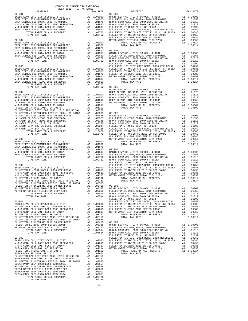| COUNTY OF ORANGE TAX RATE BOOK<br>$2017-2018 \quad \text{TRA RATES}$ DISTRICT 2017-2018 TRA TAX RATES |          |                                                                                                                                                                                                                                                                                     |          |
|-------------------------------------------------------------------------------------------------------|----------|-------------------------------------------------------------------------------------------------------------------------------------------------------------------------------------------------------------------------------------------------------------------------------------|----------|
|                                                                                                       | TAX RATE | DISTRICT                                                                                                                                                                                                                                                                            | TAX RATE |
|                                                                                                       |          |                                                                                                                                                                                                                                                                                     |          |
|                                                                                                       |          |                                                                                                                                                                                                                                                                                     |          |
|                                                                                                       |          |                                                                                                                                                                                                                                                                                     |          |
|                                                                                                       |          |                                                                                                                                                                                                                                                                                     |          |
|                                                                                                       |          |                                                                                                                                                                                                                                                                                     |          |
|                                                                                                       |          |                                                                                                                                                                                                                                                                                     |          |
|                                                                                                       |          |                                                                                                                                                                                                                                                                                     |          |
|                                                                                                       |          |                                                                                                                                                                                                                                                                                     |          |
|                                                                                                       |          |                                                                                                                                                                                                                                                                                     |          |
|                                                                                                       |          |                                                                                                                                                                                                                                                                                     |          |
|                                                                                                       |          |                                                                                                                                                                                                                                                                                     |          |
|                                                                                                       |          |                                                                                                                                                                                                                                                                                     |          |
|                                                                                                       |          |                                                                                                                                                                                                                                                                                     |          |
|                                                                                                       |          |                                                                                                                                                                                                                                                                                     |          |
|                                                                                                       |          |                                                                                                                                                                                                                                                                                     |          |
|                                                                                                       |          |                                                                                                                                                                                                                                                                                     |          |
|                                                                                                       |          |                                                                                                                                                                                                                                                                                     |          |
|                                                                                                       |          |                                                                                                                                                                                                                                                                                     |          |
|                                                                                                       |          |                                                                                                                                                                                                                                                                                     |          |
|                                                                                                       |          |                                                                                                                                                                                                                                                                                     |          |
|                                                                                                       |          |                                                                                                                                                                                                                                                                                     |          |
|                                                                                                       |          |                                                                                                                                                                                                                                                                                     |          |
|                                                                                                       |          |                                                                                                                                                                                                                                                                                     |          |
|                                                                                                       |          |                                                                                                                                                                                                                                                                                     |          |
|                                                                                                       |          |                                                                                                                                                                                                                                                                                     |          |
|                                                                                                       |          |                                                                                                                                                                                                                                                                                     |          |
|                                                                                                       |          |                                                                                                                                                                                                                                                                                     |          |
|                                                                                                       |          |                                                                                                                                                                                                                                                                                     |          |
|                                                                                                       |          |                                                                                                                                                                                                                                                                                     |          |
|                                                                                                       |          |                                                                                                                                                                                                                                                                                     |          |
|                                                                                                       |          |                                                                                                                                                                                                                                                                                     |          |
|                                                                                                       |          |                                                                                                                                                                                                                                                                                     |          |
|                                                                                                       |          |                                                                                                                                                                                                                                                                                     |          |
|                                                                                                       |          |                                                                                                                                                                                                                                                                                     |          |
|                                                                                                       |          |                                                                                                                                                                                                                                                                                     |          |
|                                                                                                       |          |                                                                                                                                                                                                                                                                                     |          |
|                                                                                                       |          |                                                                                                                                                                                                                                                                                     |          |
|                                                                                                       |          |                                                                                                                                                                                                                                                                                     |          |
|                                                                                                       |          |                                                                                                                                                                                                                                                                                     |          |
|                                                                                                       |          |                                                                                                                                                                                                                                                                                     |          |
|                                                                                                       |          |                                                                                                                                                                                                                                                                                     |          |
|                                                                                                       |          |                                                                                                                                                                                                                                                                                     |          |
|                                                                                                       |          |                                                                                                                                                                                                                                                                                     |          |
|                                                                                                       |          |                                                                                                                                                                                                                                                                                     |          |
|                                                                                                       |          |                                                                                                                                                                                                                                                                                     |          |
|                                                                                                       |          |                                                                                                                                                                                                                                                                                     |          |
|                                                                                                       |          |                                                                                                                                                                                                                                                                                     |          |
|                                                                                                       |          | $\begin{tabular}{l c c c c c} FULLERTON~JT~UNION HS & 2013 & 60 REF BONDS & A1 & .00458 & 9.5-008 & 0.0000 & 0.0000 & 0.0000 & 0.0000 & 0.0000 & 0.0000 & 0.0000 & 0.0000 & 0.0000 & 0.0000 & 0.0000 & 0.0000 & 0.0000 & 0.0000 & 0.0000 & 0.0000 & 0.0000 & 0.0000 & 0.0000 & 0.0$ |          |
|                                                                                                       |          |                                                                                                                                                                                                                                                                                     |          |
|                                                                                                       |          |                                                                                                                                                                                                                                                                                     |          |
|                                                                                                       |          |                                                                                                                                                                                                                                                                                     |          |
|                                                                                                       |          |                                                                                                                                                                                                                                                                                     |          |
|                                                                                                       |          |                                                                                                                                                                                                                                                                                     |          |
|                                                                                                       |          |                                                                                                                                                                                                                                                                                     |          |
|                                                                                                       |          |                                                                                                                                                                                                                                                                                     |          |
|                                                                                                       |          |                                                                                                                                                                                                                                                                                     |          |
|                                                                                                       |          |                                                                                                                                                                                                                                                                                     |          |
|                                                                                                       |          |                                                                                                                                                                                                                                                                                     |          |
|                                                                                                       |          |                                                                                                                                                                                                                                                                                     |          |
|                                                                                                       |          | FULLERTON JT UNION H/S DIST EL 2014, SR 2015A<br>FULLERTON JT UNION BI 2013 GO REF BONDS<br>FULLERTON EL-2002 BOND SERIES 2005B<br>FULLERTON EL-2002 BOND SERIES 2005B<br>METRO WATER DIST-FULLERTON CITY 1203<br>METRO WATER DIST-FULLE                                            |          |
|                                                                                                       |          |                                                                                                                                                                                                                                                                                     |          |
|                                                                                                       |          |                                                                                                                                                                                                                                                                                     |          |
|                                                                                                       |          |                                                                                                                                                                                                                                                                                     |          |
|                                                                                                       |          |                                                                                                                                                                                                                                                                                     |          |
|                                                                                                       |          |                                                                                                                                                                                                                                                                                     |          |
|                                                                                                       |          |                                                                                                                                                                                                                                                                                     |          |
|                                                                                                       |          |                                                                                                                                                                                                                                                                                     |          |
|                                                                                                       |          |                                                                                                                                                                                                                                                                                     |          |
|                                                                                                       |          |                                                                                                                                                                                                                                                                                     |          |
|                                                                                                       |          |                                                                                                                                                                                                                                                                                     |          |
| TOTAL TAX RATE                                                                                        | 1.09726  |                                                                                                                                                                                                                                                                                     |          |
|                                                                                                       |          |                                                                                                                                                                                                                                                                                     |          |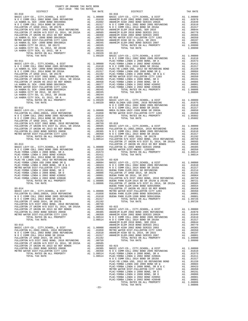| COUNTY OF ORANGE TAX RATE BOOK<br>2017-2018 TPA TAY PATES        |          |                                                                                                                                                                                                                                                                                                                                                                                                                                                           |          |
|------------------------------------------------------------------|----------|-----------------------------------------------------------------------------------------------------------------------------------------------------------------------------------------------------------------------------------------------------------------------------------------------------------------------------------------------------------------------------------------------------------------------------------------------------------|----------|
| $2017-2018 \quad \text{TRA TAX RATES}$ DISTRICT $\hspace{2.5cm}$ | TAX RATE | DISTRICT                                                                                                                                                                                                                                                                                                                                                                                                                                                  | TAX RATE |
| $03 - 010$                                                       |          | $03 - 016$<br>$\begin{tabular}{cccccc} 03-010 & \mbox{\textbf{16}} & \mbox{\textbf{16}} & \mbox{\textbf{16}} & \mbox{\textbf{16}} & \mbox{\textbf{16}} & \mbox{\textbf{16}} & \mbox{\textbf{16}} & \mbox{\textbf{16}} & \mbox{\textbf{16}} & \mbox{\textbf{16}} & \mbox{\textbf{16}} \\ \hline \texttt{BSE} & \mbox{\textbf{EVP}} & \mbox{\textbf{16}} & \mbox{\textbf{16}} & \mbox{\textbf{16}} & \mbox{\textbf{16}} & \mbox{\textbf{16}} & \mbox{\text$ |          |
|                                                                  |          |                                                                                                                                                                                                                                                                                                                                                                                                                                                           |          |
|                                                                  |          |                                                                                                                                                                                                                                                                                                                                                                                                                                                           |          |
|                                                                  |          |                                                                                                                                                                                                                                                                                                                                                                                                                                                           |          |
|                                                                  |          |                                                                                                                                                                                                                                                                                                                                                                                                                                                           |          |
|                                                                  |          |                                                                                                                                                                                                                                                                                                                                                                                                                                                           |          |
|                                                                  |          |                                                                                                                                                                                                                                                                                                                                                                                                                                                           |          |
|                                                                  |          |                                                                                                                                                                                                                                                                                                                                                                                                                                                           |          |
|                                                                  |          |                                                                                                                                                                                                                                                                                                                                                                                                                                                           |          |
|                                                                  |          |                                                                                                                                                                                                                                                                                                                                                                                                                                                           |          |
|                                                                  |          |                                                                                                                                                                                                                                                                                                                                                                                                                                                           |          |
|                                                                  |          |                                                                                                                                                                                                                                                                                                                                                                                                                                                           |          |
|                                                                  |          |                                                                                                                                                                                                                                                                                                                                                                                                                                                           |          |
|                                                                  |          |                                                                                                                                                                                                                                                                                                                                                                                                                                                           |          |
|                                                                  |          |                                                                                                                                                                                                                                                                                                                                                                                                                                                           |          |
|                                                                  |          |                                                                                                                                                                                                                                                                                                                                                                                                                                                           |          |
|                                                                  |          |                                                                                                                                                                                                                                                                                                                                                                                                                                                           |          |
|                                                                  |          |                                                                                                                                                                                                                                                                                                                                                                                                                                                           |          |
|                                                                  |          |                                                                                                                                                                                                                                                                                                                                                                                                                                                           |          |
|                                                                  |          |                                                                                                                                                                                                                                                                                                                                                                                                                                                           |          |
|                                                                  |          |                                                                                                                                                                                                                                                                                                                                                                                                                                                           |          |
|                                                                  |          |                                                                                                                                                                                                                                                                                                                                                                                                                                                           |          |
|                                                                  |          |                                                                                                                                                                                                                                                                                                                                                                                                                                                           |          |
|                                                                  |          |                                                                                                                                                                                                                                                                                                                                                                                                                                                           |          |
|                                                                  |          |                                                                                                                                                                                                                                                                                                                                                                                                                                                           |          |
|                                                                  |          |                                                                                                                                                                                                                                                                                                                                                                                                                                                           |          |
|                                                                  |          |                                                                                                                                                                                                                                                                                                                                                                                                                                                           |          |
|                                                                  |          |                                                                                                                                                                                                                                                                                                                                                                                                                                                           |          |
|                                                                  |          |                                                                                                                                                                                                                                                                                                                                                                                                                                                           |          |
|                                                                  |          |                                                                                                                                                                                                                                                                                                                                                                                                                                                           |          |
|                                                                  |          |                                                                                                                                                                                                                                                                                                                                                                                                                                                           |          |
|                                                                  |          |                                                                                                                                                                                                                                                                                                                                                                                                                                                           |          |
|                                                                  |          |                                                                                                                                                                                                                                                                                                                                                                                                                                                           |          |
|                                                                  |          |                                                                                                                                                                                                                                                                                                                                                                                                                                                           |          |
|                                                                  |          |                                                                                                                                                                                                                                                                                                                                                                                                                                                           |          |
|                                                                  |          |                                                                                                                                                                                                                                                                                                                                                                                                                                                           |          |
|                                                                  |          |                                                                                                                                                                                                                                                                                                                                                                                                                                                           |          |
|                                                                  |          |                                                                                                                                                                                                                                                                                                                                                                                                                                                           |          |
|                                                                  |          |                                                                                                                                                                                                                                                                                                                                                                                                                                                           |          |
|                                                                  |          |                                                                                                                                                                                                                                                                                                                                                                                                                                                           |          |
|                                                                  |          |                                                                                                                                                                                                                                                                                                                                                                                                                                                           |          |
|                                                                  |          |                                                                                                                                                                                                                                                                                                                                                                                                                                                           |          |
|                                                                  |          |                                                                                                                                                                                                                                                                                                                                                                                                                                                           |          |
|                                                                  |          |                                                                                                                                                                                                                                                                                                                                                                                                                                                           |          |
|                                                                  |          |                                                                                                                                                                                                                                                                                                                                                                                                                                                           |          |
|                                                                  |          |                                                                                                                                                                                                                                                                                                                                                                                                                                                           |          |
|                                                                  |          |                                                                                                                                                                                                                                                                                                                                                                                                                                                           |          |
|                                                                  |          |                                                                                                                                                                                                                                                                                                                                                                                                                                                           |          |
|                                                                  |          |                                                                                                                                                                                                                                                                                                                                                                                                                                                           |          |
|                                                                  |          |                                                                                                                                                                                                                                                                                                                                                                                                                                                           |          |
|                                                                  |          |                                                                                                                                                                                                                                                                                                                                                                                                                                                           |          |
|                                                                  |          | BUENA PARK ELEM-1998 BOND SER#2000A A1 .00554                                                                                                                                                                                                                                                                                                                                                                                                             |          |
|                                                                  |          |                                                                                                                                                                                                                                                                                                                                                                                                                                                           |          |
|                                                                  |          |                                                                                                                                                                                                                                                                                                                                                                                                                                                           |          |
|                                                                  |          |                                                                                                                                                                                                                                                                                                                                                                                                                                                           |          |
|                                                                  |          |                                                                                                                                                                                                                                                                                                                                                                                                                                                           |          |
|                                                                  |          |                                                                                                                                                                                                                                                                                                                                                                                                                                                           |          |
|                                                                  |          |                                                                                                                                                                                                                                                                                                                                                                                                                                                           |          |
|                                                                  |          |                                                                                                                                                                                                                                                                                                                                                                                                                                                           |          |
|                                                                  |          |                                                                                                                                                                                                                                                                                                                                                                                                                                                           |          |
|                                                                  |          |                                                                                                                                                                                                                                                                                                                                                                                                                                                           |          |
|                                                                  |          |                                                                                                                                                                                                                                                                                                                                                                                                                                                           |          |
|                                                                  |          |                                                                                                                                                                                                                                                                                                                                                                                                                                                           |          |
|                                                                  |          |                                                                                                                                                                                                                                                                                                                                                                                                                                                           |          |
|                                                                  |          |                                                                                                                                                                                                                                                                                                                                                                                                                                                           |          |
|                                                                  |          |                                                                                                                                                                                                                                                                                                                                                                                                                                                           |          |
|                                                                  |          |                                                                                                                                                                                                                                                                                                                                                                                                                                                           |          |
|                                                                  |          |                                                                                                                                                                                                                                                                                                                                                                                                                                                           |          |
|                                                                  |          |                                                                                                                                                                                                                                                                                                                                                                                                                                                           |          |
|                                                                  |          |                                                                                                                                                                                                                                                                                                                                                                                                                                                           |          |
|                                                                  |          |                                                                                                                                                                                                                                                                                                                                                                                                                                                           |          |
|                                                                  |          |                                                                                                                                                                                                                                                                                                                                                                                                                                                           |          |
|                                                                  |          |                                                                                                                                                                                                                                                                                                                                                                                                                                                           |          |
|                                                                  |          |                                                                                                                                                                                                                                                                                                                                                                                                                                                           |          |
|                                                                  |          |                                                                                                                                                                                                                                                                                                                                                                                                                                                           |          |
|                                                                  |          |                                                                                                                                                                                                                                                                                                                                                                                                                                                           |          |
|                                                                  |          |                                                                                                                                                                                                                                                                                                                                                                                                                                                           |          |
|                                                                  |          |                                                                                                                                                                                                                                                                                                                                                                                                                                                           |          |
|                                                                  |          |                                                                                                                                                                                                                                                                                                                                                                                                                                                           |          |
|                                                                  |          |                                                                                                                                                                                                                                                                                                                                                                                                                                                           |          |
|                                                                  |          |                                                                                                                                                                                                                                                                                                                                                                                                                                                           |          |
|                                                                  |          |                                                                                                                                                                                                                                                                                                                                                                                                                                                           |          |

-23-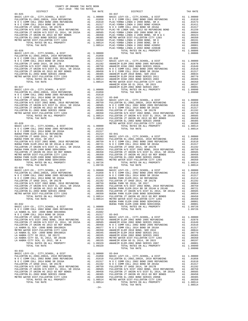|            | COUNTY OF ORANGE TAX RATE BOOK<br>2017-2018 TRA TAX RATES |          |                                                                                                                                                                                                                               |          |
|------------|-----------------------------------------------------------|----------|-------------------------------------------------------------------------------------------------------------------------------------------------------------------------------------------------------------------------------|----------|
| DISTRICT   |                                                           | TAX RATE | DISTRICT                                                                                                                                                                                                                      | TAX RATE |
|            |                                                           |          |                                                                                                                                                                                                                               |          |
|            |                                                           |          |                                                                                                                                                                                                                               |          |
|            |                                                           |          |                                                                                                                                                                                                                               |          |
|            |                                                           |          |                                                                                                                                                                                                                               |          |
|            |                                                           |          |                                                                                                                                                                                                                               |          |
|            |                                                           |          |                                                                                                                                                                                                                               |          |
|            |                                                           |          |                                                                                                                                                                                                                               |          |
|            |                                                           |          |                                                                                                                                                                                                                               |          |
|            |                                                           |          |                                                                                                                                                                                                                               |          |
|            |                                                           |          |                                                                                                                                                                                                                               |          |
|            |                                                           |          |                                                                                                                                                                                                                               |          |
|            |                                                           |          |                                                                                                                                                                                                                               |          |
|            |                                                           |          |                                                                                                                                                                                                                               |          |
|            |                                                           |          |                                                                                                                                                                                                                               |          |
|            |                                                           |          |                                                                                                                                                                                                                               |          |
|            |                                                           |          |                                                                                                                                                                                                                               |          |
|            |                                                           |          |                                                                                                                                                                                                                               |          |
|            |                                                           |          |                                                                                                                                                                                                                               |          |
|            |                                                           |          |                                                                                                                                                                                                                               |          |
|            |                                                           |          |                                                                                                                                                                                                                               |          |
|            |                                                           |          |                                                                                                                                                                                                                               |          |
|            |                                                           |          |                                                                                                                                                                                                                               |          |
|            |                                                           |          |                                                                                                                                                                                                                               |          |
|            |                                                           |          |                                                                                                                                                                                                                               |          |
|            |                                                           |          |                                                                                                                                                                                                                               |          |
|            |                                                           |          |                                                                                                                                                                                                                               |          |
|            |                                                           |          |                                                                                                                                                                                                                               |          |
|            |                                                           |          |                                                                                                                                                                                                                               |          |
|            |                                                           |          |                                                                                                                                                                                                                               |          |
|            |                                                           |          |                                                                                                                                                                                                                               |          |
|            |                                                           |          |                                                                                                                                                                                                                               |          |
|            |                                                           |          |                                                                                                                                                                                                                               |          |
|            |                                                           |          |                                                                                                                                                                                                                               |          |
|            |                                                           |          |                                                                                                                                                                                                                               |          |
|            |                                                           |          |                                                                                                                                                                                                                               |          |
|            |                                                           |          |                                                                                                                                                                                                                               |          |
|            |                                                           |          |                                                                                                                                                                                                                               |          |
|            |                                                           |          |                                                                                                                                                                                                                               |          |
|            |                                                           |          |                                                                                                                                                                                                                               |          |
|            |                                                           |          |                                                                                                                                                                                                                               |          |
|            |                                                           |          |                                                                                                                                                                                                                               |          |
|            |                                                           |          |                                                                                                                                                                                                                               |          |
|            |                                                           |          |                                                                                                                                                                                                                               |          |
|            |                                                           |          |                                                                                                                                                                                                                               |          |
|            |                                                           |          |                                                                                                                                                                                                                               |          |
|            |                                                           |          |                                                                                                                                                                                                                               |          |
|            |                                                           |          |                                                                                                                                                                                                                               |          |
| $03 - 029$ |                                                           |          | $03 - 042$                                                                                                                                                                                                                    |          |
|            |                                                           |          |                                                                                                                                                                                                                               |          |
|            |                                                           |          |                                                                                                                                                                                                                               |          |
|            |                                                           |          |                                                                                                                                                                                                                               |          |
|            |                                                           |          |                                                                                                                                                                                                                               |          |
|            |                                                           |          |                                                                                                                                                                                                                               |          |
|            |                                                           |          |                                                                                                                                                                                                                               |          |
|            |                                                           |          |                                                                                                                                                                                                                               |          |
|            |                                                           |          |                                                                                                                                                                                                                               |          |
|            |                                                           |          |                                                                                                                                                                                                                               |          |
|            |                                                           |          |                                                                                                                                                                                                                               |          |
|            |                                                           |          |                                                                                                                                                                                                                               |          |
|            |                                                           |          |                                                                                                                                                                                                                               |          |
|            |                                                           |          |                                                                                                                                                                                                                               |          |
|            |                                                           |          |                                                                                                                                                                                                                               |          |
|            |                                                           |          |                                                                                                                                                                                                                               |          |
|            |                                                           |          |                                                                                                                                                                                                                               |          |
|            |                                                           |          |                                                                                                                                                                                                                               |          |
|            |                                                           |          |                                                                                                                                                                                                                               |          |
|            |                                                           |          |                                                                                                                                                                                                                               |          |
|            |                                                           |          |                                                                                                                                                                                                                               |          |
|            |                                                           |          |                                                                                                                                                                                                                               |          |
|            |                                                           |          |                                                                                                                                                                                                                               |          |
|            |                                                           |          |                                                                                                                                                                                                                               |          |
|            |                                                           |          | FULLERYON JYS DIST 2002 BOND, 2010 REVINDING A1 .00595 BUILDENTON HAR SD 2016, SR 20115 AN 100594 PULLERYON JY UKON SEPUNDING A1 .00594 PULLERYON JY UKON SEPUNDING A1 .00594 PULLERYON JY UKON SEPUNDING A1 .00751 PULLERYON |          |
|            |                                                           |          |                                                                                                                                                                                                                               |          |
| $03 - 033$ |                                                           |          |                                                                                                                                                                                                                               |          |
|            |                                                           |          |                                                                                                                                                                                                                               |          |
|            |                                                           |          |                                                                                                                                                                                                                               |          |
|            |                                                           |          |                                                                                                                                                                                                                               |          |
|            |                                                           |          |                                                                                                                                                                                                                               |          |
|            |                                                           |          |                                                                                                                                                                                                                               |          |
|            |                                                           |          |                                                                                                                                                                                                                               |          |
|            |                                                           |          |                                                                                                                                                                                                                               |          |
|            |                                                           |          |                                                                                                                                                                                                                               |          |
|            |                                                           |          |                                                                                                                                                                                                                               |          |
|            |                                                           |          |                                                                                                                                                                                                                               |          |
|            |                                                           |          |                                                                                                                                                                                                                               |          |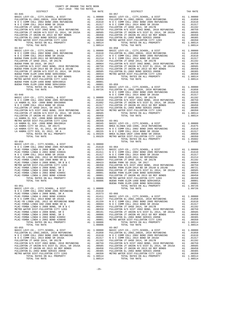| COUNTY OF ORANGE TAX RATE BOOK<br>$2017-2018 \quad \text{TRA RATES}$ DISTRICT $\hspace{2.5cm}$                                                                                            |          |                                                                                                                                                                                                                                                                                                                                                                                                                                                                                                                                                                                                                                                                                                                                                                                  |                                    |
|-------------------------------------------------------------------------------------------------------------------------------------------------------------------------------------------|----------|----------------------------------------------------------------------------------------------------------------------------------------------------------------------------------------------------------------------------------------------------------------------------------------------------------------------------------------------------------------------------------------------------------------------------------------------------------------------------------------------------------------------------------------------------------------------------------------------------------------------------------------------------------------------------------------------------------------------------------------------------------------------------------|------------------------------------|
| $03 - 045$                                                                                                                                                                                | TAX RATE | DISTRICT<br>$03 - 057$                                                                                                                                                                                                                                                                                                                                                                                                                                                                                                                                                                                                                                                                                                                                                           | TAX RATE                           |
|                                                                                                                                                                                           |          |                                                                                                                                                                                                                                                                                                                                                                                                                                                                                                                                                                                                                                                                                                                                                                                  |                                    |
|                                                                                                                                                                                           |          |                                                                                                                                                                                                                                                                                                                                                                                                                                                                                                                                                                                                                                                                                                                                                                                  |                                    |
|                                                                                                                                                                                           |          |                                                                                                                                                                                                                                                                                                                                                                                                                                                                                                                                                                                                                                                                                                                                                                                  |                                    |
|                                                                                                                                                                                           |          |                                                                                                                                                                                                                                                                                                                                                                                                                                                                                                                                                                                                                                                                                                                                                                                  |                                    |
|                                                                                                                                                                                           |          |                                                                                                                                                                                                                                                                                                                                                                                                                                                                                                                                                                                                                                                                                                                                                                                  |                                    |
| TOTAL TAX RATE                                                                                                                                                                            | 1.08806  | $\begin{tabular}{l c c c c c} \hline RST & LRTV & RATE & 1.09726 & 1.09726 & 1.09726 & 1.09726 & 1.09726 & 1.09726 & 1.09726 & 1.09726 & 1.09726 & 1.09726 & 1.09726 & 1.09726 & 1.09726 & 1.09726 & 1.09726 & 1.09726 & 1.09726 & 1.09726 & 1.09726 & 1.09726 & 1.09726$<br>TOTAL TAX RATE                                                                                                                                                                                                                                                                                                                                                                                                                                                                                      | 1.08514                            |
| $03 - 055$<br>BASIC LEVY-CO., CITY, SCHOOL, & DIST A1 1.00000<br>FULLERTON EL-2002, 2002A, 2010 REFUNDING A1 .01858<br>NOC COMM COLL 2002 BOND 2005 REFUNDING A1 .01610<br>TOTAL TAX RATE | 1.08514  | $03 - 067$<br>N O COMM COLL 2002 BOND 2005 REFUNDING<br>N O COMM COLL 2002 BOND 2005 REFUNDING<br>N O COMM COLL 2014 BOND SR 2016A<br>FULLERTON JT UHSD 2014 SND SR 2017B<br>$\mu$ 0 C COMM COLL 2014 BOND SR 2016A<br>$\mu$ 0 C COMM COLL 2014 GND SR 2017B<br>${\tt FULERTON\,\,JT\,\,UHSD\,\,2014\,\,SR\,\,2017B\qquad \qquad \qquad A1 \qquad .01317\qquad .01317\qquad .01317\qquad .01317\qquad .01317\qquad .01317\qquad .01317\qquad .01317\qquad .01317\qquad .01317\qquad .01317\qquad .01317\qquad .01317\qquad .01317\qquad .01317\qquad .01317\qquad .01317\qquad .01317\qquad .01317\qquad$<br>TER DIST-FULLERTON CITY 1203 A1 .00350 METRO WATER DIST-FULLERTON CITY 1203<br>TOTAL RATES ON ALL PROPERTY A1 1.08514 TOTAL RATES ON ALL PROPERTY<br>TOTAL TAX RATE | A1 .01610<br>A1 1.08514<br>1.08514 |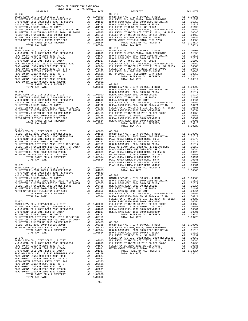| CALLANT WAI OTOZ-ITOZ<br>DISTRICT                | TAX RATE                                                                                                                                                                                                                       |                    |
|--------------------------------------------------|--------------------------------------------------------------------------------------------------------------------------------------------------------------------------------------------------------------------------------|--------------------|
|                                                  |                                                                                                                                                                                                                                |                    |
|                                                  |                                                                                                                                                                                                                                |                    |
|                                                  |                                                                                                                                                                                                                                |                    |
|                                                  |                                                                                                                                                                                                                                |                    |
|                                                  |                                                                                                                                                                                                                                |                    |
|                                                  |                                                                                                                                                                                                                                |                    |
|                                                  |                                                                                                                                                                                                                                |                    |
|                                                  |                                                                                                                                                                                                                                |                    |
|                                                  |                                                                                                                                                                                                                                |                    |
|                                                  |                                                                                                                                                                                                                                |                    |
|                                                  |                                                                                                                                                                                                                                |                    |
|                                                  |                                                                                                                                                                                                                                |                    |
|                                                  |                                                                                                                                                                                                                                |                    |
|                                                  |                                                                                                                                                                                                                                |                    |
|                                                  |                                                                                                                                                                                                                                |                    |
|                                                  |                                                                                                                                                                                                                                |                    |
|                                                  |                                                                                                                                                                                                                                |                    |
|                                                  |                                                                                                                                                                                                                                |                    |
|                                                  |                                                                                                                                                                                                                                |                    |
|                                                  |                                                                                                                                                                                                                                |                    |
| $03 - 071$                                       |                                                                                                                                                                                                                                | NOCC               |
|                                                  |                                                                                                                                                                                                                                |                    |
|                                                  |                                                                                                                                                                                                                                |                    |
|                                                  |                                                                                                                                                                                                                                |                    |
|                                                  |                                                                                                                                                                                                                                |                    |
|                                                  |                                                                                                                                                                                                                                |                    |
|                                                  |                                                                                                                                                                                                                                |                    |
|                                                  |                                                                                                                                                                                                                                |                    |
|                                                  |                                                                                                                                                                                                                                |                    |
| TOTAL TAX RATE                                   | 1.08514                                                                                                                                                                                                                        |                    |
| $03 - 072$                                       |                                                                                                                                                                                                                                |                    |
|                                                  |                                                                                                                                                                                                                                |                    |
|                                                  |                                                                                                                                                                                                                                |                    |
|                                                  |                                                                                                                                                                                                                                |                    |
|                                                  |                                                                                                                                                                                                                                |                    |
|                                                  |                                                                                                                                                                                                                                |                    |
|                                                  |                                                                                                                                                                                                                                |                    |
|                                                  |                                                                                                                                                                                                                                |                    |
|                                                  |                                                                                                                                                                                                                                |                    |
|                                                  |                                                                                                                                                                                                                                |                    |
|                                                  |                                                                                                                                                                                                                                | PLAC-YO            |
| $03 - 073$                                       |                                                                                                                                                                                                                                | PLAC-YO            |
|                                                  |                                                                                                                                                                                                                                |                    |
|                                                  |                                                                                                                                                                                                                                |                    |
|                                                  |                                                                                                                                                                                                                                |                    |
|                                                  |                                                                                                                                                                                                                                |                    |
|                                                  |                                                                                                                                                                                                                                |                    |
|                                                  |                                                                                                                                                                                                                                |                    |
| METRO WATER DIST-FULLERTON CITY 1203<br>A1<br>A1 | .00350                                                                                                                                                                                                                         |                    |
| TOTAL RATES ON ALL PROPERTY<br>TOTAL TAX RATE    | Al 1.08514 BUENA P = 1.08514 BUENA P = 1.08514 BUENA P = 1.08514 BUENA P = 1.08514 BUENA P = 1.08514 BUENA P = 1.09514 BUENA P = 1.09514 BUENA P = 1.09514 BUENA P = 1.09514 BUENA P = 1.09514 BUENA P = 1.09514 BUENA P = 1.0 |                    |
| $03 - 074$                                       |                                                                                                                                                                                                                                | FULLERT<br>BUENA P |
|                                                  |                                                                                                                                                                                                                                |                    |
|                                                  |                                                                                                                                                                                                                                |                    |
|                                                  |                                                                                                                                                                                                                                |                    |
|                                                  |                                                                                                                                                                                                                                |                    |
|                                                  |                                                                                                                                                                                                                                |                    |
|                                                  |                                                                                                                                                                                                                                |                    |
|                                                  |                                                                                                                                                                                                                                |                    |
|                                                  |                                                                                                                                                                                                                                |                    |
|                                                  |                                                                                                                                                                                                                                |                    |
|                                                  |                                                                                                                                                                                                                                | FULLERT            |
| $03 - 075$                                       |                                                                                                                                                                                                                                | FULLERT            |
|                                                  |                                                                                                                                                                                                                                |                    |
|                                                  |                                                                                                                                                                                                                                |                    |
|                                                  |                                                                                                                                                                                                                                |                    |
|                                                  |                                                                                                                                                                                                                                |                    |
|                                                  |                                                                                                                                                                                                                                |                    |
|                                                  |                                                                                                                                                                                                                                |                    |
|                                                  |                                                                                                                                                                                                                                |                    |
|                                                  |                                                                                                                                                                                                                                |                    |
|                                                  |                                                                                                                                                                                                                                |                    |
|                                                  |                                                                                                                                                                                                                                |                    |
| TOTAL TAX RATE                                   | 1.08806                                                                                                                                                                                                                        |                    |

| COUNTY OF ORANGE TAX RATE BOOK<br>2017-2018 TRA TAX RATES |          |                                                                                                                                                                                                                                  |          |
|-----------------------------------------------------------|----------|----------------------------------------------------------------------------------------------------------------------------------------------------------------------------------------------------------------------------------|----------|
|                                                           | TAX RATE | DISTRICT                                                                                                                                                                                                                         | TAX RATE |
| $03 - 068$                                                |          | $03 - 078$                                                                                                                                                                                                                       |          |
|                                                           |          |                                                                                                                                                                                                                                  |          |
| $03 - 072$                                                |          | TOTAL TAX RATE                                                                                                                                                                                                                   | 1.09726  |
|                                                           |          |                                                                                                                                                                                                                                  |          |
|                                                           |          | FULLERTON JT UNION HS 2013 GO REF BONDS A1 .00450 PULLERTON JT URD 2014, SR 2017B A1 .00459<br>FULLERTON EL-2002 BOND SERIES 2005B A1 .00385 PULLERTON HS DO 3800D SERIES 2005B A1 .00385 PULLERTON HS DETRO WATER DIST-PULLERTO |          |
| $03 - 075$                                                |          |                                                                                                                                                                                                                                  |          |

-26-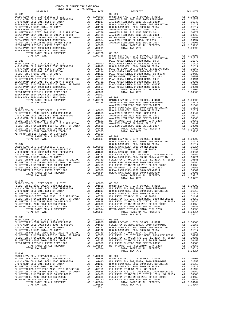| $03 - 089$ |        |  |
|------------|--------|--|
| $03 - 090$ |        |  |
|            | $-27-$ |  |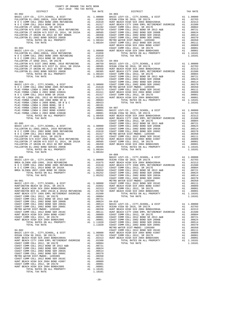| COUNTY OF ORANGE TAX RATE BOOK<br>2017-2018 TRA TAX RATES<br>$2017-2018 \quad \text{TRA RATES}$ DISTRICT 2017-2018 TRA TAX RATES                                                                                                        | TAX RATE | DISTRICT | TAX RATE |
|-----------------------------------------------------------------------------------------------------------------------------------------------------------------------------------------------------------------------------------------|----------|----------|----------|
|                                                                                                                                                                                                                                         |          |          |          |
|                                                                                                                                                                                                                                         |          |          |          |
|                                                                                                                                                                                                                                         |          |          |          |
|                                                                                                                                                                                                                                         |          |          |          |
|                                                                                                                                                                                                                                         |          |          |          |
|                                                                                                                                                                                                                                         |          |          |          |
|                                                                                                                                                                                                                                         |          |          |          |
|                                                                                                                                                                                                                                         |          |          |          |
|                                                                                                                                                                                                                                         |          |          |          |
|                                                                                                                                                                                                                                         |          |          |          |
|                                                                                                                                                                                                                                         |          |          |          |
|                                                                                                                                                                                                                                         |          |          |          |
|                                                                                                                                                                                                                                         |          |          |          |
|                                                                                                                                                                                                                                         |          |          |          |
|                                                                                                                                                                                                                                         |          |          |          |
|                                                                                                                                                                                                                                         |          |          |          |
|                                                                                                                                                                                                                                         |          |          |          |
|                                                                                                                                                                                                                                         |          |          |          |
|                                                                                                                                                                                                                                         |          |          |          |
|                                                                                                                                                                                                                                         |          |          |          |
|                                                                                                                                                                                                                                         |          |          |          |
|                                                                                                                                                                                                                                         |          |          |          |
|                                                                                                                                                                                                                                         |          |          |          |
|                                                                                                                                                                                                                                         |          |          |          |
|                                                                                                                                                                                                                                         |          |          |          |
|                                                                                                                                                                                                                                         |          |          |          |
|                                                                                                                                                                                                                                         |          |          |          |
|                                                                                                                                                                                                                                         |          |          |          |
|                                                                                                                                                                                                                                         |          |          |          |
|                                                                                                                                                                                                                                         |          |          |          |
|                                                                                                                                                                                                                                         |          |          |          |
|                                                                                                                                                                                                                                         |          |          |          |
|                                                                                                                                                                                                                                         |          |          |          |
|                                                                                                                                                                                                                                         |          |          |          |
|                                                                                                                                                                                                                                         |          |          |          |
|                                                                                                                                                                                                                                         |          |          |          |
|                                                                                                                                                                                                                                         |          |          |          |
|                                                                                                                                                                                                                                         |          |          |          |
|                                                                                                                                                                                                                                         |          |          |          |
|                                                                                                                                                                                                                                         |          |          |          |
|                                                                                                                                                                                                                                         |          |          |          |
|                                                                                                                                                                                                                                         |          |          |          |
|                                                                                                                                                                                                                                         |          |          |          |
|                                                                                                                                                                                                                                         |          |          |          |
|                                                                                                                                                                                                                                         |          |          |          |
|                                                                                                                                                                                                                                         |          |          |          |
|                                                                                                                                                                                                                                         |          |          |          |
|                                                                                                                                                                                                                                         |          |          |          |
|                                                                                                                                                                                                                                         |          |          |          |
|                                                                                                                                                                                                                                         |          |          |          |
|                                                                                                                                                                                                                                         |          |          |          |
|                                                                                                                                                                                                                                         |          |          |          |
|                                                                                                                                                                                                                                         |          |          |          |
|                                                                                                                                                                                                                                         |          |          |          |
|                                                                                                                                                                                                                                         |          |          |          |
|                                                                                                                                                                                                                                         |          |          |          |
|                                                                                                                                                                                                                                         |          |          |          |
|                                                                                                                                                                                                                                         |          |          |          |
|                                                                                                                                                                                                                                         |          |          |          |
|                                                                                                                                                                                                                                         |          |          |          |
|                                                                                                                                                                                                                                         |          |          |          |
|                                                                                                                                                                                                                                         |          |          |          |
|                                                                                                                                                                                                                                         |          |          |          |
|                                                                                                                                                                                                                                         |          |          |          |
|                                                                                                                                                                                                                                         |          |          |          |
|                                                                                                                                                                                                                                         |          |          |          |
|                                                                                                                                                                                                                                         |          |          |          |
|                                                                                                                                                                                                                                         |          |          |          |
|                                                                                                                                                                                                                                         |          |          |          |
|                                                                                                                                                                                                                                         |          |          |          |
|                                                                                                                                                                                                                                         |          |          |          |
|                                                                                                                                                                                                                                         |          |          |          |
|                                                                                                                                                                                                                                         |          |          |          |
|                                                                                                                                                                                                                                         |          |          |          |
|                                                                                                                                                                                                                                         |          |          |          |
|                                                                                                                                                                                                                                         |          |          |          |
|                                                                                                                                                                                                                                         |          |          |          |
|                                                                                                                                                                                                                                         |          |          |          |
|                                                                                                                                                                                                                                         |          |          |          |
|                                                                                                                                                                                                                                         |          |          |          |
|                                                                                                                                                                                                                                         |          |          |          |
|                                                                                                                                                                                                                                         |          |          |          |
|                                                                                                                                                                                                                                         |          |          |          |
|                                                                                                                                                                                                                                         |          |          |          |
|                                                                                                                                                                                                                                         |          |          |          |
|                                                                                                                                                                                                                                         |          |          |          |
|                                                                                                                                                                                                                                         |          |          |          |
| FILERATION IL-2002 SOLD SELTS JOSIN 4 .1003854 179714 DATE GAN ALL PROPERTY<br>THE THREE CONFIGURATION (A DIST<br>MARC LEW"-CO, CITY, SCHOOL, 6 DIST<br>MARC LEW"-CO, CITY, SCHOOL, 6 DIST<br>MARC LEW"-CO, CITY, SCHOOL, 6 DIST<br>MAR |          |          |          |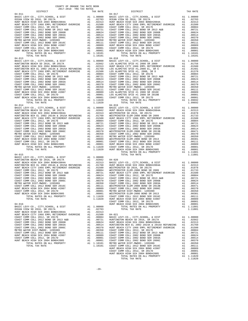| COUNTY OF ORANGE TAX RATE BOOK<br>2017-2018 TRA TAX RATES |          |                                                                                                                                                                                                                                                                                                                                                                                         |          |
|-----------------------------------------------------------|----------|-----------------------------------------------------------------------------------------------------------------------------------------------------------------------------------------------------------------------------------------------------------------------------------------------------------------------------------------------------------------------------------------|----------|
| DISTRICT                                                  | TAX RATE | DISTRICT<br>$04 - 017$                                                                                                                                                                                                                                                                                                                                                                  | TAX RATE |
| $04 - 011$                                                |          |                                                                                                                                                                                                                                                                                                                                                                                         |          |
|                                                           |          |                                                                                                                                                                                                                                                                                                                                                                                         |          |
|                                                           |          |                                                                                                                                                                                                                                                                                                                                                                                         |          |
|                                                           |          |                                                                                                                                                                                                                                                                                                                                                                                         |          |
|                                                           |          |                                                                                                                                                                                                                                                                                                                                                                                         |          |
|                                                           |          |                                                                                                                                                                                                                                                                                                                                                                                         |          |
|                                                           |          |                                                                                                                                                                                                                                                                                                                                                                                         |          |
|                                                           |          |                                                                                                                                                                                                                                                                                                                                                                                         |          |
|                                                           |          |                                                                                                                                                                                                                                                                                                                                                                                         |          |
|                                                           |          |                                                                                                                                                                                                                                                                                                                                                                                         |          |
|                                                           |          |                                                                                                                                                                                                                                                                                                                                                                                         |          |
|                                                           |          | $\begin{tabular}{cccc} 04-011 & \mbox{\small $14$-011} & \mbox{\small $14$-011} & \mbox{\small $14$-012} & \mbox{\small $14$-012} & \mbox{\small $14$-013} & \mbox{\small $14$-014} & \mbox{\small $14$-015} & \mbox{\small $14$-016} & \mbox{\small $14$-017} & \mbox{\small $14$-018} & \mbox{\small $14$-019} & \mbox{\small $14$-019} & \mbox{\small $14$-010} & \mbox{\small $14$$ |          |
|                                                           |          |                                                                                                                                                                                                                                                                                                                                                                                         |          |
|                                                           |          |                                                                                                                                                                                                                                                                                                                                                                                         |          |
|                                                           |          |                                                                                                                                                                                                                                                                                                                                                                                         |          |
|                                                           |          |                                                                                                                                                                                                                                                                                                                                                                                         |          |
|                                                           |          |                                                                                                                                                                                                                                                                                                                                                                                         |          |
|                                                           |          |                                                                                                                                                                                                                                                                                                                                                                                         |          |
|                                                           |          |                                                                                                                                                                                                                                                                                                                                                                                         |          |
|                                                           |          |                                                                                                                                                                                                                                                                                                                                                                                         |          |
|                                                           |          |                                                                                                                                                                                                                                                                                                                                                                                         |          |
|                                                           |          |                                                                                                                                                                                                                                                                                                                                                                                         |          |
|                                                           |          |                                                                                                                                                                                                                                                                                                                                                                                         |          |
|                                                           |          |                                                                                                                                                                                                                                                                                                                                                                                         |          |
|                                                           |          |                                                                                                                                                                                                                                                                                                                                                                                         |          |
|                                                           |          | $\begin{tabular}{cccccccc} 04-01&\text{NTM}, M78 & 040-01&\text{NTM}, M8 & 040-01&\text{NTM}, M8 & 040-01&\text{NTM}, M8 & 040-01&\text{NTM}, M8 & 040-01&\text{NTM}, M8 & 040-01&\text{NTM}, M8 & 040-01&\text{NTM}, M8 & 040-01&\text{NTM}, M9 & 04-01&\text{NTM}, M9 & 04-01&\text{NTM}, M9 & 04-01&\text{NTM}, M9 & 04-01&\text{$                                                   |          |
|                                                           |          |                                                                                                                                                                                                                                                                                                                                                                                         |          |
|                                                           |          |                                                                                                                                                                                                                                                                                                                                                                                         |          |
|                                                           |          |                                                                                                                                                                                                                                                                                                                                                                                         |          |
|                                                           |          |                                                                                                                                                                                                                                                                                                                                                                                         |          |
|                                                           |          |                                                                                                                                                                                                                                                                                                                                                                                         |          |
|                                                           |          |                                                                                                                                                                                                                                                                                                                                                                                         |          |
|                                                           |          |                                                                                                                                                                                                                                                                                                                                                                                         |          |
|                                                           |          |                                                                                                                                                                                                                                                                                                                                                                                         |          |
|                                                           |          |                                                                                                                                                                                                                                                                                                                                                                                         |          |
|                                                           |          |                                                                                                                                                                                                                                                                                                                                                                                         |          |
|                                                           |          |                                                                                                                                                                                                                                                                                                                                                                                         |          |
|                                                           |          |                                                                                                                                                                                                                                                                                                                                                                                         |          |
|                                                           |          |                                                                                                                                                                                                                                                                                                                                                                                         |          |
|                                                           |          |                                                                                                                                                                                                                                                                                                                                                                                         |          |
|                                                           |          |                                                                                                                                                                                                                                                                                                                                                                                         |          |
|                                                           |          |                                                                                                                                                                                                                                                                                                                                                                                         |          |
|                                                           |          |                                                                                                                                                                                                                                                                                                                                                                                         |          |
|                                                           |          |                                                                                                                                                                                                                                                                                                                                                                                         |          |
|                                                           |          |                                                                                                                                                                                                                                                                                                                                                                                         |          |
|                                                           |          |                                                                                                                                                                                                                                                                                                                                                                                         |          |
|                                                           |          |                                                                                                                                                                                                                                                                                                                                                                                         |          |
|                                                           |          |                                                                                                                                                                                                                                                                                                                                                                                         |          |
|                                                           |          |                                                                                                                                                                                                                                                                                                                                                                                         |          |
|                                                           |          |                                                                                                                                                                                                                                                                                                                                                                                         |          |
|                                                           |          |                                                                                                                                                                                                                                                                                                                                                                                         |          |
|                                                           |          |                                                                                                                                                                                                                                                                                                                                                                                         |          |
|                                                           |          |                                                                                                                                                                                                                                                                                                                                                                                         |          |
|                                                           |          |                                                                                                                                                                                                                                                                                                                                                                                         |          |
|                                                           |          |                                                                                                                                                                                                                                                                                                                                                                                         |          |
|                                                           |          |                                                                                                                                                                                                                                                                                                                                                                                         |          |
|                                                           |          |                                                                                                                                                                                                                                                                                                                                                                                         |          |
|                                                           |          | $\begin{tabular}{l ll} HINT BRACTC W MCGL 2012, SRC 20178COMST COMM COLL 2012, SRC 20178COAST COMM COLL 2012COAST COMM COLL 2012COAST COMM COLL 2012COAST COMM COLL 2012COAST COMM COLL 2012COAST COMM COLL 2012COAST COMM COLL 2012COAST COMM COLL 2012COAST COMM COLL 2012COAST COMM COLL 2012COAST COMM COLL 2012COAST COMM COLL 2012COAST COMM COLL $                               |          |
|                                                           |          |                                                                                                                                                                                                                                                                                                                                                                                         |          |
|                                                           |          |                                                                                                                                                                                                                                                                                                                                                                                         |          |
|                                                           |          |                                                                                                                                                                                                                                                                                                                                                                                         |          |
|                                                           |          |                                                                                                                                                                                                                                                                                                                                                                                         |          |
|                                                           |          |                                                                                                                                                                                                                                                                                                                                                                                         |          |
|                                                           |          |                                                                                                                                                                                                                                                                                                                                                                                         |          |
|                                                           |          |                                                                                                                                                                                                                                                                                                                                                                                         |          |
|                                                           |          |                                                                                                                                                                                                                                                                                                                                                                                         |          |
|                                                           |          |                                                                                                                                                                                                                                                                                                                                                                                         |          |
|                                                           |          |                                                                                                                                                                                                                                                                                                                                                                                         |          |
|                                                           |          |                                                                                                                                                                                                                                                                                                                                                                                         |          |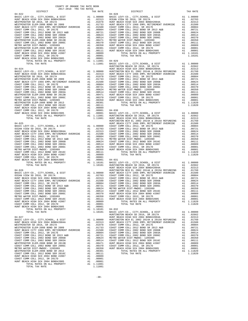| COUNTY OF ORANGE TAX RATE BOOK<br>2017-2018 יום מיד מיטורים<br>$2017-2018 \quad \text{TRA RATES}$ DISTRICT $2017-2018 \quad \text{TRA TAX RATES}$ |          |                                                         |          |
|---------------------------------------------------------------------------------------------------------------------------------------------------|----------|---------------------------------------------------------|----------|
|                                                                                                                                                   | TAX RATE | DISTRICT                                                | TAX RATE |
| $04 - 022$                                                                                                                                        |          | $04 - 028$                                              |          |
|                                                                                                                                                   |          |                                                         |          |
|                                                                                                                                                   |          |                                                         |          |
|                                                                                                                                                   |          |                                                         |          |
|                                                                                                                                                   |          |                                                         |          |
|                                                                                                                                                   |          |                                                         |          |
|                                                                                                                                                   |          |                                                         |          |
|                                                                                                                                                   |          |                                                         |          |
|                                                                                                                                                   |          |                                                         |          |
|                                                                                                                                                   |          |                                                         |          |
|                                                                                                                                                   |          |                                                         |          |
|                                                                                                                                                   |          |                                                         |          |
|                                                                                                                                                   |          |                                                         |          |
|                                                                                                                                                   |          |                                                         |          |
|                                                                                                                                                   |          |                                                         |          |
|                                                                                                                                                   |          |                                                         |          |
|                                                                                                                                                   |          |                                                         |          |
|                                                                                                                                                   |          |                                                         |          |
|                                                                                                                                                   |          |                                                         |          |
|                                                                                                                                                   |          |                                                         |          |
|                                                                                                                                                   |          |                                                         |          |
|                                                                                                                                                   |          |                                                         |          |
|                                                                                                                                                   |          |                                                         |          |
|                                                                                                                                                   |          |                                                         |          |
|                                                                                                                                                   |          |                                                         |          |
|                                                                                                                                                   |          |                                                         |          |
|                                                                                                                                                   |          |                                                         |          |
|                                                                                                                                                   |          |                                                         |          |
|                                                                                                                                                   |          |                                                         |          |
|                                                                                                                                                   |          |                                                         |          |
| $04 - 025$                                                                                                                                        |          | HUNT BEACH CITY 1966 EMPL RETIREMENT OVERRIDE A1 .01500 |          |
|                                                                                                                                                   |          |                                                         |          |
|                                                                                                                                                   |          |                                                         |          |
|                                                                                                                                                   |          |                                                         |          |
|                                                                                                                                                   |          |                                                         |          |
|                                                                                                                                                   |          |                                                         |          |
|                                                                                                                                                   |          |                                                         |          |
|                                                                                                                                                   |          |                                                         |          |
|                                                                                                                                                   |          |                                                         |          |
|                                                                                                                                                   |          |                                                         |          |
|                                                                                                                                                   |          |                                                         |          |
|                                                                                                                                                   |          |                                                         |          |
|                                                                                                                                                   |          |                                                         |          |
|                                                                                                                                                   |          |                                                         |          |
|                                                                                                                                                   |          |                                                         |          |
|                                                                                                                                                   |          |                                                         |          |
|                                                                                                                                                   |          |                                                         |          |
|                                                                                                                                                   |          |                                                         |          |
|                                                                                                                                                   |          |                                                         |          |
|                                                                                                                                                   |          |                                                         |          |
|                                                                                                                                                   |          |                                                         |          |
|                                                                                                                                                   |          |                                                         |          |
|                                                                                                                                                   |          |                                                         |          |
|                                                                                                                                                   |          |                                                         |          |
|                                                                                                                                                   |          |                                                         |          |
|                                                                                                                                                   |          |                                                         |          |
|                                                                                                                                                   |          |                                                         |          |
|                                                                                                                                                   |          |                                                         |          |
|                                                                                                                                                   |          |                                                         |          |
|                                                                                                                                                   |          |                                                         |          |
|                                                                                                                                                   |          |                                                         |          |
|                                                                                                                                                   |          |                                                         |          |
|                                                                                                                                                   |          |                                                         |          |
|                                                                                                                                                   |          |                                                         |          |
|                                                                                                                                                   |          |                                                         |          |
|                                                                                                                                                   |          |                                                         |          |
|                                                                                                                                                   |          |                                                         |          |
|                                                                                                                                                   |          |                                                         |          |
|                                                                                                                                                   |          |                                                         |          |
|                                                                                                                                                   |          |                                                         |          |
|                                                                                                                                                   |          |                                                         |          |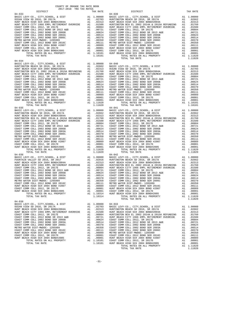| COUNTY OF ORANGE TAX RATE BOOK<br>2017-2018 TRA TAX RATES |          |                                                                                                                                                                                                                                                                                                                             |          |
|-----------------------------------------------------------|----------|-----------------------------------------------------------------------------------------------------------------------------------------------------------------------------------------------------------------------------------------------------------------------------------------------------------------------------|----------|
| DISTRICT<br>$04 - 033$                                    | TAX RATE | DISTRICT<br>$04 - 039$                                                                                                                                                                                                                                                                                                      | TAX RATE |
| $04 - 034$                                                |          | $\begin{tabular}{cccccc} 04-033 & 04-033 & 04-033 & 04-033 & 04-033 & 04-033 & 04-033 & 04-033 & 04-033 & 04-033 & 04-033 & 04-033 & 04-033 & 04-033 & 04-033 & 04-033 & 04-033 & 04-033 & 04-033 & 04-033 & 04-033 & 04-033 & 04-033 & 04-033 & 04-033 & 04-033 & 04$<br>TOTAL TAX RATE                                    | 1.11820  |
| $04 - 035$                                                |          | $04 - 041$                                                                                                                                                                                                                                                                                                                  |          |
| $04 - 036$                                                |          | $04 - 042$                                                                                                                                                                                                                                                                                                                  |          |
|                                                           |          | $\begin{tabular}{cccc} 04-0.36 & 10146 & 146.464 & 111620 & 04-042 & 10146 & 146.4646 \\ \hline \texttt{HOMT} BACH HCHSH C LY C, C, TITY, SCHOOL, & DISTT & \texttt{A1 1.00000} & \texttt{BASTC} & \texttt{LYC} \\ \texttt{HOMT} BACH HTHS CH & 2014 & 80.404 & 80.404 & 80.404 & 80.404 & 80.404 & 80.404 & 80.404 & 80.4$ |          |
|                                                           |          |                                                                                                                                                                                                                                                                                                                             |          |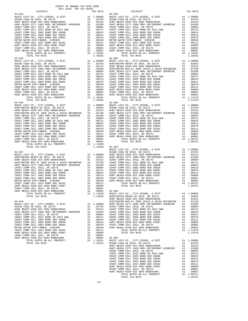| DISTRICT<br>$\begin{array}{cccccccc} 04-044 & 04-04 & 04-04 & 04-04 & 04-04 & 04-04 & 04-04 & 04-04 & 04-04 & 04-04 & 04-04 & 04-04 & 04-04 & 04-04 & 04-04 & 04-04 & 04-04 & 04-04 & 04-04 & 04-04 & 04-04 & 04-04 & 04-04 & 04-04 & 04-04 & 04-04 & 04-04 & 04-04 & 04-04 & 04-04 & $ | TAX RATE       | DISTRICT                                                                                                                                                                                                                                                                                                                                                                                                                      | TAX RATE |
|-----------------------------------------------------------------------------------------------------------------------------------------------------------------------------------------------------------------------------------------------------------------------------------------|----------------|-------------------------------------------------------------------------------------------------------------------------------------------------------------------------------------------------------------------------------------------------------------------------------------------------------------------------------------------------------------------------------------------------------------------------------|----------|
| $04 - 044$                                                                                                                                                                                                                                                                              |                | $04 - 049$                                                                                                                                                                                                                                                                                                                                                                                                                    |          |
|                                                                                                                                                                                                                                                                                         |                |                                                                                                                                                                                                                                                                                                                                                                                                                               |          |
|                                                                                                                                                                                                                                                                                         |                |                                                                                                                                                                                                                                                                                                                                                                                                                               |          |
|                                                                                                                                                                                                                                                                                         |                |                                                                                                                                                                                                                                                                                                                                                                                                                               |          |
|                                                                                                                                                                                                                                                                                         |                |                                                                                                                                                                                                                                                                                                                                                                                                                               |          |
|                                                                                                                                                                                                                                                                                         |                |                                                                                                                                                                                                                                                                                                                                                                                                                               |          |
|                                                                                                                                                                                                                                                                                         |                |                                                                                                                                                                                                                                                                                                                                                                                                                               |          |
|                                                                                                                                                                                                                                                                                         |                |                                                                                                                                                                                                                                                                                                                                                                                                                               |          |
|                                                                                                                                                                                                                                                                                         |                |                                                                                                                                                                                                                                                                                                                                                                                                                               |          |
|                                                                                                                                                                                                                                                                                         |                |                                                                                                                                                                                                                                                                                                                                                                                                                               |          |
|                                                                                                                                                                                                                                                                                         |                |                                                                                                                                                                                                                                                                                                                                                                                                                               |          |
|                                                                                                                                                                                                                                                                                         |                |                                                                                                                                                                                                                                                                                                                                                                                                                               |          |
|                                                                                                                                                                                                                                                                                         |                |                                                                                                                                                                                                                                                                                                                                                                                                                               |          |
|                                                                                                                                                                                                                                                                                         |                |                                                                                                                                                                                                                                                                                                                                                                                                                               |          |
|                                                                                                                                                                                                                                                                                         |                |                                                                                                                                                                                                                                                                                                                                                                                                                               |          |
|                                                                                                                                                                                                                                                                                         |                |                                                                                                                                                                                                                                                                                                                                                                                                                               |          |
|                                                                                                                                                                                                                                                                                         |                |                                                                                                                                                                                                                                                                                                                                                                                                                               |          |
|                                                                                                                                                                                                                                                                                         |                |                                                                                                                                                                                                                                                                                                                                                                                                                               |          |
|                                                                                                                                                                                                                                                                                         |                |                                                                                                                                                                                                                                                                                                                                                                                                                               |          |
|                                                                                                                                                                                                                                                                                         |                |                                                                                                                                                                                                                                                                                                                                                                                                                               |          |
|                                                                                                                                                                                                                                                                                         |                |                                                                                                                                                                                                                                                                                                                                                                                                                               |          |
|                                                                                                                                                                                                                                                                                         |                |                                                                                                                                                                                                                                                                                                                                                                                                                               |          |
|                                                                                                                                                                                                                                                                                         |                |                                                                                                                                                                                                                                                                                                                                                                                                                               |          |
|                                                                                                                                                                                                                                                                                         |                |                                                                                                                                                                                                                                                                                                                                                                                                                               |          |
|                                                                                                                                                                                                                                                                                         |                |                                                                                                                                                                                                                                                                                                                                                                                                                               |          |
|                                                                                                                                                                                                                                                                                         |                |                                                                                                                                                                                                                                                                                                                                                                                                                               |          |
|                                                                                                                                                                                                                                                                                         |                |                                                                                                                                                                                                                                                                                                                                                                                                                               |          |
|                                                                                                                                                                                                                                                                                         |                |                                                                                                                                                                                                                                                                                                                                                                                                                               |          |
|                                                                                                                                                                                                                                                                                         |                |                                                                                                                                                                                                                                                                                                                                                                                                                               |          |
|                                                                                                                                                                                                                                                                                         |                |                                                                                                                                                                                                                                                                                                                                                                                                                               |          |
|                                                                                                                                                                                                                                                                                         |                |                                                                                                                                                                                                                                                                                                                                                                                                                               |          |
|                                                                                                                                                                                                                                                                                         |                |                                                                                                                                                                                                                                                                                                                                                                                                                               |          |
|                                                                                                                                                                                                                                                                                         |                |                                                                                                                                                                                                                                                                                                                                                                                                                               |          |
|                                                                                                                                                                                                                                                                                         |                |                                                                                                                                                                                                                                                                                                                                                                                                                               |          |
|                                                                                                                                                                                                                                                                                         |                |                                                                                                                                                                                                                                                                                                                                                                                                                               |          |
|                                                                                                                                                                                                                                                                                         |                |                                                                                                                                                                                                                                                                                                                                                                                                                               |          |
|                                                                                                                                                                                                                                                                                         |                |                                                                                                                                                                                                                                                                                                                                                                                                                               |          |
|                                                                                                                                                                                                                                                                                         |                |                                                                                                                                                                                                                                                                                                                                                                                                                               |          |
|                                                                                                                                                                                                                                                                                         |                |                                                                                                                                                                                                                                                                                                                                                                                                                               |          |
|                                                                                                                                                                                                                                                                                         |                |                                                                                                                                                                                                                                                                                                                                                                                                                               |          |
|                                                                                                                                                                                                                                                                                         |                |                                                                                                                                                                                                                                                                                                                                                                                                                               |          |
|                                                                                                                                                                                                                                                                                         |                |                                                                                                                                                                                                                                                                                                                                                                                                                               |          |
| TOTAL TAX RATE                                                                                                                                                                                                                                                                          | 1.11820 04-903 |                                                                                                                                                                                                                                                                                                                                                                                                                               |          |
|                                                                                                                                                                                                                                                                                         |                |                                                                                                                                                                                                                                                                                                                                                                                                                               |          |
|                                                                                                                                                                                                                                                                                         |                | $\begin{tabular}{cccccc} 04-047 & \texttt{BASTC LEV} -\texttt{CO.}, & \texttt{CITY}, \texttt{SCROOL}, & \texttt{\&}\ \texttt{DIST} & \texttt{A1} & 1.00000 \\ \texttt{BASTC LEV} -\texttt{CO.}, & \texttt{CITY}, \texttt{SCHOOL}, & \texttt{\&}\ \texttt{DIST} & \texttt{A1} & 1.00000 \\ \texttt{BASTC LEV} -\texttt{CO.}, & \texttt{CITY}, \texttt{SCHOOL}, & \texttt{\&}\ \texttt{DIST} & \texttt{A1} & 0.2703 \\ \texttt$ |          |
|                                                                                                                                                                                                                                                                                         |                |                                                                                                                                                                                                                                                                                                                                                                                                                               |          |
|                                                                                                                                                                                                                                                                                         |                |                                                                                                                                                                                                                                                                                                                                                                                                                               |          |
|                                                                                                                                                                                                                                                                                         |                |                                                                                                                                                                                                                                                                                                                                                                                                                               |          |
|                                                                                                                                                                                                                                                                                         |                |                                                                                                                                                                                                                                                                                                                                                                                                                               |          |
|                                                                                                                                                                                                                                                                                         |                |                                                                                                                                                                                                                                                                                                                                                                                                                               |          |
|                                                                                                                                                                                                                                                                                         |                |                                                                                                                                                                                                                                                                                                                                                                                                                               |          |
|                                                                                                                                                                                                                                                                                         |                |                                                                                                                                                                                                                                                                                                                                                                                                                               |          |
|                                                                                                                                                                                                                                                                                         |                |                                                                                                                                                                                                                                                                                                                                                                                                                               |          |
|                                                                                                                                                                                                                                                                                         |                |                                                                                                                                                                                                                                                                                                                                                                                                                               |          |
|                                                                                                                                                                                                                                                                                         |                |                                                                                                                                                                                                                                                                                                                                                                                                                               |          |
|                                                                                                                                                                                                                                                                                         |                |                                                                                                                                                                                                                                                                                                                                                                                                                               |          |
|                                                                                                                                                                                                                                                                                         |                |                                                                                                                                                                                                                                                                                                                                                                                                                               |          |
|                                                                                                                                                                                                                                                                                         |                |                                                                                                                                                                                                                                                                                                                                                                                                                               |          |
|                                                                                                                                                                                                                                                                                         |                |                                                                                                                                                                                                                                                                                                                                                                                                                               |          |
|                                                                                                                                                                                                                                                                                         |                |                                                                                                                                                                                                                                                                                                                                                                                                                               |          |
|                                                                                                                                                                                                                                                                                         |                |                                                                                                                                                                                                                                                                                                                                                                                                                               |          |
|                                                                                                                                                                                                                                                                                         |                |                                                                                                                                                                                                                                                                                                                                                                                                                               |          |
|                                                                                                                                                                                                                                                                                         |                |                                                                                                                                                                                                                                                                                                                                                                                                                               |          |
|                                                                                                                                                                                                                                                                                         |                |                                                                                                                                                                                                                                                                                                                                                                                                                               |          |
|                                                                                                                                                                                                                                                                                         |                |                                                                                                                                                                                                                                                                                                                                                                                                                               |          |
|                                                                                                                                                                                                                                                                                         |                |                                                                                                                                                                                                                                                                                                                                                                                                                               |          |
|                                                                                                                                                                                                                                                                                         |                |                                                                                                                                                                                                                                                                                                                                                                                                                               |          |
|                                                                                                                                                                                                                                                                                         |                |                                                                                                                                                                                                                                                                                                                                                                                                                               |          |
|                                                                                                                                                                                                                                                                                         |                |                                                                                                                                                                                                                                                                                                                                                                                                                               |          |
|                                                                                                                                                                                                                                                                                         |                |                                                                                                                                                                                                                                                                                                                                                                                                                               |          |
|                                                                                                                                                                                                                                                                                         |                |                                                                                                                                                                                                                                                                                                                                                                                                                               |          |
|                                                                                                                                                                                                                                                                                         |                |                                                                                                                                                                                                                                                                                                                                                                                                                               |          |
|                                                                                                                                                                                                                                                                                         |                |                                                                                                                                                                                                                                                                                                                                                                                                                               |          |
|                                                                                                                                                                                                                                                                                         |                |                                                                                                                                                                                                                                                                                                                                                                                                                               |          |
|                                                                                                                                                                                                                                                                                         |                |                                                                                                                                                                                                                                                                                                                                                                                                                               |          |
|                                                                                                                                                                                                                                                                                         |                |                                                                                                                                                                                                                                                                                                                                                                                                                               |          |
|                                                                                                                                                                                                                                                                                         |                |                                                                                                                                                                                                                                                                                                                                                                                                                               |          |
|                                                                                                                                                                                                                                                                                         |                |                                                                                                                                                                                                                                                                                                                                                                                                                               |          |
|                                                                                                                                                                                                                                                                                         |                |                                                                                                                                                                                                                                                                                                                                                                                                                               |          |
|                                                                                                                                                                                                                                                                                         |                |                                                                                                                                                                                                                                                                                                                                                                                                                               |          |
|                                                                                                                                                                                                                                                                                         |                |                                                                                                                                                                                                                                                                                                                                                                                                                               |          |
|                                                                                                                                                                                                                                                                                         |                |                                                                                                                                                                                                                                                                                                                                                                                                                               |          |
|                                                                                                                                                                                                                                                                                         |                |                                                                                                                                                                                                                                                                                                                                                                                                                               |          |
|                                                                                                                                                                                                                                                                                         |                |                                                                                                                                                                                                                                                                                                                                                                                                                               |          |
|                                                                                                                                                                                                                                                                                         |                |                                                                                                                                                                                                                                                                                                                                                                                                                               |          |

-32-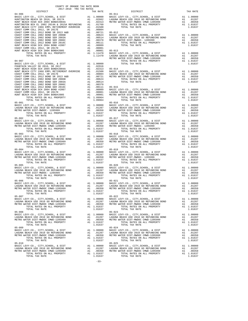| COUNTY OF ORANGE TAX RATE BOOK<br>2017-2018 TRA TAX RATES                                                                                                                                                                                                                                               |          |                                                                                                                                                                                                                |          |
|---------------------------------------------------------------------------------------------------------------------------------------------------------------------------------------------------------------------------------------------------------------------------------------------------------|----------|----------------------------------------------------------------------------------------------------------------------------------------------------------------------------------------------------------------|----------|
|                                                                                                                                                                                                                                                                                                         | TAX RATE | DISTRICT                                                                                                                                                                                                       | TAX RATE |
|                                                                                                                                                                                                                                                                                                         |          |                                                                                                                                                                                                                |          |
|                                                                                                                                                                                                                                                                                                         |          |                                                                                                                                                                                                                |          |
|                                                                                                                                                                                                                                                                                                         |          |                                                                                                                                                                                                                |          |
|                                                                                                                                                                                                                                                                                                         |          |                                                                                                                                                                                                                |          |
|                                                                                                                                                                                                                                                                                                         |          |                                                                                                                                                                                                                |          |
|                                                                                                                                                                                                                                                                                                         |          |                                                                                                                                                                                                                |          |
|                                                                                                                                                                                                                                                                                                         |          |                                                                                                                                                                                                                |          |
|                                                                                                                                                                                                                                                                                                         |          |                                                                                                                                                                                                                |          |
|                                                                                                                                                                                                                                                                                                         |          |                                                                                                                                                                                                                |          |
|                                                                                                                                                                                                                                                                                                         |          |                                                                                                                                                                                                                |          |
|                                                                                                                                                                                                                                                                                                         |          |                                                                                                                                                                                                                |          |
|                                                                                                                                                                                                                                                                                                         |          |                                                                                                                                                                                                                |          |
|                                                                                                                                                                                                                                                                                                         |          |                                                                                                                                                                                                                |          |
|                                                                                                                                                                                                                                                                                                         |          |                                                                                                                                                                                                                |          |
|                                                                                                                                                                                                                                                                                                         |          |                                                                                                                                                                                                                |          |
|                                                                                                                                                                                                                                                                                                         |          |                                                                                                                                                                                                                |          |
|                                                                                                                                                                                                                                                                                                         |          |                                                                                                                                                                                                                |          |
|                                                                                                                                                                                                                                                                                                         |          |                                                                                                                                                                                                                |          |
|                                                                                                                                                                                                                                                                                                         |          |                                                                                                                                                                                                                |          |
|                                                                                                                                                                                                                                                                                                         |          |                                                                                                                                                                                                                |          |
|                                                                                                                                                                                                                                                                                                         |          |                                                                                                                                                                                                                |          |
|                                                                                                                                                                                                                                                                                                         |          |                                                                                                                                                                                                                |          |
|                                                                                                                                                                                                                                                                                                         |          |                                                                                                                                                                                                                |          |
|                                                                                                                                                                                                                                                                                                         |          |                                                                                                                                                                                                                |          |
|                                                                                                                                                                                                                                                                                                         |          |                                                                                                                                                                                                                |          |
|                                                                                                                                                                                                                                                                                                         |          |                                                                                                                                                                                                                |          |
|                                                                                                                                                                                                                                                                                                         |          |                                                                                                                                                                                                                |          |
|                                                                                                                                                                                                                                                                                                         |          |                                                                                                                                                                                                                |          |
|                                                                                                                                                                                                                                                                                                         |          |                                                                                                                                                                                                                |          |
|                                                                                                                                                                                                                                                                                                         |          |                                                                                                                                                                                                                |          |
|                                                                                                                                                                                                                                                                                                         |          |                                                                                                                                                                                                                |          |
|                                                                                                                                                                                                                                                                                                         |          |                                                                                                                                                                                                                |          |
|                                                                                                                                                                                                                                                                                                         |          |                                                                                                                                                                                                                |          |
|                                                                                                                                                                                                                                                                                                         |          |                                                                                                                                                                                                                |          |
|                                                                                                                                                                                                                                                                                                         |          |                                                                                                                                                                                                                |          |
|                                                                                                                                                                                                                                                                                                         |          |                                                                                                                                                                                                                |          |
|                                                                                                                                                                                                                                                                                                         |          |                                                                                                                                                                                                                |          |
|                                                                                                                                                                                                                                                                                                         |          |                                                                                                                                                                                                                |          |
|                                                                                                                                                                                                                                                                                                         |          |                                                                                                                                                                                                                |          |
|                                                                                                                                                                                                                                                                                                         |          |                                                                                                                                                                                                                |          |
|                                                                                                                                                                                                                                                                                                         |          |                                                                                                                                                                                                                |          |
|                                                                                                                                                                                                                                                                                                         |          |                                                                                                                                                                                                                |          |
|                                                                                                                                                                                                                                                                                                         |          | $05 - 020$                                                                                                                                                                                                     |          |
|                                                                                                                                                                                                                                                                                                         |          |                                                                                                                                                                                                                |          |
|                                                                                                                                                                                                                                                                                                         |          |                                                                                                                                                                                                                |          |
|                                                                                                                                                                                                                                                                                                         |          |                                                                                                                                                                                                                |          |
|                                                                                                                                                                                                                                                                                                         |          |                                                                                                                                                                                                                |          |
|                                                                                                                                                                                                                                                                                                         |          |                                                                                                                                                                                                                |          |
|                                                                                                                                                                                                                                                                                                         |          |                                                                                                                                                                                                                |          |
|                                                                                                                                                                                                                                                                                                         |          |                                                                                                                                                                                                                |          |
| $05 - 007$                                                                                                                                                                                                                                                                                              |          | $05 - 022$                                                                                                                                                                                                     |          |
|                                                                                                                                                                                                                                                                                                         |          |                                                                                                                                                                                                                |          |
| $\begin{array}{cccccc} & & & & & & & 05-022 & & & & & & 05-020 & & & & & 05-07 & & & & 05-007 & & & 05-007 & & & 05-007 & & 05-007 & & 05-007 & & 05-007 & & 05-007 & & 05-007 & & 05-007 & & 05-007 & & 05-007 & & 05-007 & & 05-007 & & 05-007 & & 05-007 & & 05-007 & & 05-007 & & 05-007 & & 05-00$ |          |                                                                                                                                                                                                                |          |
|                                                                                                                                                                                                                                                                                                         |          |                                                                                                                                                                                                                |          |
| TOTAL TAX RATE                                                                                                                                                                                                                                                                                          | 1.01637  | TOTAL TAX RATE                                                                                                                                                                                                 | 1.01637  |
| $05 - 008$                                                                                                                                                                                                                                                                                              |          | $05 - 023$                                                                                                                                                                                                     |          |
|                                                                                                                                                                                                                                                                                                         |          | BASIC LEVY-CO., CITY, SCHOOL, & DIST Al 1.00000<br>BASIC LEVY-CO., CITY, SCHOOL, & DIST Al .01287<br>METRO WATER DIST-MWDOC CMWD-1205999 Al .00350<br>TOTAL RATES ON ALL PROPERTY Al 1.01637<br>TOTAL TAX RATE |          |
|                                                                                                                                                                                                                                                                                                         |          |                                                                                                                                                                                                                |          |
|                                                                                                                                                                                                                                                                                                         |          | TOTAL TAX RATE                                                                                                                                                                                                 | 1.01637  |
| $05 - 009$                                                                                                                                                                                                                                                                                              |          | $05 - 024$                                                                                                                                                                                                     |          |
|                                                                                                                                                                                                                                                                                                         |          |                                                                                                                                                                                                                |          |
|                                                                                                                                                                                                                                                                                                         |          |                                                                                                                                                                                                                |          |
|                                                                                                                                                                                                                                                                                                         |          |                                                                                                                                                                                                                |          |
| TOTAL TAX RATE                                                                                                                                                                                                                                                                                          | 1.01637  | TOTAL TAX RATE                                                                                                                                                                                                 | 1.01637  |
| $05 - 010$                                                                                                                                                                                                                                                                                              |          | $05 - 025$                                                                                                                                                                                                     |          |
|                                                                                                                                                                                                                                                                                                         |          |                                                                                                                                                                                                                |          |
|                                                                                                                                                                                                                                                                                                         |          |                                                                                                                                                                                                                |          |
| TOTAL TAX RATE                                                                                                                                                                                                                                                                                          | 1.01637  | TOTAL TAX RATE                                                                                                                                                                                                 | 1.01637  |
|                                                                                                                                                                                                                                                                                                         |          |                                                                                                                                                                                                                |          |

-33-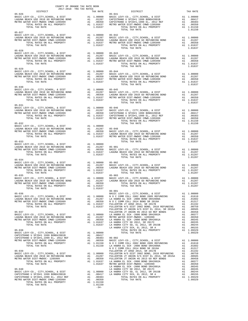| COUNTY OF ORANGE TAX RATE BOOK<br>2017-2018 TRA TAX RATES |                       |                                                                                                                                                                                                                                                                                                                                                                                                                                                        |          |
|-----------------------------------------------------------|-----------------------|--------------------------------------------------------------------------------------------------------------------------------------------------------------------------------------------------------------------------------------------------------------------------------------------------------------------------------------------------------------------------------------------------------------------------------------------------------|----------|
| DISTRICT<br>$05 - 026$                                    |                       | RA TAX RATES<br>TAX RATE 05-041<br>05-041                                                                                                                                                                                                                                                                                                                                                                                                              | TAX RATE |
|                                                           |                       | 05-026 05-026 05-026 05-026 05-026 05-026 05-026 05-026 05-026 05-026 05-026 05-026 05-026 05-026 05-026 05-02<br>DAGUNA BEACH USD 2010 GO REFUNDING BOND 1.00287 02PISTRANO U SFID#1 1999 BOND#2001B A1 .00417<br>METRO WATER DIST-                                                                                                                                                                                                                   |          |
|                                                           |                       | $\begin{tabular}{lllllllllllllllllll} \textsc{0.0181} & & & & & \textsc{0.0182} & & \\ \textsc{BASIC LEVY-CO.}\text{, CITY, SCHOOL}\text{, & CITY, CCHO.}\text{, & DIST} & & & \textsc{0.0187} & \\ \textsc{LAGUNA BEACH USD 2010 GO REFUNCTIONO.}\text{ & DAST} & & & \textsc{0.0187} & \\ \textsc{METRO WATEE DIST-WIDOCC (MWD-1205999)} & & & & \textsc{0.0350} & \\ \textsc{METRO WATER DIST-WIDOC (MWD-1205999)} &$                               |          |
|                                                           |                       | $\begin{tabular}{lllllllllllllllllllll} \textsc{0.028} & & & & & & \textsc{0.028} \\ \textsc{BASIC LEVY-C0., CITY, SCHOOL, & & & & \textsc{0.0287} & & & \textsc{0.0287} & & \textsc{0.0287} & & \textsc{0.0287} & & \textsc{0.0287} & & \textsc{0.0287} & & \textsc{0.0287} & & \textsc{0.0287} & & \textsc{0.0287} & & \textsc{0.0287} \\ \textsc{METRO WATER DIST-MNDOC CMD-12059$                                                                  |          |
|                                                           |                       |                                                                                                                                                                                                                                                                                                                                                                                                                                                        |          |
|                                                           |                       | $\begin{tabular}{lllllllllllllllllll} & 0.5-030 & 0.5-030 & 0.5-045 & 0.5-045 & 0.5-045 & 0.5-045 & 0.5-045 & 0.5-045 & 0.5-045 & 0.5-045 & 0.5-045 & 0.5-045 & 0.5-045 & 0.5-045 & 0.5-045 & 0.5-045 & 0.5-045 & 0.5-045 & 0.5-045 & 0.5-045 & 0.5-045 & 0.5-045 & 0.5$                                                                                                                                                                               |          |
|                                                           |                       | $\begin{tabular}{lllllllllllllllllllll} \textsc{0.021} & & & & & & & \\ \textsc{0.022} & \textsc{0.021} & \textsc{0.021} & \textsc{0.021} & \textsc{0.021} & \textsc{0.021} & \textsc{0.021} & \textsc{0.021} & \textsc{0.021} & \textsc{0.021} & \textsc{0.021} & \textsc{0.021} & \textsc{0.021} & \textsc{0.021} & \textsc{0.021} & \textsc{0.021} & \textsc{0.02$                                                                                  |          |
|                                                           |                       | $\begin{tabular}{lllllllllllllllllllll} \textsc{0.0132} & \textsc{0.0287} & \textsc{0.0132} & \textsc{0.0133} & \textsc{0.0133} & \textsc{0.0133} & \textsc{0.0133} & \textsc{0.0133} & \textsc{0.0133} & \textsc{0.0133} & \textsc{0.0133} & \textsc{0.0133} & \textsc{0.0133} & \textsc{0.0133} & \textsc{0.0133} & \textsc{0.0133} & \textsc{0.0133$                                                                                                |          |
|                                                           |                       | $\begin{tabular}{lllllllllllll} \texttt{05-033} & & & & & & & & & & & & \\ \texttt{BASIC LEVY-CO., CITY, SCHOOL, & E DIST} & & & & & & & & & \\ \texttt{LAGUNA BEACH USD 2010 GO REFUNDING BOND & & & & & & & & \\ \texttt{LAGUNA BEACH USD 201910 TORIL RATES ON ALL PROPERTIES ON ALL PROBERTY & & & & & & & \\ \texttt{METRO WATER DIST–MWOC CMD-1205999 & & & & & & & & \\ \texttt{01287} & & & & & & & & & & \\ \texttt{01637} & & & & & & & & &$ |          |
| $05 - 034$                                                |                       | $\begin{tabular}{lllllllllllllllllllllll} & 0.5-0.34 & 1.00000 & 0.5-902 \\ \text{BASC LEVY-CO. , CITY, SCHOOL, & 0.5-902 \\ \text{LAGUNA BEACH USD 2010 GO REFUNDING BOND & & & 0.0287 \\ \text{METRO WATER DIST–MWDOC CMWD-1205999} & & & 0.0350 \\ \text{METRO WATER DIST–MWDOC CMWD-1205999} & & & 0.0350 \\ \text{TOTAL RAK FRES ON ALL PROBERTY & & & 1.01637 \\ \text{TOTAL TAX$<br>$05 - 903$                                                  |          |
| TOTAL RATES ON ALL PROPERTY<br>TOTAL TAX RATE             | A1 1.01637<br>1.01637 | TOTAL TAX RATE<br>$06 - 001$                                                                                                                                                                                                                                                                                                                                                                                                                           | 1.01287  |
|                                                           |                       |                                                                                                                                                                                                                                                                                                                                                                                                                                                        |          |
|                                                           |                       |                                                                                                                                                                                                                                                                                                                                                                                                                                                        |          |
|                                                           |                       |                                                                                                                                                                                                                                                                                                                                                                                                                                                        |          |
|                                                           |                       |                                                                                                                                                                                                                                                                                                                                                                                                                                                        |          |
|                                                           | $-34-$                |                                                                                                                                                                                                                                                                                                                                                                                                                                                        |          |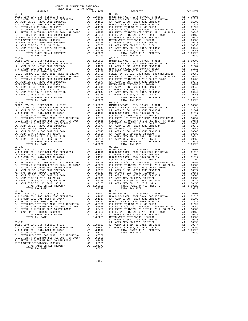|                          | COUNTY OF ORANGE TAX RATE BOOK |                                                                                                                                                                                                                                                                                                                                              |          |
|--------------------------|--------------------------------|----------------------------------------------------------------------------------------------------------------------------------------------------------------------------------------------------------------------------------------------------------------------------------------------------------------------------------------------|----------|
| DISTRICT                 | 2017-2018 TRA TAX RATES        | RAILS<br>TAX RATE<br>DISTRICT                                                                                                                                                                                                                                                                                                                | TAX RATE |
| $06 - 003$               |                                | $06 - 009$<br>$\begin{tabular}{0.6-0.03 \hbox{0.6-0.03 \hbox{N} \hbox{O C OVM COL L 2014 BOND 2005 REFDNDING 2012 BOND 2005 REFDNDING 2012 BOND 2005 REFDNDING 2013 BOND 2005 REFDNDING 2014.01610\nN O C COMM COLL 2012 BOND 2005 REFDNDING 2014.01602\nN O C COMM COLL 2014 BOND SR 2010B\nN O C COMM COLL 2014 BOND SR 2010B\nN O C COMM$ |          |
| $06 - 004$<br>$06 - 005$ |                                | $06 - 010$<br>$06 - 011$                                                                                                                                                                                                                                                                                                                     |          |
| $06 - 006$               |                                | FULLERTON JT UNION HS 2013 GOREF BONDS AN 1995 ULLERTON JT UNION HS DIST EL 2014, SR 2015A AN 199329 PULLERTON JT UNION HS 2013 GOREF BONDS AN 199329 COREF BOND SR#2002A AL 199329 TOTAL TAK RATE CHANGER DISTRIBUTED AN INCR<br>$06 - 012$                                                                                                 |          |
| TOTAL TAX RATE           | 1.09329                        | TOTAL RATES ON ALL PROPERTY 2009 A1 1.09329 TOTAL RATES ON ALL PROPERTY 2009 A1 1.09329<br>ביסט 1.09329 מידי הייתה המודר המודר המודר המודר המודר המודר המודר המודר המודר המודר המודר המודר המודר המודר המ<br>TOTAL TAX RATE                                                                                                                  | 1.09329  |
| $06 - 007$               | 1.06271                        | $06 - 013$                                                                                                                                                                                                                                                                                                                                   |          |

 $-35-$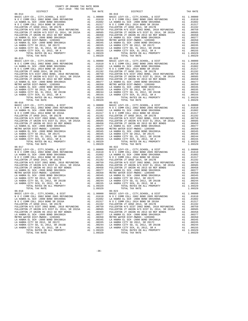| COUNTY OF ORANGE TAX RATE BOOK<br>2017-2018 TRA TAX RATES |  |         |                                                                                                                                                                                                                                        |  |          |
|-----------------------------------------------------------|--|---------|----------------------------------------------------------------------------------------------------------------------------------------------------------------------------------------------------------------------------------------|--|----------|
| DISTRICT                                                  |  |         | TES<br>TAX RATE DISTRICT                                                                                                                                                                                                               |  | TAX RATE |
| $06 - 014$                                                |  |         | $06 - 019$                                                                                                                                                                                                                             |  |          |
|                                                           |  |         |                                                                                                                                                                                                                                        |  |          |
|                                                           |  |         |                                                                                                                                                                                                                                        |  |          |
|                                                           |  |         |                                                                                                                                                                                                                                        |  |          |
|                                                           |  |         |                                                                                                                                                                                                                                        |  |          |
|                                                           |  |         |                                                                                                                                                                                                                                        |  |          |
|                                                           |  |         |                                                                                                                                                                                                                                        |  |          |
|                                                           |  |         |                                                                                                                                                                                                                                        |  |          |
|                                                           |  |         |                                                                                                                                                                                                                                        |  |          |
|                                                           |  |         |                                                                                                                                                                                                                                        |  |          |
| $06 - 015$                                                |  |         | $06 - 020$                                                                                                                                                                                                                             |  |          |
|                                                           |  |         |                                                                                                                                                                                                                                        |  |          |
|                                                           |  |         |                                                                                                                                                                                                                                        |  |          |
|                                                           |  |         |                                                                                                                                                                                                                                        |  |          |
|                                                           |  |         |                                                                                                                                                                                                                                        |  |          |
|                                                           |  |         |                                                                                                                                                                                                                                        |  |          |
|                                                           |  |         |                                                                                                                                                                                                                                        |  |          |
|                                                           |  |         |                                                                                                                                                                                                                                        |  |          |
|                                                           |  |         |                                                                                                                                                                                                                                        |  |          |
|                                                           |  |         |                                                                                                                                                                                                                                        |  |          |
|                                                           |  |         |                                                                                                                                                                                                                                        |  |          |
|                                                           |  |         |                                                                                                                                                                                                                                        |  |          |
| $06 - 016$                                                |  |         | $06 - 021$                                                                                                                                                                                                                             |  |          |
|                                                           |  |         |                                                                                                                                                                                                                                        |  |          |
|                                                           |  |         |                                                                                                                                                                                                                                        |  |          |
|                                                           |  |         |                                                                                                                                                                                                                                        |  |          |
|                                                           |  |         |                                                                                                                                                                                                                                        |  |          |
|                                                           |  |         |                                                                                                                                                                                                                                        |  |          |
|                                                           |  |         |                                                                                                                                                                                                                                        |  |          |
|                                                           |  |         |                                                                                                                                                                                                                                        |  |          |
|                                                           |  |         |                                                                                                                                                                                                                                        |  |          |
|                                                           |  |         |                                                                                                                                                                                                                                        |  |          |
|                                                           |  |         |                                                                                                                                                                                                                                        |  |          |
|                                                           |  |         |                                                                                                                                                                                                                                        |  |          |
|                                                           |  |         |                                                                                                                                                                                                                                        |  |          |
|                                                           |  |         |                                                                                                                                                                                                                                        |  |          |
|                                                           |  |         |                                                                                                                                                                                                                                        |  |          |
|                                                           |  |         |                                                                                                                                                                                                                                        |  |          |
|                                                           |  |         |                                                                                                                                                                                                                                        |  |          |
|                                                           |  |         |                                                                                                                                                                                                                                        |  |          |
|                                                           |  |         |                                                                                                                                                                                                                                        |  |          |
|                                                           |  |         |                                                                                                                                                                                                                                        |  |          |
|                                                           |  |         |                                                                                                                                                                                                                                        |  |          |
|                                                           |  |         |                                                                                                                                                                                                                                        |  |          |
|                                                           |  |         |                                                                                                                                                                                                                                        |  |          |
|                                                           |  |         | TOTAL RATES ON ALL PROPERTY A1 1.09329 TOTAL RATES ON ALL PROPERTY A1 1.09329                                                                                                                                                          |  |          |
| TOTAL TAX RATE<br>$06 - 018$                              |  | 1.09329 | TOTAL TAX RATE<br>$06 - 023$                                                                                                                                                                                                           |  | 1.09329  |
|                                                           |  |         |                                                                                                                                                                                                                                        |  |          |
|                                                           |  |         |                                                                                                                                                                                                                                        |  |          |
|                                                           |  |         |                                                                                                                                                                                                                                        |  |          |
|                                                           |  |         |                                                                                                                                                                                                                                        |  |          |
|                                                           |  |         |                                                                                                                                                                                                                                        |  |          |
|                                                           |  |         |                                                                                                                                                                                                                                        |  |          |
|                                                           |  |         |                                                                                                                                                                                                                                        |  |          |
|                                                           |  |         |                                                                                                                                                                                                                                        |  |          |
|                                                           |  |         |                                                                                                                                                                                                                                        |  |          |
|                                                           |  |         | FULLERTON JT UNION HS 2013 GO REF EL 2014, SR 2015A<br>FULLERTON JT UNION HS 2013 GO REF BONDS<br>EA HABRA EL SCH -2000 BOND SR#2002A<br>LA HABRA EL SCH -2000 BOND SR#2002A<br>LA HABRA EL SCH -2000 BOND SR#2002A<br>LA HABRA EL SCH |  |          |
|                                                           |  |         |                                                                                                                                                                                                                                        |  |          |
|                                                           |  |         |                                                                                                                                                                                                                                        |  |          |

-36-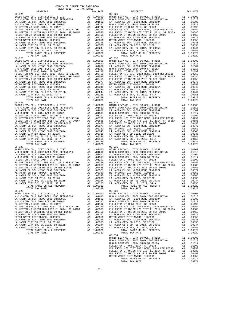| COUNTY OF ORANGE TAX RATE BOOK<br>2017-2018 TRA TAX RATES |          |                                                                                                                                                            |          |
|-----------------------------------------------------------|----------|------------------------------------------------------------------------------------------------------------------------------------------------------------|----------|
| DISTRICT                                                  | TAX RATE | $06 - 029$<br>DISTRICT                                                                                                                                     | TAX RATE |
| $06 - 024$                                                |          |                                                                                                                                                            |          |
| $06 - 025$<br>$06 - 026$                                  |          | $06 - 030$<br>$06 - 031$                                                                                                                                   |          |
|                                                           |          |                                                                                                                                                            |          |
| $06 - 027$<br>TOTAL TAX RATE                              |          | $06 - 032$<br>TOTAL TAX RATE                                                                                                                               |          |
|                                                           |          | $06 - 033$<br>$06 - 034$                                                                                                                                   |          |
|                                                           |          | PULLERTON JT UNION HS 2013 GO REF BONDS A1 .00458<br>METRO WATER DIST-MWDOC- 1205999 A1 .00350<br>TOTAL RATES ON ALL PROPERTY A1 1.06271<br>TOTAL TAX RATE |          |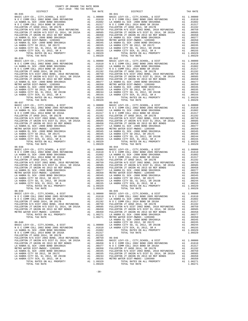| 2017-2018 TRA TAX RATES<br>DISTRICT | TAX RATE | DISTRICT   | TAX RATE |
|-------------------------------------|----------|------------|----------|
| $06 - 035$                          |          | $06 - 041$ |          |
|                                     |          |            |          |
|                                     |          |            |          |
|                                     |          |            |          |
|                                     |          |            |          |
|                                     |          |            |          |
|                                     |          |            |          |
|                                     |          |            |          |
|                                     |          |            |          |
|                                     |          |            |          |
|                                     |          |            |          |
|                                     |          |            |          |
| $06 - 036$                          |          | $06 - 042$ |          |
|                                     |          |            |          |
|                                     |          |            |          |
|                                     |          |            |          |
|                                     |          |            |          |
|                                     |          |            |          |
|                                     |          |            |          |
|                                     |          |            |          |
|                                     |          |            |          |
|                                     |          |            |          |
|                                     |          |            |          |
|                                     |          |            |          |
|                                     |          |            |          |
|                                     |          |            |          |
|                                     |          |            |          |
|                                     |          |            |          |
|                                     |          |            |          |
|                                     |          |            |          |
|                                     |          |            |          |
|                                     |          |            |          |
|                                     |          |            |          |
|                                     |          |            |          |
|                                     |          |            |          |
|                                     |          |            |          |
|                                     |          |            |          |
|                                     |          |            |          |
|                                     |          |            |          |
|                                     |          |            |          |
|                                     |          |            |          |
|                                     |          |            |          |
|                                     |          |            |          |
|                                     |          |            |          |
|                                     |          |            |          |
|                                     |          |            |          |
|                                     |          |            |          |
|                                     |          |            |          |
|                                     |          |            |          |
|                                     |          |            |          |
| $06 - 039$                          |          | $06 - 045$ |          |
|                                     |          |            |          |
|                                     |          |            |          |
|                                     |          |            |          |
|                                     |          |            |          |
|                                     |          |            |          |
|                                     |          |            |          |
|                                     |          |            |          |
|                                     |          |            |          |
|                                     |          |            |          |
|                                     |          |            |          |
|                                     |          |            |          |
|                                     |          |            |          |
|                                     |          |            |          |
|                                     |          |            |          |
|                                     |          |            |          |
|                                     |          |            |          |
|                                     |          |            |          |
|                                     |          |            |          |
|                                     |          |            |          |
|                                     |          |            |          |
|                                     |          |            |          |

COUNTY OF ORANGE TAX RATE BOOK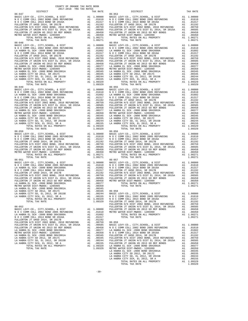| COUNTY OF ORANGE TAX RATE BOOK<br>$2017-2018 \quad \text{TRA RATE} \label{eq:Q017-2018}$ DISTRICT $$\tt 2017-2018$$ |          |            |          |
|---------------------------------------------------------------------------------------------------------------------|----------|------------|----------|
|                                                                                                                     | TAX RATE | DISTRICT   | TAX RATE |
| $06 - 047$                                                                                                          |          | $06 - 053$ |          |
|                                                                                                                     |          |            |          |
|                                                                                                                     |          |            |          |
|                                                                                                                     |          |            |          |
|                                                                                                                     |          |            |          |
|                                                                                                                     |          |            |          |
|                                                                                                                     |          |            |          |
|                                                                                                                     |          |            |          |
|                                                                                                                     |          | $06 - 054$ |          |
|                                                                                                                     |          |            |          |
|                                                                                                                     |          |            |          |
|                                                                                                                     |          |            |          |
|                                                                                                                     |          |            |          |
|                                                                                                                     |          |            |          |
|                                                                                                                     |          |            |          |
|                                                                                                                     |          |            |          |
|                                                                                                                     |          |            |          |
|                                                                                                                     |          |            |          |
|                                                                                                                     |          |            |          |
|                                                                                                                     |          |            |          |
|                                                                                                                     |          |            |          |
|                                                                                                                     |          |            |          |
|                                                                                                                     |          |            |          |
|                                                                                                                     |          |            |          |
|                                                                                                                     |          |            |          |
|                                                                                                                     |          |            |          |
|                                                                                                                     |          |            |          |
|                                                                                                                     |          |            |          |
|                                                                                                                     |          |            |          |
|                                                                                                                     |          |            |          |
|                                                                                                                     |          |            |          |
|                                                                                                                     |          |            |          |
|                                                                                                                     |          |            |          |
|                                                                                                                     |          | $06 - 056$ |          |
|                                                                                                                     |          |            |          |
|                                                                                                                     |          |            |          |
|                                                                                                                     |          |            |          |
|                                                                                                                     |          |            |          |
|                                                                                                                     |          |            |          |
|                                                                                                                     |          |            |          |
|                                                                                                                     |          |            |          |
| $06 - 051$                                                                                                          |          | $06 - 057$ |          |
|                                                                                                                     |          |            |          |
|                                                                                                                     |          |            |          |
|                                                                                                                     |          |            |          |
|                                                                                                                     |          |            |          |
|                                                                                                                     |          |            |          |
|                                                                                                                     |          |            |          |
|                                                                                                                     |          |            |          |
|                                                                                                                     |          |            |          |
|                                                                                                                     |          |            |          |
|                                                                                                                     |          |            |          |
|                                                                                                                     |          |            |          |
|                                                                                                                     |          |            |          |
|                                                                                                                     |          |            |          |
|                                                                                                                     |          |            |          |
|                                                                                                                     |          |            |          |
|                                                                                                                     |          |            |          |
|                                                                                                                     |          |            |          |
|                                                                                                                     |          |            |          |
|                                                                                                                     |          |            |          |
|                                                                                                                     |          |            |          |
|                                                                                                                     |          |            |          |
|                                                                                                                     |          |            |          |
|                                                                                                                     |          |            |          |
|                                                                                                                     |          |            |          |
|                                                                                                                     |          |            |          |
|                                                                                                                     |          |            |          |
|                                                                                                                     |          |            |          |
|                                                                                                                     |          |            |          |
|                                                                                                                     |          |            |          |
|                                                                                                                     |          |            |          |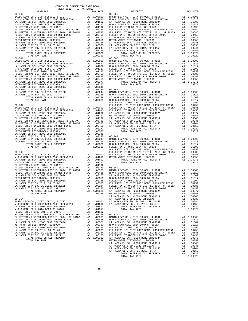| COUNTY OF ORANGE TAX RATE BOOK<br>2017-2018 TRA TAX RATES |  | X RATES<br>TAX RATE DISTRICT                                                                                                                                                                                                                                                                                                                                                                                                                                                        |          |
|-----------------------------------------------------------|--|-------------------------------------------------------------------------------------------------------------------------------------------------------------------------------------------------------------------------------------------------------------------------------------------------------------------------------------------------------------------------------------------------------------------------------------------------------------------------------------|----------|
| DISTRICT<br>$06 - 060$                                    |  | $06 - 065$                                                                                                                                                                                                                                                                                                                                                                                                                                                                          | TAX RATE |
|                                                           |  |                                                                                                                                                                                                                                                                                                                                                                                                                                                                                     |          |
|                                                           |  |                                                                                                                                                                                                                                                                                                                                                                                                                                                                                     |          |
|                                                           |  |                                                                                                                                                                                                                                                                                                                                                                                                                                                                                     |          |
|                                                           |  |                                                                                                                                                                                                                                                                                                                                                                                                                                                                                     |          |
|                                                           |  |                                                                                                                                                                                                                                                                                                                                                                                                                                                                                     |          |
|                                                           |  |                                                                                                                                                                                                                                                                                                                                                                                                                                                                                     |          |
|                                                           |  |                                                                                                                                                                                                                                                                                                                                                                                                                                                                                     |          |
|                                                           |  | $06 - 066$                                                                                                                                                                                                                                                                                                                                                                                                                                                                          |          |
|                                                           |  |                                                                                                                                                                                                                                                                                                                                                                                                                                                                                     |          |
|                                                           |  |                                                                                                                                                                                                                                                                                                                                                                                                                                                                                     |          |
|                                                           |  |                                                                                                                                                                                                                                                                                                                                                                                                                                                                                     |          |
|                                                           |  |                                                                                                                                                                                                                                                                                                                                                                                                                                                                                     |          |
|                                                           |  |                                                                                                                                                                                                                                                                                                                                                                                                                                                                                     |          |
|                                                           |  |                                                                                                                                                                                                                                                                                                                                                                                                                                                                                     |          |
|                                                           |  |                                                                                                                                                                                                                                                                                                                                                                                                                                                                                     |          |
|                                                           |  |                                                                                                                                                                                                                                                                                                                                                                                                                                                                                     |          |
|                                                           |  |                                                                                                                                                                                                                                                                                                                                                                                                                                                                                     |          |
|                                                           |  |                                                                                                                                                                                                                                                                                                                                                                                                                                                                                     |          |
|                                                           |  |                                                                                                                                                                                                                                                                                                                                                                                                                                                                                     |          |
|                                                           |  |                                                                                                                                                                                                                                                                                                                                                                                                                                                                                     |          |
|                                                           |  |                                                                                                                                                                                                                                                                                                                                                                                                                                                                                     |          |
|                                                           |  |                                                                                                                                                                                                                                                                                                                                                                                                                                                                                     |          |
|                                                           |  |                                                                                                                                                                                                                                                                                                                                                                                                                                                                                     |          |
|                                                           |  |                                                                                                                                                                                                                                                                                                                                                                                                                                                                                     |          |
|                                                           |  |                                                                                                                                                                                                                                                                                                                                                                                                                                                                                     |          |
|                                                           |  |                                                                                                                                                                                                                                                                                                                                                                                                                                                                                     |          |
|                                                           |  |                                                                                                                                                                                                                                                                                                                                                                                                                                                                                     |          |
|                                                           |  |                                                                                                                                                                                                                                                                                                                                                                                                                                                                                     |          |
|                                                           |  |                                                                                                                                                                                                                                                                                                                                                                                                                                                                                     |          |
|                                                           |  |                                                                                                                                                                                                                                                                                                                                                                                                                                                                                     |          |
|                                                           |  |                                                                                                                                                                                                                                                                                                                                                                                                                                                                                     |          |
|                                                           |  |                                                                                                                                                                                                                                                                                                                                                                                                                                                                                     |          |
|                                                           |  |                                                                                                                                                                                                                                                                                                                                                                                                                                                                                     |          |
|                                                           |  |                                                                                                                                                                                                                                                                                                                                                                                                                                                                                     |          |
|                                                           |  |                                                                                                                                                                                                                                                                                                                                                                                                                                                                                     |          |
|                                                           |  |                                                                                                                                                                                                                                                                                                                                                                                                                                                                                     |          |
|                                                           |  |                                                                                                                                                                                                                                                                                                                                                                                                                                                                                     |          |
|                                                           |  |                                                                                                                                                                                                                                                                                                                                                                                                                                                                                     |          |
|                                                           |  | $\begin{tabular}{l c c c c c} \textbf{L} & \textbf{R} & \textbf{R} & \textbf{O121}, & \textbf{S} & \textbf{2017} & \textbf{3018} & \textbf{FULLERTON} & \textbf{S DST} & \textbf{E1} & \textbf{2019} & \textbf{B1} & \textbf{0018} & \textbf{FULLERTON} & \textbf{S DST} & \textbf{E1} & \textbf{2019} & \textbf{B1} & \textbf{0019} & \textbf{019} & \textbf{019} & \textbf{019} & \textbf{0$                                                                                      |          |
|                                                           |  |                                                                                                                                                                                                                                                                                                                                                                                                                                                                                     |          |
|                                                           |  |                                                                                                                                                                                                                                                                                                                                                                                                                                                                                     |          |
|                                                           |  |                                                                                                                                                                                                                                                                                                                                                                                                                                                                                     |          |
|                                                           |  | $\begin{tabular}{l c c c c c c} \multicolumn{4}{c}{\textbf{FULERTON}\\ \multicolumn{4}{c}{\textbf{FULERTON}\\ \multicolumn{4}{c}{\textbf{FULERTON}\\ \multicolumn{4}{c}{\textbf{FULERTON}\\ \multicolumn{4}{c}{\textbf{FULERTON}\\ \multicolumn{4}{c}{\textbf{FULERTON}\\ \multicolumn{4}{c}{\textbf{FULERTON}\\ \multicolumn{4}{c}{\textbf{FULERTON}\\ \multicolumn{4}{c}{\textbf{FULERTON}\\ \multicolumn{4}{c}{\textbf{FULERTON}\\ \multicolumn{4}{c}{\textbf{FULERTON}\\ \mult$ |          |
|                                                           |  |                                                                                                                                                                                                                                                                                                                                                                                                                                                                                     |          |
|                                                           |  |                                                                                                                                                                                                                                                                                                                                                                                                                                                                                     |          |
|                                                           |  |                                                                                                                                                                                                                                                                                                                                                                                                                                                                                     |          |
|                                                           |  |                                                                                                                                                                                                                                                                                                                                                                                                                                                                                     |          |
|                                                           |  |                                                                                                                                                                                                                                                                                                                                                                                                                                                                                     |          |
|                                                           |  |                                                                                                                                                                                                                                                                                                                                                                                                                                                                                     |          |
|                                                           |  |                                                                                                                                                                                                                                                                                                                                                                                                                                                                                     |          |
|                                                           |  |                                                                                                                                                                                                                                                                                                                                                                                                                                                                                     |          |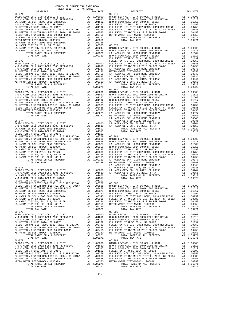| COUNTY OF ORANGE TAX RATE BOOK<br>2017-2018 TRA TAX RATES |          |                                                                                                                                                                                                                                                                            |          |  |  |  |
|-----------------------------------------------------------|----------|----------------------------------------------------------------------------------------------------------------------------------------------------------------------------------------------------------------------------------------------------------------------------|----------|--|--|--|
| $06 - 071$                                                | TAX RATE | <b>DISTRICT</b><br>$06 - 078$                                                                                                                                                                                                                                              | TAX RATE |  |  |  |
|                                                           |          |                                                                                                                                                                                                                                                                            |          |  |  |  |
|                                                           |          |                                                                                                                                                                                                                                                                            |          |  |  |  |
| $06 - 073$                                                |          | $06 - 080$                                                                                                                                                                                                                                                                 |          |  |  |  |
|                                                           |          | $\begin{array}{cccccccccccc} 0.0271 & 0.014 & 0.00267 & 0.014 & 0.00267 & 0.014 & 0.00267 & 0.014 & 0.00267 & 0.014 & 0.00267 & 0.0000 & 0.0000 & 0.0000 & 0.0000 & 0.0000 & 0.0000 & 0.0000 & 0.0000 & 0.0000 & 0.0000 & 0.0000 & 0.0000 & 0.0000 & 0.0000 & 0.0000 & 0.$ |          |  |  |  |
|                                                           |          |                                                                                                                                                                                                                                                                            |          |  |  |  |
|                                                           |          |                                                                                                                                                                                                                                                                            |          |  |  |  |
|                                                           |          |                                                                                                                                                                                                                                                                            |          |  |  |  |
|                                                           |          |                                                                                                                                                                                                                                                                            |          |  |  |  |
| $06 - 077$                                                |          | FULLERYON H/S ULTER 2012 ARDEN MANU AND AN 100000 ARBIC LEVY-CO., CITY, SCHOOL, & DIST<br>FULLERYON JT UNION H/S DIST EL 2014, SR 2015A A 1 .00585 BASIC LEVY-CO., CITY, SCHOOL, & DIST<br>LA HABRA EL SCH -2000 BORD SRE2002A A<br>$06 - 084$                             |          |  |  |  |
|                                                           |          |                                                                                                                                                                                                                                                                            |          |  |  |  |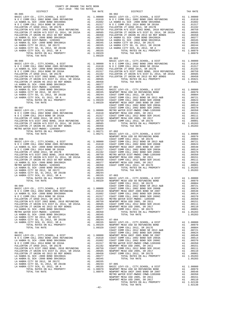| DISTRICT       | TAX RATE | DISTRICT   | TAX RATE |
|----------------|----------|------------|----------|
| $06 - 085$     |          | $06 - 902$ |          |
|                |          |            |          |
|                |          |            |          |
|                |          |            |          |
|                |          |            |          |
|                |          |            |          |
|                |          |            |          |
|                |          |            |          |
|                |          |            |          |
|                |          |            |          |
|                |          |            |          |
|                |          |            |          |
|                |          |            |          |
|                |          |            |          |
|                |          |            |          |
| TOTAL TAX RATE | 1.09329  |            |          |
|                |          | $06 - 903$ |          |
|                |          |            |          |
|                |          |            |          |
|                |          |            |          |
|                |          |            |          |
|                |          |            |          |
|                |          |            |          |
|                |          |            |          |
|                |          |            |          |
|                |          |            |          |
|                |          |            |          |
|                |          |            |          |
|                |          |            |          |
|                |          |            |          |
|                |          |            |          |
|                |          |            |          |
|                |          |            |          |
|                |          |            |          |
|                |          |            |          |
|                |          |            |          |
|                |          |            |          |
|                |          |            |          |
|                |          |            |          |
|                |          |            |          |
|                |          |            |          |
|                |          |            |          |
|                |          |            |          |
|                |          |            |          |
|                |          |            |          |
|                |          |            |          |
|                |          |            |          |
|                |          |            |          |
|                |          |            |          |
|                |          |            |          |
|                |          |            |          |
|                |          |            |          |
|                |          |            |          |
|                |          |            |          |
|                |          |            |          |
|                |          |            |          |
|                |          |            |          |
|                |          |            |          |
|                |          |            |          |
|                |          |            |          |
|                |          |            |          |
|                |          |            |          |
|                |          |            |          |
|                |          |            |          |
|                |          |            |          |
|                |          |            |          |
|                |          |            |          |
|                |          |            |          |
|                |          |            |          |
|                |          |            |          |
|                |          |            |          |
|                |          |            |          |
|                |          |            |          |
|                |          |            |          |
|                |          |            |          |
|                |          |            |          |
|                |          |            |          |
|                |          |            |          |
|                |          |            |          |
|                |          |            |          |
|                |          |            |          |
|                |          |            |          |
|                |          |            |          |
|                |          |            |          |
|                |          |            |          |
|                |          |            |          |
|                |          |            |          |
|                |          |            |          |
|                |          |            |          |
|                |          |            |          |
|                |          |            |          |
|                |          |            |          |
|                |          |            |          |
|                |          |            |          |
|                |          |            |          |
|                |          |            |          |
|                |          |            |          |
|                |          |            |          |
|                |          |            |          |
|                |          |            |          |
|                |          |            |          |
|                | $-42-$   |            |          |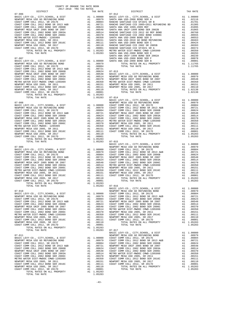| COAST COMM COLL 2012, SR 2017E        | A1 | .00804     | COAST C        |
|---------------------------------------|----|------------|----------------|
| COAST COMM COLL 2012 BOND SR 2013 A&B | A1 | .00721     | NEWPORT        |
| COAST COMM COLL 2002 BOND SER 2006B   | A1 | .00624     | COAST C        |
| NEWPORT MESA UNIF 2005 BOND SR 2007   | A1 | .00548     | COAST C        |
| COAST COMM COLL 2002 BOND SER 2003A   | A1 | .00514     | METRO W        |
| COAST COMM COLL 2002 BOND SER 2006C   |    | A1 .00370  | NEWPORT        |
| METRO WATER DIST-MWDOC CMWD-1205999   | A1 | .00350     | COAST C        |
| NEWPORT MESA USD 2005, SR 2011        | A1 | .00151     | NEWPORT        |
| COAST COMM COLL 2012 BOND SER 2016C   | A1 | .00111     | COAST C        |
| NEWPORT MESA USD 2005, SR 2017        |    | A1 .00110  |                |
| COAST COMM COLL 2012, SR 2017D        | A1 | .00001     |                |
| TOTAL RATES ON ALL PROPERTY           | A1 | 1.05283    |                |
| TOTAL TAX RATE                        |    | 1.05283    | $07 - 017$     |
|                                       |    |            | <b>BASIC L</b> |
| $07 - 011$                            |    |            | NEWPORT        |
| BASIC LEVY-CO., CITY, SCHOOL, & DIST  |    | A1 1.00000 | COAST C        |
| NEWPORT MESA USD GO REFUNDING BOND    | A1 | .00979     | COAST C        |
| COAST COMM COLL 2012, SR 2017E        |    | A1.00804   | COAST C        |
| COAST COMM COLL 2012 BOND SR 2013 A&B | A1 | .00721     | NEWPORT        |
| COAST COMM COLL 2002 BOND SER 2006B   | A1 | .00624     | COAST C        |
| NEWPORT MESA UNIF 2005 BOND SR 2007   | A1 | .00548     | COAST C        |
| COAST COMM COLL 2002 BOND SER 2003A   | A1 | .00514     | METRO W        |
| COAST COMM COLL 2002 BOND SER 2006C   | A1 | .00370     | NEWPORT        |
| METRO WATER DIST-MWDOC CMWD-1205999   | A1 | .00350     | COAST C        |
| NEWPORT MESA USD 2005, SR 2011        | A1 | .00151     | NEWPORT        |
| COAST COMM COLL 2012 BOND SER 2016C   | A1 | .00111     | COAST C        |
| NEWPORT MESA USD 2005, SR 2017        | A1 | .00110     |                |
| COAST COMM COLL 2012. SR 2017D        | A1 | .00001     |                |
| TOTAL RATES ON ALL PROPERTY           | A1 | 1.05283    |                |
| TOTAL TAX RATE                        |    | 1 05283    |                |

-43-

TOTAL TAX RATE  $1.05283$ TOTAL TREE AND SERVER TO ALL PROPERTY AND TOTAL RATES ON ALL PROPERTY AT 1.00110 TOTAL RATES ON ALL PROPERTY AT 1.05283 TOTAL TAX RATE

 DISTRICT TAX RATE DISTRICT TAX RATE 07-006 07-012 BASIC LEVY-CO., CITY,SCHOOL, & DIST A1 1.00000 BASIC LEVY-CO., CITY,SCHOOL, & DIST A1 1.00000 NEWPORT MESA USD GO REFUNDING BOND A1 .00979 SANTA ANA USD-2008 BOND SER A A1 .02116 COAST COMM COLL 2012, SR 2017E A1 .00804 RANCHO SANTIAGO CCD SFID#1 SR B A1 .01701 COAST COMM COLL 2012 BOND SR 2013 A&B A1 .00721 RANCHO SANTIAGO CCD 2005+2011 REFUNDING BD A1 .01305 COAST COMM COLL 2002 BOND SER 2006B A1 .00624 SANTA ANA USD 1999,2009 REF A1 .01095 NEWPORT MESA UNIF 2005 BOND SR 2007 A1 .00548 SANTA ANA UNIF-1999 BOND SER 2002B A1 .01065 COAST COMM COLL 2002 BOND SER 2003A A1 .00514 RANCHO SANTIAGO CCD 2012 GO REF BOND A1 .00760 COAST COMM COLL 2002 BOND SER 2006C A1 .00370 RANCHO SANTIAGO CCD 2002 BOND #2006C A1 .00555 METRO WATER DIST-MWDOC- 1205999 A1 .00350 SANTA ANA USD-2008 BOND SER D A1 .00553 NEWPORT MESA USD 2005, SR 2011 A1 .00151 SANTA ANA USD-2010 GO BOND REFUNDING A1 .00463 COAST COMM COLL 2012 BOND SER 2016C A1 .00111 SANTA ANA USD-2008 BOND SER C A1 .00424 NEWPORT MESA USD 2005, SR 2017 A1 .00110 RANCHO SANTIAGO CCD 2002 SR 2005B A1 .00393 COAST COMM COLL 2012, SR 2017D A1 .00001 RANCHO SANTIAGO CCD SFID#1 SR A A1 .00374 TOTAL RATES ON ALL PROPERTY A1 1.05283 METRO WATER DIST-MWDOC CMWD-1205999 A1 .00350 TOTAL TAX RATE 1.05283 SANTA ANA USD-2008 BOND SER E A1 .00293 SANTA ANA UNIF-1999 BOND SER 2002A A1 .00239<br>SANTA ANA USD-2008 BOND SER F (1997) A1 .00279<br>BASIC LEVY-CO., CITY, SCHOOL, & DIST (1.0000 SANTA ANA USD-2008 BOND SER B (1.00001<br>NEWPORT MESA USD GO REFUNDING BOND (1.0001) A1 COAST COMM COLL 2012, SR 2017E A1 .00804 TOTAL TAX RATE 1.11765 COAST COMM COLL 2012 BOND SR 2013 A&B A1 .00721 COAST COMM COLL 2002 BOND SER 2006B A1 .00624 07-013 NEWPORT MESA UNIF 2005 BOND SR 2007 A1 .00548 BASIC LEVY-CO., CITY,SCHOOL, & DIST A1 1.00000 COAST COMM COLL 2002 BOND SER 2003A A1 .00514 NEWPORT MESA USD GO REFUNDING BOND A1 .00979 COAST COMM COLL 2002 BOND SER 2006C A1 .00370 NEWPORT MESA UNIF 2005 BOND SR 2007 A1 .00548 METRO WATER DIST-MWDOC CMWD-1205999 A1 .00350 METRO WATER DIST-MWDOC CMWD-1205999 A1 .00350 NEWPORT MESA USD 2005, SR 2011 A1 .00151 NEWPORT MESA USD 2005, SR 2011 A1 .00151 COAST COMM COLL 2012 BOND SER 2016C A1 .00111 NEWPORT MESA USD 2005, SR 2017 A1 .00110 NEWPORT MESA USD 2005, SR 2017 A1 .00110 TOTAL RATES ON ALL PROPERTY A1 1.02138 COAST COMM COLL 2012, SR 2017D A1 .00001 TOTAL TAX RATE 1.02138 TOTAL RATES ON ALL PROPERTY A1 1.05283 TOTAL TAX RATE 1.05283 07-014  $\begin{array}{cccc} 07-008 & \text{BASE LEVY-CO.}, & \text{CITY}, \text{SCHOOL}, & \text{& DIST} & \text{Al} & 1.00000 \\ \text{BASE LEVY-CO.}, & \text{CITY}, \text{SCHOOL}, & \text{& DIST} & \text{NENPOST MESA} & \text{NENPOST MESA} & \text{SOPB} & \text{Al} & 1.00000 \\ \text{RAST C LEVY-CO.}, & \text{CITY}, \text{SCHOOL}, & \text{& DIST} & \text{Al} & 1.00000 & \text{COAST COMM COLL} & 2012, \text{SR E} & 20$  COAST COMM COLL 2002 BOND SER 2006B A1 .00624 COAST COMM COLL 2002 BOND SER 2003A A1 .00514 NEWPORT MESA UNIF 2005 BOND SR 2007 A1 .00548 COAST COMM COLL 2002 BOND SER 2006C A1 .00370 COAST COMM COLL 2002 BOND SER 2003A A1 .00514 METRO WATER DIST-MWDOC CMWD-1205999 A1 .00350 COAST COMM COLL 2002 BOND SER 2007<br>
COAST COMM COLL 2002 BOND SER 2006C<br>
COAST COMM COLL 2002 BOND SER 2006C<br>
COAST COMM COLL 2002 BOND SER 2006C<br>
COAST COMM COLL 2002 BOND SER 2016C<br>
METRO WATER DISTING AL 0.01511 A1 .001 METRO WATER DIST-MWDOC-1205999 MB A1 .00350 COAST COMM COLL 2012 BOND SER 2016C<br>NEWPORT MESA USD 2005, SR 2011 (00151 MEWPORT MESA USD 2005, SR 2017 DAN .00111<br>COAST COMM COLL 2012 BOND SER 2016C MAN .00111 COAST COMM COLL COAST COMM COLL 2012, SR 2017D A1 .00001 TOTAL TAX RATE 1.05283 TOTAL RATES ON ALL PROPERTY A1 1.05283 BASIC LEVY-CO., CITY, SCHOOL, & DIST Al 1.00000<br>BASIC LEVY-CO., CITY, SCHOOL, & DIST Al 1.00000 NEWPORT MESA USD GO REFUNDING BOND AL .00979<br>NEWPORT MESA USD GO REFUNDING BOND Al .00979 COAST COMM COLL 2012 SOND SR 2013 A& COAST COMM COLL 2012 BOND SR 2013 A&B A1 .00721 NEWPORT MESA UNIF 2005 BOND SR 2007 A1 .00548 COAST COMM COLL 2002 BOND SER 2006B A1 .00624 COAST COMM COLL 2002 BOND SER 2003A A1 .00514 NEWPORT MESA UNIF 2005 BOND SR 2007 A1 .00548 COAST COMM COLL 2002 BOND SER 2006C A1 .00370 COAST COMM COLL 2002 BOND SER 2003A A1 .00514 METRO WATER DIST-MWDOC CMWD-1205999 A1 .00350 COAST COMM COLL 2002 BOND SER 2006C A1 .00370 NEWPORT MESA USD 2005, SR 2011 A1 .00151 METRO WATER DIST-MWDOC CMWD-1205999 A1 .00350 COAST COMM COLL 2012 BOND SER 2016C A1 .00111 NEWPORT MESAUSD 2005, SR 2011<br>COAST COMM COLL 2012 BOND SER 2016C ALL 20151 REWPORT MESAUSD 2005, SR 2017D ALL 20001<br>NEWPORT MESAUSD 2005, SR 2017D ALL 20110 00AST COMM COLL 2012 SR 2017D ALL PROPERTY ALL 20105, SR 2017D<br>C 1.05283 07-016<br>
BASIC LEVY-CO., CITY, SCHOOL, & DIST A1 1.00000<br>
BASIC LEVY-CO., CITY, SCHOOL, & DIST A1 1.00000<br>
NEWPORT MESA USD GO REFUNDING BOND A1 .00979 07-010 NEWPORT MESA USD GO REFUNDING BOND A1 .00979 BASIC LEVY-CO., CITY,SCHOOL, & DIST A1 1.00000 COAST COMM COLL 2012, SR 2017E A1 .00804 NEWPORT MESA USD GO REFUNDING BOND A1 .00979 COAST COMM COLL 2012 BOND SR 2013 A&B A1 .00721 A1 .00979 COAST COMM COLL 2012 BOND SR 2013 A&B A1 .00804 COAST COMM COLL 2012 BOND SER 2013 A&B A1 .00624<br>A1 .00804 COAST COMM COLL 2002 BOND SER 2006B A1 .00624<br>A1 .00721 NEWPORT MESA UNIF 2005 BOND SR 2007 A1 .00548 COAST COMM COLL 2012 BOND SR 2013 A&B A1 .00721 NEWPORT MESA UNIF 2005 BOND SR 2007 A1 .00548 COAST COMM COLL 2002 BOND SER 2006B A1 .00624 COAST COMM COLL 2002 BOND SER 2003A A1 .00514 NEWPORT MESA UNIF 2005 BOND SR 2007 A1 .00548 COAST COMM COLL 2002 BOND SER 2006C A1 .00370 COAST COMM COLL 2002 BOND SER 2003A A1 .00514 METRO WATER DIST-MWDOC CMWD-1205999 A1 .00350 COAST COMM COLL 2002 BOND SER 2006C A1 .00370 NEWPORT MESA USD 2005, SR 2011 A1 .00151 METRO WATER DIST-MWDOC CMWD-1205999 A1 .00350 COAST COMM COLL 2012 BOND SER 2016C A1 .00111 NEWPORT MESA USD 2005, SR 2011 A1 .00151 NEWPORT MESA USD 2005, SR 2017 A1 .00110 10001. COAST COMM COLL 2012 BOND SER 2016C<br>NEWPORT MESA USD 2005, SR 2017 DOM COLL A1 00110 COLL 2012, SR 2017D ANNEW DRIVEN DRIVEN BEAU DOM DRIVEN BY 20<br>COAST COMM COLL 2012, SR 2017D A1 .00001 TOTAL TAX RATE BASIC LEVY-CO., CITY,SCHOOL, & DIST A1 1.00000 07-011 NEWPORT MESA USD GO REFUNDING BOND A1 .00979 BASIC LEVY-CO., CITY,SCHOOL, & DIST A1 1.00000 COAST COMM COLL 2012, SR 2017E A1 .00804 NEWPORT MESA USD GO REFUNDING BOND A1 .00979 COAST COMM COLL 2012 BOND SR 2013 A&B A1 .00721 COAST COMM COLL 2012, SR 2017E A1 .00804 COAST COMM COLL 2002 BOND SER 2006B A1 .00624 COAST COMM COLL 2012 BOND SR 2013 A&B A1 .00721 NEWPORT MESA UNIF 2005 BOND SR 2007 A1 .00548 COAST COMM COLL 2002 BOND SER 2006B A1 .00624 COAST COMM COLL 2002 BOND SER 2003A A1 .00514 NEWPORT MESA UNIF 2005 BOND SR 2007 A1 .00548 COAST COMM COLL 2002 BOND SER 2006C A1 .00370 COMM CORRESPONDENT COMMENTAL CONSTRUCT COLL 2003 BOND SER 2003 AN 1 .00350<br>A1 .00514 METRO WATER DIST-MWDOC CMWD-1205999 A1 .00350<br>A1 .00151 NEWPORT MESAUSD 2005, SR 2011 A1 .00151  $\begin{tabular}{l|c|c|c|c|c} \multicolumn{4}{c}{\textbf{COAST COM OOL}} 2002&\textbf{DOD} \hspace{4mm} \multicolumn{4}{c}{\textbf{SAP}} & \multicolumn{4}{c}{\textbf{SOAST COM OOL}} 2005&\textbf{SFR 2016C} & \multicolumn{4}{c}{\textbf{A1}} & .00151 & .00151 \\ \multicolumn{4}{c}{\textbf{METREN ORT METRED ST-MIDO CMM OCL} 2005}& \multicolumn{4}{c}{\textbf{METRED A1}} & .00110 & .00151 \\ \multic$ A1 1.05283<br>1.05283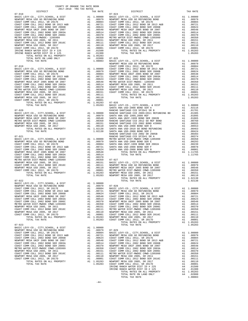|                                                                            |                                                                                                                                                                                                                                                        |                                                                                                                                                                          | NEWPORT            |
|----------------------------------------------------------------------------|--------------------------------------------------------------------------------------------------------------------------------------------------------------------------------------------------------------------------------------------------------|--------------------------------------------------------------------------------------------------------------------------------------------------------------------------|--------------------|
| $07 - 019$                                                                 |                                                                                                                                                                                                                                                        |                                                                                                                                                                          | COAST C            |
|                                                                            |                                                                                                                                                                                                                                                        |                                                                                                                                                                          |                    |
|                                                                            |                                                                                                                                                                                                                                                        |                                                                                                                                                                          |                    |
|                                                                            |                                                                                                                                                                                                                                                        |                                                                                                                                                                          |                    |
|                                                                            |                                                                                                                                                                                                                                                        |                                                                                                                                                                          |                    |
|                                                                            |                                                                                                                                                                                                                                                        |                                                                                                                                                                          |                    |
|                                                                            |                                                                                                                                                                                                                                                        |                                                                                                                                                                          |                    |
|                                                                            |                                                                                                                                                                                                                                                        |                                                                                                                                                                          |                    |
|                                                                            |                                                                                                                                                                                                                                                        |                                                                                                                                                                          |                    |
|                                                                            |                                                                                                                                                                                                                                                        |                                                                                                                                                                          |                    |
|                                                                            |                                                                                                                                                                                                                                                        |                                                                                                                                                                          |                    |
|                                                                            |                                                                                                                                                                                                                                                        |                                                                                                                                                                          |                    |
|                                                                            |                                                                                                                                                                                                                                                        |                                                                                                                                                                          |                    |
|                                                                            |                                                                                                                                                                                                                                                        |                                                                                                                                                                          |                    |
|                                                                            |                                                                                                                                                                                                                                                        |                                                                                                                                                                          |                    |
|                                                                            |                                                                                                                                                                                                                                                        |                                                                                                                                                                          |                    |
| $07 - 020$                                                                 |                                                                                                                                                                                                                                                        |                                                                                                                                                                          |                    |
| BASIC LEVY-CO., CITY, SCHOOL, & DIST<br>NEWPORT MESA USD GO REFUNDING BOND |                                                                                                                                                                                                                                                        |                                                                                                                                                                          |                    |
| NEWPORT MESA UNIF 2005 BOND SR 2007                                        |                                                                                                                                                                                                                                                        |                                                                                                                                                                          |                    |
| METRO WATER DIST-MWDOC CMWD-1205999                                        |                                                                                                                                                                                                                                                        |                                                                                                                                                                          |                    |
| NEWPORT MESA USD 2005, SR 2011                                             |                                                                                                                                                                                                                                                        |                                                                                                                                                                          |                    |
| NEWPORT MESA USD 2005, SR 2017                                             |                                                                                                                                                                                                                                                        |                                                                                                                                                                          |                    |
|                                                                            |                                                                                                                                                                                                                                                        |                                                                                                                                                                          |                    |
|                                                                            |                                                                                                                                                                                                                                                        |                                                                                                                                                                          |                    |
|                                                                            |                                                                                                                                                                                                                                                        |                                                                                                                                                                          |                    |
|                                                                            |                                                                                                                                                                                                                                                        |                                                                                                                                                                          |                    |
|                                                                            |                                                                                                                                                                                                                                                        |                                                                                                                                                                          |                    |
|                                                                            |                                                                                                                                                                                                                                                        |                                                                                                                                                                          |                    |
|                                                                            |                                                                                                                                                                                                                                                        |                                                                                                                                                                          |                    |
|                                                                            |                                                                                                                                                                                                                                                        |                                                                                                                                                                          |                    |
|                                                                            |                                                                                                                                                                                                                                                        |                                                                                                                                                                          |                    |
|                                                                            |                                                                                                                                                                                                                                                        |                                                                                                                                                                          |                    |
|                                                                            |                                                                                                                                                                                                                                                        |                                                                                                                                                                          |                    |
|                                                                            |                                                                                                                                                                                                                                                        |                                                                                                                                                                          |                    |
|                                                                            |                                                                                                                                                                                                                                                        |                                                                                                                                                                          |                    |
|                                                                            |                                                                                                                                                                                                                                                        |                                                                                                                                                                          |                    |
|                                                                            |                                                                                                                                                                                                                                                        |                                                                                                                                                                          |                    |
|                                                                            |                                                                                                                                                                                                                                                        |                                                                                                                                                                          |                    |
|                                                                            |                                                                                                                                                                                                                                                        |                                                                                                                                                                          |                    |
|                                                                            |                                                                                                                                                                                                                                                        |                                                                                                                                                                          |                    |
| $07 - 022$<br>BASIC LEVY-CO., CITY, SCHOOL, & DIST                         |                                                                                                                                                                                                                                                        |                                                                                                                                                                          |                    |
| NEWPORT MESA USD GO REFUNDING BOND                                         | $A1 \t1.00000$                                                                                                                                                                                                                                         |                                                                                                                                                                          |                    |
| COAST COMM COLL 2012, SR 2017E                                             |                                                                                                                                                                                                                                                        |                                                                                                                                                                          |                    |
| COAST COMM COLL 2012 BOND SR 2013 A&B                                      | A1 1.00000<br>A1 0.00979 07-028<br>A1 .00804 BASIC L<br>A1 .00804 BASIC L<br>A1 .00624 COAST C<br>A1 .00624 COAST C<br>A1 .00548 COAST C<br>A1 .00370 NEWPORT<br>A1 .00370 NEWPORT<br>A1 .00350 COAST C<br>A1 .00111 METRO W<br>A1 .00111 METRO W<br>A |                                                                                                                                                                          |                    |
| COAST COMM COLL 2002 BOND SER 2006B                                        |                                                                                                                                                                                                                                                        |                                                                                                                                                                          |                    |
| NEWPORT MESA UNIF 2005 BOND SR 2007                                        |                                                                                                                                                                                                                                                        |                                                                                                                                                                          |                    |
| COAST COMM COLL 2002 BOND SER 2003A                                        |                                                                                                                                                                                                                                                        |                                                                                                                                                                          |                    |
| COAST COMM COLL 2002 BOND SER 2006C                                        |                                                                                                                                                                                                                                                        |                                                                                                                                                                          |                    |
| METRO WATER DIST-MWDOC CMWD-1205999                                        |                                                                                                                                                                                                                                                        |                                                                                                                                                                          |                    |
| NEWPORT MESA USD 2005, SR 2011                                             |                                                                                                                                                                                                                                                        |                                                                                                                                                                          |                    |
| COAST COMM COLL 2012 BOND SER 2016C<br>NEWPORT MESA USD 2005, SR 2017      |                                                                                                                                                                                                                                                        |                                                                                                                                                                          |                    |
| COAST COMM COLL 2012, SR 2017D                                             | A1                                                                                                                                                                                                                                                     | .00001                                                                                                                                                                   |                    |
| TOTAL RATES ON ALL PROPERTY                                                |                                                                                                                                                                                                                                                        | A1 1.05283                                                                                                                                                               | COAST C<br>NEWPORT |
| TOTAL TAX RATE                                                             |                                                                                                                                                                                                                                                        | 1.05283                                                                                                                                                                  | COAST C            |
|                                                                            |                                                                                                                                                                                                                                                        |                                                                                                                                                                          |                    |
| $07 - 023$                                                                 |                                                                                                                                                                                                                                                        |                                                                                                                                                                          |                    |
| BASIC LEVY-CO., CITY, SCHOOL, & DIST<br>NEWPORT MESA USD GO REFUNDING BOND | A1<br>A1                                                                                                                                                                                                                                               | 1.00000<br>.00979                                                                                                                                                        | $07 - 029$         |
| COAST COMM COLL 2012, SR 2017E                                             | A1                                                                                                                                                                                                                                                     | .00804                                                                                                                                                                   | BASIC L            |
| COAST COMM COLL 2012 BOND SR 2013 A&B                                      | A1                                                                                                                                                                                                                                                     | .00721                                                                                                                                                                   | NEWPORT            |
| COAST COMM COLL 2002 BOND SER 2006B                                        | A1                                                                                                                                                                                                                                                     | .00624                                                                                                                                                                   | COAST C            |
| NEWPORT MESA UNIF 2005 BOND SR 2007                                        | A1                                                                                                                                                                                                                                                     | .00548                                                                                                                                                                   | COAST C            |
| COAST COMM COLL 2002 BOND SER 2003A                                        |                                                                                                                                                                                                                                                        |                                                                                                                                                                          |                    |
| COAST COMM COLL 2002 BOND SER 2006C                                        |                                                                                                                                                                                                                                                        |                                                                                                                                                                          |                    |
| METRO WATER DIST-MWDOC CMWD-1205999                                        |                                                                                                                                                                                                                                                        |                                                                                                                                                                          |                    |
| NEWPORT MESA USD 2005, SR 2011                                             |                                                                                                                                                                                                                                                        |                                                                                                                                                                          |                    |
| COAST COMM COLL 2012 BOND SER 2016C<br>NEWPORT MESA USD 2005, SR 2017      |                                                                                                                                                                                                                                                        | A1 .00514 COASI CAS<br>A1 .00514 COASI CAS<br>A1 .00350 COAST C<br>A1 .00151 COAST C<br>A1 .00111 METRO W<br>A1 .00110 NEWPORT<br>A1 .00110 NEWPORT<br>A1 .00001 COAST C |                    |
| COAST COMM COLL 2012, SR 2017D                                             |                                                                                                                                                                                                                                                        |                                                                                                                                                                          |                    |
| TOTAL RATES ON ALL PROPERTY                                                |                                                                                                                                                                                                                                                        | A1 1.05283                                                                                                                                                               | NEWPORT            |
|                                                                            |                                                                                                                                                                                                                                                        |                                                                                                                                                                          |                    |

| DISTRICT   | 2017-2018 TRA TAX RATES<br>TAX RATE | DISTRICT                                                                                                                                                                                                                       | TAX RATE |
|------------|-------------------------------------|--------------------------------------------------------------------------------------------------------------------------------------------------------------------------------------------------------------------------------|----------|
| $07 - 018$ |                                     | $07 - 024$                                                                                                                                                                                                                     |          |
|            |                                     |                                                                                                                                                                                                                                |          |
|            |                                     |                                                                                                                                                                                                                                |          |
|            |                                     |                                                                                                                                                                                                                                |          |
|            |                                     |                                                                                                                                                                                                                                |          |
|            |                                     |                                                                                                                                                                                                                                |          |
|            |                                     |                                                                                                                                                                                                                                |          |
|            |                                     |                                                                                                                                                                                                                                |          |
|            |                                     |                                                                                                                                                                                                                                |          |
|            |                                     |                                                                                                                                                                                                                                |          |
|            |                                     |                                                                                                                                                                                                                                |          |
|            |                                     |                                                                                                                                                                                                                                |          |
|            |                                     |                                                                                                                                                                                                                                |          |
|            |                                     |                                                                                                                                                                                                                                |          |
|            |                                     |                                                                                                                                                                                                                                |          |
|            |                                     |                                                                                                                                                                                                                                |          |
|            |                                     |                                                                                                                                                                                                                                |          |
|            |                                     |                                                                                                                                                                                                                                |          |
|            |                                     |                                                                                                                                                                                                                                |          |
|            |                                     |                                                                                                                                                                                                                                |          |
|            |                                     |                                                                                                                                                                                                                                |          |
|            |                                     |                                                                                                                                                                                                                                |          |
|            |                                     |                                                                                                                                                                                                                                |          |
|            |                                     |                                                                                                                                                                                                                                |          |
|            |                                     |                                                                                                                                                                                                                                |          |
|            |                                     |                                                                                                                                                                                                                                |          |
|            |                                     |                                                                                                                                                                                                                                |          |
|            |                                     |                                                                                                                                                                                                                                |          |
|            |                                     |                                                                                                                                                                                                                                |          |
|            |                                     |                                                                                                                                                                                                                                |          |
|            |                                     |                                                                                                                                                                                                                                |          |
|            |                                     |                                                                                                                                                                                                                                |          |
|            |                                     |                                                                                                                                                                                                                                |          |
|            |                                     |                                                                                                                                                                                                                                |          |
|            |                                     |                                                                                                                                                                                                                                |          |
|            |                                     |                                                                                                                                                                                                                                |          |
|            |                                     |                                                                                                                                                                                                                                |          |
|            |                                     |                                                                                                                                                                                                                                |          |
|            |                                     |                                                                                                                                                                                                                                |          |
|            |                                     |                                                                                                                                                                                                                                |          |
|            |                                     |                                                                                                                                                                                                                                |          |
|            |                                     |                                                                                                                                                                                                                                |          |
|            |                                     |                                                                                                                                                                                                                                |          |
|            |                                     |                                                                                                                                                                                                                                |          |
|            |                                     |                                                                                                                                                                                                                                |          |
|            |                                     |                                                                                                                                                                                                                                |          |
|            |                                     |                                                                                                                                                                                                                                |          |
|            |                                     |                                                                                                                                                                                                                                |          |
|            |                                     |                                                                                                                                                                                                                                |          |
|            |                                     |                                                                                                                                                                                                                                |          |
|            |                                     |                                                                                                                                                                                                                                |          |
|            |                                     | 0.0000 100000 100000 100000 100000 100000 100000 100000 100000 100000 100000 100000 100000 100000 100000 100000 100000 100000 100000 100000 100000 100000 100000 100000 100000 100000 100000 100000 100000 100000 100000 10000 |          |
|            |                                     |                                                                                                                                                                                                                                |          |
|            |                                     |                                                                                                                                                                                                                                |          |
|            |                                     |                                                                                                                                                                                                                                |          |
|            |                                     |                                                                                                                                                                                                                                |          |
|            |                                     |                                                                                                                                                                                                                                |          |
|            |                                     |                                                                                                                                                                                                                                |          |
|            |                                     |                                                                                                                                                                                                                                |          |
|            |                                     |                                                                                                                                                                                                                                |          |
|            |                                     |                                                                                                                                                                                                                                |          |
|            |                                     |                                                                                                                                                                                                                                |          |
|            |                                     |                                                                                                                                                                                                                                |          |
|            |                                     |                                                                                                                                                                                                                                |          |
|            |                                     |                                                                                                                                                                                                                                |          |
|            |                                     |                                                                                                                                                                                                                                |          |
|            |                                     |                                                                                                                                                                                                                                |          |
|            |                                     |                                                                                                                                                                                                                                |          |
|            |                                     |                                                                                                                                                                                                                                |          |
|            |                                     |                                                                                                                                                                                                                                |          |
|            |                                     |                                                                                                                                                                                                                                |          |
|            |                                     |                                                                                                                                                                                                                                |          |
|            |                                     |                                                                                                                                                                                                                                |          |
|            |                                     |                                                                                                                                                                                                                                |          |
|            |                                     |                                                                                                                                                                                                                                |          |
|            |                                     |                                                                                                                                                                                                                                |          |
|            |                                     |                                                                                                                                                                                                                                |          |
|            |                                     |                                                                                                                                                                                                                                |          |
|            |                                     |                                                                                                                                                                                                                                |          |
|            |                                     |                                                                                                                                                                                                                                |          |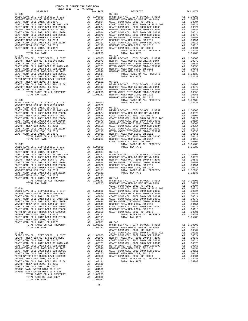| COAST COMM COLL 2002 BOND SER 2003A   | A1 and any structure of the set of the set of the set of the set of the set of the set of the set of the set o | .00514     |
|---------------------------------------|----------------------------------------------------------------------------------------------------------------|------------|
| COAST COMM COLL 2002 BOND SER 2006C   | A1                                                                                                             | .00370     |
| METRO WATER DIST-MWDOC CMWD-1205999   | A1                                                                                                             | .00350     |
| NEWPORT MESA USD 2005, SR 2011        | A1                                                                                                             | .00151     |
| COAST COMM COLL 2012 BOND SER 2016C   | A1                                                                                                             | .00111     |
| NEWPORT MESA USD 2005, SR 2017        | A1                                                                                                             | .00110     |
| COAST COMM COLL 2012, SR 2017D        |                                                                                                                | A1.00001   |
| TOTAL RATES ON ALL PROPERTY           |                                                                                                                | A1 1.05283 |
| TOTAL TAX RATE                        |                                                                                                                | 1.05283    |
|                                       |                                                                                                                |            |
| $07 - 035$                            |                                                                                                                |            |
| BASIC LEVY-CO., CITY, SCHOOL, & DIST  |                                                                                                                | A1 1.00000 |
| NEWPORT MESA USD GO REFUNDING BOND    |                                                                                                                | A1 .00979  |
| COAST COMM COLL 2012. SR 2017E        | A1                                                                                                             | .00804     |
| COAST COMM COLL 2012 BOND SR 2013 A&B | A1                                                                                                             | .00721     |
| COAST COMM COLL 2002 BOND SER 2006B   | A1                                                                                                             | .00624     |
| NEWPORT MESA UNIF 2005 BOND SR 2007   | A1                                                                                                             | .00548     |
| COAST COMM COLL 2002 BOND SER 2003A   | A1                                                                                                             | .00514     |
| COAST COMM COLL 2002 BOND SER 2006C   | A1                                                                                                             | .00370     |
| METRO WATER DIST-MWDOC CMWD-1205999   | A1                                                                                                             | .00350     |
| NEWPORT MESA USD 2005, SR 2011        | A1                                                                                                             | .00151     |
| COAST COMM COLL 2012 BOND SER 2016C   | A1                                                                                                             | .00111     |
| NEWPORT MESA USD 2005, SR 2017        | A1                                                                                                             | .00110     |
| COAST COMM COLL 2012. SR 2017D        | A1                                                                                                             | .00001     |
| IRVINE RANCH WATER DIST ID # 225      | A4                                                                                                             | .01500     |
| IRVINE RANCH WATER DIST ID # 125      | A4                                                                                                             | .01300     |
| TOTAL RATES ON ALL PROPERTY           | A1                                                                                                             | 1.05283    |
| TOTAL RATE ON LAND ONLY               |                                                                                                                | A4 .02800  |
| TOTAL TAX RATE                        |                                                                                                                | 1.08083    |

 $-45-$ 

1.08083

| COUNTY OF ORANGE TAX RATE BOOK<br>2017-2018 TRA TAX RATES<br>$2017-2018 \quad \text{TRA RATES}$ DISTRICT 2017-2018 TRA TAX RATES                                                                                                                                                         |          |            |          |
|------------------------------------------------------------------------------------------------------------------------------------------------------------------------------------------------------------------------------------------------------------------------------------------|----------|------------|----------|
|                                                                                                                                                                                                                                                                                          | TAX RATE | DISTRICT   | TAX RATE |
| $07 - 030$                                                                                                                                                                                                                                                                               |          | $07 - 036$ |          |
|                                                                                                                                                                                                                                                                                          |          |            |          |
|                                                                                                                                                                                                                                                                                          |          |            |          |
|                                                                                                                                                                                                                                                                                          |          |            |          |
|                                                                                                                                                                                                                                                                                          |          |            |          |
|                                                                                                                                                                                                                                                                                          |          |            |          |
|                                                                                                                                                                                                                                                                                          |          |            |          |
|                                                                                                                                                                                                                                                                                          |          |            |          |
|                                                                                                                                                                                                                                                                                          |          |            |          |
|                                                                                                                                                                                                                                                                                          |          |            |          |
|                                                                                                                                                                                                                                                                                          |          |            |          |
|                                                                                                                                                                                                                                                                                          |          |            |          |
| $07 - 031$                                                                                                                                                                                                                                                                               |          | $07 - 037$ |          |
|                                                                                                                                                                                                                                                                                          |          |            |          |
|                                                                                                                                                                                                                                                                                          |          |            |          |
|                                                                                                                                                                                                                                                                                          |          |            |          |
|                                                                                                                                                                                                                                                                                          |          |            |          |
|                                                                                                                                                                                                                                                                                          |          |            |          |
|                                                                                                                                                                                                                                                                                          |          |            |          |
|                                                                                                                                                                                                                                                                                          |          |            |          |
|                                                                                                                                                                                                                                                                                          |          |            |          |
|                                                                                                                                                                                                                                                                                          |          |            |          |
|                                                                                                                                                                                                                                                                                          |          |            |          |
|                                                                                                                                                                                                                                                                                          |          |            |          |
|                                                                                                                                                                                                                                                                                          |          |            |          |
|                                                                                                                                                                                                                                                                                          |          |            |          |
|                                                                                                                                                                                                                                                                                          |          |            |          |
|                                                                                                                                                                                                                                                                                          |          |            |          |
|                                                                                                                                                                                                                                                                                          |          |            |          |
|                                                                                                                                                                                                                                                                                          |          |            |          |
|                                                                                                                                                                                                                                                                                          |          |            |          |
|                                                                                                                                                                                                                                                                                          |          |            |          |
|                                                                                                                                                                                                                                                                                          |          |            |          |
|                                                                                                                                                                                                                                                                                          |          |            |          |
|                                                                                                                                                                                                                                                                                          |          |            |          |
|                                                                                                                                                                                                                                                                                          |          |            |          |
|                                                                                                                                                                                                                                                                                          |          |            |          |
|                                                                                                                                                                                                                                                                                          |          |            |          |
|                                                                                                                                                                                                                                                                                          |          |            |          |
|                                                                                                                                                                                                                                                                                          |          |            |          |
|                                                                                                                                                                                                                                                                                          |          |            |          |
|                                                                                                                                                                                                                                                                                          |          |            |          |
|                                                                                                                                                                                                                                                                                          |          |            |          |
|                                                                                                                                                                                                                                                                                          |          |            |          |
|                                                                                                                                                                                                                                                                                          |          |            |          |
|                                                                                                                                                                                                                                                                                          |          |            |          |
|                                                                                                                                                                                                                                                                                          |          |            |          |
|                                                                                                                                                                                                                                                                                          |          |            |          |
|                                                                                                                                                                                                                                                                                          |          |            |          |
|                                                                                                                                                                                                                                                                                          |          |            |          |
|                                                                                                                                                                                                                                                                                          |          |            |          |
|                                                                                                                                                                                                                                                                                          |          |            |          |
| (7.3) 1971 12, $\frac{1}{2}$ 12, $\frac{1}{2}$ 12, $\frac{1}{2}$ 12, $\frac{1}{2}$ 12, $\frac{1}{2}$ 12, $\frac{1}{2}$ 12, $\frac{1}{2}$ 12, $\frac{1}{2}$ 12, $\frac{1}{2}$ 12, $\frac{1}{2}$ 12, $\frac{1}{2}$ 12, $\frac{1}{2}$ 12, $\frac{1}{2}$ 12, $\frac{1}{2}$ 12, $\frac{1}{2}$ |          |            |          |
|                                                                                                                                                                                                                                                                                          |          |            |          |
|                                                                                                                                                                                                                                                                                          |          |            |          |
|                                                                                                                                                                                                                                                                                          |          |            |          |
|                                                                                                                                                                                                                                                                                          |          |            |          |
|                                                                                                                                                                                                                                                                                          |          |            |          |
|                                                                                                                                                                                                                                                                                          |          |            |          |
|                                                                                                                                                                                                                                                                                          |          |            |          |
|                                                                                                                                                                                                                                                                                          |          |            |          |
|                                                                                                                                                                                                                                                                                          |          |            |          |
|                                                                                                                                                                                                                                                                                          |          |            |          |
|                                                                                                                                                                                                                                                                                          |          |            |          |
|                                                                                                                                                                                                                                                                                          |          |            |          |
|                                                                                                                                                                                                                                                                                          |          |            |          |
|                                                                                                                                                                                                                                                                                          |          |            |          |
|                                                                                                                                                                                                                                                                                          |          |            |          |
|                                                                                                                                                                                                                                                                                          |          |            |          |
|                                                                                                                                                                                                                                                                                          |          |            |          |
|                                                                                                                                                                                                                                                                                          |          |            |          |
|                                                                                                                                                                                                                                                                                          |          |            |          |
|                                                                                                                                                                                                                                                                                          |          |            |          |
|                                                                                                                                                                                                                                                                                          |          |            |          |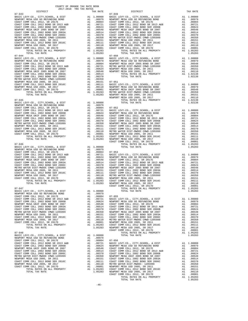| NEWPURI MESA USD ZUUS, SR ZUII        | $\mathbf{A}$ | .uulbl    | CUASI C        |
|---------------------------------------|--------------|-----------|----------------|
| COAST COMM COLL 2012 BOND SER 2016C   | A1           | .00111    | COAST C        |
| NEWPORT MESA USD 2005, SR 2017        | A1 —         | .00110    | METRO W        |
| COAST COMM COLL 2012, SR 2017D        |              | A1 .00001 | NEWPORT        |
| TOTAL RATES ON ALL PROPERTY           | A1           | 1.05283   | COAST C        |
| TOTAL TAX RATE                        |              | 1.05283   | NEWPORT        |
|                                       |              |           | COAST C        |
| $07 - 048$                            |              |           |                |
| BASIC LEVY-CO., CITY, SCHOOL, & DIST  | A1 1.00000   |           |                |
| NEWPORT MESA USD GO REFUNDING BOND    | A1 and any   | .00979    |                |
| COAST COMM COLL 2012. SR 2017E        | A1           | .00804    | $07 - 056$     |
| COAST COMM COLL 2012 BOND SR 2013 A&B |              | A1 .00721 | <b>BASIC L</b> |
| COAST COMM COLL 2002 BOND SER 2006B   | A1           | .00624    | NEWPORT        |
| NEWPORT MESA UNIF 2005 BOND SR 2007   | A1           | .00548    | COAST C        |
| COAST COMM COLL 2002 BOND SER 2003A   | A1           | .00514    | COAST C        |
| COAST COMM COLL 2002 BOND SER 2006C   | A1           | .00370    | COAST C        |
| METRO WATER DIST-MWDOC CMWD-1205999   | A1           | .00350    | NEWPORT        |
| NEWPORT MESA USD 2005, SR 2011        | A1           | .00151    | COAST C        |
| COAST COMM COLL 2012 BOND SER 2016C   | A1           | .00111    | COAST C        |
| NEWPORT MESA USD 2005, SR 2017        | A1           | .00110    | METRO W        |
| COAST COMM COLL 2012. SR 2017D        |              | A1.00001  | NEWPORT        |
| TOTAL RATES ON ALL PROPERTY           | A1           | 1.05283   | COAST C        |
| TOTAL TAX RATE                        |              | 1.05283   | NEWPORT        |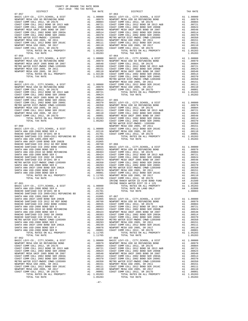| DISTRICT | TAX RATE | DISTRICT | TAX RATE |
|----------|----------|----------|----------|
|          |          |          |          |
|          |          |          |          |
|          |          |          |          |
|          |          |          |          |
|          |          |          |          |
|          |          |          |          |
|          |          |          |          |
|          |          |          |          |
|          |          |          |          |
|          |          |          |          |
|          |          |          |          |
|          |          |          |          |
|          |          |          |          |
|          |          |          |          |
|          |          |          |          |
|          |          |          |          |
|          |          |          |          |
|          |          |          |          |
|          |          |          |          |
|          |          |          |          |
|          |          |          |          |
|          |          |          |          |
|          |          |          |          |
|          |          |          |          |
|          |          |          |          |
|          |          |          |          |
|          |          |          |          |
|          |          |          |          |
|          |          |          |          |
|          |          |          |          |
|          |          |          |          |
|          |          |          |          |
|          |          |          |          |
|          |          |          |          |
|          |          |          |          |
|          |          |          |          |
|          |          |          |          |
|          |          |          |          |
|          |          |          |          |
|          |          |          |          |
|          |          |          |          |
|          |          |          |          |
|          |          |          |          |
|          |          |          |          |
|          |          |          |          |
|          |          |          |          |
|          |          |          |          |
|          |          |          |          |
|          |          |          |          |
|          |          |          |          |
|          |          |          |          |
|          |          |          |          |
|          |          |          |          |
|          |          |          |          |
|          |          |          |          |
|          |          |          |          |
|          |          |          |          |
|          |          |          |          |
|          |          |          |          |
|          |          |          |          |
|          |          |          |          |
|          |          |          |          |
|          |          |          |          |
|          |          |          |          |
|          |          |          |          |
|          |          |          |          |
|          |          |          |          |
|          |          |          |          |
|          |          |          |          |
|          |          |          |          |
|          |          |          |          |
|          |          |          |          |
|          |          |          |          |
|          |          |          |          |
|          |          |          |          |
|          |          |          |          |
|          |          |          |          |
|          |          |          |          |
|          |          |          |          |
|          |          |          |          |
|          |          |          |          |
|          |          |          |          |
|          |          |          |          |
|          |          |          |          |
|          |          |          |          |
|          |          |          |          |
|          |          |          |          |
|          |          |          |          |
|          |          |          |          |
|          |          |          |          |
|          |          |          |          |
|          |          |          |          |
|          |          |          |          |
|          |          |          |          |
|          |          |          |          |
|          |          |          |          |
|          |          |          |          |
|          |          |          |          |
|          |          |          |          |
|          |          |          |          |
|          |          |          |          |
|          |          |          |          |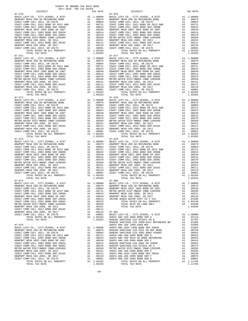| COUNTY OF ORANGE TAX RATE BOOK<br>2017-2018 TRA TAX RATES |          |            |          |
|-----------------------------------------------------------|----------|------------|----------|
| DISTRICT                                                  | TAX RATE | DISTRICT   | TAX RATE |
| $07 - 070$                                                |          | $07 - 076$ |          |
|                                                           |          |            |          |
|                                                           |          |            |          |
|                                                           |          |            |          |
|                                                           |          |            |          |
|                                                           |          |            |          |
|                                                           |          |            |          |
|                                                           |          |            |          |
|                                                           |          |            |          |
|                                                           |          |            |          |
|                                                           |          |            |          |
|                                                           |          |            |          |
| $07 - 071$                                                |          | $07 - 077$ |          |
|                                                           |          |            |          |
|                                                           |          |            |          |
|                                                           |          |            |          |
|                                                           |          |            |          |
|                                                           |          |            |          |
|                                                           |          |            |          |
|                                                           |          |            |          |
|                                                           |          |            |          |
|                                                           |          |            |          |
|                                                           |          |            |          |
|                                                           |          |            |          |
|                                                           |          |            |          |
|                                                           |          |            |          |
|                                                           |          |            |          |
|                                                           |          |            |          |
|                                                           |          |            |          |
|                                                           |          |            |          |
|                                                           |          |            |          |
|                                                           |          |            |          |
|                                                           |          |            |          |
|                                                           |          |            |          |
|                                                           |          |            |          |
|                                                           |          |            |          |
|                                                           |          |            |          |
|                                                           |          |            |          |
|                                                           |          |            |          |
|                                                           |          |            |          |
|                                                           |          |            |          |
|                                                           |          |            |          |
|                                                           |          |            |          |
|                                                           |          |            |          |
|                                                           |          |            |          |
|                                                           |          |            |          |
|                                                           |          |            |          |
|                                                           |          |            |          |
|                                                           |          |            |          |
|                                                           |          |            |          |
|                                                           |          |            |          |
|                                                           |          |            |          |
|                                                           |          |            |          |
|                                                           |          |            |          |
|                                                           |          |            |          |
|                                                           |          |            |          |
|                                                           |          |            |          |
|                                                           |          |            |          |
|                                                           |          |            |          |
|                                                           |          |            |          |
|                                                           |          |            |          |
|                                                           |          |            |          |
|                                                           |          |            |          |
|                                                           |          |            |          |
|                                                           |          |            |          |
|                                                           |          |            |          |
|                                                           |          |            |          |
|                                                           |          |            |          |
|                                                           |          |            |          |
|                                                           |          |            |          |
|                                                           |          |            |          |
|                                                           |          |            |          |
|                                                           |          |            |          |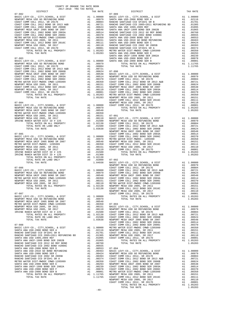| 2017-2018 TRA TAX RATES<br>DISTRICT | TAX RATE | DISTRICT                                                                                                                                                                                                                        | TAX RATE |
|-------------------------------------|----------|---------------------------------------------------------------------------------------------------------------------------------------------------------------------------------------------------------------------------------|----------|
|                                     |          |                                                                                                                                                                                                                                 |          |
|                                     |          |                                                                                                                                                                                                                                 |          |
|                                     |          |                                                                                                                                                                                                                                 |          |
|                                     |          |                                                                                                                                                                                                                                 |          |
|                                     |          |                                                                                                                                                                                                                                 |          |
|                                     |          |                                                                                                                                                                                                                                 |          |
|                                     |          |                                                                                                                                                                                                                                 |          |
|                                     |          |                                                                                                                                                                                                                                 |          |
|                                     |          |                                                                                                                                                                                                                                 |          |
|                                     |          |                                                                                                                                                                                                                                 |          |
|                                     |          |                                                                                                                                                                                                                                 |          |
|                                     |          |                                                                                                                                                                                                                                 |          |
|                                     |          |                                                                                                                                                                                                                                 |          |
|                                     |          |                                                                                                                                                                                                                                 |          |
|                                     |          |                                                                                                                                                                                                                                 |          |
|                                     |          |                                                                                                                                                                                                                                 |          |
|                                     |          |                                                                                                                                                                                                                                 |          |
|                                     |          |                                                                                                                                                                                                                                 |          |
|                                     |          |                                                                                                                                                                                                                                 |          |
|                                     |          |                                                                                                                                                                                                                                 |          |
|                                     |          |                                                                                                                                                                                                                                 |          |
|                                     |          |                                                                                                                                                                                                                                 |          |
|                                     |          |                                                                                                                                                                                                                                 |          |
|                                     |          |                                                                                                                                                                                                                                 |          |
|                                     |          |                                                                                                                                                                                                                                 |          |
|                                     |          |                                                                                                                                                                                                                                 |          |
|                                     |          |                                                                                                                                                                                                                                 |          |
|                                     |          |                                                                                                                                                                                                                                 |          |
|                                     |          |                                                                                                                                                                                                                                 |          |
|                                     |          |                                                                                                                                                                                                                                 |          |
|                                     |          |                                                                                                                                                                                                                                 |          |
|                                     |          |                                                                                                                                                                                                                                 |          |
|                                     |          |                                                                                                                                                                                                                                 |          |
|                                     |          |                                                                                                                                                                                                                                 |          |
|                                     |          |                                                                                                                                                                                                                                 |          |
|                                     |          |                                                                                                                                                                                                                                 |          |
|                                     |          |                                                                                                                                                                                                                                 |          |
|                                     |          |                                                                                                                                                                                                                                 |          |
|                                     |          |                                                                                                                                                                                                                                 |          |
|                                     |          |                                                                                                                                                                                                                                 |          |
|                                     |          |                                                                                                                                                                                                                                 |          |
|                                     |          |                                                                                                                                                                                                                                 |          |
|                                     |          |                                                                                                                                                                                                                                 |          |
|                                     |          |                                                                                                                                                                                                                                 |          |
|                                     |          |                                                                                                                                                                                                                                 |          |
|                                     |          |                                                                                                                                                                                                                                 |          |
|                                     |          |                                                                                                                                                                                                                                 |          |
|                                     |          |                                                                                                                                                                                                                                 |          |
|                                     |          |                                                                                                                                                                                                                                 |          |
|                                     |          |                                                                                                                                                                                                                                 |          |
|                                     |          |                                                                                                                                                                                                                                 |          |
|                                     |          |                                                                                                                                                                                                                                 |          |
|                                     |          |                                                                                                                                                                                                                                 |          |
|                                     |          |                                                                                                                                                                                                                                 |          |
|                                     |          |                                                                                                                                                                                                                                 |          |
|                                     |          |                                                                                                                                                                                                                                 |          |
|                                     |          |                                                                                                                                                                                                                                 |          |
|                                     |          |                                                                                                                                                                                                                                 |          |
|                                     |          |                                                                                                                                                                                                                                 |          |
|                                     |          |                                                                                                                                                                                                                                 |          |
|                                     |          |                                                                                                                                                                                                                                 |          |
|                                     |          | MENGUAL MEAN USING MAN (1991)<br>MENGUAL MENGUAL MENGUAL MENGUAL MENGUAL MENGUAL MENGUAL MENGUAL MENGUAL MENGUAL MENGUAL MENGUAL MENGUAL MENGUAL MENGUAL MENGUAL MENGUAL MENGUAL MENGUAL MENGUAL MENGUAL MENGUAL MENGUAL MENGUA |          |
|                                     |          |                                                                                                                                                                                                                                 |          |
|                                     |          |                                                                                                                                                                                                                                 |          |
|                                     |          |                                                                                                                                                                                                                                 |          |
|                                     |          |                                                                                                                                                                                                                                 |          |
|                                     |          |                                                                                                                                                                                                                                 |          |
|                                     |          |                                                                                                                                                                                                                                 |          |
|                                     |          |                                                                                                                                                                                                                                 |          |
|                                     |          |                                                                                                                                                                                                                                 |          |
|                                     |          |                                                                                                                                                                                                                                 |          |
|                                     |          |                                                                                                                                                                                                                                 |          |
|                                     |          |                                                                                                                                                                                                                                 |          |
|                                     |          |                                                                                                                                                                                                                                 |          |
|                                     |          |                                                                                                                                                                                                                                 |          |
|                                     |          |                                                                                                                                                                                                                                 |          |
|                                     |          |                                                                                                                                                                                                                                 |          |
|                                     |          |                                                                                                                                                                                                                                 |          |
|                                     |          |                                                                                                                                                                                                                                 |          |
|                                     |          |                                                                                                                                                                                                                                 |          |
|                                     |          |                                                                                                                                                                                                                                 |          |
|                                     |          |                                                                                                                                                                                                                                 |          |

TOTAL RATES ON ALL PROPERTY A1 1.05283<br>TOTAL TAX RATE 1.05283

 $-49-$ 

COUNTY OF ORANGE TAX RATE BOOK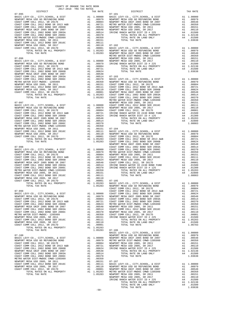| DISTRICT   | CHILLED TWA TWA WHIPD<br>TAX RATE | DISTRICT   | TAX RATE |
|------------|-----------------------------------|------------|----------|
| $07 - 095$ |                                   | $07 - 101$ |          |
|            |                                   |            |          |
|            |                                   |            |          |
|            |                                   |            |          |
|            |                                   |            |          |
|            |                                   |            |          |
|            |                                   |            |          |
|            |                                   |            |          |
|            |                                   |            |          |
|            |                                   |            |          |
|            |                                   |            |          |
|            |                                   |            |          |
|            |                                   |            |          |
|            |                                   |            |          |
|            |                                   |            |          |
|            |                                   |            |          |
|            |                                   |            |          |
|            |                                   |            |          |
|            |                                   |            |          |
|            |                                   |            |          |
|            |                                   |            |          |
|            |                                   |            |          |
|            |                                   |            |          |
|            |                                   |            |          |
|            |                                   |            |          |
|            |                                   |            |          |
|            |                                   |            |          |
|            |                                   |            |          |
|            |                                   |            |          |
|            |                                   |            |          |
|            |                                   |            |          |
|            |                                   |            |          |
|            |                                   |            |          |
|            |                                   |            |          |
|            |                                   |            |          |
|            |                                   |            |          |
|            |                                   |            |          |
|            |                                   |            |          |
|            |                                   |            |          |
|            |                                   |            |          |
|            |                                   |            |          |
|            |                                   |            |          |
|            |                                   |            |          |
|            |                                   |            |          |
|            |                                   |            |          |
|            |                                   |            |          |
|            |                                   |            |          |
|            |                                   |            |          |
|            |                                   |            |          |
|            |                                   |            |          |
|            |                                   |            |          |
|            |                                   |            |          |
|            |                                   |            |          |
|            |                                   |            |          |
|            |                                   |            |          |
|            |                                   |            |          |
|            |                                   |            |          |
|            |                                   |            |          |
|            |                                   |            |          |
|            |                                   |            |          |
|            |                                   |            |          |
|            |                                   |            |          |
|            |                                   |            |          |
|            |                                   |            |          |
|            |                                   |            |          |
|            |                                   |            |          |
|            |                                   |            |          |
|            |                                   |            |          |
|            |                                   |            |          |
|            |                                   |            |          |
|            |                                   |            |          |
|            |                                   |            |          |
|            |                                   |            |          |
|            |                                   |            |          |
|            |                                   |            |          |

| TOTAL RATES ON ALL PROPERTY<br>TOTAL RATE ON ALL PROPERTY<br>1971 1.00000 MEMOCY NESS 307-106<br>1972-106<br>1972-106<br>1984-01 LEVY-CO., CITY, SCHOOL, & DIST<br>1984-01 LEVY-CO., CITY, SCHOOL, & DIST<br>1.00000 MEMOCY NESS USD OO BET |        |  |  |
|---------------------------------------------------------------------------------------------------------------------------------------------------------------------------------------------------------------------------------------------|--------|--|--|
|                                                                                                                                                                                                                                             | $-50-$ |  |  |
|                                                                                                                                                                                                                                             |        |  |  |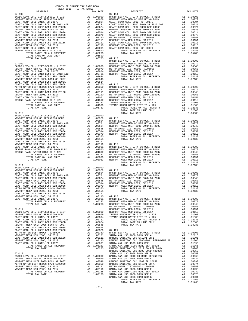| TOTAL RATES ON ALL PROPERTY                                                |                                                                                                                                                                                                                                      |                                                                                                                                                                 |                    |
|----------------------------------------------------------------------------|--------------------------------------------------------------------------------------------------------------------------------------------------------------------------------------------------------------------------------------|-----------------------------------------------------------------------------------------------------------------------------------------------------------------|--------------------|
| TOTAL RATE ON LAND ONLY                                                    |                                                                                                                                                                                                                                      | A1 1.05283<br>A4 .01500                                                                                                                                         |                    |
| TOTAL TAX RATE                                                             |                                                                                                                                                                                                                                      | 1.06783                                                                                                                                                         | $07 - 115$         |
|                                                                            |                                                                                                                                                                                                                                      |                                                                                                                                                                 | BASIC L            |
| $07 - 109$                                                                 |                                                                                                                                                                                                                                      |                                                                                                                                                                 | NEWPORT            |
|                                                                            |                                                                                                                                                                                                                                      |                                                                                                                                                                 |                    |
|                                                                            |                                                                                                                                                                                                                                      |                                                                                                                                                                 |                    |
|                                                                            |                                                                                                                                                                                                                                      |                                                                                                                                                                 |                    |
|                                                                            |                                                                                                                                                                                                                                      |                                                                                                                                                                 |                    |
|                                                                            |                                                                                                                                                                                                                                      |                                                                                                                                                                 |                    |
|                                                                            |                                                                                                                                                                                                                                      |                                                                                                                                                                 |                    |
|                                                                            |                                                                                                                                                                                                                                      |                                                                                                                                                                 |                    |
|                                                                            |                                                                                                                                                                                                                                      |                                                                                                                                                                 |                    |
|                                                                            |                                                                                                                                                                                                                                      |                                                                                                                                                                 |                    |
|                                                                            |                                                                                                                                                                                                                                      |                                                                                                                                                                 |                    |
|                                                                            |                                                                                                                                                                                                                                      |                                                                                                                                                                 |                    |
|                                                                            |                                                                                                                                                                                                                                      |                                                                                                                                                                 |                    |
| TOTAL TAX RATE                                                             |                                                                                                                                                                                                                                      | 1.06783                                                                                                                                                         |                    |
| $07 - 110$                                                                 |                                                                                                                                                                                                                                      |                                                                                                                                                                 |                    |
|                                                                            |                                                                                                                                                                                                                                      |                                                                                                                                                                 |                    |
|                                                                            |                                                                                                                                                                                                                                      |                                                                                                                                                                 |                    |
|                                                                            |                                                                                                                                                                                                                                      |                                                                                                                                                                 |                    |
|                                                                            |                                                                                                                                                                                                                                      |                                                                                                                                                                 |                    |
|                                                                            |                                                                                                                                                                                                                                      |                                                                                                                                                                 |                    |
|                                                                            |                                                                                                                                                                                                                                      |                                                                                                                                                                 |                    |
|                                                                            |                                                                                                                                                                                                                                      |                                                                                                                                                                 |                    |
|                                                                            |                                                                                                                                                                                                                                      |                                                                                                                                                                 |                    |
| NEWPORT MESA USD 2005, SR 2017                                             |                                                                                                                                                                                                                                      |                                                                                                                                                                 |                    |
| COAST COMM COLL 2012, SR 2017D                                             |                                                                                                                                                                                                                                      |                                                                                                                                                                 |                    |
| IRVINE RANCH WATER ID #240 BOND FUND                                       |                                                                                                                                                                                                                                      |                                                                                                                                                                 |                    |
| IRVINE RANCH WATER DIST ID # 125                                           |                                                                                                                                                                                                                                      |                                                                                                                                                                 |                    |
| TOTAL RATES ON ALL PROPERTY<br>TOTAL RATE ON LAND ONLY                     |                                                                                                                                                                                                                                      |                                                                                                                                                                 |                    |
| TOTAL TAX RATE                                                             |                                                                                                                                                                                                                                      | A1 .00110 07-118<br>A1 .00110 07-118<br>A4 .00500 NASTC L<br>A4 .01500 NEWPORT<br>A4 .01300 NEWPORT<br>A1 .05283 METRON<br>A4 .02800 NEWPORT<br>1.08083 NEWPORT |                    |
| $07 - 111$                                                                 |                                                                                                                                                                                                                                      |                                                                                                                                                                 |                    |
| BASIC LEVY-CO., CITY, SCHOOL, & DIST                                       | A1 1.00000 07-119<br>A1 .00979 07-119<br>A1 .00721 NEWPORT<br>A1 .00721 NEWPORT<br>A1 .00624 NEWPORT<br>A1 .00514 NEWPORT<br>A1 .00310 NEWPORT<br>A1 .00370 NEWPORT<br>A1 .00151<br>A1 .00151<br>A1 .00151<br>A1 .00151<br>A1 .00151 |                                                                                                                                                                 |                    |
| NEWPORT MESA USD GO REFUNDING BOND                                         |                                                                                                                                                                                                                                      |                                                                                                                                                                 |                    |
| COAST COMM COLL 2012, SR 2017E<br>COAST COMM COLL 2012 BOND SR 2013 A&B    |                                                                                                                                                                                                                                      |                                                                                                                                                                 |                    |
| COAST COMM COLL 2002 BOND SER 2006B                                        |                                                                                                                                                                                                                                      |                                                                                                                                                                 |                    |
| NEWPORT MESA UNIF 2005 BOND SR 2007                                        |                                                                                                                                                                                                                                      |                                                                                                                                                                 |                    |
| COAST COMM COLL 2002 BOND SER 2003A<br>COAST COMM COLL 2002 BOND SER 2006C |                                                                                                                                                                                                                                      |                                                                                                                                                                 |                    |
| METRO WATER DIST-MWDOC CMWD-1205999                                        |                                                                                                                                                                                                                                      |                                                                                                                                                                 |                    |
| NEWPORT MESA USD 2005, SR 2011                                             |                                                                                                                                                                                                                                      |                                                                                                                                                                 |                    |
| COAST COMM COLL 2012 BOND SER 2016C                                        |                                                                                                                                                                                                                                      |                                                                                                                                                                 |                    |
| NEWPORT MESA USD 2005, SR 2017<br>COAST COMM COLL 2012, SR 2017D           |                                                                                                                                                                                                                                      |                                                                                                                                                                 |                    |
| TOTAL RATES ON ALL PROPERTY                                                |                                                                                                                                                                                                                                      |                                                                                                                                                                 |                    |
| TOTAL TAX RATE                                                             |                                                                                                                                                                                                                                      | 1.05283 NEWPORT                                                                                                                                                 |                    |
|                                                                            |                                                                                                                                                                                                                                      |                                                                                                                                                                 | METRO W            |
| 07-112<br>BASIC LEVY-CO., CITY, SCHOOL, & DIST                             | A1                                                                                                                                                                                                                                   | 1.00000                                                                                                                                                         | NEWPORT<br>NEWPORT |
| NEWPORT MESA USD GO REFUNDING BOND                                         | A1                                                                                                                                                                                                                                   | .00979                                                                                                                                                          | IRVINE             |
| COAST COMM COLL 2012, SR 2017E                                             | A1                                                                                                                                                                                                                                   | .00804                                                                                                                                                          | IRVINE             |
| COAST COMM COLL 2012 BOND SR 2013 A&B                                      | A1                                                                                                                                                                                                                                   | .00721                                                                                                                                                          |                    |
| COAST COMM COLL 2002 BOND SER 2006B<br>NEWPORT MESA UNIF 2005 BOND SR 2007 | A1<br>A1                                                                                                                                                                                                                             | .00624<br>.00548                                                                                                                                                |                    |
| COAST COMM COLL 2002 BOND SER 2003A                                        | A1                                                                                                                                                                                                                                   | .00514                                                                                                                                                          |                    |
| COAST COMM COLL 2002 BOND SER 2006C                                        | A1                                                                                                                                                                                                                                   | .00370                                                                                                                                                          | $07 - 121$         |
| METRO WATER DIST-MWDOC- 1205999<br>NEWPORT MESA USD 2005, SR 2011          |                                                                                                                                                                                                                                      | A1 .00350                                                                                                                                                       | BASIC L            |
| COAST COMM COLL 2012 BOND SER 2016C                                        | A1                                                                                                                                                                                                                                   | A1.00151<br>.00111                                                                                                                                              | SANTA A<br>RANCHO  |
| NEWPORT MESA USD 2005, SR 2017                                             | A1                                                                                                                                                                                                                                   | .00110                                                                                                                                                          | RANCHO             |
| COAST COMM COLL 2012, SR 2017D                                             | A1                                                                                                                                                                                                                                   | .00001                                                                                                                                                          | SANTA A            |
| TOTAL RATES ON ALL PROPERTY<br>TOTAL TAX RATE                              |                                                                                                                                                                                                                                      | A1 1.05283<br>1.05283                                                                                                                                           | SANTA A<br>RANCHO  |
|                                                                            |                                                                                                                                                                                                                                      |                                                                                                                                                                 | RANCHO             |
| $07 - 113$                                                                 |                                                                                                                                                                                                                                      |                                                                                                                                                                 | SANTA A            |
| BASIC LEVY-CO., CITY, SCHOOL, & DIST<br>NEWPORT MESA USD GO REFUNDING BOND | A1                                                                                                                                                                                                                                   | 1.00000<br>A1 .00979                                                                                                                                            | SANTA A<br>SANTA A |
| ununong Mpas inito 2005 pour an 2007                                       | 7.1                                                                                                                                                                                                                                  | 0.0540                                                                                                                                                          | <b>DAMOTIO</b>     |

| COAST COMM COLL 2012 BOND SER 2016C  |
|--------------------------------------|
| NEWPORT MESA USD 2005, SR 2017       |
| COAST COMM COLL 2012, SR 2017D       |
| TOTAL RATES ON ALL PROPERTY          |
| TOTAL TAX RATE                       |
|                                      |
| $17 - 113$                           |
| BASIC LEVY-CO., CITY, SCHOOL, & DIST |
| NEWPORT MESA USD GO REFUNDING BOND   |
| VEWPORT MESA UNIF 2005 BOND SR 2007  |
| METRO WATER DIST-MWDOC CMWD-1205999  |
| NEWPORT MESA USD 2005, SR 2011       |
| NEWPORT MESA USD 2005, SR 2017       |
|                                      |

 BASIC LEVY-CO., CITY,SCHOOL, & DIST A1 1.00000 BASIC LEVY-CO., CITY,SCHOOL, & DIST A1 1.00000 NEWPORT MESA USD GO REFUNDING BOND A1 .00979 NEWPORT MESA USD GO REFUNDING BOND A1 .00979 100804 . 00804 . 00804 . 00804 . 00804 . 00807 . 00804 . 0087 . 00804 . 00804 . 00804 . 00804 . 00804<br>COAST COMM COLL 2012 DAL . 00721 . 00721 . 00721 . 00721 . 00721 . 0089 . 0089 . 0087 . 0087 . 00721<br>COAST COMM COLL 200 1 16 NEWPORT MESA UNIF 2005 BOND SR 2007 A1 .00548 NEWPORT MESA UNIF 2005 BOND SR 2007 A1<br>COAST COMM COLL 2002 BOND SER 2003A A1 .00514 COAST COMM COLL 2002 BOND SER 2003A A1 .00514 COAST COMM COLL 2002 BOND SER 2006C A1 .00370 COAST COMM COLL 2002 BOND SER 2006C A1 .00370 METRO WATER DIST-MWDOC CMWD-1205999 A1 .00350 METRO WATER DIST-MWDOC- 1205999 A1 .00350 NEWPORT MESA USD 2005, SR 2011 A1 .00151 NEWPORT MESA USD 2005, SR 2011 A1 .00151 COAST COMM COLL 2012 BOND SER 2016C A1 .00111 COAST COMM COLL 2012 BOND SER 2016C A1 .00111 100110 NEWPORT MESAUSD 2005, SR 2017<br>COAST COMM COLL 2012 2005 A1 (20001 COAST COMM COLL 2012, SR 2017D 2016)<br>IRVINE RANCH WATER DIST ID # 225 25 A4 (01500 TOTAL RATES ON ALL PROPERTY A1 1.05283 TOTAL RATES ON ALL PROPERTY A1 1.05283 TOTAL TAX RATE 1.05283  $1.06783$  BASIC LEVY-CO., CITY,SCHOOL, & DIST A1 1.00000 07-109 NEWPORT MESA USD GO REFUNDING BOND A1 .00979 BASIC LEVY-CO., CITY,SCHOOL, & DIST A1 1.00000 NEWPORT MESA UNIF 2005 BOND SR 2007 A1 .00548 NEWPORT MESA USD GO REFUNDING BOND A1 .00979 METRO WATER DIST-MWDOC- 1205999 A1 .00350 COAST COMM COLL 2012, SR 2017E A1 .00804 NEWPORT MESA USD 2005, SR 2011 A1 .00151 COAST COMM COLL 2012 BOND SR 2013 A&B A1 .00721 NEWPORT MESA USD 2005, SR 2017 A1 .00110 COAST COMM COLL 2002 BOND SER 2006B A1 .00624 TOTAL RATES ON ALL PROPERTY A1 1.02138<br>NEWPORT MESA UNIF 2005 BOND SR 2007 A1 .00548 TOTAL TAX RATE METRO WAT ALL 1.00000<br>A1 .00350 BASIC LEVY-CO., CITY, SCHOOL, & DIST A1 1.00000<br>A1 .00111 NEWPORT MESA UNIF 2005 BOND SR 2007 A1 .00548 NEWPORT MESA USD 2005, SR 2011 A1 .00151 NEWPORT MESA USD GO REFUNDING BOND A1 .00979 COAST COMM COLL 2012 BOND SER 2016C A1 .00111 NEWPORT MESA UNIF 2005 BOND SR 2007 A1 .00548 NEWPORT MESA USD 2005, SR 2017 A1 .00110 METRO WATER DIST-MWDOC CMWD-1205999 A1 .00350 COAST COMM COLL 2012, SR 2017D A1 .00001 NEWPORT MESA USD 2005, SR 2011 A1 .00151 IRVINE RANCH WATER DIST ID # 225 A4 .01500 NEWPORT MESA USD 2005, SR 2017 A1 .00110 TOTAL RATES ON ALL PROPERTY A1 1.05283 IRVINE RANCH WATER DIST ID # 225 A4 .01500 TOTAL RATE ON LAND ONLY A4 .01500 IRVINE RANCH WATER DIST ID # 125 A4 .01300 TOTAL TAX RATE 1.06783 TOTAL RATES ON ALL PROPERTY A1 1.02138 TOTAL RATE ON LAND ONLY A4 .02800 07-110 TOTAL TAX RATE 1.04938 COAST COMM COLL 2012, SR 2017E A1 .00804 BASIC LEVY-CO., CITY,SCHOOL, & DIST A1 1.00000 COAST COMM COLL 2012 BOND SR 2013 A&B A1 .00721 NEWPORT MESA USD GO REFUNDING BOND A1 .00979 COAST COMM COLL 2002 BOND SER 2006B A1 .00624 NEWPORT MESA UNIF 2005 BOND SR 2007 A1 .00548 NEWPORT MESA UNIF 2005 BOND SR 2007 A1 .00548 METRO WATER DIST-MWDOC- 1205999 A1 .00350 COAST COMM COLL 2002 BOND SER 2003A A1 .00514 NEWPORT MESA USD 2005, SR 2011 A1 .00151 COAST COMM COLL 2002 BOND SER 2006C A1 .00370 NEWPORT MESA USD 2005, SR 2017 A1 .00110 METRO WATER DIST-MWDOC CMWD-1205999 A1 .00350 TOTAL RATES ON ALL PROPERTY A1 1.02138<br>NEWPORT MESA USD 2005, SR 2011 A1 .00151 TOTAL TAX RATE 1.02138 COAST COMM COLL 2012, SR 2017D A1 .00001 BASIC LEVY-CO., CITY,SCHOOL, & DIST<br>IRVINE RANCH WARTER ID AN MENDER MESS ON SAME AND SOME ON DESTANCH WARTER ON DESTANCH WARTER ID HOUST 90079<br> TOTAL RATES ON ALL PROPERTY A1 1.05283 METRO WATER DIST-MWDOC CMWD-1205999 A1 .00350 TOTAL RATE ON LAND ONLY A4 .02800 NEWPORT MESA USD 2005, SR 2011 A1 .00151 OTAL TAX RATE 1.08083 NEWPORT MESA USD 2005, SR 2017 A1 .00110<br>TOTAL RATES ON ALL PROPERTY A1 1.02138  $07-111$  1.02138 A1 1.00000<br>A1 .00979<br>A1 .00804 A1 .00979 07–119<br>A1 .00804 BASIC LEVY-CO., CITY,SCHOOL, & DIST A1 1.00000<br>A1 .00721 NEWPORT MESAUSD GO REFUNDING BOND A1 .00979 A1 .00721 NEWPORT MESA USD GO REFUNDING BOND A1 .00721 NEWPORT MESA USD GO REFUNDING BOND A1 .00979<br>A1 .00624 NEWPORT MESA UNIF 2005 BOND SR 2007 A1 .00548<br>A1 .00548 METRO WATER DIST-MWDOC- 1205999 A1 .00350 COAST COMM COLL 2002 BOND SER 2006B A1 .00624 NEWPORT MESA UNIF 2005 BOND SR 2007 A1 .00548 NEWPORT MESA UNIF 2005 BOND SR 2007 A1 .00548 METRO WATER DIST-MWDOC- 1205999 A1 .00350 COAST COMM COLL 2002 BOND SER 2003A A1 .00514 NEWPORT MESA USD 2005, SR 2011 A1 .00151 COAST COMM COLL 2002 BOND SER 2006C A1 .00370 NEWPORT MESA USD 2005, SR 2017 A1 .00110 METRO WATER DIST-MWDOC CMWD-1205999 A1 .00350 TOTAL RATES ON ALL PROPERTY A1 1.02138 NEWPORT MESA USD 2005, SR 2011 A1 .00151 TOTAL TAX RATE 1.02138 COAST COMM COLL 2012, SR 2017D A1 .00001 BASIC LEVY-CO., CITY,SCHOOL, & DIST A1 1.00000 TOTAL RATES ON ALL PROPERTY (1.05283 NEWPORT MESA USD GO REFUNDING BOND (1.05299 A1 .00979<br>1.05283 NEWPORT MESA UNIF 2005 BOND SR 2007 (1.05283 NEWPORT MESA UNIF 2005 A1 .00350<br>1.00350 METRO WATER DIST-MWDOC- 1205999 (1.00 07-112 NEWPORT MESA USD 2005, SR 2011 A1 .00151 BASIC LEVY-CO., CITY,SCHOOL, & DIST A1 1.00000 NEWPORT MESA USD 2005, SR 2017 A1 .00110 NEWPORT MESA USD GO REFUNDING BOND A1 .00979 IRVINE RANCH WATER DIST ID # 225 A4 .01500 A1 .00804 IRVINE RANCH WATER DIST ID # 125 A4 .01300 A1 .00804 IRVINE RANCH WATER DIST ID # 125  $\overline{A4}$  .01300 COAST COMM COLL 2012 BOND SR 2013 A&B A1 .00721 TOTAL RATES ON ALL PROPERTY A1 1.02138 COAST COMM COLL 2002 BOND SER 2006B A1 .00624 TOTAL RATE ON LAND ONLY A4 .02800 NEWPORT MESA UNIF 2005 BOND SR 2007 A1 .00548 TOTAL TAX RATE 1.04938 A1 .00370 07-121<br>A1 .00350 BASIC LEVY-CO., CITY,SCHOOL, & DIST A1 1.00000<br>A1 .00151 SANTAANA USD-2008 BOND SERA A1 .02116 NEWPORT MESAUSD 2005, SR 20116 (19151 SANTA ANA USD-2008 BOND SER A Al .02116<br>OLOAST COMM COLL 2016 (2015 RANCHO SANTIAGO CODSFIDH) 15 ANOM COLL 2016 (1908) 11 .01701<br>NEWPORT MESAUSD 2005, SR 2017 2016 (1905 Al .00110 RAN 0001. COAST COMM COLL 2012, SR 2017D<br>10.055 1.00001 SANTA ANA USD 1999, 2009 REF 2002B<br>10.065 1.05283 SANTA ANA UNIF-1999 BOND ER 2002B TOTAL RATES ON ALL PROPERTY<br>1.05283 RANCHO SANTIAGO CCD 2012 GO REF BOND 41 20060<br>1.05 07-113 SANTA ANA USD-2008 BOND SER D A1 .00553 BASIC LEVY-CO., CITY,SCHOOL, & DIST A1 1.00000 SANTA ANA USD-2010 GO BOND REFUNDING A1 .00463 NEWPORT MESA USD GO REFUNDING BOND A1 .00979 SANTA ANA USD-2008 BOND SER C A1 .00424 NEWPORT MESA UNIF 2005 BOND SR 2007 A1 .00548 RANCHO SANTIAGO CCD 2002 SR 2005B A1 .00393 MEWPORT MESA UNIF 2009 DOND SK 2007<br>METRO WATER DIST-MWDOC CMWD-1205999 A1 .00350 A1 .00350 RANCHO SANTIAGO CCD SFID#1 SR A A1 .00374<br>NEWPORT MESA USD 2005, SR 2011 1 .00350 A1 .00151 METRO WATER DIST-MWDOC- 1205999 A1 .0 NEWPORT MESA USD 2005, SR 2011 A1 .00150 METRO WATER DISTI-MWDOC- 1205999 A1 .00350<br>NEWPORT MESA USD 2005, SR 2011 A1 .00150 A1 .00151 METRO WATER DISTI-MWDOC- 1205999 A1 .00350<br>NEWPORT MESA USD 2005 SR 2017 A1 00110 SANTA NEWPORT MESA USD 2005, SR 2017 A1 .00110 SANTA ANA USD-2008 BOND SER E A1 .00293 TOTAL RATES ON ALL PARTES ON ALL PROPERTY AND INFIRENCE PROPERTY AND INFIRENCE 2002A A1 .00239<br>1.02138 SANTA ANA USD-2008 BOND SER F TOTAL RATES ON ALL PROPERTY 1.02138 SANTA ANA USD-2008 BOND SER 2002A<br>TOTAL TAX RATE 1.0239 SANTA ANA USD-2008 BOND SER F A1 .00078<br>TOTAL TAX RATE 1.00078 SANTA ANA USD-2008 BOND SER B A1 .00001 SANTA ANA USD-2008 BOND SER B A1 .00001 TOTAL RATES ON ALL PROPERTY A1 1.11765

COUNTY OF ORANGE TAX RATE BOOK 2017-2018 TRA TAX RATES

07-108 07-114

DISTRICT TAX RATE DISTRICT TAX RATE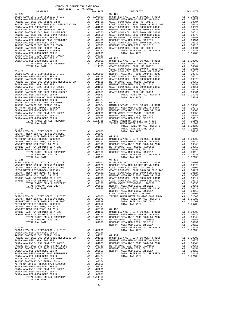| COUNTY OF ORANGE TAX RATE BOOK<br>2017-2018 TRA TAX RATES                                                                                                                                                                                                                                                                                                                                                                                                          |                 |                                                                                                                                              |                    |
|--------------------------------------------------------------------------------------------------------------------------------------------------------------------------------------------------------------------------------------------------------------------------------------------------------------------------------------------------------------------------------------------------------------------------------------------------------------------|-----------------|----------------------------------------------------------------------------------------------------------------------------------------------|--------------------|
| DISTRICT                                                                                                                                                                                                                                                                                                                                                                                                                                                           |                 | TAX RATE                                                                                                                                     |                    |
| $07 - 122$                                                                                                                                                                                                                                                                                                                                                                                                                                                         |                 |                                                                                                                                              | $07 - 128$         |
|                                                                                                                                                                                                                                                                                                                                                                                                                                                                    |                 |                                                                                                                                              |                    |
|                                                                                                                                                                                                                                                                                                                                                                                                                                                                    |                 |                                                                                                                                              |                    |
|                                                                                                                                                                                                                                                                                                                                                                                                                                                                    |                 |                                                                                                                                              |                    |
|                                                                                                                                                                                                                                                                                                                                                                                                                                                                    |                 |                                                                                                                                              |                    |
|                                                                                                                                                                                                                                                                                                                                                                                                                                                                    |                 |                                                                                                                                              |                    |
|                                                                                                                                                                                                                                                                                                                                                                                                                                                                    |                 |                                                                                                                                              |                    |
|                                                                                                                                                                                                                                                                                                                                                                                                                                                                    |                 |                                                                                                                                              |                    |
|                                                                                                                                                                                                                                                                                                                                                                                                                                                                    |                 |                                                                                                                                              |                    |
|                                                                                                                                                                                                                                                                                                                                                                                                                                                                    |                 |                                                                                                                                              |                    |
|                                                                                                                                                                                                                                                                                                                                                                                                                                                                    |                 |                                                                                                                                              |                    |
|                                                                                                                                                                                                                                                                                                                                                                                                                                                                    |                 |                                                                                                                                              |                    |
|                                                                                                                                                                                                                                                                                                                                                                                                                                                                    |                 |                                                                                                                                              |                    |
|                                                                                                                                                                                                                                                                                                                                                                                                                                                                    |                 |                                                                                                                                              |                    |
|                                                                                                                                                                                                                                                                                                                                                                                                                                                                    |                 |                                                                                                                                              |                    |
|                                                                                                                                                                                                                                                                                                                                                                                                                                                                    |                 |                                                                                                                                              | COAST C            |
| $07 - 123$                                                                                                                                                                                                                                                                                                                                                                                                                                                         |                 |                                                                                                                                              | COAST C            |
|                                                                                                                                                                                                                                                                                                                                                                                                                                                                    |                 |                                                                                                                                              |                    |
|                                                                                                                                                                                                                                                                                                                                                                                                                                                                    |                 |                                                                                                                                              |                    |
|                                                                                                                                                                                                                                                                                                                                                                                                                                                                    |                 |                                                                                                                                              |                    |
|                                                                                                                                                                                                                                                                                                                                                                                                                                                                    |                 |                                                                                                                                              |                    |
|                                                                                                                                                                                                                                                                                                                                                                                                                                                                    |                 |                                                                                                                                              |                    |
|                                                                                                                                                                                                                                                                                                                                                                                                                                                                    |                 |                                                                                                                                              |                    |
|                                                                                                                                                                                                                                                                                                                                                                                                                                                                    |                 |                                                                                                                                              |                    |
|                                                                                                                                                                                                                                                                                                                                                                                                                                                                    |                 |                                                                                                                                              |                    |
|                                                                                                                                                                                                                                                                                                                                                                                                                                                                    |                 |                                                                                                                                              |                    |
|                                                                                                                                                                                                                                                                                                                                                                                                                                                                    |                 |                                                                                                                                              |                    |
|                                                                                                                                                                                                                                                                                                                                                                                                                                                                    |                 |                                                                                                                                              |                    |
|                                                                                                                                                                                                                                                                                                                                                                                                                                                                    |                 |                                                                                                                                              |                    |
|                                                                                                                                                                                                                                                                                                                                                                                                                                                                    |                 |                                                                                                                                              |                    |
|                                                                                                                                                                                                                                                                                                                                                                                                                                                                    |                 |                                                                                                                                              |                    |
|                                                                                                                                                                                                                                                                                                                                                                                                                                                                    |                 |                                                                                                                                              |                    |
|                                                                                                                                                                                                                                                                                                                                                                                                                                                                    |                 |                                                                                                                                              |                    |
| $07 - 124$<br>$\begin{tabular}{l c c c c c} \multicolumn{1}{c}{\textbf{BASE}} & \multicolumn{1}{c}{\textbf{BASIC}} & \multicolumn{1}{c}{\textbf{BASIC}} & \multicolumn{1}{c}{\textbf{BASIC}} & \multicolumn{1}{c}{\textbf{RIST}} & \multicolumn{1}{c}{\textbf{A1}} & 1.00000 \\ \multicolumn{1}{c}{\textbf{NEWPORT} \hspace{1mm} \textbf{MESA} \hspace{1mm} \textbf{USD} \hspace{1mm} \textbf{GO} \hspace{1mm} \textbf{B} \hspace{1mm} \textbf{BOND} \hspace{1mm}$ |                 |                                                                                                                                              |                    |
|                                                                                                                                                                                                                                                                                                                                                                                                                                                                    |                 |                                                                                                                                              |                    |
|                                                                                                                                                                                                                                                                                                                                                                                                                                                                    |                 |                                                                                                                                              |                    |
|                                                                                                                                                                                                                                                                                                                                                                                                                                                                    |                 |                                                                                                                                              |                    |
|                                                                                                                                                                                                                                                                                                                                                                                                                                                                    |                 |                                                                                                                                              |                    |
|                                                                                                                                                                                                                                                                                                                                                                                                                                                                    |                 |                                                                                                                                              |                    |
|                                                                                                                                                                                                                                                                                                                                                                                                                                                                    |                 |                                                                                                                                              |                    |
|                                                                                                                                                                                                                                                                                                                                                                                                                                                                    |                 |                                                                                                                                              |                    |
| TOTAL TAX RATE                                                                                                                                                                                                                                                                                                                                                                                                                                                     |                 | 1.04938                                                                                                                                      |                    |
| $07 - 125$                                                                                                                                                                                                                                                                                                                                                                                                                                                         |                 |                                                                                                                                              | $07 - 132$         |
| $\begin{tabular}{l c c c c} \multicolumn{1}{c}{\textbf{LEVY-CO.}, & CTTY, SCHOOL, & $\&$ DIST$ \\ \multicolumn{1}{c}{\textbf{LEVY-CO.}, & CTTY, SCHOOL, & $\&$ DIST$ \\ \multicolumn{1}{c}{\textbf{LEVY-CO.}, & CTTY, SCHOLO}, & $\&$ DIST$ \\ \multicolumn{1}{c}{\textbf{LUSA UNIF 2005 BOND SR 2007}} & $\mbox{A1}$ & 0.0979 & {\small\textrm{NEWPORT C}} \\ \multicolumn{1}{c}{\textbf{MUSTR 10DCC 1205999}} & $\$<br>BASIC LEVY-CO., CITY, SCHOOL, & DIST      |                 |                                                                                                                                              |                    |
| NEWPORT MESA USD GO REFUNDING BOND                                                                                                                                                                                                                                                                                                                                                                                                                                 |                 |                                                                                                                                              |                    |
| NEWPORT MESA UNIF 2005 BOND SR 2007<br>METRO WATER DIST-MWDOC- 1205999<br>NEWPORT MESA USER-MWDOC- 1205999                                                                                                                                                                                                                                                                                                                                                         |                 |                                                                                                                                              |                    |
| NEWPORT MESA USD 2005, SR 2011                                                                                                                                                                                                                                                                                                                                                                                                                                     |                 |                                                                                                                                              |                    |
| NEWPORT MESA USD 2005, SR 2017                                                                                                                                                                                                                                                                                                                                                                                                                                     |                 |                                                                                                                                              |                    |
| IRVINE RANCH WATER DIST ID # 225<br>IRVINE RANCH WATER DIST ID # 125                                                                                                                                                                                                                                                                                                                                                                                               |                 |                                                                                                                                              |                    |
|                                                                                                                                                                                                                                                                                                                                                                                                                                                                    |                 |                                                                                                                                              |                    |
|                                                                                                                                                                                                                                                                                                                                                                                                                                                                    |                 |                                                                                                                                              |                    |
| TOTAL TAX RATE                                                                                                                                                                                                                                                                                                                                                                                                                                                     |                 | 1.04938                                                                                                                                      | COAST C<br>NEWPORT |
| $07 - 126$                                                                                                                                                                                                                                                                                                                                                                                                                                                         |                 |                                                                                                                                              | COAST C            |
| BASIC LEVY-CO., CITY, SCHOOL, & DIST                                                                                                                                                                                                                                                                                                                                                                                                                               |                 | A1 1.00000                                                                                                                                   | IRVINE             |
| NEWPORT MESA USD GO REFUNDING BOND<br>NEWPORT MESA UNIF 2005 BOND SR 2007                                                                                                                                                                                                                                                                                                                                                                                          | A1              | A1.00979<br>.00548                                                                                                                           |                    |
| METRO WATER DIST-MWDOC- 1205999                                                                                                                                                                                                                                                                                                                                                                                                                                    | A1              | .00350                                                                                                                                       |                    |
| NEWPORT MESA USD 2005, SR 2011                                                                                                                                                                                                                                                                                                                                                                                                                                     | A1              | .00151                                                                                                                                       |                    |
| NEWPORT MESA USD 2005, SR 2017<br>IRVINE RANCH WATER DIST ID # 225                                                                                                                                                                                                                                                                                                                                                                                                 |                 |                                                                                                                                              |                    |
| IRVINE RANCH WATER DIST ID # 125                                                                                                                                                                                                                                                                                                                                                                                                                                   |                 |                                                                                                                                              |                    |
| TOTAL RATES ON ALL PROPERTY                                                                                                                                                                                                                                                                                                                                                                                                                                        |                 | A1 .00110 07-133<br>A4 .01500 BASIC L<br>A4 .01500 BASIC L<br>A4 .01300 NEWPORT<br>A1 1.02138 NEWPORT<br>A4 .02800 METROW<br>1.04938 NEWPORT |                    |
| TOTAL RATE ON LAND ONLY<br>TOTAL TAX RATE                                                                                                                                                                                                                                                                                                                                                                                                                          |                 |                                                                                                                                              |                    |
|                                                                                                                                                                                                                                                                                                                                                                                                                                                                    |                 |                                                                                                                                              | NEWPORT            |
| $07 - 127$                                                                                                                                                                                                                                                                                                                                                                                                                                                         |                 |                                                                                                                                              |                    |
| BASIC LEVY-CO., CITY, SCHOOL, & DIST<br>SANTA ANA USD-2008 BOND SER A                                                                                                                                                                                                                                                                                                                                                                                              | A1              | 1.00000<br>A1 .02116                                                                                                                         |                    |
| RANCHO SANTIAGO CCD SFID#1 SR B                                                                                                                                                                                                                                                                                                                                                                                                                                    | A1              |                                                                                                                                              | $.01701$ $07-134$  |
| RANCHO SANTIAGO CCD 2005+2011 REFUNDING BD                                                                                                                                                                                                                                                                                                                                                                                                                         |                 | A1 .01305                                                                                                                                    | BASIC L            |
| SANTA ANA USD 1999, 2009 REF<br>SANTA ANA UNIF-1999 BOND SER 2002B                                                                                                                                                                                                                                                                                                                                                                                                 |                 | A1 .01095<br>NEWPORT<br>A1 .01066 MEWPORT<br>A1 .00566 MEWPORT<br>A1 .00555 NEWPORT<br>A1 .00553 NEWPORT                                     |                    |
| RANCHO SANTIAGO CCD 2012 GO REF BOND                                                                                                                                                                                                                                                                                                                                                                                                                               |                 |                                                                                                                                              |                    |
| RANCHO SANTIAGO CCD 2002 BOND #2006C                                                                                                                                                                                                                                                                                                                                                                                                                               | $\frac{A1}{A1}$ |                                                                                                                                              |                    |
| SANTA ANA USD-2008 BOND SER D                                                                                                                                                                                                                                                                                                                                                                                                                                      |                 |                                                                                                                                              |                    |
| SANTA ANA USD-2010 GO BOND REFUNDING<br>SANTA ANA USD-2008 BOND SER C                                                                                                                                                                                                                                                                                                                                                                                              | A1              | A1.00463<br>.00424                                                                                                                           |                    |
| RANCHO SANTIAGO CCD 2002 SR 2005B                                                                                                                                                                                                                                                                                                                                                                                                                                  | A1              | .00393                                                                                                                                       |                    |
| RANCHO SANTIAGO CCD SFID#1 SR A                                                                                                                                                                                                                                                                                                                                                                                                                                    | A1              | .00374                                                                                                                                       |                    |
| METRO WATER DIST-MWDOC CMWD-1205999<br>SANTA ANA USD-2008 BOND SER E                                                                                                                                                                                                                                                                                                                                                                                               | A1              | .00350<br>A1 .00293                                                                                                                          |                    |
| SANTA ANA UNIF-1999 BOND SER 2002A                                                                                                                                                                                                                                                                                                                                                                                                                                 | A1              | .00239                                                                                                                                       |                    |
| SANTA ANA USD-2008 BOND SER F                                                                                                                                                                                                                                                                                                                                                                                                                                      |                 | A1 .00078                                                                                                                                    |                    |
| SANTA ANA USD-2008 BOND SER B<br>TOTAL RATES ON ALL PROPERTY                                                                                                                                                                                                                                                                                                                                                                                                       | A1              | .00001<br>A1 1.11765                                                                                                                         |                    |
| TOTAL TAX RATE                                                                                                                                                                                                                                                                                                                                                                                                                                                     |                 | 1.11765                                                                                                                                      |                    |

| DISTRICT | TAX RATE | DISTRICT | TAX RATE |
|----------|----------|----------|----------|
|          |          |          |          |
|          |          |          |          |
|          |          |          |          |
|          |          |          |          |
|          |          |          |          |
|          |          |          |          |
|          |          |          |          |
|          |          |          |          |
|          |          |          |          |
|          |          |          |          |
|          |          |          |          |
|          |          |          |          |
|          |          |          |          |
|          |          |          |          |
|          |          |          |          |
|          |          |          |          |
|          |          |          |          |
|          |          |          |          |
|          |          |          |          |
|          |          |          |          |
|          |          |          |          |
|          |          |          |          |
|          |          |          |          |
|          |          |          |          |
|          |          |          |          |
|          |          |          |          |
|          |          |          |          |
|          |          |          |          |
|          |          |          |          |
|          |          |          |          |
|          |          |          |          |
|          |          |          |          |
|          |          |          |          |
|          |          |          |          |
|          |          |          |          |
|          |          |          |          |
|          |          |          |          |
|          |          |          |          |
|          |          |          |          |
|          |          |          |          |
|          |          |          |          |
|          |          |          |          |
|          |          |          |          |
|          |          |          |          |
|          |          |          |          |
|          |          |          |          |
|          |          |          |          |
|          |          |          |          |
|          |          |          |          |
|          |          |          |          |
|          |          |          |          |
|          |          |          |          |
|          |          |          |          |
|          |          |          |          |
|          |          |          |          |
|          |          |          |          |
|          |          |          |          |
|          |          |          |          |
|          |          |          |          |
|          |          |          |          |
|          |          |          |          |
|          |          |          |          |
|          |          |          |          |
|          |          |          |          |
|          |          |          |          |
|          |          |          |          |
|          |          |          |          |
|          |          |          |          |
|          |          |          |          |
|          |          |          |          |
|          |          |          |          |
|          |          |          |          |
|          |          |          |          |
|          |          |          |          |
|          |          |          |          |
|          |          |          |          |
|          |          |          |          |
|          |          |          |          |
|          |          |          |          |
|          |          |          |          |
|          |          |          |          |
|          |          |          |          |
|          |          |          |          |
|          |          |          |          |
|          |          |          |          |
|          |          |          |          |
|          |          |          |          |
|          |          |          |          |
|          |          |          |          |
|          |          |          |          |
|          |          |          |          |
|          |          |          |          |
|          |          |          |          |
|          |          |          |          |
|          |          |          |          |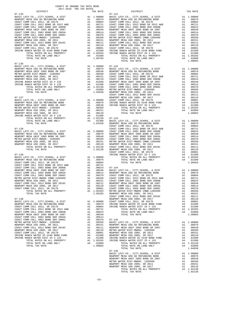| COUNTY OF ORANGE TAX RATE BOOK<br>2017-2018 TRA TAX RATES |  |                                                                                                                                                                                                                                             |          |
|-----------------------------------------------------------|--|---------------------------------------------------------------------------------------------------------------------------------------------------------------------------------------------------------------------------------------------|----------|
| DISTRICT<br>$07 - 135$                                    |  | TAX RATES<br>TAX RATE<br>DISTRICT<br>$07 - 141$                                                                                                                                                                                             | TAX RATE |
|                                                           |  |                                                                                                                                                                                                                                             |          |
|                                                           |  |                                                                                                                                                                                                                                             |          |
|                                                           |  |                                                                                                                                                                                                                                             |          |
|                                                           |  |                                                                                                                                                                                                                                             |          |
|                                                           |  |                                                                                                                                                                                                                                             |          |
|                                                           |  |                                                                                                                                                                                                                                             |          |
|                                                           |  |                                                                                                                                                                                                                                             |          |
|                                                           |  |                                                                                                                                                                                                                                             |          |
|                                                           |  |                                                                                                                                                                                                                                             |          |
|                                                           |  |                                                                                                                                                                                                                                             |          |
| $07 - 136$                                                |  |                                                                                                                                                                                                                                             |          |
|                                                           |  |                                                                                                                                                                                                                                             |          |
|                                                           |  |                                                                                                                                                                                                                                             |          |
|                                                           |  |                                                                                                                                                                                                                                             |          |
|                                                           |  |                                                                                                                                                                                                                                             |          |
|                                                           |  |                                                                                                                                                                                                                                             |          |
|                                                           |  |                                                                                                                                                                                                                                             |          |
|                                                           |  |                                                                                                                                                                                                                                             |          |
|                                                           |  |                                                                                                                                                                                                                                             |          |
|                                                           |  |                                                                                                                                                                                                                                             |          |
|                                                           |  |                                                                                                                                                                                                                                             |          |
|                                                           |  |                                                                                                                                                                                                                                             |          |
|                                                           |  |                                                                                                                                                                                                                                             |          |
|                                                           |  |                                                                                                                                                                                                                                             |          |
|                                                           |  |                                                                                                                                                                                                                                             |          |
|                                                           |  |                                                                                                                                                                                                                                             |          |
|                                                           |  |                                                                                                                                                                                                                                             |          |
|                                                           |  |                                                                                                                                                                                                                                             |          |
|                                                           |  |                                                                                                                                                                                                                                             |          |
|                                                           |  |                                                                                                                                                                                                                                             |          |
|                                                           |  |                                                                                                                                                                                                                                             |          |
|                                                           |  |                                                                                                                                                                                                                                             |          |
|                                                           |  |                                                                                                                                                                                                                                             |          |
|                                                           |  |                                                                                                                                                                                                                                             |          |
|                                                           |  |                                                                                                                                                                                                                                             |          |
|                                                           |  |                                                                                                                                                                                                                                             |          |
|                                                           |  |                                                                                                                                                                                                                                             |          |
|                                                           |  |                                                                                                                                                                                                                                             |          |
|                                                           |  |                                                                                                                                                                                                                                             |          |
|                                                           |  |                                                                                                                                                                                                                                             |          |
|                                                           |  |                                                                                                                                                                                                                                             |          |
|                                                           |  |                                                                                                                                                                                                                                             |          |
|                                                           |  |                                                                                                                                                                                                                                             |          |
|                                                           |  |                                                                                                                                                                                                                                             |          |
|                                                           |  |                                                                                                                                                                                                                                             |          |
|                                                           |  |                                                                                                                                                                                                                                             |          |
|                                                           |  |                                                                                                                                                                                                                                             |          |
|                                                           |  |                                                                                                                                                                                                                                             |          |
|                                                           |  |                                                                                                                                                                                                                                             |          |
|                                                           |  |                                                                                                                                                                                                                                             |          |
|                                                           |  |                                                                                                                                                                                                                                             |          |
|                                                           |  |                                                                                                                                                                                                                                             |          |
|                                                           |  | NEWHOTE NESR USD 2003 5, 2011 (100511 COAST COMM COLL 2012 BOND SER 2016 (2012 BOND SER 2016 (2014 AL 100511 (2014 BOND COAST COMM COLL 2012 BOND SER 2017 (2014 COAST COMM COLL 2012 BOND SER 2017 (2014 COAST COMM COLL 201<br>$07 - 146$ |          |
|                                                           |  |                                                                                                                                                                                                                                             |          |
|                                                           |  |                                                                                                                                                                                                                                             |          |
|                                                           |  |                                                                                                                                                                                                                                             |          |
|                                                           |  |                                                                                                                                                                                                                                             |          |
|                                                           |  |                                                                                                                                                                                                                                             |          |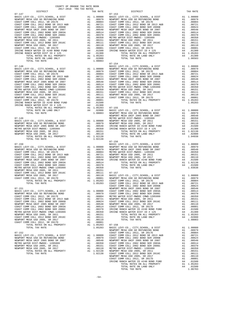| $\begin{tabular}{l c c c c} \multicolumn{1}{c}{\textbf{MSEV-DCT} MESA USD G. C111, S.5400L, $\bullet$ DIS1$} & $\bullet$ 11.00000 $ & $\tt MSEVDORT\\ \multicolumn{1}{c}{\textbf{NESW-DRT} MESA USD G. RETUNDING BOND\\ \multicolumn{1}{c}{\textbf{COAST COM M COLL 2012, SR 2017B}} & $\tt A1$ 0.00014 $ & $\tt COAST C\\ \multicolumn{1}{c}{\textbf{COAST COM M COLL 2012, SR 2017B}} & $\tt A1$ 0.00040$ |                                                                                                                                                                                                                                                                                                                                                                                     |                                                                                                                                          |                    |
|-------------------------------------------------------------------------------------------------------------------------------------------------------------------------------------------------------------------------------------------------------------------------------------------------------------------------------------------------------------------------------------------------------------|-------------------------------------------------------------------------------------------------------------------------------------------------------------------------------------------------------------------------------------------------------------------------------------------------------------------------------------------------------------------------------------|------------------------------------------------------------------------------------------------------------------------------------------|--------------------|
|                                                                                                                                                                                                                                                                                                                                                                                                             |                                                                                                                                                                                                                                                                                                                                                                                     |                                                                                                                                          |                    |
|                                                                                                                                                                                                                                                                                                                                                                                                             |                                                                                                                                                                                                                                                                                                                                                                                     |                                                                                                                                          |                    |
|                                                                                                                                                                                                                                                                                                                                                                                                             |                                                                                                                                                                                                                                                                                                                                                                                     |                                                                                                                                          |                    |
|                                                                                                                                                                                                                                                                                                                                                                                                             |                                                                                                                                                                                                                                                                                                                                                                                     |                                                                                                                                          |                    |
|                                                                                                                                                                                                                                                                                                                                                                                                             |                                                                                                                                                                                                                                                                                                                                                                                     |                                                                                                                                          |                    |
|                                                                                                                                                                                                                                                                                                                                                                                                             |                                                                                                                                                                                                                                                                                                                                                                                     |                                                                                                                                          |                    |
|                                                                                                                                                                                                                                                                                                                                                                                                             |                                                                                                                                                                                                                                                                                                                                                                                     |                                                                                                                                          |                    |
|                                                                                                                                                                                                                                                                                                                                                                                                             |                                                                                                                                                                                                                                                                                                                                                                                     |                                                                                                                                          |                    |
|                                                                                                                                                                                                                                                                                                                                                                                                             |                                                                                                                                                                                                                                                                                                                                                                                     |                                                                                                                                          |                    |
|                                                                                                                                                                                                                                                                                                                                                                                                             |                                                                                                                                                                                                                                                                                                                                                                                     |                                                                                                                                          |                    |
|                                                                                                                                                                                                                                                                                                                                                                                                             |                                                                                                                                                                                                                                                                                                                                                                                     |                                                                                                                                          |                    |
|                                                                                                                                                                                                                                                                                                                                                                                                             |                                                                                                                                                                                                                                                                                                                                                                                     |                                                                                                                                          |                    |
|                                                                                                                                                                                                                                                                                                                                                                                                             |                                                                                                                                                                                                                                                                                                                                                                                     |                                                                                                                                          |                    |
| TOTAL TAX RATE                                                                                                                                                                                                                                                                                                                                                                                              |                                                                                                                                                                                                                                                                                                                                                                                     | 1.08083                                                                                                                                  |                    |
|                                                                                                                                                                                                                                                                                                                                                                                                             |                                                                                                                                                                                                                                                                                                                                                                                     |                                                                                                                                          | $07 - 154$         |
| $07 - 148$                                                                                                                                                                                                                                                                                                                                                                                                  |                                                                                                                                                                                                                                                                                                                                                                                     |                                                                                                                                          | BASIC L            |
|                                                                                                                                                                                                                                                                                                                                                                                                             |                                                                                                                                                                                                                                                                                                                                                                                     |                                                                                                                                          |                    |
|                                                                                                                                                                                                                                                                                                                                                                                                             |                                                                                                                                                                                                                                                                                                                                                                                     |                                                                                                                                          |                    |
|                                                                                                                                                                                                                                                                                                                                                                                                             |                                                                                                                                                                                                                                                                                                                                                                                     |                                                                                                                                          |                    |
|                                                                                                                                                                                                                                                                                                                                                                                                             |                                                                                                                                                                                                                                                                                                                                                                                     |                                                                                                                                          |                    |
|                                                                                                                                                                                                                                                                                                                                                                                                             |                                                                                                                                                                                                                                                                                                                                                                                     |                                                                                                                                          |                    |
|                                                                                                                                                                                                                                                                                                                                                                                                             |                                                                                                                                                                                                                                                                                                                                                                                     |                                                                                                                                          |                    |
|                                                                                                                                                                                                                                                                                                                                                                                                             |                                                                                                                                                                                                                                                                                                                                                                                     |                                                                                                                                          |                    |
|                                                                                                                                                                                                                                                                                                                                                                                                             |                                                                                                                                                                                                                                                                                                                                                                                     |                                                                                                                                          |                    |
|                                                                                                                                                                                                                                                                                                                                                                                                             |                                                                                                                                                                                                                                                                                                                                                                                     |                                                                                                                                          |                    |
|                                                                                                                                                                                                                                                                                                                                                                                                             |                                                                                                                                                                                                                                                                                                                                                                                     |                                                                                                                                          |                    |
|                                                                                                                                                                                                                                                                                                                                                                                                             |                                                                                                                                                                                                                                                                                                                                                                                     |                                                                                                                                          |                    |
|                                                                                                                                                                                                                                                                                                                                                                                                             |                                                                                                                                                                                                                                                                                                                                                                                     |                                                                                                                                          |                    |
|                                                                                                                                                                                                                                                                                                                                                                                                             |                                                                                                                                                                                                                                                                                                                                                                                     |                                                                                                                                          |                    |
|                                                                                                                                                                                                                                                                                                                                                                                                             |                                                                                                                                                                                                                                                                                                                                                                                     |                                                                                                                                          |                    |
|                                                                                                                                                                                                                                                                                                                                                                                                             |                                                                                                                                                                                                                                                                                                                                                                                     |                                                                                                                                          |                    |
|                                                                                                                                                                                                                                                                                                                                                                                                             |                                                                                                                                                                                                                                                                                                                                                                                     |                                                                                                                                          |                    |
|                                                                                                                                                                                                                                                                                                                                                                                                             |                                                                                                                                                                                                                                                                                                                                                                                     |                                                                                                                                          | NEWPORT            |
| $07 - 149$                                                                                                                                                                                                                                                                                                                                                                                                  |                                                                                                                                                                                                                                                                                                                                                                                     |                                                                                                                                          |                    |
| BASIC LEVY-CO., CITY, SCHOOL, & DIST                                                                                                                                                                                                                                                                                                                                                                        |                                                                                                                                                                                                                                                                                                                                                                                     |                                                                                                                                          |                    |
| NEWPORT MESA USD GO REFUNDING BOND                                                                                                                                                                                                                                                                                                                                                                          |                                                                                                                                                                                                                                                                                                                                                                                     |                                                                                                                                          |                    |
| NEWPORT MESA UNIF 2005 BOND SR 2007<br>METRO WATER DIST-MWDOC- 1205999                                                                                                                                                                                                                                                                                                                                      |                                                                                                                                                                                                                                                                                                                                                                                     |                                                                                                                                          |                    |
| NEWPORT MESA USD 2005, SR 2011                                                                                                                                                                                                                                                                                                                                                                              |                                                                                                                                                                                                                                                                                                                                                                                     |                                                                                                                                          |                    |
| NEWPORT MESA USD 2005, SR 2017                                                                                                                                                                                                                                                                                                                                                                              |                                                                                                                                                                                                                                                                                                                                                                                     |                                                                                                                                          |                    |
| TOTAL RATES ON ALL PROPERTY                                                                                                                                                                                                                                                                                                                                                                                 |                                                                                                                                                                                                                                                                                                                                                                                     |                                                                                                                                          |                    |
| TOTAL TAX RATE                                                                                                                                                                                                                                                                                                                                                                                              |                                                                                                                                                                                                                                                                                                                                                                                     | A1 .00110<br>A1 .00110<br>A1 1.02138<br>1.02138                                                                                          |                    |
|                                                                                                                                                                                                                                                                                                                                                                                                             | $\begin{tabular}{cc} & 07-156 \\ \text{A1} & 1.00000 & \text{NENPORT} \\ \text{A1} & .00979 & \text{NEWPORT} \\ \text{A1} & .00904 & \text{NEWPORT} \\ \text{A1} & .00721 & \text{NEWPORT} \\ \text{A1} & .00624 & \text{NEWPORT} \\ \text{A1} & .00624 & \text{NEWPORT} \\ \text{A1} & .00548 & \text{IRVINPE} \\ \text{A1} & .00370 & \text{A1} \\ & .00370 & \text{A1} \\ & .00$ |                                                                                                                                          | $07 - 156$         |
| $07 - 150$                                                                                                                                                                                                                                                                                                                                                                                                  |                                                                                                                                                                                                                                                                                                                                                                                     |                                                                                                                                          |                    |
| BASIC LEVY-CO., CITY, SCHOOL, & DIST                                                                                                                                                                                                                                                                                                                                                                        |                                                                                                                                                                                                                                                                                                                                                                                     |                                                                                                                                          |                    |
| NEWPORT MESA USD GO REFUNDING BOND<br>COAST COMM COLL 2012 CREE COAST                                                                                                                                                                                                                                                                                                                                       |                                                                                                                                                                                                                                                                                                                                                                                     |                                                                                                                                          |                    |
| COAST COMM COLL 2012, SR 2017E<br>COAST COMM COLL 2012 BOND SR 2013 A&B                                                                                                                                                                                                                                                                                                                                     |                                                                                                                                                                                                                                                                                                                                                                                     |                                                                                                                                          |                    |
| COAST COMM COLL 2002 BOND SER 2006B                                                                                                                                                                                                                                                                                                                                                                         |                                                                                                                                                                                                                                                                                                                                                                                     |                                                                                                                                          |                    |
| NEWPORT MESA UNIF 2005 BOND SR 2007                                                                                                                                                                                                                                                                                                                                                                         |                                                                                                                                                                                                                                                                                                                                                                                     |                                                                                                                                          |                    |
| COAST COMM COLL 2002 BOND SER 2003A                                                                                                                                                                                                                                                                                                                                                                         |                                                                                                                                                                                                                                                                                                                                                                                     |                                                                                                                                          |                    |
|                                                                                                                                                                                                                                                                                                                                                                                                             |                                                                                                                                                                                                                                                                                                                                                                                     |                                                                                                                                          |                    |
| COAST COMM COLL 2002 BOND SER 2006C<br>METRO WATER DIST-MWDOC CMWD-1205999<br>NEWPORT MESA USD 2005, SR 2011<br>COAST COMM COLL 2012 BOND SER 2016C<br>NEWPORT MESA USD 2005, SR 2017                                                                                                                                                                                                                       |                                                                                                                                                                                                                                                                                                                                                                                     |                                                                                                                                          |                    |
|                                                                                                                                                                                                                                                                                                                                                                                                             |                                                                                                                                                                                                                                                                                                                                                                                     |                                                                                                                                          |                    |
|                                                                                                                                                                                                                                                                                                                                                                                                             |                                                                                                                                                                                                                                                                                                                                                                                     |                                                                                                                                          |                    |
|                                                                                                                                                                                                                                                                                                                                                                                                             |                                                                                                                                                                                                                                                                                                                                                                                     | A1 .00151<br>A1 .00151<br>A1 .00111 07-157<br>A1 .00101 BASIC L<br>A1 .00001 BASIC L<br>A1 1.05283 COAST C<br>1.05283 COAST C<br>COAST C |                    |
| COAST COMM COLL 2012, SR 2017D<br>TOTAL RATES ON ALL PROPERTY                                                                                                                                                                                                                                                                                                                                               |                                                                                                                                                                                                                                                                                                                                                                                     |                                                                                                                                          |                    |
| TOTAL TAX RATE                                                                                                                                                                                                                                                                                                                                                                                              |                                                                                                                                                                                                                                                                                                                                                                                     |                                                                                                                                          |                    |
|                                                                                                                                                                                                                                                                                                                                                                                                             |                                                                                                                                                                                                                                                                                                                                                                                     |                                                                                                                                          | COAST C            |
|                                                                                                                                                                                                                                                                                                                                                                                                             |                                                                                                                                                                                                                                                                                                                                                                                     |                                                                                                                                          |                    |
|                                                                                                                                                                                                                                                                                                                                                                                                             |                                                                                                                                                                                                                                                                                                                                                                                     |                                                                                                                                          |                    |
|                                                                                                                                                                                                                                                                                                                                                                                                             |                                                                                                                                                                                                                                                                                                                                                                                     |                                                                                                                                          |                    |
|                                                                                                                                                                                                                                                                                                                                                                                                             |                                                                                                                                                                                                                                                                                                                                                                                     |                                                                                                                                          |                    |
|                                                                                                                                                                                                                                                                                                                                                                                                             |                                                                                                                                                                                                                                                                                                                                                                                     |                                                                                                                                          |                    |
| COAST COMM COLL 2002 BOND SER 2006B                                                                                                                                                                                                                                                                                                                                                                         | A1                                                                                                                                                                                                                                                                                                                                                                                  | .00624                                                                                                                                   | NEWFORI            |
| NEWPORT MESA UNIF 2005 BOND SR 2007                                                                                                                                                                                                                                                                                                                                                                         |                                                                                                                                                                                                                                                                                                                                                                                     | A1.00548                                                                                                                                 | NEWPORT            |
| COAST COMM COLL 2002 BOND SER 2003A<br>COAST COMM COLL 2002 BOND SER 2006C                                                                                                                                                                                                                                                                                                                                  | A1<br>A1                                                                                                                                                                                                                                                                                                                                                                            | .00514<br>.00370                                                                                                                         | COAST C<br>IRVINE  |
| METRO WATER DIST-MWDOC CMWD-1205999                                                                                                                                                                                                                                                                                                                                                                         | A1                                                                                                                                                                                                                                                                                                                                                                                  | .00350                                                                                                                                   | IRVINE             |
| NEWPORT MESA USD 2005, SR 2011                                                                                                                                                                                                                                                                                                                                                                              | A1                                                                                                                                                                                                                                                                                                                                                                                  | .00151                                                                                                                                   |                    |
| COAST COMM COLL 2012 BOND SER 2016C                                                                                                                                                                                                                                                                                                                                                                         | A1                                                                                                                                                                                                                                                                                                                                                                                  | .00111                                                                                                                                   |                    |
| NEWPORT MESA USD 2005, SR 2017                                                                                                                                                                                                                                                                                                                                                                              | A1                                                                                                                                                                                                                                                                                                                                                                                  | .00110                                                                                                                                   |                    |
| COAST COMM COLL 2012, SR 2017D                                                                                                                                                                                                                                                                                                                                                                              | A1                                                                                                                                                                                                                                                                                                                                                                                  | .00001                                                                                                                                   |                    |
| TOTAL RATES ON ALL PROPERTY                                                                                                                                                                                                                                                                                                                                                                                 |                                                                                                                                                                                                                                                                                                                                                                                     | A1 1.05283                                                                                                                               | $07 - 158$         |
| TOTAL TAX RATE                                                                                                                                                                                                                                                                                                                                                                                              |                                                                                                                                                                                                                                                                                                                                                                                     | 1.05283                                                                                                                                  | BASIC L            |
|                                                                                                                                                                                                                                                                                                                                                                                                             |                                                                                                                                                                                                                                                                                                                                                                                     |                                                                                                                                          | NEWPORT            |
| $07 - 152$                                                                                                                                                                                                                                                                                                                                                                                                  |                                                                                                                                                                                                                                                                                                                                                                                     |                                                                                                                                          | COAST C            |
| BASIC LEVY-CO., CITY, SCHOOL, & DIST<br>NEWPORT MESA USD GO REFUNDING BOND                                                                                                                                                                                                                                                                                                                                  | A1<br>A1                                                                                                                                                                                                                                                                                                                                                                            | 1.00000<br>.00979                                                                                                                        | COAST C<br>COAST C |
| NEWPORT MESA UNIF 2005 BOND SR 2007                                                                                                                                                                                                                                                                                                                                                                         | A1                                                                                                                                                                                                                                                                                                                                                                                  | .00548                                                                                                                                   | NEWPORT            |
| METRO WATER DIST-MWDOC- 1205999                                                                                                                                                                                                                                                                                                                                                                             | A1                                                                                                                                                                                                                                                                                                                                                                                  | .00350                                                                                                                                   | COAST C            |
| NEWDORT MESA HSD 2005 SR 2011                                                                                                                                                                                                                                                                                                                                                                               |                                                                                                                                                                                                                                                                                                                                                                                     | 31 00151 COAST C                                                                                                                         |                    |

| COUNTY OF ORANGE TAX RATE BOOK<br>$2017-2018 \quad \text{TRA TAX RATES}$ DISTRICT $\hspace{2.5cm}$                                                                                                                                                                   |          |         |                        |          |
|----------------------------------------------------------------------------------------------------------------------------------------------------------------------------------------------------------------------------------------------------------------------|----------|---------|------------------------|----------|
| $07 - 147$                                                                                                                                                                                                                                                           | TAX RATE |         | DISTRICT<br>$07 - 153$ | TAX RATE |
|                                                                                                                                                                                                                                                                      |          |         |                        |          |
|                                                                                                                                                                                                                                                                      |          |         |                        |          |
|                                                                                                                                                                                                                                                                      |          |         |                        |          |
|                                                                                                                                                                                                                                                                      |          |         |                        |          |
|                                                                                                                                                                                                                                                                      |          |         |                        |          |
|                                                                                                                                                                                                                                                                      |          |         |                        |          |
|                                                                                                                                                                                                                                                                      |          |         |                        |          |
|                                                                                                                                                                                                                                                                      |          |         |                        |          |
|                                                                                                                                                                                                                                                                      |          |         |                        |          |
|                                                                                                                                                                                                                                                                      |          |         | $1.08083$ 07-154       |          |
|                                                                                                                                                                                                                                                                      |          |         |                        |          |
|                                                                                                                                                                                                                                                                      |          |         |                        |          |
|                                                                                                                                                                                                                                                                      |          |         |                        |          |
|                                                                                                                                                                                                                                                                      |          |         |                        |          |
|                                                                                                                                                                                                                                                                      |          |         |                        |          |
|                                                                                                                                                                                                                                                                      |          |         |                        |          |
|                                                                                                                                                                                                                                                                      |          |         |                        |          |
|                                                                                                                                                                                                                                                                      |          |         |                        |          |
|                                                                                                                                                                                                                                                                      |          |         |                        |          |
| $\begin{array}{cccccccc} 07744 & 77744 & 7874 & 8775 & 1.08083 & 92455 & 1877-60, 63777, 836005, 69157 & 11 & 1.00000 & 1.00000 & 1.00000 & 1.00000 & 1.00000 & 1.00000 & 1.00000 & 1.00000 & 1.00000 & 1.00000 & 1.00000 & 1.00000 & 1.00000 & 1.00000 & 1.00000 &$ |          |         |                        |          |
|                                                                                                                                                                                                                                                                      |          |         |                        |          |
|                                                                                                                                                                                                                                                                      |          |         |                        |          |
|                                                                                                                                                                                                                                                                      |          |         |                        |          |
|                                                                                                                                                                                                                                                                      |          |         |                        |          |
|                                                                                                                                                                                                                                                                      |          | 1.02138 |                        |          |
|                                                                                                                                                                                                                                                                      |          |         | $07 - 156$             |          |
|                                                                                                                                                                                                                                                                      |          |         |                        |          |
|                                                                                                                                                                                                                                                                      |          |         |                        |          |
|                                                                                                                                                                                                                                                                      |          |         |                        |          |
|                                                                                                                                                                                                                                                                      |          |         |                        |          |
|                                                                                                                                                                                                                                                                      |          |         |                        |          |
|                                                                                                                                                                                                                                                                      |          |         |                        |          |
|                                                                                                                                                                                                                                                                      |          |         |                        |          |
|                                                                                                                                                                                                                                                                      |          |         |                        |          |
|                                                                                                                                                                                                                                                                      |          |         |                        |          |
|                                                                                                                                                                                                                                                                      |          |         |                        |          |
|                                                                                                                                                                                                                                                                      |          |         |                        |          |
|                                                                                                                                                                                                                                                                      |          |         |                        |          |
|                                                                                                                                                                                                                                                                      |          |         |                        |          |
|                                                                                                                                                                                                                                                                      |          |         |                        |          |
|                                                                                                                                                                                                                                                                      |          |         |                        |          |
|                                                                                                                                                                                                                                                                      |          |         |                        |          |
|                                                                                                                                                                                                                                                                      |          |         |                        |          |
|                                                                                                                                                                                                                                                                      |          |         |                        |          |
|                                                                                                                                                                                                                                                                      |          |         |                        |          |
|                                                                                                                                                                                                                                                                      |          |         |                        |          |
|                                                                                                                                                                                                                                                                      |          |         |                        |          |
|                                                                                                                                                                                                                                                                      |          |         |                        |          |
|                                                                                                                                                                                                                                                                      |          |         |                        |          |
|                                                                                                                                                                                                                                                                      |          |         |                        |          |
|                                                                                                                                                                                                                                                                      |          |         |                        |          |
|                                                                                                                                                                                                                                                                      |          |         |                        |          |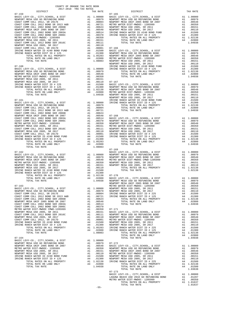| DISTRICT   | ZUI/-ZUI8 TRA TAX RATES | TAX RATE | DISTRICT       | TAX RATE |
|------------|-------------------------|----------|----------------|----------|
| $07 - 159$ |                         |          | $07 - 165$     |          |
|            |                         |          |                |          |
|            |                         |          |                |          |
|            |                         |          |                |          |
|            |                         |          |                |          |
|            |                         |          |                |          |
|            |                         |          |                |          |
|            |                         |          |                |          |
|            |                         |          |                |          |
|            |                         |          |                |          |
|            |                         |          |                |          |
|            |                         |          |                |          |
|            |                         |          |                |          |
|            |                         |          |                |          |
|            |                         |          |                |          |
|            |                         |          |                |          |
|            |                         |          |                |          |
|            |                         |          |                |          |
|            |                         |          |                |          |
|            |                         |          |                |          |
|            |                         |          |                |          |
|            |                         |          |                |          |
|            |                         |          |                |          |
|            |                         |          |                |          |
|            |                         |          |                |          |
|            |                         |          |                |          |
|            |                         |          |                |          |
|            |                         |          |                |          |
|            |                         |          |                |          |
|            |                         |          |                |          |
|            |                         |          |                |          |
|            |                         |          |                |          |
|            |                         |          |                |          |
|            |                         |          |                |          |
|            |                         |          |                |          |
|            |                         |          |                |          |
|            |                         |          |                |          |
|            |                         |          |                |          |
|            |                         |          |                |          |
|            |                         |          |                |          |
|            |                         |          |                |          |
|            |                         |          |                |          |
|            |                         |          |                |          |
|            |                         |          |                |          |
|            |                         |          |                |          |
|            |                         |          |                |          |
|            |                         |          |                |          |
|            |                         |          |                |          |
|            |                         |          |                |          |
|            |                         |          |                |          |
|            |                         |          |                |          |
|            |                         |          |                |          |
|            |                         |          |                |          |
|            |                         |          |                |          |
|            |                         |          |                |          |
|            |                         |          |                |          |
|            |                         |          |                |          |
|            |                         |          |                |          |
|            |                         |          |                |          |
|            |                         |          |                |          |
|            |                         |          |                |          |
|            |                         |          |                |          |
|            |                         |          |                |          |
|            |                         |          |                |          |
|            |                         |          |                |          |
|            |                         |          |                |          |
|            |                         |          |                |          |
|            |                         |          |                |          |
|            |                         |          |                |          |
|            |                         |          |                |          |
|            |                         |          |                |          |
|            |                         |          |                |          |
|            |                         |          |                |          |
|            |                         |          |                |          |
|            |                         |          |                |          |
|            |                         |          |                |          |
|            |                         |          |                |          |
|            |                         |          |                |          |
|            |                         |          |                |          |
|            |                         |          | TOTAL TAX RATE | 1.01637  |
|            |                         | $-55-$   |                |          |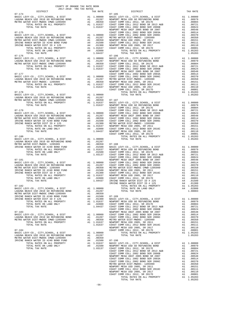| TAX RATE<br>DISTRICT |  | DISTRICT                                                                                                                                                                                                                                                                                                                                                                                                                                                     | TAX RATE |
|----------------------|--|--------------------------------------------------------------------------------------------------------------------------------------------------------------------------------------------------------------------------------------------------------------------------------------------------------------------------------------------------------------------------------------------------------------------------------------------------------------|----------|
|                      |  | $\begin{tabular}{@{}c@{}}\begin{tabular}{@{}c@{}}\begin{tabular}{@{}c@{}}\begin{tabular}{@{}c@{}}\begin{tabular}{@{}c@{}}\begin{tabular}{@{}c@{}}\begin{tabular}{@{}c@{}}\begin{tabular}{@{}c@{}}\begin{tabular}{@{}c@{}}\begin{tabular}{@{}c@{}}\begin{tabular}{@{}c@{}}\begin{tabular}{@{}c@{}}\begin{tabular}{@{}c@{}}\begin{tabular}{@{}c@{}}\begin{tabular}{@{}c@{}}\begin{tabular}{@{}c@{}}\begin{tabular}{@{}c@{}}\begin{tabular}{@{}c@{}}\begin{tab$ |          |
|                      |  |                                                                                                                                                                                                                                                                                                                                                                                                                                                              |          |
|                      |  |                                                                                                                                                                                                                                                                                                                                                                                                                                                              |          |
|                      |  |                                                                                                                                                                                                                                                                                                                                                                                                                                                              |          |
|                      |  |                                                                                                                                                                                                                                                                                                                                                                                                                                                              |          |
|                      |  |                                                                                                                                                                                                                                                                                                                                                                                                                                                              |          |
|                      |  |                                                                                                                                                                                                                                                                                                                                                                                                                                                              |          |
|                      |  |                                                                                                                                                                                                                                                                                                                                                                                                                                                              |          |
|                      |  |                                                                                                                                                                                                                                                                                                                                                                                                                                                              |          |
|                      |  |                                                                                                                                                                                                                                                                                                                                                                                                                                                              |          |
|                      |  |                                                                                                                                                                                                                                                                                                                                                                                                                                                              |          |
|                      |  |                                                                                                                                                                                                                                                                                                                                                                                                                                                              |          |
|                      |  |                                                                                                                                                                                                                                                                                                                                                                                                                                                              |          |
|                      |  |                                                                                                                                                                                                                                                                                                                                                                                                                                                              |          |
|                      |  |                                                                                                                                                                                                                                                                                                                                                                                                                                                              |          |
|                      |  |                                                                                                                                                                                                                                                                                                                                                                                                                                                              |          |
|                      |  |                                                                                                                                                                                                                                                                                                                                                                                                                                                              |          |
|                      |  |                                                                                                                                                                                                                                                                                                                                                                                                                                                              |          |
|                      |  |                                                                                                                                                                                                                                                                                                                                                                                                                                                              |          |
|                      |  |                                                                                                                                                                                                                                                                                                                                                                                                                                                              |          |
|                      |  |                                                                                                                                                                                                                                                                                                                                                                                                                                                              |          |
|                      |  |                                                                                                                                                                                                                                                                                                                                                                                                                                                              |          |
|                      |  |                                                                                                                                                                                                                                                                                                                                                                                                                                                              |          |
|                      |  |                                                                                                                                                                                                                                                                                                                                                                                                                                                              |          |
|                      |  |                                                                                                                                                                                                                                                                                                                                                                                                                                                              |          |
|                      |  |                                                                                                                                                                                                                                                                                                                                                                                                                                                              |          |
|                      |  |                                                                                                                                                                                                                                                                                                                                                                                                                                                              |          |
|                      |  |                                                                                                                                                                                                                                                                                                                                                                                                                                                              |          |
|                      |  |                                                                                                                                                                                                                                                                                                                                                                                                                                                              |          |
|                      |  |                                                                                                                                                                                                                                                                                                                                                                                                                                                              |          |
|                      |  |                                                                                                                                                                                                                                                                                                                                                                                                                                                              |          |
|                      |  |                                                                                                                                                                                                                                                                                                                                                                                                                                                              |          |
|                      |  |                                                                                                                                                                                                                                                                                                                                                                                                                                                              |          |
|                      |  |                                                                                                                                                                                                                                                                                                                                                                                                                                                              |          |
|                      |  |                                                                                                                                                                                                                                                                                                                                                                                                                                                              |          |
|                      |  |                                                                                                                                                                                                                                                                                                                                                                                                                                                              |          |
|                      |  |                                                                                                                                                                                                                                                                                                                                                                                                                                                              |          |
|                      |  |                                                                                                                                                                                                                                                                                                                                                                                                                                                              |          |
|                      |  |                                                                                                                                                                                                                                                                                                                                                                                                                                                              |          |
|                      |  |                                                                                                                                                                                                                                                                                                                                                                                                                                                              |          |
|                      |  |                                                                                                                                                                                                                                                                                                                                                                                                                                                              |          |
|                      |  |                                                                                                                                                                                                                                                                                                                                                                                                                                                              |          |
|                      |  |                                                                                                                                                                                                                                                                                                                                                                                                                                                              |          |
|                      |  |                                                                                                                                                                                                                                                                                                                                                                                                                                                              |          |
|                      |  |                                                                                                                                                                                                                                                                                                                                                                                                                                                              |          |
|                      |  |                                                                                                                                                                                                                                                                                                                                                                                                                                                              |          |
|                      |  |                                                                                                                                                                                                                                                                                                                                                                                                                                                              |          |
|                      |  |                                                                                                                                                                                                                                                                                                                                                                                                                                                              |          |
|                      |  |                                                                                                                                                                                                                                                                                                                                                                                                                                                              |          |
|                      |  |                                                                                                                                                                                                                                                                                                                                                                                                                                                              |          |
|                      |  |                                                                                                                                                                                                                                                                                                                                                                                                                                                              |          |
|                      |  |                                                                                                                                                                                                                                                                                                                                                                                                                                                              |          |
|                      |  |                                                                                                                                                                                                                                                                                                                                                                                                                                                              |          |
|                      |  |                                                                                                                                                                                                                                                                                                                                                                                                                                                              |          |
|                      |  |                                                                                                                                                                                                                                                                                                                                                                                                                                                              |          |
|                      |  |                                                                                                                                                                                                                                                                                                                                                                                                                                                              |          |
|                      |  |                                                                                                                                                                                                                                                                                                                                                                                                                                                              |          |
|                      |  |                                                                                                                                                                                                                                                                                                                                                                                                                                                              |          |
|                      |  |                                                                                                                                                                                                                                                                                                                                                                                                                                                              |          |
|                      |  |                                                                                                                                                                                                                                                                                                                                                                                                                                                              |          |
|                      |  |                                                                                                                                                                                                                                                                                                                                                                                                                                                              |          |
|                      |  |                                                                                                                                                                                                                                                                                                                                                                                                                                                              |          |
|                      |  |                                                                                                                                                                                                                                                                                                                                                                                                                                                              |          |
|                      |  |                                                                                                                                                                                                                                                                                                                                                                                                                                                              |          |
|                      |  |                                                                                                                                                                                                                                                                                                                                                                                                                                                              |          |
|                      |  |                                                                                                                                                                                                                                                                                                                                                                                                                                                              |          |
|                      |  |                                                                                                                                                                                                                                                                                                                                                                                                                                                              |          |
|                      |  |                                                                                                                                                                                                                                                                                                                                                                                                                                                              |          |
|                      |  |                                                                                                                                                                                                                                                                                                                                                                                                                                                              |          |
|                      |  |                                                                                                                                                                                                                                                                                                                                                                                                                                                              |          |
|                      |  |                                                                                                                                                                                                                                                                                                                                                                                                                                                              |          |
|                      |  |                                                                                                                                                                                                                                                                                                                                                                                                                                                              |          |
|                      |  |                                                                                                                                                                                                                                                                                                                                                                                                                                                              |          |
|                      |  |                                                                                                                                                                                                                                                                                                                                                                                                                                                              |          |
|                      |  |                                                                                                                                                                                                                                                                                                                                                                                                                                                              |          |
|                      |  |                                                                                                                                                                                                                                                                                                                                                                                                                                                              |          |
|                      |  |                                                                                                                                                                                                                                                                                                                                                                                                                                                              |          |
|                      |  |                                                                                                                                                                                                                                                                                                                                                                                                                                                              |          |
|                      |  |                                                                                                                                                                                                                                                                                                                                                                                                                                                              |          |
|                      |  |                                                                                                                                                                                                                                                                                                                                                                                                                                                              |          |
|                      |  |                                                                                                                                                                                                                                                                                                                                                                                                                                                              |          |
|                      |  |                                                                                                                                                                                                                                                                                                                                                                                                                                                              |          |
|                      |  |                                                                                                                                                                                                                                                                                                                                                                                                                                                              |          |
|                      |  |                                                                                                                                                                                                                                                                                                                                                                                                                                                              |          |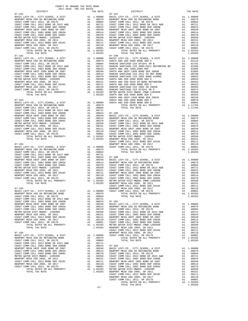| COAST COMM COLL 2012, SR 2017D        |                                                                                                                                                                                                                               | A1.00001   | COAST C        |
|---------------------------------------|-------------------------------------------------------------------------------------------------------------------------------------------------------------------------------------------------------------------------------|------------|----------------|
| TOTAL RATES ON ALL PROPERTY           |                                                                                                                                                                                                                               | A1 1.05283 | METRO W        |
| TOTAL TAX RATE                        |                                                                                                                                                                                                                               | 1.05283    | NEWPORT        |
|                                       |                                                                                                                                                                                                                               |            | COAST C        |
| $07 - 196$                            |                                                                                                                                                                                                                               |            | NEWPORT        |
| BASIC LEVY-CO., CITY, SCHOOL, & DIST  |                                                                                                                                                                                                                               | A1 1.00000 | COAST C        |
| NEWPORT MESA USD GO REFUNDING BOND    | A1 and a set of the set of the set of the set of the set of the set of the set of the set of the set of the set of the set of the set of the set of the set of the set of the set of the set of the set of the set of the set | .00979     |                |
| COAST COMM COLL 2012, SR 2017E        | A1                                                                                                                                                                                                                            | .00804     |                |
| COAST COMM COLL 2012 BOND SR 2013 A&B | A1                                                                                                                                                                                                                            | .00721     |                |
| COAST COMM COLL 2002 BOND SER 2006B   | A1                                                                                                                                                                                                                            | .00624     | $07 - 202$     |
| NEWPORT MESA UNIF 2005 BOND SR 2007   | A1                                                                                                                                                                                                                            | .00548     | <b>BASIC L</b> |
| COAST COMM COLL 2002 BOND SER 2003A   | A1                                                                                                                                                                                                                            | .00514     | NEWPORT        |
| COAST COMM COLL 2002 BOND SER 2006C   | A1                                                                                                                                                                                                                            | .00370     | COAST C        |
| METRO WATER DIST-MWDOC- 1205999       | A1                                                                                                                                                                                                                            | .00350     | COAST C        |
| NEWPORT MESA USD 2005, SR 2011        | A1                                                                                                                                                                                                                            | .00151     | COAST C        |
| COAST COMM COLL 2012 BOND SER 2016C   | A1                                                                                                                                                                                                                            | .00111     | NEWPORT        |
| NEWPORT MESA USD 2005, SR 2017        | A1                                                                                                                                                                                                                            | .00110     | COAST C        |
| COAST COMM COLL 2012, SR 2017D        |                                                                                                                                                                                                                               | A1 .00001  | COAST C        |
| TOTAL RATES ON ALL PROPERTY           | A1                                                                                                                                                                                                                            | 1.05283    | METRO W        |
| TOTAL TAX RATE                        |                                                                                                                                                                                                                               | 1.05283    | NEWPORT        |
|                                       |                                                                                                                                                                                                                               |            |                |

-57-

| DISTRICT   | 2017 2010 This This Kristo<br>TAX RATE | DISTRICT                                                                                                                                                                                                                                                                                                                                                                                                                               | TAX RATE |
|------------|----------------------------------------|----------------------------------------------------------------------------------------------------------------------------------------------------------------------------------------------------------------------------------------------------------------------------------------------------------------------------------------------------------------------------------------------------------------------------------------|----------|
| $07 - 191$ |                                        | $07 - 197$                                                                                                                                                                                                                                                                                                                                                                                                                             |          |
|            |                                        |                                                                                                                                                                                                                                                                                                                                                                                                                                        |          |
|            |                                        |                                                                                                                                                                                                                                                                                                                                                                                                                                        |          |
|            |                                        |                                                                                                                                                                                                                                                                                                                                                                                                                                        |          |
|            |                                        |                                                                                                                                                                                                                                                                                                                                                                                                                                        |          |
|            |                                        |                                                                                                                                                                                                                                                                                                                                                                                                                                        |          |
|            |                                        |                                                                                                                                                                                                                                                                                                                                                                                                                                        |          |
|            |                                        |                                                                                                                                                                                                                                                                                                                                                                                                                                        |          |
|            |                                        |                                                                                                                                                                                                                                                                                                                                                                                                                                        |          |
|            |                                        |                                                                                                                                                                                                                                                                                                                                                                                                                                        |          |
|            |                                        |                                                                                                                                                                                                                                                                                                                                                                                                                                        |          |
|            |                                        |                                                                                                                                                                                                                                                                                                                                                                                                                                        |          |
|            |                                        |                                                                                                                                                                                                                                                                                                                                                                                                                                        |          |
|            |                                        |                                                                                                                                                                                                                                                                                                                                                                                                                                        |          |
|            |                                        |                                                                                                                                                                                                                                                                                                                                                                                                                                        |          |
|            |                                        |                                                                                                                                                                                                                                                                                                                                                                                                                                        |          |
|            |                                        |                                                                                                                                                                                                                                                                                                                                                                                                                                        |          |
|            |                                        |                                                                                                                                                                                                                                                                                                                                                                                                                                        |          |
|            |                                        |                                                                                                                                                                                                                                                                                                                                                                                                                                        |          |
|            |                                        |                                                                                                                                                                                                                                                                                                                                                                                                                                        |          |
|            |                                        |                                                                                                                                                                                                                                                                                                                                                                                                                                        |          |
|            |                                        |                                                                                                                                                                                                                                                                                                                                                                                                                                        |          |
|            |                                        |                                                                                                                                                                                                                                                                                                                                                                                                                                        |          |
|            |                                        |                                                                                                                                                                                                                                                                                                                                                                                                                                        |          |
|            |                                        |                                                                                                                                                                                                                                                                                                                                                                                                                                        |          |
|            |                                        |                                                                                                                                                                                                                                                                                                                                                                                                                                        |          |
|            |                                        |                                                                                                                                                                                                                                                                                                                                                                                                                                        |          |
|            |                                        |                                                                                                                                                                                                                                                                                                                                                                                                                                        |          |
|            |                                        |                                                                                                                                                                                                                                                                                                                                                                                                                                        |          |
|            |                                        |                                                                                                                                                                                                                                                                                                                                                                                                                                        |          |
|            |                                        |                                                                                                                                                                                                                                                                                                                                                                                                                                        |          |
|            |                                        |                                                                                                                                                                                                                                                                                                                                                                                                                                        |          |
|            |                                        |                                                                                                                                                                                                                                                                                                                                                                                                                                        |          |
|            |                                        |                                                                                                                                                                                                                                                                                                                                                                                                                                        |          |
|            |                                        |                                                                                                                                                                                                                                                                                                                                                                                                                                        |          |
|            |                                        |                                                                                                                                                                                                                                                                                                                                                                                                                                        |          |
|            |                                        |                                                                                                                                                                                                                                                                                                                                                                                                                                        |          |
|            |                                        |                                                                                                                                                                                                                                                                                                                                                                                                                                        |          |
|            |                                        | $\begin{smallmatrix} \text{1--12}\\ \text{1--23}\\ \text{1--31}\\ \text{1--12}\\ \text{2--12}\\ \text{2--12}\\ \text{2--12}\\ \text{2--12}\\ \text{2--12}\\ \text{2--12}\\ \text{2--12}\\ \text{2--12}\\ \text{2--12}\\ \text{2--12}\\ \text{2--12}\\ \text{2--12}\\ \text{2--12}\\ \text{2--12}\\ \text{2--12}\\ \text{2--12}\\ \text{2--12}\\ \text{2--12}\\ \text{2--12}\\ \text{2--12}\\ \text{2--12}\\ \text{2--12}\\ \text{2--1$ |          |
|            |                                        |                                                                                                                                                                                                                                                                                                                                                                                                                                        |          |
|            |                                        |                                                                                                                                                                                                                                                                                                                                                                                                                                        |          |
|            |                                        |                                                                                                                                                                                                                                                                                                                                                                                                                                        |          |
|            |                                        |                                                                                                                                                                                                                                                                                                                                                                                                                                        |          |
|            |                                        |                                                                                                                                                                                                                                                                                                                                                                                                                                        |          |
|            |                                        |                                                                                                                                                                                                                                                                                                                                                                                                                                        |          |
|            |                                        |                                                                                                                                                                                                                                                                                                                                                                                                                                        |          |
|            |                                        |                                                                                                                                                                                                                                                                                                                                                                                                                                        |          |
|            |                                        |                                                                                                                                                                                                                                                                                                                                                                                                                                        |          |
|            |                                        |                                                                                                                                                                                                                                                                                                                                                                                                                                        |          |
|            |                                        |                                                                                                                                                                                                                                                                                                                                                                                                                                        |          |
|            |                                        |                                                                                                                                                                                                                                                                                                                                                                                                                                        |          |
|            |                                        |                                                                                                                                                                                                                                                                                                                                                                                                                                        |          |
|            |                                        |                                                                                                                                                                                                                                                                                                                                                                                                                                        |          |
|            |                                        |                                                                                                                                                                                                                                                                                                                                                                                                                                        |          |
|            |                                        |                                                                                                                                                                                                                                                                                                                                                                                                                                        |          |
|            |                                        |                                                                                                                                                                                                                                                                                                                                                                                                                                        |          |
|            |                                        |                                                                                                                                                                                                                                                                                                                                                                                                                                        |          |
|            |                                        |                                                                                                                                                                                                                                                                                                                                                                                                                                        |          |
|            |                                        |                                                                                                                                                                                                                                                                                                                                                                                                                                        |          |
|            |                                        |                                                                                                                                                                                                                                                                                                                                                                                                                                        |          |
|            |                                        |                                                                                                                                                                                                                                                                                                                                                                                                                                        |          |
|            |                                        |                                                                                                                                                                                                                                                                                                                                                                                                                                        |          |
|            |                                        |                                                                                                                                                                                                                                                                                                                                                                                                                                        |          |
|            |                                        |                                                                                                                                                                                                                                                                                                                                                                                                                                        |          |
|            |                                        |                                                                                                                                                                                                                                                                                                                                                                                                                                        |          |
|            |                                        |                                                                                                                                                                                                                                                                                                                                                                                                                                        |          |
|            |                                        |                                                                                                                                                                                                                                                                                                                                                                                                                                        |          |
|            |                                        |                                                                                                                                                                                                                                                                                                                                                                                                                                        |          |
|            |                                        |                                                                                                                                                                                                                                                                                                                                                                                                                                        |          |
|            |                                        |                                                                                                                                                                                                                                                                                                                                                                                                                                        |          |
|            |                                        |                                                                                                                                                                                                                                                                                                                                                                                                                                        |          |
|            |                                        |                                                                                                                                                                                                                                                                                                                                                                                                                                        |          |
|            |                                        |                                                                                                                                                                                                                                                                                                                                                                                                                                        |          |
|            |                                        |                                                                                                                                                                                                                                                                                                                                                                                                                                        |          |
|            |                                        |                                                                                                                                                                                                                                                                                                                                                                                                                                        |          |
|            |                                        |                                                                                                                                                                                                                                                                                                                                                                                                                                        |          |
|            |                                        |                                                                                                                                                                                                                                                                                                                                                                                                                                        |          |
|            |                                        |                                                                                                                                                                                                                                                                                                                                                                                                                                        |          |
|            |                                        |                                                                                                                                                                                                                                                                                                                                                                                                                                        |          |
|            |                                        |                                                                                                                                                                                                                                                                                                                                                                                                                                        |          |
|            |                                        |                                                                                                                                                                                                                                                                                                                                                                                                                                        |          |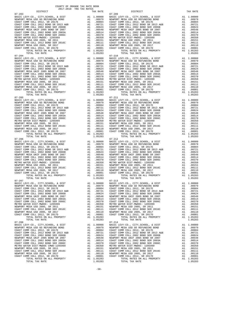07-205 07-211 TOTAL TAX RATE  $07-207$   $07-213$ MASIC LEVY-CO., CITY, SCHOOL, & DIST A1 1.00000<br>
NEWPORT MESA USD GO REFUNDING BOND A1 .00979<br>
COAST COMM COLL 2012 BOND SR 2017E A1 .00904<br>
COAST COMM COLL 2012 BOND SR 2013 A&B A1 .00721 07-208<br>BASIC LEVY-CO., CITY, SCHOOL, & DIST  $\qquad \qquad$ Al 1.00000

 DISTRICT TAX RATE DISTRICT TAX RATE 07-203 07-209 BASIC LEVY-CO., CITY,SCHOOL, & DIST A1 1.00000 BASIC LEVY-CO., CITY,SCHOOL, & DIST A1 1.00000 NEWPORT MESA USD GO REFUNDING BOND A1 .00979 NEWPORT MESA USD GO REFUNDING BOND A1 .00979 COAST COMM COLL 2012, SR 2017E A1 .00804 COAST COMM COLL 2012, SR 2017E A1 .00804 COAST COMM COLL 2012 BOND SR 2013 A&B A1 .00721 COAST COMM COLL 2012 BOND SR 2013 A&B A1 .00721 COAST COMM COLL 2002 BOND SER 2006B A1 .00624 COAST COMM COLL 2002 BOND SER 2006B A1 .00624 NEWPORT MESA UNIF 2005 BOND SR 2007 A1 .00548 NEWPORT MESA UNIF 2005 BOND SR 2007 A1 .00548 COAST COMM COLL 2002 BOND SER 2003A A1 .00514 COAST COMM COLL 2002 BOND SER 2003A A1 .00514 COAST COMM COLL 2002 BOND SER 2006C A1 .00370 COAST COMM COLL 2002 BOND SER 2006C A1 .00370 METRO WATER DIST-MWDOC- 1205999 A1 .00350 METRO WATER DIST-MWDOC- 1205999 A1 .00350 NEWPORT MESA USD 2005, SR 2011 A1 .00151 NEWPORT MESA USD 2005, SR 2011 A1 .00151 COAST COMM COLL 2012 BOND SER 2016C A1 .00111 COAST COMM COLL 2012 BOND SER 2016C A1 .00111 NEWPORT MESA USD 2005, SR 2017 A1 .00110 NEWPORT MESA USD 2005, SR 2017 A1 .00110 COAST COMM COLL 2012, SR 2017D A1 .00001 COAST COMM COLL 2012, SR 2017D A1 .00001 TOTAL RATES ON ALL PROPERTY A1 1.05283 TOTAL RATES ON ALL PROPERTY A1 1.05283 TOTAL TAX RATE 1.05283 TOTAL TAX RATE 1.05283 07-204 07-210 BASIC LEVY-CO., CITY,SCHOOL, & DIST A1 1.00000 BASIC LEVY-CO., CITY,SCHOOL, & DIST A1 1.00000 NEWPORT MESAUSD GO REFUNDING BOND (10979 A1 00979 NEWPORT MESAUSD GO REFUNDING BOND A1 00979<br>COAST COMM COLL 2012, SR 2017E (2013 A&B (1008) A1 008904 COAST COMM COLL 2012, SR 2017E (2018 POAST COMM COLL<br>COAST COMM COLL 20 1 16 NEWPORT MESA UNIF 2005 BOND SR 2007 A1 .00548 NEWPORT MESA UNIF 2005 BOND SR 2007 A1<br>COAST COMM COLL 2002 BOND SER 2003A A1 .00514 COAST COMM COLL 2002 BOND SER 2003A A1 .00514  $\begin{tabular}{l|c|c|c|c|c} \multicolumn{4}{c}{CGAST COMOCLL 2002 BOND SER 2006C} & \multicolumn{4}{c}{A1} & .00370 & COSST COMOCLL 2002 BOND SER 2006C & A1 & .00370 \\ \multicolumn{4}{c}{METRO WATER DIST-MHDOC-1205999}} & A1 & .00370 & COSST COMM COLL 2002 BOND SER 2016C & A1 & .00350 \\ \multicolumn{4}{c}{NETRO WATER DIST-MHDOC-L 2012 BOND SER 2016C} & A1 & .00$  $\begin{tabular}{lcccc} BASIC LEVY-CO., CITY, SCHOOL, & DIST & A1 & 1.00000 & BASIC LEVY-CO., CITY, SCHOOL, & DIST & A1 & 1.00000 \\ NEWOPORT MESA USODE FUNDING DAND & A1 & .00979 & NEWDORT MESA USO OF SEFUNDING BOND & A1 & .00979 & A1 & .00979 & A1 & .00979 & A1 & .00979 & .0087 & .0087 & .0087 & .0087 & .0087 & .0087 & .0087 & .0087 & .0087 & .0087 & .0087 & .00$ 1 16 NEWPORT MESA UNIF 2005 BOND SR 2007 A1 .00548 NEWPORT MESA UNIF 2005 BOND SR 2007 A1<br>COAST COMM COLL 2002 BOND SER 2003A A1 .00514 COAST COMM COLL 2002 BOND SER 2003A A1 .00514  $\begin{tabular}{l|c|c|c|c|c|c} \hline \texttt{COAST COM OCL} & 2012 & 500E & 2010E & 2010E & 2010E & 2010E & 2010E & 2010E & 2010E & 2010E & 2010E & 2010E & 2010E & 2010E & 2010E & 2010E & 2010E & 2010E & 2010E & 2010E & 2010E & 2010E & 2010E & 2010E & 2010E & 2010E & 2010E$  $(07-206$  TOTAL TAX RATE  $(07-206$ <br>
BASIC LEVY-CO., CITY, SCHOOL, & DIST  $(07-212$ <br>
DASIC LEVY-CO., CITY, SCHOOL, & DIST  $(07-212)$ <br>
DASIC LEVY-CO., CITY, SCHOOL, & DIST NEWPORT MESA USD BASIC LEVY-CO., CITY, SCHOOL, & DI BASIC LEVY-CO., CITY,SCHOOL, & DIST A1 1.00000 BASIC LEVY-CO., CITY,SCHOOL, & DIST A1 1.00000 10979 NEWPORT MESA USD GO REFUNDING BOND MENDORT MESA USD GO REFUNDING BOND AL<br>COAST COMM COLL 2012, SR 2017E 2017 (2004) 2012 A1 (2004) COAST COAST COMM COLL 2012 DAGO4 COLL 2012 A1<br>COAST COMM COLL 2012 BOND SR 2013 A&B A COAST COMM COLL 2002 BOND SER 2006B<br>COAST COMM COLL 2002 BOND SER 2006B A1 .00624 COAST COMM COLL 2002 BOND SER 2006B<br>COAST COMM COLL 2002 BOND SER 2003A A1 .00514 COAST COMM COLL 2002 BOND SER 2003A A1 .00514 1 16 NEWPORT MESA UNIF 2005 BOND SR 2007 A1 .00548 NEWPORT MESA UNIF 2005 BOND SR 2007 A1<br>COAST COMM COLL 2002 BOND SER 2003A A1 .00514 COAST COMM COLL 2002 BOND SER 2003A A1 .00514 COAST COMM COLL 2002 BOND SER 2006C A1 .00370 COAST COMM COLL 2002 BOND SER 2006C A1 .00370 METRO WATER DIST-MWDOC- 1205999 A1 .00350 METRO WATER DIST-MWDOC- 1205999 A1 .00350 NEWPORT MESA USD 2005, SR 2011 A1 .00151 NEWPORT MESA USD 2005, SR 2011 A1 .00151 COAST COMM COLL 2012 BOND SER 2016C A1 .00111 COAST COMM COLL 2012 BOND SER 2016C A1 .00111 NEWPORT MESA USD 2005, SR 2017<br>COAST COMM COLL 2012, SR 2017D A1 .00001 COAST COMM COLL 2012, SR 2017D A1 .00001 TOTAL RATES ON AUCHORIZATION AT 1.05283 TOTAL RATES ON ALL PROPERTY A1 1.05283<br>TOTAL RATES ON ALL PROPERTY A1 1.05283 TOTAL RATES ON ALL PROPERTY A1 1.05283<br>TOTAL TAX RATE 1.05283 BASIC LEVY-CO., CITY,SCHOOL, & DIST A1 1.00000 BASIC LEVY-CO., CITY,SCHOOL, & DIST A1 1.00000 NEWPORT MESA USD GO REFUNDING BOND A1 .00979 NEWPORT MESA USD GO REFUNDING BOND A1 .00979 COAST COMM COLL 2012, SR 2017E A1 .00804 COAST COMM COLL 2012, SR 2017E A1 .00804 COAST COMM COLL 2012 BOND SR 2013 A&B CORST COMM COLL 2012 BOND SR 2017<br>
COAST COMM COLL 2012 BOND SR 2013 A&B A1 .00721 COAST COMM COLL 2012 BOND SR 2014 COAST COMM COLL 2012 BOND SR 2013 A&B COAST COMM COLL 2012 BOND SR COAST COMM COLL 2002 BOND SER 2006B A1 .00624 COAST COMM COLL 2002 BOND SER 2006B A1 .00624 NEWPORT MESA UNIF 2005 BOND SR 2007 A1 .00548 NEWPORT MESA UNIF 2005 BOND SR 2007 A1 .00548 COAST COMM COLL 2002 BOND SER 2003A A1 .00514 COAST COMM COLL 2002 BOND SER 2003A A1 .00514<br>COAST COMM COLL 2002 BOND SER 2006C A1 .00370 COAST COMM COLL 2002 BOND SER 2006C A1 .00370 A1 .00370 COAST COMM COLL 2002 BOND SER 2006C A1 .00370 COAST COMM COLL 2002 BOND SER 2006C A1 .00370<br>A1 .00151 NEWPORT MESA USD 2005, SR 2011 A1 .00151 NEWPORT MESA USD 2005, SR 2011<br>A1 .00111 COAST COMM COLL 2012 BOND SE METRO WATER DIST-MWDOC- 1205999 A1 (00350 METRO WATER DIST-MWDOC- 1205999 A1 (00350 A1 (00350 METRO WATER DIST<br>NEWPORT MESA USD 2005, SR 20161 A1 (00151 NEWPORT MESA USD 2005, SR 2011 A1 (00151 A1 (00151 A1 (00151<br>COAST CO 00110 NEWPORT MESAUSD 2005, SR 2017 (10110 A1 .00110 NEWPORT MESAUSD 2005, SR 2017 (10110<br>COAST COMM COLL 2012, SR 2017 (20001 COAST COMM COLL 2012, SR 2017D A1 .00001<br>A1 1.05283 TOTAL ARTES ON ALL PROPERTY (105283 TOTAL R TOTAL TAX RATE 1.05283 TOTAL TAX RATE 1.05283 BASIC LEVY-CO., CITY,SCHOOL, & DIST A1 1.00000 BASIC LEVY-CO., CITY,SCHOOL, & DIST A1 1.00000 100979 NEWPORT MESA USD GO REFUNDING BOND MENDORT MESA USD GO REFUNDING BOND AL<br>COAST COMM COLL 2012, SR 2017E 20081 (2008) 11 00804 COAST COMM COLL 2012 (SR 2017E 2010 AN COLL 2012 600804<br>COAST COMM COLL 2012 BOND SR 2013 COAST COMM COLL 2002 BOND SER 2006B A1 .00624 COAST COMM COLL 2002 BOND SER 2006B A1 .00624 NEWPORT MESA UNIF 2005 BOND SR 2007 A1 .00548 NEWPORT MESA UNIF 2005 BOND SR 2007 A1 .00548 00AST COMM COLL 2002 BOND SER 2003A A1 .00514 COAST COMM COLL 2002 BOND SER 2003A A1 .00514<br>COAST COMM COLL 2002 BOND SER 2006C A1 .00370 COAST COMM COLL 2002 BOND SER 2006C A1 .00370 METRO WATER DIST-MWDOC CMWD-1205999 A1 .00350 METRO WATER DIST-MWDOC- 1205999 A1 .00350 NEWPORT MESA USD 2005, SR 2011 A1 .00151 NEWPORT MESA USD 2005, SR 2011 A1 .00151 COAST COMM COLL 2012 BOND SER 2016C A1 .00111 COAST COMM COLL 2012 BOND SER 2016C A1 .00111<br>
NEWPORT MESA USD 2005, SR 20170 A1 .00110 NEWPORT MESA USD 2005, SR 2017<br>
COAST COMM COLL 2012, SR 2017D A1 .00001 COAST COMM COL NEWPORT MESA USD 2005, SR 2017 A1 .00110 NEWPORT MESA USD 2005, SR 2017 A1 .00110 COAST COMM COLL 2012, SR 2017D A1 .00001 COAST COMM COLL 2012, SR 2017D A1 .00001 TOTAL RATES ON ALL PROPERTY A1 1.05283 TOTAL RATES ON ALL PROPERTY A1 1.05283 TOTAL TAX RATE 1.05283 TOTAL TAX RATE 1.05283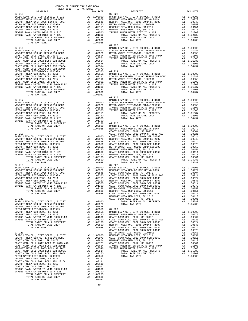| DISTRICT   | 2017-2018 TRA TAX RATES<br>TAX RATE | DISTRICT                                                                                                                                                                                                                      | TAX RATE |
|------------|-------------------------------------|-------------------------------------------------------------------------------------------------------------------------------------------------------------------------------------------------------------------------------|----------|
| $07 - 215$ |                                     | $07 - 222$                                                                                                                                                                                                                    |          |
|            |                                     |                                                                                                                                                                                                                               |          |
|            |                                     |                                                                                                                                                                                                                               |          |
|            |                                     |                                                                                                                                                                                                                               |          |
|            |                                     |                                                                                                                                                                                                                               |          |
|            |                                     |                                                                                                                                                                                                                               |          |
|            |                                     |                                                                                                                                                                                                                               |          |
|            |                                     |                                                                                                                                                                                                                               |          |
|            |                                     |                                                                                                                                                                                                                               |          |
|            |                                     |                                                                                                                                                                                                                               |          |
|            |                                     |                                                                                                                                                                                                                               |          |
|            |                                     |                                                                                                                                                                                                                               |          |
|            |                                     |                                                                                                                                                                                                                               |          |
|            |                                     |                                                                                                                                                                                                                               |          |
|            |                                     |                                                                                                                                                                                                                               |          |
|            |                                     |                                                                                                                                                                                                                               |          |
|            |                                     |                                                                                                                                                                                                                               |          |
|            |                                     |                                                                                                                                                                                                                               |          |
|            |                                     |                                                                                                                                                                                                                               |          |
|            |                                     |                                                                                                                                                                                                                               |          |
|            |                                     |                                                                                                                                                                                                                               |          |
|            |                                     |                                                                                                                                                                                                                               |          |
|            |                                     |                                                                                                                                                                                                                               |          |
|            |                                     | $07 - 225$                                                                                                                                                                                                                    |          |
|            |                                     |                                                                                                                                                                                                                               |          |
|            |                                     |                                                                                                                                                                                                                               |          |
|            |                                     |                                                                                                                                                                                                                               |          |
|            |                                     |                                                                                                                                                                                                                               |          |
|            |                                     |                                                                                                                                                                                                                               |          |
|            |                                     |                                                                                                                                                                                                                               |          |
|            |                                     |                                                                                                                                                                                                                               |          |
|            |                                     |                                                                                                                                                                                                                               |          |
|            |                                     |                                                                                                                                                                                                                               |          |
|            |                                     |                                                                                                                                                                                                                               |          |
|            |                                     |                                                                                                                                                                                                                               |          |
|            |                                     |                                                                                                                                                                                                                               |          |
|            |                                     |                                                                                                                                                                                                                               |          |
|            |                                     |                                                                                                                                                                                                                               |          |
|            |                                     |                                                                                                                                                                                                                               |          |
|            |                                     |                                                                                                                                                                                                                               |          |
|            |                                     |                                                                                                                                                                                                                               |          |
| $07 - 219$ |                                     | $07 - 227$                                                                                                                                                                                                                    |          |
|            |                                     |                                                                                                                                                                                                                               |          |
|            |                                     |                                                                                                                                                                                                                               |          |
|            |                                     |                                                                                                                                                                                                                               |          |
|            |                                     |                                                                                                                                                                                                                               |          |
|            |                                     |                                                                                                                                                                                                                               |          |
|            |                                     |                                                                                                                                                                                                                               |          |
|            |                                     |                                                                                                                                                                                                                               |          |
|            |                                     |                                                                                                                                                                                                                               |          |
|            |                                     |                                                                                                                                                                                                                               |          |
|            |                                     | TRUITER PARCH MATER DYST TOTAL FAT RESERVE TO MATER DESCRIPTION (2001) 1970-2012 (1970-2012) (1970-2012) (1970-2012) (1970-2012) (1970-2012) (1970-2012) (1970-2012) (1970-2012) (1970-2012) (1970-2012) (1970-2012) (1970-20 |          |
|            |                                     |                                                                                                                                                                                                                               |          |
|            |                                     |                                                                                                                                                                                                                               |          |
|            |                                     |                                                                                                                                                                                                                               |          |
|            |                                     |                                                                                                                                                                                                                               |          |
|            |                                     |                                                                                                                                                                                                                               |          |
|            |                                     |                                                                                                                                                                                                                               |          |
|            |                                     |                                                                                                                                                                                                                               |          |
|            |                                     |                                                                                                                                                                                                                               |          |
|            |                                     |                                                                                                                                                                                                                               |          |
|            |                                     |                                                                                                                                                                                                                               |          |
|            |                                     |                                                                                                                                                                                                                               |          |
|            |                                     |                                                                                                                                                                                                                               |          |
|            |                                     |                                                                                                                                                                                                                               |          |
|            |                                     |                                                                                                                                                                                                                               |          |
|            |                                     |                                                                                                                                                                                                                               |          |
|            |                                     |                                                                                                                                                                                                                               |          |
|            |                                     |                                                                                                                                                                                                                               |          |
|            |                                     |                                                                                                                                                                                                                               |          |
|            |                                     |                                                                                                                                                                                                                               |          |
|            |                                     |                                                                                                                                                                                                                               |          |
|            |                                     |                                                                                                                                                                                                                               |          |
|            |                                     |                                                                                                                                                                                                                               |          |
|            |                                     |                                                                                                                                                                                                                               |          |

COUNTY OF ORANGE TAX RATE BOOK

-59-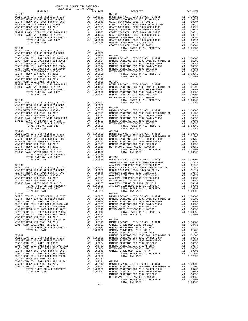| COUNTY OF ORANGE TAX RATE BOOK<br>2017-2018 TRA TAX RATES      |          |                                                                                                                                                                                                                                                |          |
|----------------------------------------------------------------|----------|------------------------------------------------------------------------------------------------------------------------------------------------------------------------------------------------------------------------------------------------|----------|
| $2017-2018 \quad \text{TRA RATE B}$ DISTRICT $$\tt 2017-2018$$ | TAX RATE | DISTRICT<br>07-241 correction and 2017-313 TRA 78.7472<br>However, current and Allien and 2017-313 TRA 78.7472<br>However, current and and 2013 transmission and 2013 transmission and 2013 and 2013 and 2013 and 2014<br>However, current and | TAX RATE |
|                                                                |          | $07 - 903$                                                                                                                                                                                                                                     |          |
|                                                                |          |                                                                                                                                                                                                                                                |          |
|                                                                |          |                                                                                                                                                                                                                                                |          |
|                                                                |          |                                                                                                                                                                                                                                                |          |
|                                                                |          |                                                                                                                                                                                                                                                |          |
|                                                                |          |                                                                                                                                                                                                                                                |          |
|                                                                |          |                                                                                                                                                                                                                                                |          |
|                                                                |          |                                                                                                                                                                                                                                                |          |
|                                                                |          |                                                                                                                                                                                                                                                |          |
|                                                                |          |                                                                                                                                                                                                                                                |          |
|                                                                |          |                                                                                                                                                                                                                                                |          |
|                                                                |          |                                                                                                                                                                                                                                                |          |
|                                                                |          |                                                                                                                                                                                                                                                |          |
|                                                                |          |                                                                                                                                                                                                                                                |          |
|                                                                |          |                                                                                                                                                                                                                                                |          |
|                                                                |          |                                                                                                                                                                                                                                                |          |
|                                                                |          |                                                                                                                                                                                                                                                |          |
|                                                                |          |                                                                                                                                                                                                                                                |          |
|                                                                |          |                                                                                                                                                                                                                                                |          |
|                                                                |          |                                                                                                                                                                                                                                                |          |
|                                                                |          |                                                                                                                                                                                                                                                |          |
|                                                                |          |                                                                                                                                                                                                                                                |          |
|                                                                |          |                                                                                                                                                                                                                                                |          |
|                                                                |          |                                                                                                                                                                                                                                                |          |
|                                                                |          |                                                                                                                                                                                                                                                |          |
|                                                                |          |                                                                                                                                                                                                                                                |          |
|                                                                |          |                                                                                                                                                                                                                                                |          |
|                                                                |          |                                                                                                                                                                                                                                                |          |
|                                                                |          |                                                                                                                                                                                                                                                |          |
|                                                                |          |                                                                                                                                                                                                                                                |          |
|                                                                |          |                                                                                                                                                                                                                                                |          |
|                                                                |          |                                                                                                                                                                                                                                                |          |
|                                                                |          |                                                                                                                                                                                                                                                |          |
|                                                                |          |                                                                                                                                                                                                                                                |          |
|                                                                |          |                                                                                                                                                                                                                                                |          |
| $07 - 233$                                                     |          | $08 - 004$                                                                                                                                                                                                                                     |          |
|                                                                |          |                                                                                                                                                                                                                                                |          |
|                                                                |          |                                                                                                                                                                                                                                                |          |
|                                                                |          |                                                                                                                                                                                                                                                |          |
|                                                                |          |                                                                                                                                                                                                                                                |          |
|                                                                |          |                                                                                                                                                                                                                                                |          |
|                                                                |          |                                                                                                                                                                                                                                                |          |
|                                                                |          |                                                                                                                                                                                                                                                |          |
|                                                                |          |                                                                                                                                                                                                                                                |          |
|                                                                |          |                                                                                                                                                                                                                                                |          |
|                                                                |          |                                                                                                                                                                                                                                                |          |
|                                                                |          |                                                                                                                                                                                                                                                |          |
|                                                                |          |                                                                                                                                                                                                                                                |          |
|                                                                |          |                                                                                                                                                                                                                                                |          |
|                                                                |          |                                                                                                                                                                                                                                                |          |
|                                                                |          |                                                                                                                                                                                                                                                |          |
|                                                                |          |                                                                                                                                                                                                                                                |          |
|                                                                |          |                                                                                                                                                                                                                                                |          |
|                                                                |          | TOTAL RATE ON LAND ONLY 201300 ANALLEM ELECTRIC AT 1.02130 ANALLEM ELECTRIC AT 201300 TOTAL RATE AT 201300 TOTAL RATES ON ALL PROPERTY A1 1.09990 1.03438 (1.09990 1.09990 1.09990 1.09990 1.09990 1.09990 1.09990 1.09990 1.0                 |          |
|                                                                |          |                                                                                                                                                                                                                                                |          |
|                                                                |          |                                                                                                                                                                                                                                                |          |
|                                                                |          |                                                                                                                                                                                                                                                |          |
|                                                                |          |                                                                                                                                                                                                                                                |          |
|                                                                |          |                                                                                                                                                                                                                                                |          |
|                                                                |          |                                                                                                                                                                                                                                                |          |
|                                                                |          |                                                                                                                                                                                                                                                |          |
|                                                                |          |                                                                                                                                                                                                                                                |          |
|                                                                |          |                                                                                                                                                                                                                                                |          |
|                                                                |          |                                                                                                                                                                                                                                                |          |
|                                                                |          |                                                                                                                                                                                                                                                |          |
|                                                                |          |                                                                                                                                                                                                                                                |          |
|                                                                |          |                                                                                                                                                                                                                                                |          |
|                                                                |          |                                                                                                                                                                                                                                                |          |
|                                                                |          |                                                                                                                                                                                                                                                |          |
|                                                                |          |                                                                                                                                                                                                                                                |          |
|                                                                |          |                                                                                                                                                                                                                                                |          |
|                                                                |          |                                                                                                                                                                                                                                                |          |
|                                                                |          |                                                                                                                                                                                                                                                |          |
|                                                                |          |                                                                                                                                                                                                                                                |          |
|                                                                |          |                                                                                                                                                                                                                                                |          |
|                                                                |          |                                                                                                                                                                                                                                                |          |
|                                                                |          |                                                                                                                                                                                                                                                |          |
|                                                                |          |                                                                                                                                                                                                                                                |          |
|                                                                |          |                                                                                                                                                                                                                                                |          |
|                                                                |          |                                                                                                                                                                                                                                                |          |
|                                                                |          |                                                                                                                                                                                                                                                |          |
|                                                                |          |                                                                                                                                                                                                                                                |          |
|                                                                |          |                                                                                                                                                                                                                                                |          |
|                                                                |          |                                                                                                                                                                                                                                                |          |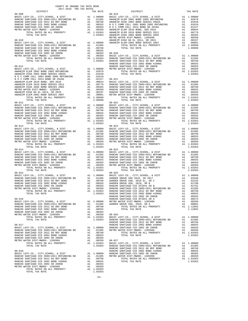| DISTRICT   | TAX RATE | DISTRICT                                                                                                                                                                                                                      | TAX RATE |
|------------|----------|-------------------------------------------------------------------------------------------------------------------------------------------------------------------------------------------------------------------------------|----------|
|            |          |                                                                                                                                                                                                                               |          |
|            |          |                                                                                                                                                                                                                               |          |
|            |          |                                                                                                                                                                                                                               |          |
|            |          |                                                                                                                                                                                                                               |          |
|            |          |                                                                                                                                                                                                                               |          |
|            |          |                                                                                                                                                                                                                               |          |
|            |          |                                                                                                                                                                                                                               |          |
|            |          |                                                                                                                                                                                                                               |          |
|            |          |                                                                                                                                                                                                                               |          |
|            |          |                                                                                                                                                                                                                               |          |
|            |          |                                                                                                                                                                                                                               |          |
|            |          |                                                                                                                                                                                                                               |          |
|            |          |                                                                                                                                                                                                                               |          |
|            |          |                                                                                                                                                                                                                               |          |
|            |          |                                                                                                                                                                                                                               |          |
|            |          |                                                                                                                                                                                                                               |          |
|            |          |                                                                                                                                                                                                                               |          |
|            |          |                                                                                                                                                                                                                               |          |
|            |          |                                                                                                                                                                                                                               |          |
|            |          |                                                                                                                                                                                                                               |          |
|            |          |                                                                                                                                                                                                                               |          |
|            |          |                                                                                                                                                                                                                               |          |
|            |          |                                                                                                                                                                                                                               |          |
|            |          |                                                                                                                                                                                                                               |          |
|            |          |                                                                                                                                                                                                                               |          |
|            |          |                                                                                                                                                                                                                               |          |
|            |          |                                                                                                                                                                                                                               |          |
|            |          |                                                                                                                                                                                                                               |          |
|            |          |                                                                                                                                                                                                                               |          |
|            |          | 14.000 MATHEIR CORP. 1977 1970 11 12.000 MATHEIR CORP. 4 1722 11 12.000 MATHEIR CORP. 4 12.000 MATHEIR CORP. 2013 12.000 MATHEIR CORP. 2013 12.000 MATHEIR CORP. 2013 12.000 MATHEIR CORP. 2013 12.000 MATHEIR CORP. 2013 12. |          |
|            |          |                                                                                                                                                                                                                               |          |
|            |          |                                                                                                                                                                                                                               |          |
|            |          |                                                                                                                                                                                                                               |          |
|            |          |                                                                                                                                                                                                                               |          |
|            |          |                                                                                                                                                                                                                               |          |
|            |          |                                                                                                                                                                                                                               |          |
|            |          |                                                                                                                                                                                                                               |          |
|            |          |                                                                                                                                                                                                                               |          |
|            |          |                                                                                                                                                                                                                               |          |
|            |          |                                                                                                                                                                                                                               |          |
|            |          |                                                                                                                                                                                                                               |          |
|            |          |                                                                                                                                                                                                                               |          |
|            |          |                                                                                                                                                                                                                               |          |
|            |          |                                                                                                                                                                                                                               |          |
|            |          |                                                                                                                                                                                                                               |          |
|            |          |                                                                                                                                                                                                                               |          |
|            |          |                                                                                                                                                                                                                               |          |
|            |          |                                                                                                                                                                                                                               |          |
|            |          |                                                                                                                                                                                                                               |          |
|            |          |                                                                                                                                                                                                                               |          |
|            |          |                                                                                                                                                                                                                               |          |
|            |          |                                                                                                                                                                                                                               |          |
|            |          |                                                                                                                                                                                                                               |          |
|            |          |                                                                                                                                                                                                                               |          |
|            |          |                                                                                                                                                                                                                               |          |
| $08 - 015$ |          | $08 - 025$                                                                                                                                                                                                                    |          |
|            |          |                                                                                                                                                                                                                               |          |
|            |          |                                                                                                                                                                                                                               |          |
|            |          |                                                                                                                                                                                                                               |          |
|            |          |                                                                                                                                                                                                                               |          |
|            |          |                                                                                                                                                                                                                               |          |
|            |          |                                                                                                                                                                                                                               |          |
|            |          |                                                                                                                                                                                                                               |          |
|            |          |                                                                                                                                                                                                                               |          |
|            |          |                                                                                                                                                                                                                               |          |
|            |          |                                                                                                                                                                                                                               |          |
|            |          |                                                                                                                                                                                                                               |          |
|            |          |                                                                                                                                                                                                                               |          |
|            |          |                                                                                                                                                                                                                               |          |
|            |          |                                                                                                                                                                                                                               |          |
|            |          |                                                                                                                                                                                                                               |          |
|            |          |                                                                                                                                                                                                                               |          |
|            |          |                                                                                                                                                                                                                               |          |
|            |          |                                                                                                                                                                                                                               |          |
|            |          |                                                                                                                                                                                                                               |          |
|            |          |                                                                                                                                                                                                                               |          |
|            |          |                                                                                                                                                                                                                               |          |
|            |          |                                                                                                                                                                                                                               |          |
|            |          |                                                                                                                                                                                                                               |          |
|            |          |                                                                                                                                                                                                                               |          |
|            |          |                                                                                                                                                                                                                               |          |
|            |          |                                                                                                                                                                                                                               |          |
|            |          |                                                                                                                                                                                                                               |          |
|            |          |                                                                                                                                                                                                                               |          |
|            |          |                                                                                                                                                                                                                               |          |
|            |          |                                                                                                                                                                                                                               |          |
|            |          |                                                                                                                                                                                                                               |          |
|            |          |                                                                                                                                                                                                                               |          |
|            |          |                                                                                                                                                                                                                               |          |
|            |          |                                                                                                                                                                                                                               |          |
|            |          |                                                                                                                                                                                                                               |          |

-61-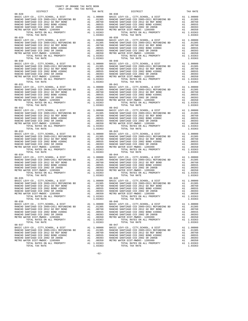| TAX RATE | DISTRICT                                                                                                                                                                                                                                                            |            | TAX RATE                                                                                                                                                                                                                                                                                                                                     |
|----------|---------------------------------------------------------------------------------------------------------------------------------------------------------------------------------------------------------------------------------------------------------------------|------------|----------------------------------------------------------------------------------------------------------------------------------------------------------------------------------------------------------------------------------------------------------------------------------------------------------------------------------------------|
|          | $08 - 038$                                                                                                                                                                                                                                                          |            |                                                                                                                                                                                                                                                                                                                                              |
|          |                                                                                                                                                                                                                                                                     |            |                                                                                                                                                                                                                                                                                                                                              |
|          |                                                                                                                                                                                                                                                                     |            |                                                                                                                                                                                                                                                                                                                                              |
|          |                                                                                                                                                                                                                                                                     |            |                                                                                                                                                                                                                                                                                                                                              |
|          |                                                                                                                                                                                                                                                                     |            |                                                                                                                                                                                                                                                                                                                                              |
|          |                                                                                                                                                                                                                                                                     |            |                                                                                                                                                                                                                                                                                                                                              |
|          |                                                                                                                                                                                                                                                                     |            |                                                                                                                                                                                                                                                                                                                                              |
|          |                                                                                                                                                                                                                                                                     |            |                                                                                                                                                                                                                                                                                                                                              |
|          |                                                                                                                                                                                                                                                                     |            |                                                                                                                                                                                                                                                                                                                                              |
|          |                                                                                                                                                                                                                                                                     |            |                                                                                                                                                                                                                                                                                                                                              |
|          |                                                                                                                                                                                                                                                                     |            |                                                                                                                                                                                                                                                                                                                                              |
|          |                                                                                                                                                                                                                                                                     |            |                                                                                                                                                                                                                                                                                                                                              |
|          |                                                                                                                                                                                                                                                                     |            |                                                                                                                                                                                                                                                                                                                                              |
|          |                                                                                                                                                                                                                                                                     |            |                                                                                                                                                                                                                                                                                                                                              |
|          |                                                                                                                                                                                                                                                                     |            |                                                                                                                                                                                                                                                                                                                                              |
|          |                                                                                                                                                                                                                                                                     |            |                                                                                                                                                                                                                                                                                                                                              |
|          |                                                                                                                                                                                                                                                                     |            |                                                                                                                                                                                                                                                                                                                                              |
|          |                                                                                                                                                                                                                                                                     |            |                                                                                                                                                                                                                                                                                                                                              |
|          |                                                                                                                                                                                                                                                                     |            |                                                                                                                                                                                                                                                                                                                                              |
|          |                                                                                                                                                                                                                                                                     |            |                                                                                                                                                                                                                                                                                                                                              |
|          |                                                                                                                                                                                                                                                                     |            |                                                                                                                                                                                                                                                                                                                                              |
|          |                                                                                                                                                                                                                                                                     |            |                                                                                                                                                                                                                                                                                                                                              |
|          |                                                                                                                                                                                                                                                                     |            |                                                                                                                                                                                                                                                                                                                                              |
|          |                                                                                                                                                                                                                                                                     |            |                                                                                                                                                                                                                                                                                                                                              |
|          |                                                                                                                                                                                                                                                                     |            |                                                                                                                                                                                                                                                                                                                                              |
|          |                                                                                                                                                                                                                                                                     |            |                                                                                                                                                                                                                                                                                                                                              |
|          |                                                                                                                                                                                                                                                                     |            |                                                                                                                                                                                                                                                                                                                                              |
|          |                                                                                                                                                                                                                                                                     |            |                                                                                                                                                                                                                                                                                                                                              |
|          |                                                                                                                                                                                                                                                                     |            |                                                                                                                                                                                                                                                                                                                                              |
|          |                                                                                                                                                                                                                                                                     |            |                                                                                                                                                                                                                                                                                                                                              |
|          |                                                                                                                                                                                                                                                                     |            |                                                                                                                                                                                                                                                                                                                                              |
|          |                                                                                                                                                                                                                                                                     |            |                                                                                                                                                                                                                                                                                                                                              |
|          |                                                                                                                                                                                                                                                                     |            |                                                                                                                                                                                                                                                                                                                                              |
|          |                                                                                                                                                                                                                                                                     |            |                                                                                                                                                                                                                                                                                                                                              |
|          |                                                                                                                                                                                                                                                                     |            |                                                                                                                                                                                                                                                                                                                                              |
|          |                                                                                                                                                                                                                                                                     |            |                                                                                                                                                                                                                                                                                                                                              |
|          |                                                                                                                                                                                                                                                                     |            |                                                                                                                                                                                                                                                                                                                                              |
|          |                                                                                                                                                                                                                                                                     |            |                                                                                                                                                                                                                                                                                                                                              |
|          |                                                                                                                                                                                                                                                                     |            |                                                                                                                                                                                                                                                                                                                                              |
|          |                                                                                                                                                                                                                                                                     |            |                                                                                                                                                                                                                                                                                                                                              |
|          |                                                                                                                                                                                                                                                                     |            |                                                                                                                                                                                                                                                                                                                                              |
|          |                                                                                                                                                                                                                                                                     |            |                                                                                                                                                                                                                                                                                                                                              |
|          |                                                                                                                                                                                                                                                                     |            |                                                                                                                                                                                                                                                                                                                                              |
|          |                                                                                                                                                                                                                                                                     |            |                                                                                                                                                                                                                                                                                                                                              |
|          |                                                                                                                                                                                                                                                                     |            |                                                                                                                                                                                                                                                                                                                                              |
|          |                                                                                                                                                                                                                                                                     |            |                                                                                                                                                                                                                                                                                                                                              |
|          |                                                                                                                                                                                                                                                                     |            |                                                                                                                                                                                                                                                                                                                                              |
|          |                                                                                                                                                                                                                                                                     |            |                                                                                                                                                                                                                                                                                                                                              |
|          |                                                                                                                                                                                                                                                                     |            |                                                                                                                                                                                                                                                                                                                                              |
|          |                                                                                                                                                                                                                                                                     |            |                                                                                                                                                                                                                                                                                                                                              |
|          |                                                                                                                                                                                                                                                                     |            |                                                                                                                                                                                                                                                                                                                                              |
|          |                                                                                                                                                                                                                                                                     |            |                                                                                                                                                                                                                                                                                                                                              |
|          |                                                                                                                                                                                                                                                                     |            |                                                                                                                                                                                                                                                                                                                                              |
|          |                                                                                                                                                                                                                                                                     |            |                                                                                                                                                                                                                                                                                                                                              |
|          |                                                                                                                                                                                                                                                                     |            |                                                                                                                                                                                                                                                                                                                                              |
|          |                                                                                                                                                                                                                                                                     |            |                                                                                                                                                                                                                                                                                                                                              |
|          |                                                                                                                                                                                                                                                                     |            |                                                                                                                                                                                                                                                                                                                                              |
|          |                                                                                                                                                                                                                                                                     |            |                                                                                                                                                                                                                                                                                                                                              |
|          |                                                                                                                                                                                                                                                                     |            |                                                                                                                                                                                                                                                                                                                                              |
|          |                                                                                                                                                                                                                                                                     |            |                                                                                                                                                                                                                                                                                                                                              |
|          |                                                                                                                                                                                                                                                                     |            |                                                                                                                                                                                                                                                                                                                                              |
|          |                                                                                                                                                                                                                                                                     |            |                                                                                                                                                                                                                                                                                                                                              |
|          |                                                                                                                                                                                                                                                                     |            |                                                                                                                                                                                                                                                                                                                                              |
|          |                                                                                                                                                                                                                                                                     |            |                                                                                                                                                                                                                                                                                                                                              |
|          |                                                                                                                                                                                                                                                                     |            |                                                                                                                                                                                                                                                                                                                                              |
|          |                                                                                                                                                                                                                                                                     |            |                                                                                                                                                                                                                                                                                                                                              |
|          |                                                                                                                                                                                                                                                                     |            |                                                                                                                                                                                                                                                                                                                                              |
|          |                                                                                                                                                                                                                                                                     |            |                                                                                                                                                                                                                                                                                                                                              |
|          | $\begin{tabular}{cccccc} 08-033 & 707447 & 10.3163 & 10.3163 & 10.3163 & 10.3163 & 10.3163 & 10.3163 & 10.3163 & 10.3163 & 10.3163 & 10.3163 & 10.3163 & 10.3163 & 10.3163 & 10.3163 & 10.3163 & 10.3163 & 10.3163 & 10.3163 & 10.3163 & 10.3163 & 10.3163 & 10.31$ |            |                                                                                                                                                                                                                                                                                                                                              |
|          |                                                                                                                                                                                                                                                                     |            |                                                                                                                                                                                                                                                                                                                                              |
|          |                                                                                                                                                                                                                                                                     |            |                                                                                                                                                                                                                                                                                                                                              |
|          |                                                                                                                                                                                                                                                                     |            |                                                                                                                                                                                                                                                                                                                                              |
|          |                                                                                                                                                                                                                                                                     |            |                                                                                                                                                                                                                                                                                                                                              |
|          |                                                                                                                                                                                                                                                                     |            |                                                                                                                                                                                                                                                                                                                                              |
|          |                                                                                                                                                                                                                                                                     |            |                                                                                                                                                                                                                                                                                                                                              |
|          | $08 - 047$                                                                                                                                                                                                                                                          |            |                                                                                                                                                                                                                                                                                                                                              |
|          |                                                                                                                                                                                                                                                                     |            |                                                                                                                                                                                                                                                                                                                                              |
|          |                                                                                                                                                                                                                                                                     |            |                                                                                                                                                                                                                                                                                                                                              |
|          |                                                                                                                                                                                                                                                                     |            |                                                                                                                                                                                                                                                                                                                                              |
|          |                                                                                                                                                                                                                                                                     |            |                                                                                                                                                                                                                                                                                                                                              |
|          |                                                                                                                                                                                                                                                                     |            |                                                                                                                                                                                                                                                                                                                                              |
|          |                                                                                                                                                                                                                                                                     |            |                                                                                                                                                                                                                                                                                                                                              |
|          |                                                                                                                                                                                                                                                                     | $08 - 043$ | $\begin{tabular}{cccccc} 08-028 & \textbf{D48.51C} & \textbf{D48.54C} & \textbf{D48.57C} & \textbf{D48.58D} & \textbf{D48.57C} & \textbf{D48.58D} & \textbf{D48.57C} & \textbf{D48.57C} & \textbf{D48.57C} & \textbf{D48.57C} & \textbf{D48.57C} & \textbf{D48.57C} & \textbf{D48.57C} & \textbf{D48.57C} & \textbf{D48.57C} & \textbf{D48.$ |

-62-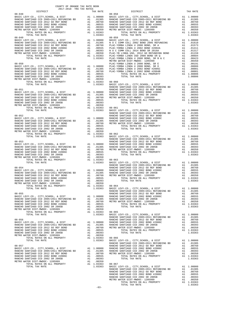| COUNTY OF ORANGE TAX RATE BOOK<br>2017-2018 TRA TAX RATES                                 |          |          |          |
|-------------------------------------------------------------------------------------------|----------|----------|----------|
| $2017-2018 \quad \text{TRA RATE B} \label{eq:2017-2018}$ DISTRICT 2017-2018 TRA TAX RATES | TAX RATE | DISTRICT | TAX RATE |
|                                                                                           |          |          |          |
|                                                                                           |          |          |          |
|                                                                                           |          |          |          |
|                                                                                           |          |          |          |
|                                                                                           |          |          |          |
|                                                                                           |          |          |          |
|                                                                                           |          |          |          |
|                                                                                           |          |          |          |
|                                                                                           |          |          |          |
|                                                                                           |          |          |          |
|                                                                                           |          |          |          |
|                                                                                           |          |          |          |
|                                                                                           |          |          |          |
|                                                                                           |          |          |          |
|                                                                                           |          |          |          |
|                                                                                           |          |          |          |
|                                                                                           |          |          |          |
|                                                                                           |          |          |          |
|                                                                                           |          |          |          |
|                                                                                           |          |          |          |
|                                                                                           |          |          |          |
|                                                                                           |          |          |          |
|                                                                                           |          |          |          |
|                                                                                           |          |          |          |
|                                                                                           |          |          |          |
|                                                                                           |          |          |          |
|                                                                                           |          |          |          |
|                                                                                           |          |          |          |
|                                                                                           |          |          |          |
|                                                                                           |          |          |          |
|                                                                                           |          |          |          |
|                                                                                           |          |          |          |
|                                                                                           |          |          |          |
|                                                                                           |          |          |          |
|                                                                                           |          |          |          |
|                                                                                           |          |          |          |
|                                                                                           |          |          |          |
|                                                                                           |          |          |          |
|                                                                                           |          |          |          |
|                                                                                           |          |          |          |
|                                                                                           |          |          |          |
|                                                                                           |          |          |          |
|                                                                                           |          |          |          |
|                                                                                           |          |          |          |
|                                                                                           |          |          |          |
|                                                                                           |          |          |          |
|                                                                                           |          |          |          |
|                                                                                           |          |          |          |
|                                                                                           |          |          |          |
|                                                                                           |          |          |          |
|                                                                                           |          |          |          |
|                                                                                           |          |          |          |
|                                                                                           |          |          |          |
|                                                                                           |          |          |          |
|                                                                                           |          |          |          |
|                                                                                           |          |          |          |
|                                                                                           |          |          |          |
|                                                                                           |          |          |          |
|                                                                                           |          |          |          |
|                                                                                           |          |          |          |
|                                                                                           |          |          |          |
|                                                                                           |          |          |          |
|                                                                                           |          |          |          |
|                                                                                           |          |          |          |
|                                                                                           |          |          |          |
|                                                                                           |          |          |          |
|                                                                                           |          |          |          |
|                                                                                           |          |          |          |
|                                                                                           |          |          |          |
|                                                                                           |          |          |          |
|                                                                                           |          |          |          |
|                                                                                           |          |          |          |
|                                                                                           |          |          |          |
|                                                                                           |          |          |          |
|                                                                                           |          |          |          |

-63-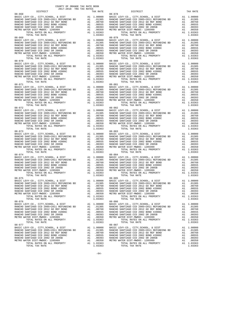| $08 - 070$ |  | $08 - 080$ |  |
|------------|--|------------|--|
|            |  |            |  |
|            |  |            |  |
|            |  |            |  |
|            |  |            |  |
|            |  |            |  |
|            |  |            |  |
|            |  |            |  |
|            |  |            |  |
|            |  |            |  |
|            |  |            |  |
|            |  |            |  |
|            |  |            |  |
|            |  |            |  |
|            |  |            |  |
|            |  |            |  |
|            |  |            |  |
|            |  |            |  |
|            |  |            |  |
|            |  |            |  |
|            |  |            |  |
|            |  |            |  |
|            |  |            |  |
|            |  |            |  |
|            |  |            |  |
|            |  |            |  |
|            |  |            |  |
|            |  |            |  |
|            |  |            |  |
|            |  |            |  |
|            |  |            |  |
|            |  |            |  |
|            |  |            |  |
|            |  |            |  |
|            |  |            |  |
|            |  |            |  |
|            |  |            |  |
|            |  |            |  |
|            |  |            |  |
|            |  |            |  |
|            |  |            |  |
|            |  |            |  |
|            |  |            |  |
|            |  |            |  |
|            |  |            |  |
|            |  |            |  |
|            |  |            |  |
|            |  |            |  |
|            |  |            |  |
|            |  |            |  |
|            |  |            |  |
|            |  |            |  |
|            |  |            |  |
|            |  |            |  |
|            |  |            |  |
|            |  |            |  |
|            |  |            |  |
|            |  |            |  |
|            |  |            |  |
|            |  |            |  |
|            |  |            |  |
|            |  |            |  |
|            |  |            |  |
|            |  |            |  |
|            |  |            |  |
|            |  |            |  |
|            |  |            |  |
|            |  |            |  |
|            |  |            |  |
|            |  |            |  |
|            |  |            |  |
|            |  |            |  |

-64-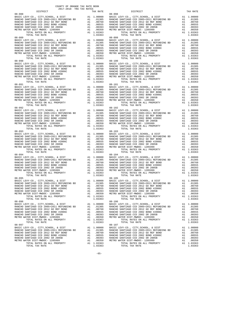| DISTRICT                                                                                                                                                                                                                                                                                                                                                                                                   | TAX RATE | DISTRICT       | TAX RATE |
|------------------------------------------------------------------------------------------------------------------------------------------------------------------------------------------------------------------------------------------------------------------------------------------------------------------------------------------------------------------------------------------------------------|----------|----------------|----------|
| $08 - 088$                                                                                                                                                                                                                                                                                                                                                                                                 |          | $08 - 098$     |          |
|                                                                                                                                                                                                                                                                                                                                                                                                            |          |                |          |
|                                                                                                                                                                                                                                                                                                                                                                                                            |          |                |          |
|                                                                                                                                                                                                                                                                                                                                                                                                            |          |                |          |
|                                                                                                                                                                                                                                                                                                                                                                                                            |          |                |          |
|                                                                                                                                                                                                                                                                                                                                                                                                            |          |                |          |
|                                                                                                                                                                                                                                                                                                                                                                                                            |          |                |          |
|                                                                                                                                                                                                                                                                                                                                                                                                            |          |                |          |
|                                                                                                                                                                                                                                                                                                                                                                                                            |          |                |          |
|                                                                                                                                                                                                                                                                                                                                                                                                            |          |                |          |
|                                                                                                                                                                                                                                                                                                                                                                                                            |          |                |          |
|                                                                                                                                                                                                                                                                                                                                                                                                            |          |                |          |
|                                                                                                                                                                                                                                                                                                                                                                                                            |          |                |          |
|                                                                                                                                                                                                                                                                                                                                                                                                            |          |                |          |
|                                                                                                                                                                                                                                                                                                                                                                                                            |          |                |          |
|                                                                                                                                                                                                                                                                                                                                                                                                            |          |                |          |
| $08 - 090$                                                                                                                                                                                                                                                                                                                                                                                                 |          | $08 - 100$     |          |
|                                                                                                                                                                                                                                                                                                                                                                                                            |          |                |          |
|                                                                                                                                                                                                                                                                                                                                                                                                            |          |                |          |
|                                                                                                                                                                                                                                                                                                                                                                                                            |          |                |          |
|                                                                                                                                                                                                                                                                                                                                                                                                            |          |                |          |
|                                                                                                                                                                                                                                                                                                                                                                                                            |          |                |          |
|                                                                                                                                                                                                                                                                                                                                                                                                            |          |                |          |
|                                                                                                                                                                                                                                                                                                                                                                                                            |          |                |          |
| $\begin{tabular}{cccccc} 08-091 & 10146 & 148.76418 & 11.03309 & 08-101 & 10146 & 148.76418 & 11.03309 & 08-101 & 10146 & 148.76418 & 11.03309 & 08-101 & 0000 & 0831C & 1077, 0821000L, 6. DIST, RAKCHO SANTIAGO COD 2012 600 RHTAGO COD 2012 600 RHTAGO COD 2012 600 RHTAGO COD 201$                                                                                                                     |          |                |          |
|                                                                                                                                                                                                                                                                                                                                                                                                            |          |                |          |
|                                                                                                                                                                                                                                                                                                                                                                                                            |          |                |          |
|                                                                                                                                                                                                                                                                                                                                                                                                            |          |                |          |
|                                                                                                                                                                                                                                                                                                                                                                                                            |          |                |          |
|                                                                                                                                                                                                                                                                                                                                                                                                            |          |                |          |
|                                                                                                                                                                                                                                                                                                                                                                                                            |          |                |          |
|                                                                                                                                                                                                                                                                                                                                                                                                            |          |                |          |
|                                                                                                                                                                                                                                                                                                                                                                                                            |          |                |          |
|                                                                                                                                                                                                                                                                                                                                                                                                            |          |                |          |
|                                                                                                                                                                                                                                                                                                                                                                                                            |          |                |          |
|                                                                                                                                                                                                                                                                                                                                                                                                            |          |                |          |
|                                                                                                                                                                                                                                                                                                                                                                                                            |          |                |          |
|                                                                                                                                                                                                                                                                                                                                                                                                            |          |                |          |
|                                                                                                                                                                                                                                                                                                                                                                                                            |          |                |          |
|                                                                                                                                                                                                                                                                                                                                                                                                            |          |                |          |
| $08 - 093$                                                                                                                                                                                                                                                                                                                                                                                                 |          | $08 - 103$     |          |
|                                                                                                                                                                                                                                                                                                                                                                                                            |          |                |          |
|                                                                                                                                                                                                                                                                                                                                                                                                            |          |                |          |
|                                                                                                                                                                                                                                                                                                                                                                                                            |          |                |          |
|                                                                                                                                                                                                                                                                                                                                                                                                            |          |                |          |
|                                                                                                                                                                                                                                                                                                                                                                                                            |          |                |          |
|                                                                                                                                                                                                                                                                                                                                                                                                            |          |                |          |
|                                                                                                                                                                                                                                                                                                                                                                                                            |          |                |          |
|                                                                                                                                                                                                                                                                                                                                                                                                            |          |                |          |
|                                                                                                                                                                                                                                                                                                                                                                                                            |          |                |          |
|                                                                                                                                                                                                                                                                                                                                                                                                            |          |                |          |
|                                                                                                                                                                                                                                                                                                                                                                                                            |          |                |          |
|                                                                                                                                                                                                                                                                                                                                                                                                            |          |                |          |
|                                                                                                                                                                                                                                                                                                                                                                                                            |          |                |          |
|                                                                                                                                                                                                                                                                                                                                                                                                            |          |                |          |
|                                                                                                                                                                                                                                                                                                                                                                                                            |          |                |          |
|                                                                                                                                                                                                                                                                                                                                                                                                            |          |                |          |
|                                                                                                                                                                                                                                                                                                                                                                                                            |          |                |          |
|                                                                                                                                                                                                                                                                                                                                                                                                            |          |                |          |
|                                                                                                                                                                                                                                                                                                                                                                                                            |          |                |          |
|                                                                                                                                                                                                                                                                                                                                                                                                            |          |                |          |
|                                                                                                                                                                                                                                                                                                                                                                                                            |          |                |          |
|                                                                                                                                                                                                                                                                                                                                                                                                            |          |                |          |
|                                                                                                                                                                                                                                                                                                                                                                                                            |          |                |          |
|                                                                                                                                                                                                                                                                                                                                                                                                            |          |                |          |
|                                                                                                                                                                                                                                                                                                                                                                                                            |          |                |          |
|                                                                                                                                                                                                                                                                                                                                                                                                            |          |                |          |
|                                                                                                                                                                                                                                                                                                                                                                                                            |          |                |          |
|                                                                                                                                                                                                                                                                                                                                                                                                            |          |                |          |
|                                                                                                                                                                                                                                                                                                                                                                                                            |          |                |          |
|                                                                                                                                                                                                                                                                                                                                                                                                            |          |                |          |
| $08 - 097$                                                                                                                                                                                                                                                                                                                                                                                                 |          | $08 - 107$     |          |
|                                                                                                                                                                                                                                                                                                                                                                                                            |          |                |          |
|                                                                                                                                                                                                                                                                                                                                                                                                            |          |                |          |
|                                                                                                                                                                                                                                                                                                                                                                                                            |          |                |          |
|                                                                                                                                                                                                                                                                                                                                                                                                            |          |                |          |
|                                                                                                                                                                                                                                                                                                                                                                                                            |          |                |          |
|                                                                                                                                                                                                                                                                                                                                                                                                            |          |                |          |
| $\begin{tabular}{cccccc} 08-097 & 08-107 & 08-107 \\ \texttt{BASC LEV-CO.} & \texttt{CITY}, \texttt{SCHOOL} & \texttt{A DIST} & 1.00000 \\ \texttt{RANCEO SANTIAGO CCD 2012 SO REF BOND} & \texttt{A1} & 1.00000 \\ \texttt{RANCEO SANTIAGO CCD 2012 SO REF BOND} & \texttt{A1} & 0.01305 \\ \texttt{RANCHO SANTIAGO CCD 2012 SO REF BOND} & \texttt{A1} & 0.01305 \\ \texttt{RANCHO SANTIAGO CCD 2012 SO$ |          |                |          |
| TOTAL TAX RATE                                                                                                                                                                                                                                                                                                                                                                                             | 1.03363  | TOTAL TAX RATE | 1.03363  |

-65-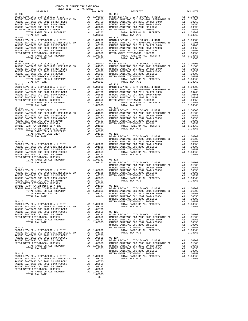| COUNTY OF ORANGE TAX RATE BOOK<br>$2017-2018 \quad \text{TRA RATES}$ DISTRICT                                                                                                                                                                                                                                                                                                 |          |                                                                                                                                                                                                                                      |          |
|-------------------------------------------------------------------------------------------------------------------------------------------------------------------------------------------------------------------------------------------------------------------------------------------------------------------------------------------------------------------------------|----------|--------------------------------------------------------------------------------------------------------------------------------------------------------------------------------------------------------------------------------------|----------|
| $08 - 108$                                                                                                                                                                                                                                                                                                                                                                    | TAX RATE | DISTRICT<br>$08 - 118$                                                                                                                                                                                                               | TAX RATE |
|                                                                                                                                                                                                                                                                                                                                                                               |          |                                                                                                                                                                                                                                      |          |
|                                                                                                                                                                                                                                                                                                                                                                               |          |                                                                                                                                                                                                                                      |          |
|                                                                                                                                                                                                                                                                                                                                                                               |          |                                                                                                                                                                                                                                      |          |
|                                                                                                                                                                                                                                                                                                                                                                               |          |                                                                                                                                                                                                                                      |          |
|                                                                                                                                                                                                                                                                                                                                                                               |          |                                                                                                                                                                                                                                      |          |
|                                                                                                                                                                                                                                                                                                                                                                               |          |                                                                                                                                                                                                                                      |          |
| $08 - 109$                                                                                                                                                                                                                                                                                                                                                                    |          | $08 - 119$                                                                                                                                                                                                                           |          |
|                                                                                                                                                                                                                                                                                                                                                                               |          |                                                                                                                                                                                                                                      |          |
|                                                                                                                                                                                                                                                                                                                                                                               |          |                                                                                                                                                                                                                                      |          |
|                                                                                                                                                                                                                                                                                                                                                                               |          |                                                                                                                                                                                                                                      |          |
|                                                                                                                                                                                                                                                                                                                                                                               |          |                                                                                                                                                                                                                                      |          |
|                                                                                                                                                                                                                                                                                                                                                                               |          |                                                                                                                                                                                                                                      |          |
| $\begin{tabular}{cccc} 08-109 & 1014 \text{L} \text{ 14.4 K R41E} \\ \text{RAMCHO SANTIAGO CCD } 2005+2011 \text{ REFDMDING B} & 1.03305 & 08-119 & 1014 \text{L} \text{ 14.4 K R1E} \\ \text{RAKCHO SANTIAGO CCD } 2005+2011 \text{ REFDMDING B} & \text{Al} & 1.0000 & \text{RAKCHO SANTIAGO CCD } 2005+2011 \text{ REFDMDING B} & \text{Al} & 1.0305 \\ \text{RAKCHO SANT$ |          |                                                                                                                                                                                                                                      |          |
|                                                                                                                                                                                                                                                                                                                                                                               |          |                                                                                                                                                                                                                                      |          |
|                                                                                                                                                                                                                                                                                                                                                                               |          |                                                                                                                                                                                                                                      |          |
|                                                                                                                                                                                                                                                                                                                                                                               |          |                                                                                                                                                                                                                                      |          |
|                                                                                                                                                                                                                                                                                                                                                                               |          |                                                                                                                                                                                                                                      |          |
|                                                                                                                                                                                                                                                                                                                                                                               |          |                                                                                                                                                                                                                                      |          |
|                                                                                                                                                                                                                                                                                                                                                                               |          |                                                                                                                                                                                                                                      |          |
|                                                                                                                                                                                                                                                                                                                                                                               |          |                                                                                                                                                                                                                                      |          |
|                                                                                                                                                                                                                                                                                                                                                                               |          |                                                                                                                                                                                                                                      |          |
|                                                                                                                                                                                                                                                                                                                                                                               |          |                                                                                                                                                                                                                                      |          |
|                                                                                                                                                                                                                                                                                                                                                                               |          |                                                                                                                                                                                                                                      |          |
|                                                                                                                                                                                                                                                                                                                                                                               |          |                                                                                                                                                                                                                                      |          |
|                                                                                                                                                                                                                                                                                                                                                                               |          |                                                                                                                                                                                                                                      |          |
|                                                                                                                                                                                                                                                                                                                                                                               |          |                                                                                                                                                                                                                                      |          |
|                                                                                                                                                                                                                                                                                                                                                                               |          |                                                                                                                                                                                                                                      |          |
|                                                                                                                                                                                                                                                                                                                                                                               |          |                                                                                                                                                                                                                                      |          |
|                                                                                                                                                                                                                                                                                                                                                                               |          |                                                                                                                                                                                                                                      |          |
|                                                                                                                                                                                                                                                                                                                                                                               |          |                                                                                                                                                                                                                                      |          |
|                                                                                                                                                                                                                                                                                                                                                                               |          |                                                                                                                                                                                                                                      |          |
|                                                                                                                                                                                                                                                                                                                                                                               |          |                                                                                                                                                                                                                                      |          |
|                                                                                                                                                                                                                                                                                                                                                                               |          |                                                                                                                                                                                                                                      |          |
|                                                                                                                                                                                                                                                                                                                                                                               |          |                                                                                                                                                                                                                                      |          |
|                                                                                                                                                                                                                                                                                                                                                                               |          |                                                                                                                                                                                                                                      |          |
|                                                                                                                                                                                                                                                                                                                                                                               |          |                                                                                                                                                                                                                                      |          |
|                                                                                                                                                                                                                                                                                                                                                                               |          |                                                                                                                                                                                                                                      |          |
|                                                                                                                                                                                                                                                                                                                                                                               |          |                                                                                                                                                                                                                                      |          |
|                                                                                                                                                                                                                                                                                                                                                                               |          |                                                                                                                                                                                                                                      |          |
|                                                                                                                                                                                                                                                                                                                                                                               |          |                                                                                                                                                                                                                                      |          |
|                                                                                                                                                                                                                                                                                                                                                                               |          |                                                                                                                                                                                                                                      |          |
|                                                                                                                                                                                                                                                                                                                                                                               |          |                                                                                                                                                                                                                                      |          |
|                                                                                                                                                                                                                                                                                                                                                                               |          |                                                                                                                                                                                                                                      |          |
|                                                                                                                                                                                                                                                                                                                                                                               |          |                                                                                                                                                                                                                                      |          |
|                                                                                                                                                                                                                                                                                                                                                                               |          |                                                                                                                                                                                                                                      |          |
|                                                                                                                                                                                                                                                                                                                                                                               |          |                                                                                                                                                                                                                                      |          |
|                                                                                                                                                                                                                                                                                                                                                                               |          |                                                                                                                                                                                                                                      |          |
|                                                                                                                                                                                                                                                                                                                                                                               |          |                                                                                                                                                                                                                                      |          |
|                                                                                                                                                                                                                                                                                                                                                                               |          |                                                                                                                                                                                                                                      |          |
|                                                                                                                                                                                                                                                                                                                                                                               |          |                                                                                                                                                                                                                                      |          |
|                                                                                                                                                                                                                                                                                                                                                                               |          |                                                                                                                                                                                                                                      |          |
|                                                                                                                                                                                                                                                                                                                                                                               |          |                                                                                                                                                                                                                                      |          |
|                                                                                                                                                                                                                                                                                                                                                                               |          |                                                                                                                                                                                                                                      |          |
|                                                                                                                                                                                                                                                                                                                                                                               |          |                                                                                                                                                                                                                                      |          |
|                                                                                                                                                                                                                                                                                                                                                                               |          |                                                                                                                                                                                                                                      |          |
|                                                                                                                                                                                                                                                                                                                                                                               |          |                                                                                                                                                                                                                                      |          |
|                                                                                                                                                                                                                                                                                                                                                                               |          |                                                                                                                                                                                                                                      |          |
|                                                                                                                                                                                                                                                                                                                                                                               |          |                                                                                                                                                                                                                                      |          |
|                                                                                                                                                                                                                                                                                                                                                                               |          |                                                                                                                                                                                                                                      |          |
|                                                                                                                                                                                                                                                                                                                                                                               |          |                                                                                                                                                                                                                                      |          |
|                                                                                                                                                                                                                                                                                                                                                                               |          |                                                                                                                                                                                                                                      |          |
|                                                                                                                                                                                                                                                                                                                                                                               |          | NETRO MOTER LEGISLATION CONTROL 1999<br>INVESTIGATION (1993) 2003<br>INVESTIGATION CONTROL 2001 100 100 100 121 2001 100 121 2002<br>INVESTIGATION (1993) 2003<br>2004 100 121 2003 2004 100 121 2003 2004 100 121 2004 100 121 2004 |          |
|                                                                                                                                                                                                                                                                                                                                                                               |          |                                                                                                                                                                                                                                      |          |
|                                                                                                                                                                                                                                                                                                                                                                               |          |                                                                                                                                                                                                                                      |          |
|                                                                                                                                                                                                                                                                                                                                                                               |          |                                                                                                                                                                                                                                      |          |
|                                                                                                                                                                                                                                                                                                                                                                               |          |                                                                                                                                                                                                                                      |          |
|                                                                                                                                                                                                                                                                                                                                                                               |          |                                                                                                                                                                                                                                      |          |
|                                                                                                                                                                                                                                                                                                                                                                               |          |                                                                                                                                                                                                                                      |          |
|                                                                                                                                                                                                                                                                                                                                                                               |          |                                                                                                                                                                                                                                      |          |
|                                                                                                                                                                                                                                                                                                                                                                               | 1.03363  |                                                                                                                                                                                                                                      |          |

A1 .00350<br>A1 1.03363<br>1.03363<br>-66-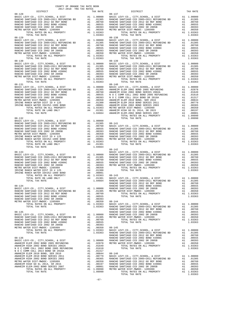| 2017-2018 TRA TAX RATES<br>DISTRICT | TAX RATE | DISTRICT                                                                                                                                                                                                                      | TAX RATE |
|-------------------------------------|----------|-------------------------------------------------------------------------------------------------------------------------------------------------------------------------------------------------------------------------------|----------|
|                                     |          |                                                                                                                                                                                                                               |          |
|                                     |          |                                                                                                                                                                                                                               |          |
|                                     |          |                                                                                                                                                                                                                               |          |
|                                     |          |                                                                                                                                                                                                                               |          |
|                                     |          |                                                                                                                                                                                                                               |          |
|                                     |          | $08 - 142$                                                                                                                                                                                                                    |          |
|                                     |          | 1970, 1970, 1971, 1971, 1972, 1972, 1972, 1972, 1972, 1972, 1972, 1972, 1972, 1972, 1972, 1972, 1972, 1973, 1973, 1973, 1974, 1974, 1975, 1974, 1975, 1974, 1975, 1974, 1975, 1974, 1975, 1974, 1975, 1974, 1975, 1974, 1975, |          |
|                                     |          |                                                                                                                                                                                                                               |          |
|                                     |          |                                                                                                                                                                                                                               |          |
|                                     |          |                                                                                                                                                                                                                               |          |

COUNTY OF ORANGE TAX RATE BOOK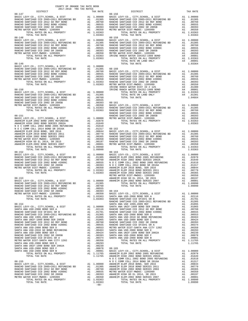| 2017-2018 TRA TAX RATES<br>DISTRICT | TAX RATE | DISTRICT | TAX RATE |
|-------------------------------------|----------|----------|----------|
|                                     |          |          |          |
|                                     |          |          |          |
|                                     |          |          |          |
|                                     |          |          |          |
|                                     |          |          |          |
|                                     |          |          |          |
|                                     |          |          |          |
|                                     |          |          |          |
|                                     |          |          |          |
|                                     |          |          |          |
|                                     |          |          |          |
|                                     |          |          |          |
|                                     |          |          |          |
|                                     |          |          |          |
|                                     |          |          |          |
|                                     |          |          |          |
|                                     |          |          |          |
|                                     |          |          |          |
|                                     |          |          |          |
|                                     |          |          |          |
|                                     |          |          |          |
|                                     |          |          |          |
|                                     |          |          |          |
|                                     |          |          |          |
|                                     |          |          |          |
|                                     |          |          |          |
|                                     |          |          |          |
|                                     |          |          |          |
|                                     |          |          |          |
|                                     |          |          |          |
|                                     |          |          |          |
|                                     |          |          |          |
|                                     |          |          |          |
|                                     |          |          |          |
|                                     |          |          |          |
|                                     |          |          |          |
|                                     |          |          |          |
|                                     |          |          |          |
|                                     |          |          |          |
|                                     |          |          |          |
|                                     |          |          |          |
|                                     |          |          |          |
|                                     |          |          |          |
|                                     |          |          |          |
|                                     |          |          |          |
|                                     |          |          |          |
|                                     |          |          |          |
|                                     |          |          |          |
|                                     |          |          |          |
|                                     |          |          |          |
|                                     |          |          |          |
|                                     |          |          |          |
|                                     |          |          |          |
|                                     |          |          |          |
|                                     |          |          |          |
|                                     |          |          |          |
|                                     |          |          |          |
|                                     |          |          |          |
|                                     |          |          |          |
|                                     |          |          |          |
|                                     |          |          |          |
|                                     |          |          |          |
|                                     |          |          |          |
|                                     |          |          |          |
|                                     |          |          |          |
|                                     |          |          |          |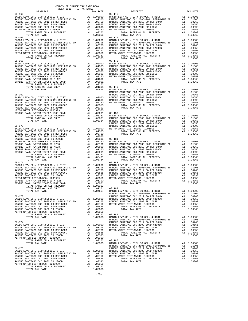| 2017-2018 TRA TAX RATES<br>DISTRICT | TAX RATE | DISTRICT                                                                                                                                                                                                                                                                                                                                              | TAX RATE |
|-------------------------------------|----------|-------------------------------------------------------------------------------------------------------------------------------------------------------------------------------------------------------------------------------------------------------------------------------------------------------------------------------------------------------|----------|
|                                     |          |                                                                                                                                                                                                                                                                                                                                                       |          |
|                                     |          |                                                                                                                                                                                                                                                                                                                                                       |          |
|                                     |          |                                                                                                                                                                                                                                                                                                                                                       |          |
|                                     |          |                                                                                                                                                                                                                                                                                                                                                       |          |
|                                     |          |                                                                                                                                                                                                                                                                                                                                                       |          |
|                                     |          |                                                                                                                                                                                                                                                                                                                                                       |          |
|                                     |          |                                                                                                                                                                                                                                                                                                                                                       |          |
|                                     |          |                                                                                                                                                                                                                                                                                                                                                       |          |
|                                     |          |                                                                                                                                                                                                                                                                                                                                                       |          |
|                                     |          |                                                                                                                                                                                                                                                                                                                                                       |          |
|                                     |          |                                                                                                                                                                                                                                                                                                                                                       |          |
|                                     |          |                                                                                                                                                                                                                                                                                                                                                       |          |
|                                     |          |                                                                                                                                                                                                                                                                                                                                                       |          |
|                                     |          |                                                                                                                                                                                                                                                                                                                                                       |          |
|                                     |          |                                                                                                                                                                                                                                                                                                                                                       |          |
|                                     |          |                                                                                                                                                                                                                                                                                                                                                       |          |
|                                     |          |                                                                                                                                                                                                                                                                                                                                                       |          |
|                                     |          |                                                                                                                                                                                                                                                                                                                                                       |          |
|                                     |          |                                                                                                                                                                                                                                                                                                                                                       |          |
|                                     |          |                                                                                                                                                                                                                                                                                                                                                       |          |
|                                     |          |                                                                                                                                                                                                                                                                                                                                                       |          |
|                                     |          |                                                                                                                                                                                                                                                                                                                                                       |          |
|                                     |          |                                                                                                                                                                                                                                                                                                                                                       |          |
|                                     |          |                                                                                                                                                                                                                                                                                                                                                       |          |
|                                     |          |                                                                                                                                                                                                                                                                                                                                                       |          |
|                                     |          |                                                                                                                                                                                                                                                                                                                                                       |          |
|                                     |          |                                                                                                                                                                                                                                                                                                                                                       |          |
|                                     |          |                                                                                                                                                                                                                                                                                                                                                       |          |
|                                     |          |                                                                                                                                                                                                                                                                                                                                                       |          |
|                                     |          |                                                                                                                                                                                                                                                                                                                                                       |          |
|                                     |          |                                                                                                                                                                                                                                                                                                                                                       |          |
|                                     |          |                                                                                                                                                                                                                                                                                                                                                       |          |
|                                     |          |                                                                                                                                                                                                                                                                                                                                                       |          |
|                                     |          |                                                                                                                                                                                                                                                                                                                                                       |          |
|                                     |          |                                                                                                                                                                                                                                                                                                                                                       |          |
|                                     |          |                                                                                                                                                                                                                                                                                                                                                       |          |
|                                     |          |                                                                                                                                                                                                                                                                                                                                                       |          |
|                                     |          |                                                                                                                                                                                                                                                                                                                                                       |          |
|                                     |          |                                                                                                                                                                                                                                                                                                                                                       |          |
|                                     |          |                                                                                                                                                                                                                                                                                                                                                       |          |
|                                     |          |                                                                                                                                                                                                                                                                                                                                                       |          |
|                                     |          |                                                                                                                                                                                                                                                                                                                                                       |          |
|                                     |          |                                                                                                                                                                                                                                                                                                                                                       |          |
|                                     |          |                                                                                                                                                                                                                                                                                                                                                       |          |
|                                     |          |                                                                                                                                                                                                                                                                                                                                                       |          |
|                                     |          |                                                                                                                                                                                                                                                                                                                                                       |          |
|                                     |          |                                                                                                                                                                                                                                                                                                                                                       |          |
|                                     |          |                                                                                                                                                                                                                                                                                                                                                       |          |
|                                     |          |                                                                                                                                                                                                                                                                                                                                                       |          |
|                                     |          |                                                                                                                                                                                                                                                                                                                                                       |          |
|                                     |          |                                                                                                                                                                                                                                                                                                                                                       |          |
|                                     |          |                                                                                                                                                                                                                                                                                                                                                       |          |
|                                     |          |                                                                                                                                                                                                                                                                                                                                                       |          |
|                                     |          |                                                                                                                                                                                                                                                                                                                                                       |          |
|                                     |          |                                                                                                                                                                                                                                                                                                                                                       |          |
|                                     |          |                                                                                                                                                                                                                                                                                                                                                       |          |
|                                     |          |                                                                                                                                                                                                                                                                                                                                                       |          |
|                                     |          |                                                                                                                                                                                                                                                                                                                                                       |          |
|                                     |          |                                                                                                                                                                                                                                                                                                                                                       |          |
|                                     |          |                                                                                                                                                                                                                                                                                                                                                       |          |
|                                     |          |                                                                                                                                                                                                                                                                                                                                                       |          |
|                                     |          |                                                                                                                                                                                                                                                                                                                                                       |          |
|                                     |          | $08-175 \put(0.00000){\small\hbox{0.0000}} {\small\hbox{0.0000}} \put(0.00000){\small\hbox{0.0000}} {\small\hbox{0.0000}} \put(0.00000){\small\hbox{0.0000}} {\small\hbox{0.0000}} \put(0.00000){\small\hbox{0.000}} {\small\hbox{0.000}} \put(0.00000){\small\hbox{0.000}} {\small\hbox{0.000}} \put(0.0000){\small\hbox{0.000}} {\small\hbox{0.000$ |          |
|                                     |          |                                                                                                                                                                                                                                                                                                                                                       |          |
|                                     |          |                                                                                                                                                                                                                                                                                                                                                       |          |
|                                     |          |                                                                                                                                                                                                                                                                                                                                                       |          |
|                                     |          |                                                                                                                                                                                                                                                                                                                                                       |          |
|                                     |          |                                                                                                                                                                                                                                                                                                                                                       |          |
|                                     |          |                                                                                                                                                                                                                                                                                                                                                       |          |
|                                     |          |                                                                                                                                                                                                                                                                                                                                                       |          |
|                                     |          |                                                                                                                                                                                                                                                                                                                                                       |          |

-69-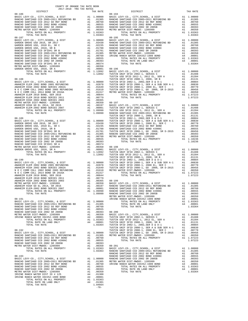| COUNTY OF ORANGE TAX RATE BOOK<br>2017-2018 TRA TAX RATES |        |                      |          |
|-----------------------------------------------------------|--------|----------------------|----------|
| DISTRICT                                                  |        | TAX RATE<br>DISTRICT | TAX RATE |
| $08 - 186$                                                |        | $08 - 194$           |          |
|                                                           |        |                      |          |
|                                                           |        |                      |          |
|                                                           |        |                      |          |
|                                                           |        |                      |          |
|                                                           |        |                      |          |
|                                                           |        |                      |          |
|                                                           |        |                      |          |
|                                                           |        |                      |          |
|                                                           |        |                      |          |
|                                                           |        |                      |          |
|                                                           |        |                      |          |
|                                                           |        |                      |          |
|                                                           |        |                      |          |
|                                                           |        |                      |          |
|                                                           |        |                      |          |
|                                                           |        |                      |          |
|                                                           |        |                      |          |
|                                                           |        |                      |          |
|                                                           |        |                      |          |
|                                                           |        |                      |          |
|                                                           |        |                      |          |
|                                                           |        |                      |          |
|                                                           |        |                      |          |
|                                                           |        |                      |          |
|                                                           |        |                      |          |
|                                                           |        |                      |          |
|                                                           |        |                      |          |
|                                                           |        |                      |          |
|                                                           |        |                      |          |
|                                                           |        |                      |          |
|                                                           |        |                      |          |
|                                                           |        |                      |          |
|                                                           |        |                      |          |
|                                                           |        |                      |          |
|                                                           |        |                      |          |
|                                                           |        |                      |          |
|                                                           |        |                      |          |
|                                                           |        |                      |          |
|                                                           |        |                      |          |
|                                                           |        |                      |          |
|                                                           |        |                      |          |
|                                                           |        |                      |          |
|                                                           |        |                      |          |
|                                                           |        |                      |          |
|                                                           |        |                      |          |
|                                                           |        |                      |          |
|                                                           |        |                      |          |
|                                                           |        |                      |          |
|                                                           |        |                      |          |
|                                                           |        |                      |          |
|                                                           |        |                      |          |
|                                                           |        |                      |          |
|                                                           |        |                      |          |
|                                                           |        |                      |          |
|                                                           |        |                      |          |
|                                                           |        |                      |          |
|                                                           |        |                      |          |
|                                                           |        |                      |          |
|                                                           |        |                      |          |
|                                                           |        |                      |          |
|                                                           |        |                      |          |
|                                                           |        |                      |          |
|                                                           |        |                      |          |
|                                                           |        |                      |          |
|                                                           |        |                      |          |
|                                                           |        |                      |          |
|                                                           |        |                      |          |
|                                                           |        |                      |          |
|                                                           |        |                      |          |
|                                                           |        |                      |          |
|                                                           |        |                      |          |
|                                                           |        |                      |          |
|                                                           |        |                      |          |
|                                                           |        |                      |          |
|                                                           |        |                      |          |
|                                                           | $-70-$ |                      |          |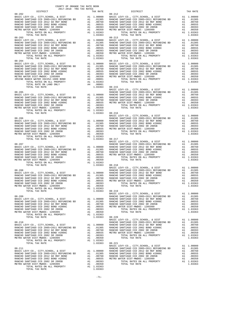| COUNTY OF ORANGE TAX RATE BOOK                                                                                                                                                                                                                                                                                                                                                           |          |            |          |
|------------------------------------------------------------------------------------------------------------------------------------------------------------------------------------------------------------------------------------------------------------------------------------------------------------------------------------------------------------------------------------------|----------|------------|----------|
|                                                                                                                                                                                                                                                                                                                                                                                          | TAX RATE | DISTRICT   | TAX RATE |
| $08 - 202$                                                                                                                                                                                                                                                                                                                                                                               |          | $08 - 212$ |          |
|                                                                                                                                                                                                                                                                                                                                                                                          |          |            |          |
|                                                                                                                                                                                                                                                                                                                                                                                          |          |            |          |
|                                                                                                                                                                                                                                                                                                                                                                                          |          |            |          |
|                                                                                                                                                                                                                                                                                                                                                                                          |          |            |          |
|                                                                                                                                                                                                                                                                                                                                                                                          |          |            |          |
|                                                                                                                                                                                                                                                                                                                                                                                          |          |            |          |
| $\begin{tabular}{ccccccc} 08-203 & \mbox{\textbf{1.03983}} & \mbox{\textbf{1.0398}} & \mbox{\textbf{1.0398}} & \mbox{\textbf{1.0398}} & \mbox{\textbf{1.0398}} & \mbox{\textbf{1.0398}} & \mbox{\textbf{1.0398}} & \mbox{\textbf{1.0398}} & \mbox{\textbf{1.0398}} & \mbox{\textbf{1.0398}} & \mbox{\textbf{1.0398}} & \mbox{\textbf{1.0398}} & \mbox{\textbf{1.0398}} & \mbox{\textbf{$ |          |            |          |
|                                                                                                                                                                                                                                                                                                                                                                                          |          |            |          |
|                                                                                                                                                                                                                                                                                                                                                                                          |          |            |          |
|                                                                                                                                                                                                                                                                                                                                                                                          |          |            |          |
|                                                                                                                                                                                                                                                                                                                                                                                          |          |            |          |
|                                                                                                                                                                                                                                                                                                                                                                                          |          |            |          |
|                                                                                                                                                                                                                                                                                                                                                                                          |          |            |          |
|                                                                                                                                                                                                                                                                                                                                                                                          |          |            |          |
|                                                                                                                                                                                                                                                                                                                                                                                          |          |            |          |
|                                                                                                                                                                                                                                                                                                                                                                                          |          |            |          |
|                                                                                                                                                                                                                                                                                                                                                                                          |          |            |          |
|                                                                                                                                                                                                                                                                                                                                                                                          |          |            |          |
|                                                                                                                                                                                                                                                                                                                                                                                          |          |            |          |
|                                                                                                                                                                                                                                                                                                                                                                                          |          |            |          |
|                                                                                                                                                                                                                                                                                                                                                                                          |          |            |          |
|                                                                                                                                                                                                                                                                                                                                                                                          |          |            |          |
|                                                                                                                                                                                                                                                                                                                                                                                          |          |            |          |
|                                                                                                                                                                                                                                                                                                                                                                                          |          |            |          |
|                                                                                                                                                                                                                                                                                                                                                                                          |          |            |          |
|                                                                                                                                                                                                                                                                                                                                                                                          |          |            |          |
|                                                                                                                                                                                                                                                                                                                                                                                          |          |            |          |
|                                                                                                                                                                                                                                                                                                                                                                                          |          |            |          |
| $\begin{tabular}{cccccc} 08-206 & & & & & & 1.03363 \\ 08-206 & & & & & & & 1.00000 \\ 08-206 & & & & & & & 1.00000 \\ 08-206 & & & & & & & 1.00000 \\ 08-206 & & & & & & & 1.00000 \\ 08-206 & & & & & & & 1.00000 \\ 08-206 & & & & & & & 1.00000 \\ 08-206 & & & & & & & 1.00000 \\ 08-206 & & & & & & & 1.00000 \\ 08-2$                                                             |          |            |          |
|                                                                                                                                                                                                                                                                                                                                                                                          |          |            |          |
|                                                                                                                                                                                                                                                                                                                                                                                          |          |            |          |
|                                                                                                                                                                                                                                                                                                                                                                                          |          |            |          |
|                                                                                                                                                                                                                                                                                                                                                                                          |          |            |          |
|                                                                                                                                                                                                                                                                                                                                                                                          |          |            |          |
|                                                                                                                                                                                                                                                                                                                                                                                          |          |            |          |
|                                                                                                                                                                                                                                                                                                                                                                                          |          |            |          |
|                                                                                                                                                                                                                                                                                                                                                                                          |          |            |          |
|                                                                                                                                                                                                                                                                                                                                                                                          |          |            |          |
|                                                                                                                                                                                                                                                                                                                                                                                          |          |            |          |
|                                                                                                                                                                                                                                                                                                                                                                                          |          |            |          |
|                                                                                                                                                                                                                                                                                                                                                                                          |          |            |          |
|                                                                                                                                                                                                                                                                                                                                                                                          |          |            |          |
|                                                                                                                                                                                                                                                                                                                                                                                          |          |            |          |
|                                                                                                                                                                                                                                                                                                                                                                                          |          |            |          |
|                                                                                                                                                                                                                                                                                                                                                                                          |          |            |          |
|                                                                                                                                                                                                                                                                                                                                                                                          |          |            |          |
|                                                                                                                                                                                                                                                                                                                                                                                          |          |            |          |
|                                                                                                                                                                                                                                                                                                                                                                                          |          |            |          |
|                                                                                                                                                                                                                                                                                                                                                                                          |          |            |          |
|                                                                                                                                                                                                                                                                                                                                                                                          |          |            |          |
|                                                                                                                                                                                                                                                                                                                                                                                          |          |            |          |
| TOTAL RATES ON ALL PROPERTY A1 1.03363<br>TOTAL RATES ON ALL PROPERTY A1 1.03363                                                                                                                                                                                                                                                                                                         |          |            |          |
|                                                                                                                                                                                                                                                                                                                                                                                          |          |            |          |
|                                                                                                                                                                                                                                                                                                                                                                                          |          |            |          |
|                                                                                                                                                                                                                                                                                                                                                                                          |          |            |          |
|                                                                                                                                                                                                                                                                                                                                                                                          |          |            |          |
|                                                                                                                                                                                                                                                                                                                                                                                          |          |            |          |
|                                                                                                                                                                                                                                                                                                                                                                                          |          |            |          |
|                                                                                                                                                                                                                                                                                                                                                                                          |          |            |          |
|                                                                                                                                                                                                                                                                                                                                                                                          |          |            |          |
|                                                                                                                                                                                                                                                                                                                                                                                          |          |            |          |
|                                                                                                                                                                                                                                                                                                                                                                                          |          |            |          |
|                                                                                                                                                                                                                                                                                                                                                                                          |          |            |          |
|                                                                                                                                                                                                                                                                                                                                                                                          |          |            |          |
|                                                                                                                                                                                                                                                                                                                                                                                          |          |            |          |
|                                                                                                                                                                                                                                                                                                                                                                                          |          |            |          |
|                                                                                                                                                                                                                                                                                                                                                                                          |          |            |          |
| $\begin{tabular}{cccccccc} \texttt{1.01369} & 08-210 & 08-220 & 08-220 & 08-220 & 08-220 & 08-220 & 08-220 & 08-220 & 08-220 & 08-220 & 08-220 & 08-220 & 08-220 & 08-220 & 08-220 & 08-220 & 08-220 & 08-220 & 08-220 & 08-220 & 08-220 & 08-220 & 08-220 & 08-220 & 08-22$                                                                                                             |          |            |          |
|                                                                                                                                                                                                                                                                                                                                                                                          |          |            |          |
|                                                                                                                                                                                                                                                                                                                                                                                          |          |            |          |
|                                                                                                                                                                                                                                                                                                                                                                                          |          |            |          |
|                                                                                                                                                                                                                                                                                                                                                                                          |          |            |          |
|                                                                                                                                                                                                                                                                                                                                                                                          |          |            |          |
|                                                                                                                                                                                                                                                                                                                                                                                          |          |            |          |
|                                                                                                                                                                                                                                                                                                                                                                                          |          |            |          |
|                                                                                                                                                                                                                                                                                                                                                                                          |          |            |          |

-71-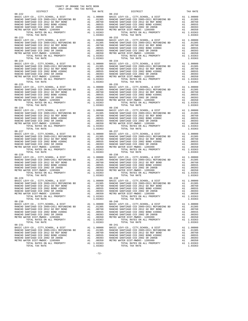|                                                                                                                                                                                                                                                                         | TAX RATE | DISTRICT   | TAX RATE |
|-------------------------------------------------------------------------------------------------------------------------------------------------------------------------------------------------------------------------------------------------------------------------|----------|------------|----------|
|                                                                                                                                                                                                                                                                         |          |            |          |
|                                                                                                                                                                                                                                                                         |          |            |          |
|                                                                                                                                                                                                                                                                         |          |            |          |
|                                                                                                                                                                                                                                                                         |          |            |          |
|                                                                                                                                                                                                                                                                         |          |            |          |
|                                                                                                                                                                                                                                                                         |          |            |          |
|                                                                                                                                                                                                                                                                         |          |            |          |
|                                                                                                                                                                                                                                                                         |          |            |          |
|                                                                                                                                                                                                                                                                         |          |            |          |
|                                                                                                                                                                                                                                                                         |          |            |          |
|                                                                                                                                                                                                                                                                         |          |            |          |
|                                                                                                                                                                                                                                                                         |          |            |          |
|                                                                                                                                                                                                                                                                         |          |            |          |
|                                                                                                                                                                                                                                                                         |          |            |          |
|                                                                                                                                                                                                                                                                         |          |            |          |
|                                                                                                                                                                                                                                                                         |          |            |          |
|                                                                                                                                                                                                                                                                         |          |            |          |
| $08 - 224$                                                                                                                                                                                                                                                              |          | $08 - 234$ |          |
|                                                                                                                                                                                                                                                                         |          |            |          |
|                                                                                                                                                                                                                                                                         |          |            |          |
|                                                                                                                                                                                                                                                                         |          |            |          |
|                                                                                                                                                                                                                                                                         |          |            |          |
|                                                                                                                                                                                                                                                                         |          |            |          |
|                                                                                                                                                                                                                                                                         |          |            |          |
|                                                                                                                                                                                                                                                                         |          |            |          |
|                                                                                                                                                                                                                                                                         |          |            |          |
|                                                                                                                                                                                                                                                                         |          |            |          |
|                                                                                                                                                                                                                                                                         |          |            |          |
|                                                                                                                                                                                                                                                                         |          |            |          |
|                                                                                                                                                                                                                                                                         |          |            |          |
|                                                                                                                                                                                                                                                                         |          |            |          |
|                                                                                                                                                                                                                                                                         |          |            |          |
|                                                                                                                                                                                                                                                                         |          |            |          |
|                                                                                                                                                                                                                                                                         |          |            |          |
|                                                                                                                                                                                                                                                                         |          |            |          |
|                                                                                                                                                                                                                                                                         |          |            |          |
|                                                                                                                                                                                                                                                                         |          |            |          |
|                                                                                                                                                                                                                                                                         |          |            |          |
|                                                                                                                                                                                                                                                                         |          |            |          |
|                                                                                                                                                                                                                                                                         |          |            |          |
|                                                                                                                                                                                                                                                                         |          |            |          |
|                                                                                                                                                                                                                                                                         |          |            |          |
|                                                                                                                                                                                                                                                                         |          |            |          |
|                                                                                                                                                                                                                                                                         |          |            |          |
|                                                                                                                                                                                                                                                                         |          |            |          |
|                                                                                                                                                                                                                                                                         |          |            |          |
|                                                                                                                                                                                                                                                                         |          |            |          |
|                                                                                                                                                                                                                                                                         |          |            |          |
|                                                                                                                                                                                                                                                                         |          |            |          |
|                                                                                                                                                                                                                                                                         |          |            |          |
|                                                                                                                                                                                                                                                                         |          |            |          |
|                                                                                                                                                                                                                                                                         |          |            |          |
|                                                                                                                                                                                                                                                                         |          |            |          |
|                                                                                                                                                                                                                                                                         |          |            |          |
|                                                                                                                                                                                                                                                                         |          |            |          |
|                                                                                                                                                                                                                                                                         |          |            |          |
|                                                                                                                                                                                                                                                                         |          |            |          |
|                                                                                                                                                                                                                                                                         |          |            |          |
|                                                                                                                                                                                                                                                                         |          |            |          |
|                                                                                                                                                                                                                                                                         |          |            |          |
|                                                                                                                                                                                                                                                                         |          |            |          |
|                                                                                                                                                                                                                                                                         |          |            |          |
|                                                                                                                                                                                                                                                                         |          |            |          |
|                                                                                                                                                                                                                                                                         |          |            |          |
|                                                                                                                                                                                                                                                                         |          |            |          |
|                                                                                                                                                                                                                                                                         |          |            |          |
|                                                                                                                                                                                                                                                                         |          |            |          |
|                                                                                                                                                                                                                                                                         |          |            |          |
|                                                                                                                                                                                                                                                                         |          |            |          |
|                                                                                                                                                                                                                                                                         |          |            |          |
|                                                                                                                                                                                                                                                                         |          |            |          |
|                                                                                                                                                                                                                                                                         |          |            |          |
|                                                                                                                                                                                                                                                                         |          |            |          |
|                                                                                                                                                                                                                                                                         |          |            |          |
|                                                                                                                                                                                                                                                                         |          |            |          |
|                                                                                                                                                                                                                                                                         |          |            |          |
|                                                                                                                                                                                                                                                                         |          |            |          |
| $08 - 231$                                                                                                                                                                                                                                                              |          | $08 - 241$ |          |
| $\begin{tabular}{cccc} 08-228 & 7074.7748 & 108040 & 108043 & 70744.748 & 108000 & 08-238 & 9074.000, 6, 0187 \\ 80-228 & 899471A00 CCD & 20179 & 8042301 & 8411 & 100000 & 08-238 & 9074.000, 6, 0187 \\ 80-80471A00 CCD & 2018 & 200848 & 80400 & 804 & 0.01760 & 80$ |          |            |          |
|                                                                                                                                                                                                                                                                         |          |            |          |
|                                                                                                                                                                                                                                                                         |          |            |          |
|                                                                                                                                                                                                                                                                         |          |            |          |
|                                                                                                                                                                                                                                                                         |          |            |          |
|                                                                                                                                                                                                                                                                         | 1.03363  |            | 1.03363  |

-72-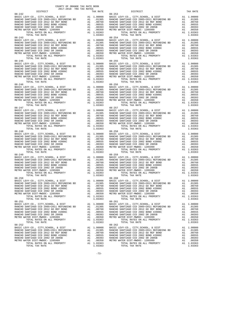| $08 - 245$ |  | $08 - 255$ |  |
|------------|--|------------|--|
|            |  |            |  |
|            |  |            |  |
|            |  |            |  |
|            |  |            |  |
|            |  |            |  |
|            |  |            |  |
|            |  |            |  |
|            |  |            |  |
|            |  |            |  |
|            |  |            |  |
|            |  |            |  |
|            |  |            |  |
|            |  |            |  |
|            |  |            |  |
|            |  |            |  |
|            |  |            |  |
|            |  |            |  |
|            |  |            |  |
|            |  |            |  |
|            |  |            |  |
|            |  |            |  |
|            |  |            |  |
|            |  |            |  |
|            |  |            |  |
|            |  |            |  |
|            |  |            |  |
|            |  |            |  |
|            |  |            |  |
|            |  |            |  |
|            |  |            |  |
|            |  |            |  |
|            |  |            |  |
|            |  |            |  |
|            |  |            |  |
|            |  |            |  |
|            |  |            |  |
|            |  |            |  |
|            |  |            |  |
|            |  |            |  |
|            |  |            |  |
|            |  |            |  |
|            |  |            |  |
|            |  |            |  |
|            |  |            |  |
|            |  |            |  |
|            |  |            |  |
|            |  |            |  |
|            |  |            |  |
|            |  |            |  |
|            |  |            |  |
|            |  |            |  |
|            |  |            |  |
|            |  |            |  |
|            |  |            |  |
|            |  |            |  |
|            |  |            |  |
|            |  |            |  |
|            |  |            |  |
|            |  |            |  |
|            |  |            |  |
|            |  |            |  |
|            |  |            |  |
|            |  |            |  |
|            |  |            |  |
|            |  |            |  |
|            |  |            |  |
|            |  |            |  |

-73-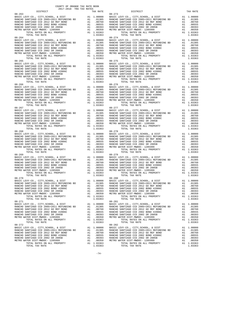| DISTRICT   | TAX RATE | DISTRICT   | TAX RATE |
|------------|----------|------------|----------|
|            |          |            |          |
|            |          |            |          |
|            |          |            |          |
|            |          |            |          |
|            |          |            |          |
|            |          |            |          |
|            |          |            |          |
|            |          |            |          |
|            |          |            |          |
|            |          |            |          |
|            |          |            |          |
|            |          |            |          |
|            |          |            |          |
|            |          |            |          |
|            |          |            |          |
|            |          |            |          |
|            |          |            |          |
|            |          |            |          |
| $08 - 265$ |          | $08 - 275$ |          |
|            |          |            |          |
|            |          |            |          |
|            |          |            |          |
|            |          |            |          |
|            |          |            |          |
|            |          |            |          |
|            |          |            |          |
|            |          |            |          |
|            |          |            |          |
|            |          |            |          |
|            |          |            |          |
|            |          |            |          |
|            |          |            |          |
|            |          |            |          |
|            |          |            |          |
|            |          |            |          |
|            |          |            |          |
|            |          |            |          |
|            |          |            |          |
|            |          |            |          |
|            |          |            |          |
|            |          |            |          |
|            |          |            |          |
|            |          |            |          |
|            |          |            |          |
|            |          |            |          |
|            |          |            |          |
|            |          |            |          |
|            |          |            |          |
|            |          |            |          |
|            |          |            |          |
|            |          |            |          |
|            |          |            |          |
|            |          |            |          |
|            |          |            |          |
|            |          |            |          |
|            |          |            |          |
|            |          |            |          |
|            |          |            |          |
|            |          |            |          |
|            |          |            |          |
|            |          |            |          |
|            |          |            |          |
|            |          |            |          |
|            |          |            |          |
|            |          |            |          |
|            |          |            |          |
|            |          |            |          |
|            |          |            |          |
|            |          |            |          |
|            |          |            |          |
|            |          |            |          |
|            |          |            |          |
|            |          |            |          |
|            |          |            |          |
|            |          |            |          |
|            |          |            |          |
|            |          |            |          |
|            |          |            |          |
|            |          |            |          |
|            |          |            |          |
|            |          |            |          |
|            |          |            |          |
|            |          |            |          |
|            |          |            |          |
|            |          |            |          |
|            |          |            |          |
|            |          |            |          |
|            |          |            |          |
|            |          |            |          |

-74-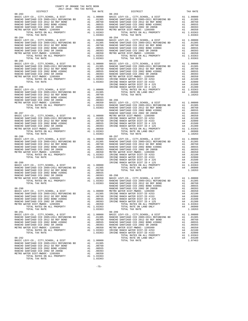| 2017-2018 TRA TAX RATES |          |            |          |
|-------------------------|----------|------------|----------|
| DISTRICT                | TAX RATE | DISTRICT   | TAX RATE |
|                         |          |            |          |
|                         |          |            |          |
|                         |          |            |          |
|                         |          |            |          |
|                         |          |            |          |
|                         |          |            |          |
|                         |          |            |          |
|                         |          |            |          |
|                         |          |            |          |
|                         |          |            |          |
|                         |          |            |          |
|                         |          |            |          |
|                         |          |            |          |
|                         |          |            |          |
|                         |          |            |          |
|                         |          |            |          |
|                         |          |            |          |
|                         |          |            |          |
|                         |          |            |          |
|                         |          |            |          |
|                         |          |            |          |
|                         |          |            |          |
|                         |          |            |          |
|                         |          |            |          |
|                         |          |            |          |
|                         |          |            |          |
|                         |          |            |          |
|                         |          |            |          |
|                         |          |            |          |
|                         |          |            |          |
|                         |          |            |          |
|                         |          |            |          |
|                         |          |            |          |
|                         |          |            |          |
|                         |          |            |          |
|                         |          |            |          |
|                         |          |            |          |
|                         |          |            |          |
|                         |          |            |          |
|                         |          | $08 - 297$ |          |
|                         |          |            |          |
|                         |          |            |          |
|                         |          |            |          |
|                         |          |            |          |
|                         |          |            |          |
|                         |          |            |          |
|                         |          |            |          |
|                         |          |            |          |
|                         |          |            |          |
|                         |          |            |          |
|                         |          |            |          |
|                         |          |            |          |
|                         |          |            |          |
|                         |          |            |          |
|                         |          |            |          |
|                         |          |            |          |
|                         |          |            |          |
|                         |          |            |          |
|                         |          |            |          |
|                         |          |            |          |
|                         |          |            |          |
|                         |          |            |          |
|                         |          |            |          |
| $08 - 291$              |          | $08 - 299$ |          |
|                         |          |            |          |
|                         |          |            |          |
|                         |          |            |          |
|                         |          |            |          |
|                         |          |            |          |
|                         |          |            |          |
|                         |          |            |          |
|                         |          |            |          |
|                         |          |            |          |
|                         |          |            |          |
|                         |          |            |          |
|                         |          |            |          |
|                         |          |            |          |
|                         |          |            |          |
|                         |          |            |          |
|                         |          |            |          |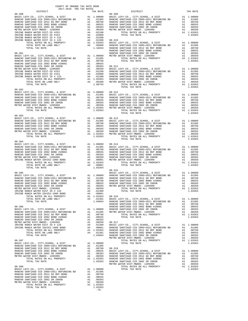| DISTRICT                                                                                                                                                                                                                           | TAX RATE | DISTRICT       | TAX RATE |
|------------------------------------------------------------------------------------------------------------------------------------------------------------------------------------------------------------------------------------|----------|----------------|----------|
| $08 - 300$                                                                                                                                                                                                                         |          | $08 - 309$     |          |
|                                                                                                                                                                                                                                    |          |                |          |
|                                                                                                                                                                                                                                    |          |                |          |
|                                                                                                                                                                                                                                    |          |                |          |
|                                                                                                                                                                                                                                    |          |                |          |
|                                                                                                                                                                                                                                    |          |                |          |
|                                                                                                                                                                                                                                    |          |                |          |
|                                                                                                                                                                                                                                    |          |                |          |
|                                                                                                                                                                                                                                    |          |                |          |
|                                                                                                                                                                                                                                    |          |                |          |
|                                                                                                                                                                                                                                    |          |                |          |
|                                                                                                                                                                                                                                    |          |                |          |
|                                                                                                                                                                                                                                    |          |                |          |
|                                                                                                                                                                                                                                    |          |                |          |
|                                                                                                                                                                                                                                    |          |                |          |
|                                                                                                                                                                                                                                    |          |                |          |
|                                                                                                                                                                                                                                    |          |                |          |
|                                                                                                                                                                                                                                    |          |                |          |
|                                                                                                                                                                                                                                    |          |                |          |
|                                                                                                                                                                                                                                    |          | TOTAL TAX RATE | 1.03363  |
|                                                                                                                                                                                                                                    |          |                |          |
|                                                                                                                                                                                                                                    |          |                |          |
|                                                                                                                                                                                                                                    |          |                |          |
|                                                                                                                                                                                                                                    |          |                |          |
|                                                                                                                                                                                                                                    |          |                |          |
|                                                                                                                                                                                                                                    |          |                |          |
|                                                                                                                                                                                                                                    |          |                |          |
|                                                                                                                                                                                                                                    |          |                |          |
|                                                                                                                                                                                                                                    |          |                |          |
|                                                                                                                                                                                                                                    |          |                |          |
|                                                                                                                                                                                                                                    |          |                |          |
|                                                                                                                                                                                                                                    |          |                |          |
|                                                                                                                                                                                                                                    |          |                |          |
|                                                                                                                                                                                                                                    |          |                |          |
|                                                                                                                                                                                                                                    |          |                |          |
|                                                                                                                                                                                                                                    |          |                |          |
|                                                                                                                                                                                                                                    |          |                |          |
|                                                                                                                                                                                                                                    |          |                |          |
|                                                                                                                                                                                                                                    |          |                |          |
|                                                                                                                                                                                                                                    |          |                |          |
| TOTAL TAX RATE                                                                                                                                                                                                                     | 1.03364  |                |          |
|                                                                                                                                                                                                                                    |          | $08 - 315$     |          |
|                                                                                                                                                                                                                                    |          |                |          |
|                                                                                                                                                                                                                                    |          |                |          |
|                                                                                                                                                                                                                                    |          |                |          |
|                                                                                                                                                                                                                                    |          |                |          |
|                                                                                                                                                                                                                                    |          |                |          |
|                                                                                                                                                                                                                                    |          |                |          |
|                                                                                                                                                                                                                                    |          |                |          |
|                                                                                                                                                                                                                                    |          |                |          |
|                                                                                                                                                                                                                                    |          |                |          |
|                                                                                                                                                                                                                                    |          |                |          |
|                                                                                                                                                                                                                                    |          |                |          |
|                                                                                                                                                                                                                                    |          |                |          |
|                                                                                                                                                                                                                                    |          |                |          |
|                                                                                                                                                                                                                                    |          |                |          |
|                                                                                                                                                                                                                                    |          |                |          |
|                                                                                                                                                                                                                                    |          |                |          |
|                                                                                                                                                                                                                                    |          |                |          |
|                                                                                                                                                                                                                                    |          |                |          |
|                                                                                                                                                                                                                                    |          |                |          |
|                                                                                                                                                                                                                                    |          |                |          |
|                                                                                                                                                                                                                                    |          |                |          |
|                                                                                                                                                                                                                                    |          |                |          |
|                                                                                                                                                                                                                                    |          |                |          |
|                                                                                                                                                                                                                                    |          |                |          |
| RANCIO GAPTIRAO COR 2003-28 2003-28 -1003-28<br>INVISIONATION CORRESPONDENT AT 1.00000<br>INVISIONATION CORRESPONDENT AND CONFIDENT AT 1.000001<br>INVISION CORRESPONDENT AND CONFIDENCIAL CORRESPONDENT AND CONFIDENT AND CONFIDE |          |                |          |
|                                                                                                                                                                                                                                    |          |                |          |
|                                                                                                                                                                                                                                    |          |                |          |
|                                                                                                                                                                                                                                    |          |                |          |
|                                                                                                                                                                                                                                    |          |                |          |
|                                                                                                                                                                                                                                    |          |                |          |
|                                                                                                                                                                                                                                    |          |                |          |
|                                                                                                                                                                                                                                    |          |                |          |
|                                                                                                                                                                                                                                    | $-76-$   |                |          |
|                                                                                                                                                                                                                                    |          |                |          |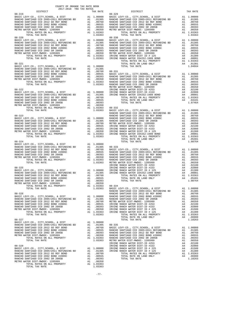| COUNTY OF ORANGE TAX RATE BOOK                                                                                                                                                                                                                                                                                                                                                                           |          | DISTRICT       | TAX RATE |
|----------------------------------------------------------------------------------------------------------------------------------------------------------------------------------------------------------------------------------------------------------------------------------------------------------------------------------------------------------------------------------------------------------|----------|----------------|----------|
| $08 - 319$                                                                                                                                                                                                                                                                                                                                                                                               | TAX RATE | $08 - 329$     |          |
|                                                                                                                                                                                                                                                                                                                                                                                                          |          |                |          |
|                                                                                                                                                                                                                                                                                                                                                                                                          |          |                |          |
|                                                                                                                                                                                                                                                                                                                                                                                                          |          |                |          |
|                                                                                                                                                                                                                                                                                                                                                                                                          |          |                |          |
|                                                                                                                                                                                                                                                                                                                                                                                                          |          |                |          |
|                                                                                                                                                                                                                                                                                                                                                                                                          |          |                |          |
| $08 - 320$                                                                                                                                                                                                                                                                                                                                                                                               |          | $08 - 330$     |          |
|                                                                                                                                                                                                                                                                                                                                                                                                          |          |                |          |
|                                                                                                                                                                                                                                                                                                                                                                                                          |          |                |          |
|                                                                                                                                                                                                                                                                                                                                                                                                          |          |                |          |
|                                                                                                                                                                                                                                                                                                                                                                                                          |          |                |          |
|                                                                                                                                                                                                                                                                                                                                                                                                          |          |                |          |
|                                                                                                                                                                                                                                                                                                                                                                                                          |          |                |          |
|                                                                                                                                                                                                                                                                                                                                                                                                          |          |                |          |
|                                                                                                                                                                                                                                                                                                                                                                                                          |          |                |          |
|                                                                                                                                                                                                                                                                                                                                                                                                          |          |                |          |
|                                                                                                                                                                                                                                                                                                                                                                                                          |          |                |          |
|                                                                                                                                                                                                                                                                                                                                                                                                          |          |                |          |
|                                                                                                                                                                                                                                                                                                                                                                                                          |          |                |          |
|                                                                                                                                                                                                                                                                                                                                                                                                          |          |                |          |
|                                                                                                                                                                                                                                                                                                                                                                                                          |          |                |          |
|                                                                                                                                                                                                                                                                                                                                                                                                          |          |                |          |
|                                                                                                                                                                                                                                                                                                                                                                                                          |          |                |          |
|                                                                                                                                                                                                                                                                                                                                                                                                          |          |                |          |
|                                                                                                                                                                                                                                                                                                                                                                                                          |          |                |          |
|                                                                                                                                                                                                                                                                                                                                                                                                          |          |                |          |
|                                                                                                                                                                                                                                                                                                                                                                                                          |          |                |          |
| $\begin{tabular}{l c c c c c} \hline \text{TOTA} RATES on \text{AL} & \text{PROBERT} & \text{A1} & 1.03363 & 08-332 & \text{BASTC LEVY-C0.}, \text{ CITY}, \text{SCHOOL}, & \text{E DIST} & \text{A1} & 1.00000 & \text{RANCHO SANTIAGO CCD 2005+2011 REFUNDING BD & \text{A1} & 0.01305 & \text{RASCHO SANTIAGO CCD 2005+2011 REFUNDING BD & \text{A1} & 0.01305 & \text{RANCHO SANTIAGO CCD 200$       |          |                |          |
|                                                                                                                                                                                                                                                                                                                                                                                                          |          |                |          |
|                                                                                                                                                                                                                                                                                                                                                                                                          |          |                |          |
|                                                                                                                                                                                                                                                                                                                                                                                                          |          |                |          |
|                                                                                                                                                                                                                                                                                                                                                                                                          |          |                |          |
|                                                                                                                                                                                                                                                                                                                                                                                                          |          |                |          |
|                                                                                                                                                                                                                                                                                                                                                                                                          |          |                |          |
|                                                                                                                                                                                                                                                                                                                                                                                                          |          |                |          |
|                                                                                                                                                                                                                                                                                                                                                                                                          |          |                |          |
|                                                                                                                                                                                                                                                                                                                                                                                                          |          |                |          |
|                                                                                                                                                                                                                                                                                                                                                                                                          |          |                |          |
|                                                                                                                                                                                                                                                                                                                                                                                                          |          |                |          |
|                                                                                                                                                                                                                                                                                                                                                                                                          |          |                |          |
|                                                                                                                                                                                                                                                                                                                                                                                                          |          |                |          |
|                                                                                                                                                                                                                                                                                                                                                                                                          |          |                |          |
|                                                                                                                                                                                                                                                                                                                                                                                                          |          |                |          |
|                                                                                                                                                                                                                                                                                                                                                                                                          |          |                |          |
|                                                                                                                                                                                                                                                                                                                                                                                                          |          |                |          |
|                                                                                                                                                                                                                                                                                                                                                                                                          |          |                |          |
|                                                                                                                                                                                                                                                                                                                                                                                                          |          |                |          |
|                                                                                                                                                                                                                                                                                                                                                                                                          |          |                |          |
|                                                                                                                                                                                                                                                                                                                                                                                                          |          |                |          |
|                                                                                                                                                                                                                                                                                                                                                                                                          |          |                |          |
|                                                                                                                                                                                                                                                                                                                                                                                                          |          |                |          |
|                                                                                                                                                                                                                                                                                                                                                                                                          |          |                |          |
|                                                                                                                                                                                                                                                                                                                                                                                                          |          |                |          |
|                                                                                                                                                                                                                                                                                                                                                                                                          |          |                |          |
|                                                                                                                                                                                                                                                                                                                                                                                                          |          |                |          |
|                                                                                                                                                                                                                                                                                                                                                                                                          |          |                |          |
| $\begin{tabular}{l c c c c c} \hline \text{POTAL RATES ON ALL PROPERTIES} & \text{ADIP RIST-LEVY-CO., CITY, SCHOOL, & \text{E DIST} & \text{A1} & 1.00000\\ 08-326 & \text{BASIC LEVY-CO., CITY, SCHOOL, & \text{E DIST} & \text{A1} & 1.00000\\ 08-326 & \text{RANCEO SANTIAGO CCD 2005+2011 REFUNDING BD & \text{A1} & 0.01305\\ \text{RANCEO SANTIAGO CCD 2005+2011 REFUNDING BD & \text{RANCEO SANT$ |          |                |          |
|                                                                                                                                                                                                                                                                                                                                                                                                          |          |                |          |
|                                                                                                                                                                                                                                                                                                                                                                                                          |          |                |          |
| $08 - 327$                                                                                                                                                                                                                                                                                                                                                                                               |          | TOTAL TAX RATE | 1.10263  |
|                                                                                                                                                                                                                                                                                                                                                                                                          |          |                |          |
|                                                                                                                                                                                                                                                                                                                                                                                                          |          |                |          |
|                                                                                                                                                                                                                                                                                                                                                                                                          |          |                |          |
|                                                                                                                                                                                                                                                                                                                                                                                                          |          |                |          |
|                                                                                                                                                                                                                                                                                                                                                                                                          |          |                |          |
|                                                                                                                                                                                                                                                                                                                                                                                                          |          |                |          |
|                                                                                                                                                                                                                                                                                                                                                                                                          |          |                |          |
|                                                                                                                                                                                                                                                                                                                                                                                                          |          |                |          |
|                                                                                                                                                                                                                                                                                                                                                                                                          |          |                |          |
|                                                                                                                                                                                                                                                                                                                                                                                                          |          |                |          |
|                                                                                                                                                                                                                                                                                                                                                                                                          |          |                |          |
|                                                                                                                                                                                                                                                                                                                                                                                                          |          |                |          |
|                                                                                                                                                                                                                                                                                                                                                                                                          |          |                |          |
|                                                                                                                                                                                                                                                                                                                                                                                                          |          |                |          |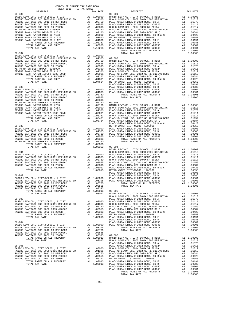| COUNTY OF ORANGE TAX RATE BOOK<br>2017-2018 TRA TAX RATES<br>$2017-2018~~\mbox{TRA}~~\mbox{TRA}~~\mbox{RATE}~~$ DISTRICT |          |          |          |
|--------------------------------------------------------------------------------------------------------------------------|----------|----------|----------|
|                                                                                                                          | TAX RATE | DISTRICT | TAX RATE |
|                                                                                                                          |          |          |          |
|                                                                                                                          |          |          |          |
|                                                                                                                          |          |          |          |
|                                                                                                                          |          |          |          |
|                                                                                                                          |          |          |          |
|                                                                                                                          |          |          |          |
|                                                                                                                          |          |          |          |
|                                                                                                                          |          |          |          |
|                                                                                                                          |          |          |          |
|                                                                                                                          |          |          |          |
|                                                                                                                          |          |          |          |
|                                                                                                                          |          |          |          |
|                                                                                                                          |          |          |          |
|                                                                                                                          |          |          |          |
|                                                                                                                          |          |          |          |
|                                                                                                                          |          |          |          |
|                                                                                                                          |          |          |          |
|                                                                                                                          |          |          |          |
|                                                                                                                          |          |          |          |
|                                                                                                                          |          |          |          |
|                                                                                                                          |          |          |          |
|                                                                                                                          |          |          |          |
|                                                                                                                          |          |          |          |
|                                                                                                                          |          |          |          |
|                                                                                                                          |          |          |          |
|                                                                                                                          |          |          |          |
|                                                                                                                          |          |          |          |
|                                                                                                                          |          |          |          |
|                                                                                                                          |          |          |          |
|                                                                                                                          |          |          |          |
|                                                                                                                          |          |          |          |
|                                                                                                                          |          |          |          |
|                                                                                                                          |          |          |          |
|                                                                                                                          |          |          |          |
|                                                                                                                          |          |          |          |
|                                                                                                                          |          |          |          |
|                                                                                                                          |          |          |          |
|                                                                                                                          |          |          |          |
|                                                                                                                          |          |          |          |
|                                                                                                                          |          |          |          |
|                                                                                                                          |          |          |          |
|                                                                                                                          |          |          |          |
|                                                                                                                          |          |          |          |
|                                                                                                                          |          |          |          |
|                                                                                                                          |          |          |          |
|                                                                                                                          |          |          |          |
|                                                                                                                          |          |          |          |
|                                                                                                                          |          |          |          |
|                                                                                                                          |          |          |          |
|                                                                                                                          |          |          |          |
|                                                                                                                          |          |          |          |
|                                                                                                                          |          |          |          |
|                                                                                                                          |          |          |          |
|                                                                                                                          |          |          |          |
|                                                                                                                          |          |          |          |
|                                                                                                                          |          |          |          |
|                                                                                                                          |          |          |          |
|                                                                                                                          |          |          |          |
|                                                                                                                          |          |          |          |
|                                                                                                                          |          |          |          |
|                                                                                                                          |          |          |          |
|                                                                                                                          |          |          |          |
|                                                                                                                          |          |          |          |
|                                                                                                                          |          |          |          |
|                                                                                                                          |          |          |          |
|                                                                                                                          |          |          |          |
|                                                                                                                          |          |          |          |
|                                                                                                                          |          |          |          |
|                                                                                                                          |          |          |          |
|                                                                                                                          |          |          |          |
|                                                                                                                          |          |          |          |
|                                                                                                                          |          |          |          |
|                                                                                                                          |          |          |          |
|                                                                                                                          |          |          |          |
|                                                                                                                          |          |          |          |
|                                                                                                                          |          |          |          |
|                                                                                                                          |          |          |          |
|                                                                                                                          |          |          |          |
|                                                                                                                          |          |          |          |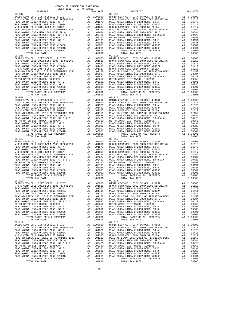COUNTY OF ORANGE TAX RATE BOOK 2017-2018 TRA TAX RATES  $\begin{tabular}{cccc} 09-007 & \text{DISTRICT} & \text{TAX RATE} & \text{DISTRICT} & \text{TAX RATE} \\ \hline \text{BAC-CYORBA LINDA U 2002 BOND 2005 REFUNDING} & \text{A1 } 1.00000 & \text{BASC LVEV-CO, CITY, SCHOOL, & \& DISTT \\ \text{N O C COMM COLL 2002 BOND 2005 REFUNDING} & \text{A1 } 1.01610 & \text{N O C COMM COLL 2002 BOND 2005 REFUNDING} & \text{A1 } 1.01610 \\ \text{PLAC-CYORBA$ 09–014<br>BASIC LEVY-CO., CITY, SCHOOL, & DIST A1 1.00000 BASIC LEVY-CO., CITY, SCHOOL, & DIST A1 1.00000<br>NOC COMM COLL 2002 BOND 2005 REFUNDING A1 .01610 NOC COMM COLL 2002 BOND 2005 REFUNDING A1 .01610<br>PLAC-YORBA LINDA U 20  $\begin{tabular}{l|c|c|c|c|c|c|c} \multicolumn{4}{c}{\textbf{N O C COM COLL} \hbox{ 2014 BOND SR 2016A}} & \multicolumn{4}{c}{\textbf{A1}} & .01159 & \multicolumn{4}{c}{\textbf{N O C COM OCOL 2016 A BOND SR 2016A}} & \multicolumn{4}{c}{\textbf{A1}} & .01159 \\ \hline \multicolumn{4}{c}{\textbf{PLAC-YORBA LINDA U 2008 BOND SR Q}} & \multicolumn{4}{c}{\textbf{A1}} & .01159 & \multicolumn{4}{c}{\text$  09-009 09-015 BASIC LEVY-CO., CITY,SCHOOL, & DIST A1 1.00000 BASIC LEVY-CO., CITY,SCHOOL, & DIST A1 1.00000 N O C COMM COLL 2002 BOND 2005 REFUNDING A1 .01610 N O C COMM COLL 2002 BOND 2005 REFUNDING A1 .01610 PLAC-YORBA LINDA U 2008 BOND, SR A A1 .01573 PLAC-YORBA LINDA U 2008 BOND, SR A A1 .01573 PLAC-YORBA LINDA U 2002 BOND #2002A A1 .01411 PLAC-YORBA LINDA U 2002 BOND #2002A A1 .01411 N O C COMM COLL 2014 BOND SR 2016A A1 .01317 N O C COMM COLL 2014 BOND SR 2016A A1 .01317 PLAC-YB LINDA USD, 2012 GO REFUNDING BOND A1 .01159 PLAC-YB LINDA USD, 2012 GO REFUNDING BOND A1 .01159 PLAC-YORBA LINDA USD 2008 BOND SR Q A1 .00684 PLAC-YORBA LINDA USD 2008 BOND SR Q A1 .00684 PLAC-YORBA LINDA U 2008 BOND, SR B & C A1 .00423 PLAC-YORBA LINDA U 2008 BOND, SR B & C A1 .00423 METRO WATER DIST-MWDOC- 1205999 A1 .00350 METRO WATER DIST-MWDOC- 1205999 A1 .00350 PLAC-YORBA LINDA U 2008 BOND, SR E A1 .00191 PLAC-YORBA LINDA U 2008 BOND, SR E A1 .00191 PLAC-YORBA LINDA U 2008 BOND, SR D A1 .00086 PLAC-YORBA LINDA U 2008 BOND, SR D A1 .00086 PLAC-YORBA LINDA U 2002 BOND #2005C A1 .00001 PLAC-YORBA LINDA U 2002 BOND #2005C A1 .00001 PLAC-YORBA LINDA U 2002 BOND #2004B A1 .00001 PLAC-YORBA LINDA U 2002 BOND #2004B A1 .00001 TOTAL RATES ON ALL PROPERTY A1 1.08806 TOTAL RATES ON ALL PROPERTY A1 1.08806 TOTAL TAX RATE 1.08806 TOTAL TAX RATE 1.08806 09-010 09-016 BASIC LEVY-CO., CITY,SCHOOL, & DIST A1 1.00000 BASIC LEVY-CO., CITY,SCHOOL, & DIST A1 1.00000 N O C COMM COLL 2002 BOND 2005 REFUNDING A1 .01610 N O C COMM COLL 2002 BOND 2005 REFUNDING A1 .01610 PLAC-YORBA LINDA U 2008 BOND, SR A A1 .01573 PLAC-YORBA LINDA U 2008 BOND, SR A A1 .01573  $\begin{tabular}{ l|c|c|c|c|c|c|c|c} \hline \texttt{PLAC-YORBA LINDA U 2002 BOND & \#2002A & \texttt{A1} & .01411 & \texttt{PLAC-YORBA LINDA U 2002 BOND & \#2002A & \texttt{A1} & .01411 \\ \hline \texttt{N O C COM COLA} & 2014& \texttt{BOND S R 2016A} & \texttt{A1} & .01159 & \texttt{N O C COM O COM OCDL 2014 BOND S R 2016A} & \texttt{A1} & .01157 \\ \hline \texttt{$  09-011 09-017 BASIC LEVY-CO., CITY,SCHOOL, & DIST A1 1.00000 BASIC LEVY-CO., CITY,SCHOOL, & DIST A1 1.00000 N O C COMM COLL 2002 BOND 2005 REFUNDING A1 .01610 N O C COMM COLL 2002 BOND 2005 REFUNDING A1 .01610 PLAC-YORBA LINDA U 2008 BOND, SR A A1 .01573 PLAC-YORBA LINDA U 2008 BOND, SR A A1 .01573 PLAC-YORBA LINDA U 2002 BOND #2002A A1 .01411 PLAC-YORBA LINDA U 2002 BOND #2002A A1 .01411 N O C COMM COLL 2014 BOND SR 2016A A1 .01317 N O C COMM COLL 2014 BOND SR 2016A A1 .01317 PLAC-YB LINDA USD, 2012 GO REFUNDING BOND A1 .01159 PLAC-YB LINDA USD, 2012 GO REFUNDING BOND A1 .01159 PLAC-YORBA LINDA USD 2008 BOND SR Q<br>
PLAC-YORBA LINDA USD 2008 BOND SR Q<br>
PLAC-YORBA LINDA U 2008 BOND, SR B & C<br>
METRO WATER DIST-MWDOC- 120599<br>
METRO WATER DIST-MWDOC- 120599<br>
METRO WATER DIST-MWDOC- 120599<br>
PLAC-YORBA L BASIC LEVY-CO., CITY, SCHOOL, & DIST<br>NOC COMM COLL 2002 BOND 2005 REFUNDING A1 .010000 BASIC LEVY-CO., CITY, SCHOOL, & DIST A1 1.00000<br>PLAC-YORBA LINDA U 2008 BOND, SR A A1 .01573 PLAC-YORBA LINDA U 2008 BOND, SR A A1 .015  $\begin{tabular}{l|c|c|c|c|c|c|c} \multicolumn{4}{c}{\textbf{N} & $\mathcal{O}$ & $\mathcal{O}$ \\ \multicolumn{4}{c}{\textbf{PLAC}-YORBA LINDA USD} & $\mathcal{O}$ & $\mathcal{O}$ \\ \multicolumn{4}{c}{\textbf{PLAC}-YORBA LINDA USD} & $\mathcal{O}$ & $\mathcal{O}$ \\ \multicolumn{4}{c}{\textbf{PLAC}-YORBA LINDA USD} & $\mathcal{O}$ & $\mathcal{O}$ \\ \multicolumn{4}{c}{\textbf{PLAC}-YORBA LINDA USD} & $\mathcal{O}$ & $\mathcal{O}$ \\ \multicolumn$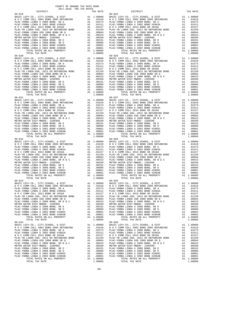COUNTY OF ORANGE TAX RATE BOOK 2017-2018 TRA TAX RATES DISTRICT TAX RATE DISTRICT TAX RATE 09-019 09-025 BASIC LEVY-CO., CITY,SCHOOL, & DIST A1 1.00000 BASIC LEVY-CO., CITY,SCHOOL, & DIST A1 1.00000 N O C COMM COLL 2002 BOND 2005 REFUNDING A1 .01610 N O C COMM COLL 2002 BOND 2005 REFUNDING A1 .01610 PLAC-YORBA LINDA U 2008 BOND, SR A A1 .01573 PLAC-YORBA LINDA U 2008 BOND, SR A A1 .01573 PLAC-YORBA LINDA U 2002 BOND #2002A A1 .01411 PLAC-YORBA LINDA U 2002 BOND #2002A A1 .01411 N O C COMM COLL 2014 BOND SR 2016A A1 .01317 N O C COMM COLL 2014 BOND SR 2016A A1 .01317 PLAC-YB LINDA USD, 2012 GO REFUNDING BOND A1 .01159 PLAC-YB LINDA USD, 2012 GO REFUNDING BOND A1 .01159 PLAC-YORBA LINDA USD 2008 BOND SR Q A1 .00684 PLAC-YORBA LINDA USD 2008 BOND SR Q A1 .00684 PLAC-YORBA LINDA U 2008 BOND, SR B & C A1 .00423 PLAC-YORBA LINDA U 2008 BOND, SR B & C A1 .00423 METRO WATER DIST-MWDOC- 1205999 A1 .00350 METRO WATER DIST-MWDOC- 1205999 A1 .00350 PLAC-YORBA LINDA U 2008 BOND, SR E A1 .00191 PLAC-YORBA LINDA U 2008 BOND, SR E A1 .00191 PLAC-YORBA LINDA U 2008 BOND, SR D A1 .00086 PLAC-YORBA LINDA U 2008 BOND, SR D A1 .00086 PLAC-YORBA LINDA U 2002 BOND #2005C A1 .00001 PLAC-YORBA LINDA U 2002 BOND #2005C A1 .00001 PLAC-YORBA LINDA U 2002 BOND #2004B A1 .00001 PLAC-YORBA LINDA U 2002 BOND #2004B A1 .00001 TOTAL RATES ON ALL PROPERTY A1 1.08806 TOTAL RATES ON ALL PROPERTY A1 1.08806 TOTAL TAX RATE 1.08806 TOTAL TAX RATE 1.08806 09-020 09-026 BASIC LEVY-CO., CITY,SCHOOL, & DIST A1 1.00000 BASIC LEVY-CO., CITY,SCHOOL, & DIST A1 1.00000 N O C COMM COLL 2002 BOND 2005 REFUNDING A1 .01610 N O C COMM COLL 2002 BOND 2005 REFUNDING A1 .01610 PLAC-YORBA LINDA U 2008 BOND, SR A A1 .01573 PLAC-YORBA LINDA U 2008 BOND, SR A A1 .01573 PLAC-YORBA LINDA U 2002 BOND #2002A A1 .01411 PLAC-YORBA LINDA U 2002 BOND #2002A A1 .01411  $\begin{tabular}{l|c|c|c|c|c|c|c} \multicolumn{4}{c}{\textbf{N O C COM COLL} \hbox{ 2014 BOND SR 2016A}} & \multicolumn{4}{c}{\textbf{A1}} & .01159 & \multicolumn{4}{c}{\textbf{N O C COM OCOL 2016 A BOND SR 2016A}} & \multicolumn{4}{c}{\textbf{A1}} & .01159 \\ \hline \multicolumn{4}{c}{\textbf{PLAC-YORBA LINDA U 2008 BOND SR Q}} & \multicolumn{4}{c}{\textbf{A1}} & .01159 & \multicolumn{4}{c}{\text$  09-021 09-027 BASIC LEVY-CO., CITY,SCHOOL, & DIST A1 1.00000 BASIC LEVY-CO., CITY,SCHOOL, & DIST A1 1.00000 N O C COMM COLL 2002 BOND 2005 REFUNDING A1 .01610 N O C COMM COLL 2002 BOND 2005 REFUNDING A1 .01610 PLAC-YORBA LINDA U 2008 BOND, SR A A1 .01573 PLAC-YORBA LINDA U 2008 BOND, SR A A1 .01573 PLAC-YORBA LINDA U 2002 BOND #2002A A1 .01411 PLAC-YORBA LINDA U 2002 BOND #2002A A1 .01411 N O C COMM COLL 2014 BOND SR 2016A A1 .01317 N O C COMM COLL 2014 BOND SR 2016A A1 .01317 PLAC-YB LINDA USD, 2012 GO REFUNDING BOND A1 .01159 PLAC-YB LINDA USD, 2012 GO REFUNDING BOND A1 .01159 PLAC-YORBA LINDA USD 2008 BOND SR Q A1 .00684 PLAC-YORBA LINDA USD 2008 BOND SR Q A1 .00684 PLAC-YORBA LINDA U 2008 BOND, SR B & C A1 .00423 PLAC-YORBA LINDA U 2008 BOND, SR B & C A1 .00423 METRO WATER DIST-MWDOC- 1205999 A1 .00350 METRO WATER DIST-MWDOC- 1205999 A1 .00350 PLAC-YORBA LINDA U 2008 BOND, SR E A1 .00191 PLAC-YORBA LINDA U 2008 BOND, SR E A1 .00191 PLAC-YORBA LINDA U 2008 BOND, SR D A1 .00086 PLAC-YORBA LINDA U 2008 BOND, SR D A1 .00086 PLAC-YORBA LINDA U 2002 BOND #2005C A1 .00001 PLAC-YORBA LINDA U 2002 BOND #2005C A1 .00001 PLAC-YORBA LINDA U 2002 BOND #2004B A1 .00001 PLAC-YORBA LINDA U 2002 BOND #2004B A1 .00001 TOTAL RATES ON ALL PROPERTY A1 1.08806 TOTAL RATES ON ALL PROPERTY A1 1.08806 TOTAL TAX RATE 1.08806 TOTAL TAX RATE 1.08806 09-022 09-028 BASIC LEVY-CO., CITY,SCHOOL, & DIST A1 1.00000 BASIC LEVY-CO., CITY,SCHOOL, & DIST A1 1.00000 N O C COMM COLL 2002 BOND 2005 REFUNDING A1 .01610 N O C COMM COLL 2002 BOND 2005 REFUNDING A1 .01610 PLAC-YORBA LINDA U 2008 BOND, SR A A1 .01573 PLAC-YORBA LINDA U 2008 BOND, SR A A1 .01573  $\begin{tabular}{ l|c|c|c|c|c|c|c|c} \hline \texttt{PLAC-YORBA LINDA U 2002 BOND & \#2002A & \texttt{A1} & .01411 & \texttt{PLAC-YORBA LINDA U 2002 BOND & \#2002A & \texttt{A1} & .01411 \\ \hline \texttt{N O C COM COLA} & 2014& \texttt{BOND S R 2016A} & \texttt{A1} & .01159 & \texttt{N O C COM O COM OCDL 2014 BOND S R 2016A} & \texttt{A1} & .01157 \\ \hline \texttt{$ 09–023<br>
BASIC LEVY-CO., CITY, SCHOOL, & DIST<br>
NO C COMM COLL 2002 BOND 2005 REFUNDING<br>
NO C COMM COLL 2002 BOND 2005 REFUNDING<br>
PLAC–YORBA LINDA U 2008 BOND, SR A<br>
PLAC–YORBA LINDA U 2008 BOND, SR A<br>
PLAC–YORBA LINDA U 200  $\begin{tabular}{l|c|c|c|c|c} \texttt{PLAC-YORBA LINDA USD, 2012 G} & \texttt{REUNDING BOND} & \texttt{A1} & .01159 & \texttt{PLAC-YORBA LINDA USD 2008 BOND} & \texttt{A1} & .01684 \\ \texttt{PLAC-YORBA LINDA USD 2008 BOND S: Q} & \texttt{A1} & .00642 & \texttt{PLAC-YORBA LINDA USD 2008 BOND} & \texttt{S1} & .00423 \\ \texttt{PLAC-YORBA LINDA U 2008 BOND S: Q} & \texttt{A1} & .00$ BASIC LEVY-CO., CITY, SCHOOL, & DIST<br>NOC COMM COLL 2002 BOND 2005 REFUNDING A1 .010000 BASIC LEVY-CO., CITY, SCHOOL, & DIST A1 1.00000<br>PLAC-YORBA LINDA U 2008 BOND, SR A A1 .01573 PLAC-YORBA LINDA U 2008 BOND, SR A A1 .015  $\begin{tabular}{l|c|c|c|c|c|c|c} \multicolumn{4}{c}{\textbf{N} & $\mathcal{O}$ & $\mathcal{O}$ \\ \multicolumn{4}{c}{\textbf{PLAC}-YORBA LINDA USD} & $\mathcal{O}$ & $\mathcal{O}$ \\ \multicolumn{4}{c}{\textbf{PLAC}-YORBA LINDA USD} & $\mathcal{O}$ & $\mathcal{O}$ \\ \multicolumn{4}{c}{\textbf{PLAC}-YORBA LINDA USD} & $\mathcal{O}$ & $\mathcal{O}$ \\ \multicolumn{4}{c}{\textbf{PLAC}-YORBA LINDA USD} & $\mathcal{O}$ & $\mathcal{O}$ \\ \multicolumn$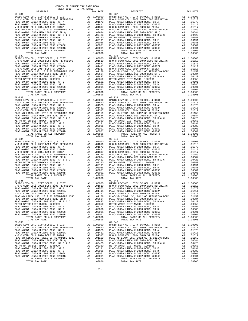COUNTY OF ORANGE TAX RATE BOOK 2017-2018 TRA TAX RATES DISTRICT TAX RATE DISTRICT TAX RATE 09-031 09-037 BASIC LEVY-CO., CITY,SCHOOL, & DIST A1 1.00000 BASIC LEVY-CO., CITY,SCHOOL, & DIST A1 1.00000 N O C COMM COLL 2002 BOND 2005 REFUNDING A1 .01610 N O C COMM COLL 2002 BOND 2005 REFUNDING A1 .01610 PLAC-YORBA LINDA U 2008 BOND, SR A A1 .01573 PLAC-YORBA LINDA U 2008 BOND, SR A A1 .01573 PLAC-YORBA LINDA U 2002 BOND #2002A A1 .01411 PLAC-YORBA LINDA U 2002 BOND #2002A A1 .01411 N O C COMM COLL 2014 BOND SR 2016A A1 .01317 N O C COMM COLL 2014 BOND SR 2016A A1 .01317 PLAC-YB LINDA USD, 2012 GO REFUNDING BOND A1 .01159 PLAC-YB LINDA USD, 2012 GO REFUNDING BOND A1 .01159 PLAC-YORBA LINDA USD 2008 BOND SR Q A1 .00684 PLAC-YORBA LINDA USD 2008 BOND SR Q A1 .00684 PLAC-YORBA LINDA U 2008 BOND, SR B & C A1 .00423 PLAC-YORBA LINDA U 2008 BOND, SR B & C A1 .00423 METRO WATER DIST-MWDOC- 1205999 A1 .00350 METRO WATER DIST-MWDOC- 1205999 A1 .00350 PLAC-YORBA LINDA U 2008 BOND, SR E A1 .00191 PLAC-YORBA LINDA U 2008 BOND, SR E A1 .00191 PLAC-YORBA LINDA U 2008 BOND, SR D A1 .00086 PLAC-YORBA LINDA U 2008 BOND, SR D A1 .00086 PLAC-YORBA LINDA U 2002 BOND #2005C A1 .00001 PLAC-YORBA LINDA U 2002 BOND #2005C A1 .00001 PLAC-YORBA LINDA U 2002 BOND #2004B A1 .00001 PLAC-YORBA LINDA U 2002 BOND #2004B A1 .00001 TOTAL RATES ON ALL PROPERTY A1 1.08806 TOTAL RATES ON ALL PROPERTY A1 1.08806 TOTAL TAX RATE 1.08806 TOTAL TAX RATE 1.08806 09–032<br>BASIC LEVY-CO., CITY, SCHOOL, & DIST A1 1.00000 BASIC LEVY-CO., CITY, SCHOOL, & DIST A1 1.00000<br>NOC COMM COLL 2002 BOND 2005 REFUNDING A1 .01610 NOC COMM COLL 2002 BOND 2005 REFUNDING A1 .01610<br>PLAC-YORBA LINDA U 20  $\begin{tabular}{l|c|c|c|c|c|c|c} \multicolumn{4}{c}{\textbf{N O C COM COLL} \hbox{ 2014 BOND SR 2016A}} & \multicolumn{4}{c}{\textbf{A1}} & .01159 & \multicolumn{4}{c}{\textbf{N O C COM OCOL 2016 A BOND SR 2016A}} & \multicolumn{4}{c}{\textbf{A1}} & .01159 \\ \hline \multicolumn{4}{c}{\textbf{PLAC-YORBA LINDA U 2008 BOND SR Q}} & \multicolumn{4}{c}{\textbf{A1}} & .01159 & \multicolumn{4}{c}{\text$ 09-033<br>BASIC LEVY-CO., CITY,SCHOOL, & DIST A1 1.00000 BASIC LEVY-CO., CITY,SCHOOL, & DIST A1 1.00000<br>N O C COMM COLL 2002 BOND 2005 REFUNDING A1 PLAC-YORBA LINDA U 2008 BOND, SR A A1 .01573 PLAC-YORBA LINDA U 2008 BOND, SR A A1 .01573 PLAC-YORBA LINDA U 2002 BOND #2002A A1 .01411 PLAC-YORBA LINDA U 2002 BOND #2002A A1 .01411 N O C COMM COLL 2014 BOND SR 2016A A1 .01317 N O C COMM COLL 2014 BOND SR 2016A A1 .01317 PLAC-YB LINDA USD, 2012 GO REFUNDING BOND A1 .01159 PLAC-YB LINDA USD, 2012 GO REFUNDING BOND A1 .01159 PLAC-YORBA LINDA USD 2008 BOND SR Q A1 .00684 PLAC-YORBA LINDA USD 2008 BOND SR Q A1 .00684 PLAC-YORBA LINDA U 2008 BOND, SR B & C A1 .00423 PLAC-YORBA LINDA U 2008 BOND, SR B & C A1 .00423 METRO WATER DIST-MWDOC- 1205999 A1 .00350 METRO WATER DIST-MWDOC- 1205999 A1 .00350 PLAC-YORBA LINDA U 2008 BOND, SR E A1 .00191 PLAC-YORBA LINDA U 2008 BOND, SR E A1 .00191 PLAC-YORBA LINDA U 2008 BOND, SR D A1 .00086 PLAC-YORBA LINDA U 2008 BOND, SR D A1 .00086 PLAC-YORBA LINDA U 2002 BOND #2005C A1 .00001 PLAC-YORBA LINDA U 2002 BOND #2005C A1 .00001 PLAC-YORBA LINDA U 2002 BOND #2004B A1 .00001 PLAC-YORBA LINDA U 2002 BOND #2004B A1 .00001 TOTAL RATES ON ALL PROPERTY A1 1.08806 TOTAL RATES ON ALL PROPERTY A1 1.08806 TOTAL TAX RATE 1.08806 TOTAL TAX RATE 1.08806 09-034 09-040 BASIC LEVY-CO., CITY,SCHOOL, & DIST A1 1.00000 BASIC LEVY-CO., CITY,SCHOOL, & DIST A1 1.00000 N O C COMM COLL 2002 BOND 2005 REFUNDING A1 .01610 N O C COMM COLL 2002 BOND 2005 REFUNDING A1 .01610 PLAC-YORBA LINDA U 2008 BOND, SR A A1 .01573 PLAC-YORBA LINDA U 2008 BOND, SR A A1 .01573  $\begin{tabular}{ l|c|c|c|c|c|c|c|c} \hline \texttt{PLAC-YORBA LINDA U 2002 BOND & \#2002A & \texttt{A1} & .01411 & \texttt{PLAC-YORBA LINDA U 2002 BOND & \#2002A & \texttt{A1} & .01411 \\ \hline \texttt{N O C COM COLA} & 2014& \texttt{BOND S R 2016A} & \texttt{A1} & .01159 & \texttt{N O C COM O COM OCDL 2014 BOND S R 2016A} & \texttt{A1} & .01157 \\ \hline \texttt{$  09-035 09-041 BASIC LEVY-CO., CITY,SCHOOL, & DIST A1 1.00000 BASIC LEVY-CO., CITY,SCHOOL, & DIST A1 1.00000 N O C COMM COLL 2002 BOND 2005 REFUNDING A1 .01610 N O C COMM COLL 2002 BOND 2005 REFUNDING A1 .01610 PLAC-YORBA LINDA U 2008 BOND, SR A A1 .01573 PLAC-YORBA LINDA U 2008 BOND, SR A A1 .01573 PLAC-YORBA LINDA U 2002 BOND #2002A A1 .01411 PLAC-YORBA LINDA U 2002 BOND #2002A A1 .01411 N O C COMM COLL 2014 BOND SR 2016A A1 .01317 N O C COMM COLL 2014 BOND SR 2016A A1 .01317 PLAC-YB LINDA USD, 2012 GO REFUNDING BOND A1 .01159 PLAC-YB LINDA USD, 2012 GO REFUNDING BOND A1 .01159 PLAC-YORBA LINDA USD 2008 BOND SR Q<br>
PLAC-YORBA LINDA USD 2008 BOND SR Q<br>
PLAC-YORBA LINDA U 2008 BOND, SR B & C<br>
METRO WATER DIST-MWDOC- 120599<br>
METRO WATER DIST-MWDOC- 120599<br>
METRO WATER DIST-MWDOC- 120599<br>
PLAC-YORBA L BASIC LEVY-CO., CITY, SCHOOL, & DIST<br>NOC COMM COLL 2002 BOND 2005 REFUNDING A1 .010000 BASIC LEVY-CO., CITY, SCHOOL, & DIST A1 1.00000<br>PLAC-YORBA LINDA U 2008 BOND, SR A A1 .01573 PLAC-YORBA LINDA U 2008 BOND, SR A A1 .015  $\begin{tabular}{l|c|c|c|c|c|c|c} \multicolumn{4}{c}{\textbf{N} & $\mathcal{O}$ & $\mathcal{O}$ \\ \multicolumn{4}{c}{\textbf{PLAC}-YORBA LINDA USD} & $\mathcal{O}$ & $\mathcal{O}$ \\ \multicolumn{4}{c}{\textbf{PLAC}-YORBA LINDA USD} & $\mathcal{O}$ & $\mathcal{O}$ \\ \multicolumn{4}{c}{\textbf{PLAC}-YORBA LINDA USD} & $\mathcal{O}$ & $\mathcal{O}$ \\ \multicolumn{4}{c}{\textbf{PLAC}-YORBA LINDA USD} & $\mathcal{O}$ & $\mathcal{O}$ \\ \multicolumn$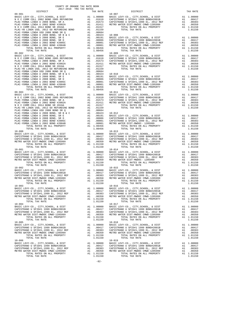| DISTRICT                              |    | TAX RATE               |                |
|---------------------------------------|----|------------------------|----------------|
| 09-901                                |    |                        | $10 - 007$     |
|                                       |    |                        |                |
|                                       |    |                        |                |
|                                       |    |                        |                |
|                                       |    |                        |                |
|                                       |    |                        |                |
|                                       |    |                        |                |
|                                       |    |                        |                |
|                                       |    |                        |                |
|                                       |    |                        |                |
|                                       |    |                        |                |
|                                       |    |                        |                |
|                                       |    |                        |                |
|                                       |    |                        |                |
| TOTAL TAX RATE                        |    | 1.08456                |                |
| $09 - 902$                            |    |                        | $10 - 009$     |
|                                       |    |                        |                |
|                                       |    |                        |                |
|                                       |    |                        |                |
|                                       |    |                        |                |
|                                       |    |                        |                |
|                                       |    |                        |                |
|                                       |    |                        |                |
|                                       |    |                        |                |
|                                       |    |                        |                |
|                                       |    |                        |                |
|                                       |    |                        |                |
|                                       |    |                        |                |
|                                       |    |                        |                |
|                                       |    |                        |                |
| $09 - 903$                            |    |                        | $10 - 011$     |
|                                       |    |                        |                |
|                                       |    |                        |                |
|                                       |    |                        |                |
|                                       |    |                        |                |
|                                       |    |                        |                |
|                                       |    |                        |                |
|                                       |    |                        |                |
|                                       |    |                        |                |
|                                       |    |                        |                |
|                                       |    |                        |                |
|                                       |    |                        |                |
|                                       |    |                        |                |
|                                       |    |                        |                |
| TOTAL TAX RATE                        |    | 1.08456                |                |
| $10 - 000$                            |    |                        | $10 - 013$     |
|                                       |    |                        |                |
|                                       |    |                        |                |
|                                       |    |                        |                |
|                                       |    |                        |                |
|                                       |    |                        |                |
| TOTAL TAX RATE                        |    | 1.01150                |                |
|                                       |    |                        |                |
|                                       |    |                        |                |
|                                       |    |                        |                |
|                                       |    |                        |                |
|                                       |    |                        |                |
|                                       |    |                        |                |
|                                       |    |                        |                |
| $10 - 002$                            |    |                        | $10 - 015$     |
|                                       |    |                        |                |
|                                       |    |                        |                |
|                                       |    |                        |                |
|                                       |    |                        |                |
|                                       |    |                        |                |
| TOTAL TAX RATE                        |    | 1.01150                |                |
| $10 - 003$                            |    |                        | $10 - 016$     |
|                                       |    |                        |                |
|                                       |    |                        |                |
| CAPISTRANO U SFID#1,1999 EL, 2012 REF |    |                        | CAPISTR        |
| METRO WATER DIST-MWDOC CMWD-1205999   |    | A1 .00383<br>A1 .00350 | METRO W        |
| TOTAL RATES ON ALL PROPERTY           |    | A1 1.01150             |                |
| TOTAL TAX RATE                        |    | 1.01150                |                |
| $10 - 004$                            |    |                        | $10 - 017$     |
| BASIC LEVY-CO., CITY, SCHOOL, & DIST  | A1 | 1.00000                | BASIC L        |
| CAPISTRANO U SFID#1 1999 BOND#2001B   |    | A1 .00417              | CAPISTR        |
| CAPISTRANO U SFID#1,1999 EL, 2012 REF | A1 | .00383                 | CAPISTR        |
| METRO WATER DIST-MWDOC CMWD-1205999   | A1 | .00350                 | METRO W        |
| TOTAL RATES ON ALL PROPERTY           |    | A1 1.01150             |                |
| TOTAL TAX RATE                        |    | 1.01150                |                |
| $10 - 005$                            |    |                        | $10 - 018$     |
| BASIC LEVY-CO., CITY, SCHOOL, & DIST  |    | A1 1.00000             | BASIC L        |
| CAPISTRANO U SFID#1 1999 BOND#2001B   |    | A1 .00417              | CAPISTR        |
| CAPISTRANO U SFID#1,1999 EL, 2012 REF | A1 | .00383                 | CAPISTR        |
| METRO WATER DIST-MWDOC CMWD-1205999   | A1 | .00350                 | METRO W        |
| TOTAL RATES ON ALL PROPERTY           |    | A1 1.01150             |                |
| TOTAL TAX RATE                        |    | 1.01150                |                |
| $10 - 006$                            |    |                        | 10-019         |
| BASIC LEVY-CO., CITY, SCHOOL, & DIST  |    | A1 1.00000             | BASIC L        |
| CAPISTRANO U SFID#1 1999 BOND#2001B   |    | A1 .00417              | CAPISTR        |
| CAPISTRANO U SFID#1,1999 EL, 2012 REF |    | A1 .00383              | CAPISTR        |
| METRO WATER DIST-MWDOC CMWD-1205999   |    |                        | .00350 METRO W |
| momat pampo ou att ppoppomy           |    | A1.00350               |                |

 DISTRICT TAX RATE DISTRICT TAX RATE BASIC LEVY-CO., CITY,SCHOOL, & DIST A1 1.00000 BASIC LEVY-CO., CITY,SCHOOL, & DIST A1 1.00000 N O C COMM COLL 2002 BOND 2005 REFUNDING A1 .01610 CAPISTRANO U SFID#1 1999 BOND#2001B A1 .00417 PLAC-YORBA LINDA U 2008 BOND, SR A A1 .01573 CAPISTRANO U SFID#1,1999 EL, 2012 REF A1 .00383 PLAC-YORBA LINDA U 2002 BOND #2002A A1 .01411 METRO WATER DIST-MWDOC CMWD-1205999 A1 .00350 N O C COMM COLL 2014 BOND SR 2016A A1 .01317 TOTAL RATES ON ALL PROPERTY A1 1.01150 PLAC-YB LINDA USD, 2012 GO REFUND ON AND ANOTHER ALL AND AND ANNUAL CONDUCT AND ANNUAL CONDUCT AND ANNOUNCED A<br>PLACE 1.01150 TOTAL TAX RATE 1.01150 Al  $.00423$  10–008 BASIC LEVY-CO., CITY, SCHOOL, & DIST al  $1.00000$ <br>
Al  $.00008$  CAPISTRANO U SFID#1 1999 BOND#2001B A1  $.00417$ <br>
A1  $.00001$  CAPISTRANO U SFID#1,1999 BOND#2001B A1  $.00417$ <br>
A1  $.00001$  METEO WATED NATUR PLAC-YORBALINDAU 2008 BOND, SR D (ALL 00086 CAPISTRANO U SPID#1 1999 BOND#2001B (PLAC-YORBALINDAU 2002 BOND #20050 A1<br>PLAC-YORBALINDAU 2002 BOND #2005C (ALL 00001 CAPISTRANO U SFID#1,1999 EL, 2012 REF (All 00383<br>PLAC-YORBA BASIC LEVY-CO., CITY,SCHOOL, & DIST A1 1.00000 BASIC LEVY-CO., CITY,SCHOOL, & DIST A1 1.00000 N O C COMM COLL 2002 BOND 2005 REFUNDING A1 .01610 CAPISTRANO U SFID#1 1999 BOND#2001B A1 .00417 PLAC-YORBA LINDA U 2008 BOND, SR A A1 .01573 CAPISTRANO U SFID#1,1999 EL, 2012 REF A1 .00383 PLAC-YORBA LINDA U 2002 BOND #2002A A1 .01411 METRO WATER DIST-MWDOC CMWD-1205999 A1 .00350 N O C COMM COLL 2014 BOND SR 2016A A1 .01317 TOTAL RATES ON ALL PROPERTY A1 1.01150 PLAC-YB LINDA USD, 2012 GO REFUNDING BOND A1 .01159 TOTAL TAX RATE 1.01150 PLAC-YORBALINDAU 2008 BOND, SR E A1 .00191 BASIC LEVY-CO., CITY, SCHOOL, & DIST A1 1.00000<br>PLAC-YORBALINDAU 2008 BOND, SR D A1 .00036 CAPISTRANO U SFID#11999 BOND#2001B PLAC-YORBALINDAU 2002 BOND #2004<br>PLAC-YORBALINDAU 200 BASIC LEVY-CO., CITY,SCHOOL, & DIST A1 1.00000 BASIC LEVY-CO., CITY,SCHOOL, & DIST A1 1.00000 N O C COMM COLL 2002 BOND 2005 REFUNDING A1 .01610 CAPISTRANO U SFID#1 1999 BOND#2001B A1 .00417 PLAC-YORBA LINDA U 2008 BOND, SR A A1 .01573 CAPISTRANO U SFID#1,1999 EL, 2012 REF A1 .00383 PLAC-YORBA LINDA U 2002 BOND #2002A A1 .01411 METRO WATER DIST-MWDOC CMWD-1205999 A1 .00350 N O C COMM COLL 2014 BOND SR 2016A A1 .01317 TOTAL RATES ON ALL PROPERTY A1 1.01150 PLAC-YB LINDA USD, 2012 GO REFUNDING BOND A1 .01159 TOTAL TAX RATE 1.01150 PLAC-YORBALINDAU 2008 BOND, SR E al 00191 BASIC LEVY-CO., CITY, SCHOOL, & DIST al 1.00000<br>PLAC-YORBALINDAU 2008 BOND, SR D al 00086 CAPISTRANOU SFID#1 1999 EL, 2012 REF al 00086 CAPISTRANOU SFID#1,1999 EL, 2012 REF al 0038  $\begin{tabular}{ c| c| c|c|c|c} \multicolumn{1}{c}{BAIST} & A1 & 1.00000 & BASIC LEVY-CO., CITY, SCHOOL, & DIST & A1 & 1.00000 \\ \multicolumn{1}{c}{CAPISTRAMO U SFIDH1 1999 BONDH42001B} & A1 & .00417 & CAPISTRAMO U SFIDH1 1999 BONDH42001B} & A1 & .00417 \\ \multicolumn{1}{c}{CAPISTERMO WATER DIST-MIDOC CMD-1205999} & A1 & .00383 & CAPISTTRAMO U SFIDH1 1999 BONDH$  TOTAL TAX RATE 1.01150 TOTAL TAX RATE 1.01150 BASIC LEVY-CO., CITY,SCHOOL, & DIST A1 1.00000 BASIC LEVY-CO., CITY,SCHOOL, & DIST A1 1.00000 CAPISTRANO U SFID#1 1999 BOND#2001B A1 .00417 CAPISTRANO U SFID#1 1999 BOND#2001B A1 .00417 CAPISTRANO U SFID#1,1999 EL, 2012 REF A1 .00383 CAPISTRANO U SFID#1,1999 EL, 2012 REF A1 .00383 METRO WATER DIST-MWDOC CMWD-1205999 A1 .00350 METRO WATER DIST-MWDOC CMWD-1205999 A1 .00350 TOTAL RATES ON ALL PROPERTY A1 1.01150 TOTAL RATES ON ALL PROPERTY A1 1.01150 TOTAL TAX RATE 1.01150 TOTAL TAX RATE 1.01150 BASIC LEVY-CO., CITY,SCHOOL, & DIST A1 1.00000 BASIC LEVY-CO., CITY,SCHOOL, & DIST A1 1.00000 CAPISTRANO U SFID#1 1999 BOND#2001B A1 .00417 CAPISTRANO U SFID#1 1999 BOND#2001B A1 .00417 CAPISTRANO U SFID#1,1999 EL, 2012 REF A1 .00383 CAPISTRANO U SFID#1,1999 EL, 2012 REF A1 .00383 METRO WATER DIST-MWDOC CMWD-1205999 A1 .00350 METRO WATER DIST-MWDOC CMWD-1205999 A1 .00350 TOTAL RATES ON ALL PROPERTY A1 1.01150 TOTAL RATES ON ALL PROPERTY A1 1.01150 TOTAL RATES ON ALL PROPERTY 1.01150<br>1.01150 TOTAL RATES ON ALL PROPERTY A1 1.01150<br>1.01150 TOTAL TAX RATE 1.01150 BASIC LEVY-CO., CITY,SCHOOL, & DIST A1 1.00000 BASIC LEVY-CO., CITY,SCHOOL, & DIST A1 1.00000 CAPISTRANO U SFID#1 1999 BOND#2001B A1 .00417 CAPISTRANO U SFID#1 1999 BOND#2001B A1 .00417 CAPISTRANO U SFID#1,1999 EL, 2012 REF A1 .00383 CAPISTRANO U SFID#1,1999 EL, 2012 REF A1 .00383 METRO WATER DIST-MWDOC CMWD-1205999 A1 .00350 METRO WATER DIST-MWDOC CMWD-1205999 A1 .00350 TOTAL RATES ON ALL PROPERTY A1 1.01150 TOTAL RATES ON ALL PROPERTY A1 1.01150 TOTAL TAX RATE  $1.01150$  TOTAL TAX RATE  $1.01150$  BASIC LEVY-CO., CITY,SCHOOL, & DIST A1 1.00000 BASIC LEVY-CO., CITY,SCHOOL, & DIST A1 1.00000 CAPISTRANO U SFID#1 1999 BOND#2001B A1 .00417 CAPISTRANO U SFID#1 1999 BOND#2001B A1 .00417<br>CAPISTRANO U SFID#1,1999 EL, 2012 REF A1 .00333 CAPISTRANO U SFID#1,1999 EL, 2012 REF A1 .00383<br>METRO WATER DISTRANO IND-1205999 A A1 1.00000 BASIC LEVY-CO., CITY, SCHOOL, & DIST A1 1.00000 A1 .00417 CAPISTRANO U SFID#1 1999 BOND#2001B A1 .00417 .00383 CAPISTRANO U SFID#1 1999 BOND#2001B A1 .00383 CAPISTRANO U SFID#1 1999 BOND#2001B A1 .00417 CAPISTRANO U SFID#1 1999 BOND#2001B A1 .00417 CAPISTRANO U SFID#1,1999 EL, 2012 REF A1 .00383 CAPISTRANO U SFID#1,1999 EL, 2012 REF A1 .00383 METRO WATER DIST-MWDOC CMWD-1205999 A1 .00350 METRO WATER DIST-MWDOC CMWD-1205999 A1 .00350 TOTAL RATES ON ALL PROPERTY A1 1.01150 TOTAL RATES ON ALL PROPERTY A1 1.01150 TOTAL TAX RATE 1.01150 TOTAL TAX RATE 1.01150 -82-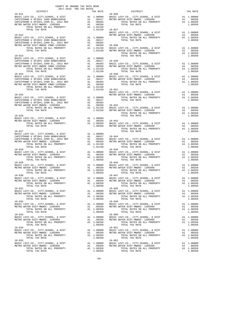| COUNTY OF ORANGE TAX RATE BOOK<br>2017-2018 TRA TAX RATES |         |                                                                                                                                                                                                                                                                                                                                                                                                                              |          |
|-----------------------------------------------------------|---------|------------------------------------------------------------------------------------------------------------------------------------------------------------------------------------------------------------------------------------------------------------------------------------------------------------------------------------------------------------------------------------------------------------------------------|----------|
| DISTRICT<br>$10 - 021$                                    |         | TAX RATE DISTRICT DISTRICT                                                                                                                                                                                                                                                                                                                                                                                                   | TAX RATE |
|                                                           |         | 10–021<br>BASIC LEVY-CO., CITY, SCHOOL, & DIST<br>CAPISTRANO U SFID#1 1999 BOND#2001B<br>CAPISTRANO U SFID#1 1999 BOND#2001B<br>CAPISTRANO U SFID#1,1999 BOND#2001B<br>CAPISTRANO U SFID#1,1999 BOND#2001B<br>CAPISTRANO U SFID#1 1999 BON                                                                                                                                                                                   |          |
|                                                           |         | $\begin{tabular}{c c c c c} \multicolumn{1}{c }{\textbf{10-037}} & \multicolumn{1}{c }{\textbf{10-038}} & \multicolumn{1}{c }{\textbf{10-038}} & \multicolumn{1}{c }{\textbf{10-038}} & \multicolumn{1}{c }{\textbf{10-038}} & \multicolumn{1}{c }{\textbf{10-038}} & \multicolumn{1}{c }{\textbf{10-038}} & \multicolumn{1}{c }{\textbf{10-038}} & \multicolumn{1}{c }{\textbf{10-038}} & \multicolumn{1$                   |          |
|                                                           |         |                                                                                                                                                                                                                                                                                                                                                                                                                              |          |
|                                                           |         | 1.00350<br>BASIC LEVY-CO., CITY, SCHOOL, & DIST<br>CAPISTRANO U SFID#1 1999 BOND#2001B<br>CAPISTRANO U SFID#1 1999 BOND#2001B<br>CAPISTRANO U SFID#1 1999 BOND#2001B<br>CAPISTRANO U SFID#1 1999 BOND#2001B<br>CAPISTRANO U SFID#1 1999 BO                                                                                                                                                                                   |          |
|                                                           |         | $\begin{tabular}{lllllllllllllllllllllll} \multicolumn{4}{c }{\textbf{10-024}} & & & & & & & & 10-040 \\ \multicolumn{4}{c }{\textbf{BASE LEV-CO.}, & \textbf{CITY}, \textbf{SCHOOL}, & \& \textbf{DIST} & \textbf{A1} & 1.00000 \\ \multicolumn{4}{c }{\textbf{BASE LEV-CO.}, & \textbf{CITY}, \textbf{SCHOOL}, & \textbf{WISTT} & \textbf{A1} & 1.00000 \\ \multicolumn{4}{c }{\textbf{CASEDIST-MRMO U SFIDH1 1999 ED, 20$ |          |
|                                                           |         |                                                                                                                                                                                                                                                                                                                                                                                                                              |          |
|                                                           |         |                                                                                                                                                                                                                                                                                                                                                                                                                              |          |
|                                                           |         |                                                                                                                                                                                                                                                                                                                                                                                                                              |          |
|                                                           |         | $\begin{tabular}{c c c c} \multicolumn{4}{c}{\textbf{10-026}} & \multicolumn{4}{c}{\textbf{10-026}} & \multicolumn{4}{c}{\textbf{10-026}} & \multicolumn{4}{c}{\textbf{10-026}} & \multicolumn{4}{c}{\textbf{10-026}} & \multicolumn{4}{c}{\textbf{10-026}} & \multicolumn{4}{c}{\textbf{10-026}} & \multicolumn{4}{c}{\textbf{10-026}} & \multicolumn{4}{c}{\textbf{10-026}} & \multicolumn{4}{c}{\textbf{10-0$             |          |
|                                                           |         |                                                                                                                                                                                                                                                                                                                                                                                                                              |          |
|                                                           |         |                                                                                                                                                                                                                                                                                                                                                                                                                              |          |
| TOTAL TAX RATE                                            | 1.00350 | ${\tt BASIC~LEVY-CO} \,,~CITY,SCHOOL,~\&DIST~\nonumber\\ {\tt BASIC~LEVY-CO} \,,~CITY, SCHOOL,~\&DIST~\nonumber\\ {\tt METRO~WATER~DIST-MWDOC~1205999}~~{\tt A1~.000000}~~{\tt BASTC~LEVY-CO} \,,~CITY, SCHOOL,~\&DIST~\nonumber\\ {\tt METRO~WATER~DIST-MWDOC~1205999}~~{\tt A1~.00350}~~{\tt METRO~WATER~DIST-MWDOC~1205999}~~{\tt A1~.00350}~~{\tt A1~.00350}$<br>TOTAL TAX RATE                                          | 1.00350  |
|                                                           |         | $10 - 048$<br>$\begin{array}{cccccccc} 10-031 & 10-031 & 10000 & 10-048 \\ \texttt{BASE LEVY-CO.}, & \texttt{CITY}, & \texttt{SEVY-CO.}, & \texttt{CITY}, & \texttt{SCHOOL}, & \& \texttt{DIST} & \texttt{A1} & 1.00000 \\ \texttt{METRO WATER DIST-MWDOC-1205999} & \texttt{A1} & .00350 & \texttt{METRO WATER DIST-MWDOC-1205999} & \texttt{A1} & .00350 \\ \texttt{TOTAL RATES ON ALL RATES ON ALL PROPERTY} & \texttt{$  |          |
|                                                           |         | A 1.00000 HASTC LEVY-CO., CITY, SCHOOL, & DIST A 1.00000 HASTC LEVY-CO., CITY, SCHOOL, & DIST A 1.00000 HASTC LEVY-CO., CITY, SCHOOL, & DIST A 1.00000 HASTC LEVY-CO., CITY, SCHOOL, & DIST A 1.00000 HASTC LEVY-CO., CITY, SC                                                                                                                                                                                               |          |
|                                                           |         |                                                                                                                                                                                                                                                                                                                                                                                                                              |          |
| $10 - 034$                                                |         | $10 - 051$<br>10-034<br>BASIC LEVY-CO., CITY, SCHOOL, & DIST<br>METRO WATER DIST-MWDOC-1205999<br>METRO WATER DIST-MWDOC-1205999<br>TOTAL RATES ON ALL PROPERTY<br>TOTAL RATES ON ALL PROPERTY<br>TOTAL TAX RATE<br>1.00350<br>TOTAL TAX RATE<br>1.00350<br>TOTA                                                                                                                                                             |          |
| $10 - 035$<br>TOTAL TAX RATE                              | 1.00350 | $10 - 052$<br>NAST (20000 MAST COORDINATER DIST AT 1.00000 MAST COORDINATER DIST AND DRAFT ATTS AND TRING ASSECTED AND DRAFT ATTS AND TOTAL AND MAST AND MAST AND MAST AND MAST AND METRO WATER DIST AND A SAST AND METRO WATER DIST-MWDOC-<br>TOTAL TAX RATE                                                                                                                                                                | 1.00350  |

-83-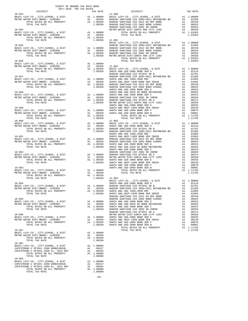| $\begin{tabular}{l c c c c c} \hline 10-053 & \hline \text{I}-005 & \text{I} & \text{DISTRICT} & \text{DISTRICT} & \text{TX RATE} \\ \hline \text{BASE } \text{LEVY--CO.}, \text{ CITY, SCHOOL}, \text{ & DIST} & \text{A1} & 1.00000 & \text{BASE } \text{LEVY--CO.}, \text{ CITY, SCHOOL}, \text{ & DIST} & \text{A1} & 1.00000 \\ \hline \text{METRO WATER DIST-MWDOC-- 1205999} & \text{A1} & .00350 & \text{RANCE$<br>$\begin{tabular}{c c c c c} \multicolumn{4}{c c c c} \multicolumn{4}{c c c} \multicolumn{4}{c c c} \multicolumn{4}{c c c} \multicolumn{4}{c c c} \multicolumn{4}{c c c} \multicolumn{4}{c c} \multicolumn{4}{c c} \multicolumn{4}{c c} \multicolumn{4}{c c} \multicolumn{4}{c c} \multicolumn{4}{c c} \multicolumn{4}{c c} \multicolumn{4}{c c} \multicolumn{4}{c c} \multicolumn{4}{c c} \multicolumn{4}{c c} \multic$<br>19976. Note (19976. Note 19976. Note 19976. Note 19976. Note 19976. Note 19976. Note 19976. Note 19976. Note 19976. Note 19976. Note 19978. Note 19978. Note 19978. Note 19978. Note 19978. Note 19978. Note 19978. Note 199<br>BASIC LEVY-CO., CITY, SCHOOL, & DIST Al 1.00000<br>METRO WATER DIST-MWDOC- 1205999 Al .00350<br>TOTAL RATES ON ALL PROPERTY Al 1.00350<br>TOTAL TAY DATE ON ALL PROPERTY AL 100350<br>TOTAL TAX RATE<br>1.00350<br>$10 - 901$ | 2017-2018 TRA TAX RATES |  | DISTRICT |  |
|---------------------------------------------------------------------------------------------------------------------------------------------------------------------------------------------------------------------------------------------------------------------------------------------------------------------------------------------------------------------------------------------------------------------------------------------------------------------------------------------------------------------------------------------------------------------------------------------------------------------------------------------------------------------------------------------------------------------------------------------------------------------------------------------------------------------------------------------------------------------------------------------------------------------------------------------------------------------------------------------------------------------------------------------------------------------------------------------------------------------------------------------------------------------------------------------------------------------------------------------------------------------------------------------------------------------|-------------------------|--|----------|--|
|                                                                                                                                                                                                                                                                                                                                                                                                                                                                                                                                                                                                                                                                                                                                                                                                                                                                                                                                                                                                                                                                                                                                                                                                                                                                                                                     |                         |  |          |  |
|                                                                                                                                                                                                                                                                                                                                                                                                                                                                                                                                                                                                                                                                                                                                                                                                                                                                                                                                                                                                                                                                                                                                                                                                                                                                                                                     |                         |  |          |  |
|                                                                                                                                                                                                                                                                                                                                                                                                                                                                                                                                                                                                                                                                                                                                                                                                                                                                                                                                                                                                                                                                                                                                                                                                                                                                                                                     |                         |  |          |  |
|                                                                                                                                                                                                                                                                                                                                                                                                                                                                                                                                                                                                                                                                                                                                                                                                                                                                                                                                                                                                                                                                                                                                                                                                                                                                                                                     |                         |  |          |  |
|                                                                                                                                                                                                                                                                                                                                                                                                                                                                                                                                                                                                                                                                                                                                                                                                                                                                                                                                                                                                                                                                                                                                                                                                                                                                                                                     |                         |  |          |  |
|                                                                                                                                                                                                                                                                                                                                                                                                                                                                                                                                                                                                                                                                                                                                                                                                                                                                                                                                                                                                                                                                                                                                                                                                                                                                                                                     |                         |  |          |  |
|                                                                                                                                                                                                                                                                                                                                                                                                                                                                                                                                                                                                                                                                                                                                                                                                                                                                                                                                                                                                                                                                                                                                                                                                                                                                                                                     |                         |  |          |  |
|                                                                                                                                                                                                                                                                                                                                                                                                                                                                                                                                                                                                                                                                                                                                                                                                                                                                                                                                                                                                                                                                                                                                                                                                                                                                                                                     |                         |  |          |  |
|                                                                                                                                                                                                                                                                                                                                                                                                                                                                                                                                                                                                                                                                                                                                                                                                                                                                                                                                                                                                                                                                                                                                                                                                                                                                                                                     |                         |  |          |  |
|                                                                                                                                                                                                                                                                                                                                                                                                                                                                                                                                                                                                                                                                                                                                                                                                                                                                                                                                                                                                                                                                                                                                                                                                                                                                                                                     |                         |  |          |  |
|                                                                                                                                                                                                                                                                                                                                                                                                                                                                                                                                                                                                                                                                                                                                                                                                                                                                                                                                                                                                                                                                                                                                                                                                                                                                                                                     |                         |  |          |  |
|                                                                                                                                                                                                                                                                                                                                                                                                                                                                                                                                                                                                                                                                                                                                                                                                                                                                                                                                                                                                                                                                                                                                                                                                                                                                                                                     |                         |  |          |  |
|                                                                                                                                                                                                                                                                                                                                                                                                                                                                                                                                                                                                                                                                                                                                                                                                                                                                                                                                                                                                                                                                                                                                                                                                                                                                                                                     |                         |  |          |  |
|                                                                                                                                                                                                                                                                                                                                                                                                                                                                                                                                                                                                                                                                                                                                                                                                                                                                                                                                                                                                                                                                                                                                                                                                                                                                                                                     |                         |  |          |  |
|                                                                                                                                                                                                                                                                                                                                                                                                                                                                                                                                                                                                                                                                                                                                                                                                                                                                                                                                                                                                                                                                                                                                                                                                                                                                                                                     |                         |  |          |  |
|                                                                                                                                                                                                                                                                                                                                                                                                                                                                                                                                                                                                                                                                                                                                                                                                                                                                                                                                                                                                                                                                                                                                                                                                                                                                                                                     |                         |  |          |  |
|                                                                                                                                                                                                                                                                                                                                                                                                                                                                                                                                                                                                                                                                                                                                                                                                                                                                                                                                                                                                                                                                                                                                                                                                                                                                                                                     |                         |  |          |  |
|                                                                                                                                                                                                                                                                                                                                                                                                                                                                                                                                                                                                                                                                                                                                                                                                                                                                                                                                                                                                                                                                                                                                                                                                                                                                                                                     |                         |  |          |  |
|                                                                                                                                                                                                                                                                                                                                                                                                                                                                                                                                                                                                                                                                                                                                                                                                                                                                                                                                                                                                                                                                                                                                                                                                                                                                                                                     |                         |  |          |  |
|                                                                                                                                                                                                                                                                                                                                                                                                                                                                                                                                                                                                                                                                                                                                                                                                                                                                                                                                                                                                                                                                                                                                                                                                                                                                                                                     |                         |  |          |  |
|                                                                                                                                                                                                                                                                                                                                                                                                                                                                                                                                                                                                                                                                                                                                                                                                                                                                                                                                                                                                                                                                                                                                                                                                                                                                                                                     |                         |  |          |  |
|                                                                                                                                                                                                                                                                                                                                                                                                                                                                                                                                                                                                                                                                                                                                                                                                                                                                                                                                                                                                                                                                                                                                                                                                                                                                                                                     |                         |  |          |  |
|                                                                                                                                                                                                                                                                                                                                                                                                                                                                                                                                                                                                                                                                                                                                                                                                                                                                                                                                                                                                                                                                                                                                                                                                                                                                                                                     |                         |  |          |  |
|                                                                                                                                                                                                                                                                                                                                                                                                                                                                                                                                                                                                                                                                                                                                                                                                                                                                                                                                                                                                                                                                                                                                                                                                                                                                                                                     |                         |  |          |  |
|                                                                                                                                                                                                                                                                                                                                                                                                                                                                                                                                                                                                                                                                                                                                                                                                                                                                                                                                                                                                                                                                                                                                                                                                                                                                                                                     |                         |  |          |  |
|                                                                                                                                                                                                                                                                                                                                                                                                                                                                                                                                                                                                                                                                                                                                                                                                                                                                                                                                                                                                                                                                                                                                                                                                                                                                                                                     |                         |  |          |  |
|                                                                                                                                                                                                                                                                                                                                                                                                                                                                                                                                                                                                                                                                                                                                                                                                                                                                                                                                                                                                                                                                                                                                                                                                                                                                                                                     |                         |  |          |  |
|                                                                                                                                                                                                                                                                                                                                                                                                                                                                                                                                                                                                                                                                                                                                                                                                                                                                                                                                                                                                                                                                                                                                                                                                                                                                                                                     |                         |  |          |  |
|                                                                                                                                                                                                                                                                                                                                                                                                                                                                                                                                                                                                                                                                                                                                                                                                                                                                                                                                                                                                                                                                                                                                                                                                                                                                                                                     |                         |  |          |  |
|                                                                                                                                                                                                                                                                                                                                                                                                                                                                                                                                                                                                                                                                                                                                                                                                                                                                                                                                                                                                                                                                                                                                                                                                                                                                                                                     |                         |  |          |  |
|                                                                                                                                                                                                                                                                                                                                                                                                                                                                                                                                                                                                                                                                                                                                                                                                                                                                                                                                                                                                                                                                                                                                                                                                                                                                                                                     |                         |  |          |  |
|                                                                                                                                                                                                                                                                                                                                                                                                                                                                                                                                                                                                                                                                                                                                                                                                                                                                                                                                                                                                                                                                                                                                                                                                                                                                                                                     |                         |  |          |  |
|                                                                                                                                                                                                                                                                                                                                                                                                                                                                                                                                                                                                                                                                                                                                                                                                                                                                                                                                                                                                                                                                                                                                                                                                                                                                                                                     |                         |  |          |  |
|                                                                                                                                                                                                                                                                                                                                                                                                                                                                                                                                                                                                                                                                                                                                                                                                                                                                                                                                                                                                                                                                                                                                                                                                                                                                                                                     |                         |  |          |  |
|                                                                                                                                                                                                                                                                                                                                                                                                                                                                                                                                                                                                                                                                                                                                                                                                                                                                                                                                                                                                                                                                                                                                                                                                                                                                                                                     |                         |  |          |  |
|                                                                                                                                                                                                                                                                                                                                                                                                                                                                                                                                                                                                                                                                                                                                                                                                                                                                                                                                                                                                                                                                                                                                                                                                                                                                                                                     |                         |  |          |  |
|                                                                                                                                                                                                                                                                                                                                                                                                                                                                                                                                                                                                                                                                                                                                                                                                                                                                                                                                                                                                                                                                                                                                                                                                                                                                                                                     |                         |  |          |  |
|                                                                                                                                                                                                                                                                                                                                                                                                                                                                                                                                                                                                                                                                                                                                                                                                                                                                                                                                                                                                                                                                                                                                                                                                                                                                                                                     |                         |  |          |  |
|                                                                                                                                                                                                                                                                                                                                                                                                                                                                                                                                                                                                                                                                                                                                                                                                                                                                                                                                                                                                                                                                                                                                                                                                                                                                                                                     |                         |  |          |  |
|                                                                                                                                                                                                                                                                                                                                                                                                                                                                                                                                                                                                                                                                                                                                                                                                                                                                                                                                                                                                                                                                                                                                                                                                                                                                                                                     |                         |  |          |  |
|                                                                                                                                                                                                                                                                                                                                                                                                                                                                                                                                                                                                                                                                                                                                                                                                                                                                                                                                                                                                                                                                                                                                                                                                                                                                                                                     |                         |  |          |  |
|                                                                                                                                                                                                                                                                                                                                                                                                                                                                                                                                                                                                                                                                                                                                                                                                                                                                                                                                                                                                                                                                                                                                                                                                                                                                                                                     |                         |  |          |  |
|                                                                                                                                                                                                                                                                                                                                                                                                                                                                                                                                                                                                                                                                                                                                                                                                                                                                                                                                                                                                                                                                                                                                                                                                                                                                                                                     |                         |  |          |  |
|                                                                                                                                                                                                                                                                                                                                                                                                                                                                                                                                                                                                                                                                                                                                                                                                                                                                                                                                                                                                                                                                                                                                                                                                                                                                                                                     |                         |  |          |  |
|                                                                                                                                                                                                                                                                                                                                                                                                                                                                                                                                                                                                                                                                                                                                                                                                                                                                                                                                                                                                                                                                                                                                                                                                                                                                                                                     |                         |  |          |  |
|                                                                                                                                                                                                                                                                                                                                                                                                                                                                                                                                                                                                                                                                                                                                                                                                                                                                                                                                                                                                                                                                                                                                                                                                                                                                                                                     |                         |  |          |  |
|                                                                                                                                                                                                                                                                                                                                                                                                                                                                                                                                                                                                                                                                                                                                                                                                                                                                                                                                                                                                                                                                                                                                                                                                                                                                                                                     |                         |  |          |  |
|                                                                                                                                                                                                                                                                                                                                                                                                                                                                                                                                                                                                                                                                                                                                                                                                                                                                                                                                                                                                                                                                                                                                                                                                                                                                                                                     |                         |  |          |  |
|                                                                                                                                                                                                                                                                                                                                                                                                                                                                                                                                                                                                                                                                                                                                                                                                                                                                                                                                                                                                                                                                                                                                                                                                                                                                                                                     |                         |  |          |  |
|                                                                                                                                                                                                                                                                                                                                                                                                                                                                                                                                                                                                                                                                                                                                                                                                                                                                                                                                                                                                                                                                                                                                                                                                                                                                                                                     |                         |  |          |  |
|                                                                                                                                                                                                                                                                                                                                                                                                                                                                                                                                                                                                                                                                                                                                                                                                                                                                                                                                                                                                                                                                                                                                                                                                                                                                                                                     |                         |  |          |  |
|                                                                                                                                                                                                                                                                                                                                                                                                                                                                                                                                                                                                                                                                                                                                                                                                                                                                                                                                                                                                                                                                                                                                                                                                                                                                                                                     |                         |  |          |  |
|                                                                                                                                                                                                                                                                                                                                                                                                                                                                                                                                                                                                                                                                                                                                                                                                                                                                                                                                                                                                                                                                                                                                                                                                                                                                                                                     |                         |  |          |  |
|                                                                                                                                                                                                                                                                                                                                                                                                                                                                                                                                                                                                                                                                                                                                                                                                                                                                                                                                                                                                                                                                                                                                                                                                                                                                                                                     |                         |  |          |  |
|                                                                                                                                                                                                                                                                                                                                                                                                                                                                                                                                                                                                                                                                                                                                                                                                                                                                                                                                                                                                                                                                                                                                                                                                                                                                                                                     |                         |  |          |  |
|                                                                                                                                                                                                                                                                                                                                                                                                                                                                                                                                                                                                                                                                                                                                                                                                                                                                                                                                                                                                                                                                                                                                                                                                                                                                                                                     |                         |  |          |  |
|                                                                                                                                                                                                                                                                                                                                                                                                                                                                                                                                                                                                                                                                                                                                                                                                                                                                                                                                                                                                                                                                                                                                                                                                                                                                                                                     |                         |  |          |  |
|                                                                                                                                                                                                                                                                                                                                                                                                                                                                                                                                                                                                                                                                                                                                                                                                                                                                                                                                                                                                                                                                                                                                                                                                                                                                                                                     |                         |  |          |  |
|                                                                                                                                                                                                                                                                                                                                                                                                                                                                                                                                                                                                                                                                                                                                                                                                                                                                                                                                                                                                                                                                                                                                                                                                                                                                                                                     |                         |  |          |  |
|                                                                                                                                                                                                                                                                                                                                                                                                                                                                                                                                                                                                                                                                                                                                                                                                                                                                                                                                                                                                                                                                                                                                                                                                                                                                                                                     |                         |  |          |  |
|                                                                                                                                                                                                                                                                                                                                                                                                                                                                                                                                                                                                                                                                                                                                                                                                                                                                                                                                                                                                                                                                                                                                                                                                                                                                                                                     |                         |  |          |  |
|                                                                                                                                                                                                                                                                                                                                                                                                                                                                                                                                                                                                                                                                                                                                                                                                                                                                                                                                                                                                                                                                                                                                                                                                                                                                                                                     |                         |  |          |  |
|                                                                                                                                                                                                                                                                                                                                                                                                                                                                                                                                                                                                                                                                                                                                                                                                                                                                                                                                                                                                                                                                                                                                                                                                                                                                                                                     |                         |  |          |  |
|                                                                                                                                                                                                                                                                                                                                                                                                                                                                                                                                                                                                                                                                                                                                                                                                                                                                                                                                                                                                                                                                                                                                                                                                                                                                                                                     |                         |  |          |  |
|                                                                                                                                                                                                                                                                                                                                                                                                                                                                                                                                                                                                                                                                                                                                                                                                                                                                                                                                                                                                                                                                                                                                                                                                                                                                                                                     |                         |  |          |  |
|                                                                                                                                                                                                                                                                                                                                                                                                                                                                                                                                                                                                                                                                                                                                                                                                                                                                                                                                                                                                                                                                                                                                                                                                                                                                                                                     |                         |  |          |  |
|                                                                                                                                                                                                                                                                                                                                                                                                                                                                                                                                                                                                                                                                                                                                                                                                                                                                                                                                                                                                                                                                                                                                                                                                                                                                                                                     |                         |  |          |  |
| $10 - 902$                                                                                                                                                                                                                                                                                                                                                                                                                                                                                                                                                                                                                                                                                                                                                                                                                                                                                                                                                                                                                                                                                                                                                                                                                                                                                                          |                         |  |          |  |
| North Basic LEVY-CO., CITY, SCHOOL, & DIST and 1.00000<br>CAPISTRANO U SFID#1 1999 BOND#2001B a1 .00417<br>CAPISTRANO U SFID#1 1999 BOND#2001B a1 .00417<br>CAPISTRANO U SFID#1 1999 EL, 2012 REF a1 1.00803<br>TOTAL TAX RATE AT 1.00                                                                                                                                                                                                                                                                                                                                                                                                                                                                                                                                                                                                                                                                                                                                                                                                                                                                                                                                                                                                                                                                              |                         |  |          |  |
|                                                                                                                                                                                                                                                                                                                                                                                                                                                                                                                                                                                                                                                                                                                                                                                                                                                                                                                                                                                                                                                                                                                                                                                                                                                                                                                     |                         |  |          |  |
|                                                                                                                                                                                                                                                                                                                                                                                                                                                                                                                                                                                                                                                                                                                                                                                                                                                                                                                                                                                                                                                                                                                                                                                                                                                                                                                     |                         |  |          |  |

-84-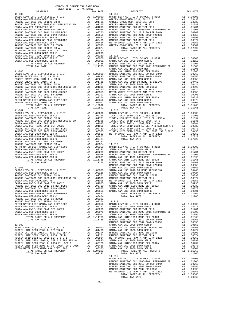| COUNTY OF ORANGE TAX RATE BOOK<br>$2017-2018 \quad \text{TRA RATE B}$ DISTRICT |          |                        |          |
|--------------------------------------------------------------------------------|----------|------------------------|----------|
| $11 - 005$                                                                     | TAX RATE | DISTRICT<br>$11 - 010$ | TAX RATE |
|                                                                                |          |                        |          |
|                                                                                |          |                        |          |
|                                                                                |          |                        |          |
|                                                                                |          |                        |          |
|                                                                                |          |                        |          |
|                                                                                |          |                        |          |
|                                                                                |          |                        |          |
|                                                                                |          |                        |          |
|                                                                                |          |                        |          |
|                                                                                |          |                        |          |
|                                                                                |          |                        |          |
|                                                                                |          |                        |          |
|                                                                                |          |                        |          |
|                                                                                |          |                        |          |
|                                                                                |          |                        |          |
|                                                                                |          |                        |          |
|                                                                                |          |                        |          |
|                                                                                |          |                        |          |
|                                                                                |          |                        |          |
|                                                                                |          |                        |          |
|                                                                                |          |                        |          |
|                                                                                |          |                        |          |
|                                                                                |          |                        |          |
|                                                                                |          |                        |          |
|                                                                                |          |                        |          |
|                                                                                |          |                        |          |
|                                                                                |          |                        |          |
|                                                                                |          |                        |          |
|                                                                                |          |                        |          |
|                                                                                |          |                        |          |
|                                                                                |          |                        |          |
|                                                                                |          |                        |          |
|                                                                                |          |                        |          |
|                                                                                |          |                        |          |
|                                                                                |          |                        |          |
|                                                                                |          |                        |          |
|                                                                                |          |                        |          |
|                                                                                |          |                        |          |
|                                                                                |          |                        |          |
|                                                                                |          |                        |          |
|                                                                                |          |                        |          |
|                                                                                |          |                        |          |
|                                                                                |          |                        |          |
|                                                                                |          |                        |          |
|                                                                                |          |                        |          |
|                                                                                |          |                        |          |
|                                                                                |          |                        |          |
|                                                                                |          |                        |          |
|                                                                                |          |                        |          |
|                                                                                |          |                        |          |
|                                                                                |          |                        |          |
|                                                                                |          |                        |          |
|                                                                                |          |                        |          |
|                                                                                |          |                        |          |
|                                                                                |          |                        |          |
|                                                                                |          |                        |          |
|                                                                                |          |                        |          |
|                                                                                |          |                        |          |
|                                                                                |          |                        |          |
|                                                                                |          |                        |          |
|                                                                                |          |                        |          |
|                                                                                |          |                        |          |
|                                                                                |          |                        |          |
|                                                                                |          |                        |          |
|                                                                                |          |                        |          |
|                                                                                |          |                        |          |
|                                                                                |          |                        |          |
|                                                                                |          | $11 - 015$             |          |
|                                                                                |          |                        |          |
|                                                                                |          |                        |          |
|                                                                                |          |                        |          |
|                                                                                |          |                        |          |
|                                                                                |          |                        |          |
|                                                                                |          |                        |          |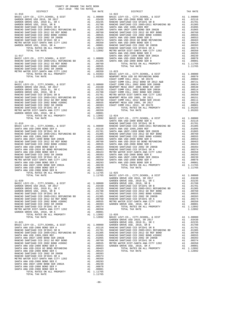| COUNTY OF ORANGE TAX RATE BOOK                                                                                                                                    |  |                                                                                                                                                                                                                                               |          |
|-------------------------------------------------------------------------------------------------------------------------------------------------------------------|--|-----------------------------------------------------------------------------------------------------------------------------------------------------------------------------------------------------------------------------------------------|----------|
| $\begin{minipage}{.03\linewidth} \begin{tabular}{lcccccc} & & & & & & \\ \hline 2017-2018 & TRA TAX RATES \\ \end{tabular} \end{minipage}$ DISTRICT<br>$11 - 016$ |  | A IAA RAIBU<br>TAX RATE<br>DISTRICT<br>$11 - 022$                                                                                                                                                                                             | TAX RATE |
|                                                                                                                                                                   |  |                                                                                                                                                                                                                                               |          |
|                                                                                                                                                                   |  |                                                                                                                                                                                                                                               |          |
|                                                                                                                                                                   |  |                                                                                                                                                                                                                                               |          |
|                                                                                                                                                                   |  |                                                                                                                                                                                                                                               |          |
|                                                                                                                                                                   |  |                                                                                                                                                                                                                                               |          |
|                                                                                                                                                                   |  |                                                                                                                                                                                                                                               |          |
|                                                                                                                                                                   |  |                                                                                                                                                                                                                                               |          |
|                                                                                                                                                                   |  |                                                                                                                                                                                                                                               |          |
|                                                                                                                                                                   |  |                                                                                                                                                                                                                                               |          |
|                                                                                                                                                                   |  |                                                                                                                                                                                                                                               |          |
|                                                                                                                                                                   |  |                                                                                                                                                                                                                                               |          |
|                                                                                                                                                                   |  |                                                                                                                                                                                                                                               |          |
|                                                                                                                                                                   |  |                                                                                                                                                                                                                                               |          |
|                                                                                                                                                                   |  |                                                                                                                                                                                                                                               |          |
|                                                                                                                                                                   |  |                                                                                                                                                                                                                                               |          |
|                                                                                                                                                                   |  |                                                                                                                                                                                                                                               |          |
|                                                                                                                                                                   |  |                                                                                                                                                                                                                                               |          |
|                                                                                                                                                                   |  |                                                                                                                                                                                                                                               |          |
|                                                                                                                                                                   |  |                                                                                                                                                                                                                                               |          |
|                                                                                                                                                                   |  |                                                                                                                                                                                                                                               |          |
|                                                                                                                                                                   |  |                                                                                                                                                                                                                                               |          |
|                                                                                                                                                                   |  |                                                                                                                                                                                                                                               |          |
|                                                                                                                                                                   |  |                                                                                                                                                                                                                                               |          |
|                                                                                                                                                                   |  |                                                                                                                                                                                                                                               |          |
|                                                                                                                                                                   |  |                                                                                                                                                                                                                                               |          |
|                                                                                                                                                                   |  |                                                                                                                                                                                                                                               |          |
|                                                                                                                                                                   |  |                                                                                                                                                                                                                                               |          |
|                                                                                                                                                                   |  |                                                                                                                                                                                                                                               |          |
|                                                                                                                                                                   |  |                                                                                                                                                                                                                                               |          |
|                                                                                                                                                                   |  |                                                                                                                                                                                                                                               |          |
|                                                                                                                                                                   |  |                                                                                                                                                                                                                                               |          |
|                                                                                                                                                                   |  |                                                                                                                                                                                                                                               |          |
|                                                                                                                                                                   |  |                                                                                                                                                                                                                                               |          |
|                                                                                                                                                                   |  |                                                                                                                                                                                                                                               |          |
|                                                                                                                                                                   |  |                                                                                                                                                                                                                                               |          |
|                                                                                                                                                                   |  |                                                                                                                                                                                                                                               |          |
|                                                                                                                                                                   |  |                                                                                                                                                                                                                                               |          |
|                                                                                                                                                                   |  |                                                                                                                                                                                                                                               |          |
|                                                                                                                                                                   |  |                                                                                                                                                                                                                                               |          |
|                                                                                                                                                                   |  |                                                                                                                                                                                                                                               |          |
|                                                                                                                                                                   |  |                                                                                                                                                                                                                                               |          |
|                                                                                                                                                                   |  |                                                                                                                                                                                                                                               |          |
|                                                                                                                                                                   |  |                                                                                                                                                                                                                                               |          |
|                                                                                                                                                                   |  | 1.11765 BASIC LEVY-CO., CITY, SCHOOL, & DIST<br>1.11765 BASIC LEVY-CO., CITY, SCHOOL, & DIST<br>2.0235 GARDEN GROVE USD 2016, SR 2017 A1<br>1.00000 GARDEN GROVE USD 2016, SR 2017 A1<br>2.0235 GARDEN GROVE USD, 2010 EL, SR C<br>2.1 0.0235 |          |
|                                                                                                                                                                   |  |                                                                                                                                                                                                                                               |          |
|                                                                                                                                                                   |  |                                                                                                                                                                                                                                               |          |
|                                                                                                                                                                   |  |                                                                                                                                                                                                                                               |          |
|                                                                                                                                                                   |  |                                                                                                                                                                                                                                               |          |
|                                                                                                                                                                   |  |                                                                                                                                                                                                                                               |          |
|                                                                                                                                                                   |  |                                                                                                                                                                                                                                               |          |
|                                                                                                                                                                   |  |                                                                                                                                                                                                                                               |          |
|                                                                                                                                                                   |  | 1.1478 - 1.1478 - 1.1478 - 1.1478 - 1.1478 - 1.1478 - 1.1478 - 1.1478 - 1.1478 - 1.1478 - 1.1478 - 1.1478 - 1.1478 - 1.1478 - 1.1478 - 1.1478 - 1.1478 - 1.1478 - 1.1478 - 1.1478 - 1.1478 - 1.1478 - 1.1478 - 1.1478 - 1.147                 |          |
|                                                                                                                                                                   |  |                                                                                                                                                                                                                                               |          |
|                                                                                                                                                                   |  |                                                                                                                                                                                                                                               |          |
|                                                                                                                                                                   |  |                                                                                                                                                                                                                                               |          |
|                                                                                                                                                                   |  |                                                                                                                                                                                                                                               |          |
|                                                                                                                                                                   |  |                                                                                                                                                                                                                                               |          |
|                                                                                                                                                                   |  |                                                                                                                                                                                                                                               |          |
|                                                                                                                                                                   |  |                                                                                                                                                                                                                                               |          |
|                                                                                                                                                                   |  |                                                                                                                                                                                                                                               |          |
|                                                                                                                                                                   |  |                                                                                                                                                                                                                                               |          |
|                                                                                                                                                                   |  |                                                                                                                                                                                                                                               |          |
|                                                                                                                                                                   |  |                                                                                                                                                                                                                                               |          |
|                                                                                                                                                                   |  |                                                                                                                                                                                                                                               |          |
|                                                                                                                                                                   |  |                                                                                                                                                                                                                                               |          |
|                                                                                                                                                                   |  |                                                                                                                                                                                                                                               |          |
|                                                                                                                                                                   |  |                                                                                                                                                                                                                                               |          |
|                                                                                                                                                                   |  |                                                                                                                                                                                                                                               |          |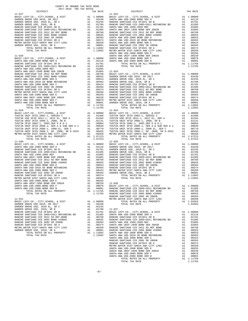| COUNTY OF ORANGE TAX RATE BOOK                                                                                                                                                                                                                                                                                                                                                                                                                                                                                                   |  |                                                                                                                                                                                                                                                                                                                           |          |
|----------------------------------------------------------------------------------------------------------------------------------------------------------------------------------------------------------------------------------------------------------------------------------------------------------------------------------------------------------------------------------------------------------------------------------------------------------------------------------------------------------------------------------|--|---------------------------------------------------------------------------------------------------------------------------------------------------------------------------------------------------------------------------------------------------------------------------------------------------------------------------|----------|
| $\begin{minipage}{.4\linewidth} \begin{tabular}{lcccccc} & & & & & \\ \multicolumn{2}{c}{0.4\linewidth} & & & & \\ \multicolumn{2}{c}{0.4\linewidth} & & & & \\ \multicolumn{2}{c}{0.4\linewidth} & & & & \\ \multicolumn{2}{c}{0.4\linewidth} & & & & \\ \multicolumn{2}{c}{0.4\linewidth} & & & & \\ \multicolumn{2}{c}{0.4\linewidth} & & & & \\ \multicolumn{2}{c}{0.4\linewidth} & & & & \\ \multicolumn{2}{c}{0.4\linewidth} & & & & \\ \multicolumn{2}{c}{0.4\linewidth} & & & & \\ \multicolumn{2}{c}{0.4$<br>$11 - 027$ |  | A TAX KAILS<br>TAX RATE<br>DISTRICT<br>$11 - 032$                                                                                                                                                                                                                                                                         | TAX RATE |
|                                                                                                                                                                                                                                                                                                                                                                                                                                                                                                                                  |  |                                                                                                                                                                                                                                                                                                                           |          |
|                                                                                                                                                                                                                                                                                                                                                                                                                                                                                                                                  |  |                                                                                                                                                                                                                                                                                                                           |          |
|                                                                                                                                                                                                                                                                                                                                                                                                                                                                                                                                  |  |                                                                                                                                                                                                                                                                                                                           |          |
|                                                                                                                                                                                                                                                                                                                                                                                                                                                                                                                                  |  |                                                                                                                                                                                                                                                                                                                           |          |
|                                                                                                                                                                                                                                                                                                                                                                                                                                                                                                                                  |  |                                                                                                                                                                                                                                                                                                                           |          |
|                                                                                                                                                                                                                                                                                                                                                                                                                                                                                                                                  |  |                                                                                                                                                                                                                                                                                                                           |          |
|                                                                                                                                                                                                                                                                                                                                                                                                                                                                                                                                  |  |                                                                                                                                                                                                                                                                                                                           |          |
|                                                                                                                                                                                                                                                                                                                                                                                                                                                                                                                                  |  |                                                                                                                                                                                                                                                                                                                           |          |
|                                                                                                                                                                                                                                                                                                                                                                                                                                                                                                                                  |  |                                                                                                                                                                                                                                                                                                                           |          |
|                                                                                                                                                                                                                                                                                                                                                                                                                                                                                                                                  |  |                                                                                                                                                                                                                                                                                                                           |          |
|                                                                                                                                                                                                                                                                                                                                                                                                                                                                                                                                  |  |                                                                                                                                                                                                                                                                                                                           |          |
|                                                                                                                                                                                                                                                                                                                                                                                                                                                                                                                                  |  |                                                                                                                                                                                                                                                                                                                           |          |
|                                                                                                                                                                                                                                                                                                                                                                                                                                                                                                                                  |  |                                                                                                                                                                                                                                                                                                                           |          |
|                                                                                                                                                                                                                                                                                                                                                                                                                                                                                                                                  |  |                                                                                                                                                                                                                                                                                                                           |          |
|                                                                                                                                                                                                                                                                                                                                                                                                                                                                                                                                  |  |                                                                                                                                                                                                                                                                                                                           |          |
|                                                                                                                                                                                                                                                                                                                                                                                                                                                                                                                                  |  |                                                                                                                                                                                                                                                                                                                           |          |
|                                                                                                                                                                                                                                                                                                                                                                                                                                                                                                                                  |  |                                                                                                                                                                                                                                                                                                                           |          |
|                                                                                                                                                                                                                                                                                                                                                                                                                                                                                                                                  |  |                                                                                                                                                                                                                                                                                                                           |          |
|                                                                                                                                                                                                                                                                                                                                                                                                                                                                                                                                  |  |                                                                                                                                                                                                                                                                                                                           |          |
|                                                                                                                                                                                                                                                                                                                                                                                                                                                                                                                                  |  |                                                                                                                                                                                                                                                                                                                           |          |
|                                                                                                                                                                                                                                                                                                                                                                                                                                                                                                                                  |  |                                                                                                                                                                                                                                                                                                                           |          |
|                                                                                                                                                                                                                                                                                                                                                                                                                                                                                                                                  |  |                                                                                                                                                                                                                                                                                                                           |          |
|                                                                                                                                                                                                                                                                                                                                                                                                                                                                                                                                  |  |                                                                                                                                                                                                                                                                                                                           |          |
|                                                                                                                                                                                                                                                                                                                                                                                                                                                                                                                                  |  |                                                                                                                                                                                                                                                                                                                           |          |
|                                                                                                                                                                                                                                                                                                                                                                                                                                                                                                                                  |  |                                                                                                                                                                                                                                                                                                                           |          |
|                                                                                                                                                                                                                                                                                                                                                                                                                                                                                                                                  |  |                                                                                                                                                                                                                                                                                                                           |          |
|                                                                                                                                                                                                                                                                                                                                                                                                                                                                                                                                  |  |                                                                                                                                                                                                                                                                                                                           |          |
|                                                                                                                                                                                                                                                                                                                                                                                                                                                                                                                                  |  |                                                                                                                                                                                                                                                                                                                           |          |
|                                                                                                                                                                                                                                                                                                                                                                                                                                                                                                                                  |  |                                                                                                                                                                                                                                                                                                                           |          |
|                                                                                                                                                                                                                                                                                                                                                                                                                                                                                                                                  |  |                                                                                                                                                                                                                                                                                                                           |          |
|                                                                                                                                                                                                                                                                                                                                                                                                                                                                                                                                  |  |                                                                                                                                                                                                                                                                                                                           |          |
|                                                                                                                                                                                                                                                                                                                                                                                                                                                                                                                                  |  |                                                                                                                                                                                                                                                                                                                           |          |
|                                                                                                                                                                                                                                                                                                                                                                                                                                                                                                                                  |  |                                                                                                                                                                                                                                                                                                                           |          |
|                                                                                                                                                                                                                                                                                                                                                                                                                                                                                                                                  |  |                                                                                                                                                                                                                                                                                                                           |          |
|                                                                                                                                                                                                                                                                                                                                                                                                                                                                                                                                  |  |                                                                                                                                                                                                                                                                                                                           |          |
|                                                                                                                                                                                                                                                                                                                                                                                                                                                                                                                                  |  |                                                                                                                                                                                                                                                                                                                           |          |
| $11 - 030$                                                                                                                                                                                                                                                                                                                                                                                                                                                                                                                       |  | $11 - 035$                                                                                                                                                                                                                                                                                                                |          |
|                                                                                                                                                                                                                                                                                                                                                                                                                                                                                                                                  |  |                                                                                                                                                                                                                                                                                                                           |          |
|                                                                                                                                                                                                                                                                                                                                                                                                                                                                                                                                  |  |                                                                                                                                                                                                                                                                                                                           |          |
|                                                                                                                                                                                                                                                                                                                                                                                                                                                                                                                                  |  |                                                                                                                                                                                                                                                                                                                           |          |
|                                                                                                                                                                                                                                                                                                                                                                                                                                                                                                                                  |  |                                                                                                                                                                                                                                                                                                                           |          |
|                                                                                                                                                                                                                                                                                                                                                                                                                                                                                                                                  |  |                                                                                                                                                                                                                                                                                                                           |          |
|                                                                                                                                                                                                                                                                                                                                                                                                                                                                                                                                  |  |                                                                                                                                                                                                                                                                                                                           |          |
|                                                                                                                                                                                                                                                                                                                                                                                                                                                                                                                                  |  |                                                                                                                                                                                                                                                                                                                           |          |
|                                                                                                                                                                                                                                                                                                                                                                                                                                                                                                                                  |  |                                                                                                                                                                                                                                                                                                                           |          |
|                                                                                                                                                                                                                                                                                                                                                                                                                                                                                                                                  |  | $\begin{tabular}{cccccccc} 11-030 & 1014\, \text{I} & 146 & 146\, \text{RIS} & 11-035 & 1014\, \text{I} & 1016\, \text{L} & 1016\, \text{L} & 1016\, \text{L} & 1016\, \text{L} & 1016\, \text{L} & 1016\, \text{L} & 1016\, \text{L} & 1016\, \text{L} & 1016\, \text{L} & 1016\, \text{L} & 1016\, \text{L} & 1016\, \$ |          |
|                                                                                                                                                                                                                                                                                                                                                                                                                                                                                                                                  |  |                                                                                                                                                                                                                                                                                                                           |          |
|                                                                                                                                                                                                                                                                                                                                                                                                                                                                                                                                  |  |                                                                                                                                                                                                                                                                                                                           |          |
|                                                                                                                                                                                                                                                                                                                                                                                                                                                                                                                                  |  |                                                                                                                                                                                                                                                                                                                           |          |
|                                                                                                                                                                                                                                                                                                                                                                                                                                                                                                                                  |  |                                                                                                                                                                                                                                                                                                                           |          |
|                                                                                                                                                                                                                                                                                                                                                                                                                                                                                                                                  |  |                                                                                                                                                                                                                                                                                                                           |          |
|                                                                                                                                                                                                                                                                                                                                                                                                                                                                                                                                  |  |                                                                                                                                                                                                                                                                                                                           |          |
|                                                                                                                                                                                                                                                                                                                                                                                                                                                                                                                                  |  |                                                                                                                                                                                                                                                                                                                           |          |
|                                                                                                                                                                                                                                                                                                                                                                                                                                                                                                                                  |  |                                                                                                                                                                                                                                                                                                                           |          |
|                                                                                                                                                                                                                                                                                                                                                                                                                                                                                                                                  |  |                                                                                                                                                                                                                                                                                                                           |          |
|                                                                                                                                                                                                                                                                                                                                                                                                                                                                                                                                  |  |                                                                                                                                                                                                                                                                                                                           |          |
|                                                                                                                                                                                                                                                                                                                                                                                                                                                                                                                                  |  |                                                                                                                                                                                                                                                                                                                           |          |
|                                                                                                                                                                                                                                                                                                                                                                                                                                                                                                                                  |  |                                                                                                                                                                                                                                                                                                                           |          |
|                                                                                                                                                                                                                                                                                                                                                                                                                                                                                                                                  |  |                                                                                                                                                                                                                                                                                                                           |          |
|                                                                                                                                                                                                                                                                                                                                                                                                                                                                                                                                  |  |                                                                                                                                                                                                                                                                                                                           |          |
|                                                                                                                                                                                                                                                                                                                                                                                                                                                                                                                                  |  |                                                                                                                                                                                                                                                                                                                           |          |
|                                                                                                                                                                                                                                                                                                                                                                                                                                                                                                                                  |  |                                                                                                                                                                                                                                                                                                                           |          |
|                                                                                                                                                                                                                                                                                                                                                                                                                                                                                                                                  |  |                                                                                                                                                                                                                                                                                                                           |          |
|                                                                                                                                                                                                                                                                                                                                                                                                                                                                                                                                  |  |                                                                                                                                                                                                                                                                                                                           |          |
|                                                                                                                                                                                                                                                                                                                                                                                                                                                                                                                                  |  |                                                                                                                                                                                                                                                                                                                           |          |
|                                                                                                                                                                                                                                                                                                                                                                                                                                                                                                                                  |  |                                                                                                                                                                                                                                                                                                                           |          |
|                                                                                                                                                                                                                                                                                                                                                                                                                                                                                                                                  |  |                                                                                                                                                                                                                                                                                                                           |          |
|                                                                                                                                                                                                                                                                                                                                                                                                                                                                                                                                  |  |                                                                                                                                                                                                                                                                                                                           |          |
|                                                                                                                                                                                                                                                                                                                                                                                                                                                                                                                                  |  |                                                                                                                                                                                                                                                                                                                           |          |
|                                                                                                                                                                                                                                                                                                                                                                                                                                                                                                                                  |  |                                                                                                                                                                                                                                                                                                                           |          |
|                                                                                                                                                                                                                                                                                                                                                                                                                                                                                                                                  |  |                                                                                                                                                                                                                                                                                                                           |          |
|                                                                                                                                                                                                                                                                                                                                                                                                                                                                                                                                  |  |                                                                                                                                                                                                                                                                                                                           |          |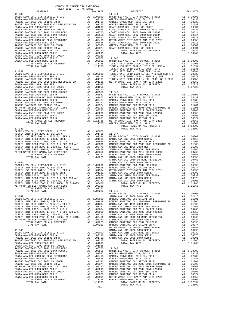| COUNTY OF ORANGE TAX RATE BOOK<br>2017-2018 TRA TAX RATES<br>$2017-2018 \quad \text{TRA RATE}$ DISTRICT $$\tt 2017-2018$$ TRA TAX RATES |          |          |          |
|-----------------------------------------------------------------------------------------------------------------------------------------|----------|----------|----------|
|                                                                                                                                         | TAX RATE | DISTRICT | TAX RATE |
|                                                                                                                                         |          |          |          |
|                                                                                                                                         |          |          |          |
|                                                                                                                                         |          |          |          |
|                                                                                                                                         |          |          |          |
|                                                                                                                                         |          |          |          |
|                                                                                                                                         |          |          |          |
|                                                                                                                                         |          |          |          |
|                                                                                                                                         |          |          |          |
|                                                                                                                                         |          |          |          |
|                                                                                                                                         |          |          |          |
|                                                                                                                                         |          |          |          |
|                                                                                                                                         |          |          |          |
|                                                                                                                                         |          |          |          |
|                                                                                                                                         |          |          |          |
|                                                                                                                                         |          |          |          |
|                                                                                                                                         |          |          |          |
|                                                                                                                                         |          |          |          |
|                                                                                                                                         |          |          |          |
|                                                                                                                                         |          |          |          |
|                                                                                                                                         |          |          |          |
|                                                                                                                                         |          |          |          |
|                                                                                                                                         |          |          |          |
|                                                                                                                                         |          |          |          |
|                                                                                                                                         |          |          |          |
|                                                                                                                                         |          |          |          |
|                                                                                                                                         |          |          |          |
|                                                                                                                                         |          |          |          |
|                                                                                                                                         |          |          |          |
|                                                                                                                                         |          |          |          |
|                                                                                                                                         |          |          |          |
|                                                                                                                                         |          |          |          |
|                                                                                                                                         |          |          |          |
|                                                                                                                                         |          |          |          |
|                                                                                                                                         |          |          |          |
|                                                                                                                                         |          |          |          |
|                                                                                                                                         |          |          |          |
|                                                                                                                                         |          |          |          |
|                                                                                                                                         |          |          |          |
|                                                                                                                                         |          |          |          |
|                                                                                                                                         |          |          |          |
|                                                                                                                                         |          |          |          |
|                                                                                                                                         |          |          |          |
|                                                                                                                                         |          |          |          |
|                                                                                                                                         |          |          |          |
|                                                                                                                                         |          |          |          |
|                                                                                                                                         |          |          |          |
|                                                                                                                                         |          |          |          |
|                                                                                                                                         |          |          |          |
|                                                                                                                                         |          |          |          |
|                                                                                                                                         |          |          |          |
| WHE DIST-SANTA ANA CITY 1202<br>TOTAL RATES ON ALL PROPERTY A1 1.07223<br>$\cdots$ and 1.07223<br>1.07223                               |          |          |          |
|                                                                                                                                         |          | 11-048   |          |
|                                                                                                                                         |          |          |          |
|                                                                                                                                         |          |          |          |
|                                                                                                                                         |          |          |          |
|                                                                                                                                         |          |          |          |
|                                                                                                                                         |          |          |          |
|                                                                                                                                         |          |          |          |
|                                                                                                                                         |          |          |          |
|                                                                                                                                         |          |          |          |
|                                                                                                                                         |          |          |          |
|                                                                                                                                         |          |          |          |
|                                                                                                                                         |          |          |          |
|                                                                                                                                         |          |          |          |
|                                                                                                                                         |          |          |          |
|                                                                                                                                         |          |          |          |
|                                                                                                                                         |          |          |          |
|                                                                                                                                         |          |          |          |
|                                                                                                                                         |          |          |          |
|                                                                                                                                         |          |          |          |
|                                                                                                                                         |          |          |          |
|                                                                                                                                         |          |          |          |
|                                                                                                                                         |          |          |          |
|                                                                                                                                         |          |          |          |
|                                                                                                                                         |          |          |          |
|                                                                                                                                         |          |          |          |
|                                                                                                                                         |          |          |          |
|                                                                                                                                         |          |          |          |
|                                                                                                                                         |          |          |          |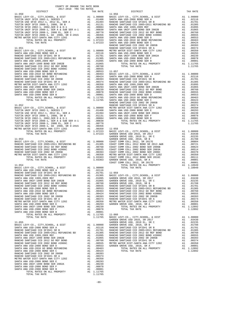| COUNTY OF ORANGE TAX RATE BOOK<br>$2017-2018 \quad \text{TRA TAX RATES}$ DISTRICT $\hspace{2.5cm}$ |          |          |          |
|----------------------------------------------------------------------------------------------------|----------|----------|----------|
|                                                                                                    | TAX RATE | DISTRICT | TAX RATE |
|                                                                                                    |          |          |          |
|                                                                                                    |          |          |          |
|                                                                                                    |          |          |          |
|                                                                                                    |          |          |          |
|                                                                                                    |          |          |          |
|                                                                                                    |          |          |          |
|                                                                                                    |          |          |          |
|                                                                                                    |          |          |          |
|                                                                                                    |          |          |          |
|                                                                                                    |          |          |          |
|                                                                                                    |          |          |          |
|                                                                                                    |          |          |          |
|                                                                                                    |          |          |          |
|                                                                                                    |          |          |          |
|                                                                                                    |          |          |          |
|                                                                                                    |          |          |          |
|                                                                                                    |          |          |          |
|                                                                                                    |          |          |          |
|                                                                                                    |          |          |          |
|                                                                                                    |          |          |          |
|                                                                                                    |          |          |          |
|                                                                                                    |          |          |          |
|                                                                                                    |          |          |          |
|                                                                                                    |          |          |          |
|                                                                                                    |          |          |          |
|                                                                                                    |          |          |          |
|                                                                                                    |          |          |          |
|                                                                                                    |          |          |          |
|                                                                                                    |          |          |          |
|                                                                                                    |          |          |          |
|                                                                                                    |          |          |          |
|                                                                                                    |          |          |          |
|                                                                                                    |          |          |          |
|                                                                                                    |          |          |          |
|                                                                                                    |          |          |          |
|                                                                                                    |          |          |          |
|                                                                                                    |          |          |          |
|                                                                                                    |          |          |          |
|                                                                                                    |          |          |          |
|                                                                                                    |          |          |          |
|                                                                                                    |          |          |          |
|                                                                                                    |          |          |          |
|                                                                                                    |          |          |          |
|                                                                                                    |          |          |          |
|                                                                                                    |          |          |          |
|                                                                                                    |          |          |          |
|                                                                                                    |          |          |          |
|                                                                                                    |          |          |          |
|                                                                                                    |          |          |          |
|                                                                                                    |          |          |          |
|                                                                                                    |          |          |          |
|                                                                                                    |          |          |          |
|                                                                                                    |          |          |          |
|                                                                                                    |          |          |          |
|                                                                                                    |          |          |          |
|                                                                                                    |          |          |          |
|                                                                                                    |          |          |          |
|                                                                                                    |          |          |          |
|                                                                                                    |          |          |          |
|                                                                                                    |          |          |          |
|                                                                                                    |          |          |          |
|                                                                                                    |          |          |          |
|                                                                                                    |          |          |          |
|                                                                                                    |          |          |          |
|                                                                                                    |          |          |          |
|                                                                                                    |          |          |          |
|                                                                                                    |          |          |          |
|                                                                                                    |          |          |          |
|                                                                                                    |          |          |          |

|                   |                | IAA KAIR   |  |
|-------------------|----------------|------------|--|
| OL, & DIST        |                | A1 1,00000 |  |
| FR A              | A <sub>1</sub> | .02116     |  |
| 1 SR B            | A <sub>1</sub> | .01701     |  |
| 2011 REFUNDING BD | A 1            | .01305     |  |
| FF                | A <sub>1</sub> | .01095     |  |

-89-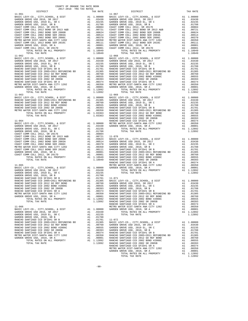|                        | 2017-2018 TRA TAX RATES |          |                        |          |
|------------------------|-------------------------|----------|------------------------|----------|
| DISTRICT<br>$11 - 061$ |                         | TAX RATE | $11 - 067$<br>DISTRICT | TAX RATE |
|                        |                         |          |                        |          |
|                        |                         |          |                        |          |
|                        |                         |          |                        |          |
|                        |                         |          |                        |          |
|                        |                         |          |                        |          |
|                        |                         |          |                        |          |
|                        |                         |          |                        |          |
|                        |                         |          |                        |          |
|                        |                         |          |                        |          |
|                        |                         |          |                        |          |
|                        |                         |          |                        |          |
|                        |                         |          |                        |          |
|                        |                         |          |                        |          |
|                        |                         |          |                        |          |
|                        |                         |          |                        |          |
|                        |                         |          |                        |          |
|                        |                         |          |                        |          |
|                        |                         |          |                        |          |
|                        |                         |          |                        |          |
|                        |                         |          |                        |          |
|                        |                         |          |                        |          |
|                        |                         |          |                        |          |
|                        |                         |          |                        |          |
|                        |                         |          |                        |          |
|                        |                         |          |                        |          |
|                        |                         |          |                        |          |
|                        |                         |          |                        |          |
|                        |                         |          |                        |          |
|                        |                         |          |                        |          |
|                        |                         |          |                        |          |
|                        |                         |          |                        |          |
|                        |                         |          |                        |          |
|                        |                         |          |                        |          |
|                        |                         |          |                        |          |
|                        |                         |          |                        |          |
|                        |                         |          |                        |          |
|                        |                         |          |                        |          |
|                        |                         |          |                        |          |
|                        |                         |          |                        |          |
|                        |                         |          |                        |          |
|                        |                         |          |                        |          |
|                        |                         |          |                        |          |
|                        |                         |          |                        |          |
|                        |                         |          |                        |          |
|                        |                         |          |                        |          |
|                        |                         |          |                        |          |
|                        |                         |          |                        |          |
|                        |                         |          |                        |          |
|                        |                         |          |                        |          |
|                        |                         |          |                        |          |
|                        |                         |          |                        |          |
|                        |                         |          |                        |          |
|                        |                         |          |                        |          |
|                        |                         |          |                        |          |
|                        |                         |          |                        |          |
|                        |                         |          |                        |          |
|                        |                         |          |                        |          |
|                        |                         |          |                        |          |
|                        |                         |          |                        |          |
|                        |                         |          |                        |          |
|                        |                         |          |                        |          |
|                        |                         |          |                        |          |

TOTAL RATES ON ALL PROPERTY A1 1.12892<br>TOTAL TAX RATE 1.12892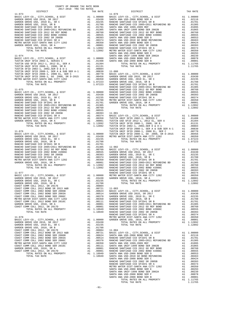| 2017-2018 TRA TAX RATES<br>DISTRICT | TAX RATE | DISTRICT | TAX RATE |
|-------------------------------------|----------|----------|----------|
|                                     |          |          |          |
|                                     |          |          |          |
|                                     |          |          |          |
|                                     |          |          |          |
|                                     |          |          |          |
|                                     |          |          |          |
|                                     |          |          |          |
|                                     |          |          |          |
|                                     |          |          |          |
|                                     |          |          |          |
|                                     |          |          |          |
|                                     |          |          |          |
|                                     |          |          |          |
|                                     |          |          |          |
|                                     |          |          |          |
|                                     |          |          |          |
|                                     |          |          |          |
|                                     |          |          |          |
|                                     |          |          |          |
|                                     |          |          |          |
|                                     |          |          |          |
|                                     |          |          |          |
|                                     |          |          |          |
|                                     |          |          |          |
|                                     |          |          |          |
|                                     |          |          |          |
|                                     |          |          |          |
|                                     |          |          |          |
|                                     |          |          |          |
|                                     |          |          |          |
|                                     |          |          |          |
|                                     |          |          |          |
|                                     |          |          |          |
|                                     |          |          |          |
|                                     |          |          |          |
|                                     |          |          |          |
|                                     |          |          |          |
|                                     |          |          |          |
|                                     |          |          |          |
|                                     |          |          |          |
|                                     |          |          |          |
|                                     |          |          |          |
|                                     |          |          |          |
|                                     |          |          |          |
|                                     |          |          |          |
|                                     |          |          |          |
|                                     |          |          |          |
|                                     |          |          |          |
|                                     |          |          |          |
|                                     |          |          |          |
|                                     |          |          |          |
|                                     |          |          |          |
|                                     |          |          |          |
|                                     |          |          |          |
|                                     |          |          |          |
|                                     |          |          |          |
|                                     |          |          |          |
|                                     |          |          |          |
|                                     |          |          |          |
|                                     |          |          |          |
|                                     |          |          |          |
|                                     |          |          |          |
|                                     |          |          |          |
|                                     |          |          |          |
|                                     |          |          |          |
|                                     |          |          |          |
|                                     |          |          |          |
|                                     |          |          |          |
|                                     |          |          |          |
|                                     |          |          |          |
|                                     |          |          |          |
|                                     |          |          |          |
|                                     |          |          |          |
|                                     |          |          |          |
|                                     |          |          |          |
|                                     |          |          |          |
|                                     |          |          |          |
|                                     |          |          |          |
|                                     |          |          |          |
|                                     |          |          |          |
|                                     |          |          |          |
|                                     |          |          |          |
|                                     |          |          |          |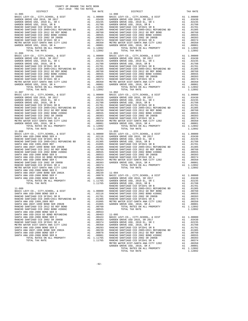| DISTRICT   | TAX RATE | DISTRICT                                                                                                                                                                                                                                                                    | TAX RATE |
|------------|----------|-----------------------------------------------------------------------------------------------------------------------------------------------------------------------------------------------------------------------------------------------------------------------------|----------|
| $11 - 085$ |          | $11 - 090$                                                                                                                                                                                                                                                                  |          |
|            |          |                                                                                                                                                                                                                                                                             |          |
|            |          |                                                                                                                                                                                                                                                                             |          |
|            |          |                                                                                                                                                                                                                                                                             |          |
|            |          |                                                                                                                                                                                                                                                                             |          |
|            |          |                                                                                                                                                                                                                                                                             |          |
|            |          |                                                                                                                                                                                                                                                                             |          |
|            |          |                                                                                                                                                                                                                                                                             |          |
|            |          |                                                                                                                                                                                                                                                                             |          |
|            |          |                                                                                                                                                                                                                                                                             |          |
|            |          |                                                                                                                                                                                                                                                                             |          |
|            |          |                                                                                                                                                                                                                                                                             |          |
|            |          |                                                                                                                                                                                                                                                                             |          |
|            |          |                                                                                                                                                                                                                                                                             |          |
|            |          |                                                                                                                                                                                                                                                                             |          |
|            |          |                                                                                                                                                                                                                                                                             |          |
|            |          |                                                                                                                                                                                                                                                                             |          |
|            |          |                                                                                                                                                                                                                                                                             |          |
|            |          |                                                                                                                                                                                                                                                                             |          |
|            |          |                                                                                                                                                                                                                                                                             |          |
|            |          |                                                                                                                                                                                                                                                                             |          |
|            |          |                                                                                                                                                                                                                                                                             |          |
|            |          |                                                                                                                                                                                                                                                                             |          |
|            |          |                                                                                                                                                                                                                                                                             |          |
|            |          |                                                                                                                                                                                                                                                                             |          |
|            |          |                                                                                                                                                                                                                                                                             |          |
|            |          |                                                                                                                                                                                                                                                                             |          |
|            |          |                                                                                                                                                                                                                                                                             |          |
|            |          |                                                                                                                                                                                                                                                                             |          |
|            |          |                                                                                                                                                                                                                                                                             |          |
|            |          | $\begin{tabular}{l c c c c} 11-086 & 11-0010 & 11-011 & 1011 & 1011 & 1011 & 1011 & 1011 & 1011 & 1011 & 1011 & 1011 & 1011 & 1011 & 1011 & 1011 & 1011 & 1011 & 1011 & 1011 & 1011 & 1011 & 1011 & 1011 & 1011 & 1011 & 1011 & 1011 & 1011 & 1011 & 1011 & 1011 & 1011$    |          |
|            |          |                                                                                                                                                                                                                                                                             |          |
|            |          |                                                                                                                                                                                                                                                                             |          |
|            |          |                                                                                                                                                                                                                                                                             |          |
|            |          |                                                                                                                                                                                                                                                                             |          |
|            |          |                                                                                                                                                                                                                                                                             |          |
|            |          |                                                                                                                                                                                                                                                                             |          |
|            |          |                                                                                                                                                                                                                                                                             |          |
|            |          |                                                                                                                                                                                                                                                                             |          |
|            |          |                                                                                                                                                                                                                                                                             |          |
|            |          |                                                                                                                                                                                                                                                                             |          |
|            |          |                                                                                                                                                                                                                                                                             |          |
|            |          |                                                                                                                                                                                                                                                                             |          |
|            |          |                                                                                                                                                                                                                                                                             |          |
|            |          |                                                                                                                                                                                                                                                                             |          |
|            |          |                                                                                                                                                                                                                                                                             |          |
|            |          |                                                                                                                                                                                                                                                                             |          |
|            |          | $\begin{tabular}{c  c  c c c} 11-097 & 2017 & 2017 & 2017 & 2017 & 2017 & 2017 & 2017 & 2017 & 2017 & 2017 & 2017 & 2017 & 2017 & 2017 & 2017 & 2017 & 2017 & 2017 & 2017 & 2017 & 2017 & 2017 & 2017 & 2017 & 2017 & 2017 & 2017 & 2017 & 2017 & 2017 & 2017 & 2017 & 201$ |          |
|            |          |                                                                                                                                                                                                                                                                             |          |
|            |          |                                                                                                                                                                                                                                                                             |          |
|            |          |                                                                                                                                                                                                                                                                             |          |
|            |          |                                                                                                                                                                                                                                                                             |          |
|            |          |                                                                                                                                                                                                                                                                             |          |
|            |          |                                                                                                                                                                                                                                                                             |          |
|            |          |                                                                                                                                                                                                                                                                             |          |
|            |          |                                                                                                                                                                                                                                                                             |          |
|            |          |                                                                                                                                                                                                                                                                             |          |
|            |          |                                                                                                                                                                                                                                                                             |          |
|            |          |                                                                                                                                                                                                                                                                             |          |
|            |          |                                                                                                                                                                                                                                                                             |          |
|            |          |                                                                                                                                                                                                                                                                             |          |
|            |          |                                                                                                                                                                                                                                                                             |          |
|            |          |                                                                                                                                                                                                                                                                             |          |
|            |          |                                                                                                                                                                                                                                                                             |          |
|            |          |                                                                                                                                                                                                                                                                             |          |
|            |          |                                                                                                                                                                                                                                                                             |          |
|            |          |                                                                                                                                                                                                                                                                             |          |
|            |          |                                                                                                                                                                                                                                                                             |          |
|            |          |                                                                                                                                                                                                                                                                             |          |
|            |          |                                                                                                                                                                                                                                                                             |          |
|            |          |                                                                                                                                                                                                                                                                             |          |
|            |          |                                                                                                                                                                                                                                                                             |          |
|            |          |                                                                                                                                                                                                                                                                             |          |
|            |          |                                                                                                                                                                                                                                                                             |          |
|            |          |                                                                                                                                                                                                                                                                             |          |
|            |          |                                                                                                                                                                                                                                                                             |          |
|            |          |                                                                                                                                                                                                                                                                             |          |
|            |          |                                                                                                                                                                                                                                                                             |          |
|            |          |                                                                                                                                                                                                                                                                             |          |
|            |          |                                                                                                                                                                                                                                                                             |          |
|            |          |                                                                                                                                                                                                                                                                             |          |
|            |          |                                                                                                                                                                                                                                                                             |          |
|            |          |                                                                                                                                                                                                                                                                             |          |
|            |          |                                                                                                                                                                                                                                                                             |          |
|            |          |                                                                                                                                                                                                                                                                             |          |
|            |          |                                                                                                                                                                                                                                                                             |          |
|            |          |                                                                                                                                                                                                                                                                             |          |
|            |          |                                                                                                                                                                                                                                                                             |          |
|            |          |                                                                                                                                                                                                                                                                             |          |

|            |           |  |                         | COUNTY OF ORANGE TAX RATE BOOK |  |
|------------|-----------|--|-------------------------|--------------------------------|--|
|            |           |  | 2017-2018 TRA TAX RATES |                                |  |
|            | DISTRICT. |  |                         | TAX RATF                       |  |
| $11 - 085$ |           |  |                         |                                |  |

| $11 - 085$ |  | $11 - 090$ |  |
|------------|--|------------|--|
|            |  |            |  |
|            |  |            |  |
|            |  |            |  |
|            |  |            |  |
|            |  |            |  |
|            |  |            |  |
|            |  |            |  |
|            |  |            |  |
|            |  |            |  |
|            |  |            |  |
|            |  |            |  |
|            |  |            |  |
|            |  |            |  |
| $11 - 086$ |  | $11 - 091$ |  |
|            |  |            |  |
|            |  |            |  |
|            |  |            |  |
|            |  |            |  |
|            |  |            |  |
|            |  |            |  |
|            |  |            |  |
|            |  |            |  |
|            |  |            |  |
|            |  |            |  |
|            |  |            |  |
|            |  |            |  |
|            |  |            |  |
| $11 - 087$ |  | $11 - 092$ |  |
|            |  |            |  |
|            |  |            |  |
|            |  |            |  |
|            |  |            |  |
|            |  |            |  |
|            |  |            |  |
|            |  |            |  |
|            |  |            |  |
|            |  |            |  |
|            |  |            |  |
|            |  |            |  |
|            |  |            |  |
|            |  |            |  |
|            |  |            |  |
|            |  |            |  |
|            |  |            |  |
|            |  |            |  |
|            |  |            |  |
|            |  |            |  |
|            |  |            |  |
|            |  |            |  |
|            |  |            |  |
|            |  |            |  |
|            |  |            |  |
|            |  |            |  |
|            |  |            |  |
|            |  |            |  |
|            |  |            |  |
|            |  |            |  |
|            |  |            |  |
|            |  |            |  |
|            |  |            |  |
|            |  |            |  |
|            |  |            |  |
|            |  |            |  |
|            |  |            |  |
|            |  |            |  |
|            |  |            |  |
|            |  |            |  |
|            |  |            |  |
|            |  |            |  |
|            |  |            |  |
|            |  |            |  |
|            |  |            |  |
|            |  |            |  |
|            |  |            |  |
|            |  |            |  |
|            |  |            |  |
|            |  |            |  |
|            |  |            |  |
|            |  |            |  |
|            |  |            |  |
|            |  |            |  |
|            |  |            |  |
|            |  |            |  |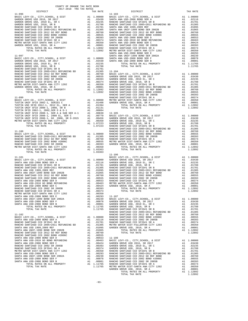|            |                                                                              |    |                                  | SANTA A    |
|------------|------------------------------------------------------------------------------|----|----------------------------------|------------|
| $11 - 097$ |                                                                              |    |                                  | SANTA A    |
|            |                                                                              |    |                                  |            |
|            |                                                                              |    |                                  |            |
|            |                                                                              |    |                                  |            |
|            |                                                                              |    |                                  |            |
|            |                                                                              |    |                                  |            |
|            |                                                                              |    |                                  |            |
|            |                                                                              |    |                                  |            |
|            |                                                                              |    |                                  |            |
|            |                                                                              |    |                                  |            |
|            |                                                                              |    |                                  |            |
|            |                                                                              |    |                                  |            |
|            |                                                                              |    |                                  | RANCHO     |
| $11 - 099$ |                                                                              |    |                                  | RANCHO     |
|            |                                                                              |    |                                  |            |
|            |                                                                              |    |                                  |            |
|            |                                                                              |    |                                  |            |
|            |                                                                              |    |                                  |            |
|            |                                                                              |    |                                  |            |
|            |                                                                              |    |                                  |            |
|            |                                                                              |    |                                  |            |
|            |                                                                              |    |                                  |            |
|            |                                                                              |    |                                  | RANCHO     |
| $11 - 100$ |                                                                              |    |                                  | RANCHO     |
|            |                                                                              |    |                                  |            |
|            |                                                                              |    |                                  |            |
|            |                                                                              |    |                                  |            |
|            |                                                                              |    |                                  |            |
|            |                                                                              |    |                                  |            |
|            | TOTAL TAX RATE                                                               |    | 1.03363                          |            |
|            |                                                                              |    |                                  | $11 - 106$ |
|            |                                                                              |    |                                  |            |
|            |                                                                              |    |                                  |            |
|            |                                                                              |    |                                  |            |
|            |                                                                              |    |                                  |            |
|            |                                                                              |    |                                  |            |
|            |                                                                              |    |                                  |            |
|            |                                                                              |    |                                  |            |
|            |                                                                              |    |                                  |            |
|            |                                                                              |    |                                  |            |
|            |                                                                              |    |                                  |            |
|            |                                                                              |    |                                  |            |
|            |                                                                              |    |                                  |            |
|            |                                                                              |    |                                  |            |
|            | SANTA ANA USD-2008 BOND SER F                                                |    | A1 .00078 GARDEN                 |            |
|            | SANTA ANA USD-2008 BOND SER B                                                | A1 | .00001                           | GARDEN     |
|            | TOTAL RATES ON ALL PROPERTY                                                  |    | A1 1.11765                       | GARDEN     |
|            | TOTAL TAX RATE                                                               |    | 1.11765 GARDEN<br>1.11765 RANCHO | RANCHO     |
| $11 - 102$ |                                                                              |    |                                  | RANCHO     |
|            |                                                                              |    |                                  |            |
|            |                                                                              |    |                                  |            |
|            |                                                                              |    |                                  |            |
|            |                                                                              |    |                                  |            |
|            | SANTA ANA UNIF-1999 BOND SER 2002B                                           |    | A1 .01065                        |            |
|            | RANCHO SANTIAGO CCD 2012 GO REF BOND<br>RANCHO SANTIAGO CCD 2002 BOND #2006C |    | A1 .00760<br>A1 .00555           |            |
|            | SANTA ANA USD-2008 BOND SER D                                                |    | A1 .00553 11-108                 |            |
|            | SANTA ANA USD-2010 GO BOND REFUNDING                                         |    | A1.00463                         | BASIC L    |
|            | SANTA ANA USD-2008 BOND SER C                                                | A1 | .00424                           | GARDEN     |
|            | RANCHO SANTIAGO CCD 2002 SR 2005B                                            |    |                                  |            |
|            |                                                                              |    |                                  |            |
|            | METRO WATER DIST-SANTA ANA CITY 1202<br>SANTA ANA USD-2008 BOND SER F        |    |                                  |            |
|            | SANTA ANA UNIF-1999 BOND SER 2002A                                           |    |                                  |            |
|            | SANTA ANA USD-2008 BOND SER F<br>SANTA ANA USD-2008 BOND SER B               |    |                                  |            |
|            |                                                                              |    |                                  |            |
|            |                                                                              |    |                                  |            |

| COUNTY OF ORANGE TAX RATE BOOK<br>$2017-2018 \quad \text{TRA RATES}$ DISTRICT $2017-2018 \quad \text{TRA TAX RATES}$ |          |                                                                                                                                                                                                                                   |          |
|----------------------------------------------------------------------------------------------------------------------|----------|-----------------------------------------------------------------------------------------------------------------------------------------------------------------------------------------------------------------------------------|----------|
|                                                                                                                      | TAX RATE | DISTRICT                                                                                                                                                                                                                          | TAX RATE |
|                                                                                                                      |          |                                                                                                                                                                                                                                   |          |
|                                                                                                                      |          |                                                                                                                                                                                                                                   |          |
|                                                                                                                      |          |                                                                                                                                                                                                                                   |          |
|                                                                                                                      |          |                                                                                                                                                                                                                                   |          |
|                                                                                                                      |          |                                                                                                                                                                                                                                   |          |
|                                                                                                                      |          |                                                                                                                                                                                                                                   |          |
|                                                                                                                      |          |                                                                                                                                                                                                                                   |          |
|                                                                                                                      |          |                                                                                                                                                                                                                                   |          |
|                                                                                                                      |          |                                                                                                                                                                                                                                   |          |
|                                                                                                                      |          |                                                                                                                                                                                                                                   |          |
|                                                                                                                      |          |                                                                                                                                                                                                                                   |          |
|                                                                                                                      |          |                                                                                                                                                                                                                                   |          |
|                                                                                                                      |          |                                                                                                                                                                                                                                   |          |
|                                                                                                                      |          |                                                                                                                                                                                                                                   |          |
|                                                                                                                      |          |                                                                                                                                                                                                                                   |          |
|                                                                                                                      |          |                                                                                                                                                                                                                                   |          |
|                                                                                                                      |          |                                                                                                                                                                                                                                   |          |
|                                                                                                                      |          |                                                                                                                                                                                                                                   |          |
|                                                                                                                      |          |                                                                                                                                                                                                                                   |          |
|                                                                                                                      |          |                                                                                                                                                                                                                                   |          |
|                                                                                                                      |          |                                                                                                                                                                                                                                   |          |
|                                                                                                                      |          |                                                                                                                                                                                                                                   |          |
|                                                                                                                      |          |                                                                                                                                                                                                                                   |          |
|                                                                                                                      |          |                                                                                                                                                                                                                                   |          |
|                                                                                                                      |          |                                                                                                                                                                                                                                   |          |
|                                                                                                                      |          |                                                                                                                                                                                                                                   |          |
|                                                                                                                      |          |                                                                                                                                                                                                                                   |          |
|                                                                                                                      |          |                                                                                                                                                                                                                                   |          |
|                                                                                                                      |          |                                                                                                                                                                                                                                   |          |
|                                                                                                                      |          |                                                                                                                                                                                                                                   |          |
|                                                                                                                      |          |                                                                                                                                                                                                                                   |          |
|                                                                                                                      |          |                                                                                                                                                                                                                                   |          |
|                                                                                                                      |          |                                                                                                                                                                                                                                   |          |
|                                                                                                                      |          |                                                                                                                                                                                                                                   |          |
|                                                                                                                      |          |                                                                                                                                                                                                                                   |          |
|                                                                                                                      |          |                                                                                                                                                                                                                                   |          |
|                                                                                                                      |          |                                                                                                                                                                                                                                   |          |
|                                                                                                                      |          |                                                                                                                                                                                                                                   |          |
|                                                                                                                      |          |                                                                                                                                                                                                                                   |          |
|                                                                                                                      |          |                                                                                                                                                                                                                                   |          |
|                                                                                                                      |          |                                                                                                                                                                                                                                   |          |
|                                                                                                                      |          |                                                                                                                                                                                                                                   |          |
|                                                                                                                      |          |                                                                                                                                                                                                                                   |          |
|                                                                                                                      |          |                                                                                                                                                                                                                                   |          |
|                                                                                                                      |          |                                                                                                                                                                                                                                   |          |
|                                                                                                                      |          |                                                                                                                                                                                                                                   |          |
|                                                                                                                      |          |                                                                                                                                                                                                                                   |          |
|                                                                                                                      |          |                                                                                                                                                                                                                                   |          |
|                                                                                                                      |          |                                                                                                                                                                                                                                   |          |
|                                                                                                                      |          |                                                                                                                                                                                                                                   |          |
|                                                                                                                      |          |                                                                                                                                                                                                                                   |          |
|                                                                                                                      |          |                                                                                                                                                                                                                                   |          |
|                                                                                                                      |          |                                                                                                                                                                                                                                   |          |
|                                                                                                                      |          |                                                                                                                                                                                                                                   |          |
|                                                                                                                      |          |                                                                                                                                                                                                                                   |          |
|                                                                                                                      |          |                                                                                                                                                                                                                                   |          |
|                                                                                                                      |          |                                                                                                                                                                                                                                   |          |
|                                                                                                                      |          |                                                                                                                                                                                                                                   |          |
|                                                                                                                      |          |                                                                                                                                                                                                                                   |          |
|                                                                                                                      |          |                                                                                                                                                                                                                                   |          |
|                                                                                                                      |          |                                                                                                                                                                                                                                   |          |
|                                                                                                                      |          |                                                                                                                                                                                                                                   |          |
|                                                                                                                      |          | METRO MARTEN ANN CHE PRODUCE A 1.00030<br>THE MARTEN ANN CITY 1202 A 1.00030<br>THE MARTEN ANN CHE PRODUCE A CONTINUES IN THE MARTEN CHE PRODUCE AN ALGORETY CONTINUES IN THE MARTEN CHE PRODUCE AN ALGORETY CONTINUES IN THE MAR |          |
|                                                                                                                      |          |                                                                                                                                                                                                                                   |          |
|                                                                                                                      |          |                                                                                                                                                                                                                                   |          |
|                                                                                                                      |          |                                                                                                                                                                                                                                   |          |
|                                                                                                                      |          |                                                                                                                                                                                                                                   |          |
|                                                                                                                      |          |                                                                                                                                                                                                                                   |          |
|                                                                                                                      |          |                                                                                                                                                                                                                                   |          |
|                                                                                                                      |          |                                                                                                                                                                                                                                   |          |
|                                                                                                                      |          |                                                                                                                                                                                                                                   |          |
|                                                                                                                      |          |                                                                                                                                                                                                                                   |          |
|                                                                                                                      |          |                                                                                                                                                                                                                                   |          |
|                                                                                                                      |          |                                                                                                                                                                                                                                   |          |
|                                                                                                                      |          |                                                                                                                                                                                                                                   |          |
|                                                                                                                      |          |                                                                                                                                                                                                                                   |          |
|                                                                                                                      |          |                                                                                                                                                                                                                                   |          |
|                                                                                                                      |          |                                                                                                                                                                                                                                   |          |
|                                                                                                                      |          |                                                                                                                                                                                                                                   |          |
|                                                                                                                      |          |                                                                                                                                                                                                                                   |          |
|                                                                                                                      |          |                                                                                                                                                                                                                                   |          |
|                                                                                                                      |          |                                                                                                                                                                                                                                   |          |
|                                                                                                                      |          |                                                                                                                                                                                                                                   |          |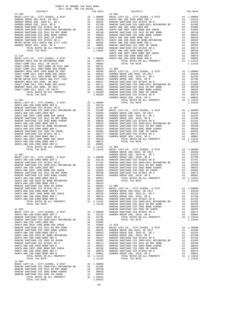| COUNTY OF ORANGE TAX RATE BOOK<br>$2017-2018 \quad \text{TRA RATES}$ DISTRICT $2017-2018 \quad \text{TRA RATES}$ |          |            |          |
|------------------------------------------------------------------------------------------------------------------|----------|------------|----------|
|                                                                                                                  | TAX RATE | DISTRICT   | TAX RATE |
|                                                                                                                  |          | $11 - 905$ |          |
|                                                                                                                  |          |            |          |
|                                                                                                                  |          |            |          |
|                                                                                                                  |          |            |          |
|                                                                                                                  |          |            |          |
|                                                                                                                  |          |            |          |
|                                                                                                                  |          |            |          |
|                                                                                                                  |          |            |          |
|                                                                                                                  |          |            |          |
|                                                                                                                  |          |            |          |
|                                                                                                                  |          |            |          |
|                                                                                                                  |          |            |          |
|                                                                                                                  |          |            |          |
|                                                                                                                  |          |            |          |
|                                                                                                                  |          |            |          |
|                                                                                                                  |          |            |          |
|                                                                                                                  |          |            |          |
|                                                                                                                  |          |            |          |
|                                                                                                                  |          |            |          |
|                                                                                                                  |          |            |          |
|                                                                                                                  |          |            |          |
|                                                                                                                  |          |            |          |
|                                                                                                                  |          |            |          |
|                                                                                                                  |          |            |          |
|                                                                                                                  |          |            |          |
|                                                                                                                  |          |            |          |
|                                                                                                                  |          |            |          |
|                                                                                                                  |          |            |          |
|                                                                                                                  |          |            |          |
|                                                                                                                  |          |            |          |
|                                                                                                                  |          |            |          |
|                                                                                                                  |          |            |          |
|                                                                                                                  |          |            |          |
|                                                                                                                  |          |            |          |
|                                                                                                                  |          |            |          |
|                                                                                                                  |          |            |          |
|                                                                                                                  |          |            |          |
|                                                                                                                  |          |            |          |
|                                                                                                                  |          |            |          |
|                                                                                                                  |          |            |          |
|                                                                                                                  |          |            |          |
|                                                                                                                  |          |            |          |
|                                                                                                                  |          |            |          |
|                                                                                                                  |          |            |          |
|                                                                                                                  |          |            |          |
|                                                                                                                  |          |            |          |
|                                                                                                                  |          |            |          |
|                                                                                                                  |          |            |          |
|                                                                                                                  |          |            |          |
|                                                                                                                  |          |            |          |
|                                                                                                                  |          |            |          |
|                                                                                                                  |          |            |          |
|                                                                                                                  |          |            |          |
|                                                                                                                  |          |            |          |
|                                                                                                                  |          |            |          |
|                                                                                                                  |          |            |          |
|                                                                                                                  |          |            |          |
|                                                                                                                  |          |            |          |
|                                                                                                                  |          |            |          |
|                                                                                                                  |          |            |          |
|                                                                                                                  |          |            |          |
|                                                                                                                  |          |            |          |
|                                                                                                                  |          |            |          |
|                                                                                                                  |          |            |          |
|                                                                                                                  |          |            |          |
|                                                                                                                  |          |            |          |
|                                                                                                                  |          |            |          |
|                                                                                                                  |          |            |          |
|                                                                                                                  |          |            |          |
|                                                                                                                  |          |            |          |
|                                                                                                                  |          |            |          |
|                                                                                                                  |          |            |          |
|                                                                                                                  |          |            |          |
|                                                                                                                  |          |            |          |
|                                                                                                                  |          |            |          |
|                                                                                                                  |          |            |          |

 $-94-$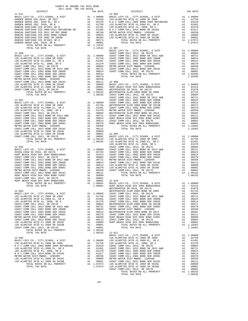|                                                                                                                                                                                                                                                                                                                                                                                                                       |                                        | LOS ALA        |
|-----------------------------------------------------------------------------------------------------------------------------------------------------------------------------------------------------------------------------------------------------------------------------------------------------------------------------------------------------------------------------------------------------------------------|----------------------------------------|----------------|
| $12 - 002$                                                                                                                                                                                                                                                                                                                                                                                                            |                                        | COAST C        |
|                                                                                                                                                                                                                                                                                                                                                                                                                       |                                        |                |
|                                                                                                                                                                                                                                                                                                                                                                                                                       |                                        |                |
|                                                                                                                                                                                                                                                                                                                                                                                                                       |                                        |                |
| COAST COMM COLL 2012 BOND SR 2013 A&B                                                                                                                                                                                                                                                                                                                                                                                 | A1 .00721 METRO W                      |                |
|                                                                                                                                                                                                                                                                                                                                                                                                                       |                                        |                |
|                                                                                                                                                                                                                                                                                                                                                                                                                       |                                        |                |
|                                                                                                                                                                                                                                                                                                                                                                                                                       |                                        | LOS ALA        |
| COAST COMM COLL 2002 BOND SER 2006C<br>METRO WATER DIST-MWDOC- 1205999                                                                                                                                                                                                                                                                                                                                                | A1 .00370<br>A1 .00350                 | COAST C        |
| COAST COMM COLL 2012 BOND SER 2016C<br>HUNT BEACH HIGH SCH 2004 BOND #2007<br>COAST COMM COLL 2012, SR 2017D<br>ENDT BEACH HIGH SCH 2004 BOND#2005                                                                                                                                                                                                                                                                    |                                        |                |
|                                                                                                                                                                                                                                                                                                                                                                                                                       | A1 .00111<br>A1 .00089                 |                |
|                                                                                                                                                                                                                                                                                                                                                                                                                       | A1 .00001                              |                |
|                                                                                                                                                                                                                                                                                                                                                                                                                       |                                        |                |
|                                                                                                                                                                                                                                                                                                                                                                                                                       |                                        |                |
| TOTAL TAX RATE                                                                                                                                                                                                                                                                                                                                                                                                        | 1.08601                                | HUNT BE        |
|                                                                                                                                                                                                                                                                                                                                                                                                                       |                                        | WESTMIN        |
| $12 - 003$                                                                                                                                                                                                                                                                                                                                                                                                            |                                        | WESTMIN        |
|                                                                                                                                                                                                                                                                                                                                                                                                                       |                                        |                |
|                                                                                                                                                                                                                                                                                                                                                                                                                       |                                        |                |
|                                                                                                                                                                                                                                                                                                                                                                                                                       |                                        |                |
|                                                                                                                                                                                                                                                                                                                                                                                                                       |                                        |                |
|                                                                                                                                                                                                                                                                                                                                                                                                                       |                                        |                |
|                                                                                                                                                                                                                                                                                                                                                                                                                       |                                        |                |
|                                                                                                                                                                                                                                                                                                                                                                                                                       | A1 .00624 METROW<br>A1 .00514 WESTMIN  |                |
| COAST COMM COLL 2002 BOND SER 2003A                                                                                                                                                                                                                                                                                                                                                                                   |                                        |                |
| $\begin{array}{ccccccccc} \texttt{COAST}\ & \texttt{COMM}\ & \texttt{COLL}\ & \texttt{2002}\ & \texttt{BOND}\ & \texttt{SER}\ & \texttt{2006C} & \texttt{AA} & \texttt{00370} & \texttt{COAST}\ & \texttt{COAST}\ & \texttt{M} & \texttt{00370} & \texttt{COAST}\ & \texttt{C} & \texttt{M} & \texttt{00370} & \texttt{00370} & \texttt{00370} & \texttt{00370} & \texttt{00370} & \texttt{00370} & \texttt{00370} &$ |                                        |                |
|                                                                                                                                                                                                                                                                                                                                                                                                                       | A1 .00350 HUNT BE<br>A1 .00111 COAST C |                |
| METRO WATER DIST-MWDOC- 1205999<br>COAST COMM COLL 2012 BOND SER 2016C<br>LOS ALAMITOS SFID #1 2008 SR 2010C<br>LOS ALAMITOS SFID #1 2008 SR 2010B<br>COS ALAMITOS SFID #1 2009 SR 2010B                                                                                                                                                                                                                              |                                        |                |
|                                                                                                                                                                                                                                                                                                                                                                                                                       | A1 .00089 HUNT BE<br>A1 .00001         |                |
|                                                                                                                                                                                                                                                                                                                                                                                                                       |                                        |                |
| COAST COMM COLL 2012, SR 2017D                                                                                                                                                                                                                                                                                                                                                                                        | A1 .00001                              |                |
| TOTAL RATES ON ALL PROPERTY                                                                                                                                                                                                                                                                                                                                                                                           | A1 1.08192                             |                |
| TOTAL TAX RATE                                                                                                                                                                                                                                                                                                                                                                                                        |                                        | 1.08192 12-011 |
|                                                                                                                                                                                                                                                                                                                                                                                                                       |                                        | BASIC L        |
| $12 - 005$                                                                                                                                                                                                                                                                                                                                                                                                            |                                        | LOS ALA        |
|                                                                                                                                                                                                                                                                                                                                                                                                                       |                                        |                |
|                                                                                                                                                                                                                                                                                                                                                                                                                       |                                        |                |
|                                                                                                                                                                                                                                                                                                                                                                                                                       |                                        |                |
|                                                                                                                                                                                                                                                                                                                                                                                                                       |                                        |                |
| N O C COMM COLL 2014 BOND SR 2016A                                                                                                                                                                                                                                                                                                                                                                                    |                                        |                |
| METRO WATER DIST-MWDOC- 1205999                                                                                                                                                                                                                                                                                                                                                                                       | A1 .01317 COAST C<br>A1 .00350 COAST C |                |
|                                                                                                                                                                                                                                                                                                                                                                                                                       |                                        |                |
| LOS ALAMITOS SFID #1 2008 SR 2010C<br>LOS ALAMITOS SFID #1 2008 SR 2010B                                                                                                                                                                                                                                                                                                                                              | A1 .00089 METROW<br>A1 .00001 COAST C  |                |
| TOTAL RATES ON ALL PROPERTY A1                                                                                                                                                                                                                                                                                                                                                                                        | 1.07974                                | LOS ALA        |
| סיחות מידע הראים                                                                                                                                                                                                                                                                                                                                                                                                      | $1.07074$ TOP 3T 3                     |                |

|                                                                                                                                                                                                                                                                                                                                                                                |                                                                 | LOS ALA                     |
|--------------------------------------------------------------------------------------------------------------------------------------------------------------------------------------------------------------------------------------------------------------------------------------------------------------------------------------------------------------------------------|-----------------------------------------------------------------|-----------------------------|
| RANCHO SANTIAGO CCD SFID#1 SR B $\begin{array}{ccc} 1.01788 \\ \text{RANGHO} & 0.01788 \\ \text{RANGHO} & 0.01787400 \end{array}$                                                                                                                                                                                                                                              |                                                                 | LOS ALA                     |
|                                                                                                                                                                                                                                                                                                                                                                                |                                                                 |                             |
|                                                                                                                                                                                                                                                                                                                                                                                |                                                                 |                             |
|                                                                                                                                                                                                                                                                                                                                                                                |                                                                 |                             |
|                                                                                                                                                                                                                                                                                                                                                                                |                                                                 |                             |
|                                                                                                                                                                                                                                                                                                                                                                                |                                                                 |                             |
|                                                                                                                                                                                                                                                                                                                                                                                |                                                                 |                             |
|                                                                                                                                                                                                                                                                                                                                                                                |                                                                 |                             |
| TOTAL TAX RATE                                                                                                                                                                                                                                                                                                                                                                 | 1.12542                                                         | $12 - 007$                  |
|                                                                                                                                                                                                                                                                                                                                                                                |                                                                 | BASIC L                     |
| $12 - 000$                                                                                                                                                                                                                                                                                                                                                                     |                                                                 | COAST C                     |
|                                                                                                                                                                                                                                                                                                                                                                                |                                                                 | COAST C                     |
|                                                                                                                                                                                                                                                                                                                                                                                |                                                                 |                             |
| $\mbox{LOS RLMITOS SFID #1 2008 SR 2009} \mbox{A1 } .01756 \mbox{ COAST C} \\ \mbox{LOS RLMITOS SFID #1, 2008 EL, SRE} \\ \mbox{LOS RLMITOS SFID #1, 2008, SR D} \\ \mbox{A1 } .01481 \mbox{OAST C} \\ \mbox{A1 } .01370 \mbox{COAST C} \\ \mbox{OAST C} \\ \mbox{O1} \\ \mbox{O2} \\ \mbox{O3} \\ \mbox{O1} \\ \mbox{O1} \\ \mbox{O2} \\ \mbox{O3} \\ \mbox{O4} \\ \mbox{O4}$ |                                                                 |                             |
|                                                                                                                                                                                                                                                                                                                                                                                |                                                                 |                             |
|                                                                                                                                                                                                                                                                                                                                                                                |                                                                 |                             |
|                                                                                                                                                                                                                                                                                                                                                                                |                                                                 |                             |
|                                                                                                                                                                                                                                                                                                                                                                                |                                                                 |                             |
|                                                                                                                                                                                                                                                                                                                                                                                |                                                                 |                             |
|                                                                                                                                                                                                                                                                                                                                                                                |                                                                 |                             |
|                                                                                                                                                                                                                                                                                                                                                                                |                                                                 |                             |
|                                                                                                                                                                                                                                                                                                                                                                                |                                                                 |                             |
|                                                                                                                                                                                                                                                                                                                                                                                |                                                                 |                             |
|                                                                                                                                                                                                                                                                                                                                                                                |                                                                 |                             |
|                                                                                                                                                                                                                                                                                                                                                                                |                                                                 |                             |
|                                                                                                                                                                                                                                                                                                                                                                                |                                                                 |                             |
|                                                                                                                                                                                                                                                                                                                                                                                |                                                                 |                             |
| TOTAL TAX RATE                                                                                                                                                                                                                                                                                                                                                                 | 1.08192                                                         | COAST C                     |
|                                                                                                                                                                                                                                                                                                                                                                                |                                                                 | COAST C                     |
| $12 - 001$                                                                                                                                                                                                                                                                                                                                                                     |                                                                 | COAST C                     |
|                                                                                                                                                                                                                                                                                                                                                                                |                                                                 |                             |
|                                                                                                                                                                                                                                                                                                                                                                                |                                                                 |                             |
|                                                                                                                                                                                                                                                                                                                                                                                |                                                                 |                             |
|                                                                                                                                                                                                                                                                                                                                                                                |                                                                 |                             |
|                                                                                                                                                                                                                                                                                                                                                                                | A1 .00804 WESTMIN<br>A1 .00721 COAST C                          |                             |
|                                                                                                                                                                                                                                                                                                                                                                                |                                                                 |                             |
| COAST COMM COLL 2012 BOND SER 2013 A&B<br>COAST COMM COLL 2002 BOND SER 2006B<br>COAST COMM COLL 2002 BOND SER 2003A<br>COAST COMM COLL 2002 BOND SER 2003A                                                                                                                                                                                                                    | A1 .00624 HUNT BE<br>A1 .00514 COAST C                          |                             |
|                                                                                                                                                                                                                                                                                                                                                                                |                                                                 |                             |
| COAST COMM COLL 2002 BOND SER 2006C                                                                                                                                                                                                                                                                                                                                            | A1.00370<br>A1.00350                                            | HUNT BE                     |
| METRO WATER DIST-MWDOC- 1205999                                                                                                                                                                                                                                                                                                                                                |                                                                 |                             |
|                                                                                                                                                                                                                                                                                                                                                                                |                                                                 |                             |
|                                                                                                                                                                                                                                                                                                                                                                                |                                                                 |                             |
| COAST COMM COLL 2012 BOND SER 2016C<br>LOS ALAMITOS SFID #1 2008 SR 2010C<br>LOS ALAMITOS SFID #1 2008 SR 2010C<br>LOS ALAMITOS SFID #1 2008 SR 2010B<br>COAST COMM COLL 2012, SR 2017D<br>TOTAL RATES ON ALL PROPERTY<br>TOTAL TATES ON A                                                                                                                                     | A1 .00111<br>A1 .00089<br>A1 .00001 12-009<br>A1 .00001 BASIC L |                             |
|                                                                                                                                                                                                                                                                                                                                                                                |                                                                 |                             |
|                                                                                                                                                                                                                                                                                                                                                                                | A1 1.08192                                                      | LOS ALA                     |
| TOTAL TAX RATE                                                                                                                                                                                                                                                                                                                                                                 | 1.08192                                                         | LOS ALA                     |
|                                                                                                                                                                                                                                                                                                                                                                                |                                                                 | LOS ALA                     |
| $12 - 002$                                                                                                                                                                                                                                                                                                                                                                     |                                                                 | COAST C                     |
|                                                                                                                                                                                                                                                                                                                                                                                |                                                                 |                             |
|                                                                                                                                                                                                                                                                                                                                                                                |                                                                 |                             |
|                                                                                                                                                                                                                                                                                                                                                                                | 0.0232                                                          | $\sim$ $\sim$ $\sim$ $\sim$ |

| COUNTY OF ORANGE TAX RATE BOOK                                                                                                                                                                                                                                                                                                                    |                |                |          |
|---------------------------------------------------------------------------------------------------------------------------------------------------------------------------------------------------------------------------------------------------------------------------------------------------------------------------------------------------|----------------|----------------|----------|
|                                                                                                                                                                                                                                                                                                                                                   | TAX RATE       | DISTRICT       | TAX RATE |
| $11 - 911$                                                                                                                                                                                                                                                                                                                                        |                | $12 - 006$     |          |
|                                                                                                                                                                                                                                                                                                                                                   |                |                |          |
|                                                                                                                                                                                                                                                                                                                                                   |                |                |          |
|                                                                                                                                                                                                                                                                                                                                                   |                |                |          |
|                                                                                                                                                                                                                                                                                                                                                   |                |                |          |
|                                                                                                                                                                                                                                                                                                                                                   |                |                |          |
|                                                                                                                                                                                                                                                                                                                                                   |                |                |          |
|                                                                                                                                                                                                                                                                                                                                                   |                |                |          |
|                                                                                                                                                                                                                                                                                                                                                   |                |                |          |
|                                                                                                                                                                                                                                                                                                                                                   |                |                |          |
| TOTAL TAX RATE                                                                                                                                                                                                                                                                                                                                    | 1.12542 12-007 |                |          |
|                                                                                                                                                                                                                                                                                                                                                   |                |                |          |
|                                                                                                                                                                                                                                                                                                                                                   |                |                |          |
|                                                                                                                                                                                                                                                                                                                                                   |                |                |          |
|                                                                                                                                                                                                                                                                                                                                                   |                |                |          |
|                                                                                                                                                                                                                                                                                                                                                   |                |                |          |
|                                                                                                                                                                                                                                                                                                                                                   |                |                |          |
|                                                                                                                                                                                                                                                                                                                                                   |                |                |          |
|                                                                                                                                                                                                                                                                                                                                                   |                |                |          |
|                                                                                                                                                                                                                                                                                                                                                   |                |                |          |
|                                                                                                                                                                                                                                                                                                                                                   |                |                |          |
|                                                                                                                                                                                                                                                                                                                                                   |                |                |          |
|                                                                                                                                                                                                                                                                                                                                                   |                |                |          |
|                                                                                                                                                                                                                                                                                                                                                   |                |                |          |
|                                                                                                                                                                                                                                                                                                                                                   |                |                |          |
|                                                                                                                                                                                                                                                                                                                                                   |                |                |          |
|                                                                                                                                                                                                                                                                                                                                                   |                |                |          |
|                                                                                                                                                                                                                                                                                                                                                   |                |                |          |
|                                                                                                                                                                                                                                                                                                                                                   |                |                |          |
|                                                                                                                                                                                                                                                                                                                                                   |                |                |          |
|                                                                                                                                                                                                                                                                                                                                                   |                |                |          |
|                                                                                                                                                                                                                                                                                                                                                   |                |                |          |
|                                                                                                                                                                                                                                                                                                                                                   |                |                |          |
|                                                                                                                                                                                                                                                                                                                                                   |                |                |          |
|                                                                                                                                                                                                                                                                                                                                                   |                |                |          |
|                                                                                                                                                                                                                                                                                                                                                   |                |                |          |
|                                                                                                                                                                                                                                                                                                                                                   |                |                |          |
|                                                                                                                                                                                                                                                                                                                                                   |                |                |          |
|                                                                                                                                                                                                                                                                                                                                                   |                |                |          |
|                                                                                                                                                                                                                                                                                                                                                   |                |                |          |
|                                                                                                                                                                                                                                                                                                                                                   |                |                |          |
|                                                                                                                                                                                                                                                                                                                                                   |                |                |          |
|                                                                                                                                                                                                                                                                                                                                                   |                |                |          |
|                                                                                                                                                                                                                                                                                                                                                   |                |                |          |
|                                                                                                                                                                                                                                                                                                                                                   |                |                |          |
|                                                                                                                                                                                                                                                                                                                                                   |                |                |          |
|                                                                                                                                                                                                                                                                                                                                                   |                |                |          |
|                                                                                                                                                                                                                                                                                                                                                   |                |                |          |
|                                                                                                                                                                                                                                                                                                                                                   |                |                |          |
|                                                                                                                                                                                                                                                                                                                                                   |                |                |          |
|                                                                                                                                                                                                                                                                                                                                                   |                |                |          |
|                                                                                                                                                                                                                                                                                                                                                   |                |                |          |
|                                                                                                                                                                                                                                                                                                                                                   |                |                |          |
|                                                                                                                                                                                                                                                                                                                                                   |                |                |          |
|                                                                                                                                                                                                                                                                                                                                                   |                |                |          |
|                                                                                                                                                                                                                                                                                                                                                   |                |                |          |
|                                                                                                                                                                                                                                                                                                                                                   |                |                |          |
|                                                                                                                                                                                                                                                                                                                                                   |                |                |          |
|                                                                                                                                                                                                                                                                                                                                                   |                |                |          |
|                                                                                                                                                                                                                                                                                                                                                   |                |                |          |
|                                                                                                                                                                                                                                                                                                                                                   |                |                |          |
|                                                                                                                                                                                                                                                                                                                                                   |                |                |          |
|                                                                                                                                                                                                                                                                                                                                                   |                |                |          |
|                                                                                                                                                                                                                                                                                                                                                   |                |                |          |
|                                                                                                                                                                                                                                                                                                                                                   |                |                |          |
|                                                                                                                                                                                                                                                                                                                                                   |                |                |          |
|                                                                                                                                                                                                                                                                                                                                                   |                |                |          |
|                                                                                                                                                                                                                                                                                                                                                   |                |                |          |
|                                                                                                                                                                                                                                                                                                                                                   |                |                |          |
|                                                                                                                                                                                                                                                                                                                                                   |                |                |          |
|                                                                                                                                                                                                                                                                                                                                                   |                |                |          |
|                                                                                                                                                                                                                                                                                                                                                   |                |                |          |
|                                                                                                                                                                                                                                                                                                                                                   |                |                |          |
|                                                                                                                                                                                                                                                                                                                                                   |                |                |          |
|                                                                                                                                                                                                                                                                                                                                                   |                |                |          |
|                                                                                                                                                                                                                                                                                                                                                   |                |                |          |
|                                                                                                                                                                                                                                                                                                                                                   |                |                |          |
|                                                                                                                                                                                                                                                                                                                                                   |                |                |          |
|                                                                                                                                                                                                                                                                                                                                                   |                |                |          |
| $\begin{tabular}{l c c c c} \hline \textbf{12-005} & \textbf{12-011} & \textbf{130049} & \textbf{12-011} & \textbf{12-012} & \textbf{12-011} & \textbf{12-012} & \textbf{12-013} & \textbf{12-014} & \textbf{12-015} & \textbf{12-016} & \textbf{12-017} & \textbf{12-018} & \textbf{12-018} & \textbf{12-018} & \textbf{12-018} & \textbf{12-01$ |                | TOTAL TAX RATE | 1.08192  |
|                                                                                                                                                                                                                                                                                                                                                   |                |                |          |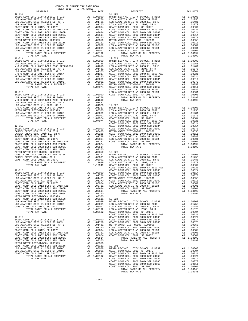| ---------                              |    | TAX MATT                                                     | $12 - 020$ |
|----------------------------------------|----|--------------------------------------------------------------|------------|
| $12 - 012$                             |    |                                                              |            |
|                                        |    |                                                              |            |
|                                        |    |                                                              |            |
|                                        |    |                                                              |            |
|                                        |    |                                                              |            |
|                                        |    |                                                              |            |
|                                        |    |                                                              |            |
|                                        |    |                                                              |            |
|                                        |    |                                                              |            |
|                                        |    |                                                              |            |
|                                        |    |                                                              |            |
|                                        |    |                                                              |            |
|                                        |    |                                                              |            |
|                                        |    |                                                              |            |
|                                        |    |                                                              |            |
| TOTAL TAX RATE                         |    | 1.08192                                                      |            |
|                                        |    |                                                              |            |
|                                        |    |                                                              |            |
|                                        |    |                                                              |            |
|                                        |    |                                                              |            |
|                                        |    |                                                              |            |
|                                        |    |                                                              |            |
|                                        |    |                                                              |            |
|                                        |    |                                                              |            |
|                                        |    |                                                              |            |
|                                        |    |                                                              |            |
|                                        |    |                                                              |            |
|                                        |    |                                                              |            |
|                                        |    |                                                              |            |
|                                        |    |                                                              | LOS ALA    |
| $12 - 015$                             |    |                                                              | LOS ALA    |
|                                        |    |                                                              |            |
|                                        |    |                                                              |            |
|                                        |    |                                                              |            |
|                                        |    |                                                              |            |
|                                        |    |                                                              |            |
|                                        |    |                                                              |            |
|                                        |    |                                                              |            |
|                                        |    |                                                              |            |
|                                        |    |                                                              |            |
|                                        |    |                                                              |            |
|                                        |    |                                                              |            |
|                                        |    |                                                              | COAST C    |
|                                        |    |                                                              |            |
|                                        |    |                                                              |            |
|                                        |    |                                                              |            |
|                                        |    |                                                              |            |
|                                        |    |                                                              |            |
|                                        |    |                                                              |            |
|                                        |    |                                                              |            |
|                                        |    |                                                              |            |
|                                        |    |                                                              |            |
|                                        |    |                                                              |            |
|                                        |    |                                                              |            |
|                                        |    |                                                              |            |
|                                        |    |                                                              |            |
|                                        |    |                                                              |            |
|                                        |    |                                                              |            |
|                                        |    |                                                              |            |
|                                        |    |                                                              |            |
|                                        |    |                                                              | COAST C    |
| $12 - 018$                             |    |                                                              | COAST C    |
|                                        |    |                                                              |            |
|                                        |    |                                                              |            |
|                                        |    |                                                              |            |
|                                        |    |                                                              |            |
|                                        |    |                                                              |            |
|                                        |    |                                                              |            |
|                                        |    |                                                              |            |
|                                        |    |                                                              |            |
| COAST COMM COLL 2002 BOND SER 2006C A1 |    | .00370                                                       |            |
| METRO WATER DIST-MWDOC- 1205999        | A1 | .00350                                                       |            |
| COAST COMM COLL 2012 BOND SER 2016C    | A1 | .00111                                                       | $12 - 024$ |
| LOS ALAMITOS SFID #1 2008 SR 2010C     | A1 | .00089                                                       | BASIC L    |
| LOS ALAMITOS SFID #1 2008 SR 2010B     |    |                                                              |            |
| COAST COMM COLL 2012, SR 2017D         |    | A1 .00001 LOS ALA<br>A1 .00001 LOS ALA                       |            |
|                                        |    |                                                              |            |
| TOTAL RATES ON ALL PROPERTY            |    | A1 1.08192                                                   | LOS ALA    |
| TOTAL TAX RATE                         |    | 1.08192                                                      | COAST C    |
|                                        |    |                                                              | COAST C    |
| $12 - 019$                             |    |                                                              | COAST C    |
| BASIC LEVY-CO., CITY, SCHOOL, & DIST   |    | A1 1.00000 COAST C<br>A1 .01756 COAST C<br>A1 .01481 METRO W |            |
| LOS ALAMITOS SFID #1 2008 SR 2009      |    |                                                              |            |
| LOS ALAMITOS SFID #1,2008 EL, SR E     |    |                                                              |            |
| LOS ALAMITOS SFID #1, 2008, SR D       |    | A1.01370                                                     | COAST C    |
| COAST COMM COLL 2012, SR 2017E         | A1 | .00804                                                       | LOS ALA    |
| COAST COMM COLL 2012 BOND SR 2013 A&B  | A1 | .00721                                                       | LOS ALA    |
| COAST COMM COLL 2002 BOND SER 2006B    | A1 | .00624                                                       | COAST C    |
| COAST COMM COLL 2002 BOND SER 2003A    | A1 | .00514                                                       |            |
| COAST COMM COLL 2002 BOND SER 2006C    | A1 | .00370                                                       |            |
| METRO WATER DIST-MWDOC- 1205999        |    | A1 .00350                                                    |            |
| COAST COMM COLL 2012 BOND SER 2016C    |    | A1 .00111                                                    | $12 - 901$ |
|                                        |    |                                                              |            |

| $1017$ $1020$ $101$ $101$ $10120$<br>DISTRICT | TAX RATE | DISTRICT                                                                                                                                                                                                                                                              | TAX RATE |
|-----------------------------------------------|----------|-----------------------------------------------------------------------------------------------------------------------------------------------------------------------------------------------------------------------------------------------------------------------|----------|
|                                               |          |                                                                                                                                                                                                                                                                       |          |
|                                               |          |                                                                                                                                                                                                                                                                       |          |
|                                               |          |                                                                                                                                                                                                                                                                       |          |
|                                               |          |                                                                                                                                                                                                                                                                       |          |
|                                               |          |                                                                                                                                                                                                                                                                       |          |
|                                               |          |                                                                                                                                                                                                                                                                       |          |
|                                               |          |                                                                                                                                                                                                                                                                       |          |
|                                               |          |                                                                                                                                                                                                                                                                       |          |
|                                               |          |                                                                                                                                                                                                                                                                       |          |
|                                               |          |                                                                                                                                                                                                                                                                       |          |
|                                               |          |                                                                                                                                                                                                                                                                       |          |
|                                               |          |                                                                                                                                                                                                                                                                       |          |
|                                               |          |                                                                                                                                                                                                                                                                       |          |
|                                               |          |                                                                                                                                                                                                                                                                       |          |
|                                               |          |                                                                                                                                                                                                                                                                       |          |
|                                               |          |                                                                                                                                                                                                                                                                       |          |
|                                               |          |                                                                                                                                                                                                                                                                       |          |
|                                               |          |                                                                                                                                                                                                                                                                       |          |
|                                               |          |                                                                                                                                                                                                                                                                       |          |
|                                               |          |                                                                                                                                                                                                                                                                       |          |
|                                               |          |                                                                                                                                                                                                                                                                       |          |
|                                               |          |                                                                                                                                                                                                                                                                       |          |
|                                               |          |                                                                                                                                                                                                                                                                       |          |
|                                               |          |                                                                                                                                                                                                                                                                       |          |
|                                               |          |                                                                                                                                                                                                                                                                       |          |
|                                               |          |                                                                                                                                                                                                                                                                       |          |
|                                               |          |                                                                                                                                                                                                                                                                       |          |
|                                               |          |                                                                                                                                                                                                                                                                       |          |
|                                               |          |                                                                                                                                                                                                                                                                       |          |
|                                               |          |                                                                                                                                                                                                                                                                       |          |
|                                               |          |                                                                                                                                                                                                                                                                       |          |
|                                               |          |                                                                                                                                                                                                                                                                       |          |
|                                               |          |                                                                                                                                                                                                                                                                       |          |
|                                               |          |                                                                                                                                                                                                                                                                       |          |
|                                               |          |                                                                                                                                                                                                                                                                       |          |
|                                               |          |                                                                                                                                                                                                                                                                       |          |
|                                               |          |                                                                                                                                                                                                                                                                       |          |
|                                               |          |                                                                                                                                                                                                                                                                       |          |
|                                               |          |                                                                                                                                                                                                                                                                       |          |
|                                               |          |                                                                                                                                                                                                                                                                       |          |
|                                               |          |                                                                                                                                                                                                                                                                       |          |
|                                               |          |                                                                                                                                                                                                                                                                       |          |
|                                               |          |                                                                                                                                                                                                                                                                       |          |
|                                               |          |                                                                                                                                                                                                                                                                       |          |
|                                               |          |                                                                                                                                                                                                                                                                       |          |
|                                               |          |                                                                                                                                                                                                                                                                       |          |
|                                               |          |                                                                                                                                                                                                                                                                       |          |
|                                               |          |                                                                                                                                                                                                                                                                       |          |
|                                               |          |                                                                                                                                                                                                                                                                       |          |
|                                               |          |                                                                                                                                                                                                                                                                       |          |
|                                               |          |                                                                                                                                                                                                                                                                       |          |
|                                               |          |                                                                                                                                                                                                                                                                       |          |
|                                               |          |                                                                                                                                                                                                                                                                       |          |
|                                               |          |                                                                                                                                                                                                                                                                       |          |
|                                               |          |                                                                                                                                                                                                                                                                       |          |
|                                               |          |                                                                                                                                                                                                                                                                       |          |
|                                               |          | $\begin{bmatrix} 1.704 & 0.944 & 0.044 & 0.044 & 0.044 & 0.044 & 0.044 & 0.044 & 0.044 & 0.044 & 0.044 & 0.044 & 0.044 & 0.044 & 0.044 & 0.044 & 0.044 & 0.044 & 0.044 & 0.044 & 0.044 & 0.044 & 0.044 & 0.044 & 0.044 & 0.044 & 0.044 & 0.044 & 0.044 & 0.044 & 0.0$ |          |
|                                               |          |                                                                                                                                                                                                                                                                       |          |
|                                               |          |                                                                                                                                                                                                                                                                       |          |
|                                               |          |                                                                                                                                                                                                                                                                       |          |
|                                               |          |                                                                                                                                                                                                                                                                       |          |
|                                               |          |                                                                                                                                                                                                                                                                       |          |
|                                               |          |                                                                                                                                                                                                                                                                       |          |
|                                               |          |                                                                                                                                                                                                                                                                       |          |
|                                               |          |                                                                                                                                                                                                                                                                       |          |
|                                               |          |                                                                                                                                                                                                                                                                       |          |
|                                               |          |                                                                                                                                                                                                                                                                       |          |
|                                               |          |                                                                                                                                                                                                                                                                       |          |
|                                               |          |                                                                                                                                                                                                                                                                       |          |
|                                               |          |                                                                                                                                                                                                                                                                       |          |
|                                               |          |                                                                                                                                                                                                                                                                       |          |
|                                               |          |                                                                                                                                                                                                                                                                       |          |
|                                               |          |                                                                                                                                                                                                                                                                       |          |
|                                               |          |                                                                                                                                                                                                                                                                       |          |
|                                               |          |                                                                                                                                                                                                                                                                       |          |
|                                               |          |                                                                                                                                                                                                                                                                       |          |
|                                               |          |                                                                                                                                                                                                                                                                       |          |
|                                               |          |                                                                                                                                                                                                                                                                       |          |
|                                               |          |                                                                                                                                                                                                                                                                       |          |
|                                               |          |                                                                                                                                                                                                                                                                       |          |
|                                               |          |                                                                                                                                                                                                                                                                       |          |
|                                               |          |                                                                                                                                                                                                                                                                       |          |
|                                               |          |                                                                                                                                                                                                                                                                       |          |
|                                               |          |                                                                                                                                                                                                                                                                       |          |
|                                               |          |                                                                                                                                                                                                                                                                       |          |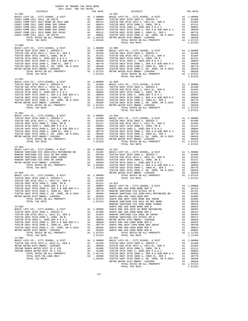| COUNTY OF ORANGE TAX RATE BOOK<br>$2017-2018 \quad \text{TRA RATE B}$ DISTRICT $2017-2018 \quad \text{TRA TAX RATES}$ |          |                        |          |
|-----------------------------------------------------------------------------------------------------------------------|----------|------------------------|----------|
| $12 - 902$                                                                                                            | TAX RATE | DISTRICT<br>$13 - 007$ | TAX RATE |
|                                                                                                                       |          |                        |          |
| $13 - 001$                                                                                                            |          |                        |          |
|                                                                                                                       |          |                        |          |
|                                                                                                                       |          |                        |          |
|                                                                                                                       |          |                        |          |
|                                                                                                                       |          |                        |          |
|                                                                                                                       |          |                        |          |
| $13 - 006$                                                                                                            |          | $13 - 013$             |          |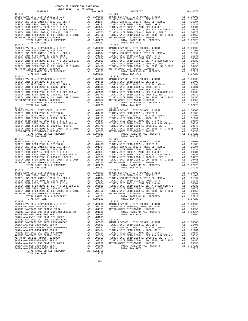13-014 13-021 13-016 13-023 13-017 13-024 13-020 13-027 SANTA ANA UNIF-1999 BOND SER 2002B A1 .01065 RANCHO SANTIAGO CCD 2012 GO REF BOND A1 .00760 13-028 THE VIOLET SOME SERUS AND THE SALL PROPERTY AND TOTAL RATES ON ALL 11765<br>TOTAL RATES ON ALL PROPERTY AND ALL 11765 TOTAL TAX RATE

 COUNTY OF ORANGE TAX RATE BOOK 2017-2018 TRA TAX RATES DISTRICT TAX RATE DISTRICT TAX RATE BASIC LEVY-CO., CITY,SCHOOL, & DIST A1 1.00000 BASIC LEVY-CO., CITY,SCHOOL, & DIST A1 1.00000 TUSTIN UNIF SFID 2002-1, SERIES C A1 .01408 TUSTIN UNIF SFID 2002-1, SERIES C A1 .01408 TUSTIN USD SFID 2012-1, 2012 EL, SER A A1 .01394 TUSTIN USD SFID 2012-1, 2012 EL, SER A A1 .01394 TUSTIN UNIF SFID 2008-1, 2008, SR B A1 .01131 TUSTIN UNIF SFID 2008-1, 2008, SR B A1 .01131 TUSTIN SFID 2002-1, 2002,SER D & D-1 2002-1, 2003444 TUSTIN SFID 2002-1, 2002,SER D & D-1, 2002,SER D & D-1, 20084<br>TUSTIN UNIF SFID 2008-1, 2008 EL, SER A & SUB SER A-1 A1 .00830 TUSTIN UNIF SFID 2008-1, SER A & SUB SER A- TOTAL RATES ON ALL PROPERTY A1 1.07223 TOTAL RATES ON ALL PROPERTY A1 1.07223 TOTAL TAX RATE 1.07223 TOTAL TAX RATE 1.07223 13-015 13-022 BASIC LEVY-CO., CITY,SCHOOL, & DIST A1 1.00000 BASIC LEVY-CO., CITY,SCHOOL, & DIST A1 1.00000 TUSTIN UNIF SFID 2002-1, SERIES C A1 .01408 TUSTIN UNIF SFID 2002-1, SERIES C A1 .01408 TUSTIN USD SFID 2012-1, 2012 EL, SER A A1 .01394 TUSTIN USD SFID 2012-1, 2012 EL, SER A A1 .01394 TUSTIN UNIF SFID 2008-1, 2008, SR B A1 .01131 TUSTIN UNIF SFID 2008-1, 2008, SR B A1 .01131 TUSTIN SFID 2002-1, 2002,SER D & D-1 A1 .00884 TUSTIN SFID 2002-1, 2002,SER D & D-1 A1 .00884 TUSTIN UNIF SFID 2008-1, SER A & SUB SER A-1 A1 .00830 TUSTIN UNIF SFID 2008-1, SER A & SUB SER A-1 A1 .00830 TUSTIN UNIF SFID 2008-1, 2008 EL, SER C A1 .00770 TUSTIN UNIF SFID 2008-1, 2008 EL, SER C A1 .00770 TUSTIN UNIF SFID 2008-1, GO 2008, SR D-2015 A1 .00456 TUSTIN UNIF SFID 2008-1, GO 2008, SR D-2015 A1 .00456 METRO WATER DIST-MWDOC- 1205999 A1 .00350 METRO WATER DIST-MWDOC- 1205999 A1 .00350 UNIF SFID 2008-1, 2008 EL, SER C = A1 1.00330 TUSTIN UNIF SFID 2008-1, 2008 EL, SER C = A1 1.00330 TUSTIN UNIF SFID 2008-1, 2008 EL, SER C = A1 1.07223<br>
TOTAL RATES ON ALL PROPERTY = A1 1.07223 TOTAL RATES ON ALL PROPERTY TOTAL TAX RATE 1.07223 TOTAL TAX RATE 1.07223 BASIC LEVY-CO., CITY,SCHOOL, & DIST A1 1.00000 BASIC LEVY-CO., CITY,SCHOOL, & DIST A1 1.00000 TUSTIN UNIF SFID 2002-1, SERIES C A1 .01408 TUSTIN UNIF SFID 2002-1, SERIES C A1 .01408 TUSTIN USD SFID 2012-1, 2012 EL, SER A A1 .01394 TUSTIN USD SFID 2012-1, 2012 EL, SER A A1 .01394 TUSTIN UNIF SFID 2008-1, 2008, SR B A1 .01131 TUSTIN UNIF SFID 2008-1, 2008, SR B A1 .01131 TUSTIN SFID 2002-1, 2002,SER D & D-1 A1 .00884 TUSTIN SFID 2002-1, 2002,SER D & D-1 A1 .00884 TUSTIN UNIF SFID 2008-1, SER A & SUB SER A-1 A1 .00830 TUSTIN UNIF SFID 2008-1, SER A & SUB SER A-1 A1 .00830 TUSTIN UNIF SFID 2008-1, 2008 EL, SER C A1 .00770 TUSTIN UNIF SFID 2008-1, 2008 EL, SER C A1 .00770 TUSTIN UNIF SFID 2008-1, GO 2008, SR D-2015 A1 .00456 TUSTIN UNIF SFID 2008-1, GO 2008, SR D-2015 A1 .00456 METRO WATER DIST-MWDOC- 1205999 A1 .00350 METRO WATER DIST-MWDOC- 1205999 A1 .00350 TOTAL RATES ON ALL PROPERTY A1 1.07223 TOTAL RATES ON ALL PROPERTY A1 1.07223 TOTAL TAX RATE 1.07223 TOTAL TAX RATE 1.07223 BASIC LEVY-CO., CITY,SCHOOL, & DIST A1 1.00000 BASIC LEVY-CO., CITY,SCHOOL, & DIST A1 1.00000 TUSTIN UNIF SFID 2002-1, SERIES C A1 .01408 TUSTIN UNIF SFID 2002-1, SERIES C A1 .01408 TUSTIN USD SFID 2012-1, 2012 EL, SER A A1 .01394 TUSTIN USD SFID 2012-1, 2012 EL, SER A A1 .01394 TUSTIN UNIF SFID 2008-1, 2008, SR B A1 .01131 TUSTIN UNIF SFID 2008-1, 2008, SR B A1 .01131 TUSTIN SFID 2002-1, 2002,SER D & D-1 A1 .00884 TUSTIN SFID 2002-1, 2002,SER D & D-1 A1 .00884 TUSTIN UNIF SFID 2008-1, SER A & SUB SER A-1 A1 .00830 TUSTIN UNIF SFID 2008-1, SER A & SUB SER A-1 A1 .00830 TUSTIN UNIF SFID 2008-1, 2008 EL, SER C A1 .00770 TUSTIN UNIF SFID 2008-1, 2008 EL, SER C A1 .00770 TUSTIN UNIF SFID 2008-1, GO 2008, SR D-2015 A1 .00456 TUSTIN UNIF SFID 2008-1, GO 2008, SR D-2015 A1 .00456 METRO WATER DIST-MWDOC- 1205999 A1 .00350 METRO WATER DIST-MWDOC- 1205999 A1 .00350 TOTAL RATES ON ALL PROPERTY A1 1.07223 TOTAL RATES ON ALL PROPERTY A1 1.07223 TOTAL TAX RATE 1.07223 TOTAL TAX RATE 1.07223 13-018 13-025 BASIC LEVY-CO., CITY,SCHOOL, & DIST A1 1.00000 BASIC LEVY-CO., CITY,SCHOOL, & DIST A1 1.00000 TUSTIN UNIF SFID 2002-1, SERIES C A1 .01408 TUSTIN UNIF SFID 2002-1, SERIES C A1 .01408 TUSTIN USD SFID 2012-1, 2012 EL, SER A A1 .01394 TUSTIN USD SFID 2012-1, 2012 EL, SER A A1 .01394 TUSTIN UNIF SFID 2008-1, 2008, SR B A1 .01131 TUSTIN UNIF SFID 2008-1, 2008, SR B A1 .01131 TUSTIN SFID 2002-1, 2002,SER D & D-1 A1 .00884 TUSTIN SFID 2002-1, 2002,SER D & D-1 A1 .00884 TUSTIN UNIF SFID 2008-1, SER A & SUB SER A-1 (000300 TUSTIN UNIF SFID 2008-1, SER A & SUB SER A & SUB SER A A<br>TUSTIN UNIF SFID 2008-1, 2008 BL, SER C A1 .00700 TUSTIN UNIF SFID 2008-1, 2008 EL, SER C A1 .00770<br>TUSTIN UNIF TOTAL TAX RATE  $1.07223$  TOTAL TAX RATE  $1.07223$ 10311 SPID 2002-1, 2002 EL, SER A 2002, SER D-2015<br>
TUSTIN UNIF SFID 2008-1, SER A & SUB SER A-1<br>
TUSTIN UNIF SFID 2008-1, SER A & SUB SER A-1<br>
TUSTIN UNIF SFID 2008-1, 2008-1, SO 2008.<br>
TUSTIN UNIF SFID 2008-1, CO 2008.<br> BASIC LEVY-CO., CITY,SCHOOL, & DIST A1 1.00000 BASIC LEVY-CO., CITY,SCHOOL, & DIST A1 1.00000 TUSTIN UNIF SFID 2002-1, SERIES C A1 .01408 TUSTIN UNIF SFID 2002-1, SERIES C A1 .01408 TUSTIN USD SFID 2012-1, 2012 EL, SER A A1 .01394 TUSTIN USD SFID 2012-1, 2012 EL, SER A A1 .01394 TUSTIN UNIF SFID 2008-1, 2008, SR B A1 .01131 TUSTIN UNIF SFID 2008-1, 2008, SR B A1 .01131 TUSTIN SFID 2002-1, 2002,SER D & D-1 A1 .00884 TUSTIN SFID 2002-1, 2002,SER D & D-1 A1 .00884 TUSTIN UNIF SFID 2008-1, SER A & SUB SER A-1 A1 .00830 TUSTIN UNIF SFID 2008-1, SER A & SUB SER A-1 A1 .00830 TUSTIN UNIF SFID 2008-1, 2008 EL, SER C A1 .00770 TUSTIN UNIF SFID 2008-1, 2008 EL, SER C A1 .00770 TUSTIN UNIF SFID 2008-1, GO 2008, SR D-2015 A1 .00456 TUSTIN UNIF SFID 2008-1, GO 2008, SR D-2015 A1 .00456 METRO WATER DIST-MWDOC- 1205999 A1 .00350 METRO WATER DIST-MWDOC- 1205999 A1 .00350 TOTAL RATES ON ALL PROPERTY A1 1.07223 TOTAL RATES ON ALL PROPERTY A1 1.07223 TOTAL TAX RATE 1.07223 TOTAL TAX RATE 1.07223 BASIC LEVY-CO., CITY, SCHOOL, & DIST al 1.00000 BASIC LEVY-CO., CITY, SCHOOL, & DIST Al 1.00000<br>SANTA NA USD-2008 BOND SER A al .02116 IRVINE UNIF SFID #1, 2016, SR 2016A Al .02174<br>RANCHO SANTIAGO CCD SFID#1 2011 REFUNDING RANCHO SANTIAGO CCD 2002 BOND #2006C ALL 00555 BASIC LEVY-CO., CITY, SCHOOL, & DIST<br>SANTA ANA USD-2008 BOND REFUNDING ALL 00553 TUSTIN UNIF SFID 2002-1, SERIES C ALL 00408<br>SANTA ANA USD-2010 GO BOND REFUNDING ALL 00463 TUS RANCHO SANTIAGO CCD SFID#1 SR A (00370 – 10374 – TUSTIN UNIF SFID 2008-1, SER A & SUB SER A-1 – A1 (00370 – 12<br>METRO WATER DIST-MWDOC- 1205999 – 12008 – A1 (00350 – 12008-1, 2008 EL, SER C – A1 (00770 – 12008 EL, SER C –<br>S SANTA ANA USD-2008 BOND SER F A1 .00078 TOTAL RATES ON ALL PROPERTY A1 1.07223 SANTA ANA USD-2008 BOND SER B A1 .00001 TOTAL TAX RATE 1.07223

-98-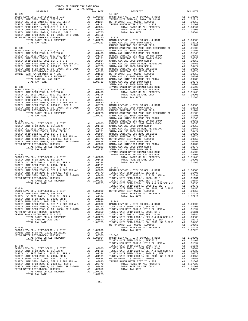| COUNTY OF ORANGE TAX RATE BOOK<br>2017-2018 TRA TAX RATES<br>$2017-2018 \quad \text{TRA RATE B}$ DISTRICT $$\tt 2017-2018$ \quad \text{TRA TAX RATES}$ |          |                 |          |
|--------------------------------------------------------------------------------------------------------------------------------------------------------|----------|-----------------|----------|
|                                                                                                                                                        | TAX RATE | <b>DISTRICT</b> | TAX RATE |
|                                                                                                                                                        |          |                 |          |
|                                                                                                                                                        |          |                 |          |
|                                                                                                                                                        |          |                 |          |
|                                                                                                                                                        |          |                 |          |
|                                                                                                                                                        |          |                 |          |
|                                                                                                                                                        |          |                 |          |
|                                                                                                                                                        |          |                 |          |
|                                                                                                                                                        |          |                 |          |
|                                                                                                                                                        |          |                 |          |
|                                                                                                                                                        |          |                 |          |
|                                                                                                                                                        |          |                 |          |
|                                                                                                                                                        |          |                 |          |
|                                                                                                                                                        |          |                 |          |
|                                                                                                                                                        |          |                 |          |
|                                                                                                                                                        |          |                 |          |
|                                                                                                                                                        |          |                 |          |
|                                                                                                                                                        |          |                 |          |
|                                                                                                                                                        |          |                 |          |
|                                                                                                                                                        |          |                 |          |
|                                                                                                                                                        |          |                 |          |
|                                                                                                                                                        |          |                 |          |
|                                                                                                                                                        |          |                 |          |
|                                                                                                                                                        |          |                 |          |
|                                                                                                                                                        |          |                 |          |
|                                                                                                                                                        |          |                 |          |
|                                                                                                                                                        |          |                 |          |
|                                                                                                                                                        |          |                 |          |
|                                                                                                                                                        |          |                 |          |
|                                                                                                                                                        |          |                 |          |
|                                                                                                                                                        |          |                 |          |
|                                                                                                                                                        |          |                 |          |
|                                                                                                                                                        |          |                 |          |
|                                                                                                                                                        |          |                 |          |
|                                                                                                                                                        |          |                 |          |
|                                                                                                                                                        |          |                 |          |
|                                                                                                                                                        |          |                 |          |
|                                                                                                                                                        |          |                 |          |
|                                                                                                                                                        |          |                 |          |
|                                                                                                                                                        |          |                 |          |
|                                                                                                                                                        |          |                 |          |
|                                                                                                                                                        |          |                 |          |
|                                                                                                                                                        |          |                 |          |
|                                                                                                                                                        |          |                 |          |
|                                                                                                                                                        |          |                 |          |
|                                                                                                                                                        |          |                 |          |
|                                                                                                                                                        |          |                 |          |
|                                                                                                                                                        |          |                 |          |
|                                                                                                                                                        |          |                 |          |
|                                                                                                                                                        |          |                 |          |
|                                                                                                                                                        |          |                 |          |
|                                                                                                                                                        |          |                 |          |
|                                                                                                                                                        |          |                 |          |
|                                                                                                                                                        |          |                 |          |
|                                                                                                                                                        |          |                 |          |
|                                                                                                                                                        |          |                 |          |
|                                                                                                                                                        |          |                 |          |
|                                                                                                                                                        |          |                 |          |
|                                                                                                                                                        |          |                 |          |
|                                                                                                                                                        |          |                 |          |
|                                                                                                                                                        |          |                 |          |
|                                                                                                                                                        |          |                 |          |
|                                                                                                                                                        |          |                 |          |
|                                                                                                                                                        |          |                 |          |
|                                                                                                                                                        |          |                 |          |
|                                                                                                                                                        |          |                 |          |
|                                                                                                                                                        |          |                 |          |
|                                                                                                                                                        |          |                 |          |
|                                                                                                                                                        |          |                 |          |
|                                                                                                                                                        |          |                 |          |
|                                                                                                                                                        |          |                 |          |
|                                                                                                                                                        |          |                 |          |
|                                                                                                                                                        |          |                 |          |
|                                                                                                                                                        |          |                 |          |
|                                                                                                                                                        |          |                 |          |
|                                                                                                                                                        |          |                 |          |
|                                                                                                                                                        |          |                 |          |
|                                                                                                                                                        |          |                 |          |
|                                                                                                                                                        |          |                 |          |
|                                                                                                                                                        |          |                 |          |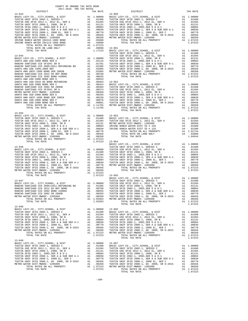| COUNTY OF ORANGE TAX RATE BOOK<br>$2017-2018 \quad \text{TRA TAX RATES}$ DISTRICT $\hspace{2.5cm}$ |          |                                                                                                                                                                                                                                                                                                                                                                                                                           |          |
|----------------------------------------------------------------------------------------------------|----------|---------------------------------------------------------------------------------------------------------------------------------------------------------------------------------------------------------------------------------------------------------------------------------------------------------------------------------------------------------------------------------------------------------------------------|----------|
|                                                                                                    | TAX RATE | DISTRICT<br>$13 - 050$<br>$\begin{tabular}{cccccccc} 13-041 & 0.78747 & 0.78747 & 0.71741 & 0.71741 & 0.71741 & 0.71741 & 0.71741 & 0.71741 & 0.71741 & 0.71741 & 0.71741 & 0.71741 & 0.71741 & 0.71741 & 0.71741 & 0.71741 & 0.71741 & 0.71741 & 0.71741 & 0.71741 & 0.71741 & 0.71741 & 0.71$                                                                                                                           | TAX RATE |
|                                                                                                    |          |                                                                                                                                                                                                                                                                                                                                                                                                                           |          |
|                                                                                                    |          |                                                                                                                                                                                                                                                                                                                                                                                                                           |          |
|                                                                                                    |          |                                                                                                                                                                                                                                                                                                                                                                                                                           |          |
|                                                                                                    |          |                                                                                                                                                                                                                                                                                                                                                                                                                           |          |
|                                                                                                    |          |                                                                                                                                                                                                                                                                                                                                                                                                                           |          |
|                                                                                                    |          |                                                                                                                                                                                                                                                                                                                                                                                                                           |          |
|                                                                                                    |          |                                                                                                                                                                                                                                                                                                                                                                                                                           |          |
|                                                                                                    |          |                                                                                                                                                                                                                                                                                                                                                                                                                           |          |
|                                                                                                    |          |                                                                                                                                                                                                                                                                                                                                                                                                                           |          |
|                                                                                                    |          |                                                                                                                                                                                                                                                                                                                                                                                                                           |          |
|                                                                                                    |          |                                                                                                                                                                                                                                                                                                                                                                                                                           |          |
|                                                                                                    |          |                                                                                                                                                                                                                                                                                                                                                                                                                           |          |
|                                                                                                    |          |                                                                                                                                                                                                                                                                                                                                                                                                                           |          |
|                                                                                                    |          |                                                                                                                                                                                                                                                                                                                                                                                                                           |          |
|                                                                                                    |          |                                                                                                                                                                                                                                                                                                                                                                                                                           |          |
|                                                                                                    |          |                                                                                                                                                                                                                                                                                                                                                                                                                           |          |
|                                                                                                    |          |                                                                                                                                                                                                                                                                                                                                                                                                                           |          |
|                                                                                                    |          |                                                                                                                                                                                                                                                                                                                                                                                                                           |          |
|                                                                                                    |          |                                                                                                                                                                                                                                                                                                                                                                                                                           |          |
|                                                                                                    |          |                                                                                                                                                                                                                                                                                                                                                                                                                           |          |
|                                                                                                    |          |                                                                                                                                                                                                                                                                                                                                                                                                                           |          |
|                                                                                                    |          |                                                                                                                                                                                                                                                                                                                                                                                                                           |          |
|                                                                                                    |          |                                                                                                                                                                                                                                                                                                                                                                                                                           |          |
|                                                                                                    |          |                                                                                                                                                                                                                                                                                                                                                                                                                           |          |
|                                                                                                    |          |                                                                                                                                                                                                                                                                                                                                                                                                                           |          |
|                                                                                                    |          |                                                                                                                                                                                                                                                                                                                                                                                                                           |          |
| $13 - 045$                                                                                         |          |                                                                                                                                                                                                                                                                                                                                                                                                                           |          |
|                                                                                                    |          |                                                                                                                                                                                                                                                                                                                                                                                                                           |          |
|                                                                                                    |          |                                                                                                                                                                                                                                                                                                                                                                                                                           |          |
|                                                                                                    |          |                                                                                                                                                                                                                                                                                                                                                                                                                           |          |
|                                                                                                    |          |                                                                                                                                                                                                                                                                                                                                                                                                                           |          |
|                                                                                                    |          |                                                                                                                                                                                                                                                                                                                                                                                                                           |          |
|                                                                                                    |          |                                                                                                                                                                                                                                                                                                                                                                                                                           |          |
|                                                                                                    |          |                                                                                                                                                                                                                                                                                                                                                                                                                           |          |
|                                                                                                    |          |                                                                                                                                                                                                                                                                                                                                                                                                                           |          |
|                                                                                                    |          |                                                                                                                                                                                                                                                                                                                                                                                                                           |          |
|                                                                                                    |          |                                                                                                                                                                                                                                                                                                                                                                                                                           |          |
|                                                                                                    |          |                                                                                                                                                                                                                                                                                                                                                                                                                           |          |
|                                                                                                    |          |                                                                                                                                                                                                                                                                                                                                                                                                                           |          |
|                                                                                                    |          |                                                                                                                                                                                                                                                                                                                                                                                                                           |          |
|                                                                                                    |          |                                                                                                                                                                                                                                                                                                                                                                                                                           |          |
|                                                                                                    |          |                                                                                                                                                                                                                                                                                                                                                                                                                           |          |
|                                                                                                    |          |                                                                                                                                                                                                                                                                                                                                                                                                                           |          |
|                                                                                                    |          |                                                                                                                                                                                                                                                                                                                                                                                                                           |          |
|                                                                                                    |          |                                                                                                                                                                                                                                                                                                                                                                                                                           |          |
|                                                                                                    |          | ${\small \begin{tabular}{ccccc} \textbf{13-047} & \textbf{BASIC LEVY-CO., CITY, SCHOOL, & & \textbf{DIST} & & \textbf{A1} & 1.00000 \\ \textbf{PASIC LEVY-CO., CITY, SCHOOL, & & \textbf{DIST} & & \textbf{FOT} & & \textbf{A1} & 1.00000 \\ \textbf{PASIC LEVY-CO., CITY, SCHOOL, & & \textbf{DIST} & & \textbf{A1} & 1.00000 \\ \textbf{PASIC LEVY-CO., CITY, SCHOOL, & & \textbf{DIST} & & \textbf{A1} & 1.00000 \\ \$ |          |
|                                                                                                    |          |                                                                                                                                                                                                                                                                                                                                                                                                                           |          |
|                                                                                                    |          |                                                                                                                                                                                                                                                                                                                                                                                                                           |          |
|                                                                                                    |          |                                                                                                                                                                                                                                                                                                                                                                                                                           |          |
|                                                                                                    |          |                                                                                                                                                                                                                                                                                                                                                                                                                           |          |
|                                                                                                    |          |                                                                                                                                                                                                                                                                                                                                                                                                                           |          |
|                                                                                                    |          | $\begin{tabular}{l c c c c c c c} \multicolumn{4}{c}{\textbf{RMCHO}}\textbf{SANTIAG} & \textbf{CCD 2005+2011} & \textbf{REINAD} & \textbf{AD} & \textbf{C1050} & \textbf{TUSTIN SFD 2002-1, 2002, SER B & D-1 & 10131 \\ \multicolumn{4}{c}{\textbf{RMCHO}}\textbf{SANTIAGO} & \textbf{CCD 2002} & \textbf{BODD} & \textbf{F2OO6} & \textbf{AD} & \textbf{AD} & \textbf{D1005} & \textbf$                                 |          |
|                                                                                                    |          |                                                                                                                                                                                                                                                                                                                                                                                                                           |          |
|                                                                                                    |          |                                                                                                                                                                                                                                                                                                                                                                                                                           |          |
|                                                                                                    |          |                                                                                                                                                                                                                                                                                                                                                                                                                           |          |
|                                                                                                    |          |                                                                                                                                                                                                                                                                                                                                                                                                                           |          |
|                                                                                                    |          |                                                                                                                                                                                                                                                                                                                                                                                                                           |          |
|                                                                                                    |          |                                                                                                                                                                                                                                                                                                                                                                                                                           |          |
|                                                                                                    |          |                                                                                                                                                                                                                                                                                                                                                                                                                           |          |
|                                                                                                    |          |                                                                                                                                                                                                                                                                                                                                                                                                                           |          |
|                                                                                                    |          |                                                                                                                                                                                                                                                                                                                                                                                                                           |          |
|                                                                                                    |          |                                                                                                                                                                                                                                                                                                                                                                                                                           |          |
|                                                                                                    |          |                                                                                                                                                                                                                                                                                                                                                                                                                           |          |
|                                                                                                    |          |                                                                                                                                                                                                                                                                                                                                                                                                                           |          |
|                                                                                                    |          |                                                                                                                                                                                                                                                                                                                                                                                                                           |          |
|                                                                                                    |          |                                                                                                                                                                                                                                                                                                                                                                                                                           |          |
|                                                                                                    |          |                                                                                                                                                                                                                                                                                                                                                                                                                           |          |
|                                                                                                    |          |                                                                                                                                                                                                                                                                                                                                                                                                                           |          |
|                                                                                                    |          |                                                                                                                                                                                                                                                                                                                                                                                                                           |          |
|                                                                                                    |          |                                                                                                                                                                                                                                                                                                                                                                                                                           |          |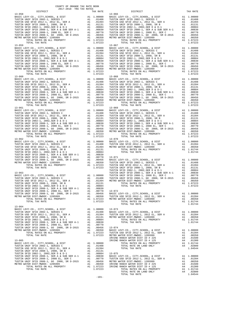| COUNTY OF ORANGE TAX RATE BOOK<br>2017-2018 TRA TAX RATES |          |                        |          |
|-----------------------------------------------------------|----------|------------------------|----------|
| DISTRICT<br>$13 - 058$                                    | TAX RATE | DISTRICT<br>$13 - 066$ | TAX RATE |
|                                                           |          |                        |          |
|                                                           |          |                        |          |
|                                                           |          |                        |          |
|                                                           |          |                        |          |
|                                                           |          |                        |          |
|                                                           |          |                        |          |
|                                                           |          |                        |          |
|                                                           |          |                        |          |
|                                                           |          |                        |          |
|                                                           |          |                        |          |
|                                                           |          |                        |          |
|                                                           |          |                        |          |
|                                                           |          |                        |          |
|                                                           |          |                        |          |
|                                                           |          |                        |          |
|                                                           |          |                        |          |
|                                                           |          |                        |          |
|                                                           |          |                        |          |
|                                                           |          |                        |          |
|                                                           |          |                        |          |
|                                                           |          |                        |          |
|                                                           |          |                        |          |
|                                                           |          |                        |          |
|                                                           |          |                        |          |
|                                                           |          |                        |          |
|                                                           |          |                        |          |
|                                                           |          |                        |          |
|                                                           |          |                        |          |
|                                                           |          |                        |          |
|                                                           |          |                        |          |
|                                                           |          |                        |          |
|                                                           |          |                        |          |
|                                                           |          |                        |          |
|                                                           |          |                        |          |
|                                                           |          |                        |          |
|                                                           |          |                        |          |
|                                                           |          |                        |          |
|                                                           |          |                        |          |
|                                                           |          |                        |          |
|                                                           |          |                        |          |
|                                                           |          |                        |          |
|                                                           |          |                        |          |
|                                                           |          |                        |          |
|                                                           |          |                        |          |
|                                                           |          |                        |          |
|                                                           |          |                        |          |
|                                                           |          |                        |          |
|                                                           |          |                        |          |
|                                                           |          |                        |          |
|                                                           | $-101-$  |                        |          |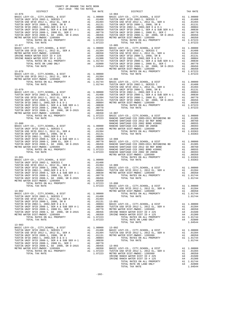| $13 - 083$ | 2017-2018 TRA TAX RATES<br>DISTRICT | TAX RATE | DISTRICT   | TAX RATE |
|------------|-------------------------------------|----------|------------|----------|
|            |                                     |          | $13 - 084$ |          |
|            |                                     |          |            |          |
|            |                                     |          |            |          |
|            |                                     |          |            |          |
|            |                                     |          |            |          |
|            |                                     |          |            |          |
|            |                                     |          |            |          |
|            |                                     |          |            |          |
|            |                                     |          |            |          |
|            |                                     |          |            |          |
|            |                                     |          |            |          |
|            |                                     |          |            |          |
|            |                                     |          |            |          |
|            |                                     |          |            |          |
|            |                                     |          |            |          |
|            |                                     |          |            |          |
|            |                                     |          |            |          |
|            |                                     |          |            |          |
|            |                                     |          |            |          |
|            |                                     |          |            |          |
|            |                                     |          |            |          |
|            |                                     |          |            |          |
|            |                                     |          |            |          |
|            |                                     |          |            |          |
|            |                                     |          |            |          |
|            |                                     |          |            |          |
|            |                                     |          |            |          |
|            |                                     |          |            |          |
|            |                                     |          |            |          |
|            |                                     |          |            |          |
|            |                                     |          |            |          |
|            |                                     |          |            |          |
|            |                                     |          |            |          |
|            |                                     |          |            |          |
|            |                                     |          |            |          |
|            |                                     |          |            |          |
|            |                                     |          |            |          |
|            |                                     |          |            |          |
|            |                                     |          |            |          |
|            |                                     |          |            |          |
|            |                                     |          |            |          |
|            |                                     |          |            |          |
|            |                                     |          |            |          |
|            |                                     |          |            |          |
|            |                                     |          |            |          |
|            |                                     |          |            |          |
|            |                                     |          |            |          |
|            |                                     |          |            |          |
|            |                                     |          |            |          |
|            |                                     |          |            |          |
|            |                                     |          |            |          |
|            |                                     |          |            |          |
|            |                                     |          |            |          |
|            |                                     |          |            |          |
|            |                                     |          |            |          |
|            |                                     |          |            |          |
|            |                                     |          |            |          |
|            |                                     |          |            |          |
|            |                                     |          |            |          |
|            |                                     |          |            |          |
|            |                                     |          |            |          |
|            |                                     |          |            |          |
|            |                                     |          |            |          |
|            |                                     |          |            |          |
|            |                                     |          |            |          |
|            |                                     |          |            |          |
|            |                                     |          |            |          |
|            |                                     |          |            |          |
|            |                                     |          |            |          |
|            |                                     |          |            |          |
|            |                                     |          |            |          |
|            |                                     |          |            |          |
|            |                                     |          |            |          |
|            |                                     |          |            |          |
|            |                                     |          |            |          |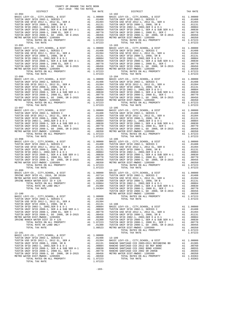| $13 - 094$                                         |                                                         | $13 - 102$ |
|----------------------------------------------------|---------------------------------------------------------|------------|
|                                                    |                                                         |            |
|                                                    |                                                         |            |
|                                                    |                                                         |            |
|                                                    |                                                         |            |
|                                                    |                                                         |            |
|                                                    |                                                         |            |
|                                                    |                                                         |            |
| TOTAL TAX RATE                                     | 1.07223                                                 |            |
| $13 - 095$                                         |                                                         | $13 - 103$ |
|                                                    |                                                         |            |
|                                                    |                                                         |            |
|                                                    |                                                         |            |
|                                                    |                                                         |            |
|                                                    |                                                         |            |
|                                                    |                                                         |            |
|                                                    |                                                         |            |
|                                                    |                                                         |            |
| $13 - 096$                                         |                                                         | $13 - 104$ |
|                                                    |                                                         |            |
|                                                    |                                                         |            |
|                                                    |                                                         |            |
|                                                    |                                                         |            |
|                                                    |                                                         |            |
|                                                    |                                                         |            |
|                                                    |                                                         |            |
| TOTAL TAX RATE                                     | 1.07223                                                 |            |
|                                                    |                                                         |            |
|                                                    |                                                         |            |
|                                                    |                                                         |            |
|                                                    |                                                         |            |
|                                                    |                                                         |            |
|                                                    |                                                         |            |
|                                                    |                                                         |            |
|                                                    |                                                         |            |
|                                                    |                                                         |            |
|                                                    |                                                         |            |
|                                                    |                                                         |            |
|                                                    |                                                         |            |
|                                                    |                                                         |            |
|                                                    |                                                         |            |
|                                                    |                                                         |            |
|                                                    |                                                         |            |
|                                                    |                                                         |            |
|                                                    |                                                         |            |
|                                                    |                                                         |            |
|                                                    |                                                         |            |
|                                                    |                                                         |            |
|                                                    |                                                         |            |
|                                                    |                                                         |            |
|                                                    |                                                         |            |
|                                                    |                                                         | TUSTIN     |
| $13 - 100$<br>BASIC LEVY-CO., CITY, SCHOOL, & DIST | A1 1.00000                                              | METRO W    |
| TUSTIN UNIF SFID 2002-1, SERIES C                  | 1.00000<br>Al .01408<br>Al .01394<br>Al .01131          |            |
| TUSTIN USD SFID 2012-1, 2012 EL, SER A             |                                                         |            |
|                                                    |                                                         |            |
|                                                    |                                                         |            |
|                                                    |                                                         |            |
|                                                    |                                                         |            |
|                                                    |                                                         |            |
| TOTAL RATES ON ALL PROPERTY                        |                                                         |            |
| TOTAL RATE ON LAND ONLY<br>TOTAL TAX RATE          | A1 1.07223 TUSTIN<br>A4 .01300 TUSTIN<br>1.08523 METROW |            |
|                                                    |                                                         |            |
| $13 - 101$<br>BASIC LEVY-CO., CITY, SCHOOL, & DIST | A1 1.00000                                              |            |
|                                                    |                                                         |            |
|                                                    |                                                         |            |
|                                                    |                                                         |            |
|                                                    |                                                         |            |
|                                                    |                                                         |            |
|                                                    |                                                         |            |
| TOTAL RATES ON ALL DRODERTY                        | A1 1 07223                                              |            |

| COUNTY OF ORANGE TAX RATE BOOK<br>2017-2018 TRA TAX RATES |          |                                                                                                                                                                                                                                                                                                                |          |
|-----------------------------------------------------------|----------|----------------------------------------------------------------------------------------------------------------------------------------------------------------------------------------------------------------------------------------------------------------------------------------------------------------|----------|
| DISTRICT<br>$13 - 094$                                    | TAX RATE | DISTRICT<br>$13 - 102$                                                                                                                                                                                                                                                                                         | TAX RATE |
|                                                           |          |                                                                                                                                                                                                                                                                                                                |          |
|                                                           |          |                                                                                                                                                                                                                                                                                                                |          |
|                                                           |          |                                                                                                                                                                                                                                                                                                                |          |
|                                                           |          |                                                                                                                                                                                                                                                                                                                |          |
|                                                           |          | $13 - 107$                                                                                                                                                                                                                                                                                                     |          |
|                                                           |          |                                                                                                                                                                                                                                                                                                                |          |
|                                                           |          | $\begin{tabular}{cccc} TOTAL RATE & 0M LAMP. ORU, SURR RATE \\ \hline TOTAL TIX RATE \\ \end{tabular} \begin{tabular}{cccc} 1.04364 & 1.01300 & TOTITIN UNIF SET 0 2008-1, 2088-1, 2088-1, 2088-1, 2088-1, 2088-1, 2088-1, 2088-1, 2088-1, 2088-1, 2088-1, 2088-1, 2088-1, 2088-1, 2088-1, 2088-1, 2088-1, 20$ |          |
|                                                           |          |                                                                                                                                                                                                                                                                                                                |          |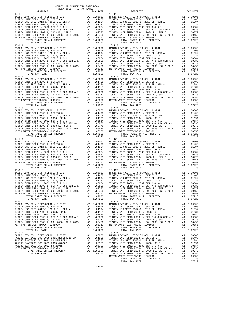13-110 13-118  $\begin{tabular}{lllllllllll} \texttt{13--112} & & & & & & & & & & \\ \texttt{BASIC LEVY-CO.}, & \texttt{CITY} & \texttt{SCHOOL}, & \& & \texttt{DIST} & & \texttt{Al} & 1.00000 \\ \texttt{TUSTIN UNIF SETD 2002--1, SERIES C} & & & & & & & & & .01408 \\ \texttt{TUSTIN UNIF SETD 2012--1, 2012 EL, SER A} & & & & & & & .01394 \\ \texttt{TUSTIN SETD 2002--1, 2002, SER D & & D--1 & & & & & .0131 \\ \texttt{TUST$ 13-116 13-124

 COUNTY OF ORANGE TAX RATE BOOK 2017-2018 TRA TAX RATES DISTRICT TAX RATE DISTRICT TAX RATE BASIC LEVY-CO., CITY,SCHOOL, & DIST A1 1.00000 BASIC LEVY-CO., CITY,SCHOOL, & DIST A1 1.00000 TUSTIN UNIF SFID 2002-1, SERIES C A1 .01408 TUSTIN UNIF SFID 2002-1, SERIES C A1 .01408 TUSTIN USD SFID 2012-1, 2012 EL, SER A A1 .01394 TUSTIN USD SFID 2012-1, 2012 EL, SER A A1 .01394 TUSTIN UNIF SFID 2008-1, 2008, SR B A1 .01131 TUSTIN UNIF SFID 2008-1, 2008, SR B A1 .01131 TUSTIN SFID 2002-1, 2002,SER D & D-1 2002-1, 2003444 TUSTIN SFID 2002-1, 2002,SER D & D-1, 2002,SER D & D-1, 20084<br>TUSTIN UNIF SFID 2008-1, 2008 EL, SER A & SUB SER A-1 A1 .00830 TUSTIN UNIF SFID 2008-1, SER A & SUB SER A- TOTAL RATES ON ALL PROPERTY A1 1.07223 TOTAL RATES ON ALL PROPERTY A1 1.07223 TOTAL TAX RATE 1.07223 TOTAL TAX RATE 1.07223 13-111 13-119 BASIC LEVY-CO., CITY,SCHOOL, & DIST A1 1.00000 BASIC LEVY-CO., CITY,SCHOOL, & DIST A1 1.00000 TUSTIN UNIF SFID 2002-1, SERIES C A1 .01408 TUSTIN UNIF SFID 2002-1, SERIES C A1 .01408 TUSTIN USD SFID 2012-1, 2012 EL, SER A A1 .01394 TUSTIN USD SFID 2012-1, 2012 EL, SER A A1 .01394 TUSTIN UNIF SFID 2008-1, 2008, SR B A1 .01131 TUSTIN UNIF SFID 2008-1, 2008, SR B A1 .01131 TUSTIN SFID 2002-1, 2002,SER D & D-1 A1 .00884 TUSTIN SFID 2002-1, 2002,SER D & D-1 A1 .00884 TUSTIN UNIF SFID 2008-1, SER A & SUB SER A-1 A1 .00830 TUSTIN UNIF SFID 2008-1, SER A & SUB SER A-1 A1 .00830 TUSTIN UNIF SFID 2008-1, 2008 EL, SER C A1 .00770 TUSTIN UNIF SFID 2008-1, 2008 EL, SER C A1 .00770 TUSTIN UNIF SFID 2008-1, GO 2008, SR D-2015 A1 .00456 TUSTIN UNIF SFID 2008-1, GO 2008, SR D-2015 A1 .00456 METRO WATER DIST-MWDOC- 1205999 A1 .00350 METRO WATER DIST-MWDOC- 1205999 A1 .00350 UNIF SFID 2008-1, 2008 EL, SER C = A1 1.00330 TUSTIN UNIF SFID 2008-1, 2008 EL, SER C = A1 1.00330 TUSTIN UNIF SFID 2008-1, 2008 EL, SER C = A1 1.07223<br>
TOTAL RATES ON ALL PROPERTY = A1 1.07223 TOTAL RATES ON ALL PROPERTY TOTAL TAX RATE 1.07223 TOTAL TAX RATE 1.07223 BASIC LEVY-CO., CITY,SCHOOL, & DIST A1 1.00000 BASIC LEVY-CO., CITY,SCHOOL, & DIST A1 1.00000 TUSTIN UNIF SFID 2002-1, SERIES C A1 .01408 TUSTIN UNIF SFID 2002-1, SERIES C A1 .01408 TUSTIN USD SFID 2012-1, 2012 EL, SER A A1 .01394 TUSTIN USD SFID 2012-1, 2012 EL, SER A A1 .01394 TUSTIN UNIF SFID 2008-1, 2008, SR B A1 .01131 TUSTIN UNIF SFID 2008-1, 2008, SR B A1 .01131 TUSTIN SFID 2002-1, 2002,SER D & D-1 A1 .00884 TUSTIN SFID 2002-1, 2002,SER D & D-1 A1 .00884 TUSTIN UNIF SFID 2008-1, SER A & SUB SER A-1 A1 .00830 TUSTIN UNIF SFID 2008-1, SER A & SUB SER A-1 A1 .00830 TUSTIN UNIF SFID 2008-1, 2008 EL, SER C A1 .00770 TUSTIN UNIF SFID 2008-1, 2008 EL, SER C A1 .00770 TUSTIN UNIF SFID 2008-1, GO 2008, SR D-2015 A1 .00456 TUSTIN UNIF SFID 2008-1, GO 2008, SR D-2015 A1 .00456 METRO WATER DIST-MWDOC- 1205999 A1 .00350 METRO WATER DIST-MWDOC- 1205999 A1 .00350 TOTAL RATES ON ALL PROPERTY A1 1.07223 TOTAL RATES ON ALL PROPERTY A1 1.07223 TOTAL TAX RATE 1.07223 TOTAL TAX RATE 1.07223 13-113 13-121 BASIC LEVY-CO., CITY,SCHOOL, & DIST A1 1.00000 BASIC LEVY-CO., CITY,SCHOOL, & DIST A1 1.00000 TUSTIN UNIF SFID 2002-1, SERIES C A1 .01408 TUSTIN UNIF SFID 2002-1, SERIES C A1 .01408 TUSTIN USD SFID 2012-1, 2012 EL, SER A A1 .01394 TUSTIN USD SFID 2012-1, 2012 EL, SER A A1 .01394 TUSTIN UNIF SFID 2008-1, 2008, SR B A1 .01131 TUSTIN UNIF SFID 2008-1, 2008, SR B A1 .01131 TUSTIN SFID 2002-1, 2002,SER D & D-1 A1 .00884 TUSTIN SFID 2002-1, 2002,SER D & D-1 A1 .00884 TUSTIN UNIF SFID 2008-1, SER A & SUB SER A-1 A1 .00830 TUSTIN UNIF SFID 2008-1, SER A & SUB SER A-1 A1 .00830 TUSTIN UNIF SFID 2008-1, 2008 EL, SER C A1 .00770 TUSTIN UNIF SFID 2008-1, 2008 EL, SER C A1 .00770 TUSTIN UNIF SFID 2008-1, GO 2008, SR D-2015 A1 .00456 TUSTIN UNIF SFID 2008-1, GO 2008, SR D-2015 A1 .00456 METRO WATER DIST-MWDOC- 1205999 A1 .00350 METRO WATER DIST-MWDOC- 1205999 A1 .00350 TOTAL RATES ON ALL PROPERTY A1 1.07223 TOTAL RATES ON ALL PROPERTY A1 1.07223 TOTAL TAX RATE 1.07223 TOTAL TAX RATE 1.07223 13-114 13-122 BASIC LEVY-CO., CITY,SCHOOL, & DIST A1 1.00000 BASIC LEVY-CO., CITY,SCHOOL, & DIST A1 1.00000 TUSTIN UNIF SFID 2002-1, SERIES C A1 .01408 TUSTIN UNIF SFID 2002-1, SERIES C A1 .01408 TUSTIN USD SFID 2012-1, 2012 EL, SER A A1 .01394 TUSTIN USD SFID 2012-1, 2012 EL, SER A A1 .01394 TUSTIN UNIF SFID 2008-1, 2008, SR B A1 .01131 TUSTIN UNIF SFID 2008-1, 2008, SR B A1 .01131 TUSTIN SFID 2002-1, 2002,SER D & D-1 A1 .00884 TUSTIN SFID 2002-1, 2002,SER D & D-1 A1 .00884 TUSTIN UNIF SFID 2008-1, SER A & SUB SER A-1 (000300 TUSTIN UNIF SFID 2008-1, SER A & SUB SER A & SUB SER A A<br>TUSTIN UNIF SFID 2008-1, 2008 BL, SER C A1 .00700 TUSTIN UNIF SFID 2008-1, 2008 EL, SER C A1 .00770<br>TUSTIN UNIF TOTAL TAX RATE  $1.07223$  TOTAL TAX RATE  $1.07223$ 13-115 12002-1, 2002 DER DE SER A-1<br>
100830 TUSTIN UNIF SFID 2002-1, 2002, SER A & SUB SER A-1<br>
100830 TUSTIN UNIF SFID 2008-1, SER A & SUB SER A-1<br>
100830 TUSTIN UNIF SFID 2008-1, SER A & SUB SER A-1<br>
100830 TUSTIN UNIF S BASIC LEVY-CO., CITY,SCHOOL, & DIST A1 1.00000 BASIC LEVY-CO., CITY,SCHOOL, & DIST A1 1.00000 TUSTIN UNIF SFID 2002-1, SERIES C A1 .01408 TUSTIN UNIF SFID 2002-1, SERIES C A1 .01408 TUSTIN USD SFID 2012-1, 2012 EL, SER A A1 .01394 TUSTIN USD SFID 2012-1, 2012 EL, SER A A1 .01394 TUSTIN UNIF SFID 2008-1, 2008, SR B A1 .01131 TUSTIN UNIF SFID 2008-1, 2008, SR B A1 .01131 TUSTIN SFID 2002-1, 2002,SER D & D-1 A1 .00884 TUSTIN SFID 2002-1, 2002,SER D & D-1 A1 .00884 TUSTIN UNIF SFID 2008-1, SER A & SUB SER A-1 A1 .00830 TUSTIN UNIF SFID 2008-1, SER A & SUB SER A-1 A1 .00830 TUSTIN UNIF SFID 2008-1, 2008 EL, SER C A1 .00770 TUSTIN UNIF SFID 2008-1, 2008 EL, SER C A1 .00770 TUSTIN UNIF SFID 2008-1, GO 2008, SR D-2015 A1 .00456 TUSTIN UNIF SFID 2008-1, GO 2008, SR D-2015 A1 .00456 METRO WATER DIST-MWDOC- 1205999 A1 .00350 METRO WATER DIST-MWDOC- 1205999 A1 .00350 TOTAL RATES ON ALL PROPERTY A1 1.07223 TOTAL RATES ON ALL PROPERTY A1 1.07223 TOTAL TAX RATE 1.07223 TOTAL TAX RATE 1.07223 BASIC LEVY-CO., CITY,SCHOOL, & DIST A1 1.00000 BASIC LEVY-CO., CITY,SCHOOL, & DIST A1 1.00000 TUSTIN UNIF SFID 2002-1, SERIES C<br>TUSTIN UNIF SFID 2002-1, 2012-1, 2012-1, 2012-1, 2012-1, 2012-1, 2012-1, 2012-1, 2012-1, 2012-1, 2012-1, 2012-<br>TUSTIN UNIF SFID 2008-1, 2008, SR B A1 .01394<br>TUSTIN UNIF SFID 2002-1, 2002, TUSTIN UNIF SFID 2008–1, 2008 EL, SER C<br>TUSTIN UNIF SFID 2008–1, 2008 EL, SER C<br>TUSTIN UNIF SFID 2008–1, GO 2008, SR D-2015<br>METRO WATER DIST-MWDOC- 1205999<br>METRO WATER DIST-MWDOC- 1205999<br>TOTAL TATES ON ALL PROPERTY AT 1.0 13-117 13-125 BASIC LEVY-CO., CITY,SCHOOL, & DIST A1 1.00000 BASIC LEVY-CO., CITY,SCHOOL, & DIST A1 1.00000 RANCHO SANTIAGO CCD 2005+2011 REFUNDING BD A1 .01305 TUSTIN UNIF SFID 2002-1, SERIES C A1 .01408 RANCHO SANTIAGO CCD 2012 GO REF BOND A1 .00760 TUSTIN USD SFID 2012-1, 2012 EL, SER A A1 .01394 RANCHO SANTIAGO CCD 2002 BOND #2006C A1 .00555 TUSTIN UNIF SFID 2008-1, 2008, SR B A1 .01131 RANCHO SANTIAGO CCD 2002 SR 2005B A1 .00393 TUSTIN SFID 2002-1, 2002,SER D & D-1 A1 .00884 METRO WATER DIST-MWDOC- 1205999 A1 .00350 TUSTIN UNIF SFID 2008-1, SER A & SUB SER A-1 A1 .00830<br>TOTAL RATES ON ALL PROPERTY A1 1.03363 TUSTIN UNIF SFID 2008-1, 2008 EL, SER C A1 TOTAL TAX RATE 1.03363 TUSTIN UNIF SFID 2008-1, GO 2008, SR D-2015 A1 .00456 METRO WATER DIST-MWDOC- 1205999 A1 .00350 TOTAL RATES ON ALL PROPERTY A1 1.07223<br>TOTAL TAX RATE 1.07223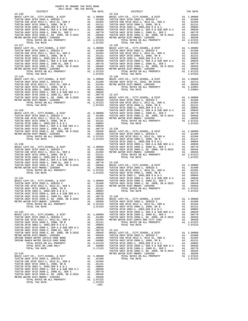| 13-126         |         | 13-134  |
|----------------|---------|---------|
|                |         |         |
|                |         |         |
|                |         |         |
|                |         |         |
|                |         |         |
|                |         |         |
|                |         |         |
|                |         |         |
|                |         |         |
|                |         |         |
|                |         |         |
|                |         |         |
|                |         |         |
|                |         |         |
|                |         |         |
|                |         |         |
|                |         |         |
|                |         |         |
|                |         |         |
|                |         |         |
|                |         |         |
|                |         |         |
|                |         |         |
|                |         |         |
|                |         |         |
|                |         |         |
|                |         |         |
|                |         |         |
|                |         |         |
|                |         |         |
|                |         |         |
| $13 - 129$     |         | TUSTIN  |
|                |         |         |
|                |         |         |
|                |         |         |
|                |         |         |
|                |         |         |
|                |         |         |
|                |         |         |
|                |         |         |
|                |         |         |
|                |         | TUSTIN  |
| $13 - 130$     |         | TUSTIN  |
|                |         |         |
|                |         |         |
|                |         |         |
|                |         |         |
|                |         |         |
|                |         |         |
|                |         |         |
|                |         |         |
|                |         |         |
|                |         |         |
|                |         | TUSTIN  |
| 13-131         |         | TUSTIN  |
|                |         |         |
|                |         |         |
|                |         |         |
|                |         |         |
|                |         |         |
|                |         |         |
|                |         |         |
|                |         |         |
|                |         |         |
|                |         | TUSTIN  |
| $13 - 132$     |         | TUSTIN  |
|                |         |         |
|                |         |         |
|                |         |         |
|                |         |         |
|                |         |         |
|                |         |         |
|                |         |         |
|                |         |         |
|                |         |         |
|                |         |         |
|                |         |         |
|                |         |         |
|                |         | TUSTIN  |
| $13 - 133$     |         | METRO W |
|                |         |         |
|                |         |         |
|                |         |         |
|                |         |         |
|                |         |         |
|                |         |         |
|                |         |         |
|                |         |         |
| TOTAL TAX RATE | 1.07223 |         |
|                |         |         |

-105-

| COUNTY OF ORANGE TAX RATE BOOK<br>2017-2018 TRA TAX RATES<br>DISTRICT |          | DISTRICT                                                                                                                                                                                                                                                                                                                                                                                     | TAX RATE |
|-----------------------------------------------------------------------|----------|----------------------------------------------------------------------------------------------------------------------------------------------------------------------------------------------------------------------------------------------------------------------------------------------------------------------------------------------------------------------------------------------|----------|
| $13 - 126$                                                            | TAX RATE | $13 - 134$                                                                                                                                                                                                                                                                                                                                                                                   |          |
|                                                                       |          |                                                                                                                                                                                                                                                                                                                                                                                              |          |
|                                                                       |          |                                                                                                                                                                                                                                                                                                                                                                                              |          |
|                                                                       |          |                                                                                                                                                                                                                                                                                                                                                                                              |          |
|                                                                       |          |                                                                                                                                                                                                                                                                                                                                                                                              |          |
|                                                                       |          |                                                                                                                                                                                                                                                                                                                                                                                              |          |
|                                                                       |          |                                                                                                                                                                                                                                                                                                                                                                                              |          |
|                                                                       |          |                                                                                                                                                                                                                                                                                                                                                                                              |          |
|                                                                       |          |                                                                                                                                                                                                                                                                                                                                                                                              |          |
|                                                                       |          |                                                                                                                                                                                                                                                                                                                                                                                              |          |
|                                                                       |          |                                                                                                                                                                                                                                                                                                                                                                                              |          |
|                                                                       |          |                                                                                                                                                                                                                                                                                                                                                                                              |          |
|                                                                       |          |                                                                                                                                                                                                                                                                                                                                                                                              |          |
|                                                                       |          |                                                                                                                                                                                                                                                                                                                                                                                              |          |
|                                                                       |          |                                                                                                                                                                                                                                                                                                                                                                                              |          |
|                                                                       |          |                                                                                                                                                                                                                                                                                                                                                                                              |          |
|                                                                       |          |                                                                                                                                                                                                                                                                                                                                                                                              |          |
|                                                                       |          |                                                                                                                                                                                                                                                                                                                                                                                              |          |
|                                                                       |          |                                                                                                                                                                                                                                                                                                                                                                                              |          |
|                                                                       |          |                                                                                                                                                                                                                                                                                                                                                                                              |          |
|                                                                       |          |                                                                                                                                                                                                                                                                                                                                                                                              |          |
|                                                                       |          |                                                                                                                                                                                                                                                                                                                                                                                              |          |
|                                                                       |          |                                                                                                                                                                                                                                                                                                                                                                                              |          |
|                                                                       |          |                                                                                                                                                                                                                                                                                                                                                                                              |          |
|                                                                       |          |                                                                                                                                                                                                                                                                                                                                                                                              |          |
|                                                                       |          |                                                                                                                                                                                                                                                                                                                                                                                              |          |
|                                                                       |          |                                                                                                                                                                                                                                                                                                                                                                                              |          |
|                                                                       |          |                                                                                                                                                                                                                                                                                                                                                                                              |          |
|                                                                       |          |                                                                                                                                                                                                                                                                                                                                                                                              |          |
|                                                                       |          |                                                                                                                                                                                                                                                                                                                                                                                              |          |
|                                                                       |          |                                                                                                                                                                                                                                                                                                                                                                                              |          |
|                                                                       |          |                                                                                                                                                                                                                                                                                                                                                                                              |          |
|                                                                       |          |                                                                                                                                                                                                                                                                                                                                                                                              |          |
|                                                                       |          |                                                                                                                                                                                                                                                                                                                                                                                              |          |
|                                                                       |          |                                                                                                                                                                                                                                                                                                                                                                                              |          |
|                                                                       |          |                                                                                                                                                                                                                                                                                                                                                                                              |          |
|                                                                       |          |                                                                                                                                                                                                                                                                                                                                                                                              |          |
|                                                                       |          |                                                                                                                                                                                                                                                                                                                                                                                              |          |
|                                                                       |          |                                                                                                                                                                                                                                                                                                                                                                                              |          |
|                                                                       |          |                                                                                                                                                                                                                                                                                                                                                                                              |          |
|                                                                       |          |                                                                                                                                                                                                                                                                                                                                                                                              |          |
|                                                                       |          |                                                                                                                                                                                                                                                                                                                                                                                              |          |
|                                                                       |          |                                                                                                                                                                                                                                                                                                                                                                                              |          |
|                                                                       |          |                                                                                                                                                                                                                                                                                                                                                                                              |          |
|                                                                       |          |                                                                                                                                                                                                                                                                                                                                                                                              |          |
|                                                                       |          |                                                                                                                                                                                                                                                                                                                                                                                              |          |
|                                                                       |          |                                                                                                                                                                                                                                                                                                                                                                                              |          |
|                                                                       |          | 13.137721<br>1972. APRIL PRODUCE (1972. AL. 2022)<br>1972. ARTHUR MARINE (1972. AL. 2022)<br>1973. ARTHUR MARINE (1972. AL. 2022)<br>1973. ARTHUR MARINE (1973. AL. 2022)<br>1973. ARTHUR MARINE (1973. ARTHUR MARINE (1973. ARTHUR MAR                                                                                                                                                      |          |
|                                                                       |          |                                                                                                                                                                                                                                                                                                                                                                                              |          |
|                                                                       |          |                                                                                                                                                                                                                                                                                                                                                                                              |          |
|                                                                       |          |                                                                                                                                                                                                                                                                                                                                                                                              |          |
|                                                                       |          |                                                                                                                                                                                                                                                                                                                                                                                              |          |
|                                                                       |          |                                                                                                                                                                                                                                                                                                                                                                                              |          |
|                                                                       |          |                                                                                                                                                                                                                                                                                                                                                                                              |          |
|                                                                       |          |                                                                                                                                                                                                                                                                                                                                                                                              |          |
|                                                                       |          |                                                                                                                                                                                                                                                                                                                                                                                              |          |
|                                                                       |          |                                                                                                                                                                                                                                                                                                                                                                                              |          |
|                                                                       |          |                                                                                                                                                                                                                                                                                                                                                                                              |          |
|                                                                       |          |                                                                                                                                                                                                                                                                                                                                                                                              |          |
|                                                                       |          |                                                                                                                                                                                                                                                                                                                                                                                              |          |
|                                                                       |          | $\begin{tabular}{c cccc} \hline \textbf{TOEM} & \textbf{180} & \textbf{190} & \textbf{100} & \textbf{100} & \textbf{100} & \textbf{100} & \textbf{100} & \textbf{100} & \textbf{100} & \textbf{100} & \textbf{100} & \textbf{100} & \textbf{100} & \textbf{100} & \textbf{100} & \textbf{100} & \textbf{100} & \textbf{100} & \textbf{100} & \textbf{100} & \textbf{100} & \textbf{100} & \$ |          |
|                                                                       |          |                                                                                                                                                                                                                                                                                                                                                                                              |          |
|                                                                       |          |                                                                                                                                                                                                                                                                                                                                                                                              |          |
|                                                                       |          |                                                                                                                                                                                                                                                                                                                                                                                              |          |
|                                                                       |          |                                                                                                                                                                                                                                                                                                                                                                                              |          |
|                                                                       |          |                                                                                                                                                                                                                                                                                                                                                                                              |          |
|                                                                       |          |                                                                                                                                                                                                                                                                                                                                                                                              |          |
|                                                                       |          |                                                                                                                                                                                                                                                                                                                                                                                              |          |
|                                                                       |          |                                                                                                                                                                                                                                                                                                                                                                                              |          |
|                                                                       |          |                                                                                                                                                                                                                                                                                                                                                                                              |          |
|                                                                       |          |                                                                                                                                                                                                                                                                                                                                                                                              |          |
|                                                                       |          |                                                                                                                                                                                                                                                                                                                                                                                              |          |
|                                                                       |          |                                                                                                                                                                                                                                                                                                                                                                                              |          |
|                                                                       |          |                                                                                                                                                                                                                                                                                                                                                                                              |          |
|                                                                       |          |                                                                                                                                                                                                                                                                                                                                                                                              |          |
|                                                                       |          |                                                                                                                                                                                                                                                                                                                                                                                              |          |
|                                                                       |          |                                                                                                                                                                                                                                                                                                                                                                                              |          |
|                                                                       |          |                                                                                                                                                                                                                                                                                                                                                                                              |          |
|                                                                       |          |                                                                                                                                                                                                                                                                                                                                                                                              |          |
|                                                                       |          |                                                                                                                                                                                                                                                                                                                                                                                              |          |
|                                                                       |          |                                                                                                                                                                                                                                                                                                                                                                                              |          |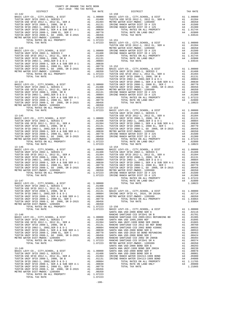| COUNTY OF ORANGE TAX RATE BOOK<br>2017-2018 TRA TAX RATES                                                                                                                                                                                                                                                                                                                                                                                                                     |          |            |          |
|-------------------------------------------------------------------------------------------------------------------------------------------------------------------------------------------------------------------------------------------------------------------------------------------------------------------------------------------------------------------------------------------------------------------------------------------------------------------------------|----------|------------|----------|
| DISTRICT                                                                                                                                                                                                                                                                                                                                                                                                                                                                      | TAX RATE | DISTRICT   | TAX RATE |
| $13 - 142$                                                                                                                                                                                                                                                                                                                                                                                                                                                                    |          | $13 - 150$ |          |
|                                                                                                                                                                                                                                                                                                                                                                                                                                                                               |          |            |          |
|                                                                                                                                                                                                                                                                                                                                                                                                                                                                               |          |            |          |
|                                                                                                                                                                                                                                                                                                                                                                                                                                                                               |          |            |          |
|                                                                                                                                                                                                                                                                                                                                                                                                                                                                               |          |            |          |
|                                                                                                                                                                                                                                                                                                                                                                                                                                                                               |          |            |          |
|                                                                                                                                                                                                                                                                                                                                                                                                                                                                               |          |            |          |
|                                                                                                                                                                                                                                                                                                                                                                                                                                                                               |          |            |          |
|                                                                                                                                                                                                                                                                                                                                                                                                                                                                               |          |            |          |
|                                                                                                                                                                                                                                                                                                                                                                                                                                                                               |          |            |          |
|                                                                                                                                                                                                                                                                                                                                                                                                                                                                               |          |            |          |
|                                                                                                                                                                                                                                                                                                                                                                                                                                                                               |          |            |          |
|                                                                                                                                                                                                                                                                                                                                                                                                                                                                               |          |            |          |
|                                                                                                                                                                                                                                                                                                                                                                                                                                                                               |          |            |          |
|                                                                                                                                                                                                                                                                                                                                                                                                                                                                               |          |            |          |
|                                                                                                                                                                                                                                                                                                                                                                                                                                                                               |          |            |          |
|                                                                                                                                                                                                                                                                                                                                                                                                                                                                               |          |            |          |
|                                                                                                                                                                                                                                                                                                                                                                                                                                                                               |          |            |          |
|                                                                                                                                                                                                                                                                                                                                                                                                                                                                               |          |            |          |
|                                                                                                                                                                                                                                                                                                                                                                                                                                                                               |          |            |          |
|                                                                                                                                                                                                                                                                                                                                                                                                                                                                               |          |            |          |
|                                                                                                                                                                                                                                                                                                                                                                                                                                                                               |          |            |          |
|                                                                                                                                                                                                                                                                                                                                                                                                                                                                               |          |            |          |
|                                                                                                                                                                                                                                                                                                                                                                                                                                                                               |          |            |          |
|                                                                                                                                                                                                                                                                                                                                                                                                                                                                               |          |            |          |
| METRO WITE DISTRIBUTE AND 100000 12005999<br>TOTAL FAXTES ON ALL PROPERTY ALL 107223 123-151 DWY-CO, CITY, SCHOOL, & DIST<br>1.07223 123-151 DWY-CO, CITY, SCHOOL, & DIST<br>1.07223 123-151 DWY-CO, CITY, SCHOOL 20000 120000 IRVI                                                                                                                                                                                                                                           |          |            |          |
|                                                                                                                                                                                                                                                                                                                                                                                                                                                                               |          |            |          |
|                                                                                                                                                                                                                                                                                                                                                                                                                                                                               |          |            |          |
|                                                                                                                                                                                                                                                                                                                                                                                                                                                                               |          |            |          |
|                                                                                                                                                                                                                                                                                                                                                                                                                                                                               |          |            |          |
|                                                                                                                                                                                                                                                                                                                                                                                                                                                                               |          |            |          |
|                                                                                                                                                                                                                                                                                                                                                                                                                                                                               |          |            |          |
|                                                                                                                                                                                                                                                                                                                                                                                                                                                                               |          |            |          |
| $\begin{tabular}{cccc} TOTAL RATES ON ALL PROBERTY & \multicolumn{4}{c}{A1 1.07223} & BASET LEVY-CO., CITY, SCHOOL, & DISTT \\ \hline TOTAL TAX RATE \\ \end{tabular} \begin{tabular}{cccc} TOTAL TAX RATE \\ \end{tabular} \end{tabular} \begin{tabular}{cccc} 1.07223 & BASET LEV-CO., CITY, SCHOOL, & E DISTT \\ \end{tabular} \begin{tabular}{cccc} 1.07223 & BASET LEV-CO., CITY, SCHOOL, & E DISTT \\ \end{tabular} \end{tabular} \begin{tabular}{cccc} 1.07223 & BASE$ |          |            |          |
| $13 - 146$                                                                                                                                                                                                                                                                                                                                                                                                                                                                    |          | $13 - 154$ |          |
|                                                                                                                                                                                                                                                                                                                                                                                                                                                                               |          |            |          |
|                                                                                                                                                                                                                                                                                                                                                                                                                                                                               |          |            |          |
|                                                                                                                                                                                                                                                                                                                                                                                                                                                                               |          |            |          |
|                                                                                                                                                                                                                                                                                                                                                                                                                                                                               |          |            |          |
|                                                                                                                                                                                                                                                                                                                                                                                                                                                                               |          |            |          |
|                                                                                                                                                                                                                                                                                                                                                                                                                                                                               |          |            |          |
|                                                                                                                                                                                                                                                                                                                                                                                                                                                                               |          |            |          |
|                                                                                                                                                                                                                                                                                                                                                                                                                                                                               |          |            |          |
|                                                                                                                                                                                                                                                                                                                                                                                                                                                                               |          |            |          |
|                                                                                                                                                                                                                                                                                                                                                                                                                                                                               |          |            |          |
|                                                                                                                                                                                                                                                                                                                                                                                                                                                                               |          |            |          |
|                                                                                                                                                                                                                                                                                                                                                                                                                                                                               |          |            |          |
|                                                                                                                                                                                                                                                                                                                                                                                                                                                                               |          |            |          |
|                                                                                                                                                                                                                                                                                                                                                                                                                                                                               |          |            |          |
|                                                                                                                                                                                                                                                                                                                                                                                                                                                                               |          |            |          |
|                                                                                                                                                                                                                                                                                                                                                                                                                                                                               |          |            |          |
|                                                                                                                                                                                                                                                                                                                                                                                                                                                                               |          |            |          |
|                                                                                                                                                                                                                                                                                                                                                                                                                                                                               |          |            |          |
|                                                                                                                                                                                                                                                                                                                                                                                                                                                                               |          |            |          |
|                                                                                                                                                                                                                                                                                                                                                                                                                                                                               |          |            |          |
|                                                                                                                                                                                                                                                                                                                                                                                                                                                                               |          |            |          |
|                                                                                                                                                                                                                                                                                                                                                                                                                                                                               |          |            |          |
|                                                                                                                                                                                                                                                                                                                                                                                                                                                                               |          |            |          |
|                                                                                                                                                                                                                                                                                                                                                                                                                                                                               |          |            |          |
|                                                                                                                                                                                                                                                                                                                                                                                                                                                                               |          |            |          |
|                                                                                                                                                                                                                                                                                                                                                                                                                                                                               |          |            |          |
| 13.148 With Mr. Second also measure of $\frac{1}{2}$ and $\frac{1}{2}$ and $\frac{1}{2}$ and $\frac{1}{2}$ and $\frac{1}{2}$ and $\frac{1}{2}$ and $\frac{1}{2}$ and $\frac{1}{2}$ and $\frac{1}{2}$ and $\frac{1}{2}$ and $\frac{1}{2}$ and $\frac{1}{2}$ and $\frac{1}{2}$ and                                                                                                                                                                                              |          |            |          |
|                                                                                                                                                                                                                                                                                                                                                                                                                                                                               |          |            |          |
|                                                                                                                                                                                                                                                                                                                                                                                                                                                                               |          |            |          |
|                                                                                                                                                                                                                                                                                                                                                                                                                                                                               |          |            |          |
|                                                                                                                                                                                                                                                                                                                                                                                                                                                                               |          |            |          |
|                                                                                                                                                                                                                                                                                                                                                                                                                                                                               |          |            |          |
|                                                                                                                                                                                                                                                                                                                                                                                                                                                                               |          |            |          |
|                                                                                                                                                                                                                                                                                                                                                                                                                                                                               |          |            |          |

-106-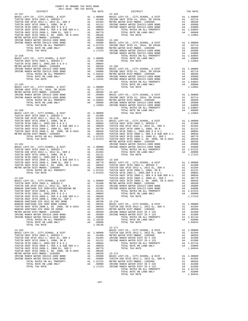| COUNTY OF ORANGE TAX RATE BOOK<br>2017-2018 TRA TAX RATES |          |                                                                                                                                                                                                                                                                          |          |
|-----------------------------------------------------------|----------|--------------------------------------------------------------------------------------------------------------------------------------------------------------------------------------------------------------------------------------------------------------------------|----------|
| <b>DISTRICT</b>                                           | TAX RATE | DISTRICT                                                                                                                                                                                                                                                                 | TAX RATE |
|                                                           |          |                                                                                                                                                                                                                                                                          |          |
|                                                           |          |                                                                                                                                                                                                                                                                          |          |
|                                                           |          |                                                                                                                                                                                                                                                                          |          |
|                                                           |          |                                                                                                                                                                                                                                                                          |          |
|                                                           |          |                                                                                                                                                                                                                                                                          |          |
|                                                           |          |                                                                                                                                                                                                                                                                          |          |
|                                                           |          |                                                                                                                                                                                                                                                                          |          |
|                                                           |          |                                                                                                                                                                                                                                                                          |          |
|                                                           |          |                                                                                                                                                                                                                                                                          |          |
|                                                           |          |                                                                                                                                                                                                                                                                          |          |
|                                                           |          |                                                                                                                                                                                                                                                                          |          |
|                                                           |          |                                                                                                                                                                                                                                                                          |          |
|                                                           |          |                                                                                                                                                                                                                                                                          |          |
|                                                           |          |                                                                                                                                                                                                                                                                          |          |
|                                                           |          |                                                                                                                                                                                                                                                                          |          |
|                                                           |          |                                                                                                                                                                                                                                                                          |          |
|                                                           |          |                                                                                                                                                                                                                                                                          |          |
|                                                           |          |                                                                                                                                                                                                                                                                          |          |
|                                                           |          |                                                                                                                                                                                                                                                                          |          |
|                                                           |          |                                                                                                                                                                                                                                                                          |          |
|                                                           |          |                                                                                                                                                                                                                                                                          |          |
|                                                           |          |                                                                                                                                                                                                                                                                          |          |
|                                                           |          |                                                                                                                                                                                                                                                                          |          |
|                                                           |          |                                                                                                                                                                                                                                                                          |          |
|                                                           |          |                                                                                                                                                                                                                                                                          |          |
|                                                           |          |                                                                                                                                                                                                                                                                          |          |
|                                                           |          |                                                                                                                                                                                                                                                                          |          |
|                                                           |          |                                                                                                                                                                                                                                                                          |          |
|                                                           |          |                                                                                                                                                                                                                                                                          |          |
|                                                           |          |                                                                                                                                                                                                                                                                          |          |
|                                                           |          |                                                                                                                                                                                                                                                                          |          |
|                                                           |          |                                                                                                                                                                                                                                                                          |          |
|                                                           |          |                                                                                                                                                                                                                                                                          |          |
|                                                           |          |                                                                                                                                                                                                                                                                          |          |
|                                                           |          |                                                                                                                                                                                                                                                                          |          |
|                                                           |          |                                                                                                                                                                                                                                                                          |          |
|                                                           |          |                                                                                                                                                                                                                                                                          |          |
|                                                           |          |                                                                                                                                                                                                                                                                          |          |
|                                                           |          |                                                                                                                                                                                                                                                                          |          |
|                                                           |          |                                                                                                                                                                                                                                                                          |          |
|                                                           |          |                                                                                                                                                                                                                                                                          |          |
|                                                           |          |                                                                                                                                                                                                                                                                          |          |
|                                                           |          |                                                                                                                                                                                                                                                                          |          |
|                                                           |          |                                                                                                                                                                                                                                                                          |          |
|                                                           |          |                                                                                                                                                                                                                                                                          |          |
|                                                           |          |                                                                                                                                                                                                                                                                          |          |
|                                                           |          |                                                                                                                                                                                                                                                                          |          |
|                                                           |          |                                                                                                                                                                                                                                                                          |          |
|                                                           |          |                                                                                                                                                                                                                                                                          |          |
|                                                           |          |                                                                                                                                                                                                                                                                          |          |
|                                                           |          |                                                                                                                                                                                                                                                                          |          |
|                                                           |          |                                                                                                                                                                                                                                                                          |          |
|                                                           |          |                                                                                                                                                                                                                                                                          |          |
|                                                           |          |                                                                                                                                                                                                                                                                          |          |
|                                                           |          |                                                                                                                                                                                                                                                                          |          |
|                                                           |          |                                                                                                                                                                                                                                                                          |          |
|                                                           |          |                                                                                                                                                                                                                                                                          |          |
|                                                           |          |                                                                                                                                                                                                                                                                          |          |
|                                                           |          |                                                                                                                                                                                                                                                                          |          |
|                                                           |          |                                                                                                                                                                                                                                                                          |          |
|                                                           |          |                                                                                                                                                                                                                                                                          |          |
|                                                           |          |                                                                                                                                                                                                                                                                          |          |
|                                                           |          |                                                                                                                                                                                                                                                                          |          |
|                                                           |          |                                                                                                                                                                                                                                                                          |          |
|                                                           |          |                                                                                                                                                                                                                                                                          |          |
|                                                           |          |                                                                                                                                                                                                                                                                          |          |
|                                                           |          | $13 - 171$                                                                                                                                                                                                                                                               |          |
|                                                           |          |                                                                                                                                                                                                                                                                          |          |
|                                                           |          |                                                                                                                                                                                                                                                                          |          |
|                                                           |          |                                                                                                                                                                                                                                                                          |          |
|                                                           |          |                                                                                                                                                                                                                                                                          |          |
|                                                           |          |                                                                                                                                                                                                                                                                          |          |
|                                                           |          | $\begin{tabular}{cccccccc} 13-163 & 14-171 & 14-171 & 14-171 & 14-171 & 14-171 & 14-171 & 14-171 & 14-171 & 14-171 & 14-171 & 14-171 & 14-171 & 14-171 & 14-171 & 14-171 & 14-171 & 14-171 & 14-171 & 14-171 & 14-171 & 14-171 & 14-171 & 14-171 & 14-171 & 14-171 & 14$ |          |
|                                                           |          |                                                                                                                                                                                                                                                                          |          |
|                                                           |          |                                                                                                                                                                                                                                                                          |          |
|                                                           |          |                                                                                                                                                                                                                                                                          |          |
|                                                           |          |                                                                                                                                                                                                                                                                          |          |
|                                                           |          |                                                                                                                                                                                                                                                                          |          |
|                                                           |          |                                                                                                                                                                                                                                                                          |          |
|                                                           |          |                                                                                                                                                                                                                                                                          |          |
|                                                           |          |                                                                                                                                                                                                                                                                          |          |
|                                                           |          |                                                                                                                                                                                                                                                                          |          |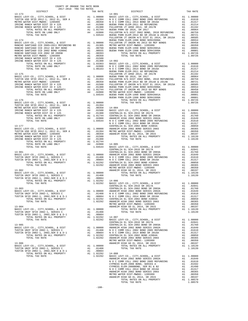| COUNTY OF ORANGE TAX RATE BOOK<br>2017-2018 TRA TAX RATES<br>$2017-2018 \quad \text{TRA TAX RATES}$ DISTRICT $2017-2018 \quad \text{TRA TAX RATES}$ |  |                                                                                                                                                                                                                                                                                                                                                                                                                       |  |
|-----------------------------------------------------------------------------------------------------------------------------------------------------|--|-----------------------------------------------------------------------------------------------------------------------------------------------------------------------------------------------------------------------------------------------------------------------------------------------------------------------------------------------------------------------------------------------------------------------|--|
|                                                                                                                                                     |  |                                                                                                                                                                                                                                                                                                                                                                                                                       |  |
|                                                                                                                                                     |  |                                                                                                                                                                                                                                                                                                                                                                                                                       |  |
|                                                                                                                                                     |  |                                                                                                                                                                                                                                                                                                                                                                                                                       |  |
|                                                                                                                                                     |  |                                                                                                                                                                                                                                                                                                                                                                                                                       |  |
|                                                                                                                                                     |  |                                                                                                                                                                                                                                                                                                                                                                                                                       |  |
|                                                                                                                                                     |  |                                                                                                                                                                                                                                                                                                                                                                                                                       |  |
|                                                                                                                                                     |  |                                                                                                                                                                                                                                                                                                                                                                                                                       |  |
|                                                                                                                                                     |  |                                                                                                                                                                                                                                                                                                                                                                                                                       |  |
|                                                                                                                                                     |  |                                                                                                                                                                                                                                                                                                                                                                                                                       |  |
|                                                                                                                                                     |  |                                                                                                                                                                                                                                                                                                                                                                                                                       |  |
|                                                                                                                                                     |  |                                                                                                                                                                                                                                                                                                                                                                                                                       |  |
|                                                                                                                                                     |  |                                                                                                                                                                                                                                                                                                                                                                                                                       |  |
|                                                                                                                                                     |  |                                                                                                                                                                                                                                                                                                                                                                                                                       |  |
|                                                                                                                                                     |  |                                                                                                                                                                                                                                                                                                                                                                                                                       |  |
|                                                                                                                                                     |  |                                                                                                                                                                                                                                                                                                                                                                                                                       |  |
|                                                                                                                                                     |  |                                                                                                                                                                                                                                                                                                                                                                                                                       |  |
|                                                                                                                                                     |  |                                                                                                                                                                                                                                                                                                                                                                                                                       |  |
|                                                                                                                                                     |  |                                                                                                                                                                                                                                                                                                                                                                                                                       |  |
|                                                                                                                                                     |  |                                                                                                                                                                                                                                                                                                                                                                                                                       |  |
|                                                                                                                                                     |  |                                                                                                                                                                                                                                                                                                                                                                                                                       |  |
|                                                                                                                                                     |  |                                                                                                                                                                                                                                                                                                                                                                                                                       |  |
|                                                                                                                                                     |  |                                                                                                                                                                                                                                                                                                                                                                                                                       |  |
|                                                                                                                                                     |  |                                                                                                                                                                                                                                                                                                                                                                                                                       |  |
|                                                                                                                                                     |  |                                                                                                                                                                                                                                                                                                                                                                                                                       |  |
|                                                                                                                                                     |  |                                                                                                                                                                                                                                                                                                                                                                                                                       |  |
|                                                                                                                                                     |  |                                                                                                                                                                                                                                                                                                                                                                                                                       |  |
|                                                                                                                                                     |  | $\begin{tabular}{cccc} 13-176 \\ 13-176 \\ \text{RUNIS D SET D 0012-1, 2012 EL, SER A \\ \text{MISTRO WISTR D SET D 012-1, 2012 EL, SER A \\ \text{RIVIR E ARICH WATE P SET D 19 425} \\ \text{RIVIR E ARICH WATE P SET D 19 425} \\ \text{RIVIR E ARICH WATE P SET D 19 425} \\ \text{RIVIR E ARICH WATE P SET D 19 425} \\ \text{RIVIR E ARICH WATE P SET D 19 425} \\ \text{RIVIR E ARICH WATE P SET D 19 425} \\$ |  |
|                                                                                                                                                     |  |                                                                                                                                                                                                                                                                                                                                                                                                                       |  |
|                                                                                                                                                     |  |                                                                                                                                                                                                                                                                                                                                                                                                                       |  |
|                                                                                                                                                     |  |                                                                                                                                                                                                                                                                                                                                                                                                                       |  |
|                                                                                                                                                     |  |                                                                                                                                                                                                                                                                                                                                                                                                                       |  |
|                                                                                                                                                     |  |                                                                                                                                                                                                                                                                                                                                                                                                                       |  |
|                                                                                                                                                     |  |                                                                                                                                                                                                                                                                                                                                                                                                                       |  |
|                                                                                                                                                     |  |                                                                                                                                                                                                                                                                                                                                                                                                                       |  |
|                                                                                                                                                     |  |                                                                                                                                                                                                                                                                                                                                                                                                                       |  |
|                                                                                                                                                     |  |                                                                                                                                                                                                                                                                                                                                                                                                                       |  |
|                                                                                                                                                     |  | $\begin{tabular}{l c c c c c} \hline \textbf{TOTAL RATE} & \textbf{ON} & \textbf{IMID} & \textbf{ONLY} & \textbf{A4} & .02800 & 14-005 & 0.2200 & 0.214-005 & 0.2178 & 0.2178 & 0.2178 & 0.2178 & 0.2178 & 0.2178 & 0.2178 & 0.2178 & 0.2178 & 0.2178 & 0.2178 & 0.2178 & 0.2178 & 0.2178 & 0.2178 & 0.$                                                                                                              |  |
|                                                                                                                                                     |  |                                                                                                                                                                                                                                                                                                                                                                                                                       |  |
|                                                                                                                                                     |  |                                                                                                                                                                                                                                                                                                                                                                                                                       |  |
|                                                                                                                                                     |  |                                                                                                                                                                                                                                                                                                                                                                                                                       |  |
|                                                                                                                                                     |  |                                                                                                                                                                                                                                                                                                                                                                                                                       |  |
|                                                                                                                                                     |  |                                                                                                                                                                                                                                                                                                                                                                                                                       |  |
|                                                                                                                                                     |  |                                                                                                                                                                                                                                                                                                                                                                                                                       |  |
|                                                                                                                                                     |  |                                                                                                                                                                                                                                                                                                                                                                                                                       |  |
|                                                                                                                                                     |  |                                                                                                                                                                                                                                                                                                                                                                                                                       |  |
|                                                                                                                                                     |  |                                                                                                                                                                                                                                                                                                                                                                                                                       |  |
|                                                                                                                                                     |  |                                                                                                                                                                                                                                                                                                                                                                                                                       |  |
|                                                                                                                                                     |  |                                                                                                                                                                                                                                                                                                                                                                                                                       |  |
|                                                                                                                                                     |  |                                                                                                                                                                                                                                                                                                                                                                                                                       |  |
|                                                                                                                                                     |  |                                                                                                                                                                                                                                                                                                                                                                                                                       |  |
|                                                                                                                                                     |  |                                                                                                                                                                                                                                                                                                                                                                                                                       |  |
|                                                                                                                                                     |  |                                                                                                                                                                                                                                                                                                                                                                                                                       |  |
|                                                                                                                                                     |  |                                                                                                                                                                                                                                                                                                                                                                                                                       |  |
|                                                                                                                                                     |  |                                                                                                                                                                                                                                                                                                                                                                                                                       |  |
|                                                                                                                                                     |  |                                                                                                                                                                                                                                                                                                                                                                                                                       |  |
|                                                                                                                                                     |  |                                                                                                                                                                                                                                                                                                                                                                                                                       |  |
|                                                                                                                                                     |  |                                                                                                                                                                                                                                                                                                                                                                                                                       |  |
|                                                                                                                                                     |  |                                                                                                                                                                                                                                                                                                                                                                                                                       |  |
|                                                                                                                                                     |  |                                                                                                                                                                                                                                                                                                                                                                                                                       |  |
|                                                                                                                                                     |  |                                                                                                                                                                                                                                                                                                                                                                                                                       |  |
|                                                                                                                                                     |  |                                                                                                                                                                                                                                                                                                                                                                                                                       |  |
|                                                                                                                                                     |  |                                                                                                                                                                                                                                                                                                                                                                                                                       |  |
|                                                                                                                                                     |  |                                                                                                                                                                                                                                                                                                                                                                                                                       |  |
|                                                                                                                                                     |  |                                                                                                                                                                                                                                                                                                                                                                                                                       |  |
|                                                                                                                                                     |  |                                                                                                                                                                                                                                                                                                                                                                                                                       |  |
|                                                                                                                                                     |  |                                                                                                                                                                                                                                                                                                                                                                                                                       |  |
|                                                                                                                                                     |  |                                                                                                                                                                                                                                                                                                                                                                                                                       |  |
|                                                                                                                                                     |  |                                                                                                                                                                                                                                                                                                                                                                                                                       |  |
|                                                                                                                                                     |  |                                                                                                                                                                                                                                                                                                                                                                                                                       |  |
|                                                                                                                                                     |  |                                                                                                                                                                                                                                                                                                                                                                                                                       |  |
|                                                                                                                                                     |  |                                                                                                                                                                                                                                                                                                                                                                                                                       |  |
|                                                                                                                                                     |  |                                                                                                                                                                                                                                                                                                                                                                                                                       |  |
|                                                                                                                                                     |  |                                                                                                                                                                                                                                                                                                                                                                                                                       |  |
|                                                                                                                                                     |  |                                                                                                                                                                                                                                                                                                                                                                                                                       |  |
|                                                                                                                                                     |  |                                                                                                                                                                                                                                                                                                                                                                                                                       |  |
|                                                                                                                                                     |  |                                                                                                                                                                                                                                                                                                                                                                                                                       |  |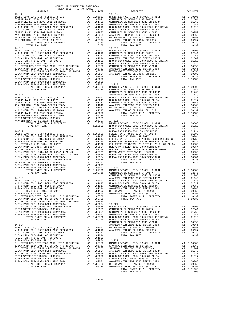|                                                                       | COUNTY OF ORANGE TAX RATE BOOK<br>2017-2018 TRA TAX RATES                                                                                                                                                                                                                                                                                                                                    |                 |                    |
|-----------------------------------------------------------------------|----------------------------------------------------------------------------------------------------------------------------------------------------------------------------------------------------------------------------------------------------------------------------------------------------------------------------------------------------------------------------------------------|-----------------|--------------------|
| DISTRICT                                                              |                                                                                                                                                                                                                                                                                                                                                                                              | TAX RATE        |                    |
| $14 - 009$                                                            |                                                                                                                                                                                                                                                                                                                                                                                              |                 | $14 - 015$         |
|                                                                       |                                                                                                                                                                                                                                                                                                                                                                                              |                 |                    |
|                                                                       |                                                                                                                                                                                                                                                                                                                                                                                              |                 |                    |
|                                                                       |                                                                                                                                                                                                                                                                                                                                                                                              |                 |                    |
|                                                                       |                                                                                                                                                                                                                                                                                                                                                                                              |                 |                    |
|                                                                       |                                                                                                                                                                                                                                                                                                                                                                                              |                 |                    |
|                                                                       |                                                                                                                                                                                                                                                                                                                                                                                              |                 |                    |
|                                                                       |                                                                                                                                                                                                                                                                                                                                                                                              |                 |                    |
|                                                                       |                                                                                                                                                                                                                                                                                                                                                                                              |                 |                    |
|                                                                       |                                                                                                                                                                                                                                                                                                                                                                                              |                 |                    |
|                                                                       |                                                                                                                                                                                                                                                                                                                                                                                              |                 |                    |
|                                                                       |                                                                                                                                                                                                                                                                                                                                                                                              |                 |                    |
|                                                                       |                                                                                                                                                                                                                                                                                                                                                                                              |                 |                    |
|                                                                       |                                                                                                                                                                                                                                                                                                                                                                                              |                 |                    |
|                                                                       |                                                                                                                                                                                                                                                                                                                                                                                              |                 |                    |
|                                                                       |                                                                                                                                                                                                                                                                                                                                                                                              |                 |                    |
|                                                                       |                                                                                                                                                                                                                                                                                                                                                                                              |                 |                    |
|                                                                       |                                                                                                                                                                                                                                                                                                                                                                                              |                 |                    |
|                                                                       |                                                                                                                                                                                                                                                                                                                                                                                              |                 |                    |
|                                                                       |                                                                                                                                                                                                                                                                                                                                                                                              |                 |                    |
|                                                                       |                                                                                                                                                                                                                                                                                                                                                                                              |                 |                    |
|                                                                       |                                                                                                                                                                                                                                                                                                                                                                                              |                 |                    |
|                                                                       |                                                                                                                                                                                                                                                                                                                                                                                              |                 |                    |
|                                                                       |                                                                                                                                                                                                                                                                                                                                                                                              |                 |                    |
|                                                                       |                                                                                                                                                                                                                                                                                                                                                                                              |                 | CENTRAL            |
| $14 - 011$                                                            |                                                                                                                                                                                                                                                                                                                                                                                              |                 | ANAHEIM            |
|                                                                       |                                                                                                                                                                                                                                                                                                                                                                                              |                 |                    |
|                                                                       |                                                                                                                                                                                                                                                                                                                                                                                              |                 |                    |
|                                                                       |                                                                                                                                                                                                                                                                                                                                                                                              |                 |                    |
|                                                                       |                                                                                                                                                                                                                                                                                                                                                                                              |                 |                    |
|                                                                       |                                                                                                                                                                                                                                                                                                                                                                                              |                 |                    |
|                                                                       |                                                                                                                                                                                                                                                                                                                                                                                              |                 |                    |
|                                                                       |                                                                                                                                                                                                                                                                                                                                                                                              |                 |                    |
|                                                                       |                                                                                                                                                                                                                                                                                                                                                                                              |                 |                    |
|                                                                       |                                                                                                                                                                                                                                                                                                                                                                                              |                 |                    |
|                                                                       |                                                                                                                                                                                                                                                                                                                                                                                              |                 | N O C C            |
|                                                                       |                                                                                                                                                                                                                                                                                                                                                                                              |                 |                    |
|                                                                       |                                                                                                                                                                                                                                                                                                                                                                                              |                 |                    |
|                                                                       |                                                                                                                                                                                                                                                                                                                                                                                              |                 |                    |
|                                                                       |                                                                                                                                                                                                                                                                                                                                                                                              |                 |                    |
|                                                                       |                                                                                                                                                                                                                                                                                                                                                                                              |                 |                    |
|                                                                       |                                                                                                                                                                                                                                                                                                                                                                                              |                 |                    |
|                                                                       |                                                                                                                                                                                                                                                                                                                                                                                              |                 |                    |
|                                                                       |                                                                                                                                                                                                                                                                                                                                                                                              |                 |                    |
|                                                                       |                                                                                                                                                                                                                                                                                                                                                                                              |                 |                    |
|                                                                       |                                                                                                                                                                                                                                                                                                                                                                                              |                 |                    |
|                                                                       |                                                                                                                                                                                                                                                                                                                                                                                              |                 |                    |
|                                                                       |                                                                                                                                                                                                                                                                                                                                                                                              |                 |                    |
|                                                                       |                                                                                                                                                                                                                                                                                                                                                                                              |                 |                    |
|                                                                       |                                                                                                                                                                                                                                                                                                                                                                                              |                 |                    |
|                                                                       |                                                                                                                                                                                                                                                                                                                                                                                              |                 | CENTRAL            |
| $14 - 013$                                                            |                                                                                                                                                                                                                                                                                                                                                                                              |                 | ANAHEIM            |
|                                                                       |                                                                                                                                                                                                                                                                                                                                                                                              |                 |                    |
|                                                                       |                                                                                                                                                                                                                                                                                                                                                                                              |                 |                    |
|                                                                       |                                                                                                                                                                                                                                                                                                                                                                                              |                 |                    |
|                                                                       |                                                                                                                                                                                                                                                                                                                                                                                              |                 |                    |
|                                                                       |                                                                                                                                                                                                                                                                                                                                                                                              |                 |                    |
|                                                                       |                                                                                                                                                                                                                                                                                                                                                                                              |                 |                    |
|                                                                       |                                                                                                                                                                                                                                                                                                                                                                                              |                 |                    |
|                                                                       |                                                                                                                                                                                                                                                                                                                                                                                              |                 |                    |
|                                                                       |                                                                                                                                                                                                                                                                                                                                                                                              |                 |                    |
|                                                                       |                                                                                                                                                                                                                                                                                                                                                                                              |                 |                    |
|                                                                       |                                                                                                                                                                                                                                                                                                                                                                                              |                 |                    |
|                                                                       |                                                                                                                                                                                                                                                                                                                                                                                              |                 |                    |
|                                                                       |                                                                                                                                                                                                                                                                                                                                                                                              |                 |                    |
| $14 - 014$                                                            |                                                                                                                                                                                                                                                                                                                                                                                              |                 | CENTRAL<br>ANAHEIM |
|                                                                       |                                                                                                                                                                                                                                                                                                                                                                                              |                 |                    |
|                                                                       |                                                                                                                                                                                                                                                                                                                                                                                              |                 |                    |
| N O C COMM COLL 2014 BOND SR 2016A                                    |                                                                                                                                                                                                                                                                                                                                                                                              | A1 .01317       |                    |
| BUENA PARK ELEM-2011 GO REFUNDING<br>FULLERTON JT UHSD 2014, SR 2017B |                                                                                                                                                                                                                                                                                                                                                                                              | A1 .01214       |                    |
|                                                                       |                                                                                                                                                                                                                                                                                                                                                                                              |                 |                    |
|                                                                       |                                                                                                                                                                                                                                                                                                                                                                                              |                 |                    |
|                                                                       |                                                                                                                                                                                                                                                                                                                                                                                              |                 |                    |
|                                                                       |                                                                                                                                                                                                                                                                                                                                                                                              |                 |                    |
|                                                                       |                                                                                                                                                                                                                                                                                                                                                                                              |                 |                    |
|                                                                       |                                                                                                                                                                                                                                                                                                                                                                                              |                 |                    |
|                                                                       |                                                                                                                                                                                                                                                                                                                                                                                              |                 |                    |
|                                                                       |                                                                                                                                                                                                                                                                                                                                                                                              |                 |                    |
| TOTAL TAX RATE                                                        | $\begin{tabular}{l c c c c c} \multicolumn{1}{c}{\textbf{FULLERTON}} &\textbf{3T} &\textbf{UBSD} & 2014\,, &\textbf{SR} & 2017B &\textbf{A1} & .01192 \\ \multicolumn{1}{c}{\textbf{FULLERTON} PARK} & \textbf{SD16}\,, & \textbf{SR} & 2017 &\textbf{A1} & .00964 & 14-022 \\ \multicolumn{1}{c}{\textbf{FULLERTON H/S} D16}\,, & \textbf{SIR} & 2012 & \textbf{BND}, & 2010 & \textbf{REF$ | 1.09726 ANAHEIM |                    |
|                                                                       |                                                                                                                                                                                                                                                                                                                                                                                              |                 |                    |

| TAX RATE<br>DISTRICT |  | DISTRICT   | TAX RATE |
|----------------------|--|------------|----------|
| $14 - 009$           |  | $14 - 015$ |          |
|                      |  |            |          |
|                      |  |            |          |
|                      |  |            |          |
|                      |  |            |          |
|                      |  |            |          |
|                      |  |            |          |
|                      |  |            |          |
|                      |  |            |          |
|                      |  |            |          |
|                      |  |            |          |
|                      |  |            |          |
|                      |  |            |          |
|                      |  |            |          |
|                      |  |            |          |
|                      |  |            |          |
|                      |  |            |          |
|                      |  |            |          |
|                      |  |            |          |
|                      |  |            |          |
|                      |  |            |          |
|                      |  |            |          |
|                      |  |            |          |
|                      |  |            |          |
|                      |  |            |          |
|                      |  |            |          |
|                      |  |            |          |
|                      |  |            |          |
|                      |  |            |          |
|                      |  |            |          |
|                      |  |            |          |
|                      |  |            |          |
|                      |  |            |          |
|                      |  |            |          |
|                      |  |            |          |
|                      |  |            |          |
|                      |  |            |          |
|                      |  |            |          |
|                      |  |            |          |
|                      |  |            |          |
|                      |  |            |          |
|                      |  |            |          |
|                      |  |            |          |
|                      |  |            |          |
|                      |  |            |          |
|                      |  |            |          |
|                      |  |            |          |
|                      |  |            |          |
|                      |  |            |          |
|                      |  |            |          |
|                      |  |            |          |
|                      |  |            |          |
|                      |  |            |          |
|                      |  |            |          |
|                      |  |            |          |
|                      |  |            |          |
|                      |  |            |          |
|                      |  |            |          |
|                      |  |            |          |
|                      |  |            |          |
|                      |  |            |          |
|                      |  |            |          |
|                      |  |            |          |
|                      |  |            |          |
|                      |  |            |          |
|                      |  |            |          |
|                      |  |            |          |
|                      |  |            |          |
|                      |  |            |          |
|                      |  |            |          |
|                      |  |            |          |
|                      |  |            |          |
|                      |  |            |          |
|                      |  |            |          |
|                      |  |            |          |
|                      |  |            |          |
|                      |  |            |          |
|                      |  |            |          |
|                      |  |            |          |
|                      |  |            |          |
|                      |  |            |          |
|                      |  |            |          |
|                      |  |            |          |
|                      |  |            |          |
|                      |  |            |          |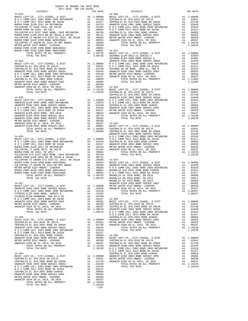| $14 - 023$                                                                                                                                                                               |    |                                    | $14 - 030$                |
|------------------------------------------------------------------------------------------------------------------------------------------------------------------------------------------|----|------------------------------------|---------------------------|
|                                                                                                                                                                                          |    |                                    |                           |
|                                                                                                                                                                                          |    |                                    |                           |
|                                                                                                                                                                                          |    |                                    |                           |
|                                                                                                                                                                                          |    |                                    |                           |
|                                                                                                                                                                                          |    |                                    |                           |
|                                                                                                                                                                                          |    |                                    |                           |
|                                                                                                                                                                                          |    |                                    |                           |
|                                                                                                                                                                                          |    |                                    |                           |
|                                                                                                                                                                                          |    |                                    |                           |
|                                                                                                                                                                                          |    |                                    |                           |
| $14 - 024$                                                                                                                                                                               |    |                                    | SAVANNA<br>ANAHEIM        |
|                                                                                                                                                                                          |    |                                    |                           |
|                                                                                                                                                                                          |    |                                    |                           |
|                                                                                                                                                                                          |    |                                    |                           |
|                                                                                                                                                                                          |    |                                    |                           |
|                                                                                                                                                                                          |    |                                    |                           |
|                                                                                                                                                                                          |    |                                    |                           |
|                                                                                                                                                                                          |    |                                    |                           |
|                                                                                                                                                                                          |    |                                    |                           |
| $14 - 025$                                                                                                                                                                               |    |                                    | CENTRAL<br><b>ANAHEIM</b> |
|                                                                                                                                                                                          |    |                                    |                           |
|                                                                                                                                                                                          |    |                                    |                           |
|                                                                                                                                                                                          |    |                                    |                           |
|                                                                                                                                                                                          |    |                                    |                           |
|                                                                                                                                                                                          |    |                                    |                           |
|                                                                                                                                                                                          |    |                                    |                           |
|                                                                                                                                                                                          |    |                                    |                           |
|                                                                                                                                                                                          |    |                                    |                           |
|                                                                                                                                                                                          |    |                                    |                           |
|                                                                                                                                                                                          |    |                                    | <b>ANAHEIM</b>            |
|                                                                                                                                                                                          |    |                                    |                           |
|                                                                                                                                                                                          |    |                                    |                           |
|                                                                                                                                                                                          |    |                                    |                           |
|                                                                                                                                                                                          |    |                                    |                           |
|                                                                                                                                                                                          |    |                                    |                           |
|                                                                                                                                                                                          |    |                                    |                           |
|                                                                                                                                                                                          |    |                                    |                           |
|                                                                                                                                                                                          |    |                                    |                           |
|                                                                                                                                                                                          |    |                                    |                           |
|                                                                                                                                                                                          |    |                                    |                           |
|                                                                                                                                                                                          |    |                                    |                           |
|                                                                                                                                                                                          |    |                                    |                           |
|                                                                                                                                                                                          |    |                                    | MAGNOLI                   |
| $14 - 027$                                                                                                                                                                               |    |                                    | ANAHEIM                   |
|                                                                                                                                                                                          |    |                                    |                           |
|                                                                                                                                                                                          |    |                                    |                           |
| CYPRESS ELEM-2008 BOND, SERIES A CYPRESS ELEM-2008BOND, SER B1 & B2                                                                                                                      |    |                                    |                           |
| N O C COMM COLL 2014 BOND SR 2016A                                                                                                                                                       |    | A1 .01317 14-035                   |                           |
| ANAHEIM HIGH 2002 BOND SERIES 2003                                                                                                                                                       |    |                                    | BASIC L                   |
| METRO WATER DIST-MWDOC- 1205999                                                                                                                                                          |    |                                    | CENTRAL                   |
| 01610<br>22 A1 .01992<br>22 A1 .01490<br>23 A1 .01317<br>201305<br>21 .00350<br>21 .00197<br>21 1.08570<br>21 1.08570<br>ANAHEIM HIGH GO EL 2014, SR 2015<br>TOTAL RATES ON ALL PROPERTY |    |                                    | CENTRAL                   |
| TOTAL TAX RATE                                                                                                                                                                           |    | A1 1.08570 ANAHEIM<br>1.08570 NOCC |                           |
|                                                                                                                                                                                          |    |                                    | NOCC                      |
| $14 - 028$                                                                                                                                                                               |    |                                    | CENTRAL                   |
|                                                                                                                                                                                          |    |                                    |                           |
|                                                                                                                                                                                          |    |                                    |                           |
|                                                                                                                                                                                          |    |                                    |                           |
|                                                                                                                                                                                          |    |                                    |                           |
| CENTRALIA EL SCH-2002 BOND #2004A                                                                                                                                                        |    |                                    |                           |
| ANAHEIM HIGH 2002 BOND SERIES 2003                                                                                                                                                       |    |                                    |                           |
| METRO WATER DIST-MWDOC- 1205999<br>ANAHEIM HIGH GO EL 2014, SR 2015                                                                                                                      |    |                                    |                           |
|                                                                                                                                                                                          |    |                                    | NOCC                      |
| $14 - 029$                                                                                                                                                                               |    |                                    | CENTRAL                   |
|                                                                                                                                                                                          |    |                                    |                           |
|                                                                                                                                                                                          |    |                                    |                           |
|                                                                                                                                                                                          |    |                                    |                           |
|                                                                                                                                                                                          |    |                                    |                           |
|                                                                                                                                                                                          |    |                                    |                           |
|                                                                                                                                                                                          |    |                                    |                           |
|                                                                                                                                                                                          |    |                                    |                           |
| ATER DIST-MWDOC- 1205999<br>HIGH GO EL 2014, SR 2015<br>TOTAL RATES ON ALL PROPERTY<br>ANAHEIM HIGH GO EL 2014, SR 2015                                                                  | A1 | .00197<br>A1 1.10139               |                           |
| TOTAL TAX RATE                                                                                                                                                                           |    | 1.10139                            |                           |

-110-

| COUNTY OF ORANGE TAX RATE BOOK<br>2017-2018 TRA TAX RATES<br>$2017-2018 \quad \text{TRA RATES}$ DISTRICT $\hspace{2.5cm}$ |          |          |          |
|---------------------------------------------------------------------------------------------------------------------------|----------|----------|----------|
|                                                                                                                           | TAX RATE | DISTRICT | TAX RATE |
|                                                                                                                           |          |          |          |
|                                                                                                                           |          |          |          |
|                                                                                                                           |          |          |          |
|                                                                                                                           |          |          |          |
|                                                                                                                           |          |          |          |
|                                                                                                                           |          |          |          |
|                                                                                                                           |          |          |          |
|                                                                                                                           |          |          |          |
|                                                                                                                           |          |          |          |
|                                                                                                                           |          |          |          |
|                                                                                                                           |          |          |          |
|                                                                                                                           |          |          |          |
|                                                                                                                           |          |          |          |
|                                                                                                                           |          |          |          |
|                                                                                                                           |          |          |          |
|                                                                                                                           |          |          |          |
|                                                                                                                           |          |          |          |
|                                                                                                                           |          |          |          |
|                                                                                                                           |          |          |          |
|                                                                                                                           |          |          |          |
|                                                                                                                           |          |          |          |
|                                                                                                                           |          |          |          |
|                                                                                                                           |          |          |          |
|                                                                                                                           |          |          |          |
|                                                                                                                           |          |          |          |
|                                                                                                                           |          |          |          |
|                                                                                                                           |          |          |          |
|                                                                                                                           |          |          |          |
|                                                                                                                           |          |          |          |
|                                                                                                                           |          |          |          |
|                                                                                                                           |          |          |          |
|                                                                                                                           |          |          |          |
|                                                                                                                           |          |          |          |
|                                                                                                                           |          |          |          |
|                                                                                                                           |          |          |          |
|                                                                                                                           |          |          |          |
|                                                                                                                           |          |          |          |
|                                                                                                                           |          |          |          |
|                                                                                                                           |          |          |          |
|                                                                                                                           |          |          |          |
|                                                                                                                           |          |          |          |
|                                                                                                                           |          |          |          |
|                                                                                                                           |          |          |          |
|                                                                                                                           |          |          |          |
|                                                                                                                           |          |          |          |
|                                                                                                                           |          |          |          |
|                                                                                                                           |          |          |          |
|                                                                                                                           |          |          |          |
|                                                                                                                           |          |          |          |
|                                                                                                                           |          |          |          |
|                                                                                                                           |          |          |          |
|                                                                                                                           |          |          |          |
|                                                                                                                           |          |          |          |
|                                                                                                                           |          |          |          |
|                                                                                                                           |          |          |          |
|                                                                                                                           |          |          |          |
|                                                                                                                           |          |          |          |
|                                                                                                                           |          |          |          |
|                                                                                                                           |          |          |          |
|                                                                                                                           |          |          |          |
|                                                                                                                           |          |          |          |
|                                                                                                                           |          |          |          |
|                                                                                                                           |          |          |          |
|                                                                                                                           |          |          |          |
|                                                                                                                           |          |          |          |
|                                                                                                                           |          |          |          |
|                                                                                                                           |          |          |          |
|                                                                                                                           |          |          |          |
|                                                                                                                           |          |          |          |
|                                                                                                                           |          |          |          |
|                                                                                                                           |          |          |          |
|                                                                                                                           |          |          |          |
|                                                                                                                           |          |          |          |
|                                                                                                                           |          |          |          |
|                                                                                                                           |          |          |          |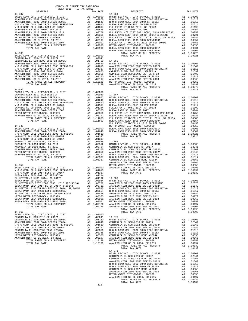| COUNTY OF ORANGE TAX RATE BOOK<br>2017-2018 TRA TAX RATES<br>$2017-2018 \quad \text{TRA RATE B}$ DISTRICT 2017-2018 TRA TAX RATES |         |  |  |
|-----------------------------------------------------------------------------------------------------------------------------------|---------|--|--|
|                                                                                                                                   |         |  |  |
|                                                                                                                                   |         |  |  |
|                                                                                                                                   |         |  |  |
|                                                                                                                                   |         |  |  |
|                                                                                                                                   |         |  |  |
|                                                                                                                                   |         |  |  |
|                                                                                                                                   |         |  |  |
|                                                                                                                                   |         |  |  |
|                                                                                                                                   |         |  |  |
|                                                                                                                                   |         |  |  |
|                                                                                                                                   |         |  |  |
|                                                                                                                                   |         |  |  |
|                                                                                                                                   |         |  |  |
|                                                                                                                                   |         |  |  |
|                                                                                                                                   |         |  |  |
|                                                                                                                                   |         |  |  |
|                                                                                                                                   |         |  |  |
|                                                                                                                                   |         |  |  |
|                                                                                                                                   |         |  |  |
|                                                                                                                                   |         |  |  |
|                                                                                                                                   |         |  |  |
|                                                                                                                                   |         |  |  |
|                                                                                                                                   |         |  |  |
|                                                                                                                                   |         |  |  |
|                                                                                                                                   |         |  |  |
|                                                                                                                                   |         |  |  |
|                                                                                                                                   |         |  |  |
|                                                                                                                                   |         |  |  |
|                                                                                                                                   |         |  |  |
|                                                                                                                                   |         |  |  |
|                                                                                                                                   |         |  |  |
|                                                                                                                                   |         |  |  |
|                                                                                                                                   |         |  |  |
|                                                                                                                                   |         |  |  |
|                                                                                                                                   |         |  |  |
|                                                                                                                                   |         |  |  |
|                                                                                                                                   |         |  |  |
|                                                                                                                                   |         |  |  |
|                                                                                                                                   |         |  |  |
|                                                                                                                                   |         |  |  |
|                                                                                                                                   |         |  |  |
|                                                                                                                                   |         |  |  |
|                                                                                                                                   |         |  |  |
|                                                                                                                                   |         |  |  |
|                                                                                                                                   |         |  |  |
|                                                                                                                                   |         |  |  |
|                                                                                                                                   |         |  |  |
|                                                                                                                                   |         |  |  |
|                                                                                                                                   |         |  |  |
|                                                                                                                                   |         |  |  |
|                                                                                                                                   |         |  |  |
|                                                                                                                                   |         |  |  |
|                                                                                                                                   |         |  |  |
|                                                                                                                                   |         |  |  |
|                                                                                                                                   |         |  |  |
|                                                                                                                                   |         |  |  |
|                                                                                                                                   |         |  |  |
|                                                                                                                                   |         |  |  |
|                                                                                                                                   |         |  |  |
|                                                                                                                                   |         |  |  |
|                                                                                                                                   |         |  |  |
|                                                                                                                                   |         |  |  |
|                                                                                                                                   |         |  |  |
|                                                                                                                                   |         |  |  |
|                                                                                                                                   |         |  |  |
|                                                                                                                                   |         |  |  |
|                                                                                                                                   |         |  |  |
|                                                                                                                                   |         |  |  |
|                                                                                                                                   |         |  |  |
|                                                                                                                                   |         |  |  |
|                                                                                                                                   |         |  |  |
|                                                                                                                                   |         |  |  |
|                                                                                                                                   |         |  |  |
|                                                                                                                                   |         |  |  |
|                                                                                                                                   |         |  |  |
|                                                                                                                                   |         |  |  |
|                                                                                                                                   |         |  |  |
|                                                                                                                                   |         |  |  |
|                                                                                                                                   |         |  |  |
|                                                                                                                                   |         |  |  |
|                                                                                                                                   |         |  |  |
|                                                                                                                                   |         |  |  |
|                                                                                                                                   | $-111-$ |  |  |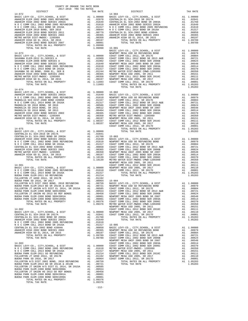| COUNTY OF ORANGE TAX RATE BOOK<br>2017-2018 TRA TAX RATES<br>$2017-2018~~\text{TRA}~~\text{TARATE}$ DISTRICT $2017-2018~~\text{TRA}~~\text{TAX}~~\text{RATES}$ |                |            |          |  |
|----------------------------------------------------------------------------------------------------------------------------------------------------------------|----------------|------------|----------|--|
|                                                                                                                                                                | TAX RATE       | DISTRICT   | TAX RATE |  |
| $14 - 072$                                                                                                                                                     |                | $14 - 904$ |          |  |
|                                                                                                                                                                |                |            |          |  |
|                                                                                                                                                                |                |            |          |  |
|                                                                                                                                                                |                |            |          |  |
|                                                                                                                                                                |                |            |          |  |
|                                                                                                                                                                |                |            |          |  |
|                                                                                                                                                                |                |            |          |  |
|                                                                                                                                                                |                |            |          |  |
|                                                                                                                                                                |                |            |          |  |
|                                                                                                                                                                |                |            |          |  |
| TOTAL TAX RATE                                                                                                                                                 | 1.09990 15-001 |            |          |  |
|                                                                                                                                                                |                |            |          |  |
|                                                                                                                                                                |                |            |          |  |
|                                                                                                                                                                |                |            |          |  |
|                                                                                                                                                                |                |            |          |  |
|                                                                                                                                                                |                |            |          |  |
|                                                                                                                                                                |                |            |          |  |
|                                                                                                                                                                |                |            |          |  |
|                                                                                                                                                                |                |            |          |  |
|                                                                                                                                                                |                |            |          |  |
|                                                                                                                                                                |                |            |          |  |
|                                                                                                                                                                |                |            |          |  |
|                                                                                                                                                                |                |            |          |  |
|                                                                                                                                                                |                |            |          |  |
|                                                                                                                                                                |                |            |          |  |
|                                                                                                                                                                |                |            |          |  |
|                                                                                                                                                                |                |            |          |  |
|                                                                                                                                                                |                |            |          |  |
|                                                                                                                                                                |                |            |          |  |
|                                                                                                                                                                |                |            |          |  |
|                                                                                                                                                                |                |            |          |  |
|                                                                                                                                                                |                |            |          |  |
|                                                                                                                                                                |                |            |          |  |
|                                                                                                                                                                |                |            |          |  |
|                                                                                                                                                                |                |            |          |  |
|                                                                                                                                                                |                |            |          |  |
|                                                                                                                                                                |                |            |          |  |
|                                                                                                                                                                |                |            |          |  |
|                                                                                                                                                                |                |            |          |  |
|                                                                                                                                                                |                |            |          |  |
|                                                                                                                                                                |                |            |          |  |
|                                                                                                                                                                |                |            |          |  |
|                                                                                                                                                                |                |            |          |  |
|                                                                                                                                                                |                |            |          |  |
|                                                                                                                                                                |                |            |          |  |
|                                                                                                                                                                |                |            |          |  |
|                                                                                                                                                                |                |            |          |  |
|                                                                                                                                                                |                |            |          |  |
|                                                                                                                                                                |                |            |          |  |
|                                                                                                                                                                |                |            |          |  |
|                                                                                                                                                                |                |            |          |  |
|                                                                                                                                                                |                |            |          |  |
|                                                                                                                                                                |                |            |          |  |
|                                                                                                                                                                |                |            |          |  |
|                                                                                                                                                                |                |            |          |  |
|                                                                                                                                                                |                |            |          |  |
|                                                                                                                                                                |                |            |          |  |
|                                                                                                                                                                |                |            |          |  |
|                                                                                                                                                                |                |            |          |  |
|                                                                                                                                                                |                |            |          |  |
|                                                                                                                                                                |                |            |          |  |
|                                                                                                                                                                |                |            |          |  |
|                                                                                                                                                                |                |            |          |  |
|                                                                                                                                                                |                |            |          |  |
|                                                                                                                                                                |                |            |          |  |
|                                                                                                                                                                |                |            |          |  |
|                                                                                                                                                                |                |            |          |  |
|                                                                                                                                                                |                |            |          |  |
|                                                                                                                                                                |                |            |          |  |
|                                                                                                                                                                |                |            |          |  |
|                                                                                                                                                                |                |            |          |  |
|                                                                                                                                                                |                |            |          |  |
|                                                                                                                                                                |                |            |          |  |
|                                                                                                                                                                |                |            |          |  |
|                                                                                                                                                                |                |            |          |  |
|                                                                                                                                                                |                |            |          |  |
|                                                                                                                                                                |                |            |          |  |
|                                                                                                                                                                |                |            |          |  |
|                                                                                                                                                                |                |            |          |  |
|                                                                                                                                                                |                |            |          |  |
|                                                                                                                                                                |                |            |          |  |
|                                                                                                                                                                |                |            |          |  |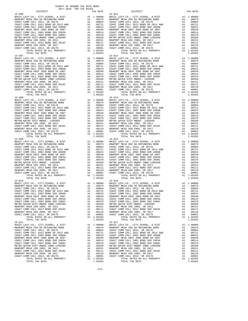15-006 15-012 BASIC LEVY-CO., CITY, SCHOOL, & DIST  $\qquad \qquad$  A1 1.00000  $\begin{tabular}{l|c|c|c|c|c} \hline 15-008 & & & & & & & & 15-014 \\ \hline \texttt{BASIC LEVY-CO.}, & CITY, SCHOOL, & & & & & & & & 15-010 \\ \texttt{NEWPORT MESA USD GO REFUNDING BOND & & & & & & & 1.00000 & BASTC \\ \texttt{COAST COMM COLL 2012}, & & & & & & & & 1.00000 & BASTC \\ \texttt{COAST COMM COLL 2012 BOND SR 2013 A&B} & & & & & & 0.00979 & NEWPORT \\ \texttt{COAST COMM COLL$ TOTAL TAX RATE 15–010 TOTAL TAX RATE 15–010  $1.05283$  TOTAL TAX RATE 15-010 15-016 15-011<br>
BASIC LEVY-CO., CITY, SCHOOL, & DIST<br>
NEWPORT MESA USD GO REFUNDING BOND A1 .00979<br>
COAST COMM COLL 2012 CD COLLE

 COUNTY OF ORANGE TAX RATE BOOK 2017-2018 TRA TAX RATES DISTRICT TAX RATE DISTRICT TAX RATE BASIC LEVY-CO., CITY,SCHOOL, & DIST A1 1.00000 BASIC LEVY-CO., CITY,SCHOOL, & DIST A1 1.00000 NEWPORT MESA USD GO REFUNDING BOND A1 .00979 NEWPORT MESA USD GO REFUNDING BOND A1 .00979  $\begin{array}{cccccccc} \texttt{COAST COM M COLL} & 2012 & 2017 & 2017 & 2017 & 2017 & 2017 & 2017 & 2017 & 2017 & 2017 & 2017 & 2017 & 2017 & 2017 & 2017 & 2017 & 2017 & 2017 & 2017 & 2017 & 2017 & 2017 & 2017 & 2017 & 2017 & 2017 & 2017 & 2017 & 2017 & 2017 & 2017 & 2017 & 2017 & 2$  COAST COMM COLL 2002 BOND SER 2006C A1 .00370 COAST COMM COLL 2002 BOND SER 2006C A1 .00370 METRO WATER DIST-MWDOC CMWD-1205999 A1 .00350 METRO WATER DIST-MWDOC CMWD-1205999 A1 .00350 NEWPORT MESA USD 2005, SR 2011 A1 .00151 NEWPORT MESA USD 2005, SR 2011 A1 .00151 COAST COMM COLL 2012 BOND SER 2016C A1 .00111 COAST COMM COLL 2012 BOND SER 2016C A1 .00111 100110 NEWPORT MESAUSD 2005, SR 2017<br>COAST COMM COLL 2012, SR 2011D 20001 COAST COMM COLL 2012, SR 2017D 21 A1<br>A1 1.05283 TOTAL RATES ON ALL PROPERTY 2011 20201 20257 COMM COLL 2012 ROLL PROPERTY 21 1.05283 TORAT MESA USD 2005, SR 2011 MEWPORT MESA USD 2005, SR 2011 A1 .00151 NEWPORT MESA USD 2005, SR 2011 (0.045T COM<br>
TORAT COM COLL 2012 BOND SER 2016C A1 .00110 COAST COM COLL 2012 BOND SER 2016<br>
NEWPORT MESA USD 2005, SR 20  $\begin{tabular}{lcccc} BASIC LEVY-CO., CITY, SCHOOL, & DIST & A1 & 1.00000 & BASIC LEVY-CO., CITY, SCHOOL, & DIST & A1 & 1.00000 \\ NEWOPORT MESA USODE FUNDING DAND & A1 & .00979 & NEWDORT MESA USO OF SEFUNDING BOND & A1 & .00979 & A1 & .00979 & A1 & .00979 & A1 & .00979 & .0087 & .0087 & .0087 & .0087 & .0087 & .0087 & .0087 & .0087 & .0087 & .0087 & .0087 & .00$ 1 16 NEWPORT MESA UNIF 2005 BOND SR 2007 A1 .00548 NEWPORT MESA UNIF 2005 BOND SR 2007 A1<br>COAST COMM COLL 2002 BOND SER 2003A A1 .00514 COAST COMM COLL 2002 BOND SER 2003A A1 .00514  $\begin{tabular}{l|c|c|c|c|c} \hline \texttt{COAST COMM COLL 2002 BOND SER 2006C} & \texttt{A1} & .00370 & \texttt{COAST COMM COLL 2002 BOND SER 2006C} & \texttt{A1} & .00370 \\ \hline \texttt{METRO WATER DIST-MHDOC CAMPD-120599} & \texttt{A1} & .00350 & \texttt{METRO NATER DIST-MHDOC CAMPD-120599} & \texttt{A1} & .00350 \\ \hline \texttt{NENPORT MESA USD 2005, SR 2011} & \$  $\begin{tabular}{lcccc} BASIC LEVY-CO., CITY, SCHOOL, & DIST & A1 & 1.00000 & BASIC LEVY-CO., CITY, SCHOOL, & DIST & A1 & 1.00000 \\ NEWOPORT MESA USODE FUNDING DAND & A1 & .00979 & NEWDORT MESA USO OF SEFUNDING BOND & A1 & .00979 & A1 & .00979 & A1 & .00979 & A1 & .00979 & .0087 & .0087 & .0087 & .0087 & .0087 & .0087 & .0087 & .0087 & .0087 & .0087 & .0087 & .00$ 1 16 NEWPORT MESA UNIF 2005 BOND SR 2007 A1 .00548 NEWPORT MESA UNIF 2005 BOND SR 2007 A1<br>COAST COMM COLL 2002 BOND SER 2003A A1 .00514 COAST COMM COLL 2002 BOND SER 2003A A1 .00514 COAST COMM COLL 2002 BOND SER 2006C A1 .00370 COAST COMM COLL 2002 BOND SER 2006C A1 .00370 METRO WATER DIST-MWDOC- 1205999 A1 .00350 METRO WATER DIST-MWDOC- 1205999 A1 .00350 NEWPORT MESA USD 2005, SR 2011 A1 .00151 NEWPORT MESA USD 2005, SR 2011 A1 .00151 COAST COMM COLL 2012 BOND SER 2016C<br>NEWPORT MESA USD 2005, SR 2017 DOM MOND ALL 00111 COAST COMM COLL 2012 BOND SER 2016C<br>COAST COMM COLL 2012, SR 2017D ALL 00001 COAST COMM COLL 2012, SR 2017D ALL 00001<br>ALL 00001 COAST CO TOTAL TAX RATE 1.05283 TOTAL TAX RATE 1.05283 TOTAL TAX RATE 1.05283 BASIC LEVY-CO., CITY, SCHOOL, & DIST<br>NEWPORT MESA USD GO REFUNDING BOND A1 .00979 NEWPORT MESA USD GO REFUNDING BOND A1. BASIC LEVY-CO., CITY,SCHOOL, & DIST A1 1.00000 BASIC LEVY-CO., CITY,SCHOOL, & DIST A1 1.00000 10979 NEWPORT MESA USD GO REFUNDING BOND MENDORT MESA USD GO REFUNDING BOND AL<br>COAST COMM COLL 2012, SR 2017E 2017 (2004) 2012 A1 (2004) COAST COAST COMM COLL 2012 DAGO4 COLL 2012 A1<br>COAST COMM COLL 2012 BOND SR 2013 A&B A COAST COMM COLL 2002 BOND SER 2006B<br>COAST COMM COLL 2002 BOND SER 2006B A1 .00624 COAST COMM COLL 2002 BOND SER 2006B A1 .00624<br>COAST COMM COLL 2002 BOND SER 2003A A1 .00514 COAST COMM COLL 2002 BOND SER 2003A A1 .00514 1 16 NEWPORT MESA UNIF 2005 BOND SR 2007 A1 .00548 NEWPORT MESA UNIF 2005 BOND SR 2007 A1<br>COAST COMM COLL 2002 BOND SER 2003A A1 .00514 COAST COMM COLL 2002 BOND SER 2003A A1 .00514 COAST COMM COLL 2002 BOND SER 2006C A1 .00370 COAST COMM COLL 2002 BOND SER 2006C A1 .00370<br>METRO WATER DIST-MWDOC- 1205999 A1 .00350 METRO WATER DIST-MWDOC CMWD-1205999 A1 .00370<br>MEWPORT MESA USD 2005, SR 2011 A1 .00151 M METRO WATER DIST-MWDOC-1205999 MEXRO WATER DIST-MWDOC CMWD-1205999 METRO WATER DISTO WATER DISTON MATER DISTON<br>NEWPORT MESA USD 2005, SR 2010 1 MEXA AND 200151 MESAR USD 2005, SR 2011 1 MEXA USD 2005, SR 20151<br>COAST COMM C NEWPORT MESA USD 2005, SR 2017<br>COAST COMM COLL 2012, SR 2017D A1 .00001 COAST COMM COLL 2012, SR 2017D A1 .00001 TOTAL RATES ON ALL PROPERTY AT 1.05283 SOLDI COLL COLL CONTROL RATES ON ALL PROPERTY AN INSIDERTY AND LOSSES TOTAL RATES ON ALL PROPERTY AN INSIDER AT 1.05283 TOTAL RATES ON ALL PROPERTY AN INSIDERTY AND LOSSES BASIC LEVY-CO., CITY,SCHOOL, & DIST A1 1.00000 BASIC LEVY-CO., CITY,SCHOOL, & DIST A1 1.00000 NEWPORT MESA USD GO REFUNDING BOND A1 .00979 NEWPORT MESA USD GO REFUNDING BOND A1 .00979 COAST COMM COLL 2012, SR 2017E A1 .00804 COAST COMM COLL 2012, SR 2017E A1 .00804 COAST COMM COLL 2012 BOND SR 2013 A&B CORST COMM COLL 2012 BOND SR 2017<br>
COAST COMM COLL 2012 BOND SR 2013 A&B A1 .00721 COAST COMM COLL 2012 BOND SR 2014 COAST COMM COLL 2012 BOND SR 2013 A&B COAST COMM COLL 2012 BOND SR COAST COMM COLL 2002 BOND SER 2006B A1 .00624 COAST COMM COLL 2002 BOND SER 2006B A1 .00624 NEWPORT MESA UNIF 2005 BOND SR 2007 A1 .00548 NEWPORT MESA UNIF 2005 BOND SR 2007 A1 .00548 COAST COMM COLL 2002 BOND SER 2003A A1 .00514 COAST COMM COLL 2002 BOND SER 2003A A1 .00514<br>COAST COMM COLL 2002 BOND SER 2006C A1 .00370 COAST COMM COLL 2002 BOND SER 2006C A1 .00370 COAST COMM COLL 2002 BOND SER 2006C A1 .00370 COAST COMM COLL 2002 BOND SER 2006C A1 .00370 METRO WATER DIST-MWDOC CMWD-1205999 A1 .00350 METRO WATER DIST-MWDOC- 1205999 .00350<br>NEWPORT MESA USD 2005, SR 2011 A1 .00151 NEWPORT MESA USD 2005, SR 20111 A1 .00151<br>COAST COMM C 00110 NEWPORT MESAUSD 2005, SR 2017<br>COAST COMM COLL 2012, SR 2011D 100001 COAST COMM COLL 2012, SR 2017D 21<br>A1 1.05283 TOTAL RATES ON ALL PROPERTY 1.05283 TOTAL RATES ON ALL PROPERTY 21 1.05283 TOTAL TAX RATE 1.05283 TOTAL TAX RATE 1.05283 15-011<br>
BASIC LEVY-CO., CITY, SCHOOL, & DIST RAIL (00000 BASIC LEVY-CO., CITY, SCHOOL, & DIST NEWPORT MESA USD COAST COMM COLL 2012, SR 2017E<br>
NEWPORT MESA USD GO REFUNDING BOND A1 .00079 NEWPORT MESA USD GO REFUNDING BOND 100979 NEWPORT MESA USD GO REFUNDING BOND MENDORT MESA USD GO REFUNDING BOND AL<br>COAST COMM COLL 2012 SR 2017E 2017 AL 100804 COAST COMM COLL 2012, SR 2017E 2017 BOND COLL 2012, SR 2017E COAS<br>COAST COMM COLL 2012 BOND SR 20 COAST COMM COLL 2002 BOND SER 2006B A1 .00624 COAST COMM COLL 2002 BOND SER 2006B A1 .00624 NEWPORT MESA UNIF 2005 BOND SR 2007 A1 .00548 NEWPORT MESA UNIF 2005 BOND SR 2007 A1 .00548 COAST COMM COLL 2002 BOND SER 2003A A1 .00514 COAST COMM COLL 2002 BOND SER 2003A A1 .00514 COAST COMM COLL 2002 BOND SER 2006C A1 .00370 COAST COMM COLL 2002 BOND SER 2006C A1 .00370 METRO WATER DIST-MWDOC CMWD-1205999 A1 .00350 METRO WATER DIST-MWDOC CMWD-1205999 A1 .00350 NEWPORT MESA USD 2005, SR 2011 A1 .00151 NEWPORT MESA USD 2005, SR 2011 A1 .00151 COAST COMM COLL 2012 BOND SER 2016C A1 .00111 COAST COMM COLL 2012 BOND SER 2016C A1 .00111<br>
NEWPORT MESA USD 2005, SR 20170 A1 .00110 NEWPORT MESA USD 2005, SR 2017<br>
COAST COMM COLL 2012, SR 2017D A1 .00001 COAST COMM COL NEWPORT MESA USD 2005, SR 2017 A1 .00110 NEWPORT MESA USD 2005, SR 2017 A1 .00110 COAST COMM COLL 2012, SR 2017D A1 .00001 COAST COMM COLL 2012, SR 2017D A1 .00001 TOTAL RATES ON ALL PROPERTY A1 1.05283 TOTAL RATES ON ALL PROPERTY A1 1.05283 TOTAL TAX RATE 1.05283 TOTAL TAX RATE 1.05283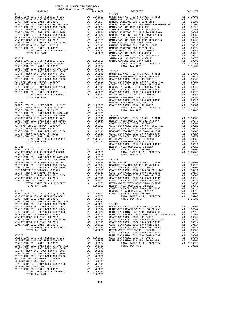| METRO WATER DIST-MWDOC- 1205999                                                                                                                                                                                                                                                                                                                                                                                                                                     | A1 .00350 COAST C<br>A1 .00151 COAST C<br>A1 .00111 NEWPORT<br>A1 .00110 COAST C<br>A1 .00001 COAST C<br>A1 .00001 COAST C<br>A1 1.05283 NETRO W<br>1.05283 NETRO W<br>COAST C |         |
|---------------------------------------------------------------------------------------------------------------------------------------------------------------------------------------------------------------------------------------------------------------------------------------------------------------------------------------------------------------------------------------------------------------------------------------------------------------------|--------------------------------------------------------------------------------------------------------------------------------------------------------------------------------|---------|
| NEWPORT MESA USD 2005, SR 2011                                                                                                                                                                                                                                                                                                                                                                                                                                      |                                                                                                                                                                                |         |
| COAST COMM COLL 2012 BOND SER 2016C                                                                                                                                                                                                                                                                                                                                                                                                                                 |                                                                                                                                                                                |         |
| NEWPORT MESA USD 2005, SR 2017<br>COAST COMM COLL 2012, SR 2017D                                                                                                                                                                                                                                                                                                                                                                                                    |                                                                                                                                                                                |         |
| TOTAL RATES ON ALL PROPERTY                                                                                                                                                                                                                                                                                                                                                                                                                                         |                                                                                                                                                                                |         |
| TOTAL TAX RATE                                                                                                                                                                                                                                                                                                                                                                                                                                                      |                                                                                                                                                                                |         |
|                                                                                                                                                                                                                                                                                                                                                                                                                                                                     |                                                                                                                                                                                | COAST C |
| $\begin{tabular}{l c c c} \hline 15-020 & \multicolumn{2}{c}{\textbf{RSTC }} \textbf{LFVP=CO.}\,, & \textbf{CTTY}, \textbf{SCHOOL}\,, & \textbf{\& DISTT} & \textbf{A1} & 1.00000 & \textbf{COAST C} \\ \hline \textbf{RENORT} & \textbf{ESA} & \textbf{USD} & \textbf{GO} & \textbf{REFUNDING BODD} & \textbf{A1} & 0.0000 & \textbf{COAST C} \\ \textbf{COAST COMM} & \textbf{COLL} & 2012 & \textbf{RONDS} & \textbf{$                                           |                                                                                                                                                                                |         |
|                                                                                                                                                                                                                                                                                                                                                                                                                                                                     |                                                                                                                                                                                |         |
|                                                                                                                                                                                                                                                                                                                                                                                                                                                                     |                                                                                                                                                                                |         |
|                                                                                                                                                                                                                                                                                                                                                                                                                                                                     |                                                                                                                                                                                |         |
|                                                                                                                                                                                                                                                                                                                                                                                                                                                                     |                                                                                                                                                                                |         |
|                                                                                                                                                                                                                                                                                                                                                                                                                                                                     |                                                                                                                                                                                |         |
|                                                                                                                                                                                                                                                                                                                                                                                                                                                                     |                                                                                                                                                                                |         |
|                                                                                                                                                                                                                                                                                                                                                                                                                                                                     |                                                                                                                                                                                |         |
|                                                                                                                                                                                                                                                                                                                                                                                                                                                                     |                                                                                                                                                                                |         |
|                                                                                                                                                                                                                                                                                                                                                                                                                                                                     |                                                                                                                                                                                |         |
|                                                                                                                                                                                                                                                                                                                                                                                                                                                                     |                                                                                                                                                                                |         |
|                                                                                                                                                                                                                                                                                                                                                                                                                                                                     |                                                                                                                                                                                |         |
|                                                                                                                                                                                                                                                                                                                                                                                                                                                                     |                                                                                                                                                                                |         |
|                                                                                                                                                                                                                                                                                                                                                                                                                                                                     |                                                                                                                                                                                |         |
|                                                                                                                                                                                                                                                                                                                                                                                                                                                                     |                                                                                                                                                                                | COAST C |
| $15 - 021$                                                                                                                                                                                                                                                                                                                                                                                                                                                          |                                                                                                                                                                                |         |
| BASIC LEVY-CO., CITY, SCHOOL, & DIST                                                                                                                                                                                                                                                                                                                                                                                                                                |                                                                                                                                                                                |         |
| NEWPORT MESA USD GO REFUNDING BOND                                                                                                                                                                                                                                                                                                                                                                                                                                  |                                                                                                                                                                                |         |
| COAST COMM COLL 2012, SR 2017E<br>COAST COMM COLL 2012 BOND SR 2013 A&B                                                                                                                                                                                                                                                                                                                                                                                             |                                                                                                                                                                                |         |
| COAST COMM COLL 2002 BOND SER 2006B                                                                                                                                                                                                                                                                                                                                                                                                                                 |                                                                                                                                                                                |         |
| NEWPORT MESA UNIF 2005 BOND SR 2007                                                                                                                                                                                                                                                                                                                                                                                                                                 |                                                                                                                                                                                |         |
| COAST COMM COLL 2002 BOND SER 2003A                                                                                                                                                                                                                                                                                                                                                                                                                                 |                                                                                                                                                                                |         |
| COAST COMM COLL 2002 BOND SER 2006C                                                                                                                                                                                                                                                                                                                                                                                                                                 |                                                                                                                                                                                |         |
| METRO WATER DIST-MWDOC- 1205999<br>NEWPORT MESA USD 2005, SR 2011                                                                                                                                                                                                                                                                                                                                                                                                   |                                                                                                                                                                                |         |
| NEWPORT MESA USD 2005, SR 2011<br>COAST COMM COLL 2012 BOND SER 2016C                                                                                                                                                                                                                                                                                                                                                                                               |                                                                                                                                                                                |         |
| NEWPORT MESA USD 2005, SR 2017                                                                                                                                                                                                                                                                                                                                                                                                                                      |                                                                                                                                                                                |         |
| COAST COMM COLL 2012, SR 2017D                                                                                                                                                                                                                                                                                                                                                                                                                                      |                                                                                                                                                                                |         |
| TOTAL RATES ON ALL PROPERTY                                                                                                                                                                                                                                                                                                                                                                                                                                         |                                                                                                                                                                                |         |
| TOTAL TAX RATE                                                                                                                                                                                                                                                                                                                                                                                                                                                      |                                                                                                                                                                                |         |
|                                                                                                                                                                                                                                                                                                                                                                                                                                                                     |                                                                                                                                                                                | COAST C |
| $15 - 022$                                                                                                                                                                                                                                                                                                                                                                                                                                                          |                                                                                                                                                                                | NEWPORT |
|                                                                                                                                                                                                                                                                                                                                                                                                                                                                     |                                                                                                                                                                                |         |
|                                                                                                                                                                                                                                                                                                                                                                                                                                                                     |                                                                                                                                                                                |         |
|                                                                                                                                                                                                                                                                                                                                                                                                                                                                     |                                                                                                                                                                                |         |
|                                                                                                                                                                                                                                                                                                                                                                                                                                                                     |                                                                                                                                                                                |         |
|                                                                                                                                                                                                                                                                                                                                                                                                                                                                     |                                                                                                                                                                                |         |
|                                                                                                                                                                                                                                                                                                                                                                                                                                                                     |                                                                                                                                                                                |         |
|                                                                                                                                                                                                                                                                                                                                                                                                                                                                     |                                                                                                                                                                                |         |
|                                                                                                                                                                                                                                                                                                                                                                                                                                                                     |                                                                                                                                                                                |         |
|                                                                                                                                                                                                                                                                                                                                                                                                                                                                     |                                                                                                                                                                                |         |
|                                                                                                                                                                                                                                                                                                                                                                                                                                                                     |                                                                                                                                                                                |         |
|                                                                                                                                                                                                                                                                                                                                                                                                                                                                     |                                                                                                                                                                                |         |
|                                                                                                                                                                                                                                                                                                                                                                                                                                                                     |                                                                                                                                                                                |         |
|                                                                                                                                                                                                                                                                                                                                                                                                                                                                     |                                                                                                                                                                                |         |
|                                                                                                                                                                                                                                                                                                                                                                                                                                                                     |                                                                                                                                                                                | COAST C |
| $15 - 023$                                                                                                                                                                                                                                                                                                                                                                                                                                                          |                                                                                                                                                                                | HUNT BE |
|                                                                                                                                                                                                                                                                                                                                                                                                                                                                     |                                                                                                                                                                                |         |
|                                                                                                                                                                                                                                                                                                                                                                                                                                                                     |                                                                                                                                                                                |         |
|                                                                                                                                                                                                                                                                                                                                                                                                                                                                     |                                                                                                                                                                                |         |
|                                                                                                                                                                                                                                                                                                                                                                                                                                                                     |                                                                                                                                                                                |         |
|                                                                                                                                                                                                                                                                                                                                                                                                                                                                     |                                                                                                                                                                                |         |
|                                                                                                                                                                                                                                                                                                                                                                                                                                                                     |                                                                                                                                                                                |         |
|                                                                                                                                                                                                                                                                                                                                                                                                                                                                     |                                                                                                                                                                                |         |
|                                                                                                                                                                                                                                                                                                                                                                                                                                                                     |                                                                                                                                                                                |         |
|                                                                                                                                                                                                                                                                                                                                                                                                                                                                     |                                                                                                                                                                                |         |
|                                                                                                                                                                                                                                                                                                                                                                                                                                                                     |                                                                                                                                                                                |         |
|                                                                                                                                                                                                                                                                                                                                                                                                                                                                     |                                                                                                                                                                                |         |
|                                                                                                                                                                                                                                                                                                                                                                                                                                                                     |                                                                                                                                                                                |         |
| $\begin{tabular}{l c c c c} \multicolumn{1}{c}{\textbf{L}} & \multicolumn{1}{c}{\textbf{L}} & \multicolumn{1}{c}{\textbf{L}} & \multicolumn{1}{c}{\textbf{L}} & \multicolumn{1}{c}{\textbf{L}} & \multicolumn{1}{c}{\textbf{L}} & \multicolumn{1}{c}{\textbf{L}} & \multicolumn{1}{c}{\textbf{L}} & \multicolumn{1}{c}{\textbf{L}} & \multicolumn{1}{c}{\textbf{L}} & \multicolumn{1}{c}{\textbf{L}} & \multicolumn{1}{c}{\textbf{L}} & \multicolumn{1}{c}{\textbf$ |                                                                                                                                                                                |         |

| DISTRICT | TAX RATE | DISTRICT | TAX RATE |
|----------|----------|----------|----------|
|          |          |          |          |
|          |          |          |          |
|          |          |          |          |
|          |          |          |          |
|          |          |          |          |
|          |          |          |          |
|          |          |          |          |
|          |          |          |          |
|          |          |          |          |
|          |          |          |          |
|          |          |          |          |
|          |          |          |          |
|          |          |          |          |
|          |          |          |          |
|          |          |          |          |
|          |          |          |          |
|          |          |          |          |
|          |          |          |          |
|          |          |          |          |
|          |          |          |          |
|          |          |          |          |
|          |          |          |          |
|          |          |          |          |
|          |          |          |          |
|          |          |          |          |
|          |          |          |          |
|          |          |          |          |
|          |          |          |          |
|          |          |          |          |
|          |          |          |          |
|          |          |          |          |
|          |          |          |          |
|          |          |          |          |
|          |          |          |          |
|          |          |          |          |
|          |          |          |          |
|          |          |          |          |
|          |          |          |          |
|          |          |          |          |
|          |          |          |          |
|          |          |          |          |
|          |          |          |          |
|          |          |          |          |
|          |          |          |          |
|          |          |          |          |
|          |          |          |          |
|          |          |          |          |
|          |          |          |          |
|          |          |          |          |
|          |          |          |          |
|          |          |          |          |
|          |          |          |          |
|          |          |          |          |
|          |          |          |          |
|          |          |          |          |
|          |          |          |          |
|          |          |          |          |
|          |          |          |          |
|          |          |          |          |
|          |          |          |          |
|          |          |          |          |
|          |          |          |          |
|          |          |          |          |
|          |          |          |          |
|          |          |          |          |
|          |          |          |          |
|          |          |          |          |
|          |          |          |          |
|          |          |          |          |
|          |          |          |          |
|          |          |          |          |
|          |          |          |          |
|          |          |          |          |
|          |          |          |          |
|          |          |          |          |
|          |          |          |          |
|          |          |          |          |
|          |          |          |          |
|          |          |          |          |
|          |          |          |          |
|          |          |          |          |
|          |          |          |          |
|          |          |          |          |
|          |          |          |          |
|          |          |          |          |
|          |          |          |          |
|          |          |          |          |
|          |          |          |          |
|          |          |          |          |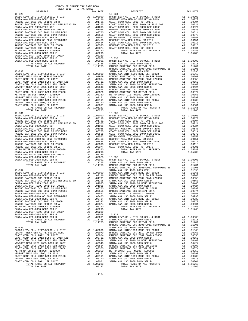| COUNTY OF ORANGE TAX RATE BOOK<br>$2017-2018 \quad \text{TRA RATES}$ DISTRICT $\hspace{2.5cm}$                                                                                                                                                                      |          |            |          |
|---------------------------------------------------------------------------------------------------------------------------------------------------------------------------------------------------------------------------------------------------------------------|----------|------------|----------|
|                                                                                                                                                                                                                                                                     | TAX RATE | DISTRICT   | TAX RATE |
| $15 - 029$                                                                                                                                                                                                                                                          |          | $15 - 034$ |          |
|                                                                                                                                                                                                                                                                     |          |            |          |
|                                                                                                                                                                                                                                                                     |          |            |          |
|                                                                                                                                                                                                                                                                     |          |            |          |
|                                                                                                                                                                                                                                                                     |          |            |          |
|                                                                                                                                                                                                                                                                     |          |            |          |
|                                                                                                                                                                                                                                                                     |          |            |          |
|                                                                                                                                                                                                                                                                     |          |            |          |
|                                                                                                                                                                                                                                                                     |          |            |          |
|                                                                                                                                                                                                                                                                     |          |            |          |
|                                                                                                                                                                                                                                                                     |          |            |          |
|                                                                                                                                                                                                                                                                     |          |            |          |
|                                                                                                                                                                                                                                                                     |          |            |          |
|                                                                                                                                                                                                                                                                     |          |            |          |
|                                                                                                                                                                                                                                                                     |          |            |          |
|                                                                                                                                                                                                                                                                     |          |            |          |
|                                                                                                                                                                                                                                                                     |          |            |          |
|                                                                                                                                                                                                                                                                     |          |            |          |
|                                                                                                                                                                                                                                                                     |          |            |          |
|                                                                                                                                                                                                                                                                     |          |            |          |
|                                                                                                                                                                                                                                                                     |          |            |          |
|                                                                                                                                                                                                                                                                     |          |            |          |
|                                                                                                                                                                                                                                                                     |          |            |          |
|                                                                                                                                                                                                                                                                     |          |            |          |
|                                                                                                                                                                                                                                                                     |          |            |          |
|                                                                                                                                                                                                                                                                     |          |            |          |
|                                                                                                                                                                                                                                                                     |          |            |          |
|                                                                                                                                                                                                                                                                     |          |            |          |
|                                                                                                                                                                                                                                                                     |          |            |          |
|                                                                                                                                                                                                                                                                     |          |            |          |
|                                                                                                                                                                                                                                                                     |          |            |          |
|                                                                                                                                                                                                                                                                     |          |            |          |
|                                                                                                                                                                                                                                                                     |          |            |          |
|                                                                                                                                                                                                                                                                     |          |            |          |
|                                                                                                                                                                                                                                                                     |          |            |          |
|                                                                                                                                                                                                                                                                     |          |            |          |
|                                                                                                                                                                                                                                                                     |          |            |          |
|                                                                                                                                                                                                                                                                     |          |            |          |
|                                                                                                                                                                                                                                                                     |          |            |          |
|                                                                                                                                                                                                                                                                     |          |            |          |
|                                                                                                                                                                                                                                                                     |          |            |          |
|                                                                                                                                                                                                                                                                     |          |            |          |
|                                                                                                                                                                                                                                                                     |          |            |          |
|                                                                                                                                                                                                                                                                     |          |            |          |
|                                                                                                                                                                                                                                                                     |          |            |          |
|                                                                                                                                                                                                                                                                     |          |            |          |
|                                                                                                                                                                                                                                                                     |          |            |          |
|                                                                                                                                                                                                                                                                     |          |            |          |
|                                                                                                                                                                                                                                                                     |          |            |          |
|                                                                                                                                                                                                                                                                     |          |            |          |
|                                                                                                                                                                                                                                                                     |          |            |          |
|                                                                                                                                                                                                                                                                     |          |            |          |
|                                                                                                                                                                                                                                                                     |          |            |          |
|                                                                                                                                                                                                                                                                     |          |            |          |
|                                                                                                                                                                                                                                                                     |          |            |          |
|                                                                                                                                                                                                                                                                     |          |            |          |
|                                                                                                                                                                                                                                                                     |          |            |          |
|                                                                                                                                                                                                                                                                     |          |            |          |
|                                                                                                                                                                                                                                                                     |          |            |          |
|                                                                                                                                                                                                                                                                     |          |            |          |
|                                                                                                                                                                                                                                                                     |          |            |          |
|                                                                                                                                                                                                                                                                     |          |            |          |
|                                                                                                                                                                                                                                                                     |          |            |          |
|                                                                                                                                                                                                                                                                     |          |            |          |
|                                                                                                                                                                                                                                                                     |          |            |          |
|                                                                                                                                                                                                                                                                     |          |            |          |
|                                                                                                                                                                                                                                                                     |          |            |          |
|                                                                                                                                                                                                                                                                     |          |            |          |
|                                                                                                                                                                                                                                                                     |          |            |          |
| $\begin{tabular}{ c c c c c c c c c c c c c c c} \hline &0.00175 &0.00175 &0.00175 &0.00175 &0.00175 &0.00175 &0.00175 &0.00175 &0.00175 &0.00175 &0.00175 &0.00175 &0.00175 &0.00175 &0.00175 &0.00175 &0.00175 &0.00175 &0.00175 &0.00175 &0.00175 &0.00175 &0.0$ |          |            |          |
|                                                                                                                                                                                                                                                                     |          |            |          |
|                                                                                                                                                                                                                                                                     |          |            |          |
|                                                                                                                                                                                                                                                                     |          |            |          |
|                                                                                                                                                                                                                                                                     |          |            |          |
|                                                                                                                                                                                                                                                                     |          |            |          |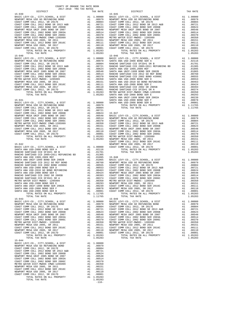| TOTAL RATES ON ALL PROPERTY<br>TOTAL TAX RATE                                                                                                                                                                                      |          | A1 1.05283<br>1.05283                                                                                                                                                                                                                                                                                                                                                     |                                                                      |
|------------------------------------------------------------------------------------------------------------------------------------------------------------------------------------------------------------------------------------|----------|---------------------------------------------------------------------------------------------------------------------------------------------------------------------------------------------------------------------------------------------------------------------------------------------------------------------------------------------------------------------------|----------------------------------------------------------------------|
| $15 - 040$                                                                                                                                                                                                                         |          |                                                                                                                                                                                                                                                                                                                                                                           | $15 - 046$                                                           |
| BASIC LEVY-CO., CITY, SCHOOL, & DIST                                                                                                                                                                                               |          | $\begin{tabular}{cc} & 15-046 \\ \text{A1} & 0.0000 & \text{BASIC L} \\ \text{A1} & 0.0979 & \text{SANTA A} \\ \text{A1} & 0.0904 & \text{RANCHO} \\ \text{A1} & 0.00524 & \text{RANTA A} \\ \text{A1} & 0.0524 & \text{SANTA A} \\ \text{A1} & 0.0544 & \text{SANTA A} \\ \text{A1} & 0.0951 & \text{RANCHO} \\ \text{A1} & 0.0370 & \text{RANCHO} \\ \text{A1} & 0.037$ |                                                                      |
| NEWPORT MESA USD GO REFUNDING BOND                                                                                                                                                                                                 |          |                                                                                                                                                                                                                                                                                                                                                                           |                                                                      |
| COAST COMM COLL 2012, SR 2017E<br>COAST COMM COLL 2012 BOND SR 2013 A&B                                                                                                                                                            |          |                                                                                                                                                                                                                                                                                                                                                                           |                                                                      |
| COAST COMM COLL 2002 BOND SER 2006B                                                                                                                                                                                                |          |                                                                                                                                                                                                                                                                                                                                                                           |                                                                      |
| NEWPORT MESA UNIF 2005 BOND SR 2007                                                                                                                                                                                                |          |                                                                                                                                                                                                                                                                                                                                                                           |                                                                      |
| COAST COMM COLL 2002 BOND SER 2003A                                                                                                                                                                                                |          |                                                                                                                                                                                                                                                                                                                                                                           |                                                                      |
| COAST COMM COLL 2002 BOND SER 2006C                                                                                                                                                                                                |          |                                                                                                                                                                                                                                                                                                                                                                           |                                                                      |
| METRO WATER DIST-MWDOC- 1205999                                                                                                                                                                                                    |          |                                                                                                                                                                                                                                                                                                                                                                           |                                                                      |
| NEWPORT MESA USD 2005, SR 2011<br>NEWPORT MESA USD 2009, OR 2011<br>COAST COMM COLL 2012 BOND SER 2016C                                                                                                                            |          |                                                                                                                                                                                                                                                                                                                                                                           |                                                                      |
| NEWPORT MESA USD 2005, SR 2017                                                                                                                                                                                                     |          |                                                                                                                                                                                                                                                                                                                                                                           |                                                                      |
| COAST COMM COLL 2012, SR 2017D                                                                                                                                                                                                     |          |                                                                                                                                                                                                                                                                                                                                                                           |                                                                      |
| TOTAL RATES ON ALL PROPERTY                                                                                                                                                                                                        |          |                                                                                                                                                                                                                                                                                                                                                                           |                                                                      |
| TOTAL TAX RATE                                                                                                                                                                                                                     |          |                                                                                                                                                                                                                                                                                                                                                                           |                                                                      |
| $15 - 041$                                                                                                                                                                                                                         |          |                                                                                                                                                                                                                                                                                                                                                                           | SANTA A                                                              |
| BASIC LEVY-CO., CITY, SCHOOL, & DIST                                                                                                                                                                                               |          | A1 1.00000 SANTA A                                                                                                                                                                                                                                                                                                                                                        | SANTA A                                                              |
| NEWPORT MESA USD GO REFUNDING BOND                                                                                                                                                                                                 |          | A1 .00979                                                                                                                                                                                                                                                                                                                                                                 |                                                                      |
| COAST COMM COLL 2012, SR 2017E                                                                                                                                                                                                     | A1       | .00804                                                                                                                                                                                                                                                                                                                                                                    |                                                                      |
| COAST COMM COLL 2012 BOND SR 2013 A&B<br>COAST COMM COLL 2002 BOND SER 2006B                                                                                                                                                       |          | A1 .00721                                                                                                                                                                                                                                                                                                                                                                 |                                                                      |
|                                                                                                                                                                                                                                    |          |                                                                                                                                                                                                                                                                                                                                                                           |                                                                      |
| COAST COMM COLL 2002 BOND SER 2006B<br>NEWPORT MESA UNIF 2005 BOND SER 2007<br>COAST COMM COLL 2002 BOND SER 2003A<br>COAST COMM COLL 2002 BOND SER 2006C<br>METRO WATER DIST-MWDOC CMMD-1205999<br>NEWPORT MESA USD 2005. SR 2011 |          | A1 .00721 15-047<br>A1 .00548 BASIC LT<br>A1 .00548 BASIC LT<br>A1 .00548 BASIC LT<br>A1 .00370 COAST C<br>A1 .00350 COAST C<br>A1 .00151 COAST C<br>A1 .00111 NEWPORT<br>A1 .00111 NEWPORT<br>A1 .00110 COAST C<br>A1 .00001 COAST C<br>A1 .00000 COAST C<br>A1 .                                                                                                        |                                                                      |
|                                                                                                                                                                                                                                    |          |                                                                                                                                                                                                                                                                                                                                                                           |                                                                      |
|                                                                                                                                                                                                                                    |          |                                                                                                                                                                                                                                                                                                                                                                           |                                                                      |
| NEWPORT MESA USD 2005, SR 2011                                                                                                                                                                                                     |          |                                                                                                                                                                                                                                                                                                                                                                           |                                                                      |
| COAST COMM COLL 2012 BOND SER 2016C                                                                                                                                                                                                |          |                                                                                                                                                                                                                                                                                                                                                                           |                                                                      |
| NEWPORT MESA USD 2005, SR 2017                                                                                                                                                                                                     |          |                                                                                                                                                                                                                                                                                                                                                                           |                                                                      |
| COAST COMM COLL 2012, SR 2017D<br>TOTAL RATES ON ALL PROPERTY                                                                                                                                                                      |          |                                                                                                                                                                                                                                                                                                                                                                           |                                                                      |
| TOTAL TAX RATE                                                                                                                                                                                                                     |          |                                                                                                                                                                                                                                                                                                                                                                           |                                                                      |
|                                                                                                                                                                                                                                    |          |                                                                                                                                                                                                                                                                                                                                                                           | COAST C                                                              |
| $15 - 042$                                                                                                                                                                                                                         |          |                                                                                                                                                                                                                                                                                                                                                                           | NEWPORT                                                              |
| BASIC LEVY-CO., CITY, SCHOOL, & DIST                                                                                                                                                                                               |          |                                                                                                                                                                                                                                                                                                                                                                           |                                                                      |
| SANTA ANA USD-2008 BOND SER A                                                                                                                                                                                                      |          | A1 1.00000 COAST C<br>A1 .02116<br>A1 .01701                                                                                                                                                                                                                                                                                                                              |                                                                      |
|                                                                                                                                                                                                                                    |          |                                                                                                                                                                                                                                                                                                                                                                           |                                                                      |
|                                                                                                                                                                                                                                    |          |                                                                                                                                                                                                                                                                                                                                                                           |                                                                      |
|                                                                                                                                                                                                                                    |          |                                                                                                                                                                                                                                                                                                                                                                           |                                                                      |
|                                                                                                                                                                                                                                    |          |                                                                                                                                                                                                                                                                                                                                                                           |                                                                      |
|                                                                                                                                                                                                                                    |          |                                                                                                                                                                                                                                                                                                                                                                           |                                                                      |
|                                                                                                                                                                                                                                    |          |                                                                                                                                                                                                                                                                                                                                                                           |                                                                      |
|                                                                                                                                                                                                                                    |          |                                                                                                                                                                                                                                                                                                                                                                           |                                                                      |
|                                                                                                                                                                                                                                    |          |                                                                                                                                                                                                                                                                                                                                                                           |                                                                      |
|                                                                                                                                                                                                                                    |          |                                                                                                                                                                                                                                                                                                                                                                           |                                                                      |
|                                                                                                                                                                                                                                    |          |                                                                                                                                                                                                                                                                                                                                                                           |                                                                      |
|                                                                                                                                                                                                                                    |          |                                                                                                                                                                                                                                                                                                                                                                           |                                                                      |
|                                                                                                                                                                                                                                    |          |                                                                                                                                                                                                                                                                                                                                                                           |                                                                      |
|                                                                                                                                                                                                                                    |          |                                                                                                                                                                                                                                                                                                                                                                           |                                                                      |
| TOTAL RATES ON ALL PROPERTY                                                                                                                                                                                                        |          | A1 1.11765                                                                                                                                                                                                                                                                                                                                                                |                                                                      |
| TOTAL TAX RATE<br>$15 - 043$                                                                                                                                                                                                       |          | 1.11765                                                                                                                                                                                                                                                                                                                                                                   | $15 - 049$                                                           |
|                                                                                                                                                                                                                                    |          |                                                                                                                                                                                                                                                                                                                                                                           |                                                                      |
|                                                                                                                                                                                                                                    |          |                                                                                                                                                                                                                                                                                                                                                                           |                                                                      |
|                                                                                                                                                                                                                                    |          |                                                                                                                                                                                                                                                                                                                                                                           |                                                                      |
|                                                                                                                                                                                                                                    |          |                                                                                                                                                                                                                                                                                                                                                                           |                                                                      |
| NEWPORT MESA UNIF 2005 BOND SR 2007                                                                                                                                                                                                | A1       |                                                                                                                                                                                                                                                                                                                                                                           | .00548 NEWPORT                                                       |
| COAST COMM COLL 2002 BOND SER 2003A                                                                                                                                                                                                | A1       | .00514                                                                                                                                                                                                                                                                                                                                                                    | COAST C                                                              |
| COAST COMM COLL 2002 BOND SER 2006C                                                                                                                                                                                                | A1       | .00370                                                                                                                                                                                                                                                                                                                                                                    | COAST C                                                              |
| METRO WATER DIST-MWDOC- 1205999                                                                                                                                                                                                    | A1       | .00350                                                                                                                                                                                                                                                                                                                                                                    | METRO W                                                              |
| NEWPORT MESA USD 2005, SR 2011                                                                                                                                                                                                     | A1       |                                                                                                                                                                                                                                                                                                                                                                           |                                                                      |
| COAST COMM COLL 2012 BOND SER 2016C                                                                                                                                                                                                | A1       |                                                                                                                                                                                                                                                                                                                                                                           |                                                                      |
| NEWPORT MESA USD 2005, SR 2017<br>COAST COMM COLL 2012, SR 2017D                                                                                                                                                                   | A1<br>A1 |                                                                                                                                                                                                                                                                                                                                                                           | .00151 NEWPORT<br>.00111 COAST C<br>.00110 NEWPORT<br>.00001 COAST C |
| TOTAL RATES ON ALL PROPERTY                                                                                                                                                                                                        |          | A1 1.05283                                                                                                                                                                                                                                                                                                                                                                |                                                                      |
| TOTAL TAX RATE                                                                                                                                                                                                                     |          | 1.05283                                                                                                                                                                                                                                                                                                                                                                   |                                                                      |
| $15 - 044$                                                                                                                                                                                                                         |          |                                                                                                                                                                                                                                                                                                                                                                           |                                                                      |
| BASIC LEVY-CO., CITY, SCHOOL, & DIST<br>NEWPORT MESA USD GO REFUNDING BOND                                                                                                                                                         | A1       | 1.00000<br>.00979                                                                                                                                                                                                                                                                                                                                                         |                                                                      |
| COAST COMM COLL 2012, SR 2017E                                                                                                                                                                                                     | A1<br>A1 | .00804                                                                                                                                                                                                                                                                                                                                                                    |                                                                      |
| COAST COMM COLL 2012 BOND SR 2013 A&B                                                                                                                                                                                              | A1       | .00721                                                                                                                                                                                                                                                                                                                                                                    |                                                                      |
| COAST COMM COLL 2002 BOND SER 2006B                                                                                                                                                                                                | A1       | .00624                                                                                                                                                                                                                                                                                                                                                                    |                                                                      |
| NEWPORT MESA UNIF 2005 BOND SR 2007                                                                                                                                                                                                | A1       | .00548                                                                                                                                                                                                                                                                                                                                                                    |                                                                      |
| COAST COMM COLL 2002 BOND SER 2003A<br>COAST COMM COLL 2002 BOND SER 2006C                                                                                                                                                         | A1<br>A1 | .00514                                                                                                                                                                                                                                                                                                                                                                    |                                                                      |
| METRO WATER DIST-MWDOC CMWD-1205999                                                                                                                                                                                                | A1       | .00370<br>.00350                                                                                                                                                                                                                                                                                                                                                          |                                                                      |
| NEWPORT MESA USD 2005, SR 2011                                                                                                                                                                                                     | A1       | .00151                                                                                                                                                                                                                                                                                                                                                                    |                                                                      |
| COAST COMM COLL 2012 BOND SER 2016C                                                                                                                                                                                                | A1       | .00111                                                                                                                                                                                                                                                                                                                                                                    |                                                                      |
| NEWPORT MESA USD 2005, SR 2017                                                                                                                                                                                                     | A1       | .00110                                                                                                                                                                                                                                                                                                                                                                    |                                                                      |
| COAST COMM COLL 2012, SR 2017D                                                                                                                                                                                                     | A1       | .00001                                                                                                                                                                                                                                                                                                                                                                    |                                                                      |
| TOTAL RATES ON ALL PROPERTY<br>TOTAL TAX RATE                                                                                                                                                                                      |          | A1 1.05283<br>1.05283                                                                                                                                                                                                                                                                                                                                                     |                                                                      |
|                                                                                                                                                                                                                                    |          | $-116-$                                                                                                                                                                                                                                                                                                                                                                   |                                                                      |

| DISTRICT                                                                                                                                                                                                                                                                                                                                                                  | CHILLED TWA TWA WHIPD | TAX RATE   | DISTRICT                                 |                | TAX RATE   |
|---------------------------------------------------------------------------------------------------------------------------------------------------------------------------------------------------------------------------------------------------------------------------------------------------------------------------------------------------------------------------|-----------------------|------------|------------------------------------------|----------------|------------|
| $15 - 039$                                                                                                                                                                                                                                                                                                                                                                |                       |            | $15 - 045$                               |                |            |
|                                                                                                                                                                                                                                                                                                                                                                           |                       |            |                                          |                |            |
|                                                                                                                                                                                                                                                                                                                                                                           |                       |            |                                          |                |            |
|                                                                                                                                                                                                                                                                                                                                                                           |                       |            |                                          |                |            |
|                                                                                                                                                                                                                                                                                                                                                                           |                       |            |                                          |                |            |
|                                                                                                                                                                                                                                                                                                                                                                           |                       |            |                                          |                |            |
|                                                                                                                                                                                                                                                                                                                                                                           |                       |            |                                          |                |            |
|                                                                                                                                                                                                                                                                                                                                                                           |                       |            |                                          |                |            |
|                                                                                                                                                                                                                                                                                                                                                                           |                       |            |                                          |                |            |
|                                                                                                                                                                                                                                                                                                                                                                           |                       |            |                                          |                |            |
|                                                                                                                                                                                                                                                                                                                                                                           |                       |            |                                          |                |            |
|                                                                                                                                                                                                                                                                                                                                                                           |                       |            |                                          |                |            |
|                                                                                                                                                                                                                                                                                                                                                                           |                       |            |                                          |                |            |
|                                                                                                                                                                                                                                                                                                                                                                           |                       |            |                                          |                |            |
|                                                                                                                                                                                                                                                                                                                                                                           |                       |            |                                          |                |            |
|                                                                                                                                                                                                                                                                                                                                                                           |                       |            |                                          |                |            |
|                                                                                                                                                                                                                                                                                                                                                                           |                       |            |                                          |                |            |
|                                                                                                                                                                                                                                                                                                                                                                           |                       |            |                                          |                |            |
|                                                                                                                                                                                                                                                                                                                                                                           |                       |            |                                          |                |            |
|                                                                                                                                                                                                                                                                                                                                                                           |                       |            |                                          |                |            |
|                                                                                                                                                                                                                                                                                                                                                                           |                       |            |                                          |                |            |
|                                                                                                                                                                                                                                                                                                                                                                           |                       |            |                                          |                |            |
|                                                                                                                                                                                                                                                                                                                                                                           |                       |            |                                          |                |            |
|                                                                                                                                                                                                                                                                                                                                                                           |                       |            |                                          |                |            |
|                                                                                                                                                                                                                                                                                                                                                                           |                       |            |                                          |                |            |
|                                                                                                                                                                                                                                                                                                                                                                           |                       |            |                                          |                |            |
|                                                                                                                                                                                                                                                                                                                                                                           |                       |            |                                          |                |            |
|                                                                                                                                                                                                                                                                                                                                                                           |                       |            |                                          |                |            |
|                                                                                                                                                                                                                                                                                                                                                                           |                       |            |                                          |                |            |
|                                                                                                                                                                                                                                                                                                                                                                           |                       |            |                                          |                |            |
|                                                                                                                                                                                                                                                                                                                                                                           |                       |            |                                          |                |            |
|                                                                                                                                                                                                                                                                                                                                                                           |                       |            |                                          |                |            |
|                                                                                                                                                                                                                                                                                                                                                                           |                       |            |                                          |                |            |
|                                                                                                                                                                                                                                                                                                                                                                           |                       |            |                                          |                |            |
|                                                                                                                                                                                                                                                                                                                                                                           |                       |            |                                          |                |            |
|                                                                                                                                                                                                                                                                                                                                                                           |                       |            |                                          |                |            |
|                                                                                                                                                                                                                                                                                                                                                                           |                       |            |                                          |                |            |
|                                                                                                                                                                                                                                                                                                                                                                           |                       |            |                                          |                |            |
|                                                                                                                                                                                                                                                                                                                                                                           |                       |            |                                          |                |            |
|                                                                                                                                                                                                                                                                                                                                                                           |                       |            |                                          |                |            |
|                                                                                                                                                                                                                                                                                                                                                                           |                       |            |                                          |                |            |
|                                                                                                                                                                                                                                                                                                                                                                           |                       |            |                                          |                |            |
|                                                                                                                                                                                                                                                                                                                                                                           |                       |            |                                          |                |            |
|                                                                                                                                                                                                                                                                                                                                                                           |                       |            |                                          |                |            |
|                                                                                                                                                                                                                                                                                                                                                                           |                       |            |                                          |                |            |
|                                                                                                                                                                                                                                                                                                                                                                           |                       |            |                                          |                |            |
|                                                                                                                                                                                                                                                                                                                                                                           |                       |            |                                          |                |            |
|                                                                                                                                                                                                                                                                                                                                                                           |                       |            |                                          |                |            |
|                                                                                                                                                                                                                                                                                                                                                                           |                       |            |                                          |                |            |
|                                                                                                                                                                                                                                                                                                                                                                           |                       |            |                                          |                |            |
|                                                                                                                                                                                                                                                                                                                                                                           |                       |            |                                          |                |            |
|                                                                                                                                                                                                                                                                                                                                                                           |                       |            |                                          |                |            |
|                                                                                                                                                                                                                                                                                                                                                                           |                       |            |                                          |                |            |
|                                                                                                                                                                                                                                                                                                                                                                           |                       |            |                                          |                |            |
|                                                                                                                                                                                                                                                                                                                                                                           |                       |            |                                          |                |            |
|                                                                                                                                                                                                                                                                                                                                                                           |                       |            |                                          |                |            |
|                                                                                                                                                                                                                                                                                                                                                                           |                       |            |                                          |                |            |
|                                                                                                                                                                                                                                                                                                                                                                           |                       |            |                                          |                |            |
|                                                                                                                                                                                                                                                                                                                                                                           |                       |            | A1 .00001 COAST COMM COLL 2012, SR 2017D |                |            |
| TOTAL RATES ON ALL PROPERTY                                                                                                                                                                                                                                                                                                                                               |                       | A1 1.11765 | TOTAL RATES ON ALL PROPERTY              | $A1 \t .00001$ | A1 1.05283 |
| TOTAL TAX RATE                                                                                                                                                                                                                                                                                                                                                            |                       | 1.11765    | TOTAL TAX RATE                           |                | 1.05283    |
| $15 - 043$                                                                                                                                                                                                                                                                                                                                                                |                       |            | $15 - 049$                               |                |            |
|                                                                                                                                                                                                                                                                                                                                                                           |                       |            |                                          |                |            |
|                                                                                                                                                                                                                                                                                                                                                                           |                       |            |                                          |                |            |
|                                                                                                                                                                                                                                                                                                                                                                           |                       |            |                                          |                |            |
|                                                                                                                                                                                                                                                                                                                                                                           |                       |            |                                          |                |            |
|                                                                                                                                                                                                                                                                                                                                                                           |                       |            |                                          |                |            |
|                                                                                                                                                                                                                                                                                                                                                                           |                       |            |                                          |                |            |
|                                                                                                                                                                                                                                                                                                                                                                           |                       |            |                                          |                |            |
|                                                                                                                                                                                                                                                                                                                                                                           |                       |            |                                          |                |            |
|                                                                                                                                                                                                                                                                                                                                                                           |                       |            |                                          |                |            |
|                                                                                                                                                                                                                                                                                                                                                                           |                       |            |                                          |                |            |
|                                                                                                                                                                                                                                                                                                                                                                           |                       |            |                                          |                |            |
|                                                                                                                                                                                                                                                                                                                                                                           |                       |            |                                          |                |            |
| TOTAL TAX RATE                                                                                                                                                                                                                                                                                                                                                            |                       | 1.05283    | TOTAL TAX RATE                           |                | 1.05283    |
| $15 - 044$                                                                                                                                                                                                                                                                                                                                                                |                       |            |                                          |                |            |
| BASIC LEVY-CO., CITY, SCHOOL, & DIST $\begin{array}{ccccccccc}\n\text{A1} & 1.00000 \\ \text{NEWPORT} & \text{MSE} & \text{USD} & \text{GOR} & \text{BOND} & \text{A1} & 0.0009 \\ \text{NCE} & \text{COMM} & \text{GNT} & 2012 & \text{C} & 2017 & \text{C} & \text{A1} & \text{A1} & 0.0019 \\ \text{SVD} & \text{MSE} & \text{MSE} & \text{MSE} & \text{MSE} & \text{$ |                       |            |                                          |                |            |
| COAST COMM COLL 2012, SR 2017E                                                                                                                                                                                                                                                                                                                                            | A1 .00804             |            |                                          |                |            |
|                                                                                                                                                                                                                                                                                                                                                                           |                       |            |                                          |                |            |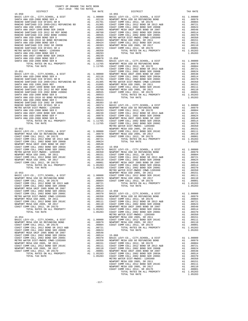| DISTRICT                                                                                  |          | TAX RATE                                                                                           |                    |
|-------------------------------------------------------------------------------------------|----------|----------------------------------------------------------------------------------------------------|--------------------|
|                                                                                           |          |                                                                                                    |                    |
|                                                                                           |          |                                                                                                    |                    |
|                                                                                           |          |                                                                                                    |                    |
|                                                                                           |          |                                                                                                    |                    |
|                                                                                           |          |                                                                                                    |                    |
|                                                                                           |          |                                                                                                    |                    |
|                                                                                           |          |                                                                                                    |                    |
|                                                                                           |          |                                                                                                    |                    |
|                                                                                           |          |                                                                                                    |                    |
|                                                                                           |          |                                                                                                    |                    |
|                                                                                           |          |                                                                                                    |                    |
|                                                                                           |          |                                                                                                    |                    |
|                                                                                           |          |                                                                                                    |                    |
|                                                                                           |          |                                                                                                    |                    |
|                                                                                           |          |                                                                                                    |                    |
|                                                                                           |          | A1 .00078 15-056<br>A1 .00078 15-056<br>A1 .00001 BASIC L<br>A1 1.11765 NEWPORT<br>1.11765 COAST C |                    |
| SANTA ANA USD-2008 BOND SER B<br>NA USD-2008 BOND SER B<br>TOTAL RATES ON ALL PROPERTY    |          |                                                                                                    |                    |
|                                                                                           |          |                                                                                                    |                    |
| TOTAL TAX RATE                                                                            |          |                                                                                                    |                    |
| $15 - 051$                                                                                |          |                                                                                                    | COAST C<br>COAST C |
|                                                                                           |          |                                                                                                    |                    |
|                                                                                           |          |                                                                                                    |                    |
|                                                                                           |          |                                                                                                    |                    |
|                                                                                           |          |                                                                                                    |                    |
|                                                                                           |          |                                                                                                    |                    |
|                                                                                           |          |                                                                                                    |                    |
|                                                                                           |          |                                                                                                    |                    |
|                                                                                           |          |                                                                                                    |                    |
|                                                                                           |          |                                                                                                    |                    |
|                                                                                           |          |                                                                                                    |                    |
|                                                                                           |          |                                                                                                    |                    |
|                                                                                           |          |                                                                                                    |                    |
|                                                                                           |          |                                                                                                    |                    |
|                                                                                           |          |                                                                                                    |                    |
|                                                                                           |          |                                                                                                    |                    |
|                                                                                           |          |                                                                                                    |                    |
|                                                                                           |          |                                                                                                    |                    |
|                                                                                           |          |                                                                                                    |                    |
|                                                                                           |          |                                                                                                    | METRO W            |
|                                                                                           |          |                                                                                                    |                    |
|                                                                                           |          |                                                                                                    |                    |
|                                                                                           |          |                                                                                                    |                    |
|                                                                                           |          |                                                                                                    |                    |
|                                                                                           |          |                                                                                                    |                    |
|                                                                                           |          |                                                                                                    |                    |
|                                                                                           |          |                                                                                                    |                    |
|                                                                                           |          |                                                                                                    |                    |
|                                                                                           |          |                                                                                                    |                    |
|                                                                                           |          |                                                                                                    |                    |
|                                                                                           |          |                                                                                                    |                    |
|                                                                                           |          |                                                                                                    |                    |
|                                                                                           |          |                                                                                                    |                    |
|                                                                                           |          |                                                                                                    |                    |
|                                                                                           |          |                                                                                                    |                    |
|                                                                                           |          |                                                                                                    | METRO W            |
| $15 - 053$                                                                                |          |                                                                                                    | NEWPORT            |
|                                                                                           |          |                                                                                                    |                    |
|                                                                                           |          |                                                                                                    |                    |
|                                                                                           |          |                                                                                                    |                    |
|                                                                                           |          |                                                                                                    |                    |
|                                                                                           |          |                                                                                                    |                    |
|                                                                                           |          |                                                                                                    |                    |
| COAST COMM COLL 2002 BOND SER 2006C                                                       | A1       | .00370                                                                                             | BASIC L            |
| METRO WATER DIST-MWDOC CMWD-1205999                                                       | A1       | .00350                                                                                             | NEWPORT            |
| NEWPORT MESA USD 2005, SR 2011<br>COAST COMM COLL 2012 BOND SER 2016C                     | A1<br>A1 | .00151<br>.00111                                                                                   | COAST C            |
| NEWPORT MESA USD 2005, SR 2017                                                            | A1       | .00110                                                                                             | COAST C<br>COAST C |
| COAST COMM COLL 2012, SR 2017D                                                            | A1       | .00001                                                                                             | NEWPORT            |
| TOTAL RATES ON ALL PROPERTY                                                               |          | A1 1.05283                                                                                         | COAST C            |
| TOTAL TAX RATE                                                                            |          | 1.05283                                                                                            | COAST C            |
|                                                                                           |          |                                                                                                    | METRO W            |
| $15 - 054$                                                                                |          |                                                                                                    | NEWPORT            |
| BASIC LEVY-CO., CITY, SCHOOL, & DIST                                                      | A1       | 1.00000                                                                                            | COAST C            |
| NEWPORT MESA USD GO REFUNDING BOND                                                        |          | A1 .00979                                                                                          | NEWPORT            |
| COAST COMM COLL 2012, SR 2017E                                                            | A1       | .00804                                                                                             | COAST C            |
| COAST COMM COLL 2012 BOND SR 2013 A&B<br>COAST COMM COLL 2002 BOND SER 2006B              | A1<br>A1 | .00721                                                                                             |                    |
| NEWPORT MESA UNIF 2005 BOND SR 2007                                                       | A1       | .00624<br>.00548                                                                                   |                    |
| COAST COMM COLL 2002 BOND SER 2003A                                                       | A1       | .00514                                                                                             | $15 - 060$         |
| COAST COMM COLL 2002 BOND SER 2006C                                                       |          | A1 .00370                                                                                          | BASIC L            |
| METRO WATER DIST-MWDOC CMWD-1205999                                                       |          | A1 .00350                                                                                          | NEWPORT            |
| NEWPORT MESA USD 2005, SR 2011<br>$0.385$ $0.0001$ $0.015$ $0.12$ $0.015$ $0.015$ $0.016$ |          | A1 .00151 COAST C<br>0.0111                                                                        |                    |
|                                                                                           | 2.1      |                                                                                                    | 0030m<br>$\sim$    |

| INU WAIBN DIBI-MWDUC CMWD-IAUJJJJ |
|-----------------------------------|
| WPORT MESA USD 2005, SR 2011      |
| AST COMM COLL 2012 BOND SER 2016C |
| WPORT MESA USD 2005, SR 2017      |
| AST COMM COLL 2012. SR 2017D      |
| TOTAL RATES ON ALL PROPERTY       |
| TOTAL TAX RATE                    |
|                                   |

| COUNTY OF ORANGE TAX RATE BOOK<br>$2017-2018 \quad \text{TRA RATES}$ DISTRICT $\hspace{2.5cm}$                                                                                                                                         |          |          |          |
|----------------------------------------------------------------------------------------------------------------------------------------------------------------------------------------------------------------------------------------|----------|----------|----------|
|                                                                                                                                                                                                                                        | TAX RATE | DISTRICT | TAX RATE |
|                                                                                                                                                                                                                                        |          |          |          |
|                                                                                                                                                                                                                                        |          |          |          |
|                                                                                                                                                                                                                                        |          |          |          |
|                                                                                                                                                                                                                                        |          |          |          |
|                                                                                                                                                                                                                                        |          |          |          |
|                                                                                                                                                                                                                                        |          |          |          |
|                                                                                                                                                                                                                                        |          |          |          |
|                                                                                                                                                                                                                                        |          |          |          |
|                                                                                                                                                                                                                                        |          |          |          |
|                                                                                                                                                                                                                                        |          |          |          |
|                                                                                                                                                                                                                                        |          |          |          |
|                                                                                                                                                                                                                                        |          |          |          |
|                                                                                                                                                                                                                                        |          |          |          |
|                                                                                                                                                                                                                                        |          |          |          |
|                                                                                                                                                                                                                                        |          |          |          |
|                                                                                                                                                                                                                                        |          |          |          |
|                                                                                                                                                                                                                                        |          |          |          |
|                                                                                                                                                                                                                                        |          |          |          |
|                                                                                                                                                                                                                                        |          |          |          |
|                                                                                                                                                                                                                                        |          |          |          |
|                                                                                                                                                                                                                                        |          |          |          |
|                                                                                                                                                                                                                                        |          |          |          |
|                                                                                                                                                                                                                                        |          |          |          |
|                                                                                                                                                                                                                                        |          |          |          |
|                                                                                                                                                                                                                                        |          |          |          |
|                                                                                                                                                                                                                                        |          |          |          |
|                                                                                                                                                                                                                                        |          |          |          |
|                                                                                                                                                                                                                                        |          |          |          |
|                                                                                                                                                                                                                                        |          |          |          |
|                                                                                                                                                                                                                                        |          |          |          |
|                                                                                                                                                                                                                                        |          |          |          |
|                                                                                                                                                                                                                                        |          |          |          |
|                                                                                                                                                                                                                                        |          |          |          |
|                                                                                                                                                                                                                                        |          |          |          |
|                                                                                                                                                                                                                                        |          |          |          |
|                                                                                                                                                                                                                                        |          |          |          |
|                                                                                                                                                                                                                                        |          |          |          |
|                                                                                                                                                                                                                                        |          |          |          |
|                                                                                                                                                                                                                                        |          |          |          |
|                                                                                                                                                                                                                                        |          |          |          |
|                                                                                                                                                                                                                                        |          |          |          |
|                                                                                                                                                                                                                                        |          |          |          |
|                                                                                                                                                                                                                                        |          |          |          |
|                                                                                                                                                                                                                                        |          |          |          |
|                                                                                                                                                                                                                                        |          |          |          |
|                                                                                                                                                                                                                                        |          |          |          |
|                                                                                                                                                                                                                                        |          |          |          |
|                                                                                                                                                                                                                                        |          |          |          |
|                                                                                                                                                                                                                                        |          |          |          |
|                                                                                                                                                                                                                                        |          |          |          |
|                                                                                                                                                                                                                                        |          |          |          |
|                                                                                                                                                                                                                                        |          |          |          |
|                                                                                                                                                                                                                                        |          |          |          |
|                                                                                                                                                                                                                                        |          |          |          |
|                                                                                                                                                                                                                                        |          |          |          |
|                                                                                                                                                                                                                                        |          |          |          |
|                                                                                                                                                                                                                                        |          |          |          |
|                                                                                                                                                                                                                                        |          |          |          |
|                                                                                                                                                                                                                                        |          |          |          |
|                                                                                                                                                                                                                                        |          |          |          |
|                                                                                                                                                                                                                                        |          |          |          |
|                                                                                                                                                                                                                                        |          |          |          |
|                                                                                                                                                                                                                                        |          |          |          |
|                                                                                                                                                                                                                                        |          |          |          |
|                                                                                                                                                                                                                                        |          |          |          |
|                                                                                                                                                                                                                                        |          |          |          |
|                                                                                                                                                                                                                                        |          |          |          |
|                                                                                                                                                                                                                                        |          |          |          |
|                                                                                                                                                                                                                                        |          |          |          |
|                                                                                                                                                                                                                                        |          |          |          |
|                                                                                                                                                                                                                                        |          |          |          |
|                                                                                                                                                                                                                                        |          |          |          |
|                                                                                                                                                                                                                                        |          |          |          |
|                                                                                                                                                                                                                                        |          |          |          |
|                                                                                                                                                                                                                                        |          |          |          |
| NEW ORDER MEAN WAS VALUE AND AN 1,0721<br>COMET COME COLL 2012 BRO 001 2013 AAD<br>COMET COME COLL 2012 BRO 001 2013 AAD<br>COMET COME COLL 2013 BRO 001 2013 AAD<br>COMET COME COLL 2013 BRO COMET AT A 2013 AN 1,00010<br>COMET COME |          |          |          |
|                                                                                                                                                                                                                                        |          |          |          |
|                                                                                                                                                                                                                                        |          |          |          |
|                                                                                                                                                                                                                                        |          |          |          |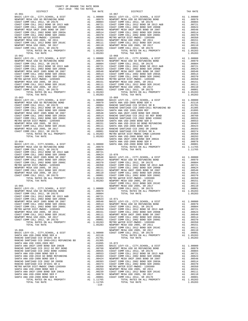-118-

15-063 15-069

 DISTRICT TAX RATE DISTRICT TAX RATE  $\begin{tabular}{ c| c| c|c|c|c} \hline 15-061 & 11.00000 & 18-067 & 11.00000 & 18-067 & 1077 & 15-067 \\ \hline RERVPCRT MESA USD GO SET COMM COLL 2012 BOND SR 2017E & 11.00000 & 10.00000 & 10.00000 & 10.00000 \\ \hline COAST COMM COLL 2012 BOND SR 2017E & 11.00000 & 10.00000 & 10.00000 \\ \hline COAST COMM COL$  15-062 15-068  $\begin{tabular}{l|c|c|c|c|c|c} \multicolumn{4}{c}{BASTC LEVY-OO, CTTY, SCHOOL}, & & & & & & & & \\ \multicolumn{4}{c}{MENWOOTX MESA USDG O RETUNDWES DMSD} & & & & & & & & \\ \multicolumn{4}{c}{CASST COMM COLL 2012} & & & & & & & & \\ \multicolumn{4}{c}{CASST COMM COLL 2012} & & & & & & & & \\ \multicolumn{4}{c}{CASST COMM COLL 2012} & & & & & & & & \\ \multicolumn{4}{c}{CASST COMM COLL 2012} & &$  COAST COMM COLL 2002 BOND SER 2003A A1 .00514 COAST COMM COLL 2002 BOND SER 2003A A1 .00514 COAST COMM COLL 2002 BOND SER 2006C A1 .00370 COAST COMM COLL 2002 BOND SER 2006C A1 .00370 METRO WATER DIST-MWDOC- 1205999 A1 .00350 METRO WATER DIST-MWDOC- 1205999 A1 .00350 NEWPORT MESA USD 2005, SR 2011 A1 .00151 NEWPORT MESA USD 2005, SR 2011 A1 .00151 COAST COMM COLL 2012 BOND SER 2016C A1 .00111 COAST COMM COLL 2012 BOND SER 2016C A1 .00111 NEWPORT MESA USD 2005, SR 2017 A1 .00110 NEWPORT MESA USD 2005, SR 2017 A1 .00110 COAST COMM COLL 2012, SR 2017D A1 .00001 COAST COMM COLL 2012, SR 2017D A1 .00001 TOTAL RATES ON ALL PROPERTY A1 1.05283 TOTAL RATES ON ALL PROPERTY A1 1.05283 TOTAL TAX RATE 1.05283 TOTAL TAX RATE 1.05283  $\begin{tabular}{lcccc} BASIC LEVY-CO., CITY, SCHOOL, & DIST & A1 & 1.00000 & BASIC LEVY-CO., CITY, SCHOOL, & DIST & A1 & 1.00000 \\ NEWOPORT MESA & U.0212 BOND INE BOND & BANTA ANA USD-2008 BOND SER A & A1 & .01701 \\ COAST COMM COLL & 2012 BOND SR & 2017E & A1 & .00004 & RANTA ANA USD-2008 BOND SER A & A1 & .01701 \\ COAST COMM COLL & 2012 BOND SR & 2013 A&B & A1 & .00721 & R$  NEWPORT MESA UNIF 2005 BOND SR 2007 A1 .00548 SANTA ANA UNIF-1999 BOND SER 2002B A1 .01065 COAST COMM COLL 2002 BOND SER 2003A A1 .00514 RANCHO SANTIAGO CCD 2012 GO REF BOND A1 .00760 COAST COMM COLL 2002 BOND SER 2006C A1 .00370 RANCHO SANTIAGO CCD 2002 BOND #2006C A1 .00555 METRO WATER DIST-MWDOC- 1205999 A1 .00350 SANTA ANA USD-2008 BOND SER D A1 .00553 NEWPORT MESAUSD 2005, SR 2011 a1 .00151 SANTA ANA USD-2010 GO BOND REFUNDING A1 .00463<br>COAST COMM COLL 2012 BOND SER 2016C a1 .00111 SANTA ANA USD-2008 BOND SER C<br>NEWPORT MESAUSD 2005, SR 2017D a1 .00110 RANCHO SANTIAGO CC TOTAL TAX RATE 1.05283 SANTA ANA USD-2008 BOND SER E A1 .00293 SANTA ANA UNIF-1999 BOND SER 2002A A1 .00239  $\begin{tabular}{cccc} 15-064 & 50078& 50078& 50078& 50078& 50078& 50078& 50078& 50078& 50078& 50078& 50078& 50078& 50078& 50078& 50078& 50078& 50078& 50078& 50078& 50078& 50078& 50078& 50078& 50078& 50078& 50078& 50078& 50078& 50078&$ TOTAL TAX RATE <br>1.05283 NEWPORT MESA USE COME COLL 2012 BORD SER 20106<br>1.00151 COAST COMM COLL 2012 BORD SER 2016<br>1.00111 AI 1.00000 NEWPORT MESA USD 2005, SR 2017 A1 .00110<br>1.05283 NEWPORT MESA USD GO REFUNDING BOND A1 .0 COAST COMM COLL 2012, SR 2017E A1 .00804 TOTAL TAX RATE 1.05283 COAST COMM COLL 2012 BOND SR 2013 A&B A1 .00721 COAST COMM COLL 2002 BOND SER 2006B A1 .00624 15-071 NEWPORT MESA UNIF 2005 BOND SR 2007 A1 .00548 BASIC LEVY-CO., CITY,SCHOOL, & DIST A1 1.00000 COAST COMM COLL 2002 BOND SER 2003A A1 .00514 NEWPORT MESA USD GO REFUNDING BOND A1 .00979 COAST COMM COLL 2002 BOND SER 2006C A1 .00370 COAST COMM COLL 2012, SR 2017E A1 .00804  $\begin{tabular}{l|c|c|c|c|c} \hline \texttt{METRO} \texttt{WATER} \texttt{ DISTRIBUT} \texttt{MESR} \texttt{SDE} & \texttt{A1} & .00150 & \texttt{COAST COMM COLL} \texttt{2012 BOND SE} \texttt{2013 A&B} & \texttt{A1} & .00721 \\ \hline \texttt{NENPORT} \texttt{MESR} \texttt{USD} \texttt{2005, SR} \texttt{2014} & \texttt{A1} & .00111 & \texttt{NENPORT} \texttt{MESR} \texttt{2005 BORD SE} \texttt{$  15-066 NEWPORT MESA USD 2005, SR 2017 A1 .00110 BASIC LEVY-CO., CITY,SCHOOL, & DIST A1 1.00000 COAST COMM COLL 2012, SR 2017D A1 .00001 SANTA ANA USD-2008 BOND SER A A1 .02116 TOTAL RATES ON ALL PROPERTY A1 1.05283 RANCHO SANTIAGO CCD SFID#1 SR B A1 .01701 TOTAL TAX RATE 1.05283 RANCHO SANTIAGO CCD 2005+2011 REFUNDING BD A1 .01305 SANTA ANA USD 1999,2009 REF A1 .01095 15-072 SANTA ANA UNIF-1999 BOND SER 2002B A1 .01065 BASIC LEVY-CO., CITY,SCHOOL, & DIST A1 1.00000 RANCHO SANTIAGO CCD 2012 GO REF BOND A1 .00760 NEWPORT MESA USD GO REFUNDING BOND A1 .00979 RANCHO SANTIAGO CCD 2002 BOND #2006C A1 .00555 COAST COMM COLL 2012, SR 2017E A1 .00804 SANTA ANA USD-2008 BOND SER D A1 .00553 COAST COMM COLL 2012 BOND SR 2013 A&B A1 .00721 SANTA ANA USD-2010 GO BOND REFUNDING A1 .00463 COAST COMM COLL 2002 BOND SER 2006B A1 .00624 SANTA ANA USD-2008 BOND SER C A1 .00424 NEWPORT MESA UNIF 2005 BOND SR 2007 A1 .00548 RANCHO SANTIAGO CCD 2002 SR 2005B A1 .00393 COAST COMM COLL 2002 BOND SER 2003A A1 .00514 RANCHO SANTIAGO CCD SFID#1 SR A A1 .00374 COAST COMM COLL 2002 BOND SER 2006C A1 .00370 METRO WATER DIST-MWDOC CMWD-1205999 A1 .00350 METRO WATER DIST-MWDOC- 1205999 A1 .00350 1001. SANTA ANA USD-2008 BOND SER E 2002A NEWPORT MESA USD 2005, SR 2011 2015. AL 200551<br>SANTA ANA UNIF-1999 BOND SER 2002A 2002 41 20029 2010 2011 2012 9000 SER 2016C<br>SANTA ANA USD-2008 BOND SER F 2002A 20110 20078 NEWPOR SANTA ANA USD-2008 BOND SER B A1 .00001 COAST COMM COLL 2012, SR 2017D A1 .00001 TOTAL RATES ON ALL PROPERTY A1 1.11765 TOTAL RATES ON ALL PROPERTY A1 1.05283 NA USD-2008 BOND SER E 2002A<br>
TA UNIF-1999 BOND SER 2002A<br>
TA UNIF-1999 BOND SER 2002A<br>
TA USD-2008 BOND SER F A1 .00078 NEWPORT MESA USD 2005, SR 2017<br>
TOTAL RATES ON ALL PROPERTY A1 .00070 NEWPORT MESA USD 2005, SR 2017<br>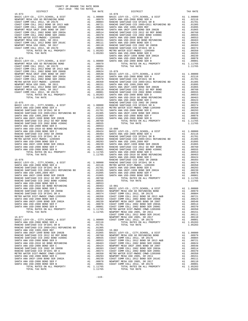| 2017-2018 TRA TAX RATES | TAX RATE | DISTRICT | TAX RATE |
|-------------------------|----------|----------|----------|
|                         |          |          |          |
|                         |          |          |          |
|                         |          |          |          |
|                         |          |          |          |
|                         |          |          |          |
|                         |          |          |          |
|                         |          |          |          |
|                         |          |          |          |
|                         |          |          |          |
|                         |          |          |          |
|                         |          |          |          |
|                         |          |          |          |
|                         |          |          |          |
|                         |          |          |          |
|                         |          |          |          |
|                         |          |          |          |
|                         |          |          |          |
|                         |          |          |          |
|                         |          |          |          |
|                         |          |          |          |
|                         |          |          |          |
|                         |          |          |          |
|                         |          |          |          |
|                         |          |          |          |
|                         |          |          |          |
|                         |          |          |          |
|                         |          |          |          |
|                         |          |          |          |
|                         |          |          |          |
|                         |          |          |          |
|                         |          |          |          |
|                         |          |          |          |
|                         |          |          |          |
|                         |          |          |          |
|                         |          |          |          |
|                         |          |          |          |
|                         |          |          |          |
|                         |          |          |          |
|                         |          |          |          |
|                         |          |          |          |
|                         |          |          |          |
|                         |          |          |          |
|                         |          |          |          |
|                         |          |          |          |
|                         |          |          |          |
|                         |          |          |          |
|                         |          |          |          |
|                         |          |          |          |
|                         |          |          |          |
|                         |          |          |          |
|                         |          |          |          |
|                         |          |          |          |
|                         |          |          |          |
|                         |          |          |          |
|                         |          |          |          |
|                         |          |          |          |
|                         |          |          |          |
|                         |          |          |          |
|                         |          |          |          |
|                         |          |          |          |
|                         |          |          |          |
|                         |          |          |          |
|                         |          |          |          |
|                         |          |          |          |
|                         |          |          |          |
|                         |          |          |          |
|                         |          |          |          |
|                         |          |          |          |
|                         |          |          |          |
|                         |          |          |          |
|                         |          |          |          |
|                         |          |          |          |
|                         |          |          |          |
|                         |          |          |          |
|                         |          |          |          |
|                         |          |          |          |
|                         |          |          |          |
|                         |          |          |          |
|                         |          |          |          |
|                         |          |          |          |
|                         |          |          |          |
|                         |          |          |          |
|                         |          |          |          |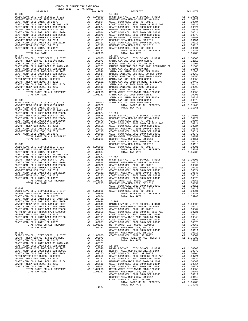| ristino matein piedi rimpou urimp favoddo | $\overline{1}$ | .          | comu c  |
|-------------------------------------------|----------------|------------|---------|
| NEWPORT MESA USD 2005, SR 2011            | A1             | .00151     | COAST C |
| COAST COMM COLL 2012 BOND SER 2016C       |                | A1.00111   | NEWPORT |
| NEWPORT MESA USD 2005, SR 2017            |                | A1 .00110  | COAST C |
| COAST COMM COLL 2012, SR 2017D            |                | A1.00001   | COAST C |
| TOTAL RATES ON ALL PROPERTY               |                | A1 1.05283 | METRO W |
| TOTAL TAX RATE                            |                | 1.05283    | NEWPORT |
|                                           |                |            | COAST C |
| $15 - 088$                                |                |            | NEWPORT |
| BASIC LEVY-CO., CITY, SCHOOL, & DIST      |                | A1 1.00000 | COAST C |
| NEWPORT MESA USD GO REFUNDING BOND        |                | A1.00979   |         |
| COAST COMM COLL 2012, SR 2017E            |                | A1 .00804  |         |
| COAST COMM COLL 2012 BOND SR 2013 A&B     |                | A1 .00721  |         |
| COAST COMM COLL 2002 BOND SER 2006B       | A1             | .00624     | 15-094  |
| NEWPORT MESA UNIF 2005 BOND SR 2007       | A1             | .00548     | BASIC L |
| COAST COMM COLL 2002 BOND SER 2003A       | A1             | .00514     | NEWPORT |
| COAST COMM COLL 2002 BOND SER 2006C       | A1             | .00370     | COAST C |
| METRO WATER DIST-MWDOC- 1205999           | A1             | .00350     | COAST C |
| NEWPORT MESA USD 2005, SR 2011            | A1             | .00151     | COAST C |
| COAST COMM COLL 2012 BOND SER 2016C       | A1             | .00111     | NEWPORT |
| NEWPORT MESA USD 2005, SR 2017            |                | A1 .00110  | COAST C |
| COAST COMM COLL 2012. SR 2017D            |                | A1.00001   | COAST C |
| TOTAL RATES ON ALL PROPERTY               | A1             | 1.05283    | METRO W |
| TOTAL TAX RATE                            |                | 1.05283    | NEWPORT |
|                                           |                |            |         |

| DISTRICT                                                                                                                                                                                                                      | TAX RATE | DISTRICT | TAX RATE |
|-------------------------------------------------------------------------------------------------------------------------------------------------------------------------------------------------------------------------------|----------|----------|----------|
|                                                                                                                                                                                                                               |          |          |          |
|                                                                                                                                                                                                                               |          |          |          |
|                                                                                                                                                                                                                               |          |          |          |
|                                                                                                                                                                                                                               |          |          |          |
|                                                                                                                                                                                                                               |          |          |          |
|                                                                                                                                                                                                                               |          |          |          |
|                                                                                                                                                                                                                               |          |          |          |
|                                                                                                                                                                                                                               |          |          |          |
|                                                                                                                                                                                                                               |          |          |          |
|                                                                                                                                                                                                                               |          |          |          |
|                                                                                                                                                                                                                               |          |          |          |
|                                                                                                                                                                                                                               |          |          |          |
|                                                                                                                                                                                                                               |          |          |          |
|                                                                                                                                                                                                                               |          |          |          |
|                                                                                                                                                                                                                               |          |          |          |
|                                                                                                                                                                                                                               |          |          |          |
|                                                                                                                                                                                                                               |          |          |          |
|                                                                                                                                                                                                                               |          |          |          |
|                                                                                                                                                                                                                               |          |          |          |
|                                                                                                                                                                                                                               |          |          |          |
|                                                                                                                                                                                                                               |          |          |          |
|                                                                                                                                                                                                                               |          |          |          |
|                                                                                                                                                                                                                               |          |          |          |
|                                                                                                                                                                                                                               |          |          |          |
|                                                                                                                                                                                                                               |          |          |          |
|                                                                                                                                                                                                                               |          |          |          |
|                                                                                                                                                                                                                               |          |          |          |
|                                                                                                                                                                                                                               |          |          |          |
|                                                                                                                                                                                                                               |          |          |          |
|                                                                                                                                                                                                                               |          |          |          |
|                                                                                                                                                                                                                               |          |          |          |
|                                                                                                                                                                                                                               |          |          |          |
|                                                                                                                                                                                                                               |          |          |          |
|                                                                                                                                                                                                                               |          |          |          |
|                                                                                                                                                                                                                               |          |          |          |
|                                                                                                                                                                                                                               |          |          |          |
|                                                                                                                                                                                                                               |          |          |          |
|                                                                                                                                                                                                                               |          |          |          |
|                                                                                                                                                                                                                               |          |          |          |
|                                                                                                                                                                                                                               |          |          |          |
|                                                                                                                                                                                                                               |          |          |          |
|                                                                                                                                                                                                                               |          |          |          |
|                                                                                                                                                                                                                               |          |          |          |
|                                                                                                                                                                                                                               |          |          |          |
|                                                                                                                                                                                                                               |          |          |          |
|                                                                                                                                                                                                                               |          |          |          |
|                                                                                                                                                                                                                               |          |          |          |
|                                                                                                                                                                                                                               |          |          |          |
|                                                                                                                                                                                                                               |          |          |          |
|                                                                                                                                                                                                                               |          |          |          |
|                                                                                                                                                                                                                               |          |          |          |
|                                                                                                                                                                                                                               |          |          |          |
|                                                                                                                                                                                                                               |          |          |          |
|                                                                                                                                                                                                                               |          |          |          |
|                                                                                                                                                                                                                               |          |          |          |
|                                                                                                                                                                                                                               |          |          |          |
|                                                                                                                                                                                                                               |          |          |          |
|                                                                                                                                                                                                                               |          |          |          |
|                                                                                                                                                                                                                               |          |          |          |
|                                                                                                                                                                                                                               |          |          |          |
|                                                                                                                                                                                                                               |          |          |          |
|                                                                                                                                                                                                                               |          |          |          |
|                                                                                                                                                                                                                               |          |          |          |
|                                                                                                                                                                                                                               |          |          |          |
|                                                                                                                                                                                                                               |          |          |          |
|                                                                                                                                                                                                                               |          |          |          |
|                                                                                                                                                                                                                               |          |          |          |
|                                                                                                                                                                                                                               |          |          |          |
|                                                                                                                                                                                                                               |          |          |          |
|                                                                                                                                                                                                                               |          |          |          |
|                                                                                                                                                                                                                               |          |          |          |
|                                                                                                                                                                                                                               |          |          |          |
|                                                                                                                                                                                                                               |          |          |          |
|                                                                                                                                                                                                                               |          |          |          |
|                                                                                                                                                                                                                               |          |          |          |
|                                                                                                                                                                                                                               |          |          |          |
|                                                                                                                                                                                                                               |          |          |          |
|                                                                                                                                                                                                                               |          |          |          |
|                                                                                                                                                                                                                               |          |          |          |
|                                                                                                                                                                                                                               |          |          |          |
|                                                                                                                                                                                                                               |          |          |          |
|                                                                                                                                                                                                                               |          |          |          |
|                                                                                                                                                                                                                               |          |          |          |
|                                                                                                                                                                                                                               |          |          |          |
|                                                                                                                                                                                                                               |          |          |          |
|                                                                                                                                                                                                                               |          |          |          |
|                                                                                                                                                                                                                               |          |          |          |
|                                                                                                                                                                                                                               |          |          |          |
| 13-021 (1974) 1975 (1980) 1987 (1980) 1987 (1980) 1987 (1980) 1987 (1980) 1987 (1980) 1987 (1980) 1987 (1980) 1987 (1980) 1987 (1980) 1987 (1980) 1987 (1980) 1987 (1980) 1987 (1980) 1987 (1980) 1987 (1980) 1987 (1980) 198 |          |          |          |
|                                                                                                                                                                                                                               |          |          |          |
|                                                                                                                                                                                                                               |          |          |          |
|                                                                                                                                                                                                                               |          |          |          |
|                                                                                                                                                                                                                               |          |          |          |

-120-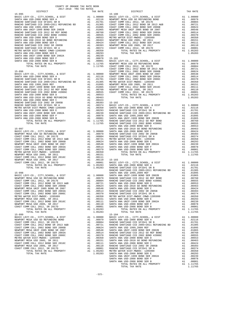| COUNTY OF ORANGE TAX RATE BOOK<br>2017-2018 TRA TAX RATES                                                                                                                                                               |    |                                                                                                                           |                   |
|-------------------------------------------------------------------------------------------------------------------------------------------------------------------------------------------------------------------------|----|---------------------------------------------------------------------------------------------------------------------------|-------------------|
| DISTRICT                                                                                                                                                                                                                |    | TAX RATE                                                                                                                  |                   |
| $15 - 095$                                                                                                                                                                                                              |    |                                                                                                                           | $15 - 100$        |
|                                                                                                                                                                                                                         |    |                                                                                                                           |                   |
|                                                                                                                                                                                                                         |    |                                                                                                                           |                   |
|                                                                                                                                                                                                                         |    |                                                                                                                           |                   |
|                                                                                                                                                                                                                         |    |                                                                                                                           |                   |
|                                                                                                                                                                                                                         |    |                                                                                                                           |                   |
|                                                                                                                                                                                                                         |    |                                                                                                                           |                   |
|                                                                                                                                                                                                                         |    |                                                                                                                           |                   |
|                                                                                                                                                                                                                         |    |                                                                                                                           |                   |
|                                                                                                                                                                                                                         |    |                                                                                                                           |                   |
|                                                                                                                                                                                                                         |    |                                                                                                                           |                   |
|                                                                                                                                                                                                                         |    |                                                                                                                           |                   |
|                                                                                                                                                                                                                         |    |                                                                                                                           |                   |
|                                                                                                                                                                                                                         |    |                                                                                                                           |                   |
|                                                                                                                                                                                                                         |    |                                                                                                                           |                   |
|                                                                                                                                                                                                                         |    |                                                                                                                           |                   |
| AN USD-2008 BOND SER F<br>MA USD-2008 BOND SER F<br>TOTAL RATES ON SER B<br>TOTAL RATES ON ALL PROPERTY<br>TOTAL TAX RATE 1.11765 COAST C<br>TOTAL TAX RATE 1.11765 COAST C<br>COAST C<br>SANTA ANA USD-2008 BOND SER F |    |                                                                                                                           |                   |
| SANTA ANA USD-2008 BOND SER B                                                                                                                                                                                           |    |                                                                                                                           |                   |
|                                                                                                                                                                                                                         |    |                                                                                                                           |                   |
|                                                                                                                                                                                                                         |    |                                                                                                                           |                   |
|                                                                                                                                                                                                                         |    |                                                                                                                           | COAST C           |
| $15 - 096$                                                                                                                                                                                                              |    |                                                                                                                           | COAST C           |
|                                                                                                                                                                                                                         |    |                                                                                                                           |                   |
|                                                                                                                                                                                                                         |    |                                                                                                                           |                   |
|                                                                                                                                                                                                                         |    |                                                                                                                           |                   |
|                                                                                                                                                                                                                         |    |                                                                                                                           |                   |
|                                                                                                                                                                                                                         |    |                                                                                                                           |                   |
|                                                                                                                                                                                                                         |    |                                                                                                                           |                   |
|                                                                                                                                                                                                                         |    |                                                                                                                           |                   |
|                                                                                                                                                                                                                         |    |                                                                                                                           |                   |
|                                                                                                                                                                                                                         |    |                                                                                                                           |                   |
|                                                                                                                                                                                                                         |    |                                                                                                                           |                   |
|                                                                                                                                                                                                                         |    |                                                                                                                           |                   |
|                                                                                                                                                                                                                         |    |                                                                                                                           |                   |
|                                                                                                                                                                                                                         |    |                                                                                                                           |                   |
|                                                                                                                                                                                                                         |    |                                                                                                                           |                   |
|                                                                                                                                                                                                                         |    |                                                                                                                           |                   |
|                                                                                                                                                                                                                         |    |                                                                                                                           |                   |
|                                                                                                                                                                                                                         |    |                                                                                                                           |                   |
|                                                                                                                                                                                                                         |    |                                                                                                                           |                   |
|                                                                                                                                                                                                                         |    |                                                                                                                           |                   |
|                                                                                                                                                                                                                         |    |                                                                                                                           |                   |
|                                                                                                                                                                                                                         |    |                                                                                                                           | SANTA A           |
| $15 - 097$                                                                                                                                                                                                              |    |                                                                                                                           | SANTA A           |
|                                                                                                                                                                                                                         |    |                                                                                                                           |                   |
|                                                                                                                                                                                                                         |    |                                                                                                                           |                   |
|                                                                                                                                                                                                                         |    |                                                                                                                           |                   |
|                                                                                                                                                                                                                         |    |                                                                                                                           |                   |
|                                                                                                                                                                                                                         |    |                                                                                                                           |                   |
|                                                                                                                                                                                                                         |    |                                                                                                                           |                   |
|                                                                                                                                                                                                                         |    |                                                                                                                           |                   |
|                                                                                                                                                                                                                         |    |                                                                                                                           |                   |
|                                                                                                                                                                                                                         |    |                                                                                                                           |                   |
|                                                                                                                                                                                                                         |    |                                                                                                                           |                   |
|                                                                                                                                                                                                                         |    |                                                                                                                           |                   |
| NEWPORT MESA USD 2005, SR 2017                                                                                                                                                                                          |    | A1 .00111<br>A1 .00110 15-103<br>A1 .00001 BASIC L<br>A1 1.05283 SANTA A<br>1.05283 RANCHO                                |                   |
| COAST COMM COLL 2012, SR 2017D                                                                                                                                                                                          |    |                                                                                                                           |                   |
| TOTAL RATES ON ALL PROPERTY                                                                                                                                                                                             |    |                                                                                                                           |                   |
| TOTAL TAX RATE                                                                                                                                                                                                          |    |                                                                                                                           |                   |
|                                                                                                                                                                                                                         |    |                                                                                                                           | RANCHO            |
| $15 - 098$                                                                                                                                                                                                              |    |                                                                                                                           | SANTA A           |
|                                                                                                                                                                                                                         |    |                                                                                                                           |                   |
|                                                                                                                                                                                                                         |    |                                                                                                                           |                   |
|                                                                                                                                                                                                                         |    |                                                                                                                           |                   |
|                                                                                                                                                                                                                         |    |                                                                                                                           |                   |
|                                                                                                                                                                                                                         |    |                                                                                                                           |                   |
| NEWPORT MESA UNIF 2005 BOND SR 2007                                                                                                                                                                                     | A1 | .00548                                                                                                                    | SANTA A           |
| COAST COMM COLL 2002 BOND SER 2003A                                                                                                                                                                                     | A1 | .00514                                                                                                                    | RANCHO            |
| COAST COMM COLL 2002 BOND SER 2006C                                                                                                                                                                                     | A1 | .00370                                                                                                                    |                   |
| METRO WATER DIST-MWDOC- 1205999                                                                                                                                                                                         |    | A1 .00350                                                                                                                 | RANCHO<br>METRO W |
| NEWPORT MESA USD 2005, SR 2011                                                                                                                                                                                          |    | A1 .00151                                                                                                                 | SANTA A           |
| COAST COMM COLL 2012 BOND SER 2016C                                                                                                                                                                                     |    | A1 .00111                                                                                                                 | SANTA A           |
| NEWPORT MESA USD 2005, SR 2017                                                                                                                                                                                          | A1 | .00110                                                                                                                    | SANTA A           |
| COAST COMM COLL 2012, SR 2017D                                                                                                                                                                                          | A1 | .00001                                                                                                                    | SANTA A           |
| TOTAL RATES ON ALL PROPERTY                                                                                                                                                                                             |    | A1 1.05283                                                                                                                |                   |
| TOTAL TAX RATE                                                                                                                                                                                                          |    | 1.05283                                                                                                                   |                   |
| $15 - 099$                                                                                                                                                                                                              |    |                                                                                                                           | $15 - 104$        |
| BASIC LEVY-CO., CITY, SCHOOL, & DIST                                                                                                                                                                                    |    |                                                                                                                           |                   |
| NEWPORT MESA USD GO REFUNDING BOND                                                                                                                                                                                      |    |                                                                                                                           |                   |
| COAST COMM COLL 2012, SR 2017E                                                                                                                                                                                          |    |                                                                                                                           |                   |
| COAST COMM COLL 2012 BOND SR 2013 A&B                                                                                                                                                                                   |    |                                                                                                                           |                   |
| COAST COMM COLL 2002 BOND SER 2006B                                                                                                                                                                                     |    | A1 1.00000 BASIC L<br>A1 .00979 SANTA A<br>A1 .00804 RANCHO<br>A1 .00721 RANCHO<br>A1 .00624 SANTA A<br>11 .00624 SANTA A |                   |
| NEWPORT MESA UNIF 2005 BOND SR 2007                                                                                                                                                                                     |    |                                                                                                                           |                   |
| COAST COMM COLL 2002 BOND SER 2003A                                                                                                                                                                                     |    |                                                                                                                           |                   |
| COAST COMM COLL 2002 BOND SER 2006C                                                                                                                                                                                     |    |                                                                                                                           |                   |
| METRO WATER DIST-MWDOC- 1205999                                                                                                                                                                                         |    | A1 .00548 SANTA A<br>A1 .00548 SANTA A<br>A1 .00370 RANCHO<br>A1 .00350 SANTA A                                           |                   |
| NEWPORT MESA USD 2005, SR 2011                                                                                                                                                                                          | A1 | .00151                                                                                                                    | SANTA A           |
| COAST COMM COLL 2012 BOND SER 2016C                                                                                                                                                                                     | A1 | .00111                                                                                                                    | SANTA A           |
| NEWPORT MESA USD 2005, SR 2017                                                                                                                                                                                          |    |                                                                                                                           |                   |
| COAST COMM COLL 2012, SR 2017D                                                                                                                                                                                          |    | A1 .00110 RANCHO<br>A1 .00001 RANCHO<br>A1 1.05283 METROW                                                                 |                   |
| TOTAL RATES ON ALL PROPERTY                                                                                                                                                                                             |    |                                                                                                                           |                   |
|                                                                                                                                                                                                                         |    |                                                                                                                           |                   |

| TOTAL <sup>-</sup> | TAX | RATE |  |
|--------------------|-----|------|--|

| 2017-2018 TRA TAX RATES<br>DISTRICT | TAX RATE | DISTRICT | TAX RATE |
|-------------------------------------|----------|----------|----------|
|                                     |          |          |          |
|                                     |          |          |          |
|                                     |          |          |          |
|                                     |          |          |          |
|                                     |          |          |          |
|                                     |          |          |          |
|                                     |          |          |          |
|                                     |          |          |          |
|                                     |          |          |          |
|                                     |          |          |          |
|                                     |          |          |          |
|                                     |          |          |          |
|                                     |          |          |          |
|                                     |          |          |          |
|                                     |          |          |          |
|                                     |          |          |          |
|                                     |          |          |          |
|                                     |          |          |          |
|                                     |          |          |          |
|                                     |          |          |          |
|                                     |          |          |          |
|                                     |          |          |          |
|                                     |          |          |          |
|                                     |          |          |          |
|                                     |          |          |          |
|                                     |          |          |          |
|                                     |          |          |          |
|                                     |          |          |          |
|                                     |          |          |          |
|                                     |          |          |          |
|                                     |          |          |          |
|                                     |          |          |          |
|                                     |          |          |          |
|                                     |          |          |          |
|                                     |          |          |          |
|                                     |          |          |          |
|                                     |          |          |          |
|                                     |          |          |          |
|                                     |          |          |          |
|                                     |          |          |          |
|                                     |          |          |          |
|                                     |          |          |          |
|                                     |          |          |          |
|                                     |          |          |          |
|                                     |          |          |          |
|                                     |          |          |          |
|                                     |          |          |          |
|                                     |          |          |          |
|                                     |          |          |          |
|                                     |          |          |          |
|                                     |          |          |          |
|                                     |          |          |          |
|                                     |          |          |          |
|                                     |          |          |          |
|                                     |          |          |          |
|                                     |          |          |          |
|                                     |          |          |          |
|                                     |          |          |          |
|                                     |          |          |          |
|                                     |          |          |          |
|                                     |          |          |          |
|                                     |          |          |          |
|                                     |          |          |          |
|                                     |          |          |          |
|                                     |          |          |          |
|                                     |          |          |          |
|                                     |          |          |          |
|                                     |          |          |          |
|                                     |          |          |          |
|                                     |          |          |          |
|                                     |          |          |          |
|                                     |          |          |          |
|                                     |          |          |          |
|                                     |          |          |          |
|                                     |          |          |          |
|                                     |          |          |          |
|                                     |          |          |          |
|                                     |          |          |          |
|                                     |          |          |          |
|                                     |          |          |          |
|                                     |          |          |          |
|                                     |          |          |          |
|                                     |          |          |          |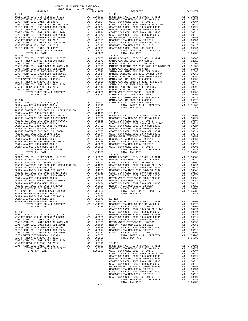| COUNTY OF ORANGE TAX RATE BOOK<br>2017-2018 TRA TAX RATES |          |            |          |
|-----------------------------------------------------------|----------|------------|----------|
| DISTRICT                                                  | TAX RATE | DISTRICT   | TAX RATE |
| $15 - 105$                                                |          | $15 - 110$ |          |
|                                                           |          |            |          |
|                                                           |          |            |          |
|                                                           |          |            |          |
|                                                           |          |            |          |
|                                                           |          |            |          |
|                                                           |          |            |          |
|                                                           |          |            |          |
|                                                           |          |            |          |
|                                                           |          |            |          |
|                                                           |          |            |          |
|                                                           |          |            |          |
|                                                           |          |            |          |
| $15 - 106$                                                |          | 15-111     |          |
|                                                           |          |            |          |
|                                                           |          |            |          |
|                                                           |          |            |          |
|                                                           |          |            |          |
|                                                           |          |            |          |
|                                                           |          |            |          |
|                                                           |          |            |          |
|                                                           |          |            |          |
|                                                           |          |            |          |
|                                                           |          |            |          |
|                                                           |          |            |          |
|                                                           |          |            |          |
|                                                           |          |            |          |
|                                                           |          |            |          |
|                                                           |          |            |          |
|                                                           |          |            |          |
|                                                           |          |            |          |
|                                                           |          |            |          |
|                                                           |          |            |          |
|                                                           |          |            |          |
|                                                           |          |            |          |
|                                                           |          |            |          |
|                                                           |          |            |          |
|                                                           |          |            |          |
|                                                           |          |            |          |
|                                                           |          |            |          |
|                                                           |          |            |          |
|                                                           |          |            |          |
|                                                           |          |            |          |
|                                                           |          |            |          |
|                                                           |          |            |          |
|                                                           |          |            |          |
|                                                           |          |            |          |
|                                                           |          |            |          |
|                                                           |          |            |          |
|                                                           |          |            |          |
|                                                           |          |            |          |
|                                                           |          |            |          |
|                                                           |          |            |          |
|                                                           |          |            |          |
|                                                           |          |            |          |
|                                                           |          |            |          |
|                                                           |          |            |          |
|                                                           |          |            |          |
|                                                           |          |            |          |
|                                                           |          |            |          |
|                                                           |          |            |          |
|                                                           |          |            |          |
|                                                           |          |            |          |
|                                                           |          |            |          |
|                                                           |          |            |          |
|                                                           |          |            |          |
|                                                           |          |            |          |
|                                                           |          |            |          |
|                                                           |          |            |          |
|                                                           |          |            |          |
|                                                           |          |            |          |
|                                                           |          |            |          |
|                                                           |          |            |          |
|                                                           |          |            |          |
|                                                           |          |            |          |
|                                                           |          |            |          |
|                                                           |          |            |          |
|                                                           |          |            |          |
|                                                           |          |            |          |
|                                                           |          |            |          |
|                                                           |          |            |          |
|                                                           |          |            |          |
|                                                           |          |            |          |
|                                                           |          |            |          |
|                                                           |          |            |          |
|                                                           |          |            |          |
|                                                           |          |            |          |
|                                                           |          |            |          |

-122-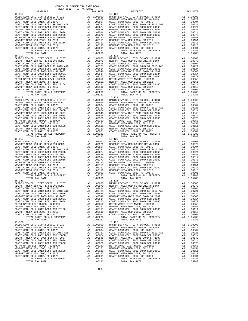|          | 2017-2018 TRA TAX RATES |          |          |          |
|----------|-------------------------|----------|----------|----------|
| DISTRICT |                         | TAX RATE | DISTRICT | TAX RATE |
|          |                         |          |          |          |
|          |                         |          |          |          |
|          |                         |          |          |          |
|          |                         |          |          |          |
|          |                         |          |          |          |
|          |                         |          |          |          |
|          |                         |          |          |          |
|          |                         |          |          |          |
|          |                         |          |          |          |
|          |                         |          |          |          |
|          |                         |          |          |          |
|          |                         |          |          |          |
|          |                         |          |          |          |
|          |                         |          |          |          |
|          |                         |          |          |          |
|          |                         |          |          |          |
|          |                         |          |          |          |
|          |                         |          |          |          |
|          |                         |          |          |          |
|          |                         |          |          |          |
|          |                         |          |          |          |
|          |                         |          |          |          |
|          |                         |          |          |          |
|          |                         |          |          |          |
|          |                         |          |          |          |
|          |                         |          |          |          |
|          |                         |          |          |          |
|          |                         |          |          |          |
|          |                         |          |          |          |
|          |                         |          |          |          |
|          |                         |          |          |          |
|          |                         |          |          |          |
|          |                         |          |          |          |
|          |                         |          |          |          |
|          |                         |          |          |          |
|          |                         |          |          |          |
|          |                         |          |          |          |
|          |                         |          |          |          |
|          |                         |          |          |          |
|          |                         |          |          |          |
|          |                         |          |          |          |
|          |                         |          |          |          |
|          |                         |          |          |          |
|          |                         |          |          |          |
|          |                         |          |          |          |
|          |                         |          |          |          |
|          |                         |          |          |          |
|          |                         |          |          |          |
|          |                         |          |          |          |
|          |                         |          |          |          |
|          |                         |          |          |          |
|          |                         |          |          |          |
|          |                         |          |          |          |
|          |                         |          |          |          |
|          |                         |          |          |          |
|          |                         |          |          |          |
|          |                         |          |          |          |
|          |                         |          |          |          |
|          |                         |          |          |          |
|          |                         |          |          |          |
|          |                         |          |          |          |
|          |                         |          |          |          |
|          |                         |          |          |          |
|          |                         |          |          |          |
|          |                         |          |          |          |
|          |                         |          |          |          |
|          |                         |          |          |          |
|          |                         |          |          |          |
|          |                         |          |          |          |
|          |                         |          |          |          |
|          |                         |          |          |          |
|          |                         |          |          |          |
|          |                         |          |          |          |
|          |                         |          |          |          |
|          |                         |          |          |          |
|          |                         |          |          |          |
|          |                         |          |          |          |
|          |                         |          |          |          |
|          |                         |          |          |          |
|          |                         |          |          |          |
|          |                         |          |          |          |
|          |                         |          |          |          |
|          |                         |          |          |          |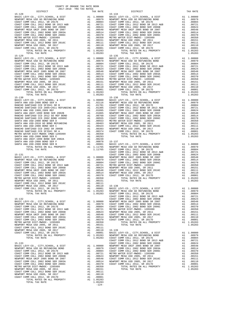-124-

| 2017 2010 This This Kristo<br>DISTRICT                                                                                                                                                                                                                                                                                                                                                                                          | TAX RATE | DISTRICT   | TAX RATE |
|---------------------------------------------------------------------------------------------------------------------------------------------------------------------------------------------------------------------------------------------------------------------------------------------------------------------------------------------------------------------------------------------------------------------------------|----------|------------|----------|
| $15 - 128$                                                                                                                                                                                                                                                                                                                                                                                                                      |          | $15 - 134$ |          |
|                                                                                                                                                                                                                                                                                                                                                                                                                                 |          |            |          |
|                                                                                                                                                                                                                                                                                                                                                                                                                                 |          |            |          |
|                                                                                                                                                                                                                                                                                                                                                                                                                                 |          |            |          |
|                                                                                                                                                                                                                                                                                                                                                                                                                                 |          |            |          |
|                                                                                                                                                                                                                                                                                                                                                                                                                                 |          |            |          |
|                                                                                                                                                                                                                                                                                                                                                                                                                                 |          |            |          |
|                                                                                                                                                                                                                                                                                                                                                                                                                                 |          |            |          |
|                                                                                                                                                                                                                                                                                                                                                                                                                                 |          |            |          |
|                                                                                                                                                                                                                                                                                                                                                                                                                                 |          |            |          |
|                                                                                                                                                                                                                                                                                                                                                                                                                                 |          |            |          |
|                                                                                                                                                                                                                                                                                                                                                                                                                                 |          |            |          |
|                                                                                                                                                                                                                                                                                                                                                                                                                                 |          |            |          |
|                                                                                                                                                                                                                                                                                                                                                                                                                                 |          |            |          |
|                                                                                                                                                                                                                                                                                                                                                                                                                                 |          |            |          |
|                                                                                                                                                                                                                                                                                                                                                                                                                                 |          |            |          |
|                                                                                                                                                                                                                                                                                                                                                                                                                                 |          |            |          |
|                                                                                                                                                                                                                                                                                                                                                                                                                                 |          |            |          |
|                                                                                                                                                                                                                                                                                                                                                                                                                                 |          |            |          |
|                                                                                                                                                                                                                                                                                                                                                                                                                                 |          |            |          |
|                                                                                                                                                                                                                                                                                                                                                                                                                                 |          |            |          |
|                                                                                                                                                                                                                                                                                                                                                                                                                                 |          |            |          |
|                                                                                                                                                                                                                                                                                                                                                                                                                                 |          |            |          |
|                                                                                                                                                                                                                                                                                                                                                                                                                                 |          |            |          |
|                                                                                                                                                                                                                                                                                                                                                                                                                                 |          |            |          |
|                                                                                                                                                                                                                                                                                                                                                                                                                                 |          |            |          |
|                                                                                                                                                                                                                                                                                                                                                                                                                                 |          |            |          |
|                                                                                                                                                                                                                                                                                                                                                                                                                                 |          |            |          |
|                                                                                                                                                                                                                                                                                                                                                                                                                                 |          |            |          |
|                                                                                                                                                                                                                                                                                                                                                                                                                                 |          |            |          |
|                                                                                                                                                                                                                                                                                                                                                                                                                                 |          |            |          |
|                                                                                                                                                                                                                                                                                                                                                                                                                                 |          |            |          |
|                                                                                                                                                                                                                                                                                                                                                                                                                                 |          |            |          |
|                                                                                                                                                                                                                                                                                                                                                                                                                                 |          |            |          |
|                                                                                                                                                                                                                                                                                                                                                                                                                                 |          |            |          |
|                                                                                                                                                                                                                                                                                                                                                                                                                                 |          |            |          |
|                                                                                                                                                                                                                                                                                                                                                                                                                                 |          |            |          |
|                                                                                                                                                                                                                                                                                                                                                                                                                                 |          |            |          |
|                                                                                                                                                                                                                                                                                                                                                                                                                                 |          |            |          |
|                                                                                                                                                                                                                                                                                                                                                                                                                                 |          |            |          |
|                                                                                                                                                                                                                                                                                                                                                                                                                                 |          |            |          |
|                                                                                                                                                                                                                                                                                                                                                                                                                                 |          |            |          |
|                                                                                                                                                                                                                                                                                                                                                                                                                                 |          |            |          |
|                                                                                                                                                                                                                                                                                                                                                                                                                                 |          |            |          |
|                                                                                                                                                                                                                                                                                                                                                                                                                                 |          |            |          |
|                                                                                                                                                                                                                                                                                                                                                                                                                                 |          |            |          |
|                                                                                                                                                                                                                                                                                                                                                                                                                                 |          |            |          |
|                                                                                                                                                                                                                                                                                                                                                                                                                                 |          |            |          |
|                                                                                                                                                                                                                                                                                                                                                                                                                                 |          |            |          |
|                                                                                                                                                                                                                                                                                                                                                                                                                                 |          |            |          |
|                                                                                                                                                                                                                                                                                                                                                                                                                                 |          |            |          |
|                                                                                                                                                                                                                                                                                                                                                                                                                                 |          |            |          |
|                                                                                                                                                                                                                                                                                                                                                                                                                                 |          |            |          |
|                                                                                                                                                                                                                                                                                                                                                                                                                                 |          |            |          |
|                                                                                                                                                                                                                                                                                                                                                                                                                                 |          |            |          |
|                                                                                                                                                                                                                                                                                                                                                                                                                                 |          |            |          |
|                                                                                                                                                                                                                                                                                                                                                                                                                                 |          |            |          |
|                                                                                                                                                                                                                                                                                                                                                                                                                                 |          |            |          |
|                                                                                                                                                                                                                                                                                                                                                                                                                                 |          |            |          |
|                                                                                                                                                                                                                                                                                                                                                                                                                                 |          |            |          |
|                                                                                                                                                                                                                                                                                                                                                                                                                                 |          |            |          |
|                                                                                                                                                                                                                                                                                                                                                                                                                                 |          |            |          |
|                                                                                                                                                                                                                                                                                                                                                                                                                                 |          |            |          |
|                                                                                                                                                                                                                                                                                                                                                                                                                                 |          |            |          |
|                                                                                                                                                                                                                                                                                                                                                                                                                                 |          |            |          |
|                                                                                                                                                                                                                                                                                                                                                                                                                                 |          |            |          |
|                                                                                                                                                                                                                                                                                                                                                                                                                                 |          |            |          |
|                                                                                                                                                                                                                                                                                                                                                                                                                                 |          |            |          |
|                                                                                                                                                                                                                                                                                                                                                                                                                                 |          |            |          |
|                                                                                                                                                                                                                                                                                                                                                                                                                                 |          |            |          |
|                                                                                                                                                                                                                                                                                                                                                                                                                                 |          |            |          |
|                                                                                                                                                                                                                                                                                                                                                                                                                                 |          |            |          |
|                                                                                                                                                                                                                                                                                                                                                                                                                                 |          |            |          |
|                                                                                                                                                                                                                                                                                                                                                                                                                                 |          |            |          |
|                                                                                                                                                                                                                                                                                                                                                                                                                                 |          |            |          |
|                                                                                                                                                                                                                                                                                                                                                                                                                                 |          |            |          |
|                                                                                                                                                                                                                                                                                                                                                                                                                                 |          |            |          |
|                                                                                                                                                                                                                                                                                                                                                                                                                                 |          |            |          |
|                                                                                                                                                                                                                                                                                                                                                                                                                                 |          |            |          |
|                                                                                                                                                                                                                                                                                                                                                                                                                                 |          |            |          |
|                                                                                                                                                                                                                                                                                                                                                                                                                                 |          |            |          |
|                                                                                                                                                                                                                                                                                                                                                                                                                                 |          |            |          |
| $\begin{tabular}{cccccccc} \textbf{GMAF} & \textbf{GMAF} & \textbf{GMAF} & \textbf{GMAF} & \textbf{GMAF} & \textbf{GMAF} & \textbf{GMAF} & \textbf{GMAF} & \textbf{GMAF} & \textbf{GMAF} & \textbf{GMAF} & \textbf{GMAF} & \textbf{GMAF} & \textbf{GMAF} & \textbf{GMAF} & \textbf{GMAF} & \textbf{GMAF} & \textbf{GMAF} & \textbf{GMAF} & \textbf{GMAF} & \textbf{GMAF} & \textbf{GMAF} & \textbf{GMAF} & \textbf{$<br>$-124-$ |          |            |          |
|                                                                                                                                                                                                                                                                                                                                                                                                                                 |          |            |          |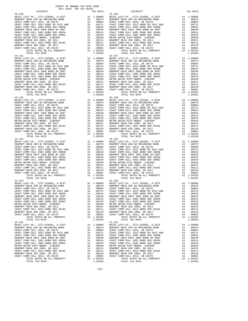$\begin{tabular}{l|c|c|c|c|c} \hline 15-142 & & & & & & & 15-148 \\ \hline BASIC LEVY-CO. & CITY, SCHOOL, & & & & & & & & 15-148 \\ \hline NERWDRT MESA USD GO REFUNDING BOND & & & & & & & 1.00000 & BASTCL \\ \hline COAST COMM COLL 2012, SRND SR 2013 A&B & & & & & .00804 & COAST CC \\ \hline COAST COMM COLL 2012 BOND SR 2013 AEB & & & & & .00721 & COAST CC \\ \hline COST COMM COLL 2012 BOND SR 20$ TOTAL RATE 1.05283 TOTAL RATE 1.05283 TOTAL RATE 1.05283 TOTAL RATE 1.05283 TOTAL RATE 1.05283 TOTAL RATE 1.05283 TOTAL RATE 1.05283 TOTAL RATE 1.05283 TOTAL RATE 1.05283 TOTAL RATE 1.05283 TOTAL TAX RATE 15-144 15-150 15-145<br>
BASIC LEVY-CO., CITY, SCHOOL, & DIST A1 1.00000 BASIC LEVY-CO., CITY, SCHOOL, & DIST

 DISTRICT TAX RATE DISTRICT TAX RATE  $\begin{tabular}{l|ll} 15-140 & 15-140 & 15-146 \\ \hline \texttt{RAPORT NESN-USC} \texttt{MESN} \texttt{MS} \texttt{GODR} \texttt{TOMN} \texttt{GODR} \texttt{MSEN} \texttt{MSEN} \texttt{MSEN} \texttt{MSEN} \texttt{MSEN} \texttt{MSEN} \texttt{MSEN} \texttt{MSEN} \texttt{MSEN} \texttt{MSEN} \texttt{MSEN} \texttt{MSEN} \texttt{MSEN} \texttt{MSEN} \texttt{MSEN} \texttt{MSEN} \texttt$ NEWPORT MESAUSD GO REFUNDING BOND (10979 A1 00979 NEWPORT MESAUSD GO REFUNDING BOND A1 00979<br>COAST COMM COLL 2012, SR 2017E (2013 A&B (1008) A1 008904 COAST COMM COLL 2012, SR 2017E (2018 POAST COMM COLL<br>COAST COMM COLL 20 1 16 NEWPORT MESA UNIF 2005 BOND SR 2007 A1 .00548 NEWPORT MESA UNIF 2005 BOND SR 2007 A1<br>COAST COMM COLL 2002 BOND SER 2003A A1 .00514 COAST COMM COLL 2002 BOND SER 2003A A1 .00514  $\begin{tabular}{l|c|c|c|c|c} \multicolumn{4}{c}{CGAST COM OOLL 2002 BOND SER 2006C} & \multicolumn{4}{c}{A1} & .00370 & COSST COMOOLL 2002 BOND SER 2006C & A1 & .00370 \\ \multicolumn{4}{c}{METRO WATER DIST-MHDOC-1205999}} & A1 & .00370 & COSST COMM COLL 2002 BOND SER 2006C & A1 & .00350 \\ \multicolumn{4}{c}{NETRO WATER DIST-MHDOC-L 2012 BOND SER 2016C} & A1 & .00$  $\begin{tabular}{lcccc} BASIC LEVY-CO., CITY, SCHOOL, & DIST & A1 & 1.00000 & BASIC LEVY-CO., CITY, SCHOOL, & DIST & A1 & 1.00000 \\ NEWOPORT MESA USODE FUNDING DAND & A1 & .00979 & NEWDORT MESA USO OF SEFUNDING BOND & A1 & .00979 & A1 & .00979 & A1 & .00979 & A1 & .00979 & .0087 & .0087 & .0087 & .0087 & .0087 & .0087 & .0087 & .0087 & .0087 & .0087 & .0087 & .00$ 1 16 NEWPORT MESA UNIF 2005 BOND SR 2007 A1 .00548 NEWPORT MESA UNIF 2005 BOND SR 2007 A1<br>COAST COMM COLL 2002 BOND SER 2003A A1 .00514 COAST COMM COLL 2002 BOND SER 2003A A1 .00514  $\begin{tabular}{l|c|c|c|c|c|c} \hline \texttt{COAST COM M COLL 2012} & 00170 & 00170 & 00170 & 00170 & 00170 & 00170 & 00170 & 00170 & 010170 & 010170 & 010170 & 010170 & 010170 & 010170 & 010170 & 010170 & 010170 & 010170 & 010170 & 010170 & 010170 & 010170 & 01170 & 0117$  15-143 15-149 BASIC LEVY-CO., CITY,SCHOOL, & DIST A1 1.00000 BASIC LEVY-CO., CITY,SCHOOL, & DIST A1 1.00000 10979 NEWPORT MESA USD GO REFUNDING BOND MENDORT MESA USD GO REFUNDING BOND AL<br>COAST COMM COLL 2012, SR 2017E 2017 (2004) 2011 A1 .00894 COAST COAST COMM COLL 2012 DAG04 COAST COMM COLL<br>COAST COMM COLL 2012 BOND SR 2013 A& COAST COMM COLL 2002 BOND SER 2006B<br>COAST COMM COLL 2002 BOND SER 2006B A1 .00624 COAST COMM COLL 2002 BOND SER 2006B<br>COAST COMM COLL 2002 BOND SER 2003A A1 .00514 COAST COMM COLL 2002 BOND SER 2003A A1 .00514 1 16 NEWPORT MESA UNIF 2005 BOND SR 2007 A1 .00548 NEWPORT MESA UNIF 2005 BOND SR 2007 A1<br>COAST COMM COLL 2002 BOND SER 2003A A1 .00514 COAST COMM COLL 2002 BOND SER 2003A A1 .00514 COAST COMM COLL 2002 BOND SER 2006C A1 .00370 COAST COMM COLL 2002 BOND SER 2006C A1 .00370 METRO WATER DIST-MWDOC- 1205999 A1 (00350 METRO WATER DIST-MWDOC- 1205999 A1 (00350 A1 (00350 METRO WATER DIST<br>NEWPORT MESA USD 2005, SR 20151 A1 (00151 MEWPORT MESA USD 2005, SR 2011 A1 (00151 A1 (00151 A1 (00151<br>COAST CO NEWPORT MESA USD 2005, SR 2017<br>COAST COMM COLL 2012, SR 2017D A1 .00001 COAST COMM COLL 2012, SR 2017D A1 .00001 TOTAL RATES ON AUCHORIZE ORDER TY AT 1.05283 TOTAL RATES ON ALL PROPERTY A1 1.05283<br>TOTAL RATES ON ALL PROPERTY A1 1.05283 TOTAL RATES ON ALL PROPERTY A1 1.05283 BASIC LEVY-CO., CITY,SCHOOL, & DIST A1 1.00000 BASIC LEVY-CO., CITY,SCHOOL, & DIST A1 1.00000 NEWPORT MESA USD GO REFUNDING BOND A1 .00979 NEWPORT MESA USD GO REFUNDING BOND A1 .00979 COAST COMM COLL 2012, SR 2017E A1 .00804 COAST COMM COLL 2012, SR 2017E A1 .00804 COAST COMM COLL 2012 BOND SR 2013 A&B CORST COMM COLL 2012 BOND SR 2017<br>
COAST COMM COLL 2012 BOND SR 2013 A&B A1 .00721 COAST COMM COLL 2012 BOND SR 2014 COAST COMM COLL 2012 BOND SR 2013 A&B COAST COMM COLL 2012 BOND SR COAST COMM COLL 2002 BOND SER 2006B A1 .00624 COAST COMM COLL 2002 BOND SER 2006B A1 .00624 NEWPORT MESA UNIF 2005 BOND SR 2007 A1 .00548 NEWPORT MESA UNIF 2005 BOND SR 2007 A1 .00548 COAST COMM COLL 2002 BOND SER 2003A A1 .00514 COAST COMM COLL 2002 BOND SER 2003A A1 .00514<br>COAST COMM COLL 2002 BOND SER 2006C A1 .00370 COAST COMM COLL 2002 BOND SER 2006C A1 .00370 A1 .00370 COAST COMM COLL 2002 BOND SER 2006C A1 .00370 COAST COMM COLL 2002 BOND SER 2006C A1 .00370<br>A1 .00151 NEWPORT MESA USD 2005, SR 2011 A1 .00151 NEWPORT MESA USD 2005, SR 2011<br>A1 .00111 COAST COMM COLL 2012 BOND SE METRO WATER DIST-MWDOC- 1205999 A1 (00350 METRO WATER DIST-MWDOC- 1205999 A1 (00350<br>NEWPORT MESA USD 2005, SR 20151 A1 (00151 NEWPORT MESA USD 2005, SR 2011 100351 A1 (00151 SR 2011)<br>COAST COMM COLL 2012 BOND SER 2016C A1 00110 NEWPORT MESAUSD 2005, SR 2017<br>COAST COMM COLL 2012, SR 2011D 100001 COAST COMM COLL 2012, SR 2017D 21<br>A1 1.05283 TOTAL RATES ON ALL PROPERTY 1.05283 TOTAL RATES ON ALL PROPERTY 21 1.05283 TOTAL TAX RATE 1.05283 TOTAL TAX RATE 1.05283 BASIC LEVY-CO., CITY, SCHOOL, & DIST A1 1.00000 BASIC LEVY-CO., CITY, SCHOOL, & DIST A1 1.00000 BASIC LEVY-CO., CITY, SCHOOL, & DIST A1 1.00000 BASIC LEVY-CO., CITY, SCHOOL, & DIST A1 1.00000 BASIC LEVY-CO., CITY, SCHOOL, 100979 NEWPORT MESA USD GO REFUNDING BOND MENDORT MESA USD GO REFUNDING BOND AL<br>COAST COMM COLL 2012 SR 2017E 2017 AL 100804 COAST COMM COLL 2012, SR 2017E 2017 BOND COLL 2012, SR 2017E COAS<br>COAST COMM COLL 2012 BOND SR 20 COAST COMM COLL 2002 BOND SER 2006B A1 .00624 COAST COMM COLL 2002 BOND SER 2006B A1 .00624 NEWPORT MESA UNIF 2005 BOND SR 2007 A1 .00548 NEWPORT MESA UNIF 2005 BOND SR 2007 A1 .00548 COAST COMM COLL 2002 BOND SER 2003A A1 .00514 COAST COMM COLL 2002 BOND SER 2003A A1 .00514 COAST COMM COLL 2002 BOND SER 2006C A1 .00370 COAST COMM COLL 2002 BOND SER 2006C A1 .00370 METRO WATER DIST-MWDOC- 1205999 A1 .00350 METRO WATER DIST-MWDOC- 1205999 A1 .00350 NEWPORT MESA USD 2005, SR 2011 A1 .00151 NEWPORT MESA USD 2005, SR 2011 A1 .00151 NEWPORT MESA USD 2005, SR 2011 (00151 NEWPORT MESA USD 2005, SR 2011 (00151 COAST COMM COLL 2012 BOND SER 2016<br>COAST COMM COLL 2012 BOND SER 2016C A1 .00111 COAST COMM COLL 2016 SER 2016C AN NEWPORT MESA USD 2005, SR 2017<br> NEWPORT MESA USD 2005, SR 2017 A1 .00110 NEWPORT MESA USD 2005, SR 2017 A1 .00110 COAST COMM COLL 2012, SR 2017D A1 .00001 COAST COMM COLL 2012, SR 2017D A1 .00001 TOTAL RATES ON ALL PROPERTY A1 1.05283 TOTAL RATES ON ALL PROPERTY A1 1.05283 TOTAL TAX RATE 1.05283 TOTAL TAX RATE 1.05283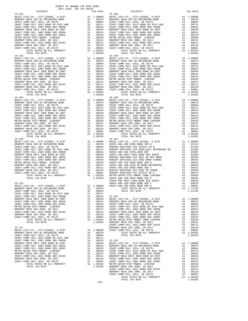| DISTRICT   | 2017-2018 TRA TAX RATES | TAX RATE | DISTRICT                                                                                                                                                                                                                                                                                                                                                | TAX RATE |
|------------|-------------------------|----------|---------------------------------------------------------------------------------------------------------------------------------------------------------------------------------------------------------------------------------------------------------------------------------------------------------------------------------------------------------|----------|
| $15 - 152$ |                         |          | $15 - 158$                                                                                                                                                                                                                                                                                                                                              |          |
|            |                         |          |                                                                                                                                                                                                                                                                                                                                                         |          |
|            |                         |          |                                                                                                                                                                                                                                                                                                                                                         |          |
|            |                         |          |                                                                                                                                                                                                                                                                                                                                                         |          |
|            |                         |          |                                                                                                                                                                                                                                                                                                                                                         |          |
|            |                         |          |                                                                                                                                                                                                                                                                                                                                                         |          |
|            |                         |          |                                                                                                                                                                                                                                                                                                                                                         |          |
|            |                         |          |                                                                                                                                                                                                                                                                                                                                                         |          |
|            |                         |          |                                                                                                                                                                                                                                                                                                                                                         |          |
|            |                         |          |                                                                                                                                                                                                                                                                                                                                                         |          |
|            |                         |          |                                                                                                                                                                                                                                                                                                                                                         |          |
|            |                         |          |                                                                                                                                                                                                                                                                                                                                                         |          |
|            |                         |          |                                                                                                                                                                                                                                                                                                                                                         |          |
|            |                         |          |                                                                                                                                                                                                                                                                                                                                                         |          |
|            |                         |          |                                                                                                                                                                                                                                                                                                                                                         |          |
|            |                         |          |                                                                                                                                                                                                                                                                                                                                                         |          |
|            |                         |          |                                                                                                                                                                                                                                                                                                                                                         |          |
|            |                         |          |                                                                                                                                                                                                                                                                                                                                                         |          |
|            |                         |          |                                                                                                                                                                                                                                                                                                                                                         |          |
|            |                         |          |                                                                                                                                                                                                                                                                                                                                                         |          |
|            |                         |          |                                                                                                                                                                                                                                                                                                                                                         |          |
|            |                         |          |                                                                                                                                                                                                                                                                                                                                                         |          |
|            |                         |          |                                                                                                                                                                                                                                                                                                                                                         |          |
|            |                         |          |                                                                                                                                                                                                                                                                                                                                                         |          |
|            |                         |          |                                                                                                                                                                                                                                                                                                                                                         |          |
|            |                         |          |                                                                                                                                                                                                                                                                                                                                                         |          |
|            |                         |          |                                                                                                                                                                                                                                                                                                                                                         |          |
|            |                         |          |                                                                                                                                                                                                                                                                                                                                                         |          |
|            |                         |          |                                                                                                                                                                                                                                                                                                                                                         |          |
|            |                         |          |                                                                                                                                                                                                                                                                                                                                                         |          |
|            |                         |          |                                                                                                                                                                                                                                                                                                                                                         |          |
|            |                         |          |                                                                                                                                                                                                                                                                                                                                                         |          |
|            |                         |          |                                                                                                                                                                                                                                                                                                                                                         |          |
|            |                         |          |                                                                                                                                                                                                                                                                                                                                                         |          |
|            |                         |          |                                                                                                                                                                                                                                                                                                                                                         |          |
|            |                         |          |                                                                                                                                                                                                                                                                                                                                                         |          |
|            |                         |          |                                                                                                                                                                                                                                                                                                                                                         |          |
|            |                         |          |                                                                                                                                                                                                                                                                                                                                                         |          |
| $15 - 155$ |                         |          | $15 - 161$<br>$\begin{tabular}{cccccccc} 15-155 & 1014 \text{I} & 1404 \text{I} & 1404 \text{I} & 1404 \text{I} & 1404 \text{I} & 1404 \text{I} & 1404 \text{I} & 1404 \text{I} & 1404 \text{I} & 1404 \text{I} & 1404 \text{I} & 1404 \text{I} & 1404 \text{I} & 1404 \text{I} & 1404 \text{I} & 1404 \text{I} & 1404 \text{I} & 1404 \text{I} & 1404$ |          |
|            |                         |          |                                                                                                                                                                                                                                                                                                                                                         |          |
|            |                         |          |                                                                                                                                                                                                                                                                                                                                                         |          |
|            |                         |          |                                                                                                                                                                                                                                                                                                                                                         |          |
|            |                         |          |                                                                                                                                                                                                                                                                                                                                                         |          |
|            |                         |          |                                                                                                                                                                                                                                                                                                                                                         |          |
|            |                         |          |                                                                                                                                                                                                                                                                                                                                                         |          |
|            |                         |          |                                                                                                                                                                                                                                                                                                                                                         |          |
|            |                         |          |                                                                                                                                                                                                                                                                                                                                                         |          |
|            |                         |          |                                                                                                                                                                                                                                                                                                                                                         |          |
|            |                         |          |                                                                                                                                                                                                                                                                                                                                                         |          |
|            |                         |          |                                                                                                                                                                                                                                                                                                                                                         |          |
|            |                         |          |                                                                                                                                                                                                                                                                                                                                                         |          |
|            |                         |          |                                                                                                                                                                                                                                                                                                                                                         |          |
|            |                         |          |                                                                                                                                                                                                                                                                                                                                                         |          |
|            |                         |          |                                                                                                                                                                                                                                                                                                                                                         |          |
|            |                         |          |                                                                                                                                                                                                                                                                                                                                                         |          |
|            |                         |          |                                                                                                                                                                                                                                                                                                                                                         |          |
|            |                         |          |                                                                                                                                                                                                                                                                                                                                                         |          |
|            |                         |          |                                                                                                                                                                                                                                                                                                                                                         |          |
|            |                         |          |                                                                                                                                                                                                                                                                                                                                                         |          |
|            |                         |          |                                                                                                                                                                                                                                                                                                                                                         |          |
|            |                         |          |                                                                                                                                                                                                                                                                                                                                                         |          |
|            |                         |          |                                                                                                                                                                                                                                                                                                                                                         |          |
|            |                         |          |                                                                                                                                                                                                                                                                                                                                                         |          |
|            |                         |          |                                                                                                                                                                                                                                                                                                                                                         |          |
|            |                         |          |                                                                                                                                                                                                                                                                                                                                                         |          |
|            |                         |          |                                                                                                                                                                                                                                                                                                                                                         |          |
|            |                         |          |                                                                                                                                                                                                                                                                                                                                                         |          |
|            |                         |          |                                                                                                                                                                                                                                                                                                                                                         |          |
|            |                         |          |                                                                                                                                                                                                                                                                                                                                                         |          |
|            |                         |          |                                                                                                                                                                                                                                                                                                                                                         |          |
|            |                         |          |                                                                                                                                                                                                                                                                                                                                                         |          |
|            |                         |          |                                                                                                                                                                                                                                                                                                                                                         |          |
|            |                         |          |                                                                                                                                                                                                                                                                                                                                                         |          |
|            |                         |          |                                                                                                                                                                                                                                                                                                                                                         |          |
|            |                         |          |                                                                                                                                                                                                                                                                                                                                                         |          |
|            |                         |          |                                                                                                                                                                                                                                                                                                                                                         |          |
|            |                         |          |                                                                                                                                                                                                                                                                                                                                                         |          |
|            |                         |          |                                                                                                                                                                                                                                                                                                                                                         |          |
|            |                         |          |                                                                                                                                                                                                                                                                                                                                                         |          |
|            |                         |          |                                                                                                                                                                                                                                                                                                                                                         |          |
|            |                         |          |                                                                                                                                                                                                                                                                                                                                                         |          |
|            |                         | $-126-$  |                                                                                                                                                                                                                                                                                                                                                         |          |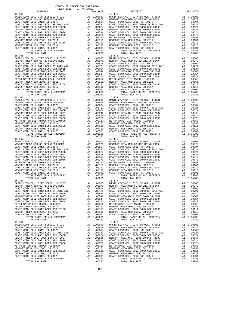$\begin{tabular}{l|c|c|c|c|c} \hline 15-166 & 15-172 \\ \hline BASC LEVY-CO. , CITY, SCHOOL, & & & & & & & & & 15-172 \\ \hline RREWDRT MESA USD GO REFUNDING BOND & & & & & & & 1.00000 & BASTC \\ \hline COAST COMM COLL 2012 , SR DST 2017 & & & & & & & 0.0000 & BNSWDORT \\ \hline COAST COMM COLL 2012 BOND SR 2013 A&B & & & & 0.0004 & COASTC \\ \hline COAST COMM COLL 2012 BOND SR 2006B &$ TOTAL RATE 1.05283 TOTAL RATE 1.05283 TOTAL RATE 1.05283 TOTAL RATE 1.05283 TOTAL RATE 1.05283 TOTAL RATE 1.05283 TOTAL RATE 1.05283 TOTAL RATE 1.05283 TOTAL RATE 1.05283 TOTAL RATE 1.05283 TOTAL TAX RATE 15-168 15-174 15-169<br>
BASIC LEVY-CO., CITY, SCHOOL, & DIST A1 1.00000 BASIC LEVY-CO., CITY, SCHOOL, & DIST

 DISTRICT TAX RATE DISTRICT TAX RATE  $\begin{tabular}{l|ll} 15-164 & 11.00000 & 15-170 \\ \hline RNEPT MESRUSB & 0.0127 & 0.017 \\ \hline RNEPT MESRUSB & 0.017 \\ \hline COSFT COMM COLL 2012 & 0.017 \\ \hline COSFT COMM COLL 2012 & 0.017 \\ \hline COSFT COMM COLL 2012 & 0.017 \\ \hline COSFT COMM COLL 2012 & 0.017 \\ \hline COSFT COMM COLL 2012 & 0.017 \\ \hline COSFT COMM COLL 2012 & 0.017 \\$ NEWPORT MESAUSD GO REFUNDING BOND (10979 A1 00979 NEWPORT MESAUSD GO REFUNDING BOND A1 00979<br>COAST COMM COLL 2012, SR 2017E (2013 A&B (1008) A1 008904 COAST COMM COLL 2012, SR 2017E (2018 POAST COMM COLL<br>COAST COMM COLL 20 1 16 NEWPORT MESA UNIF 2005 BOND SR 2007 A1 .00548 NEWPORT MESA UNIF 2005 BOND SR 2007 A1<br>COAST COMM COLL 2002 BOND SER 2003A A1 .00514 COAST COMM COLL 2002 BOND SER 2003A A1 .00514  $\begin{tabular}{l|c|c|c|c|c} \hline \texttt{COAST COMM COLL 2002 BOND SER 2006C} & \texttt{A1} & .00370 & \texttt{COAST COMM COLL 2002 BOND SER 2006C} & \texttt{A1} & .00370 \\ \hline \texttt{METRO WATER DIST-MHDOC CAMPD-120599} & \texttt{A1} & .00350 & \texttt{METRO NATER DIST-MHDOC CAMPD-120599} & \texttt{A1} & .00350 \\ \hline \texttt{NENPORT MESA USD 2005, SR 2011} & \$  $\begin{tabular}{lcccc} BASIC LEVY-CO., CITY, SCHOOL, & DIST & A1 & 1.00000 & BASIC LEVY-CO., CITY, SCHOOL, & DIST & A1 & 1.00000 \\ NEWOPORT MESA USODE FUNDING DAND & A1 & .00979 & NEWDORT MESA USO OF SEFUNDING BOND & A1 & .00979 & A1 & .00979 & A1 & .00979 & A1 & .00979 & .0087 & .0087 & .0087 & .0087 & .0087 & .0087 & .0087 & .0087 & .0087 & .0087 & .0087 & .00$ 1 16 NEWPORT MESA UNIF 2005 BOND SR 2007 A1 .00548 NEWPORT MESA UNIF 2005 BOND SR 2007 A1<br>COAST COMM COLL 2002 BOND SER 2003A A1 .00514 COAST COMM COLL 2002 BOND SER 2003A A1 .00514 COAST COMM COLL 2002 BOND SER 2006C A1 .00370 COAST COMM COLL 2002 BOND SER 2006C A1 .00370 METRO WATER DIST-MWDOC CMWD-1205999 A1 .00350 METRO WATER DIST-MWDOC- 1205999 A1 .00350 NEWPORT MESA USD 2005, SR 2011 A1 .00151 NEWPORT MESA USD 2005, SR 2011 A1 .00151 COAST COMM COLL 2012 BOND SER 2016C<br>NEWPORT MESA USD 2005, SR 2017 DOM MOND ALL 00111 COAST COMM COLL 2012 BOND SER 2016C<br>COAST COMM COLL 2012, SR 2017D ALL 00001 COAST COMM COLL 2012, SR 2017D ALL 00001<br>ALL 00001 COAST CO TOTAL TAX RATE  $1.05283$  TOTAL TAX RATE  $1.05283$  $\begin{array}{ccccccccc} \texttt{BASIC LEVY-CO.}, & \texttt{CITY}, \texttt{SCHOOL}, & \texttt{A DIST} & \texttt{A1} & 1.00000 & \texttt{BASIC LEVY-CO.}, & \texttt{CITY}, \texttt{SCHOOL}, & \texttt{A DIST} \\ \texttt{NEWPORT} & \texttt{MESA USD G O REV NDIS BOND} & \texttt{A1} & 0.0979 & \texttt{NESA USD SOL} & \texttt{MESA USD SOL} & \texttt{MESA USD SOL} & \texttt{MESA USD SOL} & \texttt{MESA USD SOL} & \texttt{MES$  BASIC LEVY-CO., CITY,SCHOOL, & DIST A1 1.00000 BASIC LEVY-CO., CITY,SCHOOL, & DIST A1 1.00000 10979 NEWPORT MESA USD GO REFUNDING BOND MENDORT MESA USD GO REFUNDING BOND AL<br>COAST COMM COLL 2012, SR 2017E 2017 (2004) 2012 A1 (2004) COAST COAST COMM COLL 2012 DAGO4 COLL 2012 A1<br>COAST COMM COLL 2012 BOND SR 2013 A&B A COAST COMM COLL 2002 BOND SER 2006B<br>COAST COMM COLL 2002 BOND SER 2006B A1 .00624 COAST COMM COLL 2002 BOND SER 2006B<br>COAST COMM COLL 2002 BOND SER 2003A A1 .00514 COAST COMM COLL 2002 BOND SER 2003A A1 .00514 1 16 NEWPORT MESA UNIF 2005 BOND SR 2007 A1 .00548 NEWPORT MESA UNIF 2005 BOND SR 2007 A1<br>COAST COMM COLL 2002 BOND SER 2003A A1 .00514 COAST COMM COLL 2002 BOND SER 2003A A1 .00514 COAST COMM COLL 2002 BOND SER 2006C A1 .00370 COAST COMM COLL 2002 BOND SER 2006C A1 .00370 METRO WATER DIST-MWDOC- 1205999 A1 .00350 METRO WATER DIST-MWDOC- 1205999 A1 .00350 NEWPORT MESA USD 2005, SR 2011 A1 .00151 NEWPORT MESA USD 2005, SR 2011 A1 .00151 COAST COMM COLL 2012 BOND SER 2016C A1 .00111 COAST COMM COLL 2012 BOND SER 2016C A1 .00111 NEWPORT MESA USD 2005, SR 2017<br>COAST COMM COLL 2012, SR 2017D A1 .00001 COAST COMM COLL 2012, SR 2017D A1 .00001 TOTAL RATES ON AUCHORIZE ORDER TY AT 1.05283 TOTAL RATES ON ALL PROPERTY A1 1.05283<br>TOTAL RATES ON ALL PROPERTY A1 1.05283 TOTAL RATES ON ALL PROPERTY A1 1.05283 BASIC LEVY-CO., CITY,SCHOOL, & DIST A1 1.00000 BASIC LEVY-CO., CITY,SCHOOL, & DIST A1 1.00000 NEWPORT MESA USD GO REFUNDING BOND A1 .00979 NEWPORT MESA USD GO REFUNDING BOND A1 .00979 COAST COMM COLL 2012, SR 2017E A1 .00804 COAST COMM COLL 2012, SR 2017E A1 .00804 COAST COMM COLL 2012 BOND SR 2013 A&B CORST COMM COLL 2012 BOND SR 2017<br>
COAST COMM COLL 2012 BOND SR 2013 A&B A1 .00721 COAST COMM COLL 2012 BOND SR 2014 COAST COMM COLL 2012 BOND SR 2013 A&B COAST COMM COLL 2012 BOND SR COAST COMM COLL 2002 BOND SER 2006B A1 .00624 COAST COMM COLL 2002 BOND SER 2006B A1 .00624 NEWPORT MESA UNIF 2005 BOND SR 2007 A1 .00548 NEWPORT MESA UNIF 2005 BOND SR 2007 A1 .00548 COAST COMM COLL 2002 BOND SER 2003A A1 .00514 COAST COMM COLL 2002 BOND SER 2003A A1 .00514<br>COAST COMM COLL 2002 BOND SER 2006C A1 .00370 COAST COMM COLL 2002 BOND SER 2006C A1 .00370 A1 .00370 COAST COMM COLL 2002 BOND SER 2006C A1 .00370 COAST COMM COLL 2002 BOND SER 2006C A1 .00370<br>A1 .00151 NEWPORT MESA USD 2005, SR 2011 A1 .00151 NEWPORT MESA USD 2005, SR 2011<br>A1 .00111 COAST COMM COLL 2012 BOND SE METRO WATER DIST-MWDOC- 1205999 A1 (00350 METRO WATER DIST-MWDOC- 1205999 A1 (00350<br>NEWPORT MESA USD 2005, SR 20151 A1 (00151 NEWPORT MESA USD 2005, SR 2011 100351 A1 (00151 SR 2011)<br>COAST COMM COLL 2012 BOND SER 2016C A1 00110 NEWPORT MESAUSD 2005, SR 2017<br>COAST COMM COLL 2012, SR 2011D 100001 COAST COMM COLL 2012, SR 2017D 21<br>A1 1.05283 TOTAL RATES ON ALL PROPERTY 1.05283 TOTAL RATES ON ALL PROPERTY 21 1.05283 TOTAL TAX RATE 1.05283 TOTAL TAX RATE 1.05283 BASIC LEVY-CO., CITY,SCHOOL, & DIST A1 1.00000 BASIC LEVY-CO., CITY,SCHOOL, & DIST A1 1.00000 100979 NEWPORT MESA USD GO REFUNDING BOND MENDORT MESA USD GO REFUNDING BOND AL<br>COAST COMM COLL 2012 SR 2017E 2017 AL 100804 COAST COMM COLL 2012, SR 2017E 2017 BOND COLL 2012, SR 2017E COAS<br>COAST COMM COLL 2012 BOND SR 20 COAST COMM COLL 2002 BOND SER 2006B A1 .00624 COAST COMM COLL 2002 BOND SER 2006B A1 .00624 NEWPORT MESA UNIF 2005 BOND SR 2007 A1 .00548 NEWPORT MESA UNIF 2005 BOND SR 2007 A1 .00548 COAST COMM COLL 2002 BOND SER 2003A A1 .00514 COAST COMM COLL 2002 BOND SER 2003A A1 .00514 COAST COMM COLL 2002 BOND SER 2006C A1 .00370 COAST COMM COLL 2002 BOND SER 2006C A1 .00370 METRO WATER DIST-MWDOC- 1205999 A1 .00350 METRO WATER DIST-MWDOC- 1205999 A1 .00350 NEWPORT MESA USD 2005, SR 2011 A1 .00151 NEWPORT MESA USD 2005, SR 2011 A1 .00151 NEWPORT MESA USD 2005, SR 2011 (00151 NEWPORT MESA USD 2005, SR 2011 (00151 COAST COMM COLL 2012 BOND SER 2016<br>COAST COMM COLL 2012 BOND SER 2016C A1 .00111 COAST COMM COLL 2016 SER 2016C AN INSWEDENT MESA USD DEN EXPLOR<br>C NEWPORT MESA USD 2005, SR 2017 A1 .00110 NEWPORT MESA USD 2005, SR 2017 A1 .00110 COAST COMM COLL 2012, SR 2017D A1 .00001 COAST COMM COLL 2012, SR 2017D A1 .00001 TOTAL RATES ON ALL PROPERTY A1 1.05283 TOTAL RATES ON ALL PROPERTY A1 1.05283 TOTAL TAX RATE 1.05283 TOTAL TAX RATE 1.05283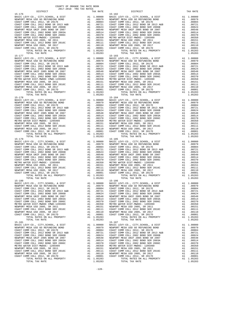$\begin{tabular}{l|c|c|c|c|c} \hline 15-178 & 15-184 & 15-184 \\ \hline BASIC LEVY-CO. , CITY, SCHOOL, & & & & & & & & & & & 15-184 \\ \hline NERWDRT MESA USD GO REFUNDING BOND & & & & & & & 1.00000 & BASTCL \\ \hline COAST COMM COLL 2012 , SR DIST BZ 017E & & & & & & & & 0.0000 & 0.0001 & 0.0002 \\ \hline COAST COMM COLL 2012 BOND SR 2013 A&B & & & & & 0.00014 &$ TOTAL TAX RATE  $1.05283$  TOTAL TAX RATE  $15-186$  15-180 15-186 15-181<br>BASIC LEVY-CO., CITY, SCHOOL, & DIST A1 1.00000

 DISTRICT TAX RATE DISTRICT TAX RATE  $\begin{tabular}{l|ll} 15-176 & 11 & 1.00000 & 15-182 & 1.00000 & 18-162 & 1.00000 & 1.00000 & 1.00000 & 1.00000 & 1.00000 & 1.00000 & 1.00000 & 1.00000 & 1.00000 \\ \hline \end{tabular} \begin{tabular}{l|ll} 15-182 & 11 & 1.00000 & 11 & 1.00000 & 1.00000 & 1.00000 & 1.00000 & 1.$ NEWPORT MESAUSD GO REFUNDING BOND (10979 A1 00979 NEWPORT MESAUSD GO REFUNDING BOND A1 00979<br>COAST COMM COLL 2012, SR 2017E (2013 A&B (1008) A1 008904 COAST COMM COLL 2012, SR 2017E (2018 POAST COMM COLL<br>COAST COMM COLL 20 1 16 NEWPORT MESA UNIF 2005 BOND SR 2007 A1 .00548 NEWPORT MESA UNIF 2005 BOND SR 2007 A1<br>COAST COMM COLL 2002 BOND SER 2003A A1 .00514 COAST COMM COLL 2002 BOND SER 2003A A1 .00514  $\begin{tabular}{l|c|c|c|c|c} \hline \texttt{COAST COMM COLL 2002 BOND SER 2006C} & \texttt{A1} & .00370 & \texttt{COAST COMM COLL 2002 BOND SER 2006C} & \texttt{A1} & .00370 \\ \hline \texttt{METRO WATER DIST-MHDOC CAMPD-120599} & \texttt{A1} & .00350 & \texttt{METRO NATER DIST-MHDOC CAMPD-120599} & \texttt{A1} & .00350 \\ \hline \texttt{NENPORT MESA USD 2005, SR 2011} & \$  $\begin{tabular}{lcccc} BASIC LEVY-CO., CITY, SCHOOL, & DIST & A1 & 1.00000 & BASIC LEVY-CO., CITY, SCHOOL, & DIST & A1 & 1.00000 \\ NEWOPORT MESA USODE FUNDING DAND & A1 & .00979 & NEWDORT MESA USO OF SEFUNDING BOND & A1 & .00979 & A1 & .00979 & A1 & .00979 & A1 & .00979 & .0087 & .0087 & .0087 & .0087 & .0087 & .0087 & .0087 & .0087 & .0087 & .0087 & .0087 & .00$ 1 16 NEWPORT MESA UNIF 2005 BOND SR 2007 A1 .00548 NEWPORT MESA UNIF 2005 BOND SR 2007 A1<br>COAST COMM COLL 2002 BOND SER 2003A A1 .00514 COAST COMM COLL 2002 BOND SER 2003A A1 .00514  $\begin{tabular}{l|c|c|c|c|c|c} \hline \texttt{COAST COM OCL} & 2012 & 500E & 2010E & 2010E & 2010E & 2010E & 2010E & 2010E & 2010E & 2010E & 2010E & 2010E & 2010E & 2010E & 2010E & 2010E & 2010E & 2010E & 2010E & 2010E & 2010E & 2010E & 2010E & 2010E & 2010E & 2010E & 2010E$ 15-179<br>
BASIC LEVY-CO., CITY, SCHOOL, & DIST<br>
NEWPORT MESA USD GO REFUNDING BOND<br>
COAST COMMUTE ON THE SOLUTION COLLECT AND ALL COAST ONE CONFIDENT ON THE COAST COMMUTE ON THE SOLUTION CONFIDENT<br>
COAST COMMUTE ON THE SOLU BASIC LEVY-CO., CITY,SCHOOL, & DIST A1 1.00000 BASIC LEVY-CO., CITY,SCHOOL, & DIST A1 1.00000 10979 NEWPORT MESA USD GO REFUNDING BOND MENDORT MESA USD GO REFUNDING BOND AL<br>COAST COMM COLL 2012, SR 2017E 2017 (2004) 2012 A1 (2004) COAST COAST COMM COLL 2012 DAGO4 COLL 2012 A1<br>COAST COMM COLL 2012 BOND SR 2013 A&B A COAST COMM COLL 2002 BOND SER 2006B<br>COAST COMM COLL 2002 BOND SER 2006B A1 .00624 COAST COMM COLL 2002 BOND SER 2006B<br>COAST COMM COLL 2002 BOND SER 2003A A1 .00514 COAST COMM COLL 2002 BOND SER 2003A A1 .00514 1 16 NEWPORT MESA UNIF 2005 BOND SR 2007 A1 .00548 NEWPORT MESA UNIF 2005 BOND SR 2007 A1<br>COAST COMM COLL 2002 BOND SER 2003A A1 .00514 COAST COMM COLL 2002 BOND SER 2003A A1 .00514 COAST COMM COLL 2002 BOND SER 2006C A1 .00370 COAST COMM COLL 2002 BOND SER 2006C A1 .00370 METRO WATER DIST-MWDOC- 1205999 A1 .00350 METRO WATER DIST-MWDOC- 1205999 A1 .00350 NEWPORT MESA USD 2005, SR 2011 A1 .00151 NEWPORT MESA USD 2005, SR 2011 A1 .00151 COAST COMM COLL 2012 BOND SER 2016C A1 .00111 COAST COMM COLL 2012 BOND SER 2016C A1 .00111 NEWPORT MESA USD 2005, SR 2017<br>COAST COMM COLL 2012, SR 2017D A1 .00001 COAST COMM COLL 2012, SR 2017D A1 .00001 TOTAL RATES ON ALL PROPERTY AT 1.05283 SOLDI COLL COLL CONTROL RATES ON ALL PROPERTY AN INSIDERTY AND LOSSES TOTAL RATES ON ALL PROPERTY AN INSIDER AT 1.05283 TOTAL RATES ON ALL PROPERTY AN INSIDERTY AND LOSSES BASIC LEVY-CO., CITY,SCHOOL, & DIST A1 1.00000 BASIC LEVY-CO., CITY,SCHOOL, & DIST A1 1.00000 NEWPORT MESA USD GO REFUNDING BOND A1 .00979 NEWPORT MESA USD GO REFUNDING BOND A1 .00979 COAST COMM COLL 2012, SR 2017E A1 .00804 COAST COMM COLL 2012, SR 2017E A1 .00804 COAST COMM COLL 2012 BOND SR 2013 A&B CORST COMM COLL 2012 BOND SR 2017<br>
COAST COMM COLL 2012 BOND SR 2013 A&B A1 .00721 COAST COMM COLL 2012 BOND SR 2014 COAST COMM COLL 2012 BOND SR 2013 A&B COAST COMM COLL 2012 BOND SR COAST COMM COLL 2002 BOND SER 2006B A1 .00624 COAST COMM COLL 2002 BOND SER 2006B A1 .00624 NEWPORT MESA UNIF 2005 BOND SR 2007 A1 .00548 NEWPORT MESA UNIF 2005 BOND SR 2007 A1 .00548 COAST COMM COLL 2002 BOND SER 2003A A1 .00514 COAST COMM COLL 2002 BOND SER 2003A A1 .00514<br>COAST COMM COLL 2002 BOND SER 2006C A1 .00370 COAST COMM COLL 2002 BOND SER 2006C A1 .00370 COAST COMM COLL 2002 BOND SER 2006C A1 .00370 COAST COMM COLL 2002 BOND SER 2006C A1 .00370 METRO WATER DIST-MWDOC CMWD-1205999 A1 .00350 METRO WATER DIST-MWDOC- 1205999 .00350<br>NEWPORT MESA USD 2005, SR 2011 A1 .00151 NEWPORT MESA USD 2005, SR 20111 A1 .00151<br>COAST COMM C 00110 NEWPORT MESAUSD 2005, SR 2017<br>COAST COMM COLL 2012, SR 2011D 100001 COAST COMM COLL 2012, SR 2017D 21<br>A1 1.05283 TOTAL RATES ON ALL PROPERTY 1.05283 TOTAL RATES ON ALL PROPERTY 21 1.05283 TOTAL TAX RATE 1.05283 TOTAL TAX RATE 1.05283 15-181<br>
BASIC LEVY-CO., CITY, SCHOOL, & DIST<br>
NEWPORT MESA USD COAST COMM COLL 2012 SOND SR 2017E<br>
NEWPORT MESA USD COAST COMM COLL 2012 SOND SR 2017E<br>
COAST COMM COLL 2012 BOND SR 2013 A&B<br>
COAST COMM COLL 2012 BOND SR 20 100979 NEWPORT MESA USD GO REFUNDING BOND MENDORT MESA USD GO REFUNDING BOND AL<br>COAST COMM COLL 2012 SR 2017E 2017 AL 100804 COAST COMM COLL 2012, SR 2017E 2017 BOND COLL 2012, SR 2017E COAS<br>COAST COMM COLL 2012 BOND SR 20 COAST COMM COLL 2002 BOND SER 2006B A1 .00624 COAST COMM COLL 2002 BOND SER 2006B A1 .00624 NEWPORT MESA UNIF 2005 BOND SR 2007 A1 .00548 NEWPORT MESA UNIF 2005 BOND SR 2007 A1 .00548 COAST COMM COLL 2002 BOND SER 2003A A1 .00514 COAST COMM COLL 2002 BOND SER 2003A A1 .00514 COAST COMM COLL 2002 BOND SER 2006C A1 .00370 COAST COMM COLL 2002 BOND SER 2006C A1 .00370 METRO WATER DIST-MWDOC- 1205999 A1 .00350 METRO WATER DIST-MWDOC- 1205999 A1 .00350 NEWPORT MESA USD 2005, SR 2011 A1 .00151 NEWPORT MESA USD 2005, SR 2011 A1 .00151 NEWPORT MESA USD 2005, SR 2011 (00151 NEWPORT MESA USD 2005, SR 2011 (00151 COAST COMM COLL 2012 BOND SER 2016<br>COAST COMM COLL 2012 BOND SER 2016C A1 .00111 COAST COMM COLL 2016 SER 2016C AN INSWEDENT MESA USD DEN EXPLOR<br>C NEWPORT MESA USD 2005, SR 2017 A1 .00110 NEWPORT MESA USD 2005, SR 2017 A1 .00110 COAST COMM COLL 2012, SR 2017D A1 .00001 COAST COMM COLL 2012, SR 2017D A1 .00001 TOTAL RATES ON ALL PROPERTY A1 1.05283 TOTAL RATES ON ALL PROPERTY A1 1.05283 TOTAL TAX RATE 1.05283 TOTAL TAX RATE 1.05283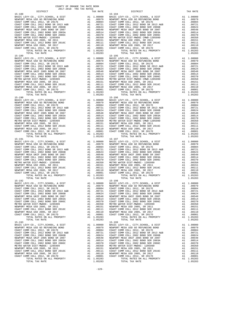15-190 15-196 TOTAL TAX RATE  $1.05283$  TOTAL TAX RATE  $15-192$  15-192 15-198 15-193<br>
BASIC LEVY-CO., CITY, SCHOOL, & DIST A1 1.00000 BASIC LEVY-CO., CITY, SCHOOL, & DIST

 COUNTY OF ORANGE TAX RATE BOOK 2017-2018 TRA TAX RATES DISTRICT TAX RATE DISTRICT TAX RATE  $\begin{tabular}{ c| c| c|c|c|c|c|c} \hline 1.81 & 1.00000 & 1.5-194 & 1.00000 & 1.5-194 & 1.00000 & 1.5-194 & 1.00000 & 1.5-194 & 1.00000 & 1.00000 & 1.00000 & 1.00000 & 1.00000 & 1.00000 & 1.00000 & 1.00000 & 1.00000 & 1.00000 & 1.00000 & 1.00000 & 1.00000 &$  $\begin{tabular}{lcccc} BASIC LEVY-CO., CITY, SCHOOL, & DIST & A1 & 1.00000 & BASIC LEVY-CO., CITY, SCHOOL, & DIST & A1 & 1.00000 \\ NEWOPORT MESA USODE FUNDING DAND & A1 & .00979 & NEWDORT MESA USO OF SEFUNDING BOND & A1 & .00979 & A1 & .00979 & A1 & .00979 & A1 & .00979 & .0087 & .0087 & .0087 & .0087 & .0087 & .0087 & .0087 & .0087 & .0087 & .0087 & .0087 & .00$ 1 16 NEWPORT MESA UNIF 2005 BOND SR 2007 A1 .00548 NEWPORT MESA UNIF 2005 BOND SR 2007 A1<br>COAST COMM COLL 2002 BOND SER 2003A A1 .00514 COAST COMM COLL 2002 BOND SER 2003A A1 .00514 COAST COMM COLL 2002 BOND SER 2006C A1 .00370 COAST COMM COLL 2002 BOND SER 2006C A1 .00370 METRO WATER DIST-MWDOC- 1205999 A1 .00350 METRO WATER DIST-MWDOC CMWD-1205999 A1 .00350 NEWPORT MESAUSD 2005, SR 2011 and 00151 NEWPORT MESAUSD 2005, SR 2011 and 20151 COAST COMM COLL 2012, SR 2016<br>
NEWPORT MESAUSD 2005, SR 2012 BOND SER 2016C and 00110 A1 00110 COAST COMM COLL 2012, SR 2017<br>
NEWPORT MESAUSD  $\begin{tabular}{lcccc} BASIC LEVY-CO., CITY, SCHOOL, & DIST & A1 & 1.00000 & BASIC LEVY-CO., CITY, SCHOOL, & DIST & A1 & 1.00000 \\ NEWOPORT MESA USODE FUNDING DAND & A1 & .00979 & NEWDORT MESA USO OF SEFUNDING BOND & A1 & .00979 & A1 & .00979 & A1 & .00979 & A1 & .00979 & .0087 & .0087 & .0087 & .0087 & .0087 & .0087 & .0087 & .0087 & .0087 & .0087 & .0087 & .00$ 1 16 NEWPORT MESA UNIF 2005 BOND SR 2007 A1 .00548 NEWPORT MESA UNIF 2005 BOND SR 2007 A1<br>COAST COMM COLL 2002 BOND SER 2003A A1 .00514 COAST COMM COLL 2002 BOND SER 2003A A1 .00514  $\begin{tabular}{l|c|c|c|c|c|c} \multicolumn{4}{c}{CCAST COMM COLL 2012 BOND SER} & $\text{2016C}$ & $\text{A1}$ & $0.0370$ & $\text{COAST COMM COLL 2012 BOMD SER}$ & $\text{A1}$ & $0.0370$ \\ \multicolumn{4}{c}{METRO WATER DIST-WMDC CUMD-L20125999}$ & $\text{A1}$ & $0.0370$ & $\text{METRO WATE DIST-WMDC C MWD-1205999}$ & $\text{A1}$ & $0.0370$ \\ \multicolumn{4}{c}{COSAT$ 15-191<br>
BASIC LEVY-CO., CITY, SCHOOL, & DIST<br>
NEWPORT MESA USD GO REFUNDING BOND<br>
COAST COMM COLL 2012 SR 2017E<br>
COAST COMM COLL 2012 SR 2017E BASIC LEVY-CO., CITY,SCHOOL, & DIST A1 1.00000 BASIC LEVY-CO., CITY,SCHOOL, & DIST A1 1.00000 10979 NEWPORT MESA USD GO REFUNDING BOND MENDORT MESA USD GO REFUNDING BOND AL<br>COAST COMM COLL 2012, SR 2017E 2017 (2004) 2011 A1 .00894 COAST COAST COMM COLL 2012 DAG04 COAST COMM COLL<br>COAST COMM COLL 2012 BOND SR 2013 A& COAST COMM COLL 2002 BOND SER 2006B<br>COAST COMM COLL 2002 BOND SER 2006B A1 .00624 COAST COMM COLL 2002 BOND SER 2006B<br>COAST COMM COLL 2002 BOND SER 2003A A1 .00514 COAST COMM COLL 2002 BOND SER 2003A A1 .00514 1 16 NEWPORT MESA UNIF 2005 BOND SR 2007 A1 .00548 NEWPORT MESA UNIF 2005 BOND SR 2007 A1<br>COAST COMM COLL 2002 BOND SER 2003A A1 .00514 COAST COMM COLL 2002 BOND SER 2003A A1 .00514 COAST COMM COLL 2002 BOND SER 2006C A1 .00370 COAST COMM COLL 2002 BOND SER 2006C A1 .00370 METRO WATER DIST-MWDOC- 1205999 A1 (00350 METRO WATER DIST-MWDOC- 1205999 A1 (00350 A1 (00350 METRO WATER DIST<br>NEWPORT MESA USD 2005, SR 20151 A1 (00151 MEWPORT MESA USD 2005, SR 2011 A1 (00151 A1 (00151 A1 (00151<br>COAST CO NEWPORT MESA USD 2005, SR 2017<br>COAST COMM COLL 2012, SR 2017D A1 .00001 COAST COMM COLL 2012, SR 2017D A1 .00001 TOTAL RATES ON ALL PROPERTY AT 1.05283 SOLDI COLL COLL CONTROL RATES ON ALL PROPERTY AN INSIDERTY AND LOSSES TOTAL RATES ON ALL PROPERTY AN INSIDER AT 1.05283 TOTAL RATES ON ALL PROPERTY AN INSIDERTY AND LOSSES BASIC LEVY-CO., CITY,SCHOOL, & DIST A1 1.00000 BASIC LEVY-CO., CITY,SCHOOL, & DIST A1 1.00000 NEWPORT MESA USD GO REFUNDING BOND A1 .00979 NEWPORT MESA USD GO REFUNDING BOND A1 .00979 COAST COMM COLL 2012, SR 2017E A1 .00804 COAST COMM COLL 2012, SR 2017E A1 .00804 COAST COMM COLL 2012 BOND SR 2013 A&B CORST COMM COLL 2012 BOND SR 2017<br>
COAST COMM COLL 2012 BOND SR 2013 A&B A1 .00721 COAST COMM COLL 2012 BOND SR 2014 COAST COMM COLL 2012 BOND SR 2013 A&B COAST COMM COLL 2012 BOND SR COAST COMM COLL 2002 BOND SER 2006B A1 .00624 COAST COMM COLL 2002 BOND SER 2006B A1 .00624 NEWPORT MESA UNIF 2005 BOND SR 2007 A1 .00548 NEWPORT MESA UNIF 2005 BOND SR 2007 A1 .00548 COAST COMM COLL 2002 BOND SER 2003A A1 .00514 COAST COMM COLL 2002 BOND SER 2003A A1 .00514<br>COAST COMM COLL 2002 BOND SER 2006C A1 .00370 COAST COMM COLL 2002 BOND SER 2006C A1 .00370 A1 .00370 COAST COMM COLL 2002 BOND SER 2006C A1 .00370 COAST COMM COLL 2002 BOND SER 2006C A1 .00370<br>A1 .00151 NEWPORT MESA USD 2005, SR 2011 A1 .00151 NEWPORT MESA USD 2005, SR 2011<br>A1 .00111 COAST COMM COLL 2012 BOND SE METRO WATER DIST-MWDOC- 1205999 A1 (00350 METRO WATER DIST-MWDOC- 1205999 A1 (00350 A1 (00350 METRO WATER DIST<br>NEWPORT MESA USD 2005, SR 20161 A1 (00151 NEWPORT MESA USD 2005, SR 2011 A1 (00151 A1 (00151 A1 (00151<br>COAST CO 00110 NEWPORT MESAUSD 2005, SR 2017 (10110 A1 .00110 NEWPORT MESAUSD 2005, SR 2017 (10110<br>COAST COMM COLL 2012, SR 2017 (20001 COAST COMM COLL 2012, SR 2017D A1 .00001<br>A1 1.05283 TOTAL ARTES ON ALL PROPERTY (105283 TOTAL R TOTAL TAX RATE 1.05283 TOTAL TAX RATE 1.05283  $\begin{array}{cccccccccccccccc} \texttt{BASC LEVY-CO.}, & \texttt{CITY, SCHOOL}, & \texttt{CITY, SCHOOL}, & \texttt{CITY, SCHOOL}, & \texttt{CITY, SCHOOL}, & \texttt{DIST} & \texttt{A1} & 1.00000 & \texttt{BASIC LEVY-CO.}, & \texttt{CITY, SCHOOL}, & \texttt{EIST} & \texttt{A1} & 1.00000 & \texttt{DOS1} & \texttt{DOS2} & \texttt{DOS3} & \texttt{DOS4} & \texttt{DOS5} & \texttt{DOS6} & \texttt{DOS7} & \texttt{DOS8} & \$ 100979 NEWPORT MESA USD GO REFUNDING BOND MENDORT MESA USD GO REFUNDING BOND AL<br>COAST COMM COLL 2012, SR 2017E 20081 (2008) 11 00804 COAST COMM COLL 2012 (SR 2017E 2010 AN COLL 2012 600804<br>COAST COMM COLL 2012 BOND SR 2013 COAST COMM COLL 2002 BOND SER 2006B A1 .00624 COAST COMM COLL 2002 BOND SER 2006B A1 .00624 NEWPORT MESA UNIF 2005 BOND SR 2007 A1 .00548 NEWPORT MESA UNIF 2005 BOND SR 2007 A1 .00548 00AST COMM COLL 2002 BOND SER 2003A A1 .00514 COAST COMM COLL 2002 BOND SER 2003A A1 .00514<br>COAST COMM COLL 2002 BOND SER 2006C A1 .00370 COAST COMM COLL 2002 BOND SER 2006C A1 .00370 METRO WATER DIST-MWDOC- 1205999 A1 .00350 METRO WATER DIST-MWDOC- 1205999 A1 .00350 NEWPORT MESA USD 2005, SR 2011 A1 .00151 NEWPORT MESA USD 2005, SR 2011 A1 .00151 NEWPORT MESA USD 2005, SR 2011 (00151 NEWPORT MESA USD 2005, SR 2011 (00151 COAST COMM COLL 2012 BOND SER 2016<br>COAST COMM COLL 2012 BOND SER 2016C A1 .00111 COAST COMM COLL 2016 SER 2016C AN INSWEDENT MESA USD DEN EXPLOR<br>C NEWPORT MESA USD 2005, SR 2017 A1 .00110 NEWPORT MESA USD 2005, SR 2017 A1 .00110 COAST COMM COLL 2012, SR 2017D A1 .00001 COAST COMM COLL 2012, SR 2017D A1 .00001 TOTAL RATES ON ALL PROPERTY A1 1.05283 TOTAL RATES ON ALL PROPERTY A1 1.05283 TOTAL TAX RATE 1.05283 TOTAL TAX RATE 1.05283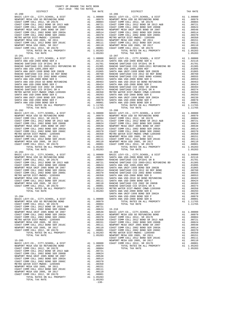| NEWPORI MESA USD 2009, SR 2011        | AT. | .UUIDI     |
|---------------------------------------|-----|------------|
| COAST COMM COLL 2012 BOND SER 2016C   | A1  | .00111     |
| NEWPORT MESA USD 2005, SR 2017        | A1  | .00110     |
| COAST COMM COLL 2012, SR 2017D        | A1  | .00001     |
| TOTAL RATES ON ALL PROPERTY           |     | A1 1.05283 |
| TOTAL TAX RATE                        |     | 1.05283    |
|                                       |     |            |
| $15 - 205$                            |     |            |
| BASIC LEVY-CO., CITY, SCHOOL, & DIST  |     | A1 1.00000 |
| NEWPORT MESA USD GO REFUNDING BOND    | A1  | .00979     |
| COAST COMM COLL 2012, SR 2017E        | A1  | .00804     |
| COAST COMM COLL 2012 BOND SR 2013 A&B | A1  | .00721     |
| COAST COMM COLL 2002 BOND SER 2006B   | A1  | .00624     |
| NEWPORT MESA UNIF 2005 BOND SR 2007   | A1  | .00548     |
| COAST COMM COLL 2002 BOND SER 2003A   | A1  | .00514     |
| COAST COMM COLL 2002 BOND SER 2006C   | A1  | .00370     |
| METRO WATER DIST-MWDOC- 1205999       | A1  | .00350     |
| NEWPORT MESA USD 2005, SR 2011        | A1  | .00151     |
| COAST COMM COLL 2012 BOND SER 2016C   | A1  | .00111     |
| NEWPORT MESA USD 2005, SR 2017        | A1  | .00110     |
| COAST COMM COLL 2012. SR 2017D        | A1  | .00001     |
| TOTAL RATES ON ALL PROPERTY           | A1  | 1.05283    |
| TOTAL TAX RATE                        |     | 1.05283    |
|                                       |     |            |

-130-

| DISTRICT   | TAX RATE | DISTRICT   | TAX RATE |
|------------|----------|------------|----------|
|            |          |            |          |
|            |          |            |          |
|            |          |            |          |
|            |          |            |          |
|            |          |            |          |
|            |          |            |          |
|            |          |            |          |
|            |          |            |          |
|            |          |            |          |
|            |          |            |          |
|            |          |            |          |
|            |          |            |          |
|            |          |            |          |
|            |          |            |          |
|            |          |            |          |
|            |          |            |          |
|            |          |            |          |
|            |          |            |          |
|            |          |            |          |
|            |          |            |          |
|            |          |            |          |
|            |          |            |          |
|            |          |            |          |
|            |          |            |          |
|            |          |            |          |
|            |          |            |          |
|            |          |            |          |
|            |          |            |          |
|            |          |            |          |
|            |          |            |          |
|            |          |            |          |
|            |          |            |          |
|            |          |            |          |
|            |          |            |          |
|            |          |            |          |
|            |          |            |          |
|            |          |            |          |
|            |          |            |          |
|            |          |            |          |
|            |          |            |          |
|            |          |            |          |
|            |          |            |          |
|            |          |            |          |
|            |          |            |          |
|            |          |            |          |
|            |          |            |          |
|            |          |            |          |
|            |          |            |          |
|            |          |            |          |
|            |          |            |          |
|            |          |            |          |
|            |          |            |          |
| $15 - 203$ |          | $15 - 209$ |          |
|            |          |            |          |
|            |          |            |          |
|            |          |            |          |
|            |          |            |          |
|            |          |            |          |
|            |          |            |          |
|            |          |            |          |
|            |          |            |          |
|            |          |            |          |
|            |          |            |          |
|            |          |            |          |
|            |          |            |          |
|            |          |            |          |
|            |          |            |          |
|            |          |            |          |
|            |          |            |          |
|            |          |            |          |
|            |          |            |          |
|            |          |            |          |
|            |          |            |          |
|            |          |            |          |
|            |          |            |          |
|            |          |            |          |
|            |          |            |          |
|            |          |            |          |
|            |          |            |          |
|            |          |            |          |
|            |          |            |          |
|            |          |            |          |
|            |          |            |          |
|            |          |            |          |
|            |          |            |          |
|            |          |            |          |
|            |          |            |          |
|            |          |            |          |
|            |          |            |          |
|            |          |            |          |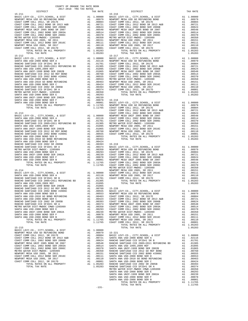COUNTY OF ORANGE TAX RATE BOOK 2017-2018 TRA TAX RATES

| 2017-2018 TRA TAX RATES<br>DISTRICT                                                                                                                                                                                                                                                                                                                                                     | TAX RATE | DISTRICT   | TAX RATE |
|-----------------------------------------------------------------------------------------------------------------------------------------------------------------------------------------------------------------------------------------------------------------------------------------------------------------------------------------------------------------------------------------|----------|------------|----------|
| $15 - 211$<br>$\begin{tabular}{l c c c} \hline 15-211 & 15-216 \\ \hline \texttt{NENPORT} \mbox{ MESA} \mbox{ USD} \mbox{ CCEY} \mbox{ MSEW} \mbox{ DSEY} \mbox{ MSEW} \mbox{ DSEY} \mbox{ MSEW} \mbox{ DSEY} \mbox{ MSEW} \mbox{ DSEY} \mbox{ MSEW} \mbox{ DSEY} \mbox{ MSEW} \mbox{ DSEY} \mbox{ MSEW} \mbox{ DSEY} \mbox{ MSEW} \mbox{ DSEY} \mbox{ MSEW} \mbox{ DSEY} \mbox{ MSEW}$ |          | $15 - 216$ |          |
|                                                                                                                                                                                                                                                                                                                                                                                         |          |            |          |
|                                                                                                                                                                                                                                                                                                                                                                                         |          |            |          |
|                                                                                                                                                                                                                                                                                                                                                                                         |          |            |          |
|                                                                                                                                                                                                                                                                                                                                                                                         |          |            |          |
|                                                                                                                                                                                                                                                                                                                                                                                         |          |            |          |
|                                                                                                                                                                                                                                                                                                                                                                                         |          |            |          |
|                                                                                                                                                                                                                                                                                                                                                                                         |          |            |          |
|                                                                                                                                                                                                                                                                                                                                                                                         |          |            |          |
|                                                                                                                                                                                                                                                                                                                                                                                         |          |            |          |
|                                                                                                                                                                                                                                                                                                                                                                                         |          |            |          |
|                                                                                                                                                                                                                                                                                                                                                                                         |          |            |          |
|                                                                                                                                                                                                                                                                                                                                                                                         |          | $15 - 217$ |          |
|                                                                                                                                                                                                                                                                                                                                                                                         |          |            |          |
|                                                                                                                                                                                                                                                                                                                                                                                         |          |            |          |
|                                                                                                                                                                                                                                                                                                                                                                                         |          |            |          |
|                                                                                                                                                                                                                                                                                                                                                                                         |          |            |          |
|                                                                                                                                                                                                                                                                                                                                                                                         |          |            |          |
|                                                                                                                                                                                                                                                                                                                                                                                         |          |            |          |
|                                                                                                                                                                                                                                                                                                                                                                                         |          |            |          |
|                                                                                                                                                                                                                                                                                                                                                                                         |          |            |          |
|                                                                                                                                                                                                                                                                                                                                                                                         |          |            |          |
|                                                                                                                                                                                                                                                                                                                                                                                         |          |            |          |
|                                                                                                                                                                                                                                                                                                                                                                                         |          |            |          |
|                                                                                                                                                                                                                                                                                                                                                                                         |          |            |          |
|                                                                                                                                                                                                                                                                                                                                                                                         |          |            |          |
|                                                                                                                                                                                                                                                                                                                                                                                         |          |            |          |
|                                                                                                                                                                                                                                                                                                                                                                                         |          |            |          |
|                                                                                                                                                                                                                                                                                                                                                                                         |          |            |          |
|                                                                                                                                                                                                                                                                                                                                                                                         |          |            |          |
|                                                                                                                                                                                                                                                                                                                                                                                         |          |            |          |
|                                                                                                                                                                                                                                                                                                                                                                                         |          |            |          |
|                                                                                                                                                                                                                                                                                                                                                                                         |          |            |          |
|                                                                                                                                                                                                                                                                                                                                                                                         |          |            |          |
|                                                                                                                                                                                                                                                                                                                                                                                         |          |            |          |
|                                                                                                                                                                                                                                                                                                                                                                                         |          |            |          |
|                                                                                                                                                                                                                                                                                                                                                                                         |          |            |          |
|                                                                                                                                                                                                                                                                                                                                                                                         |          |            |          |
|                                                                                                                                                                                                                                                                                                                                                                                         |          |            |          |
|                                                                                                                                                                                                                                                                                                                                                                                         |          |            |          |
|                                                                                                                                                                                                                                                                                                                                                                                         |          |            |          |
|                                                                                                                                                                                                                                                                                                                                                                                         |          |            |          |
|                                                                                                                                                                                                                                                                                                                                                                                         |          |            |          |
|                                                                                                                                                                                                                                                                                                                                                                                         |          |            |          |
|                                                                                                                                                                                                                                                                                                                                                                                         |          |            |          |
|                                                                                                                                                                                                                                                                                                                                                                                         |          |            |          |
|                                                                                                                                                                                                                                                                                                                                                                                         |          |            |          |
|                                                                                                                                                                                                                                                                                                                                                                                         |          |            |          |
|                                                                                                                                                                                                                                                                                                                                                                                         |          |            |          |
|                                                                                                                                                                                                                                                                                                                                                                                         |          |            |          |
|                                                                                                                                                                                                                                                                                                                                                                                         |          |            |          |
|                                                                                                                                                                                                                                                                                                                                                                                         |          |            |          |
|                                                                                                                                                                                                                                                                                                                                                                                         |          |            |          |
|                                                                                                                                                                                                                                                                                                                                                                                         |          |            |          |
|                                                                                                                                                                                                                                                                                                                                                                                         |          |            |          |
|                                                                                                                                                                                                                                                                                                                                                                                         |          |            |          |
|                                                                                                                                                                                                                                                                                                                                                                                         |          |            |          |
|                                                                                                                                                                                                                                                                                                                                                                                         |          |            |          |
|                                                                                                                                                                                                                                                                                                                                                                                         |          |            |          |
|                                                                                                                                                                                                                                                                                                                                                                                         |          |            |          |
|                                                                                                                                                                                                                                                                                                                                                                                         |          |            |          |
|                                                                                                                                                                                                                                                                                                                                                                                         |          |            |          |
|                                                                                                                                                                                                                                                                                                                                                                                         |          |            |          |
|                                                                                                                                                                                                                                                                                                                                                                                         |          |            |          |
|                                                                                                                                                                                                                                                                                                                                                                                         |          |            |          |
|                                                                                                                                                                                                                                                                                                                                                                                         |          |            |          |
|                                                                                                                                                                                                                                                                                                                                                                                         |          |            |          |
|                                                                                                                                                                                                                                                                                                                                                                                         |          |            |          |
|                                                                                                                                                                                                                                                                                                                                                                                         |          |            |          |
|                                                                                                                                                                                                                                                                                                                                                                                         |          |            |          |
|                                                                                                                                                                                                                                                                                                                                                                                         |          |            |          |
|                                                                                                                                                                                                                                                                                                                                                                                         |          |            |          |
|                                                                                                                                                                                                                                                                                                                                                                                         |          |            |          |
|                                                                                                                                                                                                                                                                                                                                                                                         |          |            |          |
|                                                                                                                                                                                                                                                                                                                                                                                         |          |            |          |
|                                                                                                                                                                                                                                                                                                                                                                                         |          |            |          |
|                                                                                                                                                                                                                                                                                                                                                                                         |          |            |          |
|                                                                                                                                                                                                                                                                                                                                                                                         |          |            |          |
|                                                                                                                                                                                                                                                                                                                                                                                         |          |            |          |
|                                                                                                                                                                                                                                                                                                                                                                                         |          |            |          |

TOTAL TAX RATE 1.11765 -131-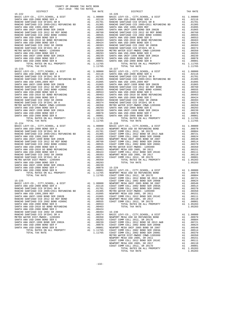| COUNTY OF ORANGE TAX RATE BOOK<br>$2017-2018 \quad \text{TRA RATES}$ DISTRICT $\hspace{2.5cm}$ |          |                        |          |
|------------------------------------------------------------------------------------------------|----------|------------------------|----------|
| $15 - 222$                                                                                     | TAX RATE | DISTRICT<br>$15 - 226$ | TAX RATE |
|                                                                                                |          |                        |          |
|                                                                                                |          |                        |          |
|                                                                                                |          |                        |          |
|                                                                                                |          |                        |          |
|                                                                                                |          |                        |          |
|                                                                                                |          |                        |          |
|                                                                                                |          |                        |          |
|                                                                                                |          |                        |          |
|                                                                                                |          |                        |          |
|                                                                                                |          |                        |          |
|                                                                                                |          |                        |          |
|                                                                                                |          |                        |          |
|                                                                                                |          |                        |          |
|                                                                                                |          |                        |          |
|                                                                                                |          |                        |          |
|                                                                                                |          |                        |          |
|                                                                                                |          |                        |          |
|                                                                                                |          |                        |          |
|                                                                                                |          |                        |          |
|                                                                                                |          |                        |          |
|                                                                                                |          |                        |          |
|                                                                                                |          |                        |          |
|                                                                                                |          |                        |          |
|                                                                                                |          |                        |          |
|                                                                                                |          |                        |          |
|                                                                                                |          |                        |          |
|                                                                                                |          |                        |          |
|                                                                                                |          |                        |          |
|                                                                                                |          |                        |          |
|                                                                                                |          |                        |          |
|                                                                                                |          |                        |          |
|                                                                                                |          |                        |          |
|                                                                                                |          |                        |          |
|                                                                                                |          |                        |          |
|                                                                                                |          |                        |          |
|                                                                                                |          |                        |          |
|                                                                                                |          |                        |          |
|                                                                                                |          |                        |          |
| $15 - 224$                                                                                     |          | $15 - 228$             |          |
|                                                                                                |          |                        |          |
|                                                                                                |          |                        |          |
|                                                                                                |          |                        |          |
|                                                                                                |          |                        |          |
|                                                                                                |          |                        |          |
|                                                                                                |          |                        |          |
|                                                                                                |          |                        |          |
|                                                                                                |          |                        |          |
|                                                                                                |          |                        |          |
|                                                                                                |          |                        |          |
|                                                                                                |          |                        |          |
|                                                                                                |          |                        |          |
|                                                                                                |          |                        |          |
|                                                                                                |          |                        |          |
|                                                                                                |          |                        |          |
|                                                                                                |          |                        |          |
|                                                                                                |          |                        |          |
|                                                                                                |          |                        |          |
|                                                                                                |          |                        |          |
|                                                                                                |          |                        |          |
|                                                                                                |          |                        |          |
|                                                                                                |          |                        |          |
|                                                                                                |          |                        |          |
|                                                                                                |          |                        |          |
|                                                                                                |          |                        |          |
|                                                                                                |          |                        |          |
|                                                                                                |          |                        |          |
|                                                                                                |          |                        |          |
|                                                                                                |          |                        |          |
|                                                                                                |          |                        |          |
|                                                                                                |          |                        |          |
|                                                                                                |          |                        |          |
|                                                                                                |          |                        |          |
|                                                                                                |          |                        |          |
|                                                                                                |          |                        |          |
|                                                                                                |          |                        |          |
|                                                                                                |          |                        |          |
|                                                                                                |          |                        |          |
|                                                                                                |          |                        |          |

| 15-222 |  | $15 - 226$ |  |
|--------|--|------------|--|
|        |  |            |  |
|        |  |            |  |
|        |  |            |  |
|        |  |            |  |
|        |  |            |  |
|        |  |            |  |
|        |  |            |  |
|        |  |            |  |
|        |  |            |  |
|        |  |            |  |
|        |  |            |  |
|        |  |            |  |
|        |  |            |  |
|        |  |            |  |
|        |  |            |  |
|        |  |            |  |
|        |  |            |  |
|        |  |            |  |
|        |  |            |  |
|        |  |            |  |
|        |  |            |  |
|        |  |            |  |
|        |  |            |  |
|        |  |            |  |
|        |  |            |  |
|        |  |            |  |
|        |  |            |  |
|        |  |            |  |
|        |  |            |  |
|        |  |            |  |
|        |  |            |  |
|        |  |            |  |
|        |  |            |  |
|        |  |            |  |
|        |  |            |  |
|        |  |            |  |
|        |  |            |  |
|        |  |            |  |
|        |  |            |  |
|        |  |            |  |
|        |  |            |  |
|        |  |            |  |
|        |  |            |  |
|        |  |            |  |
|        |  |            |  |
|        |  |            |  |
|        |  |            |  |
|        |  |            |  |
|        |  |            |  |
|        |  |            |  |
|        |  |            |  |
|        |  |            |  |
|        |  |            |  |
|        |  |            |  |
|        |  |            |  |
|        |  |            |  |
|        |  |            |  |
|        |  |            |  |
|        |  |            |  |
|        |  |            |  |
|        |  |            |  |
|        |  |            |  |
|        |  |            |  |
|        |  |            |  |
|        |  |            |  |
|        |  |            |  |
|        |  |            |  |
|        |  |            |  |
|        |  |            |  |
|        |  |            |  |
|        |  |            |  |
|        |  |            |  |
|        |  |            |  |
|        |  |            |  |
|        |  |            |  |
|        |  |            |  |
|        |  |            |  |
|        |  |            |  |
|        |  |            |  |
|        |  |            |  |
|        |  |            |  |
|        |  |            |  |
|        |  |            |  |
|        |  |            |  |
|        |  |            |  |
|        |  |            |  |
|        |  |            |  |
|        |  |            |  |
|        |  |            |  |
|        |  |            |  |
|        |  |            |  |
|        |  |            |  |
|        |  |            |  |
|        |  |            |  |
|        |  |            |  |
|        |  |            |  |
|        |  |            |  |
|        |  |            |  |
|        |  |            |  |
|        |  |            |  |
|        |  |            |  |
|        |  |            |  |
|        |  |            |  |
|        |  |            |  |
|        |  |            |  |
|        |  |            |  |
|        |  |            |  |
|        |  |            |  |
|        |  |            |  |
|        |  |            |  |
|        |  |            |  |
|        |  |            |  |
|        |  |            |  |
|        |  |            |  |
|        |  |            |  |
|        |  |            |  |
|        |  |            |  |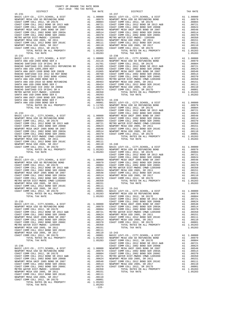NEWPORT MESA USD 2005, SR 2017 A1 .00110 COAST COMM COLL 2012, SR 2017D A1 .00001 TOTAL RATES ON ALL PROPERTY A1 1.05283 TOTAL TAX RATE 1.05283 -133-

| DISTRICT                                                                                                                                                                                                                        | TAX RATE | DISTRICT | TAX RATE |
|---------------------------------------------------------------------------------------------------------------------------------------------------------------------------------------------------------------------------------|----------|----------|----------|
|                                                                                                                                                                                                                                 |          |          |          |
|                                                                                                                                                                                                                                 |          |          |          |
|                                                                                                                                                                                                                                 |          |          |          |
|                                                                                                                                                                                                                                 |          |          |          |
|                                                                                                                                                                                                                                 |          |          |          |
|                                                                                                                                                                                                                                 |          |          |          |
|                                                                                                                                                                                                                                 |          |          |          |
|                                                                                                                                                                                                                                 |          |          |          |
|                                                                                                                                                                                                                                 |          |          |          |
|                                                                                                                                                                                                                                 |          |          |          |
|                                                                                                                                                                                                                                 |          |          |          |
|                                                                                                                                                                                                                                 |          |          |          |
|                                                                                                                                                                                                                                 |          |          |          |
|                                                                                                                                                                                                                                 |          |          |          |
|                                                                                                                                                                                                                                 |          |          |          |
|                                                                                                                                                                                                                                 |          |          |          |
|                                                                                                                                                                                                                                 |          |          |          |
|                                                                                                                                                                                                                                 |          |          |          |
|                                                                                                                                                                                                                                 |          |          |          |
|                                                                                                                                                                                                                                 |          |          |          |
|                                                                                                                                                                                                                                 |          |          |          |
|                                                                                                                                                                                                                                 |          |          |          |
|                                                                                                                                                                                                                                 |          |          |          |
|                                                                                                                                                                                                                                 |          |          |          |
|                                                                                                                                                                                                                                 |          |          |          |
|                                                                                                                                                                                                                                 |          |          |          |
|                                                                                                                                                                                                                                 |          |          |          |
|                                                                                                                                                                                                                                 |          |          |          |
|                                                                                                                                                                                                                                 |          |          |          |
|                                                                                                                                                                                                                                 |          |          |          |
|                                                                                                                                                                                                                                 |          |          |          |
|                                                                                                                                                                                                                                 |          |          |          |
|                                                                                                                                                                                                                                 |          |          |          |
|                                                                                                                                                                                                                                 |          |          |          |
|                                                                                                                                                                                                                                 |          |          |          |
|                                                                                                                                                                                                                                 |          |          |          |
|                                                                                                                                                                                                                                 |          |          |          |
|                                                                                                                                                                                                                                 |          |          |          |
|                                                                                                                                                                                                                                 |          |          |          |
|                                                                                                                                                                                                                                 |          |          |          |
|                                                                                                                                                                                                                                 |          |          |          |
|                                                                                                                                                                                                                                 |          |          |          |
|                                                                                                                                                                                                                                 |          |          |          |
|                                                                                                                                                                                                                                 |          |          |          |
|                                                                                                                                                                                                                                 |          |          |          |
|                                                                                                                                                                                                                                 |          |          |          |
|                                                                                                                                                                                                                                 |          |          |          |
|                                                                                                                                                                                                                                 |          |          |          |
|                                                                                                                                                                                                                                 |          |          |          |
|                                                                                                                                                                                                                                 |          |          |          |
|                                                                                                                                                                                                                                 |          |          |          |
|                                                                                                                                                                                                                                 |          |          |          |
|                                                                                                                                                                                                                                 |          |          |          |
|                                                                                                                                                                                                                                 |          |          |          |
|                                                                                                                                                                                                                                 |          |          |          |
|                                                                                                                                                                                                                                 |          |          |          |
|                                                                                                                                                                                                                                 |          |          |          |
|                                                                                                                                                                                                                                 |          |          |          |
| COART COMM (101.2 212 and 101.2 201.2 and 101.1 101110 115-241<br>COART COMM (102.2 212 and 20110 12.3 212 and 20110 12.5 241.2 and 201.2 and 201.2 and 201.2 and 201.2 and 201.2 and 201.2 and 201.2 and 201.2 and 201.2 and 2 |          |          |          |
|                                                                                                                                                                                                                                 |          |          |          |
|                                                                                                                                                                                                                                 |          |          |          |
|                                                                                                                                                                                                                                 |          |          |          |
|                                                                                                                                                                                                                                 |          |          |          |
|                                                                                                                                                                                                                                 |          |          |          |
|                                                                                                                                                                                                                                 |          |          |          |
|                                                                                                                                                                                                                                 |          |          |          |
|                                                                                                                                                                                                                                 |          |          |          |
|                                                                                                                                                                                                                                 |          |          |          |
|                                                                                                                                                                                                                                 |          |          |          |
|                                                                                                                                                                                                                                 |          |          |          |
|                                                                                                                                                                                                                                 |          |          |          |
|                                                                                                                                                                                                                                 |          |          |          |
|                                                                                                                                                                                                                                 |          |          |          |
|                                                                                                                                                                                                                                 |          |          |          |
|                                                                                                                                                                                                                                 |          |          |          |
|                                                                                                                                                                                                                                 |          |          |          |
|                                                                                                                                                                                                                                 |          |          |          |
|                                                                                                                                                                                                                                 |          |          |          |
|                                                                                                                                                                                                                                 |          |          |          |
|                                                                                                                                                                                                                                 |          |          |          |
|                                                                                                                                                                                                                                 |          |          |          |
|                                                                                                                                                                                                                                 |          |          |          |
|                                                                                                                                                                                                                                 |          |          |          |
|                                                                                                                                                                                                                                 |          |          |          |
|                                                                                                                                                                                                                                 |          |          |          |
|                                                                                                                                                                                                                                 |          |          |          |
|                                                                                                                                                                                                                                 |          |          |          |
|                                                                                                                                                                                                                                 |          |          |          |
|                                                                                                                                                                                                                                 |          |          |          |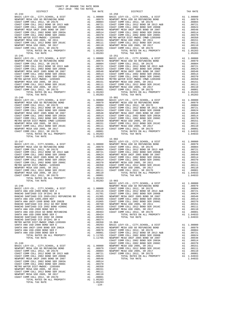$15-245 \begin{array}{l} \rule{1.2cm}{0.2cm} \rule{0.2cm}{0.2cm} \rule{0.2cm}{0.2cm} \rule{0.2cm}{0.2cm} \rule{0.2cm}{0.2cm} \rule{0.2cm}{0.2cm} \rule{0.2cm}{0.2cm} \rule{0.2cm}{0.2cm} \rule{0.2cm}{0.2cm} \rule{0.2cm}{0.2cm} \rule{0.2cm}{0.2cm} \rule{0.2cm}{0.2cm} \rule{0.2cm}{0.2cm} \rule{0.2cm}{0.2cm} \rule{0.2cm}{0.2cm} \rule{0.2cm}{0.2cm$  15-246 15-901 COAST COMM COLL 2012, SR 2017E<br>
COAST COMM COLL 2012 BOND SR 2013 A&B<br>
COAST COMM COLL 2002 BOND SR 2013 A&B<br>
NEWPORT MESA UNIF 2005 BOND SR 2006B<br>
NEWPORT MESA UNIF 2005 BOND SR 2007<br>
A1 .00548<br>
COAST COMM COLL 2002 BOND COAST COMM COLL 2002 BOND SER 2006C A1 .00370 METRO WATER DIST-MWDOC- 1205999 A1 .00350 NEWPORT MESA USD 2005, SR 2011 A1 .00151

COAST COMM COLL 2012 BOND SER 2016C A1 .00111<br>
NEWPORT MESA USD 2005, SR 2017 a1 .00101<br>
COAST COMM COLL 2012, SR 2017D a1 .00001<br>
TOTAL RATES ON ALL PROPERTY A1 1.05283<br>
TOTAL TAX RATE 1.05283

-134-

 COUNTY OF ORANGE TAX RATE BOOK 2017-2018 TRA TAX RATES DISTRICT TAX RATE DISTRICT TAX RATE 15-244 15-250 BASIC LEVY-CO., CITY,SCHOOL, & DIST A1 1.00000 BASIC LEVY-CO., CITY,SCHOOL, & DIST A1 1.00000 NEWPORT MESA USD GO REFUNDING BOND A1 .00979 NEWPORT MESA USD GO REFUNDING BOND A1 .00979 COAST COMM COLL 2012, SR 2017E A1 .00804 COAST COMM COLL 2012, SR 2017E A1 .00804 COAST COMM COLL 2012 BOND SR 2013 A&B A1 .00721 COAST COMM COLL 2012 BOND SR 2013 A&B A1 .00721 COAST COMM COLL 2002 BOND SER 2006B A1 .00624 COAST COMM COLL 2002 BOND SER 2006B A1 .00624 NEWPORT MESA UNIF 2005 BOND SR 2007 A1 .00548 NEWPORT MESA UNIF 2005 BOND SR 2007 A1 .00548 COAST COMM COLL 2002 BOND SER 2003A A1 .00514 COAST COMM COLL 2002 BOND SER 2003A A1 .00514 COAST COMM COLL 2002 BOND SER 2006C A1 .00370 COAST COMM COLL 2002 BOND SER 2006C A1 .00370 METRO WATER DIST-MWDOC- 1205999 A1 .00350 METRO WATER DIST-MWDOC CMWD-1205999 A1 .00350 NEWPORT MESA USD 2005, SR 2011 A1 .00151 NEWPORT MESA USD 2005, SR 2011 A1 .00151 COAST COMM COLL 2012 BOND SER 2016C A1 .00111 COAST COMM COLL 2012 BOND SER 2016C A1 .00111 NEWPORT MESA USD 2005, SR 2017 A1 .00110 NEWPORT MESA USD 2005, SR 2017 A1 .00110 COAST COMM COLL 2012, SR 2017D A1 .00001 COAST COMM COLL 2012, SR 2017D A1 .00001 TOTAL RATES ON ALL PROPERTY A1 1.05283 TOTAL RATES ON ALL PROPERTY A1 1.05283 TOTAL TAX RATE 1.05283 TOTAL TAX RATE 1.05283  $\begin{tabular}{lcccc} BASIC LEVY-CO., CITY, SCHOOL, & DIST & A1 & 1.00000 & BASIC LEVY-CO., CITY, SCHOOL, & DIST & A1 & 1.00000 \\ NEWOPORT MEMSO AUS CO AESFWDING BOND & BOD & A1 & .00979 & NEWDORT MESA USO GDEF COMM COLL 2012, SRA & D.00979 & A1 & .00979 & A1 & .00979 & A1 & .00979 & A1 & .00979 & A1 & .00979 & A1 & .00979 & A1 & .00979 & A1 & .00979 & .0087 & .0$  $\begin{array}{cccccccccccc} \texttt{MENPORT} & \texttt{MESA} & \texttt{USD} & \texttt{GORST} & \texttt{COMD} & \texttt{A1} & 0.00979 & \texttt{NENPORT} & \texttt{MESA} & \texttt{USD} & \texttt{GORST} & \texttt{COMD} & \texttt{A1} & 0.00979 \\ \texttt{NENPORT} & \texttt{MESA} & \texttt{USD} & \texttt{GOR} & \texttt{MSEB} & \texttt{A1} & 0.08044 & \texttt{CORST} & \texttt{COMD} & \texttt{CORST} & \text$  COAST COMM COLL 2002 BOND SER 2003A A1 .00514 COAST COMM COLL 2002 BOND SER 2003A A1 .00514 COAST COMM COLL 2002 BOND SER 2006C A1 .00370 COAST COMM COLL 2002 BOND SER 2006C A1 .00370 METRO WATER DIST-MWDOC- 1205999 A1 .00350 METRO WATER DIST-MWDOC CMWD-1205999 A1 .00350 NEWPORT MESA USD 2005, SR 2011 A1 .00151 NEWPORT MESA USD 2005, SR 2011 A1 .00151 COAST COMM COLL 2012 BOND SER 2016C A1 .00111 COAST COMM COLL 2012 BOND SER 2016C A1 .00111 NEWPORT MESA USD 2005, SR 2017 A1 .00110 NEWPORT MESA USD 2005, SR 2017 A1 .00110 COAST COMM COLL 2012, SR 2017D A1 .00001 COAST COMM COLL 2012, SR 2017D A1 .00001 TOTAL RATES ON ALL PROPERTY A1 1.05283 TOTAL RATES ON ALL PROPERTY A1 1.05283 METRO WATER DIST-MWDOC - 1205999 12005. SR 2011<br>
NEWPORT MESA USD 2005, SR 2011<br>
COAST COMM COLL 2012 BOND SER 2016C<br>
COAST COMM COLL 2012 BOND SER 2016C<br>
NEWPORT MESA USD 2005, SR 2017<br>
NEWPORT MESA USD 2005, SR 2017<br>
NEW  $\begin{tabular}{l|c|c|c|c|c} \multicolumn{4}{c}{\textbf{RASTC LEVY-OO.}}, & & & & & & & & & \\ \multicolumn{4}{c}{\textbf{RASTC LEVY-OO.}}, & & & & & & & & & \\ \multicolumn{4}{c}{\textbf{NENWORT MESA USD GO RETUNDTS AND}} & & & & & & & \\ \multicolumn{4}{c}{\textbf{NENWORT MESA USD SO RET UNDAS USDS}} & & & & & & & & \\ \multicolumn{4}{c}{\textbf{CAST COMM COLL 2012 BOND SER 2013 A&B}} & & & & & & & & \\ \multicolumn{4}{c}{\textbf{$ NEWPORT MESA USD 2005, SR 2011 <br>
COAST COMM COLL 2012 BOND SER 2016C A1 .00111<br>
COAST COMM COLL 2012 BOND SER 2016C A1 .00111 NEWPORT MESA USD 2005, SR 2017<br>
NEWPORT MESA USD 2005, SR 2017<br>
COAST COMM COLL 2012, SR 2017D A  $[15-247 \vbox{ LEW-CLEVY-CO.}, CITY, SCHOOL, & DIST \vbox{ RAST C EWT-CO.}, CITY, SCHOOL, & DIST \vbox{ RIST C LEVY-CO.}, CITY, SCHOOL, & DIST \vbox{ RIST C LEVY-CO.}, CITY, SCHOOL, & DIST \vbox{ RIST C LEVY-CO.}, CITY, SCHOOL, & DSTY \vbox{ RIST COMST COMN COLL 2012 BOND SER 2017E} \vbox{ 10.00979} \vbox{ 10.00001} \vbox{ 10.00014} \vbox{ 10.00014$ TOTAL TAX RATE 1.00000<br>
BASIC LEVY-CO., CITY, SCHOOL, & DIST<br>
BASIC LEVY-CO., CITY, SCHOOL, & DIST<br>
BASIC LEVY-CO., CITY, SCHOOL, & DIST<br>
BASIC LEVY-CO., CITY, SCHOOL, & DIST<br>
BASIC LEVY-CO., CITY, SCHOOL, & DIST<br>
BASIC LE 15-248 NEWPORT MESA USD GO REFUNDING BOND A1 .00979 BASIC LEVY-CO., CITY,SCHOOL, & DIST A1 1.00000 COAST COMM COLL 2012, SR 2017E A1 .00804 SANTA ANA USD-2008 BOND SER A A1 .02116 COAST COMM COLL 2012 BOND SR 2013 A&B A1 .00721 RANCHO SANTIAGO CCD SFID#1 SR B A1 .01701 COAST COMM COLL 2002 BOND SER 2006B A1 .00624 RANCHO SANTIAGO CCD 2005+2011 REFUNDING BD A1 .01305 NEWPORT MESA UNIF 2005 BOND SR 2007 A1 .00548 SANTA ANA USD 1999,2009 REF A1 .01095 COAST COMM COLL 2002 BOND SER 2003A A1 .00514 SANTA ANA UNIF-1999 BOND SER 2002B A1 .01065 COAST COMM COLL 2002 BOND SER 2006C A1 .00370 RANCHO SANTIAGO CCD 2012 GO REF BOND A1 .00760 NEWPORT MESA USD 2005, SR 2011 A1 .00151 RANCHO SANTIAGO CCD 2002 BOND #2006C A1 .00555 COAST COMM COLL 2012 BOND SER 2016C A1 .00111 SANTA ANA USD-2008 BOND SER D A1 .00553 NEWPORT MESA USD 2005, SR 2017 A1 .00110 SANTA ANA USD-2010 GO BOND REFUNDING A1 .00463 COAST COMM COLL 2012, SR 2017D A1 .00001 SANTA ANA USD-2008 BOND SER C A1 .00424 TOTAL RATES ON ALL PROPERTY A1 1.04933 RANCHO SANTIAGO CCD 2002 SR 2005B A1 .00393 TOTAL TAX RATE 1.04933 RANCHO SANTIAGO CCD SFID#1 SR A A1 .00374 METRO WATER DIST-MWDOC CMWD-1205999 A1 .00350 15-904 SANTA ANA USD-2008 BOND SER E A1 .00293 BASIC LEVY-CO., CITY,SCHOOL, & DIST A1 1.00000 SANTA ANA UNIF-1999 BOND SER 2002A A1 .00239 NEWPORT MESA USD GO REFUNDING BOND A1 .00979 SANTA ANA USD-2008 BOND SER F A1 .00078 COAST COMM COLL 2012, SR 2017E A1 .00804 SANTA ANA USD-2008 BOND SER B A1 .00001 COAST COMM COLL 2012 BOND SR 2013 A&B A1 .00721 TOTAL RATES ON ALL PROPERTY A1 1.11765 COAST COMM COLL 2002 BOND SER 2006B A1 .00624 TOTAL TAX RATE 1.11765 NEWPORT MESA UNIF 2005 BOND SR 2007 A1 .00548 COAST COMM COLL 2002 BOND SER 2003A A1 .00514 15-249 COAST COMM COLL 2002 BOND SER 2006C A1 .00370  $\begin{tabular}{l|c|c|c|c|c|c} \multicolumn{1}{c}{BASTC LEVY-C0.}&\multicolumn{1}{c}{CTY},SCHOOL,&\& DIST\\ \multicolumn{1}{c}{NEWPORT} \hspace{10mm}M1 & 1.00000 & \multicolumn{1}{c}{NEWPORT} \hspace{10mm}MSA & 1.00000 & \multicolumn{1}{c}{NEWPORT} \hspace{10mm}MSA & 1.0000 & \multicolumn{1}{c}{NEWPORT} \hspace{10mm}MSA & 1.0000 & \multicolumn{1}{c}{NEWPORT} \hspace{10mm}MSA &$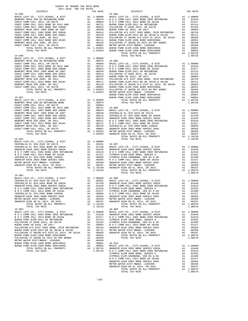|                |         | BUENA P    |
|----------------|---------|------------|
| $15 - 907$     |         | BUENA P    |
|                |         |            |
|                |         |            |
|                |         |            |
|                |         |            |
|                |         |            |
|                |         |            |
|                |         |            |
|                |         |            |
|                |         |            |
|                |         |            |
|                |         |            |
|                |         |            |
|                |         |            |
|                |         |            |
|                |         |            |
|                |         |            |
|                |         |            |
|                |         |            |
|                |         |            |
|                |         |            |
|                |         |            |
|                |         |            |
|                |         |            |
|                |         |            |
|                |         |            |
|                |         |            |
| TOTAL TAX RATE | 1.10139 |            |
| $16 - 002$     |         |            |
|                |         |            |
|                |         |            |
|                |         |            |
|                |         |            |
|                |         |            |
|                |         |            |
|                |         |            |
|                |         |            |
|                |         |            |
|                |         |            |
|                |         |            |
| TOTAL TAX RATE | 1.10139 |            |
| $16 - 003$     |         | $16 - 009$ |
|                |         |            |
|                |         |            |
|                |         |            |
|                |         |            |
|                |         |            |
|                |         |            |
|                |         |            |
|                |         |            |
|                |         |            |
|                |         |            |
|                |         |            |
|                |         |            |
|                |         |            |
|                |         |            |
|                |         |            |
|                |         | CUPPECC    |

| DISTRICT       | TAX RATE | DISTRICT                                                                                                                                                                                                                                                   | TAX RATE |
|----------------|----------|------------------------------------------------------------------------------------------------------------------------------------------------------------------------------------------------------------------------------------------------------------|----------|
|                |          |                                                                                                                                                                                                                                                            |          |
|                |          |                                                                                                                                                                                                                                                            |          |
|                |          |                                                                                                                                                                                                                                                            |          |
|                |          |                                                                                                                                                                                                                                                            |          |
| TOTAL TAX RATE | 1.10139  | N O COMM COLL 2014 BOND SR 2016A<br>N O COMM COLL 2014 BOND SR 2016A<br>Al 0.0317 CYPRESS ELEM-2008BOND, SER B1 & B2<br>CENTRALIA EL SCH-2002 BOND #2004A<br>Al 0.0356 NAMEEIM HIGH 2002 BOND BR 2016A<br>AL 0.0356 NAMEEIM HIGH 2002 BO<br>TOTAL TAX RATE | 1.08570  |
| $16 - 003$     |          | $16 - 009$                                                                                                                                                                                                                                                 |          |
|                |          |                                                                                                                                                                                                                                                            |          |

-135-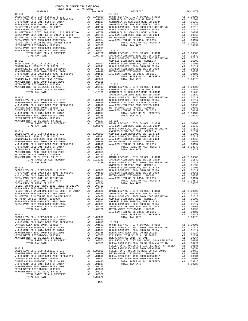|  | ${\rm FULLERTON\ TUMION HS 20018.2 EM-1998 BOND SERRES 2002 BOND SERTES 2002 BOND 2002 BOND 2002 BOND 2002 BOND 2002 BOND 2002 BOND 2002 BOND 2002 BOND 2002 BOND 2015 2012 BREDND 2016 202 BOND 2017 202 BOND 203 BORD 2017 203 BREDND 203 BREDND 203 BREDND 204 204 205 206 207 207 208 208 208 208 208 208 $ |  |
|--|-----------------------------------------------------------------------------------------------------------------------------------------------------------------------------------------------------------------------------------------------------------------------------------------------------------------|--|
|  |                                                                                                                                                                                                                                                                                                                 |  |
|  |                                                                                                                                                                                                                                                                                                                 |  |
|  |                                                                                                                                                                                                                                                                                                                 |  |
|  |                                                                                                                                                                                                                                                                                                                 |  |
|  |                                                                                                                                                                                                                                                                                                                 |  |
|  |                                                                                                                                                                                                                                                                                                                 |  |
|  |                                                                                                                                                                                                                                                                                                                 |  |
|  |                                                                                                                                                                                                                                                                                                                 |  |
|  |                                                                                                                                                                                                                                                                                                                 |  |
|  |                                                                                                                                                                                                                                                                                                                 |  |
|  |                                                                                                                                                                                                                                                                                                                 |  |
|  |                                                                                                                                                                                                                                                                                                                 |  |
|  |                                                                                                                                                                                                                                                                                                                 |  |
|  |                                                                                                                                                                                                                                                                                                                 |  |
|  |                                                                                                                                                                                                                                                                                                                 |  |
|  |                                                                                                                                                                                                                                                                                                                 |  |
|  |                                                                                                                                                                                                                                                                                                                 |  |
|  |                                                                                                                                                                                                                                                                                                                 |  |
|  |                                                                                                                                                                                                                                                                                                                 |  |
|  |                                                                                                                                                                                                                                                                                                                 |  |
|  |                                                                                                                                                                                                                                                                                                                 |  |
|  |                                                                                                                                                                                                                                                                                                                 |  |
|  |                                                                                                                                                                                                                                                                                                                 |  |
|  |                                                                                                                                                                                                                                                                                                                 |  |
|  |                                                                                                                                                                                                                                                                                                                 |  |

-136-

| . 00759          | CENIRALIA EL SCH-2002 BOND #2004A                                                         |
|------------------|-------------------------------------------------------------------------------------------|
| .00721           | ANAHEIM HIGH 2002 BOND SERIES 2003                                                        |
| .00585           | METRO WATER DIST-MWDOC- 1205999                                                           |
| .00554           | ANAHEIM HIGH GO EL 2014, SR 2015                                                          |
| .00458           | TOTAL RATES ON ALL PROPERTY                                                               |
| .00350           | TOTAL TAX RATE                                                                            |
| .00001           |                                                                                           |
|                  | $16 - 019$                                                                                |
| .00001           |                                                                                           |
| .09726           | BASIC LEVY-CO., CITY, SCHOOL, & DIST                                                      |
| .09726           | ANAHEIM HIGH 2002 BOND SERIES 2002A                                                       |
|                  | N O C COMM COLL 2002 BOND 2005 REFUNDING                                                  |
|                  | CYPRESS ELEM-2008 BOND, SERIES A                                                          |
| .00000           | CYPRESS ELEM-2008BOND, SER B1 & B2                                                        |
| .02041           |                                                                                           |
|                  | N O C COMM COLL 2014 BOND SR 2016A                                                        |
| .01760           | ANAHEIM HIGH 2002 BOND SERIES 2003                                                        |
| .01649           | METRO WATER DIST-MWDOC- 1205999                                                           |
| .01610           | ANAHEIM HIGH GO EL 2014, SR 2015                                                          |
| .01317           | TOTAL RATES ON ALL PROPERTY                                                               |
| .00850           | TOTAL TAX RATE                                                                            |
| .00365           |                                                                                           |
| .00350           | $16 - 020$                                                                                |
|                  |                                                                                           |
| .00197           | BASIC LEVY-CO., CITY, SCHOOL, & DIST                                                      |
| .10139           | CENTRALIA EL SCH-2016 SR 2017A                                                            |
| .10139           | CENTRALIA EL SCH-2002 BOND SR 2003A                                                       |
|                  | ANAHEIM HIGH 2002 BOND SERIES 2002A                                                       |
|                  | N O C COMM COLL 2002 BOND 2005 REFUNDING                                                  |
| .00000           | N O C COMM COLL 2014 BOND SR 2016A                                                        |
| .01649           | CENTRALIA EL SCH-2002 BOND #2004A                                                         |
|                  |                                                                                           |
| .01610           | ANAHEIM HIGH 2002 BOND SERIES 2003                                                        |
| .01592           | METRO WATER DIST-MWDOC- 1205999                                                           |
| .01490           | ANAHEIM HIGH GO EL 2014, SR 2015                                                          |
| .01317           | TOTAL RATES ON ALL PROPERTY                                                               |
| .00365           | TOTAL TAX RATE                                                                            |
| .00350           |                                                                                           |
| .00197           | $16 - 021$                                                                                |
| .08570           | BASIC LEVY-CO., CITY, SCHOOL, & DIST                                                      |
|                  |                                                                                           |
| .08570           | ANAHEIM HIGH 2002 BOND SERIES 2002A                                                       |
|                  | N O C COMM COLL 2002 BOND 2005 REFUNDING                                                  |
|                  | CYPRESS ELEM-2008 BOND, SERIES A                                                          |
| .00000           | CYPRESS ELEM-2008BOND, SER B1 & B2                                                        |
| .02041           | N O C COMM COLL 2014 BOND SR 2016A                                                        |
| .01760           | ANAHEIM HIGH 2002 BOND SERIES 2003                                                        |
| .01649           | METRO WATER DIST-MWDOC- 1205999                                                           |
|                  |                                                                                           |
| .01610           | ANAHEIM HIGH GO EL 2014, SR 2015                                                          |
| .01317           | TOTAL RATES ON ALL PROPERTY                                                               |
| .00850           | TOTAL TAX RATE                                                                            |
| .00365           |                                                                                           |
| .00350           | $16 - 022$                                                                                |
|                  | .00197 BASIC LEVY-CO., CITY, SCHOOL, & DIST<br>.10139 ANAHEIM HIGH 2002 BOND SERIES 2002A |
|                  |                                                                                           |
|                  |                                                                                           |
| .10139           | N O C COMM COLL 2002 BOND 2005 REFUNDING                                                  |
|                  | CYPRESS ELEM-2008 BOND, SERIES A                                                          |
|                  | CYPRESS ELEM-2008BOND, SER B1 & B2                                                        |
| .00000           | N O C COMM COLL 2014 BOND SR 2016A                                                        |
| .01610           | ANAHEIM HIGH 2002 BOND SERIES 2003                                                        |
| .01317           | METRO WATER DIST-MWDOC- 1205999                                                           |
| .01214           | ANAHEIM HIGH GO EL 2014, SR 2015                                                          |
|                  |                                                                                           |
| .01192           | TOTAL RATES ON ALL PROPERTY                                                               |
| .00964           | TOTAL TAX RATE                                                                            |
| .00759           |                                                                                           |
| .00721           | $16 - 023$                                                                                |
| .00585           | BASIC LEVY-CO., CITY, SCHOOL, & DIST                                                      |
| .00554           | ANAHEIM HIGH 2002 BOND SERIES 2002A                                                       |
| .00458           | N O C COMM COLL 2002 BOND 2005 REFUNDING                                                  |
| .00350           | CYPRESS ELEM-2008 BOND, SERIES A                                                          |
|                  |                                                                                           |
| .00001           | CYPRESS ELEM-2008BOND, SER B1 & B2                                                        |
| .00001           | N O C COMM COLL 2014 BOND SR 2016A                                                        |
| .09726           | ANAHEIM HIGH 2002 BOND SERIES 2003                                                        |
| .09726           | METRO WATER DIST-MWDOC- 1205999                                                           |
|                  | ANAHEIM HIGH GO EL 2014, SR 2015                                                          |
|                  | TOTAL<br>RATES ON<br>ALL PROPERTY                                                         |
| .00000           | TOTAL TAX RATE                                                                            |
| .01649           |                                                                                           |
|                  |                                                                                           |
| .01610           | $16 - 024$                                                                                |
| .01592           | BASIC LEVY-CO., CITY, SCHOOL, & DIST                                                      |
| .01490           | N O C COMM COLL 2002 BOND 2005 REFUNDING                                                  |
| .01317           |                                                                                           |
| .00365           | N O C COMM COLL 2014 BOND SR 2016A<br>BUENA PARK ELEM-2011 GO REFUNDING                   |
| .00350           | FULLERTON JT UHSD 2014, SR 2017B                                                          |
| .00197           |                                                                                           |
| .08570           | BUENA PARK SD 2016, SR 2017<br>FULLERTON H/S DIST 2002 BOND, 2010 REFUNDING               |
|                  |                                                                                           |
| .08570           | BUENA PARK ELEM-2014 BD SR 2014A & 2014B                                                  |
|                  | FULLERTON JT UNION H/S DIST EL 2014, SR 2015A                                             |
|                  | BUENA PARK ELEM-1998 BOND SER#2000A                                                       |
| .00000           | FULLERTON JT UNION HS 2013 GO REF BONDS                                                   |
| .01649           |                                                                                           |
|                  |                                                                                           |
|                  | METRO WATER DIST-MWDOC- 1205999                                                           |
| .01610           | BUENA PARK ELEM-1998 BOND SER#2001A                                                       |
| .01592           | BUENA PARK ELEM-1998 BOND SER#1999A                                                       |
| .01490           | TOTAL RATES ON ALL PROPERTY                                                               |
| .01317<br>.00365 | TOTAL TAX RATE                                                                            |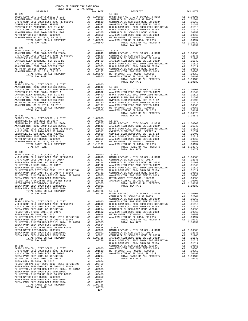| COUNTY OF ORANGE TAX RATE BOOK<br>2017-2018 הפר מסדי המור<br>$2017-2018 \quad \text{TRA RATES}$ DISTRICT $2017-2018 \quad \text{TRA TAX RATES}$ |          |            |          |
|-------------------------------------------------------------------------------------------------------------------------------------------------|----------|------------|----------|
|                                                                                                                                                 | TAX RATE | DISTRICT   | TAX RATE |
| $16 - 025$                                                                                                                                      |          | $16 - 036$ |          |
|                                                                                                                                                 |          |            |          |
|                                                                                                                                                 |          |            |          |
|                                                                                                                                                 |          |            |          |
|                                                                                                                                                 |          |            |          |
|                                                                                                                                                 |          |            |          |
|                                                                                                                                                 |          |            |          |
|                                                                                                                                                 |          |            |          |
|                                                                                                                                                 |          |            |          |
|                                                                                                                                                 |          |            |          |
|                                                                                                                                                 |          |            |          |
|                                                                                                                                                 |          |            |          |
|                                                                                                                                                 |          |            |          |
|                                                                                                                                                 |          |            |          |
|                                                                                                                                                 |          |            |          |
|                                                                                                                                                 |          |            |          |
|                                                                                                                                                 |          |            |          |
|                                                                                                                                                 |          |            |          |
|                                                                                                                                                 |          |            |          |
|                                                                                                                                                 |          |            |          |
|                                                                                                                                                 |          |            |          |
|                                                                                                                                                 |          |            |          |
|                                                                                                                                                 |          |            |          |
|                                                                                                                                                 |          |            |          |
|                                                                                                                                                 |          |            |          |
|                                                                                                                                                 |          |            |          |
|                                                                                                                                                 |          |            |          |
|                                                                                                                                                 |          |            |          |
|                                                                                                                                                 |          |            |          |
|                                                                                                                                                 |          |            |          |
|                                                                                                                                                 |          |            |          |
|                                                                                                                                                 |          |            |          |
|                                                                                                                                                 |          |            |          |
|                                                                                                                                                 |          |            |          |
|                                                                                                                                                 |          |            |          |
|                                                                                                                                                 |          |            |          |
|                                                                                                                                                 |          |            |          |
|                                                                                                                                                 |          |            |          |
|                                                                                                                                                 |          |            |          |
|                                                                                                                                                 |          |            |          |
|                                                                                                                                                 |          |            |          |
|                                                                                                                                                 |          |            |          |
|                                                                                                                                                 |          |            |          |
|                                                                                                                                                 |          |            |          |
|                                                                                                                                                 |          |            |          |
|                                                                                                                                                 |          |            |          |
|                                                                                                                                                 |          |            |          |
|                                                                                                                                                 |          |            |          |
|                                                                                                                                                 |          |            |          |
|                                                                                                                                                 |          |            |          |
|                                                                                                                                                 |          |            |          |
|                                                                                                                                                 |          |            |          |
|                                                                                                                                                 |          |            |          |
|                                                                                                                                                 |          |            |          |
|                                                                                                                                                 |          |            |          |
|                                                                                                                                                 |          |            |          |
|                                                                                                                                                 |          |            |          |
|                                                                                                                                                 |          |            |          |
|                                                                                                                                                 |          |            |          |
|                                                                                                                                                 |          |            |          |
|                                                                                                                                                 |          |            |          |
|                                                                                                                                                 |          |            |          |
|                                                                                                                                                 |          |            |          |
|                                                                                                                                                 |          |            |          |
|                                                                                                                                                 |          |            |          |
|                                                                                                                                                 |          |            |          |
|                                                                                                                                                 |          |            |          |
|                                                                                                                                                 |          |            |          |
|                                                                                                                                                 |          |            |          |
|                                                                                                                                                 |          |            |          |
|                                                                                                                                                 |          |            |          |
|                                                                                                                                                 |          |            |          |
|                                                                                                                                                 |          |            |          |
|                                                                                                                                                 |          |            |          |
|                                                                                                                                                 |          |            |          |
|                                                                                                                                                 |          |            |          |
|                                                                                                                                                 |          |            |          |
|                                                                                                                                                 |          |            |          |
|                                                                                                                                                 |          |            |          |
|                                                                                                                                                 |          |            |          |

1.09726<br>1.09726<br>-137-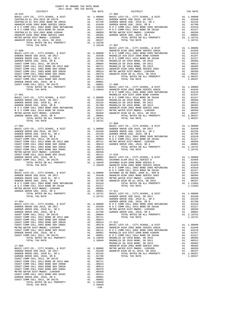COAST COMM COLL 2012, SR 2017E A1 .00804 COAST COMM COLL 2012 BOND SR 2013 A&B A1 .00721 COAST COMM COLL 2002 BOND SER 2006B A1 .00624 COAST COMM COLL 2002 BOND SER 2003A A1 .00514 COAST COMM COLL 2002 BOND SER 2006C A1 .00370 METRO WATER DIST-MWDOC- 1205999 A1 .00350 COAST COMM COLL 2012 BOND SER 2016C A1 .00111 GARDEN GROVE USD, 2010, SR A A1 .00001 COAST COMM COLL 2012, SR 2017D A1 .00001 TOTAL RATES ON ALL PROPERTY A1 1.10949 TOTAL TAX RATE 1.10949

-138-

| COUNTY OF ORANGE TAX RATE BOOK<br>$2017-2018 \quad \text{TRA RATES}$ DISTRICT $2017-2018 \quad \text{TRA TAX RATES}$                                                                                                                |          |            |          |
|-------------------------------------------------------------------------------------------------------------------------------------------------------------------------------------------------------------------------------------|----------|------------|----------|
|                                                                                                                                                                                                                                     | TAX RATE | DISTRICT   | TAX RATE |
| $16 - 043$                                                                                                                                                                                                                          |          | $17 - 006$ |          |
|                                                                                                                                                                                                                                     |          |            |          |
|                                                                                                                                                                                                                                     |          |            |          |
|                                                                                                                                                                                                                                     |          |            |          |
|                                                                                                                                                                                                                                     |          |            |          |
|                                                                                                                                                                                                                                     |          |            |          |
| TOTAL RAYES ON ALL PROPERTY AT 1.10139 17-007 LIVY-CO, CITY, SCHOOL, & DEST PARENT AND ANGELE INTERNATIONAL ARTIST AND ANGELE AND ANGELE AND ANGELE AND ANGELE AND ANGELE AND ANGELE AND ANGELE AND ANGELE AND ANGELE AND ANG       |          |            |          |
|                                                                                                                                                                                                                                     |          |            |          |
|                                                                                                                                                                                                                                     |          |            |          |
|                                                                                                                                                                                                                                     |          |            |          |
|                                                                                                                                                                                                                                     |          |            |          |
|                                                                                                                                                                                                                                     |          |            |          |
|                                                                                                                                                                                                                                     |          |            |          |
|                                                                                                                                                                                                                                     |          |            |          |
|                                                                                                                                                                                                                                     |          |            |          |
|                                                                                                                                                                                                                                     |          |            |          |
|                                                                                                                                                                                                                                     |          |            |          |
|                                                                                                                                                                                                                                     |          |            |          |
|                                                                                                                                                                                                                                     |          |            |          |
|                                                                                                                                                                                                                                     |          |            |          |
|                                                                                                                                                                                                                                     |          |            |          |
|                                                                                                                                                                                                                                     |          |            |          |
|                                                                                                                                                                                                                                     |          |            |          |
|                                                                                                                                                                                                                                     |          |            |          |
|                                                                                                                                                                                                                                     |          |            |          |
|                                                                                                                                                                                                                                     |          |            |          |
|                                                                                                                                                                                                                                     |          |            |          |
|                                                                                                                                                                                                                                     |          |            |          |
|                                                                                                                                                                                                                                     |          |            |          |
|                                                                                                                                                                                                                                     |          |            |          |
|                                                                                                                                                                                                                                     |          |            |          |
|                                                                                                                                                                                                                                     |          |            |          |
|                                                                                                                                                                                                                                     |          |            |          |
|                                                                                                                                                                                                                                     |          |            |          |
|                                                                                                                                                                                                                                     |          |            |          |
|                                                                                                                                                                                                                                     |          |            |          |
|                                                                                                                                                                                                                                     |          |            |          |
|                                                                                                                                                                                                                                     |          |            |          |
|                                                                                                                                                                                                                                     |          |            |          |
|                                                                                                                                                                                                                                     |          |            |          |
|                                                                                                                                                                                                                                     |          |            |          |
|                                                                                                                                                                                                                                     |          |            |          |
|                                                                                                                                                                                                                                     |          |            |          |
|                                                                                                                                                                                                                                     |          |            |          |
|                                                                                                                                                                                                                                     |          |            |          |
|                                                                                                                                                                                                                                     |          |            |          |
|                                                                                                                                                                                                                                     |          |            |          |
| 1997 - The Country of Articles (1997 - 2002)<br>1.1991 - The Country of Articles (1997 - 2002)<br>2.1991 - The Country of Articles (1997 - 2002)<br>2.1991 - The Country of Articles (1997 - 2002)<br>2.1991 - The Country of Artic |          |            |          |
|                                                                                                                                                                                                                                     |          |            |          |
|                                                                                                                                                                                                                                     |          |            |          |
|                                                                                                                                                                                                                                     |          |            |          |
|                                                                                                                                                                                                                                     |          |            |          |
|                                                                                                                                                                                                                                     |          |            |          |
|                                                                                                                                                                                                                                     |          |            |          |
|                                                                                                                                                                                                                                     |          |            |          |
|                                                                                                                                                                                                                                     |          |            |          |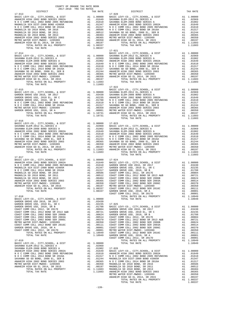|  | $\begin{tabular}{l c c c c} 17-014 & 17-021 & 17-021 \\ \hline \texttt{BASE} & \texttt{REVY-CO} \,, \texttt{CITY}, \texttt{SCHOOL}, \texttt{ & \texttt{DIST}} & \texttt{A1} & 1.00000 & \texttt{BASIC LEVY-CO} \,, \texttt{CITY}, \texttt{SCHOOL}, \texttt{ & \texttt{DIST}} & \texttt{A1} & 1.00000 \\ \texttt{BASIC LEVY-CO} \,, \texttt{CITY}, \texttt{SCHOS} & \texttt{A1} & 1.00000 & \texttt{S$                        |  |
|--|------------------------------------------------------------------------------------------------------------------------------------------------------------------------------------------------------------------------------------------------------------------------------------------------------------------------------------------------------------------------------------------------------------------------------|--|
|  |                                                                                                                                                                                                                                                                                                                                                                                                                              |  |
|  |                                                                                                                                                                                                                                                                                                                                                                                                                              |  |
|  |                                                                                                                                                                                                                                                                                                                                                                                                                              |  |
|  |                                                                                                                                                                                                                                                                                                                                                                                                                              |  |
|  |                                                                                                                                                                                                                                                                                                                                                                                                                              |  |
|  |                                                                                                                                                                                                                                                                                                                                                                                                                              |  |
|  | $\begin{tabular}{l c c c c c} \hline \textbf{DTAL RATES ON ALI PROPEKIT} & \textbf{1.11603} & \textbf{17--022} & \textbf{17--022} & \textbf{18.821C LEVY-CO.}, & \textbf{CITY}, \textbf{SCROOL}, & \textbf{E DIST} & \textbf{A1} & 1.00000 & \textbf{3NANRNA ELEM-2012 EL, SERIES A} & \textbf{A1} & 1.00000 & \textbf{5NANINA ELEM-2012 EL, SERIES A} & \textbf{A1} & 0.2969 & \$                                           |  |
|  |                                                                                                                                                                                                                                                                                                                                                                                                                              |  |
|  |                                                                                                                                                                                                                                                                                                                                                                                                                              |  |
|  |                                                                                                                                                                                                                                                                                                                                                                                                                              |  |
|  | $\begin{tabular}{l c c c c} \hline 17-016 & \multicolumn{4}{c}{\textbf{BAZEN-2012} \textbf{ EL}, \textbf{SERES A} & \multicolumn{4}{c}{\textbf{AAZEN-2012} \textbf{ EL}, \textbf{SERES A} & \multicolumn{4}{c}{\textbf{AAZEN-2012} \textbf{ EL}, \textbf{SERES A} & \multicolumn{4}{c}{\textbf{AAZEN-2012} \textbf{ EL}, \textbf{SERES A} & \multicolumn{4}{c}{\textbf{AAZEN-2012} \textbf{ EL}, \textbf{SERES A} & \multic$ |  |
|  |                                                                                                                                                                                                                                                                                                                                                                                                                              |  |
|  |                                                                                                                                                                                                                                                                                                                                                                                                                              |  |
|  |                                                                                                                                                                                                                                                                                                                                                                                                                              |  |
|  |                                                                                                                                                                                                                                                                                                                                                                                                                              |  |
|  |                                                                                                                                                                                                                                                                                                                                                                                                                              |  |
|  |                                                                                                                                                                                                                                                                                                                                                                                                                              |  |
|  |                                                                                                                                                                                                                                                                                                                                                                                                                              |  |
|  |                                                                                                                                                                                                                                                                                                                                                                                                                              |  |
|  |                                                                                                                                                                                                                                                                                                                                                                                                                              |  |
|  |                                                                                                                                                                                                                                                                                                                                                                                                                              |  |
|  |                                                                                                                                                                                                                                                                                                                                                                                                                              |  |
|  |                                                                                                                                                                                                                                                                                                                                                                                                                              |  |
|  |                                                                                                                                                                                                                                                                                                                                                                                                                              |  |
|  | $\begin{tabular}{l c c c c c} \hline 17-017 & 17-017 \\ \hline \texttt{RNAREIM} \texttt{HEH} & 2002 & \texttt{BONDS} & 2002 \texttt{ADND} & 17-024 \\ \hline \texttt{ANAEEM} \texttt{HEH} & 2002 & \texttt{BONDS} & 2002 \texttt{ADND} & 2002 \\ \hline \texttt{N} & 0 & \texttt{COMD} & 2002 & \texttt{BONDS} & 2002 \texttt{ADND} & 2002 \\ \hline \texttt{M} & 0 & \texttt{COMD$                                          |  |
|  |                                                                                                                                                                                                                                                                                                                                                                                                                              |  |
|  |                                                                                                                                                                                                                                                                                                                                                                                                                              |  |
|  |                                                                                                                                                                                                                                                                                                                                                                                                                              |  |
|  |                                                                                                                                                                                                                                                                                                                                                                                                                              |  |
|  |                                                                                                                                                                                                                                                                                                                                                                                                                              |  |
|  |                                                                                                                                                                                                                                                                                                                                                                                                                              |  |
|  |                                                                                                                                                                                                                                                                                                                                                                                                                              |  |
|  |                                                                                                                                                                                                                                                                                                                                                                                                                              |  |
|  |                                                                                                                                                                                                                                                                                                                                                                                                                              |  |
|  |                                                                                                                                                                                                                                                                                                                                                                                                                              |  |
|  |                                                                                                                                                                                                                                                                                                                                                                                                                              |  |
|  |                                                                                                                                                                                                                                                                                                                                                                                                                              |  |
|  |                                                                                                                                                                                                                                                                                                                                                                                                                              |  |
|  | APAREO MITRE DET PROCESSION (AL. 199350 COMP COMP COLL 2002 2000 BY 2002 1000 BY 2002 2000 BY 2002 2000 BY 2002 2000 BY 2002 2000 BY 2002 2000 BY 2002 2000 BY 2002 2000 BY 2002 2000 BY 2002 2000 BY 2002 2000 BY 2002 2000                                                                                                                                                                                                 |  |
|  |                                                                                                                                                                                                                                                                                                                                                                                                                              |  |
|  |                                                                                                                                                                                                                                                                                                                                                                                                                              |  |
|  |                                                                                                                                                                                                                                                                                                                                                                                                                              |  |
|  |                                                                                                                                                                                                                                                                                                                                                                                                                              |  |
|  |                                                                                                                                                                                                                                                                                                                                                                                                                              |  |
|  |                                                                                                                                                                                                                                                                                                                                                                                                                              |  |
|  |                                                                                                                                                                                                                                                                                                                                                                                                                              |  |
|  |                                                                                                                                                                                                                                                                                                                                                                                                                              |  |
|  |                                                                                                                                                                                                                                                                                                                                                                                                                              |  |
|  |                                                                                                                                                                                                                                                                                                                                                                                                                              |  |
|  |                                                                                                                                                                                                                                                                                                                                                                                                                              |  |
|  |                                                                                                                                                                                                                                                                                                                                                                                                                              |  |
|  |                                                                                                                                                                                                                                                                                                                                                                                                                              |  |
|  |                                                                                                                                                                                                                                                                                                                                                                                                                              |  |
|  |                                                                                                                                                                                                                                                                                                                                                                                                                              |  |
|  |                                                                                                                                                                                                                                                                                                                                                                                                                              |  |
|  |                                                                                                                                                                                                                                                                                                                                                                                                                              |  |
|  |                                                                                                                                                                                                                                                                                                                                                                                                                              |  |
|  |                                                                                                                                                                                                                                                                                                                                                                                                                              |  |

COUNTY OF ORANGE TAX RATE BOOK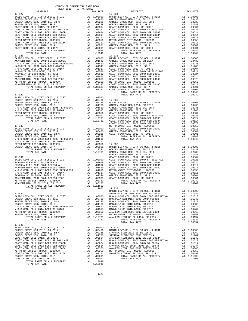| 2017-2018 TRA TAX RATES<br>DISTRICT | TAX RATE | DISTRICT                                                                                                                                                                                                                                                                       | TAX RATE |
|-------------------------------------|----------|--------------------------------------------------------------------------------------------------------------------------------------------------------------------------------------------------------------------------------------------------------------------------------|----------|
| $17 - 027$                          |          | $17 - 034$                                                                                                                                                                                                                                                                     |          |
|                                     |          |                                                                                                                                                                                                                                                                                |          |
|                                     |          |                                                                                                                                                                                                                                                                                |          |
|                                     |          |                                                                                                                                                                                                                                                                                |          |
|                                     |          |                                                                                                                                                                                                                                                                                |          |
|                                     |          |                                                                                                                                                                                                                                                                                |          |
|                                     |          |                                                                                                                                                                                                                                                                                |          |
|                                     |          |                                                                                                                                                                                                                                                                                |          |
|                                     |          |                                                                                                                                                                                                                                                                                |          |
|                                     |          |                                                                                                                                                                                                                                                                                |          |
|                                     |          |                                                                                                                                                                                                                                                                                |          |
|                                     |          |                                                                                                                                                                                                                                                                                |          |
|                                     |          |                                                                                                                                                                                                                                                                                |          |
|                                     |          |                                                                                                                                                                                                                                                                                |          |
|                                     |          |                                                                                                                                                                                                                                                                                |          |
|                                     |          |                                                                                                                                                                                                                                                                                |          |
|                                     |          |                                                                                                                                                                                                                                                                                |          |
|                                     |          |                                                                                                                                                                                                                                                                                |          |
|                                     |          |                                                                                                                                                                                                                                                                                |          |
|                                     |          |                                                                                                                                                                                                                                                                                |          |
|                                     |          |                                                                                                                                                                                                                                                                                |          |
|                                     |          |                                                                                                                                                                                                                                                                                |          |
|                                     |          |                                                                                                                                                                                                                                                                                |          |
|                                     |          |                                                                                                                                                                                                                                                                                |          |
|                                     |          |                                                                                                                                                                                                                                                                                |          |
|                                     |          |                                                                                                                                                                                                                                                                                |          |
|                                     |          |                                                                                                                                                                                                                                                                                |          |
|                                     |          |                                                                                                                                                                                                                                                                                |          |
|                                     |          |                                                                                                                                                                                                                                                                                |          |
|                                     |          |                                                                                                                                                                                                                                                                                |          |
|                                     |          |                                                                                                                                                                                                                                                                                |          |
|                                     |          |                                                                                                                                                                                                                                                                                |          |
|                                     |          |                                                                                                                                                                                                                                                                                |          |
|                                     |          |                                                                                                                                                                                                                                                                                |          |
|                                     |          |                                                                                                                                                                                                                                                                                |          |
|                                     |          |                                                                                                                                                                                                                                                                                |          |
|                                     |          |                                                                                                                                                                                                                                                                                |          |
|                                     |          |                                                                                                                                                                                                                                                                                |          |
|                                     |          |                                                                                                                                                                                                                                                                                |          |
|                                     |          |                                                                                                                                                                                                                                                                                |          |
|                                     |          |                                                                                                                                                                                                                                                                                |          |
|                                     |          |                                                                                                                                                                                                                                                                                |          |
|                                     |          |                                                                                                                                                                                                                                                                                |          |
|                                     |          |                                                                                                                                                                                                                                                                                |          |
|                                     |          |                                                                                                                                                                                                                                                                                |          |
|                                     |          |                                                                                                                                                                                                                                                                                |          |
|                                     |          |                                                                                                                                                                                                                                                                                |          |
|                                     |          |                                                                                                                                                                                                                                                                                |          |
|                                     |          |                                                                                                                                                                                                                                                                                |          |
|                                     |          |                                                                                                                                                                                                                                                                                |          |
|                                     |          |                                                                                                                                                                                                                                                                                |          |
|                                     |          |                                                                                                                                                                                                                                                                                |          |
|                                     |          | $\begin{smallmatrix} 1.11 & 0.01 & 0.01 & 0.01 & 0.01 & 0.01 & 0.01 & 0.01 & 0.01 & 0.01 & 0.01 & 0.01 & 0.01 & 0.01 & 0.01 & 0.01 & 0.01 & 0.01 & 0.01 & 0.01 & 0.01 & 0.01 & 0.01 & 0.01 & 0.01 & 0.01 & 0.01 & 0.01 & 0.01 & 0.01 & 0.01 & 0.01 & 0.01 & 0.01 & 0.01 & 0.0$ |          |
|                                     |          |                                                                                                                                                                                                                                                                                |          |
|                                     |          |                                                                                                                                                                                                                                                                                |          |
|                                     |          |                                                                                                                                                                                                                                                                                |          |
|                                     |          |                                                                                                                                                                                                                                                                                |          |
|                                     |          |                                                                                                                                                                                                                                                                                |          |
|                                     |          |                                                                                                                                                                                                                                                                                |          |
|                                     |          |                                                                                                                                                                                                                                                                                |          |
|                                     |          |                                                                                                                                                                                                                                                                                |          |
|                                     |          |                                                                                                                                                                                                                                                                                |          |
|                                     |          |                                                                                                                                                                                                                                                                                |          |
|                                     |          |                                                                                                                                                                                                                                                                                |          |
|                                     |          |                                                                                                                                                                                                                                                                                |          |
|                                     |          |                                                                                                                                                                                                                                                                                |          |
|                                     |          |                                                                                                                                                                                                                                                                                |          |
|                                     |          |                                                                                                                                                                                                                                                                                |          |
|                                     |          |                                                                                                                                                                                                                                                                                |          |
|                                     |          |                                                                                                                                                                                                                                                                                |          |
|                                     |          |                                                                                                                                                                                                                                                                                |          |
|                                     |          |                                                                                                                                                                                                                                                                                |          |
|                                     |          |                                                                                                                                                                                                                                                                                |          |
|                                     |          |                                                                                                                                                                                                                                                                                |          |
|                                     |          |                                                                                                                                                                                                                                                                                |          |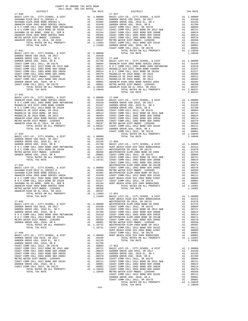| COUNTY OF ORANGE TAX RATE BOOK<br>$2017-2018 \quad \text{TRA RATES}$ DISTRICT $\hspace{2.5cm}$                                                                                                                                |          |            |          |
|-------------------------------------------------------------------------------------------------------------------------------------------------------------------------------------------------------------------------------|----------|------------|----------|
|                                                                                                                                                                                                                               | TAX RATE | DISTRICT   | TAX RATE |
| $17 - 040$                                                                                                                                                                                                                    |          | $17 - 047$ |          |
|                                                                                                                                                                                                                               |          |            |          |
|                                                                                                                                                                                                                               |          |            |          |
|                                                                                                                                                                                                                               |          |            |          |
|                                                                                                                                                                                                                               |          |            |          |
|                                                                                                                                                                                                                               |          |            |          |
|                                                                                                                                                                                                                               |          |            |          |
|                                                                                                                                                                                                                               |          |            |          |
|                                                                                                                                                                                                                               |          |            |          |
|                                                                                                                                                                                                                               |          |            |          |
|                                                                                                                                                                                                                               |          |            |          |
|                                                                                                                                                                                                                               |          |            |          |
|                                                                                                                                                                                                                               |          |            |          |
|                                                                                                                                                                                                                               |          |            |          |
|                                                                                                                                                                                                                               |          |            |          |
|                                                                                                                                                                                                                               |          |            |          |
|                                                                                                                                                                                                                               |          |            |          |
|                                                                                                                                                                                                                               |          |            |          |
|                                                                                                                                                                                                                               |          |            |          |
|                                                                                                                                                                                                                               |          |            |          |
|                                                                                                                                                                                                                               |          |            |          |
|                                                                                                                                                                                                                               |          |            |          |
|                                                                                                                                                                                                                               |          |            |          |
|                                                                                                                                                                                                                               |          |            |          |
| $17 - 042$                                                                                                                                                                                                                    |          |            |          |
|                                                                                                                                                                                                                               |          |            |          |
|                                                                                                                                                                                                                               |          |            |          |
|                                                                                                                                                                                                                               |          |            |          |
|                                                                                                                                                                                                                               |          |            |          |
|                                                                                                                                                                                                                               |          |            |          |
|                                                                                                                                                                                                                               |          |            |          |
|                                                                                                                                                                                                                               |          |            |          |
|                                                                                                                                                                                                                               |          |            |          |
|                                                                                                                                                                                                                               |          |            |          |
|                                                                                                                                                                                                                               |          |            |          |
|                                                                                                                                                                                                                               |          |            |          |
|                                                                                                                                                                                                                               |          |            |          |
|                                                                                                                                                                                                                               |          |            |          |
|                                                                                                                                                                                                                               |          |            |          |
|                                                                                                                                                                                                                               |          |            |          |
|                                                                                                                                                                                                                               |          |            |          |
|                                                                                                                                                                                                                               |          |            |          |
|                                                                                                                                                                                                                               |          |            |          |
|                                                                                                                                                                                                                               |          |            |          |
|                                                                                                                                                                                                                               |          |            |          |
|                                                                                                                                                                                                                               |          |            |          |
|                                                                                                                                                                                                                               |          |            |          |
|                                                                                                                                                                                                                               |          |            |          |
|                                                                                                                                                                                                                               |          |            |          |
|                                                                                                                                                                                                                               |          |            |          |
|                                                                                                                                                                                                                               |          |            |          |
|                                                                                                                                                                                                                               |          |            |          |
|                                                                                                                                                                                                                               |          |            |          |
|                                                                                                                                                                                                                               |          |            |          |
|                                                                                                                                                                                                                               |          |            |          |
|                                                                                                                                                                                                                               |          |            |          |
|                                                                                                                                                                                                                               |          |            |          |
|                                                                                                                                                                                                                               |          |            |          |
|                                                                                                                                                                                                                               |          |            |          |
|                                                                                                                                                                                                                               |          |            |          |
|                                                                                                                                                                                                                               |          |            |          |
|                                                                                                                                                                                                                               |          |            |          |
|                                                                                                                                                                                                                               |          |            |          |
|                                                                                                                                                                                                                               |          |            |          |
|                                                                                                                                                                                                                               |          |            |          |
|                                                                                                                                                                                                                               |          |            |          |
|                                                                                                                                                                                                                               |          |            |          |
|                                                                                                                                                                                                                               |          |            |          |
|                                                                                                                                                                                                                               |          |            |          |
|                                                                                                                                                                                                                               |          |            |          |
|                                                                                                                                                                                                                               |          |            |          |
|                                                                                                                                                                                                                               |          |            |          |
|                                                                                                                                                                                                                               |          |            |          |
|                                                                                                                                                                                                                               |          |            |          |
|                                                                                                                                                                                                                               |          |            |          |
|                                                                                                                                                                                                                               |          |            |          |
|                                                                                                                                                                                                                               |          |            |          |
|                                                                                                                                                                                                                               |          |            |          |
|                                                                                                                                                                                                                               |          |            |          |
|                                                                                                                                                                                                                               |          |            |          |
|                                                                                                                                                                                                                               |          |            |          |
| NO CONSECTED AND A SOLEN 1990 SECOND AND 1990 SECOND COMPROSITE DEFINITION CONTINUES. THE SOLEN CONTINUES IN A 1990 SECOND CONTINUES IN A 1990 SECOND CONTINUES IN A 1990 SECOND CONTINUES IN A 1990 SECOND CONTINUES IN A 19 |          |            |          |
|                                                                                                                                                                                                                               | $-141-$  |            |          |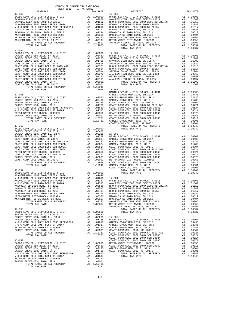| COUNTY OF ORANGE TAX RATE BOOK<br>2017-2018 TRA TAX RATES         |          |                                                                                                                                               |                    |
|-------------------------------------------------------------------|----------|-----------------------------------------------------------------------------------------------------------------------------------------------|--------------------|
| DISTRICT                                                          |          | TAX RATE                                                                                                                                      |                    |
| $17 - 053$                                                        |          |                                                                                                                                               | $17 - 060$         |
|                                                                   |          |                                                                                                                                               |                    |
|                                                                   |          |                                                                                                                                               |                    |
|                                                                   |          |                                                                                                                                               |                    |
|                                                                   |          |                                                                                                                                               |                    |
|                                                                   |          |                                                                                                                                               |                    |
|                                                                   |          |                                                                                                                                               |                    |
|                                                                   |          |                                                                                                                                               |                    |
|                                                                   |          |                                                                                                                                               |                    |
|                                                                   |          |                                                                                                                                               |                    |
| TOTAL TAX RATE                                                    |          | 1.11603                                                                                                                                       |                    |
| $17 - 054$                                                        |          |                                                                                                                                               |                    |
|                                                                   |          |                                                                                                                                               |                    |
|                                                                   |          |                                                                                                                                               |                    |
|                                                                   |          |                                                                                                                                               |                    |
|                                                                   |          |                                                                                                                                               |                    |
|                                                                   |          |                                                                                                                                               |                    |
|                                                                   |          |                                                                                                                                               |                    |
|                                                                   |          |                                                                                                                                               |                    |
|                                                                   |          |                                                                                                                                               |                    |
|                                                                   |          |                                                                                                                                               |                    |
|                                                                   |          |                                                                                                                                               |                    |
|                                                                   |          |                                                                                                                                               |                    |
| TOTAL TAX RATE                                                    |          |                                                                                                                                               |                    |
|                                                                   |          | 1.10949 17-062<br>BASIC L                                                                                                                     |                    |
| $17 - 055$                                                        |          |                                                                                                                                               | GARDEN             |
|                                                                   |          |                                                                                                                                               |                    |
|                                                                   |          |                                                                                                                                               |                    |
|                                                                   |          |                                                                                                                                               |                    |
|                                                                   |          |                                                                                                                                               |                    |
|                                                                   |          |                                                                                                                                               |                    |
|                                                                   |          |                                                                                                                                               |                    |
|                                                                   |          |                                                                                                                                               |                    |
|                                                                   |          |                                                                                                                                               |                    |
|                                                                   |          |                                                                                                                                               | COAST C            |
| $17 - 056$                                                        |          |                                                                                                                                               |                    |
|                                                                   |          |                                                                                                                                               |                    |
|                                                                   |          |                                                                                                                                               |                    |
|                                                                   |          |                                                                                                                                               |                    |
|                                                                   |          |                                                                                                                                               |                    |
|                                                                   |          |                                                                                                                                               |                    |
|                                                                   |          |                                                                                                                                               |                    |
|                                                                   |          |                                                                                                                                               |                    |
|                                                                   |          |                                                                                                                                               |                    |
|                                                                   |          |                                                                                                                                               |                    |
|                                                                   |          |                                                                                                                                               |                    |
|                                                                   |          |                                                                                                                                               |                    |
|                                                                   |          |                                                                                                                                               |                    |
|                                                                   |          |                                                                                                                                               |                    |
| $17 - 057$                                                        |          |                                                                                                                                               | COAST C            |
|                                                                   |          |                                                                                                                                               |                    |
|                                                                   |          |                                                                                                                                               |                    |
|                                                                   |          |                                                                                                                                               |                    |
|                                                                   |          |                                                                                                                                               |                    |
| MAGNOLIA SD 2010 BOND, SR 2016<br>A1                              |          |                                                                                                                                               | .00586 NOCC        |
| MAGNOLIA SD 2010 BOND, SR 2011                                    | A1       | .00512 MAGNOLI                                                                                                                                |                    |
| MAGNOLIA SD 2010 BOND, SR 2013                                    |          |                                                                                                                                               |                    |
| ANAHEIM HIGH 2002 BOND SERIES 2003                                |          |                                                                                                                                               |                    |
| METRO WATER DIST-MWDOC- 1205999                                   |          |                                                                                                                                               |                    |
| ANAHEIM HIGH GO EL 2014, SR 2015<br>TOTAL RATES ON ALL PROPERTY   |          |                                                                                                                                               |                    |
| TOTAL TAX RATE                                                    |          | A1 .00404 MAGNOLL<br>A1 .00404 N O C C<br>A1 .00365 MAGNOLL<br>A1 .00350 MAGNOLL<br>A1 .00197 MAGNOLL<br>A1 1.08337 MAHEIM<br>1.08337 METRO W |                    |
|                                                                   |          |                                                                                                                                               | ANAHEIM            |
| $17 - 058$                                                        |          |                                                                                                                                               |                    |
| BASIC LEVY-CO., CITY, SCHOOL, & DIST                              |          | A1 1.00000                                                                                                                                    |                    |
| GARDEN GROVE USD 2016, SR 2017<br>GARDEN GROVE USD, 2010 EL, SR C |          | A1.03430<br>A1.02235                                                                                                                          | $17 - 065$         |
| GARDEN GROVE USD, 2010, SR B                                      | A1       | .01788                                                                                                                                        | BASIC L            |
| N O C COMM COLL 2002 BOND 2005 REFUNDING                          | A1       | .01610                                                                                                                                        | GARDEN             |
| N O C COMM COLL 2014 BOND SR 2016A                                |          |                                                                                                                                               |                    |
| METRO WATER DIST-MWDOC- 1205999                                   |          |                                                                                                                                               |                    |
| GARDEN GROVE USD, 2010, SR A                                      |          |                                                                                                                                               |                    |
| TOTAL RATES ON ALL PROPERTY<br>TOTAL TAX RATE                     |          | A1 .01317 GARDEN<br>A1 .01317 GARDEN<br>A1 .00001 COAST C<br>A1 1.10731 COAST C<br>1.10731 COAST C<br>COAST C                                 |                    |
| $17 - 059$                                                        |          |                                                                                                                                               | COAST C<br>COAST C |
| BASIC LEVY-CO., CITY, SCHOOL, & DIST                              |          | A1 1.00000 METRO W<br>A1 .03430 COAST C<br>A1 .02235 GARDEN<br>A1 .01788 COAST C                                                              |                    |
| GARDEN GROVE USD 2016, SR 2017                                    |          |                                                                                                                                               |                    |
| GARDEN GROVE USD, 2010 EL, SR C                                   |          |                                                                                                                                               |                    |
| GARDEN GROVE USD, 2010, SR B                                      |          |                                                                                                                                               |                    |
| N O C COMM COLL 2002 BOND 2005 REFUNDING A1 .01610                |          |                                                                                                                                               |                    |
| N O C COMM COLL 2014 BOND SR 2016A                                | A1       | .01317                                                                                                                                        |                    |
| METRO WATER DIST-MWDOC- 1205999<br>GARDEN GROVE USD, 2010, SR A   | A1<br>A1 | .00350<br>.00001                                                                                                                              |                    |
| TOTAL RATES ON ALL PROPERTY                                       |          | A1 1.10731                                                                                                                                    |                    |
| TOTAL TAX RATE                                                    |          | 1.10731                                                                                                                                       |                    |

| TAX RATE<br>DISTRICT                                                                                                                                                                                                                                                               |  | DISTRICT | TAX RATE |
|------------------------------------------------------------------------------------------------------------------------------------------------------------------------------------------------------------------------------------------------------------------------------------|--|----------|----------|
|                                                                                                                                                                                                                                                                                    |  |          |          |
|                                                                                                                                                                                                                                                                                    |  |          |          |
|                                                                                                                                                                                                                                                                                    |  |          |          |
|                                                                                                                                                                                                                                                                                    |  |          |          |
|                                                                                                                                                                                                                                                                                    |  |          |          |
|                                                                                                                                                                                                                                                                                    |  |          |          |
|                                                                                                                                                                                                                                                                                    |  |          |          |
|                                                                                                                                                                                                                                                                                    |  |          |          |
|                                                                                                                                                                                                                                                                                    |  |          |          |
|                                                                                                                                                                                                                                                                                    |  |          |          |
|                                                                                                                                                                                                                                                                                    |  |          |          |
|                                                                                                                                                                                                                                                                                    |  |          |          |
|                                                                                                                                                                                                                                                                                    |  |          |          |
| $17 - 054$<br>$\begin{tabular}{l c c c c} \hline 17-054 & 11,00000 & 17-061 & 17-061 & 17-061 & 17-061 & 17-061 & 17-061 & 17-061 & 17-061 & 17-061 & 17-061 & 17-061 & 17-061 & 17-061 & 17-061 & 17-061 & 17-061 & 17-061 & 17-061 & 17-061 & 17-061 & 17-061 & 17-061 & 17-061$ |  |          |          |
|                                                                                                                                                                                                                                                                                    |  |          |          |
|                                                                                                                                                                                                                                                                                    |  |          |          |
|                                                                                                                                                                                                                                                                                    |  |          |          |
|                                                                                                                                                                                                                                                                                    |  |          |          |
|                                                                                                                                                                                                                                                                                    |  |          |          |
|                                                                                                                                                                                                                                                                                    |  |          |          |
|                                                                                                                                                                                                                                                                                    |  |          |          |
|                                                                                                                                                                                                                                                                                    |  |          |          |
|                                                                                                                                                                                                                                                                                    |  |          |          |
|                                                                                                                                                                                                                                                                                    |  |          |          |
|                                                                                                                                                                                                                                                                                    |  |          |          |
|                                                                                                                                                                                                                                                                                    |  |          |          |
|                                                                                                                                                                                                                                                                                    |  |          |          |
|                                                                                                                                                                                                                                                                                    |  |          |          |
|                                                                                                                                                                                                                                                                                    |  |          |          |
|                                                                                                                                                                                                                                                                                    |  |          |          |
|                                                                                                                                                                                                                                                                                    |  |          |          |
|                                                                                                                                                                                                                                                                                    |  |          |          |
|                                                                                                                                                                                                                                                                                    |  |          |          |
|                                                                                                                                                                                                                                                                                    |  |          |          |
|                                                                                                                                                                                                                                                                                    |  |          |          |
|                                                                                                                                                                                                                                                                                    |  |          |          |
|                                                                                                                                                                                                                                                                                    |  |          |          |
|                                                                                                                                                                                                                                                                                    |  |          |          |
|                                                                                                                                                                                                                                                                                    |  |          |          |
|                                                                                                                                                                                                                                                                                    |  |          |          |
|                                                                                                                                                                                                                                                                                    |  |          |          |
|                                                                                                                                                                                                                                                                                    |  |          |          |
|                                                                                                                                                                                                                                                                                    |  |          |          |
|                                                                                                                                                                                                                                                                                    |  |          |          |
|                                                                                                                                                                                                                                                                                    |  |          |          |
|                                                                                                                                                                                                                                                                                    |  |          |          |
|                                                                                                                                                                                                                                                                                    |  |          |          |
|                                                                                                                                                                                                                                                                                    |  |          |          |
|                                                                                                                                                                                                                                                                                    |  |          |          |
|                                                                                                                                                                                                                                                                                    |  |          |          |
|                                                                                                                                                                                                                                                                                    |  |          |          |
|                                                                                                                                                                                                                                                                                    |  |          |          |
|                                                                                                                                                                                                                                                                                    |  |          |          |
|                                                                                                                                                                                                                                                                                    |  |          |          |
|                                                                                                                                                                                                                                                                                    |  |          |          |
|                                                                                                                                                                                                                                                                                    |  |          |          |
|                                                                                                                                                                                                                                                                                    |  |          |          |
|                                                                                                                                                                                                                                                                                    |  |          |          |
| COMP COMP CONTROL 2013 AS 2012 COMP NATURAL 199919<br>2014 The Maria Company AL 199919 17-052<br>1992 17-052<br>1992 17-052<br>1992 17-052<br>1992 17-052<br>1992 17-052<br>1992 17-052<br>1992 17-052<br>1992 17-052<br>1992 17-052<br>1993 17-052                                |  |          |          |
|                                                                                                                                                                                                                                                                                    |  |          |          |
|                                                                                                                                                                                                                                                                                    |  |          |          |
|                                                                                                                                                                                                                                                                                    |  |          |          |
|                                                                                                                                                                                                                                                                                    |  |          |          |
|                                                                                                                                                                                                                                                                                    |  |          |          |
|                                                                                                                                                                                                                                                                                    |  |          |          |
|                                                                                                                                                                                                                                                                                    |  |          |          |
|                                                                                                                                                                                                                                                                                    |  |          |          |
|                                                                                                                                                                                                                                                                                    |  |          |          |
|                                                                                                                                                                                                                                                                                    |  |          |          |
|                                                                                                                                                                                                                                                                                    |  |          |          |
|                                                                                                                                                                                                                                                                                    |  |          |          |
|                                                                                                                                                                                                                                                                                    |  |          |          |
|                                                                                                                                                                                                                                                                                    |  |          |          |
|                                                                                                                                                                                                                                                                                    |  |          |          |
|                                                                                                                                                                                                                                                                                    |  |          |          |
|                                                                                                                                                                                                                                                                                    |  |          |          |
|                                                                                                                                                                                                                                                                                    |  |          |          |
|                                                                                                                                                                                                                                                                                    |  |          |          |
|                                                                                                                                                                                                                                                                                    |  |          |          |
|                                                                                                                                                                                                                                                                                    |  |          |          |
|                                                                                                                                                                                                                                                                                    |  |          |          |
|                                                                                                                                                                                                                                                                                    |  |          |          |
|                                                                                                                                                                                                                                                                                    |  |          |          |
|                                                                                                                                                                                                                                                                                    |  |          |          |
|                                                                                                                                                                                                                                                                                    |  |          |          |
|                                                                                                                                                                                                                                                                                    |  |          |          |
|                                                                                                                                                                                                                                                                                    |  |          |          |
|                                                                                                                                                                                                                                                                                    |  |          |          |
|                                                                                                                                                                                                                                                                                    |  |          |          |
|                                                                                                                                                                                                                                                                                    |  |          |          |
|                                                                                                                                                                                                                                                                                    |  |          |          |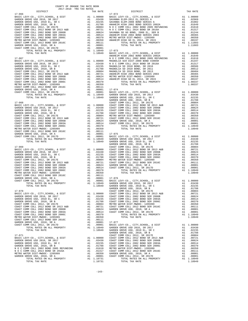| COUNTY OF ORANGE TAX RATE BOOK<br>$2017-2018 \quad \text{TRA RATES}$ DISTRICT $\hspace{2.5cm}$                                                                                                                                                                        |          |            |          |  |
|-----------------------------------------------------------------------------------------------------------------------------------------------------------------------------------------------------------------------------------------------------------------------|----------|------------|----------|--|
|                                                                                                                                                                                                                                                                       | TAX RATE | DISTRICT   | TAX RATE |  |
| $17 - 066$                                                                                                                                                                                                                                                            |          | $17 - 072$ |          |  |
|                                                                                                                                                                                                                                                                       |          |            |          |  |
|                                                                                                                                                                                                                                                                       |          |            |          |  |
|                                                                                                                                                                                                                                                                       |          |            |          |  |
|                                                                                                                                                                                                                                                                       |          |            |          |  |
|                                                                                                                                                                                                                                                                       |          |            |          |  |
|                                                                                                                                                                                                                                                                       |          |            |          |  |
|                                                                                                                                                                                                                                                                       |          |            |          |  |
|                                                                                                                                                                                                                                                                       |          |            |          |  |
|                                                                                                                                                                                                                                                                       |          |            |          |  |
|                                                                                                                                                                                                                                                                       |          |            |          |  |
|                                                                                                                                                                                                                                                                       |          |            |          |  |
|                                                                                                                                                                                                                                                                       |          |            |          |  |
|                                                                                                                                                                                                                                                                       |          |            |          |  |
|                                                                                                                                                                                                                                                                       |          |            |          |  |
|                                                                                                                                                                                                                                                                       |          |            |          |  |
|                                                                                                                                                                                                                                                                       |          |            |          |  |
|                                                                                                                                                                                                                                                                       |          |            |          |  |
|                                                                                                                                                                                                                                                                       |          |            |          |  |
|                                                                                                                                                                                                                                                                       |          |            |          |  |
|                                                                                                                                                                                                                                                                       |          |            |          |  |
|                                                                                                                                                                                                                                                                       |          |            |          |  |
|                                                                                                                                                                                                                                                                       |          |            |          |  |
|                                                                                                                                                                                                                                                                       |          |            |          |  |
|                                                                                                                                                                                                                                                                       |          |            |          |  |
|                                                                                                                                                                                                                                                                       |          |            |          |  |
|                                                                                                                                                                                                                                                                       |          |            |          |  |
|                                                                                                                                                                                                                                                                       |          |            |          |  |
|                                                                                                                                                                                                                                                                       |          |            |          |  |
|                                                                                                                                                                                                                                                                       |          |            |          |  |
|                                                                                                                                                                                                                                                                       |          |            |          |  |
|                                                                                                                                                                                                                                                                       |          |            |          |  |
|                                                                                                                                                                                                                                                                       |          |            |          |  |
|                                                                                                                                                                                                                                                                       |          |            |          |  |
|                                                                                                                                                                                                                                                                       |          |            |          |  |
|                                                                                                                                                                                                                                                                       |          |            |          |  |
|                                                                                                                                                                                                                                                                       |          |            |          |  |
|                                                                                                                                                                                                                                                                       |          |            |          |  |
|                                                                                                                                                                                                                                                                       |          |            |          |  |
|                                                                                                                                                                                                                                                                       |          |            |          |  |
|                                                                                                                                                                                                                                                                       |          |            |          |  |
|                                                                                                                                                                                                                                                                       |          |            |          |  |
|                                                                                                                                                                                                                                                                       |          |            |          |  |
|                                                                                                                                                                                                                                                                       |          |            |          |  |
| $\begin{smallmatrix} 1.3000 & 0.0000 & 0.0000 & 0.0000 & 0.0000 & 0.0000 & 0.0000 & 0.0000 & 0.0000 & 0.0000 & 0.0000 & 0.0000 & 0.0000 & 0.0000 & 0.0000 & 0.0000 & 0.0000 & 0.0000 & 0.0000 & 0.0000 & 0.0000 & 0.0000 & 0.0000 & 0.0000 & 0.0000 & 0.0000 & 0.000$ |          |            |          |  |
|                                                                                                                                                                                                                                                                       |          |            |          |  |
|                                                                                                                                                                                                                                                                       |          |            |          |  |
|                                                                                                                                                                                                                                                                       |          |            |          |  |
|                                                                                                                                                                                                                                                                       |          |            |          |  |
|                                                                                                                                                                                                                                                                       |          |            |          |  |
|                                                                                                                                                                                                                                                                       |          |            |          |  |
|                                                                                                                                                                                                                                                                       |          |            |          |  |
|                                                                                                                                                                                                                                                                       |          |            |          |  |
|                                                                                                                                                                                                                                                                       |          |            |          |  |
|                                                                                                                                                                                                                                                                       |          |            |          |  |
|                                                                                                                                                                                                                                                                       |          |            |          |  |
|                                                                                                                                                                                                                                                                       |          |            |          |  |
|                                                                                                                                                                                                                                                                       |          |            |          |  |
|                                                                                                                                                                                                                                                                       |          |            |          |  |
|                                                                                                                                                                                                                                                                       |          |            |          |  |
|                                                                                                                                                                                                                                                                       |          |            |          |  |
|                                                                                                                                                                                                                                                                       |          |            |          |  |
|                                                                                                                                                                                                                                                                       |          |            |          |  |

| IRO WAIER DISI-MWDOC- 1203999 |  |                             |
|-------------------------------|--|-----------------------------|
| RDEN GROVE USD. 2010. SR A    |  |                             |
|                               |  | TOTAL RATES ON ALL PROPERTY |
| TOTAL TAY RATE                |  |                             |

## GARDEN GROVE USD, 2010 EL, SR C A1 .02235 SAVANNA ELEM-2008 BOND SERIES A A1 .01902 GARDEN GROVEN GROVE USD, 2002 AND SERIES 2002A A1 .01649<br>-01788 ANAHEIM HIGH 2002 BOND SERIES 2002A A1 .01610<br>-01610 A1 .01610 COAST COMM COLL 2012, SR 2017E A1 .00804 N O C COMM COLL 2002 BOND 2005 REFUNDING A1 .01610 COAST COMM COLL 2012 BOND SR 2013 A&B A1 .00721 N O C COMM COLL 2014 BOND SR 2016A A1 .01317 COAST COMM COLL 2002 BOND SER 2006B A1 .00624 SAVANNA SD GO BOND, 2008 EL, SER B A1 .01244 COAST COMM COLL 2002 BOND SER 2003A A1 .00514 ANAHEIM HIGH 2002 BOND SERIES 2003 A1 .00365 COAST COMM COLL 2002 BOND SER 2006C A1 .00370 METRO WATER DIST-MWDOC- 1205999 A1 .00350 METRO WATER DIST-MWDOC- 1205999 A1 .00350 ANAHEIM HIGH GO EL 2014, SR 2015 A1 .00197 COAST COMM COLL 2012 BOND SER 2016C A1 .00111 TOTAL RATES ON ALL PROPERTY A1 1.11603 GARDEN GROVE USD, 2010, SR A A1 .00001 TOTAL TAX RATE 1.11603 TOTAL RATES ON ALL PROPERTY A1 1.10949 17-073 TOTAL TAX RATE 1.10949 BASIC LEVY-CO., CITY,SCHOOL, & DIST A1 1.00000 ANAHEIM HIGH 2002 BOND SERIES 2002A A1 .01649 17-067 N O C COMM COLL 2002 BOND 2005 REFUNDING A1 .01610 BASIC LEVY-CO., CITY,SCHOOL, & DIST A1 1.00000 MAGNOLIA SCH DIST-2000 BOND #2005R A1 .01347 GARDEN GROVE USD 2016, SR 2017 A1 .03430 N O C COMM COLL 2014 BOND SR 2016A A1 .01317 GARDEN GROVE USD, 2010 EL, SR C A1 .02235 MAGNOLIA SD 2010 BOND, SR 2016 A1 .00586 GARDEN GROVE USD, 2010, SR B A1 .01788 MAGNOLIA SD 2010 BOND, SR 2011 A1 .00512 COAST COMM COLL 2012, SR 2017E A1 .00804 MAGNOLIA SD 2010 BOND, SR 2013 A1 .00404 COAST COMM COLL 2012 BOND SR 2013 A&B A1 .00721 ANAHEIM HIGH 2002 BOND SERIES 2003 A1 .00365 COAST COMM COLL 2002 BOND SER 2006B A1 .00624 METRO WATER DIST-MWDOC- 1205999 A1 .00350 COAST COMM COLL 2002 BOND SER 2003A A1 .00514 ANAHEIM HIGH GO EL 2014, SR 2015 A1 .00197 COAST COMM COLL 2002 BOND SER 2006C A1 .00370 TOTAL RATES ON ALL PROPERTY A1 1.08337 METRO WATER DIST-MWDOC- 1205999 A1 .00350 TOTAL TAX RATE 1.08337 GARDEN GROVE USD, 2010, SR A A1 .00001 17-074 COAST COMM COLL 2012, SR 2017D A1 .00001 BASIC LEVY-CO., CITY,SCHOOL, & DIST A1 1.00000 TOTAL RATES ON ALL PROPERTY A1 1.10949 GARDEN GROVE USD 2016, SR 2017 A1 .03430 TOTAL TAX RATE 1.10949 GARDEN GROVE USD, 2010 EL, SR C A1 .02235 GARDEN GROVE USD, 2010, SR B A1 .01788 17-068 COAST COMM COLL 2012, SR 2017E A1 .00804 BASIC LEVY-CO., CITY,SCHOOL, & DIST A1 1.00000 COAST COMM COLL 2012 BOND SR 2013 A&B A1 .00721 GARDEN GROVE USD 2016, SR 2017 A1 .03430 COAST COMM COLL 2002 BOND SER 2006B A1 .00624 GARDEN GROVE USD, 2010 EL, SR C A1 .02235 COAST COMM COLL 2002 BOND SER 2003A A1 .00514 GARDEN GROVE USD, 2010, SR B A1 .01788 COAST COMM COLL 2002 BOND SER 2006C A1 .00370 COAST COMM COLL 2012, SR 2017E A1 .00804 METRO WATER DIST-MWDOC- 1205999 A1 .00350 COAST COMM COLL 2012 BOND SR 2013 A&B A1 .00721 COAST COMM COLL 2012 BOND SER 2016C A1 .00111 COAST COMM COLL 2002 BOND SER 2006B A1 .00624 GARDEN GROVE USD, 2010, SR A A1 .00001 COAST COMM COLL 2002 BOND SER 2003A A1 .00514 COAST COMM COLL 2012, SR 2017D A1 .00001 COAST COMM COLL 2002 BOND SER 2006C A1 .00370 TOTAL RATES ON ALL PROPERTY A1 1.10949 METRO WATER DIST-MWDOC- 1205999 A1 .00350 TOTAL TAX RATE 1.10949  $\begin{tabular}{ c| c| c|c|c|c} \hline \text{COAST COM COL L 2012, SR 2017D} & \text{A1} & .000001 & \text{BASTC LWT, SCHOOL}, & \text{$\Delta$ DTOC}, & \text{$\Delta$ DTOC}, \\ \hline \text{TOTAL TAY RATE} & \text{A1} & 1.000001 & \text{BRFDEN GROV-CO}, \\ \hline \end{tabular} \hline \begin{tabular}{ c| c| c|c|c} \hline \text{COSFT COM M COL L 2012} & \text{A1} & .000001 & \text{BTSCT} & \text{A1}$ GARDEN GROVE USD, 2010, SR A A1 .00001 17-076 COAST COMM COLL 2012, SR 2017D A1 .00001 BASIC LEVY-CO., CITY,SCHOOL, & DIST A1 1.00000 TOTAL RATES ON ALL PROPERTY A1 1.10949 GARDEN GROVE USD 2016, SR 2017 A1 .03430 TOTAL TAX RATE 1.10949 GARDEN GROVE USD, 2010 EL, SR C A1 .02235 GARDEN GROVE USD, 2010, SR B A1 .01788 17-070 COAST COMM COLL 2012, SR 2017E A1 .00804 BASIC LEVY-CO., CITY,SCHOOL, & DIST A1 1.00000 COAST COMM COLL 2012 BOND SR 2013 A&B A1 .00721 GARDEN GROVE USD 2016, SR 2017 A1 .03430 COAST COMM COLL 2002 BOND SER 2006B A1 .00624 GARDEN GROVE USD, 2010 EL, SR C A1 .02235 COAST COMM COLL 2002 BOND SER 2003A A1 .00514 GARDEN GROVE USD, 2010, SR B A1 .01788 COAST COMM COLL 2002 BOND SER 2006C A1 .00370 COAST COMM COLL 2012, SR 2017E A1 .00804 METRO WATER DIST-MWDOC- 1205999 A1 .00350 COAST COMM COLL 2012 BOND SR 2013 A&B A1 .00721 COAST COMM COLL 2012 BOND SER 2016C A1 .00111 COAST COMM COLL 2002 BOND SER 2006B A1 .00624 GARDEN GROVE USD, 2010, SR A A1 .00001 COAST COMM COLL 2002 BOND SER 2003A A1 .00514 COAST COMM COLL 2012, SR 2017D A1 .00001 COAST COMM COLL 2002 BOND SER 2006C A1 .00370 TOTAL RATES ON ALL PROPERTY A1 1.10949 METRO WATER DIST-MWDOC- 1205999 A1 .00350 TOTAL TAX RATE 1.10949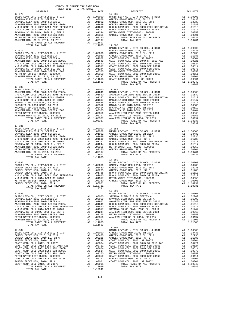| COUNTY OF ORANGE TAX RATE BOOK<br>$2017-2018~~\mbox{TRA}~~\mbox{TAX RATES}$ DISTRICT |          |                        |          |
|--------------------------------------------------------------------------------------|----------|------------------------|----------|
| $17 - 078$                                                                           | TAX RATE | DISTRICT<br>$17 - 085$ | TAX RATE |
|                                                                                      |          |                        |          |
|                                                                                      |          |                        |          |
|                                                                                      |          |                        |          |
| 17-081                                                                               |          |                        |          |
|                                                                                      |          |                        |          |
| $\frac{1}{2}$<br>TOTAL TAX RATE                                                      | 1.10731  | $17 - 089$             |          |
|                                                                                      |          | 17-090<br>$17 - 091$   |          |
| TOTAL TAX RATE                                                                       |          |                        |          |

| $17 - 080$ |            |  |
|------------|------------|--|
| $17 - 081$ |            |  |
|            |            |  |
|            |            |  |
|            |            |  |
|            | $17 - 091$ |  |

 $-144-$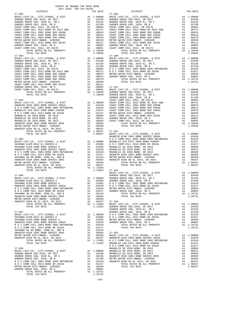| COUNTY OF ORANGE TAX RATE BOOK<br>2017-2018 TRA TAX RATES                                                         |          |                    |
|-------------------------------------------------------------------------------------------------------------------|----------|--------------------|
| DISTRICT                                                                                                          | TAX RATE |                    |
|                                                                                                                   |          |                    |
|                                                                                                                   |          |                    |
|                                                                                                                   |          |                    |
|                                                                                                                   |          |                    |
|                                                                                                                   |          |                    |
|                                                                                                                   |          |                    |
|                                                                                                                   |          |                    |
|                                                                                                                   |          |                    |
|                                                                                                                   |          |                    |
|                                                                                                                   |          |                    |
|                                                                                                                   |          |                    |
|                                                                                                                   |          |                    |
|                                                                                                                   |          |                    |
|                                                                                                                   |          |                    |
|                                                                                                                   |          |                    |
|                                                                                                                   |          |                    |
|                                                                                                                   |          |                    |
|                                                                                                                   |          |                    |
|                                                                                                                   |          |                    |
|                                                                                                                   |          |                    |
|                                                                                                                   |          |                    |
|                                                                                                                   |          |                    |
|                                                                                                                   |          |                    |
|                                                                                                                   |          | GARDEN             |
|                                                                                                                   |          |                    |
|                                                                                                                   |          |                    |
|                                                                                                                   |          |                    |
|                                                                                                                   |          |                    |
|                                                                                                                   |          |                    |
|                                                                                                                   |          |                    |
|                                                                                                                   |          |                    |
|                                                                                                                   |          |                    |
|                                                                                                                   |          |                    |
| TOTAL TAX RATE                                                                                                    | 1.08337  | BASIC L<br>ANAHEIM |
|                                                                                                                   |          |                    |
|                                                                                                                   |          |                    |
|                                                                                                                   |          |                    |
|                                                                                                                   |          |                    |
|                                                                                                                   |          |                    |
|                                                                                                                   |          |                    |
|                                                                                                                   |          |                    |
|                                                                                                                   |          |                    |
|                                                                                                                   |          |                    |
|                                                                                                                   |          | BASIC L            |
| 17-096                                                                                                            |          | GARDEN             |
| A1 1.00000 GARDEN<br>A1 .02969 GARDEN<br>A1 .01902 NOCC<br>A1 .01649 NOCC<br>BASIC LEVY-CO., CITY, SCHOOL, & DIST |          |                    |
| SAVANNA ELEM-2012 EL, SERIES A<br>SAVANNA ELEM-2008 BOND SERIES A                                                 |          |                    |
| ANAHEIM HIGH 2002 BOND SERIES 2002A                                                                               |          |                    |
|                                                                                                                   |          | METRO W            |
|                                                                                                                   |          | GARDEN             |
|                                                                                                                   |          |                    |
|                                                                                                                   |          |                    |
| ANAHEIM HIGH GO EL 2014, SR 2015                                                                                  |          |                    |
| TOTAL TAX RATE                                                                                                    | 1.11603  | GARDEN<br>GARDEN   |
| $17 - 097$                                                                                                        |          | GARDEN             |
|                                                                                                                   |          |                    |
|                                                                                                                   |          |                    |
|                                                                                                                   |          |                    |
|                                                                                                                   |          |                    |
|                                                                                                                   |          |                    |
|                                                                                                                   |          |                    |
|                                                                                                                   |          |                    |
|                                                                                                                   |          |                    |
| $17 - 098$                                                                                                        |          | NOCC<br>MAGNOLI    |
|                                                                                                                   |          |                    |
|                                                                                                                   |          |                    |
|                                                                                                                   |          |                    |
|                                                                                                                   |          |                    |
|                                                                                                                   |          |                    |
|                                                                                                                   |          |                    |
|                                                                                                                   |          |                    |
| TOTAL TAX RATE                                                                                                    | 1.10731  |                    |

| DISTRICT | TAX RATE | DISTRICT | TAX RATE |
|----------|----------|----------|----------|
|          |          |          |          |
|          |          |          |          |
|          |          |          |          |
|          |          |          |          |
|          |          |          |          |
|          |          |          |          |
|          |          |          |          |
|          |          |          |          |
|          |          |          |          |
|          |          |          |          |
|          |          |          |          |
|          |          |          |          |
|          |          |          |          |
|          |          |          |          |
|          |          |          |          |
|          |          |          |          |
|          |          |          |          |
|          |          |          |          |
|          |          |          |          |
|          |          |          |          |
|          |          |          |          |
|          |          |          |          |
|          |          |          |          |
|          |          |          |          |
|          |          |          |          |
|          |          |          |          |
|          |          |          |          |
|          |          |          |          |
|          |          |          |          |
|          |          |          |          |
|          |          |          |          |
|          |          |          |          |
|          |          |          |          |
|          |          |          |          |
|          |          |          |          |
|          |          |          |          |
|          |          |          |          |
|          |          |          |          |
|          |          |          |          |
|          |          |          |          |
|          |          |          |          |
|          |          |          |          |
|          |          |          |          |
|          |          |          |          |
|          |          |          |          |
|          |          |          |          |
|          |          |          |          |
|          |          |          |          |
|          |          |          |          |
|          |          |          |          |
|          |          |          |          |
|          |          |          |          |
|          |          |          |          |
|          |          |          |          |
|          |          |          |          |
|          |          |          |          |
|          |          |          |          |
|          |          |          |          |
|          |          |          |          |
|          |          |          |          |
|          |          |          |          |
|          |          |          |          |
|          |          |          |          |
|          |          |          |          |
|          |          |          |          |
|          |          |          |          |
|          |          |          |          |
|          |          |          |          |
|          |          |          |          |
|          |          |          |          |
|          |          |          |          |
|          |          |          |          |
|          |          |          |          |
|          |          |          |          |
|          |          |          |          |
|          |          |          |          |
|          |          |          |          |
|          |          |          |          |
|          |          |          |          |
|          |          |          |          |
|          |          |          |          |
|          |          |          |          |
|          |          |          |          |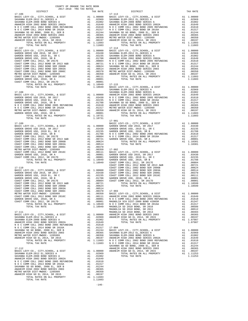| DISTRICT                                                              |    | TAX RATE                                                                       |                    |
|-----------------------------------------------------------------------|----|--------------------------------------------------------------------------------|--------------------|
| 17-106                                                                |    |                                                                                | 17-113             |
|                                                                       |    |                                                                                |                    |
|                                                                       |    |                                                                                |                    |
|                                                                       |    |                                                                                |                    |
|                                                                       |    |                                                                                |                    |
|                                                                       |    |                                                                                |                    |
|                                                                       |    |                                                                                |                    |
|                                                                       |    |                                                                                |                    |
|                                                                       |    |                                                                                |                    |
| TOTAL TAX RATE                                                        |    | 1.11603                                                                        |                    |
| $17 - 107$                                                            |    |                                                                                | $17 - 114$         |
|                                                                       |    |                                                                                |                    |
|                                                                       |    |                                                                                |                    |
|                                                                       |    |                                                                                |                    |
|                                                                       |    |                                                                                |                    |
|                                                                       |    |                                                                                |                    |
|                                                                       |    |                                                                                |                    |
|                                                                       |    |                                                                                |                    |
|                                                                       |    |                                                                                |                    |
|                                                                       |    |                                                                                |                    |
| COAST COMM COLL 2012, SR 2017D                                        |    |                                                                                |                    |
|                                                                       |    |                                                                                |                    |
|                                                                       |    |                                                                                |                    |
| 17-108                                                                |    |                                                                                | SAVANNA            |
|                                                                       |    |                                                                                |                    |
|                                                                       |    |                                                                                |                    |
|                                                                       |    |                                                                                |                    |
|                                                                       |    |                                                                                |                    |
|                                                                       |    |                                                                                |                    |
|                                                                       |    |                                                                                |                    |
|                                                                       |    |                                                                                |                    |
| TOTAL TAX RATE                                                        |    | 1.10731                                                                        | 17-901             |
| $17 - 109$                                                            |    |                                                                                | BASIC L            |
|                                                                       |    |                                                                                |                    |
|                                                                       |    |                                                                                |                    |
|                                                                       |    |                                                                                |                    |
|                                                                       |    |                                                                                |                    |
|                                                                       |    |                                                                                |                    |
|                                                                       |    |                                                                                |                    |
|                                                                       |    |                                                                                |                    |
|                                                                       |    |                                                                                |                    |
|                                                                       |    |                                                                                |                    |
|                                                                       |    |                                                                                |                    |
|                                                                       |    |                                                                                |                    |
|                                                                       |    |                                                                                |                    |
| $17 - 110$                                                            |    |                                                                                | COAST C<br>COAST C |
|                                                                       |    |                                                                                |                    |
|                                                                       |    |                                                                                |                    |
|                                                                       |    |                                                                                |                    |
|                                                                       |    |                                                                                |                    |
|                                                                       |    |                                                                                |                    |
|                                                                       |    |                                                                                |                    |
| COAST COMM COLL 2002 BOND SER 2006C                                   |    | A1 .00370 17-903                                                               |                    |
| METRO WATER DIST-MWDOC- 1205999                                       |    | A1 .00350 BASIC L                                                              |                    |
| COAST COMM COLL 2012 BOND SER 2016C                                   | A1 | .00111                                                                         | ANAHEIM            |
| GARDEN GROVE USD, 2010, SR A<br>COAST COMM COLL 2012, SR 2017D        |    |                                                                                |                    |
| TOTAL RATES ON ALL PROPERTY                                           |    | A1 .00001 MOCC<br>A1 .00001 MAGNOLI<br>A1 .00001 MAGNOLI<br>A1 1.10949 MAGNOLI |                    |
| TOTAL TAX RATE                                                        |    |                                                                                |                    |
| $17 - 111$                                                            |    |                                                                                | MAGNOLI<br>MAGNOLI |
|                                                                       |    |                                                                                |                    |
|                                                                       |    |                                                                                |                    |
|                                                                       |    |                                                                                |                    |
|                                                                       |    |                                                                                |                    |
|                                                                       |    |                                                                                |                    |
| SAVANNA SD GO BOND, 2008 EL, SER B                                    |    |                                                                                |                    |
| ANAHEIM HIGH 2002 BOND SERIES 2003<br>METRO WATER DIST-MWDOC- 1205999 |    |                                                                                |                    |
| ANAHEIM HIGH GO EL 2014, SR 2015                                      |    |                                                                                |                    |
|                                                                       |    |                                                                                |                    |
|                                                                       |    |                                                                                |                    |
| $17 - 112$                                                            |    |                                                                                | SAVANNA<br>ANAHEIM |
|                                                                       |    |                                                                                |                    |
|                                                                       |    |                                                                                |                    |
|                                                                       |    |                                                                                |                    |
|                                                                       |    |                                                                                |                    |
|                                                                       |    | A1 .01317                                                                      |                    |
|                                                                       |    | A1 .01244                                                                      |                    |
|                                                                       |    | .00365<br>.00350                                                               |                    |
|                                                                       |    | .00197                                                                         |                    |
|                                                                       |    | A1 1.11603                                                                     |                    |
| TOTAL TAX RATE                                                        |    | 1.11603                                                                        |                    |

 $-146-$ 

| $2017-2018 \quad \text{TRA RATES}$ DISTRICT $2017-2018 \quad \text{TRA TAX RATES}$ | TAX RATE | DISTRICT | TAX RATE |
|------------------------------------------------------------------------------------|----------|----------|----------|
|                                                                                    |          |          |          |
|                                                                                    |          |          |          |
|                                                                                    |          |          |          |
|                                                                                    |          |          |          |
|                                                                                    |          |          |          |
|                                                                                    |          |          |          |
|                                                                                    |          |          |          |
|                                                                                    |          |          |          |
|                                                                                    |          |          |          |
|                                                                                    |          |          |          |
|                                                                                    |          |          |          |
|                                                                                    |          |          |          |
|                                                                                    |          |          |          |
|                                                                                    |          |          |          |
|                                                                                    |          |          |          |
|                                                                                    |          |          |          |
|                                                                                    |          |          |          |
|                                                                                    |          |          |          |
|                                                                                    |          |          |          |
|                                                                                    |          |          |          |
|                                                                                    |          |          |          |
|                                                                                    |          |          |          |
|                                                                                    |          |          |          |
|                                                                                    |          |          |          |
|                                                                                    |          |          |          |
|                                                                                    |          |          |          |
|                                                                                    |          |          |          |
|                                                                                    |          |          |          |
|                                                                                    |          |          |          |
|                                                                                    |          |          |          |
|                                                                                    |          |          |          |
|                                                                                    |          |          |          |
|                                                                                    |          |          |          |
|                                                                                    |          |          |          |
|                                                                                    |          |          |          |
|                                                                                    |          |          |          |
|                                                                                    |          |          |          |
|                                                                                    |          |          |          |
|                                                                                    |          |          |          |
|                                                                                    |          |          |          |
|                                                                                    |          |          |          |
|                                                                                    |          |          |          |
|                                                                                    |          |          |          |
|                                                                                    |          |          |          |
|                                                                                    |          |          |          |
|                                                                                    |          |          |          |
|                                                                                    |          |          |          |
|                                                                                    |          |          |          |
|                                                                                    |          |          |          |
|                                                                                    |          |          |          |
|                                                                                    |          |          |          |
|                                                                                    |          |          |          |
|                                                                                    |          |          |          |
|                                                                                    |          |          |          |
|                                                                                    |          |          |          |
|                                                                                    |          |          |          |
|                                                                                    |          |          |          |
|                                                                                    |          |          |          |
|                                                                                    |          |          |          |
|                                                                                    |          |          |          |
|                                                                                    |          |          |          |
|                                                                                    |          |          |          |
|                                                                                    |          |          |          |
|                                                                                    |          |          |          |
|                                                                                    |          |          |          |
|                                                                                    |          |          |          |
|                                                                                    |          |          |          |
|                                                                                    |          |          |          |
|                                                                                    |          |          |          |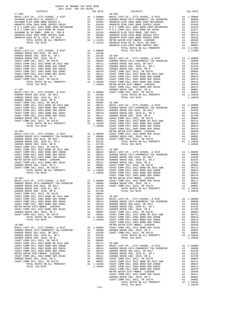| COUNTY OF ORANGE TAX RATE BOOK<br>2017-2018 TRA TAX RATES |          |          |          |
|-----------------------------------------------------------|----------|----------|----------|
|                                                           | TAX RATE | DISTRICT | TAX RATE |
|                                                           |          |          |          |
|                                                           |          |          |          |
|                                                           |          |          |          |
|                                                           |          |          |          |
|                                                           |          |          |          |
|                                                           |          |          |          |
|                                                           |          |          |          |
|                                                           |          |          |          |
|                                                           |          |          |          |
|                                                           |          |          |          |
|                                                           |          |          |          |
|                                                           |          |          |          |
|                                                           |          |          |          |
|                                                           |          |          |          |
|                                                           |          |          |          |
|                                                           |          |          |          |
|                                                           |          |          |          |
|                                                           |          |          |          |
|                                                           |          |          |          |
|                                                           |          |          |          |
|                                                           |          |          |          |
|                                                           |          |          |          |
|                                                           |          |          |          |
|                                                           |          |          |          |
|                                                           |          |          |          |
|                                                           |          |          |          |
|                                                           |          |          |          |
|                                                           |          |          |          |
|                                                           |          |          |          |
|                                                           |          |          |          |
|                                                           |          |          |          |
|                                                           |          |          |          |
|                                                           |          |          |          |
|                                                           |          |          |          |
|                                                           |          |          |          |
|                                                           |          |          |          |
|                                                           |          |          |          |
|                                                           |          |          |          |
|                                                           |          |          |          |
|                                                           |          |          |          |
|                                                           |          |          |          |
|                                                           |          |          |          |
|                                                           |          |          |          |
|                                                           |          |          |          |
|                                                           |          |          |          |
|                                                           |          |          |          |
|                                                           |          |          |          |
|                                                           |          |          |          |
|                                                           |          |          |          |
|                                                           |          |          |          |
|                                                           |          |          |          |
|                                                           |          |          |          |
|                                                           |          |          |          |
|                                                           |          |          |          |
|                                                           |          |          |          |
|                                                           |          |          |          |
|                                                           |          |          |          |
|                                                           |          |          |          |
|                                                           |          |          |          |
|                                                           |          |          |          |
|                                                           |          |          |          |
|                                                           |          |          |          |
|                                                           |          |          |          |
|                                                           |          |          |          |
|                                                           |          |          |          |
|                                                           |          |          |          |
|                                                           |          |          |          |
|                                                           |          |          |          |
|                                                           |          |          |          |
|                                                           |          |          |          |
|                                                           |          |          |          |
|                                                           |          |          |          |
|                                                           |          |          |          |
|                                                           |          |          |          |
|                                                           |          |          |          |
|                                                           |          |          |          |
|                                                           |          |          |          |
|                                                           |          |          |          |
|                                                           | $-147-$  |          |          |

 $-147-$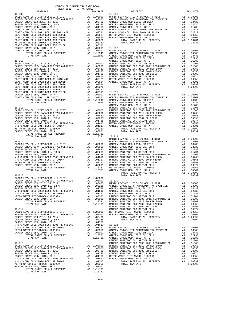| COUNTY OF ORANGE TAX RATE BOOK<br>2017-2018 TRA TAY PATES<br>2017-2018 TRA TAX RATES |          |          |          |
|--------------------------------------------------------------------------------------|----------|----------|----------|
| DISTRICT                                                                             | TAX RATE | DISTRICT | TAX RATE |
|                                                                                      |          |          |          |
|                                                                                      |          |          |          |
|                                                                                      |          |          |          |
|                                                                                      |          |          |          |
|                                                                                      |          |          |          |
|                                                                                      |          |          |          |
|                                                                                      |          |          |          |
|                                                                                      |          |          |          |
|                                                                                      |          |          |          |
|                                                                                      |          |          |          |
|                                                                                      |          |          |          |
|                                                                                      |          |          |          |
|                                                                                      |          |          |          |
|                                                                                      |          |          |          |
|                                                                                      |          |          |          |
|                                                                                      |          |          |          |
|                                                                                      |          |          |          |
|                                                                                      |          |          |          |
|                                                                                      |          |          |          |
|                                                                                      |          |          |          |
|                                                                                      |          |          |          |
|                                                                                      |          |          |          |
|                                                                                      |          |          |          |
|                                                                                      |          |          |          |
|                                                                                      |          |          |          |
|                                                                                      |          |          |          |
|                                                                                      |          |          |          |
|                                                                                      |          |          |          |
|                                                                                      |          |          |          |
|                                                                                      |          |          |          |
|                                                                                      |          |          |          |
|                                                                                      |          |          |          |
|                                                                                      |          |          |          |
|                                                                                      |          |          |          |
|                                                                                      |          |          |          |
|                                                                                      |          |          |          |
|                                                                                      |          |          |          |
|                                                                                      |          |          |          |
|                                                                                      |          |          |          |
|                                                                                      |          |          |          |
|                                                                                      |          |          |          |
|                                                                                      |          |          |          |
|                                                                                      |          |          |          |
|                                                                                      |          |          |          |
|                                                                                      |          |          |          |
|                                                                                      |          |          |          |
|                                                                                      |          |          |          |
|                                                                                      |          |          |          |
|                                                                                      |          |          |          |
|                                                                                      |          |          |          |
|                                                                                      |          |          |          |
|                                                                                      |          |          |          |
|                                                                                      |          |          |          |
|                                                                                      |          |          |          |
|                                                                                      |          |          |          |
|                                                                                      |          |          |          |
|                                                                                      |          |          |          |
|                                                                                      |          |          |          |
|                                                                                      |          |          |          |
|                                                                                      |          |          |          |
|                                                                                      |          |          |          |
|                                                                                      |          |          |          |
|                                                                                      |          |          |          |
|                                                                                      |          |          |          |
|                                                                                      |          |          |          |
|                                                                                      |          |          |          |
|                                                                                      |          |          |          |
|                                                                                      |          |          |          |
|                                                                                      |          |          |          |
|                                                                                      |          |          |          |
|                                                                                      |          |          |          |
|                                                                                      |          |          |          |
|                                                                                      |          |          |          |
|                                                                                      |          |          |          |
|                                                                                      |          |          |          |
|                                                                                      |          |          |          |
|                                                                                      |          |          |          |
|                                                                                      |          |          |          |
|                                                                                      |          |          |          |
|                                                                                      |          |          |          |
|                                                                                      |          |          |          |
|                                                                                      |          |          |          |
|                                                                                      |          |          |          |

 $-148-$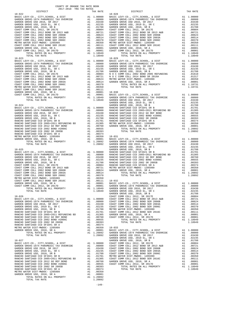| COUNTY OF ORANGE TAX RATE BOOK<br>2017-2018 TRA TAX RATES |  |  |  |
|-----------------------------------------------------------|--|--|--|
|                                                           |  |  |  |
|                                                           |  |  |  |
|                                                           |  |  |  |
|                                                           |  |  |  |
|                                                           |  |  |  |
|                                                           |  |  |  |
|                                                           |  |  |  |
|                                                           |  |  |  |
|                                                           |  |  |  |
|                                                           |  |  |  |
|                                                           |  |  |  |
|                                                           |  |  |  |
|                                                           |  |  |  |
|                                                           |  |  |  |
|                                                           |  |  |  |
|                                                           |  |  |  |
|                                                           |  |  |  |
|                                                           |  |  |  |
|                                                           |  |  |  |
|                                                           |  |  |  |
|                                                           |  |  |  |
|                                                           |  |  |  |
|                                                           |  |  |  |
|                                                           |  |  |  |
|                                                           |  |  |  |
|                                                           |  |  |  |
|                                                           |  |  |  |
|                                                           |  |  |  |
|                                                           |  |  |  |
|                                                           |  |  |  |
|                                                           |  |  |  |
|                                                           |  |  |  |
|                                                           |  |  |  |
|                                                           |  |  |  |
|                                                           |  |  |  |
|                                                           |  |  |  |
|                                                           |  |  |  |
|                                                           |  |  |  |
|                                                           |  |  |  |
|                                                           |  |  |  |
|                                                           |  |  |  |
|                                                           |  |  |  |
|                                                           |  |  |  |
|                                                           |  |  |  |
|                                                           |  |  |  |
|                                                           |  |  |  |
|                                                           |  |  |  |
|                                                           |  |  |  |
|                                                           |  |  |  |
|                                                           |  |  |  |
|                                                           |  |  |  |
|                                                           |  |  |  |
|                                                           |  |  |  |
|                                                           |  |  |  |
|                                                           |  |  |  |

 $-149-$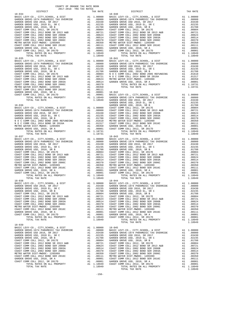$\begin{tabular}{lllllllllllllllllllll} \textsc{DISTRIC} & \textsc{DISTRIC} & \textsc{DISTRIC} & \textsc{DISTRIC} & \textsc{DISTRIC} & \textsc{DISTRIC} & \textsc{DISTRIC} & \textsc{DISTRIC} & \textsc{DISTRIC} & \textsc{DISTRIC} & \textsc{DISTRIC} & \textsc{DISTRIC} & \textsc{DISTRIC} & \textsc{DISTRIC} & \textsc{DISTRIC} & \textsc{DISTC} & \textsc{DISTC} & \textsc{DISTC} & \textsc{DISTC} & \textsc{DISTC} & \textsc{DISTC} & \textsc{DISTC} & \textsc{$  18-034 18-040 BASIC LEVY-CO., CITY,SCHOOL, & DIST A1 1.00000 BASIC LEVY-CO., CITY,SCHOOL, & DIST A1 1.00000 GARDEN GROVE-1974 PARAMEDIC TAX OVERRIDE A1 .08000 GARDEN GROVE-1974 PARAMEDIC TAX OVERRIDE A1 .08000 GARDEN GROVE USD 2016, SR 2017 A1 .03430 GARDEN GROVE USD 2016, SR 2017 A1 .03430 GARDEN GROVE USD, 2010 EL, SR C A1 .02235 GARDEN GROVE USD, 2010 EL, SR C A1 .02235 GARDEN GROVE USD, 2010, SR B A1 .01788 GARDEN GROVE USD, 2010, SR B A1 .01788 COAST COMM COLL 2012, SR 2017E A1 .00804 COAST COMM COLL 2012, SR 2017E A1 .00804 COAST COMM COLL 2012 BOND SR 2013 A&B A1 .00721 COAST COMM COLL 2012 BOND SR 2013 A&B A1 .00721 COAST COMM COLL 2002 BOND SER 2006B A1 .00624 COAST COMM COLL 2002 BOND SER 2006B A1 .00624 COAST COMM COLL 2002 BOND SER 2003A A1 .00514 COAST COMM COLL 2002 BOND SER 2003A A1 .00514 COAST COMM COLL 2002 BOND SER 2006C A1 .00370 COAST COMM COLL 2002 BOND SER 2006C A1 .00370 METRO WATER DIST-MWDOC- 1205999 A1 .00350 METRO WATER DIST-MWDOC- 1205999 A1 .00350 COAST COMM COLL 2012 BOND SER 2016C A1 .00111 COAST COMM COLL 2012 BOND SER 2016C A1 .00111 GARDEN GROVE USD, 2010, SR A A1 .00001 GARDEN GROVE USD, 2010, SR A A1 .00001 COAST COMM COLL 2012, SR 2017D A1 .00001 COAST COMM COLL 2012, SR 2017D A1 .00001 TOTAL RATES ON ALL PROPERTY A1 1.18949 TOTAL RATES ON ALL PROPERTY A1 1.18949 TOTAL TAX RATE 1.18949 TOTAL TAX RATE 1.18949 18-035 18-041 BASIC LEVY-CO., CITY, SCHOOL, & DIST<br>GARDEN GROVE-1974 PARAMEDIC TAX OVERRIDE A1 1.00000 BASIC LEVY-CO., CITY, SCHOOL, & DIST A1 1.00000<br>GARDEN GROVE USD 2016, SR 2017 A1 .08000 GARDEN GROVE-1979 2016, SR 2017 A1 .09430<br>GA GARDEN GROVE USD, 2010, SR B A1 .01788 GARDEN GROVE USD, 2010, SR B A1 .01788 COAST COMM COLL 2012, SR 2017E A1 .00804 N O C COMM COLL 2002 BOND 2005 REFUNDING A1 .01610 COAST COMM COLL 2012 BOND SR 2013 A&B A1 .00721 N O C COMM COLL 2014 BOND SR 2016A A1 .01317 COAST COMM COLL 2002 BOND SER 2006B A1 .00624 METRO WATER DIST-MWDOC- 1205999 A1 .00350 COAST COMM COLL 2002 BOND SER 2003A A1 .00514 GARDEN GROVE USD, 2010, SR A A1 .00001 COAST COMM COLL 2002 BOND SER 2006C A1 .00370 TOTAL RATES ON ALL PROPERTY A1 1.18731 METRO WATER DIST-MWDOC- 1205999 A1 .00350 TOTAL TAX RATE 1.18731 COAST COMM COLL 2012 BOND SER 2016C A1 .00111 GARDEN GROVE USD, 2010, SR A A1 .00001 18-042 COAST COMM COLL 2012, SR 2017D A1 .00001 BASIC LEVY-CO., CITY,SCHOOL, & DIST A1 1.00000 TOTAL RATES ON ALL PROPERTY A1 1.18949 GARDEN GROVE-1974 PARAMEDIC TAX OVERRIDE A1 .08000 TOTAL TAX RATE 1.18949 GARDEN GROVE USD 2016, SR 2017 A1 .03430 GARDEN GROVE USD, 2010 EL, SR C A1 .02235  $\begin{tabular}{l|c|c|c|c|c} \multicolumn{1}{c}{\textbf{0.8-3}} & $\textbf{0.8-3}\textbf{C} & $\textbf{0.8-3}\textbf{C}$ & $\textbf{0.8-3}\textbf{C}$ & $\textbf{0.8-3}\textbf{C}$ & $\textbf{0.8-3}\textbf{C}$ & $\textbf{0.8-3}\textbf{C}$ \\ \hline \textbf{BAREDEN GROVE-1974 PARAMEDIC TAX OVERIDE} & $\textbf{A1} & 0.0000 & $\textbf{COAST COMM COL} & 2012, $\textbf{S}\textbf{R}$ & $\textbf{0.8-3}\textbf{$  TOTAL TAX RATE 1.18731 TOTAL TAX RATE 1.18949 18-037 18-043 BASIC LEVY-CO., CITY,SCHOOL, & DIST A1 1.00000 BASIC LEVY-CO., CITY,SCHOOL, & DIST A1 1.00000 GARDEN GROVE-1974 PARAMEDIC TAX OVERRIDE A1 .08000 GARDEN GROVE-1974 PARAMEDIC TAX OVERRIDE A1 .08000 GARDEN GROVE USD 2016, SR 2017 A1 .03430 GARDEN GROVE USD 2016, SR 2017 A1 .03430 GARDEN GROVE USD, 2010 EL, SR C A1 .02235 GARDEN GROVE USD, 2010 EL, SR C A1 .02235 GARDEN GROVE USD, 2010, SR B A1 .01788 GARDEN GROVE USD, 2010, SR B A1 .01788 COAST COMM COLL 2012, SR 2017E A1 .00804 COAST COMM COLL 2012, SR 2017E A1 .00804 COAST COMM COLL 2012 BOND SR 2013 A&B A1 .00721 COAST COMM COLL 2012 BOND SR 2013 A&B A1 .00721 COAST COMM COLL 2002 BOND SER 2006B A1 .00624 COAST COMM COLL 2002 BOND SER 2006B A1 .00624 COAST COMM COLL 2002 BOND SER 2003A A1 .00514 COAST COMM COLL 2002 BOND SER 2003A A1 .00514 COAST COMM COLL 2002 BOND SER 2006C A1 .00370 COAST COMM COLL 2002 BOND SER 2006C A1 .00370 METRO WATER DIST-MWDOC- 1205999 A1 .00350 METRO WATER DIST-MWDOC- 1205999 A1 .00350 COAST COMM COLL 2012 BOND SER 2016C A1 .00111 COAST COMM COLL 2012 BOND SER 2016C A1 .00111 GARDEN GROVE USD, 2010, SR A A1 .00001 GARDEN GROVE USD, 2010, SR A A1 .00001 COAST COMM COLL 2012, SR 2017D A1 .00001 COAST COMM COLL 2012, SR 2017D A1 .00001 TOTAL RATES ON ALL PROPERTY A1 1.18949 TOTAL RATES ON ALL PROPERTY A1 1.18949 TOTAL TAX RATE 1.18949 TOTAL TAX RATE 1.18949  $\begin{tabular}{ c| c| c|c|c|c} 18-038 & 18-044 & 1.00000 & 18-044 & 1.00000 & 18-044 & 1.00000 & 18-044 & 1.00000 & 18-044 & 1.00000 & 10-044 & 1.00000 & 1.00000 & 1.00000 & 1.00000 & 1.00000 & 1.00000 & 1.00000 & 1.00000 & 1.00000 & 1.00000 & 1.00000 & 1$  TOTAL TAX RATE 1.18949 18-039 BASIC LEVY-CO., CITY,SCHOOL, & DIST A1 1.00000 18-045 GARDEN GROVE-1974 PARAMEDIC TAX OVERRIDE A1 .08000 BASIC LEVY-CO., CITY,SCHOOL, & DIST A1 1.00000 GARDEN GROVE USD 2016, SR 2017 A1 .03430 GARDEN GROVE-1974 PARAMEDIC TAX OVERRIDE A1 .08000 GARDEN GROVE USD, 2010 EL, SR C A1 .02235 GARDEN GROVE USD 2016, SR 2017 A1 .03430 GARDEN GROVE USD, 2010, SR B A1 .01788 GARDEN GROVE USD, 2010 EL, SR C A1 .02235 COAST COMM COLL 2012, SR 2017E A1 .00804 GARDEN GROVE USD, 2010, SR B A1 .01788 COAST COMM COLL 2012 BOND SR 2013 A&B A1 .00721 COAST COMM COLL 2012, SR 2017E A1 .00804 COAST COMM COLL 2002 BOND SER 2006B A1 .00624 COAST COMM COLL 2012 BOND SR 2013 A&B A1 .00721 COAST COMM COLL 2002 BOND SER 2003A A1 .00514 COAST COMM COLL 2002 BOND SER 2006B A1 .00624 COAST COMM COLL 2002 BOND SER 2006C A1 .00370 COAST COMM COLL 2002 BOND SER 2003A A1 .00514 METRO WATER DIST-MWDOC- 1205999 A1 .00350 COAST COMM COLL 2002 BOND SER 2006C A1 .00370 COAST COMM COLL 2012 BOND SER 2016C A1 .00111 METRO WATER DIST-MWDOC- 1205999 A1 .00350 GARDEN GROVE USD, 2010, SR A A1 .00001 COAST COMM COLL 2012 BOND SER 2016C A1 .00111 COAST COMM COLL 2012, SR 2017D A1 .00001 GARDEN GROVE USD, 2010, SR A A1 .00001 TOTAL RATES ON ALL PROPERTY A1 1.18949 COAST COMM COLL 2012, SR 2017D A1 .00001 TOTAL TAX RATE 1.18949 TOTAL RATES ON ALL PROPERTY A1 1.18949 TOTAL TAX RATE 1.18949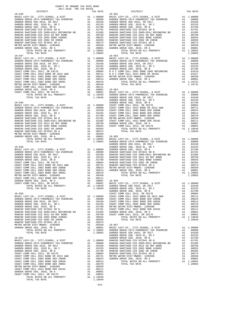| COUNTY OF ORANGE TAX RATE BOOK<br>2017-2018 TRA TAX RATES |  |                                                 |          |
|-----------------------------------------------------------|--|-------------------------------------------------|----------|
| DISTRICT<br>$18 - 046$                                    |  | IAA AAILS<br>TAX RATE<br>DISTRICT<br>$18 - 052$ | TAX RATE |
|                                                           |  |                                                 |          |
|                                                           |  |                                                 |          |
|                                                           |  |                                                 |          |
|                                                           |  |                                                 |          |
|                                                           |  |                                                 |          |
|                                                           |  |                                                 |          |
|                                                           |  |                                                 |          |
|                                                           |  |                                                 |          |
|                                                           |  |                                                 |          |
|                                                           |  |                                                 |          |
|                                                           |  |                                                 |          |
|                                                           |  |                                                 |          |
|                                                           |  |                                                 |          |
|                                                           |  |                                                 |          |
|                                                           |  |                                                 |          |
|                                                           |  |                                                 |          |
|                                                           |  |                                                 |          |
|                                                           |  |                                                 |          |
|                                                           |  |                                                 |          |
|                                                           |  |                                                 |          |
|                                                           |  |                                                 |          |
|                                                           |  |                                                 |          |
|                                                           |  |                                                 |          |
|                                                           |  |                                                 |          |
|                                                           |  |                                                 |          |
|                                                           |  |                                                 |          |
|                                                           |  |                                                 |          |
|                                                           |  |                                                 |          |
|                                                           |  |                                                 |          |
|                                                           |  |                                                 |          |
|                                                           |  |                                                 |          |
|                                                           |  |                                                 |          |
|                                                           |  |                                                 |          |
|                                                           |  |                                                 |          |
|                                                           |  |                                                 |          |
|                                                           |  |                                                 |          |
|                                                           |  |                                                 |          |
|                                                           |  |                                                 |          |
|                                                           |  |                                                 |          |
|                                                           |  |                                                 |          |
|                                                           |  |                                                 |          |
|                                                           |  |                                                 |          |
|                                                           |  |                                                 |          |
|                                                           |  |                                                 |          |
|                                                           |  |                                                 |          |
|                                                           |  |                                                 |          |
|                                                           |  |                                                 |          |
|                                                           |  |                                                 |          |
|                                                           |  |                                                 |          |
|                                                           |  |                                                 |          |
|                                                           |  |                                                 |          |
|                                                           |  |                                                 |          |

-151-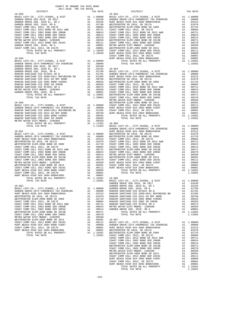| COUNTY OF ORANGE TAX RATE BOOK                                             |    |                     |                                  |
|----------------------------------------------------------------------------|----|---------------------|----------------------------------|
| 2017-2018 TRA TAX RATES<br>DISTRICT                                        |    | TAX RATE            |                                  |
| $18 - 058$                                                                 |    |                     | $18 - 063$                       |
|                                                                            |    |                     |                                  |
|                                                                            |    |                     |                                  |
|                                                                            |    |                     |                                  |
|                                                                            |    |                     |                                  |
|                                                                            |    |                     |                                  |
|                                                                            |    |                     |                                  |
|                                                                            |    |                     |                                  |
|                                                                            |    |                     |                                  |
|                                                                            |    |                     |                                  |
|                                                                            |    |                     |                                  |
|                                                                            |    |                     |                                  |
|                                                                            |    |                     |                                  |
|                                                                            |    |                     |                                  |
|                                                                            |    |                     | COAST C                          |
| $18 - 059$                                                                 |    |                     | HUNT BE                          |
|                                                                            |    |                     |                                  |
|                                                                            |    |                     |                                  |
|                                                                            |    |                     |                                  |
|                                                                            |    |                     |                                  |
|                                                                            |    |                     |                                  |
|                                                                            |    |                     |                                  |
|                                                                            |    |                     |                                  |
|                                                                            |    |                     |                                  |
|                                                                            |    |                     |                                  |
|                                                                            |    |                     |                                  |
|                                                                            |    |                     |                                  |
|                                                                            |    |                     |                                  |
|                                                                            |    |                     |                                  |
|                                                                            |    |                     |                                  |
|                                                                            |    |                     | METRO W                          |
|                                                                            |    |                     |                                  |
|                                                                            |    |                     |                                  |
|                                                                            |    |                     |                                  |
|                                                                            |    |                     |                                  |
|                                                                            |    |                     |                                  |
|                                                                            |    |                     |                                  |
|                                                                            |    |                     |                                  |
|                                                                            |    |                     |                                  |
|                                                                            |    |                     |                                  |
| $18 - 061$                                                                 |    |                     | HUNT BE                          |
|                                                                            |    |                     |                                  |
|                                                                            |    |                     |                                  |
|                                                                            |    |                     |                                  |
|                                                                            |    |                     |                                  |
|                                                                            |    |                     |                                  |
|                                                                            |    |                     |                                  |
|                                                                            |    |                     |                                  |
|                                                                            |    |                     |                                  |
|                                                                            |    |                     |                                  |
|                                                                            |    |                     |                                  |
|                                                                            |    |                     |                                  |
|                                                                            |    |                     |                                  |
|                                                                            |    |                     |                                  |
|                                                                            |    |                     |                                  |
|                                                                            |    |                     |                                  |
|                                                                            |    |                     |                                  |
|                                                                            |    |                     |                                  |
|                                                                            |    |                     | GARDEN                           |
| $18 - 062$                                                                 |    |                     | GARDEN                           |
| BASIC LEVY-CO., CITY, SCHOOL, & DIST                                       | A1 | 1.00000             | GARDEN                           |
| GARDEN GROVE-1974 PARAMEDIC TAX OVERRIDE                                   | A1 | .08000              | RANCHO                           |
| HUNT BEACH HIGH SCH 2004 BOND#2004A                                        | A1 | .02313              | RANCHO                           |
| WESTMINSTER SD 2016, SR 2017A                                              | A1 | .01978              | RANCHO                           |
| WESTMINSTER ELEM-2008 BOND SR 2009                                         | A1 | .01733              | RANCHO                           |
| COAST COMM COLL 2012, SR 2017E                                             | A1 | .00804              | RANCHO                           |
| COAST COMM COLL 2012 BOND SR 2013 A&B                                      | A1 | .00721              | RANCHO                           |
| COAST COMM COLL 2002 BOND SER 2006B                                        | A1 | .00624              | METRO W<br>GARDEN                |
| COAST COMM COLL 2002 BOND SER 2003A<br>WESTMINSTER ELEM-2008 BOND SR 2013B | A1 | .00514<br>A1 .00471 |                                  |
| COAST COMM COLL 2002 BOND SER 2006C                                        |    | A1 .00370           |                                  |
| METRO WATER DIST-MWDOC- 1205999                                            | A1 | .00350              |                                  |
| WESTMINSTER ELEM-2008 BOND SR 2013                                         | A1 | .00301              | $18 - 067$                       |
| COAST COMM COLL 2012 BOND SER 2016C                                        | A1 | .00111              | BASIC L                          |
| HUNT BEACH HIGH SCH 2004 BOND #2007                                        | A1 | .00089              | GARDEN                           |
| COAST COMM COLL 2012, SR 2017D                                             | A1 |                     | .00001 HUNT BE<br>.00001 WESTMIN |
| HUNT BEACH HIGH SCH 2004 BOND#2005                                         | A1 |                     |                                  |
| TOTAL RATES ON ALL PROPERTY                                                |    | A1 1.18381          | WESTMIN                          |
| TOTAL TAX RATE                                                             |    | 1.18381             | COAST C<br>COAST C               |
|                                                                            |    |                     | COAST C                          |

| 2017-2018 TRA TAX RATES<br>DISTRICT | TAX RATE | DISTRICT | TAX RATE |
|-------------------------------------|----------|----------|----------|
|                                     |          |          |          |
|                                     |          |          |          |
|                                     |          |          |          |
|                                     |          |          |          |
|                                     |          |          |          |
|                                     |          |          |          |
|                                     |          |          |          |
|                                     |          |          |          |
|                                     |          |          |          |
|                                     |          |          |          |
|                                     |          |          |          |
|                                     |          |          |          |
|                                     |          |          |          |
|                                     |          |          |          |
|                                     |          |          |          |
|                                     |          |          |          |
|                                     |          |          |          |
|                                     |          |          |          |
|                                     |          |          |          |
|                                     |          |          |          |
|                                     |          |          |          |
|                                     |          |          |          |
|                                     |          |          |          |
|                                     |          |          |          |
|                                     |          |          |          |
|                                     |          |          |          |
|                                     |          |          |          |
|                                     |          |          |          |
|                                     |          |          |          |
|                                     |          |          |          |
|                                     |          |          |          |
|                                     |          |          |          |
|                                     |          |          |          |
|                                     |          |          |          |
|                                     |          |          |          |
|                                     |          |          |          |
|                                     |          |          |          |
|                                     |          |          |          |
|                                     |          |          |          |
|                                     |          |          |          |
|                                     |          |          |          |
|                                     |          |          |          |
|                                     |          |          |          |
|                                     |          |          |          |
|                                     |          |          |          |
|                                     |          |          |          |
|                                     |          |          |          |
|                                     |          |          |          |
|                                     |          |          |          |
|                                     |          |          |          |
|                                     |          |          |          |
|                                     |          |          |          |
|                                     |          |          |          |
|                                     |          |          |          |
|                                     |          |          |          |
|                                     |          |          |          |
|                                     |          |          |          |
|                                     |          |          |          |
|                                     |          |          |          |
|                                     |          |          |          |
|                                     |          |          |          |
|                                     |          |          |          |
|                                     |          |          |          |
|                                     |          |          |          |
|                                     |          |          |          |
|                                     |          |          |          |
|                                     |          |          |          |
|                                     |          |          |          |
|                                     |          |          |          |
|                                     |          |          |          |
|                                     |          |          |          |
|                                     |          |          |          |
|                                     |          |          |          |
|                                     |          |          |          |
|                                     |          |          |          |
|                                     |          |          |          |
|                                     |          |          |          |
|                                     |          |          |          |
|                                     |          |          |          |
|                                     |          |          |          |
|                                     |          |          |          |
|                                     |          |          |          |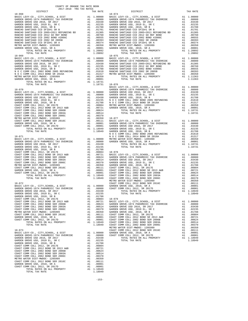| 2017-2018 TRA TAX RATES<br>DISTRICT | TAX RATE       | DISTRICT   | TAX RATE |
|-------------------------------------|----------------|------------|----------|
| $18 - 068$                          |                | $18 - 074$ |          |
|                                     |                |            |          |
|                                     |                |            |          |
|                                     |                |            |          |
|                                     |                |            |          |
|                                     |                |            |          |
|                                     |                |            |          |
|                                     |                |            |          |
|                                     |                |            |          |
|                                     |                |            |          |
|                                     |                |            |          |
|                                     |                |            |          |
|                                     |                |            |          |
| $18 - 069$                          |                | $18 - 075$ |          |
|                                     |                |            |          |
|                                     |                |            |          |
|                                     |                |            |          |
|                                     |                |            |          |
|                                     |                |            |          |
|                                     |                |            |          |
|                                     |                |            |          |
|                                     |                |            |          |
|                                     | 1.18731 18-076 |            |          |
|                                     |                |            |          |
|                                     |                |            |          |
|                                     |                |            |          |
|                                     |                |            |          |
|                                     |                |            |          |
|                                     |                |            |          |
|                                     |                |            |          |
|                                     |                |            |          |
|                                     |                |            |          |
|                                     |                |            |          |
|                                     |                |            |          |
|                                     |                |            |          |
|                                     |                |            |          |
|                                     |                |            |          |
|                                     |                |            |          |
|                                     |                |            |          |
|                                     |                |            |          |
|                                     |                |            |          |
|                                     |                |            |          |
|                                     |                |            |          |
|                                     |                |            |          |
|                                     |                |            |          |
|                                     |                |            |          |
|                                     |                |            |          |
|                                     |                |            |          |
|                                     |                |            |          |
|                                     |                |            |          |
|                                     |                |            |          |
|                                     |                |            |          |
|                                     |                |            |          |
|                                     |                |            |          |
|                                     |                |            |          |
|                                     |                |            |          |
|                                     |                |            |          |
|                                     |                |            |          |
|                                     |                |            |          |
|                                     |                |            |          |
|                                     |                |            |          |
|                                     |                |            |          |
|                                     |                |            |          |
|                                     |                |            |          |
|                                     |                |            |          |
|                                     |                |            |          |
|                                     |                |            |          |
|                                     |                |            |          |
|                                     |                |            |          |
|                                     |                |            |          |
|                                     |                |            |          |
|                                     |                |            |          |
|                                     |                |            |          |
|                                     |                |            |          |
|                                     |                |            |          |
|                                     |                |            |          |
|                                     |                |            |          |
|                                     |                |            |          |
|                                     |                |            |          |
|                                     |                |            |          |
|                                     |                |            |          |
|                                     |                |            |          |
|                                     |                |            |          |
|                                     |                |            |          |

COUNTY OF ORANGE TAX RATE BOOK

-153-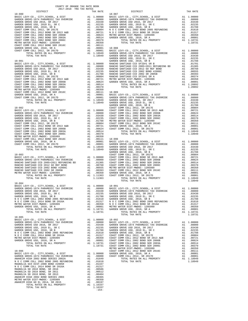| TAX RATE<br>DISTRICT                                                                                                                                                                                                               |         | DISTRICT | TAX RATE |
|------------------------------------------------------------------------------------------------------------------------------------------------------------------------------------------------------------------------------------|---------|----------|----------|
|                                                                                                                                                                                                                                    |         |          |          |
|                                                                                                                                                                                                                                    |         |          |          |
|                                                                                                                                                                                                                                    |         |          |          |
|                                                                                                                                                                                                                                    |         |          |          |
|                                                                                                                                                                                                                                    |         |          |          |
|                                                                                                                                                                                                                                    |         |          |          |
|                                                                                                                                                                                                                                    |         |          |          |
|                                                                                                                                                                                                                                    |         |          |          |
|                                                                                                                                                                                                                                    |         |          |          |
|                                                                                                                                                                                                                                    |         |          |          |
|                                                                                                                                                                                                                                    |         |          |          |
|                                                                                                                                                                                                                                    |         |          |          |
|                                                                                                                                                                                                                                    |         |          |          |
|                                                                                                                                                                                                                                    |         |          |          |
|                                                                                                                                                                                                                                    |         |          |          |
|                                                                                                                                                                                                                                    |         |          |          |
|                                                                                                                                                                                                                                    |         |          |          |
|                                                                                                                                                                                                                                    |         |          |          |
|                                                                                                                                                                                                                                    |         |          |          |
|                                                                                                                                                                                                                                    |         |          |          |
|                                                                                                                                                                                                                                    |         |          |          |
|                                                                                                                                                                                                                                    |         |          |          |
|                                                                                                                                                                                                                                    |         |          |          |
|                                                                                                                                                                                                                                    |         |          |          |
|                                                                                                                                                                                                                                    |         |          |          |
|                                                                                                                                                                                                                                    |         |          |          |
|                                                                                                                                                                                                                                    |         |          |          |
|                                                                                                                                                                                                                                    |         |          |          |
|                                                                                                                                                                                                                                    |         |          |          |
|                                                                                                                                                                                                                                    |         |          |          |
|                                                                                                                                                                                                                                    |         |          |          |
|                                                                                                                                                                                                                                    |         |          |          |
|                                                                                                                                                                                                                                    |         |          |          |
|                                                                                                                                                                                                                                    |         |          |          |
|                                                                                                                                                                                                                                    |         |          |          |
|                                                                                                                                                                                                                                    |         |          |          |
| $18 - 084$                                                                                                                                                                                                                         |         |          |          |
| EXECTRIC LEVY-CO., CITY, SCHOOL, & DIST<br>CARDEN GROVE-1974 PARAMEDIC TAX OVERRIDE A1 .08000 BASIC LEVY-CO., CITY, SCHOOL, & DIST A1 1.00000<br>GARDEN GROVE USD 2016, SR 2017 A1 .08000 A1 .03430 GARDEN GROVE-1974 PARAMEDIC TA |         |          |          |
|                                                                                                                                                                                                                                    |         |          |          |
|                                                                                                                                                                                                                                    |         |          |          |
|                                                                                                                                                                                                                                    |         |          |          |
|                                                                                                                                                                                                                                    |         |          |          |
|                                                                                                                                                                                                                                    |         |          |          |
| $18 - 085$                                                                                                                                                                                                                         |         |          |          |
|                                                                                                                                                                                                                                    |         |          |          |
|                                                                                                                                                                                                                                    |         |          |          |
|                                                                                                                                                                                                                                    |         |          |          |
|                                                                                                                                                                                                                                    |         |          |          |
|                                                                                                                                                                                                                                    |         |          |          |
|                                                                                                                                                                                                                                    |         |          |          |
|                                                                                                                                                                                                                                    |         |          |          |
|                                                                                                                                                                                                                                    |         |          |          |
|                                                                                                                                                                                                                                    |         |          |          |
|                                                                                                                                                                                                                                    |         |          |          |
|                                                                                                                                                                                                                                    |         |          |          |
|                                                                                                                                                                                                                                    |         |          |          |
|                                                                                                                                                                                                                                    |         |          |          |
|                                                                                                                                                                                                                                    |         |          |          |
|                                                                                                                                                                                                                                    |         |          |          |
|                                                                                                                                                                                                                                    | $-154-$ |          |          |
|                                                                                                                                                                                                                                    |         |          |          |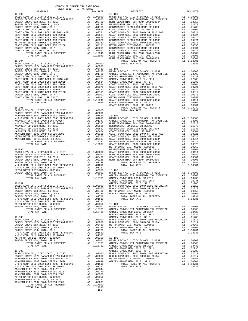| COUNTY OF ORANGE TAX RATE BOOK                                                                                                                                                                                                          |          |          |          |
|-----------------------------------------------------------------------------------------------------------------------------------------------------------------------------------------------------------------------------------------|----------|----------|----------|
| $2017-2018 \quad \text{TRA RATES}$ DISTRICT $\hspace{2.5cm}$                                                                                                                                                                            | TAX RATE | DISTRICT | TAX RATE |
|                                                                                                                                                                                                                                         |          |          |          |
|                                                                                                                                                                                                                                         |          |          |          |
|                                                                                                                                                                                                                                         |          |          |          |
|                                                                                                                                                                                                                                         |          |          |          |
|                                                                                                                                                                                                                                         |          |          |          |
|                                                                                                                                                                                                                                         |          |          |          |
|                                                                                                                                                                                                                                         |          |          |          |
|                                                                                                                                                                                                                                         |          |          |          |
|                                                                                                                                                                                                                                         |          |          |          |
|                                                                                                                                                                                                                                         |          |          |          |
|                                                                                                                                                                                                                                         |          |          |          |
|                                                                                                                                                                                                                                         |          |          |          |
|                                                                                                                                                                                                                                         |          |          |          |
|                                                                                                                                                                                                                                         |          |          |          |
|                                                                                                                                                                                                                                         |          |          |          |
|                                                                                                                                                                                                                                         |          |          |          |
|                                                                                                                                                                                                                                         |          |          |          |
|                                                                                                                                                                                                                                         |          |          |          |
|                                                                                                                                                                                                                                         |          |          |          |
|                                                                                                                                                                                                                                         |          |          |          |
|                                                                                                                                                                                                                                         |          |          |          |
|                                                                                                                                                                                                                                         |          |          |          |
|                                                                                                                                                                                                                                         |          |          |          |
|                                                                                                                                                                                                                                         |          |          |          |
|                                                                                                                                                                                                                                         |          |          |          |
|                                                                                                                                                                                                                                         |          |          |          |
|                                                                                                                                                                                                                                         |          |          |          |
|                                                                                                                                                                                                                                         |          |          |          |
|                                                                                                                                                                                                                                         |          |          |          |
|                                                                                                                                                                                                                                         |          |          |          |
|                                                                                                                                                                                                                                         |          |          |          |
|                                                                                                                                                                                                                                         |          |          |          |
|                                                                                                                                                                                                                                         |          |          |          |
|                                                                                                                                                                                                                                         |          |          |          |
|                                                                                                                                                                                                                                         |          |          |          |
|                                                                                                                                                                                                                                         |          |          |          |
|                                                                                                                                                                                                                                         |          |          |          |
|                                                                                                                                                                                                                                         |          |          |          |
|                                                                                                                                                                                                                                         |          |          |          |
|                                                                                                                                                                                                                                         |          |          |          |
|                                                                                                                                                                                                                                         |          |          |          |
|                                                                                                                                                                                                                                         |          |          |          |
|                                                                                                                                                                                                                                         |          |          |          |
|                                                                                                                                                                                                                                         |          |          |          |
|                                                                                                                                                                                                                                         |          |          |          |
|                                                                                                                                                                                                                                         |          |          |          |
|                                                                                                                                                                                                                                         |          |          |          |
|                                                                                                                                                                                                                                         |          |          |          |
|                                                                                                                                                                                                                                         |          |          |          |
|                                                                                                                                                                                                                                         |          |          |          |
|                                                                                                                                                                                                                                         |          |          |          |
|                                                                                                                                                                                                                                         |          |          |          |
|                                                                                                                                                                                                                                         |          |          |          |
|                                                                                                                                                                                                                                         |          |          |          |
|                                                                                                                                                                                                                                         |          |          |          |
|                                                                                                                                                                                                                                         |          |          |          |
|                                                                                                                                                                                                                                         |          |          |          |
|                                                                                                                                                                                                                                         |          |          |          |
|                                                                                                                                                                                                                                         |          |          |          |
|                                                                                                                                                                                                                                         |          |          |          |
|                                                                                                                                                                                                                                         |          |          |          |
|                                                                                                                                                                                                                                         |          |          |          |
|                                                                                                                                                                                                                                         |          |          |          |
|                                                                                                                                                                                                                                         |          |          |          |
|                                                                                                                                                                                                                                         |          |          |          |
|                                                                                                                                                                                                                                         |          |          |          |
|                                                                                                                                                                                                                                         |          |          |          |
|                                                                                                                                                                                                                                         |          |          |          |
|                                                                                                                                                                                                                                         |          |          |          |
|                                                                                                                                                                                                                                         |          |          |          |
|                                                                                                                                                                                                                                         |          |          |          |
|                                                                                                                                                                                                                                         |          |          |          |
|                                                                                                                                                                                                                                         |          |          |          |
|                                                                                                                                                                                                                                         |          |          |          |
|                                                                                                                                                                                                                                         |          |          |          |
|                                                                                                                                                                                                                                         |          |          |          |
|                                                                                                                                                                                                                                         |          |          |          |
|                                                                                                                                                                                                                                         |          |          |          |
|                                                                                                                                                                                                                                         |          |          |          |
|                                                                                                                                                                                                                                         |          |          |          |
| 18-097 (EVAP-CO., CTF, SCIOOL, & DIST<br>3ASIC LEW1-CO., CTF, SCIOOL, & DIST<br>3ASIC LEW1-CO., CTF, SCIOOL, & DIST<br>3ASIC LEW1-CO., CTF, SCIOOL, & DIST<br>3ASIC LEW1-CO., CTF, SCIOOL, & DIST<br>3ASIC LEW1-CO., CTF, SCIOOL, & DIS |          |          |          |
|                                                                                                                                                                                                                                         |          |          |          |

-155-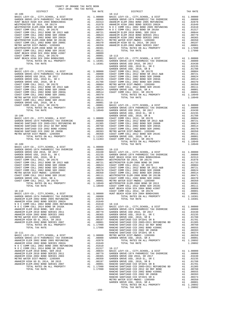| COUNTY OF ORANGE TAX RATE BOOK<br>2017-2018 TRA TAX RATES |  |                      |          |
|-----------------------------------------------------------|--|----------------------|----------|
| DISTRICT                                                  |  | TAX RATE<br>DISTRICT | TAX RATE |
|                                                           |  |                      |          |
|                                                           |  |                      |          |
|                                                           |  |                      |          |
|                                                           |  |                      |          |
|                                                           |  |                      |          |
|                                                           |  |                      |          |
|                                                           |  |                      |          |
|                                                           |  |                      |          |
|                                                           |  |                      |          |
|                                                           |  |                      |          |
|                                                           |  |                      |          |
|                                                           |  |                      |          |
|                                                           |  |                      |          |
|                                                           |  |                      |          |
|                                                           |  |                      |          |
|                                                           |  |                      |          |
|                                                           |  |                      |          |
|                                                           |  |                      |          |
|                                                           |  |                      |          |
|                                                           |  |                      |          |
|                                                           |  |                      |          |
|                                                           |  |                      |          |
|                                                           |  |                      |          |
|                                                           |  |                      |          |
|                                                           |  |                      |          |
|                                                           |  |                      |          |
|                                                           |  |                      |          |
|                                                           |  |                      |          |
|                                                           |  |                      |          |
|                                                           |  |                      |          |
|                                                           |  |                      |          |
|                                                           |  |                      |          |
|                                                           |  |                      |          |
|                                                           |  |                      |          |
|                                                           |  |                      |          |
|                                                           |  |                      |          |
|                                                           |  |                      |          |
| $18 - 109$                                                |  | TOTAL TAX RATE       | 1.18949  |
|                                                           |  |                      |          |
|                                                           |  |                      |          |
|                                                           |  |                      |          |
|                                                           |  |                      |          |
|                                                           |  |                      |          |
|                                                           |  |                      |          |
|                                                           |  |                      |          |
|                                                           |  |                      |          |
|                                                           |  |                      |          |
|                                                           |  |                      |          |
|                                                           |  |                      |          |
|                                                           |  |                      |          |
|                                                           |  |                      |          |
|                                                           |  |                      |          |
|                                                           |  |                      |          |
|                                                           |  |                      |          |
|                                                           |  |                      |          |
|                                                           |  |                      |          |
|                                                           |  |                      |          |
|                                                           |  |                      |          |
|                                                           |  |                      |          |
|                                                           |  |                      |          |
|                                                           |  |                      |          |
|                                                           |  |                      |          |
|                                                           |  |                      |          |
|                                                           |  |                      |          |
|                                                           |  |                      |          |
|                                                           |  |                      |          |
|                                                           |  |                      |          |
|                                                           |  |                      |          |
|                                                           |  |                      |          |
|                                                           |  |                      |          |
|                                                           |  |                      |          |
|                                                           |  |                      |          |
|                                                           |  |                      |          |
|                                                           |  |                      |          |
|                                                           |  |                      |          |
|                                                           |  |                      |          |

| TAX RATE<br>DISTRICT |         | DISTRICT | TAX RATE |
|----------------------|---------|----------|----------|
|                      |         |          |          |
|                      |         |          |          |
|                      |         |          |          |
|                      |         |          |          |
|                      |         |          |          |
|                      |         |          |          |
|                      |         |          |          |
|                      |         |          |          |
|                      |         |          |          |
|                      |         |          |          |
|                      |         |          |          |
|                      |         |          |          |
|                      |         |          |          |
|                      |         |          |          |
|                      |         |          |          |
|                      |         |          |          |
|                      |         |          |          |
|                      |         |          |          |
|                      |         |          |          |
|                      |         |          |          |
|                      |         |          |          |
|                      |         |          |          |
|                      |         |          |          |
|                      |         |          |          |
|                      |         |          |          |
|                      |         |          |          |
|                      |         |          |          |
|                      |         |          |          |
|                      |         |          |          |
|                      |         |          |          |
|                      |         |          |          |
|                      |         |          |          |
|                      |         |          |          |
|                      |         |          |          |
|                      |         |          |          |
|                      |         |          |          |
|                      |         |          |          |
|                      |         |          |          |
|                      |         |          |          |
|                      |         |          |          |
|                      |         |          |          |
|                      |         |          |          |
|                      |         |          |          |
|                      |         |          |          |
|                      |         |          |          |
|                      |         |          |          |
|                      |         |          |          |
|                      |         |          |          |
|                      |         |          |          |
|                      |         |          |          |
|                      |         |          |          |
|                      |         |          |          |
|                      |         |          |          |
|                      |         |          |          |
|                      |         |          |          |
|                      |         |          |          |
|                      |         |          |          |
|                      |         |          |          |
|                      |         |          |          |
|                      |         |          |          |
|                      |         |          |          |
|                      |         |          |          |
|                      |         |          |          |
|                      |         |          |          |
|                      |         |          |          |
|                      |         |          |          |
|                      |         |          |          |
|                      |         |          |          |
|                      |         |          |          |
|                      |         |          |          |
|                      |         |          |          |
|                      |         |          |          |
|                      |         |          |          |
|                      |         |          |          |
|                      |         |          |          |
|                      |         |          |          |
|                      |         |          |          |
|                      |         |          |          |
|                      |         |          |          |
|                      |         |          |          |
|                      |         |          |          |
|                      |         |          |          |
|                      |         |          |          |
|                      |         |          |          |
|                      |         |          |          |
|                      |         |          |          |
|                      |         |          |          |
|                      |         |          |          |
|                      |         |          |          |
|                      |         |          |          |
|                      |         |          |          |
|                      |         |          |          |
|                      |         |          |          |
|                      | $-156-$ |          |          |
|                      |         |          |          |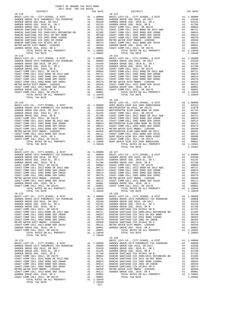| DISTRICT   | TAX RATE | DISTRICT       | TAX RATE |
|------------|----------|----------------|----------|
| $18 - 118$ |          | 18-124         |          |
|            |          |                |          |
|            |          |                |          |
|            |          |                |          |
|            |          |                |          |
|            |          |                |          |
|            |          |                |          |
|            |          |                |          |
|            |          |                |          |
|            |          |                |          |
|            |          |                |          |
|            |          |                |          |
|            |          |                |          |
|            |          |                |          |
|            |          |                |          |
| $18 - 119$ |          | $18 - 125$     |          |
|            |          |                |          |
|            |          |                |          |
|            |          |                |          |
|            |          |                |          |
|            |          |                |          |
|            |          |                |          |
|            |          |                |          |
|            |          |                |          |
|            |          |                |          |
|            |          |                |          |
|            |          |                |          |
|            |          |                |          |
|            |          |                |          |
|            |          |                |          |
|            |          |                |          |
|            |          |                |          |
|            |          | $18 - 126$     |          |
|            |          |                |          |
|            |          |                |          |
|            |          |                |          |
|            |          |                |          |
|            |          |                |          |
|            |          |                |          |
|            |          |                |          |
|            |          |                |          |
|            |          |                |          |
|            |          |                |          |
|            |          |                |          |
|            |          |                |          |
|            |          |                |          |
|            |          |                |          |
|            |          |                |          |
|            |          |                |          |
|            |          |                |          |
|            |          | TOTAL TAX RATE | 1.10381  |
| $18 - 121$ |          |                |          |
|            |          |                |          |
|            |          |                |          |
|            |          |                |          |
|            |          |                |          |
|            |          |                |          |
|            |          |                |          |
|            |          |                |          |
|            |          |                |          |
|            |          |                |          |
|            |          |                |          |
|            |          |                |          |
|            |          |                |          |
|            |          |                |          |
|            |          |                |          |
|            |          |                |          |
| $18 - 122$ |          | $18 - 128$     |          |
|            |          |                |          |
|            |          |                |          |
|            |          |                |          |
|            |          |                |          |
|            |          |                |          |
|            |          |                |          |
|            |          |                |          |
|            |          |                |          |
|            |          |                |          |
|            |          |                |          |
|            |          |                |          |
|            |          |                |          |
|            |          |                |          |
|            |          |                |          |
|            |          |                |          |
|            |          |                |          |
|            |          |                |          |
|            |          |                |          |
|            |          |                |          |
|            |          |                |          |
|            |          |                |          |
|            |          |                |          |
|            |          |                |          |
|            |          |                |          |
|            |          |                |          |
|            |          |                |          |
|            |          |                |          |
|            |          |                |          |
|            |          |                |          |
|            |          |                |          |
|            |          |                |          |
|            |          |                |          |
|            |          |                |          |
|            |          |                |          |
|            |          |                |          |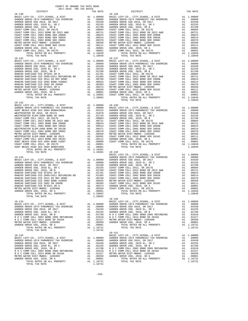| COUNTY OF ORANGE TAX RATE BOOK<br>2017-2018 יאם אחד מ<br>2017-2018 TRA TAX RATES                                                                                                                                                                                                                                                                                                                                                              |  |          |            |          |  |  |  |
|-----------------------------------------------------------------------------------------------------------------------------------------------------------------------------------------------------------------------------------------------------------------------------------------------------------------------------------------------------------------------------------------------------------------------------------------------|--|----------|------------|----------|--|--|--|
| DISTRICT                                                                                                                                                                                                                                                                                                                                                                                                                                      |  | TAX RATE | DISTRICT   | TAX RATE |  |  |  |
| $18 - 130$                                                                                                                                                                                                                                                                                                                                                                                                                                    |  |          | $18 - 136$ |          |  |  |  |
|                                                                                                                                                                                                                                                                                                                                                                                                                                               |  |          |            |          |  |  |  |
|                                                                                                                                                                                                                                                                                                                                                                                                                                               |  |          |            |          |  |  |  |
|                                                                                                                                                                                                                                                                                                                                                                                                                                               |  |          |            |          |  |  |  |
|                                                                                                                                                                                                                                                                                                                                                                                                                                               |  |          |            |          |  |  |  |
|                                                                                                                                                                                                                                                                                                                                                                                                                                               |  |          |            |          |  |  |  |
|                                                                                                                                                                                                                                                                                                                                                                                                                                               |  |          |            |          |  |  |  |
|                                                                                                                                                                                                                                                                                                                                                                                                                                               |  |          |            |          |  |  |  |
|                                                                                                                                                                                                                                                                                                                                                                                                                                               |  |          |            |          |  |  |  |
|                                                                                                                                                                                                                                                                                                                                                                                                                                               |  |          |            |          |  |  |  |
|                                                                                                                                                                                                                                                                                                                                                                                                                                               |  |          |            |          |  |  |  |
|                                                                                                                                                                                                                                                                                                                                                                                                                                               |  |          |            |          |  |  |  |
|                                                                                                                                                                                                                                                                                                                                                                                                                                               |  |          |            |          |  |  |  |
|                                                                                                                                                                                                                                                                                                                                                                                                                                               |  |          |            |          |  |  |  |
|                                                                                                                                                                                                                                                                                                                                                                                                                                               |  |          |            |          |  |  |  |
|                                                                                                                                                                                                                                                                                                                                                                                                                                               |  |          |            |          |  |  |  |
|                                                                                                                                                                                                                                                                                                                                                                                                                                               |  |          |            |          |  |  |  |
|                                                                                                                                                                                                                                                                                                                                                                                                                                               |  |          |            |          |  |  |  |
|                                                                                                                                                                                                                                                                                                                                                                                                                                               |  |          |            |          |  |  |  |
|                                                                                                                                                                                                                                                                                                                                                                                                                                               |  |          |            |          |  |  |  |
|                                                                                                                                                                                                                                                                                                                                                                                                                                               |  |          |            |          |  |  |  |
|                                                                                                                                                                                                                                                                                                                                                                                                                                               |  |          |            |          |  |  |  |
|                                                                                                                                                                                                                                                                                                                                                                                                                                               |  |          |            |          |  |  |  |
|                                                                                                                                                                                                                                                                                                                                                                                                                                               |  |          |            |          |  |  |  |
|                                                                                                                                                                                                                                                                                                                                                                                                                                               |  |          |            |          |  |  |  |
|                                                                                                                                                                                                                                                                                                                                                                                                                                               |  |          |            |          |  |  |  |
| $18 - 132$                                                                                                                                                                                                                                                                                                                                                                                                                                    |  |          |            |          |  |  |  |
|                                                                                                                                                                                                                                                                                                                                                                                                                                               |  |          |            |          |  |  |  |
|                                                                                                                                                                                                                                                                                                                                                                                                                                               |  |          |            |          |  |  |  |
|                                                                                                                                                                                                                                                                                                                                                                                                                                               |  |          |            |          |  |  |  |
|                                                                                                                                                                                                                                                                                                                                                                                                                                               |  |          |            |          |  |  |  |
|                                                                                                                                                                                                                                                                                                                                                                                                                                               |  |          |            |          |  |  |  |
|                                                                                                                                                                                                                                                                                                                                                                                                                                               |  |          |            |          |  |  |  |
|                                                                                                                                                                                                                                                                                                                                                                                                                                               |  |          |            |          |  |  |  |
|                                                                                                                                                                                                                                                                                                                                                                                                                                               |  |          |            |          |  |  |  |
|                                                                                                                                                                                                                                                                                                                                                                                                                                               |  |          |            |          |  |  |  |
|                                                                                                                                                                                                                                                                                                                                                                                                                                               |  |          |            |          |  |  |  |
|                                                                                                                                                                                                                                                                                                                                                                                                                                               |  |          |            |          |  |  |  |
|                                                                                                                                                                                                                                                                                                                                                                                                                                               |  |          |            |          |  |  |  |
|                                                                                                                                                                                                                                                                                                                                                                                                                                               |  |          |            |          |  |  |  |
| TOTAL TAX RATE                                                                                                                                                                                                                                                                                                                                                                                                                                |  | 1.18381  | $18 - 139$ |          |  |  |  |
|                                                                                                                                                                                                                                                                                                                                                                                                                                               |  |          |            |          |  |  |  |
|                                                                                                                                                                                                                                                                                                                                                                                                                                               |  |          |            |          |  |  |  |
|                                                                                                                                                                                                                                                                                                                                                                                                                                               |  |          |            |          |  |  |  |
|                                                                                                                                                                                                                                                                                                                                                                                                                                               |  |          |            |          |  |  |  |
|                                                                                                                                                                                                                                                                                                                                                                                                                                               |  |          |            |          |  |  |  |
|                                                                                                                                                                                                                                                                                                                                                                                                                                               |  |          |            |          |  |  |  |
|                                                                                                                                                                                                                                                                                                                                                                                                                                               |  |          |            |          |  |  |  |
|                                                                                                                                                                                                                                                                                                                                                                                                                                               |  |          |            |          |  |  |  |
|                                                                                                                                                                                                                                                                                                                                                                                                                                               |  |          |            |          |  |  |  |
|                                                                                                                                                                                                                                                                                                                                                                                                                                               |  |          |            |          |  |  |  |
|                                                                                                                                                                                                                                                                                                                                                                                                                                               |  |          |            |          |  |  |  |
| $\begin{array}{cccccccccccc} \texttt{AMR-URON} & \texttt{GAL} & \texttt{METRO} & \texttt{WETRO} & \texttt{METRO} & \texttt{METRO} & \texttt{METRO} & \texttt{METRO} & \texttt{METRO} & \texttt{METRO} & \texttt{METRO} & \texttt{METRO} & \texttt{METRO} & \texttt{METRO} & \texttt{METRO} & \texttt{METRO} & \texttt{METRO} & \texttt{METRO} & \texttt{METRO} & \texttt{METRO} & \texttt{METRO} & \texttt{METRO} & \texttt{METRO} & \texttt$ |  |          |            |          |  |  |  |
|                                                                                                                                                                                                                                                                                                                                                                                                                                               |  |          | $18 - 140$ |          |  |  |  |
|                                                                                                                                                                                                                                                                                                                                                                                                                                               |  |          |            |          |  |  |  |
|                                                                                                                                                                                                                                                                                                                                                                                                                                               |  |          |            |          |  |  |  |
|                                                                                                                                                                                                                                                                                                                                                                                                                                               |  |          |            |          |  |  |  |
|                                                                                                                                                                                                                                                                                                                                                                                                                                               |  |          |            |          |  |  |  |
|                                                                                                                                                                                                                                                                                                                                                                                                                                               |  |          |            |          |  |  |  |
|                                                                                                                                                                                                                                                                                                                                                                                                                                               |  |          |            |          |  |  |  |
|                                                                                                                                                                                                                                                                                                                                                                                                                                               |  |          |            |          |  |  |  |
|                                                                                                                                                                                                                                                                                                                                                                                                                                               |  |          |            |          |  |  |  |
|                                                                                                                                                                                                                                                                                                                                                                                                                                               |  |          |            |          |  |  |  |
|                                                                                                                                                                                                                                                                                                                                                                                                                                               |  |          |            |          |  |  |  |
|                                                                                                                                                                                                                                                                                                                                                                                                                                               |  |          |            |          |  |  |  |
|                                                                                                                                                                                                                                                                                                                                                                                                                                               |  |          |            |          |  |  |  |
|                                                                                                                                                                                                                                                                                                                                                                                                                                               |  |          |            |          |  |  |  |
|                                                                                                                                                                                                                                                                                                                                                                                                                                               |  |          |            |          |  |  |  |
|                                                                                                                                                                                                                                                                                                                                                                                                                                               |  |          |            |          |  |  |  |
|                                                                                                                                                                                                                                                                                                                                                                                                                                               |  |          |            |          |  |  |  |
|                                                                                                                                                                                                                                                                                                                                                                                                                                               |  |          |            |          |  |  |  |
|                                                                                                                                                                                                                                                                                                                                                                                                                                               |  |          |            |          |  |  |  |
|                                                                                                                                                                                                                                                                                                                                                                                                                                               |  |          |            |          |  |  |  |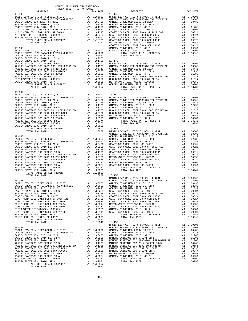| COUNTY OF ORANGE TAX RATE BOOK |  |  |                                      |          |  |  |  |
|--------------------------------|--|--|--------------------------------------|----------|--|--|--|
|                                |  |  | RA TAX KATES<br>TAX RATE<br>DISTRICT | TAX RATE |  |  |  |
| $18 - 142$                     |  |  | $18 - 148$                           |          |  |  |  |
|                                |  |  |                                      |          |  |  |  |
|                                |  |  |                                      |          |  |  |  |
|                                |  |  |                                      |          |  |  |  |
|                                |  |  |                                      |          |  |  |  |
|                                |  |  |                                      |          |  |  |  |
|                                |  |  |                                      |          |  |  |  |
|                                |  |  |                                      |          |  |  |  |
|                                |  |  |                                      |          |  |  |  |
|                                |  |  |                                      |          |  |  |  |
|                                |  |  |                                      |          |  |  |  |
|                                |  |  |                                      |          |  |  |  |
|                                |  |  |                                      |          |  |  |  |
|                                |  |  |                                      |          |  |  |  |
|                                |  |  |                                      |          |  |  |  |
|                                |  |  |                                      |          |  |  |  |
|                                |  |  |                                      |          |  |  |  |
|                                |  |  |                                      |          |  |  |  |
|                                |  |  |                                      |          |  |  |  |
|                                |  |  |                                      |          |  |  |  |
|                                |  |  |                                      |          |  |  |  |
|                                |  |  |                                      |          |  |  |  |
| $18 - 144$                     |  |  |                                      |          |  |  |  |
|                                |  |  |                                      |          |  |  |  |
|                                |  |  |                                      |          |  |  |  |
|                                |  |  |                                      |          |  |  |  |
|                                |  |  |                                      |          |  |  |  |
|                                |  |  |                                      |          |  |  |  |
|                                |  |  |                                      |          |  |  |  |
|                                |  |  |                                      |          |  |  |  |
|                                |  |  |                                      |          |  |  |  |
|                                |  |  |                                      |          |  |  |  |
|                                |  |  |                                      |          |  |  |  |
|                                |  |  |                                      |          |  |  |  |
|                                |  |  |                                      |          |  |  |  |
|                                |  |  |                                      |          |  |  |  |
|                                |  |  |                                      |          |  |  |  |
|                                |  |  |                                      |          |  |  |  |
|                                |  |  |                                      |          |  |  |  |
|                                |  |  |                                      |          |  |  |  |
|                                |  |  |                                      |          |  |  |  |
|                                |  |  |                                      |          |  |  |  |
|                                |  |  |                                      |          |  |  |  |
|                                |  |  |                                      |          |  |  |  |
|                                |  |  |                                      |          |  |  |  |
|                                |  |  |                                      |          |  |  |  |
|                                |  |  |                                      |          |  |  |  |
|                                |  |  |                                      |          |  |  |  |
|                                |  |  |                                      |          |  |  |  |
|                                |  |  |                                      |          |  |  |  |
|                                |  |  |                                      |          |  |  |  |
|                                |  |  |                                      |          |  |  |  |
|                                |  |  |                                      |          |  |  |  |
|                                |  |  |                                      |          |  |  |  |
|                                |  |  |                                      |          |  |  |  |
|                                |  |  |                                      |          |  |  |  |
|                                |  |  |                                      |          |  |  |  |
|                                |  |  |                                      |          |  |  |  |
|                                |  |  |                                      |          |  |  |  |
|                                |  |  |                                      |          |  |  |  |
|                                |  |  |                                      |          |  |  |  |
|                                |  |  |                                      |          |  |  |  |
|                                |  |  |                                      |          |  |  |  |
|                                |  |  |                                      |          |  |  |  |
|                                |  |  |                                      |          |  |  |  |
|                                |  |  |                                      |          |  |  |  |
|                                |  |  |                                      |          |  |  |  |
|                                |  |  |                                      |          |  |  |  |
|                                |  |  |                                      |          |  |  |  |
|                                |  |  |                                      |          |  |  |  |
|                                |  |  |                                      |          |  |  |  |
|                                |  |  |                                      |          |  |  |  |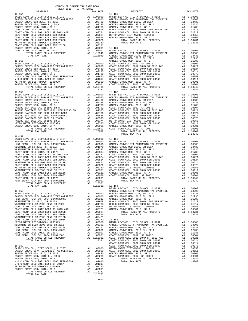| COUNTY OF ORANGE TAX RATE BOOK<br>2017-2018 TRA TAX RATES |  |          |            |          |  |  |  |
|-----------------------------------------------------------|--|----------|------------|----------|--|--|--|
| DISTRICT                                                  |  | TAX RATE | DISTRICT   | TAX RATE |  |  |  |
|                                                           |  |          | $18 - 160$ |          |  |  |  |
|                                                           |  |          |            |          |  |  |  |
|                                                           |  |          |            |          |  |  |  |
|                                                           |  |          |            |          |  |  |  |
|                                                           |  |          |            |          |  |  |  |
|                                                           |  |          |            |          |  |  |  |
|                                                           |  |          |            |          |  |  |  |
|                                                           |  |          |            |          |  |  |  |
|                                                           |  |          |            |          |  |  |  |
|                                                           |  |          |            |          |  |  |  |
|                                                           |  |          |            |          |  |  |  |
|                                                           |  |          |            |          |  |  |  |
|                                                           |  |          |            |          |  |  |  |
|                                                           |  |          |            |          |  |  |  |
|                                                           |  |          |            |          |  |  |  |
|                                                           |  |          |            |          |  |  |  |
|                                                           |  |          |            |          |  |  |  |
|                                                           |  |          |            |          |  |  |  |
|                                                           |  |          |            |          |  |  |  |
|                                                           |  |          |            |          |  |  |  |
|                                                           |  |          |            |          |  |  |  |
|                                                           |  |          |            |          |  |  |  |
|                                                           |  |          |            |          |  |  |  |
|                                                           |  |          |            |          |  |  |  |
|                                                           |  |          |            |          |  |  |  |
|                                                           |  |          |            |          |  |  |  |
|                                                           |  |          |            |          |  |  |  |
|                                                           |  |          |            |          |  |  |  |
|                                                           |  |          |            |          |  |  |  |
|                                                           |  |          |            |          |  |  |  |
|                                                           |  |          |            |          |  |  |  |
|                                                           |  |          |            |          |  |  |  |
| 18-157                                                    |  |          |            |          |  |  |  |
|                                                           |  |          |            |          |  |  |  |
|                                                           |  |          |            |          |  |  |  |
|                                                           |  |          |            |          |  |  |  |
|                                                           |  |          |            |          |  |  |  |
|                                                           |  |          |            |          |  |  |  |
|                                                           |  |          |            |          |  |  |  |
|                                                           |  |          |            |          |  |  |  |
|                                                           |  |          |            |          |  |  |  |
|                                                           |  |          |            |          |  |  |  |
|                                                           |  |          |            |          |  |  |  |
|                                                           |  |          |            |          |  |  |  |
|                                                           |  |          |            |          |  |  |  |
|                                                           |  |          |            |          |  |  |  |
|                                                           |  |          |            |          |  |  |  |
|                                                           |  |          |            |          |  |  |  |
|                                                           |  |          |            |          |  |  |  |
|                                                           |  |          |            |          |  |  |  |
|                                                           |  |          |            |          |  |  |  |
|                                                           |  |          |            |          |  |  |  |
|                                                           |  |          |            |          |  |  |  |
|                                                           |  |          |            |          |  |  |  |
|                                                           |  |          |            |          |  |  |  |
|                                                           |  |          |            |          |  |  |  |
|                                                           |  |          |            |          |  |  |  |
|                                                           |  |          |            |          |  |  |  |
|                                                           |  |          |            |          |  |  |  |
|                                                           |  |          |            |          |  |  |  |
|                                                           |  |          |            |          |  |  |  |
|                                                           |  |          |            |          |  |  |  |
|                                                           |  |          |            |          |  |  |  |
|                                                           |  |          |            |          |  |  |  |
|                                                           |  |          |            |          |  |  |  |
|                                                           |  |          |            |          |  |  |  |
|                                                           |  |          |            |          |  |  |  |
|                                                           |  |          |            |          |  |  |  |
|                                                           |  |          |            |          |  |  |  |
|                                                           |  |          |            |          |  |  |  |

-160-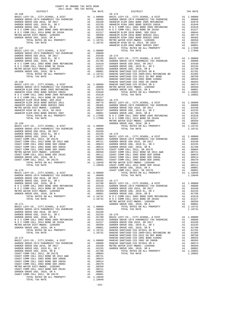| COUNTY OF ORANGE TAX RATE BOOK |  |  |  |  |          |  |  |
|--------------------------------|--|--|--|--|----------|--|--|
|                                |  |  |  |  | TAX RATE |  |  |
|                                |  |  |  |  |          |  |  |
|                                |  |  |  |  |          |  |  |
|                                |  |  |  |  |          |  |  |
|                                |  |  |  |  |          |  |  |
|                                |  |  |  |  |          |  |  |
|                                |  |  |  |  |          |  |  |
|                                |  |  |  |  |          |  |  |
|                                |  |  |  |  |          |  |  |
|                                |  |  |  |  |          |  |  |
|                                |  |  |  |  |          |  |  |
|                                |  |  |  |  |          |  |  |
|                                |  |  |  |  |          |  |  |
|                                |  |  |  |  |          |  |  |
|                                |  |  |  |  |          |  |  |
|                                |  |  |  |  |          |  |  |
|                                |  |  |  |  |          |  |  |
|                                |  |  |  |  |          |  |  |
|                                |  |  |  |  |          |  |  |
|                                |  |  |  |  |          |  |  |
|                                |  |  |  |  |          |  |  |
|                                |  |  |  |  |          |  |  |
|                                |  |  |  |  |          |  |  |
|                                |  |  |  |  |          |  |  |
|                                |  |  |  |  |          |  |  |
|                                |  |  |  |  |          |  |  |
|                                |  |  |  |  |          |  |  |
|                                |  |  |  |  |          |  |  |
|                                |  |  |  |  |          |  |  |
|                                |  |  |  |  |          |  |  |
|                                |  |  |  |  |          |  |  |
|                                |  |  |  |  |          |  |  |
|                                |  |  |  |  |          |  |  |
|                                |  |  |  |  |          |  |  |
|                                |  |  |  |  |          |  |  |
|                                |  |  |  |  |          |  |  |
|                                |  |  |  |  |          |  |  |
|                                |  |  |  |  |          |  |  |
|                                |  |  |  |  |          |  |  |
|                                |  |  |  |  |          |  |  |
|                                |  |  |  |  |          |  |  |
|                                |  |  |  |  |          |  |  |
|                                |  |  |  |  |          |  |  |
|                                |  |  |  |  |          |  |  |
|                                |  |  |  |  |          |  |  |
|                                |  |  |  |  |          |  |  |
|                                |  |  |  |  |          |  |  |
|                                |  |  |  |  |          |  |  |
|                                |  |  |  |  |          |  |  |
|                                |  |  |  |  |          |  |  |
|                                |  |  |  |  |          |  |  |
|                                |  |  |  |  |          |  |  |
|                                |  |  |  |  |          |  |  |
|                                |  |  |  |  |          |  |  |
|                                |  |  |  |  |          |  |  |
|                                |  |  |  |  |          |  |  |
|                                |  |  |  |  |          |  |  |
|                                |  |  |  |  |          |  |  |
|                                |  |  |  |  |          |  |  |
|                                |  |  |  |  |          |  |  |
|                                |  |  |  |  |          |  |  |
|                                |  |  |  |  |          |  |  |
|                                |  |  |  |  |          |  |  |

-161-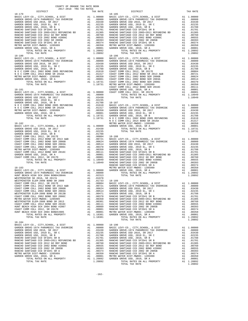| 2017-2018 TRA TAX RATES<br>DISTRICT | TAX RATE | DISTRICT | TAX RATE |
|-------------------------------------|----------|----------|----------|
|                                     |          |          |          |
|                                     |          |          |          |
|                                     |          |          |          |
|                                     |          |          |          |
|                                     |          |          |          |
|                                     |          |          |          |
|                                     |          |          |          |
|                                     |          |          |          |
|                                     |          |          |          |
|                                     |          |          |          |
|                                     |          |          |          |
|                                     |          |          |          |
|                                     |          |          |          |
|                                     |          |          |          |
|                                     |          |          |          |
|                                     |          |          |          |
|                                     |          |          |          |
|                                     |          |          |          |
|                                     |          |          |          |
|                                     |          |          |          |
|                                     |          |          |          |
|                                     |          |          |          |
|                                     |          |          |          |
|                                     |          |          |          |
|                                     |          |          |          |
|                                     |          |          |          |
|                                     |          |          |          |
|                                     |          |          |          |
|                                     |          |          |          |
|                                     |          |          |          |
|                                     |          |          |          |
|                                     |          |          |          |
|                                     |          |          |          |
|                                     |          |          |          |
|                                     |          |          |          |
|                                     |          |          |          |
|                                     |          |          |          |
|                                     |          |          |          |
|                                     |          |          |          |
|                                     |          |          |          |
|                                     |          |          |          |
|                                     |          |          |          |
|                                     |          |          |          |
|                                     |          |          |          |
|                                     |          |          |          |
|                                     |          |          |          |
|                                     |          |          |          |
|                                     |          |          |          |
|                                     |          |          |          |
|                                     |          |          |          |
|                                     |          |          |          |
|                                     |          |          |          |
|                                     |          |          |          |
|                                     |          |          |          |
|                                     |          |          |          |
|                                     |          |          |          |
|                                     |          |          |          |
|                                     |          |          |          |
|                                     |          |          |          |
|                                     |          |          |          |
|                                     |          |          |          |
|                                     |          |          |          |
|                                     |          |          |          |
|                                     |          |          |          |
|                                     |          |          |          |
|                                     |          |          |          |
|                                     |          |          |          |
| $18 - 184$                          |          |          |          |
|                                     |          |          |          |
|                                     |          |          |          |
|                                     |          |          |          |
|                                     |          |          |          |
|                                     |          |          |          |
|                                     |          |          |          |
|                                     |          |          |          |
|                                     |          |          |          |
|                                     |          |          |          |
|                                     |          |          |          |
|                                     |          |          |          |
|                                     |          |          |          |
|                                     |          |          |          |
|                                     |          |          |          |

COUNTY OF ORANGE TAX RATE BOOK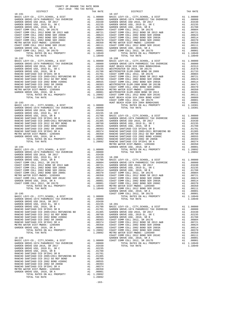| COUNTY OF ORANGE TAX RATE BOOK |  |          |          |  |          |  |  |  |
|--------------------------------|--|----------|----------|--|----------|--|--|--|
|                                |  | TAX RATE | DISTRICT |  | TAX RATE |  |  |  |
|                                |  |          |          |  |          |  |  |  |
|                                |  |          |          |  |          |  |  |  |
|                                |  |          |          |  |          |  |  |  |
|                                |  |          |          |  |          |  |  |  |
|                                |  |          |          |  |          |  |  |  |
|                                |  |          |          |  |          |  |  |  |
|                                |  |          |          |  |          |  |  |  |
|                                |  |          |          |  |          |  |  |  |
|                                |  |          |          |  |          |  |  |  |
|                                |  |          |          |  |          |  |  |  |
|                                |  |          |          |  |          |  |  |  |
|                                |  |          |          |  |          |  |  |  |
|                                |  |          |          |  |          |  |  |  |
|                                |  |          |          |  |          |  |  |  |
|                                |  |          |          |  |          |  |  |  |
|                                |  |          |          |  |          |  |  |  |
|                                |  |          |          |  |          |  |  |  |
|                                |  |          |          |  |          |  |  |  |
|                                |  |          |          |  |          |  |  |  |
|                                |  |          |          |  |          |  |  |  |
|                                |  |          |          |  |          |  |  |  |
|                                |  |          |          |  |          |  |  |  |
|                                |  |          |          |  |          |  |  |  |
|                                |  |          |          |  |          |  |  |  |
|                                |  |          |          |  |          |  |  |  |
|                                |  |          |          |  |          |  |  |  |
|                                |  |          |          |  |          |  |  |  |
|                                |  |          |          |  |          |  |  |  |
|                                |  |          |          |  |          |  |  |  |
|                                |  |          |          |  |          |  |  |  |
|                                |  |          |          |  |          |  |  |  |
|                                |  |          |          |  |          |  |  |  |
|                                |  |          |          |  |          |  |  |  |
|                                |  |          |          |  |          |  |  |  |
|                                |  |          |          |  |          |  |  |  |
|                                |  |          |          |  |          |  |  |  |
|                                |  |          |          |  |          |  |  |  |
|                                |  |          |          |  |          |  |  |  |
|                                |  |          |          |  |          |  |  |  |
|                                |  |          |          |  |          |  |  |  |
|                                |  |          |          |  |          |  |  |  |
|                                |  |          |          |  |          |  |  |  |
|                                |  |          |          |  |          |  |  |  |
|                                |  |          |          |  |          |  |  |  |
|                                |  |          |          |  |          |  |  |  |
|                                |  |          |          |  |          |  |  |  |
|                                |  |          |          |  |          |  |  |  |
|                                |  |          |          |  |          |  |  |  |
|                                |  |          |          |  |          |  |  |  |
|                                |  |          |          |  |          |  |  |  |
|                                |  |          |          |  |          |  |  |  |
|                                |  |          |          |  |          |  |  |  |
|                                |  |          |          |  |          |  |  |  |
|                                |  |          |          |  |          |  |  |  |
|                                |  |          |          |  |          |  |  |  |
|                                |  |          |          |  |          |  |  |  |
|                                |  |          |          |  |          |  |  |  |
|                                |  |          |          |  |          |  |  |  |
|                                |  |          |          |  |          |  |  |  |
|                                |  |          |          |  |          |  |  |  |
|                                |  |          |          |  |          |  |  |  |
|                                |  |          |          |  |          |  |  |  |
|                                |  |          |          |  |          |  |  |  |
|                                |  |          |          |  |          |  |  |  |
|                                |  |          |          |  |          |  |  |  |
|                                |  |          |          |  |          |  |  |  |
|                                |  |          |          |  |          |  |  |  |
|                                |  |          |          |  |          |  |  |  |
|                                |  |          |          |  |          |  |  |  |
|                                |  |          |          |  |          |  |  |  |
|                                |  |          |          |  |          |  |  |  |
|                                |  |          |          |  |          |  |  |  |
|                                |  |          |          |  |          |  |  |  |

-163-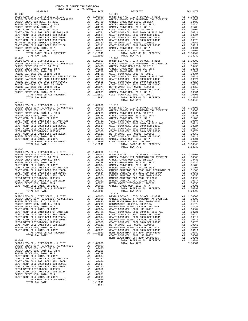| DISTRICT                                                                                                                                                                                                                                                                                         | TAX RATE | DISTRICT       | TAX RATE |
|--------------------------------------------------------------------------------------------------------------------------------------------------------------------------------------------------------------------------------------------------------------------------------------------------|----------|----------------|----------|
| $18 - 202$                                                                                                                                                                                                                                                                                       |          | 18-208         |          |
|                                                                                                                                                                                                                                                                                                  |          |                |          |
|                                                                                                                                                                                                                                                                                                  |          |                |          |
|                                                                                                                                                                                                                                                                                                  |          |                |          |
|                                                                                                                                                                                                                                                                                                  |          |                |          |
|                                                                                                                                                                                                                                                                                                  |          |                |          |
|                                                                                                                                                                                                                                                                                                  |          |                |          |
|                                                                                                                                                                                                                                                                                                  |          |                |          |
|                                                                                                                                                                                                                                                                                                  |          |                |          |
|                                                                                                                                                                                                                                                                                                  |          |                |          |
|                                                                                                                                                                                                                                                                                                  |          |                |          |
|                                                                                                                                                                                                                                                                                                  |          |                |          |
|                                                                                                                                                                                                                                                                                                  |          |                |          |
|                                                                                                                                                                                                                                                                                                  |          |                |          |
|                                                                                                                                                                                                                                                                                                  |          |                |          |
|                                                                                                                                                                                                                                                                                                  |          |                |          |
|                                                                                                                                                                                                                                                                                                  |          |                |          |
|                                                                                                                                                                                                                                                                                                  |          |                |          |
|                                                                                                                                                                                                                                                                                                  |          |                |          |
|                                                                                                                                                                                                                                                                                                  |          |                |          |
|                                                                                                                                                                                                                                                                                                  |          |                |          |
|                                                                                                                                                                                                                                                                                                  |          |                |          |
|                                                                                                                                                                                                                                                                                                  |          |                |          |
|                                                                                                                                                                                                                                                                                                  |          |                |          |
|                                                                                                                                                                                                                                                                                                  |          |                |          |
|                                                                                                                                                                                                                                                                                                  |          |                |          |
|                                                                                                                                                                                                                                                                                                  |          |                |          |
|                                                                                                                                                                                                                                                                                                  |          |                |          |
|                                                                                                                                                                                                                                                                                                  |          |                |          |
|                                                                                                                                                                                                                                                                                                  |          |                |          |
|                                                                                                                                                                                                                                                                                                  |          |                |          |
| $\begin{tabular}{ c c c c c c c c c c c c c c c} & D1876176 & D1876176 & D1876176 & D1876176 & D1876176 & D1876176 & D1876176 & D1876176 & D1876176 & D1876176 & D1876176 & D1876176 & D1876176 & D1876176 & D1876176 & D1876176 & D1876176 & D1876176 & D1876176 & D1876176 & D1$<br>$18 - 204$ |          |                |          |
|                                                                                                                                                                                                                                                                                                  |          |                |          |
|                                                                                                                                                                                                                                                                                                  |          |                |          |
|                                                                                                                                                                                                                                                                                                  |          |                |          |
|                                                                                                                                                                                                                                                                                                  |          |                |          |
|                                                                                                                                                                                                                                                                                                  |          |                |          |
|                                                                                                                                                                                                                                                                                                  |          |                |          |
|                                                                                                                                                                                                                                                                                                  |          |                |          |
|                                                                                                                                                                                                                                                                                                  |          |                |          |
|                                                                                                                                                                                                                                                                                                  |          |                |          |
|                                                                                                                                                                                                                                                                                                  |          |                |          |
|                                                                                                                                                                                                                                                                                                  |          |                |          |
|                                                                                                                                                                                                                                                                                                  |          |                |          |
|                                                                                                                                                                                                                                                                                                  |          |                |          |
|                                                                                                                                                                                                                                                                                                  |          |                |          |
|                                                                                                                                                                                                                                                                                                  |          |                |          |
|                                                                                                                                                                                                                                                                                                  |          |                |          |
|                                                                                                                                                                                                                                                                                                  |          | TOTAL TAX RATE | 1.18949  |
| $18 - 205$                                                                                                                                                                                                                                                                                       |          |                |          |
|                                                                                                                                                                                                                                                                                                  |          |                |          |
|                                                                                                                                                                                                                                                                                                  |          |                |          |
|                                                                                                                                                                                                                                                                                                  |          |                |          |
|                                                                                                                                                                                                                                                                                                  |          |                |          |
|                                                                                                                                                                                                                                                                                                  |          |                |          |
|                                                                                                                                                                                                                                                                                                  |          |                |          |
|                                                                                                                                                                                                                                                                                                  |          |                |          |
|                                                                                                                                                                                                                                                                                                  |          |                |          |
|                                                                                                                                                                                                                                                                                                  |          |                |          |
|                                                                                                                                                                                                                                                                                                  |          |                |          |
|                                                                                                                                                                                                                                                                                                  |          |                |          |
|                                                                                                                                                                                                                                                                                                  |          |                |          |
|                                                                                                                                                                                                                                                                                                  |          |                |          |
|                                                                                                                                                                                                                                                                                                  |          |                |          |
|                                                                                                                                                                                                                                                                                                  |          | $18 - 212$     |          |
|                                                                                                                                                                                                                                                                                                  |          |                |          |
|                                                                                                                                                                                                                                                                                                  |          |                |          |
|                                                                                                                                                                                                                                                                                                  |          |                |          |
|                                                                                                                                                                                                                                                                                                  |          |                |          |
|                                                                                                                                                                                                                                                                                                  |          |                |          |
|                                                                                                                                                                                                                                                                                                  |          |                |          |
|                                                                                                                                                                                                                                                                                                  |          |                |          |
|                                                                                                                                                                                                                                                                                                  |          |                |          |
|                                                                                                                                                                                                                                                                                                  |          |                |          |
|                                                                                                                                                                                                                                                                                                  |          |                |          |
|                                                                                                                                                                                                                                                                                                  |          |                |          |
|                                                                                                                                                                                                                                                                                                  |          |                |          |
|                                                                                                                                                                                                                                                                                                  |          |                |          |
|                                                                                                                                                                                                                                                                                                  |          |                |          |
|                                                                                                                                                                                                                                                                                                  |          |                |          |
|                                                                                                                                                                                                                                                                                                  |          |                |          |
|                                                                                                                                                                                                                                                                                                  |          |                |          |
|                                                                                                                                                                                                                                                                                                  |          |                |          |
|                                                                                                                                                                                                                                                                                                  |          |                |          |
|                                                                                                                                                                                                                                                                                                  |          |                |          |
|                                                                                                                                                                                                                                                                                                  |          |                |          |
|                                                                                                                                                                                                                                                                                                  |          |                |          |
|                                                                                                                                                                                                                                                                                                  |          |                |          |
|                                                                                                                                                                                                                                                                                                  |          |                |          |
|                                                                                                                                                                                                                                                                                                  |          |                |          |
|                                                                                                                                                                                                                                                                                                  |          |                |          |
|                                                                                                                                                                                                                                                                                                  |          |                |          |
|                                                                                                                                                                                                                                                                                                  |          |                |          |
|                                                                                                                                                                                                                                                                                                  |          |                |          |
|                                                                                                                                                                                                                                                                                                  |          |                |          |
|                                                                                                                                                                                                                                                                                                  | $-164-$  |                |          |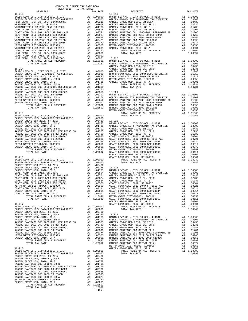| COUNTY OF ORANGE TAX RATE BOOK<br>2017-2018 TRA TAX RATES |          |          |          |
|-----------------------------------------------------------|----------|----------|----------|
| DISTRICT                                                  | TAX RATE | DISTRICT | TAX RATE |
|                                                           |          |          |          |
|                                                           |          |          |          |
|                                                           |          |          |          |
|                                                           |          |          |          |
|                                                           |          |          |          |
|                                                           |          |          |          |
|                                                           |          |          |          |
|                                                           |          |          |          |
|                                                           |          |          |          |
|                                                           |          |          |          |
|                                                           |          |          |          |
|                                                           |          |          |          |
|                                                           |          |          |          |
|                                                           |          |          |          |
|                                                           |          |          |          |
|                                                           |          |          |          |
|                                                           |          |          |          |
|                                                           |          |          |          |
|                                                           |          |          |          |
|                                                           |          |          |          |
|                                                           |          |          |          |
|                                                           |          |          |          |
|                                                           |          |          |          |
|                                                           |          |          |          |
|                                                           |          |          |          |
|                                                           |          |          |          |
|                                                           |          |          |          |
|                                                           |          |          |          |
|                                                           |          |          |          |
|                                                           |          |          |          |
|                                                           |          |          |          |
|                                                           |          |          |          |
|                                                           |          |          |          |
|                                                           |          |          |          |
|                                                           |          |          |          |
|                                                           |          |          |          |
|                                                           |          |          |          |
|                                                           |          |          |          |
|                                                           |          |          |          |
|                                                           |          |          |          |
|                                                           |          |          |          |
|                                                           |          |          |          |
|                                                           |          |          |          |
|                                                           |          |          |          |
|                                                           |          |          |          |
|                                                           |          |          |          |
|                                                           |          |          |          |
|                                                           |          |          |          |
|                                                           |          |          |          |
|                                                           |          |          |          |
|                                                           |          |          |          |
|                                                           |          |          |          |
|                                                           |          |          |          |
|                                                           |          |          |          |
|                                                           |          |          |          |
|                                                           |          |          |          |
|                                                           |          |          |          |
|                                                           |          |          |          |
|                                                           |          |          |          |
|                                                           |          |          |          |
|                                                           |          |          |          |
|                                                           |          |          |          |
|                                                           |          |          |          |
|                                                           |          |          |          |
|                                                           |          |          |          |
|                                                           |          |          |          |
|                                                           |          |          |          |
|                                                           |          |          |          |
|                                                           |          |          |          |
|                                                           |          |          |          |
| $-165-$                                                   |          |          |          |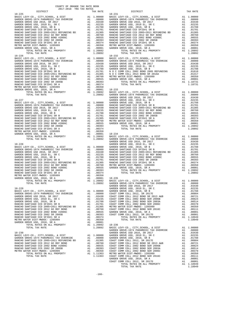| COUNTY OF ORANGE TAX RATE BOOK<br>2017-2018 TRA TAX RATES       |                                                 |                  |
|-----------------------------------------------------------------|-------------------------------------------------|------------------|
| DISTRICT                                                        | TAX RATE                                        |                  |
|                                                                 |                                                 |                  |
|                                                                 |                                                 |                  |
|                                                                 |                                                 |                  |
|                                                                 |                                                 |                  |
|                                                                 |                                                 |                  |
|                                                                 |                                                 |                  |
|                                                                 |                                                 |                  |
|                                                                 |                                                 |                  |
|                                                                 |                                                 |                  |
|                                                                 |                                                 |                  |
|                                                                 |                                                 |                  |
|                                                                 |                                                 |                  |
|                                                                 |                                                 |                  |
|                                                                 |                                                 |                  |
|                                                                 |                                                 |                  |
|                                                                 |                                                 |                  |
|                                                                 |                                                 |                  |
|                                                                 |                                                 | GARDEN           |
|                                                                 |                                                 |                  |
|                                                                 |                                                 |                  |
|                                                                 |                                                 |                  |
|                                                                 |                                                 |                  |
|                                                                 |                                                 |                  |
|                                                                 |                                                 |                  |
|                                                                 |                                                 |                  |
|                                                                 |                                                 |                  |
|                                                                 |                                                 | GARDEN           |
|                                                                 |                                                 |                  |
|                                                                 |                                                 |                  |
|                                                                 |                                                 |                  |
|                                                                 |                                                 |                  |
|                                                                 |                                                 |                  |
|                                                                 |                                                 |                  |
|                                                                 |                                                 |                  |
|                                                                 |                                                 |                  |
|                                                                 |                                                 |                  |
|                                                                 |                                                 |                  |
| $18 - 229$                                                      |                                                 | GARDEN<br>GARDEN |
|                                                                 |                                                 |                  |
|                                                                 |                                                 |                  |
|                                                                 |                                                 |                  |
|                                                                 |                                                 |                  |
|                                                                 |                                                 |                  |
|                                                                 |                                                 |                  |
| RANCHO SANTIAGO CCD SFID#1 SR A                                 | A1.00374                                        |                  |
| METRO WATER DIST-MWDOC- 1205999<br>GARDEN GROVE USD, 2010, SR A | A1.00350<br>A1 .00001                           |                  |
| TOTAL RATES ON ALL PROPERTY<br>TOTAL TAX RATE                   | A1 1.20892<br>1.20892 18-236<br>1.20892 BASIC L | GARDEN           |
| $18 - 230$                                                      |                                                 | GARDEN           |
|                                                                 |                                                 |                  |
|                                                                 |                                                 |                  |
|                                                                 |                                                 |                  |
|                                                                 |                                                 |                  |
|                                                                 |                                                 |                  |

| 2017-2018 TRA TAX RATES |          |                        |          |
|-------------------------|----------|------------------------|----------|
| DISTRICT<br>$18 - 225$  | TAX RATE | DISTRICT<br>$18 - 231$ | TAX RATE |
|                         |          |                        |          |
|                         |          |                        |          |
|                         |          |                        |          |
|                         |          |                        |          |
|                         |          |                        |          |
|                         |          |                        |          |
|                         |          |                        |          |
|                         |          |                        |          |
|                         |          |                        |          |
|                         |          |                        |          |
|                         |          |                        |          |
|                         |          |                        |          |
|                         |          |                        |          |
|                         |          |                        |          |
|                         |          |                        |          |
|                         |          |                        |          |
|                         |          |                        |          |
|                         |          |                        |          |
|                         |          |                        |          |
|                         |          |                        |          |
|                         |          |                        |          |
|                         |          |                        |          |
|                         |          |                        |          |
|                         |          |                        |          |
|                         |          |                        |          |
|                         |          |                        |          |
|                         |          |                        |          |
|                         |          |                        |          |
|                         |          |                        |          |
|                         |          |                        |          |
|                         |          |                        |          |
|                         |          |                        |          |
|                         |          |                        |          |
|                         |          |                        |          |
|                         |          |                        |          |
|                         |          |                        |          |
|                         |          |                        |          |
|                         |          |                        |          |
|                         |          |                        |          |
|                         |          |                        |          |
|                         |          |                        |          |
|                         |          |                        |          |
|                         |          |                        |          |
|                         |          |                        |          |
|                         |          |                        |          |
|                         |          |                        |          |
|                         |          |                        |          |
|                         |          |                        |          |
|                         |          |                        |          |
|                         |          |                        |          |
|                         |          |                        |          |
|                         |          |                        |          |
|                         |          |                        |          |
|                         |          |                        |          |
|                         |          |                        |          |
|                         |          |                        |          |
|                         |          |                        |          |
|                         |          |                        |          |
|                         |          |                        |          |
|                         |          |                        |          |
|                         |          |                        |          |
|                         |          |                        |          |
|                         |          |                        |          |
|                         |          |                        |          |
|                         |          |                        |          |
|                         |          |                        |          |
|                         |          |                        |          |
|                         |          |                        |          |
|                         |          |                        |          |
|                         |          |                        |          |
|                         |          |                        |          |
|                         |          |                        |          |
|                         |          |                        |          |
|                         |          |                        |          |
|                         |          |                        |          |
|                         |          |                        |          |
|                         |          |                        |          |
|                         |          |                        |          |
|                         |          |                        |          |
|                         |          |                        |          |
|                         |          |                        |          |
|                         |          |                        |          |
|                         |          | TOTAL TAX RATE         |          |
|                         |          |                        |          |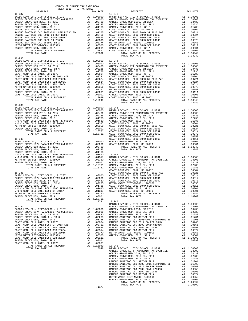| COUNTY OF ORANGE TAX RATE BOOK<br>2017-2018 יחס המד מחל<br>2017-2018 TRA TAX RATES |          |                |          |  |
|------------------------------------------------------------------------------------|----------|----------------|----------|--|
| DISTRICT                                                                           | TAX RATE | DISTRICT       | TAX RATE |  |
|                                                                                    |          |                |          |  |
|                                                                                    |          |                |          |  |
|                                                                                    |          |                |          |  |
|                                                                                    |          |                |          |  |
|                                                                                    |          |                |          |  |
|                                                                                    |          |                |          |  |
|                                                                                    |          |                |          |  |
|                                                                                    |          |                |          |  |
|                                                                                    |          |                |          |  |
| $18 - 238$                                                                         |          |                |          |  |
|                                                                                    |          |                |          |  |
|                                                                                    |          |                |          |  |
|                                                                                    |          |                |          |  |
|                                                                                    |          |                |          |  |
|                                                                                    |          |                |          |  |
|                                                                                    |          |                |          |  |
|                                                                                    |          |                |          |  |
|                                                                                    |          |                |          |  |
|                                                                                    |          |                |          |  |
| $18 - 239$                                                                         |          | TOTAL TAX RATE | 1.18949  |  |
|                                                                                    |          |                |          |  |
|                                                                                    |          |                |          |  |
|                                                                                    |          |                |          |  |
|                                                                                    |          |                |          |  |
|                                                                                    |          |                |          |  |
|                                                                                    |          |                |          |  |
|                                                                                    |          |                |          |  |
|                                                                                    |          |                |          |  |
|                                                                                    |          |                |          |  |
|                                                                                    |          |                |          |  |
|                                                                                    |          |                |          |  |
|                                                                                    |          |                |          |  |
|                                                                                    |          |                |          |  |
|                                                                                    |          |                |          |  |
|                                                                                    |          |                |          |  |
|                                                                                    |          |                |          |  |
|                                                                                    |          |                |          |  |
|                                                                                    |          |                |          |  |
|                                                                                    |          |                |          |  |
|                                                                                    |          |                |          |  |
|                                                                                    |          |                |          |  |
| TOTAL TAX RATE                                                                     |          | 1.18731 18-247 |          |  |
|                                                                                    |          |                |          |  |
|                                                                                    |          |                |          |  |
|                                                                                    |          |                |          |  |
|                                                                                    |          |                |          |  |
|                                                                                    |          |                |          |  |
|                                                                                    |          |                |          |  |
|                                                                                    |          |                |          |  |
|                                                                                    |          |                |          |  |
|                                                                                    |          |                |          |  |
|                                                                                    |          |                |          |  |
|                                                                                    |          |                |          |  |
|                                                                                    |          |                |          |  |
|                                                                                    |          |                |          |  |
|                                                                                    |          |                |          |  |
|                                                                                    |          |                |          |  |
|                                                                                    |          |                |          |  |
|                                                                                    |          |                |          |  |
|                                                                                    |          | TOTAL TAX RATE |          |  |
|                                                                                    | $-167-$  |                |          |  |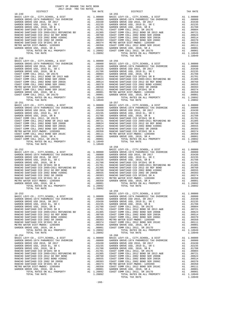| COUNTY OF ORANGE TAX RATE BOOK<br>2017-2018 TRA TAX RATES |          |            |          |
|-----------------------------------------------------------|----------|------------|----------|
| DISTRICT                                                  | TAX RATE | DISTRICT   | TAX RATE |
| $18 - 249$                                                |          | $18 - 255$ |          |
|                                                           |          |            |          |
|                                                           |          |            |          |
|                                                           |          |            |          |
|                                                           |          |            |          |
|                                                           |          |            |          |
|                                                           |          |            |          |
|                                                           |          |            |          |
|                                                           |          |            |          |
|                                                           |          |            |          |
|                                                           |          |            |          |
|                                                           |          |            |          |
| $18 - 250$                                                |          |            |          |
|                                                           |          |            |          |
|                                                           |          |            |          |
|                                                           |          |            |          |
|                                                           |          |            |          |
|                                                           |          |            |          |
|                                                           |          |            |          |
|                                                           |          |            |          |
|                                                           |          |            |          |
|                                                           |          |            |          |
|                                                           |          |            |          |
|                                                           |          |            |          |
|                                                           |          |            |          |
|                                                           |          |            |          |
|                                                           |          |            |          |
|                                                           |          |            |          |
|                                                           |          |            |          |
|                                                           |          |            |          |
|                                                           |          |            |          |
|                                                           |          |            |          |
|                                                           |          |            |          |
|                                                           |          |            |          |
|                                                           |          |            |          |
|                                                           |          |            |          |
|                                                           |          |            |          |
|                                                           |          | $18 - 258$ |          |
|                                                           |          |            |          |
|                                                           |          |            |          |
|                                                           |          |            |          |
|                                                           |          |            |          |
|                                                           |          |            |          |
|                                                           |          |            |          |
|                                                           |          |            |          |
|                                                           |          |            |          |
|                                                           |          |            |          |
|                                                           |          |            |          |
|                                                           |          |            |          |
| $\frac{1}{2}$<br>TOTAL TAX RATE                           | 1.20892  |            |          |
|                                                           |          | $18 - 259$ |          |
|                                                           |          |            |          |
|                                                           |          |            |          |
|                                                           |          |            |          |
|                                                           |          |            |          |
|                                                           |          |            |          |
|                                                           |          |            |          |
|                                                           |          |            |          |
|                                                           |          |            |          |
|                                                           |          |            |          |
|                                                           |          |            |          |
|                                                           |          |            |          |
|                                                           |          |            |          |
|                                                           |          |            |          |
|                                                           |          |            |          |
|                                                           |          |            |          |
|                                                           |          |            |          |
|                                                           |          |            |          |
|                                                           |          |            |          |
|                                                           |          |            |          |
|                                                           |          |            |          |
|                                                           |          |            |          |
|                                                           |          |            |          |
|                                                           |          |            |          |
|                                                           |          |            |          |
|                                                           |          |            |          |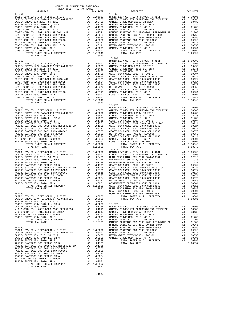| COUNTY OF ORANGE TAX RATE BOOK<br>$2017-2018 \quad \text{TRA RATE} \label{eq:1017-2018}$ DISTRICT $$\tt 2017-2018$ \quad \text{TRA RATES}$ |          |            |          |
|--------------------------------------------------------------------------------------------------------------------------------------------|----------|------------|----------|
|                                                                                                                                            | TAX RATE | DISTRICT   | TAX RATE |
| $18 - 261$                                                                                                                                 |          | $18 - 268$ |          |
|                                                                                                                                            |          |            |          |
|                                                                                                                                            |          |            |          |
|                                                                                                                                            |          |            |          |
|                                                                                                                                            |          |            |          |
|                                                                                                                                            |          |            |          |
|                                                                                                                                            |          |            |          |
|                                                                                                                                            |          |            |          |
|                                                                                                                                            |          |            |          |
|                                                                                                                                            |          |            |          |
|                                                                                                                                            |          |            |          |
|                                                                                                                                            |          |            |          |
|                                                                                                                                            |          |            |          |
|                                                                                                                                            |          | $18 - 269$ |          |
|                                                                                                                                            |          |            |          |
|                                                                                                                                            |          |            |          |
|                                                                                                                                            |          |            |          |
|                                                                                                                                            |          |            |          |
|                                                                                                                                            |          |            |          |
|                                                                                                                                            |          |            |          |
|                                                                                                                                            |          |            |          |
|                                                                                                                                            |          |            |          |
|                                                                                                                                            |          |            |          |
|                                                                                                                                            |          |            |          |
|                                                                                                                                            |          |            |          |
|                                                                                                                                            |          |            |          |
|                                                                                                                                            |          |            |          |
|                                                                                                                                            |          |            |          |
|                                                                                                                                            |          |            |          |
|                                                                                                                                            |          |            |          |
|                                                                                                                                            |          |            |          |
|                                                                                                                                            |          |            |          |
|                                                                                                                                            |          |            |          |
|                                                                                                                                            |          |            |          |
|                                                                                                                                            |          |            |          |
|                                                                                                                                            |          |            |          |
|                                                                                                                                            |          |            |          |
|                                                                                                                                            |          |            |          |
|                                                                                                                                            |          |            |          |
|                                                                                                                                            |          |            |          |
|                                                                                                                                            |          |            |          |
|                                                                                                                                            |          |            |          |
|                                                                                                                                            |          |            |          |
|                                                                                                                                            |          |            |          |
|                                                                                                                                            |          |            |          |
|                                                                                                                                            |          |            |          |
|                                                                                                                                            |          |            |          |
|                                                                                                                                            |          |            |          |
|                                                                                                                                            |          |            |          |
|                                                                                                                                            |          |            |          |
|                                                                                                                                            |          |            |          |
|                                                                                                                                            |          |            |          |
|                                                                                                                                            |          |            |          |
|                                                                                                                                            |          |            |          |
|                                                                                                                                            |          |            |          |
|                                                                                                                                            |          |            |          |
|                                                                                                                                            |          |            |          |
|                                                                                                                                            |          |            |          |
|                                                                                                                                            |          |            |          |
|                                                                                                                                            |          |            |          |
|                                                                                                                                            |          |            |          |
|                                                                                                                                            |          |            |          |
|                                                                                                                                            |          |            |          |
|                                                                                                                                            |          |            |          |
|                                                                                                                                            |          |            |          |
|                                                                                                                                            |          |            |          |
|                                                                                                                                            |          |            |          |
|                                                                                                                                            |          |            |          |
|                                                                                                                                            |          |            |          |
|                                                                                                                                            |          |            |          |
|                                                                                                                                            |          |            |          |
|                                                                                                                                            |          |            |          |
|                                                                                                                                            |          |            |          |

-169-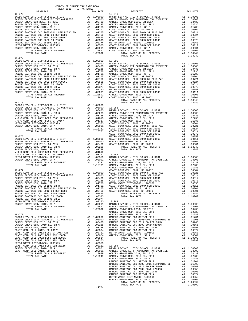| COUNTY OF ORANGE TAX RATE BOOK<br>2017-2018 TRA TAX RATES |          |                |          |
|-----------------------------------------------------------|----------|----------------|----------|
| DISTRICT                                                  | TAX RATE | DISTRICT       | TAX RATE |
|                                                           |          |                |          |
|                                                           |          |                |          |
|                                                           |          |                |          |
|                                                           |          |                |          |
|                                                           |          |                |          |
|                                                           |          |                |          |
|                                                           |          |                |          |
|                                                           |          |                |          |
|                                                           |          |                |          |
|                                                           |          |                |          |
|                                                           |          |                |          |
| $18 - 274$                                                |          |                |          |
|                                                           |          |                |          |
|                                                           |          |                |          |
|                                                           |          |                |          |
|                                                           |          |                |          |
|                                                           |          |                |          |
|                                                           |          |                |          |
|                                                           |          |                |          |
|                                                           |          |                |          |
|                                                           |          |                |          |
|                                                           |          |                |          |
|                                                           |          | TOTAL TAX RATE |          |
|                                                           |          |                |          |
|                                                           |          |                |          |
|                                                           |          |                |          |
|                                                           |          |                |          |
|                                                           |          |                |          |
|                                                           |          |                |          |
|                                                           |          |                |          |
|                                                           |          |                |          |
|                                                           |          |                |          |
|                                                           |          |                |          |
|                                                           |          |                |          |
|                                                           |          |                |          |
|                                                           |          |                |          |
|                                                           |          |                |          |
|                                                           |          |                |          |
|                                                           |          |                |          |
|                                                           |          |                |          |
|                                                           |          |                |          |
|                                                           |          |                |          |
|                                                           |          |                |          |
|                                                           |          |                |          |
|                                                           |          |                |          |
|                                                           |          |                |          |
|                                                           |          |                |          |
|                                                           |          |                |          |
|                                                           |          |                |          |
|                                                           |          |                |          |
|                                                           |          |                |          |
|                                                           |          |                |          |
|                                                           |          |                |          |
|                                                           |          |                |          |
|                                                           |          |                |          |
|                                                           |          |                |          |
|                                                           |          |                |          |
|                                                           |          |                |          |
|                                                           |          |                |          |
|                                                           |          |                |          |
|                                                           |          |                |          |
|                                                           |          |                |          |
|                                                           |          |                |          |
|                                                           |          |                |          |
|                                                           |          |                |          |
|                                                           |          |                |          |
|                                                           |          |                |          |
|                                                           |          |                |          |
|                                                           |          |                |          |
|                                                           |          |                |          |
|                                                           |          |                |          |

-170-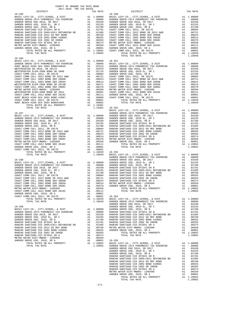| COUNTY OF ORANGE TAX RATE BOOK<br>2017-2018 TRA TAX RATES |                |                        |          |
|-----------------------------------------------------------|----------------|------------------------|----------|
| DISTRICT<br>$18 - 285$                                    | TAX RATE       | DISTRICT<br>$18 - 290$ | TAX RATE |
|                                                           |                |                        |          |
|                                                           |                |                        |          |
|                                                           |                |                        |          |
|                                                           |                |                        |          |
|                                                           |                |                        |          |
|                                                           |                |                        |          |
|                                                           |                |                        |          |
|                                                           |                |                        |          |
|                                                           |                |                        |          |
| $18 - 286$                                                |                |                        |          |
|                                                           |                |                        |          |
|                                                           |                |                        |          |
|                                                           |                |                        |          |
|                                                           |                |                        |          |
|                                                           |                |                        |          |
|                                                           |                |                        |          |
|                                                           |                |                        |          |
|                                                           |                |                        |          |
|                                                           |                |                        |          |
|                                                           |                |                        |          |
|                                                           |                |                        |          |
| TOTAL TAX RATE                                            | 1.18381 18-292 |                        |          |
|                                                           |                |                        |          |
|                                                           |                |                        |          |
|                                                           |                |                        |          |
|                                                           |                |                        |          |
|                                                           |                |                        |          |
|                                                           |                |                        |          |
|                                                           |                |                        |          |
|                                                           |                |                        |          |
|                                                           |                |                        |          |
|                                                           |                |                        |          |
|                                                           |                |                        |          |
|                                                           |                |                        |          |
|                                                           |                |                        |          |
|                                                           |                |                        |          |
|                                                           |                |                        |          |
|                                                           |                |                        |          |
|                                                           |                |                        |          |
|                                                           |                |                        |          |
|                                                           |                |                        |          |
|                                                           |                |                        |          |
|                                                           |                |                        |          |
|                                                           |                |                        |          |
|                                                           |                |                        |          |
|                                                           |                |                        |          |
|                                                           |                |                        |          |
|                                                           |                |                        |          |
|                                                           |                |                        |          |
|                                                           |                |                        |          |
|                                                           |                |                        |          |
|                                                           |                |                        |          |
|                                                           |                |                        |          |
|                                                           |                |                        |          |
|                                                           |                |                        |          |
|                                                           |                |                        |          |
|                                                           |                |                        |          |
|                                                           |                |                        |          |
|                                                           |                |                        |          |
|                                                           |                |                        |          |
|                                                           |                |                        |          |
|                                                           |                |                        |          |
|                                                           |                |                        |          |
|                                                           |                |                        |          |
|                                                           |                |                        |          |
|                                                           |                |                        |          |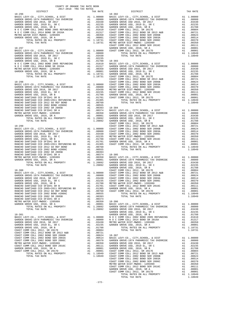| 2017-2018 TRA TAX RATES | COUNTY OF ORANGE TAX RATE BOOK<br>2017–2018 יפח מותר הפריט |          |          |          |
|-------------------------|------------------------------------------------------------|----------|----------|----------|
| DISTRICT                |                                                            | TAX RATE | DISTRICT | TAX RATE |
|                         |                                                            |          |          |          |
|                         |                                                            |          |          |          |
|                         |                                                            |          |          |          |
|                         |                                                            |          |          |          |
|                         |                                                            |          |          |          |
|                         |                                                            |          |          |          |
|                         |                                                            |          |          |          |
|                         |                                                            |          |          |          |
|                         |                                                            |          |          |          |
|                         |                                                            |          |          |          |
|                         |                                                            |          |          |          |
|                         |                                                            |          |          |          |
|                         |                                                            |          |          |          |
|                         |                                                            |          |          |          |
|                         |                                                            |          |          |          |
|                         |                                                            |          |          |          |
|                         |                                                            |          |          |          |
|                         |                                                            |          |          |          |
|                         |                                                            |          |          |          |
|                         |                                                            |          |          |          |
|                         |                                                            |          |          |          |
|                         |                                                            |          |          |          |
|                         |                                                            |          |          |          |
|                         |                                                            |          |          |          |
|                         |                                                            |          |          |          |
|                         |                                                            |          |          |          |
|                         |                                                            |          |          |          |
|                         |                                                            |          |          |          |
|                         |                                                            |          |          |          |
|                         |                                                            |          |          |          |
|                         |                                                            |          |          |          |
|                         |                                                            |          |          |          |
|                         |                                                            |          |          |          |
|                         |                                                            |          |          |          |
|                         |                                                            |          |          |          |
|                         |                                                            |          |          |          |
|                         |                                                            |          |          |          |
|                         |                                                            |          |          |          |
|                         |                                                            |          |          |          |
|                         |                                                            |          |          |          |
|                         |                                                            |          |          |          |
|                         |                                                            |          |          |          |
|                         |                                                            |          |          |          |
|                         |                                                            |          |          |          |
|                         |                                                            |          |          |          |
|                         |                                                            |          |          |          |
|                         |                                                            |          |          |          |
|                         |                                                            |          |          |          |
|                         |                                                            |          |          |          |
|                         |                                                            |          |          |          |
|                         |                                                            |          |          |          |
|                         |                                                            |          |          |          |
|                         |                                                            |          |          |          |
|                         |                                                            |          |          |          |
|                         |                                                            |          |          |          |
|                         |                                                            |          |          |          |
|                         |                                                            |          |          |          |
|                         |                                                            |          |          |          |
|                         |                                                            |          |          |          |
|                         |                                                            |          |          |          |
|                         |                                                            |          |          |          |
|                         |                                                            |          |          |          |
|                         |                                                            |          |          |          |
|                         |                                                            |          |          |          |
|                         |                                                            |          |          |          |
|                         |                                                            |          |          |          |
|                         |                                                            |          |          |          |
|                         |                                                            |          |          |          |
|                         |                                                            |          |          |          |
|                         |                                                            |          |          |          |
|                         |                                                            |          |          |          |
|                         |                                                            |          |          |          |
|                         |                                                            |          |          |          |
|                         |                                                            |          |          |          |
|                         |                                                            |          |          |          |
|                         |                                                            |          |          |          |
|                         |                                                            |          |          |          |
|                         |                                                            |          |          |          |
|                         |                                                            |          |          |          |
|                         |                                                            |          |          |          |
|                         |                                                            |          |          |          |
|                         |                                                            |          |          |          |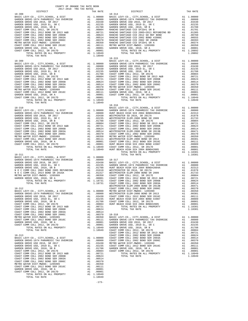| DISTRICT   | TAX RATE | DISTRICT                                                                                                                                                                                                                                                              | TAX RATE |
|------------|----------|-----------------------------------------------------------------------------------------------------------------------------------------------------------------------------------------------------------------------------------------------------------------------|----------|
| $18 - 308$ |          | $18 - 314$                                                                                                                                                                                                                                                            |          |
|            |          |                                                                                                                                                                                                                                                                       |          |
|            |          |                                                                                                                                                                                                                                                                       |          |
|            |          |                                                                                                                                                                                                                                                                       |          |
|            |          |                                                                                                                                                                                                                                                                       |          |
|            |          |                                                                                                                                                                                                                                                                       |          |
|            |          |                                                                                                                                                                                                                                                                       |          |
|            |          |                                                                                                                                                                                                                                                                       |          |
|            |          |                                                                                                                                                                                                                                                                       |          |
|            |          |                                                                                                                                                                                                                                                                       |          |
|            |          |                                                                                                                                                                                                                                                                       |          |
|            |          |                                                                                                                                                                                                                                                                       |          |
|            |          |                                                                                                                                                                                                                                                                       |          |
|            |          |                                                                                                                                                                                                                                                                       |          |
|            |          | $18 - 315$                                                                                                                                                                                                                                                            |          |
|            |          |                                                                                                                                                                                                                                                                       |          |
|            |          |                                                                                                                                                                                                                                                                       |          |
|            |          |                                                                                                                                                                                                                                                                       |          |
|            |          |                                                                                                                                                                                                                                                                       |          |
|            |          |                                                                                                                                                                                                                                                                       |          |
|            |          |                                                                                                                                                                                                                                                                       |          |
|            |          |                                                                                                                                                                                                                                                                       |          |
|            |          |                                                                                                                                                                                                                                                                       |          |
|            |          |                                                                                                                                                                                                                                                                       |          |
|            |          |                                                                                                                                                                                                                                                                       |          |
|            |          |                                                                                                                                                                                                                                                                       |          |
|            |          |                                                                                                                                                                                                                                                                       |          |
|            |          |                                                                                                                                                                                                                                                                       |          |
|            |          | $\begin{tabular}{cccc} 18-319 & 18-319 & 18-319 & 18-319 & 18-310 & 18-310 & 18-310 & 18-310 & 18-310 & 18-310 & 18-310 & 18-310 & 18-310 & 18-310 & 18-310 & 18-310 & 18-310 & 18-310 & 18-310 & 18-310 & 18-310 & 18-310 & 18-310 & 18-310 & 18-310 & 18-310 & 18-$ |          |
|            |          |                                                                                                                                                                                                                                                                       |          |
|            |          |                                                                                                                                                                                                                                                                       |          |
|            |          |                                                                                                                                                                                                                                                                       |          |
|            |          |                                                                                                                                                                                                                                                                       |          |
|            |          |                                                                                                                                                                                                                                                                       |          |
|            |          |                                                                                                                                                                                                                                                                       |          |
|            |          |                                                                                                                                                                                                                                                                       |          |
|            |          |                                                                                                                                                                                                                                                                       |          |
|            |          |                                                                                                                                                                                                                                                                       |          |
|            |          |                                                                                                                                                                                                                                                                       |          |
|            |          |                                                                                                                                                                                                                                                                       |          |
|            |          |                                                                                                                                                                                                                                                                       |          |
|            |          |                                                                                                                                                                                                                                                                       |          |
|            |          |                                                                                                                                                                                                                                                                       |          |
|            |          |                                                                                                                                                                                                                                                                       |          |
|            |          |                                                                                                                                                                                                                                                                       |          |
|            |          |                                                                                                                                                                                                                                                                       |          |
|            |          |                                                                                                                                                                                                                                                                       |          |
|            |          |                                                                                                                                                                                                                                                                       |          |
|            |          |                                                                                                                                                                                                                                                                       |          |
|            |          |                                                                                                                                                                                                                                                                       |          |
|            |          |                                                                                                                                                                                                                                                                       |          |
|            |          |                                                                                                                                                                                                                                                                       |          |
|            |          |                                                                                                                                                                                                                                                                       |          |
|            |          |                                                                                                                                                                                                                                                                       |          |
|            |          |                                                                                                                                                                                                                                                                       |          |
|            |          |                                                                                                                                                                                                                                                                       |          |
|            |          |                                                                                                                                                                                                                                                                       |          |
|            |          |                                                                                                                                                                                                                                                                       |          |
|            |          |                                                                                                                                                                                                                                                                       |          |
|            |          |                                                                                                                                                                                                                                                                       |          |
|            |          |                                                                                                                                                                                                                                                                       |          |
|            |          |                                                                                                                                                                                                                                                                       |          |
|            |          |                                                                                                                                                                                                                                                                       |          |
|            |          |                                                                                                                                                                                                                                                                       |          |
|            |          |                                                                                                                                                                                                                                                                       |          |
|            |          |                                                                                                                                                                                                                                                                       |          |
|            |          |                                                                                                                                                                                                                                                                       |          |
|            |          |                                                                                                                                                                                                                                                                       |          |
|            |          |                                                                                                                                                                                                                                                                       |          |
|            |          |                                                                                                                                                                                                                                                                       |          |
|            |          |                                                                                                                                                                                                                                                                       |          |
|            |          |                                                                                                                                                                                                                                                                       |          |
|            |          |                                                                                                                                                                                                                                                                       |          |
|            |          |                                                                                                                                                                                                                                                                       |          |
|            |          |                                                                                                                                                                                                                                                                       |          |
|            |          |                                                                                                                                                                                                                                                                       |          |
|            |          |                                                                                                                                                                                                                                                                       |          |
|            |          |                                                                                                                                                                                                                                                                       |          |
|            |          |                                                                                                                                                                                                                                                                       |          |
|            |          |                                                                                                                                                                                                                                                                       |          |
|            |          |                                                                                                                                                                                                                                                                       |          |
|            |          |                                                                                                                                                                                                                                                                       |          |
|            |          |                                                                                                                                                                                                                                                                       |          |

- - - -173-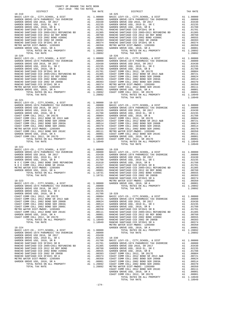| COUNTY OF ORANGE TAX RATE BOOK<br>2017-2018 יום מסדי מסדי ה<br>2017-2018 TRA TAX RATES |          |                                                                                                                                                                                                                                                                                            |          |
|----------------------------------------------------------------------------------------|----------|--------------------------------------------------------------------------------------------------------------------------------------------------------------------------------------------------------------------------------------------------------------------------------------------|----------|
| DISTRICT                                                                               | TAX RATE | DISTRICT                                                                                                                                                                                                                                                                                   | TAX RATE |
|                                                                                        |          |                                                                                                                                                                                                                                                                                            |          |
|                                                                                        |          |                                                                                                                                                                                                                                                                                            |          |
|                                                                                        |          |                                                                                                                                                                                                                                                                                            |          |
|                                                                                        |          |                                                                                                                                                                                                                                                                                            |          |
|                                                                                        |          |                                                                                                                                                                                                                                                                                            |          |
|                                                                                        |          |                                                                                                                                                                                                                                                                                            |          |
|                                                                                        |          |                                                                                                                                                                                                                                                                                            |          |
|                                                                                        |          |                                                                                                                                                                                                                                                                                            |          |
|                                                                                        |          |                                                                                                                                                                                                                                                                                            |          |
|                                                                                        |          |                                                                                                                                                                                                                                                                                            |          |
|                                                                                        |          |                                                                                                                                                                                                                                                                                            |          |
|                                                                                        |          |                                                                                                                                                                                                                                                                                            |          |
|                                                                                        |          |                                                                                                                                                                                                                                                                                            |          |
|                                                                                        |          |                                                                                                                                                                                                                                                                                            |          |
|                                                                                        |          |                                                                                                                                                                                                                                                                                            |          |
|                                                                                        |          |                                                                                                                                                                                                                                                                                            |          |
|                                                                                        |          |                                                                                                                                                                                                                                                                                            |          |
|                                                                                        |          |                                                                                                                                                                                                                                                                                            |          |
|                                                                                        |          |                                                                                                                                                                                                                                                                                            |          |
|                                                                                        |          |                                                                                                                                                                                                                                                                                            |          |
|                                                                                        |          |                                                                                                                                                                                                                                                                                            |          |
|                                                                                        |          |                                                                                                                                                                                                                                                                                            |          |
|                                                                                        |          | TOTAL TAX RATE                                                                                                                                                                                                                                                                             | 1.18949  |
| $18 - 321$                                                                             |          |                                                                                                                                                                                                                                                                                            |          |
|                                                                                        |          |                                                                                                                                                                                                                                                                                            |          |
|                                                                                        |          |                                                                                                                                                                                                                                                                                            |          |
|                                                                                        |          |                                                                                                                                                                                                                                                                                            |          |
|                                                                                        |          |                                                                                                                                                                                                                                                                                            |          |
|                                                                                        |          |                                                                                                                                                                                                                                                                                            |          |
|                                                                                        |          |                                                                                                                                                                                                                                                                                            |          |
|                                                                                        |          |                                                                                                                                                                                                                                                                                            |          |
|                                                                                        |          |                                                                                                                                                                                                                                                                                            |          |
|                                                                                        |          |                                                                                                                                                                                                                                                                                            |          |
|                                                                                        |          |                                                                                                                                                                                                                                                                                            |          |
|                                                                                        |          |                                                                                                                                                                                                                                                                                            |          |
| 18-322                                                                                 |          | TOTAL TAX RATE                                                                                                                                                                                                                                                                             | 1.18949  |
|                                                                                        |          |                                                                                                                                                                                                                                                                                            |          |
|                                                                                        |          |                                                                                                                                                                                                                                                                                            |          |
|                                                                                        |          |                                                                                                                                                                                                                                                                                            |          |
|                                                                                        |          |                                                                                                                                                                                                                                                                                            |          |
|                                                                                        |          |                                                                                                                                                                                                                                                                                            |          |
|                                                                                        |          |                                                                                                                                                                                                                                                                                            |          |
|                                                                                        |          |                                                                                                                                                                                                                                                                                            |          |
|                                                                                        |          |                                                                                                                                                                                                                                                                                            |          |
|                                                                                        |          |                                                                                                                                                                                                                                                                                            |          |
|                                                                                        |          |                                                                                                                                                                                                                                                                                            |          |
|                                                                                        |          |                                                                                                                                                                                                                                                                                            |          |
|                                                                                        |          |                                                                                                                                                                                                                                                                                            |          |
|                                                                                        |          |                                                                                                                                                                                                                                                                                            |          |
|                                                                                        |          |                                                                                                                                                                                                                                                                                            |          |
|                                                                                        |          |                                                                                                                                                                                                                                                                                            |          |
|                                                                                        |          |                                                                                                                                                                                                                                                                                            |          |
|                                                                                        |          |                                                                                                                                                                                                                                                                                            |          |
|                                                                                        |          |                                                                                                                                                                                                                                                                                            |          |
|                                                                                        |          |                                                                                                                                                                                                                                                                                            |          |
|                                                                                        |          |                                                                                                                                                                                                                                                                                            |          |
|                                                                                        |          |                                                                                                                                                                                                                                                                                            |          |
|                                                                                        |          |                                                                                                                                                                                                                                                                                            |          |
|                                                                                        |          |                                                                                                                                                                                                                                                                                            |          |
|                                                                                        |          |                                                                                                                                                                                                                                                                                            |          |
|                                                                                        |          |                                                                                                                                                                                                                                                                                            |          |
|                                                                                        |          |                                                                                                                                                                                                                                                                                            |          |
|                                                                                        |          |                                                                                                                                                                                                                                                                                            |          |
|                                                                                        |          |                                                                                                                                                                                                                                                                                            |          |
|                                                                                        |          |                                                                                                                                                                                                                                                                                            |          |
|                                                                                        |          |                                                                                                                                                                                                                                                                                            |          |
|                                                                                        |          |                                                                                                                                                                                                                                                                                            |          |
|                                                                                        |          |                                                                                                                                                                                                                                                                                            |          |
|                                                                                        |          |                                                                                                                                                                                                                                                                                            |          |
|                                                                                        |          |                                                                                                                                                                                                                                                                                            |          |
|                                                                                        |          | $\begin{tabular}{l cccc} $18-224$ & $18-221$ & $18-222$ & $18-221$ & $18-221$ & $18-221$ & $18-221$ & $18-221$ & $18-221$ & $18-221$ & $18-221$ & $18-221$ & $18-221$ & $18-221$ & $18-221$ & $18-221$ & $18-221$ & $18-221$ & $18-221$ & $18-221$ & $18-221$ & $18-221$ & $18-221$ & $18$ |          |
|                                                                                        |          |                                                                                                                                                                                                                                                                                            |          |
|                                                                                        |          |                                                                                                                                                                                                                                                                                            |          |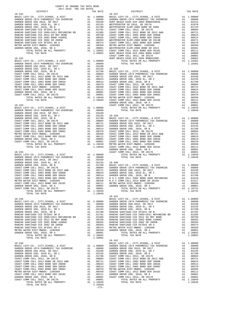| 2017-2018 TRA TAX RATES<br>DISTRICT | TAX RATE | DISTRICT       |                                                           | TAX RATE |
|-------------------------------------|----------|----------------|-----------------------------------------------------------|----------|
|                                     |          |                |                                                           |          |
|                                     |          |                |                                                           |          |
|                                     |          |                |                                                           |          |
|                                     |          |                |                                                           |          |
|                                     |          |                |                                                           |          |
|                                     |          |                |                                                           |          |
|                                     |          |                |                                                           |          |
|                                     |          |                |                                                           |          |
|                                     |          |                |                                                           |          |
|                                     |          |                |                                                           |          |
|                                     |          |                |                                                           |          |
|                                     |          |                |                                                           |          |
|                                     |          |                |                                                           |          |
|                                     |          |                |                                                           |          |
|                                     |          |                |                                                           |          |
|                                     |          |                |                                                           |          |
|                                     |          |                |                                                           |          |
|                                     |          |                |                                                           |          |
|                                     |          |                |                                                           |          |
|                                     |          |                |                                                           |          |
|                                     |          |                |                                                           |          |
|                                     |          |                |                                                           |          |
|                                     |          |                |                                                           |          |
|                                     |          |                |                                                           |          |
|                                     |          |                |                                                           |          |
|                                     |          |                |                                                           |          |
|                                     |          |                |                                                           |          |
|                                     |          |                |                                                           |          |
|                                     |          |                |                                                           |          |
|                                     |          |                |                                                           |          |
|                                     |          |                |                                                           |          |
|                                     |          |                |                                                           |          |
|                                     |          |                |                                                           |          |
|                                     |          |                |                                                           |          |
|                                     |          |                |                                                           |          |
|                                     |          |                |                                                           |          |
|                                     |          |                |                                                           |          |
|                                     |          |                |                                                           |          |
|                                     |          |                |                                                           |          |
|                                     |          |                |                                                           |          |
|                                     |          |                |                                                           |          |
|                                     |          |                |                                                           |          |
|                                     |          |                |                                                           |          |
|                                     |          |                |                                                           |          |
|                                     |          |                |                                                           |          |
|                                     |          |                |                                                           |          |
|                                     |          |                |                                                           |          |
|                                     |          |                |                                                           |          |
|                                     |          |                |                                                           |          |
|                                     |          | TOTAL TAX RATE | $\mathcal{L}(\mathcal{L})$ and $\mathcal{L}(\mathcal{L})$ | 1.18731  |
|                                     |          |                |                                                           |          |
|                                     |          | $18 - 341$     |                                                           |          |
|                                     |          |                |                                                           |          |
|                                     |          |                |                                                           |          |
|                                     |          |                |                                                           |          |
|                                     |          |                |                                                           |          |
|                                     |          |                |                                                           |          |
|                                     |          |                |                                                           |          |
|                                     |          |                |                                                           |          |
|                                     |          |                |                                                           |          |
|                                     |          |                |                                                           |          |
|                                     |          |                |                                                           |          |
|                                     |          |                |                                                           |          |
|                                     |          |                |                                                           |          |
|                                     |          |                |                                                           |          |
|                                     |          |                |                                                           |          |
|                                     |          |                |                                                           |          |
|                                     |          |                |                                                           |          |
|                                     |          |                |                                                           |          |
|                                     |          |                |                                                           |          |
|                                     |          |                |                                                           |          |
|                                     |          |                |                                                           |          |
|                                     |          |                |                                                           |          |
|                                     |          |                |                                                           |          |
|                                     |          |                |                                                           |          |
|                                     |          |                |                                                           |          |
|                                     |          |                |                                                           |          |

COUNTY OF ORANGE TAX RATE BOOK

| AX RATE                                 | DISTRICT                                                                                                                                                                                                                                                                                                                                                                                                                                                                                                                       |                                                                            | TAX RAT                                                                                                                                               |
|-----------------------------------------|--------------------------------------------------------------------------------------------------------------------------------------------------------------------------------------------------------------------------------------------------------------------------------------------------------------------------------------------------------------------------------------------------------------------------------------------------------------------------------------------------------------------------------|----------------------------------------------------------------------------|-------------------------------------------------------------------------------------------------------------------------------------------------------|
|                                         | AX RATE<br>1.00000 BASIC LEVY-CO., CITY, SCHOOL, & DIST<br>1.00000 BASIC LEVY-CO., CITY, SCHOOL, & DIST<br>1.00000 GARDEN GROWE-1974 PARAMEDIC TAX OVERRIDE<br>1.03430 HUNT BEACH HIGH SCH 2004 BOND#2004A<br>1.02235 WESTMINSTER ELEM-                                                                                                                                                                                                                                                                                        | A1<br>A1<br>A1<br>A1<br>A1                                                 | 1.0000<br>.0800<br>.0231<br>.0197<br>.0173                                                                                                            |
|                                         |                                                                                                                                                                                                                                                                                                                                                                                                                                                                                                                                |                                                                            | A1 .0080<br>A1 .0080<br>A1 .0062<br>A1 .0062<br>A1 .0051<br>A1 .0037<br>A1 .0036<br>A1 .0030<br>A1 .0030<br>A1 .0030<br>A1 .0030<br>A1 .0030          |
|                                         |                                                                                                                                                                                                                                                                                                                                                                                                                                                                                                                                | A1<br>A1                                                                   | .0008<br>A1 .0000<br>.0000                                                                                                                            |
| 1.00000<br>.08000<br>.03430             | TOTAL RATES ON ALL PROPERTY<br>TOTAL TAX RATE                                                                                                                                                                                                                                                                                                                                                                                                                                                                                  |                                                                            | A1 1.1838<br>1.1838<br>A1 1.0000                                                                                                                      |
|                                         | .08000<br>.03430<br>.02325<br>.02325<br>.02788<br>.02788<br>.02788<br>.02788<br>.02788<br>.02788<br>.02788<br>.02788<br>.02789<br>.02789<br>.02078<br>.02078<br>.02078<br>.02079<br>.00514<br>.02051<br>.02051<br>.02051<br>.00511<br>.00510<br>.00350<br>.00350<br>.00357<br>.0004                                                                                                                                                                                                                                            | A1<br>A1                                                                   | A1.0800<br>.0343<br>A1 .0223<br>A1 .0178<br>A1 .0178<br>A1 .0080<br>A1 .0062<br>A1 .0051<br>A1 .0035<br>.0035                                         |
| 1.00000<br>.08000                       | GARDEN GROVE USD, 2010, SR A<br>COAST COMM COLL 2012, SR 2017D<br>TOTAL RATES ON ALL PROPERTY<br>TOTAL TAX RATE                                                                                                                                                                                                                                                                                                                                                                                                                |                                                                            | ـــا00.<br>11.000.<br>14.0000.<br>1994:<br>A1 1.1894<br>1.1894                                                                                        |
| .03430                                  |                                                                                                                                                                                                                                                                                                                                                                                                                                                                                                                                |                                                                            |                                                                                                                                                       |
|                                         | GARDEN GROVE USD, 2010, SR A<br>COAST COMM COLL 2012, SR 2017D                                                                                                                                                                                                                                                                                                                                                                                                                                                                 | A1<br>A1                                                                   | .0000.<br>.0000                                                                                                                                       |
| 1.00000<br>.08000<br>.03430             | TOTAL RATES ON ALL PROPERTY<br>TOTAL TAX RATE                                                                                                                                                                                                                                                                                                                                                                                                                                                                                  |                                                                            | A1 1.1894<br>1.1894                                                                                                                                   |
| 1.18949                                 | .03430<br>02235 18-340<br>02788 BASIC LEVY-CO., CITY, SCHOOL, & DIST<br>02788 BASIC LEVY-CO., CITY, SCHOOL, & DIST<br>00004 GARDEN GROVE USD 2016, SR 2017<br>000624 GARDEN GROVE USD 2016 E. SR C<br>00514 GARDEN GROVE USD, 2010 EL, SR<br>TOTAL TAX RATE                                                                                                                                                                                                                                                                    | A1<br>A1<br>A1<br>A1<br>A1<br>A1                                           | A1 1.0000<br>.0800<br>.0343<br>.0223<br>.0178<br>.0161<br>.0131<br>A1 .0035<br>A1 .0000<br>A1 1.1873<br>1.1873                                        |
| .00001<br>1.20892<br>1.20892            | $18 - 341$<br>BASIC LEVY-CO., CITY, SCHOOL, & DIST<br>1.00000 GARDEN GROVE-1974 PARAMEDIC TAX OVERRIDE<br>.08000 GARDEN GROVE USD 2016, SR 2017<br>.03430 GARDEN GROVE USD 2016, SR 2017<br>.03430 GARDEN GROVE USD, 2010 EL, SR C<br>.03430 GARDEN GROVE USD, 2010 EL, SR C<br>.02235 GARDEN GROVE USD, 2010, SR B<br>.01788 RANCHO SANTIAGO CCD STID#1 SR B<br>.01788 RANCHO SANTIAGO CCD 2005+2011 REFUNDING BD<br>.01305 RANCHO SANTIAGO CCD 2012 GO REF BOND<br>.00760 R<br>TOTAL RATES ON ALL PROPERTY<br>TOTAL TAX RATE | A1<br>A1<br>A1<br>A1<br>A1<br>A1<br>A1<br>A1<br>A1<br>A1<br>A1<br>A1       | A1 1.0000<br>A1.0800<br>.0343<br>.0223<br>.0178<br>.0170<br>.0130<br>.0076<br>.0055<br>.0039<br>.0037<br>.0035<br>.0000<br>1.2089<br>1.2089           |
| 1.00000<br>.00001<br>1.18949<br>1.18949 | $18 - 342$<br>BASIC LEVY-CO., CITY, SCHOOL, & DIST<br>GARDEN GROVE-1974 PARAMEDIC TAX OVERRIDE<br>1.00000 GARDEN GROVE-1974 PARAMEDIC TAX OVERRI<br>.08000 GARDEN GROVE USD 2016, SR 2017<br>.03430 GARDEN GROVE USD 2016, SR 2017<br>.03430 GARDEN GROVE USD, 2010 EL, SR C<br>.02235 GARDEN GROVE USD, 2010 EL, SR 2017E<br>.00804 COAS<br>TOTAL RATES ON ALL PROPERTY<br>TOTAL TAX RATE                                                                                                                                     | A1<br>A1<br>A1<br>A1<br>A1<br>A1<br>A1<br>A1<br>A1<br>A1<br>A1<br>A1<br>A1 | A1 1.0000<br>.0800<br>.0343<br>.0223<br>.0178<br>.0080<br>.0072<br>.0062<br>.0051<br>.0037<br>.0035<br>.0011<br>.0000<br>.0000<br>A1 1.1894<br>1.1894 |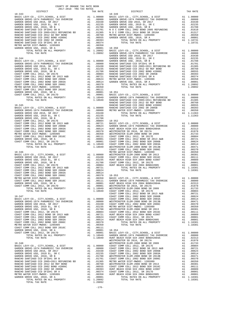| COUNTY OF ORANGE TAX RATE BOOK<br>2017-2018 TRA TAX RATES                                                                                                                        |          |                                    |
|----------------------------------------------------------------------------------------------------------------------------------------------------------------------------------|----------|------------------------------------|
| DISTRICT<br>$18 - 343$                                                                                                                                                           | TAX RATE | $18 - 349$                         |
|                                                                                                                                                                                  |          |                                    |
|                                                                                                                                                                                  |          |                                    |
|                                                                                                                                                                                  |          |                                    |
|                                                                                                                                                                                  |          |                                    |
|                                                                                                                                                                                  |          |                                    |
|                                                                                                                                                                                  |          |                                    |
|                                                                                                                                                                                  |          |                                    |
|                                                                                                                                                                                  |          |                                    |
|                                                                                                                                                                                  |          |                                    |
|                                                                                                                                                                                  |          |                                    |
|                                                                                                                                                                                  |          |                                    |
|                                                                                                                                                                                  |          |                                    |
|                                                                                                                                                                                  |          |                                    |
|                                                                                                                                                                                  |          | GARDEN                             |
| $18 - 344$                                                                                                                                                                       |          | GARDEN                             |
|                                                                                                                                                                                  |          |                                    |
|                                                                                                                                                                                  |          |                                    |
|                                                                                                                                                                                  |          |                                    |
|                                                                                                                                                                                  |          |                                    |
|                                                                                                                                                                                  |          |                                    |
|                                                                                                                                                                                  |          |                                    |
|                                                                                                                                                                                  |          |                                    |
|                                                                                                                                                                                  |          |                                    |
|                                                                                                                                                                                  |          |                                    |
|                                                                                                                                                                                  |          |                                    |
|                                                                                                                                                                                  |          |                                    |
|                                                                                                                                                                                  |          |                                    |
|                                                                                                                                                                                  |          |                                    |
|                                                                                                                                                                                  |          |                                    |
|                                                                                                                                                                                  |          | RANCHO                             |
| $18 - 345$                                                                                                                                                                       |          | RANCHO                             |
|                                                                                                                                                                                  |          |                                    |
|                                                                                                                                                                                  |          |                                    |
|                                                                                                                                                                                  |          |                                    |
|                                                                                                                                                                                  |          |                                    |
|                                                                                                                                                                                  |          |                                    |
|                                                                                                                                                                                  |          |                                    |
|                                                                                                                                                                                  |          |                                    |
|                                                                                                                                                                                  |          |                                    |
|                                                                                                                                                                                  |          |                                    |
|                                                                                                                                                                                  |          |                                    |
|                                                                                                                                                                                  |          |                                    |
|                                                                                                                                                                                  |          |                                    |
|                                                                                                                                                                                  |          |                                    |
|                                                                                                                                                                                  |          |                                    |
|                                                                                                                                                                                  |          | COAST C                            |
| $18 - 346$                                                                                                                                                                       |          | METRO W                            |
| A1 1.00000 MESTMIN<br>A1 .03430 COAST C<br>A1 .02235 HUNT BE<br>A1 .01788 COAST C<br>A1 .00804 HUNT BE<br>A1 .00804 HUNT BE<br>A1 .00804<br>BASIC LEVY-CO., CITY, SCHOOL, & DIST |          |                                    |
| SASIL DEVI CO., $2-1$ , $\frac{1}{2}$ , SR 2017<br>GARDEN GROVE USD 2016, SR 2017                                                                                                |          |                                    |
| GARDEN GROVE USD, 2010 EL, SR C                                                                                                                                                  |          |                                    |
| GARDEN GROVE USD, 2010, SR B                                                                                                                                                     |          |                                    |
|                                                                                                                                                                                  |          |                                    |
|                                                                                                                                                                                  |          |                                    |
|                                                                                                                                                                                  |          |                                    |
|                                                                                                                                                                                  |          |                                    |
|                                                                                                                                                                                  |          |                                    |
|                                                                                                                                                                                  |          |                                    |
|                                                                                                                                                                                  |          |                                    |
|                                                                                                                                                                                  |          |                                    |
| $\overline{A1}$ 1<br>TOTAL RATES ON ALL PROPERTY                                                                                                                                 |          | 1.10949 WESTMIN<br>1.10949 COAST C |
| TOTAL TAX RATE                                                                                                                                                                   |          | COAST C                            |
|                                                                                                                                                                                  |          |                                    |
|                                                                                                                                                                                  |          |                                    |
|                                                                                                                                                                                  |          |                                    |
|                                                                                                                                                                                  |          |                                    |
|                                                                                                                                                                                  |          |                                    |
|                                                                                                                                                                                  |          |                                    |
|                                                                                                                                                                                  |          |                                    |
|                                                                                                                                                                                  |          |                                    |
|                                                                                                                                                                                  |          |                                    |
|                                                                                                                                                                                  |          |                                    |
|                                                                                                                                                                                  |          |                                    |
|                                                                                                                                                                                  |          |                                    |
|                                                                                                                                                                                  |          |                                    |
|                                                                                                                                                                                  |          |                                    |
|                                                                                                                                                                                  |          |                                    |
|                                                                                                                                                                                  |          | WESTMIN                            |
| $18 - 348$                                                                                                                                                                       |          | WESTMIN                            |
|                                                                                                                                                                                  |          |                                    |
|                                                                                                                                                                                  |          |                                    |
|                                                                                                                                                                                  |          |                                    |
|                                                                                                                                                                                  |          |                                    |
|                                                                                                                                                                                  |          |                                    |
|                                                                                                                                                                                  |          |                                    |
|                                                                                                                                                                                  |          |                                    |
|                                                                                                                                                                                  |          |                                    |
|                                                                                                                                                                                  |          |                                    |
|                                                                                                                                                                                  |          |                                    |
|                                                                                                                                                                                  |          |                                    |
|                                                                                                                                                                                  |          |                                    |
|                                                                                                                                                                                  |          |                                    |
|                                                                                                                                                                                  |          |                                    |

| 2017-2018 TRA TAX RATES<br>DISTRICT | TAX RATE | DISTRICT   | TAX RATE |
|-------------------------------------|----------|------------|----------|
|                                     |          | $18 - 349$ |          |
|                                     |          |            |          |
|                                     |          |            |          |
|                                     |          |            |          |
|                                     |          |            |          |
|                                     |          |            |          |
|                                     |          |            |          |
|                                     |          |            |          |
|                                     |          |            |          |
|                                     |          |            |          |
|                                     |          |            |          |
|                                     |          |            |          |
|                                     |          |            |          |
|                                     |          |            |          |
|                                     |          |            |          |
|                                     |          |            |          |
|                                     |          |            |          |
|                                     |          |            |          |
|                                     |          |            |          |
|                                     |          |            |          |
|                                     |          |            |          |
|                                     |          |            |          |
|                                     |          |            |          |
|                                     |          |            |          |
|                                     |          |            |          |
|                                     |          |            |          |
|                                     |          |            |          |
|                                     |          |            |          |
|                                     |          |            |          |
|                                     |          |            |          |
|                                     |          |            |          |
|                                     |          |            |          |
|                                     |          |            |          |
|                                     |          |            |          |
|                                     |          |            |          |
|                                     |          |            |          |
|                                     |          |            |          |
|                                     |          |            |          |
|                                     |          |            |          |
|                                     |          |            |          |
|                                     |          |            |          |
|                                     |          |            |          |
|                                     |          |            |          |
|                                     |          |            |          |
|                                     |          |            |          |
|                                     |          |            |          |
|                                     |          |            |          |
|                                     |          |            |          |
|                                     |          |            |          |
|                                     |          |            |          |
|                                     |          |            |          |
|                                     |          |            |          |
|                                     |          |            |          |
|                                     |          |            |          |
|                                     |          |            |          |
|                                     |          |            |          |
|                                     |          |            |          |
|                                     |          |            |          |
|                                     |          |            |          |
|                                     |          |            |          |
|                                     |          |            |          |
|                                     |          |            |          |
|                                     |          |            |          |
|                                     |          |            |          |
|                                     |          |            |          |
|                                     |          |            |          |
|                                     |          |            |          |
|                                     |          |            |          |
|                                     |          |            |          |
|                                     |          |            |          |
|                                     |          |            |          |
|                                     |          |            |          |
|                                     |          |            |          |
|                                     |          |            |          |
|                                     |          |            |          |
|                                     |          |            |          |
|                                     |          |            |          |
|                                     |          |            |          |
|                                     |          |            |          |
|                                     |          |            |          |
|                                     |          |            |          |
|                                     |          |            |          |
|                                     |          |            |          |
|                                     |          |            |          |
|                                     |          |            |          |
|                                     |          |            |          |
|                                     |          |            |          |
|                                     |          |            |          |
|                                     |          |            |          |
|                                     |          |            |          |
|                                     |          |            |          |
|                                     |          |            |          |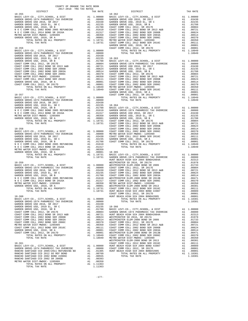| DISTRICT   | TAX RATE | DISTRICT | TAX RATE |
|------------|----------|----------|----------|
|            |          |          |          |
|            |          |          |          |
|            |          |          |          |
|            |          |          |          |
|            |          |          |          |
|            |          |          |          |
|            |          |          |          |
|            |          |          |          |
|            |          |          |          |
|            |          |          |          |
|            |          |          |          |
|            |          |          |          |
|            |          |          |          |
|            |          |          |          |
|            |          |          |          |
|            |          |          |          |
|            |          |          |          |
|            |          |          |          |
|            |          |          |          |
|            |          |          |          |
|            |          |          |          |
|            |          |          |          |
|            |          |          |          |
|            |          |          |          |
|            |          |          |          |
|            |          |          |          |
|            |          |          |          |
|            |          |          |          |
|            |          |          |          |
|            |          |          |          |
|            |          |          |          |
|            |          |          |          |
|            |          |          |          |
|            |          |          |          |
|            |          |          |          |
|            |          |          |          |
|            |          |          |          |
|            |          |          |          |
|            |          |          |          |
|            |          |          |          |
|            |          |          |          |
|            |          |          |          |
|            |          |          |          |
|            |          |          |          |
|            |          |          |          |
|            |          |          |          |
|            |          |          |          |
|            |          |          |          |
|            |          |          |          |
|            |          |          |          |
|            |          |          |          |
|            |          |          |          |
|            |          |          |          |
|            |          |          |          |
|            |          |          |          |
|            |          |          |          |
|            |          |          |          |
|            |          |          |          |
|            |          |          |          |
|            |          |          |          |
|            |          |          |          |
|            |          |          |          |
|            |          |          |          |
|            |          |          |          |
|            |          |          |          |
|            |          |          |          |
|            |          |          |          |
| $18 - 360$ |          |          |          |
|            |          |          |          |
|            |          |          |          |
|            |          |          |          |
|            |          |          |          |
|            |          |          |          |
|            |          |          |          |
|            |          |          |          |
|            |          |          |          |
|            |          |          |          |
|            |          |          |          |
|            |          |          |          |
|            |          |          |          |
|            |          |          |          |
|            |          |          |          |
|            |          |          |          |
|            |          |          |          |
|            |          |          |          |
|            |          |          |          |
|            |          |          |          |
|            |          |          |          |
|            |          |          |          |
|            |          |          |          |
|            |          |          |          |
|            |          |          |          |
|            |          |          |          |

TOTAL TAX RATE 1.11363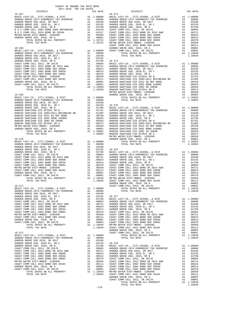|          | COUNTY OF ORANGE TAX RATE BOOK<br>2017-2018 TRA TAX RATES<br>2017-2018 TRA TAX RATES |          |                                                                                                                                                                                                                                                                                                                                                                                                                                                                         |          |
|----------|--------------------------------------------------------------------------------------|----------|-------------------------------------------------------------------------------------------------------------------------------------------------------------------------------------------------------------------------------------------------------------------------------------------------------------------------------------------------------------------------------------------------------------------------------------------------------------------------|----------|
| DISTRICT |                                                                                      | TAX RATE | DISTRICT                                                                                                                                                                                                                                                                                                                                                                                                                                                                | TAX RATE |
|          |                                                                                      |          |                                                                                                                                                                                                                                                                                                                                                                                                                                                                         |          |
|          |                                                                                      |          |                                                                                                                                                                                                                                                                                                                                                                                                                                                                         |          |
|          |                                                                                      |          |                                                                                                                                                                                                                                                                                                                                                                                                                                                                         |          |
|          |                                                                                      |          |                                                                                                                                                                                                                                                                                                                                                                                                                                                                         |          |
|          |                                                                                      |          |                                                                                                                                                                                                                                                                                                                                                                                                                                                                         |          |
|          |                                                                                      |          |                                                                                                                                                                                                                                                                                                                                                                                                                                                                         |          |
|          |                                                                                      |          |                                                                                                                                                                                                                                                                                                                                                                                                                                                                         |          |
|          |                                                                                      |          |                                                                                                                                                                                                                                                                                                                                                                                                                                                                         |          |
|          |                                                                                      |          |                                                                                                                                                                                                                                                                                                                                                                                                                                                                         |          |
|          |                                                                                      |          |                                                                                                                                                                                                                                                                                                                                                                                                                                                                         |          |
|          |                                                                                      |          |                                                                                                                                                                                                                                                                                                                                                                                                                                                                         |          |
|          |                                                                                      |          |                                                                                                                                                                                                                                                                                                                                                                                                                                                                         |          |
|          |                                                                                      |          |                                                                                                                                                                                                                                                                                                                                                                                                                                                                         |          |
|          |                                                                                      |          |                                                                                                                                                                                                                                                                                                                                                                                                                                                                         |          |
|          |                                                                                      |          |                                                                                                                                                                                                                                                                                                                                                                                                                                                                         |          |
|          |                                                                                      |          |                                                                                                                                                                                                                                                                                                                                                                                                                                                                         |          |
|          |                                                                                      |          |                                                                                                                                                                                                                                                                                                                                                                                                                                                                         |          |
|          |                                                                                      |          |                                                                                                                                                                                                                                                                                                                                                                                                                                                                         |          |
|          |                                                                                      |          |                                                                                                                                                                                                                                                                                                                                                                                                                                                                         |          |
|          |                                                                                      |          |                                                                                                                                                                                                                                                                                                                                                                                                                                                                         |          |
|          |                                                                                      |          |                                                                                                                                                                                                                                                                                                                                                                                                                                                                         |          |
|          |                                                                                      |          |                                                                                                                                                                                                                                                                                                                                                                                                                                                                         |          |
|          |                                                                                      |          |                                                                                                                                                                                                                                                                                                                                                                                                                                                                         |          |
|          |                                                                                      |          |                                                                                                                                                                                                                                                                                                                                                                                                                                                                         |          |
|          |                                                                                      |          |                                                                                                                                                                                                                                                                                                                                                                                                                                                                         |          |
|          |                                                                                      |          |                                                                                                                                                                                                                                                                                                                                                                                                                                                                         |          |
|          |                                                                                      |          |                                                                                                                                                                                                                                                                                                                                                                                                                                                                         |          |
|          |                                                                                      |          |                                                                                                                                                                                                                                                                                                                                                                                                                                                                         |          |
|          |                                                                                      |          |                                                                                                                                                                                                                                                                                                                                                                                                                                                                         |          |
|          |                                                                                      |          |                                                                                                                                                                                                                                                                                                                                                                                                                                                                         |          |
|          |                                                                                      |          |                                                                                                                                                                                                                                                                                                                                                                                                                                                                         |          |
|          |                                                                                      |          |                                                                                                                                                                                                                                                                                                                                                                                                                                                                         |          |
|          |                                                                                      |          |                                                                                                                                                                                                                                                                                                                                                                                                                                                                         |          |
|          |                                                                                      |          |                                                                                                                                                                                                                                                                                                                                                                                                                                                                         |          |
|          |                                                                                      |          |                                                                                                                                                                                                                                                                                                                                                                                                                                                                         |          |
|          |                                                                                      |          |                                                                                                                                                                                                                                                                                                                                                                                                                                                                         |          |
|          |                                                                                      |          |                                                                                                                                                                                                                                                                                                                                                                                                                                                                         |          |
|          |                                                                                      |          |                                                                                                                                                                                                                                                                                                                                                                                                                                                                         |          |
|          |                                                                                      |          |                                                                                                                                                                                                                                                                                                                                                                                                                                                                         |          |
|          |                                                                                      |          |                                                                                                                                                                                                                                                                                                                                                                                                                                                                         |          |
|          |                                                                                      |          |                                                                                                                                                                                                                                                                                                                                                                                                                                                                         |          |
|          |                                                                                      |          |                                                                                                                                                                                                                                                                                                                                                                                                                                                                         |          |
|          |                                                                                      |          |                                                                                                                                                                                                                                                                                                                                                                                                                                                                         |          |
|          |                                                                                      |          |                                                                                                                                                                                                                                                                                                                                                                                                                                                                         |          |
|          |                                                                                      |          |                                                                                                                                                                                                                                                                                                                                                                                                                                                                         |          |
|          |                                                                                      |          |                                                                                                                                                                                                                                                                                                                                                                                                                                                                         |          |
|          |                                                                                      |          |                                                                                                                                                                                                                                                                                                                                                                                                                                                                         |          |
|          |                                                                                      |          |                                                                                                                                                                                                                                                                                                                                                                                                                                                                         |          |
|          |                                                                                      |          |                                                                                                                                                                                                                                                                                                                                                                                                                                                                         |          |
|          |                                                                                      |          |                                                                                                                                                                                                                                                                                                                                                                                                                                                                         |          |
|          |                                                                                      |          |                                                                                                                                                                                                                                                                                                                                                                                                                                                                         |          |
|          |                                                                                      |          |                                                                                                                                                                                                                                                                                                                                                                                                                                                                         |          |
|          |                                                                                      |          |                                                                                                                                                                                                                                                                                                                                                                                                                                                                         |          |
|          |                                                                                      |          |                                                                                                                                                                                                                                                                                                                                                                                                                                                                         |          |
|          |                                                                                      |          |                                                                                                                                                                                                                                                                                                                                                                                                                                                                         |          |
|          |                                                                                      |          |                                                                                                                                                                                                                                                                                                                                                                                                                                                                         |          |
|          |                                                                                      |          |                                                                                                                                                                                                                                                                                                                                                                                                                                                                         |          |
|          |                                                                                      |          | $\begin{tabular}{lllllllllllll} \multicolumn{2}{c }{\textbf{0.0001}} & $\multicolumn{2}{c }{\textbf{0.0001}} & $\multicolumn{2}{c }{\textbf{0.0001}} \\ \multicolumn{2}{c }{\textbf{TOTAL RATES ON ALL PROPERTIES}} & & & & & \\ \multicolumn{2}{c }{\textbf{TOTAL TAX RATE}} & & & & \\ \multicolumn{2}{c }{\textbf{TOTAL TAX RATE}} & & & & \\ \multicolumn{2}{c }{\textbf{TOTAL TAX RATE}} & & & & \\ \multicolumn{2}{c }{\textbf{TOTAL TAX RATE}} & & & & \\ \mult$ |          |
|          |                                                                                      |          |                                                                                                                                                                                                                                                                                                                                                                                                                                                                         |          |
|          |                                                                                      |          |                                                                                                                                                                                                                                                                                                                                                                                                                                                                         |          |
|          |                                                                                      |          |                                                                                                                                                                                                                                                                                                                                                                                                                                                                         |          |
|          |                                                                                      |          |                                                                                                                                                                                                                                                                                                                                                                                                                                                                         |          |
|          |                                                                                      |          |                                                                                                                                                                                                                                                                                                                                                                                                                                                                         |          |
|          |                                                                                      |          |                                                                                                                                                                                                                                                                                                                                                                                                                                                                         |          |
|          |                                                                                      |          |                                                                                                                                                                                                                                                                                                                                                                                                                                                                         |          |
|          |                                                                                      |          |                                                                                                                                                                                                                                                                                                                                                                                                                                                                         |          |
|          |                                                                                      |          |                                                                                                                                                                                                                                                                                                                                                                                                                                                                         |          |
|          |                                                                                      |          |                                                                                                                                                                                                                                                                                                                                                                                                                                                                         |          |
|          |                                                                                      |          |                                                                                                                                                                                                                                                                                                                                                                                                                                                                         |          |
|          |                                                                                      |          |                                                                                                                                                                                                                                                                                                                                                                                                                                                                         |          |
|          |                                                                                      |          |                                                                                                                                                                                                                                                                                                                                                                                                                                                                         |          |
|          |                                                                                      |          |                                                                                                                                                                                                                                                                                                                                                                                                                                                                         |          |
|          |                                                                                      |          |                                                                                                                                                                                                                                                                                                                                                                                                                                                                         |          |
|          |                                                                                      |          |                                                                                                                                                                                                                                                                                                                                                                                                                                                                         |          |
|          |                                                                                      |          |                                                                                                                                                                                                                                                                                                                                                                                                                                                                         |          |
|          |                                                                                      |          |                                                                                                                                                                                                                                                                                                                                                                                                                                                                         |          |
|          |                                                                                      |          |                                                                                                                                                                                                                                                                                                                                                                                                                                                                         |          |
|          |                                                                                      |          |                                                                                                                                                                                                                                                                                                                                                                                                                                                                         |          |
|          |                                                                                      |          |                                                                                                                                                                                                                                                                                                                                                                                                                                                                         |          |
|          |                                                                                      |          |                                                                                                                                                                                                                                                                                                                                                                                                                                                                         |          |
|          |                                                                                      |          |                                                                                                                                                                                                                                                                                                                                                                                                                                                                         |          |
|          |                                                                                      |          |                                                                                                                                                                                                                                                                                                                                                                                                                                                                         |          |
|          |                                                                                      |          |                                                                                                                                                                                                                                                                                                                                                                                                                                                                         |          |
|          |                                                                                      |          |                                                                                                                                                                                                                                                                                                                                                                                                                                                                         |          |
|          |                                                                                      |          |                                                                                                                                                                                                                                                                                                                                                                                                                                                                         |          |
|          |                                                                                      |          |                                                                                                                                                                                                                                                                                                                                                                                                                                                                         |          |
|          |                                                                                      |          |                                                                                                                                                                                                                                                                                                                                                                                                                                                                         |          |
|          |                                                                                      |          |                                                                                                                                                                                                                                                                                                                                                                                                                                                                         |          |
|          |                                                                                      |          |                                                                                                                                                                                                                                                                                                                                                                                                                                                                         |          |
|          |                                                                                      |          |                                                                                                                                                                                                                                                                                                                                                                                                                                                                         |          |
|          |                                                                                      |          |                                                                                                                                                                                                                                                                                                                                                                                                                                                                         |          |
|          |                                                                                      |          |                                                                                                                                                                                                                                                                                                                                                                                                                                                                         |          |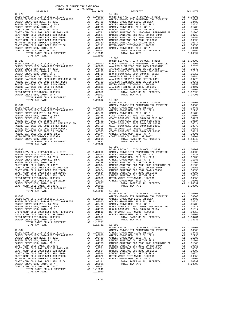| COUNTY OF ORANGE TAX RATE BOOK<br>2017-2018 TRA TAX RATES<br>DISTRICT           | TAX RATE | DISTRICT                                                                                                                                                                                                                                                                                                                                                                                              | TAX RATE |
|---------------------------------------------------------------------------------|----------|-------------------------------------------------------------------------------------------------------------------------------------------------------------------------------------------------------------------------------------------------------------------------------------------------------------------------------------------------------------------------------------------------------|----------|
| $18 - 379$                                                                      |          | $18 - 385$                                                                                                                                                                                                                                                                                                                                                                                            |          |
|                                                                                 |          |                                                                                                                                                                                                                                                                                                                                                                                                       |          |
|                                                                                 |          |                                                                                                                                                                                                                                                                                                                                                                                                       |          |
|                                                                                 |          |                                                                                                                                                                                                                                                                                                                                                                                                       |          |
|                                                                                 |          |                                                                                                                                                                                                                                                                                                                                                                                                       |          |
|                                                                                 |          |                                                                                                                                                                                                                                                                                                                                                                                                       |          |
|                                                                                 |          |                                                                                                                                                                                                                                                                                                                                                                                                       |          |
|                                                                                 |          |                                                                                                                                                                                                                                                                                                                                                                                                       |          |
|                                                                                 |          |                                                                                                                                                                                                                                                                                                                                                                                                       |          |
|                                                                                 |          |                                                                                                                                                                                                                                                                                                                                                                                                       |          |
|                                                                                 |          |                                                                                                                                                                                                                                                                                                                                                                                                       |          |
|                                                                                 |          |                                                                                                                                                                                                                                                                                                                                                                                                       |          |
|                                                                                 |          |                                                                                                                                                                                                                                                                                                                                                                                                       |          |
|                                                                                 |          |                                                                                                                                                                                                                                                                                                                                                                                                       |          |
| TOTAL TAX RATE                                                                  | 1.18949  |                                                                                                                                                                                                                                                                                                                                                                                                       |          |
|                                                                                 |          |                                                                                                                                                                                                                                                                                                                                                                                                       |          |
|                                                                                 |          |                                                                                                                                                                                                                                                                                                                                                                                                       |          |
|                                                                                 |          |                                                                                                                                                                                                                                                                                                                                                                                                       |          |
|                                                                                 |          |                                                                                                                                                                                                                                                                                                                                                                                                       |          |
|                                                                                 |          |                                                                                                                                                                                                                                                                                                                                                                                                       |          |
|                                                                                 |          |                                                                                                                                                                                                                                                                                                                                                                                                       |          |
|                                                                                 |          |                                                                                                                                                                                                                                                                                                                                                                                                       |          |
|                                                                                 |          |                                                                                                                                                                                                                                                                                                                                                                                                       |          |
|                                                                                 |          |                                                                                                                                                                                                                                                                                                                                                                                                       |          |
|                                                                                 |          |                                                                                                                                                                                                                                                                                                                                                                                                       |          |
|                                                                                 |          |                                                                                                                                                                                                                                                                                                                                                                                                       |          |
|                                                                                 |          |                                                                                                                                                                                                                                                                                                                                                                                                       |          |
|                                                                                 |          |                                                                                                                                                                                                                                                                                                                                                                                                       |          |
|                                                                                 |          |                                                                                                                                                                                                                                                                                                                                                                                                       |          |
|                                                                                 |          |                                                                                                                                                                                                                                                                                                                                                                                                       |          |
|                                                                                 |          |                                                                                                                                                                                                                                                                                                                                                                                                       |          |
|                                                                                 |          |                                                                                                                                                                                                                                                                                                                                                                                                       |          |
|                                                                                 |          |                                                                                                                                                                                                                                                                                                                                                                                                       |          |
|                                                                                 |          |                                                                                                                                                                                                                                                                                                                                                                                                       |          |
|                                                                                 |          |                                                                                                                                                                                                                                                                                                                                                                                                       |          |
|                                                                                 |          |                                                                                                                                                                                                                                                                                                                                                                                                       |          |
|                                                                                 |          |                                                                                                                                                                                                                                                                                                                                                                                                       |          |
|                                                                                 |          |                                                                                                                                                                                                                                                                                                                                                                                                       |          |
|                                                                                 |          |                                                                                                                                                                                                                                                                                                                                                                                                       |          |
|                                                                                 |          |                                                                                                                                                                                                                                                                                                                                                                                                       |          |
|                                                                                 |          |                                                                                                                                                                                                                                                                                                                                                                                                       |          |
|                                                                                 |          |                                                                                                                                                                                                                                                                                                                                                                                                       |          |
|                                                                                 |          |                                                                                                                                                                                                                                                                                                                                                                                                       |          |
|                                                                                 |          |                                                                                                                                                                                                                                                                                                                                                                                                       |          |
|                                                                                 |          | $\begin{tabular}{cccc} \textbf{1.4046\_TA} & \textbf{1.400000} & \textbf{1.400000} & \textbf{1.400000} & \textbf{1.400000} \\ \textbf{1.4083C\_LWY-CO.}, & \textbf{CITY}, \textbf{SCHOOL}, & \textbf{c DIST} & \textbf{0.11,00000} & \textbf{0.4RDEN GROVE-1974 PARMEDIC TAX OVERRIDE} & \textbf{0.17} \\ \textbf{1.400000} & \textbf{GARDEN GROVE-1974 PARMEDIC TAX OVERRIDE} & \text$<br>$18 - 388$ |          |
|                                                                                 |          |                                                                                                                                                                                                                                                                                                                                                                                                       |          |
|                                                                                 |          |                                                                                                                                                                                                                                                                                                                                                                                                       |          |
|                                                                                 |          |                                                                                                                                                                                                                                                                                                                                                                                                       |          |
|                                                                                 |          |                                                                                                                                                                                                                                                                                                                                                                                                       |          |
|                                                                                 |          |                                                                                                                                                                                                                                                                                                                                                                                                       |          |
|                                                                                 |          |                                                                                                                                                                                                                                                                                                                                                                                                       |          |
|                                                                                 |          |                                                                                                                                                                                                                                                                                                                                                                                                       |          |
|                                                                                 |          |                                                                                                                                                                                                                                                                                                                                                                                                       |          |
|                                                                                 |          |                                                                                                                                                                                                                                                                                                                                                                                                       |          |
|                                                                                 |          |                                                                                                                                                                                                                                                                                                                                                                                                       |          |
|                                                                                 |          |                                                                                                                                                                                                                                                                                                                                                                                                       |          |
|                                                                                 |          |                                                                                                                                                                                                                                                                                                                                                                                                       |          |
|                                                                                 |          |                                                                                                                                                                                                                                                                                                                                                                                                       |          |
|                                                                                 |          |                                                                                                                                                                                                                                                                                                                                                                                                       |          |
| TY $\begin{array}{c} 1.18949 \\ \text{Al} \quad 1.18949 \\ 1.18949 \end{array}$ |          |                                                                                                                                                                                                                                                                                                                                                                                                       |          |
|                                                                                 |          |                                                                                                                                                                                                                                                                                                                                                                                                       |          |
|                                                                                 |          |                                                                                                                                                                                                                                                                                                                                                                                                       |          |
|                                                                                 |          |                                                                                                                                                                                                                                                                                                                                                                                                       |          |
|                                                                                 |          |                                                                                                                                                                                                                                                                                                                                                                                                       |          |
|                                                                                 |          |                                                                                                                                                                                                                                                                                                                                                                                                       |          |
|                                                                                 |          |                                                                                                                                                                                                                                                                                                                                                                                                       |          |
|                                                                                 |          |                                                                                                                                                                                                                                                                                                                                                                                                       |          |
|                                                                                 |          |                                                                                                                                                                                                                                                                                                                                                                                                       |          |
|                                                                                 |          |                                                                                                                                                                                                                                                                                                                                                                                                       |          |
|                                                                                 |          |                                                                                                                                                                                                                                                                                                                                                                                                       |          |
|                                                                                 |          |                                                                                                                                                                                                                                                                                                                                                                                                       |          |
|                                                                                 |          |                                                                                                                                                                                                                                                                                                                                                                                                       |          |
|                                                                                 |          |                                                                                                                                                                                                                                                                                                                                                                                                       |          |
|                                                                                 |          |                                                                                                                                                                                                                                                                                                                                                                                                       |          |
|                                                                                 |          |                                                                                                                                                                                                                                                                                                                                                                                                       |          |
|                                                                                 |          |                                                                                                                                                                                                                                                                                                                                                                                                       |          |
|                                                                                 |          |                                                                                                                                                                                                                                                                                                                                                                                                       |          |
|                                                                                 |          |                                                                                                                                                                                                                                                                                                                                                                                                       |          |
|                                                                                 |          |                                                                                                                                                                                                                                                                                                                                                                                                       |          |
|                                                                                 |          |                                                                                                                                                                                                                                                                                                                                                                                                       |          |
|                                                                                 |          |                                                                                                                                                                                                                                                                                                                                                                                                       |          |
|                                                                                 |          |                                                                                                                                                                                                                                                                                                                                                                                                       |          |
|                                                                                 |          |                                                                                                                                                                                                                                                                                                                                                                                                       |          |
|                                                                                 |          |                                                                                                                                                                                                                                                                                                                                                                                                       |          |
|                                                                                 |          |                                                                                                                                                                                                                                                                                                                                                                                                       |          |
|                                                                                 |          |                                                                                                                                                                                                                                                                                                                                                                                                       |          |
|                                                                                 |          |                                                                                                                                                                                                                                                                                                                                                                                                       |          |
|                                                                                 |          |                                                                                                                                                                                                                                                                                                                                                                                                       |          |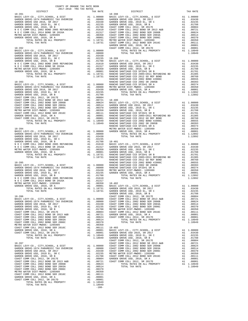| DISTRICT | 2017-2018 TRA TAX RATES | TAX RATE | DISTRICT   | TAX RATE |
|----------|-------------------------|----------|------------|----------|
|          |                         |          | $18 - 398$ |          |
|          |                         |          |            |          |
|          |                         |          |            |          |
|          |                         |          |            |          |
|          |                         |          |            |          |
|          |                         |          |            |          |
|          |                         |          |            |          |
|          |                         |          |            |          |
|          |                         |          |            |          |
|          |                         |          |            |          |
|          |                         |          |            |          |
|          |                         |          |            |          |
|          |                         |          |            |          |
|          |                         |          |            |          |
|          |                         |          |            |          |
|          |                         |          |            |          |
|          |                         |          |            |          |
|          |                         |          |            |          |
|          |                         |          |            |          |
|          |                         |          |            |          |
|          |                         |          |            |          |
|          |                         |          |            |          |
|          |                         |          |            |          |
|          |                         |          |            |          |
|          |                         |          |            |          |
|          |                         |          |            |          |
|          |                         |          |            |          |
|          |                         |          |            |          |
|          |                         |          |            |          |
|          |                         |          |            |          |
|          |                         |          |            |          |
|          |                         |          |            |          |
|          |                         |          |            |          |
|          |                         |          |            |          |
|          |                         |          |            |          |
|          |                         |          |            |          |
|          |                         |          |            |          |
|          |                         |          |            |          |
|          |                         |          |            |          |
|          |                         |          |            |          |
|          |                         |          |            |          |
|          |                         |          |            |          |
|          |                         |          |            |          |
|          |                         |          |            |          |
|          |                         |          |            |          |
|          |                         |          |            |          |
|          |                         |          |            |          |
|          |                         |          |            |          |
|          |                         |          |            |          |
|          |                         |          |            |          |
|          |                         |          |            |          |
|          |                         |          |            |          |
|          |                         |          |            |          |
|          |                         |          |            |          |
|          |                         |          |            |          |
|          |                         |          |            |          |
|          |                         |          |            |          |
|          |                         |          |            |          |
|          |                         |          |            |          |
|          |                         |          |            |          |
|          |                         |          |            |          |
|          |                         |          |            |          |
|          |                         |          |            |          |
|          |                         |          |            |          |
|          |                         |          |            |          |
|          |                         |          |            |          |
|          |                         |          |            |          |
|          |                         |          |            |          |
|          |                         |          |            |          |
|          |                         |          |            |          |
|          |                         |          |            |          |
|          |                         |          |            |          |
|          |                         |          |            |          |
|          |                         |          |            |          |
|          |                         |          |            |          |
|          |                         |          |            |          |
|          |                         |          |            |          |
|          |                         |          |            |          |
|          |                         |          |            |          |
|          |                         |          |            |          |
|          |                         |          |            |          |
|          |                         | $-180-$  |            |          |

COUNTY OF ORANGE TAX RATE BOOK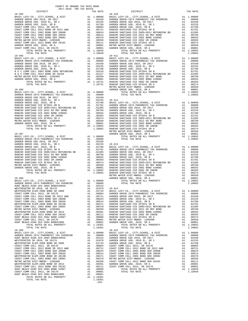-181-

| COUNTY OF ORANGE TAX RATE BOOK<br>2017-2018 TRA TAX RATES |          |            |          |
|-----------------------------------------------------------|----------|------------|----------|
| DISTRICT                                                  | TAX RATE | DISTRICT   | TAX RATE |
| $18 - 404$                                                |          | $18 - 410$ |          |
|                                                           |          |            |          |
|                                                           |          |            |          |
|                                                           |          |            |          |
|                                                           |          |            |          |
|                                                           |          |            |          |
|                                                           |          |            |          |
|                                                           |          |            |          |
|                                                           |          |            |          |
|                                                           |          |            |          |
|                                                           |          |            |          |
|                                                           |          |            |          |
| $18 - 405$                                                |          | $18 - 411$ |          |
|                                                           |          |            |          |
|                                                           |          |            |          |
|                                                           |          |            |          |
|                                                           |          |            |          |
|                                                           |          |            |          |
|                                                           |          |            |          |
|                                                           |          |            |          |
|                                                           |          |            |          |
|                                                           |          |            |          |
|                                                           |          |            |          |
|                                                           |          |            |          |
|                                                           |          |            |          |
|                                                           |          |            |          |
|                                                           |          |            |          |
|                                                           |          |            |          |
|                                                           |          |            |          |
|                                                           |          |            |          |
|                                                           |          |            |          |
|                                                           |          |            |          |
|                                                           |          |            |          |
|                                                           |          |            |          |
|                                                           |          |            |          |
|                                                           |          |            |          |
|                                                           |          |            |          |
|                                                           |          |            |          |
|                                                           |          |            |          |
|                                                           |          |            |          |
|                                                           |          |            |          |
|                                                           |          |            |          |
|                                                           |          |            |          |
|                                                           |          |            |          |
|                                                           |          |            |          |
|                                                           |          |            |          |
|                                                           |          |            |          |
|                                                           |          |            |          |
|                                                           |          |            |          |
|                                                           |          |            |          |
|                                                           |          |            |          |
|                                                           |          |            |          |
|                                                           |          |            |          |
|                                                           |          |            |          |
|                                                           |          |            |          |
|                                                           |          |            |          |
|                                                           |          |            |          |
|                                                           |          |            |          |
|                                                           |          |            |          |
|                                                           |          |            |          |
|                                                           |          |            |          |
|                                                           |          |            |          |
|                                                           |          |            |          |
|                                                           |          |            |          |
|                                                           |          |            |          |
|                                                           |          |            |          |
|                                                           |          |            |          |
|                                                           |          |            |          |
|                                                           |          |            |          |
|                                                           |          |            |          |
|                                                           |          |            |          |
|                                                           |          |            |          |
|                                                           |          |            |          |
|                                                           |          |            |          |
|                                                           |          |            |          |
|                                                           |          |            |          |
|                                                           |          |            |          |
|                                                           |          |            |          |
|                                                           |          |            |          |
|                                                           |          |            |          |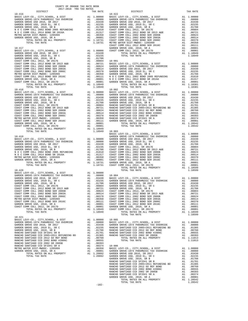| COUNTY OF ORANGE TAX RATE BOOK |  |                                                 |          |
|--------------------------------|--|-------------------------------------------------|----------|
| $18 - 416$                     |  | TAX RATES<br>TAX RATE<br>DISTRICT<br>$18 - 422$ | TAX RATE |
|                                |  |                                                 |          |
|                                |  |                                                 |          |
|                                |  |                                                 |          |
|                                |  |                                                 |          |
|                                |  |                                                 |          |
|                                |  |                                                 |          |
|                                |  |                                                 |          |
|                                |  |                                                 |          |
|                                |  |                                                 |          |
|                                |  |                                                 |          |
|                                |  |                                                 |          |
|                                |  |                                                 |          |
|                                |  |                                                 |          |
|                                |  |                                                 |          |
|                                |  |                                                 |          |
|                                |  |                                                 |          |
|                                |  |                                                 |          |
|                                |  |                                                 |          |
|                                |  |                                                 |          |
|                                |  |                                                 |          |
|                                |  |                                                 |          |
|                                |  |                                                 |          |
|                                |  |                                                 |          |
|                                |  |                                                 |          |
|                                |  |                                                 |          |
|                                |  |                                                 |          |
|                                |  |                                                 |          |
|                                |  |                                                 |          |
|                                |  |                                                 |          |
|                                |  |                                                 |          |
|                                |  |                                                 |          |
|                                |  |                                                 |          |
|                                |  |                                                 |          |
|                                |  |                                                 |          |
|                                |  |                                                 |          |
|                                |  |                                                 |          |
|                                |  |                                                 |          |
|                                |  |                                                 |          |
|                                |  |                                                 |          |
|                                |  |                                                 |          |
|                                |  |                                                 |          |
|                                |  |                                                 |          |
|                                |  |                                                 |          |
|                                |  |                                                 |          |
|                                |  |                                                 |          |
|                                |  |                                                 |          |
|                                |  |                                                 |          |
|                                |  |                                                 |          |
|                                |  |                                                 |          |
|                                |  |                                                 |          |
|                                |  |                                                 |          |
|                                |  |                                                 |          |
|                                |  |                                                 |          |
|                                |  |                                                 |          |
|                                |  |                                                 |          |
|                                |  |                                                 |          |
|                                |  |                                                 |          |
|                                |  |                                                 |          |
|                                |  |                                                 |          |
|                                |  |                                                 |          |
|                                |  |                                                 |          |
|                                |  |                                                 |          |
|                                |  |                                                 |          |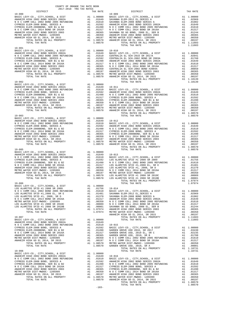| COUNTY OF ORANGE TAX RATE BOOK |         |                                                                                                                                                                                                                                                                                                                                                                                                                                         |          |
|--------------------------------|---------|-----------------------------------------------------------------------------------------------------------------------------------------------------------------------------------------------------------------------------------------------------------------------------------------------------------------------------------------------------------------------------------------------------------------------------------------|----------|
| $19 - 000$                     |         | $19 - 009$                                                                                                                                                                                                                                                                                                                                                                                                                              | TAX RATE |
|                                |         |                                                                                                                                                                                                                                                                                                                                                                                                                                         |          |
| $19 - 001$                     |         |                                                                                                                                                                                                                                                                                                                                                                                                                                         |          |
|                                |         |                                                                                                                                                                                                                                                                                                                                                                                                                                         |          |
|                                |         |                                                                                                                                                                                                                                                                                                                                                                                                                                         |          |
|                                |         |                                                                                                                                                                                                                                                                                                                                                                                                                                         |          |
|                                |         |                                                                                                                                                                                                                                                                                                                                                                                                                                         |          |
|                                |         |                                                                                                                                                                                                                                                                                                                                                                                                                                         |          |
|                                |         |                                                                                                                                                                                                                                                                                                                                                                                                                                         |          |
|                                |         | $\begin{tabular}{c cccc} TOTAL RATES on $\mathit{mult}: $N$-CCOM COIL-2015$ & $TOTAL RATES on ALL PROPERTY$ \\ \hline \end{tabular} \begin{tabular}{c cccc} TOTAL RATES on $\mathit{mult}: $N$-CCOM COIL-2015$ & $109000$ & $107000$ & $109000$ \\ \hline \end{tabular} \begin{tabular}{c cccc} \multicolumn{3}{c}{A1} & $109000$ & $109000$ & $109000$ \\ \hline \end{tabular} \begin{tabular}{c cccc} \multicolumn{3}{c}{A1} & $1090$ |          |
|                                |         |                                                                                                                                                                                                                                                                                                                                                                                                                                         |          |
|                                |         | $\begin{tabular}{l c c c c c} \hline 19-016 & 100000 & 1000000 & 1000000 & 1000000 & 1000000 & 1000000 & 1000000 & 1000000 & 1000000 & 1000000 & 1000000 & 1000000 & 1000000 & 1000000 & 1000000 & 1000000 & 1000000 & 1000000 & 1000000 & 1000000 & 1000000 & 10$                                                                                                                                                                      |          |
|                                |         |                                                                                                                                                                                                                                                                                                                                                                                                                                         |          |
|                                |         |                                                                                                                                                                                                                                                                                                                                                                                                                                         |          |
|                                |         |                                                                                                                                                                                                                                                                                                                                                                                                                                         |          |
|                                |         | $\begin{tabular}{l c c c c} \multicolumn{4}{l}{\textbf{19-008}} & \multicolumn{4}{l}{\textbf{TDRAL RATE}} \\ \multicolumn{4}{l}{\textbf{RAHEIM HIGH 2002 BOND SREIES 2002A}} & \multicolumn{4}{l}{\textbf{A1}} & 1.00000 \\ \multicolumn{4}{l}{\textbf{NAHEIM HIGH 2002 BOND SREIES 2002A}} & \multicolumn{4}{l}{\textbf{A1}} & .01649 & 19-016 \\ \multicolumn{4}{l}{\textbf{N O C COMM COLL 2002 BOND SREFEND$                        |          |
|                                | $-183-$ |                                                                                                                                                                                                                                                                                                                                                                                                                                         |          |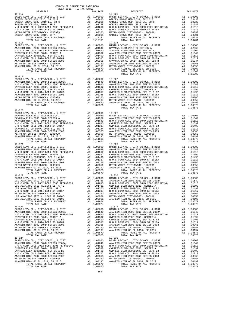|            | $\begin{tabular}{l c c c c c} \multicolumn{1}{c}{\begin{tabular}{c} \multicolumn{1}{c}{D15}TRTC & $\rule{0pt}{2pt} \multicolumn{1}{c}{\begin{tabular}{c}{\begin{tabular}{c} $19$--017$}} \multicolumn{1}{c}{\begin{tabular}{c}{\begin{tabular}{c} $19$--017$}} \multicolumn{1}{c}{\begin{tabular}{c} $19$--017$} \multicolumn{1}{c}{\begin{tabular}{c} $19$--017$} \multicolumn{1}{c}{\begin{tabular}{c} $19$--025$} \multicolumn{1}{c$ |  |
|------------|-----------------------------------------------------------------------------------------------------------------------------------------------------------------------------------------------------------------------------------------------------------------------------------------------------------------------------------------------------------------------------------------------------------------------------------------|--|
|            |                                                                                                                                                                                                                                                                                                                                                                                                                                         |  |
|            |                                                                                                                                                                                                                                                                                                                                                                                                                                         |  |
|            |                                                                                                                                                                                                                                                                                                                                                                                                                                         |  |
|            |                                                                                                                                                                                                                                                                                                                                                                                                                                         |  |
|            |                                                                                                                                                                                                                                                                                                                                                                                                                                         |  |
|            |                                                                                                                                                                                                                                                                                                                                                                                                                                         |  |
|            |                                                                                                                                                                                                                                                                                                                                                                                                                                         |  |
|            |                                                                                                                                                                                                                                                                                                                                                                                                                                         |  |
|            |                                                                                                                                                                                                                                                                                                                                                                                                                                         |  |
|            |                                                                                                                                                                                                                                                                                                                                                                                                                                         |  |
|            |                                                                                                                                                                                                                                                                                                                                                                                                                                         |  |
|            |                                                                                                                                                                                                                                                                                                                                                                                                                                         |  |
|            |                                                                                                                                                                                                                                                                                                                                                                                                                                         |  |
|            |                                                                                                                                                                                                                                                                                                                                                                                                                                         |  |
|            |                                                                                                                                                                                                                                                                                                                                                                                                                                         |  |
|            |                                                                                                                                                                                                                                                                                                                                                                                                                                         |  |
|            |                                                                                                                                                                                                                                                                                                                                                                                                                                         |  |
| $19 - 019$ |                                                                                                                                                                                                                                                                                                                                                                                                                                         |  |
|            |                                                                                                                                                                                                                                                                                                                                                                                                                                         |  |
|            |                                                                                                                                                                                                                                                                                                                                                                                                                                         |  |
|            |                                                                                                                                                                                                                                                                                                                                                                                                                                         |  |
|            |                                                                                                                                                                                                                                                                                                                                                                                                                                         |  |
|            |                                                                                                                                                                                                                                                                                                                                                                                                                                         |  |
|            |                                                                                                                                                                                                                                                                                                                                                                                                                                         |  |
|            |                                                                                                                                                                                                                                                                                                                                                                                                                                         |  |
|            |                                                                                                                                                                                                                                                                                                                                                                                                                                         |  |
|            |                                                                                                                                                                                                                                                                                                                                                                                                                                         |  |
| $19 - 020$ |                                                                                                                                                                                                                                                                                                                                                                                                                                         |  |
|            |                                                                                                                                                                                                                                                                                                                                                                                                                                         |  |
|            |                                                                                                                                                                                                                                                                                                                                                                                                                                         |  |
|            |                                                                                                                                                                                                                                                                                                                                                                                                                                         |  |
|            |                                                                                                                                                                                                                                                                                                                                                                                                                                         |  |
|            |                                                                                                                                                                                                                                                                                                                                                                                                                                         |  |
|            |                                                                                                                                                                                                                                                                                                                                                                                                                                         |  |
|            |                                                                                                                                                                                                                                                                                                                                                                                                                                         |  |
|            |                                                                                                                                                                                                                                                                                                                                                                                                                                         |  |
|            |                                                                                                                                                                                                                                                                                                                                                                                                                                         |  |
|            |                                                                                                                                                                                                                                                                                                                                                                                                                                         |  |
|            |                                                                                                                                                                                                                                                                                                                                                                                                                                         |  |
|            |                                                                                                                                                                                                                                                                                                                                                                                                                                         |  |
|            |                                                                                                                                                                                                                                                                                                                                                                                                                                         |  |
|            |                                                                                                                                                                                                                                                                                                                                                                                                                                         |  |
|            |                                                                                                                                                                                                                                                                                                                                                                                                                                         |  |
|            |                                                                                                                                                                                                                                                                                                                                                                                                                                         |  |
| $19 - 022$ | $19 - 030$                                                                                                                                                                                                                                                                                                                                                                                                                              |  |
|            |                                                                                                                                                                                                                                                                                                                                                                                                                                         |  |
|            |                                                                                                                                                                                                                                                                                                                                                                                                                                         |  |
|            |                                                                                                                                                                                                                                                                                                                                                                                                                                         |  |
|            |                                                                                                                                                                                                                                                                                                                                                                                                                                         |  |
|            |                                                                                                                                                                                                                                                                                                                                                                                                                                         |  |
|            |                                                                                                                                                                                                                                                                                                                                                                                                                                         |  |
|            |                                                                                                                                                                                                                                                                                                                                                                                                                                         |  |
|            |                                                                                                                                                                                                                                                                                                                                                                                                                                         |  |
| $19 - 023$ | $19 - 031$                                                                                                                                                                                                                                                                                                                                                                                                                              |  |
|            |                                                                                                                                                                                                                                                                                                                                                                                                                                         |  |
|            |                                                                                                                                                                                                                                                                                                                                                                                                                                         |  |
|            |                                                                                                                                                                                                                                                                                                                                                                                                                                         |  |
|            |                                                                                                                                                                                                                                                                                                                                                                                                                                         |  |
|            |                                                                                                                                                                                                                                                                                                                                                                                                                                         |  |
|            |                                                                                                                                                                                                                                                                                                                                                                                                                                         |  |
|            |                                                                                                                                                                                                                                                                                                                                                                                                                                         |  |
|            |                                                                                                                                                                                                                                                                                                                                                                                                                                         |  |
|            |                                                                                                                                                                                                                                                                                                                                                                                                                                         |  |
|            |                                                                                                                                                                                                                                                                                                                                                                                                                                         |  |
|            |                                                                                                                                                                                                                                                                                                                                                                                                                                         |  |
|            |                                                                                                                                                                                                                                                                                                                                                                                                                                         |  |
|            |                                                                                                                                                                                                                                                                                                                                                                                                                                         |  |
|            |                                                                                                                                                                                                                                                                                                                                                                                                                                         |  |
|            |                                                                                                                                                                                                                                                                                                                                                                                                                                         |  |
|            |                                                                                                                                                                                                                                                                                                                                                                                                                                         |  |
|            |                                                                                                                                                                                                                                                                                                                                                                                                                                         |  |

COUNTY OF ORANGE TAX RATE BOOK

| - - - |  |
|-------|--|
| 235   |  |
| 788   |  |
| 510   |  |
|       |  |

-184-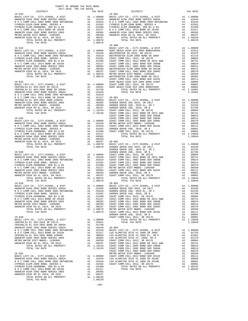| COUNTY OF ORANGE TAX RATE BOOK<br>$\begin{tabular}{ccccc} & . & . & . & . \\ & . & . & . & . \\ & . & . & . & . \\ & . & . & . & . \\ & . & . & . & . \\ & . & . & . & . \\ & . & . & . & . \\ & . & . & . & . \\ & . & . & . & . \\ & . & . & . & . \\ & . & . & . & . \\ & . & . & . & . \\ & . & . & . & . \\ & . & . & . & . \\ & . & . & . & . \\ & . & . & . & . \\ & . & . & . & . \\ & . & . & . & . \\ & . & . & . & . \\ & . & . & . & . \\ & . & . & . & . \\ & . & . & . & . \\ & . & . & . & . \\ & . & .$ |  |            |          |
|-------------------------------------------------------------------------------------------------------------------------------------------------------------------------------------------------------------------------------------------------------------------------------------------------------------------------------------------------------------------------------------------------------------------------------------------------------------------------------------------------------------------------|--|------------|----------|
| $19 - 033$                                                                                                                                                                                                                                                                                                                                                                                                                                                                                                              |  |            | TAX RATE |
|                                                                                                                                                                                                                                                                                                                                                                                                                                                                                                                         |  |            |          |
|                                                                                                                                                                                                                                                                                                                                                                                                                                                                                                                         |  |            |          |
|                                                                                                                                                                                                                                                                                                                                                                                                                                                                                                                         |  |            |          |
|                                                                                                                                                                                                                                                                                                                                                                                                                                                                                                                         |  |            |          |
|                                                                                                                                                                                                                                                                                                                                                                                                                                                                                                                         |  |            |          |
|                                                                                                                                                                                                                                                                                                                                                                                                                                                                                                                         |  |            |          |
|                                                                                                                                                                                                                                                                                                                                                                                                                                                                                                                         |  | $20 - 000$ |          |
|                                                                                                                                                                                                                                                                                                                                                                                                                                                                                                                         |  |            |          |
|                                                                                                                                                                                                                                                                                                                                                                                                                                                                                                                         |  |            |          |
|                                                                                                                                                                                                                                                                                                                                                                                                                                                                                                                         |  |            |          |
|                                                                                                                                                                                                                                                                                                                                                                                                                                                                                                                         |  |            |          |
|                                                                                                                                                                                                                                                                                                                                                                                                                                                                                                                         |  |            |          |
|                                                                                                                                                                                                                                                                                                                                                                                                                                                                                                                         |  |            |          |
|                                                                                                                                                                                                                                                                                                                                                                                                                                                                                                                         |  |            |          |
|                                                                                                                                                                                                                                                                                                                                                                                                                                                                                                                         |  |            |          |
|                                                                                                                                                                                                                                                                                                                                                                                                                                                                                                                         |  |            |          |
|                                                                                                                                                                                                                                                                                                                                                                                                                                                                                                                         |  |            |          |
|                                                                                                                                                                                                                                                                                                                                                                                                                                                                                                                         |  |            |          |
|                                                                                                                                                                                                                                                                                                                                                                                                                                                                                                                         |  |            |          |
|                                                                                                                                                                                                                                                                                                                                                                                                                                                                                                                         |  |            |          |
|                                                                                                                                                                                                                                                                                                                                                                                                                                                                                                                         |  |            |          |
|                                                                                                                                                                                                                                                                                                                                                                                                                                                                                                                         |  |            |          |
|                                                                                                                                                                                                                                                                                                                                                                                                                                                                                                                         |  |            |          |
|                                                                                                                                                                                                                                                                                                                                                                                                                                                                                                                         |  |            |          |
|                                                                                                                                                                                                                                                                                                                                                                                                                                                                                                                         |  |            |          |
|                                                                                                                                                                                                                                                                                                                                                                                                                                                                                                                         |  |            |          |
|                                                                                                                                                                                                                                                                                                                                                                                                                                                                                                                         |  |            |          |
|                                                                                                                                                                                                                                                                                                                                                                                                                                                                                                                         |  |            |          |
|                                                                                                                                                                                                                                                                                                                                                                                                                                                                                                                         |  |            |          |
| THE RELATIONS OF A SATURD CONTINUES IN A 1990 CONTINUES IN A 1990 CONTINUES IN A 1990 CONTINUES IN A 1990 CONTINUES IN A 1990 CONTINUES IN A 1990 CONTINUES IN A 1990 CONTINUES IN A 1990 CONTINUES IN A 1990 CONTINUES IN A                                                                                                                                                                                                                                                                                            |  |            |          |
|                                                                                                                                                                                                                                                                                                                                                                                                                                                                                                                         |  |            |          |
|                                                                                                                                                                                                                                                                                                                                                                                                                                                                                                                         |  |            |          |
|                                                                                                                                                                                                                                                                                                                                                                                                                                                                                                                         |  |            |          |
|                                                                                                                                                                                                                                                                                                                                                                                                                                                                                                                         |  |            |          |
|                                                                                                                                                                                                                                                                                                                                                                                                                                                                                                                         |  |            |          |
|                                                                                                                                                                                                                                                                                                                                                                                                                                                                                                                         |  |            |          |
| $19 - 039$                                                                                                                                                                                                                                                                                                                                                                                                                                                                                                              |  | $20 - 003$ |          |
|                                                                                                                                                                                                                                                                                                                                                                                                                                                                                                                         |  |            |          |
|                                                                                                                                                                                                                                                                                                                                                                                                                                                                                                                         |  |            |          |
|                                                                                                                                                                                                                                                                                                                                                                                                                                                                                                                         |  |            |          |
|                                                                                                                                                                                                                                                                                                                                                                                                                                                                                                                         |  |            |          |
|                                                                                                                                                                                                                                                                                                                                                                                                                                                                                                                         |  |            |          |
|                                                                                                                                                                                                                                                                                                                                                                                                                                                                                                                         |  |            |          |
|                                                                                                                                                                                                                                                                                                                                                                                                                                                                                                                         |  |            |          |
|                                                                                                                                                                                                                                                                                                                                                                                                                                                                                                                         |  |            |          |
|                                                                                                                                                                                                                                                                                                                                                                                                                                                                                                                         |  |            |          |
|                                                                                                                                                                                                                                                                                                                                                                                                                                                                                                                         |  |            |          |
|                                                                                                                                                                                                                                                                                                                                                                                                                                                                                                                         |  |            |          |
|                                                                                                                                                                                                                                                                                                                                                                                                                                                                                                                         |  |            |          |
|                                                                                                                                                                                                                                                                                                                                                                                                                                                                                                                         |  |            |          |
|                                                                                                                                                                                                                                                                                                                                                                                                                                                                                                                         |  |            |          |
|                                                                                                                                                                                                                                                                                                                                                                                                                                                                                                                         |  |            |          |
|                                                                                                                                                                                                                                                                                                                                                                                                                                                                                                                         |  |            |          |
|                                                                                                                                                                                                                                                                                                                                                                                                                                                                                                                         |  |            |          |
|                                                                                                                                                                                                                                                                                                                                                                                                                                                                                                                         |  |            |          |
|                                                                                                                                                                                                                                                                                                                                                                                                                                                                                                                         |  |            |          |
|                                                                                                                                                                                                                                                                                                                                                                                                                                                                                                                         |  |            |          |
|                                                                                                                                                                                                                                                                                                                                                                                                                                                                                                                         |  |            |          |
|                                                                                                                                                                                                                                                                                                                                                                                                                                                                                                                         |  |            |          |

-185-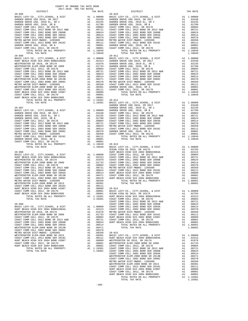| GARDEN GROVE USD, 2010 EL, SR C                                                                                                                                                                                                                      |          | A1 .02235 GARDEN                                                                                                                                                                                                                                                                                                                                                                                                                     |                    |
|------------------------------------------------------------------------------------------------------------------------------------------------------------------------------------------------------------------------------------------------------|----------|--------------------------------------------------------------------------------------------------------------------------------------------------------------------------------------------------------------------------------------------------------------------------------------------------------------------------------------------------------------------------------------------------------------------------------------|--------------------|
|                                                                                                                                                                                                                                                      |          |                                                                                                                                                                                                                                                                                                                                                                                                                                      |                    |
|                                                                                                                                                                                                                                                      |          |                                                                                                                                                                                                                                                                                                                                                                                                                                      |                    |
|                                                                                                                                                                                                                                                      |          |                                                                                                                                                                                                                                                                                                                                                                                                                                      |                    |
|                                                                                                                                                                                                                                                      |          |                                                                                                                                                                                                                                                                                                                                                                                                                                      |                    |
|                                                                                                                                                                                                                                                      |          |                                                                                                                                                                                                                                                                                                                                                                                                                                      |                    |
|                                                                                                                                                                                                                                                      |          |                                                                                                                                                                                                                                                                                                                                                                                                                                      |                    |
|                                                                                                                                                                                                                                                      |          |                                                                                                                                                                                                                                                                                                                                                                                                                                      |                    |
|                                                                                                                                                                                                                                                      |          |                                                                                                                                                                                                                                                                                                                                                                                                                                      |                    |
| TOTAL RATES ON ALL PROPERTY                                                                                                                                                                                                                          |          | A1 1.10949                                                                                                                                                                                                                                                                                                                                                                                                                           |                    |
| TOTAL TAX RATE                                                                                                                                                                                                                                       |          | 1.10949<br>$\begin{tabular}{cc} 1.10949 & 20-011 \\ \text{Al} & 1.00000 & \text{BASE L} \\ \text{Al} & 0.2313 & \text{GARDEN} \\ \text{Al} & 0.1978 & \text{GARDEN} \\ \text{Al} & 0.1773 & \text{GARDEN} \\ \text{Al} & 0.00804 & \text{COAST C} \\ \text{Al} & 0.00721 & \text{COAST C} \\ \text{Al} & 0.0624 & \text{COAST C} \\ \text{Al} & 0.0514 & \text{COAST C} \\ \text{Al} & 0.0371 & \text{$                              |                    |
| $20 - 006$                                                                                                                                                                                                                                           |          |                                                                                                                                                                                                                                                                                                                                                                                                                                      |                    |
| BASIC LEVY-CO., CITY, SCHOOL, & DIST<br>HUNT BEACH HIGH SCH 2004 BOND#2004A                                                                                                                                                                          |          |                                                                                                                                                                                                                                                                                                                                                                                                                                      |                    |
| WESTMINSTER SD 2016, SR 2017A                                                                                                                                                                                                                        |          |                                                                                                                                                                                                                                                                                                                                                                                                                                      |                    |
| WESTMINSTER ELEM-2008 BOND SR 2009                                                                                                                                                                                                                   |          |                                                                                                                                                                                                                                                                                                                                                                                                                                      |                    |
| COAST COMM COLL 2012, SR 2017E                                                                                                                                                                                                                       |          |                                                                                                                                                                                                                                                                                                                                                                                                                                      |                    |
| COAST COMM COLL 2002 BOND SR 2013 A&B<br>COAST COMM COLL 2002 BOND SER 2006B                                                                                                                                                                         |          |                                                                                                                                                                                                                                                                                                                                                                                                                                      |                    |
|                                                                                                                                                                                                                                                      |          |                                                                                                                                                                                                                                                                                                                                                                                                                                      |                    |
| COAST COMM COLL 2002 BOND SER 2006B<br>COAST COMM COLL 2002 BOND SER 2003A<br>WESTMINSTER ELEM-2008 BOND SR 2013B<br>COAST COMM COLL 2002 BOND SER 2006C<br>METBO WATER DISTRAMENDO 1005882                                                          |          |                                                                                                                                                                                                                                                                                                                                                                                                                                      |                    |
|                                                                                                                                                                                                                                                      |          |                                                                                                                                                                                                                                                                                                                                                                                                                                      |                    |
| METRO WATER DIST-MWDOC- 1205999                                                                                                                                                                                                                      |          |                                                                                                                                                                                                                                                                                                                                                                                                                                      |                    |
|                                                                                                                                                                                                                                                      |          |                                                                                                                                                                                                                                                                                                                                                                                                                                      |                    |
|                                                                                                                                                                                                                                                      |          |                                                                                                                                                                                                                                                                                                                                                                                                                                      |                    |
|                                                                                                                                                                                                                                                      |          |                                                                                                                                                                                                                                                                                                                                                                                                                                      |                    |
|                                                                                                                                                                                                                                                      |          |                                                                                                                                                                                                                                                                                                                                                                                                                                      |                    |
|                                                                                                                                                                                                                                                      |          |                                                                                                                                                                                                                                                                                                                                                                                                                                      |                    |
|                                                                                                                                                                                                                                                      |          |                                                                                                                                                                                                                                                                                                                                                                                                                                      |                    |
| WESTMINSTER ELEM-2000 L.<br>COAST COMM COLL 2012 BOND SER 2016C<br>HUNT BEACH HIGH SCH 2004 BOND #2007 A1 .00001<br>HUNT BEACH HIGH SCH 2004 BOND#2005 A1 .00001<br>HUNT BEACH HIGH SCH 2004 BOND#2005 A1 .00001<br>TOTAL RATES ON ALL<br>$20 - 007$ |          |                                                                                                                                                                                                                                                                                                                                                                                                                                      |                    |
| BASIC LEVY-CO., CITY, SCHOOL, & DIST                                                                                                                                                                                                                 |          |                                                                                                                                                                                                                                                                                                                                                                                                                                      |                    |
| GARDEN GROVE USD 2016, SR 2017                                                                                                                                                                                                                       |          |                                                                                                                                                                                                                                                                                                                                                                                                                                      |                    |
| GARDEN GROVE USD, 2010 EL, SR C                                                                                                                                                                                                                      |          |                                                                                                                                                                                                                                                                                                                                                                                                                                      |                    |
| GARDEN GROVE USD, 2010, SR B                                                                                                                                                                                                                         |          |                                                                                                                                                                                                                                                                                                                                                                                                                                      |                    |
| COAST COMM COLL 2012, SR 2017E                                                                                                                                                                                                                       |          |                                                                                                                                                                                                                                                                                                                                                                                                                                      |                    |
|                                                                                                                                                                                                                                                      |          |                                                                                                                                                                                                                                                                                                                                                                                                                                      |                    |
| COAST COMM COLL 2012 BOND SR 2013 A&B<br>COAST COMM COLL 2012 BOND SR 2005B<br>COAST COMM COLL 2002 BOND SRR 2005B<br>COAST COMM COLL 2002 BOND SRR 2003A<br>COAST COMM COLL 2002 BOND SRR 2006C                                                     |          | $\begin{tabular}{ll} & \multicolumn{4}{c}{\textbf{GARDEN}}\\ \textbf{A1} & 1.00000 & \multicolumn{4}{c}{\textbf{GARDEN}}\\ \textbf{A1} & .03430 & \multicolumn{4}{c}{\textbf{COAST C}}\\ \textbf{A1} & .0235 & \multicolumn{4}{c}{\textbf{COAST C}}\\ \textbf{A1} & .01788 & \multicolumn{4}{c}{\textbf{COAST C}}\\ \textbf{A1} & .00804 & \multicolumn{4}{c}{\textbf{COAST C}}\\ \textbf{A1} & .00624 & \multicolumn{4}{c}{\textbf$ |                    |
| COAST COMM COLL 2002 BOND SER 2006C                                                                                                                                                                                                                  |          |                                                                                                                                                                                                                                                                                                                                                                                                                                      |                    |
| METRO WATER DIST-MWDOC- 1205999<br>COAST COMM COLL 2012 BOND SER 2016C                                                                                                                                                                               |          |                                                                                                                                                                                                                                                                                                                                                                                                                                      |                    |
| GARDEN GROVE USD, 2010, SR A                                                                                                                                                                                                                         |          |                                                                                                                                                                                                                                                                                                                                                                                                                                      |                    |
| COAST COMM COLL 2012, SR 2017D                                                                                                                                                                                                                       |          |                                                                                                                                                                                                                                                                                                                                                                                                                                      |                    |
| TOTAL RATES ON ALL PROPERTY                                                                                                                                                                                                                          |          | A1 1.10949<br>$1.10949$ $20-013$<br>$1.10949$ BASIC L                                                                                                                                                                                                                                                                                                                                                                                |                    |
| TOTAL TAX RATE                                                                                                                                                                                                                                       |          |                                                                                                                                                                                                                                                                                                                                                                                                                                      | OCEAN V            |
| $20 - 008$                                                                                                                                                                                                                                           |          |                                                                                                                                                                                                                                                                                                                                                                                                                                      | HUNT BE            |
|                                                                                                                                                                                                                                                      |          |                                                                                                                                                                                                                                                                                                                                                                                                                                      |                    |
|                                                                                                                                                                                                                                                      |          |                                                                                                                                                                                                                                                                                                                                                                                                                                      |                    |
|                                                                                                                                                                                                                                                      |          |                                                                                                                                                                                                                                                                                                                                                                                                                                      |                    |
|                                                                                                                                                                                                                                                      |          |                                                                                                                                                                                                                                                                                                                                                                                                                                      |                    |
|                                                                                                                                                                                                                                                      |          |                                                                                                                                                                                                                                                                                                                                                                                                                                      |                    |
|                                                                                                                                                                                                                                                      |          |                                                                                                                                                                                                                                                                                                                                                                                                                                      |                    |
|                                                                                                                                                                                                                                                      |          |                                                                                                                                                                                                                                                                                                                                                                                                                                      |                    |
|                                                                                                                                                                                                                                                      |          |                                                                                                                                                                                                                                                                                                                                                                                                                                      |                    |
|                                                                                                                                                                                                                                                      |          |                                                                                                                                                                                                                                                                                                                                                                                                                                      |                    |
|                                                                                                                                                                                                                                                      |          |                                                                                                                                                                                                                                                                                                                                                                                                                                      |                    |
|                                                                                                                                                                                                                                                      |          |                                                                                                                                                                                                                                                                                                                                                                                                                                      |                    |
|                                                                                                                                                                                                                                                      |          |                                                                                                                                                                                                                                                                                                                                                                                                                                      |                    |
|                                                                                                                                                                                                                                                      |          |                                                                                                                                                                                                                                                                                                                                                                                                                                      |                    |
|                                                                                                                                                                                                                                                      |          |                                                                                                                                                                                                                                                                                                                                                                                                                                      |                    |
|                                                                                                                                                                                                                                                      |          |                                                                                                                                                                                                                                                                                                                                                                                                                                      |                    |
|                                                                                                                                                                                                                                                      |          |                                                                                                                                                                                                                                                                                                                                                                                                                                      | COAST C            |
| $20 - 009$                                                                                                                                                                                                                                           |          | 1.00000                                                                                                                                                                                                                                                                                                                                                                                                                              | COAST C<br>COAST C |
| BASIC LEVY-CO., CITY, SCHOOL, & DIST<br>HUNT BEACH HIGH SCH 2004 BOND#2004A                                                                                                                                                                          | A1       | A1 .02313                                                                                                                                                                                                                                                                                                                                                                                                                            | COAST C            |
| WESTMINSTER SD 2016, SR 2017A                                                                                                                                                                                                                        | A1       | .01978                                                                                                                                                                                                                                                                                                                                                                                                                               | METRO W            |
| WESTMINSTER ELEM-2008 BOND SR 2009                                                                                                                                                                                                                   | A1       | .01733                                                                                                                                                                                                                                                                                                                                                                                                                               | COAST C            |
| COAST COMM COLL 2012, SR 2017E                                                                                                                                                                                                                       | A1       | .00804                                                                                                                                                                                                                                                                                                                                                                                                                               | HUNT BE            |
| COAST COMM COLL 2012 BOND SR 2013 A&B<br>COAST COMM COLL 2002 BOND SER 2006B                                                                                                                                                                         | A1<br>A1 | .00721<br>.00624                                                                                                                                                                                                                                                                                                                                                                                                                     | COAST C<br>HUNT BE |
| COAST COMM COLL 2002 BOND SER 2003A                                                                                                                                                                                                                  | A1       | .00514                                                                                                                                                                                                                                                                                                                                                                                                                               |                    |
| WESTMINSTER ELEM-2008 BOND SR 2013B                                                                                                                                                                                                                  | A1       | .00471                                                                                                                                                                                                                                                                                                                                                                                                                               |                    |
| COAST COMM COLL 2002 BOND SER 2006C                                                                                                                                                                                                                  | A1       | .00370                                                                                                                                                                                                                                                                                                                                                                                                                               |                    |
| METRO WATER DIST-MWDOC- 1205999                                                                                                                                                                                                                      | A1       | .00350                                                                                                                                                                                                                                                                                                                                                                                                                               | $20 - 015$         |
| WESTMINSTER ELEM-2008 BOND SR 2013<br>COAST COMM COLL 2012 BOND SER 2016C                                                                                                                                                                            | A1<br>A1 | .00301<br>.00111                                                                                                                                                                                                                                                                                                                                                                                                                     | BASIC L<br>HUNT BE |
| HUNT BEACH HIGH SCH 2004 BOND #2007                                                                                                                                                                                                                  | A1       | .00089                                                                                                                                                                                                                                                                                                                                                                                                                               | WESTMIN            |
| COAST COMM COLL 2012, SR 2017D                                                                                                                                                                                                                       | A1       | .00001                                                                                                                                                                                                                                                                                                                                                                                                                               | WESTMIN            |
| HUNT BEACH HIGH SCH 2004 BOND#2005                                                                                                                                                                                                                   | A1       | .00001                                                                                                                                                                                                                                                                                                                                                                                                                               | COAST C            |
| TOTAL RATES ON ALL PROPERTY<br>TOTAL TAX RATE                                                                                                                                                                                                        |          | A1 1.10381<br>1.10381 COAST C                                                                                                                                                                                                                                                                                                                                                                                                        | COAST C            |
|                                                                                                                                                                                                                                                      |          |                                                                                                                                                                                                                                                                                                                                                                                                                                      |                    |

| COUNTY OF ORANGE TAX RATE BOOK<br>2017-2018 TRA TAX RATES |          |            |          |
|-----------------------------------------------------------|----------|------------|----------|
| DISTRICT                                                  | TAX RATE | DISTRICT   | TAX RATE |
| $20 - 005$                                                |          | $20 - 010$ |          |
|                                                           |          |            |          |
|                                                           |          |            |          |
|                                                           |          |            |          |
|                                                           |          |            |          |
|                                                           |          |            |          |
|                                                           |          |            |          |
|                                                           |          |            |          |
|                                                           |          |            |          |
|                                                           |          |            |          |
|                                                           |          |            |          |
|                                                           |          |            |          |
|                                                           |          |            |          |
|                                                           |          |            |          |
|                                                           |          |            |          |
|                                                           |          |            |          |
|                                                           |          |            |          |
|                                                           |          |            |          |
|                                                           |          |            |          |
|                                                           |          |            |          |
|                                                           |          |            |          |
|                                                           |          |            |          |
|                                                           |          |            |          |
|                                                           |          |            |          |
|                                                           |          |            |          |
|                                                           |          |            |          |
|                                                           |          |            |          |
|                                                           |          |            |          |
|                                                           |          |            |          |
|                                                           |          |            |          |
|                                                           |          |            |          |
|                                                           |          |            |          |
|                                                           |          |            |          |
|                                                           |          |            |          |
|                                                           |          |            |          |
|                                                           |          |            |          |
|                                                           |          |            |          |
|                                                           |          |            |          |
|                                                           |          |            |          |
|                                                           |          |            |          |
|                                                           |          |            |          |
|                                                           |          |            |          |
|                                                           |          |            |          |
|                                                           |          |            |          |
|                                                           |          |            |          |
|                                                           |          |            |          |
|                                                           |          |            |          |
|                                                           |          |            |          |
|                                                           |          |            |          |
|                                                           |          |            |          |
|                                                           |          |            |          |
|                                                           |          |            |          |
|                                                           |          |            |          |
|                                                           |          |            |          |
|                                                           |          |            |          |
|                                                           |          |            |          |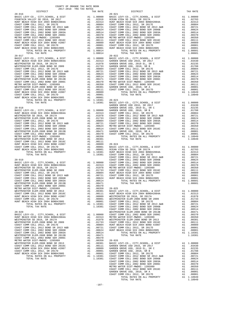| TOTAL TAX RATE                                                          |    | 1.08814                                                                                                                                         |                    |
|-------------------------------------------------------------------------|----|-------------------------------------------------------------------------------------------------------------------------------------------------|--------------------|
| $20 - 017$                                                              |    |                                                                                                                                                 | $20 - 022$         |
|                                                                         |    |                                                                                                                                                 |                    |
|                                                                         |    |                                                                                                                                                 |                    |
|                                                                         |    |                                                                                                                                                 |                    |
|                                                                         |    |                                                                                                                                                 |                    |
|                                                                         |    |                                                                                                                                                 |                    |
|                                                                         |    |                                                                                                                                                 |                    |
|                                                                         |    |                                                                                                                                                 |                    |
|                                                                         |    |                                                                                                                                                 |                    |
|                                                                         |    |                                                                                                                                                 |                    |
|                                                                         |    |                                                                                                                                                 |                    |
|                                                                         |    |                                                                                                                                                 |                    |
|                                                                         |    |                                                                                                                                                 |                    |
|                                                                         |    |                                                                                                                                                 |                    |
|                                                                         |    |                                                                                                                                                 |                    |
|                                                                         |    |                                                                                                                                                 | GARDEN             |
| $20 - 018$                                                              |    |                                                                                                                                                 | GARDEN             |
|                                                                         |    |                                                                                                                                                 |                    |
|                                                                         |    |                                                                                                                                                 |                    |
|                                                                         |    |                                                                                                                                                 |                    |
|                                                                         |    |                                                                                                                                                 |                    |
|                                                                         |    |                                                                                                                                                 |                    |
|                                                                         |    |                                                                                                                                                 |                    |
|                                                                         |    |                                                                                                                                                 |                    |
|                                                                         |    |                                                                                                                                                 |                    |
|                                                                         |    |                                                                                                                                                 |                    |
|                                                                         |    |                                                                                                                                                 |                    |
|                                                                         |    |                                                                                                                                                 |                    |
|                                                                         |    |                                                                                                                                                 |                    |
|                                                                         |    |                                                                                                                                                 |                    |
|                                                                         |    |                                                                                                                                                 |                    |
|                                                                         |    |                                                                                                                                                 | COAST C            |
| $20 - 019$                                                              |    |                                                                                                                                                 | COAST C            |
|                                                                         |    |                                                                                                                                                 |                    |
|                                                                         |    |                                                                                                                                                 |                    |
|                                                                         |    |                                                                                                                                                 |                    |
|                                                                         |    |                                                                                                                                                 |                    |
|                                                                         |    |                                                                                                                                                 |                    |
|                                                                         |    |                                                                                                                                                 |                    |
|                                                                         |    |                                                                                                                                                 |                    |
|                                                                         |    |                                                                                                                                                 |                    |
|                                                                         |    |                                                                                                                                                 |                    |
|                                                                         |    |                                                                                                                                                 |                    |
|                                                                         |    |                                                                                                                                                 |                    |
|                                                                         |    |                                                                                                                                                 |                    |
| TOTAL RATES ON ALL PROPERTY                                             |    | A1 1.10381                                                                                                                                      | COAST C            |
| TOTAL TAX RATE                                                          |    | 1.10381                                                                                                                                         | COAST C            |
|                                                                         |    |                                                                                                                                                 | COAST C            |
| $20 - 020$<br>BASIC LEVY-CO., CITY, SCHOOL, & DIST                      | A1 | 1.00000                                                                                                                                         | WESTMIN<br>COAST C |
| HUNT BEACH HIGH SCH 2004 BOND#2004A                                     |    | A1 .02313                                                                                                                                       | METRO W            |
| WESTMINSTER SD 2016, SR 2017A                                           |    | A1 .02313 METRO W<br>A1 .01733 WESTWIN<br>A1 .01733 COAST C<br>A1 .00804 HUNT BE<br>A1 .00721 COAST C<br>A1 .00624 HUNT BE                      |                    |
| WESTMINSTER ELEM-2008 BOND SR 2009                                      |    |                                                                                                                                                 |                    |
| COAST COMM COLL 2012, SR 2017E<br>COAST COMM COLL 2012 BOND SR 2013 A&B |    |                                                                                                                                                 |                    |
| COAST COMM COLL 2002 BOND SER 2006B                                     |    |                                                                                                                                                 |                    |
| COAST COMM COLL 2002 BOND SER 2003A                                     |    |                                                                                                                                                 |                    |
| WESTMINSTER ELEM-2008 BOND SR 2013B                                     |    | A1 .00514<br>A1 .00471<br>A1 .00370<br>A1 .00350 20-026<br>A1 .00360 20-026                                                                     |                    |
| COAST COMM COLL 2002 BOND SER 2006C<br>METRO WATER DIST-MWDOC- 1205999  |    |                                                                                                                                                 |                    |
| WESTMINSTER ELEM-2008 BOND SR 2013                                      |    |                                                                                                                                                 |                    |
| COAST COMM COLL 2012 BOND SER 2016C                                     |    | A1 .00301 PASIC<br>A1 .00111 GARDEN<br>A1 .00089 GARDEN<br>A1 .00001 GARDEN                                                                     |                    |
| HUNT BEACH HIGH SCH 2004 BOND #2007                                     |    |                                                                                                                                                 |                    |
| COAST COMM COLL 2012, SR 2017D<br>HUNT BEACH HIGH SCH 2004 BOND#2005    | A1 |                                                                                                                                                 |                    |
| TOTAL RATES ON ALL PROPERTY                                             |    |                                                                                                                                                 |                    |
| TOTAL TAX RATE                                                          |    | $\begin{tabular}{llll} \text{A1} & .00001 & \text{COAST C} \\ \text{A1} & 1.10381 & \text{COAST C} \\ & 1.10381 & \text{COAST C} \end{tabular}$ |                    |
|                                                                         |    |                                                                                                                                                 |                    |

|            | COUNTY OF ORANGE TAX RATE BOOK<br>2017-2018 TRA TAX RATES |          |                                                                                                                                                                                                                               |          |  |
|------------|-----------------------------------------------------------|----------|-------------------------------------------------------------------------------------------------------------------------------------------------------------------------------------------------------------------------------|----------|--|
|            | DISTRICT                                                  | TAX RATE | DISTRICT                                                                                                                                                                                                                      | TAX RATE |  |
| $20 - 016$ |                                                           |          | $20 - 021$                                                                                                                                                                                                                    |          |  |
|            |                                                           |          |                                                                                                                                                                                                                               |          |  |
|            |                                                           |          |                                                                                                                                                                                                                               |          |  |
|            |                                                           |          |                                                                                                                                                                                                                               |          |  |
|            |                                                           |          |                                                                                                                                                                                                                               |          |  |
|            |                                                           |          |                                                                                                                                                                                                                               |          |  |
|            |                                                           |          |                                                                                                                                                                                                                               |          |  |
|            |                                                           |          |                                                                                                                                                                                                                               |          |  |
|            |                                                           |          |                                                                                                                                                                                                                               |          |  |
|            |                                                           |          |                                                                                                                                                                                                                               |          |  |
|            |                                                           |          |                                                                                                                                                                                                                               |          |  |
|            |                                                           |          |                                                                                                                                                                                                                               |          |  |
|            |                                                           |          | 23. THE MATHEMATH SERIES (1991) 1991 112 (1991) 1992 112 (1991) 1992 12 (1992) 1992 12 (1992) 120 (1992) 1992 120 (1992) 1992 120 (1992) 1992 120 (1992) 1992 120 (1992) 1992 120 (1992) 1992 120 (1992) 1992 120 (1992) 1992 |          |  |
|            |                                                           |          |                                                                                                                                                                                                                               |          |  |
|            |                                                           |          |                                                                                                                                                                                                                               |          |  |
|            |                                                           |          |                                                                                                                                                                                                                               |          |  |
|            |                                                           |          |                                                                                                                                                                                                                               |          |  |
|            |                                                           |          |                                                                                                                                                                                                                               |          |  |
|            |                                                           |          |                                                                                                                                                                                                                               |          |  |
|            |                                                           |          |                                                                                                                                                                                                                               |          |  |
|            |                                                           |          |                                                                                                                                                                                                                               |          |  |
|            |                                                           |          |                                                                                                                                                                                                                               |          |  |
|            |                                                           |          |                                                                                                                                                                                                                               |          |  |
|            |                                                           |          |                                                                                                                                                                                                                               |          |  |
|            |                                                           |          |                                                                                                                                                                                                                               |          |  |
|            |                                                           |          |                                                                                                                                                                                                                               |          |  |
|            |                                                           |          |                                                                                                                                                                                                                               |          |  |
|            |                                                           |          |                                                                                                                                                                                                                               |          |  |
|            |                                                           |          |                                                                                                                                                                                                                               |          |  |
|            |                                                           |          |                                                                                                                                                                                                                               |          |  |
|            |                                                           |          |                                                                                                                                                                                                                               |          |  |
|            |                                                           |          |                                                                                                                                                                                                                               |          |  |
|            |                                                           |          |                                                                                                                                                                                                                               |          |  |
|            |                                                           |          |                                                                                                                                                                                                                               |          |  |
|            |                                                           |          |                                                                                                                                                                                                                               |          |  |
|            |                                                           |          |                                                                                                                                                                                                                               |          |  |
|            |                                                           |          |                                                                                                                                                                                                                               |          |  |
|            |                                                           |          |                                                                                                                                                                                                                               |          |  |
|            |                                                           |          |                                                                                                                                                                                                                               |          |  |
|            |                                                           |          |                                                                                                                                                                                                                               |          |  |
|            |                                                           |          |                                                                                                                                                                                                                               |          |  |
|            |                                                           |          |                                                                                                                                                                                                                               |          |  |
|            |                                                           |          |                                                                                                                                                                                                                               |          |  |
|            |                                                           |          |                                                                                                                                                                                                                               |          |  |
|            |                                                           |          |                                                                                                                                                                                                                               |          |  |
|            |                                                           |          |                                                                                                                                                                                                                               |          |  |
|            |                                                           |          |                                                                                                                                                                                                                               |          |  |
|            |                                                           |          |                                                                                                                                                                                                                               |          |  |
|            |                                                           |          |                                                                                                                                                                                                                               |          |  |
|            |                                                           |          |                                                                                                                                                                                                                               |          |  |
|            |                                                           |          |                                                                                                                                                                                                                               |          |  |
|            |                                                           |          |                                                                                                                                                                                                                               |          |  |
|            |                                                           |          |                                                                                                                                                                                                                               |          |  |
|            |                                                           |          |                                                                                                                                                                                                                               |          |  |
|            |                                                           |          |                                                                                                                                                                                                                               |          |  |
|            |                                                           |          |                                                                                                                                                                                                                               |          |  |
|            |                                                           |          |                                                                                                                                                                                                                               |          |  |
|            |                                                           |          |                                                                                                                                                                                                                               |          |  |
|            |                                                           |          |                                                                                                                                                                                                                               |          |  |
|            |                                                           |          |                                                                                                                                                                                                                               |          |  |
|            |                                                           |          |                                                                                                                                                                                                                               |          |  |
|            |                                                           |          |                                                                                                                                                                                                                               |          |  |
|            |                                                           |          |                                                                                                                                                                                                                               |          |  |
|            |                                                           |          |                                                                                                                                                                                                                               |          |  |
|            |                                                           |          |                                                                                                                                                                                                                               |          |  |
|            |                                                           |          |                                                                                                                                                                                                                               |          |  |
|            |                                                           |          |                                                                                                                                                                                                                               |          |  |
|            |                                                           |          |                                                                                                                                                                                                                               |          |  |
|            |                                                           |          |                                                                                                                                                                                                                               |          |  |
|            |                                                           |          |                                                                                                                                                                                                                               |          |  |
|            |                                                           |          |                                                                                                                                                                                                                               |          |  |
|            |                                                           |          |                                                                                                                                                                                                                               |          |  |
|            |                                                           |          |                                                                                                                                                                                                                               |          |  |
|            |                                                           |          |                                                                                                                                                                                                                               |          |  |
|            |                                                           |          |                                                                                                                                                                                                                               |          |  |
|            |                                                           |          |                                                                                                                                                                                                                               |          |  |
|            |                                                           |          |                                                                                                                                                                                                                               |          |  |
|            |                                                           |          |                                                                                                                                                                                                                               |          |  |
|            |                                                           |          |                                                                                                                                                                                                                               |          |  |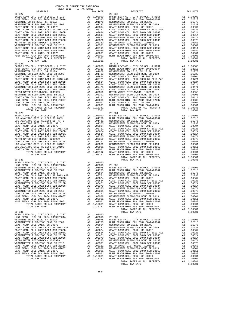| BASIC LEVI-CU., CIII, SCHOOL, & DISI<br>HUNT BEACH HIGH SCH 2004 BOND#2004A                    | A1 .00000 BASIC L1<br>A1 .02313 HUNT BE<br>A1 .01978 WESTMIN<br>A1 .01978 WESTMIN<br>A1 .00791 COAST C<br>A1 .00604 COAST C<br>A1 .00621 COAST C<br>A1 .00514 COAST C<br>A1 .00370 COAST C<br>A1 .00370 COAST NETRO N<br>A1 .00350 METRO N<br>A1 .00 |                                                                                                                                                                                                                                                                                                                                                                                 |            |
|------------------------------------------------------------------------------------------------|------------------------------------------------------------------------------------------------------------------------------------------------------------------------------------------------------------------------------------------------------|---------------------------------------------------------------------------------------------------------------------------------------------------------------------------------------------------------------------------------------------------------------------------------------------------------------------------------------------------------------------------------|------------|
| WESTMINSTER SD 2016, SR 2017A                                                                  |                                                                                                                                                                                                                                                      |                                                                                                                                                                                                                                                                                                                                                                                 |            |
| WESTMINSTER ELEM-2008 BOND SR 2009                                                             |                                                                                                                                                                                                                                                      |                                                                                                                                                                                                                                                                                                                                                                                 |            |
| COAST COMM COLL 2012, SR 2017E<br>COAST COMM COLL 2012 BOND SR 2013 A&B                        |                                                                                                                                                                                                                                                      |                                                                                                                                                                                                                                                                                                                                                                                 |            |
| COAST COMM COLL 2002 BOND SER 2006B                                                            |                                                                                                                                                                                                                                                      |                                                                                                                                                                                                                                                                                                                                                                                 |            |
| COAST COMM COLL 2002 BOND SER 2003A                                                            |                                                                                                                                                                                                                                                      |                                                                                                                                                                                                                                                                                                                                                                                 |            |
| WESTMINSTER ELEM-2008 BOND SR 2013B                                                            |                                                                                                                                                                                                                                                      |                                                                                                                                                                                                                                                                                                                                                                                 |            |
| COAST COMM COLL 2002 BOND SER 2006C<br>METRO WATER DIST-MWDOC- 1205999                         |                                                                                                                                                                                                                                                      |                                                                                                                                                                                                                                                                                                                                                                                 |            |
| WESTMINSTER ELEM-2008 BOND SR 2013                                                             |                                                                                                                                                                                                                                                      |                                                                                                                                                                                                                                                                                                                                                                                 |            |
| COAST COMM COLL 2012 BOND SER 2016C                                                            |                                                                                                                                                                                                                                                      |                                                                                                                                                                                                                                                                                                                                                                                 |            |
| HUNT BEACH HIGH SCH 2004 BOND #2007                                                            |                                                                                                                                                                                                                                                      |                                                                                                                                                                                                                                                                                                                                                                                 |            |
| COAST COMM COLL 2012, SR 2017D                                                                 |                                                                                                                                                                                                                                                      |                                                                                                                                                                                                                                                                                                                                                                                 |            |
| HUNT BEACH HIGH SCH 2004 BOND#2005<br>TOTAL RATES ON ALL PROPERTY                              |                                                                                                                                                                                                                                                      | A1 1.10381                                                                                                                                                                                                                                                                                                                                                                      |            |
| TOTAL TAX RATE                                                                                 |                                                                                                                                                                                                                                                      | 1.10381                                                                                                                                                                                                                                                                                                                                                                         |            |
| $20 - 028$                                                                                     |                                                                                                                                                                                                                                                      |                                                                                                                                                                                                                                                                                                                                                                                 | $20 - 033$ |
| BASIC LEVY-CO., CITY, SCHOOL, & DIST<br>HUNT BEACH HIGH SCH 2004 BOND#2004A                    |                                                                                                                                                                                                                                                      |                                                                                                                                                                                                                                                                                                                                                                                 |            |
|                                                                                                |                                                                                                                                                                                                                                                      |                                                                                                                                                                                                                                                                                                                                                                                 |            |
| WESTMINSTER SD 2016, SR 2017A<br>WESTMINSTER ELEM-2008 BOND SR 2009                            |                                                                                                                                                                                                                                                      |                                                                                                                                                                                                                                                                                                                                                                                 |            |
| COAST COMM COLL 2012, SR 2017E                                                                 |                                                                                                                                                                                                                                                      |                                                                                                                                                                                                                                                                                                                                                                                 |            |
| COAST COMM COLL 2012 BOND SR 2013 A&B                                                          |                                                                                                                                                                                                                                                      |                                                                                                                                                                                                                                                                                                                                                                                 |            |
| COAST COMM COLL 2002 BOND SER 2006B                                                            |                                                                                                                                                                                                                                                      |                                                                                                                                                                                                                                                                                                                                                                                 |            |
| COAST COMM COLL 2002 BOND SER 2003A<br>WESTMINSTER ELEM-2008 BOND SR 2013B                     |                                                                                                                                                                                                                                                      |                                                                                                                                                                                                                                                                                                                                                                                 |            |
| COAST COMM COLL 2002 BOND SER 2006C                                                            |                                                                                                                                                                                                                                                      |                                                                                                                                                                                                                                                                                                                                                                                 |            |
| METRO WATER DIST-MWDOC- 1205999                                                                |                                                                                                                                                                                                                                                      |                                                                                                                                                                                                                                                                                                                                                                                 |            |
| WESTMINSTER ELEM-2008 BOND SR 2013                                                             |                                                                                                                                                                                                                                                      |                                                                                                                                                                                                                                                                                                                                                                                 |            |
| COAST COMM COLL 2012 BOND SER 2016C<br>HUNT BEACH HIGH SCH 2004 BOND #2007                     |                                                                                                                                                                                                                                                      |                                                                                                                                                                                                                                                                                                                                                                                 |            |
| COAST COMM COLL 2012, SR 2017D                                                                 |                                                                                                                                                                                                                                                      |                                                                                                                                                                                                                                                                                                                                                                                 |            |
| HUNT BEACH HIGH SCH 2004 BOND#2005                                                             |                                                                                                                                                                                                                                                      |                                                                                                                                                                                                                                                                                                                                                                                 |            |
| TOTAL RATES ON ALL PROPERTY                                                                    |                                                                                                                                                                                                                                                      |                                                                                                                                                                                                                                                                                                                                                                                 |            |
| TOTAL TAX RATE                                                                                 |                                                                                                                                                                                                                                                      | 1.10381                                                                                                                                                                                                                                                                                                                                                                         |            |
| $20 - 029$                                                                                     |                                                                                                                                                                                                                                                      |                                                                                                                                                                                                                                                                                                                                                                                 | $20 - 034$ |
|                                                                                                |                                                                                                                                                                                                                                                      |                                                                                                                                                                                                                                                                                                                                                                                 |            |
|                                                                                                |                                                                                                                                                                                                                                                      |                                                                                                                                                                                                                                                                                                                                                                                 |            |
|                                                                                                |                                                                                                                                                                                                                                                      |                                                                                                                                                                                                                                                                                                                                                                                 |            |
|                                                                                                |                                                                                                                                                                                                                                                      |                                                                                                                                                                                                                                                                                                                                                                                 |            |
|                                                                                                |                                                                                                                                                                                                                                                      |                                                                                                                                                                                                                                                                                                                                                                                 |            |
|                                                                                                |                                                                                                                                                                                                                                                      |                                                                                                                                                                                                                                                                                                                                                                                 |            |
|                                                                                                |                                                                                                                                                                                                                                                      |                                                                                                                                                                                                                                                                                                                                                                                 |            |
|                                                                                                |                                                                                                                                                                                                                                                      |                                                                                                                                                                                                                                                                                                                                                                                 |            |
|                                                                                                |                                                                                                                                                                                                                                                      |                                                                                                                                                                                                                                                                                                                                                                                 |            |
|                                                                                                |                                                                                                                                                                                                                                                      |                                                                                                                                                                                                                                                                                                                                                                                 |            |
|                                                                                                |                                                                                                                                                                                                                                                      |                                                                                                                                                                                                                                                                                                                                                                                 |            |
|                                                                                                |                                                                                                                                                                                                                                                      |                                                                                                                                                                                                                                                                                                                                                                                 |            |
|                                                                                                |                                                                                                                                                                                                                                                      |                                                                                                                                                                                                                                                                                                                                                                                 |            |
| $20 - 030$                                                                                     |                                                                                                                                                                                                                                                      |                                                                                                                                                                                                                                                                                                                                                                                 |            |
| BASIC LEVY-CO., CITY, SCHOOL, & DIST                                                           | A1 1.00000 20-035<br>A1 .02313 20-035<br>A1 .01978 BASIC L<br>A1 .01973 HUNT BE<br>A1 .00804 WESTMIN<br>A1 .00624 COAST C<br>A1 .00624 COAST C<br>A1 .00514 COAST C<br>A1 .00370 COAST C<br>A1 .00370 COAST C<br>A1 .00301 METRO W<br>A1 .00301 METR |                                                                                                                                                                                                                                                                                                                                                                                 |            |
| HUNT BEACH HIGH SCH 2004 BOND#2004A                                                            |                                                                                                                                                                                                                                                      |                                                                                                                                                                                                                                                                                                                                                                                 |            |
| WESTMINSTER SD 2016, SR 2017A                                                                  |                                                                                                                                                                                                                                                      |                                                                                                                                                                                                                                                                                                                                                                                 |            |
| WESTMINSTER ELEM-2008 BOND SR 2009<br>COAST COMM COLL 2012, SR 2017E                           |                                                                                                                                                                                                                                                      |                                                                                                                                                                                                                                                                                                                                                                                 |            |
| COAST COMM COLL 2012 BOND SR 2013 A&B                                                          |                                                                                                                                                                                                                                                      |                                                                                                                                                                                                                                                                                                                                                                                 |            |
| COAST COMM COLL 2002 BOND SER 2006B                                                            |                                                                                                                                                                                                                                                      |                                                                                                                                                                                                                                                                                                                                                                                 |            |
| COAST COMM COLL 2002 BOND SER 2003A                                                            |                                                                                                                                                                                                                                                      |                                                                                                                                                                                                                                                                                                                                                                                 |            |
| WESTMINSTER ELEM-2008 BOND SR 2013B                                                            |                                                                                                                                                                                                                                                      |                                                                                                                                                                                                                                                                                                                                                                                 |            |
| COAST COMM COLL 2002 BOND SER 2006C<br>METRO WATER DIST-MWDOC- 1205999                         |                                                                                                                                                                                                                                                      |                                                                                                                                                                                                                                                                                                                                                                                 |            |
| WESTMINSTER ELEM-2008 BOND SR 2013                                                             |                                                                                                                                                                                                                                                      |                                                                                                                                                                                                                                                                                                                                                                                 |            |
| COAST COMM COLL 2012 BOND SER 2016C                                                            |                                                                                                                                                                                                                                                      |                                                                                                                                                                                                                                                                                                                                                                                 |            |
| HUNT BEACH HIGH SCH 2004 BOND #2007                                                            |                                                                                                                                                                                                                                                      |                                                                                                                                                                                                                                                                                                                                                                                 |            |
| COAST COMM COLL 2012, SR 2017D                                                                 | A1                                                                                                                                                                                                                                                   |                                                                                                                                                                                                                                                                                                                                                                                 |            |
| HUNT BEACH HIGH SCH 2004 BOND#2005<br>TOTAL RATES ON ALL PROPERTY                              |                                                                                                                                                                                                                                                      |                                                                                                                                                                                                                                                                                                                                                                                 |            |
| TOTAL TAX RATE                                                                                 |                                                                                                                                                                                                                                                      | A1 .00001 COAST C<br>A1 .00001 HUNT BE<br>A1 1.10381 COAST C<br>1.10381 HUNT BE                                                                                                                                                                                                                                                                                                 |            |
|                                                                                                |                                                                                                                                                                                                                                                      |                                                                                                                                                                                                                                                                                                                                                                                 |            |
| $20 - 031$                                                                                     |                                                                                                                                                                                                                                                      |                                                                                                                                                                                                                                                                                                                                                                                 |            |
| BASIC LEVY-CO., CITY, SCHOOL, & DIST<br>HUNT BEACH HIGH SCH 2004 BOND#2004A                    | $A1 \quad 1.00000$                                                                                                                                                                                                                                   |                                                                                                                                                                                                                                                                                                                                                                                 |            |
| WESTMINSTER SD 2016, SR 2017A                                                                  |                                                                                                                                                                                                                                                      |                                                                                                                                                                                                                                                                                                                                                                                 |            |
| WESTMINSTER ELEM-2008 BOND SR 2009                                                             |                                                                                                                                                                                                                                                      | $\begin{tabular}{llllll} \text{A1} & 1.00000 \\ \text{A1} & 0.2313 & 20-036 \\ \text{A1} & 0.1978 & \text{BASE L} \\ \text{A1} & 0.1733 & \text{HUNT BE} \\ \text{A1} & 0.0804 & \text{WESTMINN} \\ \text{A1} & 0.0624 & \text{COAST N} \\ \text{A1} & 0.0624 & \text{COAST C} \\ \text{A1} & 0.09171 & \text{COAST C} \\ \text{A1} & 0.0370 & \text{COAST C} \\ \text{A1} & 0$ |            |
| COAST COMM COLL 2012, SR 2017E                                                                 |                                                                                                                                                                                                                                                      |                                                                                                                                                                                                                                                                                                                                                                                 |            |
| COAST COMM COLL 2012 BOND SR 2013 A&B                                                          |                                                                                                                                                                                                                                                      |                                                                                                                                                                                                                                                                                                                                                                                 |            |
| COAST COMM COLL 2002 BOND SER 2006B<br>COAST COMM COLL 2002 BOND SER 2003A                     |                                                                                                                                                                                                                                                      |                                                                                                                                                                                                                                                                                                                                                                                 |            |
| WESTMINSTER ELEM-2008 BOND SR 2013B                                                            |                                                                                                                                                                                                                                                      |                                                                                                                                                                                                                                                                                                                                                                                 |            |
| COAST COMM COLL 2002 BOND SER 2006C                                                            |                                                                                                                                                                                                                                                      |                                                                                                                                                                                                                                                                                                                                                                                 |            |
| METRO WATER DIST-MWDOC- 1205999                                                                |                                                                                                                                                                                                                                                      |                                                                                                                                                                                                                                                                                                                                                                                 |            |
| WESTMINSTER ELEM-2008 BOND SR 2013<br>COAST COMM COLL 2012 BOND SER 2016C                      |                                                                                                                                                                                                                                                      |                                                                                                                                                                                                                                                                                                                                                                                 |            |
| HUNT BEACH HIGH SCH 2004 BOND #2007                                                            |                                                                                                                                                                                                                                                      |                                                                                                                                                                                                                                                                                                                                                                                 |            |
| COAST COMM COLL 2012, SR 2017D                                                                 |                                                                                                                                                                                                                                                      |                                                                                                                                                                                                                                                                                                                                                                                 |            |
| HUNT BEACH HIGH SCH 2004 BOND#2005<br>1000 - 2001 - 2004 - 2004<br>TOTAL RATES ON ALL PROPERTY |                                                                                                                                                                                                                                                      |                                                                                                                                                                                                                                                                                                                                                                                 |            |
|                                                                                                |                                                                                                                                                                                                                                                      |                                                                                                                                                                                                                                                                                                                                                                                 |            |

| COUNTI OF ORNHOL THE RAID BOOK<br>2017-2018 TRA TAX RATES |          |            |          |
|-----------------------------------------------------------|----------|------------|----------|
| DISTRICT                                                  | TAX RATE | DISTRICT   | TAX RATE |
| $20 - 027$                                                |          | $20 - 032$ |          |
|                                                           |          |            |          |
|                                                           |          |            |          |
|                                                           |          |            |          |
|                                                           |          |            |          |
|                                                           |          |            |          |
|                                                           |          |            |          |
|                                                           |          |            |          |
|                                                           |          |            |          |
|                                                           |          |            |          |
|                                                           |          |            |          |
|                                                           |          |            |          |
|                                                           |          |            |          |
|                                                           |          |            |          |
|                                                           |          |            |          |
|                                                           |          |            |          |
|                                                           |          |            |          |
|                                                           |          |            |          |
|                                                           |          |            |          |
|                                                           |          |            |          |
|                                                           |          |            |          |
|                                                           |          |            |          |
|                                                           |          |            |          |
|                                                           |          |            |          |
|                                                           |          |            |          |
|                                                           |          |            |          |
|                                                           |          |            |          |
|                                                           |          |            |          |
|                                                           |          |            |          |
|                                                           |          |            |          |
|                                                           |          |            |          |
|                                                           |          |            |          |
|                                                           |          |            |          |
|                                                           |          |            |          |
|                                                           |          |            |          |
|                                                           |          |            |          |
|                                                           |          |            |          |
|                                                           |          |            |          |
|                                                           |          |            |          |
|                                                           |          |            |          |
|                                                           |          |            |          |
|                                                           |          |            |          |
|                                                           |          |            |          |
|                                                           |          |            |          |
|                                                           |          |            |          |
|                                                           |          |            |          |
|                                                           |          |            |          |
|                                                           |          |            |          |
|                                                           |          |            |          |
|                                                           |          |            |          |
|                                                           |          |            |          |
|                                                           |          |            |          |
|                                                           |          |            |          |
|                                                           |          |            |          |
|                                                           |          |            |          |
|                                                           |          |            |          |
|                                                           |          |            |          |
|                                                           |          |            |          |
|                                                           |          |            |          |
|                                                           |          |            |          |
|                                                           |          |            |          |
|                                                           |          |            |          |
|                                                           |          |            |          |
|                                                           |          |            |          |
|                                                           |          |            |          |
|                                                           |          |            |          |
|                                                           |          |            |          |
|                                                           |          |            |          |
|                                                           |          |            |          |
|                                                           |          |            |          |
|                                                           |          |            |          |
|                                                           |          |            |          |
|                                                           |          |            |          |
|                                                           |          |            |          |
|                                                           |          |            |          |
|                                                           |          |            |          |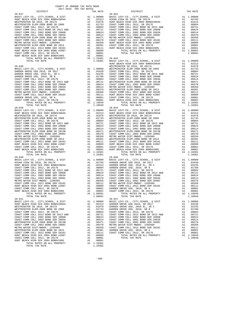|                                                                                                                                                                                                                            | HUNT BE Al 1.00000 WESTMIN<br>Al 1.00000 WESTMIN<br>Al .02439 COAST C<br>Al .01788 COAST C<br>Al .00721 COAST C<br>Al .00624 COAST C<br>Al .00624 COAST C<br>Al .00521 WESTMIN<br>Al .00370 WESTMIN<br>Al .00370 COAST C<br>Al .00300 COAST C<br>Al .00001 COAS |                                                                                                                                        | HUNT BE |
|----------------------------------------------------------------------------------------------------------------------------------------------------------------------------------------------------------------------------|-----------------------------------------------------------------------------------------------------------------------------------------------------------------------------------------------------------------------------------------------------------------|----------------------------------------------------------------------------------------------------------------------------------------|---------|
| $20 - 038$                                                                                                                                                                                                                 |                                                                                                                                                                                                                                                                 |                                                                                                                                        |         |
| BASIC LEVY-CO., CITY, SCHOOL, & DIST                                                                                                                                                                                       |                                                                                                                                                                                                                                                                 |                                                                                                                                        |         |
| GARDEN GROVE USD 2016, SR 2017                                                                                                                                                                                             |                                                                                                                                                                                                                                                                 |                                                                                                                                        |         |
| GARDEN GROVE USD, 2010 EL, SR C                                                                                                                                                                                            |                                                                                                                                                                                                                                                                 |                                                                                                                                        |         |
| GARDEN GROVE USD, 2010, SR B<br>GAST COMM COLL 2012, SR 2017<br>COAST COMM COLL 2012 BOND SR 2013 A&B<br>COAST COMM COLL 2002 BOND SER 2006B<br>COAST COMM COLL 2002 BOND SER 2003A<br>COAST COMM COLL 2002 BOND SER 2003A |                                                                                                                                                                                                                                                                 |                                                                                                                                        |         |
|                                                                                                                                                                                                                            |                                                                                                                                                                                                                                                                 |                                                                                                                                        |         |
|                                                                                                                                                                                                                            |                                                                                                                                                                                                                                                                 |                                                                                                                                        |         |
|                                                                                                                                                                                                                            |                                                                                                                                                                                                                                                                 |                                                                                                                                        |         |
|                                                                                                                                                                                                                            |                                                                                                                                                                                                                                                                 |                                                                                                                                        |         |
| METRO WATER DIST-MWDOC- 1205999                                                                                                                                                                                            |                                                                                                                                                                                                                                                                 |                                                                                                                                        |         |
| $COAST$ $COMM$ $COLL$ $2012$ $BOND$ $SER$ $2016C$                                                                                                                                                                          |                                                                                                                                                                                                                                                                 |                                                                                                                                        |         |
| GARDEN GROVE USD, 2010, SR A                                                                                                                                                                                               |                                                                                                                                                                                                                                                                 |                                                                                                                                        |         |
| COAST COMM COLL 2012, SR 2017D                                                                                                                                                                                             |                                                                                                                                                                                                                                                                 |                                                                                                                                        |         |
| TOTAL RATES ON ALL PROPERTY                                                                                                                                                                                                |                                                                                                                                                                                                                                                                 |                                                                                                                                        |         |
| TOTAL TAX RATE                                                                                                                                                                                                             |                                                                                                                                                                                                                                                                 |                                                                                                                                        |         |
|                                                                                                                                                                                                                            |                                                                                                                                                                                                                                                                 |                                                                                                                                        |         |
|                                                                                                                                                                                                                            |                                                                                                                                                                                                                                                                 |                                                                                                                                        |         |
|                                                                                                                                                                                                                            |                                                                                                                                                                                                                                                                 |                                                                                                                                        |         |
|                                                                                                                                                                                                                            |                                                                                                                                                                                                                                                                 |                                                                                                                                        |         |
|                                                                                                                                                                                                                            |                                                                                                                                                                                                                                                                 |                                                                                                                                        |         |
|                                                                                                                                                                                                                            |                                                                                                                                                                                                                                                                 |                                                                                                                                        |         |
|                                                                                                                                                                                                                            |                                                                                                                                                                                                                                                                 |                                                                                                                                        |         |
|                                                                                                                                                                                                                            |                                                                                                                                                                                                                                                                 |                                                                                                                                        |         |
|                                                                                                                                                                                                                            |                                                                                                                                                                                                                                                                 |                                                                                                                                        |         |
|                                                                                                                                                                                                                            |                                                                                                                                                                                                                                                                 |                                                                                                                                        |         |
|                                                                                                                                                                                                                            |                                                                                                                                                                                                                                                                 |                                                                                                                                        |         |
|                                                                                                                                                                                                                            |                                                                                                                                                                                                                                                                 |                                                                                                                                        |         |
|                                                                                                                                                                                                                            |                                                                                                                                                                                                                                                                 |                                                                                                                                        |         |
|                                                                                                                                                                                                                            |                                                                                                                                                                                                                                                                 |                                                                                                                                        |         |
|                                                                                                                                                                                                                            |                                                                                                                                                                                                                                                                 |                                                                                                                                        |         |
|                                                                                                                                                                                                                            |                                                                                                                                                                                                                                                                 |                                                                                                                                        |         |
|                                                                                                                                                                                                                            |                                                                                                                                                                                                                                                                 |                                                                                                                                        |         |
|                                                                                                                                                                                                                            |                                                                                                                                                                                                                                                                 |                                                                                                                                        |         |
|                                                                                                                                                                                                                            |                                                                                                                                                                                                                                                                 |                                                                                                                                        |         |
|                                                                                                                                                                                                                            |                                                                                                                                                                                                                                                                 |                                                                                                                                        |         |
|                                                                                                                                                                                                                            |                                                                                                                                                                                                                                                                 |                                                                                                                                        |         |
|                                                                                                                                                                                                                            |                                                                                                                                                                                                                                                                 |                                                                                                                                        |         |
|                                                                                                                                                                                                                            |                                                                                                                                                                                                                                                                 |                                                                                                                                        |         |
|                                                                                                                                                                                                                            |                                                                                                                                                                                                                                                                 |                                                                                                                                        |         |
|                                                                                                                                                                                                                            |                                                                                                                                                                                                                                                                 |                                                                                                                                        |         |
|                                                                                                                                                                                                                            |                                                                                                                                                                                                                                                                 |                                                                                                                                        |         |
|                                                                                                                                                                                                                            |                                                                                                                                                                                                                                                                 |                                                                                                                                        |         |
|                                                                                                                                                                                                                            |                                                                                                                                                                                                                                                                 |                                                                                                                                        |         |
|                                                                                                                                                                                                                            |                                                                                                                                                                                                                                                                 |                                                                                                                                        |         |
|                                                                                                                                                                                                                            |                                                                                                                                                                                                                                                                 |                                                                                                                                        |         |
|                                                                                                                                                                                                                            |                                                                                                                                                                                                                                                                 |                                                                                                                                        |         |
|                                                                                                                                                                                                                            |                                                                                                                                                                                                                                                                 |                                                                                                                                        |         |
|                                                                                                                                                                                                                            |                                                                                                                                                                                                                                                                 |                                                                                                                                        |         |
|                                                                                                                                                                                                                            |                                                                                                                                                                                                                                                                 |                                                                                                                                        |         |
|                                                                                                                                                                                                                            |                                                                                                                                                                                                                                                                 |                                                                                                                                        |         |
| WESTMINSTER SD 2016, SR 2017A                                                                                                                                                                                              |                                                                                                                                                                                                                                                                 |                                                                                                                                        |         |
| WESTMINSTER ELEM-2008 BOND SR 2009                                                                                                                                                                                         |                                                                                                                                                                                                                                                                 |                                                                                                                                        |         |
| COAST COMM COLL 2012, SR 2017E                                                                                                                                                                                             |                                                                                                                                                                                                                                                                 |                                                                                                                                        |         |
| COAST COMM COLL 2012 BOND SR 2013 A&B                                                                                                                                                                                      |                                                                                                                                                                                                                                                                 | A1 .00074<br>A1 .00721 COAST C<br>A1 .00624 COAST C<br>A1 .00514 COAST C<br>A1 .00471 COAST C<br>A1 .00370 METRO M<br>100370 METRO MOR |         |
| COAST COMM COLL 2002 BOND SER 2006B                                                                                                                                                                                        |                                                                                                                                                                                                                                                                 |                                                                                                                                        |         |
| COAST COMM COLL 2002 BOND SER 2003A                                                                                                                                                                                        |                                                                                                                                                                                                                                                                 |                                                                                                                                        |         |
| WESTMINSTER ELEM-2008 BOND SR 2013B                                                                                                                                                                                        |                                                                                                                                                                                                                                                                 |                                                                                                                                        |         |
| COAST COMM COLL 2002 BOND SER 2006C                                                                                                                                                                                        |                                                                                                                                                                                                                                                                 |                                                                                                                                        |         |
| METRO WATER DIST-MWDOC- 1205999                                                                                                                                                                                            | A1                                                                                                                                                                                                                                                              | .00350                                                                                                                                 | COAST C |
| WESTMINSTER ELEM-2008 BOND SR 2013                                                                                                                                                                                         | A1                                                                                                                                                                                                                                                              | .00301<br>.00111                                                                                                                       | GARDEN  |
| COAST COMM COLL 2012 BOND SER 2016C                                                                                                                                                                                        | A1                                                                                                                                                                                                                                                              |                                                                                                                                        | COAST C |
| HUNT BEACH HIGH SCH 2004 BOND #2007                                                                                                                                                                                        | A1                                                                                                                                                                                                                                                              | .00089                                                                                                                                 |         |
| COAST COMM COLL 2012, SR 2017D                                                                                                                                                                                             | A1                                                                                                                                                                                                                                                              | .00001                                                                                                                                 |         |
| HUNT BEACH HIGH SCH 2004 BOND#2005                                                                                                                                                                                         | A1                                                                                                                                                                                                                                                              | .00001                                                                                                                                 |         |
| TOTAL RATES ON ALL PROPERTY                                                                                                                                                                                                |                                                                                                                                                                                                                                                                 | A1 1.10381                                                                                                                             |         |

TOTAL TAX RATE 1.10381

| DISTRICT                           | ZUI/-ZUI8 TRA TAX RATES | TAX RATE | DISTRICT                                                                                                                                                                           | TAX RATE |
|------------------------------------|-------------------------|----------|------------------------------------------------------------------------------------------------------------------------------------------------------------------------------------|----------|
| $20 - 037$                         |                         |          | $20 - 042$                                                                                                                                                                         |          |
|                                    |                         |          |                                                                                                                                                                                    |          |
|                                    |                         |          |                                                                                                                                                                                    |          |
|                                    |                         |          |                                                                                                                                                                                    |          |
|                                    |                         |          |                                                                                                                                                                                    |          |
|                                    |                         |          |                                                                                                                                                                                    |          |
|                                    |                         |          |                                                                                                                                                                                    |          |
|                                    |                         |          |                                                                                                                                                                                    |          |
|                                    |                         |          |                                                                                                                                                                                    |          |
|                                    |                         |          |                                                                                                                                                                                    |          |
|                                    |                         |          |                                                                                                                                                                                    |          |
|                                    |                         |          |                                                                                                                                                                                    |          |
|                                    |                         |          |                                                                                                                                                                                    |          |
|                                    |                         |          |                                                                                                                                                                                    |          |
|                                    |                         |          |                                                                                                                                                                                    |          |
|                                    |                         |          |                                                                                                                                                                                    |          |
|                                    |                         |          |                                                                                                                                                                                    |          |
|                                    |                         |          |                                                                                                                                                                                    |          |
|                                    |                         |          |                                                                                                                                                                                    |          |
|                                    |                         |          |                                                                                                                                                                                    |          |
|                                    |                         |          |                                                                                                                                                                                    |          |
|                                    |                         |          |                                                                                                                                                                                    |          |
|                                    |                         |          |                                                                                                                                                                                    |          |
|                                    |                         |          |                                                                                                                                                                                    |          |
|                                    |                         |          |                                                                                                                                                                                    |          |
|                                    |                         |          |                                                                                                                                                                                    |          |
|                                    |                         |          |                                                                                                                                                                                    |          |
|                                    |                         |          |                                                                                                                                                                                    |          |
|                                    |                         |          |                                                                                                                                                                                    |          |
|                                    |                         |          |                                                                                                                                                                                    |          |
|                                    |                         |          |                                                                                                                                                                                    |          |
|                                    |                         |          |                                                                                                                                                                                    |          |
|                                    |                         |          |                                                                                                                                                                                    |          |
|                                    |                         |          |                                                                                                                                                                                    |          |
|                                    |                         |          |                                                                                                                                                                                    |          |
|                                    |                         |          |                                                                                                                                                                                    |          |
|                                    |                         |          |                                                                                                                                                                                    |          |
|                                    |                         |          |                                                                                                                                                                                    |          |
|                                    |                         |          |                                                                                                                                                                                    |          |
|                                    |                         |          |                                                                                                                                                                                    |          |
|                                    |                         |          |                                                                                                                                                                                    |          |
|                                    |                         |          |                                                                                                                                                                                    |          |
|                                    |                         |          |                                                                                                                                                                                    |          |
|                                    |                         |          |                                                                                                                                                                                    |          |
|                                    |                         |          |                                                                                                                                                                                    |          |
|                                    |                         |          |                                                                                                                                                                                    |          |
|                                    |                         |          |                                                                                                                                                                                    |          |
|                                    |                         |          |                                                                                                                                                                                    |          |
|                                    |                         |          |                                                                                                                                                                                    |          |
|                                    |                         |          |                                                                                                                                                                                    |          |
|                                    |                         |          |                                                                                                                                                                                    |          |
|                                    |                         |          |                                                                                                                                                                                    |          |
|                                    |                         |          |                                                                                                                                                                                    |          |
|                                    |                         |          |                                                                                                                                                                                    |          |
|                                    |                         |          |                                                                                                                                                                                    |          |
|                                    |                         |          |                                                                                                                                                                                    |          |
| HUNT BEACH HIGH SCH 2004 BOND#2005 |                         |          |                                                                                                                                                                                    |          |
|                                    |                         |          | 1.00001 COAST COMM COLL 2012, SR 2017<br>TOTAL RATES ON ALL PROPERTY A1 1.08601 COAST COMM COLL 2012, SR 2017D A1 1.00001<br>TOTAL TAX RATE 1.10949 1.08601 TOTAL TAX RATE 1.10949 |          |
| $20 - 041$                         |                         |          | $20 - 047$                                                                                                                                                                         |          |
|                                    |                         |          |                                                                                                                                                                                    |          |
|                                    |                         |          |                                                                                                                                                                                    |          |
|                                    |                         |          |                                                                                                                                                                                    |          |
|                                    |                         |          |                                                                                                                                                                                    |          |
|                                    |                         |          |                                                                                                                                                                                    |          |
|                                    |                         |          |                                                                                                                                                                                    |          |
|                                    |                         |          |                                                                                                                                                                                    |          |
|                                    |                         |          |                                                                                                                                                                                    |          |
|                                    |                         |          |                                                                                                                                                                                    |          |
|                                    |                         |          |                                                                                                                                                                                    |          |
|                                    |                         |          |                                                                                                                                                                                    |          |
|                                    |                         |          |                                                                                                                                                                                    |          |
|                                    |                         |          |                                                                                                                                                                                    |          |
|                                    |                         |          |                                                                                                                                                                                    |          |
|                                    |                         |          |                                                                                                                                                                                    |          |

-189-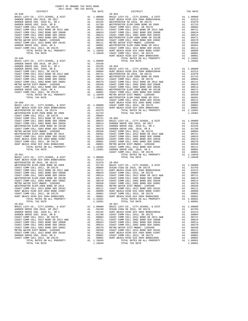| DIPIKICI                                                                                                   |    | IAA KAIL                                                                                                                                                                                                                       |            |
|------------------------------------------------------------------------------------------------------------|----|--------------------------------------------------------------------------------------------------------------------------------------------------------------------------------------------------------------------------------|------------|
| $20 - 048$                                                                                                 |    |                                                                                                                                                                                                                                | $20 - 053$ |
|                                                                                                            |    |                                                                                                                                                                                                                                |            |
|                                                                                                            |    |                                                                                                                                                                                                                                |            |
|                                                                                                            |    |                                                                                                                                                                                                                                |            |
|                                                                                                            |    |                                                                                                                                                                                                                                |            |
|                                                                                                            |    |                                                                                                                                                                                                                                |            |
|                                                                                                            |    |                                                                                                                                                                                                                                |            |
|                                                                                                            |    |                                                                                                                                                                                                                                |            |
|                                                                                                            |    |                                                                                                                                                                                                                                |            |
|                                                                                                            |    |                                                                                                                                                                                                                                |            |
|                                                                                                            |    |                                                                                                                                                                                                                                |            |
|                                                                                                            |    |                                                                                                                                                                                                                                |            |
|                                                                                                            |    |                                                                                                                                                                                                                                |            |
|                                                                                                            |    |                                                                                                                                                                                                                                |            |
|                                                                                                            |    |                                                                                                                                                                                                                                |            |
|                                                                                                            |    |                                                                                                                                                                                                                                |            |
|                                                                                                            |    |                                                                                                                                                                                                                                |            |
|                                                                                                            |    |                                                                                                                                                                                                                                | HUNT BE    |
| $20 - 049$                                                                                                 |    |                                                                                                                                                                                                                                |            |
|                                                                                                            |    |                                                                                                                                                                                                                                |            |
|                                                                                                            |    |                                                                                                                                                                                                                                |            |
|                                                                                                            |    |                                                                                                                                                                                                                                |            |
|                                                                                                            |    |                                                                                                                                                                                                                                |            |
|                                                                                                            |    |                                                                                                                                                                                                                                |            |
|                                                                                                            |    |                                                                                                                                                                                                                                |            |
|                                                                                                            |    |                                                                                                                                                                                                                                |            |
|                                                                                                            |    |                                                                                                                                                                                                                                |            |
|                                                                                                            |    |                                                                                                                                                                                                                                |            |
|                                                                                                            |    |                                                                                                                                                                                                                                |            |
|                                                                                                            |    |                                                                                                                                                                                                                                |            |
|                                                                                                            |    |                                                                                                                                                                                                                                |            |
|                                                                                                            |    |                                                                                                                                                                                                                                |            |
|                                                                                                            |    |                                                                                                                                                                                                                                |            |
|                                                                                                            |    |                                                                                                                                                                                                                                |            |
|                                                                                                            |    |                                                                                                                                                                                                                                |            |
|                                                                                                            |    |                                                                                                                                                                                                                                |            |
|                                                                                                            |    |                                                                                                                                                                                                                                |            |
|                                                                                                            |    | NOTE BE AT A THE READ OF THE READ OF THE READ OF THE READ OF THE READ OF THE READ OF THE READ OF THE READ OF THE READ OF THE READ OF THE READ OF THE READ OF THE READ OF THE READ OF THE READ OF THE READ OF THE READ OF THE R | COAST C    |
| $20 - 050$                                                                                                 |    |                                                                                                                                                                                                                                |            |
| BASIC LEVY-CO., CITY, SCHOOL, & DIST                                                                       |    |                                                                                                                                                                                                                                |            |
| HUNT BEACH HIGH SCH 2004 BOND#2004A                                                                        |    |                                                                                                                                                                                                                                |            |
| WESTMINSTER SD 2016, SR 2017A                                                                              |    |                                                                                                                                                                                                                                |            |
| WESTMINSTER ELEM-2008 BOND SR 2009                                                                         | A1 | .01733                                                                                                                                                                                                                         |            |
|                                                                                                            |    |                                                                                                                                                                                                                                |            |
|                                                                                                            |    |                                                                                                                                                                                                                                |            |
|                                                                                                            |    |                                                                                                                                                                                                                                |            |
|                                                                                                            |    |                                                                                                                                                                                                                                |            |
|                                                                                                            |    |                                                                                                                                                                                                                                |            |
|                                                                                                            |    |                                                                                                                                                                                                                                |            |
|                                                                                                            |    |                                                                                                                                                                                                                                |            |
|                                                                                                            |    |                                                                                                                                                                                                                                |            |
|                                                                                                            |    |                                                                                                                                                                                                                                |            |
|                                                                                                            |    |                                                                                                                                                                                                                                |            |
|                                                                                                            |    |                                                                                                                                                                                                                                |            |
|                                                                                                            |    |                                                                                                                                                                                                                                |            |
|                                                                                                            |    |                                                                                                                                                                                                                                |            |
|                                                                                                            |    |                                                                                                                                                                                                                                |            |
|                                                                                                            |    |                                                                                                                                                                                                                                |            |
|                                                                                                            |    |                                                                                                                                                                                                                                |            |
|                                                                                                            |    |                                                                                                                                                                                                                                | COAST C    |
| $20 - 051$                                                                                                 |    |                                                                                                                                                                                                                                |            |
|                                                                                                            |    | A1 1.00000<br>A1 .02313<br>a1 .01000                                                                                                                                                                                           |            |
| BASIC LEVY-CO., CITY, SCHOOL, & DIST<br>HUNT BEACH HIGH SCH 2004 BOND#2004A<br>WESTMINSTER SD 2016 CD 2015 |    |                                                                                                                                                                                                                                |            |
|                                                                                                            |    |                                                                                                                                                                                                                                |            |
|                                                                                                            |    |                                                                                                                                                                                                                                |            |
|                                                                                                            |    |                                                                                                                                                                                                                                |            |
|                                                                                                            |    |                                                                                                                                                                                                                                |            |
|                                                                                                            |    |                                                                                                                                                                                                                                |            |
|                                                                                                            |    |                                                                                                                                                                                                                                |            |
|                                                                                                            |    |                                                                                                                                                                                                                                |            |
|                                                                                                            |    |                                                                                                                                                                                                                                |            |
|                                                                                                            |    |                                                                                                                                                                                                                                |            |
|                                                                                                            |    |                                                                                                                                                                                                                                |            |
|                                                                                                            |    |                                                                                                                                                                                                                                |            |
|                                                                                                            |    |                                                                                                                                                                                                                                |            |
|                                                                                                            |    |                                                                                                                                                                                                                                |            |
|                                                                                                            |    |                                                                                                                                                                                                                                |            |
| COAST COMM COLL 2012, SR 2017D                                                                             | A1 |                                                                                                                                                                                                                                | COAST C    |
| HUNT BEACH HIGH SCH 2004 BOND#2005                                                                         | A1 | .00001<br>.00001                                                                                                                                                                                                               | HUNT BE    |
| TOTAL RATES ON ALL PROPERTY                                                                                |    | A1 1.10381                                                                                                                                                                                                                     |            |
|                                                                                                            |    |                                                                                                                                                                                                                                |            |
| TOTAL TAX RATE                                                                                             |    | 1.10381                                                                                                                                                                                                                        |            |
| $20 - 052$                                                                                                 |    |                                                                                                                                                                                                                                | $20 - 057$ |
| BASIC LEVY-CO., CITY, SCHOOL, & DIST                                                                       | A1 | 1.00000                                                                                                                                                                                                                        | BASIC L    |
| GARDEN GROVE USD 2016, SR 2017                                                                             |    | A1 .03430 OCEAN V<br>A1 .02235 HUNT BE<br>A1 .01788 COAST C                                                                                                                                                                    |            |
| GARDEN GROVE USD, 2010 EL, SR C                                                                            |    |                                                                                                                                                                                                                                |            |
| GARDEN GROVE USD, 2010, SR B                                                                               |    |                                                                                                                                                                                                                                |            |
| COAST COMM COLL 2012, SR 2017E                                                                             |    | A1.00804                                                                                                                                                                                                                       | COAST C    |
|                                                                                                            |    |                                                                                                                                                                                                                                |            |
| COAST COMM COLL 2012 BOND SR 2013 A&B                                                                      |    | A1.00721                                                                                                                                                                                                                       | COAST C    |
| COAST COMM COLL 2002 BOND SER 2006B                                                                        | A1 | .00624                                                                                                                                                                                                                         | COAST C    |
| COAST COMM COLL 2002 BOND SER 2003A                                                                        | A1 | .00514                                                                                                                                                                                                                         | COAST C    |
| COAST COMM COLL 2002 BOND SER 2006C                                                                        | A1 | .00370                                                                                                                                                                                                                         | METRO W    |
| METRO WATER DIST-MWDOC- 1205999                                                                            |    |                                                                                                                                                                                                                                |            |
| COAST COMM COLL 2012 BOND SER 2016C                                                                        |    |                                                                                                                                                                                                                                |            |
| GARDEN GROVE USD, 2010, SR A                                                                               |    | A1 .00370 METRO W<br>A1 .00350 COAST C<br>A1 .00111 HUNT BE<br>A1 .00001 COAST C<br>A1 .00001 HUNT BE                                                                                                                          |            |
| COAST COMM COLL 2012, SR 2017D                                                                             |    |                                                                                                                                                                                                                                |            |
|                                                                                                            |    |                                                                                                                                                                                                                                |            |
| TOTAL RATES ON ALL PROPERTY<br>moment mass named                                                           |    | A1 1.10949<br>1.10040                                                                                                                                                                                                          |            |
|                                                                                                            |    |                                                                                                                                                                                                                                |            |

| COUNTY OF ORANGE TAX RATE BOOK<br>$2017-2018 \quad \text{TRA RATES}$ DISTRICT $\hspace{2.5cm}$                                                                                                                                                                                                  |          |            |          |
|-------------------------------------------------------------------------------------------------------------------------------------------------------------------------------------------------------------------------------------------------------------------------------------------------|----------|------------|----------|
|                                                                                                                                                                                                                                                                                                 | TAX RATE | DISTRICT   | TAX RATE |
|                                                                                                                                                                                                                                                                                                 |          | $20 - 053$ |          |
|                                                                                                                                                                                                                                                                                                 |          |            |          |
|                                                                                                                                                                                                                                                                                                 |          |            |          |
|                                                                                                                                                                                                                                                                                                 |          |            |          |
|                                                                                                                                                                                                                                                                                                 |          |            |          |
|                                                                                                                                                                                                                                                                                                 |          |            |          |
|                                                                                                                                                                                                                                                                                                 |          |            |          |
|                                                                                                                                                                                                                                                                                                 |          |            |          |
| 00387 COME CLE AND SER 2016 COAST COME ON A 1 .00039<br>METRIM COAST COME COLL 2012 BOND SER 2016C A1 .00111 COAST COME COLL 2012 BOND SER 2016C A1 .00151<br>HUNT BEACH HIGH SCH 2004 BOND #2007 A1 .00089 HUNT BEACH HIGH SCH 20                                                              |          |            |          |
| $\begin{tabular}{@{}c@{}}\hline {\bf 120-052}\\[-0.051$ & $10.0000\\[-0.051$ & $20-052$\\[-0.052$ & $20.052$\\[-0.051$ & $20.051$\\[-0.051$ & $20.052$\\[-0.051$ & $20.051$\\[-0.051$ & $20.051$\\[-0.051$ & $20.051$\\[-0.051$ & $20.051$\\[-0.051$ & $20.051$\\[-0.051$ & $20.051$\\[-0.051$$ |          |            |          |

-190-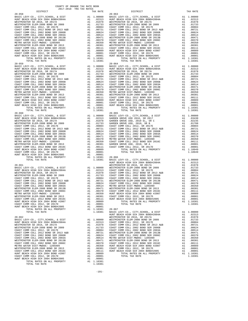| 101AD KAIBU UN ABB IKULBRII<br>TOTAL TAX RATE | --- | -------<br>1.10381 |
|-----------------------------------------------|-----|--------------------|
|                                               |     |                    |
| $20 - 062$                                    |     |                    |
| BASIC LEVY-CO., CITY, SCHOOL, & DIST          | A1  | 1,00000            |
| HUNT BEACH HIGH SCH 2004 BOND#2004A           | A1  | .02313             |
| WESTMINSTER SD 2016, SR 2017A                 | A1  | .01978             |
| WESTMINSTER ELEM-2008 BOND SR 2009            | A1  | .01733             |
| COAST COMM COLL 2012. SR 2017E                | A1  | .00804             |
| COAST COMM COLL 2012 BOND SR 2013 A&B         | A1  | .00721             |
| COAST COMM COLL 2002 BOND SER 2006B           | A1  | .00624             |
| COAST COMM COLL 2002 BOND SER 2003A           | A1  | .00514             |
| WESTMINSTER ELEM-2008 BOND SR 2013B           | A1  | .00471             |
| COAST COMM COLL 2002 BOND SER 2006C           | A1  | .00370             |
| METRO WATER DIST-MWDOC- 1205999               | A1  | .00350             |
| WESTMINSTER ELEM-2008 BOND SR 2013            | A1  | .00301             |
| COAST COMM COLL 2012 BOND SER 2016C           | A1  | .00111             |
| HUNT BEACH HIGH SCH 2004 BOND #2007           | A1  | .00089             |
| COAST COMM COLL 2012, SR 2017D                | A1  | .00001             |
| HUNT BEACH HIGH SCH 2004 BOND#2005            | A1  | .00001             |
| TOTAL RATES ON ALL PROPERTY                   | A1  | 1.10381            |
| TOTAL TAX RATE                                |     | 1.10381            |

| COUNTY OF ORANGE TAX RATE BOOK             |     |            |                                             |                |            |
|--------------------------------------------|-----|------------|---------------------------------------------|----------------|------------|
| 2017-2018 TRA TAX RATES                    |     |            |                                             |                |            |
| DISTRICT                                   |     | TAX RATE   | DISTRICT                                    |                | TAX RATE   |
| $20 - 058$                                 |     |            | $20 - 063$                                  |                |            |
| BASIC LEVY-CO., CITY, SCHOOL, & DIST       |     | A1 1.00000 | BASIC LEVY-CO., CITY, SCHOOL, & DIST        |                | A1 1,00000 |
| HUNT BEACH HIGH SCH 2004 BOND#2004A        | A1  | .02313     | HUNT BEACH HIGH SCH 2004 BOND#2004A         | A1             | .02313     |
| WESTMINSTER SD 2016, SR 2017A              | A1  | .01978     | WESTMINSTER SD 2016, SR 2017A               | A <sub>1</sub> | .01978     |
| WESTMINSTER ELEM-2008 BOND SR 2009         | A1  | .01733     | WESTMINSTER ELEM-2008 BOND SR 2009          | A1             | .01733     |
| COAST COMM COLL 2012, SR 2017E             | A1  | .00804     | COAST COMM COLL 2012, SR 2017E              | A <sub>1</sub> | .00804     |
| COAST COMM COLL 2012 BOND SR 2013 A&B      | A1  | .00721     | COAST COMM COLL 2012 BOND SR 2013 A&B       | A1             | .00721     |
| COAST COMM COLL 2002 BOND SER 2006B        | A1  | .00624     | COAST COMM COLL 2002 BOND SER 2006B         | A <sub>1</sub> | .00624     |
| COAST COMM COLL 2002 BOND SER 2003A        | A1  | .00514     | COAST COMM COLL 2002 BOND SER 2003A         | A1             | .00514     |
| WESTMINSTER ELEM-2008 BOND SR 2013B        | A1  | .00471     | WESTMINSTER ELEM-2008 BOND SR 2013B         | A1             | .00471     |
| COAST COMM COLL 2002 BOND SER 2006C        | A1  | .00370     | COAST COMM COLL 2002 BOND SER 2006C         | A1             | .00370     |
| METRO WATER DIST-MWDOC- 1205999            | A1  | .00350     | METRO WATER DIST-MWDOC- 1205999             | A1             | .00350     |
| WESTMINSTER ELEM-2008 BOND SR 2013         | A1  | .00301     | WESTMINSTER ELEM-2008 BOND SR 2013          | A1             | .00301     |
| COAST COMM COLL 2012 BOND SER 2016C        | A1  | .00111     | COAST COMM COLL 2012 BOND SER 2016C         | A1             | .00111     |
| HUNT BEACH HIGH SCH 2004 BOND #2007        | A1  | .00089     | HUNT BEACH HIGH SCH 2004 BOND #2007         | A1             | .00089     |
| COAST COMM COLL 2012, SR 2017D             | A1  | .00001     | COAST COMM COLL 2012, SR 2017D              | A1             | .00001     |
| HUNT BEACH HIGH SCH 2004 BOND#2005         | A1  | .00001     | HUNT BEACH HIGH SCH 2004 BOND#2005          | A1             | .00001     |
| TOTAL RATES ON ALL PROPERTY                |     | A1 1.10381 | TOTAL RATES ON ALL PROPERTY                 |                | A1 1.10381 |
| TOTAL TAX RATE                             |     | 1.10381    | TOTAL TAX RATE                              |                | 1.10381    |
| $20 - 059$                                 |     |            | $20 - 064$                                  |                |            |
| BASIC LEVY-CO., CITY, SCHOOL, & DIST       |     | A1 1.00000 | BASIC LEVY-CO., CITY, SCHOOL, & DIST        |                | A1 1,00000 |
| HUNT BEACH HIGH SCH 2004 BOND#2004A        | A1  | .02313     | HUNT BEACH HIGH SCH 2004 BOND#2004A         | A 1            | .02313     |
| WESTMINSTER SD 2016, SR 2017A              | A1  | .01978     | WESTMINSTER SD 2016, SR 2017A               | A1             | .01978     |
| WESTMINSTER ELEM-2008 BOND SR 2009         | A1  | .01733     | WESTMINSTER ELEM-2008 BOND SR 2009          | A <sub>1</sub> | .01733     |
| $0.2000$ $0.0001$ $0.015$ $0.100$ $0.0175$ | 7.7 | 00001      | $O(2.000 \times 0.01)$ $O(1)$ $O(1)$ $O(1)$ | $\mathbf{A}$   | 00001      |

| ntergram<br>$20 - 058$ | $AA$ $R$ $A$ $R$ | n JID TILT 1<br>$20 - 063$ | TWV WHIP |
|------------------------|------------------|----------------------------|----------|
|                        |                  |                            |          |
|                        |                  |                            |          |
|                        |                  |                            |          |
|                        |                  |                            |          |
|                        |                  |                            |          |
|                        |                  |                            |          |
|                        |                  |                            |          |
|                        |                  |                            |          |
|                        |                  |                            |          |
|                        |                  |                            |          |
|                        |                  |                            |          |
|                        |                  |                            |          |
|                        |                  |                            |          |
|                        |                  |                            |          |
|                        |                  |                            |          |
|                        |                  |                            |          |
|                        |                  |                            |          |
|                        |                  |                            |          |
|                        |                  |                            |          |
|                        |                  |                            |          |
|                        |                  |                            |          |
|                        |                  |                            |          |
|                        |                  |                            |          |
|                        |                  |                            |          |
|                        |                  |                            |          |
|                        |                  |                            |          |
|                        |                  |                            |          |
|                        |                  |                            |          |
|                        |                  |                            |          |
|                        |                  |                            |          |
|                        |                  |                            |          |
|                        |                  |                            |          |
|                        |                  |                            |          |
|                        |                  |                            |          |
|                        |                  |                            |          |
|                        |                  |                            |          |
|                        |                  |                            |          |
|                        |                  |                            |          |
|                        |                  |                            |          |
|                        |                  |                            |          |
|                        |                  |                            |          |
|                        |                  |                            |          |
|                        |                  |                            |          |
|                        |                  |                            |          |
|                        |                  |                            |          |
|                        |                  |                            |          |
|                        |                  |                            |          |
|                        |                  |                            |          |
|                        |                  |                            |          |
|                        |                  |                            |          |
|                        |                  |                            |          |
|                        |                  |                            |          |
|                        |                  |                            |          |
|                        |                  |                            |          |
|                        |                  |                            |          |
|                        |                  |                            |          |
|                        |                  |                            |          |
|                        |                  |                            |          |
|                        |                  |                            |          |
|                        |                  |                            |          |
|                        |                  |                            |          |
|                        |                  |                            |          |
|                        |                  |                            |          |
|                        |                  |                            |          |
|                        |                  |                            |          |
|                        |                  |                            |          |
|                        |                  |                            |          |
|                        |                  |                            |          |
|                        |                  |                            |          |
|                        |                  |                            |          |
|                        |                  |                            |          |
|                        |                  |                            |          |
|                        |                  |                            |          |
|                        |                  |                            |          |
|                        |                  |                            |          |
|                        |                  |                            |          |
|                        |                  |                            |          |
|                        |                  |                            |          |
|                        |                  |                            |          |
|                        |                  |                            |          |
|                        |                  |                            |          |
|                        |                  |                            |          |
|                        |                  |                            |          |
|                        |                  |                            |          |
|                        |                  |                            |          |
|                        |                  |                            |          |
|                        |                  |                            |          |
|                        |                  |                            |          |
|                        |                  |                            |          |
|                        |                  |                            |          |
|                        |                  |                            |          |
|                        |                  |                            |          |
|                        |                  |                            |          |
|                        |                  |                            |          |
|                        |                  |                            |          |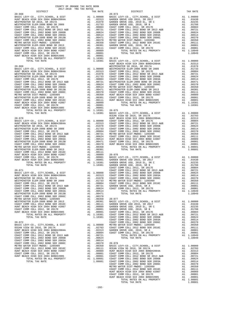| WESIMINSIER ELEM-ZUUG BUND SR ZUIS<br>COAST COMM COLL 2012 BOND SER 2016C   | A1 .00311 GOAST C<br>A1 .00011 COAST C<br>A1 .00009<br>A1 .00001<br>A1 1.10381 20-074                                                                                                                                                                |                                                                               |         |
|-----------------------------------------------------------------------------|------------------------------------------------------------------------------------------------------------------------------------------------------------------------------------------------------------------------------------------------------|-------------------------------------------------------------------------------|---------|
| HUNT BEACH HIGH SCH 2004 BOND #2007                                         |                                                                                                                                                                                                                                                      |                                                                               |         |
| COAST COMM COLL 2012, SR 2017D                                              |                                                                                                                                                                                                                                                      |                                                                               |         |
| HUNT BEACH HIGH SCH 2004 BOND#2005                                          |                                                                                                                                                                                                                                                      |                                                                               |         |
| TOTAL RATES ON ALL PROPERTY                                                 |                                                                                                                                                                                                                                                      |                                                                               |         |
| TOTAL TAX RATE                                                              |                                                                                                                                                                                                                                                      | $\begin{tabular}{ll} 1.10381 & 20-074 \\ 1.10381 & BASE & L \\ \end{tabular}$ |         |
|                                                                             |                                                                                                                                                                                                                                                      |                                                                               | HUNT BE |
| $20 - 069$                                                                  | MI 1.00000 WESTMIN<br>A1 1.00000 WESTMIN<br>A1 .02313 COAST C<br>A1 .0173 COAST C<br>A1 .0173 COAST C<br>A1 .00804 COAST C<br>A1 .00721 WESTMIN<br>A1 .00721 WESTMIN<br>A1 .00721 WESTMIN<br>A1 .00314 WESTMIN<br>A1 .00370 COAST C<br>A1 .00370 COA |                                                                               | WESTMIN |
| BASIC LEVY-CO., CITY, SCHOOL, & DIST                                        |                                                                                                                                                                                                                                                      |                                                                               |         |
| HUNT BEACH HIGH SCH 2004 BOND#2004A                                         |                                                                                                                                                                                                                                                      |                                                                               |         |
| WESTMINSTER SD 2016, SR 2017A                                               |                                                                                                                                                                                                                                                      |                                                                               |         |
| WESTMINSTER ELEM-2008 BOND SR 2009                                          |                                                                                                                                                                                                                                                      |                                                                               |         |
| COAST COMM COLL 2012, SR 2017E                                              |                                                                                                                                                                                                                                                      |                                                                               |         |
| COAST COMM COLL 2012 BOND SR 2013 A&B                                       |                                                                                                                                                                                                                                                      |                                                                               |         |
| COAST COMM COLL 2002 BOND SER 2006B<br>COAST COMM COLL 2002 BOND SER 2003A  |                                                                                                                                                                                                                                                      |                                                                               |         |
|                                                                             |                                                                                                                                                                                                                                                      |                                                                               |         |
| WESTMINSTER ELEM-2008 BOND SR 2013B                                         |                                                                                                                                                                                                                                                      |                                                                               |         |
| COAST COMM COLL 2002 BOND SER 2006C                                         |                                                                                                                                                                                                                                                      |                                                                               |         |
| METRO WATER DIST-MWDOC- 1205999                                             |                                                                                                                                                                                                                                                      |                                                                               |         |
| WESTMINSTER ELEM-2008 BOND SR 2013                                          |                                                                                                                                                                                                                                                      |                                                                               |         |
| COAST COMM COLL 2012 BOND SER 2016C                                         |                                                                                                                                                                                                                                                      |                                                                               |         |
| HUNT BEACH HIGH SCH 2004 BOND #2007                                         |                                                                                                                                                                                                                                                      |                                                                               |         |
|                                                                             |                                                                                                                                                                                                                                                      |                                                                               |         |
| COAST COMM COLL 2012, SK 2017D<br>HUNT BEACH HIGH SCH 2004 BOND#2005        |                                                                                                                                                                                                                                                      |                                                                               |         |
| TOTAL RATES ON ALL PROPERTY                                                 |                                                                                                                                                                                                                                                      |                                                                               |         |
| TOTAL TAX RATE                                                              |                                                                                                                                                                                                                                                      |                                                                               |         |
|                                                                             |                                                                                                                                                                                                                                                      |                                                                               | OCEAN V |
| $20 - 070$                                                                  |                                                                                                                                                                                                                                                      |                                                                               | HUNT BE |
| BASIC LEVY-CO., CITY, SCHOOL, & DIST                                        |                                                                                                                                                                                                                                                      |                                                                               |         |
| HUNT BEACH HIGH SCH 2004 BOND#2004A                                         |                                                                                                                                                                                                                                                      |                                                                               |         |
| WESTMINSTER SD 2016, SR 2017A                                               |                                                                                                                                                                                                                                                      |                                                                               |         |
| WESTMINSTER ELEM-2008 BOND SR 2009<br>COAST COMM COLL 2012, SR 2017E        |                                                                                                                                                                                                                                                      |                                                                               |         |
|                                                                             |                                                                                                                                                                                                                                                      |                                                                               |         |
|                                                                             |                                                                                                                                                                                                                                                      |                                                                               |         |
| COAST COMM COLL 2002 BOND SER 2003A                                         |                                                                                                                                                                                                                                                      |                                                                               |         |
| WESTMINSTER ELEM-2008 BOND SR 2013B                                         |                                                                                                                                                                                                                                                      |                                                                               |         |
| WESTMINSTER ELEM-2008 BOND SR 2013B<br>COAST COMM COLL 2002 BOND SER 2006C  |                                                                                                                                                                                                                                                      |                                                                               |         |
| METRO WATER DIST-MWDOC- 1205999                                             |                                                                                                                                                                                                                                                      |                                                                               |         |
| WESTMINSTER ELEM-2008 BOND SR 2013                                          |                                                                                                                                                                                                                                                      |                                                                               |         |
| COAST COMM COLL 2012 BOND SER 2016C                                         |                                                                                                                                                                                                                                                      |                                                                               |         |
| HUNT BEACH HIGH SCH 2004 BOND #2007                                         |                                                                                                                                                                                                                                                      |                                                                               |         |
| COAST COMM COLL 2012, SR 2017D                                              |                                                                                                                                                                                                                                                      |                                                                               |         |
| HUNT BEACH HIGH SCH 2004 BOND#2005                                          |                                                                                                                                                                                                                                                      |                                                                               |         |
|                                                                             |                                                                                                                                                                                                                                                      |                                                                               |         |
|                                                                             |                                                                                                                                                                                                                                                      |                                                                               |         |
|                                                                             |                                                                                                                                                                                                                                                      |                                                                               | COAST C |
| $20 - 071$                                                                  |                                                                                                                                                                                                                                                      |                                                                               |         |
|                                                                             |                                                                                                                                                                                                                                                      |                                                                               |         |
| BASIC LEVY-CO., CITY, SCHOOL, & DIST<br>HUNT BEACH HIGH SCH 2004 BOND#2004A |                                                                                                                                                                                                                                                      |                                                                               |         |
| WESTMINSTER SD 2016, SR 2017A                                               |                                                                                                                                                                                                                                                      |                                                                               |         |
| WESTMINSTER ELEM-2008 BOND SR 2009                                          |                                                                                                                                                                                                                                                      |                                                                               |         |
|                                                                             |                                                                                                                                                                                                                                                      |                                                                               |         |
| COAST COMM COLL 2012, SR 2017E COAST COMM COLL 2012 BOND SR 2013 A&B        |                                                                                                                                                                                                                                                      |                                                                               |         |
| COAST COMM COLL 2002 BOND SER 2006B                                         |                                                                                                                                                                                                                                                      |                                                                               |         |
| COAST COMM COLL 2002 BOND SER 2003A                                         |                                                                                                                                                                                                                                                      |                                                                               |         |
| WESTMINSTER ELEM-2008 BOND SR 2013B                                         |                                                                                                                                                                                                                                                      |                                                                               |         |
| COAST COMM COLL 2002 BOND SER 2006C                                         |                                                                                                                                                                                                                                                      |                                                                               |         |
| METRO WATER DIST-MWDOC- 1205999                                             |                                                                                                                                                                                                                                                      |                                                                               |         |
| WESTMINSTER ELEM-2008 BOND SR 2013                                          |                                                                                                                                                                                                                                                      |                                                                               |         |
| COAST COMM COLL 2012 BOND SER 2016C                                         |                                                                                                                                                                                                                                                      |                                                                               |         |
| HUNT BEACH HIGH SCH 2004 BOND #2007                                         |                                                                                                                                                                                                                                                      |                                                                               |         |
| COAST COMM COLL 2012, SR 2017D                                              |                                                                                                                                                                                                                                                      |                                                                               |         |
| HUNT BEACH HIGH SCH 2004 BOND#2005                                          |                                                                                                                                                                                                                                                      |                                                                               |         |
| TOTAL RATES ON ALL PROPERTY                                                 |                                                                                                                                                                                                                                                      |                                                                               |         |
| TOTAL TAX RATE                                                              | CAST COAST COAST COAST COAST COAST COAST COAST COAST COAST COAST COAST COAST COAST COAST COAST COAST COAST COAST COAST COAST COAST COAST COAST COAST COAST COAST COAST COAST COAST COAST COAST COAST COAST COAST COAST COAST C                       |                                                                               |         |
|                                                                             |                                                                                                                                                                                                                                                      |                                                                               | COAST C |
| $20 - 072$                                                                  |                                                                                                                                                                                                                                                      |                                                                               | COAST C |
| BASIC LEVY-CO., CITY, SCHOOL, & DIST                                        |                                                                                                                                                                                                                                                      |                                                                               |         |
| OCEAN VIEW SD 2016, SR 2017A                                                |                                                                                                                                                                                                                                                      |                                                                               |         |
| HUNT BEACH HIGH SCH 2004 BOND#2004A                                         |                                                                                                                                                                                                                                                      |                                                                               |         |
| COAST COMM COLL 2012, SR 2017E                                              | A1 1.00000 METRO W<br>A1 .02703 COAST C<br>A1 .02313 GARDEN<br>A1 .00804 COAST C                                                                                                                                                                     |                                                                               |         |
|                                                                             |                                                                                                                                                                                                                                                      |                                                                               |         |

|                                       |     |            | COAST C        |
|---------------------------------------|-----|------------|----------------|
| $20 - 072$                            |     |            | COAST C        |
| BASIC LEVY-CO., CITY, SCHOOL, & DIST  |     | A1 1.00000 | METRO W        |
| OCEAN VIEW SD 2016, SR 2017A          | A1  | .02703     | COAST C        |
| HUNT BEACH HIGH SCH 2004 BOND#2004A   | A1  | .02313     | GARDEN         |
| COAST COMM COLL 2012. SR 2017E        | A1  | .00804     | COAST C        |
| COAST COMM COLL 2012 BOND SR 2013 A&B | A1  | .00721     |                |
| COAST COMM COLL 2002 BOND SER 2006B   | A1  | .00624     |                |
| COAST COMM COLL 2002 BOND SER 2003A   | A1  | .00514     |                |
| COAST COMM COLL 2002 BOND SER 2006C   | A1  | .00370     | $20 - 078$     |
| METRO WATER DIST-MWDOC- 1205999       | A1  | .00350     | BASIC L        |
| COAST COMM COLL 2012 BOND SER 2016C   | A1  | .00111     | OCEAN V        |
| HUNT BEACH HIGH SCH 2004 BOND #2007   | A1  | .00089     | HUNT BE        |
| COAST COMM COLL 2012, SR 2017D        | A1  | .00001     | COAST C        |
| HUNT BEACH HIGH SCH 2004 BOND#2005    | A1  | .00001     | COAST C        |
| POPAI PAPPO ON AII DROPPPV            | 7.1 | 1 09601    | $C0$ $C0$ $C1$ |

| DISTRICT | TAX RATE | DISTRICT | TAX RATE |
|----------|----------|----------|----------|
|          |          |          |          |
|          |          |          |          |
|          |          |          |          |
|          |          |          |          |
|          |          |          |          |
|          |          |          |          |
|          |          |          |          |
|          |          |          |          |
|          |          |          |          |
|          |          |          |          |
|          |          |          |          |
|          |          |          |          |
|          |          |          |          |
|          |          |          |          |
|          |          |          |          |
|          |          |          |          |
|          |          |          |          |
|          |          |          |          |
|          |          |          |          |
|          |          |          |          |
|          |          |          |          |
|          |          |          |          |
|          |          |          |          |
|          |          |          |          |
|          |          |          |          |
|          |          |          |          |
|          |          |          |          |
|          |          |          |          |
|          |          |          |          |
|          |          |          |          |
|          |          |          |          |
|          |          |          |          |
|          |          |          |          |
|          |          |          |          |
|          |          |          |          |
|          |          |          |          |
|          |          |          |          |
|          |          |          |          |
|          |          |          |          |
|          |          |          |          |
|          |          |          |          |
|          |          |          |          |
|          |          |          |          |
|          |          |          |          |
|          |          |          |          |
|          |          |          |          |
|          |          |          |          |
|          |          |          |          |
|          |          |          |          |
|          |          |          |          |
|          |          |          |          |
|          |          |          |          |
|          |          |          |          |
|          |          |          |          |
|          |          |          |          |
|          |          |          |          |
|          |          |          |          |
|          |          |          |          |
|          |          |          |          |
|          |          |          |          |
|          |          |          |          |
|          |          |          |          |
|          |          |          |          |
|          |          |          |          |
|          |          |          |          |
|          |          |          |          |
|          |          |          |          |
|          |          |          |          |
|          |          |          |          |
|          |          |          |          |
|          |          |          |          |
|          |          |          |          |
|          |          |          |          |
|          |          |          |          |
|          |          |          |          |
|          |          |          |          |
|          |          |          |          |
|          |          |          |          |
|          |          |          |          |
|          |          |          |          |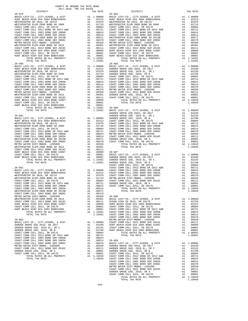| DISTRICT                                                                    |                                                                                                                                                                                                                                                        | TAX RATE                                                                                                                                                                                                                                                                                                                                                                       |            |
|-----------------------------------------------------------------------------|--------------------------------------------------------------------------------------------------------------------------------------------------------------------------------------------------------------------------------------------------------|--------------------------------------------------------------------------------------------------------------------------------------------------------------------------------------------------------------------------------------------------------------------------------------------------------------------------------------------------------------------------------|------------|
| $20 - 079$                                                                  | 20-084<br>A1 1.00000 BASIC L<br>A1 002313 HUNT BE<br>A1 01978 WESTMIN<br>A1 01978 WESTMIN<br>A1 01973 WESTMIN<br>A1 00804 COAST C<br>A1 .00624 COAST C<br>A1 .00514 COAST C<br>A1 .00514 COAST C<br>A1 .00370 COAST C<br>A1 .00370 COAST C<br>A1 .0030 |                                                                                                                                                                                                                                                                                                                                                                                | $20 - 084$ |
| BASIC LEVY-CO., CITY, SCHOOL, & DIST<br>HUNT BEACH HIGH SCH 2004 BOND#2004A |                                                                                                                                                                                                                                                        |                                                                                                                                                                                                                                                                                                                                                                                |            |
| WESTMINSTER SD 2016, SR 2017A                                               |                                                                                                                                                                                                                                                        |                                                                                                                                                                                                                                                                                                                                                                                |            |
| WESTMINSTER ELEM-2008 BOND SR 2009                                          |                                                                                                                                                                                                                                                        |                                                                                                                                                                                                                                                                                                                                                                                |            |
| COAST COMM COLL 2012, SR 2017E                                              |                                                                                                                                                                                                                                                        |                                                                                                                                                                                                                                                                                                                                                                                |            |
| COAST COMM COLL 2012 BOND SR 2013 A&B                                       |                                                                                                                                                                                                                                                        |                                                                                                                                                                                                                                                                                                                                                                                |            |
| COAST COMM COLL 2002 BOND SER 2006B                                         |                                                                                                                                                                                                                                                        |                                                                                                                                                                                                                                                                                                                                                                                |            |
| COAST COMM COLL 2002 BOND SER 2003A                                         |                                                                                                                                                                                                                                                        |                                                                                                                                                                                                                                                                                                                                                                                |            |
| WESTMINSTER ELEM-2008 BOND SR 2013B                                         |                                                                                                                                                                                                                                                        |                                                                                                                                                                                                                                                                                                                                                                                |            |
| COAST COMM COLL 2002 BOND SER 2006C                                         |                                                                                                                                                                                                                                                        |                                                                                                                                                                                                                                                                                                                                                                                |            |
| METRO WATER DIST-MWDOC- 1205999                                             |                                                                                                                                                                                                                                                        |                                                                                                                                                                                                                                                                                                                                                                                |            |
| WESTMINSTER ELEM-2008 BOND SR 2013                                          |                                                                                                                                                                                                                                                        |                                                                                                                                                                                                                                                                                                                                                                                |            |
| COAST COMM COLL 2012 BOND SER 2016C                                         |                                                                                                                                                                                                                                                        |                                                                                                                                                                                                                                                                                                                                                                                |            |
| HUNT BEACH HIGH SCH 2004 BOND #2007                                         |                                                                                                                                                                                                                                                        |                                                                                                                                                                                                                                                                                                                                                                                |            |
| COAST COMM COLL 2012, SR 2017D                                              |                                                                                                                                                                                                                                                        |                                                                                                                                                                                                                                                                                                                                                                                |            |
| HUNT BEACH HIGH SCH 2004 BOND#2005                                          |                                                                                                                                                                                                                                                        |                                                                                                                                                                                                                                                                                                                                                                                |            |
| TOTAL RATES ON ALL PROPERTY<br>TOTAL TAX RATE                               |                                                                                                                                                                                                                                                        | A1 1.10381<br>1.10381                                                                                                                                                                                                                                                                                                                                                          |            |
| $20 - 080$                                                                  |                                                                                                                                                                                                                                                        |                                                                                                                                                                                                                                                                                                                                                                                |            |
|                                                                             |                                                                                                                                                                                                                                                        |                                                                                                                                                                                                                                                                                                                                                                                |            |
| BASIC LEVY-CO., CITY, SCHOOL, & DIST<br>HUNT BEACH HIGH SCH 2004 BOND#2004A |                                                                                                                                                                                                                                                        |                                                                                                                                                                                                                                                                                                                                                                                |            |
| WESTMINSTER SD 2016, SR 2017A                                               |                                                                                                                                                                                                                                                        |                                                                                                                                                                                                                                                                                                                                                                                |            |
| WESTMINSTER ELEM-2008 BOND SR 2009                                          |                                                                                                                                                                                                                                                        |                                                                                                                                                                                                                                                                                                                                                                                |            |
| COAST COMM COLL 2012, SR 2017E                                              |                                                                                                                                                                                                                                                        |                                                                                                                                                                                                                                                                                                                                                                                |            |
| COAST COMM COLL 2012 BOND SR 2013 A&B                                       |                                                                                                                                                                                                                                                        |                                                                                                                                                                                                                                                                                                                                                                                |            |
| COAST COMM COLL 2002 BOND SER 2006B                                         |                                                                                                                                                                                                                                                        |                                                                                                                                                                                                                                                                                                                                                                                |            |
| COAST COMM COLL 2002 BOND SER 2003A                                         |                                                                                                                                                                                                                                                        | $\begin{tabular}{cc} 1.10381 & 20-085 \\ \text{A1} & 1.00000 & \text{BASE L} \\ \text{A1} & 0.2313 & \text{GARDEN} \\ \text{A1} & 0.1978 & \text{GARDEN} \\ \text{A1} & 0.1973 & \text{GARDEN} \\ \text{A1} & 0.00804 & \text{CoAST C} \\ \text{A1} & 0.0624 & \text{COAST C} \\ \text{A1} & 0.0624 & \text{COAST C} \\ \text{A1} & 0.0911 & \text{COAST C} \\ \text{A1} & 0.$ |            |
| WESTMINSTER ELEM-2008 BOND SR 2013B                                         |                                                                                                                                                                                                                                                        |                                                                                                                                                                                                                                                                                                                                                                                |            |
| COAST COMM COLL 2002 BOND SER 2006C                                         |                                                                                                                                                                                                                                                        |                                                                                                                                                                                                                                                                                                                                                                                |            |
| METRO WATER DIST-MWDOC- 1205999                                             |                                                                                                                                                                                                                                                        |                                                                                                                                                                                                                                                                                                                                                                                |            |
| WESTMINSTER ELEM-2008 BOND SR 2013                                          |                                                                                                                                                                                                                                                        |                                                                                                                                                                                                                                                                                                                                                                                |            |
| COAST COMM COLL 2012 BOND SER 2016C                                         |                                                                                                                                                                                                                                                        |                                                                                                                                                                                                                                                                                                                                                                                |            |
| HUNT BEACH HIGH SCH 2004 BOND #2007                                         | A1                                                                                                                                                                                                                                                     | .00089                                                                                                                                                                                                                                                                                                                                                                         |            |
| COAST COMM COLL 2012, SR 2017D<br>HUNT BEACH HIGH SCH 2004 BOND#2005        |                                                                                                                                                                                                                                                        | A1 .00001<br>A1 .00001<br>.00001                                                                                                                                                                                                                                                                                                                                               |            |
| TOTAL RATES ON ALL PROPERTY                                                 |                                                                                                                                                                                                                                                        |                                                                                                                                                                                                                                                                                                                                                                                |            |
| TOTAL TAX RATE                                                              |                                                                                                                                                                                                                                                        | A1 1.10381 20-086<br>1.10381 BASIC L                                                                                                                                                                                                                                                                                                                                           |            |
|                                                                             |                                                                                                                                                                                                                                                        |                                                                                                                                                                                                                                                                                                                                                                                | GARDEN     |
| $20 - 081$                                                                  |                                                                                                                                                                                                                                                        |                                                                                                                                                                                                                                                                                                                                                                                | GARDEN     |
| BASIC LEVY-CO., CITY, SCHOOL, & DIST<br>HUNT BEACH HIGH SCH 2004 BOND#2004A |                                                                                                                                                                                                                                                        | $\begin{tabular}{ll} \bf{A1} & 1.00000 & \tt{GARDEN} \\ \bf{A1} & .02313 & \tt{COAST} & \tt{C} \\ \bf{A1} & .01978 & \tt{COAST} & \tt{C} \\ \bf{A1} & .01733 & \tt{COAST} & \tt{C} \\ \bf{A1} & .01733 & \tt{COAST} & \tt{C} \\ \bf{A1} & .00804 & \tt{COAST} & \tt{C} \\ \bf{A1} & .00524 & \tt{METRO} & \tt{W} \\ \bf{A1} & .00514 & \tt{COAST} & \tt{C$                     |            |
|                                                                             |                                                                                                                                                                                                                                                        |                                                                                                                                                                                                                                                                                                                                                                                |            |
| WESTMINSTER SD 2016, SR 2017A                                               |                                                                                                                                                                                                                                                        |                                                                                                                                                                                                                                                                                                                                                                                |            |
| WESTMINSTER ELEM-2008 BOND SR 2009                                          |                                                                                                                                                                                                                                                        |                                                                                                                                                                                                                                                                                                                                                                                |            |
| COAST COMM COLL 2012, SR 2017E                                              |                                                                                                                                                                                                                                                        |                                                                                                                                                                                                                                                                                                                                                                                |            |
| COAST COMM COLL 2012 BOND SR 2013 A&B                                       |                                                                                                                                                                                                                                                        |                                                                                                                                                                                                                                                                                                                                                                                |            |
| COAST COMM COLL 2002 BOND SER 2006B                                         |                                                                                                                                                                                                                                                        |                                                                                                                                                                                                                                                                                                                                                                                |            |
| COAST COMM COLL 2002 BOND SER 2003A                                         |                                                                                                                                                                                                                                                        |                                                                                                                                                                                                                                                                                                                                                                                |            |
| WESTMINSTER ELEM-2008 BOND SR 2013B<br>COAST COMM COLL 2002 BOND SER 2006C  |                                                                                                                                                                                                                                                        |                                                                                                                                                                                                                                                                                                                                                                                |            |
| METRO WATER DIST-MWDOC- 1205999                                             |                                                                                                                                                                                                                                                        | .00350                                                                                                                                                                                                                                                                                                                                                                         |            |
| WESTMINSTER ELEM-2008 BOND SR 2013                                          | $\frac{1}{A1}$                                                                                                                                                                                                                                         | .00301                                                                                                                                                                                                                                                                                                                                                                         |            |
| COAST COMM COLL 2012 BOND SER 2016C                                         | A1                                                                                                                                                                                                                                                     | .00111                                                                                                                                                                                                                                                                                                                                                                         |            |
| HUNT BEACH HIGH SCH 2004 BOND #2007                                         |                                                                                                                                                                                                                                                        |                                                                                                                                                                                                                                                                                                                                                                                |            |
| COAST COMM COLL 2012, SR 2017D                                              |                                                                                                                                                                                                                                                        |                                                                                                                                                                                                                                                                                                                                                                                |            |
| HUNT BEACH HIGH SCH 2004 BOND#2005                                          |                                                                                                                                                                                                                                                        | A1 .00111<br>A1 .00089 20-087<br>A1 .00001 BASIC L<br>A1 .00001 GARDEN<br>A1 .10381 GARDEN<br>1.10381 GARDEN                                                                                                                                                                                                                                                                   |            |
| TOTAL RATES ON ALL PROPERTY                                                 |                                                                                                                                                                                                                                                        |                                                                                                                                                                                                                                                                                                                                                                                |            |
| TOTAL TAX RATE                                                              |                                                                                                                                                                                                                                                        | 1.10381                                                                                                                                                                                                                                                                                                                                                                        | GARDEN     |
|                                                                             |                                                                                                                                                                                                                                                        |                                                                                                                                                                                                                                                                                                                                                                                | COAST C    |
| $20 - 082$                                                                  |                                                                                                                                                                                                                                                        |                                                                                                                                                                                                                                                                                                                                                                                |            |
| BASIC LEVY-CO., CITY, SCHOOL, & DIST<br>HUNT BEACH HIGH SCH 2004 BOND#2004A |                                                                                                                                                                                                                                                        |                                                                                                                                                                                                                                                                                                                                                                                |            |
| WESTMINSTER SD 2016, SR 2017A                                               |                                                                                                                                                                                                                                                        |                                                                                                                                                                                                                                                                                                                                                                                |            |
| WESTMINSTER ELEM-2008 BOND SR 2009                                          |                                                                                                                                                                                                                                                        |                                                                                                                                                                                                                                                                                                                                                                                |            |
| COAST COMM COLL 2012, SR 2017E                                              |                                                                                                                                                                                                                                                        |                                                                                                                                                                                                                                                                                                                                                                                |            |
| COAST COMM COLL 2012 BOND SR 2013 A&B                                       | CAST CONST CONST CONST CONST CONST CONST CONST CONST CONST CONST CONST CONST CONST CONST CONST CONST CONST CONST CONST CONST CONST CONST CONST CONST CONST CONST CONST CONST CONST CONST CONST CONST CONST CONST CONST CONST C                         |                                                                                                                                                                                                                                                                                                                                                                                |            |
| COAST COMM COLL 2002 BOND SER 2006B                                         |                                                                                                                                                                                                                                                        |                                                                                                                                                                                                                                                                                                                                                                                |            |
| COAST COMM COLL 2002 BOND SER 2003A                                         | A1                                                                                                                                                                                                                                                     | .00514                                                                                                                                                                                                                                                                                                                                                                         |            |
|                                                                             |                                                                                                                                                                                                                                                        | .00471                                                                                                                                                                                                                                                                                                                                                                         |            |
| WESTMINSTER ELEM-2008 BOND SR 2013B<br>COAST COMM COLL 2002 BOND SER 2006C  | $\begin{array}{c} \mathtt{Al} \\ \mathtt{Al} \\ \mathtt{Al} \end{array}$                                                                                                                                                                               | .00370                                                                                                                                                                                                                                                                                                                                                                         |            |
| METRO WATER DIST-MWDOC- 1205999                                             |                                                                                                                                                                                                                                                        |                                                                                                                                                                                                                                                                                                                                                                                |            |
| WESTMINSTER ELEM-2008 BOND SR 2013                                          |                                                                                                                                                                                                                                                        |                                                                                                                                                                                                                                                                                                                                                                                |            |
| COAST COMM COLL 2012 BOND SER 2016C                                         |                                                                                                                                                                                                                                                        |                                                                                                                                                                                                                                                                                                                                                                                |            |
| HUNT BEACH HIGH SCH 2004 BOND #2007                                         |                                                                                                                                                                                                                                                        |                                                                                                                                                                                                                                                                                                                                                                                |            |
| COAST COMM COLL 2012, SR 2017D                                              |                                                                                                                                                                                                                                                        |                                                                                                                                                                                                                                                                                                                                                                                |            |
| HUNT BEACH HIGH SCH 2004 BOND#2005<br>TOTAL RATES ON ALL PROPERTY           |                                                                                                                                                                                                                                                        |                                                                                                                                                                                                                                                                                                                                                                                |            |
| TOTAL TAX RATE                                                              |                                                                                                                                                                                                                                                        | A1 .00350 20-088<br>A1 .00360 20-088<br>A1 .00301 BASIC L<br>A1 .0011 OCEAN V<br>A1 .00089 HUNT BE<br>A1 .00001 COAST C<br>A1 .00001 COAST C<br>A1 1.10381 COAST C<br>1.10381 COAST C<br>1.10381 COAST C                                                                                                                                                                       |            |
|                                                                             |                                                                                                                                                                                                                                                        |                                                                                                                                                                                                                                                                                                                                                                                |            |

| DISTRICT   | ZUIT-ZUIB TRATAX RATES | TAX RATE | DISTRICT   | TAX RATE |
|------------|------------------------|----------|------------|----------|
| $20 - 079$ |                        |          | $20 - 084$ |          |
|            |                        |          |            |          |
|            |                        |          |            |          |
|            |                        |          |            |          |
|            |                        |          |            |          |
|            |                        |          |            |          |
|            |                        |          |            |          |
|            |                        |          |            |          |
|            |                        |          |            |          |
|            |                        |          |            |          |
|            |                        |          |            |          |
|            |                        |          |            |          |
|            |                        |          |            |          |
|            |                        |          |            |          |
|            |                        |          |            |          |
|            |                        |          |            |          |
|            |                        |          |            |          |
|            |                        |          |            |          |
|            |                        |          |            |          |
|            |                        |          |            |          |
|            |                        |          |            |          |
|            |                        |          |            |          |
|            |                        |          |            |          |
|            |                        |          |            |          |
|            |                        |          |            |          |
|            |                        |          |            |          |
|            |                        |          |            |          |
|            |                        |          |            |          |
|            |                        |          |            |          |
|            |                        |          |            |          |
|            |                        |          |            |          |
|            |                        |          |            |          |
|            |                        |          |            |          |
|            |                        |          |            |          |
|            |                        |          |            |          |
|            |                        |          |            |          |
|            |                        |          |            |          |
|            |                        |          |            |          |
|            |                        |          |            |          |
|            |                        |          |            |          |
|            |                        |          |            |          |
|            |                        |          |            |          |
|            |                        |          |            |          |
|            |                        |          |            |          |
|            |                        |          |            |          |
|            |                        |          |            |          |
|            |                        |          |            |          |
|            |                        |          |            |          |
|            |                        |          |            |          |
|            |                        |          |            |          |
|            |                        |          |            |          |
|            |                        |          |            |          |
|            |                        |          |            |          |
|            |                        |          |            |          |
|            |                        |          |            |          |
|            |                        |          |            |          |
|            |                        |          |            |          |
|            |                        |          |            |          |
|            |                        |          |            |          |
|            |                        |          |            |          |
|            |                        |          |            |          |
|            |                        |          |            |          |
|            |                        |          |            |          |
|            |                        |          |            |          |
|            |                        |          |            |          |
|            |                        |          |            |          |
|            |                        |          |            |          |
|            |                        |          |            |          |
|            |                        |          |            |          |
|            |                        |          |            |          |
|            |                        |          |            |          |
|            |                        |          |            |          |
|            |                        |          |            |          |
|            |                        |          |            |          |
|            |                        |          |            |          |
|            |                        |          |            |          |
|            |                        |          |            |          |
|            |                        |          |            |          |
|            |                        |          |            |          |
|            |                        |          |            |          |
|            |                        |          |            |          |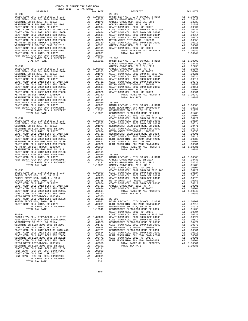| COAST COMM COLL 2012, SR 2017D                                                                                                                                                                                                 |                    |                                                                                                                                                                                                                               |            |
|--------------------------------------------------------------------------------------------------------------------------------------------------------------------------------------------------------------------------------|--------------------|-------------------------------------------------------------------------------------------------------------------------------------------------------------------------------------------------------------------------------|------------|
| HUNT BEACH HIGH SCH 2004 BOND#2005                                                                                                                                                                                             |                    |                                                                                                                                                                                                                               |            |
| TOTAL RATES ON ALL PROPERTY                                                                                                                                                                                                    |                    | A1 .00001<br>A1 .00001<br>A1 1.10381                                                                                                                                                                                          | $20 - 096$ |
| TOTAL TAX RATE                                                                                                                                                                                                                 |                    | 1.10381                                                                                                                                                                                                                       | BASIC L    |
|                                                                                                                                                                                                                                |                    |                                                                                                                                                                                                                               | GARDEN     |
| $20 - 091$                                                                                                                                                                                                                     |                    |                                                                                                                                                                                                                               | GARDEN     |
|                                                                                                                                                                                                                                |                    |                                                                                                                                                                                                                               |            |
|                                                                                                                                                                                                                                |                    |                                                                                                                                                                                                                               |            |
|                                                                                                                                                                                                                                |                    |                                                                                                                                                                                                                               |            |
|                                                                                                                                                                                                                                |                    |                                                                                                                                                                                                                               |            |
|                                                                                                                                                                                                                                |                    |                                                                                                                                                                                                                               |            |
|                                                                                                                                                                                                                                |                    |                                                                                                                                                                                                                               |            |
|                                                                                                                                                                                                                                |                    |                                                                                                                                                                                                                               |            |
|                                                                                                                                                                                                                                |                    |                                                                                                                                                                                                                               |            |
|                                                                                                                                                                                                                                |                    |                                                                                                                                                                                                                               |            |
|                                                                                                                                                                                                                                |                    |                                                                                                                                                                                                                               |            |
|                                                                                                                                                                                                                                |                    |                                                                                                                                                                                                                               |            |
| COAST COMM COLL 2012 BOND SER 2016C                                                                                                                                                                                            |                    |                                                                                                                                                                                                                               |            |
| HUNT BEACH HIGH SCH 2004 BOND #2007                                                                                                                                                                                            |                    |                                                                                                                                                                                                                               |            |
| COAST COMM COLL 2012, SR 2017D                                                                                                                                                                                                 |                    | Al., 00,001<br>Al., 00,019<br>Al., 00,0089<br>Al., 00,001 BASIC L<br>Al., 00,001 BASIC L<br>Al., 1, 00,01 BASIC MESTMIN<br>Al., 1, 10,381 WESTMIN<br>COAST COAST                                                              |            |
| HUNT BEACH HIGH SCH 2004 BOND#2005                                                                                                                                                                                             |                    |                                                                                                                                                                                                                               |            |
| TOTAL RATES ON ALL PROPERTY                                                                                                                                                                                                    |                    |                                                                                                                                                                                                                               |            |
| TOTAL TAX RATE                                                                                                                                                                                                                 |                    |                                                                                                                                                                                                                               |            |
|                                                                                                                                                                                                                                |                    |                                                                                                                                                                                                                               | COAST C    |
| $20 - 092$                                                                                                                                                                                                                     |                    |                                                                                                                                                                                                                               | COAST C    |
|                                                                                                                                                                                                                                |                    |                                                                                                                                                                                                                               |            |
|                                                                                                                                                                                                                                |                    |                                                                                                                                                                                                                               |            |
|                                                                                                                                                                                                                                |                    |                                                                                                                                                                                                                               |            |
|                                                                                                                                                                                                                                |                    |                                                                                                                                                                                                                               |            |
|                                                                                                                                                                                                                                |                    |                                                                                                                                                                                                                               |            |
|                                                                                                                                                                                                                                |                    |                                                                                                                                                                                                                               |            |
|                                                                                                                                                                                                                                |                    |                                                                                                                                                                                                                               |            |
|                                                                                                                                                                                                                                |                    |                                                                                                                                                                                                                               |            |
|                                                                                                                                                                                                                                |                    |                                                                                                                                                                                                                               |            |
|                                                                                                                                                                                                                                |                    |                                                                                                                                                                                                                               |            |
|                                                                                                                                                                                                                                |                    |                                                                                                                                                                                                                               |            |
|                                                                                                                                                                                                                                |                    |                                                                                                                                                                                                                               |            |
|                                                                                                                                                                                                                                |                    |                                                                                                                                                                                                                               |            |
|                                                                                                                                                                                                                                |                    |                                                                                                                                                                                                                               |            |
|                                                                                                                                                                                                                                |                    |                                                                                                                                                                                                                               |            |
|                                                                                                                                                                                                                                |                    |                                                                                                                                                                                                                               |            |
|                                                                                                                                                                                                                                |                    |                                                                                                                                                                                                                               |            |
|                                                                                                                                                                                                                                |                    |                                                                                                                                                                                                                               | COAST C    |
| $20 - 093$                                                                                                                                                                                                                     |                    |                                                                                                                                                                                                                               | COAST C    |
| BASIC LEVY-CO., CITY, SCHOOL, & DIST                                                                                                                                                                                           |                    |                                                                                                                                                                                                                               |            |
| GARDEN GROVE USD 2016, SR 2017                                                                                                                                                                                                 |                    |                                                                                                                                                                                                                               |            |
|                                                                                                                                                                                                                                |                    |                                                                                                                                                                                                                               |            |
|                                                                                                                                                                                                                                |                    |                                                                                                                                                                                                                               |            |
|                                                                                                                                                                                                                                |                    |                                                                                                                                                                                                                               |            |
|                                                                                                                                                                                                                                |                    |                                                                                                                                                                                                                               |            |
| GARDEN GROVE USD, 2010, SA -<br>CARDEN GROVE USD, 2012, SR 2017E<br>COAST COMM COLL 2012 BOND SR 2013 A&B<br>COAST COMM COLL 2002 BOND SER 2006B<br>COAST COMM COLL 2002 BOND SER 2006B<br>COAST COMM COLL 2002 BOND SER 2003A |                    |                                                                                                                                                                                                                               |            |
|                                                                                                                                                                                                                                |                    |                                                                                                                                                                                                                               |            |
| METRO WATER DIST-MWDOC- 1205999                                                                                                                                                                                                |                    |                                                                                                                                                                                                                               |            |
| COAST COMM COLL 2012 BOND SER 2016C                                                                                                                                                                                            |                    |                                                                                                                                                                                                                               |            |
| GARDEN GROVE USD, 2010, SR A                                                                                                                                                                                                   |                    |                                                                                                                                                                                                                               |            |
| COAST COMM COLL 2012, SR 2017D                                                                                                                                                                                                 |                    |                                                                                                                                                                                                                               |            |
| TOTAL RATES ON ALL PROPERTY                                                                                                                                                                                                    | A1 1.10949 WESTMIN |                                                                                                                                                                                                                               |            |
| TOTAL TAX RATE                                                                                                                                                                                                                 |                    | 1.10949                                                                                                                                                                                                                       | WESTMIN    |
|                                                                                                                                                                                                                                |                    |                                                                                                                                                                                                                               | COAST C    |
| $20 - 094$                                                                                                                                                                                                                     |                    |                                                                                                                                                                                                                               | COAST C    |
| BASIC LEVY-CO., CITY, SCHOOL, & DIST                                                                                                                                                                                           |                    | 00001 COAST COAST COAST COAST COAST COAST COAST COAST COAST COAST COAST COAST COAST COAST COAST COAST COAST COAST COAST COAST COAST COAST COAST COAST COAST COAST COAST COAST COAST COAST COAST COAST COAST COAST COAST COAST |            |
| HUNT BEACH HIGH SCH 2004 BOND#2004A                                                                                                                                                                                            |                    |                                                                                                                                                                                                                               |            |
| WESTMINSTER SD 2016, SR 2017A                                                                                                                                                                                                  |                    |                                                                                                                                                                                                                               |            |
| WESTMINSTER ELEM-2008 BOND SR 2009                                                                                                                                                                                             |                    |                                                                                                                                                                                                                               |            |
| COAST COMM COLL 2012, SR 2017E                                                                                                                                                                                                 |                    |                                                                                                                                                                                                                               |            |
| COAST COMM COLL 2012 BOND SR 2013 A&B                                                                                                                                                                                          |                    | A1 .00721<br>A1 .00624                                                                                                                                                                                                        |            |
| COAST COMM COLL 2002 BOND SER 2006B                                                                                                                                                                                            |                    |                                                                                                                                                                                                                               | COAST C    |
| COAST COMM COLL 2002 BOND SER 2003A                                                                                                                                                                                            |                    | A1 .00514                                                                                                                                                                                                                     | HUNT BE    |
| WESTMINSTER ELEM-2008 BOND SR 2013B                                                                                                                                                                                            |                    | A1.00471                                                                                                                                                                                                                      | COAST C    |
|                                                                                                                                                                                                                                |                    |                                                                                                                                                                                                                               |            |

| DISTRICT   | ZUI/-ZUI8 TRA TAX RATES | TAX RATE | DISTRICT                                                                                                                                                                                                                              | TAX RATE |
|------------|-------------------------|----------|---------------------------------------------------------------------------------------------------------------------------------------------------------------------------------------------------------------------------------------|----------|
| $20 - 090$ |                         |          | $20 - 095$                                                                                                                                                                                                                            |          |
|            |                         |          |                                                                                                                                                                                                                                       |          |
|            |                         |          |                                                                                                                                                                                                                                       |          |
|            |                         |          |                                                                                                                                                                                                                                       |          |
|            |                         |          |                                                                                                                                                                                                                                       |          |
|            |                         |          |                                                                                                                                                                                                                                       |          |
|            |                         |          |                                                                                                                                                                                                                                       |          |
|            |                         |          |                                                                                                                                                                                                                                       |          |
|            |                         |          |                                                                                                                                                                                                                                       |          |
|            |                         |          |                                                                                                                                                                                                                                       |          |
|            |                         |          |                                                                                                                                                                                                                                       |          |
|            |                         |          |                                                                                                                                                                                                                                       |          |
|            |                         |          |                                                                                                                                                                                                                                       |          |
|            |                         |          |                                                                                                                                                                                                                                       |          |
|            |                         |          |                                                                                                                                                                                                                                       |          |
|            |                         |          |                                                                                                                                                                                                                                       |          |
|            |                         |          |                                                                                                                                                                                                                                       |          |
|            |                         |          |                                                                                                                                                                                                                                       |          |
|            |                         |          |                                                                                                                                                                                                                                       |          |
|            |                         |          |                                                                                                                                                                                                                                       |          |
|            |                         |          |                                                                                                                                                                                                                                       |          |
|            |                         |          |                                                                                                                                                                                                                                       |          |
|            |                         |          |                                                                                                                                                                                                                                       |          |
|            |                         |          |                                                                                                                                                                                                                                       |          |
|            |                         |          |                                                                                                                                                                                                                                       |          |
|            |                         |          |                                                                                                                                                                                                                                       |          |
|            |                         |          |                                                                                                                                                                                                                                       |          |
|            |                         |          |                                                                                                                                                                                                                                       |          |
|            |                         |          |                                                                                                                                                                                                                                       |          |
|            |                         |          |                                                                                                                                                                                                                                       |          |
|            |                         |          |                                                                                                                                                                                                                                       |          |
|            |                         |          |                                                                                                                                                                                                                                       |          |
|            |                         |          |                                                                                                                                                                                                                                       |          |
|            |                         |          |                                                                                                                                                                                                                                       |          |
|            |                         |          |                                                                                                                                                                                                                                       |          |
|            |                         |          |                                                                                                                                                                                                                                       |          |
|            |                         |          | COAST COMM COLL 2012 BORD SR 2013 AAS = AL. 00721 GARENT GOMM COLL 2012 SR 2017<br>COAST COMM COLL 2012 BORD SR 20058<br>COAST COMM COLL 2012 BORD SR 20058<br>COAST COMM COLL 2012 BORD SR 20058<br>COAST COMM COLL 2012 BORD SR 201 |          |
|            |                         |          |                                                                                                                                                                                                                                       |          |
|            |                         |          |                                                                                                                                                                                                                                       |          |
|            |                         |          |                                                                                                                                                                                                                                       |          |
|            |                         |          |                                                                                                                                                                                                                                       |          |
|            |                         |          |                                                                                                                                                                                                                                       |          |
|            |                         |          |                                                                                                                                                                                                                                       |          |
|            |                         |          |                                                                                                                                                                                                                                       |          |
|            |                         |          |                                                                                                                                                                                                                                       |          |
|            |                         |          |                                                                                                                                                                                                                                       |          |
|            |                         |          |                                                                                                                                                                                                                                       |          |
|            |                         |          |                                                                                                                                                                                                                                       |          |
|            |                         |          |                                                                                                                                                                                                                                       |          |
|            |                         |          |                                                                                                                                                                                                                                       |          |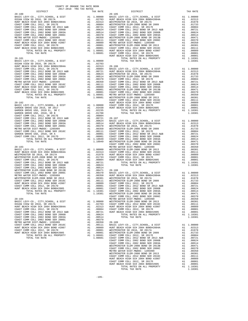| COUNTY OF ORANGE TAX RATE BOOK<br>2017-2018 TRA TAX RATES |          |            |          |
|-----------------------------------------------------------|----------|------------|----------|
| DISTRICT                                                  | TAX RATE | DISTRICT   | TAX RATE |
| $20 - 100$                                                |          | $20 - 105$ |          |
|                                                           |          |            |          |
|                                                           |          |            |          |
|                                                           |          |            |          |
|                                                           |          |            |          |
|                                                           |          |            |          |
|                                                           |          |            |          |
|                                                           |          |            |          |
|                                                           |          |            |          |
|                                                           |          |            |          |
|                                                           |          |            |          |
|                                                           |          |            |          |
|                                                           |          |            |          |
|                                                           |          |            |          |
|                                                           |          |            |          |
|                                                           |          |            |          |
|                                                           |          |            |          |
|                                                           |          |            |          |
|                                                           |          |            |          |
|                                                           |          |            |          |
|                                                           |          |            |          |
|                                                           |          |            |          |
|                                                           |          |            |          |
|                                                           |          |            |          |
|                                                           |          |            |          |
|                                                           |          |            |          |
|                                                           |          |            |          |
|                                                           |          |            |          |
|                                                           |          |            |          |
|                                                           |          |            |          |
|                                                           |          |            |          |
|                                                           |          |            |          |
|                                                           |          |            |          |
|                                                           |          |            |          |
|                                                           |          |            |          |
|                                                           |          |            |          |
|                                                           |          |            |          |
|                                                           |          |            |          |
|                                                           |          |            |          |
|                                                           |          |            |          |
|                                                           |          |            |          |
|                                                           |          |            |          |
|                                                           |          |            |          |
|                                                           |          |            |          |
|                                                           |          |            |          |
|                                                           |          |            |          |
|                                                           |          |            |          |
|                                                           |          |            |          |
|                                                           |          |            |          |
|                                                           |          |            |          |
|                                                           |          |            |          |
|                                                           |          |            |          |
|                                                           |          |            |          |
|                                                           |          |            |          |
|                                                           |          |            |          |
|                                                           |          |            |          |
|                                                           |          |            |          |
|                                                           |          |            |          |
|                                                           |          |            |          |
|                                                           |          |            |          |
|                                                           |          |            |          |
|                                                           |          |            |          |
|                                                           |          |            |          |
|                                                           |          |            |          |
|                                                           |          |            |          |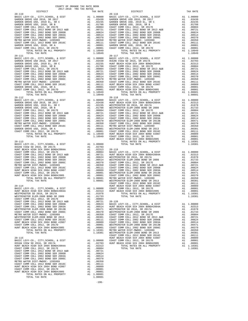| $20 - 110$                                                           |    |                                                                                                               | $20 - 116$         |
|----------------------------------------------------------------------|----|---------------------------------------------------------------------------------------------------------------|--------------------|
|                                                                      |    |                                                                                                               |                    |
|                                                                      |    |                                                                                                               |                    |
|                                                                      |    |                                                                                                               |                    |
|                                                                      |    |                                                                                                               |                    |
|                                                                      |    |                                                                                                               |                    |
|                                                                      |    |                                                                                                               |                    |
|                                                                      |    |                                                                                                               |                    |
|                                                                      |    |                                                                                                               |                    |
|                                                                      |    |                                                                                                               |                    |
| TOTAL RATES ON ALL PROPERTY                                          |    | A1 1.10949                                                                                                    |                    |
| TOTAL TAX RATE<br>$20 - 111$                                         |    | 1.10949                                                                                                       | $20 - 117$         |
|                                                                      |    |                                                                                                               |                    |
|                                                                      |    |                                                                                                               |                    |
|                                                                      |    |                                                                                                               |                    |
|                                                                      |    |                                                                                                               |                    |
|                                                                      |    |                                                                                                               |                    |
|                                                                      |    |                                                                                                               |                    |
|                                                                      |    |                                                                                                               |                    |
|                                                                      |    |                                                                                                               |                    |
|                                                                      |    |                                                                                                               |                    |
|                                                                      |    | A1 1.10949                                                                                                    |                    |
| TOTAL TAX RATE                                                       |    | 1.10949                                                                                                       |                    |
| $20 - 112$                                                           |    |                                                                                                               | $20 - 118$         |
|                                                                      |    |                                                                                                               |                    |
|                                                                      |    |                                                                                                               |                    |
|                                                                      |    |                                                                                                               |                    |
|                                                                      |    |                                                                                                               |                    |
|                                                                      |    |                                                                                                               |                    |
|                                                                      |    |                                                                                                               |                    |
|                                                                      |    |                                                                                                               |                    |
|                                                                      |    |                                                                                                               |                    |
|                                                                      |    |                                                                                                               |                    |
|                                                                      |    |                                                                                                               |                    |
|                                                                      |    |                                                                                                               | HUNT BE            |
| $20 - 113$<br>BASIC LEVY-CO., CITY, SCHOOL, & DIST Al 1.00000        |    |                                                                                                               |                    |
|                                                                      |    |                                                                                                               |                    |
|                                                                      |    |                                                                                                               |                    |
|                                                                      |    |                                                                                                               |                    |
|                                                                      |    |                                                                                                               |                    |
|                                                                      |    |                                                                                                               |                    |
|                                                                      |    |                                                                                                               |                    |
|                                                                      |    |                                                                                                               |                    |
|                                                                      |    |                                                                                                               |                    |
|                                                                      |    |                                                                                                               |                    |
|                                                                      |    |                                                                                                               |                    |
|                                                                      |    |                                                                                                               | COAST C            |
| $20 - 114$                                                           |    |                                                                                                               | HUNT BE            |
|                                                                      |    |                                                                                                               |                    |
|                                                                      |    |                                                                                                               |                    |
|                                                                      |    |                                                                                                               |                    |
|                                                                      |    |                                                                                                               |                    |
|                                                                      |    |                                                                                                               |                    |
|                                                                      |    |                                                                                                               |                    |
|                                                                      |    |                                                                                                               |                    |
|                                                                      |    |                                                                                                               |                    |
|                                                                      |    |                                                                                                               |                    |
|                                                                      |    |                                                                                                               |                    |
|                                                                      |    |                                                                                                               |                    |
|                                                                      |    |                                                                                                               |                    |
|                                                                      |    |                                                                                                               |                    |
| $20 - 115$                                                           |    |                                                                                                               | COAST C<br>HUNT BE |
| BASIC LEVY-CO., CITY, SCHOOL, & DIST<br>OCEAN VIEW SD 2016, SR 2017A | A1 | $\begin{tabular}{llll} \tt A1 & 1.00000 & \tt COAST & C \\ \tt A1 & .02703 & \tt HUNT & \tt BE \end{tabular}$ |                    |
| HUNT BEACH HIGH SCH 2004 BOND#2004A                                  | A1 | .02313                                                                                                        |                    |
| COAST COMM COLL 2012, SR 2017E                                       |    | A1.00804                                                                                                      |                    |
|                                                                      |    |                                                                                                               |                    |
|                                                                      |    |                                                                                                               |                    |
|                                                                      |    |                                                                                                               |                    |
|                                                                      |    |                                                                                                               |                    |
|                                                                      |    |                                                                                                               |                    |
|                                                                      |    |                                                                                                               |                    |
| TOTAL RATES ON ALL PROPERTY                                          |    | A1 1.08601                                                                                                    |                    |
| TOTAL TAX RATE                                                       |    | 1.08601                                                                                                       |                    |

-196-

| COUNTY OF ORANGE TAX RATE BOOK<br>2017-2018 TRA TAX RATES |          |            |          |
|-----------------------------------------------------------|----------|------------|----------|
| DISTRICT                                                  | TAX RATE | DISTRICT   | TAX RATE |
| $20 - 110$                                                |          | $20 - 116$ |          |
|                                                           |          |            |          |
|                                                           |          |            |          |
| $20 - 111$                                                |          | $20 - 117$ |          |
|                                                           |          |            |          |
|                                                           |          |            |          |
|                                                           |          |            |          |
|                                                           |          |            |          |
|                                                           |          |            |          |
|                                                           |          |            |          |
|                                                           |          |            |          |
|                                                           |          |            |          |
|                                                           |          |            |          |
|                                                           |          |            |          |
|                                                           |          |            |          |
|                                                           |          |            |          |
|                                                           |          |            |          |
|                                                           |          |            |          |
|                                                           |          |            |          |
|                                                           |          |            |          |
|                                                           |          |            |          |
|                                                           |          |            |          |
|                                                           |          |            |          |
|                                                           |          |            |          |
|                                                           |          |            |          |
|                                                           |          |            |          |
|                                                           |          |            |          |
|                                                           |          |            |          |
|                                                           |          |            |          |
|                                                           |          |            |          |
|                                                           |          |            |          |
|                                                           |          |            |          |
|                                                           |          |            |          |
|                                                           |          |            |          |
|                                                           |          |            |          |
|                                                           |          |            |          |
|                                                           |          |            |          |
|                                                           |          |            |          |
|                                                           |          |            |          |
|                                                           |          |            |          |
|                                                           |          |            |          |
|                                                           |          |            |          |
|                                                           |          |            |          |
|                                                           |          |            |          |
|                                                           |          |            |          |
|                                                           |          |            |          |
|                                                           |          |            |          |
|                                                           |          |            |          |
|                                                           |          |            |          |
|                                                           |          |            |          |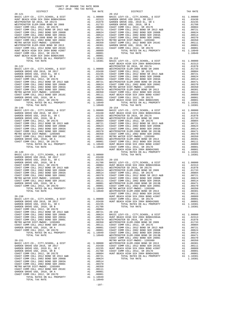COUNTY OF ORANGE TAX RATE BOOK 2017-2018 TRA TAX RATES DISTRICT TAX RATE DISTRICT TAX RATE 20-121 20-152 BASIC LEVY-CO., CITY,SCHOOL, & DIST A1 1.00000 BASIC LEVY-CO., CITY,SCHOOL, & DIST A1 1.00000 HUNT BEACH HIGH SCH 2004 BOND#2004A A1 .02313 GARDEN GROVE USD 2016, SR 2017 A1 .03430 WESTMINSTER SD 2016, SR 2017A A1 .01978 GARDEN GROVE USD, 2010 EL, SR C A1 .02235 WESTMINSTER ELEM-2008 BOND SR 2009 A1 .01733 GARDEN GROVE USD, 2010, SR B A1 .01788 COAST COMM COLL 2012, SR 2017E A1 .00804 COAST COMM COLL 2012, SR 2017E A1 .00804 COAST COMM COLL 2012 BOND SR 2013 A&B A1 .00721 COAST COMM COLL 2012 BOND SR 2013 A&B A1 .00721 COAST COMM COLL 2002 BOND SER 2006B A1 .00624 COAST COMM COLL 2002 BOND SER 2006B A1 .00624 COAST COMM COLL 2002 BOND SER 2003A A1 .00514 COAST COMM COLL 2002 BOND SER 2003A A1 .00514 WESTMINSTER ELEM-2008 BOND SR 2013B A1 .00471 COAST COMM COLL 2002 BOND SER 2006C A1 .00370 COAST COMM COLL 2002 BOND SER 2006C A1 .00370 METRO WATER DIST-MWDOC- 1205999 A1 .00350 METRO WATER DIST-MWDOC- 1205999 A1 .00350 COAST COMM COLL 2012 BOND SER 2016C A1 .00111 WESTMINSTER ELEM-2008 BOND SR 2013 A1 .00301 GARDEN GROVE USD, 2010, SR A A1 .00001 COAST COMM COLL 2012 BOND SER 2016C A1 .00111 COAST COMM COLL 2012, SR 2017D A1 .00001 HUNT BEACH HIGH SCH 2004 BOND #2007 A1 .00089 TOTAL RATES ON ALL PROPERTY A1 1.10949 COAST COMM COLL 2012, SR 2017D A1 .00001 TOTAL TAX RATE 1.10949 HUNT BEACH HIGH SCH 2004 BOND#2005 A1 .00001 TOTAL RATES ON ALL PROPERTY A1 1.10381 20-153 TOTAL TAX RATE 1.10381 BASIC LEVY-CO., CITY,SCHOOL, & DIST A1 1.00000 HUNT BEACH HIGH SCH 2004 BOND#2004A A1 .02313 20-122 WESTMINSTER SD 2016, SR 2017A A1 .01978 BASIC LEVY-CO., CITY,SCHOOL, & DIST A1 1.00000 WESTMINSTER ELEM-2008 BOND SR 2009 A1 .01733 GARDEN GROVE USD 2016, SR 2017 A1 .03430 COAST COMM COLL 2012, SR 2017E A1 .00804 GARDEN GROVE USD, 2010 EL, SR C A1 .02235 COAST COMM COLL 2012 BOND SR 2013 A&B A1 .00721 GARDEN GROVE USD, 2010, SR B A1 .01788 COAST COMM COLL 2002 BOND SER 2006B A1 .00624 COAST COMM COLL 2012, SR 2017E A1 .00804 COAST COMM COLL 2002 BOND SER 2003A A1 .00514 COAST COMM COLL 2012 BOND SR 2013 A&B A1 .00721 WESTMINSTER ELEM-2008 BOND SR 2013B A1 .00471 COAST COMM COLL 2002 BOND SER 2006B A1 .00624 COAST COMM COLL 2002 BOND SER 2006C A1 .00370 COAST COMM COLL 2002 BOND SER 2003A A1 .00514 METRO WATER DIST-MWDOC- 1205999 A1 .00350 COAST COMM COLL 2002 BOND SER 2006C A1 .00370 WESTMINSTER ELEM-2008 BOND SR 2013 A1 .00301 METRO WATER DIST-MWDOC- 1205999 A1 .00350 COAST COMM COLL 2012 BOND SER 2016C A1 .00111 COAST COMM COLL 2012 BOND SER 2016C A1 .00111 HUNT BEACH HIGH SCH 2004 BOND #2007 A1 .00089 GARDEN GROVE USD, 2010, SR A A1 .00001 COAST COMM COLL 2012, SR 2017D A1 .00001 COAST COMM COLL 2012, SR 2017D A1 .00001 HUNT BEACH HIGH SCH 2004 BOND#2005 A1 .00001 TOTAL RATES ON ALL PROPERTY A1 1.10949 TOTAL RATES ON ALL PROPERTY A1 1.10381 TOTAL TAX RATE 1.10949 TOTAL TAX RATE 1.10381 20-148 20-154 BASIC LEVY-CO., CITY,SCHOOL, & DIST A1 1.00000 BASIC LEVY-CO., CITY,SCHOOL, & DIST A1 1.00000 GARDEN GROVE USD 2016, SR 2017 A1 .03430 HUNT BEACH HIGH SCH 2004 BOND#2004A A1 .02313 GARDEN GROVE USD, 2010 EL, SR C A1 .02235 WESTMINSTER SD 2016, SR 2017A A1 .01978 GARDEN GROVE USD, 2010, SR B A1 .01788 WESTMINSTER ELEM-2008 BOND SR 2009 A1 .01733 COAST COMM COLL 2012, SR 2017E A1 .00804 COAST COMM COLL 2012, SR 2017E A1 .00804 COAST COMM COLL 2012 BOND SR 2013 A&B A1 .00721 COAST COMM COLL 2012 BOND SR 2013 A&B A1 .00721 COAST COMM COLL 2002 BOND SER 2006B A1 .00624 COAST COMM COLL 2002 BOND SER 2006B A1 .00624 COAST COMM COLL 2002 BOND SER 2003A A1 .00514 COAST COMM COLL 2002 BOND SER 2003A A1 .00514 COAST COMM COLL 2002 BOND SER 2006C A1 .00370 WESTMINSTER ELEM-2008 BOND SR 2013B A1 .00471 METRO WATER DIST-MWDOC- 1205999 A1 .00350 COAST COMM COLL 2002 BOND SER 2006C A1 .00370 COAST COMM COLL 2012 BOND SER 2016C A1 .00111 METRO WATER DIST-MWDOC- 1205999 A1 .00350 GARDEN GROVE USD, 2010, SR A A1 .00001 WESTMINSTER ELEM-2008 BOND SR 2013 A1 .00301 COAST COMM COLL 2012, SR 2017D A1 .00001 COAST COMM COLL 2012 BOND SER 2016C A1 .00111 TOTAL RATES ON ALL PROPERTY A1 1.10949 HUNT BEACH HIGH SCH 2004 BOND #2007 A1 .00089 TOTAL TAX RATE 1.10949 COAST COMM COLL 2012, SR 2017D A1 .00001 HUNT BEACH HIGH SCH 2004 BOND#2005 A1 .00001 20-149 TOTAL RATES ON ALL PROPERTY A1 1.10381 BASIC LEVY-CO., CITY,SCHOOL, & DIST A1 1.00000 TOTAL TAX RATE 1.10381 GARDEN GROVE USD 2016, SR 2017 A1 .03430 GARDEN GROVE USD, 2010 EL, SR C A1 .02235 20-155 GARDEN GROVE USD, 2010, SR B A1 .01788 BASIC LEVY-CO., CITY,SCHOOL, & DIST A1 1.00000 COAST COMM COLL 2012, SR 2017E A1 .00804 HUNT BEACH HIGH SCH 2004 BOND#2004A A1 .02313 COAST COMM COLL 2012 BOND SR 2013 A&B A1 .00721 WESTMINSTER SD 2016, SR 2017A A1 .01978 COAST COMM COLL 2002 BOND SER 2006B A1 .00624 WESTMINSTER ELEM-2008 BOND SR 2009 A1 .01733 COAST COMM COLL 2002 BOND SER 2003A A1 .00514 COAST COMM COLL 2012, SR 2017E A1 .00804 COAST COMM COLL 2002 BOND SER 2006C A1 .00370 COAST COMM COLL 2012 BOND SR 2013 A&B A1 .00721 METRO WATER DIST-MWDOC- 1205999 A1 .00350 COAST COMM COLL 2002 BOND SER 2006B A1 .00624 COAST COMM COLL 2012 BOND SER 2016C A1 .00111 COAST COMM COLL 2002 BOND SER 2003A A1 .00514 GARDEN GROVE USD, 2010, SR A A1 .00001 WESTMINSTER ELEM-2008 BOND SR 2013B A1 .00471 COAST COMM COLL 2012, SR 2017D A1 .00001 COAST COMM COLL 2002 BOND SER 2006C A1 .00370 TOTAL RATES ON ALL PROPERTY A1 1.10949 METRO WATER DIST-MWDOC- 1205999 A1 .00350 TOTAL TAX RATE 1.10949 WESTMINSTER ELEM-2008 BOND SR 2013 A1 .00301  $\begin{array}{cccc} \texttt{COAST COM COLL} & 2012\text{ BOND SER } 2016C & \text{A1} & .00111 \\ \texttt{BAST CLEVY-CO.}, & \texttt{CITY}, & \texttt{SCHOOL}, & \texttt{DIST} & \texttt{H1} & 1.00000 & \texttt{COST COMM COLL} & 2012\text{ BOND SER } 2016C & \text{A1} & .00111 \\ \texttt{BAST CLEVY-CO.}, & \texttt{CITY}, & \texttt{SCBOL}, & \texttt{SRT} & \texttt{A1} & 1.00000 & \texttt{COSIT COMM COLL}$  COAST COMM COLL 2012, SR 2017E A1 .00804 COAST COMM COLL 2012 BOND SR 2013 A&B A1 .00721 20-156 COAST COMM COLL 2002 BOND SER 2006B A1 .00624 BASIC LEVY-CO., CITY,SCHOOL, & DIST A1 1.00000 COAST COMM COLL 2002 BOND SER 2003A A1 .00514 HUNT BEACH HIGH SCH 2004 BOND#2004A A1 .02313 COAST COMM COLL 2002 BOND SER 2006C A1 .00370 WESTMINSTER SD 2016, SR 2017A A1 .01978 METRO WATER DIST-MWDOC- 1205999 A1 .00350 WESTMINSTER ELEM-2008 BOND SR 2009 A1 .01733 COAST COMM COLL 2012 BOND SER 2016C A1 .00111 COAST COMM COLL 2012, SR 2017E A1 .00804 GARDEN GROVE USD, 2010, SR A A1 .00001 COAST COMM COLL 2012 BOND SR 2013 A&B A1 .00721 COAST COMM COLL 2012, SR 2017D A1 .00001 COAST COMM COLL 2002 BOND SER 2006B A1 .00624 TOTAL RATES ON ALL PROPERTY A1 1.10949 COAST COMM COLL 2002 BOND SER 2003A A1 .00514 TOTAL TAX RATE 1.10949 WESTMINSTER ELEM-2008 BOND SR 2013B A1 .00471 COLL 2003 BOND SR 2013B<br>
TOTAL TAX RATE (COLL 2003 BOND SR 2013B<br>
COAST COMM COLL 2002 BOND SR 2013B<br>
COAST COMM COLL 2002 BOND SR 2013B<br>
COAST COMM COLL 2012 BOND SR 2013B<br>
CALDEN GROWE USD , CITY , SCHOOL , & DIST<br>
CALL 20-151 METRO WATER DIST-MWDOC- 1205999 A1 .00350 BASIC LEVY-CO., CITY,SCHOOL, & DIST A1 1.00000 WESTMINSTER ELEM-2008 BOND SR 2013 A1 .00301 GARDEN GROVE USD 2016, SR 2017 A1 .03430 COAST COMM COLL 2012 BOND SER 2016C A1 .00111 GARDEN GROVE USD, 2010 EL, SR C A1 .02235 HUNT BEACH HIGH SCH 2004 BOND #2007 A1 .00089 GARDEN GROVE USD, 2010, SR B A1 .01788 COAST COMM COLL 2012, SR 2017D A1 .00001 COAST COMM COLL 2012, SR 2017E A1 .00804 HUNT BEACH HIGH SCH 2004 BOND#2005 A1 .00001 COAST COMM COLL 2012 BOND SR 2013 A&B A1 .00721 TOTAL RATES ON ALL PROPERTY A1 1.10381 COAST COMM COLL 2002 BOND SER 2006B A1 .00624 TOTAL TAX RATE 1.10381 COAST COMM COLL 2002 BOND SER 2003A A1 .00514 COAST COMM COLL 2002 BOND SER 2006C A1 .00370 METRO WATER DIST-MWDOC- 1205999 A1 .00350 COAST COMM COLL 2012 BOND SER 2016C A1 .00111 GARDEN GROVE USD, 2010, SR A A1 .00001 COAST COMM COLL 2012, SR 2017D A1 .00001 TOTAL RATES ON ALL PROPERTY A1 1.10949 TOTAL TAX RATE 1.10949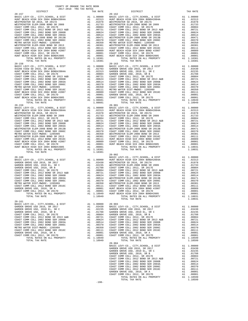| TOTAL TAX RATE                                                          |          | 1.10381          |                   |
|-------------------------------------------------------------------------|----------|------------------|-------------------|
| $20 - 158$                                                              |          |                  | $20 - 163$        |
|                                                                         |          |                  |                   |
|                                                                         |          |                  |                   |
|                                                                         |          |                  |                   |
|                                                                         |          |                  |                   |
|                                                                         |          |                  |                   |
|                                                                         |          |                  |                   |
|                                                                         |          |                  |                   |
|                                                                         |          |                  |                   |
|                                                                         |          |                  |                   |
|                                                                         |          |                  |                   |
| COAST COMM COLL 2012, SR $2011$<br>HUNT BEACH HIGH SCH 2004 BOND#2005   |          |                  |                   |
| TOTAL RATES ON ALL PROPERTY                                             |          | A1 1.08601       |                   |
| TOTAL TAX RATE                                                          |          | 1.08601          |                   |
| $20 - 159$                                                              |          |                  | $20 - 901$        |
|                                                                         |          |                  |                   |
|                                                                         |          |                  |                   |
|                                                                         |          |                  |                   |
|                                                                         |          |                  |                   |
|                                                                         |          |                  |                   |
|                                                                         |          |                  |                   |
|                                                                         |          |                  |                   |
|                                                                         |          |                  |                   |
|                                                                         |          |                  |                   |
|                                                                         |          |                  |                   |
|                                                                         |          |                  |                   |
|                                                                         |          |                  |                   |
|                                                                         |          |                  |                   |
|                                                                         |          |                  |                   |
|                                                                         |          |                  |                   |
|                                                                         |          |                  |                   |
|                                                                         |          |                  | $20 - 902$        |
| $20 - 160$                                                              |          |                  | BASIC L           |
|                                                                         |          |                  |                   |
|                                                                         |          |                  |                   |
|                                                                         |          |                  |                   |
|                                                                         |          |                  |                   |
|                                                                         |          |                  |                   |
|                                                                         |          |                  |                   |
|                                                                         |          |                  |                   |
|                                                                         |          |                  |                   |
|                                                                         |          |                  |                   |
|                                                                         |          |                  |                   |
|                                                                         |          |                  |                   |
|                                                                         |          |                  |                   |
|                                                                         |          |                  |                   |
|                                                                         |          |                  |                   |
| 20-161                                                                  |          |                  |                   |
| BASIC LEVY-CO., CITY, SCHOOL, & DIST                                    | A1       | 1.00000          | $20 - 903$        |
| GARDEN GROVE USD 2016, SR 2017                                          | A1       | .03430           | BASIC L           |
| GARDEN GROVE USD, 2010 EL, SR C                                         | A1       | .02235           | GARDEN            |
| GARDEN GROVE USD, 2010, SR B                                            | A1       | .01788<br>.00804 | GARDEN            |
| COAST COMM COLL 2012, SR 2017E<br>COAST COMM COLL 2012 BOND SR 2013 A&B | A1<br>A1 | .00721           | GARDEN<br>COAST C |
| COAST COMM COLL 2002 BOND SER 2006B                                     | A1       | .00624           | COAST C           |
| COAST COMM COLL 2002 BOND SER 2003A                                     | A1       | .00514           | COAST C           |
| COAST COMM COLL 2002 BOND SER 2006C                                     | A1       | .00370           | COAST C           |
| METRO WATER DIST-MWDOC- 1205999                                         | A1       | .00350           | COAST C           |
| COAST COMM COLL 2012 BOND SER 2016C                                     | A1       | .00111           | COAST C           |
| GARDEN GROVE USD, 2010, SR A                                            | A1       | .00001           | GARDEN            |
| COAST COMM COLL 2012, SR 2017D                                          | A1       | .00001           | COAST C           |
| TOTAL RATES ON ALL PROPERTY                                             |          | A1 1.10949       |                   |
|                                                                         |          |                  |                   |

| COUNTY OF ORANGE TAX RATE BOOK<br>2017-2018 TRA TAX RATES                                                                                                                                                                      |          |                |          |
|--------------------------------------------------------------------------------------------------------------------------------------------------------------------------------------------------------------------------------|----------|----------------|----------|
| DISTRICT                                                                                                                                                                                                                       | TAX RATE | DISTRICT       | TAX RATE |
|                                                                                                                                                                                                                                |          |                |          |
|                                                                                                                                                                                                                                |          |                |          |
|                                                                                                                                                                                                                                |          |                |          |
|                                                                                                                                                                                                                                |          |                |          |
|                                                                                                                                                                                                                                |          |                |          |
|                                                                                                                                                                                                                                |          |                |          |
|                                                                                                                                                                                                                                |          |                |          |
|                                                                                                                                                                                                                                |          |                |          |
|                                                                                                                                                                                                                                |          |                |          |
|                                                                                                                                                                                                                                |          |                |          |
|                                                                                                                                                                                                                                |          |                |          |
|                                                                                                                                                                                                                                |          |                |          |
|                                                                                                                                                                                                                                |          |                |          |
|                                                                                                                                                                                                                                |          |                |          |
|                                                                                                                                                                                                                                |          |                |          |
|                                                                                                                                                                                                                                |          |                |          |
|                                                                                                                                                                                                                                |          |                |          |
|                                                                                                                                                                                                                                |          |                |          |
|                                                                                                                                                                                                                                |          |                |          |
|                                                                                                                                                                                                                                |          |                |          |
|                                                                                                                                                                                                                                |          |                |          |
|                                                                                                                                                                                                                                |          |                |          |
|                                                                                                                                                                                                                                |          |                |          |
|                                                                                                                                                                                                                                |          |                |          |
|                                                                                                                                                                                                                                |          |                |          |
|                                                                                                                                                                                                                                |          |                |          |
|                                                                                                                                                                                                                                |          |                |          |
|                                                                                                                                                                                                                                |          |                |          |
|                                                                                                                                                                                                                                |          |                |          |
|                                                                                                                                                                                                                                |          |                |          |
|                                                                                                                                                                                                                                |          |                |          |
|                                                                                                                                                                                                                                |          |                |          |
|                                                                                                                                                                                                                                |          |                |          |
|                                                                                                                                                                                                                                |          |                |          |
|                                                                                                                                                                                                                                |          |                |          |
|                                                                                                                                                                                                                                |          |                |          |
|                                                                                                                                                                                                                                |          |                |          |
|                                                                                                                                                                                                                                |          |                |          |
|                                                                                                                                                                                                                                |          |                |          |
|                                                                                                                                                                                                                                |          |                |          |
|                                                                                                                                                                                                                                |          |                |          |
|                                                                                                                                                                                                                                |          |                |          |
|                                                                                                                                                                                                                                |          |                |          |
|                                                                                                                                                                                                                                |          | $20 - 902$     |          |
|                                                                                                                                                                                                                                |          |                |          |
|                                                                                                                                                                                                                                |          |                |          |
|                                                                                                                                                                                                                                |          |                |          |
|                                                                                                                                                                                                                                |          |                |          |
|                                                                                                                                                                                                                                |          |                |          |
|                                                                                                                                                                                                                                |          |                |          |
|                                                                                                                                                                                                                                |          |                |          |
|                                                                                                                                                                                                                                |          |                |          |
|                                                                                                                                                                                                                                |          |                |          |
|                                                                                                                                                                                                                                |          |                |          |
|                                                                                                                                                                                                                                |          |                |          |
|                                                                                                                                                                                                                                |          |                |          |
| 00001 COAST COMM COLL 2012, SR ANDER SON ALL PROPERTY AT 1.00001 EUTE BACK AND SERVEL AND SERVEL AND SANDER SARPER SON ALL PROPERTY AND A COAST COMM COLL 2012, SR 2017D A 1.00001 COAST COMM COLL 2012, SR 2017D A 1.00009 AN |          |                |          |
| $20 - 161$                                                                                                                                                                                                                     |          |                |          |
|                                                                                                                                                                                                                                |          |                |          |
|                                                                                                                                                                                                                                |          |                |          |
|                                                                                                                                                                                                                                |          |                |          |
|                                                                                                                                                                                                                                |          |                |          |
|                                                                                                                                                                                                                                |          |                |          |
|                                                                                                                                                                                                                                |          |                |          |
|                                                                                                                                                                                                                                |          |                |          |
|                                                                                                                                                                                                                                |          |                |          |
|                                                                                                                                                                                                                                |          |                |          |
|                                                                                                                                                                                                                                |          |                |          |
|                                                                                                                                                                                                                                |          |                |          |
|                                                                                                                                                                                                                                |          |                |          |
|                                                                                                                                                                                                                                |          | $20 - 904$     |          |
|                                                                                                                                                                                                                                |          |                |          |
|                                                                                                                                                                                                                                |          |                |          |
|                                                                                                                                                                                                                                |          |                |          |
|                                                                                                                                                                                                                                |          |                |          |
|                                                                                                                                                                                                                                |          |                |          |
|                                                                                                                                                                                                                                |          |                |          |
|                                                                                                                                                                                                                                |          |                |          |
|                                                                                                                                                                                                                                |          |                |          |
|                                                                                                                                                                                                                                |          |                |          |
|                                                                                                                                                                                                                                |          |                |          |
|                                                                                                                                                                                                                                |          | TOTAL TAX RATE | 1.10599  |
|                                                                                                                                                                                                                                | $-198-$  |                |          |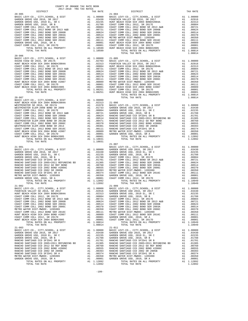| TAX RATE<br>DISTRICT     | DISTRICT<br>$21 - 004$ | TAX RATE |
|--------------------------|------------------------|----------|
| $20 - 905$<br>$20 - 906$ |                        |          |
|                          |                        |          |
|                          |                        |          |
|                          |                        |          |
|                          |                        |          |
|                          |                        |          |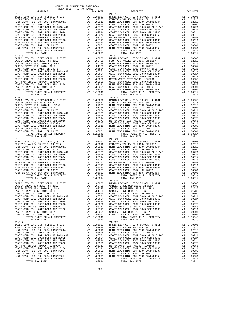| $21 - 012$                                                                                                                                                |                                                                                                                                                                                                                                                                                                                                                                                                                                                                                 | $21 - 018$ |
|-----------------------------------------------------------------------------------------------------------------------------------------------------------|---------------------------------------------------------------------------------------------------------------------------------------------------------------------------------------------------------------------------------------------------------------------------------------------------------------------------------------------------------------------------------------------------------------------------------------------------------------------------------|------------|
|                                                                                                                                                           |                                                                                                                                                                                                                                                                                                                                                                                                                                                                                 |            |
|                                                                                                                                                           |                                                                                                                                                                                                                                                                                                                                                                                                                                                                                 |            |
|                                                                                                                                                           |                                                                                                                                                                                                                                                                                                                                                                                                                                                                                 |            |
|                                                                                                                                                           |                                                                                                                                                                                                                                                                                                                                                                                                                                                                                 |            |
|                                                                                                                                                           |                                                                                                                                                                                                                                                                                                                                                                                                                                                                                 |            |
|                                                                                                                                                           |                                                                                                                                                                                                                                                                                                                                                                                                                                                                                 |            |
|                                                                                                                                                           |                                                                                                                                                                                                                                                                                                                                                                                                                                                                                 |            |
|                                                                                                                                                           |                                                                                                                                                                                                                                                                                                                                                                                                                                                                                 |            |
|                                                                                                                                                           |                                                                                                                                                                                                                                                                                                                                                                                                                                                                                 |            |
| $21 - 013$<br>BASIC LEVY-CO., CITY, SCHOOL, & DIST                                                                                                        |                                                                                                                                                                                                                                                                                                                                                                                                                                                                                 | $21 - 019$ |
| GARDEN GROVE USD 2016, SR 2017                                                                                                                            |                                                                                                                                                                                                                                                                                                                                                                                                                                                                                 |            |
| GARDEN GROVE USD, 2010 EL, SR C<br>GARDEN GROVE USD, 2010, SR B                                                                                           |                                                                                                                                                                                                                                                                                                                                                                                                                                                                                 |            |
| COAST COMM COLL 2012, SR 2017E                                                                                                                            |                                                                                                                                                                                                                                                                                                                                                                                                                                                                                 |            |
|                                                                                                                                                           |                                                                                                                                                                                                                                                                                                                                                                                                                                                                                 |            |
| COAST COMM COLL 2012 BOND SR 2013 A&B<br>COAST COMM COLL 2002 BOND SR 2006B<br>COAST COMM COLL 2002 BOND SRR 2003A<br>COAST COMM COLL 2002 BOND SRR 2006C |                                                                                                                                                                                                                                                                                                                                                                                                                                                                                 |            |
| METRO WATER DIST-MWDOC- 1205999                                                                                                                           |                                                                                                                                                                                                                                                                                                                                                                                                                                                                                 |            |
| COAST COMM COLL 2012 BOND SER 2016C                                                                                                                       |                                                                                                                                                                                                                                                                                                                                                                                                                                                                                 |            |
| GARDEN GROVE USD, 2010, SR A                                                                                                                              |                                                                                                                                                                                                                                                                                                                                                                                                                                                                                 |            |
| COAST COMM COLL 2012, SR 2017D<br>TOTAL RATES ON ALL PROPERTY                                                                                             |                                                                                                                                                                                                                                                                                                                                                                                                                                                                                 |            |
| TOTAL TAX RATE<br>$21 - 014$                                                                                                                              | 1.10949                                                                                                                                                                                                                                                                                                                                                                                                                                                                         | $21 - 020$ |
| BASIC LEVY-CO., CITY, SCHOOL, & DIST                                                                                                                      |                                                                                                                                                                                                                                                                                                                                                                                                                                                                                 |            |
| GARDEN GROVE USD 2016, SR 2017                                                                                                                            |                                                                                                                                                                                                                                                                                                                                                                                                                                                                                 |            |
| GARDEN GROVE USD, 2010 EL, SR C<br>GARDEN GROVE USD, 2010, SR B                                                                                           |                                                                                                                                                                                                                                                                                                                                                                                                                                                                                 |            |
| COAST COMM COLL 2012, SR 2017E                                                                                                                            |                                                                                                                                                                                                                                                                                                                                                                                                                                                                                 |            |
| COAST COMM COLL 2012 BOND SR 2013 A&B<br>COAST COMM COLL 2002 BOND SER 2006B                                                                              |                                                                                                                                                                                                                                                                                                                                                                                                                                                                                 |            |
| COAST COMM COLL 2002 BOND SER 2003A                                                                                                                       |                                                                                                                                                                                                                                                                                                                                                                                                                                                                                 |            |
| COAST COMM COLL 2002 BOND SER 2006C<br>METRO WATER DIST-MWDOC- 1205999                                                                                    |                                                                                                                                                                                                                                                                                                                                                                                                                                                                                 |            |
| COAST COMM COLL 2012 BOND SER 2016C                                                                                                                       |                                                                                                                                                                                                                                                                                                                                                                                                                                                                                 |            |
| GARDEN GROVE USD, 2010, SR A<br>COAST COMM COLL 2012, SR 2017D                                                                                            |                                                                                                                                                                                                                                                                                                                                                                                                                                                                                 |            |
| TOTAL RATES ON ALL PROPERTY                                                                                                                               | $\begin{tabular}{cc} {\bf A1} & 1,00000 & {\bf BAS1}-020 \\ {\bf A1} & .03430 & {\bf FOUNT A1} \\ {\bf A1} & .02235 & {\bf HUNT BE} \\ {\bf A1} & .01788 & {\bf COAST C} \\ {\bf A1} & .00781 & {\bf COAST C} \\ {\bf A1} & .00721 & {\bf COAST C} \\ {\bf A1} & .00524 & {\bf COAST C} \\ {\bf A1} & .00514 & {\bf COAST C} \\ {\bf A1} & .00514 & {\bf COAST C} \\ {\bf A1} & .00370 & {\bf METRO W} \\ {\bf A1$                                                              |            |
| TOTAL TAX RATE<br>$21 - 015$                                                                                                                              | 1.10949                                                                                                                                                                                                                                                                                                                                                                                                                                                                         | $21 - 021$ |
| BASIC LEVY-CO., CITY, SCHOOL, & DIST                                                                                                                      | $\begin{tabular}{cc} $21$-021$ \\ \hline \texttt{A1} & 1.00000 & \texttt{BASIC} \\ \texttt{A1} & .02916 & \texttt{FOUNT1} \\ \texttt{A1} & .02313 & \texttt{HINT BE} \\ \texttt{A1} & .00804 & \texttt{COAST C} \\ \texttt{A1} & .00624 & \texttt{COAST C} \\ \texttt{A1} & .00514 & \texttt{COAST C} \\ \texttt{A1} & .00370 & \texttt{COAST C} \\ \texttt{A1} & .00370 & \texttt{COAST C} \\ \texttt{$                                                                        |            |
| FOUNTAIN VALLEY SD 2016, SR 2017<br>HUNT BEACH HIGH SCH 2004 BOND#2004A                                                                                   |                                                                                                                                                                                                                                                                                                                                                                                                                                                                                 |            |
| COAST COMM COLL 2012, SR 2017E                                                                                                                            |                                                                                                                                                                                                                                                                                                                                                                                                                                                                                 |            |
| COAST COMM COLL 2012 BOND SR 2013 A&B<br>COAST COMM COLL 2002 BOND SER 2006B                                                                              |                                                                                                                                                                                                                                                                                                                                                                                                                                                                                 |            |
| COAST COMM COLL 2002 BOND SER 2003A                                                                                                                       |                                                                                                                                                                                                                                                                                                                                                                                                                                                                                 |            |
| COAST COMM COLL 2002 BOND SER 2006C<br>METRO WATER DIST-MWDOC- 1205999                                                                                    |                                                                                                                                                                                                                                                                                                                                                                                                                                                                                 |            |
| COAST COMM COLL 2012 BOND SER 2016C                                                                                                                       |                                                                                                                                                                                                                                                                                                                                                                                                                                                                                 |            |
| HUNT BEACH HIGH SCH 2004 BOND #2007<br>COAST COMM COLL 2012, SR 2017D                                                                                     |                                                                                                                                                                                                                                                                                                                                                                                                                                                                                 |            |
| HUNT BEACH HIGH SCH 2004 BOND#2005                                                                                                                        |                                                                                                                                                                                                                                                                                                                                                                                                                                                                                 |            |
| TOTAL RATES ON ALL PROPERTY<br>TOTAL TAX RATE                                                                                                             | A1 1.08814<br>1.08814                                                                                                                                                                                                                                                                                                                                                                                                                                                           |            |
| $21 - 016$                                                                                                                                                |                                                                                                                                                                                                                                                                                                                                                                                                                                                                                 | $21 - 022$ |
| BASIC LEVY-CO., CITY, SCHOOL, & DIST<br>GARDEN GROVE USD 2016, SR 2017                                                                                    | A1 1.00000 BASIC L<br>A1 .03430 GARDEN<br>A1 .02235 GARDEN<br>A1 .01788 GARDEN                                                                                                                                                                                                                                                                                                                                                                                                  |            |
| GARDEN GROVE USD, 2010 EL, SR C                                                                                                                           |                                                                                                                                                                                                                                                                                                                                                                                                                                                                                 |            |
| GARDEN GROVE USD, 2010, SR B<br>COAST COMM COLL 2012, SR 2017E                                                                                            | A1 .00804 COAST C                                                                                                                                                                                                                                                                                                                                                                                                                                                               |            |
| COAST COMM COLL 2012 BOND SR 2013 A&B                                                                                                                     | A1 .00721 COAST C                                                                                                                                                                                                                                                                                                                                                                                                                                                               |            |
| COAST COMM COLL 2002 BOND SER 2006B<br>COAST COMM COLL 2002 BOND SER 2003A                                                                                | A1<br>.00624                                                                                                                                                                                                                                                                                                                                                                                                                                                                    | COAST C    |
| COAST COMM COLL 2002 BOND SER 2006C                                                                                                                       | A1<br>A1<br>A1<br>A1<br>A1<br>A1<br>$\begin{tabular}{lllllllllll} & $\cdots$ & $\cdots$ & $\cdots$ & $\cdots$ & $\cdots$ & $\cdots$ \\[.05,0.0514 & $\cdots$ & $\cdots$ & $\cdots$ & $\cdots$ & $\cdots$ \\[.05,0.0514 & $\cdots$ & $\cdots$ & $\cdots$ & $\cdots$ & $\cdots$ \\[.05,0.051 & $\cdots$ & $\cdots$ & $\cdots$ & $\cdots$ & $\cdots$ \\[.05,0.051 & $\cdots$ & $\cdots$ & $\cdots$ & $\cdots$ & $\cdots$ & $\cdots$ \\[.05,0.051 & $\cdots$ & $\cdots$ & $\cdots$$ |            |
| METRO WATER DIST-MWDOC- 1205999<br>COAST COMM COLL 2012 BOND SER 2016C                                                                                    |                                                                                                                                                                                                                                                                                                                                                                                                                                                                                 |            |
| GARDEN GROVE USD, 2010, SR A                                                                                                                              |                                                                                                                                                                                                                                                                                                                                                                                                                                                                                 |            |
| COAST COMM COLL 2012, SR 2017D<br>TOTAL RATES ON ALL PROPERTY                                                                                             | A1 1.10949                                                                                                                                                                                                                                                                                                                                                                                                                                                                      |            |
| TOTAL TAX RATE                                                                                                                                            | 1.10949                                                                                                                                                                                                                                                                                                                                                                                                                                                                         |            |
| $21 - 017$                                                                                                                                                |                                                                                                                                                                                                                                                                                                                                                                                                                                                                                 | $21 - 023$ |
| BASIC LEVY-CO., CITY, SCHOOL, & DIST<br>FOUNTAIN VALLEY SD 2016, SR 2017                                                                                  |                                                                                                                                                                                                                                                                                                                                                                                                                                                                                 |            |
| HUNT BEACH HIGH SCH 2004 BOND#2004A<br>COAST COMM COLL 2012, SR 2017E                                                                                     |                                                                                                                                                                                                                                                                                                                                                                                                                                                                                 |            |
|                                                                                                                                                           |                                                                                                                                                                                                                                                                                                                                                                                                                                                                                 |            |
| COAST COMM COLL 2012 BOND SR 2013 A&B<br>COAST COMM COLL 2002 BOND SER 2006B<br>COAST COMM COLL 2002 BOND SER 2006B                                       |                                                                                                                                                                                                                                                                                                                                                                                                                                                                                 |            |
| COAST COMM COLL 2002 BOND SER 2003A<br>COAST COMM COLL 2002 BOND SER 2006C                                                                                |                                                                                                                                                                                                                                                                                                                                                                                                                                                                                 |            |
| METRO WATER DIST-MWDOC- 1205999                                                                                                                           |                                                                                                                                                                                                                                                                                                                                                                                                                                                                                 |            |
| COAST COMM COLL 2012 BOND SER 2016C<br>HUNT BEACH HIGH SCH 2004 BOND #2007                                                                                |                                                                                                                                                                                                                                                                                                                                                                                                                                                                                 |            |
| COAST COMM COLL 2012, SR 2017D                                                                                                                            |                                                                                                                                                                                                                                                                                                                                                                                                                                                                                 |            |
| HUNT BEACH HIGH SCH 2004 BOND#2005                                                                                                                        |                                                                                                                                                                                                                                                                                                                                                                                                                                                                                 |            |

| COUNTY OF ORANGE TAX RATE BOOK<br>2017-2018 TRA TAX RATES |          |            |          |
|-----------------------------------------------------------|----------|------------|----------|
| DISTRICT                                                  | TAX RATE | DISTRICT   | TAX RATE |
| $21 - 012$                                                |          | $21 - 018$ |          |
|                                                           |          |            |          |
|                                                           |          |            |          |
|                                                           |          |            |          |
|                                                           |          |            |          |
|                                                           |          |            |          |
|                                                           |          |            |          |
|                                                           |          |            |          |
|                                                           |          |            |          |
|                                                           |          |            |          |
|                                                           |          |            |          |
|                                                           |          |            |          |
|                                                           |          |            |          |
|                                                           |          |            |          |
|                                                           |          |            |          |
|                                                           |          |            |          |
|                                                           |          |            |          |
|                                                           |          |            |          |
|                                                           |          |            |          |
|                                                           |          |            |          |
|                                                           |          |            |          |
|                                                           |          |            |          |
|                                                           |          |            |          |
|                                                           |          |            |          |
|                                                           |          |            |          |
|                                                           |          |            |          |
|                                                           |          |            |          |
|                                                           |          |            |          |
|                                                           |          |            |          |
|                                                           |          |            |          |
|                                                           |          |            |          |
|                                                           |          |            |          |
|                                                           |          |            |          |
|                                                           |          |            |          |
|                                                           |          |            |          |
|                                                           |          |            |          |
|                                                           |          |            |          |
|                                                           |          |            |          |
|                                                           |          |            |          |
|                                                           |          |            |          |
|                                                           |          |            |          |
|                                                           |          |            |          |
|                                                           |          |            |          |
|                                                           |          |            |          |
|                                                           |          |            |          |
|                                                           |          |            |          |
|                                                           |          |            |          |
|                                                           |          |            |          |
|                                                           |          |            |          |
|                                                           |          |            |          |
|                                                           |          |            |          |
|                                                           |          |            |          |
|                                                           |          |            |          |
|                                                           |          |            |          |
|                                                           |          |            |          |
|                                                           |          |            |          |
|                                                           |          |            |          |
|                                                           |          |            |          |
|                                                           |          |            |          |
|                                                           |          |            |          |
|                                                           |          |            |          |
|                                                           |          |            |          |
|                                                           |          |            |          |
|                                                           |          |            |          |
|                                                           |          |            |          |
|                                                           |          |            |          |
|                                                           |          |            |          |
|                                                           |          |            |          |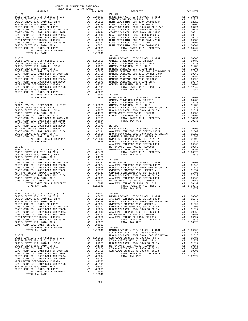| COUNTY OF ORANGE TAX RATE BOOK<br>$2017-2018 \quad \text{TRA RATES}$ DISTRICT $\hspace{2.5cm}$                                                                                                                                                                                                                                                                                    |          |                                                                                                                                                                                                                                                                                                               |          |
|-----------------------------------------------------------------------------------------------------------------------------------------------------------------------------------------------------------------------------------------------------------------------------------------------------------------------------------------------------------------------------------|----------|---------------------------------------------------------------------------------------------------------------------------------------------------------------------------------------------------------------------------------------------------------------------------------------------------------------|----------|
| $21 - 024$                                                                                                                                                                                                                                                                                                                                                                        | TAX RATE | DISTRICT<br>$21 - 901$                                                                                                                                                                                                                                                                                        | TAX RATE |
|                                                                                                                                                                                                                                                                                                                                                                                   |          |                                                                                                                                                                                                                                                                                                               |          |
|                                                                                                                                                                                                                                                                                                                                                                                   |          |                                                                                                                                                                                                                                                                                                               |          |
|                                                                                                                                                                                                                                                                                                                                                                                   |          |                                                                                                                                                                                                                                                                                                               |          |
|                                                                                                                                                                                                                                                                                                                                                                                   |          |                                                                                                                                                                                                                                                                                                               |          |
|                                                                                                                                                                                                                                                                                                                                                                                   |          |                                                                                                                                                                                                                                                                                                               |          |
| $\begin{tabular}{c cccc} \texttt{1.04}\texttt{0.04}\texttt{0.04}\texttt{0.04}\texttt{0.04}\texttt{0.04}\texttt{0.04}\texttt{0.04}\texttt{0.04}\texttt{0.04}\texttt{0.04}\texttt{0.04}\texttt{0.04}\texttt{0.04}\texttt{0.04}\texttt{0.04}\texttt{0.04}\texttt{0.04}\texttt{0.04}\texttt{0.04}\texttt{0.04}\texttt{0.04}\texttt{0.04}\texttt{0.04}\texttt{0.04}\texttt{0.04}\text$ |          |                                                                                                                                                                                                                                                                                                               |          |
|                                                                                                                                                                                                                                                                                                                                                                                   |          |                                                                                                                                                                                                                                                                                                               |          |
|                                                                                                                                                                                                                                                                                                                                                                                   |          |                                                                                                                                                                                                                                                                                                               |          |
|                                                                                                                                                                                                                                                                                                                                                                                   |          |                                                                                                                                                                                                                                                                                                               |          |
|                                                                                                                                                                                                                                                                                                                                                                                   |          |                                                                                                                                                                                                                                                                                                               |          |
|                                                                                                                                                                                                                                                                                                                                                                                   |          |                                                                                                                                                                                                                                                                                                               |          |
|                                                                                                                                                                                                                                                                                                                                                                                   |          |                                                                                                                                                                                                                                                                                                               |          |
|                                                                                                                                                                                                                                                                                                                                                                                   |          |                                                                                                                                                                                                                                                                                                               |          |
|                                                                                                                                                                                                                                                                                                                                                                                   |          |                                                                                                                                                                                                                                                                                                               |          |
|                                                                                                                                                                                                                                                                                                                                                                                   |          |                                                                                                                                                                                                                                                                                                               |          |
|                                                                                                                                                                                                                                                                                                                                                                                   |          |                                                                                                                                                                                                                                                                                                               |          |
|                                                                                                                                                                                                                                                                                                                                                                                   |          |                                                                                                                                                                                                                                                                                                               |          |
|                                                                                                                                                                                                                                                                                                                                                                                   |          |                                                                                                                                                                                                                                                                                                               |          |
|                                                                                                                                                                                                                                                                                                                                                                                   |          |                                                                                                                                                                                                                                                                                                               |          |
|                                                                                                                                                                                                                                                                                                                                                                                   |          |                                                                                                                                                                                                                                                                                                               |          |
|                                                                                                                                                                                                                                                                                                                                                                                   |          |                                                                                                                                                                                                                                                                                                               |          |
|                                                                                                                                                                                                                                                                                                                                                                                   |          |                                                                                                                                                                                                                                                                                                               |          |
|                                                                                                                                                                                                                                                                                                                                                                                   |          |                                                                                                                                                                                                                                                                                                               |          |
|                                                                                                                                                                                                                                                                                                                                                                                   |          |                                                                                                                                                                                                                                                                                                               |          |
|                                                                                                                                                                                                                                                                                                                                                                                   |          |                                                                                                                                                                                                                                                                                                               |          |
|                                                                                                                                                                                                                                                                                                                                                                                   |          |                                                                                                                                                                                                                                                                                                               |          |
|                                                                                                                                                                                                                                                                                                                                                                                   |          |                                                                                                                                                                                                                                                                                                               |          |
|                                                                                                                                                                                                                                                                                                                                                                                   |          |                                                                                                                                                                                                                                                                                                               |          |
|                                                                                                                                                                                                                                                                                                                                                                                   |          |                                                                                                                                                                                                                                                                                                               |          |
|                                                                                                                                                                                                                                                                                                                                                                                   |          |                                                                                                                                                                                                                                                                                                               |          |
|                                                                                                                                                                                                                                                                                                                                                                                   |          |                                                                                                                                                                                                                                                                                                               |          |
|                                                                                                                                                                                                                                                                                                                                                                                   |          |                                                                                                                                                                                                                                                                                                               |          |
|                                                                                                                                                                                                                                                                                                                                                                                   |          |                                                                                                                                                                                                                                                                                                               |          |
|                                                                                                                                                                                                                                                                                                                                                                                   |          |                                                                                                                                                                                                                                                                                                               |          |
|                                                                                                                                                                                                                                                                                                                                                                                   |          |                                                                                                                                                                                                                                                                                                               |          |
|                                                                                                                                                                                                                                                                                                                                                                                   |          |                                                                                                                                                                                                                                                                                                               |          |
|                                                                                                                                                                                                                                                                                                                                                                                   |          |                                                                                                                                                                                                                                                                                                               |          |
|                                                                                                                                                                                                                                                                                                                                                                                   |          | $\begin{array}{cccccccccccc} 0.0001 & 0.001 & 0.001 & 0.0001 & 0.0001 & 0.0001 & 0.0001 & 0.0001 & 0.0001 & 0.0001 & 0.0001 & 0.0001 & 0.0001 & 0.0001 & 0.0001 & 0.0001 & 0.0001 & 0.0001 & 0.0001 & 0.0001 & 0.0001 & 0.0001 & 0.0001 & 0.0001 & 0.0001 & 0.0001 & 0.00$<br>$\frac{1}{2}$<br>TOTAL TAX RATE | 1.08570  |
| $21 - 028$                                                                                                                                                                                                                                                                                                                                                                        |          |                                                                                                                                                                                                                                                                                                               |          |
|                                                                                                                                                                                                                                                                                                                                                                                   |          |                                                                                                                                                                                                                                                                                                               |          |
|                                                                                                                                                                                                                                                                                                                                                                                   |          |                                                                                                                                                                                                                                                                                                               |          |
|                                                                                                                                                                                                                                                                                                                                                                                   |          |                                                                                                                                                                                                                                                                                                               |          |
|                                                                                                                                                                                                                                                                                                                                                                                   |          |                                                                                                                                                                                                                                                                                                               |          |
|                                                                                                                                                                                                                                                                                                                                                                                   |          |                                                                                                                                                                                                                                                                                                               |          |
|                                                                                                                                                                                                                                                                                                                                                                                   |          |                                                                                                                                                                                                                                                                                                               |          |
|                                                                                                                                                                                                                                                                                                                                                                                   |          |                                                                                                                                                                                                                                                                                                               |          |
|                                                                                                                                                                                                                                                                                                                                                                                   |          |                                                                                                                                                                                                                                                                                                               |          |
|                                                                                                                                                                                                                                                                                                                                                                                   |          |                                                                                                                                                                                                                                                                                                               |          |
|                                                                                                                                                                                                                                                                                                                                                                                   |          |                                                                                                                                                                                                                                                                                                               |          |
|                                                                                                                                                                                                                                                                                                                                                                                   |          |                                                                                                                                                                                                                                                                                                               |          |
|                                                                                                                                                                                                                                                                                                                                                                                   |          |                                                                                                                                                                                                                                                                                                               |          |
|                                                                                                                                                                                                                                                                                                                                                                                   |          |                                                                                                                                                                                                                                                                                                               |          |
|                                                                                                                                                                                                                                                                                                                                                                                   |          |                                                                                                                                                                                                                                                                                                               |          |
|                                                                                                                                                                                                                                                                                                                                                                                   |          |                                                                                                                                                                                                                                                                                                               |          |
|                                                                                                                                                                                                                                                                                                                                                                                   |          |                                                                                                                                                                                                                                                                                                               |          |
|                                                                                                                                                                                                                                                                                                                                                                                   |          |                                                                                                                                                                                                                                                                                                               |          |
|                                                                                                                                                                                                                                                                                                                                                                                   |          |                                                                                                                                                                                                                                                                                                               |          |

COAST COMM COLL 2012, SR 2017D A1 .00001<br>
TOTAL RATES ON ALL PROPERTY A1 1.10949<br>
TOTAL TAX RATE

-201-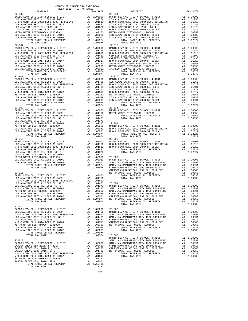| $22 - 006$<br>$22 - 014$<br>TOTAL TAX RATE<br>1.07974<br>$22 - 015$<br>$22 - 007$<br>TOTAL TAX RATE<br>1.07974<br>$22 - 009$<br>$22 - 026$<br>$22 - 010$<br>$22 - 902$<br>CAPISTR<br>METRO W<br>$22 - 011$<br>${\small\hbox{\tt BASIC LEVY-CO.},\hspace{2mm} {\tt CITY, SCHOOL, \hspace{2mm} &\hbox{\tt DIST} \hspace{2mm} &\hbox{\tt\AA1} \hspace{2mm} 1.00000 \nonumber \\ {\tt LOS ALAMITOS SFID #1 2008 SR 2009} \hspace{2.5mm} &\hbox{\tt\AA2} \hspace{2.5mm} .01756 \nonumber$<br>NO COMM COLL 2002 SETD #1, 2008 EL, SR E<br>1.01481 23-001<br>NO SALAMITOS SFID #1, 2008 SE, SR E<br>NO COMM COLL 2014 BOND SR 2016A A1 .01370 BASIC L<br>NO COMM COLL 2014 BOND SR 2016A A1 .01317 SAN JUA<br>METRO WATER DIST-MWDOC-12 |
|----------------------------------------------------------------------------------------------------------------------------------------------------------------------------------------------------------------------------------------------------------------------------------------------------------------------------------------------------------------------------------------------------------------------------------------------------------------------------------------------------------------------------------------------------------------------------------------------------------------------------------------------------------------------------------------------------------------------------------|
|                                                                                                                                                                                                                                                                                                                                                                                                                                                                                                                                                                                                                                                                                                                                  |
|                                                                                                                                                                                                                                                                                                                                                                                                                                                                                                                                                                                                                                                                                                                                  |
|                                                                                                                                                                                                                                                                                                                                                                                                                                                                                                                                                                                                                                                                                                                                  |
|                                                                                                                                                                                                                                                                                                                                                                                                                                                                                                                                                                                                                                                                                                                                  |
|                                                                                                                                                                                                                                                                                                                                                                                                                                                                                                                                                                                                                                                                                                                                  |
|                                                                                                                                                                                                                                                                                                                                                                                                                                                                                                                                                                                                                                                                                                                                  |
|                                                                                                                                                                                                                                                                                                                                                                                                                                                                                                                                                                                                                                                                                                                                  |
|                                                                                                                                                                                                                                                                                                                                                                                                                                                                                                                                                                                                                                                                                                                                  |
|                                                                                                                                                                                                                                                                                                                                                                                                                                                                                                                                                                                                                                                                                                                                  |
|                                                                                                                                                                                                                                                                                                                                                                                                                                                                                                                                                                                                                                                                                                                                  |
|                                                                                                                                                                                                                                                                                                                                                                                                                                                                                                                                                                                                                                                                                                                                  |
|                                                                                                                                                                                                                                                                                                                                                                                                                                                                                                                                                                                                                                                                                                                                  |
|                                                                                                                                                                                                                                                                                                                                                                                                                                                                                                                                                                                                                                                                                                                                  |
|                                                                                                                                                                                                                                                                                                                                                                                                                                                                                                                                                                                                                                                                                                                                  |
|                                                                                                                                                                                                                                                                                                                                                                                                                                                                                                                                                                                                                                                                                                                                  |
|                                                                                                                                                                                                                                                                                                                                                                                                                                                                                                                                                                                                                                                                                                                                  |
|                                                                                                                                                                                                                                                                                                                                                                                                                                                                                                                                                                                                                                                                                                                                  |
|                                                                                                                                                                                                                                                                                                                                                                                                                                                                                                                                                                                                                                                                                                                                  |
|                                                                                                                                                                                                                                                                                                                                                                                                                                                                                                                                                                                                                                                                                                                                  |
|                                                                                                                                                                                                                                                                                                                                                                                                                                                                                                                                                                                                                                                                                                                                  |
|                                                                                                                                                                                                                                                                                                                                                                                                                                                                                                                                                                                                                                                                                                                                  |
|                                                                                                                                                                                                                                                                                                                                                                                                                                                                                                                                                                                                                                                                                                                                  |
|                                                                                                                                                                                                                                                                                                                                                                                                                                                                                                                                                                                                                                                                                                                                  |
|                                                                                                                                                                                                                                                                                                                                                                                                                                                                                                                                                                                                                                                                                                                                  |
|                                                                                                                                                                                                                                                                                                                                                                                                                                                                                                                                                                                                                                                                                                                                  |
|                                                                                                                                                                                                                                                                                                                                                                                                                                                                                                                                                                                                                                                                                                                                  |
|                                                                                                                                                                                                                                                                                                                                                                                                                                                                                                                                                                                                                                                                                                                                  |
|                                                                                                                                                                                                                                                                                                                                                                                                                                                                                                                                                                                                                                                                                                                                  |
|                                                                                                                                                                                                                                                                                                                                                                                                                                                                                                                                                                                                                                                                                                                                  |
|                                                                                                                                                                                                                                                                                                                                                                                                                                                                                                                                                                                                                                                                                                                                  |
|                                                                                                                                                                                                                                                                                                                                                                                                                                                                                                                                                                                                                                                                                                                                  |
|                                                                                                                                                                                                                                                                                                                                                                                                                                                                                                                                                                                                                                                                                                                                  |
|                                                                                                                                                                                                                                                                                                                                                                                                                                                                                                                                                                                                                                                                                                                                  |
|                                                                                                                                                                                                                                                                                                                                                                                                                                                                                                                                                                                                                                                                                                                                  |
|                                                                                                                                                                                                                                                                                                                                                                                                                                                                                                                                                                                                                                                                                                                                  |
|                                                                                                                                                                                                                                                                                                                                                                                                                                                                                                                                                                                                                                                                                                                                  |
|                                                                                                                                                                                                                                                                                                                                                                                                                                                                                                                                                                                                                                                                                                                                  |
|                                                                                                                                                                                                                                                                                                                                                                                                                                                                                                                                                                                                                                                                                                                                  |
|                                                                                                                                                                                                                                                                                                                                                                                                                                                                                                                                                                                                                                                                                                                                  |
|                                                                                                                                                                                                                                                                                                                                                                                                                                                                                                                                                                                                                                                                                                                                  |
|                                                                                                                                                                                                                                                                                                                                                                                                                                                                                                                                                                                                                                                                                                                                  |
|                                                                                                                                                                                                                                                                                                                                                                                                                                                                                                                                                                                                                                                                                                                                  |
|                                                                                                                                                                                                                                                                                                                                                                                                                                                                                                                                                                                                                                                                                                                                  |
|                                                                                                                                                                                                                                                                                                                                                                                                                                                                                                                                                                                                                                                                                                                                  |
|                                                                                                                                                                                                                                                                                                                                                                                                                                                                                                                                                                                                                                                                                                                                  |
|                                                                                                                                                                                                                                                                                                                                                                                                                                                                                                                                                                                                                                                                                                                                  |
|                                                                                                                                                                                                                                                                                                                                                                                                                                                                                                                                                                                                                                                                                                                                  |
|                                                                                                                                                                                                                                                                                                                                                                                                                                                                                                                                                                                                                                                                                                                                  |
|                                                                                                                                                                                                                                                                                                                                                                                                                                                                                                                                                                                                                                                                                                                                  |
|                                                                                                                                                                                                                                                                                                                                                                                                                                                                                                                                                                                                                                                                                                                                  |
|                                                                                                                                                                                                                                                                                                                                                                                                                                                                                                                                                                                                                                                                                                                                  |
|                                                                                                                                                                                                                                                                                                                                                                                                                                                                                                                                                                                                                                                                                                                                  |
|                                                                                                                                                                                                                                                                                                                                                                                                                                                                                                                                                                                                                                                                                                                                  |
|                                                                                                                                                                                                                                                                                                                                                                                                                                                                                                                                                                                                                                                                                                                                  |
|                                                                                                                                                                                                                                                                                                                                                                                                                                                                                                                                                                                                                                                                                                                                  |
|                                                                                                                                                                                                                                                                                                                                                                                                                                                                                                                                                                                                                                                                                                                                  |
|                                                                                                                                                                                                                                                                                                                                                                                                                                                                                                                                                                                                                                                                                                                                  |
|                                                                                                                                                                                                                                                                                                                                                                                                                                                                                                                                                                                                                                                                                                                                  |
|                                                                                                                                                                                                                                                                                                                                                                                                                                                                                                                                                                                                                                                                                                                                  |
| LOS ALAMITOS SFID #1 2008 SR 2010C                                                                                                                                                                                                                                                                                                                                                                                                                                                                                                                                                                                                                                                                                               |
| A1 .00089 CAPISTR<br>A1 .00001 CAPISTR<br>A1 1.07974 METROW<br>LOS ALAMITOS SFID #1 2008 SR 2010B                                                                                                                                                                                                                                                                                                                                                                                                                                                                                                                                                                                                                                |
| TOTAL RATES ON ALL PROPERTY                                                                                                                                                                                                                                                                                                                                                                                                                                                                                                                                                                                                                                                                                                      |
| TOTAL TAX RATE<br>1.07974                                                                                                                                                                                                                                                                                                                                                                                                                                                                                                                                                                                                                                                                                                        |
| $22 - 012$                                                                                                                                                                                                                                                                                                                                                                                                                                                                                                                                                                                                                                                                                                                       |
|                                                                                                                                                                                                                                                                                                                                                                                                                                                                                                                                                                                                                                                                                                                                  |
|                                                                                                                                                                                                                                                                                                                                                                                                                                                                                                                                                                                                                                                                                                                                  |
|                                                                                                                                                                                                                                                                                                                                                                                                                                                                                                                                                                                                                                                                                                                                  |
|                                                                                                                                                                                                                                                                                                                                                                                                                                                                                                                                                                                                                                                                                                                                  |
| LOS ALAMITOS SFID #1, 2008, SR D<br>A1 .01370<br>CAPISTR                                                                                                                                                                                                                                                                                                                                                                                                                                                                                                                                                                                                                                                                         |
| .01370 CAPISIR<br>.01317 CAPISTR<br>.00350 METROW<br>N O C COMM COLL 2014 BOND SR 2016A<br>A1<br>METRO WATER DIST-MWDOC- 1205999<br>A1                                                                                                                                                                                                                                                                                                                                                                                                                                                                                                                                                                                           |
| LOS ALAMITOS SFID #1 2008 SR 2010C                                                                                                                                                                                                                                                                                                                                                                                                                                                                                                                                                                                                                                                                                               |
| A1 .00089<br>A1 .00001<br>LOS ALAMITOS SFID #1 2008 SR 2010B                                                                                                                                                                                                                                                                                                                                                                                                                                                                                                                                                                                                                                                                     |
| A1 1.07974<br>TOTAL RATES ON ALL PROPERTY                                                                                                                                                                                                                                                                                                                                                                                                                                                                                                                                                                                                                                                                                        |
| 1.07974<br>TOTAL TAX RATE<br>$23 - 003$                                                                                                                                                                                                                                                                                                                                                                                                                                                                                                                                                                                                                                                                                          |
| BASIC L                                                                                                                                                                                                                                                                                                                                                                                                                                                                                                                                                                                                                                                                                                                          |
| $22 - 013$<br>SAN JUA<br>BASIC LEVY-CO., CITY, SCHOOL, & DIST                                                                                                                                                                                                                                                                                                                                                                                                                                                                                                                                                                                                                                                                    |
|                                                                                                                                                                                                                                                                                                                                                                                                                                                                                                                                                                                                                                                                                                                                  |
|                                                                                                                                                                                                                                                                                                                                                                                                                                                                                                                                                                                                                                                                                                                                  |
| GARDEN GROVE USD 2016, SR 2017                                                                                                                                                                                                                                                                                                                                                                                                                                                                                                                                                                                                                                                                                                   |
| GARDEN GROVE USD, 2010 EL, SR C<br>GARDEN GROVE USD, 2010, SR B                                                                                                                                                                                                                                                                                                                                                                                                                                                                                                                                                                                                                                                                  |
| A1 1.00000 SAN JUA<br>A1 .03430 CAPISTR<br>A1 .02235 CAPISTR<br>A1 .01788 METROW<br>N O C COMM COLL 2002 BOND 2005 REFUNDING A1 .01610                                                                                                                                                                                                                                                                                                                                                                                                                                                                                                                                                                                           |
| N O C COMM COLL 2014 BOND SR 2016A<br>A1<br>.01317                                                                                                                                                                                                                                                                                                                                                                                                                                                                                                                                                                                                                                                                               |
| METRO WATER DIST-MWDOC- 1205999<br>A1<br>.00350                                                                                                                                                                                                                                                                                                                                                                                                                                                                                                                                                                                                                                                                                  |
| GARDEN GROVE USD, 2010, SR A<br>A1<br>.00001<br>A1 1.10731<br>TOTAL RATES ON ALL PROPERTY                                                                                                                                                                                                                                                                                                                                                                                                                                                                                                                                                                                                                                        |

-202-

 BASIC LEVY-CO., CITY,SCHOOL, & DIST A1 1.00000 BASIC LEVY-CO., CITY,SCHOOL, & DIST A1 1.00000 LOS ALAMITOS SFID #1 2008 SR 2009 A1 .01756 LOS ALAMITOS SFID #1 2008 SR 2009 A1 .01756 N O C COMM COLL 2002 BOND 2005 REFUNDING A1 .01610 N O C COMM COLL 2002 BOND 2005 REFUNDING A1 .01610 LOS ALAMITOS SFID #1,2008 EL, SR E A1 .01481 LOS ALAMITOS SFID #1,2008 EL, SR E A1 .01481 LOS ALAMITOS SFID #1, 2008, SR D A1 .01370 LOS ALAMITOS SFID #1, 2008, SR D A1 .01370 N O C COMM COLL 2014 BOND SR 2016A A1 .01317 N O C COMM COLL 2014 BOND SR 2016A A1 .01317 METRO WATER DIST-MWDOC- 1205999 A1 .00350 METRO WATER DIST-MWDOC- 1205999 A1 .00350 LOS ALAMITOS SFID #1 2008 SR 2010C A1 .00089 LOS ALAMITOS SFID #1 2008 SR 2010C A1 .00089 LOS ALAMITOS SFID #1 2008 SR 2010B A1 .00001 LOS ALAMITOS SFID #1 2008 SR 2010B A1 .00001 TOTAL RATES ON ALL PROPERTY A1 1.07974 TOTAL RATES ON ALL PROPERTY A1 1.07974 TOTAL TAX RATE 1.07974 TOTAL TAX RATE 1.07974 22-007 22-015 BASIC LEVY-CO., CITY,SCHOOL, & DIST A1 1.00000 BASIC LEVY-CO., CITY,SCHOOL, & DIST A1 1.00000 LOS ALAMITOS SFID #1 2008 SR 2009 A1 .01756 ANAHEIM HIGH 2002 BOND SERIES 2002A A1 .01649 N O C COMM COLL 2002 BOND 2005 REFUNDING A1 .01610 N O C COMM COLL 2002 BOND 2005 REFUNDING A1 .01610 LOS ALAMITOS SFID #1,2008 EL, SR E A1 .01481 CYPRESS ELEM-2008 BOND, SERIES A A1 .01592 LOS ALAMITOS SFID #1, 2008, SR D A1 .01370 CYPRESS ELEM-2008BOND, SER B1 & B2 A1 .01490 N O C COMM COLL 2014 BOND SR 2016A A1 .01317 N O C COMM COLL 2014 BOND SR 2016A A1 .01317 METRO WATER DIST-MWDOC- 1205999 A1 .00350 ANAHEIM HIGH 2002 BOND SERIES 2003 A1 .00365 LOS ALAMITOS SFID #1 2008 SR 2010C A1 .00089 METRO WATER DIST-MWDOC- 1205999 A1 .00350 LOS ALAMITOS SFID #1 2008 SR 2010B A1 .00001 ANAHEIM HIGH GO EL 2014, SR 2015 A1 .00197 TOTAL RATES ON ALL PROPERTY A1 1.07974 TOTAL RATES ON ALL PROPERTY A1 1.08570 TOTAL TAX RATE 1.07974 TOTAL TAX RATE 1.08570 BASIC LEVY-CO., CITY,SCHOOL, & DIST A1 1.00000 BASIC LEVY-CO., CITY,SCHOOL, & DIST A1 1.00000 LOS ALAMITOS SFID #1 2008 SR 2009 A1 .01756 LOS ALAMITOS SFID #1 2008 SR 2009 A1 .01756 N O C COMM COLL 2002 BOND 2005 REFUNDING A1 .01610 N O C COMM COLL 2002 BOND 2005 REFUNDING A1 .01610 LOS ALAMITOS SFID #1,2008 EL, SR E A1 .01481 LOS ALAMITOS SFID #1,2008 EL, SR E A1 .01481 LOS ALAMITOS SFID #1, 2008, SR D A1 .01370 LOS ALAMITOS SFID #1, 2008, SR D A1 .01370 N O C COMM COLL 2014 BOND SR 2016A A1 .01317 N O C COMM COLL 2014 BOND SR 2016A A1 .01317 METRO WATER DIST-MWDOC- 1205999 A1 .00350 METRO WATER DIST-MWDOC- 1205999 A1 .00350 LOS ALAMITOS SFID #1 2008 SR 2010C A1 .00089 LOS ALAMITOS SFID #1 2008 SR 2010C A1 .00089 LOS ALAMITOS SFID #1 2008 SR 2010B A1 .00001 LOS ALAMITOS SFID #1 2008 SR 2010B A1 .00001 TOTAL RATES ON ALL PROPERTY A1 1.07974 TOTAL RATES ON ALL PROPERTY A1 1.07974 TOTAL TAX RATE 1.07974 TOTAL TAX RATE 1.07974 BASIC LEVY-CO., CITY,SCHOOL, & DIST A1 1.00000 BASIC LEVY-CO., CITY,SCHOOL, & DIST A1 1.00000 LOS ALAMITOS SFID #1 2008 SR 2009 A1 .01756 METRO WATER DIST-MWDOC- 1205999 A1 .00350 N O C COMM COLL 2002 BOND 2005 REFUNDING A1 .01610 TOTAL RATES ON ALL PROPERTY A1 1.00350 LOS ALAMITOS SFID #1,2008 EL, SR E A1 .01481 TOTAL TAX RATE 1.00350 METRO WATER DIST-MWDOC-1205999  $\begin{array}{cccccccc} \text{METRO WATER DIST-MWDOC-1205999} & \text{A1} & .00350 & \text{BASIC LEVY-CO.}, & \text{CITY}, \text{SCHOOL}, & \text{& DIST} & \text{A1} & 1.00000 \\ \text{LOS ALMITOS SFID #1 2008 SR 2010C} & \text{A1} & .00000 & \text{A1} & .00000 & \text{N} & \text{O C COMM COLL 2012 BOND 2005 REFUNDING} & \text{A1} &$ BASIC LEVY-CO., CITY, SCHOOL, & DIST al 1.00000 BASIC LEVY-CO., CITY, SCHOOL, & DIST Al 1.00000<br>
LOS ALAMITOS SFID #1 2008 SR 2009 A1 .0156 N O C COMM COLL 2002 BOND 2005 REFUNDING A1 .01517<br>
N O C COMM COLL 2002 BOND 2005 METRO WATER DIST-MWDOC-1205999  $\begin{tabular}{lllllllllllllllllllllll} \text{METRO WATER DIST-MWDOC-1205999} & \text{A1} & .00350 & 23-000 & & \\ \text{LOS ALMITOS SFID #1 2008 SR 2010C} & \text{A1} & .00089 BR 2010C & \text{BNSIC LEVY-CO.}, & \text{CITY}, \text{SCHOOL}, & \text{& DIST} & \text{A1} & .00000 \\ \text{LOS ALMITOS SFID #1 2008 SR 2010B} &$ A1 .01756<br>A1 .01610<br>A1 .01481 LOS ALAMITOS SFID #1,2008 EL, SR E A1 .01481 23-001 LOS ALAMITOS SFID #1, 2008, SR D A1 .01370 BASIC LEVY-CO., CITY,SCHOOL, & DIST A1 1.00000 N O C COMM COLL 2014 BOND SR 2016A A1 .01317 SAN JUAN CAPISTRANO CITY-2008 BOND FUND A1 .02897 METRO WATER DIST-MWDOC- 1205999 A1 .00350 SAN JUAN CAPISTRANO CITY-1990 BOND FUND A1 .00591 LOS ALAMITOS SFID #1 2008 SR 2010C A1 .00089 CAPISTRANO U SFID#1 1999 BOND#2001B A1 .00417 LOS ALAMITOS SFID #1 2008 SR 2010B A1 .00001 CAPISTRANO U SFID#1,1999 EL, 2012 REF A1 .00383 TOTAL RATES ON ALL PROPERTY A1 1.07974 METRO WATER DIST-MWDOC- 1205999 A1 .00350 TOTAL TAX RATE 1.07974 TOTAL RATES ON ALL PROPERTY A1 1.04638 TOTAL TAX RATE 1.04638 A1  $1.00000$   $23-002$ <br>A1  $.01756$  BASIC LEVY-CO., CITY, SCHOOL, & DIST A1  $.01481$  SAN JUAN CAPISTRANO CITY-1990 BOND FUND<br>A1  $.01481$  SAN JUAN CAPISTRANO CITY-1990 BOND FUND<br>A1  $.01481$  SAN JUAN CAPISTRANO IITY-1990 BOND LOS ALAMITOS SFID #1 2008 SR 2009 A1 .01756 BASIC LEVY-CO., CITY,SCHOOL, & DIST A1 1.00000 N O C COMM COLL 2002 BOND 2005 REFUNDING A1 .01610 SAN JUAN CAPISTRANO CITY-2008 BOND FUND A1 .02897 LOS ALAMITOS SFID #1,2008 EL, SR E A1 .01481 SAN JUAN CAPISTRANO CITY-1990 BOND FUND A1 .00591 LOS ALAMITOS SFID #1, 2008, SR D A1 .01370 CAPISTRANO U SFID#1 1999 BOND#2001B A1 .00417 N O C COMM COLL 2014 BOND SR 2016A A1 .01317 CAPISTRANO U SFID#1,1999 EL, 2012 REF A1 .00383 METRO WATER DIST-MWDOC- 1205999 A1 .00350 METRO WATER DIST-MWDOC- 1205999 A1 .00350 LOS ALAMITOS SFID #1 2008 SR 2010C A1 .00089 TOTAL RATES ON ALL PROPERTY A1 1.04638 LOS ALAMITOS SFID #1 2008 SR 2010B A1 .00001 TOTAL TAX RATE 1.04638 A1 .00001<br>A1 1.07974 BASIC LEVY-CO., CITY,SCHOOL, & DIST A1 1.00000 22-013 SAN JUAN CAPISTRANO CITY-2008 BOND FUND A1 .02897 BASIC LEVY-CO., CITY,SCHOOL, & DIST A1 1.00000 SAN JUAN CAPISTRANO CITY-1990 BOND FUND A1 .00591 GARDEN GROVE USD 2016, SR 2017 A1 .03430 CAPISTRANO U SFID#1 1999 BOND#2001B A1 .00417 GARDEN GROVE USD, 2010 EL, SR C A1 .02235 CAPISTRANO U SFID#1,1999 EL, 2012 REF A1 .00383 GARDEN GROVE USD, 2010, SR B A1 .01788 METRO WATER DIST-MWDOC- 1205999 A1 .00350 N O C COMM COLL 2002 BOND 2005 REFUNDING A1 .01610 TOTAL RATES ON ALL PROPERTY A1 1.04638 N O C COMM COLL 2014 BOND SR 2016A A1 .01317 TOTAL TAX RATE 1.04638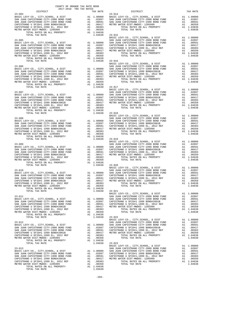| COUNTY OF ORANGE TAX RATE BOOK                                                                                                                                                                                                                                                                                                                                                                                              |  |                                      |          |
|-----------------------------------------------------------------------------------------------------------------------------------------------------------------------------------------------------------------------------------------------------------------------------------------------------------------------------------------------------------------------------------------------------------------------------|--|--------------------------------------|----------|
| 2017-2018 TRA TAX RATES<br>DISTRICT                                                                                                                                                                                                                                                                                                                                                                                         |  | TAX RATES TAX RATE DISTRICT DISTRICT | TAX RATE |
| $23 - 004$                                                                                                                                                                                                                                                                                                                                                                                                                  |  | $23 - 014$                           |          |
|                                                                                                                                                                                                                                                                                                                                                                                                                             |  |                                      |          |
|                                                                                                                                                                                                                                                                                                                                                                                                                             |  |                                      |          |
|                                                                                                                                                                                                                                                                                                                                                                                                                             |  |                                      |          |
|                                                                                                                                                                                                                                                                                                                                                                                                                             |  |                                      |          |
| $\begin{tabular}{c c c c c} \multicolumn{4}{c c c} \multicolumn{4}{c c c} \multicolumn{4}{c c c} \multicolumn{4}{c c c} \multicolumn{4}{c c c} \multicolumn{4}{c c c} \multicolumn{4}{c c c} \multicolumn{4}{c c c} \multicolumn{4}{c c c} \multicolumn{4}{c c c} \multicolumn{4}{c c c} \multicolumn{4}{c c c} \multicolumn{4}{c c c} \multicolumn{4}{c c c} \multicolumn{4}{c c c} \multicolumn{4}{c $                    |  |                                      |          |
|                                                                                                                                                                                                                                                                                                                                                                                                                             |  |                                      |          |
|                                                                                                                                                                                                                                                                                                                                                                                                                             |  |                                      |          |
|                                                                                                                                                                                                                                                                                                                                                                                                                             |  |                                      |          |
|                                                                                                                                                                                                                                                                                                                                                                                                                             |  |                                      |          |
|                                                                                                                                                                                                                                                                                                                                                                                                                             |  |                                      |          |
|                                                                                                                                                                                                                                                                                                                                                                                                                             |  |                                      |          |
|                                                                                                                                                                                                                                                                                                                                                                                                                             |  |                                      |          |
|                                                                                                                                                                                                                                                                                                                                                                                                                             |  |                                      |          |
|                                                                                                                                                                                                                                                                                                                                                                                                                             |  |                                      |          |
|                                                                                                                                                                                                                                                                                                                                                                                                                             |  |                                      |          |
|                                                                                                                                                                                                                                                                                                                                                                                                                             |  |                                      |          |
|                                                                                                                                                                                                                                                                                                                                                                                                                             |  |                                      |          |
|                                                                                                                                                                                                                                                                                                                                                                                                                             |  |                                      |          |
|                                                                                                                                                                                                                                                                                                                                                                                                                             |  |                                      |          |
|                                                                                                                                                                                                                                                                                                                                                                                                                             |  |                                      |          |
|                                                                                                                                                                                                                                                                                                                                                                                                                             |  |                                      |          |
|                                                                                                                                                                                                                                                                                                                                                                                                                             |  |                                      |          |
|                                                                                                                                                                                                                                                                                                                                                                                                                             |  |                                      |          |
|                                                                                                                                                                                                                                                                                                                                                                                                                             |  |                                      |          |
|                                                                                                                                                                                                                                                                                                                                                                                                                             |  |                                      |          |
|                                                                                                                                                                                                                                                                                                                                                                                                                             |  |                                      |          |
|                                                                                                                                                                                                                                                                                                                                                                                                                             |  |                                      |          |
| $\begin{tabular}{cccc} \texttt{23-008} & \texttt{1.04638} & \texttt{23-018} & \texttt{1.00000} & \texttt{BASTC LEVY-CO.}, \texttt{CITY}, \texttt{SCHOOL}, & \texttt{E DIST} & \texttt{A1} & \texttt{1.00000} \\ & \texttt{BASTC LEVY-CO.}, \texttt{CITY}, \texttt{SCHOOL}, & \texttt{E DIST} & \texttt{A1} & \texttt{1.00000} \\ \texttt{BAN JUMCAPISTRANO CITY-2008 BOND FUND} & \texttt{A1} & \texttt{1.0$                |  |                                      |          |
|                                                                                                                                                                                                                                                                                                                                                                                                                             |  |                                      |          |
|                                                                                                                                                                                                                                                                                                                                                                                                                             |  |                                      |          |
|                                                                                                                                                                                                                                                                                                                                                                                                                             |  |                                      |          |
|                                                                                                                                                                                                                                                                                                                                                                                                                             |  |                                      |          |
|                                                                                                                                                                                                                                                                                                                                                                                                                             |  |                                      |          |
|                                                                                                                                                                                                                                                                                                                                                                                                                             |  |                                      |          |
|                                                                                                                                                                                                                                                                                                                                                                                                                             |  |                                      |          |
|                                                                                                                                                                                                                                                                                                                                                                                                                             |  |                                      |          |
|                                                                                                                                                                                                                                                                                                                                                                                                                             |  |                                      |          |
|                                                                                                                                                                                                                                                                                                                                                                                                                             |  |                                      |          |
|                                                                                                                                                                                                                                                                                                                                                                                                                             |  |                                      |          |
|                                                                                                                                                                                                                                                                                                                                                                                                                             |  |                                      |          |
|                                                                                                                                                                                                                                                                                                                                                                                                                             |  |                                      |          |
|                                                                                                                                                                                                                                                                                                                                                                                                                             |  |                                      |          |
|                                                                                                                                                                                                                                                                                                                                                                                                                             |  |                                      |          |
|                                                                                                                                                                                                                                                                                                                                                                                                                             |  |                                      |          |
|                                                                                                                                                                                                                                                                                                                                                                                                                             |  |                                      |          |
|                                                                                                                                                                                                                                                                                                                                                                                                                             |  |                                      |          |
|                                                                                                                                                                                                                                                                                                                                                                                                                             |  |                                      |          |
|                                                                                                                                                                                                                                                                                                                                                                                                                             |  |                                      |          |
| $\begin{tabular}{cccc} \texttt{23-011} & \texttt{1.04638} & \texttt{23-021} & \texttt{1.04638} \\ & & & & & & \\ \texttt{BASTC LEVY-CO.}, \texttt{CITY}, \texttt{SCHOOL}, \texttt{ & DIST} & \texttt{A1} & \texttt{1.00000} \\ \texttt{BASIC LEVY-CO.}, \texttt{CITY}, \texttt{SCHOOL}, \texttt{ & DIST} & \texttt{A1} & \texttt{1.00000} \\ \texttt{BASIC LEVY-CO.}, \texttt{CITY}, \texttt{SCHOOL}, \texttt{ & DIST} & \$ |  |                                      |          |
|                                                                                                                                                                                                                                                                                                                                                                                                                             |  |                                      |          |
|                                                                                                                                                                                                                                                                                                                                                                                                                             |  |                                      |          |
|                                                                                                                                                                                                                                                                                                                                                                                                                             |  |                                      |          |
|                                                                                                                                                                                                                                                                                                                                                                                                                             |  |                                      |          |
|                                                                                                                                                                                                                                                                                                                                                                                                                             |  |                                      |          |
|                                                                                                                                                                                                                                                                                                                                                                                                                             |  |                                      |          |
|                                                                                                                                                                                                                                                                                                                                                                                                                             |  |                                      |          |
|                                                                                                                                                                                                                                                                                                                                                                                                                             |  |                                      |          |
|                                                                                                                                                                                                                                                                                                                                                                                                                             |  |                                      |          |
|                                                                                                                                                                                                                                                                                                                                                                                                                             |  |                                      |          |
|                                                                                                                                                                                                                                                                                                                                                                                                                             |  |                                      |          |
|                                                                                                                                                                                                                                                                                                                                                                                                                             |  |                                      |          |
|                                                                                                                                                                                                                                                                                                                                                                                                                             |  |                                      |          |
|                                                                                                                                                                                                                                                                                                                                                                                                                             |  |                                      |          |
|                                                                                                                                                                                                                                                                                                                                                                                                                             |  |                                      |          |
| $\begin{tabular}{c c c c c} \multicolumn{4}{c }{\textbf{23--012}} & \multicolumn{4}{c }{\textbf{23--022}} & \multicolumn{4}{c }{\textbf{23--022}} & \multicolumn{4}{c }{\textbf{23--022}} & \multicolumn{4}{c }{\textbf{23--022}} & \multicolumn{4}{c }{\textbf{23--022}} & \multicolumn{4}{c }{\textbf{23--022}} & \multicolumn{4}{c }{\textbf{23--022}} & \multicolumn{4}{c }{\textbf{23--022}} & \multicolumn{4$         |  |                                      |          |
|                                                                                                                                                                                                                                                                                                                                                                                                                             |  |                                      |          |
|                                                                                                                                                                                                                                                                                                                                                                                                                             |  |                                      |          |
|                                                                                                                                                                                                                                                                                                                                                                                                                             |  |                                      |          |
|                                                                                                                                                                                                                                                                                                                                                                                                                             |  |                                      |          |
|                                                                                                                                                                                                                                                                                                                                                                                                                             |  |                                      |          |
|                                                                                                                                                                                                                                                                                                                                                                                                                             |  |                                      |          |
|                                                                                                                                                                                                                                                                                                                                                                                                                             |  |                                      |          |

-203-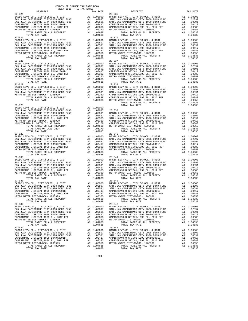| TOTAL TAX RATE                                                                  |          | 1.04638            |                    |
|---------------------------------------------------------------------------------|----------|--------------------|--------------------|
|                                                                                 |          |                    |                    |
|                                                                                 |          |                    |                    |
|                                                                                 |          |                    |                    |
|                                                                                 |          |                    |                    |
|                                                                                 |          |                    |                    |
|                                                                                 |          |                    |                    |
|                                                                                 |          |                    |                    |
|                                                                                 |          |                    |                    |
|                                                                                 |          |                    |                    |
|                                                                                 |          |                    |                    |
|                                                                                 |          |                    |                    |
|                                                                                 |          |                    |                    |
|                                                                                 |          |                    |                    |
|                                                                                 |          |                    |                    |
|                                                                                 |          |                    |                    |
| $23 - 027$                                                                      |          |                    | $23 - 038$         |
|                                                                                 |          |                    |                    |
|                                                                                 |          |                    |                    |
|                                                                                 |          |                    |                    |
|                                                                                 |          |                    |                    |
|                                                                                 |          |                    |                    |
|                                                                                 |          |                    |                    |
| $23 - 028$                                                                      |          |                    |                    |
|                                                                                 |          |                    |                    |
|                                                                                 |          |                    |                    |
|                                                                                 |          |                    |                    |
|                                                                                 |          |                    |                    |
|                                                                                 |          |                    |                    |
|                                                                                 |          |                    |                    |
|                                                                                 |          |                    |                    |
| TOTAL TAX RATE                                                                  |          | 1.09817            |                    |
| $23 - 029$                                                                      |          |                    | $23 - 040$         |
|                                                                                 |          |                    |                    |
|                                                                                 |          |                    |                    |
|                                                                                 |          |                    |                    |
|                                                                                 |          |                    |                    |
|                                                                                 |          |                    |                    |
|                                                                                 |          |                    |                    |
|                                                                                 |          |                    |                    |
| $23 - 030$                                                                      |          |                    | $23 - 041$         |
|                                                                                 |          |                    |                    |
|                                                                                 |          |                    |                    |
|                                                                                 |          |                    |                    |
|                                                                                 |          |                    |                    |
|                                                                                 |          |                    |                    |
|                                                                                 |          | 1.04638            |                    |
| TOTAL TAX RATE<br>$23 - 031$                                                    |          |                    | $23 - 042$         |
|                                                                                 |          |                    |                    |
|                                                                                 |          |                    |                    |
|                                                                                 |          |                    |                    |
|                                                                                 |          |                    |                    |
|                                                                                 |          |                    |                    |
| TOTAL RATES ON ALL PROPERTY                                                     |          | A1 1.04638         |                    |
| TOTAL TAX RATE                                                                  |          | 1.04638            |                    |
| $23 - 032$                                                                      |          |                    | $23 - 043$         |
| BASIC LEVY-CO., CITY, SCHOOL, & DIST                                            | A1       | 1.00000            | BASIC L            |
| SAN JUAN CAPISTRANO CITY-2008 BOND FUND                                         |          | A1 .02897          | SAN JUA            |
| SAN JUAN CAPISTRANO CITY-1990 BOND FUND<br>CAPISTRANO U SFID#1 1999 BOND#2001B  | A1<br>A1 | .00591<br>.00417   | SAN JUA<br>CAPISTR |
| CAPISTRANO U SFID#1,1999 EL, 2012 REF                                           | A1       | .00383             | CAPISTR            |
| METRO WATER DIST-MWDOC- 1205999                                                 | A1       | .00350             | METRO W            |
| TOTAL RATES ON ALL PROPERTY                                                     |          | A1 1.04638         |                    |
| TOTAL TAX RATE                                                                  |          | 1.04638            |                    |
| $23 - 034$                                                                      |          |                    | $23 - 044$         |
| BASIC LEVY-CO., CITY, SCHOOL, & DIST<br>SAN JUAN CAPISTRANO CITY-2008 BOND FUND | A1       | 1.00000            | BASIC L            |
| SAN JUAN CAPISTRANO CITY-1990 BOND FUND                                         | A1       | A1.02897<br>.00591 | SAN JUA<br>SAN JUA |
| CAPISTRANO U SFID#1 1999 BOND#2001B                                             | A1       | .00417             | CAPISTR            |
| CAPISTRANO U SFID#1,1999 EL, 2012 REF                                           | A1       | .00383             | CAPISTR            |
| METRO WATER DIST-MWDOC- 1205999                                                 | A1       | .00350             | METRO W            |
| TOTAL RATES ON ALL PROPERTY                                                     |          | A1 1.04638         |                    |

| $\begin{minipage}{.4\linewidth} \begin{tabular}{lcccc} \textbf{1-AX RATE} & \textbf{1-X} & \textbf{1-X} & \textbf{RATE} & \textbf{1-X} & \textbf{1-X} & \textbf{1-X} & \textbf{1-X} & \textbf{1-X} & \textbf{1-X} & \textbf{1-X} & \textbf{1-X} & \textbf{1-X} & \textbf{1-X} & \textbf{1-X} & \textbf{1-X} & \textbf{1-X} & \textbf{1-X} & \textbf{1-X} & \textbf{1-X} & \textbf{1-X} & \textbf{1-X} & \textbf{1-X} & \textbf{1-X} & \textbf{$ | COUNTY OF ORANGE TAX RATE BOOK |                                                                                                                                                                                                                                                                                                                                                                                                                                      |          |
|-------------------------------------------------------------------------------------------------------------------------------------------------------------------------------------------------------------------------------------------------------------------------------------------------------------------------------------------------------------------------------------------------------------------------------------------------|--------------------------------|--------------------------------------------------------------------------------------------------------------------------------------------------------------------------------------------------------------------------------------------------------------------------------------------------------------------------------------------------------------------------------------------------------------------------------------|----------|
| $23 - 024$                                                                                                                                                                                                                                                                                                                                                                                                                                      | TAX RATE                       | DISTRICT<br>$23 - 035$                                                                                                                                                                                                                                                                                                                                                                                                               | TAX RATE |
| $23 - 025$                                                                                                                                                                                                                                                                                                                                                                                                                                      |                                | $23 - 036$                                                                                                                                                                                                                                                                                                                                                                                                                           |          |
|                                                                                                                                                                                                                                                                                                                                                                                                                                                 |                                |                                                                                                                                                                                                                                                                                                                                                                                                                                      |          |
| $23 - 027$                                                                                                                                                                                                                                                                                                                                                                                                                                      |                                | $23 - 038$                                                                                                                                                                                                                                                                                                                                                                                                                           |          |
|                                                                                                                                                                                                                                                                                                                                                                                                                                                 |                                | $\begin{tabular}{c c c c c} \multicolumn{1}{c}{23-027} & \multicolumn{1}{c}{23-028} & \multicolumn{1}{c}{23-028} \\ \multicolumn{1}{c}{\texttt{BASIC }} \texttt{LEVY-CO.} & \multicolumn{1}{c}{\texttt{CITY}} \texttt{CCHV} & \multicolumn{1}{c}{\texttt{A1}} & \multicolumn{1}{c}{.00000} & \multicolumn{1}{c}{\texttt{BASIC }} \texttt{LEVY-CO.} & \multicolumn{1}{c}{\texttt{CITY}} \texttt{SCHOD} & \multicolumn{1}{c}{\texttt{$ |          |
|                                                                                                                                                                                                                                                                                                                                                                                                                                                 |                                |                                                                                                                                                                                                                                                                                                                                                                                                                                      |          |
|                                                                                                                                                                                                                                                                                                                                                                                                                                                 |                                |                                                                                                                                                                                                                                                                                                                                                                                                                                      |          |
|                                                                                                                                                                                                                                                                                                                                                                                                                                                 |                                |                                                                                                                                                                                                                                                                                                                                                                                                                                      |          |
| $23 - 031$<br>TOTAL TAX RATE<br>$23 - 032$                                                                                                                                                                                                                                                                                                                                                                                                      | 1.04638                        | $23 - 042$<br>TOTAL TAX RATE<br>$23 - 043$                                                                                                                                                                                                                                                                                                                                                                                           | 1.04638  |
|                                                                                                                                                                                                                                                                                                                                                                                                                                                 |                                | $23 - 044$                                                                                                                                                                                                                                                                                                                                                                                                                           |          |
| $23 - 034$                                                                                                                                                                                                                                                                                                                                                                                                                                      |                                |                                                                                                                                                                                                                                                                                                                                                                                                                                      |          |

-204-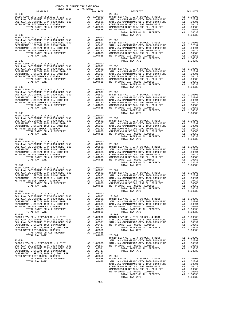| COUNTY OF ORANGE TAX RATE BOOK<br>2017-2018 TRA TAX RATES |  |                                                                                                      |          |
|-----------------------------------------------------------|--|------------------------------------------------------------------------------------------------------|----------|
| DISTRICT                                                  |  |                                                                                                      | TAX RATE |
|                                                           |  |                                                                                                      |          |
|                                                           |  |                                                                                                      |          |
|                                                           |  |                                                                                                      |          |
|                                                           |  |                                                                                                      |          |
|                                                           |  |                                                                                                      |          |
|                                                           |  |                                                                                                      |          |
|                                                           |  |                                                                                                      |          |
|                                                           |  |                                                                                                      |          |
|                                                           |  |                                                                                                      |          |
|                                                           |  |                                                                                                      |          |
|                                                           |  |                                                                                                      |          |
|                                                           |  |                                                                                                      |          |
|                                                           |  |                                                                                                      |          |
|                                                           |  |                                                                                                      |          |
|                                                           |  |                                                                                                      |          |
|                                                           |  |                                                                                                      |          |
|                                                           |  |                                                                                                      |          |
|                                                           |  |                                                                                                      |          |
|                                                           |  |                                                                                                      |          |
|                                                           |  |                                                                                                      |          |
|                                                           |  |                                                                                                      |          |
|                                                           |  |                                                                                                      |          |
|                                                           |  |                                                                                                      |          |
|                                                           |  |                                                                                                      |          |
|                                                           |  |                                                                                                      |          |
|                                                           |  |                                                                                                      |          |
|                                                           |  |                                                                                                      |          |
|                                                           |  |                                                                                                      |          |
|                                                           |  |                                                                                                      |          |
|                                                           |  |                                                                                                      |          |
|                                                           |  |                                                                                                      |          |
|                                                           |  |                                                                                                      |          |
|                                                           |  |                                                                                                      |          |
|                                                           |  |                                                                                                      |          |
|                                                           |  |                                                                                                      |          |
|                                                           |  |                                                                                                      |          |
|                                                           |  |                                                                                                      |          |
|                                                           |  |                                                                                                      |          |
|                                                           |  |                                                                                                      |          |
|                                                           |  |                                                                                                      |          |
|                                                           |  |                                                                                                      |          |
|                                                           |  |                                                                                                      |          |
|                                                           |  |                                                                                                      |          |
|                                                           |  |                                                                                                      |          |
|                                                           |  |                                                                                                      |          |
|                                                           |  |                                                                                                      |          |
|                                                           |  | 1.04538 (1.1 - 1.1 - 1.1 - 1.04538<br>TOTAL TAX RATES ON ALL PROPERTY 1.1 1.04638<br>1.04638 1.04638 |          |
|                                                           |  |                                                                                                      |          |
|                                                           |  |                                                                                                      |          |
|                                                           |  |                                                                                                      |          |
|                                                           |  |                                                                                                      |          |
|                                                           |  |                                                                                                      |          |
|                                                           |  |                                                                                                      |          |
|                                                           |  |                                                                                                      |          |
|                                                           |  |                                                                                                      |          |
|                                                           |  |                                                                                                      |          |
|                                                           |  |                                                                                                      |          |
|                                                           |  |                                                                                                      |          |
|                                                           |  |                                                                                                      |          |
|                                                           |  |                                                                                                      |          |
|                                                           |  |                                                                                                      |          |
|                                                           |  |                                                                                                      |          |
|                                                           |  |                                                                                                      |          |
|                                                           |  |                                                                                                      |          |
|                                                           |  |                                                                                                      |          |
|                                                           |  |                                                                                                      |          |
|                                                           |  |                                                                                                      |          |
|                                                           |  |                                                                                                      |          |
|                                                           |  |                                                                                                      |          |
|                                                           |  |                                                                                                      |          |
|                                                           |  |                                                                                                      |          |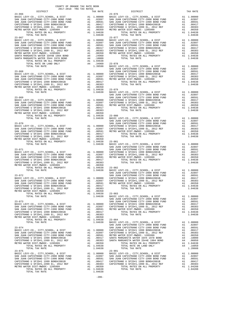| ---------<br>$23 - 066$                                                                                                                                                                      |                                                           | <b>TAN WATER</b>               | $23 - 076$         |
|----------------------------------------------------------------------------------------------------------------------------------------------------------------------------------------------|-----------------------------------------------------------|--------------------------------|--------------------|
|                                                                                                                                                                                              |                                                           |                                |                    |
|                                                                                                                                                                                              |                                                           |                                |                    |
|                                                                                                                                                                                              |                                                           |                                |                    |
|                                                                                                                                                                                              |                                                           |                                |                    |
|                                                                                                                                                                                              |                                                           |                                |                    |
| TOTAL TAX RATE                                                                                                                                                                               |                                                           | 1.04638                        |                    |
| $23 - 067$                                                                                                                                                                                   |                                                           |                                | $23 - 077$         |
|                                                                                                                                                                                              |                                                           |                                |                    |
|                                                                                                                                                                                              |                                                           |                                |                    |
|                                                                                                                                                                                              |                                                           |                                |                    |
|                                                                                                                                                                                              |                                                           |                                |                    |
|                                                                                                                                                                                              |                                                           |                                |                    |
|                                                                                                                                                                                              |                                                           |                                |                    |
|                                                                                                                                                                                              |                                                           |                                |                    |
|                                                                                                                                                                                              |                                                           |                                | SAN JUA            |
| $23 - 068$                                                                                                                                                                                   |                                                           |                                | SAN JUA            |
|                                                                                                                                                                                              |                                                           |                                |                    |
|                                                                                                                                                                                              |                                                           |                                |                    |
|                                                                                                                                                                                              |                                                           |                                |                    |
|                                                                                                                                                                                              |                                                           |                                |                    |
|                                                                                                                                                                                              |                                                           |                                |                    |
|                                                                                                                                                                                              |                                                           |                                |                    |
| $23 - 069$                                                                                                                                                                                   |                                                           |                                | SAN JUA<br>SAN JUA |
|                                                                                                                                                                                              |                                                           |                                |                    |
|                                                                                                                                                                                              |                                                           |                                |                    |
|                                                                                                                                                                                              |                                                           |                                |                    |
|                                                                                                                                                                                              |                                                           |                                |                    |
|                                                                                                                                                                                              |                                                           |                                |                    |
|                                                                                                                                                                                              |                                                           |                                |                    |
|                                                                                                                                                                                              |                                                           |                                | SAN JUA            |
| $23 - 070$                                                                                                                                                                                   |                                                           |                                | SAN JUA            |
|                                                                                                                                                                                              |                                                           |                                |                    |
|                                                                                                                                                                                              |                                                           |                                |                    |
|                                                                                                                                                                                              |                                                           |                                |                    |
|                                                                                                                                                                                              |                                                           |                                |                    |
|                                                                                                                                                                                              |                                                           |                                |                    |
|                                                                                                                                                                                              |                                                           |                                |                    |
| $23 - 071$                                                                                                                                                                                   |                                                           |                                | SAN JUA<br>SAN JUA |
|                                                                                                                                                                                              |                                                           |                                |                    |
|                                                                                                                                                                                              |                                                           |                                |                    |
|                                                                                                                                                                                              |                                                           |                                |                    |
|                                                                                                                                                                                              |                                                           |                                |                    |
|                                                                                                                                                                                              |                                                           |                                |                    |
|                                                                                                                                                                                              |                                                           |                                |                    |
| $23 - 072$                                                                                                                                                                                   |                                                           |                                | SAN JUA<br>SAN JUA |
|                                                                                                                                                                                              |                                                           |                                |                    |
|                                                                                                                                                                                              |                                                           |                                |                    |
|                                                                                                                                                                                              |                                                           |                                |                    |
|                                                                                                                                                                                              |                                                           |                                |                    |
| NEW YOUR CAPISTRANO CITY-1990 BOND#2001B<br>CAPISTRANO U SFID#1 1999 BOND#2001B<br>CAPISTRANO U SFID#1,1999 EL, 2012 REF A1 .00383<br>---- ""TET-MWDOC-120599-----" A1 1.04638<br>A1 1.04638 |                                                           |                                |                    |
| TOTAL RATES ON ALL PROPERTY A1 1.04638<br>TOTAL TAX RATE                                                                                                                                     |                                                           | 1.04638 BASIC L                | $23 - 083$         |
|                                                                                                                                                                                              |                                                           |                                | SAN JUA            |
| $23 - 073$                                                                                                                                                                                   |                                                           |                                | SAN JUA            |
|                                                                                                                                                                                              |                                                           |                                |                    |
|                                                                                                                                                                                              |                                                           |                                |                    |
| CAPISTRANO U SFID#1,1999 EL, 2012 REF                                                                                                                                                        |                                                           | .00383                         |                    |
| METRO WATER DIST-MWDOC- 1205999                                                                                                                                                              | $\begin{array}{c} \mathtt{Al} \\ \mathtt{Al} \end{array}$ | .00350                         |                    |
| TOTAL RATES ON ALL PROPERTY                                                                                                                                                                  |                                                           | $\overline{A1}$ 1.04638 23-084 |                    |
| TOTAL TAX RATE                                                                                                                                                                               |                                                           | 1.04638                        | BASIC L<br>SAN JUA |
| $23 - 074$                                                                                                                                                                                   |                                                           |                                | SAN JUA            |
| BASIC LEVY-CO., CITY, SCHOOL, & DIST                                                                                                                                                         |                                                           | A1 1.00000                     | CAPISTR            |
| SAN JUAN CAPISTRANO CITY-2008 BOND FUND<br>SAN JUAN CAPISTRANO CITY-1990 BOND FUND                                                                                                           | $\overline{A1}$<br>$\overline{A1}$                        | A1 .02897                      | CAPISTR            |
| CAPISTRANO U SFID#1 1999 BOND#2001B                                                                                                                                                          |                                                           |                                |                    |
| CAPISTRANO U SFID#1,1999 EL, 2012 REF<br>METRO WATER DIST-MWDOC- 1205999                                                                                                                     |                                                           |                                |                    |
| TOTAL RATES ON ALL PROPERTY                                                                                                                                                                  |                                                           | A1 1.04638                     |                    |
| TOTAL TAX RATE                                                                                                                                                                               |                                                           | 1.04638                        |                    |
| $23 - 075$                                                                                                                                                                                   |                                                           |                                | $23 - 901$         |
|                                                                                                                                                                                              |                                                           |                                |                    |
|                                                                                                                                                                                              |                                                           |                                |                    |
| CAPISTRANO U SFID#1 1999 BOND#2001B<br>CAPISTRANO U SFID#1,1999 EL, 2012 REF                                                                                                                 |                                                           | A1.00417<br>A1.00383           | CAPISTR<br>CAPISTR |
| METRO WATER DIST-MWDOC- 1205999                                                                                                                                                              | A1                                                        | .00350                         |                    |
| TOTAL RATES ON ALL PROPERTY<br>TOTAL TAX RATE                                                                                                                                                |                                                           | A1 1.04638<br>1.04638          |                    |
|                                                                                                                                                                                              |                                                           |                                |                    |

-206-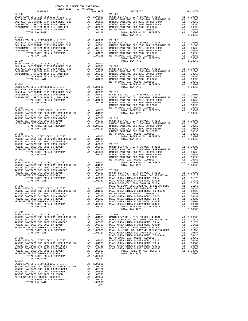| abio ing ing ngiap<br>DISTRICT | TAX RATE | RATE $24-007$<br>DISTRICT                                                                                                                                                                                                                                                                                                                                                                                                                                             | TAX RATE |
|--------------------------------|----------|-----------------------------------------------------------------------------------------------------------------------------------------------------------------------------------------------------------------------------------------------------------------------------------------------------------------------------------------------------------------------------------------------------------------------------------------------------------------------|----------|
| $23 - 902$                     |          |                                                                                                                                                                                                                                                                                                                                                                                                                                                                       |          |
|                                |          |                                                                                                                                                                                                                                                                                                                                                                                                                                                                       |          |
|                                |          |                                                                                                                                                                                                                                                                                                                                                                                                                                                                       |          |
|                                |          |                                                                                                                                                                                                                                                                                                                                                                                                                                                                       |          |
|                                |          |                                                                                                                                                                                                                                                                                                                                                                                                                                                                       |          |
|                                |          |                                                                                                                                                                                                                                                                                                                                                                                                                                                                       |          |
|                                |          |                                                                                                                                                                                                                                                                                                                                                                                                                                                                       |          |
|                                |          |                                                                                                                                                                                                                                                                                                                                                                                                                                                                       |          |
|                                |          |                                                                                                                                                                                                                                                                                                                                                                                                                                                                       |          |
|                                |          |                                                                                                                                                                                                                                                                                                                                                                                                                                                                       |          |
|                                |          |                                                                                                                                                                                                                                                                                                                                                                                                                                                                       |          |
|                                |          |                                                                                                                                                                                                                                                                                                                                                                                                                                                                       |          |
|                                |          |                                                                                                                                                                                                                                                                                                                                                                                                                                                                       |          |
|                                |          |                                                                                                                                                                                                                                                                                                                                                                                                                                                                       |          |
|                                |          |                                                                                                                                                                                                                                                                                                                                                                                                                                                                       |          |
|                                |          |                                                                                                                                                                                                                                                                                                                                                                                                                                                                       |          |
|                                |          |                                                                                                                                                                                                                                                                                                                                                                                                                                                                       |          |
|                                |          |                                                                                                                                                                                                                                                                                                                                                                                                                                                                       |          |
|                                |          |                                                                                                                                                                                                                                                                                                                                                                                                                                                                       |          |
|                                |          |                                                                                                                                                                                                                                                                                                                                                                                                                                                                       |          |
|                                |          |                                                                                                                                                                                                                                                                                                                                                                                                                                                                       |          |
|                                |          |                                                                                                                                                                                                                                                                                                                                                                                                                                                                       |          |
|                                |          |                                                                                                                                                                                                                                                                                                                                                                                                                                                                       |          |
|                                |          |                                                                                                                                                                                                                                                                                                                                                                                                                                                                       |          |
|                                |          |                                                                                                                                                                                                                                                                                                                                                                                                                                                                       |          |
|                                |          |                                                                                                                                                                                                                                                                                                                                                                                                                                                                       |          |
|                                |          |                                                                                                                                                                                                                                                                                                                                                                                                                                                                       |          |
|                                |          |                                                                                                                                                                                                                                                                                                                                                                                                                                                                       |          |
|                                |          |                                                                                                                                                                                                                                                                                                                                                                                                                                                                       |          |
|                                |          |                                                                                                                                                                                                                                                                                                                                                                                                                                                                       |          |
|                                |          |                                                                                                                                                                                                                                                                                                                                                                                                                                                                       |          |
|                                |          |                                                                                                                                                                                                                                                                                                                                                                                                                                                                       |          |
|                                |          |                                                                                                                                                                                                                                                                                                                                                                                                                                                                       |          |
|                                |          |                                                                                                                                                                                                                                                                                                                                                                                                                                                                       |          |
|                                |          |                                                                                                                                                                                                                                                                                                                                                                                                                                                                       |          |
|                                |          |                                                                                                                                                                                                                                                                                                                                                                                                                                                                       |          |
|                                |          |                                                                                                                                                                                                                                                                                                                                                                                                                                                                       |          |
|                                |          |                                                                                                                                                                                                                                                                                                                                                                                                                                                                       |          |
|                                |          |                                                                                                                                                                                                                                                                                                                                                                                                                                                                       |          |
|                                |          |                                                                                                                                                                                                                                                                                                                                                                                                                                                                       |          |
|                                |          |                                                                                                                                                                                                                                                                                                                                                                                                                                                                       |          |
|                                |          |                                                                                                                                                                                                                                                                                                                                                                                                                                                                       |          |
|                                |          | 23-74<br>23-74<br>23-74<br>23-74<br>23-74<br>23-74<br>23-74<br>23-74<br>23-74<br>23-74<br>23-74<br>23-74<br>23-74<br>23-74<br>23-74<br>23-74<br>23-74<br>23-74<br>23-74<br>23-74<br>23-74<br>23-74<br>23-74<br>23-74<br>23-74<br>23-74<br>23-74<br>23-74<br>23-74<br>23-74<br>23-74<br>23-7                                                                                                                                                                           |          |
|                                |          |                                                                                                                                                                                                                                                                                                                                                                                                                                                                       |          |
|                                |          |                                                                                                                                                                                                                                                                                                                                                                                                                                                                       |          |
|                                |          |                                                                                                                                                                                                                                                                                                                                                                                                                                                                       |          |
|                                |          | $\begin{tabular}{l c c c c c} \multicolumn{4}{c}{\textbf{RANCHO SATTAGO CCD. } & \multicolumn{4}{c}{A1\quad .00400}& \multicolumn{4}{c}{\textbf{RANCHO SATTAGO CCD. } & \multicolumn{4}{c}{\textbf{RANTIAO COCD}} & \multicolumn{4}{c}{\textbf{RANTIAO COCD}} & \multicolumn{4}{c}{\textbf{RANTIAO COCD}} & \multicolumn{4}{c}{\textbf{RANTIAO COCD}} & \multicolumn{4}{c}{\textbf{RANTIAO COCD}} & \multicolumn{4}{c}{\textbf{RANTIAO COCD}} & \multicolumn{4}{c}{\$ |          |
| $24 - 004$                     |          | TOTAL TAX RATE                                                                                                                                                                                                                                                                                                                                                                                                                                                        | 1.08806  |
|                                |          |                                                                                                                                                                                                                                                                                                                                                                                                                                                                       |          |
|                                |          |                                                                                                                                                                                                                                                                                                                                                                                                                                                                       |          |
|                                |          |                                                                                                                                                                                                                                                                                                                                                                                                                                                                       |          |
|                                |          |                                                                                                                                                                                                                                                                                                                                                                                                                                                                       |          |
|                                |          |                                                                                                                                                                                                                                                                                                                                                                                                                                                                       |          |
|                                |          |                                                                                                                                                                                                                                                                                                                                                                                                                                                                       |          |
|                                |          |                                                                                                                                                                                                                                                                                                                                                                                                                                                                       |          |
|                                |          |                                                                                                                                                                                                                                                                                                                                                                                                                                                                       |          |
|                                |          |                                                                                                                                                                                                                                                                                                                                                                                                                                                                       |          |
|                                |          |                                                                                                                                                                                                                                                                                                                                                                                                                                                                       |          |
|                                |          |                                                                                                                                                                                                                                                                                                                                                                                                                                                                       |          |
| TOTAL TAX RATE                 | 1.03363  |                                                                                                                                                                                                                                                                                                                                                                                                                                                                       |          |
| $24 - 006$                     |          |                                                                                                                                                                                                                                                                                                                                                                                                                                                                       |          |
|                                |          |                                                                                                                                                                                                                                                                                                                                                                                                                                                                       |          |
|                                |          |                                                                                                                                                                                                                                                                                                                                                                                                                                                                       |          |
|                                |          |                                                                                                                                                                                                                                                                                                                                                                                                                                                                       |          |
|                                |          |                                                                                                                                                                                                                                                                                                                                                                                                                                                                       |          |
|                                |          |                                                                                                                                                                                                                                                                                                                                                                                                                                                                       |          |

 $1.03363$ <br>-207-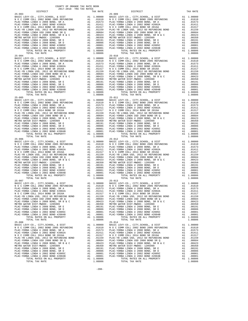COUNTY OF ORANGE TAX RATE BOOK 2017-2018 TRA TAX RATES DISTRICT TAX RATE DISTRICT TAX RATE 25-003 25-009 BASIC LEVY-CO., CITY,SCHOOL, & DIST A1 1.00000 BASIC LEVY-CO., CITY,SCHOOL, & DIST A1 1.00000 N O C COMM COLL 2002 BOND 2005 REFUNDING A1 .01610 N O C COMM COLL 2002 BOND 2005 REFUNDING A1 .01610 PLAC-YORBA LINDA U 2008 BOND, SR A A1 .01573 PLAC-YORBA LINDA U 2008 BOND, SR A A1 .01573 PLAC-YORBA LINDA U 2002 BOND #2002A A1 .01411 PLAC-YORBA LINDA U 2002 BOND #2002A A1 .01411 N O C COMM COLL 2014 BOND SR 2016A A1 .01317 N O C COMM COLL 2014 BOND SR 2016A A1 .01317 PLAC-YB LINDA USD, 2012 GO REFUNDING BOND A1 .01159 PLAC-YB LINDA USD, 2012 GO REFUNDING BOND A1 .01159 PLAC-YORBA LINDA USD 2008 BOND SR Q A1 .00684 PLAC-YORBA LINDA USD 2008 BOND SR Q A1 .00684 PLAC-YORBA LINDA U 2008 BOND, SR B & C A1 .00423 PLAC-YORBA LINDA U 2008 BOND, SR B & C A1 .00423 METRO WATER DIST-MWDOC- 1205999 A1 .00350 METRO WATER DIST-MWDOC- 1205999 A1 .00350 PLAC-YORBA LINDA U 2008 BOND, SR E A1 .00191 PLAC-YORBA LINDA U 2008 BOND, SR E A1 .00191 PLAC-YORBA LINDA U 2008 BOND, SR D A1 .00086 PLAC-YORBA LINDA U 2008 BOND, SR D A1 .00086 PLAC-YORBA LINDA U 2002 BOND #2005C A1 .00001 PLAC-YORBA LINDA U 2002 BOND #2005C A1 .00001 PLAC-YORBA LINDA U 2002 BOND #2004B A1 .00001 PLAC-YORBA LINDA U 2002 BOND #2004B A1 .00001 TOTAL RATES ON ALL PROPERTY A1 1.08806 TOTAL RATES ON ALL PROPERTY A1 1.08806 TOTAL TAX RATE 1.08806 TOTAL TAX RATE 1.08806 25-004<br>BASIC LEVY-CO., CITY, SCHOOL, & DIST<br>NOC COMM COLL 2002 BOND 2005 REFUNDING A1 .00000 BASIC LEVY-CO., CITY, SCHOOL, & DIST A1 1.00000<br>PLAC-YORBA LINDA U 2008 BOND, SR A A1 .01573 PLAC-YORBA LINDA U 2008 BOND, SR A A  $\begin{tabular}{l|c|c|c|c|c|c|c} \multicolumn{4}{c}{\textbf{N O C COM COLL} \hbox{ 2014 BOND SR 2016A}} & \multicolumn{4}{c}{\textbf{A1}} & .01159 & \multicolumn{4}{c}{\textbf{N O C COM OCOL 2016 A BOND SR 2016A}} & \multicolumn{4}{c}{\textbf{A1}} & .01159 \\ \hline \multicolumn{4}{c}{\textbf{PLAC-YORBA LINDA U 2008 BOND SR Q}} & \multicolumn{4}{c}{\textbf{A1}} & .01159 & \multicolumn{4}{c}{\text$  25-005 25-011 BASIC LEVY-CO., CITY,SCHOOL, & DIST A1 1.00000 BASIC LEVY-CO., CITY,SCHOOL, & DIST A1 1.00000 N O C COMM COLL 2002 BOND 2005 REFUNDING A1 .01610 N O C COMM COLL 2002 BOND 2005 REFUNDING A1 .01610 PLAC-YORBA LINDA U 2008 BOND, SR A A1 .01573 PLAC-YORBA LINDA U 2008 BOND, SR A A1 .01573 PLAC-YORBA LINDA U 2002 BOND #2002A A1 .01411 PLAC-YORBA LINDA U 2002 BOND #2002A A1 .01411 N O C COMM COLL 2014 BOND SR 2016A A1 .01317 N O C COMM COLL 2014 BOND SR 2016A A1 .01317 PLAC-YB LINDA USD, 2012 GO REFUNDING BOND A1 .01159 PLAC-YB LINDA USD, 2012 GO REFUNDING BOND A1 .01159 PLAC-YORBA LINDA USD 2008 BOND SR Q A1 .00684 PLAC-YORBA LINDA USD 2008 BOND SR Q A1 .00684 PLAC-YORBA LINDA U 2008 BOND, SR B & C A1 .00423 PLAC-YORBA LINDA U 2008 BOND, SR B & C A1 .00423 METRO WATER DIST-MWDOC- 1205999 A1 .00350 METRO WATER DIST-MWDOC- 1205999 A1 .00350 PLAC-YORBA LINDA U 2008 BOND, SR E A1 .00191 PLAC-YORBA LINDA U 2008 BOND, SR E A1 .00191 PLAC-YORBA LINDA U 2008 BOND, SR D A1 .00086 PLAC-YORBA LINDA U 2008 BOND, SR D A1 .00086 PLAC-YORBA LINDA U 2002 BOND #2005C A1 .00001 PLAC-YORBA LINDA U 2002 BOND #2005C A1 .00001 PLAC-YORBA LINDA U 2002 BOND #2004B A1 .00001 PLAC-YORBA LINDA U 2002 BOND #2004B A1 .00001 TOTAL RATES ON ALL PROPERTY A1 1.08806 TOTAL RATES ON ALL PROPERTY A1 1.08806 TOTAL TAX RATE 1.08806 TOTAL TAX RATE 1.08806 25-006 25-012 BASIC LEVY-CO., CITY,SCHOOL, & DIST A1 1.00000 BASIC LEVY-CO., CITY,SCHOOL, & DIST A1 1.00000 N O C COMM COLL 2002 BOND 2005 REFUNDING A1 .01610 N O C COMM COLL 2002 BOND 2005 REFUNDING A1 .01610 PLAC-YORBA LINDA U 2008 BOND, SR A A1 .01573 PLAC-YORBA LINDA U 2008 BOND, SR A A1 .01573  $\begin{tabular}{ l|c|c|c|c|c|c|c|c} \hline \texttt{PLAC-YORBA LINDA U 2002 BOND & \#2002A & \texttt{A1} & .01411 & \texttt{PLAC-YORBA LINDA U 2002 BOND & \#2002A & \texttt{A1} & .01411 \\ \hline \texttt{N O C COM COLA} & 2014& \texttt{BOND S R 2016A} & \texttt{A1} & .01159 & \texttt{N O C COM O COM OCDL 2014 BOND S R 2016A} & \texttt{A1} & .01157 \\ \hline \texttt{$  25-007 25-013 BASIC LEVY-CO., CITY,SCHOOL, & DIST A1 1.00000 BASIC LEVY-CO., CITY,SCHOOL, & DIST A1 1.00000 N O C COMM COLL 2002 BOND 2005 REFUNDING A1 .01610 N O C COMM COLL 2002 BOND 2005 REFUNDING A1 .01610 PLAC-YORBA LINDA U 2008 BOND, SR A A1 .01573 PLAC-YORBA LINDA U 2008 BOND, SR A A1 .01573 PLAC-YORBA LINDA U 2002 BOND #2002A A1 .01411 PLAC-YORBA LINDA U 2002 BOND #2002A A1 .01411 N O C COMM COLL 2014 BOND SR 2016A A1 .01317 N O C COMM COLL 2014 BOND SR 2016A A1 .01317 PLAC-YB LINDA USD, 2012 GO REFUNDING BOND A1 .01159 PLAC-YB LINDA USD, 2012 GO REFUNDING BOND A1 .01159 PLAC-YORBA LINDA USD 2008 BOND SR Q A1 .00684 PLAC-YORBA LINDA USD 2008 BOND SR Q A1 .00684 PLAC-YORBA LINDA U 2008 BOND, SR B & C A1 .00423 PLAC-YORBA LINDA U 2008 BOND, SR B & C A1 .00423 METRO WATER DIST-MWDOC- 1205999 A1 .00350 METRO WATER DIST-MWDOC- 1205999 A1 .00350 PLAC-YORBA LINDA U 2008 BOND, SR E A1 .00191 PLAC-YORBA LINDA U 2008 BOND, SR E A1 .00191 PLAC-YORBA LINDA U 2008 BOND, SR D A1 .00086 PLAC-YORBA LINDA U 2008 BOND, SR D A1 .00086 PLAC-YORBA LINDA U 2002 BOND #2005C A1 .00001 PLAC-YORBA LINDA U 2002 BOND #2005C A1 .00001 PLAC-YORBA LINDA U 2002 BOND #2004B A1 .00001 PLAC-YORBA LINDA U 2002 BOND #2004B A1 .00001 TOTAL RATES ON ALL PROPERTY A1 1.08806 TOTAL RATES ON ALL PROPERTY A1 1.08806 TOTAL TAX RATE 1.08806 TOTAL TAX RATE 1.08806 25-008 25-014 BASIC LEVY-CO., CITY,SCHOOL, & DIST A1 1.00000 BASIC LEVY-CO., CITY,SCHOOL, & DIST A1 1.00000 N O C COMM COLL 2002 BOND 2005 REFUNDING A1 .01610 N O C COMM COLL 2002 BOND 2005 REFUNDING A1 .01610 PLAC-YORBA LINDA U 2008 BOND, SR A A1 .01573 PLAC-YORBA LINDA U 2008 BOND, SR A A1 .01573 PLAC-YORBA LINDA U 2002 BOND #2002A A1 .01411 PLAC-YORBA LINDA U 2002 BOND #2002A A1 .01411  $\begin{tabular}{l|c|c|c|c|c|c|c} \multicolumn{4}{c}{\textbf{N} & $\mathcal{O}$ & $\mathcal{O}$ \\ \multicolumn{4}{c}{\textbf{PLAC}-YORBA LINDA USD} & $\mathcal{O}$ & $\mathcal{O}$ \\ \multicolumn{4}{c}{\textbf{PLAC}-YORBA LINDA USD} & $\mathcal{O}$ & $\mathcal{O}$ \\ \multicolumn{4}{c}{\textbf{PLAC}-YORBA LINDA USD} & $\mathcal{O}$ & $\mathcal{O}$ \\ \multicolumn{4}{c}{\textbf{PLAC}-YORBA LINDA USD} & $\mathcal{O}$ & $\mathcal{O}$ \\ \multicolumn$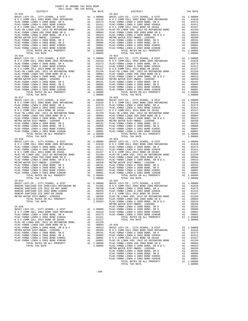COUNTY OF ORANGE TAX RATE BOOK 2017-2018 TRA TAX RATES DISTRICT TAX RATE DISTRICT TAX RATE 25-015 25-021 BASIC LEVY-CO., CITY,SCHOOL, & DIST A1 1.00000 BASIC LEVY-CO., CITY,SCHOOL, & DIST A1 1.00000 N O C COMM COLL 2002 BOND 2005 REFUNDING A1 .01610 N O C COMM COLL 2002 BOND 2005 REFUNDING A1 .01610 PLAC-YORBA LINDA U 2008 BOND, SR A A1 .01573 PLAC-YORBA LINDA U 2008 BOND, SR A A1 .01573 PLAC-YORBA LINDA U 2002 BOND #2002A A1 .01411 PLAC-YORBA LINDA U 2002 BOND #2002A A1 .01411 N O C COMM COLL 2014 BOND SR 2016A A1 .01317 N O C COMM COLL 2014 BOND SR 2016A A1 .01317 PLAC-YB LINDA USD, 2012 GO REFUNDING BOND A1 .01159 PLAC-YB LINDA USD, 2012 GO REFUNDING BOND A1 .01159 PLAC-YORBA LINDA USD 2008 BOND SR Q A1 .00684 PLAC-YORBA LINDA USD 2008 BOND SR Q A1 .00684 PLAC-YORBA LINDA U 2008 BOND, SR B & C A1 .00423 PLAC-YORBA LINDA U 2008 BOND, SR B & C A1 .00423 METRO WATER DIST-MWDOC- 1205999 A1 .00350 METRO WATER DIST-MWDOC- 1205999 A1 .00350 PLAC-YORBA LINDA U 2008 BOND, SR E A1 .00191 PLAC-YORBA LINDA U 2008 BOND, SR E A1 .00191 PLAC-YORBA LINDA U 2008 BOND, SR D A1 .00086 PLAC-YORBA LINDA U 2008 BOND, SR D A1 .00086 PLAC-YORBA LINDA U 2002 BOND #2005C A1 .00001 PLAC-YORBA LINDA U 2002 BOND #2005C A1 .00001 PLAC-YORBA LINDA U 2002 BOND #2004B A1 .00001 PLAC-YORBA LINDA U 2002 BOND #2004B A1 .00001 TOTAL RATES ON ALL PROPERTY A1 1.08806 TOTAL RATES ON ALL PROPERTY A1 1.08806 TOTAL TAX RATE 1.08806 TOTAL TAX RATE 1.08806 25-016<br>BASIC LEVY-CO., CITY, SCHOOL, & DIST A1 1.00000<br>NOC COMM COLL 2002 BOND 2005 REFUNDING A1 .01610 NOC COMM COLL 2002 BOND 2005 REFUNDING A1 .01610<br>PLAC-YORBA LINDA U 2008 BOND, SR A A1 .01573 PLAC-YORBA LINDA U 2008 N O C COMM COLL 2014 BOND SR 2016A A1 .01317 N O C COMM COLL 2014 BOND SR 2016A A1 .01317 PLAC-YB LINDA USD, 2012 GO REFUNDING BOND A1 .01159 PLAC-YB LINDA USD, 2012 GO REFUNDING BOND A1 .01159 PLAC-YORBA LINDA USD 2008 BOND SR Q A1 .00684 PLAC-YORBA LINDA USD 2008 BOND SR Q A1 .00684 PLAC-YORBA LINDA U 2008 BOND, SR B & C A1 .00423 PLAC-YORBA LINDA U 2008 BOND, SR B & C A1 .00423 METRO WATER DIST-MWDOC- 1205999 A1 .00350 METRO WATER DIST-MWDOC- 1205999 A1 .00350 PLAC-YORBA LINDA U 2008 BOND, SR E A1 .00191 PLAC-YORBA LINDA U 2008 BOND, SR E A1 .00191 PLAC-YORBA LINDA U 2008 BOND, SR D A1 .00086 PLAC-YORBA LINDA U 2008 BOND, SR D A1 .00086 PLAC-YORBA LINDA U 2002 BOND #2005C A1 .00001 PLAC-YORBA LINDA U 2002 BOND #2005C A1 .00001 PLAC-YORBA LINDA U 2002 BOND #2004B A1 .00001 PLAC-YORBA LINDA U 2002 BOND #2004B A1 .00001 TOTAL RATES ON ALL PROPERTY A1 1.08806 TOTAL RATES ON ALL PROPERTY A1 1.08806 TOTAL TAX RATE 1.08806 TOTAL TAX RATE 1.08806 25-017<br>BASIC LEVY-CO., CITY, SCHOOL, & DIST A1 1.00000 BASIC LEVY-CO., CITY, SCHOOL, & DIST A1 1.00000<br>NOC COMM COLL 2002 BOND 2005 REFUNDING A1 .01610 NOC COMM COLL 2002 BOND 2005 REFUNDING A1 .01610<br>PLAC-YORBA LINDA U 20  $\begin{tabular}{l|c|c|c|c|c|c} \hline \texttt{PLAC-YORBA LINDA U 2002 BOND &#2002A & A1 & .01411 & PLAC-YORBA LINDA U 2002 BOND &#2016A & A1 & .01411 & PLAC-YORBA LINDA U 2002 BOND &#2016A & A1 & .01411 & .01411 & .01411 & .01411 & .01411 & .01411 & .01411 & .01411 & .01411 & .01411 & .01411 & .01411 & .01411 & .0141</math>$ BASIC LEVY-CO., CITY, SCHOOL, & DIST al 1.00000 BASIC LEVY-CO., CITY, SCHOOL, & DIST Al 1.00000<br>NOC COMM COLL 2002 BOND 2005 REFUNDING AI .01510 NOC COMM COLL 2002 BOND 2005 REFUNDING AL .01610<br>PLAC-YORBA LINDA U 2002 BOND  $\begin{tabular}{l|c|c|c|c|c|c} \hline \texttt{PLAC-YB LINDA USD, 2012 G0 REFUNDING BOND & A1 & .01159 & \texttt{PLAC-YB LINDA USD, 2012 G0 REFUNDING BOND & A1 & .01159 \\ \hline \texttt{PLAC-YORBA LINDA U 2008 BOND S R Q & A1 & .00684 & \texttt{PLAC-YORBA LINDA U 2008 BOND S R Q & A1 & .00684 \\ \hline \texttt{PLAC-YORBA LINDA U 2008 BOND, S R B & C & A1 & .00423 \\ \hline \texttt{METRO$ PLAC–YORBA LINDA U 2008 BOND, SR E A1 .00191 PLAC–YORBA LINDA U 2008 BOND, SR E PLAC–YORBA LINDA U 2008 BOND, SR D<br>
PLAC–YORBA LINDA U 2008 BOND, SR D PLAC–YORBA LINDA U 2008 BOND, SR D PLAC–YORBA LINDA U 2002 BOND #200956 25-019 25-025 BASIC LEVY-CO., CITY,SCHOOL, & DIST A1 1.00000 BASIC LEVY-CO., CITY,SCHOOL, & DIST A1 1.00000 RANCHO SANTIAGO CCD 2005+2011 REFUNDING BD A1 .01305 N O C COMM COLL 2002 BOND 2005 REFUNDING A1 .01610 RANCHO SANTIAGO CCD 2012 GO REF BOND A1 .00760 PLAC-YORBA LINDA U 2008 BOND, SR A A1 .01573 RANCHO SANTIAGO CCD 2002 BOND #2006C A1 .00555 PLAC-YORBA LINDA U 2002 BOND #2002A A1 .01411 RANCHO SANTIAGO CCD 2002 SR 2005B A1 .00393 N O C COMM COLL 2014 BOND SR 2016A A1 .01317 METRO WATER DIST-MWDOC- 1205999 A1 .00350 PLAC-YB LINDA USD, 2012 GO REFUNDING BOND A1 .01159 TOTAL RATES ON ALL PROPERTY A1 1.03363 PLAC-YORBA LINDA USD 2008 BOND SR Q A1 .00684 TOTAL TAX RATE 1.03363 PLAC-YORBA LINDA U 2008 BOND, SR B & C A1 .00423 METRO WATER DIST-MWDOC- 1205999 A1 .00350 25-020 PLAC-YORBA LINDA U 2008 BOND, SR E A1 .00191 BASIC LEVY-CO., CITY,SCHOOL, & DIST A1 1.00000 PLAC-YORBA LINDA U 2008 BOND, SR D A1 .00086 N O C COMM COLL 2002 BOND 2005 REFUNDING A1 .01610 PLAC-YORBA LINDA U 2002 BOND #2005C A1 .00001 PLAC-YORBA LINDA U 2008 BOND, SR A A1 .01573 PLAC-YORBA LINDA U 2002 BOND #2004B A1 .00001 PLAC-YORBA LINDA U 2002 BOND #2002A A1 .01411 TOTAL RATES ON ALL PROPERTY A1 1.08806 N O C COMM COLL 2014 BOND SR 2016A A1 .01317 TOTAL TAX RATE <br>PLAC-YB LINDA USD, 2012 GO REFUNDING BOND A1 .01519<br>PLAC-YORBA LINDA USD 2008 BOND SR Q A1 .00684 25-026 PLAC-YORBA LINDA U 2008 BOND, SR B & C A1 .00423 BASIC LEVY-CO., CITY,SCHOOL, & DIST A1 1.00000 METRO WATER DIST-MWDOC- 1205999 A1 .00350 N O C COMM COLL 2002 BOND 2005 REFUNDING A1 .01610 1.01573 (1573 PLAC-YORBA LINDA U 2008 BOND, SR E (1673 – 2019 11 – 2019 11 – 2019 PLAC-YORBA LINDA U 2008 BOND<br>PLAC-YORBA LINDA U 2008 BOND, SR D (2008 – 2008 – 2008 – 2008 BOND AT ANDA U 2002 2008 PLAC-YORBA LINDA U 200<br>P 1.0002 ELAC-YORBA LIMDA US 2004 BOND AT LIMDA US 2002 BOND AT LIMDA US 2002 BOND AT LIMDA US 2002 BOND AT LIMDA US<br>1.08806 PLAC-YORBA LIMDA USD 2008 BOND SR Q<br>1.00684 DLAC-YORBA LIMDA USD 2008 BOND SR Q<br>1.00684 DLAC-YORBA PLAC-YORBA LINDA U 2008 BOND, SR D A1 .00086 PLAC-YORBA LINDA U 2002 BOND #2005C A1 .00001 PLAC-YORBA LINDA U 2002 BOND #2004B A1 .00001 TOTAL RATES ON ALL PROPERTY A1 1.08806 TOTAL TAX RATE THAT A RATE TO PART OF A LOBO OF THE RATE OF A LOBO OF A LOBO OF A LOBO OF A LOBO OF A LOBO OF A LOBO OF A LOBO OF A LOBO OF A LOBO OF A LOBO OF A LOBO OF A LOBO OF A LOBO OF A LOBO OF A LOBO OF A LOBO OF A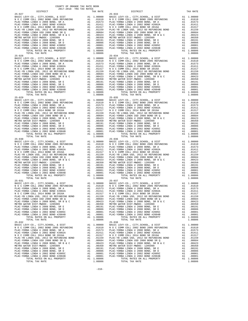COUNTY OF ORANGE TAX RATE BOOK 2017-2018 TRA TAX RATES DISTRICT TAX RATE DISTRICT TAX RATE 25-027 25-033 BASIC LEVY-CO., CITY,SCHOOL, & DIST A1 1.00000 BASIC LEVY-CO., CITY,SCHOOL, & DIST A1 1.00000 N O C COMM COLL 2002 BOND 2005 REFUNDING A1 .01610 N O C COMM COLL 2002 BOND 2005 REFUNDING A1 .01610 PLAC-YORBA LINDA U 2008 BOND, SR A A1 .01573 PLAC-YORBA LINDA U 2008 BOND, SR A A1 .01573 PLAC-YORBA LINDA U 2002 BOND #2002A A1 .01411 PLAC-YORBA LINDA U 2002 BOND #2002A A1 .01411 N O C COMM COLL 2014 BOND SR 2016A A1 .01317 N O C COMM COLL 2014 BOND SR 2016A A1 .01317 PLAC-YB LINDA USD, 2012 GO REFUNDING BOND A1 .01159 PLAC-YB LINDA USD, 2012 GO REFUNDING BOND A1 .01159 PLAC-YORBA LINDA USD 2008 BOND SR Q A1 .00684 PLAC-YORBA LINDA USD 2008 BOND SR Q A1 .00684 PLAC-YORBA LINDA U 2008 BOND, SR B & C A1 .00423 PLAC-YORBA LINDA U 2008 BOND, SR B & C A1 .00423 METRO WATER DIST-MWDOC- 1205999 A1 .00350 METRO WATER DIST-MWDOC- 1205999 A1 .00350 PLAC-YORBA LINDA U 2008 BOND, SR E A1 .00191 PLAC-YORBA LINDA U 2008 BOND, SR E A1 .00191 PLAC-YORBA LINDA U 2008 BOND, SR D A1 .00086 PLAC-YORBA LINDA U 2008 BOND, SR D A1 .00086 PLAC-YORBA LINDA U 2002 BOND #2005C A1 .00001 PLAC-YORBA LINDA U 2002 BOND #2005C A1 .00001 PLAC-YORBA LINDA U 2002 BOND #2004B A1 .00001 PLAC-YORBA LINDA U 2002 BOND #2004B A1 .00001 TOTAL RATES ON ALL PROPERTY A1 1.08806 TOTAL RATES ON ALL PROPERTY A1 1.08806 TOTAL TAX RATE 1.08806 TOTAL TAX RATE 1.08806 25-028<br>BASIC LEVY-CO., CITY, SCHOOL, & DIST A1 1.00000<br>NOC COMM COLL 2002 BOND 2005 REFUNDING A1 .01610 NOC COMM COLL 2002 BOND 2005 REFUNDING A1 .01610<br>PLAC-YORBA LINDA U 2008 BOND, SR A A1 .01573 PLAC-YORBA LINDA U 2008  $\begin{tabular}{l|c|c|c|c|c|c|c} \multicolumn{4}{c}{\textbf{N O C COM COLL} \hbox{ 2014 BOND SR 2016A}} & \multicolumn{4}{c}{\textbf{A1}} & .01159 & \multicolumn{4}{c}{\textbf{N O C COM OCOL 2016 A BOND SR 2016A}} & \multicolumn{4}{c}{\textbf{A1}} & .01159 \\ \hline \multicolumn{4}{c}{\textbf{PLAC-YORBA LINDA U 2008 BOND SR Q}} & \multicolumn{4}{c}{\textbf{A1}} & .01159 & \multicolumn{4}{c}{\text$  25-029 25-035 BASIC LEVY-CO., CITY,SCHOOL, & DIST A1 1.00000 BASIC LEVY-CO., CITY,SCHOOL, & DIST A1 1.00000 N O C COMM COLL 2002 BOND 2005 REFUNDING A1 .01610 N O C COMM COLL 2002 BOND 2005 REFUNDING A1 .01610 PLAC-YORBA LINDA U 2008 BOND, SR A A1 .01573 PLAC-YORBA LINDA U 2008 BOND, SR A A1 .01573 PLAC-YORBA LINDA U 2002 BOND #2002A A1 .01411 PLAC-YORBA LINDA U 2002 BOND #2002A A1 .01411 N O C COMM COLL 2014 BOND SR 2016A A1 .01317 N O C COMM COLL 2014 BOND SR 2016A A1 .01317 PLAC-YB LINDA USD, 2012 GO REFUNDING BOND A1 .01159 PLAC-YB LINDA USD, 2012 GO REFUNDING BOND A1 .01159 PLAC-YORBA LINDA USD 2008 BOND SR Q A1 .00684 PLAC-YORBA LINDA USD 2008 BOND SR Q A1 .00684 PLAC-YORBA LINDA U 2008 BOND, SR B & C A1 .00423 PLAC-YORBA LINDA U 2008 BOND, SR B & C A1 .00423 METRO WATER DIST-MWDOC- 1205999 A1 .00350 METRO WATER DIST-MWDOC- 1205999 A1 .00350 PLAC-YORBA LINDA U 2008 BOND, SR E A1 .00191 PLAC-YORBA LINDA U 2008 BOND, SR E A1 .00191 PLAC-YORBA LINDA U 2008 BOND, SR D A1 .00086 PLAC-YORBA LINDA U 2008 BOND, SR D A1 .00086 PLAC-YORBA LINDA U 2002 BOND #2005C A1 .00001 PLAC-YORBA LINDA U 2002 BOND #2005C A1 .00001 PLAC-YORBA LINDA U 2002 BOND #2004B A1 .00001 PLAC-YORBA LINDA U 2002 BOND #2004B A1 .00001 TOTAL RATES ON ALL PROPERTY A1 1.08806 TOTAL RATES ON ALL PROPERTY A1 1.08806 TOTAL TAX RATE 1.08806 TOTAL TAX RATE 1.08806 25-030 25-036 BASIC LEVY-CO., CITY,SCHOOL, & DIST A1 1.00000 BASIC LEVY-CO., CITY,SCHOOL, & DIST A1 1.00000 N O C COMM COLL 2002 BOND 2005 REFUNDING A1 .01610 N O C COMM COLL 2002 BOND 2005 REFUNDING A1 .01610 PLAC-YORBA LINDA U 2008 BOND, SR A A1 .01573 PLAC-YORBA LINDA U 2008 BOND, SR A A1 .01573  $\begin{tabular}{ l|c|c|c|c|c|c|c|c} \hline \texttt{PLAC-YORBA LINDA U 2002 BOND & \#2002A & \texttt{A1} & .01411 & \texttt{PLAC-YORBA LINDA U 2002 BOND & \#2002A & \texttt{A1} & .01411 \\ \hline \texttt{N O C COM COLA} & 2014& \texttt{BOND S R 2016A} & \texttt{A1} & .01159 & \texttt{N O C COM O COM OCDL 2014 BOND S R 2016A} & \texttt{A1} & .01157 \\ \hline \texttt{$  $\begin{tabular}{lcccc} 25-031 & 25-037 \\ \text{BASIC LEVY-CO., CITY, SCHOOL, & DIST & A1 & 1.00000 \\ \text{N O C COMM COLL 2002 BOND 2005 REFUNDING & A1 & .01610 \\ \text{N O C COMM COLL 2002 BOND 2005 REFUNDING & A1 & .01610 \\ \text{PLAC-YORBA LINDA U 2002 BOND 2005 REFUNDING & A1 & .01573 \\ \text{PLAC-YORBA LINDA U 2002 BOND 2005 RBFUNDING & A1 & .01573 \\ \text{PLAC-YORBA$  PLAC-YORBA LINDA USD 2008 BOND SR Q A1 .00684 PLAC-YORBA LINDA USD 2008 BOND SR Q A1 .00684 PLAC-YORBA LINDA U 2008 BOND, SR B & C A1 .00423 PLAC-YORBA LINDA U 2008 BOND, SR B & C A1 .00423 METRO WATER DIST-MWDOC- 1205999 A1 .00350 METRO WATER DIST-MWDOC- 1205999 A1 .00350 PLAC-YORBA LINDA U 2008 BOND, SR E A1 .00191 PLAC-YORBA LINDA U 2008 BOND, SR E A1 .00191 PLAC-YORBA LINDA U 2008 BOND, SR D A1 .00086 PLAC-YORBA LINDA U 2008 BOND, SR D A1 .00086 PLAC-YORBA LINDA U 2002 BOND #2005C A1 .00001 PLAC-YORBA LINDA U 2002 BOND #2005C A1 .00001 PLAC-YORBA LINDA U 2002 BOND #2004B A1 .00001 PLAC-YORBA LINDA U 2002 BOND #2004B A1 .00001 TOTAL RATES ON ALL PROPERTY A1 1.08806 TOTAL RATES ON ALL PROPERTY A1 1.08806 TOTAL TAX RATE 1.08806 TOTAL TAX RATE 1.08806 25-032 25-038 BASIC LEVY-CO., CITY,SCHOOL, & DIST A1 1.00000 BASIC LEVY-CO., CITY,SCHOOL, & DIST A1 1.00000 N O C COMM COLL 2002 BOND 2005 REFUNDING A1 .01610 N O C COMM COLL 2002 BOND 2005 REFUNDING A1 .01610 PLAC-YORBA LINDA U 2008 BOND, SR A A1 .01573 PLAC-YORBA LINDA U 2008 BOND, SR A A1 .01573 PLAC-YORBA LINDA U 2002 BOND #2002A A1 .01411 PLAC-YORBA LINDA U 2002 BOND #2002A A1 .01411  $\begin{tabular}{l|c|c|c|c|c|c|c} \multicolumn{4}{c}{\textbf{N} & $\mathcal{O}$ & $\mathcal{O}$ \\ \multicolumn{4}{c}{\textbf{PLAC}-YORBA LINDA USD} & $\mathcal{O}$ & $\mathcal{O}$ \\ \multicolumn{4}{c}{\textbf{PLAC}-YORBA LINDA USD} & $\mathcal{O}$ & $\mathcal{O}$ \\ \multicolumn{4}{c}{\textbf{PLAC}-YORBA LINDA USD} & $\mathcal{O}$ & $\mathcal{O}$ \\ \multicolumn{4}{c}{\textbf{PLAC}-YORBA LINDA USD} & $\mathcal{O}$ & $\mathcal{O}$ \\ \multicolumn$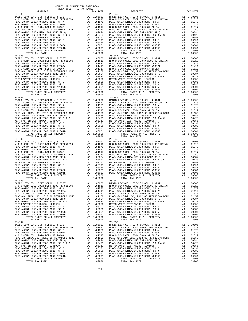COUNTY OF ORANGE TAX RATE BOOK 2017-2018 TRA TAX RATES DISTRICT TAX RATE DISTRICT TAX RATE 25-039 25-045 BASIC LEVY-CO., CITY,SCHOOL, & DIST A1 1.00000 BASIC LEVY-CO., CITY,SCHOOL, & DIST A1 1.00000 N O C COMM COLL 2002 BOND 2005 REFUNDING A1 .01610 N O C COMM COLL 2002 BOND 2005 REFUNDING A1 .01610 PLAC-YORBA LINDA U 2008 BOND, SR A A1 .01573 PLAC-YORBA LINDA U 2008 BOND, SR A A1 .01573 PLAC-YORBA LINDA U 2002 BOND #2002A A1 .01411 PLAC-YORBA LINDA U 2002 BOND #2002A A1 .01411 N O C COMM COLL 2014 BOND SR 2016A A1 .01317 N O C COMM COLL 2014 BOND SR 2016A A1 .01317 PLAC-YB LINDA USD, 2012 GO REFUNDING BOND A1 .01159 PLAC-YB LINDA USD, 2012 GO REFUNDING BOND A1 .01159 PLAC-YORBA LINDA USD 2008 BOND SR Q A1 .00684 PLAC-YORBA LINDA USD 2008 BOND SR Q A1 .00684 PLAC-YORBA LINDA U 2008 BOND, SR B & C A1 .00423 PLAC-YORBA LINDA U 2008 BOND, SR B & C A1 .00423 METRO WATER DIST-MWDOC- 1205999 A1 .00350 METRO WATER DIST-MWDOC- 1205999 A1 .00350 PLAC-YORBA LINDA U 2008 BOND, SR E A1 .00191 PLAC-YORBA LINDA U 2008 BOND, SR E A1 .00191 PLAC-YORBA LINDA U 2008 BOND, SR D A1 .00086 PLAC-YORBA LINDA U 2008 BOND, SR D A1 .00086 PLAC-YORBA LINDA U 2002 BOND #2005C A1 .00001 PLAC-YORBA LINDA U 2002 BOND #2005C A1 .00001 PLAC-YORBA LINDA U 2002 BOND #2004B A1 .00001 PLAC-YORBA LINDA U 2002 BOND #2004B A1 .00001 TOTAL RATES ON ALL PROPERTY A1 1.08806 TOTAL RATES ON ALL PROPERTY A1 1.08806 TOTAL TAX RATE 1.08806 TOTAL TAX RATE 1.08806 25-040<br>BASIC LEVY-CO., CITY, SCHOOL, & DIST A1 1.00000<br>NOC COMM COLL 2002 BOND 2005 REFUNDING A1 .01610 NOC COMM COLL 2002 BOND 2005 REFUNDING A1 .01610<br>PLAC-YORBA LINDA U 2008 BOND, SR A A1 .01573 PLAC-YORBA LINDA U 2008  $\begin{tabular}{l|c|c|c|c|c|c|c} \multicolumn{4}{c}{\textbf{N O C COM COLL} \hbox{ 2014 BOND SR 2016A}} & \multicolumn{4}{c}{\textbf{A1}} & .01159 & \multicolumn{4}{c}{\textbf{N O C COM OCOL 2016 A BOND SR 2016A}} & \multicolumn{4}{c}{\textbf{A1}} & .01159 \\ \hline \multicolumn{4}{c}{\textbf{PLAC-YORBA LINDA U 2008 BOND SR Q}} & \multicolumn{4}{c}{\textbf{A1}} & .01159 & \multicolumn{4}{c}{\text$  25-041 25-047 BASIC LEVY-CO., CITY,SCHOOL, & DIST A1 1.00000 BASIC LEVY-CO., CITY,SCHOOL, & DIST A1 1.00000 N O C COMM COLL 2002 BOND 2005 REFUNDING A1 .01610 N O C COMM COLL 2002 BOND 2005 REFUNDING A1 .01610 PLAC-YORBA LINDA U 2008 BOND, SR A A1 .01573 PLAC-YORBA LINDA U 2008 BOND, SR A A1 .01573 PLAC-YORBA LINDA U 2002 BOND #2002A A1 .01411 PLAC-YORBA LINDA U 2002 BOND #2002A A1 .01411 N O C COMM COLL 2014 BOND SR 2016A A1 .01317 N O C COMM COLL 2014 BOND SR 2016A A1 .01317 PLAC-YB LINDA USD, 2012 GO REFUNDING BOND A1 .01159 PLAC-YB LINDA USD, 2012 GO REFUNDING BOND A1 .01159 PLAC-YORBA LINDA USD 2008 BOND SR Q A1 .00684 PLAC-YORBA LINDA USD 2008 BOND SR Q A1 .00684 PLAC-YORBA LINDA U 2008 BOND, SR B & C A1 .00423 PLAC-YORBA LINDA U 2008 BOND, SR B & C A1 .00423 METRO WATER DIST-MWDOC- 1205999 A1 .00350 METRO WATER DIST-MWDOC- 1205999 A1 .00350 PLAC-YORBA LINDA U 2008 BOND, SR E A1 .00191 PLAC-YORBA LINDA U 2008 BOND, SR E A1 .00191 PLAC-YORBA LINDA U 2008 BOND, SR D A1 .00086 PLAC-YORBA LINDA U 2008 BOND, SR D A1 .00086 PLAC-YORBA LINDA U 2002 BOND #2005C A1 .00001 PLAC-YORBA LINDA U 2002 BOND #2005C A1 .00001 PLAC-YORBA LINDA U 2002 BOND #2004B A1 .00001 PLAC-YORBA LINDA U 2002 BOND #2004B A1 .00001 TOTAL RATES ON ALL PROPERTY A1 1.08806 TOTAL RATES ON ALL PROPERTY A1 1.08806 TOTAL TAX RATE 1.08806 TOTAL TAX RATE 1.08806 25-042 25-048 BASIC LEVY-CO., CITY,SCHOOL, & DIST A1 1.00000 BASIC LEVY-CO., CITY,SCHOOL, & DIST A1 1.00000 N O C COMM COLL 2002 BOND 2005 REFUNDING A1 .01610 N O C COMM COLL 2002 BOND 2005 REFUNDING A1 .01610 PLAC-YORBA LINDA U 2008 BOND, SR A A1 .01573 PLAC-YORBA LINDA U 2008 BOND, SR A A1 .01573  $\begin{tabular}{ l|c|c|c|c|c|c|c|c} \hline \texttt{PLAC-YORBA LINDA U 2002 BOND & \#2002A & \texttt{A1} & .01411 & \texttt{PLAC-YORBA LINDA U 2002 BOND & \#2002A & \texttt{A1} & .01411 \\ \hline \texttt{N O C COM COLA} & 2014& \texttt{BOND S R 2016A} & \texttt{A1} & .01159 & \texttt{N O C COM O COM OCDL 2014 BOND S R 2016A} & \texttt{A1} & .01157 \\ \hline \texttt{$  $\begin{tabular}{lcccc} 25-043 & 25-049 \\ \texttt{BAS-CEVY-CO.}, CITY, SCHOOL, & \& DIST & \& A1 & 1.00000 \\ \texttt{N} & O & COMM COLL & 2002 & BOND & 2005 & REFUNDING & \& A1 & .01610 \\ \texttt{N} & O & COMM COLL & 2002 & BOND & 2005 & REFUNDING & \& A1 & .01610 \\ \texttt{PLAC-YORBA LINDA U 2002 & BOND & 2005 & REFUNDING & \& A1 & .01573 \\ \texttt{PLAC-YORBA LINDA U 200$ PLAC-YORBA LINDA USD 2008 BOND SR Q<br>
PLAC-YORBA LINDA USD 2008 BOND SR Q<br>
PLAC-YORBA LINDA U 2008 BOND, SR B & C<br>
METRO WATER DIST-MWDOC- 120599<br>
METRO WATER DIST-MWDOC- 120599<br>
METRO WATER DIST-MWDOC- 120599<br>
PLAC-YORBA L BASIC LEVY-CO., CITY, SCHOOL, & DIST<br>NOC COMM COLL 2002 BOND 2005 REFUNDING A1 .010000 BASIC LEVY-CO., CITY, SCHOOL, & DIST A1 1.00000<br>PLAC-YORBA LINDA U 2008 BOND, SR A A1 .01573 PLAC-YORBA LINDA U 2008 BOND, SR A A1 .015  $\begin{tabular}{l|c|c|c|c|c|c|c} \multicolumn{4}{c}{\textbf{N} & $\mathcal{O}$ & $\mathcal{O}$ \\ \multicolumn{4}{c}{\textbf{PLAC}-YORBA LINDA USD} & $\mathcal{O}$ & $\mathcal{O}$ \\ \multicolumn{4}{c}{\textbf{PLAC}-YORBA LINDA USD} & $\mathcal{O}$ & $\mathcal{O}$ \\ \multicolumn{4}{c}{\textbf{PLAC}-YORBA LINDA USD} & $\mathcal{O}$ & $\mathcal{O}$ \\ \multicolumn{4}{c}{\textbf{PLAC}-YORBA LINDA USD} & $\mathcal{O}$ & $\mathcal{O}$ \\ \multicolumn$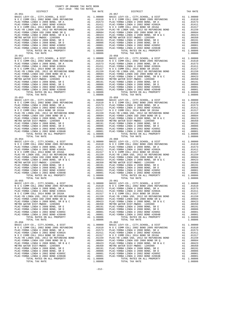COUNTY OF ORANGE TAX RATE BOOK 2017-2018 TRA TAX RATES DISTRICT TAX RATE DISTRICT TAX RATE 25-051 25-057 BASIC LEVY-CO., CITY,SCHOOL, & DIST A1 1.00000 BASIC LEVY-CO., CITY,SCHOOL, & DIST A1 1.00000 N O C COMM COLL 2002 BOND 2005 REFUNDING A1 .01610 N O C COMM COLL 2002 BOND 2005 REFUNDING A1 .01610 PLAC-YORBA LINDA U 2008 BOND, SR A A1 .01573 PLAC-YORBA LINDA U 2008 BOND, SR A A1 .01573 PLAC-YORBA LINDA U 2002 BOND #2002A A1 .01411 PLAC-YORBA LINDA U 2002 BOND #2002A A1 .01411 N O C COMM COLL 2014 BOND SR 2016A A1 .01317 N O C COMM COLL 2014 BOND SR 2016A A1 .01317 PLAC-YB LINDA USD, 2012 GO REFUNDING BOND A1 .01159 PLAC-YB LINDA USD, 2012 GO REFUNDING BOND A1 .01159 PLAC-YORBA LINDA USD 2008 BOND SR Q A1 .00684 PLAC-YORBA LINDA USD 2008 BOND SR Q A1 .00684 PLAC-YORBA LINDA U 2008 BOND, SR B & C A1 .00423 PLAC-YORBA LINDA U 2008 BOND, SR B & C A1 .00423 METRO WATER DIST-MWDOC- 1205999 A1 .00350 METRO WATER DIST-MWDOC- 1205999 A1 .00350 PLAC-YORBA LINDA U 2008 BOND, SR E A1 .00191 PLAC-YORBA LINDA U 2008 BOND, SR E A1 .00191 PLAC-YORBA LINDA U 2008 BOND, SR D A1 .00086 PLAC-YORBA LINDA U 2008 BOND, SR D A1 .00086 PLAC-YORBA LINDA U 2002 BOND #2005C A1 .00001 PLAC-YORBA LINDA U 2002 BOND #2005C A1 .00001 PLAC-YORBA LINDA U 2002 BOND #2004B A1 .00001 PLAC-YORBA LINDA U 2002 BOND #2004B A1 .00001 TOTAL RATES ON ALL PROPERTY A1 1.08806 TOTAL RATES ON ALL PROPERTY A1 1.08806 TOTAL TAX RATE 1.08806 TOTAL TAX RATE 1.08806 25-052<br>BASIC LEVY-CO., CITY, SCHOOL, & DIST A1 1.00000<br>NOC COMM COLL 2002 BOND 2005 REFUNDING A1 .01610 NOC COMM COLL 2002 BOND 2005 REFUNDING A1 .01610<br>PLAC-YORBA LINDA U 2008 BOND, SR A A1 .01573 PLAC-YORBA LINDA U 2008  $\begin{tabular}{l|c|c|c|c|c|c|c} \multicolumn{4}{c}{\textbf{N O C COM COLL} \hbox{ 2014 BOND SR 2016A}} & \multicolumn{4}{c}{\textbf{A1}} & .01159 & \multicolumn{4}{c}{\textbf{N O C COM OCOL 2016 A BOND SR 2016A}} & \multicolumn{4}{c}{\textbf{A1}} & .01159 \\ \hline \multicolumn{4}{c}{\textbf{PLAC-YORBA LINDA U 2008 BOND SR Q}} & \multicolumn{4}{c}{\textbf{A1}} & .01159 & \multicolumn{4}{c}{\text$  25-053 25-059 BASIC LEVY-CO., CITY,SCHOOL, & DIST A1 1.00000 BASIC LEVY-CO., CITY,SCHOOL, & DIST A1 1.00000 N O C COMM COLL 2002 BOND 2005 REFUNDING A1 .01610 N O C COMM COLL 2002 BOND 2005 REFUNDING A1 .01610 PLAC-YORBA LINDA U 2008 BOND, SR A A1 .01573 PLAC-YORBA LINDA U 2008 BOND, SR A A1 .01573 PLAC-YORBA LINDA U 2002 BOND #2002A A1 .01411 PLAC-YORBA LINDA U 2002 BOND #2002A A1 .01411 N O C COMM COLL 2014 BOND SR 2016A A1 .01317 N O C COMM COLL 2014 BOND SR 2016A A1 .01317 PLAC-YB LINDA USD, 2012 GO REFUNDING BOND A1 .01159 PLAC-YB LINDA USD, 2012 GO REFUNDING BOND A1 .01159 PLAC-YORBA LINDA USD 2008 BOND SR Q A1 .00684 PLAC-YORBA LINDA USD 2008 BOND SR Q A1 .00684 PLAC-YORBA LINDA U 2008 BOND, SR B & C A1 .00423 PLAC-YORBA LINDA U 2008 BOND, SR B & C A1 .00423 METRO WATER DIST-MWDOC- 1205999 A1 .00350 METRO WATER DIST-MWDOC- 1205999 A1 .00350 PLAC-YORBA LINDA U 2008 BOND, SR E A1 .00191 PLAC-YORBA LINDA U 2008 BOND, SR E A1 .00191 PLAC-YORBA LINDA U 2008 BOND, SR D A1 .00086 PLAC-YORBA LINDA U 2008 BOND, SR D A1 .00086 PLAC-YORBA LINDA U 2002 BOND #2005C A1 .00001 PLAC-YORBA LINDA U 2002 BOND #2005C A1 .00001 PLAC-YORBA LINDA U 2002 BOND #2004B A1 .00001 PLAC-YORBA LINDA U 2002 BOND #2004B A1 .00001 TOTAL RATES ON ALL PROPERTY A1 1.08806 TOTAL RATES ON ALL PROPERTY A1 1.08806 TOTAL TAX RATE 1.08806 TOTAL TAX RATE 1.08806 25-054 25-060 BASIC LEVY-CO., CITY,SCHOOL, & DIST A1 1.00000 BASIC LEVY-CO., CITY,SCHOOL, & DIST A1 1.00000 N O C COMM COLL 2002 BOND 2005 REFUNDING A1 .01610 N O C COMM COLL 2002 BOND 2005 REFUNDING A1 .01610 PLAC-YORBA LINDA U 2008 BOND, SR A A1 .01573 PLAC-YORBA LINDA U 2008 BOND, SR A A1 .01573  $\begin{tabular}{ l|c|c|c|c|c|c|c|c} \hline \texttt{PLAC-YORBA LINDA U 2002 BOND & \#2002A & \texttt{A1} & .01411 & \texttt{PLAC-YORBA LINDA U 2002 BOND & \#2002A & \texttt{A1} & .01411 \\ \hline \texttt{N O C COM COLA} & 2014& \texttt{BOND S R 2016A} & \texttt{A1} & .01159 & \texttt{N O C COM O COM OCDL 2014 BOND S R 2016A} & \texttt{A1} & .01157 \\ \hline \texttt{$  $\begin{tabular}{lcccc} 25-055 & 25-061 & 25-061 & 25-061 & 25-061 & 25-061 & 25-061 & 25-061 & 25-061 & 25-061 & 25-061 & 25-061 & 25-061 & 25-061 & 25-061 & 25-061 & 25-061 & 25-061 & 25-061 & 25-061 & 25-061 & 25-061 & 25-061 & 25-061 & 25-061 & 25-061 & 25$ PLAC-YORBA LINDA USD 2008 BOND SR Q<br>
PLAC-YORBA LINDA USD 2008 BOND SR Q<br>
PLAC-YORBA LINDA U 2008 BOND, SR B & C<br>
METRO WATER DIST-MWDOC- 120599<br>
METRO WATER DIST-MWDOC- 120599<br>
METRO WATER DIST-MWDOC- 120599<br>
PLAC-YORBA L BASIC LEVY-CO., CITY, SCHOOL, & DIST<br>NOC COMM COLL 2002 BOND 2005 REFUNDING A1 .010000 BASIC LEVY-CO., CITY, SCHOOL, & DIST A1 1.00000<br>PLAC-YORBA LINDA U 2008 BOND, SR A A1 .01573 PLAC-YORBA LINDA U 2008 BOND, SR A A1 .015  $\begin{tabular}{l|c|c|c|c|c|c|c} \multicolumn{4}{c}{\textbf{N} & $\mathcal{O}$ & $\mathcal{O}$ \\ \multicolumn{4}{c}{\textbf{PLAC}-YORBA LINDA USD} & $\mathcal{O}$ & $\mathcal{O}$ \\ \multicolumn{4}{c}{\textbf{PLAC}-YORBA LINDA USD} & $\mathcal{O}$ & $\mathcal{O}$ \\ \multicolumn{4}{c}{\textbf{PLAC}-YORBA LINDA USD} & $\mathcal{O}$ & $\mathcal{O}$ \\ \multicolumn{4}{c}{\textbf{PLAC}-YORBA LINDA USD} & $\mathcal{O}$ & $\mathcal{O}$ \\ \multicolumn$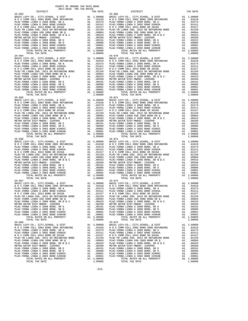COUNTY OF ORANGE TAX RATE BOOK 2017-2018 TRA TAX RATES DISTRICT TAX RATE DISTRICT TAX RATE 25-063 25-069 BASIC LEVY-CO., CITY,SCHOOL, & DIST A1 1.00000 BASIC LEVY-CO., CITY,SCHOOL, & DIST A1 1.00000 N O C COMM COLL 2002 BOND 2005 REFUNDING A1 .01610 N O C COMM COLL 2002 BOND 2005 REFUNDING A1 .01610 PLAC-YORBA LINDA U 2008 BOND, SR A A1 .01573 PLAC-YORBA LINDA U 2008 BOND, SR A A1 .01573 PLAC-YORBA LINDA U 2002 BOND #2002A A1 .01411 PLAC-YORBA LINDA U 2002 BOND #2002A A1 .01411 N O C COMM COLL 2014 BOND SR 2016A A1 .01317 N O C COMM COLL 2014 BOND SR 2016A A1 .01317 PLAC-YB LINDA USD, 2012 GO REFUNDING BOND A1 .01159 PLAC-YB LINDA USD, 2012 GO REFUNDING BOND A1 .01159 PLAC-YORBA LINDA USD 2008 BOND SR Q A1 .00684 PLAC-YORBA LINDA USD 2008 BOND SR Q A1 .00684 PLAC-YORBA LINDA U 2008 BOND, SR B & C A1 .00423 PLAC-YORBA LINDA U 2008 BOND, SR B & C A1 .00423 METRO WATER DIST-MWDOC- 1205999 A1 .00350 METRO WATER DIST-MWDOC- 1205999 A1 .00350 PLAC-YORBA LINDA U 2008 BOND, SR E A1 .00191 PLAC-YORBA LINDA U 2008 BOND, SR E A1 .00191 PLAC-YORBA LINDA U 2008 BOND, SR D A1 .00086 PLAC-YORBA LINDA U 2008 BOND, SR D A1 .00086 PLAC-YORBA LINDA U 2002 BOND #2005C A1 .00001 PLAC-YORBA LINDA U 2002 BOND #2005C A1 .00001 PLAC-YORBA LINDA U 2002 BOND #2004B A1 .00001 PLAC-YORBA LINDA U 2002 BOND #2004B A1 .00001 TOTAL RATES ON ALL PROPERTY A1 1.08806 TOTAL RATES ON ALL PROPERTY A1 1.08806 TOTAL TAX RATE 1.08806 TOTAL TAX RATE 1.08806 25-064<br>BASIC LEVY-CO., CITY, SCHOOL, & DIST<br>NOC COMM COLL 2002 BOND 2005 REFUNDING A1 .00000 BASIC LEVY-CO., CITY, SCHOOL, & DIST A1 1.00000<br>PLAC-YORBA LINDA U 2008 BOND, SR A A1 .01573 PLAC-YORBA LINDA U 2008 BOND, SR A A  $\begin{tabular}{l|c|c|c|c|c|c|c} \multicolumn{4}{c}{\textbf{N O C COM COLL} \hbox{ 2014 BOND SR 2016A}} & \multicolumn{4}{c}{\textbf{A1}} & .01159 & \multicolumn{4}{c}{\textbf{N O C COM OCOL 2016 A BOND SR 2016A}} & \multicolumn{4}{c}{\textbf{A1}} & .01159 \\ \hline \multicolumn{4}{c}{\textbf{PLAC-YORBA LINDA U 2008 BOND SR Q}} & \multicolumn{4}{c}{\textbf{A1}} & .01159 & \multicolumn{4}{c}{\text$ 25-015<br>BASIC LEVY-CO., CITY, SCHOOL, & DIST A1 1.00000 BASIC LEVY-CO., CITY, SCHOOL, & DIST A1 1.00000<br>NOC COMM COLL 2002 BOND 2005 REFUNDING A1 .01610 NOC COMM COLL 2002 BOND 2005 REFUNDING A1 .01610<br>PLAC-YORBA LINDA U 20  $\begin{tabular}{l|c|c|c|c|c|c} \hline \texttt{PLAC-YORBA LINDA U 2002 BOND &#2002A & A1 & .01411 & PLAC-YORBA LINDA U 2002 BOND &#2016A & A1 & .01411 & PLAC-YORBA LINDA U 2002 BOND &#2016A & A1 & .01411 & .01411 & .01411 & .01411 & .01411 & .01411 & .01411 & .01411 & .01411 & .01411 & .01411 & .01411 & .01411 & .0141</math>$  BASIC LEVY-CO., CITY,SCHOOL, & DIST A1 1.00000 BASIC LEVY-CO., CITY,SCHOOL, & DIST A1 1.00000 N O C COMM COLL 2002 BOND 2005 REFUNDING A1 .01610 N O C COMM COLL 2002 BOND 2005 REFUNDING A1 .01610 PLAC-YORBA LINDA U 2008 BOND, SR A A1 .01573 PLAC-YORBA LINDA U 2008 BOND, SR A A1 .01573  $\begin{tabular}{ l|c|c|c|c|c|c|c|c} \hline \texttt{PLAC-YORBA LINDA U 2002 BOND & \#2002A & \texttt{A1} & .01411 & \texttt{PLAC-YORBA LINDA U 2002 BOND & \#2002A & \texttt{A1} & .01411 \\ \hline \texttt{N O C COM COLA} & 2014& \texttt{BOND S R 2016A} & \texttt{A1} & .01159 & \texttt{N O C COM O COM OCDL 2014 BOND S R 2016A} & \texttt{A1} & .01157 \\ \hline \texttt{$  25-067 25-073 BASIC LEVY-CO., CITY,SCHOOL, & DIST A1 1.00000 BASIC LEVY-CO., CITY,SCHOOL, & DIST A1 1.00000 N O C COMM COLL 2002 BOND 2005 REFUNDING A1 .01610 N O C COMM COLL 2002 BOND 2005 REFUNDING A1 .01610 PLAC-YORBA LINDA U 2008 BOND, SR A A1 .01573 PLAC-YORBA LINDA U 2008 BOND, SR A A1 .01573 PLAC-YORBA LINDA U 2002 BOND #2002A A1 .01411 PLAC-YORBA LINDA U 2002 BOND #2002A A1 .01411 N O C COMM COLL 2014 BOND SR 2016A A1 .01317 N O C COMM COLL 2014 BOND SR 2016A A1 .01317 PLAC-YB LINDA USD, 2012 GO REFUNDING BOND A1 .01159 PLAC-YB LINDA USD, 2012 GO REFUNDING BOND A1 .01159 PLAC-YORBA LINDA USD 2008 BOND SR Q A1 .00684 PLAC-YORBA LINDA USD 2008 BOND SR Q A1 .00684 PLAC-YORBA LINDA U 2008 BOND, SR B & C A1 .00423 PLAC-YORBA LINDA U 2008 BOND, SR B & C A1 .00423 METRO WATER DIST-MWDOC- 1205999 A1 .00350 METRO WATER DIST-MWDOC- 1205999 A1 .00350 PLAC-YORBA LINDA U 2008 BOND, SR E A1 .00191 PLAC-YORBA LINDA U 2008 BOND, SR E A1 .00191 PLAC-YORBA LINDA U 2008 BOND, SR D A1 .00086 PLAC-YORBA LINDA U 2008 BOND, SR D A1 .00086 PLAC-YORBA LINDA U 2002 BOND #2005C A1 .00001 PLAC-YORBA LINDA U 2002 BOND #2005C A1 .00001 PLAC-YORBA LINDA U 2002 BOND #2004B A1 .00001 PLAC-YORBA LINDA U 2002 BOND #2004B A1 .00001 TOTAL RATES ON ALL PROPERTY A1 1.08806 TOTAL RATES ON ALL PROPERTY A1 1.08806 TOTAL TAX RATE 1.08806 TOTAL TAX RATE 1.08806 25-068 25-074 BASIC LEVY-CO., CITY,SCHOOL, & DIST A1 1.00000 BASIC LEVY-CO., CITY,SCHOOL, & DIST A1 1.00000 N O C COMM COLL 2002 BOND 2005 REFUNDING A1 .01610 N O C COMM COLL 2002 BOND 2005 REFUNDING A1 .01610 PLAC-YORBA LINDA U 2008 BOND, SR A A1 .01573 PLAC-YORBA LINDA U 2008 BOND, SR A A1 .01573 PLAC-YORBA LINDA U 2002 BOND #2002A A1 .01411 PLAC-YORBA LINDA U 2002 BOND #2002A A1 .01411  $\begin{tabular}{l|c|c|c|c|c|c|c} \multicolumn{4}{c}{\textbf{N} & $\mathcal{O}$ & $\mathcal{O}$ \\ \multicolumn{4}{c}{\textbf{PLAC}-YORBA LINDA USD} & $\mathcal{O}$ & $\mathcal{O}$ \\ \multicolumn{4}{c}{\textbf{PLAC}-YORBA LINDA USD} & $\mathcal{O}$ & $\mathcal{O}$ \\ \multicolumn{4}{c}{\textbf{PLAC}-YORBA LINDA USD} & $\mathcal{O}$ & $\mathcal{O}$ \\ \multicolumn{4}{c}{\textbf{PLAC}-YORBA LINDA USD} & $\mathcal{O}$ & $\mathcal{O}$ \\ \multicolumn$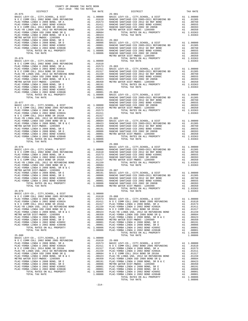| METRO W<br>$25 - 076$<br>RANCHO<br>$25 - 086$<br>$25 - 078$<br>BASIC L<br>$25 - 079$<br>BASIC LEVY-CO., CITY, SCHOOL, & DIST A1 1.00000<br>$25 - 080$<br>1.08806 PLAC-YO<br>TOTAL TAX RATE |  |  |  |
|--------------------------------------------------------------------------------------------------------------------------------------------------------------------------------------------|--|--|--|
|                                                                                                                                                                                            |  |  |  |
|                                                                                                                                                                                            |  |  |  |
|                                                                                                                                                                                            |  |  |  |
|                                                                                                                                                                                            |  |  |  |
|                                                                                                                                                                                            |  |  |  |
|                                                                                                                                                                                            |  |  |  |
|                                                                                                                                                                                            |  |  |  |
|                                                                                                                                                                                            |  |  |  |
|                                                                                                                                                                                            |  |  |  |
|                                                                                                                                                                                            |  |  |  |
|                                                                                                                                                                                            |  |  |  |
|                                                                                                                                                                                            |  |  |  |
|                                                                                                                                                                                            |  |  |  |
|                                                                                                                                                                                            |  |  |  |
|                                                                                                                                                                                            |  |  |  |
|                                                                                                                                                                                            |  |  |  |
|                                                                                                                                                                                            |  |  |  |
|                                                                                                                                                                                            |  |  |  |
|                                                                                                                                                                                            |  |  |  |
|                                                                                                                                                                                            |  |  |  |
|                                                                                                                                                                                            |  |  |  |
|                                                                                                                                                                                            |  |  |  |
|                                                                                                                                                                                            |  |  |  |
|                                                                                                                                                                                            |  |  |  |
|                                                                                                                                                                                            |  |  |  |
|                                                                                                                                                                                            |  |  |  |
|                                                                                                                                                                                            |  |  |  |
|                                                                                                                                                                                            |  |  |  |
|                                                                                                                                                                                            |  |  |  |
|                                                                                                                                                                                            |  |  |  |
|                                                                                                                                                                                            |  |  |  |
|                                                                                                                                                                                            |  |  |  |
|                                                                                                                                                                                            |  |  |  |
|                                                                                                                                                                                            |  |  |  |
|                                                                                                                                                                                            |  |  |  |
|                                                                                                                                                                                            |  |  |  |
|                                                                                                                                                                                            |  |  |  |
|                                                                                                                                                                                            |  |  |  |
|                                                                                                                                                                                            |  |  |  |
|                                                                                                                                                                                            |  |  |  |
|                                                                                                                                                                                            |  |  |  |
|                                                                                                                                                                                            |  |  |  |
|                                                                                                                                                                                            |  |  |  |
|                                                                                                                                                                                            |  |  |  |
|                                                                                                                                                                                            |  |  |  |
|                                                                                                                                                                                            |  |  |  |
|                                                                                                                                                                                            |  |  |  |
|                                                                                                                                                                                            |  |  |  |
|                                                                                                                                                                                            |  |  |  |
|                                                                                                                                                                                            |  |  |  |
|                                                                                                                                                                                            |  |  |  |
|                                                                                                                                                                                            |  |  |  |
|                                                                                                                                                                                            |  |  |  |
|                                                                                                                                                                                            |  |  |  |
|                                                                                                                                                                                            |  |  |  |
|                                                                                                                                                                                            |  |  |  |
|                                                                                                                                                                                            |  |  |  |
|                                                                                                                                                                                            |  |  |  |
|                                                                                                                                                                                            |  |  |  |
|                                                                                                                                                                                            |  |  |  |
|                                                                                                                                                                                            |  |  |  |
|                                                                                                                                                                                            |  |  |  |
|                                                                                                                                                                                            |  |  |  |
|                                                                                                                                                                                            |  |  |  |
|                                                                                                                                                                                            |  |  |  |
|                                                                                                                                                                                            |  |  |  |
|                                                                                                                                                                                            |  |  |  |
|                                                                                                                                                                                            |  |  |  |
|                                                                                                                                                                                            |  |  |  |
|                                                                                                                                                                                            |  |  |  |
|                                                                                                                                                                                            |  |  |  |
|                                                                                                                                                                                            |  |  |  |
|                                                                                                                                                                                            |  |  |  |
|                                                                                                                                                                                            |  |  |  |
|                                                                                                                                                                                            |  |  |  |
|                                                                                                                                                                                            |  |  |  |
|                                                                                                                                                                                            |  |  |  |

| COUNTY OF ORANGE TAX RATE BOOK<br>$2017-2018 \quad \text{TRA RATES}$ DISTRICT $2017-2018 \quad \text{TRA TAX RATES}$                                                                                                          |          |                                                                                                      |          |
|-------------------------------------------------------------------------------------------------------------------------------------------------------------------------------------------------------------------------------|----------|------------------------------------------------------------------------------------------------------|----------|
| 26.722 - The content of the state of the state of the state of the state of the state of the state of the state of the state of the state of the state of the state of the state of the state of the state of the state of th | TAX RATE | DISTRICT                                                                                             | TAX RATE |
|                                                                                                                                                                                                                               |          |                                                                                                      |          |
|                                                                                                                                                                                                                               |          |                                                                                                      |          |
|                                                                                                                                                                                                                               |          |                                                                                                      |          |
|                                                                                                                                                                                                                               |          |                                                                                                      |          |
|                                                                                                                                                                                                                               |          |                                                                                                      |          |
|                                                                                                                                                                                                                               |          |                                                                                                      |          |
|                                                                                                                                                                                                                               |          |                                                                                                      |          |
|                                                                                                                                                                                                                               |          |                                                                                                      |          |
|                                                                                                                                                                                                                               |          |                                                                                                      |          |
|                                                                                                                                                                                                                               |          |                                                                                                      |          |
|                                                                                                                                                                                                                               |          |                                                                                                      |          |
|                                                                                                                                                                                                                               |          |                                                                                                      |          |
|                                                                                                                                                                                                                               |          |                                                                                                      |          |
|                                                                                                                                                                                                                               |          |                                                                                                      |          |
|                                                                                                                                                                                                                               |          |                                                                                                      |          |
|                                                                                                                                                                                                                               |          |                                                                                                      |          |
|                                                                                                                                                                                                                               |          |                                                                                                      |          |
|                                                                                                                                                                                                                               |          |                                                                                                      |          |
|                                                                                                                                                                                                                               |          |                                                                                                      |          |
|                                                                                                                                                                                                                               |          |                                                                                                      |          |
|                                                                                                                                                                                                                               |          |                                                                                                      |          |
|                                                                                                                                                                                                                               |          |                                                                                                      |          |
|                                                                                                                                                                                                                               |          |                                                                                                      |          |
|                                                                                                                                                                                                                               |          |                                                                                                      |          |
|                                                                                                                                                                                                                               |          |                                                                                                      |          |
|                                                                                                                                                                                                                               |          |                                                                                                      |          |
|                                                                                                                                                                                                                               |          |                                                                                                      |          |
|                                                                                                                                                                                                                               |          |                                                                                                      |          |
|                                                                                                                                                                                                                               |          |                                                                                                      |          |
|                                                                                                                                                                                                                               |          |                                                                                                      |          |
|                                                                                                                                                                                                                               |          |                                                                                                      |          |
|                                                                                                                                                                                                                               |          |                                                                                                      |          |
|                                                                                                                                                                                                                               |          |                                                                                                      |          |
|                                                                                                                                                                                                                               |          |                                                                                                      |          |
|                                                                                                                                                                                                                               |          |                                                                                                      |          |
|                                                                                                                                                                                                                               |          |                                                                                                      |          |
|                                                                                                                                                                                                                               |          |                                                                                                      |          |
|                                                                                                                                                                                                                               |          |                                                                                                      |          |
|                                                                                                                                                                                                                               |          |                                                                                                      |          |
|                                                                                                                                                                                                                               |          | $25 - 086$                                                                                           |          |
|                                                                                                                                                                                                                               |          |                                                                                                      |          |
|                                                                                                                                                                                                                               |          |                                                                                                      |          |
|                                                                                                                                                                                                                               |          |                                                                                                      |          |
|                                                                                                                                                                                                                               |          |                                                                                                      |          |
|                                                                                                                                                                                                                               |          |                                                                                                      |          |
|                                                                                                                                                                                                                               |          |                                                                                                      |          |
|                                                                                                                                                                                                                               |          |                                                                                                      |          |
|                                                                                                                                                                                                                               |          |                                                                                                      |          |
|                                                                                                                                                                                                                               |          |                                                                                                      |          |
|                                                                                                                                                                                                                               |          |                                                                                                      |          |
|                                                                                                                                                                                                                               |          |                                                                                                      |          |
|                                                                                                                                                                                                                               |          |                                                                                                      |          |
|                                                                                                                                                                                                                               |          | TOTAL RATES ON ALL PROPERTY AND 1.03363<br>TOTAL RATES ON ALL PROPERTY AND 1.03363<br>TOTAL TAX RATE |          |
|                                                                                                                                                                                                                               |          |                                                                                                      |          |
|                                                                                                                                                                                                                               |          |                                                                                                      |          |
|                                                                                                                                                                                                                               |          |                                                                                                      |          |
|                                                                                                                                                                                                                               |          |                                                                                                      |          |
|                                                                                                                                                                                                                               |          |                                                                                                      |          |
|                                                                                                                                                                                                                               |          |                                                                                                      |          |
|                                                                                                                                                                                                                               |          |                                                                                                      |          |
|                                                                                                                                                                                                                               |          |                                                                                                      |          |
|                                                                                                                                                                                                                               |          |                                                                                                      |          |
|                                                                                                                                                                                                                               |          |                                                                                                      |          |
|                                                                                                                                                                                                                               |          |                                                                                                      |          |
|                                                                                                                                                                                                                               |          |                                                                                                      |          |
|                                                                                                                                                                                                                               |          |                                                                                                      |          |
|                                                                                                                                                                                                                               |          |                                                                                                      |          |
|                                                                                                                                                                                                                               |          |                                                                                                      |          |
|                                                                                                                                                                                                                               |          |                                                                                                      |          |
|                                                                                                                                                                                                                               |          |                                                                                                      |          |
|                                                                                                                                                                                                                               |          |                                                                                                      |          |
|                                                                                                                                                                                                                               |          |                                                                                                      |          |
|                                                                                                                                                                                                                               |          |                                                                                                      |          |
|                                                                                                                                                                                                                               |          |                                                                                                      |          |
|                                                                                                                                                                                                                               |          |                                                                                                      |          |
|                                                                                                                                                                                                                               |          |                                                                                                      |          |
|                                                                                                                                                                                                                               |          |                                                                                                      |          |
|                                                                                                                                                                                                                               |          |                                                                                                      |          |
|                                                                                                                                                                                                                               |          |                                                                                                      |          |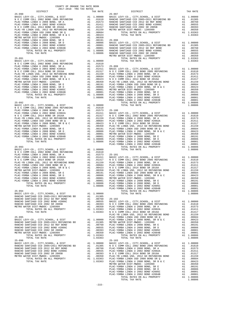| COUNTY OF ORANGE TAX RATE BOOK<br>2017-2018 TRA TAX RATES                                                                                                                                                                                                                                                                                                                                                                                                                  |  |  |          |
|----------------------------------------------------------------------------------------------------------------------------------------------------------------------------------------------------------------------------------------------------------------------------------------------------------------------------------------------------------------------------------------------------------------------------------------------------------------------------|--|--|----------|
| DISTRICT                                                                                                                                                                                                                                                                                                                                                                                                                                                                   |  |  | TAX RATE |
| $25 - 090$<br>$\begin{tabular}{@{}c@{}}\begin{tabular}{@{}c@{}}\begin{tabular}{@{}c@{}}\begin{tabular}{@{}c@{}}\begin{tabular}{@{}c@{}}\begin{tabular}{@{}c@{}}\begin{tabular}{@{}c@{}}\begin{tabular}{@{}c@{}}\begin{tabular}{@{}c@{}}\begin{tabular}{@{}c@{}}\begin{tabular}{@{}c@{}}\begin{tabular}{@{}c@{}}\begin{tabular}{@{}c@{}}\begin{tabular}{@{}c@{}}\begin{tabular}{@{}c@{}}\begin{tabular}{@{}c@{}}\begin{tabular}{@{}c@{}}\begin{tabular}{@{}c@{}}\begin{tab$ |  |  |          |
|                                                                                                                                                                                                                                                                                                                                                                                                                                                                            |  |  |          |
|                                                                                                                                                                                                                                                                                                                                                                                                                                                                            |  |  |          |
|                                                                                                                                                                                                                                                                                                                                                                                                                                                                            |  |  |          |
|                                                                                                                                                                                                                                                                                                                                                                                                                                                                            |  |  |          |
|                                                                                                                                                                                                                                                                                                                                                                                                                                                                            |  |  |          |
|                                                                                                                                                                                                                                                                                                                                                                                                                                                                            |  |  |          |
|                                                                                                                                                                                                                                                                                                                                                                                                                                                                            |  |  |          |
|                                                                                                                                                                                                                                                                                                                                                                                                                                                                            |  |  |          |
|                                                                                                                                                                                                                                                                                                                                                                                                                                                                            |  |  |          |
|                                                                                                                                                                                                                                                                                                                                                                                                                                                                            |  |  |          |
|                                                                                                                                                                                                                                                                                                                                                                                                                                                                            |  |  |          |
|                                                                                                                                                                                                                                                                                                                                                                                                                                                                            |  |  |          |
|                                                                                                                                                                                                                                                                                                                                                                                                                                                                            |  |  |          |
|                                                                                                                                                                                                                                                                                                                                                                                                                                                                            |  |  |          |
|                                                                                                                                                                                                                                                                                                                                                                                                                                                                            |  |  |          |
|                                                                                                                                                                                                                                                                                                                                                                                                                                                                            |  |  |          |
|                                                                                                                                                                                                                                                                                                                                                                                                                                                                            |  |  |          |
|                                                                                                                                                                                                                                                                                                                                                                                                                                                                            |  |  |          |
|                                                                                                                                                                                                                                                                                                                                                                                                                                                                            |  |  |          |
|                                                                                                                                                                                                                                                                                                                                                                                                                                                                            |  |  |          |
|                                                                                                                                                                                                                                                                                                                                                                                                                                                                            |  |  |          |
|                                                                                                                                                                                                                                                                                                                                                                                                                                                                            |  |  |          |
|                                                                                                                                                                                                                                                                                                                                                                                                                                                                            |  |  |          |
|                                                                                                                                                                                                                                                                                                                                                                                                                                                                            |  |  |          |
|                                                                                                                                                                                                                                                                                                                                                                                                                                                                            |  |  |          |
|                                                                                                                                                                                                                                                                                                                                                                                                                                                                            |  |  |          |
|                                                                                                                                                                                                                                                                                                                                                                                                                                                                            |  |  |          |
|                                                                                                                                                                                                                                                                                                                                                                                                                                                                            |  |  |          |
|                                                                                                                                                                                                                                                                                                                                                                                                                                                                            |  |  |          |
|                                                                                                                                                                                                                                                                                                                                                                                                                                                                            |  |  |          |
|                                                                                                                                                                                                                                                                                                                                                                                                                                                                            |  |  |          |
|                                                                                                                                                                                                                                                                                                                                                                                                                                                                            |  |  |          |
|                                                                                                                                                                                                                                                                                                                                                                                                                                                                            |  |  |          |
|                                                                                                                                                                                                                                                                                                                                                                                                                                                                            |  |  |          |
|                                                                                                                                                                                                                                                                                                                                                                                                                                                                            |  |  |          |
|                                                                                                                                                                                                                                                                                                                                                                                                                                                                            |  |  |          |
|                                                                                                                                                                                                                                                                                                                                                                                                                                                                            |  |  |          |
|                                                                                                                                                                                                                                                                                                                                                                                                                                                                            |  |  |          |
|                                                                                                                                                                                                                                                                                                                                                                                                                                                                            |  |  |          |
|                                                                                                                                                                                                                                                                                                                                                                                                                                                                            |  |  |          |
|                                                                                                                                                                                                                                                                                                                                                                                                                                                                            |  |  |          |
|                                                                                                                                                                                                                                                                                                                                                                                                                                                                            |  |  |          |
|                                                                                                                                                                                                                                                                                                                                                                                                                                                                            |  |  |          |
|                                                                                                                                                                                                                                                                                                                                                                                                                                                                            |  |  |          |
|                                                                                                                                                                                                                                                                                                                                                                                                                                                                            |  |  |          |
|                                                                                                                                                                                                                                                                                                                                                                                                                                                                            |  |  |          |
|                                                                                                                                                                                                                                                                                                                                                                                                                                                                            |  |  |          |
|                                                                                                                                                                                                                                                                                                                                                                                                                                                                            |  |  |          |
|                                                                                                                                                                                                                                                                                                                                                                                                                                                                            |  |  |          |
|                                                                                                                                                                                                                                                                                                                                                                                                                                                                            |  |  |          |
|                                                                                                                                                                                                                                                                                                                                                                                                                                                                            |  |  |          |
|                                                                                                                                                                                                                                                                                                                                                                                                                                                                            |  |  |          |
|                                                                                                                                                                                                                                                                                                                                                                                                                                                                            |  |  |          |
|                                                                                                                                                                                                                                                                                                                                                                                                                                                                            |  |  |          |
|                                                                                                                                                                                                                                                                                                                                                                                                                                                                            |  |  |          |
|                                                                                                                                                                                                                                                                                                                                                                                                                                                                            |  |  |          |
|                                                                                                                                                                                                                                                                                                                                                                                                                                                                            |  |  |          |
|                                                                                                                                                                                                                                                                                                                                                                                                                                                                            |  |  |          |
|                                                                                                                                                                                                                                                                                                                                                                                                                                                                            |  |  |          |
|                                                                                                                                                                                                                                                                                                                                                                                                                                                                            |  |  |          |
|                                                                                                                                                                                                                                                                                                                                                                                                                                                                            |  |  |          |
|                                                                                                                                                                                                                                                                                                                                                                                                                                                                            |  |  |          |
|                                                                                                                                                                                                                                                                                                                                                                                                                                                                            |  |  |          |
|                                                                                                                                                                                                                                                                                                                                                                                                                                                                            |  |  |          |
|                                                                                                                                                                                                                                                                                                                                                                                                                                                                            |  |  |          |
|                                                                                                                                                                                                                                                                                                                                                                                                                                                                            |  |  |          |
|                                                                                                                                                                                                                                                                                                                                                                                                                                                                            |  |  |          |
|                                                                                                                                                                                                                                                                                                                                                                                                                                                                            |  |  |          |
|                                                                                                                                                                                                                                                                                                                                                                                                                                                                            |  |  |          |
|                                                                                                                                                                                                                                                                                                                                                                                                                                                                            |  |  |          |
|                                                                                                                                                                                                                                                                                                                                                                                                                                                                            |  |  |          |
|                                                                                                                                                                                                                                                                                                                                                                                                                                                                            |  |  |          |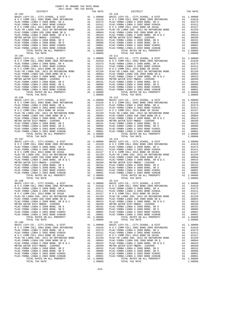COUNTY OF ORANGE TAX RATE BOOK 2017-2018 TRA TAX RATES DISTRICT TAX RATE DISTRICT TAX RATE 25-104 25-110 BASIC LEVY-CO., CITY,SCHOOL, & DIST A1 1.00000 BASIC LEVY-CO., CITY,SCHOOL, & DIST A1 1.00000 N O C COMM COLL 2002 BOND 2005 REFUNDING A1 .01610 N O C COMM COLL 2002 BOND 2005 REFUNDING A1 .01610 PLAC-YORBA LINDA U 2008 BOND, SR A A1 .01573 PLAC-YORBA LINDA U 2008 BOND, SR A A1 .01573 PLAC-YORBA LINDA U 2002 BOND #2002A A1 .01411 PLAC-YORBA LINDA U 2002 BOND #2002A A1 .01411 N O C COMM COLL 2014 BOND SR 2016A A1 .01317 N O C COMM COLL 2014 BOND SR 2016A A1 .01317 PLAC-YB LINDA USD, 2012 GO REFUNDING BOND A1 .01159 PLAC-YB LINDA USD, 2012 GO REFUNDING BOND A1 .01159 PLAC-YORBA LINDA USD 2008 BOND SR Q A1 .00684 PLAC-YORBA LINDA USD 2008 BOND SR Q A1 .00684 PLAC-YORBA LINDA U 2008 BOND, SR B & C A1 .00423 PLAC-YORBA LINDA U 2008 BOND, SR B & C A1 .00423 METRO WATER DIST-MWDOC- 1205999 A1 .00350 METRO WATER DIST-MWDOC- 1205999 A1 .00350 PLAC-YORBA LINDA U 2008 BOND, SR E A1 .00191 PLAC-YORBA LINDA U 2008 BOND, SR E A1 .00191 PLAC-YORBA LINDA U 2008 BOND, SR D A1 .00086 PLAC-YORBA LINDA U 2008 BOND, SR D A1 .00086 PLAC-YORBA LINDA U 2002 BOND #2005C A1 .00001 PLAC-YORBA LINDA U 2002 BOND #2005C A1 .00001 PLAC-YORBA LINDA U 2002 BOND #2004B A1 .00001 PLAC-YORBA LINDA U 2002 BOND #2004B A1 .00001 TOTAL RATES ON ALL PROPERTY A1 1.08806 TOTAL RATES ON ALL PROPERTY A1 1.08806 TOTAL TAX RATE 1.08806 TOTAL TAX RATE 1.08806 25-115<br>BASIC LEVY-CO., CITY, SCHOOL, & DIST A1 1.00000<br>NOC COMM COLL 2002 BOND 2005 REFUNDING A1 .01610 NOC COMM COLL 2002 BOND 2005 REFUNDING A1 .01610<br>PLAC-YORBA LINDA U 2008 BOND, SR A A1 .01573 PLAC-YORBA LINDA U 2008  $\begin{tabular}{l|c|c|c|c|c|c|c} \multicolumn{4}{c}{\textbf{N O C COM COLL} \hbox{ 2014 BOND SR 2016A}} & \multicolumn{4}{c}{\textbf{A1}} & .01159 & \multicolumn{4}{c}{\textbf{N O C COM OCOL 2016 A BOND SR 2016A}} & \multicolumn{4}{c}{\textbf{A1}} & .01159 \\ \hline \multicolumn{4}{c}{\textbf{PLAC-YORBA LINDA U 2008 BOND SR Q}} & \multicolumn{4}{c}{\textbf{A1}} & .01159 & \multicolumn{4}{c}{\text$  25-106 25-112 BASIC LEVY-CO., CITY,SCHOOL, & DIST A1 1.00000 BASIC LEVY-CO., CITY,SCHOOL, & DIST A1 1.00000 N O C COMM COLL 2002 BOND 2005 REFUNDING A1 .01610 N O C COMM COLL 2002 BOND 2005 REFUNDING A1 .01610 PLAC-YORBA LINDA U 2008 BOND, SR A A1 .01573 PLAC-YORBA LINDA U 2008 BOND, SR A A1 .01573 PLAC-YORBA LINDA U 2002 BOND #2002A A1 .01411 PLAC-YORBA LINDA U 2002 BOND #2002A A1 .01411 N O C COMM COLL 2014 BOND SR 2016A A1 .01317 N O C COMM COLL 2014 BOND SR 2016A A1 .01317 PLAC-YB LINDA USD, 2012 GO REFUNDING BOND A1 .01159 PLAC-YB LINDA USD, 2012 GO REFUNDING BOND A1 .01159 PLAC-YORBA LINDA USD 2008 BOND SR Q A1 .00684 PLAC-YORBA LINDA USD 2008 BOND SR Q A1 .00684 PLAC-YORBA LINDA U 2008 BOND, SR B & C A1 .00423 PLAC-YORBA LINDA U 2008 BOND, SR B & C A1 .00423 METRO WATER DIST-MWDOC- 1205999 A1 .00350 METRO WATER DIST-MWDOC- 1205999 A1 .00350 PLAC-YORBA LINDA U 2008 BOND, SR E A1 .00191 PLAC-YORBA LINDA U 2008 BOND, SR E A1 .00191 PLAC-YORBA LINDA U 2008 BOND, SR D A1 .00086 PLAC-YORBA LINDA U 2008 BOND, SR D A1 .00086 PLAC-YORBA LINDA U 2002 BOND #2005C A1 .00001 PLAC-YORBA LINDA U 2002 BOND #2005C A1 .00001 PLAC-YORBA LINDA U 2002 BOND #2004B A1 .00001 PLAC-YORBA LINDA U 2002 BOND #2004B A1 .00001 TOTAL RATES ON ALL PROPERTY A1 1.08806 TOTAL RATES ON ALL PROPERTY A1 1.08806 TOTAL TAX RATE 1.08806 TOTAL TAX RATE 1.08806 25-107 25-113 BASIC LEVY-CO., CITY,SCHOOL, & DIST A1 1.00000 BASIC LEVY-CO., CITY,SCHOOL, & DIST A1 1.00000 N O C COMM COLL 2002 BOND 2005 REFUNDING A1 .01610 N O C COMM COLL 2002 BOND 2005 REFUNDING A1 .01610 PLAC-YORBA LINDA U 2008 BOND, SR A A1 .01573 PLAC-YORBA LINDA U 2008 BOND, SR A A1 .01573  $\begin{tabular}{ l|c|c|c|c|c|c|c|c} \hline \texttt{PLAC-YORBA LINDA U 2002 BOND & \#2002A & \texttt{A1} & .01411 & \texttt{PLAC-YORBA LINDA U 2002 BOND & \#2002A & \texttt{A1} & .01411 \\ \hline \texttt{N O C COM COLA} & 2014& \texttt{BOND S R 2016A} & \texttt{A1} & .01159 & \texttt{N O C COM O COM OCDL 2014 BOND S R 2016A} & \texttt{A1} & .01157 \\ \hline \texttt{$  $\begin{tabular}{lcccc} 25-108 & 25-114 & 25-114 & 25-114 & 25-114 & 25-114 & 25-114 & 25-114 & 25-114 & 25-114 & 25-114 & 25-114 & 25-114 & 25-114 & 25-114 & 25-114 & 25-114 & 25-114 & 25-114 & 25-114 & 25-114 & 25-114 & 25-114 & 25-114 & 25-114 & 25-114 & 25$ PLAC-YORBA LINDA USD 2008 BOND SR Q<br>
PLAC-YORBA LINDA USD 2008 BOND SR Q<br>
PLAC-YORBA LINDA U 2008 BOND, SR B & C<br>
METRO WATER DIST-MWDOC- 120599<br>
METRO WATER DIST-MWDOC- 120599<br>
METRO WATER DIST-MWDOC- 120599<br>
PLAC-YORBA L BASIC LEVY-CO., CITY, SCHOOL, & DIST<br>NOC COMM COLL 2002 BOND 2005 REFUNDING A1 .010000 BASIC LEVY-CO., CITY, SCHOOL, & DIST A1 1.00000<br>PLAC-YORBA LINDA U 2008 BOND, SR A A1 .01573 PLAC-YORBA LINDA U 2008 BOND, SR A A1 .015  $\begin{tabular}{l|c|c|c|c|c|c|c} \multicolumn{4}{c}{\textbf{N} & $\mathcal{O}$ & $\mathcal{O}$ \\ \multicolumn{4}{c}{\textbf{PLAC}-YORBA LINDA USD} & $\mathcal{O}$ & $\mathcal{O}$ \\ \multicolumn{4}{c}{\textbf{PLAC}-YORBA LINDA USD} & $\mathcal{O}$ & $\mathcal{O}$ \\ \multicolumn{4}{c}{\textbf{PLAC}-YORBA LINDA USD} & $\mathcal{O}$ & $\mathcal{O}$ \\ \multicolumn{4}{c}{\textbf{PLAC}-YORBA LINDA USD} & $\mathcal{O}$ & $\mathcal{O}$ \\ \multicolumn$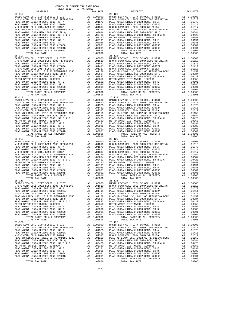COUNTY OF ORANGE TAX RATE BOOK 2017-2018 TRA TAX RATES DISTRICT TAX RATE DISTRICT TAX RATE 25-116 25-122 BASIC LEVY-CO., CITY,SCHOOL, & DIST A1 1.00000 BASIC LEVY-CO., CITY,SCHOOL, & DIST A1 1.00000 N O C COMM COLL 2002 BOND 2005 REFUNDING A1 .01610 N O C COMM COLL 2002 BOND 2005 REFUNDING A1 .01610 PLAC-YORBA LINDA U 2008 BOND, SR A A1 .01573 PLAC-YORBA LINDA U 2008 BOND, SR A A1 .01573 PLAC-YORBA LINDA U 2002 BOND #2002A A1 .01411 PLAC-YORBA LINDA U 2002 BOND #2002A A1 .01411 N O C COMM COLL 2014 BOND SR 2016A A1 .01317 N O C COMM COLL 2014 BOND SR 2016A A1 .01317 PLAC-YB LINDA USD, 2012 GO REFUNDING BOND A1 .01159 PLAC-YB LINDA USD, 2012 GO REFUNDING BOND A1 .01159 PLAC-YORBA LINDA USD 2008 BOND SR Q A1 .00684 PLAC-YORBA LINDA USD 2008 BOND SR Q A1 .00684 PLAC-YORBA LINDA U 2008 BOND, SR B & C A1 .00423 PLAC-YORBA LINDA U 2008 BOND, SR B & C A1 .00423 METRO WATER DIST-MWDOC- 1205999 A1 .00350 METRO WATER DIST-MWDOC- 1205999 A1 .00350 PLAC-YORBA LINDA U 2008 BOND, SR E A1 .00191 PLAC-YORBA LINDA U 2008 BOND, SR E A1 .00191 PLAC-YORBA LINDA U 2008 BOND, SR D A1 .00086 PLAC-YORBA LINDA U 2008 BOND, SR D A1 .00086 PLAC-YORBA LINDA U 2002 BOND #2005C A1 .00001 PLAC-YORBA LINDA U 2002 BOND #2005C A1 .00001 PLAC-YORBA LINDA U 2002 BOND #2004B A1 .00001 PLAC-YORBA LINDA U 2002 BOND #2004B A1 .00001 TOTAL RATES ON ALL PROPERTY A1 1.08806 TOTAL RATES ON ALL PROPERTY A1 1.08806 TOTAL TAX RATE 1.08806 TOTAL TAX RATE 1.08806 25–117<br>BASIC LEVY-CO., CITY, SCHOOL, & DIST and RAI 1.00000 BASIC LEVY-CO., CITY, SCHOOL, & DIST and 1.00000<br>NOC COMM COLL 2002 BOND 2005 REFUNDING A1 .01610 NOC COMM COLL 2002 BOND 2005 REFUNDING A1 .01610<br>PLAC-YORBA LIND  $\begin{tabular}{l|c|c|c|c|c|c|c} \multicolumn{4}{c}{\textbf{N O C COM COLL} \hbox{ 2014 BOND SR 2016A}} & \multicolumn{4}{c}{\textbf{A1}} & .01159 & \multicolumn{4}{c}{\textbf{N O C COM OCOL 2016 A BOND SR 2016A}} & \multicolumn{4}{c}{\textbf{A1}} & .01159 \\ \hline \multicolumn{4}{c}{\textbf{PLAC-YORBA LINDA U 2008 BOND SR Q}} & \multicolumn{4}{c}{\textbf{A1}} & .01159 & \multicolumn{4}{c}{\text$ 25-118<br>BASIC LEVY-CO., CITY, SCHOOL, & DIST A1 1.00000 BASIC LEVY-CO., CITY, SCHOOL, & DIST A1 1.00000<br>NOC COMM COLL 2002 BOND 2005 REFUNDING A1 .01610 NOC COMM COLL 2002 BOND 2005 REFUNDING A1 .01610<br>PLAC-YORBA LINDA U 20  $\begin{tabular}{l|c|c|c|c|c|c} \hline \texttt{PLAC-YORBA LINDA U 2002 BOND & \#2002A & \texttt{A1} & .01411 & \texttt{PLAC-YORBA LINDA U 2002 BOND & \#2016A & \texttt{A1} & .01411 \\ \hline \texttt{N} & \texttt{O} & \texttt{COMM COLL 2014 BOND SR 2016A & \texttt{A1} & .01117 & \texttt{N} & \texttt{O} & \texttt{COMM COLL 2014 BOND SR 2016A & \texttt{A1} & .01117 \\ \text$  BASIC LEVY-CO., CITY,SCHOOL, & DIST A1 1.00000 BASIC LEVY-CO., CITY,SCHOOL, & DIST A1 1.00000 N O C COMM COLL 2002 BOND 2005 REFUNDING A1 .01610 N O C COMM COLL 2002 BOND 2005 REFUNDING A1 .01610 PLAC-YORBA LINDA U 2008 BOND, SR A A1 .01573 PLAC-YORBA LINDA U 2008 BOND, SR A A1 .01573  $\begin{tabular}{ l|c|c|c|c|c|c|c|c} \hline \texttt{PLAC-YORBA LINDA U 2002 BOND & \#2002A & \texttt{A1} & .01411 & \texttt{PLAC-YORBA LINDA U 2002 BOND & \#2002A & \texttt{A1} & .01411 \\ \hline \texttt{N O C COM COLA} & 2014& \texttt{BOND S R 2016A} & \texttt{A1} & .01159 & \texttt{N O C COM O COM OCDL 2014 BOND S R 2016A} & \texttt{A1} & .01157 \\ \hline \texttt{$  $\begin{tabular}{lcccc} 25-120 & 25-126 \\ \text{BASC LEVY-CO., CITY, SCHOOL, & DIST & A1 & 1.00000 \\ \text{N O C COMOOLL} & 2002 BOND & 2005 REFUNDING & A1 & .01610 \\ \text{N O C COMOOLL} & 2002 BOND & 2005 REFUNDING & A1 & .01610 \\ \text{PLAC-YORBA LINDA U 2002 BOND & 2005 REFUNDING & A1 & .01573 \\ \text{PLAC-YORBA LINDA U 2002 BOND & 2002 BOND & 2002 BOND & 2002$ PLAC-YORBA LINDA USD 2008 BOND SR Q<br>
PLAC-YORBA LINDA USD 2008 BOND SR Q<br>
PLAC-YORBA LINDA U 2008 BOND, SR B & C<br>
METRO WATER DIST-MWDOC- 120599<br>
METRO WATER DIST-MWDOC- 120599<br>
METRO WATER DIST-MWDOC- 120599<br>
PLAC-YORBA L BASIC LEVY-CO., CITY, SCHOOL, & DIST<br>NOC COMM COLL 2002 BOND 2005 REFUNDING A1 .010000 BASIC LEVY-CO., CITY, SCHOOL, & DIST A1 1.00000<br>PLAC-YORBA LINDA U 2008 BOND, SR A A1 .01573 PLAC-YORBA LINDA U 2008 BOND, SR A A1 .015  $\begin{tabular}{l|c|c|c|c|c|c|c} \multicolumn{4}{c}{\textbf{N} & $\mathcal{O}$ & $\mathcal{O}$ \\ \multicolumn{4}{c}{\textbf{PLAC}-YORBA LINDA USD} & $\mathcal{O}$ & $\mathcal{O}$ \\ \multicolumn{4}{c}{\textbf{PLAC}-YORBA LINDA USD} & $\mathcal{O}$ & $\mathcal{O}$ \\ \multicolumn{4}{c}{\textbf{PLAC}-YORBA LINDA USD} & $\mathcal{O}$ & $\mathcal{O}$ \\ \multicolumn{4}{c}{\textbf{PLAC}-YORBA LINDA USD} & $\mathcal{O}$ & $\mathcal{O}$ \\ \multicolumn$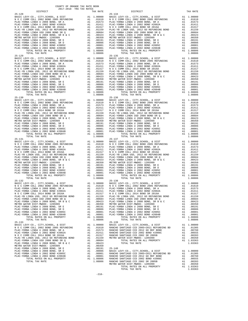| COUNTY OF ORANGE TAX RATE BOOK<br>$2017-2018 \quad \text{TRA RATE}$ DISTRICT $2017-2018 \quad \text{TRA TAX RATES}$                                                                                                           |          |                        |          |
|-------------------------------------------------------------------------------------------------------------------------------------------------------------------------------------------------------------------------------|----------|------------------------|----------|
| $25 - 128$                                                                                                                                                                                                                    | TAX RATE | DISTRICT<br>$25 - 134$ | TAX RATE |
|                                                                                                                                                                                                                               |          |                        |          |
|                                                                                                                                                                                                                               |          |                        |          |
| PLACE/TORRATION (FIG. 0131 2001 2003) 2003 11 (FIG. 2003) 2003 12 (FIG. 2003) 2003 22 (FIG. 2003) 2003 22 (FIG. 2003) 2003 22 (FIG. 2003) 2003 22 (FIG. 2003) 2003 22 (FIG. 2003) 2003 22 (FIG. 2003) 2003 22 (FIG. 2003) 200 |          |                        |          |
|                                                                                                                                                                                                                               |          |                        |          |
|                                                                                                                                                                                                                               |          |                        |          |
| $25 - 133$                                                                                                                                                                                                                    |          | $25 - 139$             |          |
|                                                                                                                                                                                                                               |          |                        |          |
|                                                                                                                                                                                                                               |          | TOTAL TAX RATE         | 1.03363  |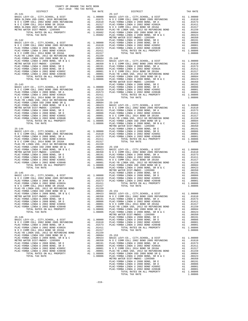| 2017-2018 TRA TAX RATES<br>DISTRICT |  | ES $$\tt\sc{TAX}$ RATE $$25-147$ DISTRICT | TAX RATE |
|-------------------------------------|--|-------------------------------------------|----------|
|                                     |  |                                           |          |
|                                     |  |                                           |          |
|                                     |  |                                           |          |
|                                     |  |                                           |          |
|                                     |  |                                           |          |
|                                     |  |                                           |          |
|                                     |  |                                           |          |
|                                     |  |                                           |          |
|                                     |  |                                           |          |
|                                     |  |                                           |          |
|                                     |  |                                           |          |
|                                     |  |                                           |          |
|                                     |  |                                           |          |
|                                     |  |                                           |          |
|                                     |  |                                           |          |
|                                     |  |                                           |          |
|                                     |  |                                           |          |
|                                     |  |                                           |          |
|                                     |  |                                           |          |
|                                     |  |                                           |          |
|                                     |  |                                           |          |
|                                     |  |                                           |          |
|                                     |  |                                           |          |
|                                     |  |                                           |          |
|                                     |  |                                           |          |
|                                     |  |                                           |          |
|                                     |  |                                           |          |
|                                     |  |                                           |          |
|                                     |  |                                           |          |
|                                     |  |                                           |          |
|                                     |  |                                           |          |
|                                     |  |                                           |          |
|                                     |  |                                           |          |
|                                     |  |                                           |          |
|                                     |  |                                           |          |
|                                     |  |                                           |          |
|                                     |  |                                           |          |
|                                     |  |                                           |          |
|                                     |  |                                           |          |
|                                     |  |                                           |          |
|                                     |  |                                           |          |
|                                     |  |                                           |          |
|                                     |  |                                           |          |
|                                     |  |                                           |          |
|                                     |  |                                           |          |
|                                     |  |                                           |          |
|                                     |  |                                           |          |
|                                     |  |                                           |          |
|                                     |  |                                           |          |
|                                     |  |                                           |          |
|                                     |  |                                           |          |
|                                     |  |                                           |          |
|                                     |  |                                           |          |
|                                     |  |                                           |          |
|                                     |  |                                           |          |
|                                     |  |                                           |          |
|                                     |  |                                           |          |
|                                     |  |                                           |          |
|                                     |  |                                           |          |
|                                     |  |                                           |          |
|                                     |  |                                           |          |
|                                     |  |                                           |          |
|                                     |  |                                           |          |
|                                     |  |                                           |          |
|                                     |  |                                           |          |
|                                     |  |                                           |          |
|                                     |  |                                           |          |
|                                     |  |                                           |          |
|                                     |  |                                           |          |
|                                     |  |                                           |          |
|                                     |  |                                           |          |
|                                     |  |                                           |          |

COUNTY OF ORANGE TAX RATE BOOK

-219-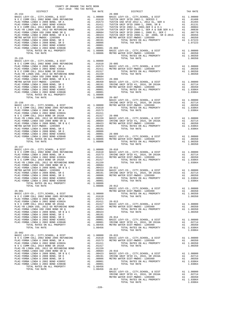| <b>DISIKICI</b>                                                                    |                                                                                 | IAA KAIL                                                                |                    |
|------------------------------------------------------------------------------------|---------------------------------------------------------------------------------|-------------------------------------------------------------------------|--------------------|
| $25 - 154$                                                                         |                                                                                 |                                                                         | $26 - 000$         |
|                                                                                    |                                                                                 |                                                                         |                    |
|                                                                                    |                                                                                 |                                                                         |                    |
|                                                                                    |                                                                                 |                                                                         |                    |
|                                                                                    |                                                                                 |                                                                         |                    |
|                                                                                    |                                                                                 |                                                                         |                    |
|                                                                                    |                                                                                 |                                                                         |                    |
|                                                                                    |                                                                                 |                                                                         |                    |
|                                                                                    |                                                                                 |                                                                         |                    |
|                                                                                    |                                                                                 |                                                                         |                    |
|                                                                                    |                                                                                 |                                                                         |                    |
|                                                                                    |                                                                                 |                                                                         |                    |
|                                                                                    |                                                                                 |                                                                         |                    |
|                                                                                    |                                                                                 |                                                                         |                    |
|                                                                                    |                                                                                 |                                                                         |                    |
|                                                                                    |                                                                                 |                                                                         |                    |
| $25 - 155$                                                                         |                                                                                 |                                                                         |                    |
|                                                                                    |                                                                                 |                                                                         |                    |
|                                                                                    |                                                                                 |                                                                         |                    |
|                                                                                    |                                                                                 |                                                                         |                    |
|                                                                                    |                                                                                 |                                                                         |                    |
|                                                                                    |                                                                                 |                                                                         |                    |
|                                                                                    |                                                                                 |                                                                         |                    |
|                                                                                    |                                                                                 |                                                                         |                    |
|                                                                                    |                                                                                 |                                                                         |                    |
|                                                                                    |                                                                                 |                                                                         |                    |
|                                                                                    |                                                                                 |                                                                         |                    |
|                                                                                    |                                                                                 |                                                                         |                    |
|                                                                                    |                                                                                 |                                                                         |                    |
|                                                                                    |                                                                                 |                                                                         |                    |
| TOTAL TAX RATE                                                                     |                                                                                 | $1.08806$ $26-007$                                                      |                    |
|                                                                                    |                                                                                 |                                                                         | BASIC L            |
|                                                                                    |                                                                                 |                                                                         |                    |
|                                                                                    |                                                                                 |                                                                         |                    |
|                                                                                    |                                                                                 |                                                                         |                    |
|                                                                                    |                                                                                 |                                                                         |                    |
|                                                                                    |                                                                                 |                                                                         |                    |
|                                                                                    |                                                                                 |                                                                         |                    |
|                                                                                    |                                                                                 |                                                                         |                    |
|                                                                                    |                                                                                 |                                                                         |                    |
|                                                                                    |                                                                                 |                                                                         |                    |
|                                                                                    |                                                                                 |                                                                         |                    |
|                                                                                    |                                                                                 |                                                                         |                    |
|                                                                                    |                                                                                 |                                                                         |                    |
|                                                                                    |                                                                                 |                                                                         |                    |
|                                                                                    |                                                                                 |                                                                         |                    |
| TOTAL TAX RATE                                                                     |                                                                                 | 1.08806                                                                 |                    |
|                                                                                    |                                                                                 |                                                                         |                    |
| $25 - 157$                                                                         |                                                                                 |                                                                         |                    |
|                                                                                    |                                                                                 |                                                                         |                    |
|                                                                                    |                                                                                 |                                                                         |                    |
|                                                                                    |                                                                                 |                                                                         |                    |
|                                                                                    |                                                                                 |                                                                         |                    |
|                                                                                    |                                                                                 |                                                                         |                    |
|                                                                                    |                                                                                 |                                                                         |                    |
|                                                                                    |                                                                                 |                                                                         |                    |
|                                                                                    |                                                                                 |                                                                         |                    |
|                                                                                    |                                                                                 |                                                                         |                    |
|                                                                                    |                                                                                 |                                                                         |                    |
|                                                                                    |                                                                                 |                                                                         |                    |
|                                                                                    |                                                                                 |                                                                         |                    |
|                                                                                    |                                                                                 |                                                                         |                    |
| TOTAL TAX RATE                                                                     |                                                                                 | $1.08806$ $26-012$                                                      |                    |
|                                                                                    |                                                                                 |                                                                         | BASIC L<br>METRO W |
| $25 - 901$                                                                         |                                                                                 |                                                                         |                    |
|                                                                                    |                                                                                 |                                                                         |                    |
|                                                                                    |                                                                                 |                                                                         |                    |
|                                                                                    |                                                                                 |                                                                         |                    |
|                                                                                    |                                                                                 |                                                                         |                    |
|                                                                                    |                                                                                 |                                                                         |                    |
|                                                                                    |                                                                                 |                                                                         |                    |
|                                                                                    |                                                                                 |                                                                         |                    |
|                                                                                    |                                                                                 |                                                                         |                    |
| PLAC-YORBA LINDA U 2008 BOND, SR D                                                 |                                                                                 |                                                                         | $26 - 014$         |
| PLAC-YORBA LINDA U 2002 BOND #2005C                                                |                                                                                 |                                                                         |                    |
| PLAC-YORBA LINDA U 2002 BOND #2004B                                                | A1 .00000 20 011<br>A1 .00001 BASIC L<br>A1 .00001 IRVINE<br>A1 1.08456 METRO W |                                                                         |                    |
| TOTAL RATES ON ALL PROPERTY                                                        |                                                                                 |                                                                         |                    |
| TOTAL TAX RATE                                                                     |                                                                                 | 1.08456                                                                 |                    |
|                                                                                    |                                                                                 |                                                                         |                    |
| $25 - 902$                                                                         |                                                                                 |                                                                         |                    |
|                                                                                    |                                                                                 |                                                                         |                    |
|                                                                                    |                                                                                 |                                                                         |                    |
|                                                                                    |                                                                                 |                                                                         |                    |
|                                                                                    |                                                                                 |                                                                         |                    |
|                                                                                    |                                                                                 |                                                                         |                    |
|                                                                                    |                                                                                 |                                                                         |                    |
| PLAC-YORBA LINDA USD 2008 BOND, SR B & C<br>PLAC-YORBA LINDA U 2008 BOND, SR B & C |                                                                                 |                                                                         |                    |
| PLAC-YORBA LINDA U 2008 BOND, SR E                                                 |                                                                                 | A1 .00423 BASIC L<br>A1 .00191 IRVINE<br>A1 .00086 METRO W<br>A1 .00001 |                    |
| PLAC-YORBA LINDA U 2008 BOND, SR D                                                 |                                                                                 |                                                                         |                    |
| PLAC-YORBA LINDA U 2002 BOND #2005C                                                |                                                                                 |                                                                         |                    |
| PLAC-YORBA LINDA U 2002 BOND #2004B                                                |                                                                                 | A1 .00001<br>A1 .00001                                                  |                    |
| TOTAL RATES ON ALL PROPERTY                                                        |                                                                                 | A1 1.08456                                                              |                    |
| TOTAL TAX RATE                                                                     |                                                                                 | 1.08456 26-017                                                          |                    |

| COUNTY OF ORANGE TAX RATE BOOK<br>$2017-2018 \quad \text{TRA RATES}$ DISTRICT $\hspace{2.5cm}$ |          |                                                                                                                                                                                                                 |          |
|------------------------------------------------------------------------------------------------|----------|-----------------------------------------------------------------------------------------------------------------------------------------------------------------------------------------------------------------|----------|
|                                                                                                | TAX RATE | DISTRICT                                                                                                                                                                                                        | TAX RATE |
|                                                                                                |          |                                                                                                                                                                                                                 |          |
|                                                                                                |          |                                                                                                                                                                                                                 |          |
|                                                                                                |          |                                                                                                                                                                                                                 |          |
|                                                                                                |          |                                                                                                                                                                                                                 |          |
|                                                                                                |          |                                                                                                                                                                                                                 |          |
|                                                                                                |          |                                                                                                                                                                                                                 |          |
|                                                                                                |          |                                                                                                                                                                                                                 |          |
|                                                                                                |          |                                                                                                                                                                                                                 |          |
|                                                                                                |          |                                                                                                                                                                                                                 |          |
|                                                                                                |          |                                                                                                                                                                                                                 |          |
|                                                                                                |          |                                                                                                                                                                                                                 |          |
|                                                                                                |          |                                                                                                                                                                                                                 |          |
|                                                                                                |          |                                                                                                                                                                                                                 |          |
|                                                                                                |          |                                                                                                                                                                                                                 |          |
|                                                                                                |          |                                                                                                                                                                                                                 |          |
|                                                                                                |          |                                                                                                                                                                                                                 |          |
|                                                                                                |          |                                                                                                                                                                                                                 |          |
|                                                                                                |          |                                                                                                                                                                                                                 |          |
|                                                                                                |          |                                                                                                                                                                                                                 |          |
|                                                                                                |          |                                                                                                                                                                                                                 |          |
|                                                                                                |          |                                                                                                                                                                                                                 |          |
|                                                                                                |          |                                                                                                                                                                                                                 |          |
|                                                                                                |          |                                                                                                                                                                                                                 |          |
|                                                                                                |          |                                                                                                                                                                                                                 |          |
|                                                                                                |          |                                                                                                                                                                                                                 |          |
|                                                                                                |          |                                                                                                                                                                                                                 |          |
|                                                                                                |          |                                                                                                                                                                                                                 |          |
|                                                                                                |          |                                                                                                                                                                                                                 |          |
|                                                                                                |          |                                                                                                                                                                                                                 |          |
|                                                                                                |          |                                                                                                                                                                                                                 |          |
|                                                                                                |          |                                                                                                                                                                                                                 |          |
|                                                                                                |          |                                                                                                                                                                                                                 |          |
|                                                                                                |          |                                                                                                                                                                                                                 |          |
|                                                                                                |          |                                                                                                                                                                                                                 |          |
|                                                                                                |          |                                                                                                                                                                                                                 |          |
|                                                                                                |          |                                                                                                                                                                                                                 |          |
|                                                                                                |          |                                                                                                                                                                                                                 |          |
|                                                                                                |          |                                                                                                                                                                                                                 |          |
|                                                                                                |          |                                                                                                                                                                                                                 |          |
|                                                                                                |          |                                                                                                                                                                                                                 |          |
|                                                                                                |          |                                                                                                                                                                                                                 |          |
|                                                                                                |          |                                                                                                                                                                                                                 |          |
|                                                                                                |          |                                                                                                                                                                                                                 |          |
|                                                                                                |          |                                                                                                                                                                                                                 |          |
|                                                                                                |          |                                                                                                                                                                                                                 |          |
|                                                                                                |          |                                                                                                                                                                                                                 |          |
|                                                                                                |          |                                                                                                                                                                                                                 |          |
|                                                                                                |          |                                                                                                                                                                                                                 |          |
|                                                                                                |          |                                                                                                                                                                                                                 |          |
|                                                                                                |          |                                                                                                                                                                                                                 |          |
|                                                                                                |          |                                                                                                                                                                                                                 |          |
|                                                                                                |          |                                                                                                                                                                                                                 |          |
|                                                                                                |          |                                                                                                                                                                                                                 |          |
|                                                                                                |          |                                                                                                                                                                                                                 |          |
|                                                                                                |          |                                                                                                                                                                                                                 |          |
|                                                                                                |          |                                                                                                                                                                                                                 |          |
|                                                                                                |          |                                                                                                                                                                                                                 |          |
|                                                                                                |          |                                                                                                                                                                                                                 |          |
|                                                                                                |          |                                                                                                                                                                                                                 |          |
|                                                                                                |          |                                                                                                                                                                                                                 |          |
|                                                                                                |          |                                                                                                                                                                                                                 |          |
|                                                                                                |          |                                                                                                                                                                                                                 |          |
|                                                                                                |          |                                                                                                                                                                                                                 |          |
|                                                                                                |          |                                                                                                                                                                                                                 |          |
|                                                                                                |          |                                                                                                                                                                                                                 |          |
|                                                                                                |          |                                                                                                                                                                                                                 |          |
|                                                                                                |          |                                                                                                                                                                                                                 |          |
|                                                                                                |          |                                                                                                                                                                                                                 |          |
|                                                                                                |          |                                                                                                                                                                                                                 |          |
|                                                                                                |          |                                                                                                                                                                                                                 |          |
|                                                                                                |          |                                                                                                                                                                                                                 |          |
|                                                                                                |          |                                                                                                                                                                                                                 |          |
|                                                                                                |          |                                                                                                                                                                                                                 |          |
|                                                                                                |          |                                                                                                                                                                                                                 |          |
|                                                                                                |          |                                                                                                                                                                                                                 |          |
|                                                                                                |          |                                                                                                                                                                                                                 |          |
|                                                                                                |          |                                                                                                                                                                                                                 |          |
|                                                                                                |          | NASIC LEVY-CO., CITY, SCHOOL, & DIST Al 1.00000<br>IRVINE UNIF SFID #1, 2016, SR 2016A Al .02714<br>METRO WATER DIST-MWDOC-1205999 Al .00350<br>TOTAL RATES ON LL PROPERTY Al 1.03064<br>TOTAL TAX RATE 1.03064 |          |
|                                                                                                |          |                                                                                                                                                                                                                 |          |
|                                                                                                |          |                                                                                                                                                                                                                 |          |
|                                                                                                |          |                                                                                                                                                                                                                 |          |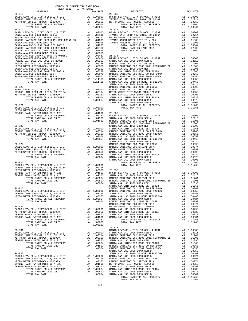| COUNTY OF ORANGE TAX RATE BOOK |  |                                                                                                                                                                                                                                         |          |
|--------------------------------|--|-----------------------------------------------------------------------------------------------------------------------------------------------------------------------------------------------------------------------------------------|----------|
| $26 - 018$                     |  | RA TAX RAILS<br>TAX RATE DISTRICT<br>$26 - 033$                                                                                                                                                                                         | TAX RATE |
|                                |  |                                                                                                                                                                                                                                         |          |
|                                |  |                                                                                                                                                                                                                                         |          |
|                                |  | ENSIC LEVY-CO., CITY, SCHOOL, & DIST<br>RASIC LEVY-CO., CITY, SCHOOL, & DIST<br>IRVINE UNIF SFID #1, 2016, SR 2016A<br>METRO WATER DISTRIPHIC POST 2016 A1<br>METRO WATER DISTRIPHIC POST AT A 2016, SR 2016A<br>METRO WATER DISTRIPHIC |          |
|                                |  |                                                                                                                                                                                                                                         |          |
|                                |  |                                                                                                                                                                                                                                         |          |
|                                |  |                                                                                                                                                                                                                                         |          |
|                                |  |                                                                                                                                                                                                                                         |          |
|                                |  |                                                                                                                                                                                                                                         |          |
|                                |  |                                                                                                                                                                                                                                         |          |
|                                |  |                                                                                                                                                                                                                                         |          |
|                                |  |                                                                                                                                                                                                                                         |          |
|                                |  |                                                                                                                                                                                                                                         |          |
|                                |  |                                                                                                                                                                                                                                         |          |
|                                |  |                                                                                                                                                                                                                                         |          |
|                                |  |                                                                                                                                                                                                                                         |          |
|                                |  |                                                                                                                                                                                                                                         |          |
|                                |  |                                                                                                                                                                                                                                         |          |
|                                |  |                                                                                                                                                                                                                                         |          |
|                                |  |                                                                                                                                                                                                                                         |          |
|                                |  |                                                                                                                                                                                                                                         |          |
|                                |  |                                                                                                                                                                                                                                         |          |
|                                |  |                                                                                                                                                                                                                                         |          |
|                                |  |                                                                                                                                                                                                                                         |          |
|                                |  |                                                                                                                                                                                                                                         |          |
|                                |  |                                                                                                                                                                                                                                         |          |
|                                |  |                                                                                                                                                                                                                                         |          |
|                                |  |                                                                                                                                                                                                                                         |          |
|                                |  |                                                                                                                                                                                                                                         |          |
|                                |  |                                                                                                                                                                                                                                         |          |
|                                |  |                                                                                                                                                                                                                                         |          |
|                                |  |                                                                                                                                                                                                                                         |          |
|                                |  |                                                                                                                                                                                                                                         |          |
|                                |  |                                                                                                                                                                                                                                         |          |
|                                |  |                                                                                                                                                                                                                                         |          |
|                                |  |                                                                                                                                                                                                                                         |          |
|                                |  |                                                                                                                                                                                                                                         |          |
|                                |  |                                                                                                                                                                                                                                         |          |
|                                |  |                                                                                                                                                                                                                                         |          |
|                                |  |                                                                                                                                                                                                                                         |          |
|                                |  |                                                                                                                                                                                                                                         |          |
|                                |  |                                                                                                                                                                                                                                         |          |
|                                |  |                                                                                                                                                                                                                                         |          |
|                                |  |                                                                                                                                                                                                                                         |          |
|                                |  |                                                                                                                                                                                                                                         |          |
|                                |  |                                                                                                                                                                                                                                         |          |
|                                |  |                                                                                                                                                                                                                                         |          |
|                                |  |                                                                                                                                                                                                                                         |          |
|                                |  |                                                                                                                                                                                                                                         |          |
|                                |  |                                                                                                                                                                                                                                         |          |
|                                |  |                                                                                                                                                                                                                                         |          |
|                                |  |                                                                                                                                                                                                                                         |          |
|                                |  |                                                                                                                                                                                                                                         |          |
|                                |  |                                                                                                                                                                                                                                         |          |
|                                |  |                                                                                                                                                                                                                                         |          |
|                                |  |                                                                                                                                                                                                                                         |          |
|                                |  |                                                                                                                                                                                                                                         |          |
|                                |  |                                                                                                                                                                                                                                         |          |
|                                |  |                                                                                                                                                                                                                                         |          |
|                                |  |                                                                                                                                                                                                                                         |          |
|                                |  |                                                                                                                                                                                                                                         |          |
|                                |  |                                                                                                                                                                                                                                         |          |
|                                |  |                                                                                                                                                                                                                                         |          |
|                                |  |                                                                                                                                                                                                                                         |          |
|                                |  |                                                                                                                                                                                                                                         |          |
|                                |  |                                                                                                                                                                                                                                         |          |
|                                |  |                                                                                                                                                                                                                                         |          |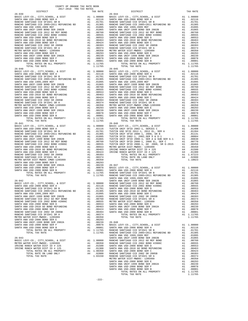| DISTRICT                                                           |          | TAX RATE                                                                                                               |                   |
|--------------------------------------------------------------------|----------|------------------------------------------------------------------------------------------------------------------------|-------------------|
| $26 - 039$                                                         |          |                                                                                                                        | $26 - 044$        |
|                                                                    |          |                                                                                                                        |                   |
|                                                                    |          |                                                                                                                        |                   |
|                                                                    |          |                                                                                                                        |                   |
|                                                                    |          |                                                                                                                        |                   |
|                                                                    |          |                                                                                                                        |                   |
|                                                                    |          |                                                                                                                        |                   |
|                                                                    |          |                                                                                                                        |                   |
|                                                                    |          |                                                                                                                        |                   |
|                                                                    |          |                                                                                                                        |                   |
|                                                                    |          |                                                                                                                        |                   |
|                                                                    |          |                                                                                                                        |                   |
|                                                                    |          |                                                                                                                        |                   |
|                                                                    |          |                                                                                                                        |                   |
|                                                                    |          |                                                                                                                        |                   |
|                                                                    |          |                                                                                                                        |                   |
|                                                                    |          |                                                                                                                        |                   |
| TOTAL RATES ON ALL PROPERTY                                        |          | A1 1.11765                                                                                                             |                   |
| TOTAL TAX RATE                                                     |          | 1.11765                                                                                                                |                   |
| $26 - 040$                                                         |          |                                                                                                                        | $26 - 045$        |
|                                                                    |          |                                                                                                                        |                   |
|                                                                    |          |                                                                                                                        |                   |
|                                                                    |          |                                                                                                                        |                   |
|                                                                    |          |                                                                                                                        |                   |
|                                                                    |          |                                                                                                                        |                   |
|                                                                    |          |                                                                                                                        |                   |
|                                                                    |          |                                                                                                                        |                   |
|                                                                    |          |                                                                                                                        |                   |
|                                                                    |          |                                                                                                                        |                   |
|                                                                    |          |                                                                                                                        |                   |
|                                                                    |          |                                                                                                                        |                   |
|                                                                    |          |                                                                                                                        |                   |
|                                                                    |          |                                                                                                                        |                   |
|                                                                    |          |                                                                                                                        |                   |
|                                                                    |          |                                                                                                                        |                   |
|                                                                    |          |                                                                                                                        |                   |
|                                                                    |          |                                                                                                                        |                   |
| TOTAL TAX RATE                                                     |          | 1.11765                                                                                                                |                   |
| $26 - 041$                                                         |          |                                                                                                                        | $26 - 046$        |
|                                                                    |          |                                                                                                                        |                   |
|                                                                    |          |                                                                                                                        |                   |
|                                                                    |          |                                                                                                                        |                   |
|                                                                    |          |                                                                                                                        |                   |
|                                                                    |          |                                                                                                                        |                   |
|                                                                    |          |                                                                                                                        |                   |
|                                                                    |          |                                                                                                                        |                   |
|                                                                    |          |                                                                                                                        |                   |
|                                                                    |          |                                                                                                                        |                   |
|                                                                    |          |                                                                                                                        |                   |
|                                                                    |          |                                                                                                                        |                   |
|                                                                    |          |                                                                                                                        |                   |
|                                                                    |          |                                                                                                                        |                   |
|                                                                    |          |                                                                                                                        |                   |
| SANTA ANA USD-2008 BOND SER F                                      |          |                                                                                                                        |                   |
| SANTA ANA USD-2008 BOND SER B                                      |          |                                                                                                                        |                   |
| TOTAL RATES ON ALL PROPERTY                                        |          | A1 .00239 26-047<br>A1 .00078 BASIC L<br>A1 .00078 BASIC L<br>A1 1.00001 SANTA A<br>1 1.11765 RANCHO<br>1.11765 RANCHO |                   |
| TOTAL TAX RATE                                                     |          |                                                                                                                        |                   |
|                                                                    |          |                                                                                                                        | SANTA A           |
| $26 - 042$                                                         |          |                                                                                                                        | SANTA A           |
|                                                                    |          |                                                                                                                        |                   |
|                                                                    |          |                                                                                                                        |                   |
|                                                                    |          |                                                                                                                        |                   |
| SANTA ANA USD 1999, 2009 REF                                       | A1       |                                                                                                                        | .01095 SANTA A    |
| SANTA ANA UNIF-1999 BOND SER 2002B                                 | A1       | .01065                                                                                                                 | RANCHO            |
| RANCHO SANTIAGO CCD 2012 GO REF BOND                               | A1       | .00760                                                                                                                 | RANCHO            |
| RANCHO SANTIAGO CCD 2002 BOND #2006C                               | A1       | .00555                                                                                                                 | METRO W           |
| SANTA ANA USD-2008 BOND SER D                                      | A1       | .00553                                                                                                                 | SANTA A           |
| SANTA ANA USD-2010 GO BOND REFUNDING                               | A1       | .00463                                                                                                                 | SANTA A           |
| SANTA ANA USD-2008 BOND SER C<br>RANCHO SANTIAGO CCD 2002 SR 2005B | A1       | .00424                                                                                                                 | SANTA A           |
| RANCHO SANTIAGO CCD SFID#1 SR A                                    | A1<br>A1 | .00393<br>.00374                                                                                                       | SANTA A           |
| METRO WATER DIST-MWDOC- 1205999                                    | A1       | .00350                                                                                                                 |                   |
| SANTA ANA USD-2008 BOND SER E                                      | A1       | .00293                                                                                                                 |                   |
| SANTA ANA UNIF-1999 BOND SER 2002A                                 | A1       | .00239                                                                                                                 | 26-048            |
| SANTA ANA USD-2008 BOND SER F                                      | A1       | .00078                                                                                                                 | BASIC L           |
| SANTA ANA USD-2008 BOND SER B                                      | A1       | .00001                                                                                                                 | SANTA A           |
| TOTAL RATES ON ALL PROPERTY                                        |          | A1 1.11765                                                                                                             | RANCHO            |
| TOTAL TAX RATE                                                     |          | 1.11765                                                                                                                | RANCHO            |
| $26 - 043$                                                         |          |                                                                                                                        | SANTA A           |
| BASIC LEVY-CO., CITY, SCHOOL, & DIST                               |          | A1 1.00000                                                                                                             | SANTA A<br>RANCHO |
|                                                                    |          |                                                                                                                        |                   |

| DAUIC DOVI CO., CIII,DCHOOD, G DIDI |                             |  |  |
|-------------------------------------|-----------------------------|--|--|
| METRO WATER DIST-MWDOC- 1205999     |                             |  |  |
| IRVINE RANCH WATER DIST ID # 225    |                             |  |  |
| IRVINE RANCH WATER DIST ID # 125    |                             |  |  |
|                                     | TOTAL RATES ON ALL PROPERTY |  |  |
|                                     | TOTAL RATE ON LAND ONLY     |  |  |
|                                     | TOTAL TAX RATE              |  |  |
|                                     |                             |  |  |

| COUNTY OF ORANGE TAX RATE BOOK<br>$2017-2018 \quad \text{TRA RATES}$ DISTRICT $\hspace{2.5cm}$ |          |                                                                                                                                                                                                                               |          |
|------------------------------------------------------------------------------------------------|----------|-------------------------------------------------------------------------------------------------------------------------------------------------------------------------------------------------------------------------------|----------|
|                                                                                                | TAX RATE | DISTRICT                                                                                                                                                                                                                      | TAX RATE |
| $26 - 039$                                                                                     |          | $26 - 044$                                                                                                                                                                                                                    |          |
|                                                                                                |          |                                                                                                                                                                                                                               |          |
|                                                                                                |          |                                                                                                                                                                                                                               |          |
|                                                                                                |          |                                                                                                                                                                                                                               |          |
|                                                                                                |          |                                                                                                                                                                                                                               |          |
|                                                                                                |          |                                                                                                                                                                                                                               |          |
|                                                                                                |          |                                                                                                                                                                                                                               |          |
|                                                                                                |          |                                                                                                                                                                                                                               |          |
|                                                                                                |          |                                                                                                                                                                                                                               |          |
|                                                                                                |          |                                                                                                                                                                                                                               |          |
|                                                                                                |          |                                                                                                                                                                                                                               |          |
|                                                                                                |          |                                                                                                                                                                                                                               |          |
|                                                                                                |          |                                                                                                                                                                                                                               |          |
|                                                                                                |          |                                                                                                                                                                                                                               |          |
|                                                                                                |          |                                                                                                                                                                                                                               |          |
|                                                                                                |          |                                                                                                                                                                                                                               |          |
|                                                                                                |          |                                                                                                                                                                                                                               |          |
|                                                                                                |          |                                                                                                                                                                                                                               |          |
|                                                                                                |          |                                                                                                                                                                                                                               |          |
|                                                                                                |          |                                                                                                                                                                                                                               |          |
|                                                                                                |          |                                                                                                                                                                                                                               |          |
|                                                                                                |          |                                                                                                                                                                                                                               |          |
|                                                                                                |          |                                                                                                                                                                                                                               |          |
|                                                                                                |          |                                                                                                                                                                                                                               |          |
|                                                                                                |          |                                                                                                                                                                                                                               |          |
|                                                                                                |          |                                                                                                                                                                                                                               |          |
|                                                                                                |          |                                                                                                                                                                                                                               |          |
|                                                                                                |          |                                                                                                                                                                                                                               |          |
|                                                                                                |          |                                                                                                                                                                                                                               |          |
|                                                                                                |          |                                                                                                                                                                                                                               |          |
|                                                                                                |          |                                                                                                                                                                                                                               |          |
|                                                                                                |          |                                                                                                                                                                                                                               |          |
|                                                                                                |          |                                                                                                                                                                                                                               |          |
|                                                                                                |          |                                                                                                                                                                                                                               |          |
|                                                                                                |          |                                                                                                                                                                                                                               |          |
|                                                                                                |          |                                                                                                                                                                                                                               |          |
|                                                                                                |          |                                                                                                                                                                                                                               |          |
|                                                                                                |          |                                                                                                                                                                                                                               |          |
|                                                                                                |          |                                                                                                                                                                                                                               |          |
|                                                                                                |          |                                                                                                                                                                                                                               |          |
|                                                                                                |          |                                                                                                                                                                                                                               |          |
|                                                                                                |          |                                                                                                                                                                                                                               |          |
|                                                                                                |          |                                                                                                                                                                                                                               |          |
|                                                                                                |          |                                                                                                                                                                                                                               |          |
|                                                                                                |          |                                                                                                                                                                                                                               |          |
|                                                                                                |          |                                                                                                                                                                                                                               |          |
|                                                                                                |          |                                                                                                                                                                                                                               |          |
|                                                                                                |          |                                                                                                                                                                                                                               |          |
|                                                                                                |          |                                                                                                                                                                                                                               |          |
|                                                                                                |          |                                                                                                                                                                                                                               |          |
|                                                                                                |          |                                                                                                                                                                                                                               |          |
|                                                                                                |          |                                                                                                                                                                                                                               |          |
|                                                                                                |          |                                                                                                                                                                                                                               |          |
|                                                                                                |          |                                                                                                                                                                                                                               |          |
|                                                                                                |          |                                                                                                                                                                                                                               |          |
|                                                                                                |          |                                                                                                                                                                                                                               |          |
|                                                                                                |          |                                                                                                                                                                                                                               |          |
|                                                                                                |          |                                                                                                                                                                                                                               |          |
|                                                                                                |          |                                                                                                                                                                                                                               |          |
|                                                                                                |          |                                                                                                                                                                                                                               |          |
|                                                                                                |          |                                                                                                                                                                                                                               |          |
|                                                                                                |          |                                                                                                                                                                                                                               |          |
|                                                                                                |          |                                                                                                                                                                                                                               |          |
|                                                                                                |          |                                                                                                                                                                                                                               |          |
|                                                                                                |          | 2007 We compute form of the state of the state of the state of the state of the state of the state of the state of the state of the state of the state of the state of the state of the state of the state of the state of th |          |
|                                                                                                |          |                                                                                                                                                                                                                               |          |
|                                                                                                |          |                                                                                                                                                                                                                               |          |
|                                                                                                |          |                                                                                                                                                                                                                               |          |
|                                                                                                |          |                                                                                                                                                                                                                               |          |
|                                                                                                |          |                                                                                                                                                                                                                               |          |
|                                                                                                |          |                                                                                                                                                                                                                               |          |
|                                                                                                |          |                                                                                                                                                                                                                               |          |
|                                                                                                |          |                                                                                                                                                                                                                               |          |
|                                                                                                |          |                                                                                                                                                                                                                               |          |
|                                                                                                |          |                                                                                                                                                                                                                               |          |
|                                                                                                |          |                                                                                                                                                                                                                               |          |
|                                                                                                |          |                                                                                                                                                                                                                               |          |
|                                                                                                |          |                                                                                                                                                                                                                               |          |
|                                                                                                |          |                                                                                                                                                                                                                               |          |
|                                                                                                |          |                                                                                                                                                                                                                               |          |
|                                                                                                |          |                                                                                                                                                                                                                               |          |
|                                                                                                |          |                                                                                                                                                                                                                               |          |
|                                                                                                |          |                                                                                                                                                                                                                               |          |
|                                                                                                |          |                                                                                                                                                                                                                               | 1.11765  |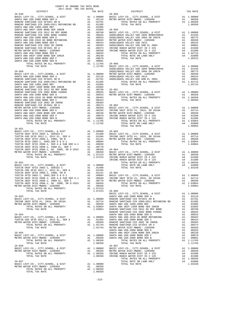| COUNTY OF ORANGE TAX RATE BOOK<br>2017-2018 TRA TAX RATES                                                                                 |  |                       |          |
|-------------------------------------------------------------------------------------------------------------------------------------------|--|-----------------------|----------|
| DISTRICT                                                                                                                                  |  | TAX RATES<br>DISTRICT | TAX RATE |
| $26 - 049$                                                                                                                                |  | $26 - 058$            |          |
|                                                                                                                                           |  |                       |          |
|                                                                                                                                           |  |                       |          |
|                                                                                                                                           |  |                       |          |
|                                                                                                                                           |  |                       |          |
|                                                                                                                                           |  |                       |          |
|                                                                                                                                           |  |                       |          |
|                                                                                                                                           |  |                       |          |
|                                                                                                                                           |  |                       |          |
|                                                                                                                                           |  |                       |          |
|                                                                                                                                           |  |                       |          |
|                                                                                                                                           |  |                       |          |
|                                                                                                                                           |  |                       |          |
|                                                                                                                                           |  |                       |          |
|                                                                                                                                           |  |                       |          |
|                                                                                                                                           |  |                       |          |
|                                                                                                                                           |  |                       |          |
|                                                                                                                                           |  |                       |          |
|                                                                                                                                           |  |                       |          |
|                                                                                                                                           |  |                       |          |
|                                                                                                                                           |  |                       |          |
|                                                                                                                                           |  |                       |          |
|                                                                                                                                           |  |                       |          |
|                                                                                                                                           |  |                       |          |
|                                                                                                                                           |  |                       |          |
|                                                                                                                                           |  |                       |          |
|                                                                                                                                           |  |                       |          |
|                                                                                                                                           |  |                       |          |
|                                                                                                                                           |  |                       |          |
|                                                                                                                                           |  |                       |          |
|                                                                                                                                           |  |                       |          |
|                                                                                                                                           |  |                       |          |
|                                                                                                                                           |  |                       |          |
| $26 - 051$                                                                                                                                |  |                       |          |
|                                                                                                                                           |  |                       |          |
|                                                                                                                                           |  |                       |          |
|                                                                                                                                           |  |                       |          |
|                                                                                                                                           |  |                       |          |
|                                                                                                                                           |  |                       |          |
|                                                                                                                                           |  |                       |          |
|                                                                                                                                           |  |                       |          |
|                                                                                                                                           |  |                       |          |
|                                                                                                                                           |  |                       |          |
|                                                                                                                                           |  |                       |          |
|                                                                                                                                           |  |                       |          |
|                                                                                                                                           |  |                       |          |
|                                                                                                                                           |  |                       |          |
|                                                                                                                                           |  |                       |          |
|                                                                                                                                           |  |                       |          |
|                                                                                                                                           |  | TOTAL TAX RATE        | 1.03064  |
|                                                                                                                                           |  |                       |          |
| METRO WATER DIST-MWDOC-1205999<br>TOTAL RATES ON ALL PROPERTY AND 1.07223<br>TOTAL TAX RATE 1.07223<br>TOTAL TAX RATE 1.07223<br>BASIC LI |  |                       |          |
|                                                                                                                                           |  |                       |          |
|                                                                                                                                           |  |                       |          |
|                                                                                                                                           |  |                       |          |
|                                                                                                                                           |  |                       |          |
|                                                                                                                                           |  |                       |          |
|                                                                                                                                           |  |                       |          |
|                                                                                                                                           |  |                       |          |
|                                                                                                                                           |  |                       |          |
|                                                                                                                                           |  |                       |          |
|                                                                                                                                           |  |                       |          |
|                                                                                                                                           |  |                       |          |
|                                                                                                                                           |  |                       |          |
|                                                                                                                                           |  |                       |          |
|                                                                                                                                           |  |                       |          |
|                                                                                                                                           |  |                       |          |
|                                                                                                                                           |  |                       |          |
|                                                                                                                                           |  |                       |          |
|                                                                                                                                           |  |                       |          |
|                                                                                                                                           |  |                       |          |
|                                                                                                                                           |  |                       |          |
|                                                                                                                                           |  |                       |          |
|                                                                                                                                           |  |                       |          |
|                                                                                                                                           |  |                       |          |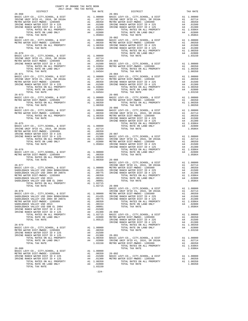|            | COUNTY OF ORANGE TAX RATE BOOK<br>2017-2018 TRA TAX RATES |  |                                                                                                                                                                                                                                                                                                                                                                                                    |          |
|------------|-----------------------------------------------------------|--|----------------------------------------------------------------------------------------------------------------------------------------------------------------------------------------------------------------------------------------------------------------------------------------------------------------------------------------------------------------------------------------------------|----------|
| DISTRICT   |                                                           |  | RA TAX RAILS<br>TAX RATE TAX DISTRICT                                                                                                                                                                                                                                                                                                                                                              | TAX RATE |
| $26 - 068$ |                                                           |  | $26 - 081$<br>$\begin{array}{cccccccc} 26-016 \\ \text{RSTIC LWY-CO}, CTY, SCHOOL, & 0.1587 \\ \text{RMSIC LWY-CO}, CTY, SCHOOL, & 0.1577 \\ \text{RMSIC LWY-CO}, CTY, SCHOOL, & 0.1578 \\ \text{RMSIC LWY-CO}, CTY, SCHOOL, & 0.1574 \\ \text{RMSIC LWY-CO}, CTY, SCHOOL, & 0.1574 \\ \text{RMSIC LWY-CO}, CTY, SCHOOL, & 0.1574 \\ \text{RMSIC LWY-CO}, CTY, SCHOOL, & 0.1574 \\ \text{RMSIC LW$ |          |
|            |                                                           |  |                                                                                                                                                                                                                                                                                                                                                                                                    |          |
|            |                                                           |  |                                                                                                                                                                                                                                                                                                                                                                                                    |          |
|            |                                                           |  |                                                                                                                                                                                                                                                                                                                                                                                                    |          |
| $26 - 071$ |                                                           |  | $26 - 084$                                                                                                                                                                                                                                                                                                                                                                                         |          |
|            |                                                           |  |                                                                                                                                                                                                                                                                                                                                                                                                    |          |
|            |                                                           |  |                                                                                                                                                                                                                                                                                                                                                                                                    |          |
|            |                                                           |  |                                                                                                                                                                                                                                                                                                                                                                                                    |          |
|            |                                                           |  |                                                                                                                                                                                                                                                                                                                                                                                                    |          |
|            |                                                           |  |                                                                                                                                                                                                                                                                                                                                                                                                    |          |
|            |                                                           |  |                                                                                                                                                                                                                                                                                                                                                                                                    |          |
|            |                                                           |  |                                                                                                                                                                                                                                                                                                                                                                                                    |          |
|            |                                                           |  |                                                                                                                                                                                                                                                                                                                                                                                                    |          |
|            |                                                           |  |                                                                                                                                                                                                                                                                                                                                                                                                    |          |
|            |                                                           |  |                                                                                                                                                                                                                                                                                                                                                                                                    |          |
|            |                                                           |  |                                                                                                                                                                                                                                                                                                                                                                                                    |          |
|            |                                                           |  |                                                                                                                                                                                                                                                                                                                                                                                                    |          |
|            |                                                           |  |                                                                                                                                                                                                                                                                                                                                                                                                    |          |
|            |                                                           |  |                                                                                                                                                                                                                                                                                                                                                                                                    |          |
|            |                                                           |  |                                                                                                                                                                                                                                                                                                                                                                                                    |          |
|            |                                                           |  |                                                                                                                                                                                                                                                                                                                                                                                                    |          |
|            |                                                           |  |                                                                                                                                                                                                                                                                                                                                                                                                    |          |

| IAA KAIR                                                                        |  |
|---------------------------------------------------------------------------------|--|
| 1.00000<br>.02714<br>.00350<br>.01500<br>.01300<br>1.03064<br>.02800<br>1.05864 |  |
|                                                                                 |  |
| $\sim$ $\sim$                                                                   |  |

-224-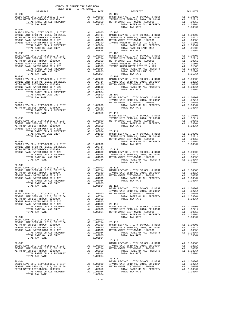|                        | COUNTY OF ORANGE TAX RATE BOOK<br>2017-2018 TRA TAX RATES |                                                                                                                                                                                                                                                                                                                                                                                                                                                                                                               |          |
|------------------------|-----------------------------------------------------------|---------------------------------------------------------------------------------------------------------------------------------------------------------------------------------------------------------------------------------------------------------------------------------------------------------------------------------------------------------------------------------------------------------------------------------------------------------------------------------------------------------------|----------|
| DISTRICT<br>$26 - 093$ | TAX RATE                                                  | DISTRICT<br>26-105                                                                                                                                                                                                                                                                                                                                                                                                                                                                                            | TAX RATE |
|                        |                                                           |                                                                                                                                                                                                                                                                                                                                                                                                                                                                                                               |          |
|                        |                                                           |                                                                                                                                                                                                                                                                                                                                                                                                                                                                                                               |          |
|                        |                                                           | ENSIGNATION A DIST A 1 1,00000 BASIC LEVY-CO., CITY, SCHOOL, & DIST A 1 1,00000 BASIC LEVY-CO., CITY, SCHOOL, & DIST A 1 1,00000 BASIC LEVY-CO., CITY, SCHOOL, & DIST A 1 1,00000 BASIC LEVY-CO., CITY, SCHOOL, & DIST A 1 1,0                                                                                                                                                                                                                                                                                |          |
| $26 - 094$             |                                                           |                                                                                                                                                                                                                                                                                                                                                                                                                                                                                                               |          |
|                        |                                                           | $\begin{tabular}{l c c c c c c} \multicolumn{4}{c}{26-104} \multicolumn{4}{c}{\textbf{BASTC LEVY-C0., CITY, SCHOOL, & DIST} & \multicolumn{4}{c}{\textbf{AA}} & 1.00000 & 26-106 \\ \multicolumn{4}{c}{\textbf{IRVINE UNIF SFFD}} & 41 & 2016, SR & 2016A & \multicolumn{4}{c}{\textbf{AA}} & 0.02714 & \multicolumn{4}{c}{\textbf{BASTC LEVY-C0., CITY, SCHOOL, & DIST}} & \multicolumn{4}{c}{\textbf{AA}} & $                                                                                               |          |
|                        |                                                           |                                                                                                                                                                                                                                                                                                                                                                                                                                                                                                               |          |
|                        |                                                           |                                                                                                                                                                                                                                                                                                                                                                                                                                                                                                               |          |
|                        |                                                           |                                                                                                                                                                                                                                                                                                                                                                                                                                                                                                               |          |
|                        |                                                           |                                                                                                                                                                                                                                                                                                                                                                                                                                                                                                               |          |
|                        |                                                           |                                                                                                                                                                                                                                                                                                                                                                                                                                                                                                               |          |
|                        |                                                           |                                                                                                                                                                                                                                                                                                                                                                                                                                                                                                               |          |
|                        |                                                           |                                                                                                                                                                                                                                                                                                                                                                                                                                                                                                               |          |
|                        |                                                           |                                                                                                                                                                                                                                                                                                                                                                                                                                                                                                               |          |
|                        |                                                           |                                                                                                                                                                                                                                                                                                                                                                                                                                                                                                               |          |
|                        |                                                           |                                                                                                                                                                                                                                                                                                                                                                                                                                                                                                               |          |
|                        |                                                           |                                                                                                                                                                                                                                                                                                                                                                                                                                                                                                               |          |
|                        |                                                           |                                                                                                                                                                                                                                                                                                                                                                                                                                                                                                               |          |
|                        |                                                           |                                                                                                                                                                                                                                                                                                                                                                                                                                                                                                               |          |
|                        |                                                           |                                                                                                                                                                                                                                                                                                                                                                                                                                                                                                               |          |
|                        |                                                           |                                                                                                                                                                                                                                                                                                                                                                                                                                                                                                               |          |
|                        |                                                           |                                                                                                                                                                                                                                                                                                                                                                                                                                                                                                               |          |
|                        |                                                           | $\begin{tabular}{@{}c@{}}\hline & 26-095 & 10.9464 & 10.9464 & 26-107 & 10.9464 & 26-107 & 10.9464 & 26-107 & 10.9464 & 26-107 & 10.9464 & 26-107 & 10.9464 & 26-107 & 10.9464 & 26-107 & 10.9464 & 26-107 & 10.9464 & 26-107 & 10.9464 & 26-107 & 26-107 & 26-107 & $                                                                                                                                                                                                                                        |          |
|                        |                                                           |                                                                                                                                                                                                                                                                                                                                                                                                                                                                                                               |          |
|                        |                                                           |                                                                                                                                                                                                                                                                                                                                                                                                                                                                                                               |          |
|                        |                                                           |                                                                                                                                                                                                                                                                                                                                                                                                                                                                                                               |          |
|                        |                                                           |                                                                                                                                                                                                                                                                                                                                                                                                                                                                                                               |          |
|                        | 1.00350 26-110                                            |                                                                                                                                                                                                                                                                                                                                                                                                                                                                                                               |          |
|                        |                                                           |                                                                                                                                                                                                                                                                                                                                                                                                                                                                                                               |          |
|                        |                                                           |                                                                                                                                                                                                                                                                                                                                                                                                                                                                                                               |          |
|                        |                                                           |                                                                                                                                                                                                                                                                                                                                                                                                                                                                                                               |          |
|                        |                                                           |                                                                                                                                                                                                                                                                                                                                                                                                                                                                                                               |          |
|                        |                                                           |                                                                                                                                                                                                                                                                                                                                                                                                                                                                                                               |          |
|                        |                                                           |                                                                                                                                                                                                                                                                                                                                                                                                                                                                                                               |          |
|                        |                                                           |                                                                                                                                                                                                                                                                                                                                                                                                                                                                                                               |          |
|                        |                                                           |                                                                                                                                                                                                                                                                                                                                                                                                                                                                                                               |          |
|                        |                                                           |                                                                                                                                                                                                                                                                                                                                                                                                                                                                                                               |          |
|                        |                                                           |                                                                                                                                                                                                                                                                                                                                                                                                                                                                                                               |          |
|                        |                                                           |                                                                                                                                                                                                                                                                                                                                                                                                                                                                                                               |          |
|                        |                                                           |                                                                                                                                                                                                                                                                                                                                                                                                                                                                                                               |          |
|                        |                                                           |                                                                                                                                                                                                                                                                                                                                                                                                                                                                                                               |          |
|                        |                                                           | TOTAL TAX RATE                                                                                                                                                                                                                                                                                                                                                                                                                                                                                                | 1.03064  |
| $26 - 100$             |                                                           |                                                                                                                                                                                                                                                                                                                                                                                                                                                                                                               |          |
|                        |                                                           | $\begin{tabular}{l c c c c c c} \multicolumn{4}{c}{BASIC LEVY-C0., CITY, SCHOOL, & $\&$ DIST$ & $\&$A1$ & $1,00000 & $26-113$ \\ \multicolumn{4}{c}{\textbf{RSTIC LEVY-C0., CITY, SCHOOL, & $\&$ DIST$ & $\&$A1$ & $1,00000 & $26-113$ \\ \multicolumn{4}{c}{\textbf{IRVINE UNIF SFID #1, 2016, SR 2016A} & $\&$A1$ & $1,00010 & $26-113$ \\ \multicolumn{4}{c}{\textbf{IRVINE RMCE$                                                                                                                          |          |
|                        |                                                           |                                                                                                                                                                                                                                                                                                                                                                                                                                                                                                               |          |
|                        |                                                           |                                                                                                                                                                                                                                                                                                                                                                                                                                                                                                               |          |
|                        |                                                           |                                                                                                                                                                                                                                                                                                                                                                                                                                                                                                               |          |
| TOTAL TAX RATE         | 1.05864 26-114                                            |                                                                                                                                                                                                                                                                                                                                                                                                                                                                                                               |          |
|                        |                                                           |                                                                                                                                                                                                                                                                                                                                                                                                                                                                                                               |          |
|                        |                                                           |                                                                                                                                                                                                                                                                                                                                                                                                                                                                                                               |          |
|                        |                                                           |                                                                                                                                                                                                                                                                                                                                                                                                                                                                                                               |          |
|                        |                                                           |                                                                                                                                                                                                                                                                                                                                                                                                                                                                                                               |          |
|                        |                                                           |                                                                                                                                                                                                                                                                                                                                                                                                                                                                                                               |          |
|                        |                                                           |                                                                                                                                                                                                                                                                                                                                                                                                                                                                                                               |          |
|                        |                                                           |                                                                                                                                                                                                                                                                                                                                                                                                                                                                                                               |          |
|                        |                                                           |                                                                                                                                                                                                                                                                                                                                                                                                                                                                                                               |          |
|                        |                                                           | $\begin{tabular}{c c c c c} \hline \texttt{TOTAL TAX RATE} & & & & & & & & & & \\ \hline \texttt{26-101} & & & & & & & & & \\ \hline \texttt{26-102} & & & & & & & & \\ \hline \texttt{26-101} & & & & & & & & \\ \hline \texttt{26-102} & & & & & & & & \\ \hline \texttt{26-103} & & & & & & & & \\ \hline \texttt{26-11} & & & & & & & & \\ \hline \texttt{26-12} & & & & & & & & \\ \hline \texttt{26-12} & & & & & &$                                                                                    |          |
|                        |                                                           |                                                                                                                                                                                                                                                                                                                                                                                                                                                                                                               |          |
|                        |                                                           |                                                                                                                                                                                                                                                                                                                                                                                                                                                                                                               |          |
|                        |                                                           |                                                                                                                                                                                                                                                                                                                                                                                                                                                                                                               |          |
|                        |                                                           |                                                                                                                                                                                                                                                                                                                                                                                                                                                                                                               |          |
|                        |                                                           |                                                                                                                                                                                                                                                                                                                                                                                                                                                                                                               |          |
|                        |                                                           |                                                                                                                                                                                                                                                                                                                                                                                                                                                                                                               |          |
|                        |                                                           | $\begin{tabular}{lllllllllllllllllll} \multicolumn{4}{c}{\begin{tabular}{l} \multicolumn{4}{c}{\begin{tabular}{l} \multicolumn{4}{c}{\begin{tabular}{l} \multicolumn{4}{c}{\begin{tabular}{l} \multicolumn{4}{c}{\begin{tabular}{l} \multicolumn{4}{c}{\begin{tabular}{c} \multicolumn{4}{c}{\begin{tabular}{c} \multicolumn{4}{c}{\begin{tabular}{c} \multicolumn{4}{c}{\begin{tabular}{c} \multicolumn{4}{c}{\begin{tabular}{c} \multicolumn{4}{c}{\begin{tabular}{c} \multicolumn{4}{c}{\begin{tabular}{c$ |          |
|                        |                                                           |                                                                                                                                                                                                                                                                                                                                                                                                                                                                                                               |          |
|                        |                                                           |                                                                                                                                                                                                                                                                                                                                                                                                                                                                                                               |          |
|                        |                                                           |                                                                                                                                                                                                                                                                                                                                                                                                                                                                                                               |          |
|                        |                                                           |                                                                                                                                                                                                                                                                                                                                                                                                                                                                                                               |          |
|                        |                                                           |                                                                                                                                                                                                                                                                                                                                                                                                                                                                                                               |          |
|                        |                                                           |                                                                                                                                                                                                                                                                                                                                                                                                                                                                                                               |          |
|                        |                                                           |                                                                                                                                                                                                                                                                                                                                                                                                                                                                                                               |          |
|                        |                                                           |                                                                                                                                                                                                                                                                                                                                                                                                                                                                                                               |          |
|                        |                                                           |                                                                                                                                                                                                                                                                                                                                                                                                                                                                                                               |          |
|                        |                                                           |                                                                                                                                                                                                                                                                                                                                                                                                                                                                                                               |          |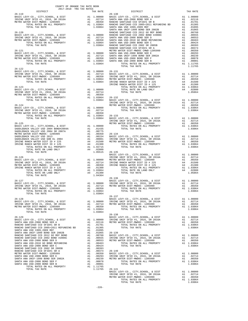|                        | 2017-2018 TRA TAX RATES |                                                                                                                                                                                                                                                                                                                                                                                                          | TAX RATE |
|------------------------|-------------------------|----------------------------------------------------------------------------------------------------------------------------------------------------------------------------------------------------------------------------------------------------------------------------------------------------------------------------------------------------------------------------------------------------------|----------|
| DISTRICT<br>$26 - 119$ |                         | TAX RATE DISTRICT<br>TAX RATE 26-130                                                                                                                                                                                                                                                                                                                                                                     |          |
|                        |                         |                                                                                                                                                                                                                                                                                                                                                                                                          |          |
|                        |                         |                                                                                                                                                                                                                                                                                                                                                                                                          |          |
|                        |                         |                                                                                                                                                                                                                                                                                                                                                                                                          |          |
|                        |                         |                                                                                                                                                                                                                                                                                                                                                                                                          |          |
|                        |                         |                                                                                                                                                                                                                                                                                                                                                                                                          |          |
|                        |                         |                                                                                                                                                                                                                                                                                                                                                                                                          |          |
|                        |                         |                                                                                                                                                                                                                                                                                                                                                                                                          |          |
|                        |                         |                                                                                                                                                                                                                                                                                                                                                                                                          |          |
|                        |                         |                                                                                                                                                                                                                                                                                                                                                                                                          |          |
|                        |                         |                                                                                                                                                                                                                                                                                                                                                                                                          |          |
|                        |                         |                                                                                                                                                                                                                                                                                                                                                                                                          |          |
|                        |                         |                                                                                                                                                                                                                                                                                                                                                                                                          |          |
|                        |                         |                                                                                                                                                                                                                                                                                                                                                                                                          |          |
|                        |                         | TOTAL TAX RATE                                                                                                                                                                                                                                                                                                                                                                                           | 1.11765  |
| $26 - 122$             |                         |                                                                                                                                                                                                                                                                                                                                                                                                          |          |
|                        |                         |                                                                                                                                                                                                                                                                                                                                                                                                          |          |
|                        |                         |                                                                                                                                                                                                                                                                                                                                                                                                          |          |
|                        |                         |                                                                                                                                                                                                                                                                                                                                                                                                          |          |
|                        |                         |                                                                                                                                                                                                                                                                                                                                                                                                          |          |
|                        |                         |                                                                                                                                                                                                                                                                                                                                                                                                          |          |
|                        |                         |                                                                                                                                                                                                                                                                                                                                                                                                          |          |
|                        |                         |                                                                                                                                                                                                                                                                                                                                                                                                          |          |
|                        |                         |                                                                                                                                                                                                                                                                                                                                                                                                          |          |
|                        |                         |                                                                                                                                                                                                                                                                                                                                                                                                          |          |
|                        |                         |                                                                                                                                                                                                                                                                                                                                                                                                          |          |
|                        |                         |                                                                                                                                                                                                                                                                                                                                                                                                          |          |
|                        |                         |                                                                                                                                                                                                                                                                                                                                                                                                          |          |
|                        |                         |                                                                                                                                                                                                                                                                                                                                                                                                          |          |
|                        |                         |                                                                                                                                                                                                                                                                                                                                                                                                          |          |
|                        |                         |                                                                                                                                                                                                                                                                                                                                                                                                          |          |
|                        |                         |                                                                                                                                                                                                                                                                                                                                                                                                          |          |
|                        |                         |                                                                                                                                                                                                                                                                                                                                                                                                          |          |
|                        |                         |                                                                                                                                                                                                                                                                                                                                                                                                          |          |
|                        |                         |                                                                                                                                                                                                                                                                                                                                                                                                          |          |
|                        |                         |                                                                                                                                                                                                                                                                                                                                                                                                          |          |
|                        |                         |                                                                                                                                                                                                                                                                                                                                                                                                          |          |
|                        |                         |                                                                                                                                                                                                                                                                                                                                                                                                          |          |
|                        |                         |                                                                                                                                                                                                                                                                                                                                                                                                          |          |
|                        |                         |                                                                                                                                                                                                                                                                                                                                                                                                          |          |
|                        |                         |                                                                                                                                                                                                                                                                                                                                                                                                          |          |
|                        |                         |                                                                                                                                                                                                                                                                                                                                                                                                          |          |
|                        |                         |                                                                                                                                                                                                                                                                                                                                                                                                          |          |
|                        |                         |                                                                                                                                                                                                                                                                                                                                                                                                          |          |
|                        |                         | $\begin{tabular}{c c c c c} \multicolumn{4}{c c c c} \multicolumn{4}{c c c} \multicolumn{4}{c c c} \multicolumn{4}{c c c} \multicolumn{4}{c c c} \multicolumn{4}{c c c} \multicolumn{4}{c c c} \multicolumn{4}{c c c} \multicolumn{4}{c c c} \multicolumn{4}{c c c} \multicolumn{4}{c c c} \multicolumn{4}{c c c} \multicolumn{4}{c c c} \multicolumn{4}{c c c} \multicolumn{4}{c c c} \multicolumn{4}{$ |          |
|                        |                         |                                                                                                                                                                                                                                                                                                                                                                                                          |          |
|                        |                         |                                                                                                                                                                                                                                                                                                                                                                                                          |          |
|                        |                         |                                                                                                                                                                                                                                                                                                                                                                                                          |          |
|                        |                         |                                                                                                                                                                                                                                                                                                                                                                                                          |          |
|                        |                         | $26 - 137$                                                                                                                                                                                                                                                                                                                                                                                               |          |
|                        |                         |                                                                                                                                                                                                                                                                                                                                                                                                          |          |
|                        |                         |                                                                                                                                                                                                                                                                                                                                                                                                          |          |
|                        |                         |                                                                                                                                                                                                                                                                                                                                                                                                          |          |
|                        |                         |                                                                                                                                                                                                                                                                                                                                                                                                          |          |
|                        |                         |                                                                                                                                                                                                                                                                                                                                                                                                          |          |
|                        |                         |                                                                                                                                                                                                                                                                                                                                                                                                          |          |
|                        |                         |                                                                                                                                                                                                                                                                                                                                                                                                          |          |
|                        |                         |                                                                                                                                                                                                                                                                                                                                                                                                          |          |
|                        |                         |                                                                                                                                                                                                                                                                                                                                                                                                          |          |
|                        |                         |                                                                                                                                                                                                                                                                                                                                                                                                          |          |
|                        |                         |                                                                                                                                                                                                                                                                                                                                                                                                          |          |
|                        |                         |                                                                                                                                                                                                                                                                                                                                                                                                          |          |
|                        |                         |                                                                                                                                                                                                                                                                                                                                                                                                          |          |
|                        |                         |                                                                                                                                                                                                                                                                                                                                                                                                          |          |
|                        |                         |                                                                                                                                                                                                                                                                                                                                                                                                          |          |
|                        |                         |                                                                                                                                                                                                                                                                                                                                                                                                          |          |
|                        |                         |                                                                                                                                                                                                                                                                                                                                                                                                          |          |
|                        |                         |                                                                                                                                                                                                                                                                                                                                                                                                          |          |
|                        |                         |                                                                                                                                                                                                                                                                                                                                                                                                          |          |
|                        |                         |                                                                                                                                                                                                                                                                                                                                                                                                          |          |
|                        |                         |                                                                                                                                                                                                                                                                                                                                                                                                          |          |
|                        |                         |                                                                                                                                                                                                                                                                                                                                                                                                          |          |
|                        |                         |                                                                                                                                                                                                                                                                                                                                                                                                          |          |
|                        |                         |                                                                                                                                                                                                                                                                                                                                                                                                          |          |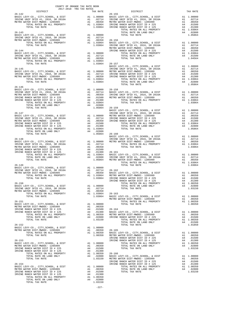| $\begin{tabular}{lllllll} & $\textsc{--}\xspace$ & $\textsc{--}\xspace$ & $\textsc{--}\xspace$ & $\textsc{--}\xspace$ & $\textsc{--}\xspace$ & $\textsc{--}\xspace$ & $\textsc{--}\xspace$ & $\textsc{--}\xspace$ & $\textsc{--}\xspace$ & $\textsc{--}\xspace$ & $\textsc{--}\xspace$ & $\textsc{--}\xspace$ & $\textsc{--}\xspace$ & $\textsc{--}\xspace$ & $\textsc{--}\xspace$ & $\textsc{--}\xspace$ & $\textsc{--}\xspace$ & $\textsc{--}\xspace$ & $\textsc{--}\xspace$ & $\textsc{--}\xspace$ & $\textsc{--}\xspace$ |  |                                                                                                                                                                                                                                                                                                                                                                                                                     |          |
|------------------------------------------------------------------------------------------------------------------------------------------------------------------------------------------------------------------------------------------------------------------------------------------------------------------------------------------------------------------------------------------------------------------------------------------------------------------------------------------------------------------------------|--|---------------------------------------------------------------------------------------------------------------------------------------------------------------------------------------------------------------------------------------------------------------------------------------------------------------------------------------------------------------------------------------------------------------------|----------|
| $26 - 142$                                                                                                                                                                                                                                                                                                                                                                                                                                                                                                                   |  | DISTRICT<br>TAX RATE DISTRICT                                                                                                                                                                                                                                                                                                                                                                                       | TAX RATE |
|                                                                                                                                                                                                                                                                                                                                                                                                                                                                                                                              |  |                                                                                                                                                                                                                                                                                                                                                                                                                     |          |
|                                                                                                                                                                                                                                                                                                                                                                                                                                                                                                                              |  |                                                                                                                                                                                                                                                                                                                                                                                                                     |          |
|                                                                                                                                                                                                                                                                                                                                                                                                                                                                                                                              |  |                                                                                                                                                                                                                                                                                                                                                                                                                     |          |
|                                                                                                                                                                                                                                                                                                                                                                                                                                                                                                                              |  |                                                                                                                                                                                                                                                                                                                                                                                                                     |          |
|                                                                                                                                                                                                                                                                                                                                                                                                                                                                                                                              |  |                                                                                                                                                                                                                                                                                                                                                                                                                     |          |
|                                                                                                                                                                                                                                                                                                                                                                                                                                                                                                                              |  |                                                                                                                                                                                                                                                                                                                                                                                                                     |          |
|                                                                                                                                                                                                                                                                                                                                                                                                                                                                                                                              |  |                                                                                                                                                                                                                                                                                                                                                                                                                     |          |
|                                                                                                                                                                                                                                                                                                                                                                                                                                                                                                                              |  |                                                                                                                                                                                                                                                                                                                                                                                                                     |          |
|                                                                                                                                                                                                                                                                                                                                                                                                                                                                                                                              |  |                                                                                                                                                                                                                                                                                                                                                                                                                     |          |
|                                                                                                                                                                                                                                                                                                                                                                                                                                                                                                                              |  |                                                                                                                                                                                                                                                                                                                                                                                                                     |          |
|                                                                                                                                                                                                                                                                                                                                                                                                                                                                                                                              |  |                                                                                                                                                                                                                                                                                                                                                                                                                     |          |
|                                                                                                                                                                                                                                                                                                                                                                                                                                                                                                                              |  |                                                                                                                                                                                                                                                                                                                                                                                                                     |          |
|                                                                                                                                                                                                                                                                                                                                                                                                                                                                                                                              |  |                                                                                                                                                                                                                                                                                                                                                                                                                     |          |
|                                                                                                                                                                                                                                                                                                                                                                                                                                                                                                                              |  |                                                                                                                                                                                                                                                                                                                                                                                                                     |          |
|                                                                                                                                                                                                                                                                                                                                                                                                                                                                                                                              |  | $\begin{tabular}{l c c c c c} \multicolumn{1}{c}{\textbf{26-145}} & \multicolumn{1}{c}{\textbf{28-15}} & \multicolumn{1}{c}{\textbf{28-15}} & \multicolumn{1}{c}{\textbf{28-15}} & \multicolumn{1}{c}{\textbf{28-15}} & \multicolumn{1}{c}{\textbf{28-15}} & \multicolumn{1}{c}{\textbf{28-15}} & \multicolumn{1}{c}{\textbf{28-15}} & \multicolumn{1}{c}{\textbf{28-15}} & \multicolumn{1}{c}{\textbf{28-15}} & \$ |          |
|                                                                                                                                                                                                                                                                                                                                                                                                                                                                                                                              |  |                                                                                                                                                                                                                                                                                                                                                                                                                     |          |
|                                                                                                                                                                                                                                                                                                                                                                                                                                                                                                                              |  |                                                                                                                                                                                                                                                                                                                                                                                                                     |          |
|                                                                                                                                                                                                                                                                                                                                                                                                                                                                                                                              |  |                                                                                                                                                                                                                                                                                                                                                                                                                     |          |
|                                                                                                                                                                                                                                                                                                                                                                                                                                                                                                                              |  |                                                                                                                                                                                                                                                                                                                                                                                                                     |          |
| 26-146                                                                                                                                                                                                                                                                                                                                                                                                                                                                                                                       |  |                                                                                                                                                                                                                                                                                                                                                                                                                     |          |
|                                                                                                                                                                                                                                                                                                                                                                                                                                                                                                                              |  |                                                                                                                                                                                                                                                                                                                                                                                                                     |          |
|                                                                                                                                                                                                                                                                                                                                                                                                                                                                                                                              |  |                                                                                                                                                                                                                                                                                                                                                                                                                     |          |
|                                                                                                                                                                                                                                                                                                                                                                                                                                                                                                                              |  |                                                                                                                                                                                                                                                                                                                                                                                                                     |          |
|                                                                                                                                                                                                                                                                                                                                                                                                                                                                                                                              |  |                                                                                                                                                                                                                                                                                                                                                                                                                     |          |
|                                                                                                                                                                                                                                                                                                                                                                                                                                                                                                                              |  |                                                                                                                                                                                                                                                                                                                                                                                                                     |          |
|                                                                                                                                                                                                                                                                                                                                                                                                                                                                                                                              |  |                                                                                                                                                                                                                                                                                                                                                                                                                     |          |
|                                                                                                                                                                                                                                                                                                                                                                                                                                                                                                                              |  |                                                                                                                                                                                                                                                                                                                                                                                                                     |          |
|                                                                                                                                                                                                                                                                                                                                                                                                                                                                                                                              |  |                                                                                                                                                                                                                                                                                                                                                                                                                     |          |
|                                                                                                                                                                                                                                                                                                                                                                                                                                                                                                                              |  |                                                                                                                                                                                                                                                                                                                                                                                                                     |          |
|                                                                                                                                                                                                                                                                                                                                                                                                                                                                                                                              |  |                                                                                                                                                                                                                                                                                                                                                                                                                     |          |
|                                                                                                                                                                                                                                                                                                                                                                                                                                                                                                                              |  |                                                                                                                                                                                                                                                                                                                                                                                                                     |          |
|                                                                                                                                                                                                                                                                                                                                                                                                                                                                                                                              |  |                                                                                                                                                                                                                                                                                                                                                                                                                     |          |
|                                                                                                                                                                                                                                                                                                                                                                                                                                                                                                                              |  |                                                                                                                                                                                                                                                                                                                                                                                                                     |          |
|                                                                                                                                                                                                                                                                                                                                                                                                                                                                                                                              |  |                                                                                                                                                                                                                                                                                                                                                                                                                     |          |
|                                                                                                                                                                                                                                                                                                                                                                                                                                                                                                                              |  |                                                                                                                                                                                                                                                                                                                                                                                                                     |          |
|                                                                                                                                                                                                                                                                                                                                                                                                                                                                                                                              |  |                                                                                                                                                                                                                                                                                                                                                                                                                     |          |
|                                                                                                                                                                                                                                                                                                                                                                                                                                                                                                                              |  |                                                                                                                                                                                                                                                                                                                                                                                                                     |          |
|                                                                                                                                                                                                                                                                                                                                                                                                                                                                                                                              |  |                                                                                                                                                                                                                                                                                                                                                                                                                     |          |
|                                                                                                                                                                                                                                                                                                                                                                                                                                                                                                                              |  |                                                                                                                                                                                                                                                                                                                                                                                                                     |          |
|                                                                                                                                                                                                                                                                                                                                                                                                                                                                                                                              |  |                                                                                                                                                                                                                                                                                                                                                                                                                     |          |
|                                                                                                                                                                                                                                                                                                                                                                                                                                                                                                                              |  |                                                                                                                                                                                                                                                                                                                                                                                                                     |          |
|                                                                                                                                                                                                                                                                                                                                                                                                                                                                                                                              |  |                                                                                                                                                                                                                                                                                                                                                                                                                     |          |
|                                                                                                                                                                                                                                                                                                                                                                                                                                                                                                                              |  |                                                                                                                                                                                                                                                                                                                                                                                                                     |          |
|                                                                                                                                                                                                                                                                                                                                                                                                                                                                                                                              |  |                                                                                                                                                                                                                                                                                                                                                                                                                     |          |
|                                                                                                                                                                                                                                                                                                                                                                                                                                                                                                                              |  |                                                                                                                                                                                                                                                                                                                                                                                                                     |          |
|                                                                                                                                                                                                                                                                                                                                                                                                                                                                                                                              |  |                                                                                                                                                                                                                                                                                                                                                                                                                     |          |
|                                                                                                                                                                                                                                                                                                                                                                                                                                                                                                                              |  |                                                                                                                                                                                                                                                                                                                                                                                                                     |          |
|                                                                                                                                                                                                                                                                                                                                                                                                                                                                                                                              |  |                                                                                                                                                                                                                                                                                                                                                                                                                     |          |
|                                                                                                                                                                                                                                                                                                                                                                                                                                                                                                                              |  |                                                                                                                                                                                                                                                                                                                                                                                                                     |          |
|                                                                                                                                                                                                                                                                                                                                                                                                                                                                                                                              |  |                                                                                                                                                                                                                                                                                                                                                                                                                     |          |
|                                                                                                                                                                                                                                                                                                                                                                                                                                                                                                                              |  |                                                                                                                                                                                                                                                                                                                                                                                                                     |          |
|                                                                                                                                                                                                                                                                                                                                                                                                                                                                                                                              |  |                                                                                                                                                                                                                                                                                                                                                                                                                     |          |
|                                                                                                                                                                                                                                                                                                                                                                                                                                                                                                                              |  |                                                                                                                                                                                                                                                                                                                                                                                                                     |          |
|                                                                                                                                                                                                                                                                                                                                                                                                                                                                                                                              |  |                                                                                                                                                                                                                                                                                                                                                                                                                     |          |
|                                                                                                                                                                                                                                                                                                                                                                                                                                                                                                                              |  |                                                                                                                                                                                                                                                                                                                                                                                                                     |          |
|                                                                                                                                                                                                                                                                                                                                                                                                                                                                                                                              |  |                                                                                                                                                                                                                                                                                                                                                                                                                     |          |
|                                                                                                                                                                                                                                                                                                                                                                                                                                                                                                                              |  |                                                                                                                                                                                                                                                                                                                                                                                                                     |          |
|                                                                                                                                                                                                                                                                                                                                                                                                                                                                                                                              |  |                                                                                                                                                                                                                                                                                                                                                                                                                     |          |
|                                                                                                                                                                                                                                                                                                                                                                                                                                                                                                                              |  |                                                                                                                                                                                                                                                                                                                                                                                                                     |          |
|                                                                                                                                                                                                                                                                                                                                                                                                                                                                                                                              |  |                                                                                                                                                                                                                                                                                                                                                                                                                     |          |
|                                                                                                                                                                                                                                                                                                                                                                                                                                                                                                                              |  |                                                                                                                                                                                                                                                                                                                                                                                                                     |          |
|                                                                                                                                                                                                                                                                                                                                                                                                                                                                                                                              |  |                                                                                                                                                                                                                                                                                                                                                                                                                     |          |
|                                                                                                                                                                                                                                                                                                                                                                                                                                                                                                                              |  |                                                                                                                                                                                                                                                                                                                                                                                                                     |          |
|                                                                                                                                                                                                                                                                                                                                                                                                                                                                                                                              |  |                                                                                                                                                                                                                                                                                                                                                                                                                     |          |
|                                                                                                                                                                                                                                                                                                                                                                                                                                                                                                                              |  |                                                                                                                                                                                                                                                                                                                                                                                                                     |          |
|                                                                                                                                                                                                                                                                                                                                                                                                                                                                                                                              |  |                                                                                                                                                                                                                                                                                                                                                                                                                     |          |
|                                                                                                                                                                                                                                                                                                                                                                                                                                                                                                                              |  |                                                                                                                                                                                                                                                                                                                                                                                                                     |          |
|                                                                                                                                                                                                                                                                                                                                                                                                                                                                                                                              |  |                                                                                                                                                                                                                                                                                                                                                                                                                     |          |
|                                                                                                                                                                                                                                                                                                                                                                                                                                                                                                                              |  |                                                                                                                                                                                                                                                                                                                                                                                                                     |          |
|                                                                                                                                                                                                                                                                                                                                                                                                                                                                                                                              |  |                                                                                                                                                                                                                                                                                                                                                                                                                     |          |
|                                                                                                                                                                                                                                                                                                                                                                                                                                                                                                                              |  |                                                                                                                                                                                                                                                                                                                                                                                                                     |          |
|                                                                                                                                                                                                                                                                                                                                                                                                                                                                                                                              |  |                                                                                                                                                                                                                                                                                                                                                                                                                     |          |
|                                                                                                                                                                                                                                                                                                                                                                                                                                                                                                                              |  |                                                                                                                                                                                                                                                                                                                                                                                                                     |          |
|                                                                                                                                                                                                                                                                                                                                                                                                                                                                                                                              |  |                                                                                                                                                                                                                                                                                                                                                                                                                     |          |
|                                                                                                                                                                                                                                                                                                                                                                                                                                                                                                                              |  |                                                                                                                                                                                                                                                                                                                                                                                                                     |          |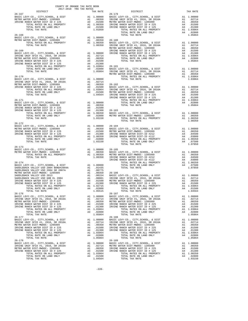| $\begin{tabular}{lllllllll} & . & . & . & . & . \\ & . & . & . & . & . \\ & 2017-2018 & TRA TAX RATES \\ & 15TRICT & & & . & . \\ \end{tabular}$ |  | TAX RATE DISTRICT                                                                                                                                                                                                                                                                                                                                                                                         | TAX RATE |
|--------------------------------------------------------------------------------------------------------------------------------------------------|--|-----------------------------------------------------------------------------------------------------------------------------------------------------------------------------------------------------------------------------------------------------------------------------------------------------------------------------------------------------------------------------------------------------------|----------|
| $26 - 167$                                                                                                                                       |  | $26 - 179$                                                                                                                                                                                                                                                                                                                                                                                                |          |
|                                                                                                                                                  |  |                                                                                                                                                                                                                                                                                                                                                                                                           |          |
|                                                                                                                                                  |  |                                                                                                                                                                                                                                                                                                                                                                                                           |          |
|                                                                                                                                                  |  |                                                                                                                                                                                                                                                                                                                                                                                                           |          |
|                                                                                                                                                  |  |                                                                                                                                                                                                                                                                                                                                                                                                           |          |
|                                                                                                                                                  |  |                                                                                                                                                                                                                                                                                                                                                                                                           |          |
|                                                                                                                                                  |  |                                                                                                                                                                                                                                                                                                                                                                                                           |          |
|                                                                                                                                                  |  |                                                                                                                                                                                                                                                                                                                                                                                                           |          |
|                                                                                                                                                  |  |                                                                                                                                                                                                                                                                                                                                                                                                           |          |
|                                                                                                                                                  |  |                                                                                                                                                                                                                                                                                                                                                                                                           |          |
|                                                                                                                                                  |  |                                                                                                                                                                                                                                                                                                                                                                                                           |          |
|                                                                                                                                                  |  |                                                                                                                                                                                                                                                                                                                                                                                                           |          |
|                                                                                                                                                  |  |                                                                                                                                                                                                                                                                                                                                                                                                           |          |
|                                                                                                                                                  |  |                                                                                                                                                                                                                                                                                                                                                                                                           |          |
|                                                                                                                                                  |  |                                                                                                                                                                                                                                                                                                                                                                                                           |          |
|                                                                                                                                                  |  |                                                                                                                                                                                                                                                                                                                                                                                                           |          |
|                                                                                                                                                  |  |                                                                                                                                                                                                                                                                                                                                                                                                           |          |
|                                                                                                                                                  |  |                                                                                                                                                                                                                                                                                                                                                                                                           |          |
|                                                                                                                                                  |  |                                                                                                                                                                                                                                                                                                                                                                                                           |          |
|                                                                                                                                                  |  |                                                                                                                                                                                                                                                                                                                                                                                                           |          |
|                                                                                                                                                  |  | $\begin{tabular}{lllllllllllllllllllllll} \textsc{26-172} & \textsc{RIST-LEVY-C0.}, & \textsc{CTYI}, & \textsc{SEIOOL}, & \textsc{6.}\text{ DIST} & \textsc{A1} & 1.00000 & 26-184 \\ \textsc{METRE DIST-MMDCC-1205999} & \textsc{A1} & .00350 & \textsc{BASIC LEV-C0.}, & \textsc{CTYI}, & \textsc{SEIOOL}, & \textsc{d DIST} & \textsc{A1} & 1.00000 \\ \textsc{METRE RING RANGH WATER DIST-MMDCC-1205$ |          |
| $26 - 173$                                                                                                                                       |  |                                                                                                                                                                                                                                                                                                                                                                                                           |          |
|                                                                                                                                                  |  |                                                                                                                                                                                                                                                                                                                                                                                                           |          |
|                                                                                                                                                  |  |                                                                                                                                                                                                                                                                                                                                                                                                           |          |
|                                                                                                                                                  |  |                                                                                                                                                                                                                                                                                                                                                                                                           |          |
|                                                                                                                                                  |  |                                                                                                                                                                                                                                                                                                                                                                                                           |          |
|                                                                                                                                                  |  |                                                                                                                                                                                                                                                                                                                                                                                                           |          |
|                                                                                                                                                  |  |                                                                                                                                                                                                                                                                                                                                                                                                           |          |
|                                                                                                                                                  |  |                                                                                                                                                                                                                                                                                                                                                                                                           |          |
|                                                                                                                                                  |  |                                                                                                                                                                                                                                                                                                                                                                                                           |          |
|                                                                                                                                                  |  |                                                                                                                                                                                                                                                                                                                                                                                                           |          |
|                                                                                                                                                  |  |                                                                                                                                                                                                                                                                                                                                                                                                           |          |
|                                                                                                                                                  |  |                                                                                                                                                                                                                                                                                                                                                                                                           |          |
|                                                                                                                                                  |  |                                                                                                                                                                                                                                                                                                                                                                                                           |          |
|                                                                                                                                                  |  |                                                                                                                                                                                                                                                                                                                                                                                                           |          |
|                                                                                                                                                  |  |                                                                                                                                                                                                                                                                                                                                                                                                           |          |
|                                                                                                                                                  |  |                                                                                                                                                                                                                                                                                                                                                                                                           |          |
|                                                                                                                                                  |  |                                                                                                                                                                                                                                                                                                                                                                                                           |          |
|                                                                                                                                                  |  |                                                                                                                                                                                                                                                                                                                                                                                                           |          |
|                                                                                                                                                  |  |                                                                                                                                                                                                                                                                                                                                                                                                           |          |
|                                                                                                                                                  |  |                                                                                                                                                                                                                                                                                                                                                                                                           |          |
|                                                                                                                                                  |  |                                                                                                                                                                                                                                                                                                                                                                                                           |          |
|                                                                                                                                                  |  |                                                                                                                                                                                                                                                                                                                                                                                                           |          |
|                                                                                                                                                  |  |                                                                                                                                                                                                                                                                                                                                                                                                           |          |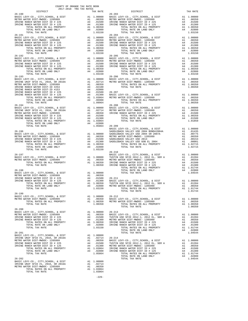| $2017-2018 \quad \text{TRA RATES}$ DISTRICT $$\tt 2017-2018$$ TRA TAX RATES<br>$26 - 190$                                                                                                                         | TAX RATE | DISTRICT<br>$26 - 203$                                                                                                                                                                                                                                                                                                                                                                                          | TAX RATE |
|-------------------------------------------------------------------------------------------------------------------------------------------------------------------------------------------------------------------|----------|-----------------------------------------------------------------------------------------------------------------------------------------------------------------------------------------------------------------------------------------------------------------------------------------------------------------------------------------------------------------------------------------------------------------|----------|
|                                                                                                                                                                                                                   |          | $\begin{tabular}{@{}c@{\hspace{1cm}}c@{\hspace{1cm}}c@{\hspace{1cm}}c@{\hspace{1cm}}c@{\hspace{1cm}}c@{\hspace{1cm}}c@{\hspace{1cm}}c@{\hspace{1cm}}c@{\hspace{1cm}}c@{\hspace{1cm}}c@{\hspace{1cm}}c@{\hspace{1cm}}c@{\hspace{1cm}}c@{\hspace{1cm}}c@{\hspace{1cm}}c@{\hspace{1cm}}c@{\hspace{1cm}}c@{\hspace{1cm}}c@{\hspace{1cm}}c@{\hspace{1cm}}c@{\hspace{1cm}}c@{\hspace{1cm}}c@{\hspace{1cm}}c@{\hspace$ |          |
|                                                                                                                                                                                                                   |          |                                                                                                                                                                                                                                                                                                                                                                                                                 |          |
|                                                                                                                                                                                                                   |          |                                                                                                                                                                                                                                                                                                                                                                                                                 |          |
|                                                                                                                                                                                                                   |          |                                                                                                                                                                                                                                                                                                                                                                                                                 |          |
|                                                                                                                                                                                                                   |          |                                                                                                                                                                                                                                                                                                                                                                                                                 |          |
|                                                                                                                                                                                                                   |          |                                                                                                                                                                                                                                                                                                                                                                                                                 |          |
|                                                                                                                                                                                                                   |          |                                                                                                                                                                                                                                                                                                                                                                                                                 |          |
|                                                                                                                                                                                                                   |          |                                                                                                                                                                                                                                                                                                                                                                                                                 |          |
|                                                                                                                                                                                                                   |          |                                                                                                                                                                                                                                                                                                                                                                                                                 |          |
|                                                                                                                                                                                                                   |          |                                                                                                                                                                                                                                                                                                                                                                                                                 |          |
|                                                                                                                                                                                                                   |          |                                                                                                                                                                                                                                                                                                                                                                                                                 |          |
|                                                                                                                                                                                                                   |          |                                                                                                                                                                                                                                                                                                                                                                                                                 |          |
|                                                                                                                                                                                                                   |          |                                                                                                                                                                                                                                                                                                                                                                                                                 |          |
|                                                                                                                                                                                                                   |          |                                                                                                                                                                                                                                                                                                                                                                                                                 |          |
|                                                                                                                                                                                                                   |          |                                                                                                                                                                                                                                                                                                                                                                                                                 |          |
|                                                                                                                                                                                                                   |          |                                                                                                                                                                                                                                                                                                                                                                                                                 |          |
|                                                                                                                                                                                                                   |          |                                                                                                                                                                                                                                                                                                                                                                                                                 |          |
|                                                                                                                                                                                                                   |          |                                                                                                                                                                                                                                                                                                                                                                                                                 |          |
|                                                                                                                                                                                                                   |          |                                                                                                                                                                                                                                                                                                                                                                                                                 |          |
|                                                                                                                                                                                                                   |          |                                                                                                                                                                                                                                                                                                                                                                                                                 |          |
|                                                                                                                                                                                                                   |          |                                                                                                                                                                                                                                                                                                                                                                                                                 |          |
|                                                                                                                                                                                                                   |          |                                                                                                                                                                                                                                                                                                                                                                                                                 |          |
|                                                                                                                                                                                                                   |          |                                                                                                                                                                                                                                                                                                                                                                                                                 |          |
|                                                                                                                                                                                                                   |          |                                                                                                                                                                                                                                                                                                                                                                                                                 |          |
|                                                                                                                                                                                                                   |          |                                                                                                                                                                                                                                                                                                                                                                                                                 |          |
|                                                                                                                                                                                                                   |          |                                                                                                                                                                                                                                                                                                                                                                                                                 |          |
|                                                                                                                                                                                                                   |          |                                                                                                                                                                                                                                                                                                                                                                                                                 |          |
|                                                                                                                                                                                                                   |          |                                                                                                                                                                                                                                                                                                                                                                                                                 |          |
|                                                                                                                                                                                                                   |          |                                                                                                                                                                                                                                                                                                                                                                                                                 |          |
|                                                                                                                                                                                                                   |          |                                                                                                                                                                                                                                                                                                                                                                                                                 |          |
|                                                                                                                                                                                                                   |          |                                                                                                                                                                                                                                                                                                                                                                                                                 |          |
|                                                                                                                                                                                                                   |          |                                                                                                                                                                                                                                                                                                                                                                                                                 |          |
|                                                                                                                                                                                                                   |          |                                                                                                                                                                                                                                                                                                                                                                                                                 |          |
|                                                                                                                                                                                                                   |          |                                                                                                                                                                                                                                                                                                                                                                                                                 |          |
|                                                                                                                                                                                                                   |          |                                                                                                                                                                                                                                                                                                                                                                                                                 |          |
|                                                                                                                                                                                                                   |          |                                                                                                                                                                                                                                                                                                                                                                                                                 |          |
|                                                                                                                                                                                                                   |          |                                                                                                                                                                                                                                                                                                                                                                                                                 |          |
|                                                                                                                                                                                                                   |          |                                                                                                                                                                                                                                                                                                                                                                                                                 |          |
|                                                                                                                                                                                                                   |          |                                                                                                                                                                                                                                                                                                                                                                                                                 |          |
|                                                                                                                                                                                                                   |          | $\begin{tabular}{c c c c} \multicolumn{4}{c }{\textbf{26-196}} & \multicolumn{4}{c }{\textbf{26-209}} & \multicolumn{4}{c }{\textbf{26-209}} & \multicolumn{4}{c }{\textbf{26-209}} & \multicolumn{4}{c }{\textbf{26-209}} & \multicolumn{4}{c }{\textbf{26-209}} & \multicolumn{4}{c }{\textbf{26-209}} & \multicolumn{4}{c }{\textbf{26-209}} & \multicolumn{4}{c }{\textbf{26-209}} & \multicolumn{4}{c$     |          |
|                                                                                                                                                                                                                   |          |                                                                                                                                                                                                                                                                                                                                                                                                                 |          |
|                                                                                                                                                                                                                   |          |                                                                                                                                                                                                                                                                                                                                                                                                                 |          |
|                                                                                                                                                                                                                   |          |                                                                                                                                                                                                                                                                                                                                                                                                                 |          |
|                                                                                                                                                                                                                   |          |                                                                                                                                                                                                                                                                                                                                                                                                                 |          |
|                                                                                                                                                                                                                   |          |                                                                                                                                                                                                                                                                                                                                                                                                                 |          |
|                                                                                                                                                                                                                   |          |                                                                                                                                                                                                                                                                                                                                                                                                                 |          |
|                                                                                                                                                                                                                   |          |                                                                                                                                                                                                                                                                                                                                                                                                                 |          |
|                                                                                                                                                                                                                   |          |                                                                                                                                                                                                                                                                                                                                                                                                                 |          |
|                                                                                                                                                                                                                   |          |                                                                                                                                                                                                                                                                                                                                                                                                                 |          |
|                                                                                                                                                                                                                   |          |                                                                                                                                                                                                                                                                                                                                                                                                                 |          |
|                                                                                                                                                                                                                   |          |                                                                                                                                                                                                                                                                                                                                                                                                                 |          |
|                                                                                                                                                                                                                   |          | 26-199<br>BASIC LEVY-CO., CITY, SCHOOL, & DIST<br>METRO WATER DIST-MWDOC-1205999<br>TOTAL RATES ON ALL PROPERTY A1 1.00050 METRO WATER DIST-MWDOC-1205999 A1 .00350<br>TOTAL TAX RATE 1.00350 TOTAL RATES ON ALL PROPERTY AT 1.00350<br>                                                                                                                                                                        |          |
|                                                                                                                                                                                                                   |          |                                                                                                                                                                                                                                                                                                                                                                                                                 |          |
|                                                                                                                                                                                                                   |          |                                                                                                                                                                                                                                                                                                                                                                                                                 |          |
|                                                                                                                                                                                                                   |          |                                                                                                                                                                                                                                                                                                                                                                                                                 |          |
| $26 - 200$                                                                                                                                                                                                        |          |                                                                                                                                                                                                                                                                                                                                                                                                                 |          |
|                                                                                                                                                                                                                   |          |                                                                                                                                                                                                                                                                                                                                                                                                                 |          |
|                                                                                                                                                                                                                   |          |                                                                                                                                                                                                                                                                                                                                                                                                                 |          |
|                                                                                                                                                                                                                   |          |                                                                                                                                                                                                                                                                                                                                                                                                                 |          |
|                                                                                                                                                                                                                   |          |                                                                                                                                                                                                                                                                                                                                                                                                                 |          |
|                                                                                                                                                                                                                   |          |                                                                                                                                                                                                                                                                                                                                                                                                                 |          |
|                                                                                                                                                                                                                   |          |                                                                                                                                                                                                                                                                                                                                                                                                                 |          |
|                                                                                                                                                                                                                   |          |                                                                                                                                                                                                                                                                                                                                                                                                                 |          |
|                                                                                                                                                                                                                   |          |                                                                                                                                                                                                                                                                                                                                                                                                                 |          |
|                                                                                                                                                                                                                   |          |                                                                                                                                                                                                                                                                                                                                                                                                                 |          |
|                                                                                                                                                                                                                   |          |                                                                                                                                                                                                                                                                                                                                                                                                                 |          |
|                                                                                                                                                                                                                   |          |                                                                                                                                                                                                                                                                                                                                                                                                                 |          |
|                                                                                                                                                                                                                   |          |                                                                                                                                                                                                                                                                                                                                                                                                                 |          |
|                                                                                                                                                                                                                   |          |                                                                                                                                                                                                                                                                                                                                                                                                                 |          |
|                                                                                                                                                                                                                   |          |                                                                                                                                                                                                                                                                                                                                                                                                                 |          |
|                                                                                                                                                                                                                   |          |                                                                                                                                                                                                                                                                                                                                                                                                                 |          |
|                                                                                                                                                                                                                   |          |                                                                                                                                                                                                                                                                                                                                                                                                                 |          |
| EXAMPLE BASIC LEVY-CO., CITY, SCHOOL, & DIST Al 1.00000<br>IRVINE UNIF SFID #1, 2016, SR 2016A Al .02714<br>METRO WATER DIST-MWDOC- 1205999 Al .00350<br>TOTAL RATES ON ALL PROPERTY Al 1.03064<br>TOTAL TAX RATE |          |                                                                                                                                                                                                                                                                                                                                                                                                                 |          |

-229-

| J                        | BASIC LEVY-CO., CITY, SCHOOL, & DIST                                                                                   |          | AL 1.00000                         |
|--------------------------|------------------------------------------------------------------------------------------------------------------------|----------|------------------------------------|
| $\overline{1}$           | METRO WATER DIST-MWDOC- 1205999                                                                                        |          | A1 .00350<br>A4 .01500             |
| J                        | IRVINE RANCH WATER DIST ID # 225                                                                                       |          |                                    |
| $\overline{\phantom{a}}$ | TOTAL RATES ON ALL PROPERTY                                                                                            |          | A1 1.00350<br>A4 .01500            |
| $\overline{\phantom{a}}$ | TOTAL RATE ON LAND ONLY                                                                                                |          |                                    |
| 1                        | TOTAL TAX RATE                                                                                                         |          | 1.01850                            |
| $\overline{)}$           |                                                                                                                        |          |                                    |
| 1                        | $26 - 209$                                                                                                             |          |                                    |
|                          | BASIC LEVY-CO., CITY, SCHOOL, & DIST                                                                                   |          | A1 1.00000                         |
|                          | SADDLEBACK VALLEY USD 2004 BOND#2004A                                                                                  | A1       | .01435                             |
| J                        | SADDLEBACK VALLEY USD 2004 SR 2007A                                                                                    |          | A1 .00775                          |
| J                        | METRO WATER DIST-MWDOC- 1205999                                                                                        | A1       | .00350                             |
| j                        | SADDLEBACK VALLEY USD 2013                                                                                             |          |                                    |
| j                        | SADDLEBACK VALLEY USD GOB EL 2004                                                                                      |          | A1 .00154<br>A1 .00001             |
| $\overline{)}$           | TOTAL RATES ON ALL PROPERTY                                                                                            |          | $A1 \t 1.02715$<br>$A1 \t 1.02715$ |
| $\overline{)}$           | TOTAL TAX RATE                                                                                                         |          | 1.02715                            |
| J.                       |                                                                                                                        |          |                                    |
|                          |                                                                                                                        |          |                                    |
|                          | $26 - 210$                                                                                                             |          |                                    |
|                          | BASIC LEVY-CO., CITY, SCHOOL, & DIST<br>BASIC LEVY-CO., CITY, SCHOOL, & DIST<br>TUSTIN USD SFID 2012-1, 2012 EL, SER A |          | A1 1.00000                         |
| J                        |                                                                                                                        |          | A1 .01394                          |
| J                        | METRO WATER DIST-MWDOC- 1205999                                                                                        | Al<br>A4 | .00350                             |
| J                        | IRVINE RANCH WATER DIST ID # 225                                                                                       |          | .01500                             |
| J                        | IRVINE RANCH WATER DIST ID # 125                                                                                       |          | A4 .01300                          |
|                          | TOTAL RATES ON ALL PROPERTY                                                                                            |          | A1 1.01744                         |
|                          | TOTAL RATE ON LAND ONLY                                                                                                |          | A4 .02800                          |
| $\overline{)}$           | TOTAL TAX RATE                                                                                                         |          | 1.04544                            |
| $\mathbf{C}$             |                                                                                                                        |          |                                    |
| j                        | $26 - 211$                                                                                                             |          |                                    |
| $\overline{)}$           |                                                                                                                        |          | A1 1.00000                         |
| J                        | BASIC LEVY-CO., CITY,SCHOOL, & DIST<br>TUSTIN USD SFID 2012-1, 2012 EL, SER A                                          |          | A1 .01394                          |
| j                        | METRO WATER DIST-MWDOC- 1205999                                                                                        |          | A1 .00350                          |
| J                        | TOTAL RATES ON ALL PROPERTY                                                                                            |          | A1 1.01744                         |
|                          | TOTAL TAX RATE                                                                                                         |          | 1.01744                            |
|                          |                                                                                                                        |          |                                    |
| J                        | $26 - 212$                                                                                                             |          |                                    |
| J                        | BASIC LEVY-CO., CITY, SCHOOL, & DIST                                                                                   |          |                                    |
| J                        |                                                                                                                        |          | A1 1.00000                         |
| J                        | METRO WATER DIST-MWDOC- 1205999<br>TOTAL RATES ON ALL PROPERTY                                                         |          | A1 .00350<br>$A1 \t 1.00350$       |
|                          |                                                                                                                        |          |                                    |
|                          | TOTAL TAX RATE                                                                                                         |          | 1.00350                            |
|                          |                                                                                                                        |          |                                    |
| J                        | $26 - 213$                                                                                                             |          |                                    |
| J                        | BASIC LEVY-CO., CITY, SCHOOL, & DIST                                                                                   |          | A1 1.00000                         |
| J                        | TUSTIN USD SFID 2012-1, 2012 EL, SER A                                                                                 |          | A1 .01394                          |
| J                        | METRO WATER DIST-MWDOC- 1205999                                                                                        |          | A1 .00350                          |
| J                        | IRVINE RANCH WATER DIST ID # 225                                                                                       | A4       | .01500                             |
| J                        | IRVINE RANCH WATER DIST ID # 125                                                                                       | A4       | .01300                             |
| $\overline{\phantom{a}}$ | TOTAL RATES ON ALL PROPERTY                                                                                            |          | A1 1.01744                         |
|                          | TOTAL RATE ON LAND ONLY                                                                                                |          | A4 .02800                          |
|                          | TOTAL TAX RATE                                                                                                         |          | 1.04544                            |
| J                        |                                                                                                                        |          |                                    |
| 1                        | $26 - 214$                                                                                                             |          |                                    |
| $\mathfrak{g}$           | BASIC LEVY-CO., CITY, SCHOOL, & DIST                                                                                   |          | A1 1.00000                         |
| $\overline{)}$           | BASIC LEVY-CO., CITY, SCHOOL, & DIST<br>TUSTIN USD SFID 2012-1, 2012 EL, SER A                                         |          | A1 .01394                          |
| $\overline{)}$           | METRO WATER DIST-MWDOC- 1205999                                                                                        | A1       | .00350                             |
| 1                        | IRVINE RANCH WATER DIST ID # 225                                                                                       |          |                                    |
| J                        | IRVINE RANCH WATER DIST ID # 125                                                                                       |          | A4 .01500<br>A4 .01300             |
| 1                        | TOTAL RATES ON ALL PROPERTY                                                                                            |          | A1 1.01744                         |
|                          |                                                                                                                        |          |                                    |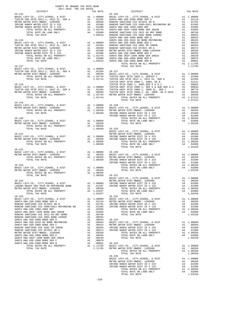| $26 - 219$     |                    |                                                                                                                                                                                                                                                                                                                                                                                                              |  |
|----------------|--------------------|--------------------------------------------------------------------------------------------------------------------------------------------------------------------------------------------------------------------------------------------------------------------------------------------------------------------------------------------------------------------------------------------------------------|--|
|                |                    |                                                                                                                                                                                                                                                                                                                                                                                                              |  |
|                |                    |                                                                                                                                                                                                                                                                                                                                                                                                              |  |
|                |                    |                                                                                                                                                                                                                                                                                                                                                                                                              |  |
|                |                    |                                                                                                                                                                                                                                                                                                                                                                                                              |  |
|                |                    |                                                                                                                                                                                                                                                                                                                                                                                                              |  |
|                |                    |                                                                                                                                                                                                                                                                                                                                                                                                              |  |
| TOTAL TAX RATE | 1.00350 26-229     |                                                                                                                                                                                                                                                                                                                                                                                                              |  |
|                |                    |                                                                                                                                                                                                                                                                                                                                                                                                              |  |
|                |                    |                                                                                                                                                                                                                                                                                                                                                                                                              |  |
|                |                    |                                                                                                                                                                                                                                                                                                                                                                                                              |  |
|                |                    |                                                                                                                                                                                                                                                                                                                                                                                                              |  |
|                |                    |                                                                                                                                                                                                                                                                                                                                                                                                              |  |
| $26 - 222$     |                    |                                                                                                                                                                                                                                                                                                                                                                                                              |  |
|                |                    | $\begin{tabular}{l c c c c c} \hline 26-222 & \multicolumn{3}{c}{26-230} & \multicolumn{3}{c}{METRO}\text{ WATER} & \multicolumn{3}{c}{METRO}\text{ WATER} & \multicolumn{3}{c}{METRO}\text{WATER} & \multicolumn{3}{c}{METRO}\text{WATER} & \multicolumn{3}{c}{METRO}\text{WATER} & \multicolumn{3}{c}{A1} & 0.00000 & 26-230 & \multicolumn{3}{c}{MSTCO}\text{H} & \multicolumn{3}{c}{A2} & 0.00000 & 26-$ |  |
|                |                    |                                                                                                                                                                                                                                                                                                                                                                                                              |  |
|                |                    |                                                                                                                                                                                                                                                                                                                                                                                                              |  |
|                |                    |                                                                                                                                                                                                                                                                                                                                                                                                              |  |
|                |                    |                                                                                                                                                                                                                                                                                                                                                                                                              |  |
|                |                    |                                                                                                                                                                                                                                                                                                                                                                                                              |  |
| TOTAL TAX RATE | $1.00350$ $26-231$ |                                                                                                                                                                                                                                                                                                                                                                                                              |  |
|                |                    |                                                                                                                                                                                                                                                                                                                                                                                                              |  |
|                |                    |                                                                                                                                                                                                                                                                                                                                                                                                              |  |
|                |                    |                                                                                                                                                                                                                                                                                                                                                                                                              |  |
|                |                    |                                                                                                                                                                                                                                                                                                                                                                                                              |  |
|                |                    |                                                                                                                                                                                                                                                                                                                                                                                                              |  |
|                |                    |                                                                                                                                                                                                                                                                                                                                                                                                              |  |
|                |                    |                                                                                                                                                                                                                                                                                                                                                                                                              |  |
|                |                    |                                                                                                                                                                                                                                                                                                                                                                                                              |  |
|                |                    |                                                                                                                                                                                                                                                                                                                                                                                                              |  |
|                |                    |                                                                                                                                                                                                                                                                                                                                                                                                              |  |
|                |                    |                                                                                                                                                                                                                                                                                                                                                                                                              |  |
|                |                    |                                                                                                                                                                                                                                                                                                                                                                                                              |  |
|                |                    |                                                                                                                                                                                                                                                                                                                                                                                                              |  |
|                |                    |                                                                                                                                                                                                                                                                                                                                                                                                              |  |
|                |                    |                                                                                                                                                                                                                                                                                                                                                                                                              |  |
|                |                    |                                                                                                                                                                                                                                                                                                                                                                                                              |  |
|                |                    |                                                                                                                                                                                                                                                                                                                                                                                                              |  |
|                |                    |                                                                                                                                                                                                                                                                                                                                                                                                              |  |
|                |                    |                                                                                                                                                                                                                                                                                                                                                                                                              |  |
|                |                    |                                                                                                                                                                                                                                                                                                                                                                                                              |  |
|                |                    |                                                                                                                                                                                                                                                                                                                                                                                                              |  |
|                |                    | $26 - 235$                                                                                                                                                                                                                                                                                                                                                                                                   |  |
|                |                    |                                                                                                                                                                                                                                                                                                                                                                                                              |  |
|                |                    |                                                                                                                                                                                                                                                                                                                                                                                                              |  |
|                |                    |                                                                                                                                                                                                                                                                                                                                                                                                              |  |
|                |                    |                                                                                                                                                                                                                                                                                                                                                                                                              |  |
|                |                    |                                                                                                                                                                                                                                                                                                                                                                                                              |  |

COUNTY OF ORANGE TAX RATE BOOK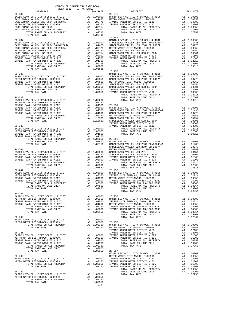| COUNTY OF ORANGE TAX RATE BOOK<br>$2017-2018 \quad \text{TRA TAX RATES}$ DISTRICT $2017-2018 \quad \text{TRA TAX RATES}$                                                                                                                                                                                                                                                                                                                                                                 |  |         |
|------------------------------------------------------------------------------------------------------------------------------------------------------------------------------------------------------------------------------------------------------------------------------------------------------------------------------------------------------------------------------------------------------------------------------------------------------------------------------------------|--|---------|
| $\begin{tabular}{l c c c c c} \multicolumn{1}{c}{\textbf{26-236}} & \multicolumn{1}{c}{\textbf{7774}} & \multicolumn{1}{c}{\textbf{7874}} & \multicolumn{1}{c}{\textbf{58-248}} & \multicolumn{1}{c}{\textbf{58-248}} & \multicolumn{1}{c}{\textbf{58-248}} & \multicolumn{1}{c}{\textbf{58-248}} & \multicolumn{1}{c}{\textbf{58-248}} & \multicolumn{1}{c}{\textbf{58-248}} & \multicolumn{1}{c}{\textbf{58-2$                                                                         |  |         |
|                                                                                                                                                                                                                                                                                                                                                                                                                                                                                          |  |         |
|                                                                                                                                                                                                                                                                                                                                                                                                                                                                                          |  |         |
|                                                                                                                                                                                                                                                                                                                                                                                                                                                                                          |  |         |
|                                                                                                                                                                                                                                                                                                                                                                                                                                                                                          |  |         |
|                                                                                                                                                                                                                                                                                                                                                                                                                                                                                          |  |         |
|                                                                                                                                                                                                                                                                                                                                                                                                                                                                                          |  |         |
|                                                                                                                                                                                                                                                                                                                                                                                                                                                                                          |  |         |
|                                                                                                                                                                                                                                                                                                                                                                                                                                                                                          |  |         |
|                                                                                                                                                                                                                                                                                                                                                                                                                                                                                          |  |         |
|                                                                                                                                                                                                                                                                                                                                                                                                                                                                                          |  |         |
|                                                                                                                                                                                                                                                                                                                                                                                                                                                                                          |  |         |
|                                                                                                                                                                                                                                                                                                                                                                                                                                                                                          |  |         |
|                                                                                                                                                                                                                                                                                                                                                                                                                                                                                          |  |         |
|                                                                                                                                                                                                                                                                                                                                                                                                                                                                                          |  |         |
|                                                                                                                                                                                                                                                                                                                                                                                                                                                                                          |  |         |
|                                                                                                                                                                                                                                                                                                                                                                                                                                                                                          |  |         |
|                                                                                                                                                                                                                                                                                                                                                                                                                                                                                          |  |         |
|                                                                                                                                                                                                                                                                                                                                                                                                                                                                                          |  |         |
|                                                                                                                                                                                                                                                                                                                                                                                                                                                                                          |  |         |
|                                                                                                                                                                                                                                                                                                                                                                                                                                                                                          |  |         |
|                                                                                                                                                                                                                                                                                                                                                                                                                                                                                          |  |         |
|                                                                                                                                                                                                                                                                                                                                                                                                                                                                                          |  |         |
|                                                                                                                                                                                                                                                                                                                                                                                                                                                                                          |  |         |
|                                                                                                                                                                                                                                                                                                                                                                                                                                                                                          |  |         |
|                                                                                                                                                                                                                                                                                                                                                                                                                                                                                          |  |         |
|                                                                                                                                                                                                                                                                                                                                                                                                                                                                                          |  |         |
|                                                                                                                                                                                                                                                                                                                                                                                                                                                                                          |  |         |
|                                                                                                                                                                                                                                                                                                                                                                                                                                                                                          |  |         |
|                                                                                                                                                                                                                                                                                                                                                                                                                                                                                          |  |         |
|                                                                                                                                                                                                                                                                                                                                                                                                                                                                                          |  |         |
|                                                                                                                                                                                                                                                                                                                                                                                                                                                                                          |  |         |
|                                                                                                                                                                                                                                                                                                                                                                                                                                                                                          |  |         |
|                                                                                                                                                                                                                                                                                                                                                                                                                                                                                          |  |         |
|                                                                                                                                                                                                                                                                                                                                                                                                                                                                                          |  |         |
|                                                                                                                                                                                                                                                                                                                                                                                                                                                                                          |  |         |
|                                                                                                                                                                                                                                                                                                                                                                                                                                                                                          |  |         |
|                                                                                                                                                                                                                                                                                                                                                                                                                                                                                          |  |         |
|                                                                                                                                                                                                                                                                                                                                                                                                                                                                                          |  |         |
|                                                                                                                                                                                                                                                                                                                                                                                                                                                                                          |  |         |
|                                                                                                                                                                                                                                                                                                                                                                                                                                                                                          |  |         |
|                                                                                                                                                                                                                                                                                                                                                                                                                                                                                          |  |         |
|                                                                                                                                                                                                                                                                                                                                                                                                                                                                                          |  |         |
|                                                                                                                                                                                                                                                                                                                                                                                                                                                                                          |  |         |
|                                                                                                                                                                                                                                                                                                                                                                                                                                                                                          |  |         |
|                                                                                                                                                                                                                                                                                                                                                                                                                                                                                          |  |         |
|                                                                                                                                                                                                                                                                                                                                                                                                                                                                                          |  |         |
|                                                                                                                                                                                                                                                                                                                                                                                                                                                                                          |  |         |
|                                                                                                                                                                                                                                                                                                                                                                                                                                                                                          |  |         |
|                                                                                                                                                                                                                                                                                                                                                                                                                                                                                          |  |         |
|                                                                                                                                                                                                                                                                                                                                                                                                                                                                                          |  |         |
| $26 - 243$                                                                                                                                                                                                                                                                                                                                                                                                                                                                               |  |         |
|                                                                                                                                                                                                                                                                                                                                                                                                                                                                                          |  |         |
|                                                                                                                                                                                                                                                                                                                                                                                                                                                                                          |  |         |
|                                                                                                                                                                                                                                                                                                                                                                                                                                                                                          |  |         |
|                                                                                                                                                                                                                                                                                                                                                                                                                                                                                          |  |         |
|                                                                                                                                                                                                                                                                                                                                                                                                                                                                                          |  |         |
|                                                                                                                                                                                                                                                                                                                                                                                                                                                                                          |  |         |
|                                                                                                                                                                                                                                                                                                                                                                                                                                                                                          |  |         |
|                                                                                                                                                                                                                                                                                                                                                                                                                                                                                          |  |         |
|                                                                                                                                                                                                                                                                                                                                                                                                                                                                                          |  |         |
|                                                                                                                                                                                                                                                                                                                                                                                                                                                                                          |  |         |
|                                                                                                                                                                                                                                                                                                                                                                                                                                                                                          |  |         |
|                                                                                                                                                                                                                                                                                                                                                                                                                                                                                          |  |         |
|                                                                                                                                                                                                                                                                                                                                                                                                                                                                                          |  |         |
|                                                                                                                                                                                                                                                                                                                                                                                                                                                                                          |  |         |
|                                                                                                                                                                                                                                                                                                                                                                                                                                                                                          |  |         |
|                                                                                                                                                                                                                                                                                                                                                                                                                                                                                          |  |         |
| $\begin{tabular}{c c c c c} \multicolumn{1}{c}{\textbf{26-246}} \multicolumn{1}{c}{\textbf{26-247}} \multicolumn{1}{c}{\textbf{26-247}} \multicolumn{1}{c}{\textbf{26-247}} \multicolumn{1}{c}{\textbf{26-247}} \multicolumn{1}{c}{\textbf{26-248}} \multicolumn{1}{c}{\textbf{26-249}} \multicolumn{1}{c}{\textbf{26-247}} \multicolumn{1}{c}{\textbf{26-248}} \multicolumn{1}{c}{\textbf{26-249}} \multicolumn$                                                                        |  |         |
|                                                                                                                                                                                                                                                                                                                                                                                                                                                                                          |  |         |
|                                                                                                                                                                                                                                                                                                                                                                                                                                                                                          |  |         |
|                                                                                                                                                                                                                                                                                                                                                                                                                                                                                          |  |         |
|                                                                                                                                                                                                                                                                                                                                                                                                                                                                                          |  |         |
|                                                                                                                                                                                                                                                                                                                                                                                                                                                                                          |  |         |
| $\begin{tabular}{lllllllllllllllllllll} \multicolumn{3}{c}{\begin{tabular}{l} \multicolumn{3}{c}{\multicolumn{3}{c}{\multicolumn{3}{c}{\multicolumn{3}{c}{\multicolumn{3}{c}{\multicolumn{3}{c}{\multicolumn{3}{c}{\multicolumn{3}{c}{\multicolumn{3}{c}{\multicolumn{3}{c}{\multicolumn{3}{c}{\multicolumn{3}{c}{\multicolumn{3}{c}{\multicolumn{3}{c}{\multicolumn{3}{c}{\multicolumn{3}{c}{\multicolumn{3}{c}{\multicolumn{3}{c}{\multicolumn{3}{c}{\multicolumn{3}{c}{\multicolumn{$ |  | 1.07250 |
|                                                                                                                                                                                                                                                                                                                                                                                                                                                                                          |  |         |
|                                                                                                                                                                                                                                                                                                                                                                                                                                                                                          |  |         |
|                                                                                                                                                                                                                                                                                                                                                                                                                                                                                          |  |         |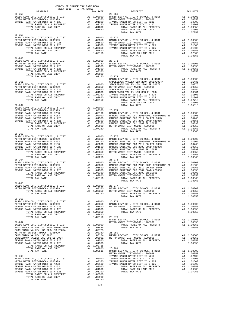| $\begin{tabular}{lllllll} & . & . & . & . & . \\ & . & . & . & . \\ & . & . & . & . \\ & . & . & . & . \\ & . & . & . & . \\ & . & . & . & . \\ & . & . & . & . \\ & . & . & . & . \\ & . & . & . & . \\ & . & . & . & . \\ & . & . & . & . \\ & . & . & . & . \\ & . & . & . & . \\ & . & . & . & . \\ & . & . & . & . \\ & . & . & . & . \\ & . & . & . & . \\ & . & . & . & . \\ & . & . & . & . \\ & . & . & . & . \\ & . & . & . & . \\ & . & . & . & . \\ & . & . & . & . \\$ |  |                                                                                                                                                                                                                                                                                                                                                                                                                                                                                                |          |
|-------------------------------------------------------------------------------------------------------------------------------------------------------------------------------------------------------------------------------------------------------------------------------------------------------------------------------------------------------------------------------------------------------------------------------------------------------------------------------------|--|------------------------------------------------------------------------------------------------------------------------------------------------------------------------------------------------------------------------------------------------------------------------------------------------------------------------------------------------------------------------------------------------------------------------------------------------------------------------------------------------|----------|
|                                                                                                                                                                                                                                                                                                                                                                                                                                                                                     |  | TAX RATE<br>DISTRICT                                                                                                                                                                                                                                                                                                                                                                                                                                                                           | TAX RATE |
| $26 - 258$                                                                                                                                                                                                                                                                                                                                                                                                                                                                          |  | $26 - 269$                                                                                                                                                                                                                                                                                                                                                                                                                                                                                     |          |
|                                                                                                                                                                                                                                                                                                                                                                                                                                                                                     |  |                                                                                                                                                                                                                                                                                                                                                                                                                                                                                                |          |
|                                                                                                                                                                                                                                                                                                                                                                                                                                                                                     |  |                                                                                                                                                                                                                                                                                                                                                                                                                                                                                                |          |
|                                                                                                                                                                                                                                                                                                                                                                                                                                                                                     |  |                                                                                                                                                                                                                                                                                                                                                                                                                                                                                                |          |
|                                                                                                                                                                                                                                                                                                                                                                                                                                                                                     |  | ${\small \hbox{BASTC LEVY-CO., CITY, SCHOOL, & DIST} & {\small \hbox{ADSTC LEVY-CO., CITY, SCHOOL, & DIST} & {\small \hbox{ADSTC LEVY-CO., CITY, SCHOOL, & DIST} & {\small \hbox{ADSTC LEVY-CO., CITY, SCHOOL, & DIST} & {\small \hbox{ADSTC LEVY-CO., CITY, SCHOOL, & DIST} & {\small \hbox{ADSTC LEVY-CO., CITY, SCHOOL, & DIST} & {\small \hbox{ADSTC LEVY-CO., CITY, SCHOOL, & DIST} & {\small \hbox{ADSTC LEVY-CO., CITY, SCHOOL, & DIST} & {\small \h$                                   |          |
| $26 - 259$                                                                                                                                                                                                                                                                                                                                                                                                                                                                          |  |                                                                                                                                                                                                                                                                                                                                                                                                                                                                                                |          |
|                                                                                                                                                                                                                                                                                                                                                                                                                                                                                     |  |                                                                                                                                                                                                                                                                                                                                                                                                                                                                                                |          |
|                                                                                                                                                                                                                                                                                                                                                                                                                                                                                     |  |                                                                                                                                                                                                                                                                                                                                                                                                                                                                                                |          |
|                                                                                                                                                                                                                                                                                                                                                                                                                                                                                     |  |                                                                                                                                                                                                                                                                                                                                                                                                                                                                                                |          |
|                                                                                                                                                                                                                                                                                                                                                                                                                                                                                     |  |                                                                                                                                                                                                                                                                                                                                                                                                                                                                                                |          |
| $26 - 260$                                                                                                                                                                                                                                                                                                                                                                                                                                                                          |  |                                                                                                                                                                                                                                                                                                                                                                                                                                                                                                |          |
|                                                                                                                                                                                                                                                                                                                                                                                                                                                                                     |  |                                                                                                                                                                                                                                                                                                                                                                                                                                                                                                |          |
|                                                                                                                                                                                                                                                                                                                                                                                                                                                                                     |  |                                                                                                                                                                                                                                                                                                                                                                                                                                                                                                |          |
|                                                                                                                                                                                                                                                                                                                                                                                                                                                                                     |  |                                                                                                                                                                                                                                                                                                                                                                                                                                                                                                |          |
|                                                                                                                                                                                                                                                                                                                                                                                                                                                                                     |  |                                                                                                                                                                                                                                                                                                                                                                                                                                                                                                |          |
|                                                                                                                                                                                                                                                                                                                                                                                                                                                                                     |  |                                                                                                                                                                                                                                                                                                                                                                                                                                                                                                |          |
|                                                                                                                                                                                                                                                                                                                                                                                                                                                                                     |  |                                                                                                                                                                                                                                                                                                                                                                                                                                                                                                |          |
|                                                                                                                                                                                                                                                                                                                                                                                                                                                                                     |  |                                                                                                                                                                                                                                                                                                                                                                                                                                                                                                |          |
|                                                                                                                                                                                                                                                                                                                                                                                                                                                                                     |  |                                                                                                                                                                                                                                                                                                                                                                                                                                                                                                |          |
|                                                                                                                                                                                                                                                                                                                                                                                                                                                                                     |  |                                                                                                                                                                                                                                                                                                                                                                                                                                                                                                |          |
|                                                                                                                                                                                                                                                                                                                                                                                                                                                                                     |  |                                                                                                                                                                                                                                                                                                                                                                                                                                                                                                |          |
|                                                                                                                                                                                                                                                                                                                                                                                                                                                                                     |  |                                                                                                                                                                                                                                                                                                                                                                                                                                                                                                |          |
|                                                                                                                                                                                                                                                                                                                                                                                                                                                                                     |  | $\begin{tabular}{c c c c c} \multicolumn{4}{c}{\textbf{707AL TAX RATE}} & & & & & & & & & & & & \\ \hline \multicolumn{4}{c}{\begin{tabular}{c} \multicolumn{4}{c}{\begin{tabular}{c} \multicolumn{4}{c}{\begin{tabular}{c} \multicolumn{4}{c}{\begin{tabular}{c} \multicolumn{4}{c}{\begin{tabular}{c} \multicolumn{4}{c}{\begin{tabular}{c} \multicolumn{4}{c}{\begin{tabular}{c} \multicolumn{4}{c}{\begin{tabular}{c} \multicolumn{4}{c}{\begin{tabular}{c} \multicolumn{4}{c}{\begin{tab$ |          |
|                                                                                                                                                                                                                                                                                                                                                                                                                                                                                     |  |                                                                                                                                                                                                                                                                                                                                                                                                                                                                                                |          |
|                                                                                                                                                                                                                                                                                                                                                                                                                                                                                     |  |                                                                                                                                                                                                                                                                                                                                                                                                                                                                                                |          |
|                                                                                                                                                                                                                                                                                                                                                                                                                                                                                     |  |                                                                                                                                                                                                                                                                                                                                                                                                                                                                                                |          |
|                                                                                                                                                                                                                                                                                                                                                                                                                                                                                     |  |                                                                                                                                                                                                                                                                                                                                                                                                                                                                                                |          |
|                                                                                                                                                                                                                                                                                                                                                                                                                                                                                     |  |                                                                                                                                                                                                                                                                                                                                                                                                                                                                                                |          |
|                                                                                                                                                                                                                                                                                                                                                                                                                                                                                     |  |                                                                                                                                                                                                                                                                                                                                                                                                                                                                                                |          |
|                                                                                                                                                                                                                                                                                                                                                                                                                                                                                     |  |                                                                                                                                                                                                                                                                                                                                                                                                                                                                                                |          |
|                                                                                                                                                                                                                                                                                                                                                                                                                                                                                     |  |                                                                                                                                                                                                                                                                                                                                                                                                                                                                                                |          |
|                                                                                                                                                                                                                                                                                                                                                                                                                                                                                     |  |                                                                                                                                                                                                                                                                                                                                                                                                                                                                                                |          |
|                                                                                                                                                                                                                                                                                                                                                                                                                                                                                     |  |                                                                                                                                                                                                                                                                                                                                                                                                                                                                                                |          |
|                                                                                                                                                                                                                                                                                                                                                                                                                                                                                     |  |                                                                                                                                                                                                                                                                                                                                                                                                                                                                                                |          |
|                                                                                                                                                                                                                                                                                                                                                                                                                                                                                     |  |                                                                                                                                                                                                                                                                                                                                                                                                                                                                                                |          |
|                                                                                                                                                                                                                                                                                                                                                                                                                                                                                     |  |                                                                                                                                                                                                                                                                                                                                                                                                                                                                                                |          |
|                                                                                                                                                                                                                                                                                                                                                                                                                                                                                     |  |                                                                                                                                                                                                                                                                                                                                                                                                                                                                                                |          |
|                                                                                                                                                                                                                                                                                                                                                                                                                                                                                     |  |                                                                                                                                                                                                                                                                                                                                                                                                                                                                                                |          |
|                                                                                                                                                                                                                                                                                                                                                                                                                                                                                     |  |                                                                                                                                                                                                                                                                                                                                                                                                                                                                                                |          |
|                                                                                                                                                                                                                                                                                                                                                                                                                                                                                     |  |                                                                                                                                                                                                                                                                                                                                                                                                                                                                                                |          |
|                                                                                                                                                                                                                                                                                                                                                                                                                                                                                     |  |                                                                                                                                                                                                                                                                                                                                                                                                                                                                                                |          |
|                                                                                                                                                                                                                                                                                                                                                                                                                                                                                     |  |                                                                                                                                                                                                                                                                                                                                                                                                                                                                                                |          |
|                                                                                                                                                                                                                                                                                                                                                                                                                                                                                     |  | $\begin{array}{cccccccc} 26-265 & & & \\ \texttt{BASIC LEVY-CO} \ , \ \texttt{CITY}, \texttt{SCHODI}, \ \ & \texttt{DIST} & \texttt{A1} & \texttt{1.00000} & \texttt{26-277} \\ \texttt{METRO WITER DIST-MFDOC-1205999} & \texttt{A1} & \texttt{.00350} & \texttt{BASIC LEVY-CO} \ , \ \ & \texttt{CITY}, \texttt{SCHOOL}, \ \ & \texttt{DIST} & \texttt{A1} & \texttt{.00000} \\ \texttt{METRO WITER DIST-MWDOC-12$                                                                           |          |
|                                                                                                                                                                                                                                                                                                                                                                                                                                                                                     |  |                                                                                                                                                                                                                                                                                                                                                                                                                                                                                                |          |
|                                                                                                                                                                                                                                                                                                                                                                                                                                                                                     |  |                                                                                                                                                                                                                                                                                                                                                                                                                                                                                                |          |
|                                                                                                                                                                                                                                                                                                                                                                                                                                                                                     |  |                                                                                                                                                                                                                                                                                                                                                                                                                                                                                                |          |
|                                                                                                                                                                                                                                                                                                                                                                                                                                                                                     |  |                                                                                                                                                                                                                                                                                                                                                                                                                                                                                                |          |
|                                                                                                                                                                                                                                                                                                                                                                                                                                                                                     |  |                                                                                                                                                                                                                                                                                                                                                                                                                                                                                                |          |
|                                                                                                                                                                                                                                                                                                                                                                                                                                                                                     |  |                                                                                                                                                                                                                                                                                                                                                                                                                                                                                                |          |
|                                                                                                                                                                                                                                                                                                                                                                                                                                                                                     |  |                                                                                                                                                                                                                                                                                                                                                                                                                                                                                                |          |
|                                                                                                                                                                                                                                                                                                                                                                                                                                                                                     |  |                                                                                                                                                                                                                                                                                                                                                                                                                                                                                                |          |
|                                                                                                                                                                                                                                                                                                                                                                                                                                                                                     |  |                                                                                                                                                                                                                                                                                                                                                                                                                                                                                                |          |
|                                                                                                                                                                                                                                                                                                                                                                                                                                                                                     |  |                                                                                                                                                                                                                                                                                                                                                                                                                                                                                                |          |
|                                                                                                                                                                                                                                                                                                                                                                                                                                                                                     |  |                                                                                                                                                                                                                                                                                                                                                                                                                                                                                                |          |
|                                                                                                                                                                                                                                                                                                                                                                                                                                                                                     |  |                                                                                                                                                                                                                                                                                                                                                                                                                                                                                                |          |
|                                                                                                                                                                                                                                                                                                                                                                                                                                                                                     |  |                                                                                                                                                                                                                                                                                                                                                                                                                                                                                                |          |
|                                                                                                                                                                                                                                                                                                                                                                                                                                                                                     |  |                                                                                                                                                                                                                                                                                                                                                                                                                                                                                                |          |
|                                                                                                                                                                                                                                                                                                                                                                                                                                                                                     |  |                                                                                                                                                                                                                                                                                                                                                                                                                                                                                                |          |
|                                                                                                                                                                                                                                                                                                                                                                                                                                                                                     |  |                                                                                                                                                                                                                                                                                                                                                                                                                                                                                                |          |
|                                                                                                                                                                                                                                                                                                                                                                                                                                                                                     |  |                                                                                                                                                                                                                                                                                                                                                                                                                                                                                                |          |
|                                                                                                                                                                                                                                                                                                                                                                                                                                                                                     |  |                                                                                                                                                                                                                                                                                                                                                                                                                                                                                                |          |
|                                                                                                                                                                                                                                                                                                                                                                                                                                                                                     |  |                                                                                                                                                                                                                                                                                                                                                                                                                                                                                                |          |
|                                                                                                                                                                                                                                                                                                                                                                                                                                                                                     |  |                                                                                                                                                                                                                                                                                                                                                                                                                                                                                                |          |
|                                                                                                                                                                                                                                                                                                                                                                                                                                                                                     |  |                                                                                                                                                                                                                                                                                                                                                                                                                                                                                                |          |
|                                                                                                                                                                                                                                                                                                                                                                                                                                                                                     |  |                                                                                                                                                                                                                                                                                                                                                                                                                                                                                                |          |
|                                                                                                                                                                                                                                                                                                                                                                                                                                                                                     |  |                                                                                                                                                                                                                                                                                                                                                                                                                                                                                                |          |
|                                                                                                                                                                                                                                                                                                                                                                                                                                                                                     |  |                                                                                                                                                                                                                                                                                                                                                                                                                                                                                                |          |
|                                                                                                                                                                                                                                                                                                                                                                                                                                                                                     |  |                                                                                                                                                                                                                                                                                                                                                                                                                                                                                                |          |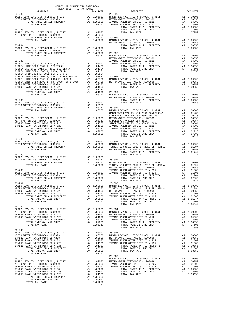| 2017-2018 TRA TAX RATES<br>DISTRICT | TAX RATE | DISTRICT                                                                                                                                                                                                                                                           | TAX RATE |
|-------------------------------------|----------|--------------------------------------------------------------------------------------------------------------------------------------------------------------------------------------------------------------------------------------------------------------------|----------|
|                                     |          |                                                                                                                                                                                                                                                                    |          |
|                                     |          |                                                                                                                                                                                                                                                                    |          |
|                                     |          |                                                                                                                                                                                                                                                                    |          |
|                                     |          |                                                                                                                                                                                                                                                                    |          |
|                                     |          |                                                                                                                                                                                                                                                                    |          |
|                                     |          |                                                                                                                                                                                                                                                                    |          |
|                                     |          |                                                                                                                                                                                                                                                                    |          |
|                                     |          |                                                                                                                                                                                                                                                                    |          |
|                                     |          |                                                                                                                                                                                                                                                                    |          |
|                                     |          |                                                                                                                                                                                                                                                                    |          |
|                                     |          |                                                                                                                                                                                                                                                                    |          |
|                                     |          |                                                                                                                                                                                                                                                                    |          |
|                                     |          |                                                                                                                                                                                                                                                                    |          |
|                                     |          |                                                                                                                                                                                                                                                                    |          |
|                                     |          |                                                                                                                                                                                                                                                                    |          |
|                                     |          |                                                                                                                                                                                                                                                                    |          |
|                                     |          |                                                                                                                                                                                                                                                                    |          |
|                                     |          |                                                                                                                                                                                                                                                                    |          |
|                                     |          |                                                                                                                                                                                                                                                                    |          |
|                                     |          |                                                                                                                                                                                                                                                                    |          |
|                                     |          |                                                                                                                                                                                                                                                                    |          |
|                                     |          |                                                                                                                                                                                                                                                                    |          |
|                                     |          |                                                                                                                                                                                                                                                                    |          |
|                                     |          |                                                                                                                                                                                                                                                                    |          |
|                                     |          |                                                                                                                                                                                                                                                                    |          |
|                                     |          |                                                                                                                                                                                                                                                                    |          |
|                                     |          |                                                                                                                                                                                                                                                                    |          |
|                                     |          |                                                                                                                                                                                                                                                                    |          |
|                                     |          |                                                                                                                                                                                                                                                                    |          |
|                                     |          |                                                                                                                                                                                                                                                                    |          |
|                                     |          |                                                                                                                                                                                                                                                                    |          |
|                                     |          |                                                                                                                                                                                                                                                                    |          |
|                                     |          |                                                                                                                                                                                                                                                                    |          |
| $26 - 288$                          |          |                                                                                                                                                                                                                                                                    |          |
|                                     |          |                                                                                                                                                                                                                                                                    |          |
|                                     |          |                                                                                                                                                                                                                                                                    |          |
|                                     |          |                                                                                                                                                                                                                                                                    |          |
|                                     |          |                                                                                                                                                                                                                                                                    |          |
|                                     |          |                                                                                                                                                                                                                                                                    |          |
|                                     |          |                                                                                                                                                                                                                                                                    |          |
|                                     |          |                                                                                                                                                                                                                                                                    |          |
|                                     |          |                                                                                                                                                                                                                                                                    |          |
|                                     |          |                                                                                                                                                                                                                                                                    |          |
|                                     |          |                                                                                                                                                                                                                                                                    |          |
|                                     |          |                                                                                                                                                                                                                                                                    |          |
|                                     |          |                                                                                                                                                                                                                                                                    |          |
|                                     |          |                                                                                                                                                                                                                                                                    |          |
|                                     |          |                                                                                                                                                                                                                                                                    |          |
|                                     |          |                                                                                                                                                                                                                                                                    |          |
|                                     |          |                                                                                                                                                                                                                                                                    |          |
|                                     |          |                                                                                                                                                                                                                                                                    |          |
| $26 - 292$                          |          |                                                                                                                                                                                                                                                                    |          |
|                                     |          |                                                                                                                                                                                                                                                                    |          |
|                                     |          |                                                                                                                                                                                                                                                                    |          |
|                                     |          |                                                                                                                                                                                                                                                                    |          |
|                                     |          |                                                                                                                                                                                                                                                                    |          |
|                                     |          |                                                                                                                                                                                                                                                                    |          |
| $26 - 293$                          |          |                                                                                                                                                                                                                                                                    |          |
|                                     |          |                                                                                                                                                                                                                                                                    |          |
|                                     |          |                                                                                                                                                                                                                                                                    |          |
|                                     |          |                                                                                                                                                                                                                                                                    |          |
|                                     |          |                                                                                                                                                                                                                                                                    |          |
|                                     |          |                                                                                                                                                                                                                                                                    |          |
|                                     |          |                                                                                                                                                                                                                                                                    |          |
|                                     |          | $\begin{tabular}{cccc} 26-294 & 1.07250 & 1.07250 & 1.07250 & 1.03150 & 1.03150 & 1.03150 & 1.03150 & 1.03150 & 1.03150 & 1.03150 & 1.03150 & 1.03150 & 1.03150 & 1.03150 & 1.03150 & 1.03150 & 1.03150 & 1.03150 & 1.03150 & 1.03150 & 1.03150 & 1.03150 & 1.031$ |          |
|                                     |          |                                                                                                                                                                                                                                                                    |          |
|                                     |          |                                                                                                                                                                                                                                                                    |          |
|                                     |          |                                                                                                                                                                                                                                                                    |          |
|                                     |          |                                                                                                                                                                                                                                                                    |          |
|                                     |          |                                                                                                                                                                                                                                                                    |          |
|                                     |          |                                                                                                                                                                                                                                                                    |          |
|                                     |          |                                                                                                                                                                                                                                                                    |          |
|                                     |          |                                                                                                                                                                                                                                                                    |          |

COUNTY OF ORANGE TAX RATE BOOK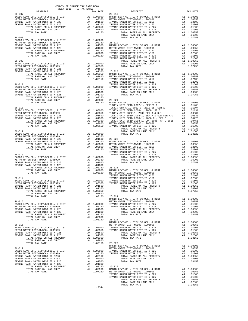| COUNTY OF ORANGE TAX RATE BOOK<br>2017-2018 TRA TAX RATES<br>$2017-2018 \begin{tabular}{ll} \multicolumn{2}{l}{{\small\tt{2017}}}\n & \multicolumn{2}{l}{\small\tt{2017}}\n & \multicolumn{2}{l}{\small\tt{2017}}\n \\ \multicolumn{2}{l}{\small\tt{2017}}-2018 \begin{tabular}{ll} {\small\tt{2017}}\n & \multicolumn{2}{l}{\small\tt{2017}}\n \\ {\small\tt{2017}}-2018 \begin{tabular}{ll} {\small\tt{2017}}\n \\ {\small\tt{2017}}-2018 \end{tabular} \end{tabular} \end{tabular}$ |          |                                                                                                                                                                                                                                                                                                                                                                                                                                                                                                                                 |          |
|----------------------------------------------------------------------------------------------------------------------------------------------------------------------------------------------------------------------------------------------------------------------------------------------------------------------------------------------------------------------------------------------------------------------------------------------------------------------------------------|----------|---------------------------------------------------------------------------------------------------------------------------------------------------------------------------------------------------------------------------------------------------------------------------------------------------------------------------------------------------------------------------------------------------------------------------------------------------------------------------------------------------------------------------------|----------|
|                                                                                                                                                                                                                                                                                                                                                                                                                                                                                        | TAX RATE | DISTRICT                                                                                                                                                                                                                                                                                                                                                                                                                                                                                                                        | TAX RATE |
|                                                                                                                                                                                                                                                                                                                                                                                                                                                                                        |          | $\begin{tabular}{l c c c c c} \multicolumn{1}{c}{DISTRICT} & \multicolumn{1}{c}{\textbf{TAX RATE}} & \multicolumn{1}{c}{\textbf{DISTRICT}} & \multicolumn{1}{c}{\textbf{TAX RATE}} & \multicolumn{1}{c}{\textbf{DISTRICT}} & \multicolumn{1}{c}{\textbf{TAX RATE}} & \multicolumn{1}{c}{\textbf{DISTRICT}} & \multicolumn{1}{c}{\textbf{TAX RATE}} & \multicolumn{1}{c}{\textbf{TAX RATE}} & \multicolumn{1}{c}{\textbf{TAX RATE}} & \multicolumn{1}{c}{\textbf{TAX R$                                                          |          |
|                                                                                                                                                                                                                                                                                                                                                                                                                                                                                        |          |                                                                                                                                                                                                                                                                                                                                                                                                                                                                                                                                 |          |
|                                                                                                                                                                                                                                                                                                                                                                                                                                                                                        |          |                                                                                                                                                                                                                                                                                                                                                                                                                                                                                                                                 |          |
|                                                                                                                                                                                                                                                                                                                                                                                                                                                                                        |          |                                                                                                                                                                                                                                                                                                                                                                                                                                                                                                                                 |          |
|                                                                                                                                                                                                                                                                                                                                                                                                                                                                                        |          |                                                                                                                                                                                                                                                                                                                                                                                                                                                                                                                                 |          |
|                                                                                                                                                                                                                                                                                                                                                                                                                                                                                        |          |                                                                                                                                                                                                                                                                                                                                                                                                                                                                                                                                 |          |
|                                                                                                                                                                                                                                                                                                                                                                                                                                                                                        |          |                                                                                                                                                                                                                                                                                                                                                                                                                                                                                                                                 |          |
|                                                                                                                                                                                                                                                                                                                                                                                                                                                                                        |          |                                                                                                                                                                                                                                                                                                                                                                                                                                                                                                                                 |          |
|                                                                                                                                                                                                                                                                                                                                                                                                                                                                                        |          |                                                                                                                                                                                                                                                                                                                                                                                                                                                                                                                                 |          |
|                                                                                                                                                                                                                                                                                                                                                                                                                                                                                        |          |                                                                                                                                                                                                                                                                                                                                                                                                                                                                                                                                 |          |
|                                                                                                                                                                                                                                                                                                                                                                                                                                                                                        |          |                                                                                                                                                                                                                                                                                                                                                                                                                                                                                                                                 |          |
|                                                                                                                                                                                                                                                                                                                                                                                                                                                                                        |          |                                                                                                                                                                                                                                                                                                                                                                                                                                                                                                                                 |          |
|                                                                                                                                                                                                                                                                                                                                                                                                                                                                                        |          |                                                                                                                                                                                                                                                                                                                                                                                                                                                                                                                                 |          |
|                                                                                                                                                                                                                                                                                                                                                                                                                                                                                        |          |                                                                                                                                                                                                                                                                                                                                                                                                                                                                                                                                 |          |
|                                                                                                                                                                                                                                                                                                                                                                                                                                                                                        |          |                                                                                                                                                                                                                                                                                                                                                                                                                                                                                                                                 |          |
|                                                                                                                                                                                                                                                                                                                                                                                                                                                                                        |          |                                                                                                                                                                                                                                                                                                                                                                                                                                                                                                                                 |          |
|                                                                                                                                                                                                                                                                                                                                                                                                                                                                                        |          |                                                                                                                                                                                                                                                                                                                                                                                                                                                                                                                                 |          |
|                                                                                                                                                                                                                                                                                                                                                                                                                                                                                        |          |                                                                                                                                                                                                                                                                                                                                                                                                                                                                                                                                 |          |
|                                                                                                                                                                                                                                                                                                                                                                                                                                                                                        |          |                                                                                                                                                                                                                                                                                                                                                                                                                                                                                                                                 |          |
|                                                                                                                                                                                                                                                                                                                                                                                                                                                                                        |          |                                                                                                                                                                                                                                                                                                                                                                                                                                                                                                                                 |          |
|                                                                                                                                                                                                                                                                                                                                                                                                                                                                                        |          |                                                                                                                                                                                                                                                                                                                                                                                                                                                                                                                                 |          |
|                                                                                                                                                                                                                                                                                                                                                                                                                                                                                        |          |                                                                                                                                                                                                                                                                                                                                                                                                                                                                                                                                 |          |
|                                                                                                                                                                                                                                                                                                                                                                                                                                                                                        |          |                                                                                                                                                                                                                                                                                                                                                                                                                                                                                                                                 |          |
|                                                                                                                                                                                                                                                                                                                                                                                                                                                                                        |          |                                                                                                                                                                                                                                                                                                                                                                                                                                                                                                                                 |          |
|                                                                                                                                                                                                                                                                                                                                                                                                                                                                                        |          |                                                                                                                                                                                                                                                                                                                                                                                                                                                                                                                                 |          |
|                                                                                                                                                                                                                                                                                                                                                                                                                                                                                        |          |                                                                                                                                                                                                                                                                                                                                                                                                                                                                                                                                 |          |
|                                                                                                                                                                                                                                                                                                                                                                                                                                                                                        |          |                                                                                                                                                                                                                                                                                                                                                                                                                                                                                                                                 |          |
|                                                                                                                                                                                                                                                                                                                                                                                                                                                                                        |          |                                                                                                                                                                                                                                                                                                                                                                                                                                                                                                                                 |          |
|                                                                                                                                                                                                                                                                                                                                                                                                                                                                                        |          |                                                                                                                                                                                                                                                                                                                                                                                                                                                                                                                                 |          |
|                                                                                                                                                                                                                                                                                                                                                                                                                                                                                        |          |                                                                                                                                                                                                                                                                                                                                                                                                                                                                                                                                 |          |
|                                                                                                                                                                                                                                                                                                                                                                                                                                                                                        |          |                                                                                                                                                                                                                                                                                                                                                                                                                                                                                                                                 |          |
|                                                                                                                                                                                                                                                                                                                                                                                                                                                                                        |          |                                                                                                                                                                                                                                                                                                                                                                                                                                                                                                                                 |          |
|                                                                                                                                                                                                                                                                                                                                                                                                                                                                                        |          |                                                                                                                                                                                                                                                                                                                                                                                                                                                                                                                                 |          |
|                                                                                                                                                                                                                                                                                                                                                                                                                                                                                        |          |                                                                                                                                                                                                                                                                                                                                                                                                                                                                                                                                 |          |
|                                                                                                                                                                                                                                                                                                                                                                                                                                                                                        |          |                                                                                                                                                                                                                                                                                                                                                                                                                                                                                                                                 |          |
|                                                                                                                                                                                                                                                                                                                                                                                                                                                                                        |          |                                                                                                                                                                                                                                                                                                                                                                                                                                                                                                                                 |          |
|                                                                                                                                                                                                                                                                                                                                                                                                                                                                                        |          |                                                                                                                                                                                                                                                                                                                                                                                                                                                                                                                                 |          |
|                                                                                                                                                                                                                                                                                                                                                                                                                                                                                        |          |                                                                                                                                                                                                                                                                                                                                                                                                                                                                                                                                 |          |
|                                                                                                                                                                                                                                                                                                                                                                                                                                                                                        |          |                                                                                                                                                                                                                                                                                                                                                                                                                                                                                                                                 |          |
|                                                                                                                                                                                                                                                                                                                                                                                                                                                                                        |          |                                                                                                                                                                                                                                                                                                                                                                                                                                                                                                                                 |          |
|                                                                                                                                                                                                                                                                                                                                                                                                                                                                                        |          |                                                                                                                                                                                                                                                                                                                                                                                                                                                                                                                                 |          |
|                                                                                                                                                                                                                                                                                                                                                                                                                                                                                        |          |                                                                                                                                                                                                                                                                                                                                                                                                                                                                                                                                 |          |
|                                                                                                                                                                                                                                                                                                                                                                                                                                                                                        |          |                                                                                                                                                                                                                                                                                                                                                                                                                                                                                                                                 |          |
|                                                                                                                                                                                                                                                                                                                                                                                                                                                                                        |          |                                                                                                                                                                                                                                                                                                                                                                                                                                                                                                                                 |          |
|                                                                                                                                                                                                                                                                                                                                                                                                                                                                                        |          |                                                                                                                                                                                                                                                                                                                                                                                                                                                                                                                                 |          |
|                                                                                                                                                                                                                                                                                                                                                                                                                                                                                        |          |                                                                                                                                                                                                                                                                                                                                                                                                                                                                                                                                 |          |
|                                                                                                                                                                                                                                                                                                                                                                                                                                                                                        |          |                                                                                                                                                                                                                                                                                                                                                                                                                                                                                                                                 |          |
|                                                                                                                                                                                                                                                                                                                                                                                                                                                                                        |          |                                                                                                                                                                                                                                                                                                                                                                                                                                                                                                                                 |          |
|                                                                                                                                                                                                                                                                                                                                                                                                                                                                                        |          |                                                                                                                                                                                                                                                                                                                                                                                                                                                                                                                                 |          |
|                                                                                                                                                                                                                                                                                                                                                                                                                                                                                        |          |                                                                                                                                                                                                                                                                                                                                                                                                                                                                                                                                 |          |
|                                                                                                                                                                                                                                                                                                                                                                                                                                                                                        |          |                                                                                                                                                                                                                                                                                                                                                                                                                                                                                                                                 |          |
|                                                                                                                                                                                                                                                                                                                                                                                                                                                                                        |          |                                                                                                                                                                                                                                                                                                                                                                                                                                                                                                                                 |          |
|                                                                                                                                                                                                                                                                                                                                                                                                                                                                                        |          |                                                                                                                                                                                                                                                                                                                                                                                                                                                                                                                                 |          |
|                                                                                                                                                                                                                                                                                                                                                                                                                                                                                        |          |                                                                                                                                                                                                                                                                                                                                                                                                                                                                                                                                 |          |
|                                                                                                                                                                                                                                                                                                                                                                                                                                                                                        |          |                                                                                                                                                                                                                                                                                                                                                                                                                                                                                                                                 |          |
|                                                                                                                                                                                                                                                                                                                                                                                                                                                                                        |          |                                                                                                                                                                                                                                                                                                                                                                                                                                                                                                                                 |          |
|                                                                                                                                                                                                                                                                                                                                                                                                                                                                                        |          | $\begin{tabular}{lllllllllllllllllllll} \multicolumn{3}{l}{{\footnotesize \begin{tabular}{l} \multicolumn{3}{l}{0.8cm} {\footnotesize \begin{tabular}{l} \multicolumn{3}{l}{0.8cm} {\footnotesize \begin{tabular}{l} \multicolumn{3}{l}{0.8cm} {\footnotesize \begin{tabular}{l} \multicolumn{3}{l}{0.8cm} {\footnotesize \begin{tabular}{l} \multicolumn{3}{l}{0.8cm} {\footnotesize \begin{tabular}{l} \multicolumn{3}{l}{0.8cm} {\footnotesize \begin{tabular}{l} \multicolumn{3}{l}{0.8cm} {\footnotesize \begin{tabular}{$ |          |
|                                                                                                                                                                                                                                                                                                                                                                                                                                                                                        |          |                                                                                                                                                                                                                                                                                                                                                                                                                                                                                                                                 |          |
|                                                                                                                                                                                                                                                                                                                                                                                                                                                                                        |          |                                                                                                                                                                                                                                                                                                                                                                                                                                                                                                                                 |          |
|                                                                                                                                                                                                                                                                                                                                                                                                                                                                                        |          |                                                                                                                                                                                                                                                                                                                                                                                                                                                                                                                                 |          |
|                                                                                                                                                                                                                                                                                                                                                                                                                                                                                        |          |                                                                                                                                                                                                                                                                                                                                                                                                                                                                                                                                 |          |
|                                                                                                                                                                                                                                                                                                                                                                                                                                                                                        |          | $\begin{tabular}{lllllllllllllllllllllll} \multicolumn{2}{c}{\begin{tabular}{l} \multicolumn{2}{c}{\begin{tabular}{l} \multicolumn{2}{c}{\begin{tabular}{l} \multicolumn{2}{c}{\begin{tabular}{l} \multicolumn{2}{c}{\begin{tabular}{l} \multicolumn{2}{c}{\begin{tabular}{c} \multicolumn{2}{c}{\begin{tabular}{c} \multicolumn{2}{c}{\begin{tabular}{c} \multicolumn{2}{c}{\begin{tabular}{c} \multicolumn{2}{c}{\begin{tabular}{c} \multicolumn{2}{c}{\begin{tabular}{c} \multicolumn{2}{c}{\begin{tabular$                  |          |
|                                                                                                                                                                                                                                                                                                                                                                                                                                                                                        |          |                                                                                                                                                                                                                                                                                                                                                                                                                                                                                                                                 |          |
|                                                                                                                                                                                                                                                                                                                                                                                                                                                                                        |          |                                                                                                                                                                                                                                                                                                                                                                                                                                                                                                                                 |          |
|                                                                                                                                                                                                                                                                                                                                                                                                                                                                                        |          |                                                                                                                                                                                                                                                                                                                                                                                                                                                                                                                                 |          |
|                                                                                                                                                                                                                                                                                                                                                                                                                                                                                        |          |                                                                                                                                                                                                                                                                                                                                                                                                                                                                                                                                 |          |
|                                                                                                                                                                                                                                                                                                                                                                                                                                                                                        |          |                                                                                                                                                                                                                                                                                                                                                                                                                                                                                                                                 |          |
|                                                                                                                                                                                                                                                                                                                                                                                                                                                                                        |          |                                                                                                                                                                                                                                                                                                                                                                                                                                                                                                                                 |          |
|                                                                                                                                                                                                                                                                                                                                                                                                                                                                                        |          |                                                                                                                                                                                                                                                                                                                                                                                                                                                                                                                                 |          |
|                                                                                                                                                                                                                                                                                                                                                                                                                                                                                        |          |                                                                                                                                                                                                                                                                                                                                                                                                                                                                                                                                 |          |
|                                                                                                                                                                                                                                                                                                                                                                                                                                                                                        |          |                                                                                                                                                                                                                                                                                                                                                                                                                                                                                                                                 |          |
|                                                                                                                                                                                                                                                                                                                                                                                                                                                                                        |          |                                                                                                                                                                                                                                                                                                                                                                                                                                                                                                                                 |          |
|                                                                                                                                                                                                                                                                                                                                                                                                                                                                                        |          |                                                                                                                                                                                                                                                                                                                                                                                                                                                                                                                                 |          |
|                                                                                                                                                                                                                                                                                                                                                                                                                                                                                        |          | $\begin{tabular}{c c c c} \multicolumn{4}{c}{\textbf{1.03150}} & \multicolumn{4}{c}{26-326} & \multicolumn{4}{c}{26-326} & \multicolumn{4}{c}{26-326} & \multicolumn{4}{c}{26-326} & \multicolumn{4}{c}{26-326} & \multicolumn{4}{c}{\textbf{2.03150}} & \multicolumn{4}{c}{26-326} & \multicolumn{4}{c}{\textbf{2.03150}} & \multicolumn{4}{c}{26-326} & \multicolumn{4}{c}{\textbf{2.03150}}$                                                                                                                                 |          |
|                                                                                                                                                                                                                                                                                                                                                                                                                                                                                        |          |                                                                                                                                                                                                                                                                                                                                                                                                                                                                                                                                 |          |
|                                                                                                                                                                                                                                                                                                                                                                                                                                                                                        |          |                                                                                                                                                                                                                                                                                                                                                                                                                                                                                                                                 |          |
|                                                                                                                                                                                                                                                                                                                                                                                                                                                                                        |          |                                                                                                                                                                                                                                                                                                                                                                                                                                                                                                                                 |          |
|                                                                                                                                                                                                                                                                                                                                                                                                                                                                                        |          |                                                                                                                                                                                                                                                                                                                                                                                                                                                                                                                                 |          |
|                                                                                                                                                                                                                                                                                                                                                                                                                                                                                        |          |                                                                                                                                                                                                                                                                                                                                                                                                                                                                                                                                 |          |
|                                                                                                                                                                                                                                                                                                                                                                                                                                                                                        | $-234-$  |                                                                                                                                                                                                                                                                                                                                                                                                                                                                                                                                 |          |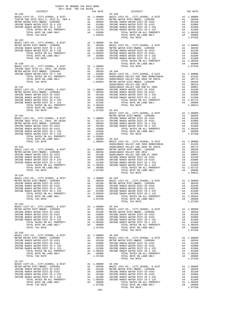| COUNTY OF ORANGE TAX RATE BOOK                                                                                                                                                                                                                                                                                                                                                                                                         |                |                        |          |
|----------------------------------------------------------------------------------------------------------------------------------------------------------------------------------------------------------------------------------------------------------------------------------------------------------------------------------------------------------------------------------------------------------------------------------------|----------------|------------------------|----------|
| $26 - 328$                                                                                                                                                                                                                                                                                                                                                                                                                             | TAX RATE       | DISTRICT<br>$26 - 338$ | TAX RATE |
|                                                                                                                                                                                                                                                                                                                                                                                                                                        |                |                        |          |
|                                                                                                                                                                                                                                                                                                                                                                                                                                        |                |                        |          |
| $26 - 329$                                                                                                                                                                                                                                                                                                                                                                                                                             |                |                        |          |
|                                                                                                                                                                                                                                                                                                                                                                                                                                        |                |                        |          |
|                                                                                                                                                                                                                                                                                                                                                                                                                                        |                |                        |          |
|                                                                                                                                                                                                                                                                                                                                                                                                                                        |                |                        |          |
|                                                                                                                                                                                                                                                                                                                                                                                                                                        |                |                        |          |
|                                                                                                                                                                                                                                                                                                                                                                                                                                        |                |                        |          |
|                                                                                                                                                                                                                                                                                                                                                                                                                                        |                |                        |          |
|                                                                                                                                                                                                                                                                                                                                                                                                                                        |                |                        |          |
|                                                                                                                                                                                                                                                                                                                                                                                                                                        |                |                        |          |
|                                                                                                                                                                                                                                                                                                                                                                                                                                        |                |                        |          |
|                                                                                                                                                                                                                                                                                                                                                                                                                                        |                |                        |          |
|                                                                                                                                                                                                                                                                                                                                                                                                                                        | 1.07250 26-341 |                        |          |
|                                                                                                                                                                                                                                                                                                                                                                                                                                        |                |                        |          |
|                                                                                                                                                                                                                                                                                                                                                                                                                                        |                |                        |          |
|                                                                                                                                                                                                                                                                                                                                                                                                                                        |                |                        |          |
|                                                                                                                                                                                                                                                                                                                                                                                                                                        |                |                        |          |
|                                                                                                                                                                                                                                                                                                                                                                                                                                        |                |                        |          |
|                                                                                                                                                                                                                                                                                                                                                                                                                                        |                |                        |          |
|                                                                                                                                                                                                                                                                                                                                                                                                                                        |                |                        |          |
|                                                                                                                                                                                                                                                                                                                                                                                                                                        |                |                        |          |
|                                                                                                                                                                                                                                                                                                                                                                                                                                        |                |                        |          |
|                                                                                                                                                                                                                                                                                                                                                                                                                                        |                |                        |          |
|                                                                                                                                                                                                                                                                                                                                                                                                                                        |                |                        |          |
| TOTAL RATE ON LARD OBLY A 1.05910 26-311<br>TOTAL TAX RATE (NLARD OBLY A 1.00000 SADELEROV-CO., CITY, SCHOOL, & DIST<br>RATE LEVY-CO., CITY, SCHOOL, & DIST<br>RATE DEVINE RANCH MATER DIST-100000 INVINE RANCH MATER DIST-100003<br><br>$26 - 334$                                                                                                                                                                                    |                |                        |          |
|                                                                                                                                                                                                                                                                                                                                                                                                                                        |                |                        |          |
|                                                                                                                                                                                                                                                                                                                                                                                                                                        |                |                        |          |
|                                                                                                                                                                                                                                                                                                                                                                                                                                        |                |                        |          |
|                                                                                                                                                                                                                                                                                                                                                                                                                                        |                |                        |          |
| $\begin{tabular}{l c c c c c c c c} \multicolumn{1}{c}{\textbf{IFVINE RANCH WATER DIST-ID H253}} & \multicolumn{1}{c}{A4} & .02000 & \multicolumn{1}{c}{\textbf{IFVINE RANCH WATER DIST-ID H253}} & \multicolumn{1}{c}{A4} & .02000 & \multicolumn{1}{c}{\textbf{IFVINE RANCH WATER DIST-ID H253}} & \multicolumn{1}{c}{A4} & .02000 & \multicolumn{1}{c}{\textbf{IFVINE RANCH WATER DIST-ID H253}} & \multicolumn{1}{c$<br>$26 - 335$ |                |                        |          |
|                                                                                                                                                                                                                                                                                                                                                                                                                                        |                |                        |          |
|                                                                                                                                                                                                                                                                                                                                                                                                                                        |                |                        |          |
|                                                                                                                                                                                                                                                                                                                                                                                                                                        |                |                        |          |
|                                                                                                                                                                                                                                                                                                                                                                                                                                        |                |                        |          |
| $26 - 336$                                                                                                                                                                                                                                                                                                                                                                                                                             |                |                        |          |
|                                                                                                                                                                                                                                                                                                                                                                                                                                        |                |                        |          |
|                                                                                                                                                                                                                                                                                                                                                                                                                                        |                |                        |          |
|                                                                                                                                                                                                                                                                                                                                                                                                                                        |                |                        |          |
|                                                                                                                                                                                                                                                                                                                                                                                                                                        |                |                        |          |
|                                                                                                                                                                                                                                                                                                                                                                                                                                        |                |                        |          |
|                                                                                                                                                                                                                                                                                                                                                                                                                                        |                |                        |          |
| $26 - 337$                                                                                                                                                                                                                                                                                                                                                                                                                             |                |                        |          |
|                                                                                                                                                                                                                                                                                                                                                                                                                                        |                |                        |          |
|                                                                                                                                                                                                                                                                                                                                                                                                                                        |                |                        |          |
|                                                                                                                                                                                                                                                                                                                                                                                                                                        |                |                        |          |
|                                                                                                                                                                                                                                                                                                                                                                                                                                        |                |                        |          |
|                                                                                                                                                                                                                                                                                                                                                                                                                                        |                |                        |          |
|                                                                                                                                                                                                                                                                                                                                                                                                                                        |                |                        |          |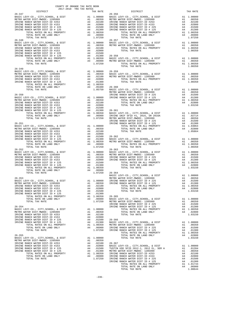| $2017-2018 \quad \text{TRA} \quad \text{PAR RATE}$ DISTRICT<br>$26 - 347$ | TAX RATE | DISTRICT                                                                                                                                                                                                                              | TAX RATE |
|---------------------------------------------------------------------------|----------|---------------------------------------------------------------------------------------------------------------------------------------------------------------------------------------------------------------------------------------|----------|
|                                                                           |          | $26 - 356$                                                                                                                                                                                                                            |          |
|                                                                           |          |                                                                                                                                                                                                                                       |          |
|                                                                           |          |                                                                                                                                                                                                                                       |          |
|                                                                           |          |                                                                                                                                                                                                                                       |          |
|                                                                           |          |                                                                                                                                                                                                                                       |          |
|                                                                           |          |                                                                                                                                                                                                                                       |          |
|                                                                           |          |                                                                                                                                                                                                                                       |          |
|                                                                           |          |                                                                                                                                                                                                                                       |          |
|                                                                           |          |                                                                                                                                                                                                                                       |          |
|                                                                           |          |                                                                                                                                                                                                                                       |          |
|                                                                           |          |                                                                                                                                                                                                                                       |          |
|                                                                           |          |                                                                                                                                                                                                                                       |          |
|                                                                           |          |                                                                                                                                                                                                                                       |          |
|                                                                           |          |                                                                                                                                                                                                                                       |          |
|                                                                           |          |                                                                                                                                                                                                                                       |          |
|                                                                           |          |                                                                                                                                                                                                                                       |          |
|                                                                           |          |                                                                                                                                                                                                                                       |          |
| $26 - 349$                                                                |          |                                                                                                                                                                                                                                       |          |
|                                                                           |          |                                                                                                                                                                                                                                       |          |
|                                                                           |          |                                                                                                                                                                                                                                       |          |
|                                                                           |          |                                                                                                                                                                                                                                       |          |
|                                                                           |          |                                                                                                                                                                                                                                       |          |
|                                                                           |          |                                                                                                                                                                                                                                       |          |
|                                                                           |          |                                                                                                                                                                                                                                       |          |
|                                                                           |          |                                                                                                                                                                                                                                       |          |
|                                                                           |          |                                                                                                                                                                                                                                       |          |
|                                                                           |          |                                                                                                                                                                                                                                       |          |
|                                                                           |          |                                                                                                                                                                                                                                       |          |
|                                                                           |          |                                                                                                                                                                                                                                       |          |
|                                                                           |          |                                                                                                                                                                                                                                       |          |
|                                                                           |          |                                                                                                                                                                                                                                       |          |
|                                                                           |          |                                                                                                                                                                                                                                       |          |
|                                                                           |          |                                                                                                                                                                                                                                       |          |
|                                                                           |          |                                                                                                                                                                                                                                       |          |
|                                                                           |          |                                                                                                                                                                                                                                       |          |
|                                                                           |          |                                                                                                                                                                                                                                       |          |
|                                                                           |          |                                                                                                                                                                                                                                       |          |
|                                                                           |          |                                                                                                                                                                                                                                       |          |
|                                                                           |          |                                                                                                                                                                                                                                       |          |
|                                                                           |          |                                                                                                                                                                                                                                       |          |
|                                                                           |          |                                                                                                                                                                                                                                       |          |
|                                                                           |          |                                                                                                                                                                                                                                       |          |
|                                                                           |          |                                                                                                                                                                                                                                       |          |
|                                                                           |          |                                                                                                                                                                                                                                       |          |
|                                                                           |          |                                                                                                                                                                                                                                       |          |
|                                                                           |          |                                                                                                                                                                                                                                       |          |
|                                                                           |          |                                                                                                                                                                                                                                       |          |
|                                                                           |          |                                                                                                                                                                                                                                       |          |
|                                                                           |          | 26.121 2022<br>26.1421 2022 (CV), CTV, 201001, A 5577<br>26.1421 2022 (CV), CTV, 201001, A 5577<br>26.1422 (CV), CTV, 201001, A 5577<br>27.120.000 26.152 (CV), 2022 26.152 (CV), 2022 26.152 (CV), 2022 27.123 (CV), 2022 27.123 (CV |          |
|                                                                           |          |                                                                                                                                                                                                                                       |          |
|                                                                           |          |                                                                                                                                                                                                                                       |          |
|                                                                           |          |                                                                                                                                                                                                                                       |          |
|                                                                           |          |                                                                                                                                                                                                                                       |          |
|                                                                           |          |                                                                                                                                                                                                                                       |          |
|                                                                           |          |                                                                                                                                                                                                                                       |          |
|                                                                           |          |                                                                                                                                                                                                                                       |          |
|                                                                           |          |                                                                                                                                                                                                                                       |          |
|                                                                           |          |                                                                                                                                                                                                                                       |          |
|                                                                           |          |                                                                                                                                                                                                                                       |          |
|                                                                           |          |                                                                                                                                                                                                                                       |          |
|                                                                           |          |                                                                                                                                                                                                                                       |          |
|                                                                           |          |                                                                                                                                                                                                                                       |          |
|                                                                           |          |                                                                                                                                                                                                                                       |          |
|                                                                           |          |                                                                                                                                                                                                                                       |          |
|                                                                           |          |                                                                                                                                                                                                                                       |          |
|                                                                           |          |                                                                                                                                                                                                                                       |          |
|                                                                           |          |                                                                                                                                                                                                                                       |          |
|                                                                           |          |                                                                                                                                                                                                                                       |          |
|                                                                           |          |                                                                                                                                                                                                                                       |          |
|                                                                           |          |                                                                                                                                                                                                                                       |          |
|                                                                           |          |                                                                                                                                                                                                                                       |          |
|                                                                           |          |                                                                                                                                                                                                                                       |          |
|                                                                           |          |                                                                                                                                                                                                                                       |          |
|                                                                           |          |                                                                                                                                                                                                                                       |          |
|                                                                           |          |                                                                                                                                                                                                                                       |          |
|                                                                           |          |                                                                                                                                                                                                                                       |          |
|                                                                           |          |                                                                                                                                                                                                                                       |          |
|                                                                           |          |                                                                                                                                                                                                                                       |          |
|                                                                           |          |                                                                                                                                                                                                                                       |          |
|                                                                           |          |                                                                                                                                                                                                                                       |          |
|                                                                           |          |                                                                                                                                                                                                                                       |          |
|                                                                           |          |                                                                                                                                                                                                                                       |          |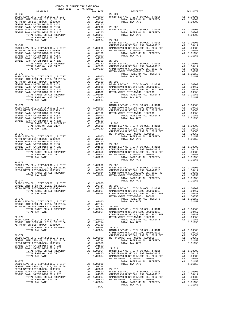| $26 - 368$                                                                                                                                                                                                                                |         | $26 - 901$     | TAX RATE |
|-------------------------------------------------------------------------------------------------------------------------------------------------------------------------------------------------------------------------------------------|---------|----------------|----------|
|                                                                                                                                                                                                                                           |         |                |          |
|                                                                                                                                                                                                                                           |         |                |          |
|                                                                                                                                                                                                                                           |         |                |          |
|                                                                                                                                                                                                                                           |         |                |          |
|                                                                                                                                                                                                                                           |         |                |          |
|                                                                                                                                                                                                                                           |         |                |          |
|                                                                                                                                                                                                                                           |         |                |          |
|                                                                                                                                                                                                                                           |         |                |          |
|                                                                                                                                                                                                                                           |         | $27 - 004$     |          |
|                                                                                                                                                                                                                                           |         |                |          |
|                                                                                                                                                                                                                                           |         |                |          |
|                                                                                                                                                                                                                                           |         |                |          |
|                                                                                                                                                                                                                                           |         |                |          |
|                                                                                                                                                                                                                                           |         |                |          |
|                                                                                                                                                                                                                                           |         |                |          |
| $26 - 373$                                                                                                                                                                                                                                |         |                |          |
|                                                                                                                                                                                                                                           |         |                |          |
| $26 - 374$<br>BASIC LEVY-CO., CITY, SCHOOL, & DIST A1 1.00000                                                                                                                                                                             |         | TOTAL TAX RATE | 1.01150  |
|                                                                                                                                                                                                                                           |         |                |          |
|                                                                                                                                                                                                                                           |         |                |          |
|                                                                                                                                                                                                                                           |         |                |          |
|                                                                                                                                                                                                                                           |         |                |          |
|                                                                                                                                                                                                                                           |         |                |          |
|                                                                                                                                                                                                                                           |         |                |          |
|                                                                                                                                                                                                                                           |         |                |          |
|                                                                                                                                                                                                                                           |         |                |          |
|                                                                                                                                                                                                                                           |         |                |          |
| 26-174 (1997-05), CTT, SCHOOL & DIST<br>1992 (1997-05), CTT, SCHOOL & DIST<br>1993 (1997-05), CTT, SCHOOL & DIST<br>1993 (1997-05), CTT, SCHOOL & DIST<br>1997 (1997-06), CTT, SCHOOL & DIST<br>1997 (1997-06), CTT, SCHOOL & DIST<br>199 |         |                |          |
|                                                                                                                                                                                                                                           |         |                |          |
|                                                                                                                                                                                                                                           |         |                |          |
|                                                                                                                                                                                                                                           |         |                |          |
|                                                                                                                                                                                                                                           | $-237-$ |                |          |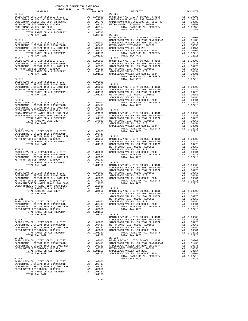|                                                                                                                                                                                | COUNTY OF ORANGE TAX RATE BOOK<br>2017-2018 TRA TAX RATES |          |                                                                                              |                    |
|--------------------------------------------------------------------------------------------------------------------------------------------------------------------------------|-----------------------------------------------------------|----------|----------------------------------------------------------------------------------------------|--------------------|
| DISTRICT<br>$27 - 013$                                                                                                                                                         |                                                           |          | TAX RATE                                                                                     | $27 - 025$         |
|                                                                                                                                                                                |                                                           |          |                                                                                              |                    |
|                                                                                                                                                                                |                                                           |          |                                                                                              |                    |
|                                                                                                                                                                                |                                                           |          |                                                                                              |                    |
|                                                                                                                                                                                |                                                           |          |                                                                                              |                    |
| SADDLEBACK VALLEY USD 2013<br>SADDLEBACK VALLEY USD GOB EL 2004<br>TOTAL RATES ON ALL PROPERTY<br>TOTAL TATES ON ALL PROPERTY<br>TOTAL TAY DATES ON ALL PROPERTY<br>A1 1.02715 |                                                           |          |                                                                                              |                    |
| TOTAL TAX RATE                                                                                                                                                                 |                                                           |          |                                                                                              |                    |
|                                                                                                                                                                                |                                                           |          | 1.02715 27-026                                                                               | BASIC L            |
| $27 - 014$                                                                                                                                                                     |                                                           |          |                                                                                              | SADDLEB            |
|                                                                                                                                                                                |                                                           |          |                                                                                              |                    |
|                                                                                                                                                                                |                                                           |          |                                                                                              |                    |
|                                                                                                                                                                                |                                                           |          | A1 .00350<br>A1 1.01150                                                                      |                    |
| TOTAL RATES ON ALL PROPERTY<br>TOTAL TAX RATE                                                                                                                                  |                                                           |          | 1.01150                                                                                      |                    |
| $27 - 015$                                                                                                                                                                     |                                                           |          |                                                                                              | $27 - 027$         |
|                                                                                                                                                                                |                                                           |          |                                                                                              |                    |
|                                                                                                                                                                                |                                                           |          |                                                                                              |                    |
|                                                                                                                                                                                |                                                           |          |                                                                                              |                    |
|                                                                                                                                                                                |                                                           |          |                                                                                              |                    |
|                                                                                                                                                                                |                                                           |          |                                                                                              |                    |
| $27 - 016$                                                                                                                                                                     |                                                           |          |                                                                                              |                    |
|                                                                                                                                                                                |                                                           |          |                                                                                              |                    |
|                                                                                                                                                                                |                                                           |          |                                                                                              |                    |
|                                                                                                                                                                                |                                                           |          |                                                                                              |                    |
|                                                                                                                                                                                |                                                           |          |                                                                                              |                    |
|                                                                                                                                                                                |                                                           |          |                                                                                              |                    |
| $27 - 017$                                                                                                                                                                     |                                                           |          |                                                                                              | SADDLEB<br>SADDLEB |
|                                                                                                                                                                                |                                                           |          |                                                                                              |                    |
|                                                                                                                                                                                |                                                           |          |                                                                                              |                    |
|                                                                                                                                                                                |                                                           |          |                                                                                              |                    |
|                                                                                                                                                                                |                                                           |          |                                                                                              |                    |
|                                                                                                                                                                                |                                                           |          |                                                                                              |                    |
|                                                                                                                                                                                |                                                           |          |                                                                                              |                    |
|                                                                                                                                                                                |                                                           |          |                                                                                              |                    |
|                                                                                                                                                                                |                                                           |          |                                                                                              | SADDLEB            |
| $27 - 018$                                                                                                                                                                     |                                                           |          |                                                                                              |                    |
|                                                                                                                                                                                |                                                           |          |                                                                                              |                    |
|                                                                                                                                                                                |                                                           |          |                                                                                              |                    |
|                                                                                                                                                                                |                                                           |          |                                                                                              |                    |
|                                                                                                                                                                                |                                                           |          |                                                                                              |                    |
|                                                                                                                                                                                |                                                           |          |                                                                                              | METRO W            |
| $27 - 019$                                                                                                                                                                     |                                                           |          |                                                                                              | SADDLEB            |
|                                                                                                                                                                                |                                                           |          | $\begin{array}{cc}\n\text{AL} & 1.00000 & \text{SADDLEB} \\ \text{A1} & 0.0417\n\end{array}$ |                    |
| 27-019<br>BASIC LEVY-CO., CITY, SCHOOL, & DIST<br>CAPISTRANO U SFID#1 1999 BOND#2001B<br>CAPISTRANO U SFID#1,1999 EL, 2012<br>CAPISTRANO U SFID#1,1999 EL, 2012.000            |                                                           |          | A1 .00417<br>A1 .00383                                                                       |                    |
| METRO WATER DIST-MWDOC- 1205999<br>TOTAL RATES ON ALL PROPERTY                                                                                                                 |                                                           |          | A1 .00350<br>A1 1.01150 27-031                                                               |                    |
| TOTAL TAX RATE                                                                                                                                                                 |                                                           |          | 1.01150                                                                                      | BASIC L            |
|                                                                                                                                                                                |                                                           |          |                                                                                              | SADDLEB            |
| $27 - 020$                                                                                                                                                                     |                                                           |          |                                                                                              | SADDLEB            |
|                                                                                                                                                                                |                                                           |          |                                                                                              |                    |
|                                                                                                                                                                                |                                                           |          |                                                                                              |                    |
|                                                                                                                                                                                |                                                           |          |                                                                                              |                    |
|                                                                                                                                                                                |                                                           |          |                                                                                              |                    |
| TOTAL RATES ON ALL PROPERTY                                                                                                                                                    |                                                           |          |                                                                                              |                    |
| TOTAL RATE ON LAND ONLY                                                                                                                                                        |                                                           |          |                                                                                              |                    |
| TOTAL TAX RATE                                                                                                                                                                 |                                                           |          | A4 .1.01150 27-032<br>A4 .34960 BASIC L<br>1.36110 SADDLEB                                   |                    |
| $27 - 021$                                                                                                                                                                     |                                                           |          |                                                                                              | SADDLEB<br>METRO W |
| BASIC LEVY-CO., CITY, SCHOOL, & DIST                                                                                                                                           |                                                           |          | A1 1.00000 SADDLEB<br>A1 .00417 SADDLEB                                                      |                    |
| CAPISTRANO U SFID#1 1999 BOND#2001B<br>CAPISTRANO U SFID#1 1999 EL, 2012 REF<br>CAPISTRANO U SFID#1,1999 EL, 2012 REF                                                          |                                                           |          |                                                                                              |                    |
| METRO WATER DIST-MWDOC- 1205999                                                                                                                                                |                                                           | A1<br>A1 | .00383<br>.00350                                                                             |                    |
| TOTAL RATES ON ALL PROPERTY                                                                                                                                                    |                                                           |          | A1 1.01150                                                                                   |                    |
| TOTAL TAX RATE                                                                                                                                                                 |                                                           |          | 1.01150                                                                                      | $27 - 033$         |
| $27 - 022$                                                                                                                                                                     |                                                           |          |                                                                                              | BASIC L<br>SADDLEB |
| BASIC LEVY-CO., CITY, SCHOOL, & DIST                                                                                                                                           |                                                           |          |                                                                                              |                    |
| CAPISTRANO U SFID#1 1999 BOND#2001B                                                                                                                                            |                                                           |          | A1 1.00000 SADDLEB<br>A1 .00417 METRO W<br>A1 .00383 SADDLEB<br>A1 .00350 SADDLEB            |                    |
| CAPISTRANO U SFID#1,1999 EL, 2012 REF<br>METRO WATER DIST-MWDOC- 1205999                                                                                                       |                                                           |          |                                                                                              |                    |
| TOTAL RATES ON ALL PROPERTY                                                                                                                                                    |                                                           |          | A1 1.01150                                                                                   |                    |
| TOTAL TAX RATE                                                                                                                                                                 |                                                           |          | 1.01150                                                                                      |                    |
| $27 - 023$                                                                                                                                                                     |                                                           |          |                                                                                              | $27 - 034$         |
| BASIC LEVY-CO., CITY, SCHOOL, & DIST<br>CAPISTRANO U SFID#1 1999 BOND#2001B                                                                                                    |                                                           |          | A1 1.00000 BASIC L<br>A1 .00417                                                              | SADDLEB            |
| CAPISTRANO U SFID#1,1999 EL, 2012 REF                                                                                                                                          |                                                           | A1       | $100383$<br>Al $00283$                                                                       |                    |
| METRO WATER DIST-MWDOC- 1205999                                                                                                                                                |                                                           |          |                                                                                              |                    |
| TOTAL RATES ON ALL PROPERTY<br>TOTAL TAX RATE                                                                                                                                  |                                                           |          | A1 .00383 SADDLEB<br>A1 .00350 METROW<br>A1 1.01150 SADDLEB<br>1.01150 SADDLEB               |                    |
|                                                                                                                                                                                |                                                           |          |                                                                                              |                    |
| $27 - 024$                                                                                                                                                                     |                                                           |          |                                                                                              |                    |
| BASIC LEVY-CO., CITY, SCHOOL, & DIST<br>CAPISTRANO U SFID#1 1999 BOND#2001B                                                                                                    |                                                           |          | A1 1.00000<br>A1 .00417                                                                      |                    |
| CAPISTRANO U SFID#1,1999 EL, 2012 REF                                                                                                                                          |                                                           | A1       | .00383                                                                                       |                    |
| METRO WATER DIST-MWDOC- 1205999<br>TOTAL RATES ON ALL PROPERTY                                                                                                                 |                                                           | A1       | .00350<br>A1 1.01150                                                                         |                    |
| TOTAL TAX RATE                                                                                                                                                                 |                                                           |          | 1.01150                                                                                      |                    |

-238-

| DISTRICT                                                                                                                                                      | $2017 - 2010$ in in $\frac{1}{2010}$ | TAX RATE | RATE<br>27-025<br>DISTRICT                                                                                                                                                                                                                                                                                                                                                                                        | TAX RATE |
|---------------------------------------------------------------------------------------------------------------------------------------------------------------|--------------------------------------|----------|-------------------------------------------------------------------------------------------------------------------------------------------------------------------------------------------------------------------------------------------------------------------------------------------------------------------------------------------------------------------------------------------------------------------|----------|
| $27 - 013$                                                                                                                                                    |                                      |          |                                                                                                                                                                                                                                                                                                                                                                                                                   |          |
|                                                                                                                                                               |                                      |          |                                                                                                                                                                                                                                                                                                                                                                                                                   |          |
|                                                                                                                                                               |                                      |          |                                                                                                                                                                                                                                                                                                                                                                                                                   |          |
|                                                                                                                                                               |                                      |          |                                                                                                                                                                                                                                                                                                                                                                                                                   |          |
|                                                                                                                                                               |                                      |          |                                                                                                                                                                                                                                                                                                                                                                                                                   |          |
|                                                                                                                                                               |                                      |          |                                                                                                                                                                                                                                                                                                                                                                                                                   |          |
|                                                                                                                                                               |                                      |          | $\begin{tabular}{c c c c c} \multicolumn{4}{c}{\textbf{27-014}} & \multicolumn{4}{c}{\textbf{10000}} & \multicolumn{4}{c}{\textbf{27-014}} & \multicolumn{4}{c}{\textbf{27-014}} & \multicolumn{4}{c}{\textbf{27-02}} & \multicolumn{4}{c}{\textbf{27-014}} & \multicolumn{4}{c}{\textbf{27-02}} & \multicolumn{4}{c}{\textbf{27-014}} & \multicolumn{4}{c}{\textbf{27-02}} & \multicolumn{4}{c}{\textbf{28-81}}$ |          |
|                                                                                                                                                               |                                      |          |                                                                                                                                                                                                                                                                                                                                                                                                                   |          |
|                                                                                                                                                               |                                      |          |                                                                                                                                                                                                                                                                                                                                                                                                                   |          |
|                                                                                                                                                               |                                      |          |                                                                                                                                                                                                                                                                                                                                                                                                                   |          |
|                                                                                                                                                               |                                      |          |                                                                                                                                                                                                                                                                                                                                                                                                                   |          |
|                                                                                                                                                               |                                      |          |                                                                                                                                                                                                                                                                                                                                                                                                                   |          |
|                                                                                                                                                               |                                      |          |                                                                                                                                                                                                                                                                                                                                                                                                                   |          |
|                                                                                                                                                               |                                      |          | $\begin{tabular}{l c c c c c c} \multicolumn{1}{c}{27-015} \multicolumn{1}{c}{27-016} \multicolumn{1}{c}{27-016} \multicolumn{1}{c}{27-016} \multicolumn{1}{c}{27-016} \multicolumn{1}{c}{27-016} \multicolumn{1}{c}{27-016} \multicolumn{1}{c}{27-016} \multicolumn{1}{c}{27-016} \multicolumn{1}{c}{27-016} \multicolumn{1}{c}{27-016} \multicolumn{1}{c}{27-016} \multicolumn{1}{c$                            |          |
|                                                                                                                                                               |                                      |          |                                                                                                                                                                                                                                                                                                                                                                                                                   |          |
|                                                                                                                                                               |                                      |          |                                                                                                                                                                                                                                                                                                                                                                                                                   |          |
|                                                                                                                                                               |                                      |          |                                                                                                                                                                                                                                                                                                                                                                                                                   |          |
|                                                                                                                                                               |                                      |          |                                                                                                                                                                                                                                                                                                                                                                                                                   |          |
|                                                                                                                                                               |                                      |          |                                                                                                                                                                                                                                                                                                                                                                                                                   |          |
|                                                                                                                                                               |                                      |          |                                                                                                                                                                                                                                                                                                                                                                                                                   |          |
|                                                                                                                                                               |                                      |          |                                                                                                                                                                                                                                                                                                                                                                                                                   |          |
|                                                                                                                                                               |                                      |          |                                                                                                                                                                                                                                                                                                                                                                                                                   |          |
|                                                                                                                                                               |                                      |          |                                                                                                                                                                                                                                                                                                                                                                                                                   |          |
|                                                                                                                                                               |                                      |          |                                                                                                                                                                                                                                                                                                                                                                                                                   |          |
|                                                                                                                                                               |                                      |          |                                                                                                                                                                                                                                                                                                                                                                                                                   |          |
|                                                                                                                                                               |                                      |          |                                                                                                                                                                                                                                                                                                                                                                                                                   |          |
|                                                                                                                                                               |                                      |          |                                                                                                                                                                                                                                                                                                                                                                                                                   |          |
|                                                                                                                                                               |                                      |          |                                                                                                                                                                                                                                                                                                                                                                                                                   |          |
|                                                                                                                                                               |                                      |          |                                                                                                                                                                                                                                                                                                                                                                                                                   |          |
|                                                                                                                                                               |                                      |          |                                                                                                                                                                                                                                                                                                                                                                                                                   |          |
|                                                                                                                                                               |                                      |          |                                                                                                                                                                                                                                                                                                                                                                                                                   |          |
|                                                                                                                                                               |                                      |          |                                                                                                                                                                                                                                                                                                                                                                                                                   |          |
|                                                                                                                                                               |                                      |          |                                                                                                                                                                                                                                                                                                                                                                                                                   |          |
|                                                                                                                                                               |                                      |          |                                                                                                                                                                                                                                                                                                                                                                                                                   |          |
|                                                                                                                                                               |                                      |          |                                                                                                                                                                                                                                                                                                                                                                                                                   |          |
|                                                                                                                                                               |                                      |          |                                                                                                                                                                                                                                                                                                                                                                                                                   |          |
|                                                                                                                                                               |                                      |          |                                                                                                                                                                                                                                                                                                                                                                                                                   |          |
|                                                                                                                                                               |                                      |          |                                                                                                                                                                                                                                                                                                                                                                                                                   |          |
|                                                                                                                                                               |                                      |          |                                                                                                                                                                                                                                                                                                                                                                                                                   |          |
|                                                                                                                                                               |                                      |          |                                                                                                                                                                                                                                                                                                                                                                                                                   |          |
|                                                                                                                                                               |                                      |          |                                                                                                                                                                                                                                                                                                                                                                                                                   |          |
|                                                                                                                                                               |                                      |          |                                                                                                                                                                                                                                                                                                                                                                                                                   |          |
|                                                                                                                                                               |                                      |          |                                                                                                                                                                                                                                                                                                                                                                                                                   |          |
|                                                                                                                                                               |                                      |          | 27.11 (1990) 1200 (1990) 1200 (1990) 1200 (1990) 1200 (1990) 1200 (1990) 1200 (1990) 1200 (1990) 1200 (1990) 1200 (1990) 1200 (1990) 1200 (1990) 1200 (1990) 1200 (1990) 1200 (1990) 1200 (1990) 1200 (1990) 1200 (1990) 1200                                                                                                                                                                                     |          |
|                                                                                                                                                               |                                      |          |                                                                                                                                                                                                                                                                                                                                                                                                                   |          |
|                                                                                                                                                               |                                      |          |                                                                                                                                                                                                                                                                                                                                                                                                                   |          |
|                                                                                                                                                               |                                      |          |                                                                                                                                                                                                                                                                                                                                                                                                                   |          |
|                                                                                                                                                               |                                      |          |                                                                                                                                                                                                                                                                                                                                                                                                                   |          |
|                                                                                                                                                               |                                      |          |                                                                                                                                                                                                                                                                                                                                                                                                                   |          |
|                                                                                                                                                               |                                      |          |                                                                                                                                                                                                                                                                                                                                                                                                                   |          |
|                                                                                                                                                               |                                      |          |                                                                                                                                                                                                                                                                                                                                                                                                                   |          |
|                                                                                                                                                               |                                      |          |                                                                                                                                                                                                                                                                                                                                                                                                                   |          |
|                                                                                                                                                               |                                      |          |                                                                                                                                                                                                                                                                                                                                                                                                                   |          |
|                                                                                                                                                               |                                      |          |                                                                                                                                                                                                                                                                                                                                                                                                                   |          |
|                                                                                                                                                               |                                      |          |                                                                                                                                                                                                                                                                                                                                                                                                                   |          |
|                                                                                                                                                               |                                      |          |                                                                                                                                                                                                                                                                                                                                                                                                                   |          |
|                                                                                                                                                               |                                      |          | $\begin{tabular}{l c c c c c} \multicolumn{1}{c}{\textbf{0.0000}} & \multicolumn{1}{c}{\textbf{0.0000}} & \multicolumn{1}{c}{\textbf{0.0000}} & \multicolumn{1}{c}{\textbf{0.0000}} & \multicolumn{1}{c}{\textbf{0.0000}} & \multicolumn{1}{c}{\textbf{0.0000}} & \multicolumn{1}{c}{\textbf{0.0000}} & \multicolumn{1}{c}{\textbf{0.0000}} & \multicolumn{1}{c}{\textbf{0.0000}} & \multicolumn{1}{c}{\textbf{$  |          |
|                                                                                                                                                               |                                      |          |                                                                                                                                                                                                                                                                                                                                                                                                                   |          |
|                                                                                                                                                               |                                      |          |                                                                                                                                                                                                                                                                                                                                                                                                                   |          |
|                                                                                                                                                               |                                      |          |                                                                                                                                                                                                                                                                                                                                                                                                                   |          |
|                                                                                                                                                               |                                      |          |                                                                                                                                                                                                                                                                                                                                                                                                                   |          |
|                                                                                                                                                               |                                      |          |                                                                                                                                                                                                                                                                                                                                                                                                                   |          |
|                                                                                                                                                               |                                      |          |                                                                                                                                                                                                                                                                                                                                                                                                                   |          |
|                                                                                                                                                               |                                      |          |                                                                                                                                                                                                                                                                                                                                                                                                                   |          |
|                                                                                                                                                               |                                      |          |                                                                                                                                                                                                                                                                                                                                                                                                                   |          |
|                                                                                                                                                               |                                      |          |                                                                                                                                                                                                                                                                                                                                                                                                                   |          |
|                                                                                                                                                               |                                      |          |                                                                                                                                                                                                                                                                                                                                                                                                                   |          |
|                                                                                                                                                               |                                      |          |                                                                                                                                                                                                                                                                                                                                                                                                                   |          |
|                                                                                                                                                               |                                      |          |                                                                                                                                                                                                                                                                                                                                                                                                                   |          |
|                                                                                                                                                               |                                      |          |                                                                                                                                                                                                                                                                                                                                                                                                                   |          |
| $27 - 024$                                                                                                                                                    |                                      |          | TOTAL TAX RATE                                                                                                                                                                                                                                                                                                                                                                                                    | 1.02715  |
| 27 21 21 20000 EASTC LEVY-CO., CITY, SCHOOL, & DIST 21 20000<br>CAPISTRANO U SFID#1 1999 BOND#2001B 21 2012<br>CAPISTRANO U SFID#1,1999 EL, 2012 REF 21 20133 |                                      |          |                                                                                                                                                                                                                                                                                                                                                                                                                   |          |
|                                                                                                                                                               |                                      |          |                                                                                                                                                                                                                                                                                                                                                                                                                   |          |
|                                                                                                                                                               |                                      |          |                                                                                                                                                                                                                                                                                                                                                                                                                   |          |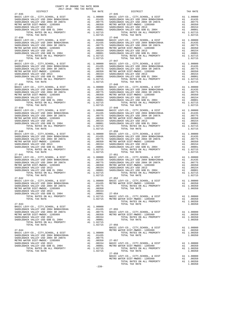| DISTRICT                                                                                                               |               | TAX RATE                                                                                                                                                                                                                                                                                                                                                                           |                                   |
|------------------------------------------------------------------------------------------------------------------------|---------------|------------------------------------------------------------------------------------------------------------------------------------------------------------------------------------------------------------------------------------------------------------------------------------------------------------------------------------------------------------------------------------|-----------------------------------|
| $27 - 035$<br>BASIC LEVY-CO., CITY, SCHOOL, & DIST                                                                     |               |                                                                                                                                                                                                                                                                                                                                                                                    | $27 - 045$                        |
|                                                                                                                        |               | Al 1.00000 BASIC<br>Al .01435 SADDLEB<br>Al .00755 SADDLEB<br>Al .00750 METRO W<br>Al .00154 SADDLEB<br>Al .00154 SADDLEB<br>Al .00011 SADDLEB<br>Al .00010 SADDLEB                                                                                                                                                                                                                |                                   |
| SADDLEBACK VALLEY USD 2004 BOND#2004A<br>SADDLEBACK VALLEY USD 2004 SR 2007A                                           |               |                                                                                                                                                                                                                                                                                                                                                                                    |                                   |
| METRO WATER DIST-MWDOC- 1205999                                                                                        |               |                                                                                                                                                                                                                                                                                                                                                                                    |                                   |
| SADDLEBACK VALLEY USD 2013                                                                                             |               |                                                                                                                                                                                                                                                                                                                                                                                    |                                   |
| SADDLEBACK VALLEY USD GOB EL 2004                                                                                      |               |                                                                                                                                                                                                                                                                                                                                                                                    |                                   |
| TOTAL RATES ON ALL PROPERTY                                                                                            |               | A1 1.02715                                                                                                                                                                                                                                                                                                                                                                         |                                   |
| TOTAL TAX RATE                                                                                                         |               | 1.02715                                                                                                                                                                                                                                                                                                                                                                            |                                   |
| $27 - 036$                                                                                                             |               |                                                                                                                                                                                                                                                                                                                                                                                    | $27 - 046$                        |
| BASIC LEVY-CO., CITY, SCHOOL, & DIST                                                                                   |               | A1 1.00000 BASIC L<br>A1 .01435 SADDLEB<br>A1 .0075 SADDLEB<br>A1 .00350 METRO W<br>A1 .00154 SADDLEB<br>A1 .00001 SADDLEB<br>A1 .00001 SADDLEB                                                                                                                                                                                                                                    |                                   |
| SADDLEBACK VALLEY USD 2004 BOND#2004A                                                                                  |               |                                                                                                                                                                                                                                                                                                                                                                                    |                                   |
| SADDLEBACK VALLEY USD 2004 SR 2007A                                                                                    |               |                                                                                                                                                                                                                                                                                                                                                                                    |                                   |
| METRO WATER DIST-MWDOC- 1205999                                                                                        |               |                                                                                                                                                                                                                                                                                                                                                                                    |                                   |
|                                                                                                                        |               |                                                                                                                                                                                                                                                                                                                                                                                    |                                   |
|                                                                                                                        |               |                                                                                                                                                                                                                                                                                                                                                                                    |                                   |
| TOTAL TAX RATE                                                                                                         |               | 1.02715                                                                                                                                                                                                                                                                                                                                                                            |                                   |
| $27 - 037$                                                                                                             |               |                                                                                                                                                                                                                                                                                                                                                                                    | $27 - 047$                        |
|                                                                                                                        |               |                                                                                                                                                                                                                                                                                                                                                                                    |                                   |
|                                                                                                                        |               |                                                                                                                                                                                                                                                                                                                                                                                    |                                   |
|                                                                                                                        |               |                                                                                                                                                                                                                                                                                                                                                                                    |                                   |
|                                                                                                                        |               |                                                                                                                                                                                                                                                                                                                                                                                    |                                   |
|                                                                                                                        |               |                                                                                                                                                                                                                                                                                                                                                                                    |                                   |
| SADDLEBACK VALLEY USD GOB EL 2004<br>TOTAL RATES ON ALL PROPERTY                                                       |               |                                                                                                                                                                                                                                                                                                                                                                                    |                                   |
|                                                                                                                        |               | A1 1.02715                                                                                                                                                                                                                                                                                                                                                                         |                                   |
| TOTAL TAX RATE<br>$27 - 038$                                                                                           |               | 1.02715                                                                                                                                                                                                                                                                                                                                                                            | $27 - 048$                        |
| BASIC LEVY-CO., CITY, SCHOOL, & DIST                                                                                   |               |                                                                                                                                                                                                                                                                                                                                                                                    |                                   |
|                                                                                                                        |               |                                                                                                                                                                                                                                                                                                                                                                                    |                                   |
| SADDLEBACK VALLEY USD 2004 BOND#2004A<br>SADDLEBACK VALLEY USD 2004 SR 2007A                                           |               | $\begin{tabular}{ll} $\text{A1} $ & 1.00000 & $27$-048 \\ $\text{A1} $ & .01435 & $ \text{SADDLEB} \\ $\text{A1} $ & .00775 & $ \text{SADDLEB} \\ $\text{A1} $ & .00350 & $ \text{METRO W} \\ $\text{A1} $ & .00154 & $ \text{SADDLEB} \\ $\text{A1} $ & .00001 & $ \text{SADDLEB} \\ $\text{A1} $ & 1.02715 \\ $\text{A2} $ & 1.02715 \\ $\text{A3} $ & .02715 \\ $\text{A4} $ &$ |                                   |
| METRO WATER DIST-MWDOC- 1205999                                                                                        |               |                                                                                                                                                                                                                                                                                                                                                                                    |                                   |
| SADDLEBACK VALLEY USD 2013                                                                                             |               |                                                                                                                                                                                                                                                                                                                                                                                    |                                   |
| SADDLEBACK VALLEY USD GOB EL 2004                                                                                      |               |                                                                                                                                                                                                                                                                                                                                                                                    |                                   |
| TOTAL RATES ON ALL PROPERTY                                                                                            |               |                                                                                                                                                                                                                                                                                                                                                                                    |                                   |
| TOTAL TAX RATE                                                                                                         |               | 1.02715                                                                                                                                                                                                                                                                                                                                                                            |                                   |
| $27 - 039$                                                                                                             |               |                                                                                                                                                                                                                                                                                                                                                                                    | $27 - 049$                        |
| BASIC LEVY-CO., CITY, SCHOOL, & DIST                                                                                   |               | A1 1.00000 BASIC L<br>A1 .01435 SADDLEB<br>A1 .0075 SADDLEB<br>A1 .00350 METRO W<br>A1 .00154 SADDLEB<br>A1 .00001 SADDLEB                                                                                                                                                                                                                                                         |                                   |
| SADDLEBACK VALLEY USD 2004 BOND#2004A<br>AUUS SADDLEBACK VALLEY USD 2004 BUND#2004A<br>METRO WATER DIST-MWDOC- 1205000 |               |                                                                                                                                                                                                                                                                                                                                                                                    |                                   |
|                                                                                                                        |               |                                                                                                                                                                                                                                                                                                                                                                                    |                                   |
| METRO WATER DIST-MWDOC- 1205999<br>SADDLEBACK VALLEY USD 2013                                                          |               |                                                                                                                                                                                                                                                                                                                                                                                    |                                   |
| SADDLEBACK VALLEY USD GOB EL 2004                                                                                      |               |                                                                                                                                                                                                                                                                                                                                                                                    |                                   |
| TOTAL RATES ON ALL PROPERTY                                                                                            |               | A1 1.02715                                                                                                                                                                                                                                                                                                                                                                         |                                   |
| TOTAL TAX RATE                                                                                                         |               | 1.02715                                                                                                                                                                                                                                                                                                                                                                            |                                   |
| $27 - 040$                                                                                                             |               |                                                                                                                                                                                                                                                                                                                                                                                    | $27 - 050$                        |
| BASIC LEVY-CO., CITY, SCHOOL, & DIST                                                                                   |               | A1 1.00000 BASIC L<br>A1 .01435 SADDLEB<br>A1 .00775 SADDLEB<br>A1 .00350 METRO W<br>A1 .00154 SADDLEB<br>A1 .00154 SADDLEB<br>A1 .00015 SADDLEB<br>A1 .00015 SADDLEB                                                                                                                                                                                                              |                                   |
| SADDLEBACK VALLEY USD 2004 BOND#2004A                                                                                  |               |                                                                                                                                                                                                                                                                                                                                                                                    |                                   |
| SADDLEBACK VALLEY USD 2004 SR 2007A                                                                                    |               |                                                                                                                                                                                                                                                                                                                                                                                    |                                   |
| METRO WATER DIST-MWDOC- 1205999                                                                                        |               |                                                                                                                                                                                                                                                                                                                                                                                    |                                   |
| SADDLEBACK VALLEY USD 2013                                                                                             |               |                                                                                                                                                                                                                                                                                                                                                                                    |                                   |
| SADDLEBACK VALLEY USD GOB EL 2004                                                                                      |               |                                                                                                                                                                                                                                                                                                                                                                                    |                                   |
| TOTAL RATES ON ALL PROPERTY                                                                                            |               | A1 1.02715                                                                                                                                                                                                                                                                                                                                                                         |                                   |
| TOTAL TAX RATE<br>$27 - 041$                                                                                           |               | 1.02715                                                                                                                                                                                                                                                                                                                                                                            | $27 - 051$                        |
| BASIC LEVY-CO., CITY, SCHOOL, & DIST                                                                                   |               | A1 1.00000 BASIC L<br>A1 .01435 SADDLEB<br>A1 .0075 SADDLEB<br>A1 .00350 METRO W<br>A1 .00154 SADDLEB<br>A1 .00154 SADDLEB<br>A1 .00011 SADDLEB<br>A1 .00715                                                                                                                                                                                                                       |                                   |
| SADDLEBACK VALLEY USD 2004 BOND#2004A                                                                                  |               |                                                                                                                                                                                                                                                                                                                                                                                    |                                   |
| SADDLEBACK VALLEY USD 2004 SR 2007A                                                                                    |               |                                                                                                                                                                                                                                                                                                                                                                                    |                                   |
| METRO WATER DIST-MWDOC- 1205999                                                                                        |               |                                                                                                                                                                                                                                                                                                                                                                                    |                                   |
| SADDLEBACK VALLEY USD 2013                                                                                             |               |                                                                                                                                                                                                                                                                                                                                                                                    |                                   |
| SADDLEBACK VALLEY USD GOB EL 2004                                                                                      |               |                                                                                                                                                                                                                                                                                                                                                                                    |                                   |
| TOTAL RATES ON ALL PROPERTY                                                                                            |               | A1 1.02715                                                                                                                                                                                                                                                                                                                                                                         |                                   |
| TOTAL TAX RATE                                                                                                         |               |                                                                                                                                                                                                                                                                                                                                                                                    |                                   |
| $27 - 042$                                                                                                             |               | $\begin{tabular}{cc} .02715 & 27-052 \\ \text{Al} & 1.00000 & \text{BASE L} \\ \text{Al} & .01435 & \text{METRO W} \\ \text{Al} & .00775 & \\ \text{Al} & .00350 \\ \text{Al} & .00350 \\ \end{tabular}$                                                                                                                                                                           |                                   |
| BASIC LEVY-CO., CITY, SCHOOL, & DIST                                                                                   |               |                                                                                                                                                                                                                                                                                                                                                                                    |                                   |
| SADDLEBACK VALLEY USD 2004 BOND#2004A<br>SADDLEBACK VALLEY USD 2004 SR 2007A                                           |               |                                                                                                                                                                                                                                                                                                                                                                                    |                                   |
| METRO WATER DIST-MWDOC- 1205999                                                                                        |               |                                                                                                                                                                                                                                                                                                                                                                                    |                                   |
| SADDLEBACK VALLEY USD 2013                                                                                             |               | .00154                                                                                                                                                                                                                                                                                                                                                                             |                                   |
| SADDLEBACK VALLEY USD GOB EL 2004                                                                                      |               | A1 .00001 27-054                                                                                                                                                                                                                                                                                                                                                                   |                                   |
| TOTAL RATES ON ALL PROPERTY                                                                                            |               | A1 1.02715                                                                                                                                                                                                                                                                                                                                                                         | BASIC L                           |
| TOTAL TAX RATE                                                                                                         |               | 1.02715                                                                                                                                                                                                                                                                                                                                                                            | METRO W                           |
|                                                                                                                        |               |                                                                                                                                                                                                                                                                                                                                                                                    |                                   |
| $27 - 043$                                                                                                             |               |                                                                                                                                                                                                                                                                                                                                                                                    |                                   |
| BASIC LEVY-CO., CITY, SCHOOL, & DIST                                                                                   |               | A1 1.00000                                                                                                                                                                                                                                                                                                                                                                         |                                   |
| SADDLEBACK VALLEY USD 2004 BOND#2004A                                                                                  |               | A1 .01435                                                                                                                                                                                                                                                                                                                                                                          | $27 - 055$                        |
| SADDLEBACK VALLEY USD 2004 SR 2007A                                                                                    | A1            |                                                                                                                                                                                                                                                                                                                                                                                    | .00775 BASIC L.<br>.00350 METRO W |
| METRO WATER DIST-MWDOC- 1205999                                                                                        | $\mathbf{A1}$ |                                                                                                                                                                                                                                                                                                                                                                                    |                                   |
| SADDLEBACK VALLEY USD 2013<br>SADDLEBACK VALLEY USD GOB EL 2004                                                        |               | A1 .00154<br>A1 .00001                                                                                                                                                                                                                                                                                                                                                             |                                   |
| TOTAL RATES ON ALL PROPERTY                                                                                            |               | A1 1.02715                                                                                                                                                                                                                                                                                                                                                                         |                                   |
| TOTAL TAX RATE                                                                                                         |               | 1.02715                                                                                                                                                                                                                                                                                                                                                                            | $27 - 056$                        |
|                                                                                                                        |               |                                                                                                                                                                                                                                                                                                                                                                                    | BASIC L                           |
| $27 - 044$                                                                                                             |               |                                                                                                                                                                                                                                                                                                                                                                                    | METRO W                           |
| BASIC LEVY-CO., CITY, SCHOOL, & DIST                                                                                   |               | A1 1.00000                                                                                                                                                                                                                                                                                                                                                                         |                                   |
| SADDLEBACK VALLEY USD 2004 BOND#2004A                                                                                  |               | A1 .01435                                                                                                                                                                                                                                                                                                                                                                          |                                   |
| SADDLEBACK VALLEY USD 2004 SR 2007A                                                                                    | A1            | .00775                                                                                                                                                                                                                                                                                                                                                                             |                                   |
| METRO WATER DIST-MWDOC- 1205999                                                                                        | A1            | .00350                                                                                                                                                                                                                                                                                                                                                                             | $27 - 057$                        |
| SADDLEBACK VALLEY USD 2013                                                                                             |               | A1 .00154                                                                                                                                                                                                                                                                                                                                                                          | BASIC L                           |
| SADDLEBACK VALLEY USD GOB EL 2004                                                                                      |               | A1 .00001<br>A1 1.02715                                                                                                                                                                                                                                                                                                                                                            | METRO W                           |
| TOTAL RATES ON ALL PROPERTY                                                                                            |               |                                                                                                                                                                                                                                                                                                                                                                                    |                                   |

| COUNTY OF ORANGE TAX RATE BOOK<br>2017-2018 TRA TAX RATES<br>$2017-2018 \quad \text{TRA RATES}$ DISTRICT $\hspace{2.5cm}$                                                                                                                                                                                                                                                                                                                                                                                                         |          |                |                        |          |
|-----------------------------------------------------------------------------------------------------------------------------------------------------------------------------------------------------------------------------------------------------------------------------------------------------------------------------------------------------------------------------------------------------------------------------------------------------------------------------------------------------------------------------------|----------|----------------|------------------------|----------|
| $27 - 035$                                                                                                                                                                                                                                                                                                                                                                                                                                                                                                                        | TAX RATE |                | DISTRICT<br>$27 - 045$ | TAX RATE |
|                                                                                                                                                                                                                                                                                                                                                                                                                                                                                                                                   |          |                |                        |          |
|                                                                                                                                                                                                                                                                                                                                                                                                                                                                                                                                   |          |                |                        |          |
| $\begin{tabular}{@{}c@{}}\hline\hline 27-036 & 1014L & 148.764E \\ \hline \hline \texttt{BADLEBACK VALLEY} & 1.02715 & 1.00000 & \texttt{BADLEBACK VALLEY} & 1.02715 \\ \hline \texttt{SADDEEBACK VALLEY} & 1.00000 & 1045E & 1.00000 \\ \hline \texttt{SADDEEBACK VALLEY} & 1.00000 & 1045E & 1.00000 \\ \hline \texttt{SADDEEBACK VALLEY} & 1.000000 &$                                                                                                                                                                         |          |                |                        |          |
|                                                                                                                                                                                                                                                                                                                                                                                                                                                                                                                                   |          |                |                        |          |
|                                                                                                                                                                                                                                                                                                                                                                                                                                                                                                                                   |          |                |                        |          |
|                                                                                                                                                                                                                                                                                                                                                                                                                                                                                                                                   |          |                |                        |          |
| $\begin{tabular}{@{}c@{}}\textbf{27--039}\\ \textbf{27--040}\\ \textbf{28-DLEBACK} \textbf{VALLEY} \textbf{CO}, \textbf{CITY}, \textbf{SCHOOL}, \textbf{ & \textbf{DIST} & \textbf{A1} & \textbf{1.00000} \\ \textbf{3ADLEBACK} \textbf{VALLEY} \textbf{USD} \textbf{ 2004} \textbf{ BONDH} \textbf{2004} \textbf{BND} \textbf{1.00000} & \textbf{0.01435} & \textbf{0.01435} & \textbf{0.01435} & \$                                                                                                                             |          |                |                        |          |
| $\begin{tabular}{@{}c@{\thinspace}c@{\thinspace}c@{\thinspace}c@{\thinspace}c@{\thinspace}c@{\thinspace}c@{\thinspace}c@{\thinspace}c@{\thinspace}c@{\thinspace}c@{\thinspace}c@{\thinspace}c@{\thinspace}c@{\thinspace}c@{\thinspace}c@{\thinspace}c@{\thinspace}c@{\thinspace}c@{\thinspace}c@{\thinspace}c@{\thinspace}c@{\thinspace}c@{\thinspace}c@{\thinspace}c@{\thinspace}c@{\thinspace}c@{\thinspace}c@{\thinspace}c@{\thinspace}c@{\thinspace}c@{\thinspace}c@{\thinspace}c@{\thinspace}c@{\thinspace}c@{\thinspace}c@$ |          |                |                        |          |
|                                                                                                                                                                                                                                                                                                                                                                                                                                                                                                                                   |          |                |                        |          |
|                                                                                                                                                                                                                                                                                                                                                                                                                                                                                                                                   |          |                |                        |          |
| $\begin{tabular}{l c c c c c c c} \texttt{SADLEBACK} \texttt{VALLEY} \texttt{USD} \texttt{ 2004} & \texttt{MUNLFLX} \texttt{CADLEBACK} \texttt{VALIEY} \texttt{USD} \texttt{ 2004} & \texttt{M1} & .00150 & \texttt{TOTAL TAX RATE} \\ \texttt{SADDEBACK} \texttt{VALLEY} \texttt{USD} \texttt{ 2014} & \texttt{A1} & .00350 & \texttt{TOTAL TAX RATE} \\ \texttt{SADDEBACK} \texttt{VALLEY} \texttt{USD$                                                                                                                         |          |                |                        |          |
| $\begin{tabular}{l c c c c c c} \multicolumn{1}{c}{27-045} \multicolumn{1}{c}{\textbf{27-04}} & \multicolumn{1}{c}{1.00350} \multicolumn{1}{c}{\textbf{27-04}} & \multicolumn{1}{c}{1.00350} \multicolumn{1}{c}{\textbf{27-05}} & \multicolumn{1}{c}{1.00350} \multicolumn{1}{c}{\textbf{27-05}} & \multicolumn{1}{c}{1.00350} \multicolumn{1}{c}{\textbf{27-05}} & \multicolumn{1}{c}{\textbf{27-$                                                                                                                               |          |                |                        |          |
| TOTAL TAX RATE<br>$\begin{tabular}{l c c c c c} \multicolumn{4}{c}{\textbf{1.02715}} & 27-056 & \multicolumn{4}{c}{\textbf{27-044}} & 1.00000 & \multicolumn{4}{c}{\textbf{METRO}} & 27-056 & \multicolumn{4}{c}{\textbf{BASTC }} & 27-054 & \multicolumn{4}{c}{\textbf{BASTC }} & 20000 & \multicolumn{4}{c}{\textbf{METRO}} & 20000 & \multicolumn{4}{c}{\textbf{METRO}} & 20000 & \multicolumn{4}{c}{\textbf{MET$                                                                                                              |          | 1.02715 27-056 |                        |          |
|                                                                                                                                                                                                                                                                                                                                                                                                                                                                                                                                   |          |                | $27 - 058$             |          |
|                                                                                                                                                                                                                                                                                                                                                                                                                                                                                                                                   |          | $-239-$        | TOTAL TAX RATE         | 1.00350  |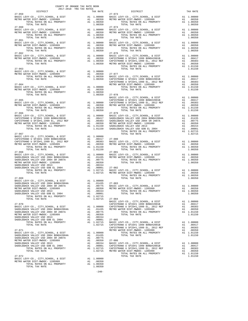| $2017-2018 \quad \text{TRA RATE B} \label{eq:2017-2018}$ DISTRICT $$\tt 2017-2018$ \quad \text{TRA RATES}$ |  |                                                                                                                                                                                                                                                                                                                                                                                                         |          |
|------------------------------------------------------------------------------------------------------------|--|---------------------------------------------------------------------------------------------------------------------------------------------------------------------------------------------------------------------------------------------------------------------------------------------------------------------------------------------------------------------------------------------------------|----------|
| $27 - 059$                                                                                                 |  | TRA TAX RATES<br>TAX RATE 27-073 DISTRICT                                                                                                                                                                                                                                                                                                                                                               | TAX RATE |
|                                                                                                            |  |                                                                                                                                                                                                                                                                                                                                                                                                         |          |
|                                                                                                            |  | $\begin{array}{cccccccccccc} 27-060 & 27-074 & 27-060 & 27-074 & 27-080 & 27-080 & 27-080 & 27-080 & 27-080 & 27-080 & 27-080 & 27-080 & 27-080 & 27-080 & 27-080 & 27-080 & 27-080 & 27-080 & 27-080 & 27-080 & 27-080 & 27-080 & 27-080 & 27-080 & 27-080 & 27-080 & 27$                                                                                                                              |          |
|                                                                                                            |  | $\begin{array}{cccccccccccc} 27-061 & 27-075 & 27-075 & 27-081 & 27-081 & 27-081 & 27-081 & 27-081 & 27-081 & 27-081 & 27-081 & 27-081 & 27-081 & 27-081 & 27-081 & 27-081 & 27-081 & 27-081 & 27-081 & 27-081 & 27-081 & 27-081 & 27-081 & 27-081 & 27-081 & 27-081 & 27$                                                                                                                              |          |
|                                                                                                            |  | $\begin{array}{cccccccccccc} 27-062 & 27-076 & 27-076 & 27-076 & 27-076 & 27-076 & 27-076 & 27-076 & 27-076 & 27-076 & 27-076 & 27-076 & 27-076 & 27-076 & 27-076 & 27-076 & 27-076 & 27-076 & 27-076 & 27-076 & 27-076 & 27-076 & 27-076 & 27-076 & 27-076 & 27-076 & 27$                                                                                                                              |          |
|                                                                                                            |  |                                                                                                                                                                                                                                                                                                                                                                                                         |          |
|                                                                                                            |  | $\begin{tabular}{l c c c c c} \multicolumn{4}{c c c c} \multicolumn{4}{c c c} \multicolumn{4}{c c c} \multicolumn{4}{c c c} \multicolumn{4}{c c c} \multicolumn{4}{c c c} \multicolumn{4}{c c c} \multicolumn{4}{c c c} \multicolumn{4}{c c c} \multicolumn{4}{c c c} \multicolumn{4}{c c c} \multicolumn{4}{c c c} \multicolumn{4}{c c c} \multicolumn{4}{c c c} \multicolumn{4}{c c c} \multicolumn{$ |          |
|                                                                                                            |  |                                                                                                                                                                                                                                                                                                                                                                                                         |          |
|                                                                                                            |  |                                                                                                                                                                                                                                                                                                                                                                                                         |          |
|                                                                                                            |  |                                                                                                                                                                                                                                                                                                                                                                                                         |          |
|                                                                                                            |  |                                                                                                                                                                                                                                                                                                                                                                                                         |          |
|                                                                                                            |  |                                                                                                                                                                                                                                                                                                                                                                                                         |          |
|                                                                                                            |  |                                                                                                                                                                                                                                                                                                                                                                                                         |          |
|                                                                                                            |  |                                                                                                                                                                                                                                                                                                                                                                                                         |          |
|                                                                                                            |  |                                                                                                                                                                                                                                                                                                                                                                                                         |          |
|                                                                                                            |  |                                                                                                                                                                                                                                                                                                                                                                                                         |          |
|                                                                                                            |  | SADDLEBACK VALLEY USD 2004 SR 2007A<br>METRO WATER DIST MIDOC-1205999<br>METRO WATER DIST-MWDOC-1205999<br>METRO WATER DIST-MWDOC-1205999<br>A1 .00350<br>METRO WATER DIST-MWDOC-1205999<br>A1 .00350<br>METRO WATER DIST-MWDOC-1205999<br>A1                                                                                                                                                           |          |
|                                                                                                            |  |                                                                                                                                                                                                                                                                                                                                                                                                         |          |
|                                                                                                            |  |                                                                                                                                                                                                                                                                                                                                                                                                         |          |
|                                                                                                            |  |                                                                                                                                                                                                                                                                                                                                                                                                         |          |
|                                                                                                            |  |                                                                                                                                                                                                                                                                                                                                                                                                         |          |
|                                                                                                            |  |                                                                                                                                                                                                                                                                                                                                                                                                         |          |
|                                                                                                            |  |                                                                                                                                                                                                                                                                                                                                                                                                         |          |
|                                                                                                            |  |                                                                                                                                                                                                                                                                                                                                                                                                         |          |

 $-240-$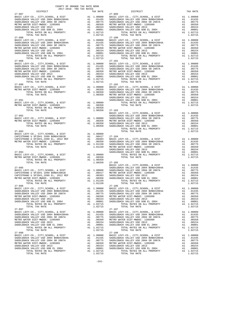| COUNTY OF ORANGE TAX RATE BOOK<br>2017-2018 TRA TAX RATES                                                                                                                                                                                                                                                                                                                          |                                       |                                                     |                                                                                                                     |
|------------------------------------------------------------------------------------------------------------------------------------------------------------------------------------------------------------------------------------------------------------------------------------------------------------------------------------------------------------------------------------|---------------------------------------|-----------------------------------------------------|---------------------------------------------------------------------------------------------------------------------|
| DISTRICT<br>$27 - 087$                                                                                                                                                                                                                                                                                                                                                             |                                       | TAX RATE                                            | $27 - 099$                                                                                                          |
| TOTAL TAX RATE<br>$27 - 088$                                                                                                                                                                                                                                                                                                                                                       |                                       | 1.02715                                             | $27 - 100$                                                                                                          |
| $\begin{tabular}{l c c c c} \texttt{BASTC LEVY-CO.}, & CITY, \texttt{SCHODL}, & & DIST & & & & 27-100 \\ \texttt{SADDLEBACK VALLEY USD 2004 BONDH2004A} & & & & 1.00000 & BASIC L \\ \texttt{SADDLEBACK VALLEY USD 2004 SR 2007A} & & & & 1.01435 & SADDLEB \\ \texttt{METRO WATER DIST-MMDOC-1205999} & & & & 1.00775 & SADDLEB \\ \texttt{METRO WATER DIST-MMDOC-1205999} & & &$ |                                       |                                                     |                                                                                                                     |
|                                                                                                                                                                                                                                                                                                                                                                                    |                                       |                                                     |                                                                                                                     |
| $27 - 091$                                                                                                                                                                                                                                                                                                                                                                         |                                       |                                                     | SADDLEB<br>SADDLEB                                                                                                  |
| TOTAL TAX RATE<br>$27 - 092$                                                                                                                                                                                                                                                                                                                                                       |                                       |                                                     | 1.00350 27-103<br>BASIC L<br>SADDLEB                                                                                |
|                                                                                                                                                                                                                                                                                                                                                                                    |                                       |                                                     |                                                                                                                     |
| $27 - 094$                                                                                                                                                                                                                                                                                                                                                                         |                                       |                                                     | SADDLEB<br>SADDLEB                                                                                                  |
| BASIC LEVY-CO., CITY, SCHOOL, & DIST<br>METRO WATER DIST-MWDOC- 1205999<br>TOTAL RATES ON ALL PROPERTY<br>TOTAL TAX RATE                                                                                                                                                                                                                                                           | A1 1.00000<br>A1 .00350<br>A1 1.00350 |                                                     | 1.00350 27-105<br>BASIC L                                                                                           |
| $27 - 095$<br>TOTAL TAX RATE                                                                                                                                                                                                                                                                                                                                                       |                                       | 1.01150                                             | SADDLEB                                                                                                             |
| $27 - 096$<br>BASIC LEVY-CO., CITY, SCHOOL, & DIST<br>SADDLEBACK VALLEY USD 2004 BOND#2004A<br>SADDLEBACK VALLEY USD 2004 SR 2007A<br>METRO WATER DIST-MWDOC- 1205999<br>SADDLEBACK VALLEY USD 2013<br>SADDLEBACK VALLEY USD GOB EL 2004<br>TOTAL RATES ON ALL PROPERTY<br>TOTAL TAX RATE                                                                                          | A1<br>A1<br>A1<br>A1 1.02715          | A1 1.00000<br>.01435<br>.00154<br>.00001<br>1.02715 | $27 - 106$<br>BASIC L<br>SADDLEB<br>AL .00775 SADDLEB<br>A1 .00350 METROW<br>A1 .00154 -<br>SADDLEB<br>SADDLEB      |
| $27 - 097$<br>BASIC LEVY-CO., CITY, SCHOOL, & DIST<br>SADDLEBACK VALLEY USD 2004 BOND#2004A<br>SADDLEBACK VALLEY USD 2004 SR 2007A<br>METRO WATER DIST-MWDOC- 1205999<br>SADDLEBACK VALLEY USD 2013<br>SADDLEBACK VALLEY USD GOB EL 2004<br>TOTAL RATES ON ALL PROPERTY                                                                                                            | A1<br>A1<br>A1<br>A1 1.02715          | A1 1.00000<br>A1 .01435<br>A1 .00775                | $27 - 107$<br>BASIC L<br>SADDLEB<br>SADDLEB<br>.00350 METRO W<br>.00350 METRO W<br>.00001 SADDLEB                   |
| TOTAL TAX RATE<br>$27 - 098$<br>BASIC LEVY-CO., CITY, SCHOOL, & DIST<br>SADDLEBACK VALLEY USD 2004 BOND#2004A<br>SADDLEBACK VALLEY USD 2004 SR 2007A<br>METRO WATER DIST-MWDOC- 1205999<br>SADDLEBACK VALLEY USD 2013<br>SADDLEBACK VALLEY USD GOB EL 2004<br>TOTAL RATES ON ALL PROPERTY<br>TOTAL TAX RATE                                                                        | A1<br>A1<br>A1<br>A1<br>A1 1.02715    | 1.02715<br>A1 .01435<br>.00775<br>.00350<br>1.02715 | $27 - 108$<br>A1 1.00000 BASIC L<br>A1 .01435 SADDLEB<br>SADDLEB<br>METRO W<br>$.00154$ SADDLEB<br>$.00001$ SADDLEB |

| DISTRICT                 |  |                                                                                                                                                                                                                                                                                                                                                                                                                                                                     |  |
|--------------------------|--|---------------------------------------------------------------------------------------------------------------------------------------------------------------------------------------------------------------------------------------------------------------------------------------------------------------------------------------------------------------------------------------------------------------------------------------------------------------------|--|
|                          |  |                                                                                                                                                                                                                                                                                                                                                                                                                                                                     |  |
|                          |  | $\begin{tabular}{l c c c c c} \multicolumn{4}{c}{DISTRICT} & \multicolumn{4}{c}{DISTRICT} & \multicolumn{4}{c}{27-098} & \multicolumn{4}{c}{DISTRICT} & \multicolumn{4}{c}{TAX RATE} & \multicolumn{4}{c}{DISTRICT} & \multicolumn{4}{c}{TAX RATE} & \multicolumn{4}{c}{DISTRICT} & \multicolumn{4}{c}{TAX RATE} & \multicolumn{4}{c}{27-099} & \multicolumn{4}{c}{DISTRICT} & \multicolumn{4}{c}{TAX RATE} & \multicolumn{4}{c}{27-09$                             |  |
|                          |  |                                                                                                                                                                                                                                                                                                                                                                                                                                                                     |  |
|                          |  |                                                                                                                                                                                                                                                                                                                                                                                                                                                                     |  |
|                          |  |                                                                                                                                                                                                                                                                                                                                                                                                                                                                     |  |
|                          |  | $\begin{tabular}{c c c c c c} \hline \textbf{1.00350} & \textbf{1.00350} & \textbf{27-092} & \textbf{27-093} & \textbf{2885C LEVY-CO.}, & \textbf{CITY}, \textbf{SCHOOL}, & & \textbf{DIST} & & \textbf{A1} & \textbf{1.00000} \\ \hline \textbf{BASE LEVY-CO.}, & \textbf{CITY}, \textbf{SCHOOL}, & \textbf{DIST} & & \textbf{A1} & \textbf{1.00000} & \textbf{SADDLEBACK VALUE} & \textbf{VALEY USD 2$                                                            |  |
|                          |  |                                                                                                                                                                                                                                                                                                                                                                                                                                                                     |  |
|                          |  | $\begin{tabular}{c c c c c} \multicolumn{4}{c}{\textbf{1}} & \multicolumn{4}{c}{\textbf{1}} & \multicolumn{4}{c}{\textbf{1}} & \multicolumn{4}{c}{\textbf{1}} & \multicolumn{4}{c}{\textbf{1}} & \multicolumn{4}{c}{\textbf{1}} & \multicolumn{4}{c}{\textbf{1}} & \multicolumn{4}{c}{\textbf{1}} & \multicolumn{4}{c}{\textbf{1}} & \multicolumn{4}{c}{\textbf{1}} & \multicolumn{4}{c}{\textbf{1}} & \multicolumn{4}{c}{\textbf{1}} & \multicolumn{4}{c}{\textbf$ |  |
|                          |  | BASIC LEVY-CO., CITY, SCHOOL, & DIST A1 1.00000 BASIC LEVY-CO., CITY, SCHOOL, & DIST A1 1.00000                                                                                                                                                                                                                                                                                                                                                                     |  |
| $27 - 097$<br>$27 - 098$ |  | $27 - 107$                                                                                                                                                                                                                                                                                                                                                                                                                                                          |  |
|                          |  | $27 - 108$<br>$\begin{tabular}{l c c c c c} \multicolumn{1}{c c c c} \multicolumn{1}{c c c} \multicolumn{1}{c c c} \multicolumn{1}{c c c} \multicolumn{1}{c c c} \multicolumn{1}{c c c} \multicolumn{1}{c c c} \multicolumn{1}{c c c} \multicolumn{1}{c c c} \multicolumn{1}{c c c} \multicolumn{1}{c c c} \multicolumn{1}{c c c} \multicolumn{1}{c c c} \multicolumn{1}{c c c} \multicolumn{1}{c c c} \multicolumn{$                                               |  |

-241-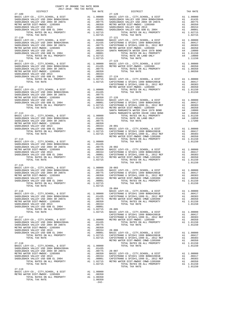| COUNTY OF ORANGE TAX RATE BOOK<br>2017-2018 TRA TAX RATES                                                                                                                                                                                                                                                                                                                                  |    |                                                                            |                       |
|--------------------------------------------------------------------------------------------------------------------------------------------------------------------------------------------------------------------------------------------------------------------------------------------------------------------------------------------------------------------------------------------|----|----------------------------------------------------------------------------|-----------------------|
| DISTRICT<br>$27 - 109$                                                                                                                                                                                                                                                                                                                                                                     |    | TAX RATE                                                                   | $27 - 120$            |
| $\begin{tabular}{l c c c c} \multicolumn{1}{c}{BASTC} \textsc{LEYY-CO} \text{\textit{,} CITY, SCHOOL, & $\&$ DIST$ & \multicolumn{1}{c}{A1 1.00000} & $27-120$ \\ \multicolumn{1}{c}{SADDLEBACK} \textsc{VALUEY} \textsc{USD} \textsc{2004} \textsc{ BOND#2004A} & $\&$A1 1.00000 & $BASICL\\ \textsc{SADDLEBACK} \textsc{VALUEY} \textsc{USD} \textsc{2007A} & $\&$A1 00775 & $\&$SADDLE$ |    |                                                                            |                       |
|                                                                                                                                                                                                                                                                                                                                                                                            |    |                                                                            |                       |
|                                                                                                                                                                                                                                                                                                                                                                                            |    |                                                                            |                       |
|                                                                                                                                                                                                                                                                                                                                                                                            |    |                                                                            |                       |
|                                                                                                                                                                                                                                                                                                                                                                                            |    |                                                                            |                       |
| TOTAL TAX RATE<br>$27 - 110$                                                                                                                                                                                                                                                                                                                                                               |    | 1.02715                                                                    | $27 - 121$            |
|                                                                                                                                                                                                                                                                                                                                                                                            |    |                                                                            |                       |
|                                                                                                                                                                                                                                                                                                                                                                                            |    |                                                                            |                       |
|                                                                                                                                                                                                                                                                                                                                                                                            |    |                                                                            |                       |
|                                                                                                                                                                                                                                                                                                                                                                                            |    |                                                                            |                       |
|                                                                                                                                                                                                                                                                                                                                                                                            |    |                                                                            |                       |
| TOTAL TAX RATE<br>$27 - 111$                                                                                                                                                                                                                                                                                                                                                               |    | 1.02715                                                                    | $27 - 123$            |
|                                                                                                                                                                                                                                                                                                                                                                                            |    |                                                                            |                       |
|                                                                                                                                                                                                                                                                                                                                                                                            |    |                                                                            |                       |
|                                                                                                                                                                                                                                                                                                                                                                                            |    |                                                                            |                       |
|                                                                                                                                                                                                                                                                                                                                                                                            |    |                                                                            |                       |
|                                                                                                                                                                                                                                                                                                                                                                                            |    |                                                                            |                       |
|                                                                                                                                                                                                                                                                                                                                                                                            |    |                                                                            |                       |
|                                                                                                                                                                                                                                                                                                                                                                                            |    |                                                                            | CAPISTR               |
|                                                                                                                                                                                                                                                                                                                                                                                            |    |                                                                            |                       |
|                                                                                                                                                                                                                                                                                                                                                                                            |    |                                                                            |                       |
|                                                                                                                                                                                                                                                                                                                                                                                            |    |                                                                            |                       |
|                                                                                                                                                                                                                                                                                                                                                                                            |    |                                                                            |                       |
|                                                                                                                                                                                                                                                                                                                                                                                            |    |                                                                            |                       |
|                                                                                                                                                                                                                                                                                                                                                                                            |    |                                                                            | SANTA M               |
| $27 - 113$                                                                                                                                                                                                                                                                                                                                                                                 |    |                                                                            | SANTA M               |
|                                                                                                                                                                                                                                                                                                                                                                                            |    |                                                                            |                       |
|                                                                                                                                                                                                                                                                                                                                                                                            |    |                                                                            |                       |
| METRO WATER DIST-MWDOC- 1205999                                                                                                                                                                                                                                                                                                                                                            |    | A1 .00350                                                                  |                       |
| METRO WATER DIST-MWDOC-1205999<br>SADDLEBACK VALLEY USD 2013<br>SADDLEBACK VALLEY USD 2013<br>TOTAL RATES ON ALL PROPERTY<br>TOTAL TAX RATE<br>TOTAL TAX RATE<br>TOTAL TAX RATE<br>TOTAL TAX RATE<br>PROPERTY<br>1.02715<br>2.02715<br>CAPISTR<br>CAPI                                                                                                                                     |    |                                                                            |                       |
|                                                                                                                                                                                                                                                                                                                                                                                            |    |                                                                            |                       |
|                                                                                                                                                                                                                                                                                                                                                                                            |    |                                                                            | METRO W               |
| $27 - 114$                                                                                                                                                                                                                                                                                                                                                                                 |    |                                                                            |                       |
|                                                                                                                                                                                                                                                                                                                                                                                            |    |                                                                            |                       |
|                                                                                                                                                                                                                                                                                                                                                                                            |    |                                                                            |                       |
|                                                                                                                                                                                                                                                                                                                                                                                            |    |                                                                            |                       |
|                                                                                                                                                                                                                                                                                                                                                                                            |    |                                                                            |                       |
| TOTAL TAX RATE                                                                                                                                                                                                                                                                                                                                                                             |    | 1.02715                                                                    |                       |
|                                                                                                                                                                                                                                                                                                                                                                                            |    |                                                                            |                       |
| $27 - 115$                                                                                                                                                                                                                                                                                                                                                                                 |    |                                                                            |                       |
|                                                                                                                                                                                                                                                                                                                                                                                            |    |                                                                            |                       |
|                                                                                                                                                                                                                                                                                                                                                                                            |    |                                                                            |                       |
|                                                                                                                                                                                                                                                                                                                                                                                            |    |                                                                            |                       |
|                                                                                                                                                                                                                                                                                                                                                                                            |    |                                                                            |                       |
|                                                                                                                                                                                                                                                                                                                                                                                            |    |                                                                            |                       |
| $27 - 116$                                                                                                                                                                                                                                                                                                                                                                                 |    |                                                                            | $28 - 004$<br>BASIC L |
| BASIC LEVY-CO., CITY, SCHOOL, & DIST<br>A1 $1.00000$<br>A1 $01427$                                                                                                                                                                                                                                                                                                                         |    |                                                                            |                       |
| SADDLEBACK VALLEY USD 2004 BOND#2004A<br>SADDLEBACK VALLEY USD 2004 SR 2007A                                                                                                                                                                                                                                                                                                               |    | A1   1.00000   CAPISTR<br>A1   .01435   CAPISTR<br>A1   .00775   METRO   W |                       |
| METRO WATER DIST-MWDOC- 1205999                                                                                                                                                                                                                                                                                                                                                            |    | A1.00350                                                                   |                       |
| SADDLEBACK VALLEY USD 2013<br>SADDLEBACK VALLEY USD GOB EL 2004                                                                                                                                                                                                                                                                                                                            | A1 | A1 .00154                                                                  |                       |
| TOTAL RATES ON ALL PROPERTY                                                                                                                                                                                                                                                                                                                                                                |    | .00001<br>A1 1.02715                                                       | $28 - 005$            |
| TOTAL TAX RATE                                                                                                                                                                                                                                                                                                                                                                             |    | 1.02715                                                                    | BASIC L               |
| $27 - 117$                                                                                                                                                                                                                                                                                                                                                                                 |    |                                                                            | CAPISTR<br>CAPISTR    |
| BASIC LEVY-CO., CITY, SCHOOL, & DIST                                                                                                                                                                                                                                                                                                                                                       |    | A1 1.00000 METRO W                                                         |                       |
| SADDLEBACK VALLEY USD 2004 BOND#2004A<br>SADDLEBACK VALLEY USD 2004 SR 2007A                                                                                                                                                                                                                                                                                                               | A1 | A1 .01435<br>.00775                                                        |                       |
| METRO WATER DIST-MWDOC- 1205999                                                                                                                                                                                                                                                                                                                                                            | A1 | .00350                                                                     |                       |
| SADDLEBACK VALLEY USD 2013                                                                                                                                                                                                                                                                                                                                                                 |    |                                                                            |                       |
| SADDLEBACK VALLEY USD GOB EL 2004<br>TOTAL RATES ON ALL PROPERTY                                                                                                                                                                                                                                                                                                                           |    | A1 .00154 28-006<br>A1 .00001 BASIC L<br>A1 1.02715 CAPISTR<br>A1 1.02715  |                       |
| TOTAL TAX RATE                                                                                                                                                                                                                                                                                                                                                                             |    | 1.02715                                                                    | CAPISTR<br>METRO W    |
| $27 - 118$                                                                                                                                                                                                                                                                                                                                                                                 |    |                                                                            |                       |
| BASIC LEVY-CO., CITY, SCHOOL, & DIST<br>BASIC LEVI-CO., CIII, CORONA BOND#2004A<br>SADDLEBACK VALLEY USD 2004 BOND#2004A                                                                                                                                                                                                                                                                   |    | A1 1.00000<br>A1.01435                                                     |                       |
| SADDLEBACK VALLEY USD 2004 SR 2007A                                                                                                                                                                                                                                                                                                                                                        |    |                                                                            |                       |
| METRO WATER DIST-MWDOC- 1205999                                                                                                                                                                                                                                                                                                                                                            |    | A1 .00775 28-007<br>A1 .00350 BASIC L<br>A1 .00154 CAPISTR                 |                       |
| SADDLEBACK VALLEY USD 2013<br>SADDLEBACK VALLEY USD GOB EL 2004                                                                                                                                                                                                                                                                                                                            |    |                                                                            |                       |
| ACK VALLEY USD GOB EL 2004<br>TOTAL RATES ON ALL PROPERTY                                                                                                                                                                                                                                                                                                                                  |    | A1 .00001 CAPISTR<br>A1 .02715 METRO W                                     |                       |
| TOTAL TAX RATE                                                                                                                                                                                                                                                                                                                                                                             |    | 1.02715                                                                    |                       |
| $27 - 119$                                                                                                                                                                                                                                                                                                                                                                                 |    |                                                                            |                       |
| BASIC LEVY-CO., CITY, SCHOOL, & DIST<br>METRO WATER DIST-MWDOC- 1205999                                                                                                                                                                                                                                                                                                                    |    | A1 1.00000<br>A1 .00350                                                    |                       |
| TOTAL RATES ON ALL PROPERTY                                                                                                                                                                                                                                                                                                                                                                |    | A1 1.00350                                                                 |                       |
| TOTAL TAX RATE                                                                                                                                                                                                                                                                                                                                                                             |    | 1.00350<br>$-242-$                                                         |                       |

| 2017-2018 TRA TAX RATES<br>DISTRICT             | TAX RATE | DISTRICT                                                                                                                                                                                                                                                                                                                                                                                                                                   | TAX RATE |
|-------------------------------------------------|----------|--------------------------------------------------------------------------------------------------------------------------------------------------------------------------------------------------------------------------------------------------------------------------------------------------------------------------------------------------------------------------------------------------------------------------------------------|----------|
|                                                 |          |                                                                                                                                                                                                                                                                                                                                                                                                                                            |          |
|                                                 |          |                                                                                                                                                                                                                                                                                                                                                                                                                                            |          |
|                                                 |          |                                                                                                                                                                                                                                                                                                                                                                                                                                            |          |
|                                                 |          |                                                                                                                                                                                                                                                                                                                                                                                                                                            |          |
|                                                 |          |                                                                                                                                                                                                                                                                                                                                                                                                                                            |          |
|                                                 |          |                                                                                                                                                                                                                                                                                                                                                                                                                                            |          |
|                                                 |          |                                                                                                                                                                                                                                                                                                                                                                                                                                            |          |
|                                                 |          |                                                                                                                                                                                                                                                                                                                                                                                                                                            |          |
|                                                 |          |                                                                                                                                                                                                                                                                                                                                                                                                                                            |          |
|                                                 |          |                                                                                                                                                                                                                                                                                                                                                                                                                                            |          |
|                                                 |          |                                                                                                                                                                                                                                                                                                                                                                                                                                            |          |
|                                                 |          |                                                                                                                                                                                                                                                                                                                                                                                                                                            |          |
|                                                 |          |                                                                                                                                                                                                                                                                                                                                                                                                                                            |          |
|                                                 |          |                                                                                                                                                                                                                                                                                                                                                                                                                                            |          |
|                                                 |          |                                                                                                                                                                                                                                                                                                                                                                                                                                            |          |
|                                                 |          |                                                                                                                                                                                                                                                                                                                                                                                                                                            |          |
|                                                 |          |                                                                                                                                                                                                                                                                                                                                                                                                                                            |          |
|                                                 |          |                                                                                                                                                                                                                                                                                                                                                                                                                                            |          |
|                                                 |          |                                                                                                                                                                                                                                                                                                                                                                                                                                            |          |
|                                                 |          |                                                                                                                                                                                                                                                                                                                                                                                                                                            |          |
|                                                 |          |                                                                                                                                                                                                                                                                                                                                                                                                                                            |          |
|                                                 |          |                                                                                                                                                                                                                                                                                                                                                                                                                                            |          |
|                                                 |          |                                                                                                                                                                                                                                                                                                                                                                                                                                            |          |
|                                                 |          |                                                                                                                                                                                                                                                                                                                                                                                                                                            |          |
|                                                 |          |                                                                                                                                                                                                                                                                                                                                                                                                                                            |          |
|                                                 |          |                                                                                                                                                                                                                                                                                                                                                                                                                                            |          |
|                                                 |          |                                                                                                                                                                                                                                                                                                                                                                                                                                            |          |
|                                                 |          |                                                                                                                                                                                                                                                                                                                                                                                                                                            |          |
|                                                 |          |                                                                                                                                                                                                                                                                                                                                                                                                                                            |          |
|                                                 |          |                                                                                                                                                                                                                                                                                                                                                                                                                                            |          |
|                                                 |          |                                                                                                                                                                                                                                                                                                                                                                                                                                            |          |
|                                                 |          |                                                                                                                                                                                                                                                                                                                                                                                                                                            |          |
|                                                 |          |                                                                                                                                                                                                                                                                                                                                                                                                                                            |          |
|                                                 |          |                                                                                                                                                                                                                                                                                                                                                                                                                                            |          |
|                                                 |          |                                                                                                                                                                                                                                                                                                                                                                                                                                            |          |
|                                                 |          |                                                                                                                                                                                                                                                                                                                                                                                                                                            |          |
|                                                 |          |                                                                                                                                                                                                                                                                                                                                                                                                                                            |          |
|                                                 |          |                                                                                                                                                                                                                                                                                                                                                                                                                                            |          |
|                                                 |          |                                                                                                                                                                                                                                                                                                                                                                                                                                            |          |
|                                                 |          |                                                                                                                                                                                                                                                                                                                                                                                                                                            |          |
|                                                 |          |                                                                                                                                                                                                                                                                                                                                                                                                                                            |          |
|                                                 |          |                                                                                                                                                                                                                                                                                                                                                                                                                                            |          |
|                                                 |          | TOTAL TAX RATE                                                                                                                                                                                                                                                                                                                                                                                                                             |          |
| $27 - 115$                                      |          |                                                                                                                                                                                                                                                                                                                                                                                                                                            |          |
|                                                 |          |                                                                                                                                                                                                                                                                                                                                                                                                                                            |          |
|                                                 |          |                                                                                                                                                                                                                                                                                                                                                                                                                                            |          |
|                                                 |          |                                                                                                                                                                                                                                                                                                                                                                                                                                            |          |
|                                                 |          |                                                                                                                                                                                                                                                                                                                                                                                                                                            |          |
|                                                 |          |                                                                                                                                                                                                                                                                                                                                                                                                                                            |          |
|                                                 |          |                                                                                                                                                                                                                                                                                                                                                                                                                                            |          |
|                                                 |          | $28 - 004$                                                                                                                                                                                                                                                                                                                                                                                                                                 |          |
|                                                 |          |                                                                                                                                                                                                                                                                                                                                                                                                                                            |          |
|                                                 |          |                                                                                                                                                                                                                                                                                                                                                                                                                                            |          |
|                                                 |          | $\begin{tabular}{@{}c c@{}}\hline\hline\multicolumn{4}{c}{27-116}\\ \hline \multicolumn{4}{c}{27-16}\\ \hline \multicolumn{4}{c}{30000}\\ \hline \multicolumn{4}{c}{30000}\\ \hline \multicolumn{4}{c}{27-116}\\ \hline \multicolumn{4}{c}{30000}\\ \hline \multicolumn{4}{c}{30000}\\ \hline \multicolumn{4}{c}{30000}\\ \hline \multicolumn{4}{c}{30000}\\ \hline \multicolumn{4}{c}{30000}\\ \hline \multicolumn{4}{c}{30000}\\ \hline$ |          |
|                                                 |          |                                                                                                                                                                                                                                                                                                                                                                                                                                            |          |
|                                                 |          |                                                                                                                                                                                                                                                                                                                                                                                                                                            |          |
|                                                 |          |                                                                                                                                                                                                                                                                                                                                                                                                                                            |          |
|                                                 |          |                                                                                                                                                                                                                                                                                                                                                                                                                                            |          |
|                                                 |          |                                                                                                                                                                                                                                                                                                                                                                                                                                            |          |
|                                                 |          |                                                                                                                                                                                                                                                                                                                                                                                                                                            |          |
|                                                 |          |                                                                                                                                                                                                                                                                                                                                                                                                                                            |          |
|                                                 |          |                                                                                                                                                                                                                                                                                                                                                                                                                                            |          |
|                                                 |          |                                                                                                                                                                                                                                                                                                                                                                                                                                            |          |
|                                                 |          |                                                                                                                                                                                                                                                                                                                                                                                                                                            |          |
|                                                 |          |                                                                                                                                                                                                                                                                                                                                                                                                                                            |          |
|                                                 |          |                                                                                                                                                                                                                                                                                                                                                                                                                                            |          |
|                                                 |          |                                                                                                                                                                                                                                                                                                                                                                                                                                            |          |
|                                                 |          |                                                                                                                                                                                                                                                                                                                                                                                                                                            |          |
|                                                 |          |                                                                                                                                                                                                                                                                                                                                                                                                                                            |          |
|                                                 |          |                                                                                                                                                                                                                                                                                                                                                                                                                                            |          |
|                                                 |          |                                                                                                                                                                                                                                                                                                                                                                                                                                            |          |
|                                                 |          |                                                                                                                                                                                                                                                                                                                                                                                                                                            |          |
|                                                 |          |                                                                                                                                                                                                                                                                                                                                                                                                                                            |          |
| $27 - 119$                                      |          | TOTAL TAX RATE                                                                                                                                                                                                                                                                                                                                                                                                                             |          |
| BASIC LEVY-CO., CITY, SCHOOL, & DIST A1 1.00000 |          |                                                                                                                                                                                                                                                                                                                                                                                                                                            |          |
|                                                 |          |                                                                                                                                                                                                                                                                                                                                                                                                                                            |          |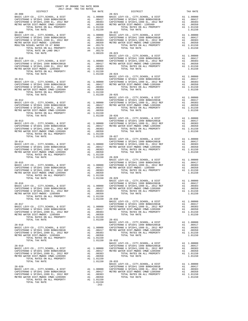| COUNTY OF ORANGE TAX RATE BOOK<br>2017-2018 TRA TAX RATES                    |    |                                         |                       |
|------------------------------------------------------------------------------|----|-----------------------------------------|-----------------------|
| DISTRICT                                                                     |    | TAX RATE                                |                       |
|                                                                              |    |                                         |                       |
|                                                                              |    |                                         |                       |
|                                                                              |    |                                         |                       |
|                                                                              |    |                                         |                       |
|                                                                              |    |                                         |                       |
|                                                                              |    |                                         |                       |
|                                                                              |    |                                         |                       |
|                                                                              |    |                                         |                       |
|                                                                              |    |                                         |                       |
|                                                                              |    |                                         |                       |
|                                                                              |    |                                         |                       |
|                                                                              |    |                                         |                       |
| $28 - 010$                                                                   |    |                                         | CAPISTR               |
|                                                                              |    |                                         |                       |
|                                                                              |    |                                         |                       |
|                                                                              |    |                                         |                       |
|                                                                              |    |                                         |                       |
| TOTAL TAX RATE                                                               |    | $1.01150$ $28-024$<br>BASIC L           |                       |
|                                                                              |    |                                         |                       |
| $28 - 011$                                                                   |    |                                         | CAPISTR               |
|                                                                              |    |                                         |                       |
|                                                                              |    |                                         |                       |
|                                                                              |    |                                         |                       |
|                                                                              |    |                                         |                       |
|                                                                              |    |                                         | BASIC L               |
| $28 - 012$                                                                   |    |                                         | CAPISTR               |
|                                                                              |    |                                         |                       |
|                                                                              |    |                                         |                       |
|                                                                              |    |                                         |                       |
|                                                                              |    |                                         |                       |
| TOTAL TAX RATE                                                               |    | 1.01150 28-026                          |                       |
|                                                                              |    |                                         | BASIC L               |
|                                                                              |    |                                         |                       |
|                                                                              |    |                                         |                       |
|                                                                              |    |                                         |                       |
|                                                                              |    |                                         |                       |
|                                                                              |    | $1.01150 28-027$                        |                       |
|                                                                              |    |                                         | BASIC L               |
| $28 - 014$                                                                   |    |                                         | CAPISTR               |
|                                                                              |    |                                         |                       |
|                                                                              |    |                                         |                       |
|                                                                              |    |                                         |                       |
|                                                                              |    |                                         |                       |
| TOTAL TAX RATE                                                               |    | 1.01150 28-028                          |                       |
|                                                                              |    |                                         | BASIC L               |
|                                                                              |    |                                         |                       |
|                                                                              |    |                                         |                       |
|                                                                              |    |                                         |                       |
|                                                                              |    |                                         |                       |
|                                                                              |    | $1.01150$ $28-029$                      |                       |
|                                                                              |    |                                         | BASIC L               |
| $28 - 016$                                                                   |    | A1 1.00000 CAPISTR                      | CAPISTR               |
| BASIC LEVY-CO., CITY, SCHOOL, & DIST<br>CAPISTRANO U SFID#1 1999 BOND#2001B  |    | A1 .00417                               | METRO W               |
| CAPISTRANO U SFID#1,1999 EL, 2012 REF                                        |    |                                         |                       |
| METRO WATER DIST-MWDOC- 1205999                                              |    | A1 .00383<br>A1 .00350<br>A1 1.01150    |                       |
| TOTAL RATES ON ALL PROPERTY                                                  |    |                                         |                       |
| TOTAL TAX RATE                                                               |    | 1.01150                                 | $28 - 030$<br>BASIC L |
| $28 - 017$                                                                   |    |                                         | CAPISTR               |
| BASIC LEVY-CO., CITY, SCHOOL, & DIST                                         |    | A1 1.00000                              | CAPISTR               |
| CAPISTRANO U SFID#1 1999 BOND#2001B                                          | A1 | .00417                                  | METRO W               |
| CAPISTRANO U SFID#1,1999 EL, 2012 REF<br>METRO WATER DIST-MWDOC- 1205999     | A1 | A1 .00383<br>.00350                     |                       |
| TOTAL RATES ON ALL PROPERTY                                                  |    | A1 1.01150                              |                       |
| TOTAL TAX RATE                                                               |    | 1.01150                                 | $28 - 031$            |
| $28 - 018$                                                                   |    |                                         | BASIC L               |
| BASIC LEVY-CO., CITY, SCHOOL, & DIST                                         |    |                                         | CAPISTR               |
| CAPISTRANO U SFID#1 1999 BOND#2001B                                          |    | A1 1.00000 CAPISTR<br>A1 .00417 METROW  |                       |
| CAPISTRANO U SFID#1,1999 EL, 2012 REF                                        | A1 | .00383                                  |                       |
| METRO WATER DIST-MWDOC- 1205999                                              | A1 | .00350                                  |                       |
| TOTAL RATES ON ALL PROPERTY<br>TOTAL TAX RATE                                |    | A1 1.01150<br>1.01150                   | $28 - 032$            |
|                                                                              |    |                                         | BASIC L               |
| $28 - 019$                                                                   |    |                                         | CAPISTR               |
| BASIC LEVY-CO., CITY, SCHOOL, & DIST                                         |    | A1 1.00000<br>A1 .00417                 | CAPISTR               |
| CAPISTRANO U SFID#1 1999 BOND#2001B<br>CAPISTRANO U SFID#1,1999 EL, 2012 REF |    | A1.00383                                | METRO W               |
| METRO WATER DIST-MWDOC CMWD-1205999                                          |    | A1 .00350                               |                       |
| TOTAL RATES ON ALL PROPERTY                                                  |    | A1 1.01150                              |                       |
| TOTAL TAX RATE                                                               |    | 1.01150                                 | $28 - 033$            |
| $28 - 020$                                                                   |    |                                         | BASIC L<br>CAPISTR    |
| BASIC LEVY-CO., CITY, SCHOOL, & DIST                                         |    |                                         |                       |
| CAPISTRANO U SFID#1 1999 BOND#2001B                                          |    | A1 1.00000 CAPISTR<br>A1 .00417 METRO W |                       |
| CAPISTRANO U SFID#1,1999 EL, 2012 REF                                        | A1 | .00383                                  |                       |
| METRO WATER DIST-MWDOC CMWD-1205999<br>TOTAL RATES ON ALL PROPERTY           | A1 | .00350<br>A1 1.01150                    |                       |
| TOTAL TAX RATE                                                               |    | 1.01150                                 |                       |

|  |  | $\begin{tabular}{l cccc} \multicolumn{4}{c}{28-008} & \multicolumn{4}{c}{DISTRITCT} & \multicolumn{4}{c}{2017-2018} & \multicolumn{4}{c}{\textbf{TRR}} & \multicolumn{4}{c}{\textbf{TRR}} & \multicolumn{4}{c}{\textbf{TRR}} & \multicolumn{4}{c}{\textbf{TRR}} & \multicolumn{4}{c}{\textbf{TRR}} & \multicolumn{4}{c}{\textbf{TRR}} & \multicolumn{4}{c}{\textbf{TRR}} & \multicolumn{4}{c}{\textbf{TRR}} & \multicolumn{4}{c}{\textbf{TRR}} & \multicolumn$ |  |
|--|--|----------------------------------------------------------------------------------------------------------------------------------------------------------------------------------------------------------------------------------------------------------------------------------------------------------------------------------------------------------------------------------------------------------------------------------------------------------------|--|
|  |  |                                                                                                                                                                                                                                                                                                                                                                                                                                                                |  |
|  |  |                                                                                                                                                                                                                                                                                                                                                                                                                                                                |  |
|  |  |                                                                                                                                                                                                                                                                                                                                                                                                                                                                |  |
|  |  |                                                                                                                                                                                                                                                                                                                                                                                                                                                                |  |
|  |  |                                                                                                                                                                                                                                                                                                                                                                                                                                                                |  |
|  |  |                                                                                                                                                                                                                                                                                                                                                                                                                                                                |  |
|  |  |                                                                                                                                                                                                                                                                                                                                                                                                                                                                |  |
|  |  |                                                                                                                                                                                                                                                                                                                                                                                                                                                                |  |
|  |  |                                                                                                                                                                                                                                                                                                                                                                                                                                                                |  |
|  |  |                                                                                                                                                                                                                                                                                                                                                                                                                                                                |  |
|  |  |                                                                                                                                                                                                                                                                                                                                                                                                                                                                |  |
|  |  |                                                                                                                                                                                                                                                                                                                                                                                                                                                                |  |
|  |  |                                                                                                                                                                                                                                                                                                                                                                                                                                                                |  |
|  |  |                                                                                                                                                                                                                                                                                                                                                                                                                                                                |  |
|  |  |                                                                                                                                                                                                                                                                                                                                                                                                                                                                |  |
|  |  |                                                                                                                                                                                                                                                                                                                                                                                                                                                                |  |
|  |  |                                                                                                                                                                                                                                                                                                                                                                                                                                                                |  |
|  |  |                                                                                                                                                                                                                                                                                                                                                                                                                                                                |  |
|  |  |                                                                                                                                                                                                                                                                                                                                                                                                                                                                |  |
|  |  |                                                                                                                                                                                                                                                                                                                                                                                                                                                                |  |
|  |  |                                                                                                                                                                                                                                                                                                                                                                                                                                                                |  |
|  |  |                                                                                                                                                                                                                                                                                                                                                                                                                                                                |  |
|  |  |                                                                                                                                                                                                                                                                                                                                                                                                                                                                |  |
|  |  |                                                                                                                                                                                                                                                                                                                                                                                                                                                                |  |
|  |  |                                                                                                                                                                                                                                                                                                                                                                                                                                                                |  |
|  |  |                                                                                                                                                                                                                                                                                                                                                                                                                                                                |  |
|  |  |                                                                                                                                                                                                                                                                                                                                                                                                                                                                |  |
|  |  |                                                                                                                                                                                                                                                                                                                                                                                                                                                                |  |
|  |  |                                                                                                                                                                                                                                                                                                                                                                                                                                                                |  |
|  |  |                                                                                                                                                                                                                                                                                                                                                                                                                                                                |  |
|  |  |                                                                                                                                                                                                                                                                                                                                                                                                                                                                |  |
|  |  |                                                                                                                                                                                                                                                                                                                                                                                                                                                                |  |
|  |  |                                                                                                                                                                                                                                                                                                                                                                                                                                                                |  |
|  |  |                                                                                                                                                                                                                                                                                                                                                                                                                                                                |  |
|  |  |                                                                                                                                                                                                                                                                                                                                                                                                                                                                |  |
|  |  |                                                                                                                                                                                                                                                                                                                                                                                                                                                                |  |
|  |  |                                                                                                                                                                                                                                                                                                                                                                                                                                                                |  |
|  |  |                                                                                                                                                                                                                                                                                                                                                                                                                                                                |  |
|  |  |                                                                                                                                                                                                                                                                                                                                                                                                                                                                |  |
|  |  | $\begin{tabular}{c c c c c} \multicolumn{4}{c c c} \multicolumn{4}{c c c} \multicolumn{4}{c c c} \multicolumn{4}{c c c} \multicolumn{4}{c c c} \multicolumn{4}{c c c} \multicolumn{4}{c c c} \multicolumn{4}{c c c} \multicolumn{4}{c c c} \multicolumn{4}{c c c} \multicolumn{4}{c c c} \multicolumn{4}{c c c} \multicolumn{4}{c c c} \multicolumn{4}{c c c} \multicolumn{4}{c c c} \multicolumn{4}{c $                                                       |  |
|  |  |                                                                                                                                                                                                                                                                                                                                                                                                                                                                |  |
|  |  |                                                                                                                                                                                                                                                                                                                                                                                                                                                                |  |
|  |  |                                                                                                                                                                                                                                                                                                                                                                                                                                                                |  |
|  |  |                                                                                                                                                                                                                                                                                                                                                                                                                                                                |  |
|  |  |                                                                                                                                                                                                                                                                                                                                                                                                                                                                |  |
|  |  |                                                                                                                                                                                                                                                                                                                                                                                                                                                                |  |
|  |  |                                                                                                                                                                                                                                                                                                                                                                                                                                                                |  |
|  |  |                                                                                                                                                                                                                                                                                                                                                                                                                                                                |  |
|  |  |                                                                                                                                                                                                                                                                                                                                                                                                                                                                |  |
|  |  |                                                                                                                                                                                                                                                                                                                                                                                                                                                                |  |
|  |  |                                                                                                                                                                                                                                                                                                                                                                                                                                                                |  |
|  |  |                                                                                                                                                                                                                                                                                                                                                                                                                                                                |  |
|  |  |                                                                                                                                                                                                                                                                                                                                                                                                                                                                |  |
|  |  |                                                                                                                                                                                                                                                                                                                                                                                                                                                                |  |
|  |  |                                                                                                                                                                                                                                                                                                                                                                                                                                                                |  |
|  |  |                                                                                                                                                                                                                                                                                                                                                                                                                                                                |  |
|  |  | $\begin{tabular}{c c c c c} \multicolumn{1}{c}{\textbf{28-018}} & \multicolumn{1}{c}{\textbf{28-018}} & \multicolumn{1}{c}{\textbf{28-018}} & \multicolumn{1}{c}{\textbf{28-018}} & \multicolumn{1}{c}{\textbf{28-018}} & \multicolumn{1}{c}{\textbf{28-018}} & \multicolumn{1}{c}{\textbf{28-018}} & \multicolumn{1}{c}{\textbf{28-018}} & \multicolumn{1}{c}{\textbf{28-018}} & \multicolumn{1}{c}{\textbf{28$                                               |  |
|  |  |                                                                                                                                                                                                                                                                                                                                                                                                                                                                |  |
|  |  |                                                                                                                                                                                                                                                                                                                                                                                                                                                                |  |
|  |  |                                                                                                                                                                                                                                                                                                                                                                                                                                                                |  |
|  |  |                                                                                                                                                                                                                                                                                                                                                                                                                                                                |  |
|  |  |                                                                                                                                                                                                                                                                                                                                                                                                                                                                |  |
|  |  |                                                                                                                                                                                                                                                                                                                                                                                                                                                                |  |
|  |  |                                                                                                                                                                                                                                                                                                                                                                                                                                                                |  |
|  |  |                                                                                                                                                                                                                                                                                                                                                                                                                                                                |  |
|  |  |                                                                                                                                                                                                                                                                                                                                                                                                                                                                |  |
|  |  |                                                                                                                                                                                                                                                                                                                                                                                                                                                                |  |
|  |  |                                                                                                                                                                                                                                                                                                                                                                                                                                                                |  |
|  |  |                                                                                                                                                                                                                                                                                                                                                                                                                                                                |  |
|  |  |                                                                                                                                                                                                                                                                                                                                                                                                                                                                |  |
|  |  |                                                                                                                                                                                                                                                                                                                                                                                                                                                                |  |
|  |  |                                                                                                                                                                                                                                                                                                                                                                                                                                                                |  |
|  |  | $\begin{tabular}{c c c c c} \multicolumn{4}{c c c} \multicolumn{4}{c c c} \multicolumn{4}{c c c} \multicolumn{4}{c c c} \multicolumn{4}{c c c} \multicolumn{4}{c c c} \multicolumn{4}{c c c} \multicolumn{4}{c c c} \multicolumn{4}{c c c} \multicolumn{4}{c c c} \multicolumn{4}{c c c} \multicolumn{4}{c c c} \multicolumn{4}{c c c} \multicolumn{4}{c c c} \multicolumn{4}{c c c} \multicolumn{4}{c $                                                       |  |
|  |  |                                                                                                                                                                                                                                                                                                                                                                                                                                                                |  |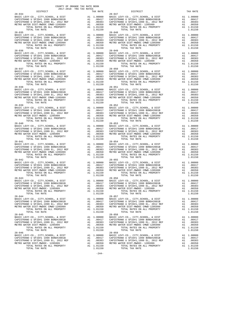| DISTRICT                                                                                                                                                                                              |                                                                                                                    | TAX RATE                                                                         |            |
|-------------------------------------------------------------------------------------------------------------------------------------------------------------------------------------------------------|--------------------------------------------------------------------------------------------------------------------|----------------------------------------------------------------------------------|------------|
| $28 - 034$                                                                                                                                                                                            |                                                                                                                    |                                                                                  | $28 - 047$ |
|                                                                                                                                                                                                       |                                                                                                                    |                                                                                  |            |
|                                                                                                                                                                                                       |                                                                                                                    |                                                                                  |            |
|                                                                                                                                                                                                       |                                                                                                                    |                                                                                  |            |
|                                                                                                                                                                                                       |                                                                                                                    |                                                                                  |            |
|                                                                                                                                                                                                       |                                                                                                                    |                                                                                  |            |
|                                                                                                                                                                                                       |                                                                                                                    |                                                                                  |            |
| $28 - 035$                                                                                                                                                                                            |                                                                                                                    |                                                                                  | $28 - 048$ |
| BASIC LEVY-CO., CITY, SCHOOL, & DIST                                                                                                                                                                  | 28-048<br>A1 1.00000 BASIC L<br>A1 .00417 CAPISTR<br>A1 .00383 CAPISTR<br>A1 .00350 METROW<br>A1 1.01150           |                                                                                  |            |
|                                                                                                                                                                                                       |                                                                                                                    |                                                                                  |            |
| CAPISTRANO U SFID#1 1999 BOND#2001B<br>CAPISTRANO U SFID#1,1999 EL, 2012 REF<br>METRO WATER DIST-MWDOC CMWD-1205999<br>TOTAL RATER ON NIC ---                                                         |                                                                                                                    |                                                                                  |            |
|                                                                                                                                                                                                       |                                                                                                                    |                                                                                  |            |
| TOTAL RATES ON ALL PROPERTY                                                                                                                                                                           |                                                                                                                    |                                                                                  |            |
| TOTAL TAX RATE                                                                                                                                                                                        |                                                                                                                    | 1.01150                                                                          |            |
| $28 - 036$                                                                                                                                                                                            |                                                                                                                    |                                                                                  | $28 - 049$ |
| BASIC LEVY-CO., CITY, SCHOOL, & DIST                                                                                                                                                                  |                                                                                                                    | A1 1.00000 BASIC L<br>A1 .00417 CAPISTR<br>A1 .00383 CAPISTR<br>A1 .00350 METROW |            |
| CAPISTRANO U SFID#1 1999 BOND#2001B                                                                                                                                                                   |                                                                                                                    |                                                                                  |            |
| CAPISIRANO O SFID#1 1999 BOND#2001B<br>CAPISTRANO U SFID#1,1999 EL, 2012 REF                                                                                                                          |                                                                                                                    |                                                                                  |            |
|                                                                                                                                                                                                       |                                                                                                                    |                                                                                  |            |
| METRO WATER DIST-MWDOC- 1205999                                                                                                                                                                       |                                                                                                                    |                                                                                  |            |
| TOTAL RATES ON ALL PROPERTY                                                                                                                                                                           |                                                                                                                    | A1 1.01150                                                                       |            |
| TOTAL TAX RATE                                                                                                                                                                                        |                                                                                                                    | 1.01150                                                                          |            |
| $28 - 037$                                                                                                                                                                                            | 28-050<br>Al .00000 BASIC L<br>Al .00417 CAPISTR<br>Al .00383 CAPISTR<br>Al .00350 METROW<br>Al 1.01150            |                                                                                  | $28 - 050$ |
| BASIC LEVY-CO., CITY, SCHOOL, & DIST                                                                                                                                                                  |                                                                                                                    |                                                                                  |            |
| CAPISTRANO U SFID#1 1999 BOND#2001B                                                                                                                                                                   |                                                                                                                    |                                                                                  |            |
| CAPISTRANO U SFID#1,1999 EL, 2012 REF<br>METRO WATER DIST-MWDOC CMWD-1205999<br>TOTAL TATTER ON THE COMPANY TO THE TOP TO THE TO                                                                      |                                                                                                                    |                                                                                  |            |
|                                                                                                                                                                                                       |                                                                                                                    |                                                                                  |            |
| TOTAL RATES ON ALL PROPERTY                                                                                                                                                                           |                                                                                                                    | A1 1.01150                                                                       |            |
| TOTAL TAX RATE                                                                                                                                                                                        |                                                                                                                    | 1.01150                                                                          |            |
| $28 - 038$                                                                                                                                                                                            |                                                                                                                    |                                                                                  | $28 - 051$ |
| BASIC LEVY-CO., CITY, SCHOOL, & DIST                                                                                                                                                                  | 28-051<br>A1 1.00000 BASIC L<br>A1 .00417 CAPISTR<br>A1 .00383 CAPISTR<br>A1 .00350 METROW<br>A1 1.01150           |                                                                                  |            |
| CAPISTRANO U SFID#1 1999 BOND#2001B                                                                                                                                                                   |                                                                                                                    |                                                                                  |            |
|                                                                                                                                                                                                       |                                                                                                                    |                                                                                  |            |
| CAPISTRANO U SFID#1,1999 EL, 2012 REF                                                                                                                                                                 |                                                                                                                    |                                                                                  |            |
| METRO WATER DIST-MWDOC CMWD-1205999                                                                                                                                                                   |                                                                                                                    |                                                                                  |            |
| TOTAL RATES ON ALL PROPERTY                                                                                                                                                                           |                                                                                                                    |                                                                                  |            |
| TOTAL TAX RATE                                                                                                                                                                                        |                                                                                                                    | 1.01150                                                                          |            |
|                                                                                                                                                                                                       |                                                                                                                    |                                                                                  |            |
|                                                                                                                                                                                                       |                                                                                                                    |                                                                                  |            |
|                                                                                                                                                                                                       |                                                                                                                    |                                                                                  |            |
|                                                                                                                                                                                                       |                                                                                                                    |                                                                                  |            |
|                                                                                                                                                                                                       |                                                                                                                    |                                                                                  |            |
|                                                                                                                                                                                                       |                                                                                                                    |                                                                                  |            |
|                                                                                                                                                                                                       |                                                                                                                    |                                                                                  |            |
|                                                                                                                                                                                                       |                                                                                                                    |                                                                                  |            |
|                                                                                                                                                                                                       |                                                                                                                    |                                                                                  |            |
|                                                                                                                                                                                                       |                                                                                                                    |                                                                                  |            |
|                                                                                                                                                                                                       |                                                                                                                    |                                                                                  |            |
|                                                                                                                                                                                                       |                                                                                                                    |                                                                                  |            |
|                                                                                                                                                                                                       |                                                                                                                    |                                                                                  |            |
| TOTAL RATES ON ALL PROPERTY                                                                                                                                                                           |                                                                                                                    | A1 1.01150                                                                       |            |
| TOTAL TAX RATE                                                                                                                                                                                        |                                                                                                                    | 1.01150                                                                          |            |
| $28 - 041$                                                                                                                                                                                            |                                                                                                                    |                                                                                  | $28 - 054$ |
| BASIC LEVY-CO., CITY, SCHOOL, & DIST<br>BASIC LEVY-CO., CITI, SCHOOL, WILLIAM CAPISTRANO U SFID#1 1999 EL, 2012 REF<br>CAPISTRANO U SFID#1,1999 EL, 2012 REF<br>CAPISTRANO U SFID#1,1999 EL, 2012 REF | A1 1.00000 2881C L<br>A1 .00417 CAPISTR<br>A1 .00383 CAPISTR<br>A1 .00380 METRO W<br>A1 .00350 METRO W<br>A1 01150 |                                                                                  |            |
|                                                                                                                                                                                                       |                                                                                                                    |                                                                                  |            |
|                                                                                                                                                                                                       |                                                                                                                    |                                                                                  |            |
| METRO WATER DIST-MWDOC CMWD-1205999                                                                                                                                                                   |                                                                                                                    |                                                                                  |            |
| TOTAL RATES ON ALL PROPERTY                                                                                                                                                                           |                                                                                                                    | A1 1.01150                                                                       |            |
| TOTAL TAX RATE                                                                                                                                                                                        |                                                                                                                    | 1.01150                                                                          |            |
| $28 - 042$                                                                                                                                                                                            |                                                                                                                    |                                                                                  | $28 - 055$ |
| BASIC LEVY-CO., CITY, SCHOOL, & DIST                                                                                                                                                                  | Al 1.00000 BASIC L<br>Al .00417 CAPISTR<br>Al .00417 CAPISTR<br>Al .00383 CAPISTR<br>Al 1.01150<br>Al 1.01150      |                                                                                  |            |
| CAPISTRANO U SFID#1 1999 BOND#2001B                                                                                                                                                                   |                                                                                                                    |                                                                                  |            |
| CAPISTRANO U SFID#1,1999 EL, 2012 REF                                                                                                                                                                 |                                                                                                                    |                                                                                  |            |
|                                                                                                                                                                                                       |                                                                                                                    |                                                                                  |            |
| METRO WATER DIST-MWDOC CMWD-1205999                                                                                                                                                                   |                                                                                                                    |                                                                                  |            |
| TOTAL RATES ON ALL PROPERTY                                                                                                                                                                           |                                                                                                                    |                                                                                  |            |
| TOTAL TAX RATE                                                                                                                                                                                        |                                                                                                                    | 1.01150                                                                          |            |
| $28 - 043$                                                                                                                                                                                            |                                                                                                                    |                                                                                  | $28 - 056$ |
| BASIC LEVY-CO., CITY, SCHOOL, & DIST                                                                                                                                                                  |                                                                                                                    |                                                                                  |            |
| CAPISTRANO U SFID#1 1999 BOND#2001B                                                                                                                                                                   |                                                                                                                    |                                                                                  |            |
| CAPISTRANO U SFID#1 1999 BOND#2001B<br>CAPISTRANO U SFID#1,1999 EL, 2012 REF<br>METBO WATEB DISTLANDOC- 1205999                                                                                       | 28-056<br>A1 .00000 BASIC L<br>A1 .00417 CAPISTR<br>A1 .00353 CAPISTR<br>A1 .00350 METRO W<br>A1 1.01150           |                                                                                  |            |
| METRO WATER DIST-MWDOC- 1205999                                                                                                                                                                       |                                                                                                                    |                                                                                  |            |
| TOTAL RATES ON ALL PROPERTY                                                                                                                                                                           |                                                                                                                    |                                                                                  |            |
| TOTAL TAX RATE                                                                                                                                                                                        |                                                                                                                    | 1.01150                                                                          |            |
| $28 - 044$                                                                                                                                                                                            |                                                                                                                    |                                                                                  | $28 - 057$ |
| BASIC LEVY-CO., CITY, SCHOOL, & DIST                                                                                                                                                                  | A1                                                                                                                 | 1.00000                                                                          | BASIC L    |
| CAPISTRANO U SFID#1 1999 BOND#2001B                                                                                                                                                                   |                                                                                                                    | A1 .00417                                                                        | CAPISTR    |
| CAPISTRANO U SFID#1,1999 EL, 2012 REF                                                                                                                                                                 | A1                                                                                                                 | .00383                                                                           | CAPISTR    |
| METRO WATER DIST-MWDOC CMWD-1205999                                                                                                                                                                   | A1                                                                                                                 | .00350                                                                           | METRO W    |
| TOTAL RATES ON ALL PROPERTY                                                                                                                                                                           |                                                                                                                    | A1 1.01150                                                                       |            |
| TOTAL TAX RATE                                                                                                                                                                                        |                                                                                                                    | 1.01150                                                                          |            |
| $28 - 045$                                                                                                                                                                                            |                                                                                                                    |                                                                                  | $28 - 058$ |
|                                                                                                                                                                                                       |                                                                                                                    |                                                                                  |            |
| BASIC LEVY-CO., CITY, SCHOOL, & DIST                                                                                                                                                                  | A1                                                                                                                 | 1.00000                                                                          | BASIC L    |
| CAPISTRANO U SFID#1 1999 BOND#2001B                                                                                                                                                                   | A1                                                                                                                 | .00417                                                                           | CAPISTR    |
| CAPISTRANO U SFID#1,1999 EL, 2012 REF                                                                                                                                                                 | A1                                                                                                                 | .00383                                                                           | CAPISTR    |
| METRO WATER DIST-MWDOC- 1205999                                                                                                                                                                       | A1                                                                                                                 | .00350                                                                           | METRO W    |
| TOTAL RATES ON ALL PROPERTY                                                                                                                                                                           |                                                                                                                    | A1 1.01150                                                                       |            |
| TOTAL TAX RATE                                                                                                                                                                                        |                                                                                                                    | 1.01150                                                                          |            |
| $28 - 046$                                                                                                                                                                                            |                                                                                                                    |                                                                                  | $28 - 059$ |
| BASIC LEVY-CO., CITY, SCHOOL, & DIST                                                                                                                                                                  | A1                                                                                                                 | 1.00000                                                                          | BASIC L    |
| CAPISTRANO U SFID#1 1999 BOND#2001B                                                                                                                                                                   | A1                                                                                                                 | .00417                                                                           | CAPISTR    |
| CAPISTRANO U SFID#1,1999 EL, 2012 REF                                                                                                                                                                 |                                                                                                                    |                                                                                  |            |
| METRO WATER DIST-MWDOC- 1205999                                                                                                                                                                       |                                                                                                                    | A1 .00383 CAPISTR<br>A1 00350 METROW                                             |            |

 $-244-$ 

COUNTY OF ORANGE TAX RATE BOOK 2017-2018 TRA TAX RATES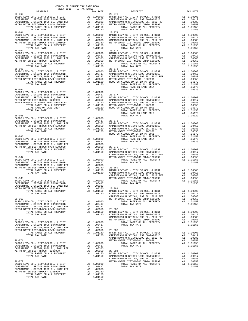| COUNTY OF ORANGE TAX RATE BOOK<br>2017-2018 TRA TAX RATES                    |                     |                         |                              |
|------------------------------------------------------------------------------|---------------------|-------------------------|------------------------------|
| DISTRICT<br>$28 - 060$                                                       |                     | TAX RATE                | $28 - 073$                   |
|                                                                              |                     |                         |                              |
|                                                                              |                     |                         |                              |
|                                                                              |                     |                         |                              |
|                                                                              |                     |                         |                              |
| TOTAL TAX RATE<br>$28 - 061$                                                 |                     | 1.01150                 | $28 - 074$                   |
|                                                                              |                     |                         |                              |
|                                                                              |                     |                         |                              |
|                                                                              |                     |                         |                              |
|                                                                              |                     |                         |                              |
| TOTAL TAX RATE<br>$28 - 062$                                                 |                     | 1.01150                 | $28 - 075$                   |
|                                                                              |                     |                         |                              |
|                                                                              |                     |                         |                              |
|                                                                              |                     |                         |                              |
|                                                                              |                     |                         |                              |
| TOTAL TAX RATE<br>$28 - 063$                                                 |                     | 1.01150                 | $28 - 076$                   |
|                                                                              |                     |                         |                              |
|                                                                              |                     |                         |                              |
|                                                                              |                     |                         |                              |
|                                                                              |                     |                         |                              |
| TOTAL TAX RATE                                                               |                     | 1.01150                 |                              |
| $28 - 064$                                                                   |                     |                         |                              |
|                                                                              |                     |                         |                              |
|                                                                              |                     |                         |                              |
|                                                                              |                     |                         |                              |
|                                                                              |                     |                         |                              |
|                                                                              |                     |                         |                              |
| TOTAL TAX RATE                                                               |                     | 1.29260                 |                              |
|                                                                              |                     |                         |                              |
|                                                                              |                     |                         |                              |
|                                                                              |                     |                         |                              |
|                                                                              |                     |                         |                              |
|                                                                              |                     |                         |                              |
|                                                                              |                     |                         |                              |
| $28 - 066$                                                                   |                     |                         |                              |
|                                                                              |                     |                         |                              |
|                                                                              |                     |                         |                              |
|                                                                              |                     |                         |                              |
|                                                                              |                     |                         |                              |
|                                                                              |                     |                         | CAPISTR                      |
| $28 - 067$                                                                   |                     |                         | METRO W                      |
|                                                                              |                     |                         |                              |
|                                                                              |                     |                         |                              |
|                                                                              |                     |                         | $.00350 28 - 080$<br>BASIC L |
| TOTAL TAX RATE                                                               |                     | 1.01150                 | CAPISTR                      |
| $28 - 068$                                                                   |                     |                         | CAPISTR                      |
|                                                                              |                     |                         | METRO W                      |
|                                                                              |                     |                         |                              |
| METRO WATER DIST-MWDOC- 1205999                                              |                     | A1 .00350 28-081        |                              |
| TOTAL RATES ON ALL PROPERTY                                                  | A1                  | 1.01150                 | BASIC L                      |
| TOTAL TAX RATE                                                               |                     | 1.01150                 | CAPISTR                      |
| $28 - 069$                                                                   |                     |                         | CAPISTR<br>METRO W           |
| BASIC LEVY-CO., CITY, SCHOOL, & DIST                                         | A1                  | 1.00000                 |                              |
| CAPISTRANO U SFID#1 1999 BOND#2001B<br>CAPISTRANO U SFID#1,1999 EL, 2012 REF | A1                  | A1 .00417<br>.00383     |                              |
| METRO WATER DIST-MWDOC CMWD-1205999                                          | A1                  | .00350                  | $28 - 082$                   |
| TOTAL RATES ON ALL PROPERTY                                                  |                     | $A1 \quad 1.01150$      | BASIC L                      |
| TOTAL TAX RATE                                                               |                     | 1.01150                 | CAPISTR<br>CAPISTR           |
| $28 - 070$                                                                   |                     |                         | METRO W                      |
| BASIC LEVY-CO., CITY, SCHOOL, & DIST<br>CAPISTRANO U SFID#1 1999 BOND#2001B  |                     | A1 1.00000              |                              |
| CAPISTRANO U SFID#1,1999 EL, 2012 REF                                        | A1                  | A1.00417<br>.00383      |                              |
| METRO WATER DIST-MWDOC CMWD-1205999                                          | A1                  |                         | $.00350$ $28-083$            |
| TOTAL RATES ON ALL PROPERTY<br>TOTAL TAX RATE                                |                     | A1 1.01150<br>1.01150   | BASIC L<br>CAPISTR           |
|                                                                              |                     |                         | CAPISTR                      |
| $28 - 071$                                                                   |                     |                         | METRO W                      |
| BASIC LEVY-CO., CITY, SCHOOL, & DIST<br>CAPISTRANO U SFID#1 1999 BOND#2001B  |                     | A1 1.00000<br>A1 .00417 |                              |
| CAPISTRANO U SFID#1,1999 EL, 2012 REF                                        | A1                  | .00383                  |                              |
| METRO WATER DIST-MWDOC- 1205999                                              | A1                  | A1 .00350<br>A1 1.01150 | $28 - 084$                   |
| TOTAL RATES ON ALL PROPERTY<br>TOTAL TAX RATE                                |                     | 1.01150                 | BASIC L<br>CAPISTR           |
|                                                                              |                     |                         | CAPISTR                      |
| $28 - 072$<br>BASIC LEVY-CO., CITY, SCHOOL, & DIST                           |                     | A1 1.00000              | METRO W                      |
| CAPISTRANO U SFID#1 1999 BOND#2001B                                          |                     | A1 .00417               |                              |
| CAPISTRANO U SFID#1,1999 EL, 2012 REF<br>METRO WATER DIST-MWDOC- 1205999     | $\mathtt{Al}$<br>A1 | .00383<br>.00350        |                              |
| TOTAL RATES ON ALL PROPERTY                                                  |                     | A1 1.01150              |                              |
| TOTAL TAX RATE                                                               |                     | 1.01150                 |                              |
|                                                                              |                     | $-245-$                 |                              |

| DISTRICT   | CALLENTO TEN TWO LATES<br>TAX RATE | X RATE<br>28-073<br>DISTRICT | TAX RATE |
|------------|------------------------------------|------------------------------|----------|
| $28 - 060$ |                                    |                              |          |
|            |                                    |                              |          |
|            |                                    |                              |          |
|            |                                    |                              |          |
|            |                                    |                              |          |
|            |                                    |                              |          |
|            |                                    |                              |          |
|            |                                    |                              |          |
|            |                                    |                              |          |
|            |                                    |                              |          |
|            |                                    |                              |          |
|            |                                    |                              |          |
|            |                                    |                              |          |
|            |                                    |                              |          |
|            |                                    |                              |          |
|            |                                    |                              |          |
|            |                                    |                              |          |
|            |                                    |                              |          |
|            |                                    |                              |          |
|            |                                    |                              |          |
|            |                                    |                              |          |
|            |                                    |                              |          |
|            |                                    |                              |          |
|            |                                    |                              |          |
|            |                                    |                              |          |
|            |                                    |                              |          |
|            |                                    |                              |          |
|            |                                    |                              |          |
|            |                                    |                              |          |
|            |                                    |                              |          |
|            |                                    |                              |          |
|            |                                    |                              |          |
|            |                                    |                              |          |
|            |                                    |                              |          |
|            |                                    |                              |          |
|            |                                    |                              |          |
|            |                                    |                              |          |
|            |                                    |                              |          |
|            |                                    |                              |          |
|            |                                    |                              |          |
|            |                                    |                              |          |
|            |                                    |                              |          |
|            |                                    |                              |          |
|            |                                    |                              |          |
|            |                                    |                              |          |
|            |                                    |                              |          |
|            |                                    |                              |          |
|            |                                    |                              |          |
|            |                                    |                              |          |
|            |                                    |                              |          |
|            |                                    |                              |          |
|            |                                    |                              |          |
|            |                                    |                              |          |
|            |                                    |                              |          |
|            |                                    |                              |          |
|            |                                    |                              |          |
|            |                                    |                              |          |
|            |                                    |                              |          |
|            |                                    |                              |          |
|            |                                    |                              |          |
|            |                                    |                              |          |
|            |                                    |                              |          |
|            |                                    |                              |          |
|            |                                    |                              |          |
|            |                                    |                              |          |
|            |                                    |                              |          |
|            |                                    |                              |          |
|            |                                    |                              |          |
|            |                                    |                              |          |
|            |                                    |                              |          |

- 
-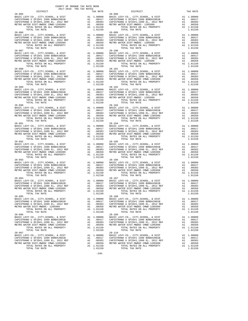| DISTRICT                                                                                                                                           |                                                                                                                                 | TAX RATE                                                                                        |                |
|----------------------------------------------------------------------------------------------------------------------------------------------------|---------------------------------------------------------------------------------------------------------------------------------|-------------------------------------------------------------------------------------------------|----------------|
| $28 - 085$                                                                                                                                         |                                                                                                                                 |                                                                                                 | $28 - 098$     |
|                                                                                                                                                    |                                                                                                                                 |                                                                                                 |                |
|                                                                                                                                                    |                                                                                                                                 |                                                                                                 |                |
|                                                                                                                                                    |                                                                                                                                 |                                                                                                 |                |
|                                                                                                                                                    |                                                                                                                                 |                                                                                                 |                |
|                                                                                                                                                    |                                                                                                                                 |                                                                                                 |                |
|                                                                                                                                                    |                                                                                                                                 |                                                                                                 |                |
| $28 - 086$                                                                                                                                         |                                                                                                                                 |                                                                                                 | $28 - 099$     |
| BASIC LEVY-CO., CITY, SCHOOL, & DIST                                                                                                               | 28-099<br>A1 1.00000 BASIC L<br>A1 .00417 CAPISTR<br>A1 .00383 CAPISTR<br>A1 .00350 METROW<br>A1 1.01150                        |                                                                                                 |                |
| CAPISTRANO U SFID#1 1999 BOND#2001B                                                                                                                |                                                                                                                                 |                                                                                                 |                |
|                                                                                                                                                    |                                                                                                                                 |                                                                                                 |                |
| CAPISTRANO U SFID#1,1999 EL, 2012 REF<br>METRO WATER DIST-MWDOC CMWD-1205000                                                                       |                                                                                                                                 |                                                                                                 |                |
| METRO WATER DIST-MWDOC CMWD-1205999                                                                                                                |                                                                                                                                 |                                                                                                 |                |
| TOTAL RATES ON ALL PROPERTY                                                                                                                        |                                                                                                                                 |                                                                                                 |                |
| TOTAL TAX RATE                                                                                                                                     |                                                                                                                                 | 1.01150                                                                                         |                |
| $28 - 087$                                                                                                                                         |                                                                                                                                 |                                                                                                 | $28 - 100$     |
| BASIC LEVY-CO., CITY, SCHOOL, & DIST                                                                                                               |                                                                                                                                 | A1 1.00000 BASIC L<br>A1 .00417 CAPISTR<br>A1 .00383 CAPISTR<br>A1 .00383 METRO W<br>A1 1.01150 |                |
| CAPISTRANO U SFID#1 1999 BOND#2001B                                                                                                                |                                                                                                                                 |                                                                                                 |                |
| CAPISTRANO U SFID#1,1999 EL, 2012 REF                                                                                                              |                                                                                                                                 |                                                                                                 |                |
| METRO WATER DIST-MWDOC CMWD-1205999                                                                                                                |                                                                                                                                 |                                                                                                 |                |
| TOTAL RATES ON ALL PROPERTY                                                                                                                        |                                                                                                                                 |                                                                                                 |                |
| TOTAL TAX RATE                                                                                                                                     |                                                                                                                                 | 1.01150                                                                                         |                |
| $28 - 088$                                                                                                                                         | 28-101<br>A1 1.00000 BASIC L<br>A1 .00417 CAPISTR<br>A1 .00383 CAPISTR<br>A1 .00380 METRO W<br>A1 1.01150<br>1.01150<br>1.01150 |                                                                                                 |                |
|                                                                                                                                                    |                                                                                                                                 |                                                                                                 |                |
| BASIC LEVY-CO., CITY, SCHOOL, & DIST                                                                                                               |                                                                                                                                 |                                                                                                 |                |
| CAPISTRANO U SFID#1 1999 BOND#2001B<br>CAPISTRANO U SFID#1,1999 EL, 2012 REF<br>METRO WATER DIST-MWDOC CMWD-1205999<br>TOTAL RATES ON ALL PROPERTY |                                                                                                                                 |                                                                                                 |                |
|                                                                                                                                                    |                                                                                                                                 |                                                                                                 |                |
|                                                                                                                                                    |                                                                                                                                 |                                                                                                 |                |
|                                                                                                                                                    |                                                                                                                                 |                                                                                                 |                |
| TOTAL TAX RATE                                                                                                                                     |                                                                                                                                 |                                                                                                 |                |
| $28 - 089$                                                                                                                                         |                                                                                                                                 |                                                                                                 | $28 - 102$     |
| BASIC LEVY-CO., CITY, SCHOOL, & DIST                                                                                                               |                                                                                                                                 |                                                                                                 |                |
| CAPISTRANO U SFID#1 1999 BOND#2001B                                                                                                                |                                                                                                                                 |                                                                                                 |                |
| CAPISTRANO U SFID#1,1999 EL, 2012 REF                                                                                                              |                                                                                                                                 |                                                                                                 |                |
| METRO WATER DIST-MWDOC CMWD-1205999                                                                                                                |                                                                                                                                 |                                                                                                 |                |
|                                                                                                                                                    | A1 1.00000 BASIC L<br>A1 .00417 CAPISTR<br>A1 .00417 CAPISTR<br>A1 .00383 CAPISTR<br>A1 .00150 METRO W<br>A1 1.01150            |                                                                                                 |                |
| TOTAL RATES ON ALL PROPERTY                                                                                                                        |                                                                                                                                 |                                                                                                 |                |
| TOTAL TAX RATE                                                                                                                                     |                                                                                                                                 | 1.01150                                                                                         |                |
| $28 - 090$                                                                                                                                         |                                                                                                                                 |                                                                                                 |                |
| BASIC LEVY-CO., CITY, SCHOOL, & DIST                                                                                                               |                                                                                                                                 |                                                                                                 |                |
| CAPISTRANO U SFID#1 1999 BOND#2001B                                                                                                                | 28-103<br>A1 1.00000 BASIC L<br>A1 .00383 CAPISTR<br>A1 .00383 CAPISTR<br>A1 .00350 METRO W<br>A1 .00350 METRO W<br>A1 1.01150  |                                                                                                 |                |
| CAPISTRANO U SFID#1,1999 EL, 2012 REF<br>METRO WATER DIST-MWDOC CMWD-1205900                                                                       |                                                                                                                                 |                                                                                                 |                |
|                                                                                                                                                    |                                                                                                                                 |                                                                                                 |                |
| TOTAL RATES ON ALL PROPERTY                                                                                                                        |                                                                                                                                 |                                                                                                 |                |
| TOTAL TAX RATE                                                                                                                                     |                                                                                                                                 |                                                                                                 |                |
| $28 - 091$                                                                                                                                         |                                                                                                                                 |                                                                                                 | $28 - 104$     |
|                                                                                                                                                    |                                                                                                                                 |                                                                                                 |                |
|                                                                                                                                                    |                                                                                                                                 |                                                                                                 |                |
|                                                                                                                                                    |                                                                                                                                 |                                                                                                 |                |
|                                                                                                                                                    |                                                                                                                                 |                                                                                                 |                |
|                                                                                                                                                    |                                                                                                                                 |                                                                                                 |                |
|                                                                                                                                                    |                                                                                                                                 |                                                                                                 |                |
| TOTAL TAX RATE                                                                                                                                     |                                                                                                                                 | 1.01150                                                                                         |                |
| $28 - 092$                                                                                                                                         |                                                                                                                                 |                                                                                                 | $28 - 105$     |
| BASIC LEVY-CO., CITY, SCHOOL, & DIST                                                                                                               |                                                                                                                                 |                                                                                                 |                |
| CAPISTRANO U SFID#1 1999 BOND#2001B                                                                                                                |                                                                                                                                 |                                                                                                 |                |
|                                                                                                                                                    |                                                                                                                                 |                                                                                                 |                |
| CAPISTRANO U SFID#1,1999 EL, 2012 REF<br>METRO WATER DIST-MWDOC CMWD-1205999<br>TOTAL BATER ON NI PROPERTY                                         |                                                                                                                                 |                                                                                                 |                |
| TOTAL RATES ON ALL PROPERTY                                                                                                                        |                                                                                                                                 |                                                                                                 |                |
| TOTAL TAX RATE                                                                                                                                     | 28-105<br>A1 1.00000 BASIC L<br>A1 .00417 CAPISTR<br>A1 .00383 CAPISTR<br>A1 .00350 METROW<br>A1 1.01150                        | 1.01150                                                                                         |                |
| $28 - 093$                                                                                                                                         |                                                                                                                                 |                                                                                                 | $28 - 106$     |
|                                                                                                                                                    |                                                                                                                                 |                                                                                                 |                |
|                                                                                                                                                    |                                                                                                                                 |                                                                                                 |                |
|                                                                                                                                                    |                                                                                                                                 |                                                                                                 |                |
|                                                                                                                                                    |                                                                                                                                 |                                                                                                 |                |
|                                                                                                                                                    |                                                                                                                                 |                                                                                                 |                |
|                                                                                                                                                    |                                                                                                                                 |                                                                                                 |                |
| TOTAL TAX RATE                                                                                                                                     |                                                                                                                                 | 1.01150                                                                                         |                |
| $28 - 094$                                                                                                                                         | 28-107<br>A1 1.00000 BASIC L<br>A1 .00417 CAPISTR<br>A1 .00383 CAPISTR<br>A1 .00350 METRO W<br>A1 1.01150<br>1.01150            |                                                                                                 |                |
| BASIC LEVY-CO., CITY, SCHOOL, & DIST                                                                                                               |                                                                                                                                 |                                                                                                 |                |
| CAPISTRANO U SFID#1 1999 BOND#2001B                                                                                                                |                                                                                                                                 |                                                                                                 |                |
| CAPISTRANO U SFID#1,1999 EL, 2012 REF<br>METRO WATER DIST-MWDOC CMWD-1205999                                                                       |                                                                                                                                 |                                                                                                 |                |
| METRO WATER DIST-MWDOC CMWD-1205999                                                                                                                |                                                                                                                                 |                                                                                                 |                |
| TOTAL RATES ON ALL PROPERTY                                                                                                                        |                                                                                                                                 |                                                                                                 |                |
| TOTAL TAX RATE                                                                                                                                     |                                                                                                                                 |                                                                                                 |                |
| $28 - 095$                                                                                                                                         |                                                                                                                                 |                                                                                                 | $28 - 108$     |
| BASIC LEVY-CO., CITY, SCHOOL, & DIST                                                                                                               |                                                                                                                                 | A1 1.00000                                                                                      | BASIC L        |
| CAPISTRANO U SFID#1 1999 BOND#2001B                                                                                                                |                                                                                                                                 | A1 .00417                                                                                       | CAPISTR        |
| CAPISTRANO U SFID#1,1999 EL, 2012 REF                                                                                                              | A1                                                                                                                              | .00383                                                                                          | CAPISTR        |
| METRO WATER DIST-MWDOC- 1205999                                                                                                                    | A1                                                                                                                              | .00350                                                                                          |                |
|                                                                                                                                                    |                                                                                                                                 |                                                                                                 | METRO W        |
| TOTAL RATES ON ALL PROPERTY                                                                                                                        |                                                                                                                                 | A1 1.01150                                                                                      |                |
| TOTAL TAX RATE                                                                                                                                     |                                                                                                                                 | 1.01150                                                                                         |                |
| $28 - 096$                                                                                                                                         |                                                                                                                                 |                                                                                                 | $28 - 109$     |
| BASIC LEVY-CO., CITY, SCHOOL, & DIST                                                                                                               |                                                                                                                                 | A1 1.00000                                                                                      | BASIC L        |
| CAPISTRANO U SFID#1 1999 BOND#2001B                                                                                                                |                                                                                                                                 | A1 .00417                                                                                       | CAPISTR        |
| CAPISTRANO U SFID#1,1999 EL, 2012 REF                                                                                                              | A1                                                                                                                              | .00383                                                                                          | CAPISTR        |
| METRO WATER DIST-MWDOC CMWD-1205999                                                                                                                | A1                                                                                                                              | .00350                                                                                          | METRO W        |
| TOTAL RATES ON ALL PROPERTY                                                                                                                        |                                                                                                                                 | A1 1.01150                                                                                      |                |
| TOTAL TAX RATE                                                                                                                                     |                                                                                                                                 | 1.01150                                                                                         |                |
| $28 - 097$                                                                                                                                         |                                                                                                                                 |                                                                                                 | $28 - 110$     |
|                                                                                                                                                    |                                                                                                                                 |                                                                                                 |                |
| BASIC LEVY-CO., CITY, SCHOOL, & DIST                                                                                                               | A1                                                                                                                              | 1.00000                                                                                         | BASIC L        |
| CAPISTRANO U SFID#1 1999 BOND#2001B                                                                                                                |                                                                                                                                 | A1 .00417                                                                                       | CAPISTR        |
| CAPISTRANO U SFID#1,1999 EL, 2012 REF                                                                                                              | A1                                                                                                                              |                                                                                                 | .00383 CAPISTR |

| TOTAL TAX RATE | 1.01150 | TOTAL RATES ON ALL PROPERTY AND ALL AND TOTAL RATES ON ALL PROPERTY AND ALL ACTION ALL AND ALL AND ALL AND ALL AND ALL AND ALL AND ALL AND ALL AND ALL AND ALL AND ALL AND ALL AND ALL AND ALL AND ALL AND ALL AND ALL AND ALL<br>TOTAL TAX RATE | 1.01150 |
|----------------|---------|--------------------------------------------------------------------------------------------------------------------------------------------------------------------------------------------------------------------------------------------------|---------|
| $28 - 095$     |         | $28 - 108$                                                                                                                                                                                                                                       |         |
|                |         |                                                                                                                                                                                                                                                  |         |
|                |         |                                                                                                                                                                                                                                                  |         |
|                |         |                                                                                                                                                                                                                                                  |         |
|                |         |                                                                                                                                                                                                                                                  |         |
|                |         |                                                                                                                                                                                                                                                  |         |
| $28 - 096$     |         | $28 - 109$                                                                                                                                                                                                                                       |         |
|                |         |                                                                                                                                                                                                                                                  |         |
|                |         |                                                                                                                                                                                                                                                  |         |
|                |         |                                                                                                                                                                                                                                                  |         |
| TOTAL TAX RATE | 1.01150 | TOTAL TAX RATE                                                                                                                                                                                                                                   | 1.01150 |
| $28 - 097$     |         | $28 - 110$                                                                                                                                                                                                                                       |         |
|                |         |                                                                                                                                                                                                                                                  |         |
|                |         |                                                                                                                                                                                                                                                  |         |
|                |         |                                                                                                                                                                                                                                                  |         |
|                |         |                                                                                                                                                                                                                                                  |         |
|                |         |                                                                                                                                                                                                                                                  |         |

 $-246-$ 

COUNTY OF ORANGE TAX RATE BOOK 2017-2018 TRA TAX RATES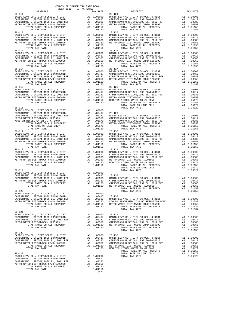|            | DISTRICT                                                                                                                                                                                                     |                        | TAX RATE                                                                                                         |                                            |
|------------|--------------------------------------------------------------------------------------------------------------------------------------------------------------------------------------------------------------|------------------------|------------------------------------------------------------------------------------------------------------------|--------------------------------------------|
| $28 - 111$ | TOTAL TAX RATE                                                                                                                                                                                               |                        | 1.01150                                                                                                          | $28 - 124$                                 |
| $28 - 112$ | TOTAL TAX RATE                                                                                                                                                                                               |                        | 1.01150                                                                                                          | $28 - 125$                                 |
| $28 - 113$ |                                                                                                                                                                                                              |                        |                                                                                                                  | $28 - 126$                                 |
| $28 - 114$ | TOTAL TAX RATE                                                                                                                                                                                               |                        | 1.01150                                                                                                          | $28 - 127$                                 |
| $28 - 115$ | TOTAL TAX RATE                                                                                                                                                                                               |                        | 1.01150                                                                                                          | 28-128                                     |
| $28 - 116$ | TOTAL TAX RATE                                                                                                                                                                                               |                        | A4 .05179<br>1.06329                                                                                             |                                            |
| $28 - 117$ | TOTAL TAX RATE                                                                                                                                                                                               |                        | 1.01150                                                                                                          | $28 - 130$                                 |
| $28 - 118$ | TOTAL TAX RATE                                                                                                                                                                                               |                        | 1.01150                                                                                                          | $28 - 131$                                 |
|            |                                                                                                                                                                                                              |                        |                                                                                                                  |                                            |
| $28 - 120$ | BASIC LEVY-CO., CITY, SCHOOL, & DIST<br>CAPISTRANO U SFID#1 1999 BOND#2001B<br>CAPISTRANO U SFID#1,1999 EL, 2012 REF<br>METRO WATER DIST-MWDOC CMWD-1205999<br>TOTAL RATES ON ALL PROPERTY<br>TOTAL TAX RATE | A1<br>A1               | A1 1.00000<br>A1 .00417<br>.00383<br>.00350<br>A1 1.01150<br>1.01150                                             | $28 - 133$<br>BASIC L<br>LAGUNA<br>METRO W |
| $28 - 121$ | BASIC LEVY-CO., CITY, SCHOOL, & DIST<br>CAPISTRANO U SFID#1 1999 BOND#2001B<br>CAPISTRANO U SFID#1,1999 EL, 2012 REF<br>METRO WATER DIST-MWDOC- 1205999<br>TOTAL RATES ON ALL PROPERTY<br>TOTAL TAX RATE     | A1<br>A1               | A1 1.00000 28-134<br>A1.00417<br>A1 .00383 CAPISTR<br>A1 .00350 CAPISTR<br>A1 1.01150 METROW<br>1.01150          | BASIC L                                    |
| $28 - 122$ | BASIC LEVY-CO., CITY, SCHOOL, & DIST<br>CAPISTRANO U SFID#1 1999 BOND#2001B<br>CAPISTRANO U SFID#1,1999 EL, 2012 REF<br>METRO WATER DIST-MWDOC CMWD-1205999<br>TOTAL RATES ON ALL PROPERTY<br>TOTAL TAX RATE | A1<br>A1               | A1 1.00000 28-135<br>A1 .00417 BASIC L<br>A1 .00417<br>.00383<br>.00350<br>A1 1.01150 METRO W<br>1.01150 MOULTON | CAPISTR<br>CAPISTR                         |
| $28 - 123$ | BASIC LEVY-CO., CITY, SCHOOL, & DIST<br>CAPISTRANO U SFID#1 1999 BOND#2001B<br>CAPISTRANO U SFID#1,1999 EL, 2012 REF<br>METRO WATER DIST-MWDOC CMWD-1205999<br>TOTAL RATES ON ALL PROPERTY<br>TOTAL TAX RATE | A1 1.00000<br>A1<br>A1 | A1 .00417<br>.00383<br>.00350<br>A1 1.01150<br>1.01150                                                           |                                            |

| $\begin{tabular}{l c c c c c} \multicolumn{1}{c}{DISTRICT} & \multicolumn{1}{c}{\textbf{DISTRICT}} & \multicolumn{1}{c}{\textbf{TAX RATE}} & \multicolumn{1}{c}{\textbf{DISTRICT}} & \multicolumn{1}{c}{\textbf{TAX RATE}} & \multicolumn{1}{c}{\textbf{DISTRICT}} & \multicolumn{1}{c}{\textbf{TAX RATE}} & \multicolumn{1}{c}{\textbf{DISTRICT}} & \multicolumn{1}{c}{\textbf{TAX RATE}} & \multicolumn{1}{c}{\textbf{DISTRICT}} & \multicolumn{1}{c}{\textbf{TAX R$ |                |         |
|------------------------------------------------------------------------------------------------------------------------------------------------------------------------------------------------------------------------------------------------------------------------------------------------------------------------------------------------------------------------------------------------------------------------------------------------------------------------|----------------|---------|
|                                                                                                                                                                                                                                                                                                                                                                                                                                                                        |                |         |
|                                                                                                                                                                                                                                                                                                                                                                                                                                                                        |                |         |
|                                                                                                                                                                                                                                                                                                                                                                                                                                                                        |                |         |
|                                                                                                                                                                                                                                                                                                                                                                                                                                                                        |                |         |
|                                                                                                                                                                                                                                                                                                                                                                                                                                                                        |                |         |
| $28 - 117$                                                                                                                                                                                                                                                                                                                                                                                                                                                             | $28 - 130$     |         |
|                                                                                                                                                                                                                                                                                                                                                                                                                                                                        |                |         |
|                                                                                                                                                                                                                                                                                                                                                                                                                                                                        |                |         |
|                                                                                                                                                                                                                                                                                                                                                                                                                                                                        | TOTAL TAX RATE | 1.01637 |
| $\begin{tabular}{lllllllllllllllllllll} \texttt{28-121} & \texttt{BASIC LEVY-CO.}, & \texttt{CITY}, \texttt{SCHOOL}, & \texttt{E DIST} & \texttt{A1} & 1.00000 & 28-134 \\ \texttt{BASIC LEVY-CO.}, & \texttt{CITY}, \texttt{SCHOOL}, & \texttt{E DIST} & \texttt{A1} & 1.00000 \\ \texttt{CAPISTRANO U SFID#1,1999 EL}, & 2012 REF & \texttt{A1} & .00383 & \texttt{CAPISTRANO U SFID#1,1999 EL}, & 20$                                                               | TOTAL TAX RATE | 1.01150 |
|                                                                                                                                                                                                                                                                                                                                                                                                                                                                        |                |         |
|                                                                                                                                                                                                                                                                                                                                                                                                                                                                        |                |         |

 $-247-$ 

COUNTY OF ORANGE TAX RATE BOOK 2017-2018 TRA TAX RATES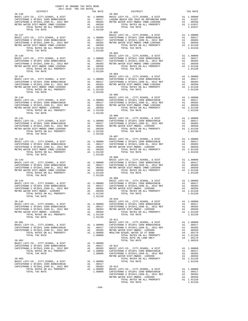| TRA TAX RATES<br>TAX RATE $29-001$ DISTRICT<br>DISTRICT                                                                                                                                                                                                                                                                                                                                                                                                                                                                                                                                                                                                                                                                                                      | TAX RATE |
|--------------------------------------------------------------------------------------------------------------------------------------------------------------------------------------------------------------------------------------------------------------------------------------------------------------------------------------------------------------------------------------------------------------------------------------------------------------------------------------------------------------------------------------------------------------------------------------------------------------------------------------------------------------------------------------------------------------------------------------------------------------|----------|
|                                                                                                                                                                                                                                                                                                                                                                                                                                                                                                                                                                                                                                                                                                                                                              |          |
|                                                                                                                                                                                                                                                                                                                                                                                                                                                                                                                                                                                                                                                                                                                                                              |          |
|                                                                                                                                                                                                                                                                                                                                                                                                                                                                                                                                                                                                                                                                                                                                                              |          |
|                                                                                                                                                                                                                                                                                                                                                                                                                                                                                                                                                                                                                                                                                                                                                              |          |
|                                                                                                                                                                                                                                                                                                                                                                                                                                                                                                                                                                                                                                                                                                                                                              |          |
| $\begin{tabular}{c c c c c} \multicolumn{4}{c c c c} \multicolumn{4}{c c c} \multicolumn{4}{c c c} \multicolumn{4}{c c c} \multicolumn{4}{c c c} \multicolumn{4}{c c c} \multicolumn{4}{c c c} \multicolumn{4}{c c c} \multicolumn{4}{c c c} \multicolumn{4}{c c c} \multicolumn{4}{c c c} \multicolumn{4}{c c c} \multicolumn{4}{c c c} \multicolumn{4}{c c c} \multicolumn{4}{c c c} \multicolumn{4}{$                                                                                                                                                                                                                                                                                                                                                     |          |
|                                                                                                                                                                                                                                                                                                                                                                                                                                                                                                                                                                                                                                                                                                                                                              |          |
|                                                                                                                                                                                                                                                                                                                                                                                                                                                                                                                                                                                                                                                                                                                                                              |          |
|                                                                                                                                                                                                                                                                                                                                                                                                                                                                                                                                                                                                                                                                                                                                                              |          |
|                                                                                                                                                                                                                                                                                                                                                                                                                                                                                                                                                                                                                                                                                                                                                              |          |
|                                                                                                                                                                                                                                                                                                                                                                                                                                                                                                                                                                                                                                                                                                                                                              |          |
|                                                                                                                                                                                                                                                                                                                                                                                                                                                                                                                                                                                                                                                                                                                                                              |          |
|                                                                                                                                                                                                                                                                                                                                                                                                                                                                                                                                                                                                                                                                                                                                                              |          |
|                                                                                                                                                                                                                                                                                                                                                                                                                                                                                                                                                                                                                                                                                                                                                              |          |
|                                                                                                                                                                                                                                                                                                                                                                                                                                                                                                                                                                                                                                                                                                                                                              |          |
|                                                                                                                                                                                                                                                                                                                                                                                                                                                                                                                                                                                                                                                                                                                                                              |          |
|                                                                                                                                                                                                                                                                                                                                                                                                                                                                                                                                                                                                                                                                                                                                                              |          |
|                                                                                                                                                                                                                                                                                                                                                                                                                                                                                                                                                                                                                                                                                                                                                              |          |
|                                                                                                                                                                                                                                                                                                                                                                                                                                                                                                                                                                                                                                                                                                                                                              |          |
|                                                                                                                                                                                                                                                                                                                                                                                                                                                                                                                                                                                                                                                                                                                                                              |          |
|                                                                                                                                                                                                                                                                                                                                                                                                                                                                                                                                                                                                                                                                                                                                                              |          |
|                                                                                                                                                                                                                                                                                                                                                                                                                                                                                                                                                                                                                                                                                                                                                              |          |
|                                                                                                                                                                                                                                                                                                                                                                                                                                                                                                                                                                                                                                                                                                                                                              |          |
|                                                                                                                                                                                                                                                                                                                                                                                                                                                                                                                                                                                                                                                                                                                                                              |          |
|                                                                                                                                                                                                                                                                                                                                                                                                                                                                                                                                                                                                                                                                                                                                                              |          |
|                                                                                                                                                                                                                                                                                                                                                                                                                                                                                                                                                                                                                                                                                                                                                              |          |
|                                                                                                                                                                                                                                                                                                                                                                                                                                                                                                                                                                                                                                                                                                                                                              |          |
| $\begin{tabular}{cccccc} {\bf 28-140} & {\bf 1.01150} & {\bf 1.01150} & {\bf 1.01150} & {\bf 1.01150} & {\bf 1.01150} & {\bf 1.01150} & {\bf 1.01150} & {\bf 1.01150} & {\bf 1.01150} & {\bf 1.01150} & {\bf 1.01150} & {\bf 1.01150} & {\bf 1.01150} & {\bf 1.01150} & {\bf 1.01150} & {\bf 1.01150} & {\bf 1.011$                                                                                                                                                                                                                                                                                                                                                                                                                                          |          |
|                                                                                                                                                                                                                                                                                                                                                                                                                                                                                                                                                                                                                                                                                                                                                              |          |
|                                                                                                                                                                                                                                                                                                                                                                                                                                                                                                                                                                                                                                                                                                                                                              |          |
|                                                                                                                                                                                                                                                                                                                                                                                                                                                                                                                                                                                                                                                                                                                                                              |          |
|                                                                                                                                                                                                                                                                                                                                                                                                                                                                                                                                                                                                                                                                                                                                                              |          |
| $\begin{tabular}{c c c c c} \multicolumn{4}{c c c c} \multicolumn{4}{c c c} \multicolumn{4}{c c c} \multicolumn{4}{c c c} \multicolumn{4}{c c c} \multicolumn{4}{c c c} \multicolumn{4}{c c c} \multicolumn{4}{c c c} \multicolumn{4}{c c c} \multicolumn{4}{c c c} \multicolumn{4}{c c c} \multicolumn{4}{c c c} \multicolumn{4}{c c c} \multicolumn{4}{c c c} \multicolumn{4}{c c c} \multicolumn{4}{$                                                                                                                                                                                                                                                                                                                                                     |          |
|                                                                                                                                                                                                                                                                                                                                                                                                                                                                                                                                                                                                                                                                                                                                                              |          |
|                                                                                                                                                                                                                                                                                                                                                                                                                                                                                                                                                                                                                                                                                                                                                              |          |
|                                                                                                                                                                                                                                                                                                                                                                                                                                                                                                                                                                                                                                                                                                                                                              |          |
|                                                                                                                                                                                                                                                                                                                                                                                                                                                                                                                                                                                                                                                                                                                                                              |          |
|                                                                                                                                                                                                                                                                                                                                                                                                                                                                                                                                                                                                                                                                                                                                                              |          |
| $\begin{tabular}{c c c c c} \multicolumn{4}{c c c} {\bf 1.01150} & \multicolumn{4}{c c c} {\bf 29-008} & \multicolumn{4}{c c c} {\bf 1.01150} & \multicolumn{4}{c c c} {\bf 29-008} & \multicolumn{4}{c c c} {\bf 29-008} & \multicolumn{4}{c c c} {\bf 29-008} & \multicolumn{4}{c c c} {\bf 29-008} & \multicolumn{4}{c c c} {\bf 29-008} & \multicolumn{4}{c c$                                                                                                                                                                                                                                                                                                                                                                                           |          |
|                                                                                                                                                                                                                                                                                                                                                                                                                                                                                                                                                                                                                                                                                                                                                              |          |
|                                                                                                                                                                                                                                                                                                                                                                                                                                                                                                                                                                                                                                                                                                                                                              |          |
|                                                                                                                                                                                                                                                                                                                                                                                                                                                                                                                                                                                                                                                                                                                                                              |          |
|                                                                                                                                                                                                                                                                                                                                                                                                                                                                                                                                                                                                                                                                                                                                                              |          |
|                                                                                                                                                                                                                                                                                                                                                                                                                                                                                                                                                                                                                                                                                                                                                              |          |
|                                                                                                                                                                                                                                                                                                                                                                                                                                                                                                                                                                                                                                                                                                                                                              |          |
|                                                                                                                                                                                                                                                                                                                                                                                                                                                                                                                                                                                                                                                                                                                                                              |          |
|                                                                                                                                                                                                                                                                                                                                                                                                                                                                                                                                                                                                                                                                                                                                                              |          |
|                                                                                                                                                                                                                                                                                                                                                                                                                                                                                                                                                                                                                                                                                                                                                              |          |
|                                                                                                                                                                                                                                                                                                                                                                                                                                                                                                                                                                                                                                                                                                                                                              |          |
|                                                                                                                                                                                                                                                                                                                                                                                                                                                                                                                                                                                                                                                                                                                                                              |          |
|                                                                                                                                                                                                                                                                                                                                                                                                                                                                                                                                                                                                                                                                                                                                                              |          |
|                                                                                                                                                                                                                                                                                                                                                                                                                                                                                                                                                                                                                                                                                                                                                              |          |
|                                                                                                                                                                                                                                                                                                                                                                                                                                                                                                                                                                                                                                                                                                                                                              |          |
|                                                                                                                                                                                                                                                                                                                                                                                                                                                                                                                                                                                                                                                                                                                                                              |          |
| $29 - 011$                                                                                                                                                                                                                                                                                                                                                                                                                                                                                                                                                                                                                                                                                                                                                   |          |
|                                                                                                                                                                                                                                                                                                                                                                                                                                                                                                                                                                                                                                                                                                                                                              |          |
|                                                                                                                                                                                                                                                                                                                                                                                                                                                                                                                                                                                                                                                                                                                                                              |          |
|                                                                                                                                                                                                                                                                                                                                                                                                                                                                                                                                                                                                                                                                                                                                                              |          |
|                                                                                                                                                                                                                                                                                                                                                                                                                                                                                                                                                                                                                                                                                                                                                              |          |
|                                                                                                                                                                                                                                                                                                                                                                                                                                                                                                                                                                                                                                                                                                                                                              |          |
|                                                                                                                                                                                                                                                                                                                                                                                                                                                                                                                                                                                                                                                                                                                                                              |          |
|                                                                                                                                                                                                                                                                                                                                                                                                                                                                                                                                                                                                                                                                                                                                                              |          |
|                                                                                                                                                                                                                                                                                                                                                                                                                                                                                                                                                                                                                                                                                                                                                              |          |
|                                                                                                                                                                                                                                                                                                                                                                                                                                                                                                                                                                                                                                                                                                                                                              |          |
|                                                                                                                                                                                                                                                                                                                                                                                                                                                                                                                                                                                                                                                                                                                                                              |          |
|                                                                                                                                                                                                                                                                                                                                                                                                                                                                                                                                                                                                                                                                                                                                                              |          |
|                                                                                                                                                                                                                                                                                                                                                                                                                                                                                                                                                                                                                                                                                                                                                              |          |
|                                                                                                                                                                                                                                                                                                                                                                                                                                                                                                                                                                                                                                                                                                                                                              |          |
|                                                                                                                                                                                                                                                                                                                                                                                                                                                                                                                                                                                                                                                                                                                                                              |          |
|                                                                                                                                                                                                                                                                                                                                                                                                                                                                                                                                                                                                                                                                                                                                                              |          |
|                                                                                                                                                                                                                                                                                                                                                                                                                                                                                                                                                                                                                                                                                                                                                              |          |
| 2ADESTRANO U SFID#1 1999 BOND#2001B<br>CAPISTRANO U SFID#1 1999 BOND#2001B<br>CAPISTRANO U SFID#1,1999 BL, 2012 REF<br>CAPISTRANO U SFID#1,1999 BL, 2012 REF<br>CAPISTRANO U SFID#1,1999 BL, 2012 REF<br>CAPISTRANO U SFID#1,1999 BL, 20<br>$\begin{tabular}{c cccc} \multicolumn{4}{c}{\begin{tabular}{c} \multicolumn{4}{c}{\begin{tabular}{c} \multicolumn{4}{c}{\begin{tabular}{c} \multicolumn{4}{c}{\begin{tabular}{c} \multicolumn{4}{c}{\begin{tabular}{c} \multicolumn{4}{c}{\begin{tabular}{c} \multicolumn{4}{c}{\begin{tabular}{c} \multicolumn{4}{c}{\begin{tabular}{c} \multicolumn{4}{c}{\begin{tabular}{c} \multicolumn{4}{c}{\begin{tabular}{c} \multicolumn{4}{c}{\begin{tabular}{c} \multicolumn{4}{c}{\begin{tabular}{c} \multicolumn{4$ |          |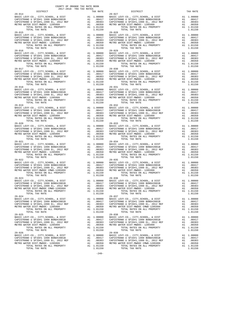| DISTRICT                                                                     |                                                                                                                                 | TAX RATE   |            |
|------------------------------------------------------------------------------|---------------------------------------------------------------------------------------------------------------------------------|------------|------------|
| $29 - 014$                                                                   |                                                                                                                                 |            | $29 - 027$ |
|                                                                              |                                                                                                                                 |            |            |
|                                                                              |                                                                                                                                 |            |            |
|                                                                              |                                                                                                                                 |            |            |
|                                                                              |                                                                                                                                 |            |            |
|                                                                              |                                                                                                                                 |            |            |
|                                                                              |                                                                                                                                 |            |            |
|                                                                              |                                                                                                                                 |            |            |
| $29 - 015$                                                                   |                                                                                                                                 |            | $29 - 028$ |
|                                                                              |                                                                                                                                 |            |            |
|                                                                              |                                                                                                                                 |            |            |
|                                                                              |                                                                                                                                 |            |            |
|                                                                              |                                                                                                                                 |            |            |
|                                                                              |                                                                                                                                 |            |            |
|                                                                              |                                                                                                                                 |            |            |
| $29 - 016$                                                                   |                                                                                                                                 |            | 29-029     |
|                                                                              |                                                                                                                                 |            |            |
|                                                                              |                                                                                                                                 |            |            |
|                                                                              |                                                                                                                                 |            |            |
|                                                                              |                                                                                                                                 |            |            |
|                                                                              |                                                                                                                                 |            |            |
|                                                                              |                                                                                                                                 |            |            |
| TOTAL TAX RATE                                                               |                                                                                                                                 | 1.01150    |            |
|                                                                              |                                                                                                                                 |            |            |
|                                                                              |                                                                                                                                 |            |            |
|                                                                              |                                                                                                                                 |            |            |
|                                                                              |                                                                                                                                 |            |            |
|                                                                              |                                                                                                                                 |            |            |
|                                                                              |                                                                                                                                 |            |            |
|                                                                              |                                                                                                                                 |            |            |
|                                                                              |                                                                                                                                 |            |            |
|                                                                              |                                                                                                                                 |            |            |
|                                                                              |                                                                                                                                 |            |            |
|                                                                              |                                                                                                                                 |            |            |
|                                                                              |                                                                                                                                 |            |            |
|                                                                              |                                                                                                                                 |            |            |
|                                                                              |                                                                                                                                 |            |            |
|                                                                              |                                                                                                                                 |            |            |
|                                                                              |                                                                                                                                 |            |            |
|                                                                              |                                                                                                                                 |            |            |
|                                                                              |                                                                                                                                 |            |            |
|                                                                              |                                                                                                                                 |            |            |
|                                                                              |                                                                                                                                 |            |            |
|                                                                              |                                                                                                                                 |            |            |
|                                                                              |                                                                                                                                 |            |            |
|                                                                              |                                                                                                                                 |            |            |
|                                                                              |                                                                                                                                 |            |            |
|                                                                              |                                                                                                                                 |            |            |
|                                                                              |                                                                                                                                 |            |            |
|                                                                              |                                                                                                                                 |            |            |
|                                                                              |                                                                                                                                 |            |            |
|                                                                              |                                                                                                                                 |            |            |
|                                                                              |                                                                                                                                 |            |            |
|                                                                              |                                                                                                                                 |            |            |
| TOTAL TAX RATE                                                               |                                                                                                                                 | 1.01150    |            |
| $29 - 021$                                                                   |                                                                                                                                 |            | $29 - 034$ |
|                                                                              |                                                                                                                                 |            |            |
|                                                                              |                                                                                                                                 |            |            |
|                                                                              |                                                                                                                                 |            |            |
|                                                                              |                                                                                                                                 |            |            |
|                                                                              |                                                                                                                                 |            |            |
|                                                                              |                                                                                                                                 |            |            |
|                                                                              |                                                                                                                                 |            |            |
| $29 - 022$                                                                   |                                                                                                                                 |            | $29 - 035$ |
|                                                                              |                                                                                                                                 |            |            |
|                                                                              |                                                                                                                                 |            |            |
|                                                                              |                                                                                                                                 |            |            |
|                                                                              |                                                                                                                                 |            |            |
|                                                                              |                                                                                                                                 |            |            |
|                                                                              |                                                                                                                                 |            |            |
| TOTAL TAX RATE                                                               |                                                                                                                                 | 1.01150    |            |
| $29 - 023$                                                                   |                                                                                                                                 |            |            |
| BASIC LEVY-CO., CITY, SCHOOL, & DIST                                         |                                                                                                                                 |            |            |
| CAPISTRANO U SFID#1 1999 BOND#2001B                                          |                                                                                                                                 |            |            |
| CAPISTRANO U SFID#1,1999 EL, 2012 REF<br>METRO WATER DIST-MWDOC CMWD-1205999 | 29-036<br>A1 1.00000 BASIC L<br>A1 .00417 CAPISTR<br>A1 .00383 CAPISTR<br>A1 .00383 METRO W<br>A1 1.01150<br>1.01150<br>1.01150 |            |            |
| METRO WATER DIST-MWDOC CMWD-1205999                                          |                                                                                                                                 |            |            |
|                                                                              |                                                                                                                                 |            |            |
| TOTAL RATES ON ALL PROPERTY                                                  |                                                                                                                                 |            |            |
| TOTAL TAX RATE                                                               |                                                                                                                                 |            |            |
| $29 - 024$                                                                   |                                                                                                                                 |            | $29 - 037$ |
| BASIC LEVY-CO., CITY, SCHOOL, & DIST                                         |                                                                                                                                 | A1 1.00000 | BASIC L    |
| CAPISTRANO U SFID#1 1999 BOND#2001B                                          |                                                                                                                                 | A1 .00417  | CAPISTR    |
| CAPISTRANO U SFID#1,1999 EL, 2012 REF                                        | A1                                                                                                                              | .00383     | CAPISTR    |
| METRO WATER DIST-MWDOC- 1205999                                              | A1                                                                                                                              | .00350     | METRO W    |
| TOTAL RATES ON ALL PROPERTY                                                  |                                                                                                                                 | A1 1.01150 |            |
|                                                                              |                                                                                                                                 |            |            |
| TOTAL TAX RATE                                                               |                                                                                                                                 | 1.01150    |            |
| $29 - 025$                                                                   |                                                                                                                                 |            | $29 - 038$ |
| BASIC LEVY-CO., CITY, SCHOOL, & DIST                                         | A1                                                                                                                              | 1.00000    | BASIC L    |
| CAPISTRANO U SFID#1 1999 BOND#2001B                                          |                                                                                                                                 | A1 .00417  | CAPISTR    |
| CAPISTRANO U SFID#1,1999 EL, 2012 REF                                        | A1                                                                                                                              | .00383     | CAPISTR    |
| METRO WATER DIST-MWDOC- 1205999                                              | A1                                                                                                                              | .00350     | METRO W    |
| TOTAL RATES ON ALL PROPERTY                                                  |                                                                                                                                 | A1 1.01150 |            |
|                                                                              |                                                                                                                                 |            |            |
| TOTAL TAX RATE                                                               |                                                                                                                                 | 1.01150    |            |
| $29 - 026$                                                                   |                                                                                                                                 |            | $29 - 039$ |
| BASIC LEVY-CO., CITY, SCHOOL, & DIST                                         | A1                                                                                                                              | 1.00000    | BASIC L    |
| CAPISTRANO U SFID#1 1999 BOND#2001B                                          | A1                                                                                                                              | .00417     | CAPISTR    |
| CAPISTRANO U SFID#1,1999 EL, 2012 REF                                        | A1                                                                                                                              | .00383     | CAPISTR    |
| $\cdots$<br>$\tau$ am<br>0000000                                             | 5.1                                                                                                                             | 00250      | normC      |

| DISTRICT   | ZUI/-ZUI6 IRA IAA KAILS | TAX RATE | DISTRICT   | TAX RATE |
|------------|-------------------------|----------|------------|----------|
| $29 - 014$ |                         |          | $29 - 027$ |          |
|            |                         |          |            |          |
|            |                         |          |            |          |
|            |                         |          |            |          |
|            |                         |          |            |          |
| $29 - 015$ |                         |          | $29 - 028$ |          |
|            |                         |          |            |          |
|            |                         |          |            |          |
|            |                         |          |            |          |
|            |                         |          |            |          |
|            |                         |          |            |          |
|            |                         |          |            |          |
|            |                         |          |            |          |
|            |                         |          |            |          |
|            |                         |          |            |          |
|            |                         |          |            |          |
| $29 - 017$ |                         |          | $29 - 030$ |          |
|            |                         |          |            |          |
|            |                         |          |            |          |
|            |                         |          |            |          |
|            |                         |          |            |          |
|            |                         |          |            |          |
|            |                         |          |            |          |
|            |                         |          |            |          |
|            |                         |          |            |          |
|            |                         |          |            |          |
|            |                         |          |            |          |
| $29 - 019$ |                         |          | $29 - 032$ |          |
|            |                         |          |            |          |
|            |                         |          |            |          |
|            |                         |          |            |          |
|            |                         |          |            |          |
|            |                         |          |            |          |
|            |                         |          |            |          |
|            |                         |          |            |          |
|            |                         |          |            |          |
|            |                         |          |            |          |
|            |                         |          |            |          |
| $29 - 021$ |                         |          | $29 - 034$ |          |
|            |                         |          |            |          |
|            |                         |          |            |          |
|            |                         |          |            |          |
|            |                         |          |            |          |
|            |                         |          |            |          |
|            |                         |          |            |          |
|            |                         |          |            |          |
|            |                         |          |            |          |
|            |                         |          |            |          |
|            |                         |          |            |          |
| $29 - 023$ |                         |          | $29 - 036$ |          |
|            |                         |          |            |          |
|            |                         |          |            |          |
|            |                         |          |            |          |
|            |                         |          |            |          |
| $29 - 024$ |                         |          | $29 - 037$ |          |
|            |                         |          |            |          |
|            |                         |          |            |          |
|            |                         |          |            |          |
|            |                         |          |            |          |
|            |                         |          |            |          |
| $29 - 025$ |                         |          | $29 - 038$ |          |
|            |                         |          |            |          |
|            |                         |          |            |          |
|            |                         |          |            |          |
|            |                         |          |            |          |
|            |                         |          |            |          |
|            |                         |          |            |          |
|            |                         |          |            |          |
|            |                         |          |            |          |
|            |                         |          |            |          |
|            |                         |          |            | 1.01150  |

 $-249-$ 

COUNTY OF ORANGE TAX RATE BOOK 2017-2018 TRA TAX RATES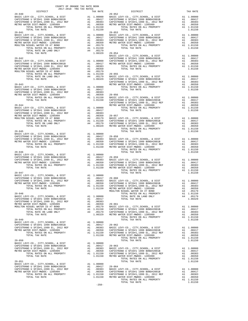| $\begin{minipage}{.03\linewidth} \begin{tabular}{lcccc} \multicolumn{2}{c}{. & \multicolumn{2}{c}{. & \multicolumn{2}{c}{. & \multicolumn{2}{c}{. & \multicolumn{2}{c}{. & \multicolumn{2}{c}{. & \multicolumn{2}{c}{. & \multicolumn{2}{c}{. & \multicolumn{2}{c}{. & \multicolumn{2}{c}{. & \multicolumn{2}{c}{. & \multicolumn{2}{c}{. & \multicolumn{2}{c}{. & \multicolumn{2}{c}{. & \multicolumn{2}{c}{. & \multicolumn{2}{c}{. & \multicolumn{2}{c}{. & \multicolumn{2}{c}{. &$            |  |                                                                                                                                                                                                                                                                                             | TAX RATE |  |
|---------------------------------------------------------------------------------------------------------------------------------------------------------------------------------------------------------------------------------------------------------------------------------------------------------------------------------------------------------------------------------------------------------------------------------------------------------------------------------------------------|--|---------------------------------------------------------------------------------------------------------------------------------------------------------------------------------------------------------------------------------------------------------------------------------------------|----------|--|
| $29 - 040$                                                                                                                                                                                                                                                                                                                                                                                                                                                                                        |  | TRA TAX RATES<br>TAX RATE 29-052 DISTRICT                                                                                                                                                                                                                                                   |          |  |
|                                                                                                                                                                                                                                                                                                                                                                                                                                                                                                   |  |                                                                                                                                                                                                                                                                                             |          |  |
|                                                                                                                                                                                                                                                                                                                                                                                                                                                                                                   |  |                                                                                                                                                                                                                                                                                             |          |  |
|                                                                                                                                                                                                                                                                                                                                                                                                                                                                                                   |  |                                                                                                                                                                                                                                                                                             |          |  |
|                                                                                                                                                                                                                                                                                                                                                                                                                                                                                                   |  |                                                                                                                                                                                                                                                                                             |          |  |
|                                                                                                                                                                                                                                                                                                                                                                                                                                                                                                   |  |                                                                                                                                                                                                                                                                                             |          |  |
|                                                                                                                                                                                                                                                                                                                                                                                                                                                                                                   |  |                                                                                                                                                                                                                                                                                             |          |  |
|                                                                                                                                                                                                                                                                                                                                                                                                                                                                                                   |  |                                                                                                                                                                                                                                                                                             |          |  |
|                                                                                                                                                                                                                                                                                                                                                                                                                                                                                                   |  |                                                                                                                                                                                                                                                                                             |          |  |
|                                                                                                                                                                                                                                                                                                                                                                                                                                                                                                   |  |                                                                                                                                                                                                                                                                                             |          |  |
|                                                                                                                                                                                                                                                                                                                                                                                                                                                                                                   |  |                                                                                                                                                                                                                                                                                             |          |  |
|                                                                                                                                                                                                                                                                                                                                                                                                                                                                                                   |  |                                                                                                                                                                                                                                                                                             |          |  |
|                                                                                                                                                                                                                                                                                                                                                                                                                                                                                                   |  |                                                                                                                                                                                                                                                                                             |          |  |
|                                                                                                                                                                                                                                                                                                                                                                                                                                                                                                   |  |                                                                                                                                                                                                                                                                                             |          |  |
|                                                                                                                                                                                                                                                                                                                                                                                                                                                                                                   |  |                                                                                                                                                                                                                                                                                             |          |  |
|                                                                                                                                                                                                                                                                                                                                                                                                                                                                                                   |  |                                                                                                                                                                                                                                                                                             |          |  |
|                                                                                                                                                                                                                                                                                                                                                                                                                                                                                                   |  |                                                                                                                                                                                                                                                                                             |          |  |
|                                                                                                                                                                                                                                                                                                                                                                                                                                                                                                   |  |                                                                                                                                                                                                                                                                                             |          |  |
|                                                                                                                                                                                                                                                                                                                                                                                                                                                                                                   |  |                                                                                                                                                                                                                                                                                             |          |  |
|                                                                                                                                                                                                                                                                                                                                                                                                                                                                                                   |  |                                                                                                                                                                                                                                                                                             |          |  |
|                                                                                                                                                                                                                                                                                                                                                                                                                                                                                                   |  |                                                                                                                                                                                                                                                                                             |          |  |
|                                                                                                                                                                                                                                                                                                                                                                                                                                                                                                   |  |                                                                                                                                                                                                                                                                                             |          |  |
|                                                                                                                                                                                                                                                                                                                                                                                                                                                                                                   |  |                                                                                                                                                                                                                                                                                             |          |  |
|                                                                                                                                                                                                                                                                                                                                                                                                                                                                                                   |  |                                                                                                                                                                                                                                                                                             |          |  |
|                                                                                                                                                                                                                                                                                                                                                                                                                                                                                                   |  |                                                                                                                                                                                                                                                                                             |          |  |
|                                                                                                                                                                                                                                                                                                                                                                                                                                                                                                   |  |                                                                                                                                                                                                                                                                                             |          |  |
|                                                                                                                                                                                                                                                                                                                                                                                                                                                                                                   |  |                                                                                                                                                                                                                                                                                             |          |  |
|                                                                                                                                                                                                                                                                                                                                                                                                                                                                                                   |  |                                                                                                                                                                                                                                                                                             |          |  |
|                                                                                                                                                                                                                                                                                                                                                                                                                                                                                                   |  |                                                                                                                                                                                                                                                                                             |          |  |
|                                                                                                                                                                                                                                                                                                                                                                                                                                                                                                   |  |                                                                                                                                                                                                                                                                                             |          |  |
|                                                                                                                                                                                                                                                                                                                                                                                                                                                                                                   |  |                                                                                                                                                                                                                                                                                             |          |  |
|                                                                                                                                                                                                                                                                                                                                                                                                                                                                                                   |  |                                                                                                                                                                                                                                                                                             |          |  |
|                                                                                                                                                                                                                                                                                                                                                                                                                                                                                                   |  | $\begin{tabular}{@{}c@{}}\hline\hline\hbox{TVAL RIC BICE W-CO, CUTY, GUCO, L. DCP \\ 29-042 & 22-042 & 22-042 & 22-04 & 22-04 & 22-04 & 22-04 & 22-04 & 22-04 & 22-04 & 22-04 & 22-04 & 22-04 & 22-04 & 22-04 & 22-04 & 22-04 & 22-04 & 22-04 & 22-04 & 22-04 & 22-04 & 22-04 & 22-04 & 22$ |          |  |
|                                                                                                                                                                                                                                                                                                                                                                                                                                                                                                   |  |                                                                                                                                                                                                                                                                                             |          |  |
|                                                                                                                                                                                                                                                                                                                                                                                                                                                                                                   |  |                                                                                                                                                                                                                                                                                             |          |  |
|                                                                                                                                                                                                                                                                                                                                                                                                                                                                                                   |  |                                                                                                                                                                                                                                                                                             |          |  |
|                                                                                                                                                                                                                                                                                                                                                                                                                                                                                                   |  |                                                                                                                                                                                                                                                                                             |          |  |
|                                                                                                                                                                                                                                                                                                                                                                                                                                                                                                   |  |                                                                                                                                                                                                                                                                                             |          |  |
|                                                                                                                                                                                                                                                                                                                                                                                                                                                                                                   |  |                                                                                                                                                                                                                                                                                             |          |  |
|                                                                                                                                                                                                                                                                                                                                                                                                                                                                                                   |  |                                                                                                                                                                                                                                                                                             |          |  |
|                                                                                                                                                                                                                                                                                                                                                                                                                                                                                                   |  |                                                                                                                                                                                                                                                                                             |          |  |
|                                                                                                                                                                                                                                                                                                                                                                                                                                                                                                   |  |                                                                                                                                                                                                                                                                                             |          |  |
|                                                                                                                                                                                                                                                                                                                                                                                                                                                                                                   |  |                                                                                                                                                                                                                                                                                             |          |  |
|                                                                                                                                                                                                                                                                                                                                                                                                                                                                                                   |  |                                                                                                                                                                                                                                                                                             |          |  |
|                                                                                                                                                                                                                                                                                                                                                                                                                                                                                                   |  |                                                                                                                                                                                                                                                                                             |          |  |
|                                                                                                                                                                                                                                                                                                                                                                                                                                                                                                   |  |                                                                                                                                                                                                                                                                                             |          |  |
|                                                                                                                                                                                                                                                                                                                                                                                                                                                                                                   |  |                                                                                                                                                                                                                                                                                             |          |  |
|                                                                                                                                                                                                                                                                                                                                                                                                                                                                                                   |  |                                                                                                                                                                                                                                                                                             |          |  |
|                                                                                                                                                                                                                                                                                                                                                                                                                                                                                                   |  |                                                                                                                                                                                                                                                                                             |          |  |
|                                                                                                                                                                                                                                                                                                                                                                                                                                                                                                   |  |                                                                                                                                                                                                                                                                                             |          |  |
|                                                                                                                                                                                                                                                                                                                                                                                                                                                                                                   |  |                                                                                                                                                                                                                                                                                             |          |  |
|                                                                                                                                                                                                                                                                                                                                                                                                                                                                                                   |  |                                                                                                                                                                                                                                                                                             |          |  |
|                                                                                                                                                                                                                                                                                                                                                                                                                                                                                                   |  |                                                                                                                                                                                                                                                                                             |          |  |
|                                                                                                                                                                                                                                                                                                                                                                                                                                                                                                   |  |                                                                                                                                                                                                                                                                                             |          |  |
|                                                                                                                                                                                                                                                                                                                                                                                                                                                                                                   |  |                                                                                                                                                                                                                                                                                             |          |  |
|                                                                                                                                                                                                                                                                                                                                                                                                                                                                                                   |  |                                                                                                                                                                                                                                                                                             |          |  |
|                                                                                                                                                                                                                                                                                                                                                                                                                                                                                                   |  |                                                                                                                                                                                                                                                                                             |          |  |
|                                                                                                                                                                                                                                                                                                                                                                                                                                                                                                   |  |                                                                                                                                                                                                                                                                                             |          |  |
|                                                                                                                                                                                                                                                                                                                                                                                                                                                                                                   |  |                                                                                                                                                                                                                                                                                             |          |  |
|                                                                                                                                                                                                                                                                                                                                                                                                                                                                                                   |  |                                                                                                                                                                                                                                                                                             |          |  |
|                                                                                                                                                                                                                                                                                                                                                                                                                                                                                                   |  |                                                                                                                                                                                                                                                                                             |          |  |
|                                                                                                                                                                                                                                                                                                                                                                                                                                                                                                   |  |                                                                                                                                                                                                                                                                                             |          |  |
|                                                                                                                                                                                                                                                                                                                                                                                                                                                                                                   |  |                                                                                                                                                                                                                                                                                             |          |  |
|                                                                                                                                                                                                                                                                                                                                                                                                                                                                                                   |  |                                                                                                                                                                                                                                                                                             |          |  |
|                                                                                                                                                                                                                                                                                                                                                                                                                                                                                                   |  |                                                                                                                                                                                                                                                                                             |          |  |
|                                                                                                                                                                                                                                                                                                                                                                                                                                                                                                   |  |                                                                                                                                                                                                                                                                                             |          |  |
|                                                                                                                                                                                                                                                                                                                                                                                                                                                                                                   |  |                                                                                                                                                                                                                                                                                             |          |  |
|                                                                                                                                                                                                                                                                                                                                                                                                                                                                                                   |  |                                                                                                                                                                                                                                                                                             |          |  |
|                                                                                                                                                                                                                                                                                                                                                                                                                                                                                                   |  |                                                                                                                                                                                                                                                                                             |          |  |
|                                                                                                                                                                                                                                                                                                                                                                                                                                                                                                   |  |                                                                                                                                                                                                                                                                                             |          |  |
|                                                                                                                                                                                                                                                                                                                                                                                                                                                                                                   |  |                                                                                                                                                                                                                                                                                             |          |  |
|                                                                                                                                                                                                                                                                                                                                                                                                                                                                                                   |  |                                                                                                                                                                                                                                                                                             |          |  |
|                                                                                                                                                                                                                                                                                                                                                                                                                                                                                                   |  |                                                                                                                                                                                                                                                                                             |          |  |
| $\begin{tabular}{l c c c c c} \multicolumn{1}{c}{\textbf{DTAL TAX RATE}} \end{tabular} \begin{tabular}{llllll} \multicolumn{1}{c}{\textbf{TOTAL TAX RATE}} \end{tabular} \begin{tabular}{llllllllll} \multicolumn{1}{c}{\textbf{DTAL TAX RATE}} \end{tabular} \begin{tabular}{llllllllllll} \multicolumn{1}{c}{\textbf{DTAL TAX RATE}} \end{tabular} \begin{tabular}{llllllllllllll} \multicolumn{1}{c}{\textbf{DTAL TAX RATE}} \end{tabular} \begin{tabular}{llllllllllllllllll} \multicolumn{1$ |  |                                                                                                                                                                                                                                                                                             |          |  |

-250-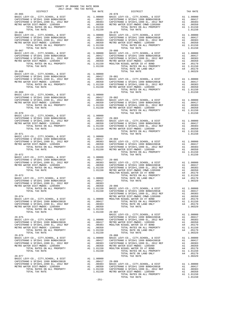| COUNTY OF ORANGE TAX RATE BOOK<br>2017-2018 TRA TAX RATES<br>DISTRICT                                                                                                                                                  |                       | TAX RATE                                                                                                     |                                  |
|------------------------------------------------------------------------------------------------------------------------------------------------------------------------------------------------------------------------|-----------------------|--------------------------------------------------------------------------------------------------------------|----------------------------------|
|                                                                                                                                                                                                                        |                       |                                                                                                              |                                  |
| $29 - 066$                                                                                                                                                                                                             |                       |                                                                                                              | $29 - 079$                       |
|                                                                                                                                                                                                                        |                       |                                                                                                              |                                  |
|                                                                                                                                                                                                                        |                       |                                                                                                              |                                  |
|                                                                                                                                                                                                                        |                       |                                                                                                              |                                  |
| $29 - 069$                                                                                                                                                                                                             |                       |                                                                                                              |                                  |
| $29 - 070$                                                                                                                                                                                                             |                       |                                                                                                              |                                  |
| $29 - 071$                                                                                                                                                                                                             |                       |                                                                                                              |                                  |
|                                                                                                                                                                                                                        |                       |                                                                                                              |                                  |
| $29 - 073$<br>TOTAL RATES ON ALL PROPERTY<br>TOTAL TAX RATE                                                                                                                                                            |                       | A1 1.01150 BASIC L<br>1.01150                                                                                | CAPISTR<br>CAPISTR               |
| $29 - 074$<br>BASIC LEVY-CO., CITY, SCHOOL, & DIST<br>CAPISTRANO U SFID#1 1999 BOND#2001B<br>CAPISTRANO U SFID#1,1999 EL, 2012 REF<br>METRO WATER DIST-MWDOC- 1205999<br>TOTAL RATES ON ALL PROPERTY<br>TOTAL TAX RATE | A1<br>A1              | A1 1.00000 MOULTON<br>A1.00417<br>.00383<br>.00350<br>A1 1.01150<br>1.01150                                  | METRO W<br>29-087                |
| $29 - 075$<br>BASIC LEVY-CO., CITY, SCHOOL, & DIST<br>CAPISTRANO U SFID#1 1999 BOND#2001B<br>CAPISTRANO U SFID#1,1999 EL, 2012 REF<br>METRO WATER DIST-MWDOC- 1205999<br>TOTAL RATES ON ALL PROPERTY<br>TOTAL TAX RATE | A1                    | A1 1.00000<br>A1 1.00000 CAPISIR<br>A1 .00417 METROW<br>A1 .00383 MOULTON<br>.00350<br>A1 1.01150<br>1.01150 | BASIC L<br>CAPISTR<br>CAPISTR    |
| $29 - 076$<br>BASIC LEVY-CO., CITY, SCHOOL, & DIST<br>CAPISTRANO U SFID#1 1999 BOND#2001B<br>CAPISTRANO U SFID#1,1999 EL, 2012 REF<br>METRO WATER DIST-MWDOC- 1205999<br>TOTAL RATES ON ALL PROPERTY<br>TOTAL TAX RATE | A1<br>A1              | A1 1.00000 BASIC L<br>A1.00417<br>.00383<br>A1 .00350 METRO W<br>A1 1.01150 MOULTON<br>1.01150               | $29 - 088$<br>CAPISTR<br>CAPISTR |
| $29 - 077$<br>BASIC LEVY-CO., CITY, SCHOOL, & DIST<br>CAPISTRANO U SFID#1 1999 BOND#2001B<br>CAPISTRANO U SFID#1,1999 EL, 2012 REF<br>METRO WATER DIST-MWDOC- 1205999<br>TOTAL RATES ON ALL PROPERTY<br>TOTAL TAX RATE | A1<br>$\overline{A1}$ | A1 1.00000<br>A1.00417<br>A1 .00350 CAPISTR<br>A1 1.01150 CAPISTR<br>1.01150 METROW                          | .00417 29-089<br>.00383 BASIC L  |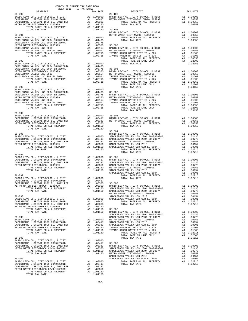| $\begin{minipage}{.4\linewidth} \begin{tabular}{lcccccc} & & & & & & & \\ & & & & & & \\ \hline & & & & & & \\ \hline \texttt{DISTRICT} & & & & & \\ \end{tabular}$<br>TRA TAX RATES TAX RATE DISTRICT $29-102$<br>$29 - 090$<br>29–090 EXERCIBY CO., CITY, SCHOOL, & DIST<br>CAPISTRANO U SFID#1 1999 BOND#2001B A1 1.00000 BASIC LEVY-CO., CITY, SCHOOL, & DIST<br>CAPISTRANO U SFID#1 1999 BOND#2001B A1 .00417 METRO WATER DIST-MWDOC CMWD-1205999 A1 .00350<br>C<br>$29 - 094$<br>1.01150<br>TOTAL TAX RATE<br>$\begin{tabular}{c c c c c} \multicolumn{4}{c }{\text{\small{7077L\textsmall{}}}}\begin{tabular}{c c c c} \multicolumn{4}{c }{\text{\small{7077L\textsmall{}}}}\begin{tabular}{c} \multicolumn{4}{c }{\text{\small{7077L\small{}}}}\begin{tabular}{c} \multicolumn{4}{c }{\text{\small{707L\small{}}}}\begin{tabular}{c} \multicolumn{4}{c }{\text{\small{8.81}}}\begin{tabular}{c} \multicolumn{4}{c }{\text{\small{8.81}}}\begin{tabular}{c} \multicolumn{4}{c $ | TAX RATE |  |
|----------------------------------------------------------------------------------------------------------------------------------------------------------------------------------------------------------------------------------------------------------------------------------------------------------------------------------------------------------------------------------------------------------------------------------------------------------------------------------------------------------------------------------------------------------------------------------------------------------------------------------------------------------------------------------------------------------------------------------------------------------------------------------------------------------------------------------------------------------------------------------------------------------------------------------------------------------------------------------------|----------|--|
|                                                                                                                                                                                                                                                                                                                                                                                                                                                                                                                                                                                                                                                                                                                                                                                                                                                                                                                                                                                        |          |  |
|                                                                                                                                                                                                                                                                                                                                                                                                                                                                                                                                                                                                                                                                                                                                                                                                                                                                                                                                                                                        |          |  |
|                                                                                                                                                                                                                                                                                                                                                                                                                                                                                                                                                                                                                                                                                                                                                                                                                                                                                                                                                                                        |          |  |
|                                                                                                                                                                                                                                                                                                                                                                                                                                                                                                                                                                                                                                                                                                                                                                                                                                                                                                                                                                                        |          |  |
|                                                                                                                                                                                                                                                                                                                                                                                                                                                                                                                                                                                                                                                                                                                                                                                                                                                                                                                                                                                        |          |  |
|                                                                                                                                                                                                                                                                                                                                                                                                                                                                                                                                                                                                                                                                                                                                                                                                                                                                                                                                                                                        |          |  |
|                                                                                                                                                                                                                                                                                                                                                                                                                                                                                                                                                                                                                                                                                                                                                                                                                                                                                                                                                                                        |          |  |
|                                                                                                                                                                                                                                                                                                                                                                                                                                                                                                                                                                                                                                                                                                                                                                                                                                                                                                                                                                                        |          |  |
|                                                                                                                                                                                                                                                                                                                                                                                                                                                                                                                                                                                                                                                                                                                                                                                                                                                                                                                                                                                        |          |  |
|                                                                                                                                                                                                                                                                                                                                                                                                                                                                                                                                                                                                                                                                                                                                                                                                                                                                                                                                                                                        |          |  |
|                                                                                                                                                                                                                                                                                                                                                                                                                                                                                                                                                                                                                                                                                                                                                                                                                                                                                                                                                                                        |          |  |
|                                                                                                                                                                                                                                                                                                                                                                                                                                                                                                                                                                                                                                                                                                                                                                                                                                                                                                                                                                                        |          |  |
|                                                                                                                                                                                                                                                                                                                                                                                                                                                                                                                                                                                                                                                                                                                                                                                                                                                                                                                                                                                        |          |  |
|                                                                                                                                                                                                                                                                                                                                                                                                                                                                                                                                                                                                                                                                                                                                                                                                                                                                                                                                                                                        |          |  |
|                                                                                                                                                                                                                                                                                                                                                                                                                                                                                                                                                                                                                                                                                                                                                                                                                                                                                                                                                                                        |          |  |
|                                                                                                                                                                                                                                                                                                                                                                                                                                                                                                                                                                                                                                                                                                                                                                                                                                                                                                                                                                                        |          |  |
|                                                                                                                                                                                                                                                                                                                                                                                                                                                                                                                                                                                                                                                                                                                                                                                                                                                                                                                                                                                        |          |  |
|                                                                                                                                                                                                                                                                                                                                                                                                                                                                                                                                                                                                                                                                                                                                                                                                                                                                                                                                                                                        |          |  |
|                                                                                                                                                                                                                                                                                                                                                                                                                                                                                                                                                                                                                                                                                                                                                                                                                                                                                                                                                                                        |          |  |
|                                                                                                                                                                                                                                                                                                                                                                                                                                                                                                                                                                                                                                                                                                                                                                                                                                                                                                                                                                                        |          |  |
|                                                                                                                                                                                                                                                                                                                                                                                                                                                                                                                                                                                                                                                                                                                                                                                                                                                                                                                                                                                        |          |  |
|                                                                                                                                                                                                                                                                                                                                                                                                                                                                                                                                                                                                                                                                                                                                                                                                                                                                                                                                                                                        |          |  |
|                                                                                                                                                                                                                                                                                                                                                                                                                                                                                                                                                                                                                                                                                                                                                                                                                                                                                                                                                                                        |          |  |
|                                                                                                                                                                                                                                                                                                                                                                                                                                                                                                                                                                                                                                                                                                                                                                                                                                                                                                                                                                                        |          |  |
|                                                                                                                                                                                                                                                                                                                                                                                                                                                                                                                                                                                                                                                                                                                                                                                                                                                                                                                                                                                        |          |  |
|                                                                                                                                                                                                                                                                                                                                                                                                                                                                                                                                                                                                                                                                                                                                                                                                                                                                                                                                                                                        |          |  |
|                                                                                                                                                                                                                                                                                                                                                                                                                                                                                                                                                                                                                                                                                                                                                                                                                                                                                                                                                                                        |          |  |
|                                                                                                                                                                                                                                                                                                                                                                                                                                                                                                                                                                                                                                                                                                                                                                                                                                                                                                                                                                                        |          |  |
|                                                                                                                                                                                                                                                                                                                                                                                                                                                                                                                                                                                                                                                                                                                                                                                                                                                                                                                                                                                        |          |  |
|                                                                                                                                                                                                                                                                                                                                                                                                                                                                                                                                                                                                                                                                                                                                                                                                                                                                                                                                                                                        |          |  |
|                                                                                                                                                                                                                                                                                                                                                                                                                                                                                                                                                                                                                                                                                                                                                                                                                                                                                                                                                                                        |          |  |
|                                                                                                                                                                                                                                                                                                                                                                                                                                                                                                                                                                                                                                                                                                                                                                                                                                                                                                                                                                                        |          |  |
|                                                                                                                                                                                                                                                                                                                                                                                                                                                                                                                                                                                                                                                                                                                                                                                                                                                                                                                                                                                        |          |  |
|                                                                                                                                                                                                                                                                                                                                                                                                                                                                                                                                                                                                                                                                                                                                                                                                                                                                                                                                                                                        |          |  |
|                                                                                                                                                                                                                                                                                                                                                                                                                                                                                                                                                                                                                                                                                                                                                                                                                                                                                                                                                                                        |          |  |
|                                                                                                                                                                                                                                                                                                                                                                                                                                                                                                                                                                                                                                                                                                                                                                                                                                                                                                                                                                                        |          |  |
|                                                                                                                                                                                                                                                                                                                                                                                                                                                                                                                                                                                                                                                                                                                                                                                                                                                                                                                                                                                        |          |  |
|                                                                                                                                                                                                                                                                                                                                                                                                                                                                                                                                                                                                                                                                                                                                                                                                                                                                                                                                                                                        |          |  |
|                                                                                                                                                                                                                                                                                                                                                                                                                                                                                                                                                                                                                                                                                                                                                                                                                                                                                                                                                                                        |          |  |
| $29 - 096$                                                                                                                                                                                                                                                                                                                                                                                                                                                                                                                                                                                                                                                                                                                                                                                                                                                                                                                                                                             |          |  |
|                                                                                                                                                                                                                                                                                                                                                                                                                                                                                                                                                                                                                                                                                                                                                                                                                                                                                                                                                                                        |          |  |
|                                                                                                                                                                                                                                                                                                                                                                                                                                                                                                                                                                                                                                                                                                                                                                                                                                                                                                                                                                                        |          |  |
|                                                                                                                                                                                                                                                                                                                                                                                                                                                                                                                                                                                                                                                                                                                                                                                                                                                                                                                                                                                        |          |  |
|                                                                                                                                                                                                                                                                                                                                                                                                                                                                                                                                                                                                                                                                                                                                                                                                                                                                                                                                                                                        |          |  |
|                                                                                                                                                                                                                                                                                                                                                                                                                                                                                                                                                                                                                                                                                                                                                                                                                                                                                                                                                                                        |          |  |
|                                                                                                                                                                                                                                                                                                                                                                                                                                                                                                                                                                                                                                                                                                                                                                                                                                                                                                                                                                                        |          |  |
|                                                                                                                                                                                                                                                                                                                                                                                                                                                                                                                                                                                                                                                                                                                                                                                                                                                                                                                                                                                        |          |  |
|                                                                                                                                                                                                                                                                                                                                                                                                                                                                                                                                                                                                                                                                                                                                                                                                                                                                                                                                                                                        |          |  |
|                                                                                                                                                                                                                                                                                                                                                                                                                                                                                                                                                                                                                                                                                                                                                                                                                                                                                                                                                                                        |          |  |
|                                                                                                                                                                                                                                                                                                                                                                                                                                                                                                                                                                                                                                                                                                                                                                                                                                                                                                                                                                                        |          |  |
|                                                                                                                                                                                                                                                                                                                                                                                                                                                                                                                                                                                                                                                                                                                                                                                                                                                                                                                                                                                        |          |  |
|                                                                                                                                                                                                                                                                                                                                                                                                                                                                                                                                                                                                                                                                                                                                                                                                                                                                                                                                                                                        |          |  |
|                                                                                                                                                                                                                                                                                                                                                                                                                                                                                                                                                                                                                                                                                                                                                                                                                                                                                                                                                                                        |          |  |
|                                                                                                                                                                                                                                                                                                                                                                                                                                                                                                                                                                                                                                                                                                                                                                                                                                                                                                                                                                                        |          |  |
|                                                                                                                                                                                                                                                                                                                                                                                                                                                                                                                                                                                                                                                                                                                                                                                                                                                                                                                                                                                        |          |  |
|                                                                                                                                                                                                                                                                                                                                                                                                                                                                                                                                                                                                                                                                                                                                                                                                                                                                                                                                                                                        |          |  |
|                                                                                                                                                                                                                                                                                                                                                                                                                                                                                                                                                                                                                                                                                                                                                                                                                                                                                                                                                                                        |          |  |
|                                                                                                                                                                                                                                                                                                                                                                                                                                                                                                                                                                                                                                                                                                                                                                                                                                                                                                                                                                                        |          |  |
|                                                                                                                                                                                                                                                                                                                                                                                                                                                                                                                                                                                                                                                                                                                                                                                                                                                                                                                                                                                        |          |  |
|                                                                                                                                                                                                                                                                                                                                                                                                                                                                                                                                                                                                                                                                                                                                                                                                                                                                                                                                                                                        |          |  |
|                                                                                                                                                                                                                                                                                                                                                                                                                                                                                                                                                                                                                                                                                                                                                                                                                                                                                                                                                                                        |          |  |
| $\begin{tabular}{@{}c@{\thinspace}c@{\thinspace}c@{\thinspace}c@{\thinspace}c@{\thinspace}c@{\thinspace}c@{\thinspace}c@{\thinspace}c@{\thinspace}c@{\thinspace}c@{\thinspace}c@{\thinspace}c@{\thinspace}c@{\thinspace}c@{\thinspace}c@{\thinspace}c@{\thinspace}c@{\thinspace}c@{\thinspace}c@{\thinspace}c@{\thinspace}c@{\thinspace}c@{\thinspace}c@{\thinspace}c@{\thinspace}c@{\thinspace}c@{\thinspace}c@{\thinspace}c@{\thinspace}c@{\thinspace}c@{\thinspace}c@{\thinspace}c@{\thinspace}c@{\thinspace}c@{\thinspace}c@$                                                                                                                                                                                                                                                                                                                                                                                                                                                      |          |  |
|                                                                                                                                                                                                                                                                                                                                                                                                                                                                                                                                                                                                                                                                                                                                                                                                                                                                                                                                                                                        |          |  |
|                                                                                                                                                                                                                                                                                                                                                                                                                                                                                                                                                                                                                                                                                                                                                                                                                                                                                                                                                                                        |          |  |
|                                                                                                                                                                                                                                                                                                                                                                                                                                                                                                                                                                                                                                                                                                                                                                                                                                                                                                                                                                                        |          |  |
|                                                                                                                                                                                                                                                                                                                                                                                                                                                                                                                                                                                                                                                                                                                                                                                                                                                                                                                                                                                        |          |  |
|                                                                                                                                                                                                                                                                                                                                                                                                                                                                                                                                                                                                                                                                                                                                                                                                                                                                                                                                                                                        |          |  |
|                                                                                                                                                                                                                                                                                                                                                                                                                                                                                                                                                                                                                                                                                                                                                                                                                                                                                                                                                                                        |          |  |
|                                                                                                                                                                                                                                                                                                                                                                                                                                                                                                                                                                                                                                                                                                                                                                                                                                                                                                                                                                                        |          |  |
|                                                                                                                                                                                                                                                                                                                                                                                                                                                                                                                                                                                                                                                                                                                                                                                                                                                                                                                                                                                        |          |  |
|                                                                                                                                                                                                                                                                                                                                                                                                                                                                                                                                                                                                                                                                                                                                                                                                                                                                                                                                                                                        |          |  |
|                                                                                                                                                                                                                                                                                                                                                                                                                                                                                                                                                                                                                                                                                                                                                                                                                                                                                                                                                                                        |          |  |
|                                                                                                                                                                                                                                                                                                                                                                                                                                                                                                                                                                                                                                                                                                                                                                                                                                                                                                                                                                                        |          |  |
|                                                                                                                                                                                                                                                                                                                                                                                                                                                                                                                                                                                                                                                                                                                                                                                                                                                                                                                                                                                        |          |  |

-252-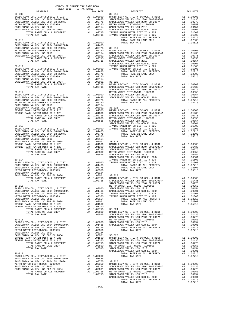| COUNTY OF ORANGE TAX RATE BOOK<br>$\begin{tabular}{lllllll} & $\textsc{--}\xspace$ & $\textsc{--}\xspace$ & $\textsc{--}\xspace$ & $\textsc{--}\xspace$ & $\textsc{--}\xspace$ & $\textsc{--}\xspace$ & $\textsc{--}\xspace$ & $\textsc{--}\xspace$ & $\textsc{--}\xspace$ & $\textsc{--}\xspace$ & $\textsc{--}\xspace$ & $\textsc{--}\xspace$ & $\textsc{--}\xspace$ & $\textsc{--}\xspace$ & $\textsc{--}\xspace$ & $\textsc{--}\xspace$ & $\textsc{--}\xspace$ & $\textsc{--}\xspace$ & $\textsc{--}\xspace$ & $\textsc{--}\xspace$ & $\textsc{--}\xspace$ |  | TAX RATE |
|----------------------------------------------------------------------------------------------------------------------------------------------------------------------------------------------------------------------------------------------------------------------------------------------------------------------------------------------------------------------------------------------------------------------------------------------------------------------------------------------------------------------------------------------------------------|--|----------|
|                                                                                                                                                                                                                                                                                                                                                                                                                                                                                                                                                                |  |          |
|                                                                                                                                                                                                                                                                                                                                                                                                                                                                                                                                                                |  |          |
|                                                                                                                                                                                                                                                                                                                                                                                                                                                                                                                                                                |  |          |
|                                                                                                                                                                                                                                                                                                                                                                                                                                                                                                                                                                |  |          |
|                                                                                                                                                                                                                                                                                                                                                                                                                                                                                                                                                                |  |          |
|                                                                                                                                                                                                                                                                                                                                                                                                                                                                                                                                                                |  |          |
|                                                                                                                                                                                                                                                                                                                                                                                                                                                                                                                                                                |  |          |
|                                                                                                                                                                                                                                                                                                                                                                                                                                                                                                                                                                |  |          |
|                                                                                                                                                                                                                                                                                                                                                                                                                                                                                                                                                                |  |          |
|                                                                                                                                                                                                                                                                                                                                                                                                                                                                                                                                                                |  |          |
|                                                                                                                                                                                                                                                                                                                                                                                                                                                                                                                                                                |  |          |
|                                                                                                                                                                                                                                                                                                                                                                                                                                                                                                                                                                |  |          |
|                                                                                                                                                                                                                                                                                                                                                                                                                                                                                                                                                                |  |          |
|                                                                                                                                                                                                                                                                                                                                                                                                                                                                                                                                                                |  |          |
|                                                                                                                                                                                                                                                                                                                                                                                                                                                                                                                                                                |  |          |
|                                                                                                                                                                                                                                                                                                                                                                                                                                                                                                                                                                |  |          |
|                                                                                                                                                                                                                                                                                                                                                                                                                                                                                                                                                                |  |          |
|                                                                                                                                                                                                                                                                                                                                                                                                                                                                                                                                                                |  |          |
|                                                                                                                                                                                                                                                                                                                                                                                                                                                                                                                                                                |  |          |
|                                                                                                                                                                                                                                                                                                                                                                                                                                                                                                                                                                |  |          |
|                                                                                                                                                                                                                                                                                                                                                                                                                                                                                                                                                                |  |          |
|                                                                                                                                                                                                                                                                                                                                                                                                                                                                                                                                                                |  |          |
|                                                                                                                                                                                                                                                                                                                                                                                                                                                                                                                                                                |  |          |
|                                                                                                                                                                                                                                                                                                                                                                                                                                                                                                                                                                |  |          |
|                                                                                                                                                                                                                                                                                                                                                                                                                                                                                                                                                                |  |          |
|                                                                                                                                                                                                                                                                                                                                                                                                                                                                                                                                                                |  |          |
|                                                                                                                                                                                                                                                                                                                                                                                                                                                                                                                                                                |  |          |
|                                                                                                                                                                                                                                                                                                                                                                                                                                                                                                                                                                |  |          |
|                                                                                                                                                                                                                                                                                                                                                                                                                                                                                                                                                                |  |          |
|                                                                                                                                                                                                                                                                                                                                                                                                                                                                                                                                                                |  |          |
|                                                                                                                                                                                                                                                                                                                                                                                                                                                                                                                                                                |  |          |
|                                                                                                                                                                                                                                                                                                                                                                                                                                                                                                                                                                |  |          |
|                                                                                                                                                                                                                                                                                                                                                                                                                                                                                                                                                                |  |          |
|                                                                                                                                                                                                                                                                                                                                                                                                                                                                                                                                                                |  |          |
|                                                                                                                                                                                                                                                                                                                                                                                                                                                                                                                                                                |  |          |
|                                                                                                                                                                                                                                                                                                                                                                                                                                                                                                                                                                |  |          |
|                                                                                                                                                                                                                                                                                                                                                                                                                                                                                                                                                                |  |          |
|                                                                                                                                                                                                                                                                                                                                                                                                                                                                                                                                                                |  |          |
|                                                                                                                                                                                                                                                                                                                                                                                                                                                                                                                                                                |  |          |
|                                                                                                                                                                                                                                                                                                                                                                                                                                                                                                                                                                |  |          |
|                                                                                                                                                                                                                                                                                                                                                                                                                                                                                                                                                                |  |          |
|                                                                                                                                                                                                                                                                                                                                                                                                                                                                                                                                                                |  |          |
|                                                                                                                                                                                                                                                                                                                                                                                                                                                                                                                                                                |  |          |
|                                                                                                                                                                                                                                                                                                                                                                                                                                                                                                                                                                |  |          |
|                                                                                                                                                                                                                                                                                                                                                                                                                                                                                                                                                                |  |          |
|                                                                                                                                                                                                                                                                                                                                                                                                                                                                                                                                                                |  |          |
|                                                                                                                                                                                                                                                                                                                                                                                                                                                                                                                                                                |  |          |
|                                                                                                                                                                                                                                                                                                                                                                                                                                                                                                                                                                |  |          |
|                                                                                                                                                                                                                                                                                                                                                                                                                                                                                                                                                                |  |          |
|                                                                                                                                                                                                                                                                                                                                                                                                                                                                                                                                                                |  |          |
|                                                                                                                                                                                                                                                                                                                                                                                                                                                                                                                                                                |  |          |
|                                                                                                                                                                                                                                                                                                                                                                                                                                                                                                                                                                |  |          |
|                                                                                                                                                                                                                                                                                                                                                                                                                                                                                                                                                                |  |          |
|                                                                                                                                                                                                                                                                                                                                                                                                                                                                                                                                                                |  |          |
|                                                                                                                                                                                                                                                                                                                                                                                                                                                                                                                                                                |  |          |
|                                                                                                                                                                                                                                                                                                                                                                                                                                                                                                                                                                |  |          |
|                                                                                                                                                                                                                                                                                                                                                                                                                                                                                                                                                                |  |          |
|                                                                                                                                                                                                                                                                                                                                                                                                                                                                                                                                                                |  |          |
|                                                                                                                                                                                                                                                                                                                                                                                                                                                                                                                                                                |  |          |
|                                                                                                                                                                                                                                                                                                                                                                                                                                                                                                                                                                |  |          |
|                                                                                                                                                                                                                                                                                                                                                                                                                                                                                                                                                                |  |          |
|                                                                                                                                                                                                                                                                                                                                                                                                                                                                                                                                                                |  |          |
|                                                                                                                                                                                                                                                                                                                                                                                                                                                                                                                                                                |  |          |
|                                                                                                                                                                                                                                                                                                                                                                                                                                                                                                                                                                |  |          |
|                                                                                                                                                                                                                                                                                                                                                                                                                                                                                                                                                                |  |          |
|                                                                                                                                                                                                                                                                                                                                                                                                                                                                                                                                                                |  |          |
|                                                                                                                                                                                                                                                                                                                                                                                                                                                                                                                                                                |  |          |
|                                                                                                                                                                                                                                                                                                                                                                                                                                                                                                                                                                |  |          |
|                                                                                                                                                                                                                                                                                                                                                                                                                                                                                                                                                                |  |          |
|                                                                                                                                                                                                                                                                                                                                                                                                                                                                                                                                                                |  |          |
|                                                                                                                                                                                                                                                                                                                                                                                                                                                                                                                                                                |  |          |
|                                                                                                                                                                                                                                                                                                                                                                                                                                                                                                                                                                |  |          |
|                                                                                                                                                                                                                                                                                                                                                                                                                                                                                                                                                                |  |          |
|                                                                                                                                                                                                                                                                                                                                                                                                                                                                                                                                                                |  |          |
|                                                                                                                                                                                                                                                                                                                                                                                                                                                                                                                                                                |  |          |
|                                                                                                                                                                                                                                                                                                                                                                                                                                                                                                                                                                |  |          |
|                                                                                                                                                                                                                                                                                                                                                                                                                                                                                                                                                                |  |          |
|                                                                                                                                                                                                                                                                                                                                                                                                                                                                                                                                                                |  |          |
|                                                                                                                                                                                                                                                                                                                                                                                                                                                                                                                                                                |  |          |
|                                                                                                                                                                                                                                                                                                                                                                                                                                                                                                                                                                |  |          |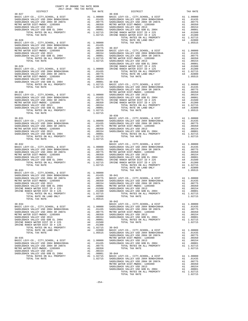| COUNTY OF ORANGE TAX RATE BOOK<br>2017-2018 TRA TAX RATES |  |                                                                                                                                                                                                                                            |          |
|-----------------------------------------------------------|--|--------------------------------------------------------------------------------------------------------------------------------------------------------------------------------------------------------------------------------------------|----------|
| DISTRICT<br>$30 - 027$                                    |  | $30 - 036$                                                                                                                                                                                                                                 | TAX RATE |
|                                                           |  |                                                                                                                                                                                                                                            |          |
|                                                           |  |                                                                                                                                                                                                                                            |          |
|                                                           |  |                                                                                                                                                                                                                                            |          |
|                                                           |  |                                                                                                                                                                                                                                            |          |
|                                                           |  |                                                                                                                                                                                                                                            |          |
|                                                           |  |                                                                                                                                                                                                                                            |          |
|                                                           |  |                                                                                                                                                                                                                                            |          |
|                                                           |  |                                                                                                                                                                                                                                            |          |
|                                                           |  |                                                                                                                                                                                                                                            |          |
|                                                           |  |                                                                                                                                                                                                                                            |          |
|                                                           |  |                                                                                                                                                                                                                                            |          |
|                                                           |  |                                                                                                                                                                                                                                            |          |
|                                                           |  |                                                                                                                                                                                                                                            |          |
|                                                           |  |                                                                                                                                                                                                                                            |          |
|                                                           |  |                                                                                                                                                                                                                                            |          |
|                                                           |  |                                                                                                                                                                                                                                            |          |
|                                                           |  |                                                                                                                                                                                                                                            |          |
|                                                           |  |                                                                                                                                                                                                                                            |          |
|                                                           |  |                                                                                                                                                                                                                                            |          |
|                                                           |  |                                                                                                                                                                                                                                            |          |
|                                                           |  |                                                                                                                                                                                                                                            |          |
|                                                           |  |                                                                                                                                                                                                                                            |          |
|                                                           |  |                                                                                                                                                                                                                                            |          |
|                                                           |  |                                                                                                                                                                                                                                            |          |
|                                                           |  |                                                                                                                                                                                                                                            |          |
|                                                           |  |                                                                                                                                                                                                                                            |          |
|                                                           |  |                                                                                                                                                                                                                                            |          |
|                                                           |  |                                                                                                                                                                                                                                            |          |
|                                                           |  |                                                                                                                                                                                                                                            |          |
|                                                           |  |                                                                                                                                                                                                                                            |          |
|                                                           |  |                                                                                                                                                                                                                                            |          |
|                                                           |  | $30 - 039$                                                                                                                                                                                                                                 |          |
|                                                           |  |                                                                                                                                                                                                                                            |          |
|                                                           |  |                                                                                                                                                                                                                                            |          |
|                                                           |  |                                                                                                                                                                                                                                            |          |
|                                                           |  |                                                                                                                                                                                                                                            |          |
|                                                           |  |                                                                                                                                                                                                                                            |          |
|                                                           |  |                                                                                                                                                                                                                                            |          |
|                                                           |  |                                                                                                                                                                                                                                            |          |
|                                                           |  | $30 - 040$                                                                                                                                                                                                                                 |          |
|                                                           |  |                                                                                                                                                                                                                                            |          |
|                                                           |  |                                                                                                                                                                                                                                            |          |
|                                                           |  |                                                                                                                                                                                                                                            |          |
|                                                           |  |                                                                                                                                                                                                                                            |          |
|                                                           |  |                                                                                                                                                                                                                                            |          |
|                                                           |  |                                                                                                                                                                                                                                            |          |
|                                                           |  |                                                                                                                                                                                                                                            |          |
|                                                           |  |                                                                                                                                                                                                                                            |          |
|                                                           |  |                                                                                                                                                                                                                                            |          |
|                                                           |  |                                                                                                                                                                                                                                            |          |
|                                                           |  |                                                                                                                                                                                                                                            |          |
|                                                           |  |                                                                                                                                                                                                                                            |          |
|                                                           |  |                                                                                                                                                                                                                                            |          |
|                                                           |  |                                                                                                                                                                                                                                            |          |
|                                                           |  |                                                                                                                                                                                                                                            |          |
|                                                           |  | A 1 .00001 METRO WITER DIST -MWDOC - 120599<br>SADDLEBACK VALLEY USD GOB EL 2004<br>IRVINE RANCH WATER DIST ID # 225<br>IRVINE RANCH WATER DIST ID # 225<br>IRVINE RANCH WATER DIST ID # 225<br>IRVINE RANCH WATER DIST ID # 125<br>IRVINE |          |
|                                                           |  |                                                                                                                                                                                                                                            |          |
|                                                           |  |                                                                                                                                                                                                                                            |          |
|                                                           |  | $30 - 042$                                                                                                                                                                                                                                 |          |
|                                                           |  |                                                                                                                                                                                                                                            |          |
|                                                           |  |                                                                                                                                                                                                                                            |          |
|                                                           |  |                                                                                                                                                                                                                                            |          |
|                                                           |  |                                                                                                                                                                                                                                            |          |
|                                                           |  |                                                                                                                                                                                                                                            |          |
|                                                           |  |                                                                                                                                                                                                                                            |          |
|                                                           |  |                                                                                                                                                                                                                                            |          |
|                                                           |  |                                                                                                                                                                                                                                            |          |
|                                                           |  |                                                                                                                                                                                                                                            |          |
|                                                           |  |                                                                                                                                                                                                                                            |          |
|                                                           |  |                                                                                                                                                                                                                                            |          |
|                                                           |  |                                                                                                                                                                                                                                            |          |
|                                                           |  |                                                                                                                                                                                                                                            |          |
|                                                           |  |                                                                                                                                                                                                                                            |          |
|                                                           |  |                                                                                                                                                                                                                                            |          |
|                                                           |  |                                                                                                                                                                                                                                            |          |
|                                                           |  |                                                                                                                                                                                                                                            |          |
|                                                           |  |                                                                                                                                                                                                                                            |          |
|                                                           |  |                                                                                                                                                                                                                                            |          |
|                                                           |  |                                                                                                                                                                                                                                            |          |
|                                                           |  |                                                                                                                                                                                                                                            |          |
|                                                           |  |                                                                                                                                                                                                                                            |          |
|                                                           |  |                                                                                                                                                                                                                                            |          |

-254-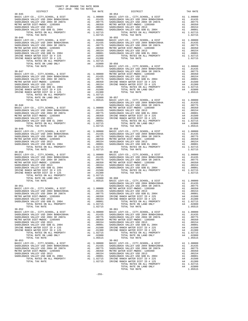| DISTRICT                                                                                                                                                                                                                                     |                                                                                                                                                                                                                                                                                                                                                                                                                | TAX RATE                                                                                                                              |                                |
|----------------------------------------------------------------------------------------------------------------------------------------------------------------------------------------------------------------------------------------------|----------------------------------------------------------------------------------------------------------------------------------------------------------------------------------------------------------------------------------------------------------------------------------------------------------------------------------------------------------------------------------------------------------------|---------------------------------------------------------------------------------------------------------------------------------------|--------------------------------|
| $30 - 045$                                                                                                                                                                                                                                   | $\begin{tabular}{ll} \multicolumn{2}{l}{{\bf A1}} & 1.00000 & BASE & L\\ \multicolumn{2}{l}{\bf A1} & .01435 & SADDLEB \\ \multicolumn{2}{l}{\bf A1} & .01435 & SADDLEB \\ \multicolumn{2}{l}{\bf A1} & .00775 & SADDLEB \\ \multicolumn{2}{l}{\bf A1} & .00350 & METRO W \\ \multicolumn{2}{l}{\bf A1} & .00154 & SADDLEB \\ \multicolumn{2}{l}{\bf A1} & .00001 & SADDLEB \\ \multicolumn{2}{l}{\bf A1} & 1$ |                                                                                                                                       |                                |
| BASIC LEVY-CO., CITY, SCHOOL, & DIST                                                                                                                                                                                                         |                                                                                                                                                                                                                                                                                                                                                                                                                |                                                                                                                                       |                                |
| BASIC LEVY-CO., CITY, SCHOOL, & DIST<br>SADDLEBACK VALLEY USD 2004 BOND#2004A<br>ADDLEBACK WALLEY USD 2004 CD 2023                                                                                                                           |                                                                                                                                                                                                                                                                                                                                                                                                                |                                                                                                                                       |                                |
| SADDLEBACK VALLEY USD 2004 SR 2007A                                                                                                                                                                                                          |                                                                                                                                                                                                                                                                                                                                                                                                                |                                                                                                                                       |                                |
| METRO WATER DIST-MWDOC- 1205999<br>SADDLEBACK VALLEY USD 2013                                                                                                                                                                                |                                                                                                                                                                                                                                                                                                                                                                                                                |                                                                                                                                       |                                |
| SADDLEBACK VALLEY USD GOB EL 2004                                                                                                                                                                                                            |                                                                                                                                                                                                                                                                                                                                                                                                                |                                                                                                                                       |                                |
| TOTAL RATES ON ALL PROPERTY                                                                                                                                                                                                                  |                                                                                                                                                                                                                                                                                                                                                                                                                |                                                                                                                                       |                                |
| TOTAL TAX RATE                                                                                                                                                                                                                               |                                                                                                                                                                                                                                                                                                                                                                                                                | 1.02715                                                                                                                               |                                |
| $30 - 046$                                                                                                                                                                                                                                   |                                                                                                                                                                                                                                                                                                                                                                                                                |                                                                                                                                       | $30 - 055$                     |
| BASIC LEVY-CO., CITY, SCHOOL, & DIST                                                                                                                                                                                                         |                                                                                                                                                                                                                                                                                                                                                                                                                | 30–055<br>A1 1.00000 BASIC L<br>A1 .01435 SADDLEB<br>A1 .00775 SADDLEB<br>A1 .00350 METRO N<br>A1 .00011 SADDLEB<br>A1 .00001 SADDLEB |                                |
| SADDLEBACK VALLEY USD 2004 BOND#2004A                                                                                                                                                                                                        |                                                                                                                                                                                                                                                                                                                                                                                                                |                                                                                                                                       |                                |
| SADDLEBACK VALLEY USD 2004 SR 2007A<br>METRO WATER DIST-MWDOC- 1205999                                                                                                                                                                       |                                                                                                                                                                                                                                                                                                                                                                                                                |                                                                                                                                       |                                |
| SADDLEBACK VALLEY USD 2013                                                                                                                                                                                                                   |                                                                                                                                                                                                                                                                                                                                                                                                                |                                                                                                                                       |                                |
| SADDLEBACK VALLEY USD GOB EL 2004                                                                                                                                                                                                            |                                                                                                                                                                                                                                                                                                                                                                                                                |                                                                                                                                       |                                |
| IRVINE RANCH WATER DIST ID # 225                                                                                                                                                                                                             |                                                                                                                                                                                                                                                                                                                                                                                                                |                                                                                                                                       |                                |
| IRVINE RANCH WATER DIST ID # 125                                                                                                                                                                                                             |                                                                                                                                                                                                                                                                                                                                                                                                                |                                                                                                                                       |                                |
|                                                                                                                                                                                                                                              |                                                                                                                                                                                                                                                                                                                                                                                                                |                                                                                                                                       |                                |
|                                                                                                                                                                                                                                              |                                                                                                                                                                                                                                                                                                                                                                                                                |                                                                                                                                       |                                |
|                                                                                                                                                                                                                                              |                                                                                                                                                                                                                                                                                                                                                                                                                |                                                                                                                                       |                                |
| $30 - 047$                                                                                                                                                                                                                                   |                                                                                                                                                                                                                                                                                                                                                                                                                |                                                                                                                                       | SADDLEB<br>SADDLEB             |
| BASIC LEVY-CO., CITY, SCHOOL, & DIST                                                                                                                                                                                                         |                                                                                                                                                                                                                                                                                                                                                                                                                | A1 1.00000 METRO N<br>A1 .01435 SADDLEB<br>A1 .00775 SADDLEB<br>A1 .00350 IRVINE<br>A1 .00154 IRVINE                                  |                                |
| BASIC LEVY-CO., CITY, SCHOOL, & DIST<br>SADDLEBACK VALLEY USD 2004 BOND#2004A                                                                                                                                                                |                                                                                                                                                                                                                                                                                                                                                                                                                |                                                                                                                                       |                                |
| SADDLEBACK VALLEY USD 2004 SR 2007A                                                                                                                                                                                                          |                                                                                                                                                                                                                                                                                                                                                                                                                |                                                                                                                                       |                                |
| METRO WATER DIST-MWDOC- 1205999                                                                                                                                                                                                              |                                                                                                                                                                                                                                                                                                                                                                                                                |                                                                                                                                       |                                |
| SADDLEBACK VALLEY USD 2013                                                                                                                                                                                                                   |                                                                                                                                                                                                                                                                                                                                                                                                                |                                                                                                                                       |                                |
| SADDLEBACK VALLEY USD GOB EL 2004                                                                                                                                                                                                            |                                                                                                                                                                                                                                                                                                                                                                                                                |                                                                                                                                       |                                |
| IRVINE RANCH WATER DIST ID # 225                                                                                                                                                                                                             |                                                                                                                                                                                                                                                                                                                                                                                                                |                                                                                                                                       |                                |
| IRVINE RANCH WATER DIST ID # 125                                                                                                                                                                                                             |                                                                                                                                                                                                                                                                                                                                                                                                                |                                                                                                                                       |                                |
|                                                                                                                                                                                                                                              |                                                                                                                                                                                                                                                                                                                                                                                                                |                                                                                                                                       |                                |
| ATER DIST-MWDOC-1403222<br>ACK VALLEY USD 2008 EL 2004<br>ACK VALLEY USD 308 EL 2004<br>ACK VALLEY USD 308 EL 2004<br>RANCH WATER DIST ID # 125<br>TOTAL RATER DIST ID # 125<br>TOTAL RATES ON LAND ONLY<br>TOTAL RATE ON LAND ONLY<br>TOTAL |                                                                                                                                                                                                                                                                                                                                                                                                                |                                                                                                                                       |                                |
|                                                                                                                                                                                                                                              |                                                                                                                                                                                                                                                                                                                                                                                                                |                                                                                                                                       |                                |
| $30 - 048$                                                                                                                                                                                                                                   |                                                                                                                                                                                                                                                                                                                                                                                                                |                                                                                                                                       | SADDLEB                        |
|                                                                                                                                                                                                                                              |                                                                                                                                                                                                                                                                                                                                                                                                                |                                                                                                                                       |                                |
|                                                                                                                                                                                                                                              |                                                                                                                                                                                                                                                                                                                                                                                                                |                                                                                                                                       |                                |
|                                                                                                                                                                                                                                              |                                                                                                                                                                                                                                                                                                                                                                                                                |                                                                                                                                       |                                |
|                                                                                                                                                                                                                                              |                                                                                                                                                                                                                                                                                                                                                                                                                |                                                                                                                                       |                                |
|                                                                                                                                                                                                                                              |                                                                                                                                                                                                                                                                                                                                                                                                                |                                                                                                                                       |                                |
|                                                                                                                                                                                                                                              |                                                                                                                                                                                                                                                                                                                                                                                                                |                                                                                                                                       |                                |
| TOTAL TAX RATE                                                                                                                                                                                                                               |                                                                                                                                                                                                                                                                                                                                                                                                                | 1.02715                                                                                                                               |                                |
| $30 - 049$                                                                                                                                                                                                                                   |                                                                                                                                                                                                                                                                                                                                                                                                                |                                                                                                                                       | $30 - 058$                     |
|                                                                                                                                                                                                                                              |                                                                                                                                                                                                                                                                                                                                                                                                                |                                                                                                                                       |                                |
|                                                                                                                                                                                                                                              |                                                                                                                                                                                                                                                                                                                                                                                                                |                                                                                                                                       |                                |
|                                                                                                                                                                                                                                              |                                                                                                                                                                                                                                                                                                                                                                                                                |                                                                                                                                       |                                |
|                                                                                                                                                                                                                                              |                                                                                                                                                                                                                                                                                                                                                                                                                |                                                                                                                                       |                                |
|                                                                                                                                                                                                                                              |                                                                                                                                                                                                                                                                                                                                                                                                                |                                                                                                                                       |                                |
|                                                                                                                                                                                                                                              |                                                                                                                                                                                                                                                                                                                                                                                                                |                                                                                                                                       |                                |
| TOTAL TAX RATE                                                                                                                                                                                                                               |                                                                                                                                                                                                                                                                                                                                                                                                                | 1.02715                                                                                                                               |                                |
| $30 - 050$                                                                                                                                                                                                                                   |                                                                                                                                                                                                                                                                                                                                                                                                                |                                                                                                                                       | $30 - 059$                     |
|                                                                                                                                                                                                                                              |                                                                                                                                                                                                                                                                                                                                                                                                                |                                                                                                                                       |                                |
|                                                                                                                                                                                                                                              |                                                                                                                                                                                                                                                                                                                                                                                                                |                                                                                                                                       |                                |
|                                                                                                                                                                                                                                              |                                                                                                                                                                                                                                                                                                                                                                                                                |                                                                                                                                       |                                |
|                                                                                                                                                                                                                                              |                                                                                                                                                                                                                                                                                                                                                                                                                |                                                                                                                                       |                                |
|                                                                                                                                                                                                                                              |                                                                                                                                                                                                                                                                                                                                                                                                                |                                                                                                                                       |                                |
|                                                                                                                                                                                                                                              |                                                                                                                                                                                                                                                                                                                                                                                                                |                                                                                                                                       |                                |
|                                                                                                                                                                                                                                              |                                                                                                                                                                                                                                                                                                                                                                                                                |                                                                                                                                       |                                |
|                                                                                                                                                                                                                                              |                                                                                                                                                                                                                                                                                                                                                                                                                |                                                                                                                                       |                                |
|                                                                                                                                                                                                                                              |                                                                                                                                                                                                                                                                                                                                                                                                                |                                                                                                                                       |                                |
|                                                                                                                                                                                                                                              |                                                                                                                                                                                                                                                                                                                                                                                                                |                                                                                                                                       | SADDLEB                        |
| $30 - 051$                                                                                                                                                                                                                                   |                                                                                                                                                                                                                                                                                                                                                                                                                |                                                                                                                                       | SADDLEB                        |
| BASIC LEVY-CO., CITY, SCHOOL, & DIST                                                                                                                                                                                                         | $A1$ 1.00000 METRO W                                                                                                                                                                                                                                                                                                                                                                                           |                                                                                                                                       |                                |
| SADDLEBACK VALLEY USD 2004 BOND#2004A                                                                                                                                                                                                        | A1 .01435 SADDLEB                                                                                                                                                                                                                                                                                                                                                                                              |                                                                                                                                       |                                |
| SADDLEBACK VALLEY USD 2004 SR 2007A                                                                                                                                                                                                          | A1                                                                                                                                                                                                                                                                                                                                                                                                             | .00775                                                                                                                                | SADDLEB                        |
| METRO WATER DIST-MWDOC- 1205999                                                                                                                                                                                                              | A1                                                                                                                                                                                                                                                                                                                                                                                                             | .00350<br>.00154                                                                                                                      | IRVINE                         |
| SADDLEBACK VALLEY USD 2013<br>SADDLEBACK VALLEY USD GOB EL 2004                                                                                                                                                                              | A1<br>A1                                                                                                                                                                                                                                                                                                                                                                                                       | .00001                                                                                                                                | IRVINE                         |
| TOTAL RATES ON ALL PROPERTY                                                                                                                                                                                                                  |                                                                                                                                                                                                                                                                                                                                                                                                                | A1 1.02715                                                                                                                            |                                |
| TOTAL TAX RATE                                                                                                                                                                                                                               |                                                                                                                                                                                                                                                                                                                                                                                                                | 1.02715                                                                                                                               |                                |
| $30 - 052$                                                                                                                                                                                                                                   |                                                                                                                                                                                                                                                                                                                                                                                                                |                                                                                                                                       | $30 - 061$                     |
| BASIC LEVY-CO., CITY, SCHOOL, & DIST                                                                                                                                                                                                         |                                                                                                                                                                                                                                                                                                                                                                                                                | A1 1.00000                                                                                                                            | BASIC L                        |
| SADDLEBACK VALLEY USD 2004 BOND#2004A                                                                                                                                                                                                        |                                                                                                                                                                                                                                                                                                                                                                                                                | A1.01435                                                                                                                              | SADDLEB                        |
| SADDLEBACK VALLEY USD 2004 SR 2007A                                                                                                                                                                                                          | A1                                                                                                                                                                                                                                                                                                                                                                                                             |                                                                                                                                       |                                |
| METRO WATER DIST-MWDOC- 1205999<br>SADDLEBACK VALLEY USD 2013                                                                                                                                                                                | A1                                                                                                                                                                                                                                                                                                                                                                                                             | $0.00775$ SADDLEB<br>$0.00350$ METRO W                                                                                                |                                |
| SADDLEBACK VALLEY USD GOB EL 2004                                                                                                                                                                                                            | A1<br>A1                                                                                                                                                                                                                                                                                                                                                                                                       | .00154                                                                                                                                | SADDLEB<br>SADDLEB             |
| IRVINE RANCH WATER DIST ID # 225                                                                                                                                                                                                             | A4                                                                                                                                                                                                                                                                                                                                                                                                             | .00001<br>01500                                                                                                                       | IRVINE                         |
| IRVINE RANCH WATER DIST ID # 125                                                                                                                                                                                                             | A4                                                                                                                                                                                                                                                                                                                                                                                                             | .01300                                                                                                                                | $\ensuremath{\textsc{irvine}}$ |
| TOTAL RATES ON ALL PROPERTY                                                                                                                                                                                                                  |                                                                                                                                                                                                                                                                                                                                                                                                                | A1 1.02715                                                                                                                            |                                |
| TOTAL RATE ON LAND ONLY                                                                                                                                                                                                                      |                                                                                                                                                                                                                                                                                                                                                                                                                | A4 .02800                                                                                                                             |                                |
| TOTAL TAX RATE                                                                                                                                                                                                                               |                                                                                                                                                                                                                                                                                                                                                                                                                | 1.05515                                                                                                                               |                                |
| $30 - 053$                                                                                                                                                                                                                                   |                                                                                                                                                                                                                                                                                                                                                                                                                |                                                                                                                                       | $30 - 062$                     |
| BASIC LEVY-CO., CITY, SCHOOL, & DIST<br>SADDLEBACK VALLEY USD 2004 BOND#2004A                                                                                                                                                                | A1                                                                                                                                                                                                                                                                                                                                                                                                             | A1 1.00000<br>.01435                                                                                                                  | BASIC L<br>SADDLEB             |
| SADDLEBACK VALLEY USD 2004 SR 2007A                                                                                                                                                                                                          | A1                                                                                                                                                                                                                                                                                                                                                                                                             | .00775                                                                                                                                | SADDLEB                        |
| METRO WATER DIST-MWDOC- 1205999                                                                                                                                                                                                              | A1                                                                                                                                                                                                                                                                                                                                                                                                             | .00350                                                                                                                                | METRO W                        |
| SADDLEBACK VALLEY USD 2013                                                                                                                                                                                                                   | A1                                                                                                                                                                                                                                                                                                                                                                                                             | .00154                                                                                                                                | SADDLEB                        |
| SADDLEBACK VALLEY USD GOB EL 2004                                                                                                                                                                                                            | A1                                                                                                                                                                                                                                                                                                                                                                                                             | .00001                                                                                                                                | SADDLEB                        |
|                                                                                                                                                                                                                                              |                                                                                                                                                                                                                                                                                                                                                                                                                |                                                                                                                                       |                                |

| COUNTY OF ORANGE TAX RATE BOOK<br>2017-2018 TRA TAX RATES<br>$\begin{minipage}{.0.013\textwidth} \begin{tabular}{l} \multicolumn{2}{c}{\textbf{1.4A} RATE BC}\\ \multicolumn{2}{c}{\textbf{2.017-2018} \end{tabular}} \end{minipage}$ |          |                        |          |
|---------------------------------------------------------------------------------------------------------------------------------------------------------------------------------------------------------------------------------------|----------|------------------------|----------|
|                                                                                                                                                                                                                                       | TAX RATE | DISTRICT<br>$30 - 054$ | TAX RATE |
|                                                                                                                                                                                                                                       |          |                        |          |
|                                                                                                                                                                                                                                       |          |                        |          |
|                                                                                                                                                                                                                                       |          |                        |          |
|                                                                                                                                                                                                                                       |          |                        |          |
|                                                                                                                                                                                                                                       |          |                        |          |
|                                                                                                                                                                                                                                       |          |                        |          |
|                                                                                                                                                                                                                                       |          |                        |          |
|                                                                                                                                                                                                                                       |          |                        |          |
|                                                                                                                                                                                                                                       |          |                        |          |
|                                                                                                                                                                                                                                       |          |                        |          |
|                                                                                                                                                                                                                                       |          |                        |          |
|                                                                                                                                                                                                                                       |          |                        |          |
|                                                                                                                                                                                                                                       |          |                        |          |
|                                                                                                                                                                                                                                       |          |                        |          |
|                                                                                                                                                                                                                                       |          |                        |          |
|                                                                                                                                                                                                                                       |          |                        |          |
|                                                                                                                                                                                                                                       |          |                        |          |
|                                                                                                                                                                                                                                       |          |                        |          |
|                                                                                                                                                                                                                                       |          |                        |          |
|                                                                                                                                                                                                                                       |          |                        |          |
|                                                                                                                                                                                                                                       |          |                        |          |
|                                                                                                                                                                                                                                       |          |                        |          |
|                                                                                                                                                                                                                                       |          |                        |          |
|                                                                                                                                                                                                                                       |          |                        |          |
|                                                                                                                                                                                                                                       |          |                        |          |
|                                                                                                                                                                                                                                       |          |                        |          |
|                                                                                                                                                                                                                                       |          |                        |          |
|                                                                                                                                                                                                                                       |          |                        |          |
|                                                                                                                                                                                                                                       |          |                        |          |
|                                                                                                                                                                                                                                       |          |                        |          |
|                                                                                                                                                                                                                                       |          | $30 - 058$             |          |
|                                                                                                                                                                                                                                       |          |                        |          |
|                                                                                                                                                                                                                                       |          |                        |          |
|                                                                                                                                                                                                                                       |          |                        |          |
|                                                                                                                                                                                                                                       |          |                        |          |
|                                                                                                                                                                                                                                       |          |                        |          |
|                                                                                                                                                                                                                                       |          |                        |          |
|                                                                                                                                                                                                                                       |          |                        |          |
|                                                                                                                                                                                                                                       |          |                        |          |
|                                                                                                                                                                                                                                       |          |                        |          |
|                                                                                                                                                                                                                                       |          |                        |          |
|                                                                                                                                                                                                                                       |          |                        |          |
|                                                                                                                                                                                                                                       |          |                        |          |
|                                                                                                                                                                                                                                       |          |                        |          |
|                                                                                                                                                                                                                                       |          |                        |          |
|                                                                                                                                                                                                                                       |          |                        |          |
|                                                                                                                                                                                                                                       |          |                        |          |
|                                                                                                                                                                                                                                       |          |                        |          |
|                                                                                                                                                                                                                                       |          |                        |          |
|                                                                                                                                                                                                                                       |          |                        |          |
|                                                                                                                                                                                                                                       |          |                        |          |
|                                                                                                                                                                                                                                       |          |                        |          |
|                                                                                                                                                                                                                                       |          |                        |          |
|                                                                                                                                                                                                                                       |          |                        |          |
|                                                                                                                                                                                                                                       |          |                        |          |
|                                                                                                                                                                                                                                       |          |                        |          |
|                                                                                                                                                                                                                                       |          |                        |          |
|                                                                                                                                                                                                                                       |          |                        |          |
|                                                                                                                                                                                                                                       |          |                        |          |
|                                                                                                                                                                                                                                       |          |                        |          |
|                                                                                                                                                                                                                                       |          |                        |          |
|                                                                                                                                                                                                                                       |          |                        |          |
|                                                                                                                                                                                                                                       |          |                        |          |
|                                                                                                                                                                                                                                       |          |                        |          |
|                                                                                                                                                                                                                                       |          |                        |          |
|                                                                                                                                                                                                                                       |          |                        |          |
|                                                                                                                                                                                                                                       |          |                        |          |
|                                                                                                                                                                                                                                       |          |                        |          |
|                                                                                                                                                                                                                                       |          |                        |          |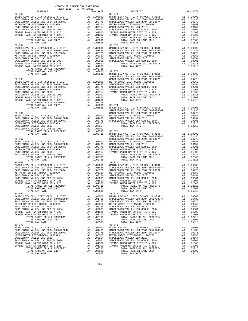| COUNTY OF ORANGE TAX RATE BOOK<br>2017-2018 TRA TAX RATES |          |                                                                                                                                                                                                                                                                                                                                                                                                              |          |
|-----------------------------------------------------------|----------|--------------------------------------------------------------------------------------------------------------------------------------------------------------------------------------------------------------------------------------------------------------------------------------------------------------------------------------------------------------------------------------------------------------|----------|
| DISTRICT<br>$30 - 063$                                    | TAX RATE | DISTRICT<br>$30 - 071$                                                                                                                                                                                                                                                                                                                                                                                       | TAX RATE |
|                                                           |          |                                                                                                                                                                                                                                                                                                                                                                                                              |          |
|                                                           |          |                                                                                                                                                                                                                                                                                                                                                                                                              |          |
|                                                           |          |                                                                                                                                                                                                                                                                                                                                                                                                              |          |
|                                                           |          | $\begin{tabular}{l c c c c c} \hline \text{normal TAX RATE} & \text{num} & \text{1.05515} & \text{BASE} & \text{EVY-C0.}, & \text{CITY}, \text{SCHOOL}, & \text{$\&$ DIST}$ & \text{A1 1.00000} \\ \hline \text{30-066} & \text{SADDLEBACK VALEY ISO} & 2004 BONDEBACK VALEY USD} & 2004 BONDEBACK VALEY USD} & 2007 & \text{A1 0.01435} \\ \text{BASE LEVY-C0.}, & \text{CITY}, \text{SCHOOL}, & \text{$\&$ |          |
|                                                           |          | $\begin{tabular}{l c c c c c} \multicolumn{4}{c}{\textbf{50-5000}} & \multicolumn{4}{c}{\textbf{50-5000}} & \multicolumn{4}{c}{\textbf{50-5000}} & \multicolumn{4}{c}{\textbf{50-5000}} & \multicolumn{4}{c}{\textbf{50-5000}} & \multicolumn{4}{c}{\textbf{50-5000}} & \multicolumn{4}{c}{\textbf{50-5000}} & \multicolumn{4}{c}{\textbf{50-5000}} & \multicolumn{4}{c}{\textbf{50-5000}} & \multicolumn$   |          |
|                                                           |          |                                                                                                                                                                                                                                                                                                                                                                                                              |          |
|                                                           |          |                                                                                                                                                                                                                                                                                                                                                                                                              |          |
|                                                           |          |                                                                                                                                                                                                                                                                                                                                                                                                              |          |

| CK VALLEY USD 2004 SR 2007A<br>TER DIST-MWDOC- 1205999<br>CK VALLEY USD 2013<br>CK VALLEY USD GOB EL 2004<br>ANCH WATER DIST ID # 225<br>TOTAL RATES ON ALL PROPERTY<br>TOTAL RATE ON LAND ONLY<br>TOTAL TAX RATE                                                                                                                 |                                                          | A1 .007<br>Al<br>Al .003<br>Al .000<br>Al .000<br>A4 .015<br>A4 .027<br>A4 .028<br>1.055                                       |
|-----------------------------------------------------------------------------------------------------------------------------------------------------------------------------------------------------------------------------------------------------------------------------------------------------------------------------------|----------------------------------------------------------|--------------------------------------------------------------------------------------------------------------------------------|
| VY-CO., CITY, SCHOOL, & DIST<br>CK VALLEY USD 2004 BOND#2004A<br>CK VALLEY USD 2004 SR 2007A<br>TER DIST-MWDOC- 1205999<br>CK VALLEY USD 2013<br>CK VALLEY USD GOB EL 2004<br>TOTAL RATES ON ALL PROPERTY<br>TOTAL TAX RATE                                                                                                       |                                                          | A1 1.000<br>A1 .014<br>A1 .007<br>Al<br>Al .v<br>Al .001<br>Al .000<br>Al 1.027<br>1.027                                       |
| VY-CO., CITY, SCHOOL, & DIST<br>CK VALLEY USD 2004 BOND#2004A<br>CK VALLEY USD 2004 SR 2007A<br>TER DIST-MWDOC- 1205999<br>CK VALLEY USD 2013<br>CK VALLEY USD GOB EL 2004<br>ANCH WATER DIST ID # 225<br>ANCH WATER DIST ID # 125<br>TOTAL DITTE ALL<br>TOTAL RATES ON ALL PROPERTY<br>TOTAL RATE ON LAND ONLY<br>TOTAL TAX RATE |                                                          | Al 1.000<br>Al .014<br>Al .007<br>Al .003<br>Al .000<br>A4 .015<br>A4 .015<br>Al 1.027<br>A4 .028<br>1.028                     |
| VY-CO., CITY,SCHOOL, & DIST<br>CK VALLEY USD 2004 BOND#2004A<br>CK VALLEY USD 2004 SR 2007A<br>TER DIST-MWDOC- 1205999<br>CK VALLEY USD 2013<br>CK VALLEY USD GOB EL 2004<br>TOTAL RATES ON ALL PROPERTY<br>TOTAL TAX RATE                                                                                                        |                                                          | A1 1.000<br>A1 .000<br>A1 .007<br>A1 .003<br>A1 .000<br>A1 .007<br>A1 1.027<br>1.027                                           |
| VY-CO., CITY, SCHOOL, & DIST<br>CK VALLEY USD 2004 BOND#2004A<br>CK VALLEY USD 2004 SR 2007A<br>TER DIST-MWDOC- 1205999<br>CK VALLEY USD 2013<br>CK VALLEY USD GOB EL 2004<br>ANCH WATER DIST ID # 225<br>ANCH WATER DIST ID # 125<br>TOTAL RATES ON ALL PROPERTY<br>TOTAL RATE ON LAND ONLY<br>TOTAL TAX RATE                    |                                                          | $A1 \quad 1.000$<br>A1 1.000<br>A1 .014<br>A1 .007<br>A1 .003<br>A1 .000<br>A4 .013<br>A4 .013<br>A1 1.027<br>A4 .028<br>1.028 |
| VY-CO., CITY, SCHOOL, & DIST<br>CK VALLEY USD 2004 BOND#2004A<br>CK VALLEY USD 2004 SR 2007A<br>TER DIST-MWDOC- 1205999<br>CK VALLEY USD 2013<br>CK VALLEY USD GOB EL 2004<br>ANCH WATER DIST ID # 225<br>ANCH WATER DIST ID # 125<br>TOTAL RATES ON ALL PROPERTY<br>TOTAL RATE ON LAND ONLY<br>TOTAL TAX RATE                    | A1<br>A1                                                 | A1 1.000<br>.014<br>.007<br>A1 .007<br>A1 .001<br>A1 .000<br>A4 .015<br>A4 .027<br>A4 .028<br>1.055                            |
| VY-CO., CITY,SCHOOL, & DIST<br>CK VALLEY USD 2004 BOND#2004A<br>CK VALLEY USD 2004 SR 2007A<br>TER DIST-MWDOC- 1205999<br>CK VALLEY USD 2013<br>CK VALLEY USD GOB EL 2004<br>ANCH WATER DIST ID # 225<br>ANCH WATER DIST ID # 125<br>TOTAL RATES ON ALL PROPERTY<br>TOTAL RATE ON LAND ONLY<br>TOTAL TAX RATE                     | A1<br>A1<br>A1<br>A1<br>A4<br>A4<br>A1<br>A4             | A1 1.000<br>A1 .014<br>.007<br>.003<br>.001<br>.000<br>.015<br>.013<br>1.027<br>.028<br>1.055                                  |
| VY-CO., CITY,SCHOOL, & DIST<br>CK VALLEY USD 2004 BOND#2004A<br>CK VALLEY USD 2004 SR 2007A<br>TER DIST-MWDOC- 1205999<br>CK VALLEY USD 2013.<br>CK VALLEY USD GOB EL 2004<br>ANCH WATER DIST ID # 225<br>ANCH WATER DIST ID # 125<br>TOTAL RATES ON ALL PROPERTY<br>TOTAL RATE ON LAND ONLY<br><b>TOTAL TAY DATE</b>             | A1<br>A1<br>A1<br>Α1<br>Α1<br>A1<br>A4<br>A4<br>A1<br>A4 | 1.000<br>.014<br>.007<br>.003<br>.001<br>.000<br>.015<br>.013<br>1.027<br>.028<br>1 055                                        |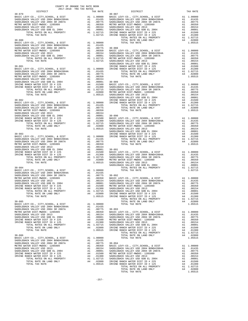| DISTRICT | 2017-2018 TRA TAX RATES | TAX RATE DISTRICT |          |
|----------|-------------------------|-------------------|----------|
|          |                         |                   | TAX RATE |
|          |                         |                   |          |
|          |                         |                   |          |
|          |                         |                   |          |
|          |                         |                   |          |
|          |                         |                   |          |
|          |                         |                   |          |
|          |                         |                   |          |
|          |                         |                   |          |
|          |                         |                   |          |
|          |                         |                   |          |
|          |                         |                   |          |
|          |                         |                   |          |
|          |                         |                   |          |
|          |                         |                   |          |
|          |                         |                   |          |
|          |                         |                   |          |
|          |                         |                   |          |
|          |                         |                   |          |
|          |                         |                   |          |
|          |                         |                   |          |
|          |                         |                   |          |
|          |                         |                   |          |
|          |                         |                   |          |
|          |                         |                   |          |
|          |                         |                   |          |
|          |                         |                   |          |
|          |                         |                   |          |
|          |                         |                   |          |
|          |                         |                   |          |
|          |                         |                   |          |
|          |                         |                   |          |
|          |                         |                   |          |
|          |                         |                   |          |
|          |                         |                   |          |
|          |                         |                   |          |
|          |                         |                   |          |
|          |                         |                   |          |
|          |                         |                   |          |
|          |                         |                   |          |
|          |                         |                   |          |
|          |                         |                   |          |
|          |                         |                   |          |
|          |                         |                   |          |
|          |                         |                   |          |
|          |                         |                   |          |
|          |                         |                   |          |
|          |                         |                   |          |
|          |                         |                   |          |
|          |                         |                   |          |
|          |                         |                   |          |
|          |                         |                   |          |
|          |                         |                   |          |
|          |                         |                   |          |
|          |                         |                   |          |
|          |                         |                   |          |
|          |                         |                   |          |
|          |                         |                   |          |
|          |                         |                   |          |
|          |                         |                   |          |
|          |                         |                   |          |
|          |                         |                   |          |
|          |                         |                   |          |
|          |                         |                   |          |
|          |                         |                   |          |
|          |                         |                   |          |
|          |                         |                   |          |
|          |                         |                   |          |
|          |                         |                   |          |
|          |                         |                   |          |
|          |                         |                   |          |
|          |                         |                   |          |
|          |                         |                   |          |
|          |                         |                   |          |
|          |                         |                   |          |
|          |                         |                   |          |
|          |                         |                   |          |
|          |                         |                   |          |
|          |                         |                   |          |
|          |                         |                   |          |
|          |                         |                   |          |
|          |                         |                   |          |
|          |                         |                   |          |
|          |                         |                   |          |
|          |                         |                   |          |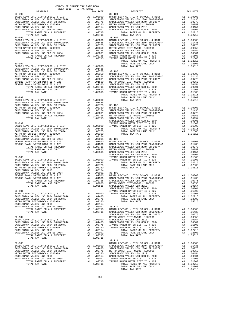| DISTRICT                                                                                                                                                                                                                                                                                  |                            | TAX RATE                                                                                                                                                         |                                                                 |
|-------------------------------------------------------------------------------------------------------------------------------------------------------------------------------------------------------------------------------------------------------------------------------------------|----------------------------|------------------------------------------------------------------------------------------------------------------------------------------------------------------|-----------------------------------------------------------------|
| $30 - 095$                                                                                                                                                                                                                                                                                |                            |                                                                                                                                                                  | $30 - 104$                                                      |
| TOTAL TAX RATE<br>$30 - 096$                                                                                                                                                                                                                                                              |                            | 1.02715                                                                                                                                                          | $30 - 105$                                                      |
| $30 - 097$                                                                                                                                                                                                                                                                                |                            |                                                                                                                                                                  |                                                                 |
| $30 - 098$                                                                                                                                                                                                                                                                                |                            |                                                                                                                                                                  |                                                                 |
| $30 - 099$                                                                                                                                                                                                                                                                                |                            |                                                                                                                                                                  | SADDLEB<br>IRVINE                                               |
| $30 - 100$                                                                                                                                                                                                                                                                                |                            |                                                                                                                                                                  | SADDLEB<br>IRVINE                                               |
| $30 - 101$<br>BASIC LEVY-CO., CITY, SCHOOL, & DIST<br>SADDLEBACK VALLEY USD 2004 BOND#2004A<br>SADDLEBACK VALLEY USD 2004 SR 2007A<br>METRO WATER DIST-MWDOC- 1205999<br>SADDLEBACK VALLEY USD 2013<br>SADDLEBACK VALLEY USD GOB EL 2004<br>TOTAL RATES ON ALL PROPERTY<br>TOTAL TAX RATE | A1<br>A1<br>A1<br>A1       | A1 1.00000<br>A1 .01435<br>.00775<br>.00350<br>.00154<br>.00001<br>A1 1.02715<br>1.02715                                                                         | SADDLEB<br>IRVINE<br>IRVINE<br>$30 - 110$<br>BASIC L<br>SADDLEB |
| $30 - 102$<br>BASIC LEVY-CO., CITY, SCHOOL, & DIST<br>SADDLEBACK VALLEY USD 2004 BOND#2004A<br>SADDLEBACK VALLEY USD 2004 SR 2007A<br>METRO WATER DIST-MWDOC- 1205999<br>SADDLEBACK VALLEY USD 2013<br>SADDLEBACK VALLEY USD GOB EL 2004<br>TOTAL RATES ON ALL PROPERTY<br>TOTAL TAX RATE | A1                         | A1 1.00000 SADDLEB<br>A1 .01435 SADDLEB<br>A1 .00775 IRVINE<br>A1 .00350 IRVINE<br>A1 .00154<br>.00001<br>A1 1.02715<br>1,02715                                  | SADDLEB<br>METRO W                                              |
| $30 - 103$<br>BASIC LEVY-CO., CITY, SCHOOL, & DIST<br>SADDLEBACK VALLEY USD 2004 BOND#2004A<br>SADDLEBACK VALLEY USD 2004 SR 2007A<br>METRO WATER DIST-MWDOC- 1205999<br>SADDLEBACK VALLEY USD 2013<br>SADDLEBACK VALLEY USD GOB EL 2004<br>TOTAL RATES ON ALL PROPERTY AI 1.02715 IRVINE | A1<br>A1<br>A1<br>A1<br>A1 | A1 1.00000<br>$\begin{tabular}{cc} 1.00000 & SADDLES \\ .01435 & SADDLEB \\ .00775 & METRO W \\ .00350 & SADDLEB \\ .00154 & SADDLEB \\ \end{tabular}$<br>.00001 | $30 - 111$<br>BASIC L<br>SADDLEB<br>IRVINE                      |

| COUNTY OF ORANGE TAX RATE BOOK<br>2017-2018 TRA TAX RATES<br>$2017-2018 \quad \text{TRA RATES}$ DISTRICT $\hspace{2.5cm}$ |          |                                                                                                                                                                                                                                                                                                                                                                                                                             | TAX RATE |
|---------------------------------------------------------------------------------------------------------------------------|----------|-----------------------------------------------------------------------------------------------------------------------------------------------------------------------------------------------------------------------------------------------------------------------------------------------------------------------------------------------------------------------------------------------------------------------------|----------|
|                                                                                                                           | TAX RATE | DISTRICT                                                                                                                                                                                                                                                                                                                                                                                                                    |          |
|                                                                                                                           |          |                                                                                                                                                                                                                                                                                                                                                                                                                             |          |
|                                                                                                                           |          |                                                                                                                                                                                                                                                                                                                                                                                                                             |          |
|                                                                                                                           |          |                                                                                                                                                                                                                                                                                                                                                                                                                             |          |
|                                                                                                                           |          |                                                                                                                                                                                                                                                                                                                                                                                                                             |          |
|                                                                                                                           |          |                                                                                                                                                                                                                                                                                                                                                                                                                             |          |
|                                                                                                                           |          |                                                                                                                                                                                                                                                                                                                                                                                                                             |          |
|                                                                                                                           |          |                                                                                                                                                                                                                                                                                                                                                                                                                             |          |
|                                                                                                                           |          |                                                                                                                                                                                                                                                                                                                                                                                                                             |          |
|                                                                                                                           |          |                                                                                                                                                                                                                                                                                                                                                                                                                             |          |
|                                                                                                                           |          |                                                                                                                                                                                                                                                                                                                                                                                                                             |          |
|                                                                                                                           |          |                                                                                                                                                                                                                                                                                                                                                                                                                             |          |
|                                                                                                                           |          |                                                                                                                                                                                                                                                                                                                                                                                                                             |          |
|                                                                                                                           |          |                                                                                                                                                                                                                                                                                                                                                                                                                             |          |
|                                                                                                                           |          |                                                                                                                                                                                                                                                                                                                                                                                                                             |          |
|                                                                                                                           |          |                                                                                                                                                                                                                                                                                                                                                                                                                             |          |
|                                                                                                                           |          |                                                                                                                                                                                                                                                                                                                                                                                                                             |          |
|                                                                                                                           |          |                                                                                                                                                                                                                                                                                                                                                                                                                             |          |
|                                                                                                                           |          |                                                                                                                                                                                                                                                                                                                                                                                                                             |          |
|                                                                                                                           |          |                                                                                                                                                                                                                                                                                                                                                                                                                             |          |
|                                                                                                                           |          |                                                                                                                                                                                                                                                                                                                                                                                                                             |          |
|                                                                                                                           |          |                                                                                                                                                                                                                                                                                                                                                                                                                             |          |
|                                                                                                                           |          |                                                                                                                                                                                                                                                                                                                                                                                                                             |          |
|                                                                                                                           |          |                                                                                                                                                                                                                                                                                                                                                                                                                             |          |
|                                                                                                                           |          |                                                                                                                                                                                                                                                                                                                                                                                                                             |          |
|                                                                                                                           |          |                                                                                                                                                                                                                                                                                                                                                                                                                             |          |
|                                                                                                                           |          |                                                                                                                                                                                                                                                                                                                                                                                                                             |          |
|                                                                                                                           |          |                                                                                                                                                                                                                                                                                                                                                                                                                             |          |
|                                                                                                                           |          |                                                                                                                                                                                                                                                                                                                                                                                                                             |          |
|                                                                                                                           |          |                                                                                                                                                                                                                                                                                                                                                                                                                             |          |
|                                                                                                                           |          |                                                                                                                                                                                                                                                                                                                                                                                                                             |          |
|                                                                                                                           |          |                                                                                                                                                                                                                                                                                                                                                                                                                             |          |
|                                                                                                                           |          |                                                                                                                                                                                                                                                                                                                                                                                                                             |          |
|                                                                                                                           |          |                                                                                                                                                                                                                                                                                                                                                                                                                             |          |
|                                                                                                                           |          |                                                                                                                                                                                                                                                                                                                                                                                                                             |          |
|                                                                                                                           |          |                                                                                                                                                                                                                                                                                                                                                                                                                             |          |
|                                                                                                                           |          |                                                                                                                                                                                                                                                                                                                                                                                                                             |          |
|                                                                                                                           |          |                                                                                                                                                                                                                                                                                                                                                                                                                             |          |
|                                                                                                                           |          |                                                                                                                                                                                                                                                                                                                                                                                                                             |          |
|                                                                                                                           |          |                                                                                                                                                                                                                                                                                                                                                                                                                             |          |
|                                                                                                                           |          |                                                                                                                                                                                                                                                                                                                                                                                                                             |          |
|                                                                                                                           |          |                                                                                                                                                                                                                                                                                                                                                                                                                             |          |
|                                                                                                                           |          |                                                                                                                                                                                                                                                                                                                                                                                                                             |          |
|                                                                                                                           |          |                                                                                                                                                                                                                                                                                                                                                                                                                             |          |
|                                                                                                                           |          |                                                                                                                                                                                                                                                                                                                                                                                                                             |          |
|                                                                                                                           |          |                                                                                                                                                                                                                                                                                                                                                                                                                             |          |
|                                                                                                                           |          |                                                                                                                                                                                                                                                                                                                                                                                                                             |          |
|                                                                                                                           |          |                                                                                                                                                                                                                                                                                                                                                                                                                             |          |
|                                                                                                                           |          |                                                                                                                                                                                                                                                                                                                                                                                                                             |          |
|                                                                                                                           |          |                                                                                                                                                                                                                                                                                                                                                                                                                             |          |
|                                                                                                                           |          |                                                                                                                                                                                                                                                                                                                                                                                                                             |          |
|                                                                                                                           |          |                                                                                                                                                                                                                                                                                                                                                                                                                             |          |
|                                                                                                                           |          |                                                                                                                                                                                                                                                                                                                                                                                                                             |          |
|                                                                                                                           |          |                                                                                                                                                                                                                                                                                                                                                                                                                             |          |
|                                                                                                                           |          |                                                                                                                                                                                                                                                                                                                                                                                                                             |          |
|                                                                                                                           |          |                                                                                                                                                                                                                                                                                                                                                                                                                             |          |
|                                                                                                                           |          |                                                                                                                                                                                                                                                                                                                                                                                                                             |          |
|                                                                                                                           |          |                                                                                                                                                                                                                                                                                                                                                                                                                             |          |
|                                                                                                                           |          |                                                                                                                                                                                                                                                                                                                                                                                                                             |          |
|                                                                                                                           |          |                                                                                                                                                                                                                                                                                                                                                                                                                             |          |
|                                                                                                                           |          | $\begin{tabular}{cccc} \multicolumn{4}{c}{\textbf{30-101}} \multicolumn{4}{c}{\textbf{1.0515}} \multicolumn{4}{c}{\textbf{30-102}} \multicolumn{4}{c}{\textbf{1.0515}} \multicolumn{4}{c}{\textbf{30-101}} \multicolumn{4}{c}{\textbf{20-101}} \multicolumn{4}{c}{\textbf{20-102}} \multicolumn{4}{c}{\textbf{20-103}} \multicolumn{4}{c}{\textbf{20-104}} \multicolumn{4}{c}{\textbf{20-104}} \multicolumn{4}{c}{\textbf$  |          |
|                                                                                                                           |          |                                                                                                                                                                                                                                                                                                                                                                                                                             |          |
|                                                                                                                           |          |                                                                                                                                                                                                                                                                                                                                                                                                                             |          |
|                                                                                                                           |          |                                                                                                                                                                                                                                                                                                                                                                                                                             |          |
|                                                                                                                           |          |                                                                                                                                                                                                                                                                                                                                                                                                                             |          |
|                                                                                                                           |          |                                                                                                                                                                                                                                                                                                                                                                                                                             |          |
|                                                                                                                           |          |                                                                                                                                                                                                                                                                                                                                                                                                                             |          |
|                                                                                                                           |          | $\begin{tabular}{c c c c c} \hline \text{TOTAL RAKES} & \text{W ADI FAVFEM1} & \text{POTAL RAKRE} & \text{1.00000} & \text{BASIC LFVY-CO.}, \text{ CITY}, \text{SCHOOL}, & \text{E DIST} & \text{A1} & \text{1.00000} \\ \text{BASE LEVY-CO.}, \text{ CITY}, \text{SCHOOL}, & \text{E DIST} & \text{A1} & \text{1.00000} & \text{BASIC LFVY-CO.}, \text{ CITY}, \text{SCHOOL}, & \text{E DIST} & \text{A1} & \text{1.00000$ |          |
|                                                                                                                           |          |                                                                                                                                                                                                                                                                                                                                                                                                                             |          |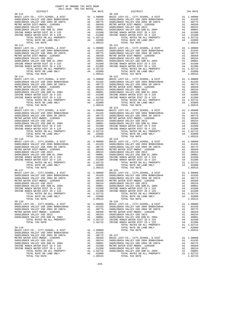| COUNTY OF ORANGE TAX RATE BOOK                                                                                                                                                                                                                                                                                                                                                       |          |                                                                                                                                                                                                                                                                                                                                                                                                                       |          |
|--------------------------------------------------------------------------------------------------------------------------------------------------------------------------------------------------------------------------------------------------------------------------------------------------------------------------------------------------------------------------------------|----------|-----------------------------------------------------------------------------------------------------------------------------------------------------------------------------------------------------------------------------------------------------------------------------------------------------------------------------------------------------------------------------------------------------------------------|----------|
|                                                                                                                                                                                                                                                                                                                                                                                      | TAX RATE | DISTRICT                                                                                                                                                                                                                                                                                                                                                                                                              | TAX RATE |
| $30 - 112$                                                                                                                                                                                                                                                                                                                                                                           |          | $30 - 120$                                                                                                                                                                                                                                                                                                                                                                                                            |          |
|                                                                                                                                                                                                                                                                                                                                                                                      |          |                                                                                                                                                                                                                                                                                                                                                                                                                       |          |
|                                                                                                                                                                                                                                                                                                                                                                                      |          |                                                                                                                                                                                                                                                                                                                                                                                                                       |          |
|                                                                                                                                                                                                                                                                                                                                                                                      |          |                                                                                                                                                                                                                                                                                                                                                                                                                       |          |
|                                                                                                                                                                                                                                                                                                                                                                                      |          |                                                                                                                                                                                                                                                                                                                                                                                                                       |          |
|                                                                                                                                                                                                                                                                                                                                                                                      |          |                                                                                                                                                                                                                                                                                                                                                                                                                       |          |
|                                                                                                                                                                                                                                                                                                                                                                                      |          |                                                                                                                                                                                                                                                                                                                                                                                                                       |          |
|                                                                                                                                                                                                                                                                                                                                                                                      |          |                                                                                                                                                                                                                                                                                                                                                                                                                       |          |
|                                                                                                                                                                                                                                                                                                                                                                                      |          |                                                                                                                                                                                                                                                                                                                                                                                                                       |          |
|                                                                                                                                                                                                                                                                                                                                                                                      |          |                                                                                                                                                                                                                                                                                                                                                                                                                       |          |
|                                                                                                                                                                                                                                                                                                                                                                                      |          |                                                                                                                                                                                                                                                                                                                                                                                                                       |          |
|                                                                                                                                                                                                                                                                                                                                                                                      |          |                                                                                                                                                                                                                                                                                                                                                                                                                       |          |
|                                                                                                                                                                                                                                                                                                                                                                                      |          |                                                                                                                                                                                                                                                                                                                                                                                                                       |          |
|                                                                                                                                                                                                                                                                                                                                                                                      |          |                                                                                                                                                                                                                                                                                                                                                                                                                       |          |
|                                                                                                                                                                                                                                                                                                                                                                                      |          |                                                                                                                                                                                                                                                                                                                                                                                                                       |          |
|                                                                                                                                                                                                                                                                                                                                                                                      |          |                                                                                                                                                                                                                                                                                                                                                                                                                       |          |
|                                                                                                                                                                                                                                                                                                                                                                                      |          |                                                                                                                                                                                                                                                                                                                                                                                                                       |          |
|                                                                                                                                                                                                                                                                                                                                                                                      |          |                                                                                                                                                                                                                                                                                                                                                                                                                       |          |
|                                                                                                                                                                                                                                                                                                                                                                                      |          |                                                                                                                                                                                                                                                                                                                                                                                                                       |          |
|                                                                                                                                                                                                                                                                                                                                                                                      |          |                                                                                                                                                                                                                                                                                                                                                                                                                       |          |
|                                                                                                                                                                                                                                                                                                                                                                                      |          |                                                                                                                                                                                                                                                                                                                                                                                                                       |          |
|                                                                                                                                                                                                                                                                                                                                                                                      |          |                                                                                                                                                                                                                                                                                                                                                                                                                       |          |
|                                                                                                                                                                                                                                                                                                                                                                                      |          |                                                                                                                                                                                                                                                                                                                                                                                                                       |          |
|                                                                                                                                                                                                                                                                                                                                                                                      |          |                                                                                                                                                                                                                                                                                                                                                                                                                       |          |
|                                                                                                                                                                                                                                                                                                                                                                                      |          | $\begin{tabular}{l c c c c c} \multicolumn{1}{c}{\textbf{R}}\textbf{WLLE RANCH WATER DIST ID & 225} & \multicolumn{1}{c}{\textbf{A4}} & .01001 & \multicolumn{1}{c}{\textbf{R}}\textbf{WLLER NCER V SLD GUS} & \multicolumn{1}{c}{\textbf{A4}} & .01001 & \multicolumn{1}{c}{\textbf{R}}\textbf{WLIER RNCH WATER DIST ID & 225 & \multicolumn{1}{c}{\textbf{A4}} & .01001 & \multicolumn{1}{c}{\textbf{R}}\textbf{WL$ |          |
| $30 - 118$                                                                                                                                                                                                                                                                                                                                                                           |          | $30 - 126$                                                                                                                                                                                                                                                                                                                                                                                                            |          |
|                                                                                                                                                                                                                                                                                                                                                                                      |          |                                                                                                                                                                                                                                                                                                                                                                                                                       |          |
|                                                                                                                                                                                                                                                                                                                                                                                      |          |                                                                                                                                                                                                                                                                                                                                                                                                                       |          |
|                                                                                                                                                                                                                                                                                                                                                                                      |          |                                                                                                                                                                                                                                                                                                                                                                                                                       |          |
|                                                                                                                                                                                                                                                                                                                                                                                      |          |                                                                                                                                                                                                                                                                                                                                                                                                                       |          |
|                                                                                                                                                                                                                                                                                                                                                                                      |          |                                                                                                                                                                                                                                                                                                                                                                                                                       |          |
|                                                                                                                                                                                                                                                                                                                                                                                      |          |                                                                                                                                                                                                                                                                                                                                                                                                                       |          |
| ${\small \begin{tabular}{l cccc} 30-119 \\ \text{BASIC LEVY-CO., CITY, SCHOOL, & \text{E DIST} & \text{A1} & 1.00000 & \text{TOTAL KATE on LAND ONLY} & \text{A2} & 1.02800 \\ \text{SADDLEBACK VALLEX USD 2004 BONDLEBACHUSD 2004 & \text{A1} & 0.01435 & \text{A2} & 1.05515 \\ \text{SADDLEBACK VALLEX USD 2004 SRDLEBACHUSD 2004 & \text{A1} & 0.0075 & \text{A2} & 0.00154 & \$ |          |                                                                                                                                                                                                                                                                                                                                                                                                                       |          |
|                                                                                                                                                                                                                                                                                                                                                                                      |          |                                                                                                                                                                                                                                                                                                                                                                                                                       |          |
|                                                                                                                                                                                                                                                                                                                                                                                      |          |                                                                                                                                                                                                                                                                                                                                                                                                                       |          |
|                                                                                                                                                                                                                                                                                                                                                                                      |          |                                                                                                                                                                                                                                                                                                                                                                                                                       |          |
|                                                                                                                                                                                                                                                                                                                                                                                      |          |                                                                                                                                                                                                                                                                                                                                                                                                                       |          |

|                                        |         | $\begin{tabular}{l c c c c c c c} \texttt{BASTC LEVY-CO}\,, &\texttt{CITY}, \texttt{SCHOOL}, &\texttt{E DIST} &\texttt{A1} & 1.00000 & \texttt{BASTC LEVY-CO}\,, &\texttt{CITY}, \texttt{SCHOOL}, &\texttt{E DIST} &\texttt{A1} & 1.00000 \\ \texttt{SADDLEBACK VALLEY USD 2004 BONDH2004A} &\texttt{A1} & .01435 & \texttt{SADDLEBACK VALLEY USD 2004 BONDH2004A} &\texttt{A1} & .01$ |         |
|----------------------------------------|---------|----------------------------------------------------------------------------------------------------------------------------------------------------------------------------------------------------------------------------------------------------------------------------------------------------------------------------------------------------------------------------------------|---------|
| TOTAL RATES ON ALL PROPERTY A1 1.02715 |         |                                                                                                                                                                                                                                                                                                                                                                                        |         |
| TOTAL TAX RATE                         |         |                                                                                                                                                                                                                                                                                                                                                                                        |         |
|                                        |         | $\begin{tabular}{c cccc} \texttt{A1} & .00001 & SADLEBACK VALLEX & SBD & GOB & EL & 2014 & A1 & .00001\\ \texttt{A1} & 1.02715 & IRVINE RANCH WATER DIST ID & \# 225 & A4 & .01500\\ & 1.02715 & IRVINE RANCH WATER DIST ID & \# 125 & A4 & .01300\\ & TOTAL RATES ON ALL PROPERTIES & A1 & 1.02715\\ & TOTAL RATES ON LAND ONLY & A4 & .02800\\ \end{tabular}$                        |         |
| $30 - 119$                             |         |                                                                                                                                                                                                                                                                                                                                                                                        |         |
|                                        |         |                                                                                                                                                                                                                                                                                                                                                                                        |         |
|                                        |         |                                                                                                                                                                                                                                                                                                                                                                                        |         |
|                                        |         |                                                                                                                                                                                                                                                                                                                                                                                        |         |
|                                        |         |                                                                                                                                                                                                                                                                                                                                                                                        |         |
|                                        |         |                                                                                                                                                                                                                                                                                                                                                                                        |         |
|                                        |         |                                                                                                                                                                                                                                                                                                                                                                                        |         |
|                                        |         |                                                                                                                                                                                                                                                                                                                                                                                        |         |
|                                        |         |                                                                                                                                                                                                                                                                                                                                                                                        |         |
|                                        |         |                                                                                                                                                                                                                                                                                                                                                                                        |         |
|                                        |         |                                                                                                                                                                                                                                                                                                                                                                                        |         |
| TOTAL TAX RATE                         | 1.05515 | TOTAL TAX RATE                                                                                                                                                                                                                                                                                                                                                                         | 1.02715 |

-259-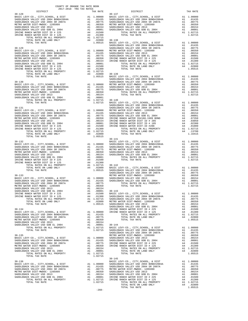| COUNTY OF ORANGE TAX RATE BOOK<br>2017-2018 TRA TAX RATES                     |    |                                                                                                                                               |                       |
|-------------------------------------------------------------------------------|----|-----------------------------------------------------------------------------------------------------------------------------------------------|-----------------------|
| DISTRICT<br>$30 - 128$                                                        |    | TAX RATE                                                                                                                                      | $30 - 137$            |
|                                                                               |    |                                                                                                                                               |                       |
|                                                                               |    |                                                                                                                                               |                       |
|                                                                               |    |                                                                                                                                               |                       |
|                                                                               |    |                                                                                                                                               |                       |
|                                                                               |    |                                                                                                                                               |                       |
| IRVINE RANCH WATER DIST ID # 225<br>IRVINE RANCH WATER DIST ID # 125          |    |                                                                                                                                               |                       |
|                                                                               |    |                                                                                                                                               |                       |
|                                                                               |    |                                                                                                                                               |                       |
|                                                                               |    |                                                                                                                                               |                       |
| $30 - 129$                                                                    |    |                                                                                                                                               | SADDLEB<br>SADDLEB    |
| BASIC LEVY-CO., CITY, SCHOOL, & DIST                                          |    | A1 1.00000 METRO W<br>A1 .01435 SADDLEB<br>A1 .0075 SADDLEB<br>A1 .00350 IRVINE<br>A1 .00051 IRVINE<br>A1 .00051<br>.00001<br>A1 .00001       |                       |
| SADDLEBACK VALLEY USD 2004 BOND#2004A<br>SADDLEBACK VALLEY USD 2004 SR 2007A  |    |                                                                                                                                               |                       |
|                                                                               |    |                                                                                                                                               |                       |
|                                                                               |    |                                                                                                                                               |                       |
|                                                                               |    |                                                                                                                                               |                       |
|                                                                               |    |                                                                                                                                               |                       |
|                                                                               |    |                                                                                                                                               |                       |
|                                                                               |    |                                                                                                                                               |                       |
|                                                                               |    |                                                                                                                                               |                       |
| $30 - 130$                                                                    |    |                                                                                                                                               | SADDLEB               |
|                                                                               |    |                                                                                                                                               |                       |
|                                                                               |    |                                                                                                                                               |                       |
|                                                                               |    |                                                                                                                                               |                       |
|                                                                               |    |                                                                                                                                               |                       |
|                                                                               |    |                                                                                                                                               |                       |
|                                                                               |    |                                                                                                                                               |                       |
| $30 - 131$                                                                    |    |                                                                                                                                               | SADDLEB<br>SADDLEB    |
|                                                                               |    |                                                                                                                                               |                       |
|                                                                               |    |                                                                                                                                               |                       |
|                                                                               |    |                                                                                                                                               |                       |
|                                                                               |    |                                                                                                                                               |                       |
|                                                                               |    |                                                                                                                                               |                       |
|                                                                               |    |                                                                                                                                               |                       |
|                                                                               |    |                                                                                                                                               |                       |
|                                                                               |    |                                                                                                                                               |                       |
|                                                                               |    |                                                                                                                                               |                       |
| $30 - 132$                                                                    |    |                                                                                                                                               | BASIC L               |
|                                                                               |    |                                                                                                                                               |                       |
|                                                                               |    |                                                                                                                                               |                       |
|                                                                               |    |                                                                                                                                               |                       |
|                                                                               |    |                                                                                                                                               |                       |
|                                                                               |    |                                                                                                                                               |                       |
|                                                                               |    |                                                                                                                                               |                       |
|                                                                               |    |                                                                                                                                               |                       |
|                                                                               |    |                                                                                                                                               |                       |
|                                                                               |    |                                                                                                                                               | SADDLEB               |
|                                                                               |    |                                                                                                                                               |                       |
|                                                                               |    |                                                                                                                                               |                       |
|                                                                               |    |                                                                                                                                               |                       |
|                                                                               |    | A1 .00154                                                                                                                                     |                       |
| SADDLEBACK VALLEY USD 2013<br>SADDLEBACK VALLEY USD GOB EL 2004               |    |                                                                                                                                               |                       |
| IRVINE RANCH WATER DIST ID # 225                                              |    |                                                                                                                                               |                       |
| IRVINE RANCH WATER DIST ID # 125<br>TOTAL RATES ON ALL PROPERTY               |    |                                                                                                                                               |                       |
| TOTAL RATE ON LAND ONLY                                                       |    | A1 .00001 30-143<br>A4 .01500 BASIC L<br>A4 .01500 BASIC L<br>A4 .01300 SADDLEB<br>A1 1.02715 SADDLEB<br>A4 .02800 METRO W<br>1.05515 SADDLEB |                       |
| TOTAL TAX RATE                                                                |    |                                                                                                                                               |                       |
|                                                                               |    |                                                                                                                                               | SADDLEB               |
| $30 - 134$<br>BASIC LEVY-CO., CITY, SCHOOL, & DIST                            |    | 1 1.00000<br>A1 1.00000 IRVINE<br>A1 .01435<br>A1 00775                                                                                       | IRVINE                |
| SADDLEBACK VALLEY USD 2004 BOND#2004A                                         |    |                                                                                                                                               |                       |
| SADDLEBACK VALLEY USD 2004 SR 2007A<br>METRO WATER DIST-MWDOC- 1205999        | A1 | .00350                                                                                                                                        |                       |
| SADDLEBACK VALLEY USD 2013                                                    |    | A1 .00154                                                                                                                                     |                       |
| SADDLEBACK VALLEY USD GOB EL 2004                                             | A1 | .00001                                                                                                                                        | $30 - 144$            |
| TOTAL RATES ON ALL PROPERTY<br>TOTAL TAX RATE                                 |    | A1 .00001 30-144<br>A1 1.02715 BASIC L<br>1.02715 SADDLEB                                                                                     |                       |
|                                                                               |    |                                                                                                                                               | SADDLEB               |
| $30 - 135$                                                                    |    |                                                                                                                                               | METRO W               |
| BASIC LEVY-CO., CITY, SCHOOL, & DIST<br>SADDLEBACK VALLEY USD 2004 BOND#2004A |    | A1 1.00000 SADDLEB<br>A1 .01435 SADDLEB<br>A1 .00775 IRVINE<br>A1 .00350 IRVINE                                                               |                       |
| SADDLEBACK VALLEY USD 2004 SR 2007A                                           |    |                                                                                                                                               |                       |
| METRO WATER DIST-MWDOC- 1205999                                               |    |                                                                                                                                               |                       |
| SADDLEBACK VALLEY USD 2013<br>SADDLEBACK VALLEY USD GOB EL 2004               |    | A1 .00154<br>A1 .00001                                                                                                                        |                       |
| TOTAL RATES ON ALL PROPERTY                                                   |    | A1 1.02715                                                                                                                                    |                       |
| TOTAL TAX RATE                                                                |    | 1.02715                                                                                                                                       |                       |
| $30 - 136$                                                                    |    |                                                                                                                                               | $30 - 145$<br>BASIC L |
|                                                                               |    |                                                                                                                                               |                       |
|                                                                               |    |                                                                                                                                               |                       |
|                                                                               |    |                                                                                                                                               |                       |
|                                                                               |    |                                                                                                                                               |                       |
|                                                                               |    |                                                                                                                                               |                       |
| TOTAL TAX RATE                                                                |    | 1.02715                                                                                                                                       |                       |
|                                                                               |    |                                                                                                                                               |                       |
|                                                                               |    |                                                                                                                                               |                       |

| DISTRICT | $2017 - 2010$ in $1ma$ in $1ma$ | TAX RATE | $\overline{E}$ 30-137<br>DISTRICT                                                                                                                                                                                                                                                                                                                                                               | TAX RATE |
|----------|---------------------------------|----------|-------------------------------------------------------------------------------------------------------------------------------------------------------------------------------------------------------------------------------------------------------------------------------------------------------------------------------------------------------------------------------------------------|----------|
|          |                                 |          |                                                                                                                                                                                                                                                                                                                                                                                                 |          |
|          |                                 |          |                                                                                                                                                                                                                                                                                                                                                                                                 |          |
|          |                                 |          |                                                                                                                                                                                                                                                                                                                                                                                                 |          |
|          |                                 |          |                                                                                                                                                                                                                                                                                                                                                                                                 |          |
|          |                                 |          |                                                                                                                                                                                                                                                                                                                                                                                                 |          |
|          |                                 |          |                                                                                                                                                                                                                                                                                                                                                                                                 |          |
|          |                                 |          |                                                                                                                                                                                                                                                                                                                                                                                                 |          |
|          |                                 |          |                                                                                                                                                                                                                                                                                                                                                                                                 |          |
|          |                                 |          |                                                                                                                                                                                                                                                                                                                                                                                                 |          |
|          |                                 |          |                                                                                                                                                                                                                                                                                                                                                                                                 |          |
|          |                                 |          |                                                                                                                                                                                                                                                                                                                                                                                                 |          |
|          |                                 |          |                                                                                                                                                                                                                                                                                                                                                                                                 |          |
|          |                                 |          |                                                                                                                                                                                                                                                                                                                                                                                                 |          |
|          |                                 |          |                                                                                                                                                                                                                                                                                                                                                                                                 |          |
|          |                                 |          |                                                                                                                                                                                                                                                                                                                                                                                                 |          |
|          |                                 |          |                                                                                                                                                                                                                                                                                                                                                                                                 |          |
|          |                                 |          |                                                                                                                                                                                                                                                                                                                                                                                                 |          |
|          |                                 |          |                                                                                                                                                                                                                                                                                                                                                                                                 |          |
|          |                                 |          |                                                                                                                                                                                                                                                                                                                                                                                                 |          |
|          |                                 |          |                                                                                                                                                                                                                                                                                                                                                                                                 |          |
|          |                                 |          |                                                                                                                                                                                                                                                                                                                                                                                                 |          |
|          |                                 |          |                                                                                                                                                                                                                                                                                                                                                                                                 |          |
|          |                                 |          |                                                                                                                                                                                                                                                                                                                                                                                                 |          |
|          |                                 |          |                                                                                                                                                                                                                                                                                                                                                                                                 |          |
|          |                                 |          |                                                                                                                                                                                                                                                                                                                                                                                                 |          |
|          |                                 |          |                                                                                                                                                                                                                                                                                                                                                                                                 |          |
|          |                                 |          |                                                                                                                                                                                                                                                                                                                                                                                                 |          |
|          |                                 |          |                                                                                                                                                                                                                                                                                                                                                                                                 |          |
|          |                                 |          |                                                                                                                                                                                                                                                                                                                                                                                                 |          |
|          |                                 |          |                                                                                                                                                                                                                                                                                                                                                                                                 |          |
|          |                                 |          |                                                                                                                                                                                                                                                                                                                                                                                                 |          |
|          |                                 |          |                                                                                                                                                                                                                                                                                                                                                                                                 |          |
|          |                                 |          |                                                                                                                                                                                                                                                                                                                                                                                                 |          |
|          |                                 |          |                                                                                                                                                                                                                                                                                                                                                                                                 |          |
|          |                                 |          |                                                                                                                                                                                                                                                                                                                                                                                                 |          |
|          |                                 |          |                                                                                                                                                                                                                                                                                                                                                                                                 |          |
|          |                                 |          | $\begin{tabular}{cccccccc} $30-132$ & $1.05515 & $1.05515 & $1.05515 & $1.05515 & $1.05515 & $1.05515 & $1.05515 & $1.05515 & $1.05515 & $1.05515 & $1.05515 & $1.05515 & $1.05515 & $1.05515 & $1.05515 & $1.05515 & $1.05515 & $1.05515 & $1.05515 & $1.05515 & $1.05515 & $1.05515 & $1.0$                                                                                                   |          |
|          |                                 |          |                                                                                                                                                                                                                                                                                                                                                                                                 |          |
|          |                                 |          |                                                                                                                                                                                                                                                                                                                                                                                                 |          |
|          |                                 |          |                                                                                                                                                                                                                                                                                                                                                                                                 |          |
|          |                                 |          |                                                                                                                                                                                                                                                                                                                                                                                                 |          |
|          |                                 |          |                                                                                                                                                                                                                                                                                                                                                                                                 |          |
|          |                                 |          |                                                                                                                                                                                                                                                                                                                                                                                                 |          |
|          |                                 |          |                                                                                                                                                                                                                                                                                                                                                                                                 |          |
|          |                                 |          |                                                                                                                                                                                                                                                                                                                                                                                                 |          |
|          |                                 |          |                                                                                                                                                                                                                                                                                                                                                                                                 |          |
|          |                                 |          |                                                                                                                                                                                                                                                                                                                                                                                                 |          |
|          |                                 |          |                                                                                                                                                                                                                                                                                                                                                                                                 |          |
|          |                                 |          |                                                                                                                                                                                                                                                                                                                                                                                                 |          |
|          |                                 |          |                                                                                                                                                                                                                                                                                                                                                                                                 |          |
|          |                                 |          |                                                                                                                                                                                                                                                                                                                                                                                                 |          |
|          |                                 |          |                                                                                                                                                                                                                                                                                                                                                                                                 |          |
|          |                                 |          |                                                                                                                                                                                                                                                                                                                                                                                                 |          |
|          |                                 |          |                                                                                                                                                                                                                                                                                                                                                                                                 |          |
|          |                                 |          |                                                                                                                                                                                                                                                                                                                                                                                                 |          |
|          |                                 |          |                                                                                                                                                                                                                                                                                                                                                                                                 |          |
|          |                                 |          |                                                                                                                                                                                                                                                                                                                                                                                                 |          |
|          |                                 |          |                                                                                                                                                                                                                                                                                                                                                                                                 |          |
|          |                                 |          |                                                                                                                                                                                                                                                                                                                                                                                                 |          |
|          |                                 |          |                                                                                                                                                                                                                                                                                                                                                                                                 |          |
|          |                                 |          |                                                                                                                                                                                                                                                                                                                                                                                                 |          |
|          |                                 |          |                                                                                                                                                                                                                                                                                                                                                                                                 |          |
|          |                                 |          | $\begin{tabular}{@{}c c c} \textbf{MATE} & \textbf{DATE} & \textbf{31.02715} & \textbf{32.016} & \textbf{33.016} \\ \textbf{MATE} & \textbf{DATE} & \textbf{MATE} & \textbf{1.02715} & \textbf{31.02715} & \textbf{32.014} & \textbf{33.016} \\ \textbf{MATE} & \textbf{MATE} & \textbf{DATE} & \textbf{DATE} & \textbf{M1.02715} & \textbf{33.016} \\ \textbf{MATE} & \textbf{MATE} & \textbf$ |          |
|          |                                 |          |                                                                                                                                                                                                                                                                                                                                                                                                 |          |
|          |                                 |          |                                                                                                                                                                                                                                                                                                                                                                                                 |          |
|          |                                 |          |                                                                                                                                                                                                                                                                                                                                                                                                 |          |
|          |                                 |          |                                                                                                                                                                                                                                                                                                                                                                                                 |          |
|          |                                 |          |                                                                                                                                                                                                                                                                                                                                                                                                 |          |
|          |                                 |          |                                                                                                                                                                                                                                                                                                                                                                                                 |          |
|          |                                 |          |                                                                                                                                                                                                                                                                                                                                                                                                 |          |
|          |                                 |          | $30 - 145$                                                                                                                                                                                                                                                                                                                                                                                      |          |
|          |                                 |          |                                                                                                                                                                                                                                                                                                                                                                                                 |          |
|          |                                 |          |                                                                                                                                                                                                                                                                                                                                                                                                 |          |
|          |                                 |          |                                                                                                                                                                                                                                                                                                                                                                                                 |          |
|          |                                 |          |                                                                                                                                                                                                                                                                                                                                                                                                 |          |
|          |                                 |          |                                                                                                                                                                                                                                                                                                                                                                                                 |          |
|          |                                 |          |                                                                                                                                                                                                                                                                                                                                                                                                 |          |
|          |                                 |          |                                                                                                                                                                                                                                                                                                                                                                                                 |          |
|          |                                 |          |                                                                                                                                                                                                                                                                                                                                                                                                 |          |
|          |                                 | $-260-$  |                                                                                                                                                                                                                                                                                                                                                                                                 |          |
|          |                                 |          |                                                                                                                                                                                                                                                                                                                                                                                                 |          |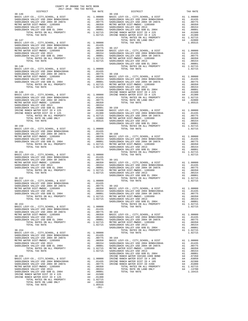|  | TRA TAX RATE<br>TAX RATE 30-156 DISTRICT | TAX RATE |
|--|------------------------------------------|----------|
|  |                                          |          |
|  |                                          |          |
|  |                                          |          |
|  |                                          |          |
|  |                                          |          |
|  |                                          |          |
|  |                                          |          |
|  |                                          |          |
|  |                                          |          |
|  |                                          |          |
|  |                                          |          |
|  |                                          |          |
|  |                                          |          |
|  |                                          |          |
|  |                                          |          |
|  |                                          |          |
|  |                                          |          |
|  |                                          |          |
|  |                                          |          |
|  |                                          |          |
|  |                                          |          |
|  |                                          |          |
|  |                                          |          |
|  |                                          |          |
|  |                                          |          |
|  |                                          |          |
|  |                                          |          |
|  |                                          |          |
|  |                                          |          |
|  |                                          |          |
|  |                                          |          |
|  |                                          |          |
|  |                                          |          |
|  |                                          |          |
|  |                                          |          |
|  |                                          |          |
|  |                                          |          |
|  |                                          |          |
|  |                                          |          |
|  |                                          |          |
|  |                                          |          |
|  |                                          |          |
|  |                                          |          |
|  |                                          |          |
|  |                                          |          |
|  |                                          |          |
|  |                                          |          |
|  |                                          |          |
|  |                                          |          |
|  |                                          |          |
|  |                                          |          |
|  |                                          |          |
|  |                                          |          |
|  |                                          |          |
|  |                                          |          |
|  |                                          |          |
|  |                                          |          |
|  |                                          |          |
|  |                                          |          |
|  |                                          |          |
|  |                                          |          |
|  |                                          |          |
|  |                                          |          |
|  |                                          |          |
|  |                                          |          |
|  |                                          |          |
|  |                                          |          |
|  |                                          |          |
|  |                                          |          |
|  |                                          |          |
|  |                                          |          |
|  |                                          |          |
|  |                                          |          |

 $1.05515$ <br>-261-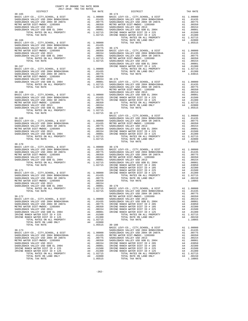| $30 - 165$ |  | RA TAX RATES<br>TAX RATE 130-174 DISTRICT<br>38-145 DETRICT (FOR ASSEMBATION WAS THAT PARTICLE AND DETRICT (FOR A DISTRICT AND ANNOUNCE AND INTERFERENCE AND A CONSULTANT AND A CONSULTANT AND A CONSULTANT AND A CONSULTANT AND CONSULTANT AND A CONSULTANT AND A CONSULT | TAX RATE |
|------------|--|----------------------------------------------------------------------------------------------------------------------------------------------------------------------------------------------------------------------------------------------------------------------------|----------|
|            |  |                                                                                                                                                                                                                                                                            |          |
|            |  |                                                                                                                                                                                                                                                                            |          |
|            |  |                                                                                                                                                                                                                                                                            |          |
|            |  |                                                                                                                                                                                                                                                                            |          |
|            |  |                                                                                                                                                                                                                                                                            |          |
|            |  |                                                                                                                                                                                                                                                                            |          |
|            |  |                                                                                                                                                                                                                                                                            |          |
|            |  |                                                                                                                                                                                                                                                                            |          |
|            |  |                                                                                                                                                                                                                                                                            |          |
|            |  |                                                                                                                                                                                                                                                                            |          |
|            |  |                                                                                                                                                                                                                                                                            |          |
|            |  |                                                                                                                                                                                                                                                                            |          |
|            |  |                                                                                                                                                                                                                                                                            |          |
|            |  |                                                                                                                                                                                                                                                                            |          |
|            |  |                                                                                                                                                                                                                                                                            |          |
|            |  |                                                                                                                                                                                                                                                                            |          |
|            |  |                                                                                                                                                                                                                                                                            |          |
|            |  |                                                                                                                                                                                                                                                                            |          |
|            |  |                                                                                                                                                                                                                                                                            |          |
|            |  |                                                                                                                                                                                                                                                                            |          |
|            |  |                                                                                                                                                                                                                                                                            |          |
|            |  |                                                                                                                                                                                                                                                                            |          |
|            |  |                                                                                                                                                                                                                                                                            |          |
|            |  |                                                                                                                                                                                                                                                                            |          |
|            |  |                                                                                                                                                                                                                                                                            |          |
|            |  |                                                                                                                                                                                                                                                                            |          |
|            |  |                                                                                                                                                                                                                                                                            |          |
|            |  |                                                                                                                                                                                                                                                                            |          |
|            |  |                                                                                                                                                                                                                                                                            |          |
|            |  |                                                                                                                                                                                                                                                                            |          |
|            |  |                                                                                                                                                                                                                                                                            |          |
|            |  |                                                                                                                                                                                                                                                                            |          |
|            |  |                                                                                                                                                                                                                                                                            |          |
|            |  |                                                                                                                                                                                                                                                                            |          |
|            |  |                                                                                                                                                                                                                                                                            |          |
|            |  |                                                                                                                                                                                                                                                                            |          |
|            |  |                                                                                                                                                                                                                                                                            |          |
| $30 - 170$ |  |                                                                                                                                                                                                                                                                            |          |
|            |  |                                                                                                                                                                                                                                                                            |          |
|            |  |                                                                                                                                                                                                                                                                            |          |
|            |  |                                                                                                                                                                                                                                                                            |          |
|            |  |                                                                                                                                                                                                                                                                            |          |
|            |  |                                                                                                                                                                                                                                                                            |          |
|            |  |                                                                                                                                                                                                                                                                            |          |
|            |  |                                                                                                                                                                                                                                                                            |          |
|            |  |                                                                                                                                                                                                                                                                            |          |
|            |  |                                                                                                                                                                                                                                                                            |          |
|            |  |                                                                                                                                                                                                                                                                            |          |
|            |  |                                                                                                                                                                                                                                                                            |          |
|            |  |                                                                                                                                                                                                                                                                            |          |
|            |  |                                                                                                                                                                                                                                                                            |          |
|            |  |                                                                                                                                                                                                                                                                            |          |
|            |  |                                                                                                                                                                                                                                                                            |          |
|            |  |                                                                                                                                                                                                                                                                            |          |
|            |  |                                                                                                                                                                                                                                                                            |          |
|            |  |                                                                                                                                                                                                                                                                            |          |
|            |  |                                                                                                                                                                                                                                                                            |          |
|            |  |                                                                                                                                                                                                                                                                            |          |
|            |  |                                                                                                                                                                                                                                                                            |          |
|            |  |                                                                                                                                                                                                                                                                            |          |
|            |  |                                                                                                                                                                                                                                                                            |          |
|            |  |                                                                                                                                                                                                                                                                            |          |
|            |  |                                                                                                                                                                                                                                                                            |          |
|            |  |                                                                                                                                                                                                                                                                            |          |
|            |  |                                                                                                                                                                                                                                                                            |          |
|            |  |                                                                                                                                                                                                                                                                            |          |
|            |  |                                                                                                                                                                                                                                                                            |          |
|            |  |                                                                                                                                                                                                                                                                            |          |
|            |  |                                                                                                                                                                                                                                                                            |          |
|            |  |                                                                                                                                                                                                                                                                            |          |
|            |  |                                                                                                                                                                                                                                                                            |          |
|            |  |                                                                                                                                                                                                                                                                            |          |
|            |  |                                                                                                                                                                                                                                                                            |          |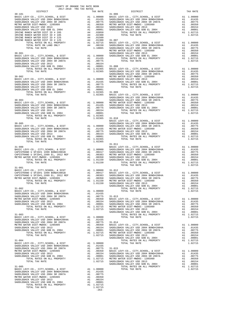|            |  | 10-18) PERIPHENT (1997) 2003<br>MASTER LATV-CO., CTT, 2003<br>MASTER VALLEY (2003) ARRIC LATV-CO., CTT, 2003<br>MASTER VALLEY (2003) ARRIC LATV-CO., CTT, 2003<br>MASTER CONTRACT VALLEY (2003) ARRIC LATV-CO., CTT, 2003<br>MASTER CO |         |
|------------|--|----------------------------------------------------------------------------------------------------------------------------------------------------------------------------------------------------------------------------------------|---------|
|            |  |                                                                                                                                                                                                                                        |         |
|            |  |                                                                                                                                                                                                                                        |         |
|            |  |                                                                                                                                                                                                                                        |         |
|            |  |                                                                                                                                                                                                                                        |         |
|            |  |                                                                                                                                                                                                                                        |         |
|            |  |                                                                                                                                                                                                                                        |         |
|            |  |                                                                                                                                                                                                                                        |         |
|            |  |                                                                                                                                                                                                                                        |         |
|            |  |                                                                                                                                                                                                                                        |         |
|            |  |                                                                                                                                                                                                                                        |         |
|            |  |                                                                                                                                                                                                                                        |         |
|            |  |                                                                                                                                                                                                                                        |         |
|            |  |                                                                                                                                                                                                                                        |         |
|            |  |                                                                                                                                                                                                                                        |         |
|            |  |                                                                                                                                                                                                                                        |         |
|            |  |                                                                                                                                                                                                                                        |         |
|            |  |                                                                                                                                                                                                                                        |         |
|            |  |                                                                                                                                                                                                                                        |         |
|            |  | TOTAL TAX RATE                                                                                                                                                                                                                         | 1.02715 |
| $31 - 001$ |  |                                                                                                                                                                                                                                        |         |
|            |  |                                                                                                                                                                                                                                        |         |
|            |  |                                                                                                                                                                                                                                        |         |
|            |  |                                                                                                                                                                                                                                        |         |
|            |  |                                                                                                                                                                                                                                        |         |
|            |  |                                                                                                                                                                                                                                        |         |
|            |  |                                                                                                                                                                                                                                        |         |
|            |  |                                                                                                                                                                                                                                        |         |
|            |  |                                                                                                                                                                                                                                        |         |
|            |  |                                                                                                                                                                                                                                        |         |
|            |  |                                                                                                                                                                                                                                        |         |
|            |  |                                                                                                                                                                                                                                        |         |
|            |  |                                                                                                                                                                                                                                        |         |
|            |  |                                                                                                                                                                                                                                        |         |
|            |  |                                                                                                                                                                                                                                        |         |
|            |  |                                                                                                                                                                                                                                        |         |
|            |  |                                                                                                                                                                                                                                        |         |
|            |  |                                                                                                                                                                                                                                        |         |
|            |  |                                                                                                                                                                                                                                        |         |
|            |  |                                                                                                                                                                                                                                        |         |
|            |  |                                                                                                                                                                                                                                        |         |
|            |  |                                                                                                                                                                                                                                        |         |
|            |  |                                                                                                                                                                                                                                        |         |
|            |  |                                                                                                                                                                                                                                        |         |
|            |  |                                                                                                                                                                                                                                        |         |
|            |  |                                                                                                                                                                                                                                        |         |
|            |  |                                                                                                                                                                                                                                        |         |
|            |  |                                                                                                                                                                                                                                        |         |
|            |  |                                                                                                                                                                                                                                        |         |
|            |  |                                                                                                                                                                                                                                        |         |
|            |  |                                                                                                                                                                                                                                        |         |
|            |  |                                                                                                                                                                                                                                        |         |
|            |  |                                                                                                                                                                                                                                        |         |
|            |  |                                                                                                                                                                                                                                        |         |
|            |  |                                                                                                                                                                                                                                        |         |
|            |  |                                                                                                                                                                                                                                        |         |
|            |  |                                                                                                                                                                                                                                        |         |
|            |  |                                                                                                                                                                                                                                        |         |
|            |  |                                                                                                                                                                                                                                        |         |
|            |  |                                                                                                                                                                                                                                        |         |
|            |  |                                                                                                                                                                                                                                        |         |

-263-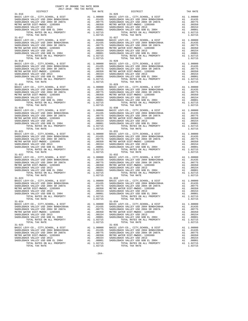|                                       |            | $\begin{tabular}{c c c c c} 31-017 & 31-0271 & 31-0271 & 31-0271 & 31-0271 & 31-0271 & 31-0271 & 31-0271 & 31-0271 & 31-0271 & 31-0271 & 31-0271 & 31-0271 & 31-0271 & 31-0271 & 31-0271 & 31-0271 & 31-0271 & 31-0271 & 31-0271 & 31-0271 & 31-0271 & 31-027$                                                                                                                                                              |                         |
|---------------------------------------|------------|-----------------------------------------------------------------------------------------------------------------------------------------------------------------------------------------------------------------------------------------------------------------------------------------------------------------------------------------------------------------------------------------------------------------------------|-------------------------|
|                                       |            |                                                                                                                                                                                                                                                                                                                                                                                                                             |                         |
|                                       |            |                                                                                                                                                                                                                                                                                                                                                                                                                             |                         |
|                                       |            |                                                                                                                                                                                                                                                                                                                                                                                                                             |                         |
|                                       |            |                                                                                                                                                                                                                                                                                                                                                                                                                             |                         |
|                                       |            |                                                                                                                                                                                                                                                                                                                                                                                                                             |                         |
|                                       |            |                                                                                                                                                                                                                                                                                                                                                                                                                             |                         |
|                                       |            |                                                                                                                                                                                                                                                                                                                                                                                                                             |                         |
|                                       |            |                                                                                                                                                                                                                                                                                                                                                                                                                             |                         |
|                                       |            | $\begin{tabular}{c c c c c} 31-018 \\ \hline \texttt{BADLEBACK} \texttt{VALLEY} \texttt{CO}, \texttt{CITY}, \texttt{CHOOL}, \texttt{CITY}, \texttt{SCHOOL}, \texttt{EVY-CO}, \texttt{CITY}, \texttt{SCHOOL}, \texttt{E DIST} & \texttt{A1 1.00000} \\ \texttt{SADDEBACK} \texttt{VALLEY} \texttt{USD} \texttt{2004} \texttt{BONDH2004A} & \texttt{A1} & .01435 \\ \texttt{SADDEBACK} \texttt{VALLEY} \texttt{USD} \texttt{$ |                         |
|                                       |            |                                                                                                                                                                                                                                                                                                                                                                                                                             |                         |
|                                       |            |                                                                                                                                                                                                                                                                                                                                                                                                                             |                         |
|                                       |            |                                                                                                                                                                                                                                                                                                                                                                                                                             |                         |
|                                       |            |                                                                                                                                                                                                                                                                                                                                                                                                                             |                         |
|                                       |            |                                                                                                                                                                                                                                                                                                                                                                                                                             |                         |
|                                       |            |                                                                                                                                                                                                                                                                                                                                                                                                                             |                         |
|                                       |            |                                                                                                                                                                                                                                                                                                                                                                                                                             |                         |
|                                       |            |                                                                                                                                                                                                                                                                                                                                                                                                                             |                         |
|                                       |            |                                                                                                                                                                                                                                                                                                                                                                                                                             |                         |
|                                       |            |                                                                                                                                                                                                                                                                                                                                                                                                                             |                         |
|                                       |            |                                                                                                                                                                                                                                                                                                                                                                                                                             |                         |
|                                       |            |                                                                                                                                                                                                                                                                                                                                                                                                                             |                         |
|                                       |            |                                                                                                                                                                                                                                                                                                                                                                                                                             |                         |
|                                       |            |                                                                                                                                                                                                                                                                                                                                                                                                                             |                         |
|                                       |            |                                                                                                                                                                                                                                                                                                                                                                                                                             |                         |
|                                       |            |                                                                                                                                                                                                                                                                                                                                                                                                                             |                         |
|                                       |            |                                                                                                                                                                                                                                                                                                                                                                                                                             |                         |
|                                       |            |                                                                                                                                                                                                                                                                                                                                                                                                                             |                         |
|                                       |            |                                                                                                                                                                                                                                                                                                                                                                                                                             |                         |
|                                       |            |                                                                                                                                                                                                                                                                                                                                                                                                                             |                         |
|                                       |            |                                                                                                                                                                                                                                                                                                                                                                                                                             |                         |
|                                       |            |                                                                                                                                                                                                                                                                                                                                                                                                                             |                         |
|                                       |            |                                                                                                                                                                                                                                                                                                                                                                                                                             |                         |
|                                       |            |                                                                                                                                                                                                                                                                                                                                                                                                                             |                         |
|                                       |            |                                                                                                                                                                                                                                                                                                                                                                                                                             |                         |
|                                       |            |                                                                                                                                                                                                                                                                                                                                                                                                                             |                         |
|                                       |            |                                                                                                                                                                                                                                                                                                                                                                                                                             |                         |
|                                       |            |                                                                                                                                                                                                                                                                                                                                                                                                                             |                         |
|                                       |            |                                                                                                                                                                                                                                                                                                                                                                                                                             |                         |
|                                       |            |                                                                                                                                                                                                                                                                                                                                                                                                                             |                         |
|                                       |            |                                                                                                                                                                                                                                                                                                                                                                                                                             |                         |
|                                       |            |                                                                                                                                                                                                                                                                                                                                                                                                                             |                         |
|                                       |            |                                                                                                                                                                                                                                                                                                                                                                                                                             |                         |
|                                       |            |                                                                                                                                                                                                                                                                                                                                                                                                                             |                         |
|                                       |            |                                                                                                                                                                                                                                                                                                                                                                                                                             |                         |
|                                       |            |                                                                                                                                                                                                                                                                                                                                                                                                                             |                         |
|                                       |            |                                                                                                                                                                                                                                                                                                                                                                                                                             |                         |
|                                       |            |                                                                                                                                                                                                                                                                                                                                                                                                                             |                         |
|                                       |            |                                                                                                                                                                                                                                                                                                                                                                                                                             |                         |
|                                       |            |                                                                                                                                                                                                                                                                                                                                                                                                                             |                         |
|                                       |            |                                                                                                                                                                                                                                                                                                                                                                                                                             |                         |
|                                       |            |                                                                                                                                                                                                                                                                                                                                                                                                                             |                         |
|                                       |            |                                                                                                                                                                                                                                                                                                                                                                                                                             |                         |
|                                       |            |                                                                                                                                                                                                                                                                                                                                                                                                                             |                         |
|                                       |            |                                                                                                                                                                                                                                                                                                                                                                                                                             |                         |
|                                       |            |                                                                                                                                                                                                                                                                                                                                                                                                                             |                         |
|                                       |            |                                                                                                                                                                                                                                                                                                                                                                                                                             |                         |
|                                       |            |                                                                                                                                                                                                                                                                                                                                                                                                                             |                         |
|                                       |            |                                                                                                                                                                                                                                                                                                                                                                                                                             |                         |
|                                       |            |                                                                                                                                                                                                                                                                                                                                                                                                                             |                         |
|                                       |            |                                                                                                                                                                                                                                                                                                                                                                                                                             |                         |
| SADDLEBACK VALLEY USD GOB EL 2004     | A1 .00001  | SADDLEBACK VALLEY USD GOB EL 2004                                                                                                                                                                                                                                                                                                                                                                                           | A1 .00001               |
| TOTAL RATES ON ALL PROPERTY           | A1 1.02715 | TOTAL RATES ON ALL PROPERTY                                                                                                                                                                                                                                                                                                                                                                                                 | A1 1.02715              |
| TOTAL TAX RATE                        | 1.02715    | TOTAL TAX RATE                                                                                                                                                                                                                                                                                                                                                                                                              | 1.02715                 |
| $31 - 024$                            |            | $31 - 034$                                                                                                                                                                                                                                                                                                                                                                                                                  |                         |
|                                       |            | BASIC LEVY-CO., CITY, SCHOOL, & DIST A1 1.00000 BASIC LEVY-CO., CITY, SCHOOL, & DIST                                                                                                                                                                                                                                                                                                                                        | A1 1.00000              |
| SADDLEBACK VALLEY USD 2004 BOND#2004A |            | A1 .01435 SADDLEBACK VALLEY USD 2004 BOND#2004A                                                                                                                                                                                                                                                                                                                                                                             | A1 .01435               |
| SADDLEBACK VALLEY USD 2004 SR 2007A   |            | A1 .00775 SADDLEBACK VALLEY USD 2004 SR 2007A                                                                                                                                                                                                                                                                                                                                                                               | A1 .00775               |
| METRO WATER DIST-MWDOC- 1205999       |            | A1 .00350 METRO WATER DIST-MWDOC- 1205999                                                                                                                                                                                                                                                                                                                                                                                   | A1 .00350               |
| SADDLEBACK VALLEY USD 2013            |            |                                                                                                                                                                                                                                                                                                                                                                                                                             | A1 .00154               |
| SADDLEBACK VALLEY USD GOB EL 2004     |            | ר בעבר היא האנגמי האיבור האנגמי ה-120 ב-120 ב-120 ב-2015<br>A1 .00001 SADDLEBACK VALLEY USD GOB E<br>A1 .02715 20001 EBACK VALLEY USD GOB E<br>SADDLEBACK VALLEY USD GOB EL 2004                                                                                                                                                                                                                                            |                         |
| TOTAL RATES ON ALL PROPERTY           |            | $\begin{tabular}{lllllllllllll} - & $\mathbb{S}\cup\mathbb{D}$ & $\mathbb{S}\cup\mathbb{D}$ & $\mathbb{S}\cup\mathbb{D}$ & $\mathbb{S}\cup\mathbb{D}$ \\ \hline \text{TOTAL RATES ON ALL PROPERTIES} \\ \text{TOTAL TAX RATE} \end{tabular}$                                                                                                                                                                                | A1 .00001<br>A1 1.02715 |
| TOTAL TAX RATE                        | 1.02715    |                                                                                                                                                                                                                                                                                                                                                                                                                             | 1.02715                 |
| $31 - 025$                            |            | $31 - 035$                                                                                                                                                                                                                                                                                                                                                                                                                  |                         |
|                                       |            |                                                                                                                                                                                                                                                                                                                                                                                                                             | A1 1.00000              |
|                                       |            |                                                                                                                                                                                                                                                                                                                                                                                                                             | A1 .01435               |
|                                       |            |                                                                                                                                                                                                                                                                                                                                                                                                                             | A1 .00775               |
| METRO WATER DIST-MWDOC- 1205999       | A1 .00350  | METRO WATER DIST-MWDOC- 1205999                                                                                                                                                                                                                                                                                                                                                                                             | A1 .00350               |
| SADDLEBACK VALLEY USD 2013            | A1 .00154  | SADDLEBACK VALLEY USD 2013                                                                                                                                                                                                                                                                                                                                                                                                  | A1<br>.00154            |
|                                       | A1 .00001  | SADDLEBACK VALLEY USD GOB EL 2004                                                                                                                                                                                                                                                                                                                                                                                           | A1 .00001               |
| SADDLEBACK VALLEY USD GOB EL 2004     |            |                                                                                                                                                                                                                                                                                                                                                                                                                             |                         |

-264-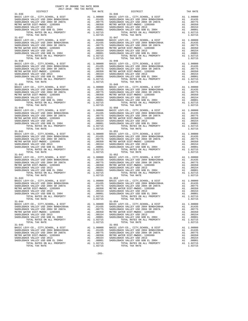| $\begin{tabular}{l c c c c c} \multicolumn{4}{c}{\textbf{31-036}} & \multicolumn{4}{c}{\textbf{21-046}} & \multicolumn{4}{c}{\textbf{21-046}} & \multicolumn{4}{c}{\textbf{21-046}} & \multicolumn{4}{c}{\textbf{21-046}} & \multicolumn{4}{c}{\textbf{21-046}} & \multicolumn{4}{c}{\textbf{21-046}} & \multicolumn{4}{c}{\textbf{21-046}} & \multicolumn{4}{c}{\textbf{21-046}} & \multicolumn{4}{c}{\textbf{$ |            |                                                                                                                                                                                                                                                                                                                                                                                                               |                         |
|------------------------------------------------------------------------------------------------------------------------------------------------------------------------------------------------------------------------------------------------------------------------------------------------------------------------------------------------------------------------------------------------------------------|------------|---------------------------------------------------------------------------------------------------------------------------------------------------------------------------------------------------------------------------------------------------------------------------------------------------------------------------------------------------------------------------------------------------------------|-------------------------|
|                                                                                                                                                                                                                                                                                                                                                                                                                  |            |                                                                                                                                                                                                                                                                                                                                                                                                               |                         |
|                                                                                                                                                                                                                                                                                                                                                                                                                  |            |                                                                                                                                                                                                                                                                                                                                                                                                               |                         |
|                                                                                                                                                                                                                                                                                                                                                                                                                  |            |                                                                                                                                                                                                                                                                                                                                                                                                               |                         |
|                                                                                                                                                                                                                                                                                                                                                                                                                  |            |                                                                                                                                                                                                                                                                                                                                                                                                               |                         |
|                                                                                                                                                                                                                                                                                                                                                                                                                  |            |                                                                                                                                                                                                                                                                                                                                                                                                               |                         |
|                                                                                                                                                                                                                                                                                                                                                                                                                  |            |                                                                                                                                                                                                                                                                                                                                                                                                               |                         |
|                                                                                                                                                                                                                                                                                                                                                                                                                  |            |                                                                                                                                                                                                                                                                                                                                                                                                               |                         |
|                                                                                                                                                                                                                                                                                                                                                                                                                  |            |                                                                                                                                                                                                                                                                                                                                                                                                               |                         |
|                                                                                                                                                                                                                                                                                                                                                                                                                  |            |                                                                                                                                                                                                                                                                                                                                                                                                               |                         |
|                                                                                                                                                                                                                                                                                                                                                                                                                  |            | $\begin{tabular}{c c c c c} 31-037 & 31-047 & 31-04000 & 31-047 & 31-04000 & 31-040000 & 31-040000 & 31-040000 & 31-040000 & 31-040000 & 31-040000 & 31-040000 & 31-040000 & 31-040000 & 31-040000 & 31-040000 & 31-040000 & 31-040000 & 31-040000 & 31-04$                                                                                                                                                   |                         |
|                                                                                                                                                                                                                                                                                                                                                                                                                  |            |                                                                                                                                                                                                                                                                                                                                                                                                               |                         |
|                                                                                                                                                                                                                                                                                                                                                                                                                  |            |                                                                                                                                                                                                                                                                                                                                                                                                               |                         |
|                                                                                                                                                                                                                                                                                                                                                                                                                  |            |                                                                                                                                                                                                                                                                                                                                                                                                               |                         |
|                                                                                                                                                                                                                                                                                                                                                                                                                  |            |                                                                                                                                                                                                                                                                                                                                                                                                               |                         |
|                                                                                                                                                                                                                                                                                                                                                                                                                  |            |                                                                                                                                                                                                                                                                                                                                                                                                               |                         |
|                                                                                                                                                                                                                                                                                                                                                                                                                  |            |                                                                                                                                                                                                                                                                                                                                                                                                               |                         |
|                                                                                                                                                                                                                                                                                                                                                                                                                  |            |                                                                                                                                                                                                                                                                                                                                                                                                               |                         |
|                                                                                                                                                                                                                                                                                                                                                                                                                  |            |                                                                                                                                                                                                                                                                                                                                                                                                               |                         |
|                                                                                                                                                                                                                                                                                                                                                                                                                  |            | $\begin{tabular}{c c c c c} 31-038 \\ \texttt{BADLEBACK} \texttt{CEVY-CO} \,, \texttt{CITY}, \texttt{SCHOOL}, \texttt{& DIST} & \texttt{Al} & 1.00000 & \texttt{BASIC} \texttt{LEVY-CO} \,, \texttt{CITY}, \texttt{SCHOOL}, \texttt{& DIST} & \texttt{Al} & 1.00000 \\ \texttt{SADDEBACK} \texttt{VALEY} \texttt{USD} \texttt{2004} \texttt{BONDH2004A} & \texttt{Al} & .01435 & \texttt{SADDEBACK} \texttt{$ |                         |
|                                                                                                                                                                                                                                                                                                                                                                                                                  |            |                                                                                                                                                                                                                                                                                                                                                                                                               |                         |
|                                                                                                                                                                                                                                                                                                                                                                                                                  |            |                                                                                                                                                                                                                                                                                                                                                                                                               |                         |
|                                                                                                                                                                                                                                                                                                                                                                                                                  |            |                                                                                                                                                                                                                                                                                                                                                                                                               |                         |
|                                                                                                                                                                                                                                                                                                                                                                                                                  |            |                                                                                                                                                                                                                                                                                                                                                                                                               |                         |
|                                                                                                                                                                                                                                                                                                                                                                                                                  |            |                                                                                                                                                                                                                                                                                                                                                                                                               |                         |
|                                                                                                                                                                                                                                                                                                                                                                                                                  |            |                                                                                                                                                                                                                                                                                                                                                                                                               |                         |
|                                                                                                                                                                                                                                                                                                                                                                                                                  |            |                                                                                                                                                                                                                                                                                                                                                                                                               |                         |
|                                                                                                                                                                                                                                                                                                                                                                                                                  |            |                                                                                                                                                                                                                                                                                                                                                                                                               |                         |
|                                                                                                                                                                                                                                                                                                                                                                                                                  |            |                                                                                                                                                                                                                                                                                                                                                                                                               |                         |
|                                                                                                                                                                                                                                                                                                                                                                                                                  |            |                                                                                                                                                                                                                                                                                                                                                                                                               |                         |
|                                                                                                                                                                                                                                                                                                                                                                                                                  |            |                                                                                                                                                                                                                                                                                                                                                                                                               |                         |
|                                                                                                                                                                                                                                                                                                                                                                                                                  |            |                                                                                                                                                                                                                                                                                                                                                                                                               |                         |
|                                                                                                                                                                                                                                                                                                                                                                                                                  |            |                                                                                                                                                                                                                                                                                                                                                                                                               |                         |
|                                                                                                                                                                                                                                                                                                                                                                                                                  |            |                                                                                                                                                                                                                                                                                                                                                                                                               |                         |
|                                                                                                                                                                                                                                                                                                                                                                                                                  |            |                                                                                                                                                                                                                                                                                                                                                                                                               |                         |
|                                                                                                                                                                                                                                                                                                                                                                                                                  |            |                                                                                                                                                                                                                                                                                                                                                                                                               |                         |
|                                                                                                                                                                                                                                                                                                                                                                                                                  |            |                                                                                                                                                                                                                                                                                                                                                                                                               |                         |
|                                                                                                                                                                                                                                                                                                                                                                                                                  |            |                                                                                                                                                                                                                                                                                                                                                                                                               |                         |
|                                                                                                                                                                                                                                                                                                                                                                                                                  |            |                                                                                                                                                                                                                                                                                                                                                                                                               |                         |
|                                                                                                                                                                                                                                                                                                                                                                                                                  |            |                                                                                                                                                                                                                                                                                                                                                                                                               |                         |
|                                                                                                                                                                                                                                                                                                                                                                                                                  |            |                                                                                                                                                                                                                                                                                                                                                                                                               |                         |
|                                                                                                                                                                                                                                                                                                                                                                                                                  |            |                                                                                                                                                                                                                                                                                                                                                                                                               |                         |
|                                                                                                                                                                                                                                                                                                                                                                                                                  |            |                                                                                                                                                                                                                                                                                                                                                                                                               |                         |
|                                                                                                                                                                                                                                                                                                                                                                                                                  |            |                                                                                                                                                                                                                                                                                                                                                                                                               |                         |
|                                                                                                                                                                                                                                                                                                                                                                                                                  |            |                                                                                                                                                                                                                                                                                                                                                                                                               |                         |
|                                                                                                                                                                                                                                                                                                                                                                                                                  |            |                                                                                                                                                                                                                                                                                                                                                                                                               |                         |
|                                                                                                                                                                                                                                                                                                                                                                                                                  |            |                                                                                                                                                                                                                                                                                                                                                                                                               |                         |
|                                                                                                                                                                                                                                                                                                                                                                                                                  |            |                                                                                                                                                                                                                                                                                                                                                                                                               |                         |
|                                                                                                                                                                                                                                                                                                                                                                                                                  |            |                                                                                                                                                                                                                                                                                                                                                                                                               |                         |
|                                                                                                                                                                                                                                                                                                                                                                                                                  |            |                                                                                                                                                                                                                                                                                                                                                                                                               |                         |
|                                                                                                                                                                                                                                                                                                                                                                                                                  |            |                                                                                                                                                                                                                                                                                                                                                                                                               |                         |
|                                                                                                                                                                                                                                                                                                                                                                                                                  |            |                                                                                                                                                                                                                                                                                                                                                                                                               |                         |
|                                                                                                                                                                                                                                                                                                                                                                                                                  |            |                                                                                                                                                                                                                                                                                                                                                                                                               |                         |
|                                                                                                                                                                                                                                                                                                                                                                                                                  |            |                                                                                                                                                                                                                                                                                                                                                                                                               |                         |
|                                                                                                                                                                                                                                                                                                                                                                                                                  |            |                                                                                                                                                                                                                                                                                                                                                                                                               |                         |
|                                                                                                                                                                                                                                                                                                                                                                                                                  |            |                                                                                                                                                                                                                                                                                                                                                                                                               |                         |
|                                                                                                                                                                                                                                                                                                                                                                                                                  |            |                                                                                                                                                                                                                                                                                                                                                                                                               |                         |
|                                                                                                                                                                                                                                                                                                                                                                                                                  |            |                                                                                                                                                                                                                                                                                                                                                                                                               |                         |
|                                                                                                                                                                                                                                                                                                                                                                                                                  |            |                                                                                                                                                                                                                                                                                                                                                                                                               |                         |
|                                                                                                                                                                                                                                                                                                                                                                                                                  |            |                                                                                                                                                                                                                                                                                                                                                                                                               |                         |
|                                                                                                                                                                                                                                                                                                                                                                                                                  |            |                                                                                                                                                                                                                                                                                                                                                                                                               |                         |
|                                                                                                                                                                                                                                                                                                                                                                                                                  |            |                                                                                                                                                                                                                                                                                                                                                                                                               |                         |
|                                                                                                                                                                                                                                                                                                                                                                                                                  |            |                                                                                                                                                                                                                                                                                                                                                                                                               |                         |
|                                                                                                                                                                                                                                                                                                                                                                                                                  |            |                                                                                                                                                                                                                                                                                                                                                                                                               |                         |
|                                                                                                                                                                                                                                                                                                                                                                                                                  |            |                                                                                                                                                                                                                                                                                                                                                                                                               |                         |
|                                                                                                                                                                                                                                                                                                                                                                                                                  |            |                                                                                                                                                                                                                                                                                                                                                                                                               |                         |
|                                                                                                                                                                                                                                                                                                                                                                                                                  |            |                                                                                                                                                                                                                                                                                                                                                                                                               |                         |
|                                                                                                                                                                                                                                                                                                                                                                                                                  |            |                                                                                                                                                                                                                                                                                                                                                                                                               |                         |
|                                                                                                                                                                                                                                                                                                                                                                                                                  |            |                                                                                                                                                                                                                                                                                                                                                                                                               |                         |
|                                                                                                                                                                                                                                                                                                                                                                                                                  |            |                                                                                                                                                                                                                                                                                                                                                                                                               |                         |
|                                                                                                                                                                                                                                                                                                                                                                                                                  |            |                                                                                                                                                                                                                                                                                                                                                                                                               |                         |
|                                                                                                                                                                                                                                                                                                                                                                                                                  |            |                                                                                                                                                                                                                                                                                                                                                                                                               |                         |
| SADDLEBACK VALLEY USD GOB EL 2004                                                                                                                                                                                                                                                                                                                                                                                | A1 .00001  | SADDLEBACK VALLEY USD GOB EL 2004                                                                                                                                                                                                                                                                                                                                                                             | A1 .00001               |
| TOTAL RATES ON ALL PROPERTY                                                                                                                                                                                                                                                                                                                                                                                      | A1 1.02715 | TOTAL RATES ON ALL PROPERTY                                                                                                                                                                                                                                                                                                                                                                                   | A1 1.02715              |
| TOTAL TAX RATE                                                                                                                                                                                                                                                                                                                                                                                                   | 1.02715    | TOTAL TAX RATE                                                                                                                                                                                                                                                                                                                                                                                                | 1.02715                 |
| $31 - 044$                                                                                                                                                                                                                                                                                                                                                                                                       |            | $31 - 054$                                                                                                                                                                                                                                                                                                                                                                                                    |                         |
|                                                                                                                                                                                                                                                                                                                                                                                                                  |            | BASIC LEVY-CO., CITY, SCHOOL, & DIST A1 1.00000 BASIC LEVY-CO., CITY, SCHOOL, & DIST                                                                                                                                                                                                                                                                                                                          | A1 1.00000              |
| SADDLEBACK VALLEY USD 2004 BOND#2004A                                                                                                                                                                                                                                                                                                                                                                            |            | A1 .01435 SADDLEBACK VALLEY USD 2004 BOND#2004A                                                                                                                                                                                                                                                                                                                                                               | A1 .01435               |
| SADDLEBACK VALLEY USD 2004 SR 2007A                                                                                                                                                                                                                                                                                                                                                                              |            | A1 .00775 SADDLEBACK VALLEY USD 2004 SR 2007A                                                                                                                                                                                                                                                                                                                                                                 | A1 .00775               |
| METRO WATER DIST-MWDOC- 1205999                                                                                                                                                                                                                                                                                                                                                                                  |            | A1 .00350 METRO WATER DIST-MWDOC- 1205999                                                                                                                                                                                                                                                                                                                                                                     | A1 .00350               |
| SADDLEBACK VALLEY USD 2013                                                                                                                                                                                                                                                                                                                                                                                       |            |                                                                                                                                                                                                                                                                                                                                                                                                               | A1 .00154               |
| SADDLEBACK VALLEY USD GOB EL 2004                                                                                                                                                                                                                                                                                                                                                                                |            | SADDLEBACK VALLEY USD GOB EL 2004<br>$\begin{tabular}{lllllllllllll} - & $\mathbb{S}\cup\mathbb{D}$ & $\mathbb{S}\cup\mathbb{D}$ & $\mathbb{E}\mathbb{D}$ & $\mathbb{Z}00\mathbb{I}$ \\ \textbf{TOTAL RATES ON ALL PROPERTIES} \\ \textbf{TOTAL TAX RATE} \end{tabular}$                                                                                                                                      | A1 .00001<br>A1 1.02715 |
| TOTAL RATES ON ALL PROPERTY                                                                                                                                                                                                                                                                                                                                                                                      |            |                                                                                                                                                                                                                                                                                                                                                                                                               |                         |
| TOTAL TAX RATE                                                                                                                                                                                                                                                                                                                                                                                                   | 1.02715    |                                                                                                                                                                                                                                                                                                                                                                                                               | 1.02715                 |
| $31 - 045$                                                                                                                                                                                                                                                                                                                                                                                                       |            | $31 - 055$                                                                                                                                                                                                                                                                                                                                                                                                    |                         |
|                                                                                                                                                                                                                                                                                                                                                                                                                  |            |                                                                                                                                                                                                                                                                                                                                                                                                               | A1 1.00000              |
|                                                                                                                                                                                                                                                                                                                                                                                                                  |            |                                                                                                                                                                                                                                                                                                                                                                                                               | A1 .01435               |
|                                                                                                                                                                                                                                                                                                                                                                                                                  |            |                                                                                                                                                                                                                                                                                                                                                                                                               | A1 .00775               |
| METRO WATER DIST-MWDOC- 1205999                                                                                                                                                                                                                                                                                                                                                                                  | A1 .00350  | METRO WATER DIST-MWDOC- 1205999                                                                                                                                                                                                                                                                                                                                                                               | A1 .00350               |
| SADDLEBACK VALLEY USD 2013                                                                                                                                                                                                                                                                                                                                                                                       | A1 .00154  | SADDLEBACK VALLEY USD 2013                                                                                                                                                                                                                                                                                                                                                                                    | A1<br>.00154            |
| SADDLEBACK VALLEY USD GOB EL 2004                                                                                                                                                                                                                                                                                                                                                                                | A1 .00001  | SADDLEBACK VALLEY USD GOB EL 2004                                                                                                                                                                                                                                                                                                                                                                             | A1 .00001               |
|                                                                                                                                                                                                                                                                                                                                                                                                                  |            |                                                                                                                                                                                                                                                                                                                                                                                                               |                         |

 $-265-$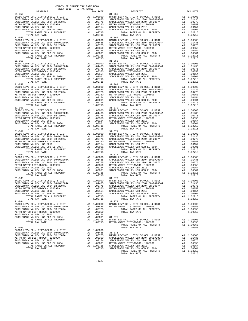|                                     |  | $\begin{tabular}{c c c c} 31-057 & 31-057 \\ \texttt{BADLEBACK} \texttt{VALLEY} \texttt{CO}, \texttt{CITY}, \texttt{SCHOOL}, \texttt{& DIST} & \texttt{Al} & 1.00000 & \texttt{BASIC LEVY-CO.}, \texttt{CITY}, \texttt{SCHOOL}, \texttt{& DIST} & \texttt{Al} & 1.00000 \\ \texttt{SADDEBACK} \texttt{VALLEY} \texttt{USD} \texttt{2004} \texttt{BONDF42004A} & \texttt{Al} & .01435 & \texttt{SADDEBACK} \texttt$           |            |
|-------------------------------------|--|------------------------------------------------------------------------------------------------------------------------------------------------------------------------------------------------------------------------------------------------------------------------------------------------------------------------------------------------------------------------------------------------------------------------------|------------|
|                                     |  |                                                                                                                                                                                                                                                                                                                                                                                                                              |            |
|                                     |  |                                                                                                                                                                                                                                                                                                                                                                                                                              |            |
|                                     |  |                                                                                                                                                                                                                                                                                                                                                                                                                              |            |
|                                     |  |                                                                                                                                                                                                                                                                                                                                                                                                                              |            |
|                                     |  |                                                                                                                                                                                                                                                                                                                                                                                                                              |            |
|                                     |  |                                                                                                                                                                                                                                                                                                                                                                                                                              |            |
|                                     |  |                                                                                                                                                                                                                                                                                                                                                                                                                              |            |
|                                     |  |                                                                                                                                                                                                                                                                                                                                                                                                                              |            |
|                                     |  |                                                                                                                                                                                                                                                                                                                                                                                                                              |            |
|                                     |  |                                                                                                                                                                                                                                                                                                                                                                                                                              |            |
|                                     |  |                                                                                                                                                                                                                                                                                                                                                                                                                              |            |
|                                     |  |                                                                                                                                                                                                                                                                                                                                                                                                                              |            |
|                                     |  |                                                                                                                                                                                                                                                                                                                                                                                                                              |            |
|                                     |  |                                                                                                                                                                                                                                                                                                                                                                                                                              |            |
|                                     |  |                                                                                                                                                                                                                                                                                                                                                                                                                              |            |
|                                     |  |                                                                                                                                                                                                                                                                                                                                                                                                                              |            |
|                                     |  | $\begin{tabular}{c c c c c} 31-058 & 31-068 \\ \hline BASDLEBACK\ VALLEY\text{-CO.}\,, \hspace{15.8cm} CITY, \hspace{15.8cm} CEPV\text{-CO.}\,, \hspace{15.8cm} CITY, \hspace{15.8cm} CEPV\text{-CO.}\,, \hspace{15.8cm} CITY, \hspace{15.8cm} CEPV\text{-CO.}\,, \hspace{15.8cm} CITY, \hspace{15.8cm} CYY\text{-CO.}\,, \hspace{15.8cm} CITY, \hspace{15.8cm} CYY\text{-CO.}\,, \hspace$                                   |            |
|                                     |  |                                                                                                                                                                                                                                                                                                                                                                                                                              |            |
|                                     |  |                                                                                                                                                                                                                                                                                                                                                                                                                              |            |
|                                     |  |                                                                                                                                                                                                                                                                                                                                                                                                                              |            |
|                                     |  |                                                                                                                                                                                                                                                                                                                                                                                                                              |            |
|                                     |  |                                                                                                                                                                                                                                                                                                                                                                                                                              |            |
|                                     |  |                                                                                                                                                                                                                                                                                                                                                                                                                              |            |
|                                     |  |                                                                                                                                                                                                                                                                                                                                                                                                                              |            |
|                                     |  |                                                                                                                                                                                                                                                                                                                                                                                                                              |            |
|                                     |  |                                                                                                                                                                                                                                                                                                                                                                                                                              |            |
|                                     |  |                                                                                                                                                                                                                                                                                                                                                                                                                              |            |
|                                     |  |                                                                                                                                                                                                                                                                                                                                                                                                                              |            |
|                                     |  |                                                                                                                                                                                                                                                                                                                                                                                                                              |            |
|                                     |  |                                                                                                                                                                                                                                                                                                                                                                                                                              |            |
|                                     |  |                                                                                                                                                                                                                                                                                                                                                                                                                              |            |
|                                     |  |                                                                                                                                                                                                                                                                                                                                                                                                                              |            |
|                                     |  |                                                                                                                                                                                                                                                                                                                                                                                                                              |            |
|                                     |  |                                                                                                                                                                                                                                                                                                                                                                                                                              |            |
| $31 - 061$                          |  | $31 - 071$                                                                                                                                                                                                                                                                                                                                                                                                                   |            |
|                                     |  |                                                                                                                                                                                                                                                                                                                                                                                                                              |            |
|                                     |  |                                                                                                                                                                                                                                                                                                                                                                                                                              |            |
|                                     |  |                                                                                                                                                                                                                                                                                                                                                                                                                              |            |
|                                     |  |                                                                                                                                                                                                                                                                                                                                                                                                                              |            |
|                                     |  |                                                                                                                                                                                                                                                                                                                                                                                                                              |            |
|                                     |  |                                                                                                                                                                                                                                                                                                                                                                                                                              |            |
|                                     |  |                                                                                                                                                                                                                                                                                                                                                                                                                              |            |
|                                     |  |                                                                                                                                                                                                                                                                                                                                                                                                                              |            |
|                                     |  |                                                                                                                                                                                                                                                                                                                                                                                                                              |            |
|                                     |  |                                                                                                                                                                                                                                                                                                                                                                                                                              |            |
|                                     |  |                                                                                                                                                                                                                                                                                                                                                                                                                              |            |
|                                     |  |                                                                                                                                                                                                                                                                                                                                                                                                                              |            |
|                                     |  |                                                                                                                                                                                                                                                                                                                                                                                                                              |            |
|                                     |  |                                                                                                                                                                                                                                                                                                                                                                                                                              |            |
|                                     |  |                                                                                                                                                                                                                                                                                                                                                                                                                              |            |
|                                     |  |                                                                                                                                                                                                                                                                                                                                                                                                                              |            |
|                                     |  |                                                                                                                                                                                                                                                                                                                                                                                                                              |            |
|                                     |  |                                                                                                                                                                                                                                                                                                                                                                                                                              |            |
|                                     |  |                                                                                                                                                                                                                                                                                                                                                                                                                              |            |
|                                     |  |                                                                                                                                                                                                                                                                                                                                                                                                                              |            |
|                                     |  |                                                                                                                                                                                                                                                                                                                                                                                                                              |            |
|                                     |  |                                                                                                                                                                                                                                                                                                                                                                                                                              |            |
|                                     |  |                                                                                                                                                                                                                                                                                                                                                                                                                              |            |
|                                     |  |                                                                                                                                                                                                                                                                                                                                                                                                                              |            |
|                                     |  |                                                                                                                                                                                                                                                                                                                                                                                                                              |            |
|                                     |  |                                                                                                                                                                                                                                                                                                                                                                                                                              |            |
|                                     |  | TOTAL TAX RATE                                                                                                                                                                                                                                                                                                                                                                                                               |            |
| $31 - 064$                          |  | $31 - 074$                                                                                                                                                                                                                                                                                                                                                                                                                   |            |
|                                     |  |                                                                                                                                                                                                                                                                                                                                                                                                                              |            |
|                                     |  |                                                                                                                                                                                                                                                                                                                                                                                                                              |            |
|                                     |  |                                                                                                                                                                                                                                                                                                                                                                                                                              |            |
|                                     |  |                                                                                                                                                                                                                                                                                                                                                                                                                              |            |
|                                     |  | $\begin{tabular}{c c c c} 31-064 & 31-074 \\ \texttt{BADLEBACK VALLEY} \texttt{CO.}, \texttt{CITY}, \texttt{CCHO}, \texttt{cITY}, \texttt{SCHOOL}, \texttt{&}\texttt{DIST} & \texttt{A1} & 1.00000 \\ \texttt{SADDEBACK VALLEY} \texttt{USD 2004 BONDLEBACK} \texttt{VALLEY} \texttt{USD 2004 BONDLEBACK} \texttt{VALLEY} \texttt{USD 2004 BONDLEBACK} \texttt{VALLEY} \texttt{USD 2004 BONDLEBACK} \texttt{VALLEY} \texttt$ |            |
|                                     |  |                                                                                                                                                                                                                                                                                                                                                                                                                              |            |
|                                     |  |                                                                                                                                                                                                                                                                                                                                                                                                                              |            |
|                                     |  |                                                                                                                                                                                                                                                                                                                                                                                                                              |            |
|                                     |  |                                                                                                                                                                                                                                                                                                                                                                                                                              |            |
| $31 - 065$                          |  | TOTAL TAX RATE                                                                                                                                                                                                                                                                                                                                                                                                               | 1,00350    |
|                                     |  |                                                                                                                                                                                                                                                                                                                                                                                                                              |            |
|                                     |  | $31 - 076$                                                                                                                                                                                                                                                                                                                                                                                                                   |            |
| SADDLEBACK VALLEY USD 2004 SR 2007A |  | A1 .00775 BASIC LEVY-CO., CITY, SCHOOL, & DIST                                                                                                                                                                                                                                                                                                                                                                               | A1 1.00000 |
| METRO WATER DIST-MWDOC- 1205999     |  | SADDLEBACK VALLEY USD 2004 BOND#2004A                                                                                                                                                                                                                                                                                                                                                                                        | A1 .01435  |
| SADDLEBACK VALLEY USD 2013          |  | A1 .00350 SADDLEBACK VALLEY USD 2004 BOND#2004A<br>A1 .00154 SADDLEBACK VALLEY USD 2004 SR 2007A                                                                                                                                                                                                                                                                                                                             | A1 .00775  |
|                                     |  |                                                                                                                                                                                                                                                                                                                                                                                                                              |            |

 BASIC LEVY-CO., CITY,SCHOOL, & DIST A1 1.00000 BASIC LEVY-CO., CITY,SCHOOL, & DIST A1 1.00000 SADDLEBACK VALLEY USD 2004 BOND#2004A A1 .01435 SADDLEBACK VALLEY USD 2004 BOND#2004A A1 .01435 SADDLEBACK VALLEY USD 2004 SR 2007A A1 .00775 SADDLEBACK VALLEY USD 2004 SR 2007A A1 .00775 METRO WATER DIST-MWDOC- 1205999 A1 .00350 METRO WATER DIST-MWDOC- 1205999 A1 .00350 SADDLEBACK VALLEY USD 2013 A1 .00154 SADDLEBACK VALLEY USD 2013 A1 .00154 SADDLEBACK VALLEY USD GOB EL 2004 A1 .00001 SADDLEBACK VALLEY USD GOB EL 2004 A1 .00001<br>TOTAL TAX RATES ON ALL PROPERTY A1 1.02715 TOTAL TAX RATES ON ALL PROPERTY TOTAL TAX RATE BASIC LEVY-CO., CITY,SCHOOL, & DIST A1 1.00000 BASIC LEVY-CO., CITY,SCHOOL, & DIST A1 1.00000 SADDLEBACK VALLEY USD 2004 BOND#2004A A1 .01435 SADDLEBACK VALLEY USD 2004 BOND#2004A A1 .01435 SADDLEBACK VALLEY USD 2004 SR 2007A A1 .00775 SADDLEBACK VALLEY USD 2004 SR 2007A A1 .00775 METRO WATER DIST-MWDOC- 1205999 A1 .00350 METRO WATER DIST-MWDOC- 1205999 A1 .00350<br>SADDLEBACK VALLEY USD 2013 A1 .00154 A1 .00154 SADDLEBACK VALLEY USD 2013 A1 .00001<br>SADDLEBACK VALLEY USD GOB EL 2004 A1 .00001 SADDLEBACK 1.02715 TOTAL TAX RATE 1.02715 TOTAL TAX RATE 1.02715 A1 1.00000 BASIC LEVY-CO., CITY,SCHOOL, & DIST A1 1.00000<br>A1 .01435 SADDLEBACK VALLEY USD 2004 BOND#2004A A1 .01435<br>A1 .00775 SADDLEBACK VALLEY USD 2004 SP 200775 SADDLEBACK VALLEY USD 2004 BOND#2004A A1 .01435 SADDLEBACK VALLEY USD 2004 BOND#2004A A1 .01435 SADDLEBACK VALLEY USD 2004 SR 2007A A1 .00775 SADDLEBACK VALLEY USD 2004 SR 2007A A1 .00775 METRO WATER DIST-MWDOC- 1205999 A1 .00350 METRO WATER DIST-MWDOC- 1205999 A1 .00350 SADDLEBACK VALLEY USD 2013 A1 .00154 SADDLEBACK VALLEY USD 2013 A1 .00154 SADDLEBACK VALLEY USD GOB EL 2004 A1 .00001 SADDLEBACK VALLEY USD GOB EL 2004 A1 .00001 TOTAL RATES ON ALL PROPERTY A1 1.02715 TOTAL RATES ON ALL PROPERTY A1 1.02715 TOTAL TAX RATE 1.02715 TOTAL TAX RATE 1.02715 BASIC LEVY-CO., CITY,SCHOOL, & DIST A1 1.00000 BASIC LEVY-CO., CITY,SCHOOL, & DIST A1 1.00000 SADDLEBACK VALLEY USD 2004 BOND#2004A A1 .01435 SADDLEBACK VALLEY USD 2004 BOND#2004A A1 .01435 SADDLEBACK VALLEY USD 2004 SR 2007A A1 .00775 SADDLEBACK VALLEY USD 2004 SR 2007A A1 .00775 METRO WATER DIST-MWDOC- 1205999 A1 .00350 METRO WATER DIST-MWDOC- 1205999 A1 .00350 SADDLEBACK VALLEY USD 2013 A1 .00154 SADDLEBACK VALLEY USD 2013 A1 .00154 SADDLEBACK VALLEY USD GOB EL 2004 A1 .00001 SADDLEBACK VALLEY USD GOB EL 2004 A1 .00001 TOTAL RATES ON ALL PROPERTY A1 1.02715 TOTAL RATES ON ALL PROPERTY A1 1.02715 TOTAL TAX RATE 1.02715 TOTAL TAX RATE 1.02715 A1 1.00000 BASIC LEVY-CO., CITY,SCHOOL, & DIST A1 1.00000<br>A1 .01435 SADDLEBACK VALLEY USD 2004 BOND#2004A A1 .01435<br>A1 .00775 SADDLEBACK VALLEY USD 2004 SR 2007A A1 .00775 SADDLEBACK VALLEY USD 2004 BOND#2004A A1 .01435 SADDLEBACK VALLEY USD 2004 BOND#2004A A1 .01435 SADDLEBACK VALLEY USD 2004 SR 2007A A1 .00775 SADDLEBACK VALLEY USD 2004 SR 2007A A1 .00775 METRO WATER DIST-MWDOC- 1205999 A1 .00350 METRO WATER DIST-MWDOC- 1205999 A1 .00350<br>A1 .00154 SADDLEBACK VALLEY USD 2013 A1 .00154<br>A1 .00001 SADDLEBACK VALLEY USD GOB EL 2004 A1 .00001 SADDLEBACK VALLEY USD 2013 (00154 SADDLEBACK VALLEY USD 2013 (00154 SADDLEBACK VALLEY USD 2013 (00154 SADDLEBACK VALLEY USD 2013 (00154 )<br>SADDLEBACK VALLEY USD COREL 2004 (0001) 1 002011 (0001) 1002011 (02715 (0001) 100201 A1 1.00000 BASIC LEVY-CO., CITY,SCHOOL, & DIST A1 1.00000<br>A1 .01435 SADDLEBACK VALLEY USD 2004 BOND#2004A A1 .01435<br>A1 .00775 SADDLEBACK VALLEY USD 2004 SR 2007A A1 .00775 SADDLEBACK VALLEY USD 2004 BOND#2004A A1 .01435 SADDLEBACK VALLEY USD 2004 BOND#2004A A1 .01435 SADDLEBACK VALLEY USD 2004 SR 2007A A1 .00775 SADDLEBACK VALLEY USD 2004 SR 2007A A1 .00775 METRO WATER DIST-MWDOC- 1205999 A1 .00350 METRO WATER DIST-MWDOC- 1205999 A1 .00350<br>A1 .00154 SADDLEBACK VALLEY USD 2013 SADDLEBACK VALLEY USD 2013 A1 .00154 SADDLEBACK VALLEY USD 2013 A1 .00154 SADDLEBACK VALLEY USD GOB EL 2004 A1 .00001 SADDLEBACK VALLEY USD GOB EL 2004 A1 .00001 TOTAL RATES ON ALL PROPERTY A1 1.02715 TOTAL RATES ON ALL PROPERTY A1 1.02715 TOTAL TAX RATE 1.02715 TOTAL TAX RATE 1.02715 A1 1.00000 BASIC LEVY-CO., CITY, SCHOOL, & DIST A1 1.00000<br>A1 .01435 SADDLEBACK VALLEY USD 2004 BOND#2004A A1 .01435<br>A1 .00775 SADDLEBACK VALLEY USD 2004 SR 2007A A1 .00775 SADDLEBACK VALLEY USD 2004 BOND#2004A A1 .01435 SADDLEBACK VALLEY USD 2004 BOND#2004A A1 .01435 SADDLEBACK VALLEY USD 2004 SR 2007A A1 .00775 SADDLEBACK VALLEY USD 2004 SR 2007A A1 .00775 METRO WATER DIST-MWDOC- 1205999 A1 .00350 METRO WATER DIST-MWDOC- 1205999 A1 .00350 SADDLEBACK VALLEY USD 2013 A1 .00154 SADDLEBACK VALLEY USD 2013 A1 .00154 SADDLEBACK VALLEY USD GOB EL 2004 A1 .00001 SADDLEBACK VALLEY USD GOB EL 2004 A1 .00001 TOTAL RATES ON ALL PROPERTY A1 1.02715 TOTAL RATES ON ALL PROPERTY A1 1.02715 TOTAL TAX RATE 1.0273 BASIC LEVY-CO., CITY,SCHOOL, & DIST A1 1.00000 BASIC LEVY-CO., CITY,SCHOOL, & DIST A1 1.00000 SADDLEBACK VALLEY USD 2004 BOND#2004A A1 .01435 SADDLEBACK VALLEY USD 2004 BOND#2004A A1 .01435 SADDLEBACK VALLEY USD 2004 SR 2007A A1 .00775 SADDLEBACK VALLEY USD 2004 SR 2007A A1 .00775 METRO WATER DIST-MWDOC- 1205999 A1 .00350 METRO WATER DIST-MWDOC- 1205999 A1 .00350<br>SADDLEBACK VALLEY USD 2013 A1 .00154 SADDLEBACK VALLEY USD 2013 A1 .00154<br>SADDLEBACK VALLEY USD GOB EL 2004 A1 .00001 SADDLEBACK VALLEY US BASIC LEVY-CO., CITY,SCHOOL, & DIST A1 1.00000 BASIC LEVY-CO., CITY,SCHOOL, & DIST A1 1.00000 SADDLEBACK VALLEY USD 2004 BOND#2004A A1 .01435 METRO WATER DIST-MWDOC- 1205999 A1 .00350 SADDLEBACK VALLEY USD 2004 SR 2007A A1 .00775 TOTAL RATES ON ALL PROPERTY A1 1.00350 METRO WATER DISTRIBUTION AND INSTITUTE AND ALL TRISPERSED AT 1.00350<br>A1 .00350 TOTAL TAX RATE 1.00350 TOTAL RATES ON ALL PROPERTY 1.02715 BASIC LEVY-CO., CITY, SCHOOL, & DIST 1.00000<br>TOTAL TAX RATE 1.02715 METRO WATER DISTRIMING 1205999 1.02715 METRO WATER DISTRIMING 100550<br>TOTAL TAX RATE 1.00350 1.00350 1.00350<br>TOTAL TAX A1 1.00000<br>A1 .01435 SADDLEBACK VALLEY USD 2004 SR 2007A A1 .00775 BASIC LEVY-CO., CITY,SCHOOL, & DIST A1 1.00000 METRO WATER DIST-MWDOC- 1205999 A1 .00350 SADDLEBACK VALLEY USD 2004 BOND#2004A A1 .01435 SADDLEBACK VALLEY USD 2013 A1 .00154 SADDLEBACK VALLEY USD 2004 SR 2007A A1 .00775 SADDLEBACK VALLEY USD GOB EL 2004 A1 .00001 METRO WATER DIST-MWDOC- 1205999 A1 .00350<br>A1 1.02715 SADDLEBACK VALLEY USD 2013 TOTAL RATES ON ALL PROPERTY A1 1.02715 SADDLEBACK VALLEY USD 2013 A1 .00154 TOTAL TAX RATE 1.02715 SADDLEBACK VALLEY USD GOB EL 2004 A1 .00001 TOTAL RATES ON ALL PROPERTY A1 1.02715 TOTAL TAX RATE 1.02715 TOTAL TAX RATE  $1.02715$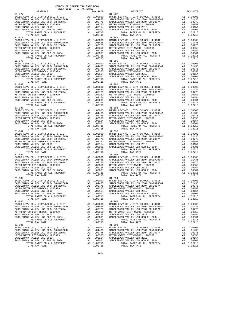| DISTRICT                                                                                                            |                                                                                                                                                                                                                                                                                                                                      | TAX RATE                                                                                                                                       |            |
|---------------------------------------------------------------------------------------------------------------------|--------------------------------------------------------------------------------------------------------------------------------------------------------------------------------------------------------------------------------------------------------------------------------------------------------------------------------------|------------------------------------------------------------------------------------------------------------------------------------------------|------------|
| $31 - 077$                                                                                                          |                                                                                                                                                                                                                                                                                                                                      |                                                                                                                                                | $31 - 087$ |
| BASIC LEVY-CO., CITY, SCHOOL, & DIST                                                                                |                                                                                                                                                                                                                                                                                                                                      |                                                                                                                                                |            |
|                                                                                                                     |                                                                                                                                                                                                                                                                                                                                      |                                                                                                                                                |            |
| SADDLEBACK VALLEY USD 2004 BOND#2004A<br>SADDLEBACK VALLEY USD 2004 SR 2007A<br>METRO WATER DIST-WEDD 2004 SR 2007A |                                                                                                                                                                                                                                                                                                                                      |                                                                                                                                                |            |
| METRO WATER DIST-MWDOC- 1205999                                                                                     |                                                                                                                                                                                                                                                                                                                                      |                                                                                                                                                |            |
|                                                                                                                     |                                                                                                                                                                                                                                                                                                                                      | 31-087<br>A1 1.00000 BASIC L<br>A1 .01435 SADDLEB<br>A1 .00775 SADDLEB<br>A1 .00350 METROW<br>A1 .00154 SADDLEB<br>A1 .00011 SADDLEB           |            |
|                                                                                                                     |                                                                                                                                                                                                                                                                                                                                      |                                                                                                                                                |            |
|                                                                                                                     |                                                                                                                                                                                                                                                                                                                                      |                                                                                                                                                |            |
| TOTAL TAX RATE                                                                                                      |                                                                                                                                                                                                                                                                                                                                      | 1.02715                                                                                                                                        |            |
| $31 - 078$                                                                                                          |                                                                                                                                                                                                                                                                                                                                      |                                                                                                                                                |            |
| BASIC LEVY-CO., CITY, SCHOOL, & DIST                                                                                |                                                                                                                                                                                                                                                                                                                                      |                                                                                                                                                |            |
| SADDLEBACK VALLEY USD 2004 BOND#2004A<br>SADDLEBACK VALLEY USD 2004 SP 20073                                        |                                                                                                                                                                                                                                                                                                                                      |                                                                                                                                                |            |
| SADDLEBACK VALLEY USD 2004 SR 2007A                                                                                 |                                                                                                                                                                                                                                                                                                                                      |                                                                                                                                                |            |
| METRO WATER DIST-MWDOC- 1205999                                                                                     |                                                                                                                                                                                                                                                                                                                                      |                                                                                                                                                |            |
| SADDLEBACK VALLEY USD 2013                                                                                          |                                                                                                                                                                                                                                                                                                                                      |                                                                                                                                                |            |
|                                                                                                                     | SADDLEBACK VALLEY USD GOB EL 2004<br>TOTAL RATES ON ALL PROPERTY                                                                                                                                                                                                                                                                     |                                                                                                                                                |            |
|                                                                                                                     |                                                                                                                                                                                                                                                                                                                                      |                                                                                                                                                |            |
| TOTAL TAX RATE                                                                                                      |                                                                                                                                                                                                                                                                                                                                      | 1.02715                                                                                                                                        |            |
| $31 - 079$                                                                                                          |                                                                                                                                                                                                                                                                                                                                      |                                                                                                                                                | $31 - 089$ |
| BASIC LEVY-CO., CITY, SCHOOL, & DIST                                                                                |                                                                                                                                                                                                                                                                                                                                      |                                                                                                                                                |            |
|                                                                                                                     |                                                                                                                                                                                                                                                                                                                                      |                                                                                                                                                |            |
| SADDLEBACK VALLEY USD 2004 BOND#2004A<br>SADDLEBACK VALLEY USD 2004 SR 2007A                                        |                                                                                                                                                                                                                                                                                                                                      |                                                                                                                                                |            |
| METRO WATER DIST-MWDOC- 1205999                                                                                     |                                                                                                                                                                                                                                                                                                                                      |                                                                                                                                                |            |
| SADDLEBACK VALLEY USD 2013                                                                                          |                                                                                                                                                                                                                                                                                                                                      |                                                                                                                                                |            |
| SADDLEBACK VALLEY USD GOB EL 2004                                                                                   |                                                                                                                                                                                                                                                                                                                                      |                                                                                                                                                |            |
|                                                                                                                     | TOTAL RATES ON ALL PROPERTY                                                                                                                                                                                                                                                                                                          | A1 1.02715                                                                                                                                     |            |
| TOTAL TAX RATE                                                                                                      |                                                                                                                                                                                                                                                                                                                                      | 1.02715                                                                                                                                        |            |
| $31 - 080$                                                                                                          |                                                                                                                                                                                                                                                                                                                                      |                                                                                                                                                | $31 - 090$ |
| BASIC LEVY-CO., CITY, SCHOOL, & DIST                                                                                |                                                                                                                                                                                                                                                                                                                                      |                                                                                                                                                |            |
| SADDLEBACK VALLEY USD 2004 BOND#2004A                                                                               |                                                                                                                                                                                                                                                                                                                                      |                                                                                                                                                |            |
| oop 2004 BOND#2004A<br>SADDLEBACK VALLEY USD 2004 SR 2007A<br>METRO WATER DIST-MWDOC- 1205000                       |                                                                                                                                                                                                                                                                                                                                      |                                                                                                                                                |            |
| METRO WATER DIST-MWDOC- 1205999                                                                                     |                                                                                                                                                                                                                                                                                                                                      |                                                                                                                                                |            |
| SADDLEBACK VALLEY USD 2013                                                                                          |                                                                                                                                                                                                                                                                                                                                      |                                                                                                                                                |            |
| SADDLEBACK VALLEY USD GOB EL 2004                                                                                   |                                                                                                                                                                                                                                                                                                                                      | A1 1.00000 BASIC L<br>A1 .01435 SADDLEB<br>A1 .0075 SADDLEB<br>A1 .00755 METRO W<br>A1 .00154 SADDLEB<br>A1 .00001 SADDLEB                     |            |
|                                                                                                                     | TOTAL RATES ON ALL PROPERTY                                                                                                                                                                                                                                                                                                          | A1 1.02715                                                                                                                                     |            |
| TOTAL TAX RATE                                                                                                      |                                                                                                                                                                                                                                                                                                                                      | 1.02715                                                                                                                                        |            |
| $31 - 081$                                                                                                          |                                                                                                                                                                                                                                                                                                                                      |                                                                                                                                                | $31 - 091$ |
| BASIC LEVY-CO., CITY, SCHOOL, & DIST                                                                                |                                                                                                                                                                                                                                                                                                                                      |                                                                                                                                                |            |
| SADDLEBACK VALLEY USD 2004 BOND#2004A                                                                               |                                                                                                                                                                                                                                                                                                                                      |                                                                                                                                                |            |
| SADDLEBACK VALLEY USD 2004 SR 2007A                                                                                 |                                                                                                                                                                                                                                                                                                                                      |                                                                                                                                                |            |
| METRO WATER DIST-MWDOC- 1205999                                                                                     |                                                                                                                                                                                                                                                                                                                                      |                                                                                                                                                |            |
| SADDLEBACK VALLEY USD 2013                                                                                          |                                                                                                                                                                                                                                                                                                                                      |                                                                                                                                                |            |
| SADDLEBACK VALLEY USD GOB EL 2004                                                                                   |                                                                                                                                                                                                                                                                                                                                      | A1 1.00000 BASIC<br>A1 .01435 SADDLEB<br>A1 .00775 SADDLEB<br>A1 .00350 METRO W<br>A1 .00154 SADDLEB<br>A1 .00101 SADDLEB<br>A1 .00001 SADDLEB |            |
|                                                                                                                     | TOTAL RATES ON ALL PROPERTY                                                                                                                                                                                                                                                                                                          | A1 1.02715                                                                                                                                     |            |
| TOTAL TAX RATE                                                                                                      |                                                                                                                                                                                                                                                                                                                                      | 1.02715                                                                                                                                        |            |
| $31 - 082$                                                                                                          |                                                                                                                                                                                                                                                                                                                                      |                                                                                                                                                | $31 - 092$ |
| BASIC LEVY-CO., CITY, SCHOOL, & DIST                                                                                | $\begin{tabular}{ll} \bf{A1} & 1.00000 & 31-092 \\ \bf{A1} & .01435 & SADDLEB \\ \bf{A1} & .00775 & SADDLEB \\ \bf{A1} & .00350 & METRO W \\ \bf{A1} & .00154 & SADDLEB \\ \bf{A1} & .00001 & SADDLEB \\ \bf{A1} & .02715 & .12715 \\ \bf{A2} & .02715 & .12715 \\ \bf{A3} & .02715 & .12715 \\ \bf{A4} & .02717 & .12715 \\ \bf{A5$ |                                                                                                                                                |            |
| SADDLEBACK VALLEY USD 2004 BOND#2004A                                                                               |                                                                                                                                                                                                                                                                                                                                      |                                                                                                                                                |            |
| SADDLEBACK VALLEY USD 2004 SR 2007A                                                                                 |                                                                                                                                                                                                                                                                                                                                      |                                                                                                                                                |            |
| METRO WATER DIST-MWDOC- 1205999                                                                                     |                                                                                                                                                                                                                                                                                                                                      |                                                                                                                                                |            |
| SADDLEBACK VALLEY USD 2013                                                                                          |                                                                                                                                                                                                                                                                                                                                      |                                                                                                                                                |            |
| SADDLEBACK VALLEY USD GOB EL 2004                                                                                   |                                                                                                                                                                                                                                                                                                                                      |                                                                                                                                                |            |
|                                                                                                                     | TOTAL RATES ON ALL PROPERTY                                                                                                                                                                                                                                                                                                          |                                                                                                                                                |            |
| TOTAL TAX RATE                                                                                                      |                                                                                                                                                                                                                                                                                                                                      | 1.02715                                                                                                                                        |            |
| $31 - 083$                                                                                                          |                                                                                                                                                                                                                                                                                                                                      |                                                                                                                                                | $31 - 093$ |
| BASIC LEVY-CO., CITY, SCHOOL, & DIST                                                                                |                                                                                                                                                                                                                                                                                                                                      |                                                                                                                                                |            |
| SADDLEBACK VALLEY USD 2004 BOND#2004A                                                                               |                                                                                                                                                                                                                                                                                                                                      |                                                                                                                                                |            |
| SADDLEBACK VALLEY USD 2004 SR 2007A                                                                                 |                                                                                                                                                                                                                                                                                                                                      |                                                                                                                                                |            |
| METRO WATER DIST-MWDOC- 1205999                                                                                     |                                                                                                                                                                                                                                                                                                                                      |                                                                                                                                                |            |
| SADDLEBACK VALLEY USD 2013                                                                                          |                                                                                                                                                                                                                                                                                                                                      |                                                                                                                                                |            |
| SADDLEBACK VALLEY USD GOB EL 2004                                                                                   | 1 1.00000 1881<br>A1 1.00000 BASIC L<br>A1 .00775 SADDLEB<br>A1 .00775 SADDLEB<br>A1 .00350 METRO W<br>A1 .00154 SADDLEB<br>A1 .00001 SADDLEB<br>A1 1.02715                                                                                                                                                                          |                                                                                                                                                |            |
|                                                                                                                     | TOTAL RATES ON ALL PROPERTY                                                                                                                                                                                                                                                                                                          |                                                                                                                                                |            |
| TOTAL TAX RATE                                                                                                      |                                                                                                                                                                                                                                                                                                                                      | 1.02715                                                                                                                                        |            |
| $31 - 084$                                                                                                          |                                                                                                                                                                                                                                                                                                                                      |                                                                                                                                                | $31 - 094$ |
|                                                                                                                     |                                                                                                                                                                                                                                                                                                                                      |                                                                                                                                                |            |
|                                                                                                                     |                                                                                                                                                                                                                                                                                                                                      |                                                                                                                                                |            |
|                                                                                                                     |                                                                                                                                                                                                                                                                                                                                      |                                                                                                                                                |            |
|                                                                                                                     |                                                                                                                                                                                                                                                                                                                                      |                                                                                                                                                |            |
|                                                                                                                     |                                                                                                                                                                                                                                                                                                                                      |                                                                                                                                                |            |
| SADDLEBACK VALLEY USD GOB EL 2004                                                                                   | A1                                                                                                                                                                                                                                                                                                                                   | .00001                                                                                                                                         |            |
| TOTAL RATES ON ALL PROPERTY                                                                                         |                                                                                                                                                                                                                                                                                                                                      | A1 1.02715                                                                                                                                     | SADDLEB    |
|                                                                                                                     |                                                                                                                                                                                                                                                                                                                                      |                                                                                                                                                |            |
| TOTAL TAX RATE                                                                                                      |                                                                                                                                                                                                                                                                                                                                      | 1.02715                                                                                                                                        |            |
| $31 - 085$                                                                                                          |                                                                                                                                                                                                                                                                                                                                      |                                                                                                                                                | $31 - 095$ |
| BASIC LEVY-CO., CITY, SCHOOL, & DIST                                                                                | A1                                                                                                                                                                                                                                                                                                                                   | 1.00000                                                                                                                                        | BASIC L    |
| SADDLEBACK VALLEY USD 2004 BOND#2004A                                                                               | A1                                                                                                                                                                                                                                                                                                                                   | .01435                                                                                                                                         | SADDLEB    |
| SADDLEBACK VALLEY USD 2004 SR 2007A                                                                                 | A1                                                                                                                                                                                                                                                                                                                                   | .00775                                                                                                                                         | SADDLEB    |
| METRO WATER DIST-MWDOC- 1205999                                                                                     | A1                                                                                                                                                                                                                                                                                                                                   | .00350                                                                                                                                         | METRO W    |
| SADDLEBACK VALLEY USD 2013                                                                                          | A1                                                                                                                                                                                                                                                                                                                                   | .00154                                                                                                                                         | SADDLEB    |
| SADDLEBACK VALLEY USD GOB EL 2004                                                                                   | A1                                                                                                                                                                                                                                                                                                                                   | .00001                                                                                                                                         | SADDLEB    |
|                                                                                                                     | TOTAL RATES ON ALL PROPERTY                                                                                                                                                                                                                                                                                                          | A1 1.02715                                                                                                                                     |            |
| TOTAL TAX RATE                                                                                                      |                                                                                                                                                                                                                                                                                                                                      | 1.02715                                                                                                                                        |            |
| $31 - 086$                                                                                                          |                                                                                                                                                                                                                                                                                                                                      |                                                                                                                                                | $31 - 096$ |
| BASIC LEVY-CO., CITY, SCHOOL, & DIST                                                                                |                                                                                                                                                                                                                                                                                                                                      | A1 1.00000                                                                                                                                     | BASIC L    |
| SADDLEBACK VALLEY USD 2004 BOND#2004A                                                                               |                                                                                                                                                                                                                                                                                                                                      | A1.01435                                                                                                                                       | SADDLEB    |
| SADDLEBACK VALLEY USD 2004 SR 2007A                                                                                 | A1                                                                                                                                                                                                                                                                                                                                   | .00775                                                                                                                                         | SADDLEB    |
| METRO WATER DIST-MWDOC- 1205999                                                                                     | A1                                                                                                                                                                                                                                                                                                                                   | .00350                                                                                                                                         | METRO W    |
| SADDLEBACK VALLEY USD 2013                                                                                          | A1                                                                                                                                                                                                                                                                                                                                   | .00154                                                                                                                                         | SADDLEB    |
| SADDLEBACK VALLEY USD GOB EL 2004                                                                                   |                                                                                                                                                                                                                                                                                                                                      | A1 .00001<br>A1 1 02715                                                                                                                        | SADDLEB    |
| ידס פרות מות מות המינים המירות המידורים                                                                             |                                                                                                                                                                                                                                                                                                                                      |                                                                                                                                                |            |

| COUNTY OF ORANGE TAX RATE BOOK<br>2017-2018 TRA TAX RATES<br>$\begin{minipage}{.4\linewidth} \begin{tabular}{lcccc} \textbf{1-AX RATE} & \textbf{1-X} & \textbf{1-X} & \textbf{RATE} & \textbf{1-X} & \textbf{1-X} & \textbf{1-X} & \textbf{1-X} & \textbf{1-X} & \textbf{1-X} & \textbf{1-X} & \textbf{1-X} & \textbf{1-X} & \textbf{1-X} & \textbf{1-X} & \textbf{1-X} & \textbf{1-X} & \textbf{1-X} & \textbf{1-X} & \textbf{1-X} & \textbf{1-X} & \textbf{1-X} & \textbf{1-X} & \textbf{1-X} & \textbf{$ |          |                                                                                                                                                                                                                                                                                                                                                                                                                  |          |
|--------------------------------------------------------------------------------------------------------------------------------------------------------------------------------------------------------------------------------------------------------------------------------------------------------------------------------------------------------------------------------------------------------------------------------------------------------------------------------------------------------------|----------|------------------------------------------------------------------------------------------------------------------------------------------------------------------------------------------------------------------------------------------------------------------------------------------------------------------------------------------------------------------------------------------------------------------|----------|
|                                                                                                                                                                                                                                                                                                                                                                                                                                                                                                              | TAX RATE | DISTRICT                                                                                                                                                                                                                                                                                                                                                                                                         | TAX RATE |
| $31 - 077$                                                                                                                                                                                                                                                                                                                                                                                                                                                                                                   |          | $31 - 087$<br>$\begin{tabular}{c c c c c} 31-077 & 31-087 \\ \hline BANDLEBACK\ VALLEY-CO, CITY, SCHOOL, & DIST & A1 & 1.00000 & BASIC LEVY-CO., CITY, SCHOOL, & DIST & A1 & 1.00000 \\ \hline SADDLEBACK\ VALLEY\ USD\ 2004\ BONDLEBACK\ VALLEY\ USD\ 2004\ SRDDEBACK\ VALLEY\ USD\ 2004\ SRDDEBACK\ VALLEY\ USD\ 2004\ SRDDEBACK\ VALLEY\ USD\ 2004\ SRDDEBACK\ VALLEY\ USD\ 2004\ SRD$                        |          |
|                                                                                                                                                                                                                                                                                                                                                                                                                                                                                                              |          | $\begin{tabular}{cccccc} 31-078 & 1014 \text{L} & 104 \text{L} & 104 \text{L} & 104 \text{L} & 104 \text{L} & 104 \text{L} & 104 \text{L} & 104 \text{L} & 104 \text{L} & 104 \text{L} & 104 \text{L} & 104 \text{L} & 104 \text{L} & 104 \text{L} & 104 \text{L} & 104 \text{L} & 104 \text{L} & 104 \text{L} & 104 \text{L} & 104 \text{L} & 1$                                                                |          |
|                                                                                                                                                                                                                                                                                                                                                                                                                                                                                                              |          |                                                                                                                                                                                                                                                                                                                                                                                                                  |          |
|                                                                                                                                                                                                                                                                                                                                                                                                                                                                                                              |          | $\begin{tabular}{c c c c c} \multicolumn{4}{c}{\textbf{31-080}} & \multicolumn{4}{c}{\textbf{102715}} & \multicolumn{4}{c}{\textbf{102715}} & \multicolumn{4}{c}{\textbf{102715}} & \multicolumn{4}{c}{\textbf{102715}} & \multicolumn{4}{c}{\textbf{102715}} & \multicolumn{4}{c}{\textbf{102715}} & \multicolumn{4}{c}{\textbf{102715}} & \multicolumn{4}{c}{\textbf{102715}} & \multicolumn{4}{c}{\textbf{10$ |          |
|                                                                                                                                                                                                                                                                                                                                                                                                                                                                                                              |          | $\begin{tabular}{l c c c c c} 31-0811 & 1.00000 & 31-0911 & 1.00000 & 31-0911 & 31-00000 \\ {\small \texttt{BADLEBACK} \texttt{VALEY} \texttt{USD 2004 BONDH2004A} & \texttt{A1} & 0.01435 & \texttt{SADDLEBACK} \texttt{VALEY} \texttt{USD 2004 BONDH2004A} & \texttt{A1} & 0.01435 \\ {\small \texttt{SADDLEBACK} \texttt{VALEY} \texttt{USD 2004 BNDLE$                                                       |          |
|                                                                                                                                                                                                                                                                                                                                                                                                                                                                                                              |          | $\begin{tabular}{c c c c c} 31-082 & 31-082 \\ \texttt{BADLEBACK VALUEY-CO} & CITY, SCHOOL, & DIST & \texttt{A1} & 1.00000 & BASIC LEVY-CO, , CITY, SCHOOL, & DIST & \texttt{A1} & 1.00000 \\ \texttt{SADDEBACK VALUEY USD 2004 BONDH2004A} & \texttt{A1} & .01435 & SADDLEBACK VALUEY USD 2004 BONDH2004A & \texttt{A1} & .01435 \\ \texttt{SADDEBACK VALUEY USD 2004 SR 2007A} &$                              |          |
|                                                                                                                                                                                                                                                                                                                                                                                                                                                                                                              |          |                                                                                                                                                                                                                                                                                                                                                                                                                  |          |
| TOTAL TAX RATE<br>$31 - 085$                                                                                                                                                                                                                                                                                                                                                                                                                                                                                 | 1.02715  | SADDLEBACK VALLEY USD 2013 A1 .00050 A1 .000750 A1 .000760 ANDLEBACK VALLEY USD 2013<br>METRO WATER DIST -MWDOC - 1205999 A1 .000350 A1 .000350 A1 .000350 A1 .000750 A1 .000750 A1 .000750 A1 .000750<br>SADDLEBACK VALLEY USD GO<br>TOTAL TAX RATE<br>$31 - 095$                                                                                                                                               | 1.02715  |
| $31 - 086$                                                                                                                                                                                                                                                                                                                                                                                                                                                                                                   | 1.02715  | $31 - 096$                                                                                                                                                                                                                                                                                                                                                                                                       | 1.02715  |
| TOTAL TAX RATE                                                                                                                                                                                                                                                                                                                                                                                                                                                                                               | 1.02715  | TOTAL TAX RATE                                                                                                                                                                                                                                                                                                                                                                                                   | 1.02715  |

-267-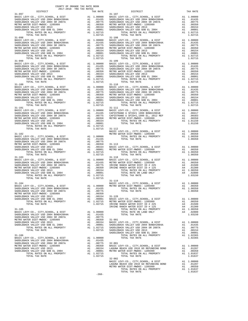|                          | DISTRICT                                                                                                                                                                                                                                                                                                                                                                                                                                                                                   | 2017-2018 TRA TAX RATES                                                                                                                                                                                                                                             | TAX RATE                                                                                                        |                                                                               |
|--------------------------|--------------------------------------------------------------------------------------------------------------------------------------------------------------------------------------------------------------------------------------------------------------------------------------------------------------------------------------------------------------------------------------------------------------------------------------------------------------------------------------------|---------------------------------------------------------------------------------------------------------------------------------------------------------------------------------------------------------------------------------------------------------------------|-----------------------------------------------------------------------------------------------------------------|-------------------------------------------------------------------------------|
|                          |                                                                                                                                                                                                                                                                                                                                                                                                                                                                                            |                                                                                                                                                                                                                                                                     |                                                                                                                 |                                                                               |
| $31 - 098$<br>$31 - 099$ | EVY-CO., CITY, SCHOOL, & DIST and 1.00000 BASIC L<br>ACK VALLEY USD 2004 BOND#2004A al 0.0775 SADDLEB<br>ACK VALLEY USD 2004 BR 2007A al 0.0775 SADDLEB<br>ATER DIST-MWDOC- 1205999 al 0.0350 METRO W<br>ACK VALLEY USD 30B EL 2004 al 0.0<br>BASIC LEVY-CO., CITY, SCHOOL, & DIST<br>SADDLEBACK VALLEY USD 2004 BOND#2004A<br>SADDLEBACK VALLEY USD 2004 SR 2007A<br>METRO WATER DIST-MWDOC- 1205999<br>SADDLEBACK VALLEY USD 2013<br>SADDLEBACK VALLEY USD GOB EL 2004<br>TOTAL TAX RATE |                                                                                                                                                                                                                                                                     | 1.02715                                                                                                         | $31 - 108$<br>$31 - 109$                                                      |
|                          | BASIC LEVY-CO., CITY, SCHOOL, & DIST<br>SADDLEBACK VALLEY USD 2004 BOND#2004A<br>SADDLEBACK VALLEY USD 2004 SR 2007A<br>METRO WATER DIST-MWDOC- 1205999<br>SADDLEBACK VALLEY USD 2013<br>SADDLEBACK VALLEY USD GOB EL 2004<br>TOTAL RATES ON ALL PROPERTY<br>TOTAL TILL THE SON ALL PROPERTY<br>TOTAL TAX RATE                                                                                                                                                                             | $\begin{tabular}{ll} \bf 31-109 \\ \bf A1 & .010000 \\ \bf A1 & .01435 \\ \bf A1 & .00775 \\ \bf A1 & .00775 \\ \bf A1 & .00350 \\ \bf A1 & .00350 \\ \bf A1 & .00154 \\ \bf A1 & .00001 \\ \bf A1 & .00001 \\ \bf A1 & .02715 \\ \bf A1 & .02715 \\ \end{tabular}$ | 1.02715                                                                                                         |                                                                               |
| $31 - 100$               |                                                                                                                                                                                                                                                                                                                                                                                                                                                                                            |                                                                                                                                                                                                                                                                     |                                                                                                                 | $31 - 110$                                                                    |
|                          |                                                                                                                                                                                                                                                                                                                                                                                                                                                                                            |                                                                                                                                                                                                                                                                     |                                                                                                                 |                                                                               |
| $31 - 102$               | 31-102<br>BASIC LEVY-CO., CITY, SCHOOL, & DIST<br>SADDLEBACK VALLEY USD 2004 BOND#2004A<br>SADDLEBACK VALLEY USD 2004 SR 2007A<br>METRO WATER DIST-MWDOC- 1205999<br>SADDLEBACK VALLEY USD 2013<br>SADDLEBACK VALLEY USD GOB EL 2004<br>TOTAL RATES ON ALL PROPERTY<br>TOTAL TAX RATE                                                                                                                                                                                                      | A1 1.00000<br>A1 .01435<br>A1 .00775                                                                                                                                                                                                                                | Al .00350<br>Al .00154 BASIC L<br>Al .00154 BASIC L<br>Al .00001 METRO W<br>Al 1 02715<br>A1 1.02715<br>1.02715 | METRO W                                                                       |
| $31 - 103$               | BASIC LEVY-CO., CITY, SCHOOL, & DIST<br>SADDLEBACK VALLEY USD 2004 BOND#2004A<br>SADDLEBACK VALLEY USD 2004 SR 2007A<br>METRO WATER DIST-MWDOC- 1205999<br>TOTAL TAX RATE                                                                                                                                                                                                                                                                                                                  |                                                                                                                                                                                                                                                                     | A1 1.00000 BASIC L<br>A1 .01435 METRO W<br>A1 .00775 IRVINE<br>A1 .00350 IRVINE<br>1.02715                      | $31 - 118$                                                                    |
| $31 - 104$               | SADDLEBACK VALLEY USD 2004 SR 2007A<br>METRO WATER DIST-MWDOC- 1205999<br>SADDLEBACK VALLEY USD 2013<br>SADDLEBACK VALLEY USD GOB EL 2004<br>TOTAL RATES ON ALL PROPERTY<br>TOTAL TAX RATE                                                                                                                                                                                                                                                                                                 | A1<br>A1<br>A1<br>A1                                                                                                                                                                                                                                                | .00775<br>.00350<br>.00154<br>.00001<br>A1 1.02715<br>1.02715                                                   | $31 - 119$<br>BASIC L<br>$31 - 120$<br>BASIC L<br>METRO W<br>IRVINE<br>IRVINE |
| $31 - 105$               | BASIC LEVY-CO., CITY, SCHOOL, & DIST<br>SADDLEBACK VALLEY USD 2004 BOND#2004A<br>SADDLEBACK VALLEY USD 2004 SR 2007A<br>METRO WATER DIST-MWDOC- 1205999<br>SADDLEBACK VALLEY USD 2013<br>SADDLEBACK VALLEY USD GOB EL 2004<br>TOTAL RATES ON ALL PROPERTY<br>TOTAL TAX RATE                                                                                                                                                                                                                | A1<br>A1<br>A1                                                                                                                                                                                                                                                      | A1 1.00000<br>A1 .01435<br>.00775<br>.00350<br>A1 .00154<br>.00001<br>A1 1.02715<br>1.02715                     | $31 - 901$<br>BASIC L<br>SADDLEB<br>SADDLEB<br>SADDLEB<br>SADDLEB             |
| $31 - 106$               | BASIC LEVY-CO., CITY, SCHOOL, & DIST<br>SADDLEBACK VALLEY USD 2004 BOND#2004A<br>SADDLEBACK VALLEY USD 2004 SR 2007A<br>METRO WATER DIST-MWDOC- 1205999<br>SADDLEBACK VALLEY USD 2013<br>SADDLEBACK VALLEY USD GOB EL 2004<br>TOTAL RATES ON ALL PROPERTY<br>TOTAL TAX RATE                                                                                                                                                                                                                | A1<br>A1<br>A1<br>A1<br>A1                                                                                                                                                                                                                                          | 1.00000<br>.01435<br>.00775<br>.00350<br>A1.00154<br>.00001<br>A1 1.02715<br>1.02715                            | $32 - 001$<br>BASIC L<br>LAGUNA<br>METRO W                                    |

| COUNTY OF ORANGE TAX RATE BOOK<br>2017-2018 TRA TAX RATES<br>$2017-2018 \quad \text{TRA RATES}$ DISTRICT $\hspace{2.5cm}$ | TAX RATE | DISTRICT                                                                                                                                                                                                                                                                                                                                                                                                     |         | TAX RATE |
|---------------------------------------------------------------------------------------------------------------------------|----------|--------------------------------------------------------------------------------------------------------------------------------------------------------------------------------------------------------------------------------------------------------------------------------------------------------------------------------------------------------------------------------------------------------------|---------|----------|
| $31 - 097$                                                                                                                |          | $31 - 107$                                                                                                                                                                                                                                                                                                                                                                                                   |         |          |
|                                                                                                                           |          |                                                                                                                                                                                                                                                                                                                                                                                                              |         |          |
|                                                                                                                           |          |                                                                                                                                                                                                                                                                                                                                                                                                              |         |          |
|                                                                                                                           |          |                                                                                                                                                                                                                                                                                                                                                                                                              |         |          |
|                                                                                                                           |          |                                                                                                                                                                                                                                                                                                                                                                                                              |         |          |
|                                                                                                                           |          |                                                                                                                                                                                                                                                                                                                                                                                                              |         |          |
|                                                                                                                           |          |                                                                                                                                                                                                                                                                                                                                                                                                              |         |          |
|                                                                                                                           |          |                                                                                                                                                                                                                                                                                                                                                                                                              |         |          |
|                                                                                                                           |          |                                                                                                                                                                                                                                                                                                                                                                                                              |         |          |
|                                                                                                                           |          |                                                                                                                                                                                                                                                                                                                                                                                                              |         |          |
|                                                                                                                           |          |                                                                                                                                                                                                                                                                                                                                                                                                              |         |          |
|                                                                                                                           |          |                                                                                                                                                                                                                                                                                                                                                                                                              |         |          |
|                                                                                                                           |          |                                                                                                                                                                                                                                                                                                                                                                                                              |         |          |
|                                                                                                                           |          |                                                                                                                                                                                                                                                                                                                                                                                                              |         |          |
|                                                                                                                           |          |                                                                                                                                                                                                                                                                                                                                                                                                              |         |          |
|                                                                                                                           |          |                                                                                                                                                                                                                                                                                                                                                                                                              |         |          |
|                                                                                                                           |          |                                                                                                                                                                                                                                                                                                                                                                                                              |         |          |
|                                                                                                                           |          |                                                                                                                                                                                                                                                                                                                                                                                                              |         |          |
|                                                                                                                           |          |                                                                                                                                                                                                                                                                                                                                                                                                              |         |          |
|                                                                                                                           |          |                                                                                                                                                                                                                                                                                                                                                                                                              |         |          |
|                                                                                                                           |          |                                                                                                                                                                                                                                                                                                                                                                                                              |         |          |
|                                                                                                                           |          |                                                                                                                                                                                                                                                                                                                                                                                                              |         |          |
|                                                                                                                           |          |                                                                                                                                                                                                                                                                                                                                                                                                              |         |          |
|                                                                                                                           |          |                                                                                                                                                                                                                                                                                                                                                                                                              |         |          |
|                                                                                                                           |          |                                                                                                                                                                                                                                                                                                                                                                                                              |         |          |
|                                                                                                                           |          |                                                                                                                                                                                                                                                                                                                                                                                                              |         |          |
|                                                                                                                           |          |                                                                                                                                                                                                                                                                                                                                                                                                              |         |          |
|                                                                                                                           |          |                                                                                                                                                                                                                                                                                                                                                                                                              |         |          |
|                                                                                                                           |          | $\begin{tabular}{c c c c c} \multicolumn{4}{c}{\textbf{31--100}} & \multicolumn{4}{c}{\textbf{1.02715}} & \multicolumn{4}{c}{\textbf{1.02715}} & \multicolumn{4}{c}{\textbf{1.02715}} & \multicolumn{4}{c}{\textbf{1.02715}} & \multicolumn{4}{c}{\textbf{1.02715}} & \multicolumn{4}{c}{\textbf{1.02715}} & \multicolumn{4}{c}{\textbf{1.02715}} & \multicolumn{4}{c}{\textbf{1.02715}} & \multicolumn{4}{$ |         |          |
|                                                                                                                           |          |                                                                                                                                                                                                                                                                                                                                                                                                              |         |          |
|                                                                                                                           |          |                                                                                                                                                                                                                                                                                                                                                                                                              |         |          |
|                                                                                                                           |          |                                                                                                                                                                                                                                                                                                                                                                                                              |         |          |
|                                                                                                                           |          |                                                                                                                                                                                                                                                                                                                                                                                                              |         |          |
|                                                                                                                           |          |                                                                                                                                                                                                                                                                                                                                                                                                              |         |          |
|                                                                                                                           |          | $\begin{tabular}{l c c c c c} 31-1011 & 31-10111 & 31-10111 & 31-1111 & 31-11111 & 31-11111 & 31-11111 & 31-11111 & 31-11111 & 31-11111 & 31-11111 & 31-11111 & 31-11111 & 31-11111 & 31-11111 & 31-11111 & 31-11111 & 31-11111 & 31-11111 & 31-11111 & 31-$                                                                                                                                                 |         |          |
|                                                                                                                           |          |                                                                                                                                                                                                                                                                                                                                                                                                              |         |          |
|                                                                                                                           |          |                                                                                                                                                                                                                                                                                                                                                                                                              |         |          |
|                                                                                                                           |          |                                                                                                                                                                                                                                                                                                                                                                                                              |         |          |
|                                                                                                                           |          |                                                                                                                                                                                                                                                                                                                                                                                                              |         |          |
|                                                                                                                           |          |                                                                                                                                                                                                                                                                                                                                                                                                              |         |          |
|                                                                                                                           |          |                                                                                                                                                                                                                                                                                                                                                                                                              |         |          |
|                                                                                                                           |          |                                                                                                                                                                                                                                                                                                                                                                                                              |         |          |
|                                                                                                                           |          |                                                                                                                                                                                                                                                                                                                                                                                                              |         |          |
|                                                                                                                           |          |                                                                                                                                                                                                                                                                                                                                                                                                              |         |          |
|                                                                                                                           |          |                                                                                                                                                                                                                                                                                                                                                                                                              |         |          |
|                                                                                                                           |          |                                                                                                                                                                                                                                                                                                                                                                                                              |         |          |
|                                                                                                                           |          |                                                                                                                                                                                                                                                                                                                                                                                                              |         |          |
|                                                                                                                           |          |                                                                                                                                                                                                                                                                                                                                                                                                              |         |          |
|                                                                                                                           |          |                                                                                                                                                                                                                                                                                                                                                                                                              |         |          |
|                                                                                                                           |          |                                                                                                                                                                                                                                                                                                                                                                                                              |         |          |
|                                                                                                                           |          |                                                                                                                                                                                                                                                                                                                                                                                                              |         |          |
|                                                                                                                           |          |                                                                                                                                                                                                                                                                                                                                                                                                              |         |          |
|                                                                                                                           |          |                                                                                                                                                                                                                                                                                                                                                                                                              |         |          |
|                                                                                                                           |          |                                                                                                                                                                                                                                                                                                                                                                                                              |         |          |
|                                                                                                                           |          |                                                                                                                                                                                                                                                                                                                                                                                                              |         |          |
|                                                                                                                           |          |                                                                                                                                                                                                                                                                                                                                                                                                              |         |          |
|                                                                                                                           |          |                                                                                                                                                                                                                                                                                                                                                                                                              |         |          |
|                                                                                                                           |          |                                                                                                                                                                                                                                                                                                                                                                                                              |         |          |
|                                                                                                                           |          |                                                                                                                                                                                                                                                                                                                                                                                                              |         |          |
|                                                                                                                           |          |                                                                                                                                                                                                                                                                                                                                                                                                              |         |          |
|                                                                                                                           |          |                                                                                                                                                                                                                                                                                                                                                                                                              |         |          |
|                                                                                                                           |          |                                                                                                                                                                                                                                                                                                                                                                                                              |         |          |
|                                                                                                                           |          |                                                                                                                                                                                                                                                                                                                                                                                                              |         |          |
|                                                                                                                           |          |                                                                                                                                                                                                                                                                                                                                                                                                              |         |          |
|                                                                                                                           |          |                                                                                                                                                                                                                                                                                                                                                                                                              |         |          |
|                                                                                                                           |          |                                                                                                                                                                                                                                                                                                                                                                                                              |         |          |
|                                                                                                                           |          |                                                                                                                                                                                                                                                                                                                                                                                                              |         |          |
|                                                                                                                           |          |                                                                                                                                                                                                                                                                                                                                                                                                              |         |          |
|                                                                                                                           |          |                                                                                                                                                                                                                                                                                                                                                                                                              |         |          |
|                                                                                                                           |          |                                                                                                                                                                                                                                                                                                                                                                                                              |         |          |
|                                                                                                                           |          |                                                                                                                                                                                                                                                                                                                                                                                                              |         |          |
|                                                                                                                           |          |                                                                                                                                                                                                                                                                                                                                                                                                              |         |          |
|                                                                                                                           |          |                                                                                                                                                                                                                                                                                                                                                                                                              |         |          |
|                                                                                                                           |          |                                                                                                                                                                                                                                                                                                                                                                                                              |         |          |
|                                                                                                                           |          | $32 - 002$                                                                                                                                                                                                                                                                                                                                                                                                   |         |          |
|                                                                                                                           |          |                                                                                                                                                                                                                                                                                                                                                                                                              |         |          |
|                                                                                                                           |          |                                                                                                                                                                                                                                                                                                                                                                                                              |         |          |
|                                                                                                                           |          |                                                                                                                                                                                                                                                                                                                                                                                                              |         |          |
|                                                                                                                           |          | TOTAL TAX RATE                                                                                                                                                                                                                                                                                                                                                                                               | 1.01637 |          |
|                                                                                                                           |          |                                                                                                                                                                                                                                                                                                                                                                                                              |         |          |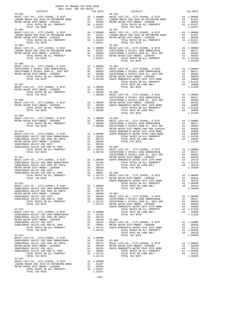| DISTRICT<br>2017-2018 TRA TAX RATES | TAX RATE | AX RATE $32-016$ DISTRICT                                                                                                                                                                                                                                                                                                                                                                                                                                            | TAX RATE |
|-------------------------------------|----------|----------------------------------------------------------------------------------------------------------------------------------------------------------------------------------------------------------------------------------------------------------------------------------------------------------------------------------------------------------------------------------------------------------------------------------------------------------------------|----------|
| $32 - 003$                          |          | $\begin{tabular}{cccc} 32-003 & \text{DIST-HOT} & \text{YAX RATE} \\ \text{BASC LEVY-CO, CITY, SCHOOL, & DISTT & \text{A1 1.00000 BREVADING BOND} \\ \text{METRO WATER DIST-MROC-L 205999} & \text{A1 1.00000 BREVADING BOND} \\ \text{METRO WATER DIST-MROC-L 205999} & \text{A1 1.00000 BREVADING BORD \\ \text{METRO WATER DIST-MROC-L 205999} \\ \text{METRO WATER DIST-MROC-L 205999} & \$                                                                      |          |
|                                     |          |                                                                                                                                                                                                                                                                                                                                                                                                                                                                      |          |
|                                     |          |                                                                                                                                                                                                                                                                                                                                                                                                                                                                      |          |
|                                     |          |                                                                                                                                                                                                                                                                                                                                                                                                                                                                      |          |
|                                     |          |                                                                                                                                                                                                                                                                                                                                                                                                                                                                      |          |
|                                     |          |                                                                                                                                                                                                                                                                                                                                                                                                                                                                      |          |
|                                     |          |                                                                                                                                                                                                                                                                                                                                                                                                                                                                      |          |
|                                     |          |                                                                                                                                                                                                                                                                                                                                                                                                                                                                      |          |
|                                     |          |                                                                                                                                                                                                                                                                                                                                                                                                                                                                      |          |
|                                     |          |                                                                                                                                                                                                                                                                                                                                                                                                                                                                      |          |
|                                     |          |                                                                                                                                                                                                                                                                                                                                                                                                                                                                      |          |
|                                     |          |                                                                                                                                                                                                                                                                                                                                                                                                                                                                      |          |
|                                     |          |                                                                                                                                                                                                                                                                                                                                                                                                                                                                      |          |
| $32 - 006$                          |          |                                                                                                                                                                                                                                                                                                                                                                                                                                                                      |          |
|                                     |          |                                                                                                                                                                                                                                                                                                                                                                                                                                                                      |          |
|                                     |          |                                                                                                                                                                                                                                                                                                                                                                                                                                                                      |          |
|                                     |          |                                                                                                                                                                                                                                                                                                                                                                                                                                                                      |          |
|                                     |          |                                                                                                                                                                                                                                                                                                                                                                                                                                                                      |          |
|                                     |          |                                                                                                                                                                                                                                                                                                                                                                                                                                                                      |          |
|                                     |          |                                                                                                                                                                                                                                                                                                                                                                                                                                                                      |          |
|                                     |          |                                                                                                                                                                                                                                                                                                                                                                                                                                                                      |          |
|                                     |          |                                                                                                                                                                                                                                                                                                                                                                                                                                                                      |          |
|                                     |          |                                                                                                                                                                                                                                                                                                                                                                                                                                                                      |          |
|                                     |          |                                                                                                                                                                                                                                                                                                                                                                                                                                                                      |          |
|                                     |          |                                                                                                                                                                                                                                                                                                                                                                                                                                                                      |          |
|                                     |          |                                                                                                                                                                                                                                                                                                                                                                                                                                                                      |          |
|                                     |          | $\begin{tabular}{c c c c c c} \multicolumn{4}{c c c} \multicolumn{4}{c c} \multicolumn{4}{c} \multicolumn{4}{c} \multicolumn{4}{c} \multicolumn{4}{c} \multicolumn{4}{c} \multicolumn{4}{c} \multicolumn{4}{c} \multicolumn{4}{c} \multicolumn{4}{c} \multicolumn{4}{c} \multicolumn{4}{c} \multicolumn{4}{c} \multicolumn{4}{c} \multicolumn{4}{c} \multicolumn{4}{c} \multicolumn{4}{c} \multicolumn{4}{c} \multicolumn{4}{c} \multicolumn{4}{c} \multicolumn{4}{$ |          |
| $32 - 009$                          |          |                                                                                                                                                                                                                                                                                                                                                                                                                                                                      |          |
|                                     |          |                                                                                                                                                                                                                                                                                                                                                                                                                                                                      |          |
|                                     |          |                                                                                                                                                                                                                                                                                                                                                                                                                                                                      |          |
|                                     |          |                                                                                                                                                                                                                                                                                                                                                                                                                                                                      |          |
|                                     |          |                                                                                                                                                                                                                                                                                                                                                                                                                                                                      |          |
|                                     |          |                                                                                                                                                                                                                                                                                                                                                                                                                                                                      |          |
|                                     |          |                                                                                                                                                                                                                                                                                                                                                                                                                                                                      |          |
|                                     |          |                                                                                                                                                                                                                                                                                                                                                                                                                                                                      |          |
|                                     |          |                                                                                                                                                                                                                                                                                                                                                                                                                                                                      |          |
|                                     |          |                                                                                                                                                                                                                                                                                                                                                                                                                                                                      |          |
|                                     |          |                                                                                                                                                                                                                                                                                                                                                                                                                                                                      |          |
|                                     |          |                                                                                                                                                                                                                                                                                                                                                                                                                                                                      |          |
|                                     |          |                                                                                                                                                                                                                                                                                                                                                                                                                                                                      |          |
|                                     |          |                                                                                                                                                                                                                                                                                                                                                                                                                                                                      |          |
|                                     |          |                                                                                                                                                                                                                                                                                                                                                                                                                                                                      |          |
|                                     |          |                                                                                                                                                                                                                                                                                                                                                                                                                                                                      |          |
|                                     |          |                                                                                                                                                                                                                                                                                                                                                                                                                                                                      |          |
|                                     |          |                                                                                                                                                                                                                                                                                                                                                                                                                                                                      |          |
|                                     |          |                                                                                                                                                                                                                                                                                                                                                                                                                                                                      |          |
|                                     |          |                                                                                                                                                                                                                                                                                                                                                                                                                                                                      |          |
|                                     |          |                                                                                                                                                                                                                                                                                                                                                                                                                                                                      |          |
|                                     |          |                                                                                                                                                                                                                                                                                                                                                                                                                                                                      |          |
|                                     |          |                                                                                                                                                                                                                                                                                                                                                                                                                                                                      |          |
|                                     |          |                                                                                                                                                                                                                                                                                                                                                                                                                                                                      |          |
|                                     |          |                                                                                                                                                                                                                                                                                                                                                                                                                                                                      |          |
|                                     |          |                                                                                                                                                                                                                                                                                                                                                                                                                                                                      |          |
|                                     |          |                                                                                                                                                                                                                                                                                                                                                                                                                                                                      |          |
|                                     |          |                                                                                                                                                                                                                                                                                                                                                                                                                                                                      |          |
|                                     |          |                                                                                                                                                                                                                                                                                                                                                                                                                                                                      |          |
|                                     |          |                                                                                                                                                                                                                                                                                                                                                                                                                                                                      |          |
|                                     |          |                                                                                                                                                                                                                                                                                                                                                                                                                                                                      |          |
|                                     |          |                                                                                                                                                                                                                                                                                                                                                                                                                                                                      |          |
|                                     |          | $\begin{tabular}{c c c c c} \multicolumn{4}{c}{\textbf{10000}} & \multicolumn{4}{c}{\textbf{5001}} & \multicolumn{4}{c}{\textbf{501}} & \multicolumn{4}{c}{\textbf{501}} & \multicolumn{4}{c}{\textbf{501}} & \multicolumn{4}{c}{\textbf{501}} & \multicolumn{4}{c}{\textbf{501}} & \multicolumn{4}{c}{\textbf{501}} & \multicolumn{4}{c}{\textbf{501}} & \multicolumn{4}{c}{\textbf{501}} & \multicolumn{4}{c}{\textbf{501}} & \multic$                             |          |
|                                     |          |                                                                                                                                                                                                                                                                                                                                                                                                                                                                      |          |
|                                     |          |                                                                                                                                                                                                                                                                                                                                                                                                                                                                      |          |
|                                     |          |                                                                                                                                                                                                                                                                                                                                                                                                                                                                      |          |
|                                     |          |                                                                                                                                                                                                                                                                                                                                                                                                                                                                      |          |
|                                     |          |                                                                                                                                                                                                                                                                                                                                                                                                                                                                      |          |
| $32 - 015$                          |          |                                                                                                                                                                                                                                                                                                                                                                                                                                                                      |          |
|                                     |          |                                                                                                                                                                                                                                                                                                                                                                                                                                                                      |          |
|                                     |          |                                                                                                                                                                                                                                                                                                                                                                                                                                                                      |          |
|                                     |          |                                                                                                                                                                                                                                                                                                                                                                                                                                                                      |          |
|                                     |          |                                                                                                                                                                                                                                                                                                                                                                                                                                                                      |          |

COUNTY OF ORANGE TAX RATE BOOK

-269-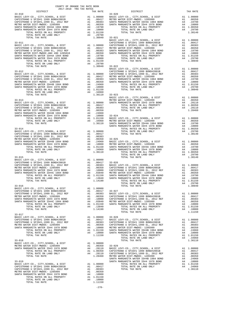|                                                                                                                                                                                                                                                                                                                                                                                  |  | TRA TAX RATES TAX RATE DISTRICT $33-020$ | TAX RATE |
|----------------------------------------------------------------------------------------------------------------------------------------------------------------------------------------------------------------------------------------------------------------------------------------------------------------------------------------------------------------------------------|--|------------------------------------------|----------|
| $33 - 010$                                                                                                                                                                                                                                                                                                                                                                       |  |                                          |          |
|                                                                                                                                                                                                                                                                                                                                                                                  |  |                                          |          |
|                                                                                                                                                                                                                                                                                                                                                                                  |  |                                          |          |
|                                                                                                                                                                                                                                                                                                                                                                                  |  |                                          |          |
|                                                                                                                                                                                                                                                                                                                                                                                  |  |                                          |          |
|                                                                                                                                                                                                                                                                                                                                                                                  |  |                                          |          |
|                                                                                                                                                                                                                                                                                                                                                                                  |  |                                          |          |
|                                                                                                                                                                                                                                                                                                                                                                                  |  |                                          |          |
|                                                                                                                                                                                                                                                                                                                                                                                  |  |                                          |          |
|                                                                                                                                                                                                                                                                                                                                                                                  |  |                                          |          |
|                                                                                                                                                                                                                                                                                                                                                                                  |  |                                          |          |
|                                                                                                                                                                                                                                                                                                                                                                                  |  |                                          |          |
|                                                                                                                                                                                                                                                                                                                                                                                  |  |                                          |          |
|                                                                                                                                                                                                                                                                                                                                                                                  |  |                                          |          |
|                                                                                                                                                                                                                                                                                                                                                                                  |  |                                          |          |
|                                                                                                                                                                                                                                                                                                                                                                                  |  |                                          |          |
|                                                                                                                                                                                                                                                                                                                                                                                  |  |                                          |          |
|                                                                                                                                                                                                                                                                                                                                                                                  |  |                                          |          |
|                                                                                                                                                                                                                                                                                                                                                                                  |  |                                          |          |
|                                                                                                                                                                                                                                                                                                                                                                                  |  |                                          |          |
|                                                                                                                                                                                                                                                                                                                                                                                  |  |                                          |          |
|                                                                                                                                                                                                                                                                                                                                                                                  |  |                                          |          |
|                                                                                                                                                                                                                                                                                                                                                                                  |  |                                          |          |
|                                                                                                                                                                                                                                                                                                                                                                                  |  |                                          |          |
|                                                                                                                                                                                                                                                                                                                                                                                  |  |                                          |          |
|                                                                                                                                                                                                                                                                                                                                                                                  |  |                                          |          |
|                                                                                                                                                                                                                                                                                                                                                                                  |  |                                          |          |
|                                                                                                                                                                                                                                                                                                                                                                                  |  |                                          |          |
|                                                                                                                                                                                                                                                                                                                                                                                  |  |                                          |          |
|                                                                                                                                                                                                                                                                                                                                                                                  |  |                                          |          |
|                                                                                                                                                                                                                                                                                                                                                                                  |  |                                          |          |
|                                                                                                                                                                                                                                                                                                                                                                                  |  |                                          |          |
|                                                                                                                                                                                                                                                                                                                                                                                  |  |                                          |          |
|                                                                                                                                                                                                                                                                                                                                                                                  |  |                                          |          |
|                                                                                                                                                                                                                                                                                                                                                                                  |  |                                          |          |
|                                                                                                                                                                                                                                                                                                                                                                                  |  |                                          |          |
|                                                                                                                                                                                                                                                                                                                                                                                  |  |                                          |          |
|                                                                                                                                                                                                                                                                                                                                                                                  |  |                                          |          |
|                                                                                                                                                                                                                                                                                                                                                                                  |  |                                          |          |
|                                                                                                                                                                                                                                                                                                                                                                                  |  |                                          |          |
|                                                                                                                                                                                                                                                                                                                                                                                  |  |                                          |          |
|                                                                                                                                                                                                                                                                                                                                                                                  |  |                                          |          |
|                                                                                                                                                                                                                                                                                                                                                                                  |  |                                          |          |
|                                                                                                                                                                                                                                                                                                                                                                                  |  |                                          |          |
|                                                                                                                                                                                                                                                                                                                                                                                  |  |                                          |          |
|                                                                                                                                                                                                                                                                                                                                                                                  |  |                                          |          |
|                                                                                                                                                                                                                                                                                                                                                                                  |  |                                          |          |
|                                                                                                                                                                                                                                                                                                                                                                                  |  |                                          |          |
|                                                                                                                                                                                                                                                                                                                                                                                  |  |                                          |          |
|                                                                                                                                                                                                                                                                                                                                                                                  |  |                                          |          |
|                                                                                                                                                                                                                                                                                                                                                                                  |  |                                          |          |
|                                                                                                                                                                                                                                                                                                                                                                                  |  |                                          |          |
|                                                                                                                                                                                                                                                                                                                                                                                  |  |                                          |          |
|                                                                                                                                                                                                                                                                                                                                                                                  |  |                                          |          |
|                                                                                                                                                                                                                                                                                                                                                                                  |  |                                          |          |
|                                                                                                                                                                                                                                                                                                                                                                                  |  |                                          |          |
|                                                                                                                                                                                                                                                                                                                                                                                  |  |                                          |          |
|                                                                                                                                                                                                                                                                                                                                                                                  |  |                                          |          |
|                                                                                                                                                                                                                                                                                                                                                                                  |  |                                          |          |
|                                                                                                                                                                                                                                                                                                                                                                                  |  |                                          |          |
|                                                                                                                                                                                                                                                                                                                                                                                  |  |                                          |          |
|                                                                                                                                                                                                                                                                                                                                                                                  |  |                                          |          |
|                                                                                                                                                                                                                                                                                                                                                                                  |  |                                          |          |
|                                                                                                                                                                                                                                                                                                                                                                                  |  |                                          |          |
|                                                                                                                                                                                                                                                                                                                                                                                  |  |                                          |          |
|                                                                                                                                                                                                                                                                                                                                                                                  |  |                                          |          |
|                                                                                                                                                                                                                                                                                                                                                                                  |  |                                          |          |
|                                                                                                                                                                                                                                                                                                                                                                                  |  |                                          |          |
|                                                                                                                                                                                                                                                                                                                                                                                  |  |                                          |          |
| $\begin{tabular}{cccc} 33-018 & {\small 1018} & {\small 101000} & {\small 101000} & {\small 101000} & {\small 101000} & {\small 101000} & {\small 101000} & {\small 101000} & {\small 101000} & {\small 101000} & {\small 101000} & {\small 101000} & {\small 101000} & {\small 101000} & {\small 101000} & {\small 101000} & {\small 101000} & {\small 101000} & {\small 10100$ |  |                                          |          |
|                                                                                                                                                                                                                                                                                                                                                                                  |  |                                          |          |

-270-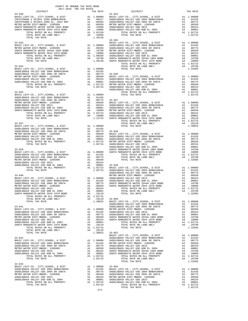| COUNTY OF ORANGE TAX RATE BOOK<br>2017-2018 TRA TAX RATES |  |                                                                                                                                                                                                                                                                                                                                                                                                                               |          |
|-----------------------------------------------------------|--|-------------------------------------------------------------------------------------------------------------------------------------------------------------------------------------------------------------------------------------------------------------------------------------------------------------------------------------------------------------------------------------------------------------------------------|----------|
| DISTRICT<br>$33 - 030$                                    |  | TAX RATE TAX RATE 33-044                                                                                                                                                                                                                                                                                                                                                                                                      | TAX RATE |
|                                                           |  | $\begin{tabular}{c c c c} 33-030 & 33-040 & 33-040 & 33-044 \\ \hline \texttt{BASIC LEVY-CO} \,, & \texttt{CITY}, \texttt{SCHOOL}, & \texttt{EUY-CO} \,, & \texttt{CITY}, \texttt{SCHOOL}, & \texttt{E DIST} & \texttt{A1} & 1.00000 \\ \texttt{CAPISTRANO U SFIDH1 1999 BOND/2001B} & \texttt{A1} & .00417 & \texttt{SADDLEBACK VALLEY USD 2004 BOND/2004A} & \texttt{A1} & .01$                                             |          |
|                                                           |  |                                                                                                                                                                                                                                                                                                                                                                                                                               |          |
|                                                           |  |                                                                                                                                                                                                                                                                                                                                                                                                                               |          |
|                                                           |  |                                                                                                                                                                                                                                                                                                                                                                                                                               |          |
|                                                           |  |                                                                                                                                                                                                                                                                                                                                                                                                                               |          |
|                                                           |  |                                                                                                                                                                                                                                                                                                                                                                                                                               |          |
|                                                           |  | $\begin{tabular}{c c c c c} \hline\text{TOTAL TAX RATE} & \text{1.30140} & \text{BASTC LEVY-CO.}, & \text{CTTY}, \text{SCHOOL}, & \text{A DIST} & \text{AA 1.00000} \\ \hline \text{BASC LEVY-CO.}, & \text{CTTY}, \text{SCHOOL}, & \text{A DIST} & \text{A1 1.00000} & \text{SADDEBACK VALLEY USD 2004 BOND 2004 BOND 2004 BOND 2004 BOND 2004 BOND 2004 BOND 2004 BOND 2004 BOND 2004 BOND$                                 |          |
|                                                           |  |                                                                                                                                                                                                                                                                                                                                                                                                                               |          |
|                                                           |  |                                                                                                                                                                                                                                                                                                                                                                                                                               |          |
|                                                           |  |                                                                                                                                                                                                                                                                                                                                                                                                                               |          |
|                                                           |  |                                                                                                                                                                                                                                                                                                                                                                                                                               |          |
|                                                           |  |                                                                                                                                                                                                                                                                                                                                                                                                                               |          |
|                                                           |  |                                                                                                                                                                                                                                                                                                                                                                                                                               |          |
|                                                           |  |                                                                                                                                                                                                                                                                                                                                                                                                                               |          |
|                                                           |  |                                                                                                                                                                                                                                                                                                                                                                                                                               |          |
|                                                           |  |                                                                                                                                                                                                                                                                                                                                                                                                                               |          |
|                                                           |  |                                                                                                                                                                                                                                                                                                                                                                                                                               |          |
|                                                           |  |                                                                                                                                                                                                                                                                                                                                                                                                                               |          |
|                                                           |  |                                                                                                                                                                                                                                                                                                                                                                                                                               |          |
|                                                           |  |                                                                                                                                                                                                                                                                                                                                                                                                                               |          |
|                                                           |  |                                                                                                                                                                                                                                                                                                                                                                                                                               |          |
|                                                           |  |                                                                                                                                                                                                                                                                                                                                                                                                                               |          |
|                                                           |  |                                                                                                                                                                                                                                                                                                                                                                                                                               |          |
|                                                           |  |                                                                                                                                                                                                                                                                                                                                                                                                                               |          |
|                                                           |  |                                                                                                                                                                                                                                                                                                                                                                                                                               |          |
|                                                           |  |                                                                                                                                                                                                                                                                                                                                                                                                                               |          |
|                                                           |  |                                                                                                                                                                                                                                                                                                                                                                                                                               |          |
|                                                           |  |                                                                                                                                                                                                                                                                                                                                                                                                                               |          |
|                                                           |  |                                                                                                                                                                                                                                                                                                                                                                                                                               |          |
|                                                           |  |                                                                                                                                                                                                                                                                                                                                                                                                                               |          |
|                                                           |  |                                                                                                                                                                                                                                                                                                                                                                                                                               |          |
|                                                           |  |                                                                                                                                                                                                                                                                                                                                                                                                                               |          |
|                                                           |  |                                                                                                                                                                                                                                                                                                                                                                                                                               |          |
|                                                           |  |                                                                                                                                                                                                                                                                                                                                                                                                                               |          |
|                                                           |  |                                                                                                                                                                                                                                                                                                                                                                                                                               |          |
|                                                           |  |                                                                                                                                                                                                                                                                                                                                                                                                                               |          |
|                                                           |  |                                                                                                                                                                                                                                                                                                                                                                                                                               |          |
|                                                           |  |                                                                                                                                                                                                                                                                                                                                                                                                                               |          |
|                                                           |  |                                                                                                                                                                                                                                                                                                                                                                                                                               |          |
|                                                           |  |                                                                                                                                                                                                                                                                                                                                                                                                                               |          |
|                                                           |  |                                                                                                                                                                                                                                                                                                                                                                                                                               |          |
|                                                           |  |                                                                                                                                                                                                                                                                                                                                                                                                                               |          |
|                                                           |  |                                                                                                                                                                                                                                                                                                                                                                                                                               |          |
|                                                           |  |                                                                                                                                                                                                                                                                                                                                                                                                                               |          |
|                                                           |  |                                                                                                                                                                                                                                                                                                                                                                                                                               |          |
|                                                           |  |                                                                                                                                                                                                                                                                                                                                                                                                                               |          |
|                                                           |  |                                                                                                                                                                                                                                                                                                                                                                                                                               |          |
|                                                           |  |                                                                                                                                                                                                                                                                                                                                                                                                                               |          |
|                                                           |  |                                                                                                                                                                                                                                                                                                                                                                                                                               |          |
|                                                           |  |                                                                                                                                                                                                                                                                                                                                                                                                                               |          |
|                                                           |  |                                                                                                                                                                                                                                                                                                                                                                                                                               |          |
|                                                           |  |                                                                                                                                                                                                                                                                                                                                                                                                                               |          |
|                                                           |  |                                                                                                                                                                                                                                                                                                                                                                                                                               |          |
|                                                           |  |                                                                                                                                                                                                                                                                                                                                                                                                                               |          |
|                                                           |  |                                                                                                                                                                                                                                                                                                                                                                                                                               |          |
|                                                           |  |                                                                                                                                                                                                                                                                                                                                                                                                                               |          |
|                                                           |  |                                                                                                                                                                                                                                                                                                                                                                                                                               |          |
|                                                           |  |                                                                                                                                                                                                                                                                                                                                                                                                                               |          |
|                                                           |  | $\begin{tabular}{l cccc} \texttt{METRO}\texttt{BACT} & \texttt{MIST-OMIC} & \texttt{MIST-OMIC} & \texttt{SADDLEBACH} & \texttt{A1} & 0.0001 & \texttt{SADN-TR} & \texttt{MIST-OMIC} & \texttt{MIST-OMIC} & \texttt{A4} & 1.9000 \\ \texttt{METRO}\texttt{MATE} & \texttt{DIST-OMIC} & \texttt{MIST-OMIC} & \texttt{MIST-OMIC} & \texttt{MIST-OMIC} & \texttt{MIST-OMIC} & \texttt{MIST-OMIC} & \texttt{MIST-OMIC} & \texttt{$ |          |
|                                                           |  |                                                                                                                                                                                                                                                                                                                                                                                                                               |          |
|                                                           |  |                                                                                                                                                                                                                                                                                                                                                                                                                               |          |
|                                                           |  |                                                                                                                                                                                                                                                                                                                                                                                                                               |          |
|                                                           |  |                                                                                                                                                                                                                                                                                                                                                                                                                               |          |
|                                                           |  |                                                                                                                                                                                                                                                                                                                                                                                                                               |          |
|                                                           |  |                                                                                                                                                                                                                                                                                                                                                                                                                               |          |
|                                                           |  |                                                                                                                                                                                                                                                                                                                                                                                                                               |          |
|                                                           |  |                                                                                                                                                                                                                                                                                                                                                                                                                               |          |
|                                                           |  |                                                                                                                                                                                                                                                                                                                                                                                                                               |          |
|                                                           |  |                                                                                                                                                                                                                                                                                                                                                                                                                               |          |
|                                                           |  |                                                                                                                                                                                                                                                                                                                                                                                                                               |          |
|                                                           |  |                                                                                                                                                                                                                                                                                                                                                                                                                               |          |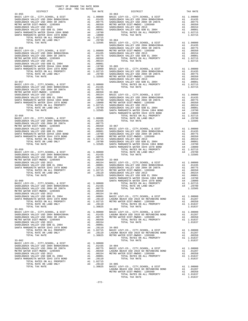| COUNTY OF ORANGE TAX RATE BOOK<br>2017-2018 TRA TAX RATES |          |                        |          |
|-----------------------------------------------------------|----------|------------------------|----------|
| DISTRICT                                                  | TAX RATE | $33 - 063$<br>DISTRICT | TAX RATE |
| $33 - 055$                                                |          |                        |          |
|                                                           |          |                        |          |
|                                                           |          |                        |          |
|                                                           |          |                        |          |
|                                                           |          |                        |          |
|                                                           |          |                        |          |
|                                                           |          |                        |          |
|                                                           |          |                        |          |
|                                                           |          |                        |          |
|                                                           |          |                        |          |
|                                                           |          |                        |          |
|                                                           |          |                        |          |
|                                                           |          |                        |          |
|                                                           |          |                        |          |
|                                                           |          |                        |          |
|                                                           |          |                        |          |
|                                                           |          |                        |          |
|                                                           |          |                        |          |
|                                                           |          |                        |          |
|                                                           |          |                        |          |
|                                                           |          |                        |          |
|                                                           |          |                        |          |
|                                                           |          |                        |          |
|                                                           |          |                        |          |
|                                                           |          |                        |          |
|                                                           |          |                        |          |
|                                                           |          |                        |          |
|                                                           |          |                        |          |
|                                                           |          |                        |          |
|                                                           |          |                        |          |
|                                                           |          |                        |          |
|                                                           |          |                        |          |
|                                                           |          |                        |          |
|                                                           |          |                        |          |
|                                                           |          |                        |          |
|                                                           |          |                        |          |
|                                                           |          |                        |          |
|                                                           |          |                        |          |
|                                                           |          |                        |          |
|                                                           |          |                        |          |
|                                                           |          |                        |          |
|                                                           |          |                        |          |
|                                                           |          |                        |          |
|                                                           |          |                        |          |
|                                                           |          |                        |          |
|                                                           |          |                        |          |
|                                                           |          |                        |          |
|                                                           |          |                        |          |
|                                                           |          |                        |          |
|                                                           |          |                        |          |
|                                                           |          |                        |          |
|                                                           |          |                        |          |
|                                                           |          |                        |          |
|                                                           |          |                        |          |
|                                                           |          |                        |          |
|                                                           |          |                        |          |
|                                                           |          |                        |          |
|                                                           |          |                        |          |
|                                                           |          |                        |          |
|                                                           |          |                        |          |
|                                                           |          |                        |          |
|                                                           |          |                        |          |
|                                                           |          |                        |          |
|                                                           |          |                        |          |
|                                                           |          |                        |          |
|                                                           |          |                        |          |
|                                                           |          |                        |          |
|                                                           |          |                        |          |
|                                                           |          |                        |          |
|                                                           |          |                        |          |
|                                                           |          |                        |          |
|                                                           |          |                        |          |
|                                                           |          |                        |          |
|                                                           |          |                        |          |
|                                                           |          |                        |          |
|                                                           |          |                        |          |
|                                                           |          |                        |          |
|                                                           |          |                        |          |
|                                                           |          |                        |          |
|                                                           |          |                        |          |
|                                                           |          |                        |          |
|                                                           |          |                        |          |
|                                                           |          |                        |          |
|                                                           |          |                        |          |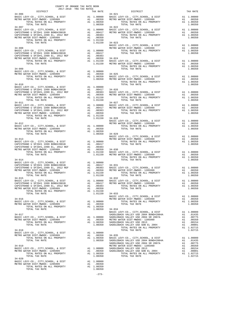| 2017-2018 TRA TAX RATES<br>DISTRICT                                                        |                |                                                                                                                                                                                                                                                                                                                                                                                                                            | TAX RATE |
|--------------------------------------------------------------------------------------------|----------------|----------------------------------------------------------------------------------------------------------------------------------------------------------------------------------------------------------------------------------------------------------------------------------------------------------------------------------------------------------------------------------------------------------------------------|----------|
| $34 - 006$                                                                                 |                | RA TAX RATES<br>TAX RATE 194-021<br>24-021                                                                                                                                                                                                                                                                                                                                                                                 |          |
|                                                                                            |                |                                                                                                                                                                                                                                                                                                                                                                                                                            |          |
|                                                                                            |                |                                                                                                                                                                                                                                                                                                                                                                                                                            |          |
|                                                                                            |                | 34–007<br>NETRO WATER DIST METRO WATER DIST METRO WATER DIST METRO WATER DIST METRO WATER DIST METRO WATER DIST<br>METRO WATER DIST MUDOC-1205999 A1 .00350 METRO WATER DIST-MWDOC-1205999 A1 .00350<br>TOTAL RATES ON ALL PROPERTY                                                                                                                                                                                        |          |
|                                                                                            |                |                                                                                                                                                                                                                                                                                                                                                                                                                            |          |
|                                                                                            |                |                                                                                                                                                                                                                                                                                                                                                                                                                            |          |
|                                                                                            |                |                                                                                                                                                                                                                                                                                                                                                                                                                            |          |
|                                                                                            |                |                                                                                                                                                                                                                                                                                                                                                                                                                            |          |
|                                                                                            |                |                                                                                                                                                                                                                                                                                                                                                                                                                            |          |
|                                                                                            |                | $\begin{tabular}{cccccc} \texttt{1-01150} & 34-023 & 34-023 & 34-008 & 34-008 & 34-008 & 34-008 & 34-008 & 34-08 & 34-08 & 34-08 & 34-08 & 34-08 & 34-08 & 34-08 & 34-08 & 34-08 & 34-08 & 34-08 & 34-08 & 34-08 & 34-08 & 34-08 & 34-08 & 34-08 & 34-08 & 34-08 & 34-08 & 3$                                                                                                                                              |          |
|                                                                                            |                |                                                                                                                                                                                                                                                                                                                                                                                                                            |          |
|                                                                                            |                |                                                                                                                                                                                                                                                                                                                                                                                                                            |          |
|                                                                                            |                |                                                                                                                                                                                                                                                                                                                                                                                                                            |          |
|                                                                                            |                |                                                                                                                                                                                                                                                                                                                                                                                                                            |          |
|                                                                                            |                |                                                                                                                                                                                                                                                                                                                                                                                                                            |          |
|                                                                                            |                |                                                                                                                                                                                                                                                                                                                                                                                                                            |          |
|                                                                                            |                |                                                                                                                                                                                                                                                                                                                                                                                                                            |          |
|                                                                                            |                |                                                                                                                                                                                                                                                                                                                                                                                                                            |          |
|                                                                                            |                |                                                                                                                                                                                                                                                                                                                                                                                                                            |          |
|                                                                                            |                | TOTAL TAX RATE<br>TOTAL TAX RATE<br>METRO WATER DIST –MWDOC–1205999 A1 1.00000 A1 1.00000 A1 1.00000 A1 1.00000 A1 1.00000 A1 1.00000 A1 1.00000 A1 1.00000 A1 1.00000 A1 1.00000 A1 1.00000 A1 1.00000 A1 1.00000 A1 1.00000 A1 1                                                                                                                                                                                         |          |
|                                                                                            |                |                                                                                                                                                                                                                                                                                                                                                                                                                            |          |
|                                                                                            |                |                                                                                                                                                                                                                                                                                                                                                                                                                            |          |
|                                                                                            |                |                                                                                                                                                                                                                                                                                                                                                                                                                            |          |
|                                                                                            |                |                                                                                                                                                                                                                                                                                                                                                                                                                            |          |
|                                                                                            |                |                                                                                                                                                                                                                                                                                                                                                                                                                            |          |
|                                                                                            |                |                                                                                                                                                                                                                                                                                                                                                                                                                            |          |
|                                                                                            |                |                                                                                                                                                                                                                                                                                                                                                                                                                            |          |
|                                                                                            |                |                                                                                                                                                                                                                                                                                                                                                                                                                            |          |
|                                                                                            |                |                                                                                                                                                                                                                                                                                                                                                                                                                            |          |
|                                                                                            |                |                                                                                                                                                                                                                                                                                                                                                                                                                            |          |
|                                                                                            |                |                                                                                                                                                                                                                                                                                                                                                                                                                            |          |
|                                                                                            |                |                                                                                                                                                                                                                                                                                                                                                                                                                            |          |
|                                                                                            |                |                                                                                                                                                                                                                                                                                                                                                                                                                            |          |
|                                                                                            |                |                                                                                                                                                                                                                                                                                                                                                                                                                            |          |
|                                                                                            |                |                                                                                                                                                                                                                                                                                                                                                                                                                            |          |
|                                                                                            |                |                                                                                                                                                                                                                                                                                                                                                                                                                            |          |
|                                                                                            |                |                                                                                                                                                                                                                                                                                                                                                                                                                            |          |
|                                                                                            |                |                                                                                                                                                                                                                                                                                                                                                                                                                            |          |
|                                                                                            |                |                                                                                                                                                                                                                                                                                                                                                                                                                            |          |
|                                                                                            |                |                                                                                                                                                                                                                                                                                                                                                                                                                            |          |
|                                                                                            |                | $\begin{tabular}{c c c c c c} \hline \text{TOTAL RATES ON AL } \text{PRODEF} \\ \hline \text{TOTAL TAX RATE} & & & & & 1.00350 \\ \hline \text{RASIC LEVY-CO. , CITY, SCHOOL, & DIST & & & & 1.00350 \\ \text{BASE LEVY-CO. , CITY, SCHOOL, & DIST & & & & 1.00350 \\ \text{RASTC LEVY-CO. , CITY, SCHOOL, & DIST & & & 1.00350 \\ \text{RASTC LEVY-CO. , CITY, SCHOOL, & DIST & & & 1.00350 \\ \text{CAPISTRANO U SFID#1$ |          |
|                                                                                            |                |                                                                                                                                                                                                                                                                                                                                                                                                                            |          |
|                                                                                            |                |                                                                                                                                                                                                                                                                                                                                                                                                                            |          |
|                                                                                            |                |                                                                                                                                                                                                                                                                                                                                                                                                                            |          |
|                                                                                            |                | TOTAL TAX RATE                                                                                                                                                                                                                                                                                                                                                                                                             |          |
|                                                                                            |                | 34–014 TOTAL RATES ON ALL PROPERTY<br>TOTAL RATES ON ALL PROPERTY AT 1.00000 CAPISTRANO U SFID#1 1999 BOND#2001B<br>CAPISTRANO U SFID#1 1999 BOND#2001B A1 .00417 34–031<br>CAPISTRANO U SFID#1 1999 BOND#2001B A1 .00383<br>CAPISTRAN                                                                                                                                                                                     |          |
|                                                                                            |                |                                                                                                                                                                                                                                                                                                                                                                                                                            |          |
|                                                                                            |                |                                                                                                                                                                                                                                                                                                                                                                                                                            |          |
|                                                                                            |                |                                                                                                                                                                                                                                                                                                                                                                                                                            |          |
|                                                                                            |                |                                                                                                                                                                                                                                                                                                                                                                                                                            |          |
| $34 - 015$                                                                                 |                | $34 - 032$                                                                                                                                                                                                                                                                                                                                                                                                                 |          |
|                                                                                            |                |                                                                                                                                                                                                                                                                                                                                                                                                                            |          |
|                                                                                            |                |                                                                                                                                                                                                                                                                                                                                                                                                                            |          |
|                                                                                            |                |                                                                                                                                                                                                                                                                                                                                                                                                                            |          |
|                                                                                            |                |                                                                                                                                                                                                                                                                                                                                                                                                                            |          |
|                                                                                            |                |                                                                                                                                                                                                                                                                                                                                                                                                                            |          |
| $34 - 016$                                                                                 |                |                                                                                                                                                                                                                                                                                                                                                                                                                            |          |
|                                                                                            |                |                                                                                                                                                                                                                                                                                                                                                                                                                            |          |
|                                                                                            |                | TOTAL TAX RATE                                                                                                                                                                                                                                                                                                                                                                                                             | 1,00350  |
| TOTAL TAX RATE                                                                             | 1.00350 34-034 |                                                                                                                                                                                                                                                                                                                                                                                                                            |          |
|                                                                                            |                |                                                                                                                                                                                                                                                                                                                                                                                                                            |          |
|                                                                                            |                | $\begin{tabular}{cccccc} TOTAL TAX RATE & 1.00350 & 34-034 & 0434-017 \\ \hline \texttt{BASTC LEVY-CO.}, CITT, SCHOOL, & DIST & \texttt{A1} & 1.00000 \\ \texttt{BASTC LEVY-CO.}, CITY, SCHOOL, & DIST & \texttt{A1} & 1.00000 \\ \texttt{BASTC LEVY-CO.}, CITY, SCHOOL, & DIST & \texttt{A1} & 1.00000 \\ \texttt{ABSTC LEVY-CO.}, CITY, CCTY, SCHOOL, & DIST & \texttt{A1} & 1.00000 \\ \text$                           |          |
|                                                                                            |                |                                                                                                                                                                                                                                                                                                                                                                                                                            |          |
|                                                                                            |                |                                                                                                                                                                                                                                                                                                                                                                                                                            |          |
|                                                                                            |                |                                                                                                                                                                                                                                                                                                                                                                                                                            |          |
|                                                                                            |                |                                                                                                                                                                                                                                                                                                                                                                                                                            |          |
|                                                                                            |                |                                                                                                                                                                                                                                                                                                                                                                                                                            |          |
|                                                                                            |                |                                                                                                                                                                                                                                                                                                                                                                                                                            |          |
|                                                                                            |                |                                                                                                                                                                                                                                                                                                                                                                                                                            |          |
|                                                                                            |                |                                                                                                                                                                                                                                                                                                                                                                                                                            |          |
|                                                                                            |                |                                                                                                                                                                                                                                                                                                                                                                                                                            |          |
|                                                                                            |                |                                                                                                                                                                                                                                                                                                                                                                                                                            |          |
|                                                                                            |                |                                                                                                                                                                                                                                                                                                                                                                                                                            |          |
|                                                                                            |                |                                                                                                                                                                                                                                                                                                                                                                                                                            |          |
|                                                                                            |                |                                                                                                                                                                                                                                                                                                                                                                                                                            |          |
| $34 - 020$                                                                                 |                |                                                                                                                                                                                                                                                                                                                                                                                                                            |          |
| BASIC LEVY-CO., CITY, SCHOOL, & DIST<br>BASIC LEVY-CO., CITY, SCHOOL, & DIST<br>Al 1,00250 |                |                                                                                                                                                                                                                                                                                                                                                                                                                            |          |

BASIC LEVY-CO., CITY, SCHOOL, & DIST A1 1.00000<br>
METRO WATER DIST-MWDOC- 1205999 A1 .00350<br>
TOTAL RATES ON ALL PROPERTY A1 1.00350<br>
TOTAL TAX RATE 1.00350

-273-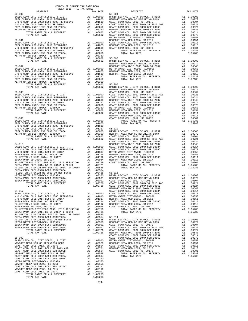| $\sim$ $\sim$ $\sim$ $\sim$ $\sim$<br>$-11111$<br>$-0.444$ |         |  |  |
|------------------------------------------------------------|---------|--|--|
|                                                            |         |  |  |
|                                                            |         |  |  |
|                                                            |         |  |  |
|                                                            |         |  |  |
|                                                            |         |  |  |
|                                                            |         |  |  |
|                                                            |         |  |  |
|                                                            |         |  |  |
|                                                            |         |  |  |
|                                                            |         |  |  |
|                                                            |         |  |  |
|                                                            |         |  |  |
|                                                            |         |  |  |
|                                                            |         |  |  |
|                                                            |         |  |  |
|                                                            |         |  |  |
|                                                            |         |  |  |
|                                                            |         |  |  |
|                                                            |         |  |  |
|                                                            |         |  |  |
|                                                            |         |  |  |
|                                                            |         |  |  |
|                                                            |         |  |  |
|                                                            |         |  |  |
|                                                            |         |  |  |
|                                                            |         |  |  |
|                                                            |         |  |  |
|                                                            |         |  |  |
|                                                            |         |  |  |
|                                                            |         |  |  |
|                                                            |         |  |  |
|                                                            |         |  |  |
|                                                            |         |  |  |
|                                                            |         |  |  |
|                                                            |         |  |  |
|                                                            |         |  |  |
|                                                            |         |  |  |
|                                                            |         |  |  |
|                                                            |         |  |  |
|                                                            |         |  |  |
|                                                            |         |  |  |
|                                                            |         |  |  |
|                                                            |         |  |  |
|                                                            |         |  |  |
|                                                            |         |  |  |
|                                                            |         |  |  |
|                                                            |         |  |  |
|                                                            |         |  |  |
|                                                            |         |  |  |
|                                                            |         |  |  |
|                                                            |         |  |  |
|                                                            |         |  |  |
|                                                            |         |  |  |
|                                                            |         |  |  |
|                                                            |         |  |  |
|                                                            |         |  |  |
|                                                            |         |  |  |
|                                                            |         |  |  |
|                                                            |         |  |  |
|                                                            |         |  |  |
|                                                            |         |  |  |
|                                                            |         |  |  |
|                                                            |         |  |  |
|                                                            |         |  |  |
|                                                            |         |  |  |
|                                                            |         |  |  |
|                                                            |         |  |  |
|                                                            |         |  |  |
|                                                            |         |  |  |
|                                                            |         |  |  |
|                                                            |         |  |  |
|                                                            |         |  |  |
|                                                            |         |  |  |
|                                                            |         |  |  |
|                                                            |         |  |  |
|                                                            |         |  |  |
|                                                            |         |  |  |
|                                                            |         |  |  |
|                                                            |         |  |  |
|                                                            | 1.05283 |  |  |
|                                                            |         |  |  |

COUNTY OF ORANGE TAX RATE BOOK

| ND       | Α1                                                                                                                  | .00979<br>.00804    |
|----------|---------------------------------------------------------------------------------------------------------------------|---------------------|
| 3<br>A&B | A1<br>A1                                                                                                            | .00721              |
| 06B      |                                                                                                                     | .00624              |
| 007      | A1<br>A1                                                                                                            | .00548              |
| 03A      |                                                                                                                     | .00514              |
| 06C      |                                                                                                                     | .00370              |
|          | $\begin{array}{l} \texttt{all}\\ \texttt{All}\\ \texttt{All}\\ \texttt{All}\\ \texttt{A1}\\ \texttt{A2}\end{array}$ | .00350              |
|          | $\mathtt{Al}$                                                                                                       | .00151              |
| 16C      | A1                                                                                                                  | .00111              |
|          | A1                                                                                                                  | .00110              |
|          | A1                                                                                                                  | .00001              |
| RTY      | A1                                                                                                                  | 1.05283             |
|          |                                                                                                                     | 1.05283             |
|          |                                                                                                                     |                     |
| IST      | A1                                                                                                                  | 1.00000             |
| ND       | A1                                                                                                                  | .00979              |
| 007      | A1                                                                                                                  | .00548              |
|          | A1                                                                                                                  | .00350              |
|          | A1                                                                                                                  | .00151              |
|          | A1<br>A1                                                                                                            | $.00110$<br>1.02138 |
| RTY      |                                                                                                                     |                     |
|          |                                                                                                                     | 1.02138             |
|          |                                                                                                                     |                     |
| IST      | A1                                                                                                                  | 1.00000             |
| ND       | A1                                                                                                                  | .00979              |
|          | A1                                                                                                                  | .00804              |
| 3<br>A&B | A1                                                                                                                  | .00721              |
| 06B      | A1                                                                                                                  | .00624              |
| 007      | A1                                                                                                                  | .00548              |
| 03A      | A1                                                                                                                  | .00514              |
| 06C      | $\mathop{\rm Al}\limits^{\scriptscriptstyle \!\!\!\!\!\!\!\!_{\scriptscriptstyle \!-\!1}}$                          | .00370              |
|          | $\mathtt{Al}$                                                                                                       | .00350              |
|          | A1                                                                                                                  | .00151              |
| 16C      | A1                                                                                                                  | .00111              |
|          | A1                                                                                                                  | .00110              |
|          | A1<br>A1                                                                                                            | $.00001$<br>1.05283 |
| RTY      |                                                                                                                     |                     |
|          |                                                                                                                     | 1.05283             |
|          |                                                                                                                     |                     |
| IST      | A1                                                                                                                  | 1.00000             |
| ND       | A1                                                                                                                  | .00979              |
|          | A1                                                                                                                  | .00804              |
| 3<br>A&B | A1                                                                                                                  | .00721              |
| 06B      | A1                                                                                                                  | .00624              |
| 007      | A1                                                                                                                  | .00548              |
| 03A      | A1                                                                                                                  | .00514              |
| 06C      | A1                                                                                                                  | .00370              |
|          | $\mathop{\rm AI}_\bullet$                                                                                           | .00350              |
|          | A1                                                                                                                  | .00151              |
| 16C      | A1                                                                                                                  | .00111              |
|          | A1                                                                                                                  | .00110              |
|          | A1                                                                                                                  | .00001              |
| RTY      | A1                                                                                                                  | 1.05283<br>1.05283  |
|          |                                                                                                                     |                     |
|          |                                                                                                                     |                     |
| IST      | A1                                                                                                                  | 1.00000             |
| ND       | A1                                                                                                                  | .00979              |
|          | A1                                                                                                                  | .00804              |
| 3 A&B    | A1                                                                                                                  | .00721              |
| 06B      | A1                                                                                                                  | .00624              |
| 007      | A1                                                                                                                  | .00548              |
| 03A      | A1                                                                                                                  | .00514              |
| 06C      | A1                                                                                                                  | .00370              |
|          | A1                                                                                                                  | .00350              |
|          | A1                                                                                                                  | .00151              |
| 16C      | A1                                                                                                                  | .00111              |
|          | A1                                                                                                                  | .00110              |
| RTY      | A1<br>Α1                                                                                                            | .00001<br>1.05283   |
|          |                                                                                                                     | 1.05283             |
|          |                                                                                                                     |                     |
|          |                                                                                                                     |                     |
| IST      | A1                                                                                                                  | 1.00000             |
| ND       | A1                                                                                                                  | .00979              |
|          |                                                                                                                     |                     |

-274-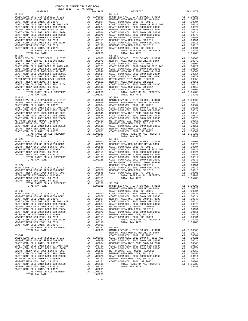TOTAL RATES ON ALL PROPERTY A1 1.05283 TOTAL TAX RATE 1.05283

-275-

| DISTRICT   | ZUI/-ZUI8 TRA TAX RATES | TAX RATE | DISTRICT                                                                                                | TAX RATE |
|------------|-------------------------|----------|---------------------------------------------------------------------------------------------------------|----------|
| $55 - 016$ |                         |          | $55 - 049$                                                                                              |          |
|            |                         |          |                                                                                                         |          |
|            |                         |          |                                                                                                         |          |
|            |                         |          |                                                                                                         |          |
|            |                         |          |                                                                                                         |          |
|            |                         |          |                                                                                                         |          |
|            |                         |          |                                                                                                         |          |
|            |                         |          |                                                                                                         |          |
|            |                         |          |                                                                                                         |          |
|            |                         |          |                                                                                                         |          |
|            |                         |          |                                                                                                         |          |
|            |                         |          |                                                                                                         |          |
|            |                         |          |                                                                                                         |          |
|            |                         |          |                                                                                                         |          |
|            |                         |          |                                                                                                         |          |
|            |                         |          |                                                                                                         |          |
|            |                         |          |                                                                                                         |          |
|            |                         |          |                                                                                                         |          |
|            |                         |          |                                                                                                         |          |
|            |                         |          |                                                                                                         |          |
|            |                         |          |                                                                                                         |          |
|            |                         |          |                                                                                                         |          |
|            |                         |          |                                                                                                         |          |
|            |                         |          |                                                                                                         |          |
|            |                         |          |                                                                                                         |          |
|            |                         |          |                                                                                                         |          |
|            |                         |          |                                                                                                         |          |
|            |                         |          |                                                                                                         |          |
|            |                         |          |                                                                                                         |          |
|            |                         |          |                                                                                                         |          |
|            |                         |          |                                                                                                         |          |
|            |                         |          |                                                                                                         |          |
|            |                         |          |                                                                                                         |          |
|            |                         |          |                                                                                                         |          |
|            |                         |          |                                                                                                         |          |
|            |                         |          |                                                                                                         |          |
|            |                         |          |                                                                                                         |          |
|            |                         |          |                                                                                                         |          |
|            |                         |          |                                                                                                         |          |
|            |                         |          |                                                                                                         |          |
|            |                         |          |                                                                                                         |          |
|            |                         |          |                                                                                                         |          |
|            |                         |          |                                                                                                         |          |
|            |                         |          |                                                                                                         |          |
|            |                         |          |                                                                                                         |          |
|            |                         |          |                                                                                                         |          |
|            |                         |          |                                                                                                         |          |
|            |                         |          |                                                                                                         |          |
|            |                         |          |                                                                                                         |          |
|            |                         |          |                                                                                                         |          |
|            |                         |          |                                                                                                         |          |
|            |                         |          |                                                                                                         |          |
|            |                         |          |                                                                                                         |          |
|            |                         |          |                                                                                                         |          |
|            |                         |          | 1.02138 BASIC LEVY-CO., CITY, SCHOOL, & DIST A1 1.00000<br>NEWPORT MESA USD GO REFUNDING BOND A1 .00979 |          |
|            |                         |          |                                                                                                         |          |
|            |                         |          |                                                                                                         |          |
|            |                         |          |                                                                                                         |          |
|            |                         |          |                                                                                                         |          |
|            |                         |          |                                                                                                         |          |
|            |                         |          |                                                                                                         |          |
|            |                         |          |                                                                                                         |          |
|            |                         |          |                                                                                                         |          |
|            |                         |          |                                                                                                         |          |
|            |                         |          |                                                                                                         |          |
|            |                         |          |                                                                                                         |          |
|            |                         |          |                                                                                                         |          |
|            |                         |          |                                                                                                         |          |
|            |                         |          |                                                                                                         |          |
|            |                         |          |                                                                                                         |          |
|            |                         |          |                                                                                                         |          |
|            |                         |          |                                                                                                         |          |
|            |                         |          |                                                                                                         |          |
|            |                         |          |                                                                                                         |          |
|            |                         |          |                                                                                                         |          |
|            |                         |          |                                                                                                         |          |
|            |                         |          |                                                                                                         |          |
|            |                         |          |                                                                                                         |          |
|            |                         |          |                                                                                                         |          |
|            |                         |          |                                                                                                         |          |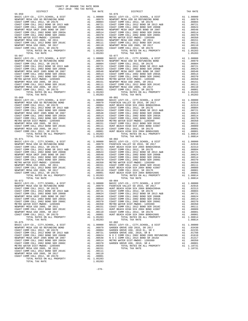| DISTRICT   | CHILLED TWA TWA WHIPD | TAX RATE | DISTRICT   | TAX RATE |
|------------|-----------------------|----------|------------|----------|
| $55 - 059$ |                       |          | $55 - 076$ |          |
|            |                       |          |            |          |
|            |                       |          |            |          |
|            |                       |          |            |          |
|            |                       |          |            |          |
|            |                       |          |            |          |
|            |                       |          |            |          |
|            |                       |          |            |          |
|            |                       |          |            |          |
|            |                       |          |            |          |
|            |                       |          |            |          |
|            |                       |          |            |          |
|            |                       |          |            |          |
|            |                       |          |            |          |
|            |                       |          |            |          |
|            |                       |          |            |          |
|            |                       |          |            |          |
|            |                       |          |            |          |
|            |                       |          |            |          |
|            |                       |          |            |          |
|            |                       |          |            |          |
|            |                       |          |            |          |
|            |                       |          |            |          |
|            |                       |          |            |          |
|            |                       |          |            |          |
|            |                       |          |            |          |
|            |                       |          |            |          |
|            |                       |          |            |          |
|            |                       |          |            |          |
|            |                       |          |            |          |
|            |                       |          |            |          |
|            |                       |          |            |          |
|            |                       |          |            |          |
|            |                       |          |            |          |
|            |                       |          |            |          |
|            |                       |          |            |          |
|            |                       |          |            |          |
|            |                       |          |            |          |
|            |                       |          |            |          |
|            |                       |          |            |          |
| $55 - 075$ |                       |          | $62 - 002$ |          |
|            |                       |          |            |          |
|            |                       |          |            |          |
|            |                       |          |            |          |
|            |                       |          |            |          |
|            |                       |          |            |          |
|            |                       |          |            |          |
|            |                       |          |            |          |

COUNTY OF ORANGE TAX RATE BOOK 2017-2018 TRA TAX RATES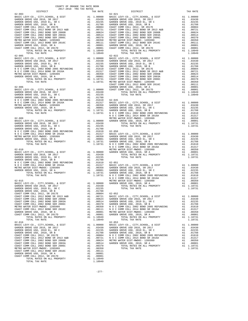DISTRICT TAX RATE DISTRICT TAX RATE 62-003 62-021 BASIC LEVY-CO., CITY,SCHOOL, & DIST A1 1.00000 BASIC LEVY-CO., CITY,SCHOOL, & DIST A1 1.00000 GARDEN GROVE USD 2016, SR 2017 A1 .03430 GARDEN GROVE USD 2016, SR 2017 A1 .03430 GARDEN GROVE USD, 2010 EL, SR C A1 .02235 GARDEN GROVE USD, 2010 EL, SR C A1 .02235 GARDEN GROVE USD, 2010, SR B A1 .01788 GARDEN GROVE USD, 2010, SR B A1 .01788 COAST COMM COLL 2012, SR 2017E A1 .00804 COAST COMM COLL 2012, SR 2017E A1 .00804 COAST COMM COLL 2012 BOND SR 2013 A&B A1 .00721 COAST COMM COLL 2012 BOND SR 2013 A&B A1 .00721 COAST COMM COLL 2002 BOND SER 2006B A1 .00624 COAST COMM COLL 2002 BOND SER 2006B A1 .00624 COAST COMM COLL 2002 BOND SER 2003A A1 .00514 COAST COMM COLL 2002 BOND SER 2003A A1 .00514 COAST COMM COLL 2002 BOND SER 2006C A1 .00370 COAST COMM COLL 2002 BOND SER 2006C A1 .00370 METRO WATER DIST-MWDOC- 1205999 A1 .00350 METRO WATER DIST-MWDOC- 1205999 A1 .00350 COAST COMM COLL 2012 BOND SER 2016C A1 .00111 COAST COMM COLL 2012 BOND SER 2016C A1 .00111 GARDEN GROVE USD, 2010, SR A A1 .00001 GARDEN GROVE USD, 2010, SR A A1 .00001 COAST COMM COLL 2012, SR 2017D A1 .00001 COAST COMM COLL 2012, SR 2017D A1 .00001 TOTAL RATES ON ALL PROPERTY A1 1.10949 TOTAL RATES ON ALL PROPERTY A1 1.10949 TOTAL TAX RATE 1.10949 TOTAL TAX RATE 1.10949 62-005 62-022 BASIC LEVY-CO., CITY,SCHOOL, & DIST A1 1.00000 BASIC LEVY-CO., CITY,SCHOOL, & DIST A1 1.00000 GARDEN GROVE USD 2016, SR 2017 A1 .03430 GARDEN GROVE USD 2016, SR 2017 A1 .03430 GARDEN GROVE USD, 2010 EL, SR C A1 .02235 GARDEN GROVE USD, 2010 EL, SR C A1 .02235 GARDEN GROVE USD, 2010, SR B A1 .01788 GARDEN GROVE USD, 2010, SR B A1 .01788 N O C COMM COLL 2002 BOND 2005 REFUNDING A1 .01610 COAST COMM COLL 2012, SR 2017E A1 .00804 N O C COMM COLL 2014 BOND SR 2016A A1 .01317 COAST COMM COLL 2012 BOND SR 2013 A&B A1 .00721 METRO WATER DIST-MWDOC- 1205999 A1 .00350 COAST COMM COLL 2002 BOND SER 2006B A1 .00624 GARDEN GROVE USD, 2010, SR A A1 .00001 COAST COMM COLL 2002 BOND SER 2003A A1 .00514 TOTAL RATES ON ALL PROPERTY A1 1.10731 COAST COMM COLL 2002 BOND SER 2006C A1 .00370 TOTAL TAX RATE 1.10731 METRO WATER DIST-MWDOC- 1205999 A1 .00350 COAST COMM COLL 2012 BOND SER 2016C A1 .00111 62-006 GARDEN GROVE USD, 2010, SR A A1 .00001 BASIC LEVY-CO., CITY,SCHOOL, & DIST A1 1.00000 COAST COMM COLL 2012, SR 2017D A1 .00001 GARDEN GROVE USD 2016, SR 2017 A1 .03430 TOTAL RATES ON ALL PROPERTY A1 1.10949 GARDEN GROVE USD, 2010 EL, SR C A1 .02235 TOTAL TAX RATE 1.10949 GARDEN GROVE USD, 2010, SR B A1 .01788 N O C COMM COLL 2002 BOND 2005 REFUNDING A1 .01610 62-045  $\begin{tabular}{l|c|c|c|c|c} \multicolumn{4}{c}{A1} & .01317 & BASIC LEVY-CO., CITY, SCHOODI, & $DIST & $A1$ & 1.00000\\ \multicolumn{4}{c}{METRO WATE DIST-MIDTC-120599991 & $A1$ & .00350\\ \multicolumn{4}{c}{GARDEN GROVE USD, 2010, SRR} & A1 & .00350 & GARDEN GROVE USD, 2010, SRR \\ \multicolumn{4}{c}{GARDEN GROVE USD, 2010, SRR} & A1 & .00350\\ \multicolumn{4}{c}{TOTAL$ GARDEN GROVE USD, 2010 EL, SR C A1 .02235 TOTAL TAX RATE (1.10731 CARDEN GROVE USD, 2010, SR B A1 .02235 TOTAL TAX RATE (1.10731 CARDEN GROVE USD, 2010, SR B A1 .01788 TOTAL TAX RATE (1.10731 CARDEN GROVE USD, 2010, SR BEF N O C COMM COLL 2014 BOND SR 2016A A1 .01317 BASIC LEVY-CO., CITY,SCHOOL, & DIST A1 1.00000 METRO WATER DIST-MWDOC- 1205999 A1 .00350 GARDEN GROVE USD 2016, SR 2017 A1 .03430 GARDEN GROVE USD, 2010, SR A A1 .00001 GARDEN GROVE USD, 2010 EL, SR C A1 .02235 TOTAL RATES ON ALL PROPERTY A1 1.10731 GARDEN GROVE USD, 2010, SR B A1 .01788 TOTAL TAX RATE 1.10731 N O C COMM COLL 2002 BOND 2005 REFUNDING A1 .01610 N O C COMM COLL 2014 BOND SR 2016A A1 .01317 62-010 METRO WATER DIST-MWDOC- 1205999 A1 .00350 BASIC LEVY-CO., CITY,SCHOOL, & DIST A1 1.00000 GARDEN GROVE USD, 2010, SR A A1 .00001 GARDEN GROVE USD 2016, SR 2017 A1 .03430 TOTAL RATES ON ALL PROPERTY A1 1.10731 GARDEN GROVE USD, 2010 EL, SR C A1 .02235 TOTAL TAX RATE 1.10731 GARDEN GROVE USD, 2010, SR B A1 .01788 N O C COMM COLL 2002 BOND 2005 REFUNDING A1 .01610 62-051  $\begin{tabular}{l|c|c|c|c|c} \multicolumn{4}{c}{A1} & .01317 & BASIC LEVY-CO., CITY, SCHOODI, & $DIST & $A1$ & 1.00000\\ \multicolumn{4}{c}{METRO WATE DIST-MIDTC-MIDTC-MITR}} & A1 & .01317 & BASIC LEVY-CO., CITY, SCHOODI, & $DIST & $A1$ & 1.00000\\ \multicolumn{4}{c}{GARDEN GROVE USD, 2010, SR} & A1 & .00350 & GARDEN GROVE USD, 2016, SR & 2017 & $A1$ & .03430\\ \multicolumn{$ GARDEN GROVE USD, 2010 EL, SR C A1 .02235 TOTAL TAX RATE 1.10731 GARDEN GROVE USD, 2010, SR B A1 .01788 COAST COMM COLL 2012, SR 2017E A1 .00804 62-052 COAST COMM COLL 2012 BOND SR 2013 A&B A1 .00721 BASIC LEVY-CO., CITY,SCHOOL, & DIST A1 1.00000 COAST COMM COLL 2002 BOND SER 2006B A1 .00624 GARDEN GROVE USD 2016, SR 2017 A1 .03430 COAST COMM COLL 2002 BOND SER 2003A A1 .00514 GARDEN GROVE USD, 2010 EL, SR C A1 .02235 COAST COMM COLL 2002 BOND SER 2006C A1 .00370 GARDEN GROVE USD, 2010, SR B A1 .01788 METRO WATER DIST-MWDOC- 1205999 A1 .00350 N O C COMM COLL 2002 BOND 2005 REFUNDING A1 .01610 COAST COMM COLL 2012 BOND SER 2016C A1 .00111 N O C COMM COLL 2014 BOND SR 2016A A1 .01317 GARDEN GROVE USD, 2010, SR A A1 .00001 METRO WATER DIST-MWDOC- 1205999 A1 .00350 COAST COMM COLL 2012, SR 2017D A1 .00001 GARDEN GROVE USD, 2010, SR A A1 .00001 TOTAL RATES ON ALL PROPERTY A1 1.10949 TOTAL RATES ON ALL PROPERTY A1 1.10731 TOTAL TAX RATE 1.10949 TOTAL TAX RATE 1.10731 62-016 62-053 BASIC LEVY-CO., CITY,SCHOOL, & DIST A1 1.00000 BASIC LEVY-CO., CITY,SCHOOL, & DIST A1 1.00000 GARDEN GROVE USD 2016, SR 2017 A1 .03430 GARDEN GROVE USD 2016, SR 2017 A1 .03430 GARDEN GROVE USD, 2010 EL, SR C A1 .02235 GARDEN GROVE USD, 2010 EL, SR C A1 .02235 GARDEN GROVE USD, 2010, SR B A1 .01788 GARDEN GROVE USD, 2010, SR B A1 .01788 COAST COMM COLL 2012, SR 2017E A1 .00804 N O C COMM COLL 2002 BOND 2005 REFUNDING A1 .01610 COAST COMM COLL 2012 BOND SR 2013 A&B A1 .00721 N O C COMM COLL 2014 BOND SR 2016A A1 .01317 COAST COMM COLL 2002 BOND SER 2006B A1 .00624 METRO WATER DIST-MWDOC- 1205999 A1 .00350 COAST COMM COLL 2002 BOND SER 2003A A1 .00514 GARDEN GROVE USD, 2010, SR A A1 .00001 COAST COMM COLL 2002 BOND SER 2006C A1 .00370 TOTAL RATES ON ALL PROPERTY A1 1.10731 METRO WATER DIST-MWDOC- 1205999 A1 .00350 TOTAL TAX RATE 1.10731 COAST COMM COLL 2012 BOND SER 2016C A1 .00111<br>
GARDEN GROVE USD, 2010, SR A<br>
COAST COMM COLL 2012, SR 2017D A1 .00001<br>
TOTAL RATES ON ALL PROPERTY A1 1.10949<br>
TOTAL TAX RATE 1.10949

-277-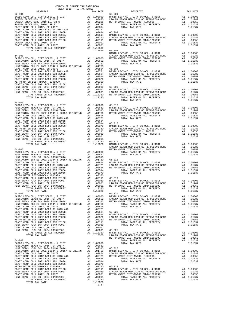| 2017-2018 TRA TAX RATES                                                                                                                                                                                                                                                                             |  |         | $\begin{minipage}{.4\linewidth} \begin{tabular}{l} \multicolumn{2}{c}{\textbf{DISTRICT}} \end{tabular} \end{minipage}$ |         |
|-----------------------------------------------------------------------------------------------------------------------------------------------------------------------------------------------------------------------------------------------------------------------------------------------------|--|---------|------------------------------------------------------------------------------------------------------------------------|---------|
|                                                                                                                                                                                                                                                                                                     |  |         |                                                                                                                        |         |
|                                                                                                                                                                                                                                                                                                     |  |         |                                                                                                                        |         |
|                                                                                                                                                                                                                                                                                                     |  |         |                                                                                                                        |         |
|                                                                                                                                                                                                                                                                                                     |  |         |                                                                                                                        |         |
|                                                                                                                                                                                                                                                                                                     |  |         |                                                                                                                        |         |
|                                                                                                                                                                                                                                                                                                     |  |         |                                                                                                                        |         |
|                                                                                                                                                                                                                                                                                                     |  |         |                                                                                                                        |         |
|                                                                                                                                                                                                                                                                                                     |  |         |                                                                                                                        |         |
|                                                                                                                                                                                                                                                                                                     |  |         |                                                                                                                        |         |
|                                                                                                                                                                                                                                                                                                     |  |         |                                                                                                                        |         |
|                                                                                                                                                                                                                                                                                                     |  |         |                                                                                                                        |         |
|                                                                                                                                                                                                                                                                                                     |  |         |                                                                                                                        |         |
|                                                                                                                                                                                                                                                                                                     |  |         |                                                                                                                        |         |
|                                                                                                                                                                                                                                                                                                     |  |         |                                                                                                                        |         |
|                                                                                                                                                                                                                                                                                                     |  |         |                                                                                                                        |         |
|                                                                                                                                                                                                                                                                                                     |  |         |                                                                                                                        |         |
|                                                                                                                                                                                                                                                                                                     |  |         |                                                                                                                        |         |
|                                                                                                                                                                                                                                                                                                     |  |         |                                                                                                                        |         |
|                                                                                                                                                                                                                                                                                                     |  |         |                                                                                                                        |         |
|                                                                                                                                                                                                                                                                                                     |  |         |                                                                                                                        |         |
|                                                                                                                                                                                                                                                                                                     |  |         |                                                                                                                        |         |
|                                                                                                                                                                                                                                                                                                     |  |         |                                                                                                                        |         |
|                                                                                                                                                                                                                                                                                                     |  |         |                                                                                                                        |         |
|                                                                                                                                                                                                                                                                                                     |  |         | TOTAL TAX RATE                                                                                                         |         |
| $64 - 003$                                                                                                                                                                                                                                                                                          |  |         |                                                                                                                        | 1.01637 |
|                                                                                                                                                                                                                                                                                                     |  |         |                                                                                                                        |         |
|                                                                                                                                                                                                                                                                                                     |  |         |                                                                                                                        |         |
|                                                                                                                                                                                                                                                                                                     |  |         |                                                                                                                        |         |
|                                                                                                                                                                                                                                                                                                     |  |         |                                                                                                                        |         |
|                                                                                                                                                                                                                                                                                                     |  |         |                                                                                                                        |         |
|                                                                                                                                                                                                                                                                                                     |  |         |                                                                                                                        |         |
|                                                                                                                                                                                                                                                                                                     |  |         |                                                                                                                        |         |
|                                                                                                                                                                                                                                                                                                     |  |         |                                                                                                                        |         |
|                                                                                                                                                                                                                                                                                                     |  |         |                                                                                                                        |         |
|                                                                                                                                                                                                                                                                                                     |  |         |                                                                                                                        |         |
|                                                                                                                                                                                                                                                                                                     |  |         |                                                                                                                        |         |
|                                                                                                                                                                                                                                                                                                     |  |         |                                                                                                                        |         |
|                                                                                                                                                                                                                                                                                                     |  |         |                                                                                                                        |         |
|                                                                                                                                                                                                                                                                                                     |  |         |                                                                                                                        |         |
|                                                                                                                                                                                                                                                                                                     |  |         |                                                                                                                        |         |
|                                                                                                                                                                                                                                                                                                     |  |         |                                                                                                                        |         |
|                                                                                                                                                                                                                                                                                                     |  |         |                                                                                                                        |         |
|                                                                                                                                                                                                                                                                                                     |  |         |                                                                                                                        |         |
|                                                                                                                                                                                                                                                                                                     |  |         |                                                                                                                        |         |
|                                                                                                                                                                                                                                                                                                     |  |         |                                                                                                                        |         |
|                                                                                                                                                                                                                                                                                                     |  |         |                                                                                                                        |         |
|                                                                                                                                                                                                                                                                                                     |  |         |                                                                                                                        |         |
|                                                                                                                                                                                                                                                                                                     |  |         |                                                                                                                        |         |
| and the contract of the contract of the contract of the contract of the contract of the contract of the contract of the contract of the contract of the contract of the contract of the contract of the contract of the contra<br>TOTAL TAX RATE                                                    |  | 1.10320 | TOTAL TAX RATE                                                                                                         | 1.01637 |
| $\begin{tabular}{cccccccc} $64-003$ & $7074, $078, $078, $078, $10000$ & $7074, $078, $10000$ & $100000$ & $66-010$ & $7074, $080001, $6000$ & $100000$ & $100000$ & $100000$ & $1000000$ & $1000000$ & $1000000$ & $1000000$ & $1000000$ & $1000000$ & $1000000$ & $1000000$ & $1000000$<br>64-007 |  |         | $66 - 020$                                                                                                             |         |
|                                                                                                                                                                                                                                                                                                     |  |         |                                                                                                                        |         |
|                                                                                                                                                                                                                                                                                                     |  |         |                                                                                                                        |         |
|                                                                                                                                                                                                                                                                                                     |  |         |                                                                                                                        |         |
|                                                                                                                                                                                                                                                                                                     |  |         |                                                                                                                        |         |
|                                                                                                                                                                                                                                                                                                     |  |         |                                                                                                                        |         |
|                                                                                                                                                                                                                                                                                                     |  |         |                                                                                                                        |         |
|                                                                                                                                                                                                                                                                                                     |  |         |                                                                                                                        |         |
|                                                                                                                                                                                                                                                                                                     |  |         |                                                                                                                        |         |
|                                                                                                                                                                                                                                                                                                     |  |         |                                                                                                                        |         |
|                                                                                                                                                                                                                                                                                                     |  |         |                                                                                                                        |         |
|                                                                                                                                                                                                                                                                                                     |  |         |                                                                                                                        |         |
|                                                                                                                                                                                                                                                                                                     |  |         |                                                                                                                        |         |
|                                                                                                                                                                                                                                                                                                     |  |         |                                                                                                                        |         |
|                                                                                                                                                                                                                                                                                                     |  |         |                                                                                                                        |         |
|                                                                                                                                                                                                                                                                                                     |  |         |                                                                                                                        |         |
|                                                                                                                                                                                                                                                                                                     |  |         |                                                                                                                        |         |
|                                                                                                                                                                                                                                                                                                     |  |         |                                                                                                                        |         |
|                                                                                                                                                                                                                                                                                                     |  |         |                                                                                                                        |         |
|                                                                                                                                                                                                                                                                                                     |  |         |                                                                                                                        |         |
|                                                                                                                                                                                                                                                                                                     |  |         |                                                                                                                        |         |
|                                                                                                                                                                                                                                                                                                     |  |         |                                                                                                                        |         |
|                                                                                                                                                                                                                                                                                                     |  |         |                                                                                                                        |         |
|                                                                                                                                                                                                                                                                                                     |  |         |                                                                                                                        |         |
|                                                                                                                                                                                                                                                                                                     |  |         |                                                                                                                        |         |
|                                                                                                                                                                                                                                                                                                     |  | $-278-$ |                                                                                                                        |         |

COUNTY OF ORANGE TAX RATE BOOK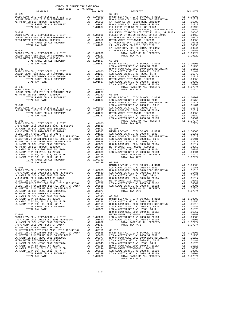| COUNTY OF ORANGE TAX RATE BOOK<br>2017-2018 TRA TAX RATES |  |                                                                                                                                                                                                                                                                                                    |          |
|-----------------------------------------------------------|--|----------------------------------------------------------------------------------------------------------------------------------------------------------------------------------------------------------------------------------------------------------------------------------------------------|----------|
| DISTRICT                                                  |  | RA TAX RATES<br>TAX RATE TAX DISTRICT                                                                                                                                                                                                                                                              | TAX RATE |
|                                                           |  |                                                                                                                                                                                                                                                                                                    |          |
|                                                           |  |                                                                                                                                                                                                                                                                                                    |          |
|                                                           |  |                                                                                                                                                                                                                                                                                                    |          |
|                                                           |  |                                                                                                                                                                                                                                                                                                    |          |
|                                                           |  |                                                                                                                                                                                                                                                                                                    |          |
|                                                           |  |                                                                                                                                                                                                                                                                                                    |          |
|                                                           |  |                                                                                                                                                                                                                                                                                                    |          |
|                                                           |  |                                                                                                                                                                                                                                                                                                    |          |
|                                                           |  |                                                                                                                                                                                                                                                                                                    |          |
|                                                           |  |                                                                                                                                                                                                                                                                                                    |          |
|                                                           |  |                                                                                                                                                                                                                                                                                                    |          |
|                                                           |  |                                                                                                                                                                                                                                                                                                    |          |
|                                                           |  |                                                                                                                                                                                                                                                                                                    |          |
|                                                           |  |                                                                                                                                                                                                                                                                                                    |          |
|                                                           |  |                                                                                                                                                                                                                                                                                                    |          |
|                                                           |  |                                                                                                                                                                                                                                                                                                    |          |
|                                                           |  |                                                                                                                                                                                                                                                                                                    |          |
|                                                           |  |                                                                                                                                                                                                                                                                                                    |          |
|                                                           |  |                                                                                                                                                                                                                                                                                                    |          |
|                                                           |  |                                                                                                                                                                                                                                                                                                    |          |
|                                                           |  |                                                                                                                                                                                                                                                                                                    |          |
|                                                           |  |                                                                                                                                                                                                                                                                                                    |          |
|                                                           |  |                                                                                                                                                                                                                                                                                                    |          |
|                                                           |  |                                                                                                                                                                                                                                                                                                    |          |
|                                                           |  |                                                                                                                                                                                                                                                                                                    |          |
|                                                           |  |                                                                                                                                                                                                                                                                                                    |          |
|                                                           |  |                                                                                                                                                                                                                                                                                                    |          |
|                                                           |  |                                                                                                                                                                                                                                                                                                    |          |
|                                                           |  |                                                                                                                                                                                                                                                                                                    |          |
|                                                           |  |                                                                                                                                                                                                                                                                                                    |          |
|                                                           |  |                                                                                                                                                                                                                                                                                                    |          |
|                                                           |  |                                                                                                                                                                                                                                                                                                    |          |
|                                                           |  |                                                                                                                                                                                                                                                                                                    |          |
|                                                           |  |                                                                                                                                                                                                                                                                                                    |          |
|                                                           |  |                                                                                                                                                                                                                                                                                                    |          |
|                                                           |  |                                                                                                                                                                                                                                                                                                    |          |
|                                                           |  |                                                                                                                                                                                                                                                                                                    |          |
|                                                           |  |                                                                                                                                                                                                                                                                                                    |          |
|                                                           |  |                                                                                                                                                                                                                                                                                                    |          |
|                                                           |  |                                                                                                                                                                                                                                                                                                    |          |
|                                                           |  |                                                                                                                                                                                                                                                                                                    |          |
|                                                           |  |                                                                                                                                                                                                                                                                                                    |          |
|                                                           |  |                                                                                                                                                                                                                                                                                                    |          |
|                                                           |  |                                                                                                                                                                                                                                                                                                    |          |
|                                                           |  |                                                                                                                                                                                                                                                                                                    |          |
|                                                           |  |                                                                                                                                                                                                                                                                                                    |          |
|                                                           |  |                                                                                                                                                                                                                                                                                                    |          |
|                                                           |  |                                                                                                                                                                                                                                                                                                    |          |
|                                                           |  | $\begin{tabular}{l cccccccc} $1600000, $10111 & $101011 & $101011 & $101011 & $101011 & $101011 & $101011 & $101011 & $101011 & $101011 & $101011 & $101011 & $101011 & $101011 & $101011 & $101011 & $101011 & $101011 & $101011 & $101011 & $101011 & $101011 & $101011 & $101011 & $101011 & $$ |          |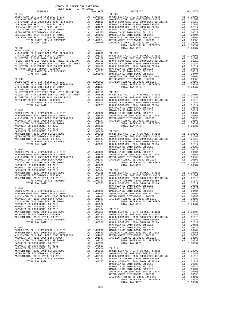| $\begin{minipage}{.03\textwidth} \begin{tabular}{l} \multicolumn{2}{c} {\textwidth} \end{tabular} \vspace{0.04cm} \begin{tabular}{l} \multicolumn{2}{c} {\textwidth} \end{tabular} \vspace{0.04cm} \begin{tabular}{l} \multicolumn{2}{c} {\textwidth} \end{tabular} \vspace{0.04cm} \begin{tabular}{l} \multicolumn{2}{c} {\textwidth} \end{tabular} \vspace{0.04cm} \begin{tabular}{l} \multicolumn{2}{c} {\textwidth} \end{tabular} \vspace{0.04cm} \begin{tabular}{l} \multicolumn{2}{c} {\textwidth}$<br>TAX RATE 71-005 DISTRICT<br>TAX RATE<br>68-013 | COUNTY OF ORANGE TAX RATE BOOK<br>2017-2018 TRA TAX RATES |  |  |
|-------------------------------------------------------------------------------------------------------------------------------------------------------------------------------------------------------------------------------------------------------------------------------------------------------------------------------------------------------------------------------------------------------------------------------------------------------------------------------------------------------------------------------------------------------------|-----------------------------------------------------------|--|--|
|                                                                                                                                                                                                                                                                                                                                                                                                                                                                                                                                                             |                                                           |  |  |
|                                                                                                                                                                                                                                                                                                                                                                                                                                                                                                                                                             |                                                           |  |  |
|                                                                                                                                                                                                                                                                                                                                                                                                                                                                                                                                                             |                                                           |  |  |
|                                                                                                                                                                                                                                                                                                                                                                                                                                                                                                                                                             |                                                           |  |  |
|                                                                                                                                                                                                                                                                                                                                                                                                                                                                                                                                                             |                                                           |  |  |
|                                                                                                                                                                                                                                                                                                                                                                                                                                                                                                                                                             |                                                           |  |  |
|                                                                                                                                                                                                                                                                                                                                                                                                                                                                                                                                                             |                                                           |  |  |
|                                                                                                                                                                                                                                                                                                                                                                                                                                                                                                                                                             |                                                           |  |  |
|                                                                                                                                                                                                                                                                                                                                                                                                                                                                                                                                                             |                                                           |  |  |
|                                                                                                                                                                                                                                                                                                                                                                                                                                                                                                                                                             |                                                           |  |  |
|                                                                                                                                                                                                                                                                                                                                                                                                                                                                                                                                                             |                                                           |  |  |
|                                                                                                                                                                                                                                                                                                                                                                                                                                                                                                                                                             |                                                           |  |  |
|                                                                                                                                                                                                                                                                                                                                                                                                                                                                                                                                                             |                                                           |  |  |
|                                                                                                                                                                                                                                                                                                                                                                                                                                                                                                                                                             |                                                           |  |  |
|                                                                                                                                                                                                                                                                                                                                                                                                                                                                                                                                                             |                                                           |  |  |
|                                                                                                                                                                                                                                                                                                                                                                                                                                                                                                                                                             |                                                           |  |  |
|                                                                                                                                                                                                                                                                                                                                                                                                                                                                                                                                                             |                                                           |  |  |
|                                                                                                                                                                                                                                                                                                                                                                                                                                                                                                                                                             |                                                           |  |  |
|                                                                                                                                                                                                                                                                                                                                                                                                                                                                                                                                                             |                                                           |  |  |
|                                                                                                                                                                                                                                                                                                                                                                                                                                                                                                                                                             |                                                           |  |  |
|                                                                                                                                                                                                                                                                                                                                                                                                                                                                                                                                                             |                                                           |  |  |
|                                                                                                                                                                                                                                                                                                                                                                                                                                                                                                                                                             |                                                           |  |  |
|                                                                                                                                                                                                                                                                                                                                                                                                                                                                                                                                                             |                                                           |  |  |
|                                                                                                                                                                                                                                                                                                                                                                                                                                                                                                                                                             |                                                           |  |  |
|                                                                                                                                                                                                                                                                                                                                                                                                                                                                                                                                                             |                                                           |  |  |
|                                                                                                                                                                                                                                                                                                                                                                                                                                                                                                                                                             |                                                           |  |  |
|                                                                                                                                                                                                                                                                                                                                                                                                                                                                                                                                                             |                                                           |  |  |
|                                                                                                                                                                                                                                                                                                                                                                                                                                                                                                                                                             |                                                           |  |  |
|                                                                                                                                                                                                                                                                                                                                                                                                                                                                                                                                                             |                                                           |  |  |
|                                                                                                                                                                                                                                                                                                                                                                                                                                                                                                                                                             |                                                           |  |  |
|                                                                                                                                                                                                                                                                                                                                                                                                                                                                                                                                                             |                                                           |  |  |
|                                                                                                                                                                                                                                                                                                                                                                                                                                                                                                                                                             |                                                           |  |  |
|                                                                                                                                                                                                                                                                                                                                                                                                                                                                                                                                                             |                                                           |  |  |
|                                                                                                                                                                                                                                                                                                                                                                                                                                                                                                                                                             |                                                           |  |  |
|                                                                                                                                                                                                                                                                                                                                                                                                                                                                                                                                                             |                                                           |  |  |
|                                                                                                                                                                                                                                                                                                                                                                                                                                                                                                                                                             |                                                           |  |  |
|                                                                                                                                                                                                                                                                                                                                                                                                                                                                                                                                                             |                                                           |  |  |
|                                                                                                                                                                                                                                                                                                                                                                                                                                                                                                                                                             |                                                           |  |  |
|                                                                                                                                                                                                                                                                                                                                                                                                                                                                                                                                                             |                                                           |  |  |
|                                                                                                                                                                                                                                                                                                                                                                                                                                                                                                                                                             |                                                           |  |  |
|                                                                                                                                                                                                                                                                                                                                                                                                                                                                                                                                                             |                                                           |  |  |
|                                                                                                                                                                                                                                                                                                                                                                                                                                                                                                                                                             |                                                           |  |  |
|                                                                                                                                                                                                                                                                                                                                                                                                                                                                                                                                                             |                                                           |  |  |
|                                                                                                                                                                                                                                                                                                                                                                                                                                                                                                                                                             |                                                           |  |  |
|                                                                                                                                                                                                                                                                                                                                                                                                                                                                                                                                                             |                                                           |  |  |
|                                                                                                                                                                                                                                                                                                                                                                                                                                                                                                                                                             |                                                           |  |  |
|                                                                                                                                                                                                                                                                                                                                                                                                                                                                                                                                                             |                                                           |  |  |
|                                                                                                                                                                                                                                                                                                                                                                                                                                                                                                                                                             |                                                           |  |  |
|                                                                                                                                                                                                                                                                                                                                                                                                                                                                                                                                                             |                                                           |  |  |
|                                                                                                                                                                                                                                                                                                                                                                                                                                                                                                                                                             |                                                           |  |  |
|                                                                                                                                                                                                                                                                                                                                                                                                                                                                                                                                                             |                                                           |  |  |
|                                                                                                                                                                                                                                                                                                                                                                                                                                                                                                                                                             |                                                           |  |  |
|                                                                                                                                                                                                                                                                                                                                                                                                                                                                                                                                                             |                                                           |  |  |
|                                                                                                                                                                                                                                                                                                                                                                                                                                                                                                                                                             |                                                           |  |  |
|                                                                                                                                                                                                                                                                                                                                                                                                                                                                                                                                                             |                                                           |  |  |
|                                                                                                                                                                                                                                                                                                                                                                                                                                                                                                                                                             |                                                           |  |  |
|                                                                                                                                                                                                                                                                                                                                                                                                                                                                                                                                                             |                                                           |  |  |
|                                                                                                                                                                                                                                                                                                                                                                                                                                                                                                                                                             |                                                           |  |  |
|                                                                                                                                                                                                                                                                                                                                                                                                                                                                                                                                                             |                                                           |  |  |
|                                                                                                                                                                                                                                                                                                                                                                                                                                                                                                                                                             |                                                           |  |  |
|                                                                                                                                                                                                                                                                                                                                                                                                                                                                                                                                                             |                                                           |  |  |
|                                                                                                                                                                                                                                                                                                                                                                                                                                                                                                                                                             |                                                           |  |  |
|                                                                                                                                                                                                                                                                                                                                                                                                                                                                                                                                                             |                                                           |  |  |
|                                                                                                                                                                                                                                                                                                                                                                                                                                                                                                                                                             |                                                           |  |  |
|                                                                                                                                                                                                                                                                                                                                                                                                                                                                                                                                                             |                                                           |  |  |
|                                                                                                                                                                                                                                                                                                                                                                                                                                                                                                                                                             |                                                           |  |  |
|                                                                                                                                                                                                                                                                                                                                                                                                                                                                                                                                                             |                                                           |  |  |
|                                                                                                                                                                                                                                                                                                                                                                                                                                                                                                                                                             |                                                           |  |  |
|                                                                                                                                                                                                                                                                                                                                                                                                                                                                                                                                                             |                                                           |  |  |
|                                                                                                                                                                                                                                                                                                                                                                                                                                                                                                                                                             |                                                           |  |  |
|                                                                                                                                                                                                                                                                                                                                                                                                                                                                                                                                                             |                                                           |  |  |
|                                                                                                                                                                                                                                                                                                                                                                                                                                                                                                                                                             |                                                           |  |  |
|                                                                                                                                                                                                                                                                                                                                                                                                                                                                                                                                                             |                                                           |  |  |
|                                                                                                                                                                                                                                                                                                                                                                                                                                                                                                                                                             |                                                           |  |  |
|                                                                                                                                                                                                                                                                                                                                                                                                                                                                                                                                                             |                                                           |  |  |
|                                                                                                                                                                                                                                                                                                                                                                                                                                                                                                                                                             |                                                           |  |  |
|                                                                                                                                                                                                                                                                                                                                                                                                                                                                                                                                                             |                                                           |  |  |
|                                                                                                                                                                                                                                                                                                                                                                                                                                                                                                                                                             |                                                           |  |  |
|                                                                                                                                                                                                                                                                                                                                                                                                                                                                                                                                                             |                                                           |  |  |
|                                                                                                                                                                                                                                                                                                                                                                                                                                                                                                                                                             |                                                           |  |  |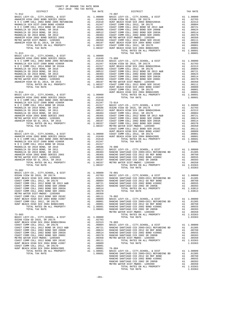| 2017-2018 TRA TAX RATES<br>DISTRICT | TAX RATE | DISTRICT                                                                                                                                                                                                                                                                                                                                                                               | TAX RATE |
|-------------------------------------|----------|----------------------------------------------------------------------------------------------------------------------------------------------------------------------------------------------------------------------------------------------------------------------------------------------------------------------------------------------------------------------------------------|----------|
| $71 - 012$                          |          | $73 - 007$<br>$\begin{tabular}{l c c c c} \hline 71-012 & 73-000 \\ \hline \texttt{RARISTL} \texttt{H HGH} & 2002 \text{ BOND SER} & 2002 \text{ BND} & 73-007 \\ \hline \texttt{NARISTL} & 2002 \text{ BOND SER} & 2002 \text{ BND} & 2016 \text{ A1} & 0.01649 \\ \hline \texttt{NA} & 0.0204 \text{ AND} & 2005 \text{ RER} & 2017 \text{ A1} & 0.0000 \\ \hline \texttt{NA} & 0.0$ |          |
|                                     |          |                                                                                                                                                                                                                                                                                                                                                                                        |          |
|                                     |          |                                                                                                                                                                                                                                                                                                                                                                                        |          |
|                                     |          |                                                                                                                                                                                                                                                                                                                                                                                        |          |
|                                     |          |                                                                                                                                                                                                                                                                                                                                                                                        |          |
|                                     |          |                                                                                                                                                                                                                                                                                                                                                                                        |          |
|                                     |          |                                                                                                                                                                                                                                                                                                                                                                                        |          |
|                                     |          |                                                                                                                                                                                                                                                                                                                                                                                        |          |
|                                     |          |                                                                                                                                                                                                                                                                                                                                                                                        |          |
|                                     |          |                                                                                                                                                                                                                                                                                                                                                                                        |          |
|                                     |          |                                                                                                                                                                                                                                                                                                                                                                                        |          |
|                                     |          |                                                                                                                                                                                                                                                                                                                                                                                        |          |
|                                     |          |                                                                                                                                                                                                                                                                                                                                                                                        | 1.08601  |
|                                     |          |                                                                                                                                                                                                                                                                                                                                                                                        |          |
|                                     |          |                                                                                                                                                                                                                                                                                                                                                                                        |          |
|                                     |          |                                                                                                                                                                                                                                                                                                                                                                                        |          |
|                                     |          |                                                                                                                                                                                                                                                                                                                                                                                        |          |
|                                     |          |                                                                                                                                                                                                                                                                                                                                                                                        |          |
|                                     |          |                                                                                                                                                                                                                                                                                                                                                                                        |          |
|                                     |          |                                                                                                                                                                                                                                                                                                                                                                                        |          |
|                                     |          |                                                                                                                                                                                                                                                                                                                                                                                        |          |
|                                     |          |                                                                                                                                                                                                                                                                                                                                                                                        |          |
|                                     |          |                                                                                                                                                                                                                                                                                                                                                                                        |          |
|                                     |          |                                                                                                                                                                                                                                                                                                                                                                                        |          |
|                                     |          |                                                                                                                                                                                                                                                                                                                                                                                        |          |
|                                     |          |                                                                                                                                                                                                                                                                                                                                                                                        |          |
|                                     |          |                                                                                                                                                                                                                                                                                                                                                                                        |          |
|                                     |          |                                                                                                                                                                                                                                                                                                                                                                                        |          |
|                                     |          |                                                                                                                                                                                                                                                                                                                                                                                        |          |
|                                     |          |                                                                                                                                                                                                                                                                                                                                                                                        |          |
|                                     |          |                                                                                                                                                                                                                                                                                                                                                                                        |          |
|                                     |          |                                                                                                                                                                                                                                                                                                                                                                                        |          |
|                                     |          |                                                                                                                                                                                                                                                                                                                                                                                        |          |
|                                     |          |                                                                                                                                                                                                                                                                                                                                                                                        |          |
|                                     |          |                                                                                                                                                                                                                                                                                                                                                                                        |          |
|                                     |          |                                                                                                                                                                                                                                                                                                                                                                                        |          |
|                                     |          |                                                                                                                                                                                                                                                                                                                                                                                        |          |
|                                     |          |                                                                                                                                                                                                                                                                                                                                                                                        |          |
|                                     |          |                                                                                                                                                                                                                                                                                                                                                                                        |          |
|                                     |          |                                                                                                                                                                                                                                                                                                                                                                                        |          |
|                                     |          |                                                                                                                                                                                                                                                                                                                                                                                        |          |
|                                     |          |                                                                                                                                                                                                                                                                                                                                                                                        |          |
|                                     |          |                                                                                                                                                                                                                                                                                                                                                                                        |          |
|                                     |          |                                                                                                                                                                                                                                                                                                                                                                                        |          |
|                                     |          |                                                                                                                                                                                                                                                                                                                                                                                        |          |
|                                     |          |                                                                                                                                                                                                                                                                                                                                                                                        |          |
|                                     |          |                                                                                                                                                                                                                                                                                                                                                                                        |          |
|                                     |          |                                                                                                                                                                                                                                                                                                                                                                                        |          |
|                                     |          | TOTAL TAX RATE                                                                                                                                                                                                                                                                                                                                                                         | 1.03363  |
|                                     |          |                                                                                                                                                                                                                                                                                                                                                                                        |          |
|                                     |          |                                                                                                                                                                                                                                                                                                                                                                                        |          |
|                                     |          |                                                                                                                                                                                                                                                                                                                                                                                        |          |
|                                     |          |                                                                                                                                                                                                                                                                                                                                                                                        |          |
|                                     |          |                                                                                                                                                                                                                                                                                                                                                                                        |          |
|                                     |          |                                                                                                                                                                                                                                                                                                                                                                                        |          |
|                                     |          |                                                                                                                                                                                                                                                                                                                                                                                        |          |
|                                     |          |                                                                                                                                                                                                                                                                                                                                                                                        |          |
|                                     |          |                                                                                                                                                                                                                                                                                                                                                                                        |          |
|                                     |          |                                                                                                                                                                                                                                                                                                                                                                                        |          |
|                                     |          |                                                                                                                                                                                                                                                                                                                                                                                        |          |
|                                     |          |                                                                                                                                                                                                                                                                                                                                                                                        |          |
|                                     |          |                                                                                                                                                                                                                                                                                                                                                                                        |          |
|                                     |          |                                                                                                                                                                                                                                                                                                                                                                                        |          |
|                                     |          |                                                                                                                                                                                                                                                                                                                                                                                        |          |
|                                     |          |                                                                                                                                                                                                                                                                                                                                                                                        |          |
|                                     |          |                                                                                                                                                                                                                                                                                                                                                                                        |          |
|                                     |          |                                                                                                                                                                                                                                                                                                                                                                                        |          |
|                                     |          |                                                                                                                                                                                                                                                                                                                                                                                        |          |
|                                     |          |                                                                                                                                                                                                                                                                                                                                                                                        |          |
|                                     |          |                                                                                                                                                                                                                                                                                                                                                                                        |          |
|                                     |          |                                                                                                                                                                                                                                                                                                                                                                                        |          |
|                                     |          |                                                                                                                                                                                                                                                                                                                                                                                        |          |
|                                     |          |                                                                                                                                                                                                                                                                                                                                                                                        |          |
|                                     |          |                                                                                                                                                                                                                                                                                                                                                                                        |          |
|                                     |          |                                                                                                                                                                                                                                                                                                                                                                                        |          |
|                                     |          |                                                                                                                                                                                                                                                                                                                                                                                        |          |
|                                     |          |                                                                                                                                                                                                                                                                                                                                                                                        |          |
|                                     |          |                                                                                                                                                                                                                                                                                                                                                                                        |          |
|                                     |          |                                                                                                                                                                                                                                                                                                                                                                                        |          |
|                                     |          |                                                                                                                                                                                                                                                                                                                                                                                        |          |
|                                     |          |                                                                                                                                                                                                                                                                                                                                                                                        |          |
|                                     |          |                                                                                                                                                                                                                                                                                                                                                                                        |          |

COUNTY OF ORANGE TAX RATE BOOK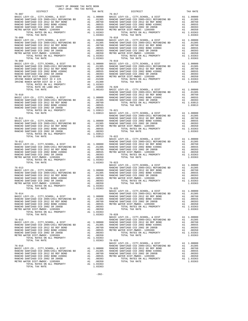| COUNTY OF ORANGE TAX RATE BOOK<br>2017-2018 TRA TAX RATES |          |                                                                                                                                                                                                                                                                                                                                                                                                     |          |
|-----------------------------------------------------------|----------|-----------------------------------------------------------------------------------------------------------------------------------------------------------------------------------------------------------------------------------------------------------------------------------------------------------------------------------------------------------------------------------------------------|----------|
| DISTRICT                                                  | TAX RATE | DISTRICT<br>$76 - 017$                                                                                                                                                                                                                                                                                                                                                                              | TAX RATE |
|                                                           |          |                                                                                                                                                                                                                                                                                                                                                                                                     |          |
|                                                           |          |                                                                                                                                                                                                                                                                                                                                                                                                     |          |
|                                                           |          |                                                                                                                                                                                                                                                                                                                                                                                                     |          |
|                                                           |          |                                                                                                                                                                                                                                                                                                                                                                                                     |          |
|                                                           |          |                                                                                                                                                                                                                                                                                                                                                                                                     |          |
|                                                           |          |                                                                                                                                                                                                                                                                                                                                                                                                     |          |
|                                                           |          |                                                                                                                                                                                                                                                                                                                                                                                                     |          |
|                                                           |          |                                                                                                                                                                                                                                                                                                                                                                                                     |          |
|                                                           |          |                                                                                                                                                                                                                                                                                                                                                                                                     |          |
|                                                           |          |                                                                                                                                                                                                                                                                                                                                                                                                     |          |
|                                                           |          |                                                                                                                                                                                                                                                                                                                                                                                                     |          |
|                                                           |          |                                                                                                                                                                                                                                                                                                                                                                                                     |          |
|                                                           |          |                                                                                                                                                                                                                                                                                                                                                                                                     |          |
|                                                           |          |                                                                                                                                                                                                                                                                                                                                                                                                     |          |
|                                                           |          |                                                                                                                                                                                                                                                                                                                                                                                                     |          |
|                                                           |          |                                                                                                                                                                                                                                                                                                                                                                                                     |          |
|                                                           |          |                                                                                                                                                                                                                                                                                                                                                                                                     |          |
|                                                           |          |                                                                                                                                                                                                                                                                                                                                                                                                     |          |
|                                                           |          |                                                                                                                                                                                                                                                                                                                                                                                                     |          |
|                                                           |          |                                                                                                                                                                                                                                                                                                                                                                                                     |          |
|                                                           |          |                                                                                                                                                                                                                                                                                                                                                                                                     |          |
|                                                           |          |                                                                                                                                                                                                                                                                                                                                                                                                     |          |
|                                                           |          |                                                                                                                                                                                                                                                                                                                                                                                                     |          |
|                                                           |          |                                                                                                                                                                                                                                                                                                                                                                                                     |          |
|                                                           |          |                                                                                                                                                                                                                                                                                                                                                                                                     |          |
|                                                           |          |                                                                                                                                                                                                                                                                                                                                                                                                     |          |
|                                                           |          |                                                                                                                                                                                                                                                                                                                                                                                                     |          |
|                                                           |          |                                                                                                                                                                                                                                                                                                                                                                                                     |          |
|                                                           |          |                                                                                                                                                                                                                                                                                                                                                                                                     |          |
|                                                           |          |                                                                                                                                                                                                                                                                                                                                                                                                     |          |
|                                                           |          |                                                                                                                                                                                                                                                                                                                                                                                                     |          |
|                                                           |          |                                                                                                                                                                                                                                                                                                                                                                                                     |          |
|                                                           |          |                                                                                                                                                                                                                                                                                                                                                                                                     |          |
|                                                           |          |                                                                                                                                                                                                                                                                                                                                                                                                     |          |
|                                                           |          |                                                                                                                                                                                                                                                                                                                                                                                                     |          |
|                                                           |          |                                                                                                                                                                                                                                                                                                                                                                                                     |          |
|                                                           |          |                                                                                                                                                                                                                                                                                                                                                                                                     |          |
|                                                           |          |                                                                                                                                                                                                                                                                                                                                                                                                     |          |
|                                                           |          |                                                                                                                                                                                                                                                                                                                                                                                                     |          |
|                                                           |          |                                                                                                                                                                                                                                                                                                                                                                                                     |          |
|                                                           |          |                                                                                                                                                                                                                                                                                                                                                                                                     |          |
|                                                           |          |                                                                                                                                                                                                                                                                                                                                                                                                     |          |
|                                                           |          | $\begin{tabular}{l c c c c c c} \multicolumn{1}{c c c c} \multicolumn{1}{c c c} \multicolumn{1}{c c c} \multicolumn{1}{c c c} \multicolumn{1}{c c c} \multicolumn{1}{c c c} \multicolumn{1}{c c c} \multicolumn{1}{c c c} \multicolumn{1}{c c c} \multicolumn{1}{c c c} \multicolumn{1}{c c c} \multicolumn{1}{c c c} \multicolumn{1}{c c c} \multicolumn{1}{c c c} \multicolumn{1}{c c c} \multic$ |          |
|                                                           |          |                                                                                                                                                                                                                                                                                                                                                                                                     |          |
|                                                           |          |                                                                                                                                                                                                                                                                                                                                                                                                     |          |
|                                                           |          |                                                                                                                                                                                                                                                                                                                                                                                                     |          |
|                                                           |          |                                                                                                                                                                                                                                                                                                                                                                                                     |          |
|                                                           |          |                                                                                                                                                                                                                                                                                                                                                                                                     |          |
|                                                           |          |                                                                                                                                                                                                                                                                                                                                                                                                     |          |
|                                                           |          |                                                                                                                                                                                                                                                                                                                                                                                                     |          |
|                                                           |          |                                                                                                                                                                                                                                                                                                                                                                                                     |          |
|                                                           |          |                                                                                                                                                                                                                                                                                                                                                                                                     |          |
|                                                           |          |                                                                                                                                                                                                                                                                                                                                                                                                     |          |
|                                                           |          |                                                                                                                                                                                                                                                                                                                                                                                                     |          |
|                                                           |          |                                                                                                                                                                                                                                                                                                                                                                                                     |          |
|                                                           |          |                                                                                                                                                                                                                                                                                                                                                                                                     |          |
|                                                           |          |                                                                                                                                                                                                                                                                                                                                                                                                     |          |
|                                                           |          |                                                                                                                                                                                                                                                                                                                                                                                                     |          |
|                                                           |          |                                                                                                                                                                                                                                                                                                                                                                                                     |          |
|                                                           |          |                                                                                                                                                                                                                                                                                                                                                                                                     |          |
|                                                           |          |                                                                                                                                                                                                                                                                                                                                                                                                     |          |
|                                                           |          |                                                                                                                                                                                                                                                                                                                                                                                                     |          |
|                                                           |          |                                                                                                                                                                                                                                                                                                                                                                                                     |          |
|                                                           |          |                                                                                                                                                                                                                                                                                                                                                                                                     |          |
|                                                           |          |                                                                                                                                                                                                                                                                                                                                                                                                     |          |
|                                                           |          |                                                                                                                                                                                                                                                                                                                                                                                                     |          |
|                                                           |          |                                                                                                                                                                                                                                                                                                                                                                                                     |          |
|                                                           |          |                                                                                                                                                                                                                                                                                                                                                                                                     |          |
|                                                           |          |                                                                                                                                                                                                                                                                                                                                                                                                     |          |
|                                                           |          |                                                                                                                                                                                                                                                                                                                                                                                                     |          |
|                                                           |          |                                                                                                                                                                                                                                                                                                                                                                                                     |          |
|                                                           |          |                                                                                                                                                                                                                                                                                                                                                                                                     |          |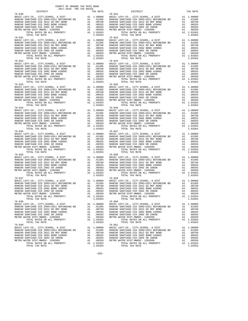| DISTRICT                                                                                                                                                                                                                                                                                                                                                                               | TAX RATE | DISTRICT       | TAX RATE |
|----------------------------------------------------------------------------------------------------------------------------------------------------------------------------------------------------------------------------------------------------------------------------------------------------------------------------------------------------------------------------------------|----------|----------------|----------|
|                                                                                                                                                                                                                                                                                                                                                                                        |          |                |          |
|                                                                                                                                                                                                                                                                                                                                                                                        |          |                |          |
|                                                                                                                                                                                                                                                                                                                                                                                        |          |                |          |
|                                                                                                                                                                                                                                                                                                                                                                                        |          |                |          |
|                                                                                                                                                                                                                                                                                                                                                                                        |          |                |          |
|                                                                                                                                                                                                                                                                                                                                                                                        |          |                |          |
|                                                                                                                                                                                                                                                                                                                                                                                        |          |                |          |
|                                                                                                                                                                                                                                                                                                                                                                                        |          |                |          |
|                                                                                                                                                                                                                                                                                                                                                                                        |          |                |          |
|                                                                                                                                                                                                                                                                                                                                                                                        |          |                |          |
|                                                                                                                                                                                                                                                                                                                                                                                        |          |                |          |
|                                                                                                                                                                                                                                                                                                                                                                                        |          |                |          |
|                                                                                                                                                                                                                                                                                                                                                                                        |          |                |          |
|                                                                                                                                                                                                                                                                                                                                                                                        |          |                |          |
|                                                                                                                                                                                                                                                                                                                                                                                        |          |                |          |
|                                                                                                                                                                                                                                                                                                                                                                                        |          |                |          |
|                                                                                                                                                                                                                                                                                                                                                                                        |          |                |          |
|                                                                                                                                                                                                                                                                                                                                                                                        |          |                |          |
|                                                                                                                                                                                                                                                                                                                                                                                        |          |                |          |
|                                                                                                                                                                                                                                                                                                                                                                                        |          |                |          |
|                                                                                                                                                                                                                                                                                                                                                                                        |          |                |          |
|                                                                                                                                                                                                                                                                                                                                                                                        |          |                |          |
|                                                                                                                                                                                                                                                                                                                                                                                        |          |                |          |
|                                                                                                                                                                                                                                                                                                                                                                                        |          |                |          |
|                                                                                                                                                                                                                                                                                                                                                                                        |          |                |          |
|                                                                                                                                                                                                                                                                                                                                                                                        |          |                |          |
|                                                                                                                                                                                                                                                                                                                                                                                        |          |                |          |
| $\begin{tabular}{l c c c c c} \hline 76-032 & 76-044 \\ \hline \texttt{RANCHO SANTIAGO CCD , CITY, CHCV-CO , CITY, SCHOOL, & DIST & A1 1.00000 \\ \texttt{RANCHO SANTIAGO CCD 2005+2011 REFUNDING BD & A1 0.01305 RANCHO SANTIAGO CCD 2005+2011 REFUNDING BD & A1 0.01305 \\ \texttt{RANCHO SANTIAGO CCD 2012 GO REF BOND & A1 0.01305 & RANCHO SANTIAGO CCD 2012 GO REF BOND & A1 0.$ |          |                |          |
|                                                                                                                                                                                                                                                                                                                                                                                        |          |                |          |
|                                                                                                                                                                                                                                                                                                                                                                                        |          |                |          |
|                                                                                                                                                                                                                                                                                                                                                                                        |          |                |          |
|                                                                                                                                                                                                                                                                                                                                                                                        |          |                |          |
|                                                                                                                                                                                                                                                                                                                                                                                        |          |                |          |
|                                                                                                                                                                                                                                                                                                                                                                                        |          |                |          |
|                                                                                                                                                                                                                                                                                                                                                                                        |          |                |          |
|                                                                                                                                                                                                                                                                                                                                                                                        |          |                |          |
|                                                                                                                                                                                                                                                                                                                                                                                        |          |                |          |
|                                                                                                                                                                                                                                                                                                                                                                                        |          |                |          |
|                                                                                                                                                                                                                                                                                                                                                                                        |          |                |          |
|                                                                                                                                                                                                                                                                                                                                                                                        |          |                |          |
|                                                                                                                                                                                                                                                                                                                                                                                        |          |                |          |
|                                                                                                                                                                                                                                                                                                                                                                                        |          |                |          |
|                                                                                                                                                                                                                                                                                                                                                                                        |          |                |          |
|                                                                                                                                                                                                                                                                                                                                                                                        |          |                |          |
|                                                                                                                                                                                                                                                                                                                                                                                        |          |                |          |
|                                                                                                                                                                                                                                                                                                                                                                                        |          |                |          |
|                                                                                                                                                                                                                                                                                                                                                                                        |          |                |          |
|                                                                                                                                                                                                                                                                                                                                                                                        |          |                |          |
|                                                                                                                                                                                                                                                                                                                                                                                        |          |                |          |
|                                                                                                                                                                                                                                                                                                                                                                                        |          |                |          |
|                                                                                                                                                                                                                                                                                                                                                                                        |          |                |          |
|                                                                                                                                                                                                                                                                                                                                                                                        |          |                |          |
|                                                                                                                                                                                                                                                                                                                                                                                        |          |                |          |
|                                                                                                                                                                                                                                                                                                                                                                                        |          |                |          |
|                                                                                                                                                                                                                                                                                                                                                                                        |          |                |          |
|                                                                                                                                                                                                                                                                                                                                                                                        |          |                |          |
|                                                                                                                                                                                                                                                                                                                                                                                        |          |                |          |
|                                                                                                                                                                                                                                                                                                                                                                                        |          |                |          |
|                                                                                                                                                                                                                                                                                                                                                                                        |          |                |          |
|                                                                                                                                                                                                                                                                                                                                                                                        |          |                |          |
|                                                                                                                                                                                                                                                                                                                                                                                        |          |                |          |
|                                                                                                                                                                                                                                                                                                                                                                                        |          |                |          |
|                                                                                                                                                                                                                                                                                                                                                                                        |          |                |          |
|                                                                                                                                                                                                                                                                                                                                                                                        |          |                |          |
|                                                                                                                                                                                                                                                                                                                                                                                        |          |                |          |
|                                                                                                                                                                                                                                                                                                                                                                                        |          |                |          |
|                                                                                                                                                                                                                                                                                                                                                                                        |          |                |          |
|                                                                                                                                                                                                                                                                                                                                                                                        |          |                |          |
|                                                                                                                                                                                                                                                                                                                                                                                        |          |                |          |
|                                                                                                                                                                                                                                                                                                                                                                                        |          |                |          |
|                                                                                                                                                                                                                                                                                                                                                                                        |          |                |          |
|                                                                                                                                                                                                                                                                                                                                                                                        |          |                |          |
|                                                                                                                                                                                                                                                                                                                                                                                        |          |                |          |
|                                                                                                                                                                                                                                                                                                                                                                                        |          |                |          |
|                                                                                                                                                                                                                                                                                                                                                                                        |          |                |          |
|                                                                                                                                                                                                                                                                                                                                                                                        |          |                |          |
|                                                                                                                                                                                                                                                                                                                                                                                        |          |                |          |
|                                                                                                                                                                                                                                                                                                                                                                                        |          |                |          |
|                                                                                                                                                                                                                                                                                                                                                                                        |          |                |          |
|                                                                                                                                                                                                                                                                                                                                                                                        |          |                |          |
|                                                                                                                                                                                                                                                                                                                                                                                        |          |                |          |
|                                                                                                                                                                                                                                                                                                                                                                                        |          |                |          |
|                                                                                                                                                                                                                                                                                                                                                                                        |          |                |          |
|                                                                                                                                                                                                                                                                                                                                                                                        |          |                |          |
|                                                                                                                                                                                                                                                                                                                                                                                        |          |                |          |
|                                                                                                                                                                                                                                                                                                                                                                                        |          |                |          |
|                                                                                                                                                                                                                                                                                                                                                                                        |          |                |          |
| TOTAL TAX RATE                                                                                                                                                                                                                                                                                                                                                                         | 1.03363  | TOTAL TAX RATE | 1.03363  |
|                                                                                                                                                                                                                                                                                                                                                                                        |          |                |          |

 $-283-$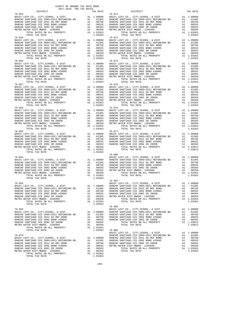|                                                                                                                                                                                                                                                                                                                                                                                                                                                                                                                                                                                                                                   |         | $76 - 080$ |  |
|-----------------------------------------------------------------------------------------------------------------------------------------------------------------------------------------------------------------------------------------------------------------------------------------------------------------------------------------------------------------------------------------------------------------------------------------------------------------------------------------------------------------------------------------------------------------------------------------------------------------------------------|---------|------------|--|
| TOTAL TAX RATE                                                                                                                                                                                                                                                                                                                                                                                                                                                                                                                                                                                                                    | 1.03363 |            |  |
| $\begin{array}{cccc} \text{76-065} & \text{100000} & \text{100000} & \text{100000} \\ \text{BASIC LEVY-CO., CITY, SCHOOL, & DIST & \text{A1} & 1.00000 \\ \text{BASIC LEVY-CO., CITY, SCHOOL, & DIST & \text{A1} & 1.00000 \\ \text{RANCEO SMYIAGO CCD} & \text{2005+2011 REFUNDING BD} & \text{A1} & 0.1305 \\ \text{RANCEO SMYIAGO CCD} & \text{2005+2011 REFUNDING BD} & \text{A1} & 0.1305$<br>RANCHO SANTIAGO CCD 2012 GO REF BOND A1 .00760 RANCHO SANTIAGO CCD 2002 BOND #2006C A1 .00555 RANCHO SANTIAGO CCD 2012 GO REF BOND A1 .00750 RANCHO SANTIAGO CCD 2002 SR 2005B RANCHO SANTIAGO CCD 2002 SR 2005B RANCHO SANTIA |         | $76 - 081$ |  |
| $\begin{tabular}{l c c c c c} \hline & $\prime$6--085 & $\prime$6--085 \\ BASIC LEVY-CO., CITY, SCHOOL, & \& DIST & \& & \& & \& & \& & \& & \\\hline \texttt{BASIC LEVY-CO., CITY, SCHOOL, & \& DIST & \& & \& & \\\texttt{RANCHO SANTIAGO CCD 2005+2011 REFUNDING BD & \& & \& & \\\texttt{RANCHO SANTIAGO CCD 2005+2011 REFUNDING BD & \& & \& & \\\texttt{RANCHO SANTIAGO CCD 2002 BOND 42006C} & \& & & \& &$                                                                                                                                                                                                                |         |            |  |
| $\begin{tabular}{l c c c c c} \multicolumn{1}{c c c} \multicolumn{1}{c c c} \multicolumn{1}{c c} \multicolumn{1}{c c} \multicolumn{1}{c c} \multicolumn{1}{c c} \multicolumn{1}{c c} \multicolumn{1}{c c} \multicolumn{1}{c c} \multicolumn{1}{c c} \multicolumn{1}{c c} \multicolumn{1}{c c} \multicolumn{1}{c c} \multicolumn{1}{c c} \multicolumn{1}{c c} \multicolumn{1}{c c} \multicolumn{1}{c c} \multicolumn{1}{c c}$                                                                                                                                                                                                      |         |            |  |

-284-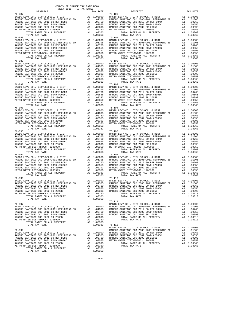| COUNTY OF ORANGE TAX RATE BOOK                                                                                                                                                                                                                                                                                                                                                                                                  |          |                          |          |
|---------------------------------------------------------------------------------------------------------------------------------------------------------------------------------------------------------------------------------------------------------------------------------------------------------------------------------------------------------------------------------------------------------------------------------|----------|--------------------------|----------|
| $\begin{minipage}{.4\linewidth} \begin{tabular}{lcccc} \textbf{1-A} & \textbf{R} & \textbf{R} & \textbf{R} \\ \textbf{2017--2018} & \textbf{TRA} & \textbf{TAX RATES} \\ \textbf{DISTRICT} & \end{tabular}$<br>$76 - 087$                                                                                                                                                                                                       | TAX RATE | DISTRICT                 | TAX RATE |
| $76 - 088$                                                                                                                                                                                                                                                                                                                                                                                                                      |          | $76 - 100$<br>$76 - 101$ |          |
|                                                                                                                                                                                                                                                                                                                                                                                                                                 |          |                          |          |
| $\begin{tabular}{l cccc} $76-088$ & $1014$ & $148$ & $148$ & $10000$ & $1014$ & $148$ & $10000$ & $1014$ & $148$ & $10000$ \\ \hline \text{RAKCHO SANTIAGO CCD } 2012 & 2015 & 2014 & 101000 & 2015 & 2015 & 2015 & 2015 & 2015 & 2015 & 2015 & 2015 & 2015 & 2015 & 2015 & 2015 & 2015 & 2015 & 2015$<br>$76 - 090$                                                                                                            |          | $76 - 103$               |          |
| $\begin{tabular}{l c c c c c} \hline $\gamma_{6}$-090 & $\gamma_{6}$-103 & $\gamma_{6}$-103 & $\gamma_{6}$-103 & $\gamma_{6}$-103 & $\gamma_{6}$-103 & $\gamma_{6}$-103 & $\gamma_{6}$-103 & $\gamma_{6}$-103 & $\gamma_{6}$-103 & $\gamma_{6}$-103 & $\gamma_{6}$-104 & $\gamma_{6}$-104 & $\gamma_{6}$-104 & $\gamma_{6}$-105 & $\gamma_{6}$-106 & $\gamma_{6}$-107 & $\gamma_{6}$-108 & $\gamma_{6}$-107 & $\gamma_{6}$-108$ |          |                          |          |
|                                                                                                                                                                                                                                                                                                                                                                                                                                 |          | $76 - 105$               |          |
| $76 - 093$<br>$\begin{tabular}{l ll} {\bf 707AL} & {\bf 107AL} & {\bf 107AL} & {\bf 107AL} & {\bf 107AL} & {\bf 107AL} & {\bf 107AL} & {\bf 107AL} & {\bf 107AL} & {\bf 107AL} & {\bf 107AL} & {\bf 107AL} & {\bf 107AL} & {\bf 107AL} & {\bf 107AL} & {\bf 107AL} & {\bf 107AL} & {\bf 107AL} & {\bf 107AL} & {\bf 107AL} & {\bf 107AL} & {\bf 107AL} & {\bf 107AL} & {\bf $                                                   |          |                          |          |
|                                                                                                                                                                                                                                                                                                                                                                                                                                 |          |                          |          |
| $\begin{tabular}{l c c c c c c c c c c c} \multicolumn{1}{c}{\textbf{RANCHO SANTIAGO CCD 2002 BOND 42006C} & \multicolumn{1}{c}{\textbf{AA} & .00055} & \multicolumn{1}{c}{\textbf{RANCHO SANTIAGO CCD 2002 BOND 42006C} & \multicolumn{1}{c}{\textbf{AA} & .00055} & \multicolumn{1}{c}{\textbf{RANCHO SANTIAGO CCD 2002 BOND 42006C} & \multicolumn{1}{c}{\textbf{AA} & .00$<br>TOTAL TAX RATE                                | 1.03363  |                          |          |
|                                                                                                                                                                                                                                                                                                                                                                                                                                 |          |                          |          |
|                                                                                                                                                                                                                                                                                                                                                                                                                                 |          |                          |          |

 $-285-$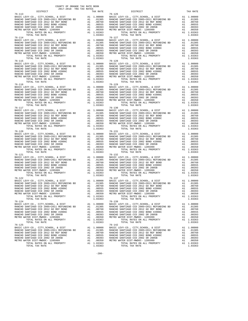| DISTRICT                                                                                                                                                                                                                                                                                                                                                                                      | TAX RATE | DISTRICT | TAX RATE |
|-----------------------------------------------------------------------------------------------------------------------------------------------------------------------------------------------------------------------------------------------------------------------------------------------------------------------------------------------------------------------------------------------|----------|----------|----------|
| $\begin{tabular}{l cccc} 76-113 & DISTRICT & TAX RATE & DISTRICT & TAX RATE \\ \hline \texttt{RAKCHO SANTIAOO CO} & 0005-2011 REFUNDING BDS & 11.00000 & BASTC LEVY-CO, CITY, SCHOOL, & 0.01599 & 0.11.00000 \\ \texttt{RAKCHO SANTIAOO CO} & 2012-60001 & 0.00000 & 0.00555 & 0.00000 \\ \texttt{RAKCHO SANTIAOO CO} & 2012-60000 & 0.00555 & 0.000000$                                      |          |          |          |
|                                                                                                                                                                                                                                                                                                                                                                                               |          |          |          |
|                                                                                                                                                                                                                                                                                                                                                                                               |          |          |          |
|                                                                                                                                                                                                                                                                                                                                                                                               |          |          |          |
|                                                                                                                                                                                                                                                                                                                                                                                               |          |          |          |
|                                                                                                                                                                                                                                                                                                                                                                                               |          |          |          |
|                                                                                                                                                                                                                                                                                                                                                                                               |          |          |          |
|                                                                                                                                                                                                                                                                                                                                                                                               |          |          |          |
|                                                                                                                                                                                                                                                                                                                                                                                               |          |          |          |
|                                                                                                                                                                                                                                                                                                                                                                                               |          |          |          |
|                                                                                                                                                                                                                                                                                                                                                                                               |          |          |          |
|                                                                                                                                                                                                                                                                                                                                                                                               |          |          |          |
|                                                                                                                                                                                                                                                                                                                                                                                               |          |          |          |
|                                                                                                                                                                                                                                                                                                                                                                                               |          |          |          |
|                                                                                                                                                                                                                                                                                                                                                                                               |          |          |          |
|                                                                                                                                                                                                                                                                                                                                                                                               |          |          |          |
|                                                                                                                                                                                                                                                                                                                                                                                               |          |          |          |
|                                                                                                                                                                                                                                                                                                                                                                                               |          |          |          |
|                                                                                                                                                                                                                                                                                                                                                                                               |          |          |          |
|                                                                                                                                                                                                                                                                                                                                                                                               |          |          |          |
|                                                                                                                                                                                                                                                                                                                                                                                               |          |          |          |
|                                                                                                                                                                                                                                                                                                                                                                                               |          |          |          |
|                                                                                                                                                                                                                                                                                                                                                                                               |          |          |          |
| $\begin{tabular}{l c c c c c} \hline 76-115 & 76-128 \\ \hline \texttt{RANC} & \texttt{REVY-CO} &, \texttt{CITY}, \texttt{SCHOOL} & \texttt{RENT} & \texttt{A1} & 1.00000 & \texttt{BASIC LEVY-CO} &, \texttt{CITY}, \texttt{SCHOOL} & \texttt{A DIST} & \texttt{A1} & 1.00000 \\ \texttt{RANC} & \texttt{SANTIAGO CCD 2005+2011} & \texttt{REFUNDING BD} & \texttt{A1} & .01305 & \texttt{R$ |          |          |          |
|                                                                                                                                                                                                                                                                                                                                                                                               |          |          |          |
|                                                                                                                                                                                                                                                                                                                                                                                               |          |          |          |
|                                                                                                                                                                                                                                                                                                                                                                                               |          |          |          |
|                                                                                                                                                                                                                                                                                                                                                                                               |          |          |          |
|                                                                                                                                                                                                                                                                                                                                                                                               |          |          |          |
|                                                                                                                                                                                                                                                                                                                                                                                               |          |          |          |
|                                                                                                                                                                                                                                                                                                                                                                                               |          |          |          |
|                                                                                                                                                                                                                                                                                                                                                                                               |          |          |          |
|                                                                                                                                                                                                                                                                                                                                                                                               |          |          |          |
|                                                                                                                                                                                                                                                                                                                                                                                               |          |          |          |
|                                                                                                                                                                                                                                                                                                                                                                                               |          |          |          |
|                                                                                                                                                                                                                                                                                                                                                                                               |          |          |          |
|                                                                                                                                                                                                                                                                                                                                                                                               |          |          |          |
|                                                                                                                                                                                                                                                                                                                                                                                               |          |          |          |
|                                                                                                                                                                                                                                                                                                                                                                                               |          |          |          |
|                                                                                                                                                                                                                                                                                                                                                                                               |          |          |          |
|                                                                                                                                                                                                                                                                                                                                                                                               |          |          |          |
|                                                                                                                                                                                                                                                                                                                                                                                               |          |          |          |
|                                                                                                                                                                                                                                                                                                                                                                                               |          |          |          |
|                                                                                                                                                                                                                                                                                                                                                                                               |          |          |          |
|                                                                                                                                                                                                                                                                                                                                                                                               |          |          |          |
|                                                                                                                                                                                                                                                                                                                                                                                               |          |          |          |
|                                                                                                                                                                                                                                                                                                                                                                                               |          |          |          |
|                                                                                                                                                                                                                                                                                                                                                                                               |          |          |          |
|                                                                                                                                                                                                                                                                                                                                                                                               |          |          |          |
|                                                                                                                                                                                                                                                                                                                                                                                               |          |          |          |
|                                                                                                                                                                                                                                                                                                                                                                                               |          |          |          |
|                                                                                                                                                                                                                                                                                                                                                                                               |          |          |          |
|                                                                                                                                                                                                                                                                                                                                                                                               |          |          |          |
|                                                                                                                                                                                                                                                                                                                                                                                               |          |          |          |
|                                                                                                                                                                                                                                                                                                                                                                                               |          |          |          |
|                                                                                                                                                                                                                                                                                                                                                                                               |          |          |          |
|                                                                                                                                                                                                                                                                                                                                                                                               |          |          |          |
|                                                                                                                                                                                                                                                                                                                                                                                               |          |          |          |
|                                                                                                                                                                                                                                                                                                                                                                                               |          |          |          |
|                                                                                                                                                                                                                                                                                                                                                                                               |          |          |          |
|                                                                                                                                                                                                                                                                                                                                                                                               |          |          |          |
|                                                                                                                                                                                                                                                                                                                                                                                               |          |          |          |
|                                                                                                                                                                                                                                                                                                                                                                                               |          |          |          |
|                                                                                                                                                                                                                                                                                                                                                                                               |          |          |          |
|                                                                                                                                                                                                                                                                                                                                                                                               |          |          |          |
|                                                                                                                                                                                                                                                                                                                                                                                               |          |          |          |
|                                                                                                                                                                                                                                                                                                                                                                                               |          |          |          |
|                                                                                                                                                                                                                                                                                                                                                                                               |          |          |          |
|                                                                                                                                                                                                                                                                                                                                                                                               |          |          |          |
|                                                                                                                                                                                                                                                                                                                                                                                               |          |          |          |
|                                                                                                                                                                                                                                                                                                                                                                                               |          |          |          |
|                                                                                                                                                                                                                                                                                                                                                                                               |          |          |          |
|                                                                                                                                                                                                                                                                                                                                                                                               |          |          |          |
|                                                                                                                                                                                                                                                                                                                                                                                               |          |          |          |
|                                                                                                                                                                                                                                                                                                                                                                                               |          |          |          |
|                                                                                                                                                                                                                                                                                                                                                                                               |          |          |          |
|                                                                                                                                                                                                                                                                                                                                                                                               |          |          |          |

-286-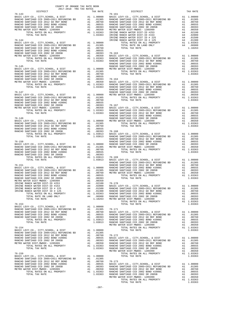| $2017-2018 \quad \text{TRA RATE B}$ DISTRICT 2017-2018 TRA TAX RATES | TAX RATE | DISTRICT                                                                                                                                                                                                                                                                                                                                                                                                                             | TAX RATE |
|----------------------------------------------------------------------|----------|--------------------------------------------------------------------------------------------------------------------------------------------------------------------------------------------------------------------------------------------------------------------------------------------------------------------------------------------------------------------------------------------------------------------------------------|----------|
|                                                                      |          |                                                                                                                                                                                                                                                                                                                                                                                                                                      |          |
|                                                                      |          |                                                                                                                                                                                                                                                                                                                                                                                                                                      |          |
|                                                                      |          |                                                                                                                                                                                                                                                                                                                                                                                                                                      |          |
|                                                                      |          |                                                                                                                                                                                                                                                                                                                                                                                                                                      |          |
|                                                                      |          |                                                                                                                                                                                                                                                                                                                                                                                                                                      |          |
|                                                                      |          |                                                                                                                                                                                                                                                                                                                                                                                                                                      |          |
|                                                                      |          |                                                                                                                                                                                                                                                                                                                                                                                                                                      |          |
|                                                                      |          |                                                                                                                                                                                                                                                                                                                                                                                                                                      |          |
|                                                                      |          |                                                                                                                                                                                                                                                                                                                                                                                                                                      |          |
|                                                                      |          |                                                                                                                                                                                                                                                                                                                                                                                                                                      |          |
|                                                                      |          |                                                                                                                                                                                                                                                                                                                                                                                                                                      |          |
|                                                                      |          |                                                                                                                                                                                                                                                                                                                                                                                                                                      |          |
|                                                                      |          |                                                                                                                                                                                                                                                                                                                                                                                                                                      |          |
|                                                                      |          |                                                                                                                                                                                                                                                                                                                                                                                                                                      |          |
|                                                                      |          |                                                                                                                                                                                                                                                                                                                                                                                                                                      |          |
|                                                                      |          |                                                                                                                                                                                                                                                                                                                                                                                                                                      |          |
|                                                                      |          |                                                                                                                                                                                                                                                                                                                                                                                                                                      |          |
|                                                                      |          |                                                                                                                                                                                                                                                                                                                                                                                                                                      |          |
|                                                                      |          |                                                                                                                                                                                                                                                                                                                                                                                                                                      |          |
|                                                                      |          |                                                                                                                                                                                                                                                                                                                                                                                                                                      |          |
|                                                                      |          |                                                                                                                                                                                                                                                                                                                                                                                                                                      |          |
|                                                                      |          |                                                                                                                                                                                                                                                                                                                                                                                                                                      |          |
|                                                                      |          |                                                                                                                                                                                                                                                                                                                                                                                                                                      |          |
|                                                                      |          |                                                                                                                                                                                                                                                                                                                                                                                                                                      |          |
|                                                                      |          |                                                                                                                                                                                                                                                                                                                                                                                                                                      |          |
|                                                                      |          |                                                                                                                                                                                                                                                                                                                                                                                                                                      |          |
|                                                                      |          |                                                                                                                                                                                                                                                                                                                                                                                                                                      |          |
|                                                                      |          |                                                                                                                                                                                                                                                                                                                                                                                                                                      |          |
|                                                                      |          |                                                                                                                                                                                                                                                                                                                                                                                                                                      |          |
|                                                                      |          |                                                                                                                                                                                                                                                                                                                                                                                                                                      |          |
|                                                                      |          |                                                                                                                                                                                                                                                                                                                                                                                                                                      |          |
|                                                                      |          |                                                                                                                                                                                                                                                                                                                                                                                                                                      |          |
|                                                                      |          |                                                                                                                                                                                                                                                                                                                                                                                                                                      |          |
|                                                                      |          |                                                                                                                                                                                                                                                                                                                                                                                                                                      |          |
|                                                                      |          |                                                                                                                                                                                                                                                                                                                                                                                                                                      |          |
|                                                                      |          |                                                                                                                                                                                                                                                                                                                                                                                                                                      |          |
|                                                                      |          |                                                                                                                                                                                                                                                                                                                                                                                                                                      |          |
|                                                                      |          |                                                                                                                                                                                                                                                                                                                                                                                                                                      |          |
|                                                                      |          |                                                                                                                                                                                                                                                                                                                                                                                                                                      |          |
|                                                                      |          |                                                                                                                                                                                                                                                                                                                                                                                                                                      |          |
|                                                                      |          |                                                                                                                                                                                                                                                                                                                                                                                                                                      |          |
|                                                                      |          |                                                                                                                                                                                                                                                                                                                                                                                                                                      |          |
|                                                                      |          |                                                                                                                                                                                                                                                                                                                                                                                                                                      |          |
|                                                                      |          |                                                                                                                                                                                                                                                                                                                                                                                                                                      |          |
|                                                                      |          |                                                                                                                                                                                                                                                                                                                                                                                                                                      |          |
|                                                                      |          |                                                                                                                                                                                                                                                                                                                                                                                                                                      |          |
|                                                                      |          |                                                                                                                                                                                                                                                                                                                                                                                                                                      |          |
|                                                                      |          |                                                                                                                                                                                                                                                                                                                                                                                                                                      |          |
|                                                                      |          |                                                                                                                                                                                                                                                                                                                                                                                                                                      |          |
|                                                                      |          |                                                                                                                                                                                                                                                                                                                                                                                                                                      |          |
|                                                                      |          |                                                                                                                                                                                                                                                                                                                                                                                                                                      |          |
|                                                                      |          |                                                                                                                                                                                                                                                                                                                                                                                                                                      |          |
|                                                                      |          |                                                                                                                                                                                                                                                                                                                                                                                                                                      |          |
|                                                                      |          |                                                                                                                                                                                                                                                                                                                                                                                                                                      |          |
|                                                                      |          |                                                                                                                                                                                                                                                                                                                                                                                                                                      |          |
|                                                                      |          | ${\small \begin{tabular}{l c c c c c c c c} \hline \texttt{IRVINE RANCH WATER DIST-ID & $\#153$} & $\texttt{A4}$ & .02000 & $\texttt{BASE LEVY-CO}, $\texttt{CITY},\texttt{SCHODL}, $\&$ DIST & $\texttt{A1}$ & 1.00000 \\ \hline \texttt{IRVINE RANCH WATER DIST ID & $\#225$} & $\texttt{A4}$ & .01300 & $\texttt{RANCHO SANTIAGO CCD 20012 60 REF BOND} & $\texttt{A1}$ & .017050 \\ \hline \texttt{TRVINE RANCH WATER DIST ID &$ |          |
|                                                                      |          |                                                                                                                                                                                                                                                                                                                                                                                                                                      |          |
|                                                                      |          |                                                                                                                                                                                                                                                                                                                                                                                                                                      |          |
|                                                                      |          |                                                                                                                                                                                                                                                                                                                                                                                                                                      |          |
|                                                                      |          |                                                                                                                                                                                                                                                                                                                                                                                                                                      |          |
|                                                                      |          |                                                                                                                                                                                                                                                                                                                                                                                                                                      |          |
|                                                                      |          |                                                                                                                                                                                                                                                                                                                                                                                                                                      |          |
|                                                                      |          |                                                                                                                                                                                                                                                                                                                                                                                                                                      |          |
|                                                                      |          |                                                                                                                                                                                                                                                                                                                                                                                                                                      |          |
|                                                                      |          |                                                                                                                                                                                                                                                                                                                                                                                                                                      |          |
|                                                                      |          |                                                                                                                                                                                                                                                                                                                                                                                                                                      |          |
|                                                                      |          |                                                                                                                                                                                                                                                                                                                                                                                                                                      |          |
|                                                                      |          |                                                                                                                                                                                                                                                                                                                                                                                                                                      |          |
|                                                                      |          |                                                                                                                                                                                                                                                                                                                                                                                                                                      |          |
|                                                                      |          |                                                                                                                                                                                                                                                                                                                                                                                                                                      |          |
|                                                                      |          |                                                                                                                                                                                                                                                                                                                                                                                                                                      |          |
|                                                                      |          |                                                                                                                                                                                                                                                                                                                                                                                                                                      |          |
|                                                                      |          |                                                                                                                                                                                                                                                                                                                                                                                                                                      |          |
|                                                                      |          |                                                                                                                                                                                                                                                                                                                                                                                                                                      |          |
|                                                                      |          |                                                                                                                                                                                                                                                                                                                                                                                                                                      |          |
|                                                                      |          |                                                                                                                                                                                                                                                                                                                                                                                                                                      |          |
|                                                                      |          |                                                                                                                                                                                                                                                                                                                                                                                                                                      |          |
|                                                                      |          |                                                                                                                                                                                                                                                                                                                                                                                                                                      |          |
|                                                                      |          |                                                                                                                                                                                                                                                                                                                                                                                                                                      |          |
|                                                                      |          |                                                                                                                                                                                                                                                                                                                                                                                                                                      |          |
|                                                                      |          |                                                                                                                                                                                                                                                                                                                                                                                                                                      |          |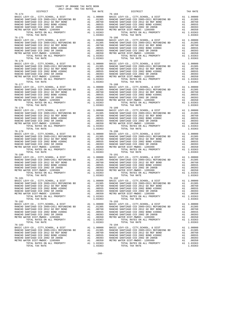| DISTRICT | TAX RATE | DISTRICT | TAX RATE |
|----------|----------|----------|----------|
|          |          |          |          |
|          |          |          |          |
|          |          |          |          |
|          |          |          |          |
|          |          |          |          |
|          |          |          |          |
|          |          |          |          |
|          |          |          |          |
|          |          |          |          |
|          |          |          |          |
|          |          |          |          |
|          |          |          |          |
|          |          |          |          |
|          |          |          |          |
|          |          |          |          |
|          |          |          |          |
|          |          |          |          |
|          |          |          |          |
|          |          |          |          |
|          |          |          |          |
|          |          |          |          |
|          |          |          |          |
|          |          |          |          |
|          |          |          |          |
|          |          |          |          |
|          |          |          |          |
|          |          |          |          |
|          |          |          |          |
|          |          |          |          |
|          |          |          |          |
|          |          |          |          |
|          |          |          |          |
|          |          |          |          |
|          |          |          |          |
|          |          |          |          |
|          |          |          |          |
|          |          |          |          |
|          |          |          |          |
|          |          |          |          |
|          |          |          |          |
|          |          |          |          |
|          |          |          |          |
|          |          |          |          |
|          |          |          |          |
|          |          |          |          |
|          |          |          |          |
|          |          |          |          |
|          |          |          |          |
|          |          |          |          |
|          |          |          |          |
|          |          |          |          |
|          |          |          |          |
|          |          |          |          |
|          |          |          |          |
|          |          |          |          |
|          |          |          |          |
|          |          |          |          |
|          |          |          |          |
|          |          |          |          |
|          |          |          |          |
|          |          |          |          |
|          |          |          |          |
|          |          |          |          |
|          |          |          |          |
|          |          |          |          |
|          |          |          |          |
|          |          |          |          |
|          |          |          |          |
|          |          |          |          |
|          |          |          |          |
|          |          |          |          |
|          |          |          |          |
|          |          |          |          |
|          |          |          |          |
|          |          |          |          |
|          |          |          |          |
|          |          |          |          |
|          |          |          |          |
|          |          |          |          |

COUNTY OF ORANGE TAX RATE BOOK 2017-2018 TRA TAX RATES

 $-288-$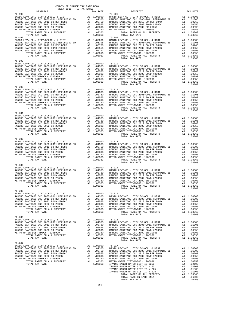| COUNTY OF ORANGE TAX RATE BOOK<br>2017-2018 TRA TAX RATES<br>$2017-2018 \quad \text{TRA TAX RATES}$ DISTRICT |          |                                                                                                                                                                                                                                                                                                                                                                                                                 |          |
|--------------------------------------------------------------------------------------------------------------|----------|-----------------------------------------------------------------------------------------------------------------------------------------------------------------------------------------------------------------------------------------------------------------------------------------------------------------------------------------------------------------------------------------------------------------|----------|
|                                                                                                              | TAX RATE | <b>DISTRICT</b>                                                                                                                                                                                                                                                                                                                                                                                                 | TAX RATE |
|                                                                                                              |          |                                                                                                                                                                                                                                                                                                                                                                                                                 |          |
|                                                                                                              |          |                                                                                                                                                                                                                                                                                                                                                                                                                 |          |
|                                                                                                              |          |                                                                                                                                                                                                                                                                                                                                                                                                                 |          |
|                                                                                                              |          |                                                                                                                                                                                                                                                                                                                                                                                                                 |          |
|                                                                                                              |          | TOTAL TAX RATE                                                                                                                                                                                                                                                                                                                                                                                                  | 1.03363  |
|                                                                                                              |          |                                                                                                                                                                                                                                                                                                                                                                                                                 |          |
|                                                                                                              |          |                                                                                                                                                                                                                                                                                                                                                                                                                 |          |
|                                                                                                              |          |                                                                                                                                                                                                                                                                                                                                                                                                                 |          |
|                                                                                                              |          |                                                                                                                                                                                                                                                                                                                                                                                                                 |          |
|                                                                                                              |          |                                                                                                                                                                                                                                                                                                                                                                                                                 |          |
|                                                                                                              |          |                                                                                                                                                                                                                                                                                                                                                                                                                 |          |
|                                                                                                              |          |                                                                                                                                                                                                                                                                                                                                                                                                                 |          |
|                                                                                                              |          |                                                                                                                                                                                                                                                                                                                                                                                                                 |          |
|                                                                                                              |          |                                                                                                                                                                                                                                                                                                                                                                                                                 |          |
|                                                                                                              |          |                                                                                                                                                                                                                                                                                                                                                                                                                 |          |
|                                                                                                              |          |                                                                                                                                                                                                                                                                                                                                                                                                                 |          |
|                                                                                                              |          |                                                                                                                                                                                                                                                                                                                                                                                                                 |          |
|                                                                                                              |          |                                                                                                                                                                                                                                                                                                                                                                                                                 |          |
| $76 - 202$                                                                                                   |          |                                                                                                                                                                                                                                                                                                                                                                                                                 |          |
|                                                                                                              |          |                                                                                                                                                                                                                                                                                                                                                                                                                 |          |
|                                                                                                              |          |                                                                                                                                                                                                                                                                                                                                                                                                                 |          |
|                                                                                                              |          | TOTAL TAX RATE                                                                                                                                                                                                                                                                                                                                                                                                  | 1.03363  |
| $76 - 204$                                                                                                   |          |                                                                                                                                                                                                                                                                                                                                                                                                                 |          |
|                                                                                                              |          |                                                                                                                                                                                                                                                                                                                                                                                                                 |          |
|                                                                                                              |          |                                                                                                                                                                                                                                                                                                                                                                                                                 |          |
|                                                                                                              |          |                                                                                                                                                                                                                                                                                                                                                                                                                 |          |
|                                                                                                              |          | TOTAL TAX RATE                                                                                                                                                                                                                                                                                                                                                                                                  | 1.03363  |
|                                                                                                              |          |                                                                                                                                                                                                                                                                                                                                                                                                                 |          |
|                                                                                                              |          |                                                                                                                                                                                                                                                                                                                                                                                                                 |          |
|                                                                                                              |          |                                                                                                                                                                                                                                                                                                                                                                                                                 |          |
|                                                                                                              |          |                                                                                                                                                                                                                                                                                                                                                                                                                 |          |
|                                                                                                              |          |                                                                                                                                                                                                                                                                                                                                                                                                                 |          |
|                                                                                                              |          |                                                                                                                                                                                                                                                                                                                                                                                                                 |          |
|                                                                                                              |          |                                                                                                                                                                                                                                                                                                                                                                                                                 |          |
|                                                                                                              |          |                                                                                                                                                                                                                                                                                                                                                                                                                 |          |
|                                                                                                              |          |                                                                                                                                                                                                                                                                                                                                                                                                                 |          |
|                                                                                                              |          | $\begin{tabular}{l c c c c} \hline 76-207 & \text{BASTC LEVY-CO} \ , \ \text{CITY}, \text{SCHOOL} \ , \ \text{& DIST} \\\ \hline \text{RANCHO SANTIAGO CCD 2005+2011 REFUNDING BID} & \text{A1} \quad .001305 & \text{BASIC LEVY-CO} \ , \ \text{CITY}, \text{SCHOOL} \ , \ \text{& DIST} \\\ \hline \text{RANCHO SANTIAGO CCD 2005+2011 REFUNDING BID} & \text{A1} \quad .001305 & \text{RANCCO SANTIAGO CCD $ |          |
|                                                                                                              |          |                                                                                                                                                                                                                                                                                                                                                                                                                 |          |
|                                                                                                              |          |                                                                                                                                                                                                                                                                                                                                                                                                                 |          |
|                                                                                                              |          |                                                                                                                                                                                                                                                                                                                                                                                                                 |          |
|                                                                                                              |          |                                                                                                                                                                                                                                                                                                                                                                                                                 |          |
|                                                                                                              |          |                                                                                                                                                                                                                                                                                                                                                                                                                 |          |
|                                                                                                              |          |                                                                                                                                                                                                                                                                                                                                                                                                                 |          |
|                                                                                                              |          |                                                                                                                                                                                                                                                                                                                                                                                                                 |          |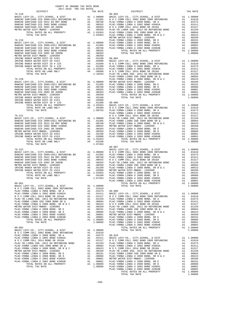| COUNTY OF ORANGE TAX RATE BOOK<br>2017-2018 TRA TAX RATES | TAX RATE | DISTRICT                                                                                                                                                                                                                     | TAX RATE |
|-----------------------------------------------------------|----------|------------------------------------------------------------------------------------------------------------------------------------------------------------------------------------------------------------------------------|----------|
|                                                           |          | The stress of the stress of the stress of the stress of the stress of the stress of the stress of the stress of the stress of the stress of the stress of the stress of the stress of the stress of the stress of the stress |          |
|                                                           |          |                                                                                                                                                                                                                              |          |
|                                                           |          |                                                                                                                                                                                                                              |          |
|                                                           |          |                                                                                                                                                                                                                              |          |
|                                                           |          |                                                                                                                                                                                                                              |          |
|                                                           |          |                                                                                                                                                                                                                              |          |
|                                                           |          |                                                                                                                                                                                                                              |          |
|                                                           |          |                                                                                                                                                                                                                              |          |
|                                                           |          |                                                                                                                                                                                                                              |          |
|                                                           |          |                                                                                                                                                                                                                              |          |
|                                                           |          |                                                                                                                                                                                                                              |          |
|                                                           |          |                                                                                                                                                                                                                              |          |
|                                                           |          |                                                                                                                                                                                                                              |          |
|                                                           |          |                                                                                                                                                                                                                              |          |
|                                                           |          |                                                                                                                                                                                                                              |          |
|                                                           |          |                                                                                                                                                                                                                              |          |
|                                                           |          |                                                                                                                                                                                                                              |          |
|                                                           |          |                                                                                                                                                                                                                              |          |
|                                                           |          |                                                                                                                                                                                                                              |          |
|                                                           |          |                                                                                                                                                                                                                              |          |
|                                                           |          |                                                                                                                                                                                                                              |          |
|                                                           |          |                                                                                                                                                                                                                              |          |
|                                                           |          |                                                                                                                                                                                                                              |          |
|                                                           |          |                                                                                                                                                                                                                              |          |
|                                                           |          |                                                                                                                                                                                                                              |          |
|                                                           |          |                                                                                                                                                                                                                              |          |
|                                                           |          |                                                                                                                                                                                                                              |          |
|                                                           |          |                                                                                                                                                                                                                              |          |
|                                                           |          |                                                                                                                                                                                                                              |          |
|                                                           |          |                                                                                                                                                                                                                              |          |
|                                                           |          |                                                                                                                                                                                                                              |          |
|                                                           |          |                                                                                                                                                                                                                              |          |
|                                                           |          |                                                                                                                                                                                                                              |          |
|                                                           |          |                                                                                                                                                                                                                              |          |
|                                                           |          |                                                                                                                                                                                                                              |          |
|                                                           |          |                                                                                                                                                                                                                              |          |
|                                                           |          |                                                                                                                                                                                                                              |          |
|                                                           |          |                                                                                                                                                                                                                              |          |
|                                                           |          | $80 - 007$                                                                                                                                                                                                                   |          |
|                                                           |          |                                                                                                                                                                                                                              |          |
|                                                           |          |                                                                                                                                                                                                                              |          |
|                                                           |          |                                                                                                                                                                                                                              |          |
|                                                           |          |                                                                                                                                                                                                                              |          |
|                                                           |          |                                                                                                                                                                                                                              |          |
|                                                           |          |                                                                                                                                                                                                                              |          |
|                                                           |          |                                                                                                                                                                                                                              |          |
|                                                           |          |                                                                                                                                                                                                                              |          |
|                                                           |          |                                                                                                                                                                                                                              |          |
|                                                           |          |                                                                                                                                                                                                                              |          |
|                                                           |          |                                                                                                                                                                                                                              |          |
|                                                           |          |                                                                                                                                                                                                                              |          |
|                                                           |          |                                                                                                                                                                                                                              |          |
|                                                           |          |                                                                                                                                                                                                                              |          |
|                                                           |          |                                                                                                                                                                                                                              |          |
|                                                           |          |                                                                                                                                                                                                                              |          |
|                                                           |          |                                                                                                                                                                                                                              |          |
|                                                           |          |                                                                                                                                                                                                                              |          |
|                                                           |          |                                                                                                                                                                                                                              |          |
|                                                           |          |                                                                                                                                                                                                                              |          |
|                                                           |          |                                                                                                                                                                                                                              |          |
|                                                           |          |                                                                                                                                                                                                                              |          |
|                                                           |          |                                                                                                                                                                                                                              |          |
|                                                           |          |                                                                                                                                                                                                                              |          |
|                                                           |          |                                                                                                                                                                                                                              |          |
|                                                           |          |                                                                                                                                                                                                                              |          |
|                                                           |          |                                                                                                                                                                                                                              |          |
|                                                           |          |                                                                                                                                                                                                                              |          |
|                                                           |          |                                                                                                                                                                                                                              |          |
|                                                           |          |                                                                                                                                                                                                                              |          |
|                                                           |          |                                                                                                                                                                                                                              |          |
|                                                           |          |                                                                                                                                                                                                                              |          |
|                                                           |          |                                                                                                                                                                                                                              |          |
|                                                           |          |                                                                                                                                                                                                                              |          |
|                                                           |          |                                                                                                                                                                                                                              |          |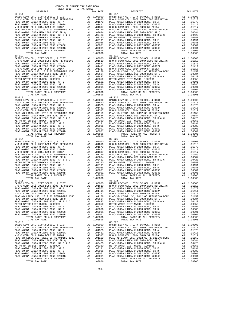COUNTY OF ORANGE TAX RATE BOOK 2017-2018 TRA TAX RATES DISTRICT TAX RATE DISTRICT TAX RATE 80-011 80-017 BASIC LEVY-CO., CITY,SCHOOL, & DIST A1 1.00000 BASIC LEVY-CO., CITY,SCHOOL, & DIST A1 1.00000 N O C COMM COLL 2002 BOND 2005 REFUNDING A1 .01610 N O C COMM COLL 2002 BOND 2005 REFUNDING A1 .01610 PLAC-YORBA LINDA U 2008 BOND, SR A A1 .01573 PLAC-YORBA LINDA U 2008 BOND, SR A A1 .01573 PLAC-YORBA LINDA U 2002 BOND #2002A A1 .01411 PLAC-YORBA LINDA U 2002 BOND #2002A A1 .01411 N O C COMM COLL 2014 BOND SR 2016A A1 .01317 N O C COMM COLL 2014 BOND SR 2016A A1 .01317 PLAC-YB LINDA USD, 2012 GO REFUNDING BOND A1 .01159 PLAC-YB LINDA USD, 2012 GO REFUNDING BOND A1 .01159 PLAC-YORBA LINDA USD 2008 BOND SR Q A1 .00684 PLAC-YORBA LINDA USD 2008 BOND SR Q A1 .00684 PLAC-YORBA LINDA U 2008 BOND, SR B & C A1 .00423 PLAC-YORBA LINDA U 2008 BOND, SR B & C A1 .00423 METRO WATER DIST-MWDOC- 1205999 A1 .00350 METRO WATER DIST-MWDOC- 1205999 A1 .00350 PLAC-YORBA LINDA U 2008 BOND, SR E A1 .00191 PLAC-YORBA LINDA U 2008 BOND, SR E A1 .00191 PLAC-YORBA LINDA U 2008 BOND, SR D A1 .00086 PLAC-YORBA LINDA U 2008 BOND, SR D A1 .00086 PLAC-YORBA LINDA U 2002 BOND #2005C A1 .00001 PLAC-YORBA LINDA U 2002 BOND #2005C A1 .00001 PLAC-YORBA LINDA U 2002 BOND #2004B A1 .00001 PLAC-YORBA LINDA U 2002 BOND #2004B A1 .00001 TOTAL RATES ON ALL PROPERTY A1 1.08806 TOTAL RATES ON ALL PROPERTY A1 1.08806 TOTAL TAX RATE 1.08806 TOTAL TAX RATE 1.08806 80–012<br>BASIC LEVY-CO., CITY, SCHOOL, & DIST A1 1.00000<br>NOC COMM COLL 2002 BOND 2005 REFUNDING A1 .01610 NOC COMM COLL 2002 BOND 2005 REFUNDING A1 .01610<br>PLAC-YORBA LINDA U 2008 BOND, SR A A1 .01573 PLAC-YORBA LINDA U 2008  $\begin{tabular}{l|c|c|c|c|c|c|c} \multicolumn{4}{c}{\textbf{N O C COM COLL} \hbox{ 2014 BOND SR 2016A}} & \multicolumn{4}{c}{\textbf{A1}} & .01159 & \multicolumn{4}{c}{\textbf{N O C COM OCOL 2016 A BOND SR 2016A}} & \multicolumn{4}{c}{\textbf{A1}} & .01159 \\ \hline \multicolumn{4}{c}{\textbf{PLAC-YORBA LINDA U 2008 BOND SR Q}} & \multicolumn{4}{c}{\textbf{A1}} & .01159 & \multicolumn{4}{c}{\text$  80-013 80-020 BASIC LEVY-CO., CITY,SCHOOL, & DIST A1 1.00000 BASIC LEVY-CO., CITY,SCHOOL, & DIST A1 1.00000 N O C COMM COLL 2002 BOND 2005 REFUNDING A1 .01610 N O C COMM COLL 2002 BOND 2005 REFUNDING A1 .01610 PLAC-YORBA LINDA U 2008 BOND, SR A A1 .01573 PLAC-YORBA LINDA U 2008 BOND, SR A A1 .01573 PLAC-YORBA LINDA U 2002 BOND #2002A A1 .01411 PLAC-YORBA LINDA U 2002 BOND #2002A A1 .01411 N O C COMM COLL 2014 BOND SR 2016A A1 .01317 N O C COMM COLL 2014 BOND SR 2016A A1 .01317 PLAC-YB LINDA USD, 2012 GO REFUNDING BOND A1 .01159 PLAC-YB LINDA USD, 2012 GO REFUNDING BOND A1 .01159 PLAC-YORBA LINDA USD 2008 BOND SR Q A1 .00684 PLAC-YORBA LINDA USD 2008 BOND SR Q A1 .00684 PLAC-YORBA LINDA U 2008 BOND, SR B & C A1 .00423 PLAC-YORBA LINDA U 2008 BOND, SR B & C A1 .00423 METRO WATER DIST-MWDOC- 1205999 A1 .00350 METRO WATER DIST-MWDOC- 1205999 A1 .00350 PLAC-YORBA LINDA U 2008 BOND, SR E A1 .00191 PLAC-YORBA LINDA U 2008 BOND, SR E A1 .00191 PLAC-YORBA LINDA U 2008 BOND, SR D A1 .00086 PLAC-YORBA LINDA U 2008 BOND, SR D A1 .00086 PLAC-YORBA LINDA U 2002 BOND #2005C A1 .00001 PLAC-YORBA LINDA U 2002 BOND #2005C A1 .00001 PLAC-YORBA LINDA U 2002 BOND #2004B A1 .00001 PLAC-YORBA LINDA U 2002 BOND #2004B A1 .00001 TOTAL RATES ON ALL PROPERTY A1 1.08806 TOTAL RATES ON ALL PROPERTY A1 1.08806 TOTAL TAX RATE 1.08806 TOTAL TAX RATE 1.08806 80-014 80-025 BASIC LEVY-CO., CITY,SCHOOL, & DIST A1 1.00000 BASIC LEVY-CO., CITY,SCHOOL, & DIST A1 1.00000 N O C COMM COLL 2002 BOND 2005 REFUNDING A1 .01610 N O C COMM COLL 2002 BOND 2005 REFUNDING A1 .01610 PLAC-YORBA LINDA U 2008 BOND, SR A A1 .01573 PLAC-YORBA LINDA U 2008 BOND, SR A A1 .01573  $\begin{tabular}{ l|c|c|c|c|c|c|c|c} \hline \texttt{PLAC-YORBA LINDA U 2002 BOND & \#2002A & \texttt{A1} & .01411 & \texttt{PLAC-YORBA LINDA U 2002 BOND & \#2002A & \texttt{A1} & .01411 \\ \hline \texttt{N O C COM COLA} & 2014& \texttt{BOND S R 2016A} & \texttt{A1} & .01159 & \texttt{N O C COM O COM OCDL 2014 BOND S R 2016A} & \texttt{A1} & .01157 \\ \hline \texttt{$  80-015 80-026 BASIC LEVY-CO., CITY,SCHOOL, & DIST A1 1.00000 BASIC LEVY-CO., CITY,SCHOOL, & DIST A1 1.00000 N O C COMM COLL 2002 BOND 2005 REFUNDING A1 .01610 N O C COMM COLL 2002 BOND 2005 REFUNDING A1 .01610 PLAC-YORBA LINDA U 2008 BOND, SR A A1 .01573 PLAC-YORBA LINDA U 2008 BOND, SR A A1 .01573 PLAC-YORBA LINDA U 2002 BOND #2002A A1 .01411 PLAC-YORBA LINDA U 2002 BOND #2002A A1 .01411 N O C COMM COLL 2014 BOND SR 2016A A1 .01317 N O C COMM COLL 2014 BOND SR 2016A A1 .01317 PLAC-YB LINDA USD, 2012 GO REFUNDING BOND A1 .01159 PLAC-YB LINDA USD, 2012 GO REFUNDING BOND A1 .01159 PLAC-YORBA LINDA USD 2008 BOND SR Q A1 .00684 PLAC-YORBA LINDA USD 2008 BOND SR Q A1 .00684 91. PLAC -YORBA LINDA U 2008 BOND, SR B & C<br>
METRO WATER DIST -MWDCC - 12058 DO 2008 BOND, SR B & C<br>
METRO WATER DISTRIBUTION U 2008 BOND, SR E<br>
PLAC -YORBA LINDA U 2008 BOND, SR E<br>
PLAC -YORBA LINDA U 2008 BOND, SR E<br>
PLA BASIC LEVY-CO., CITY, SCHOOL, & DIST<br>NOC COMM COLL 2002 BOND 2005 REFUNDING A1 .010000 BASIC LEVY-CO., CITY, SCHOOL, & DIST A1 1.00000<br>PLAC-YORBA LINDA U 2008 BOND, SR A A1 .01573 PLAC-YORBA LINDA U 2008 BOND, SR A A1 .015  $\begin{tabular}{l|c|c|c|c|c|c|c} \multicolumn{4}{c}{\textbf{N} & $\mathcal{O}$ & $\mathcal{O}$ \\ \multicolumn{4}{c}{\textbf{PLAC}-YORBA LINDA USD} & $\mathcal{O}$ & $\mathcal{O}$ \\ \multicolumn{4}{c}{\textbf{PLAC}-YORBA LINDA USD} & $\mathcal{O}$ & $\mathcal{O}$ \\ \multicolumn{4}{c}{\textbf{PLAC}-YORBA LINDA USD} & $\mathcal{O}$ & $\mathcal{O}$ \\ \multicolumn{4}{c}{\textbf{PLAC}-YORBA LINDA USD} & $\mathcal{O}$ & $\mathcal{O}$ \\ \multicolumn$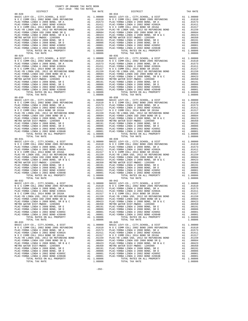COUNTY OF ORANGE TAX RATE BOOK 2017-2018 TRA TAX RATES DISTRICT TAX RATE DISTRICT TAX RATE 80-028 80-034 BASIC LEVY-CO., CITY,SCHOOL, & DIST A1 1.00000 BASIC LEVY-CO., CITY,SCHOOL, & DIST A1 1.00000 N O C COMM COLL 2002 BOND 2005 REFUNDING A1 .01610 N O C COMM COLL 2002 BOND 2005 REFUNDING A1 .01610 PLAC-YORBA LINDA U 2008 BOND, SR A A1 .01573 PLAC-YORBA LINDA U 2008 BOND, SR A A1 .01573 PLAC-YORBA LINDA U 2002 BOND #2002A A1 .01411 PLAC-YORBA LINDA U 2002 BOND #2002A A1 .01411 N O C COMM COLL 2014 BOND SR 2016A A1 .01317 N O C COMM COLL 2014 BOND SR 2016A A1 .01317 PLAC-YB LINDA USD, 2012 GO REFUNDING BOND A1 .01159 PLAC-YB LINDA USD, 2012 GO REFUNDING BOND A1 .01159 PLAC-YORBA LINDA USD 2008 BOND SR Q A1 .00684 PLAC-YORBA LINDA USD 2008 BOND SR Q A1 .00684 PLAC-YORBA LINDA U 2008 BOND, SR B & C A1 .00423 PLAC-YORBA LINDA U 2008 BOND, SR B & C A1 .00423 METRO WATER DIST-MWDOC- 1205999 A1 .00350 METRO WATER DIST-MWDOC- 1205999 A1 .00350 PLAC-YORBA LINDA U 2008 BOND, SR E A1 .00191 PLAC-YORBA LINDA U 2008 BOND, SR E A1 .00191 PLAC-YORBA LINDA U 2008 BOND, SR D A1 .00086 PLAC-YORBA LINDA U 2008 BOND, SR D A1 .00086 PLAC-YORBA LINDA U 2002 BOND #2005C A1 .00001 PLAC-YORBA LINDA U 2002 BOND #2005C A1 .00001 PLAC-YORBA LINDA U 2002 BOND #2004B A1 .00001 PLAC-YORBA LINDA U 2002 BOND #2004B A1 .00001 TOTAL RATES ON ALL PROPERTY A1 1.08806 TOTAL RATES ON ALL PROPERTY A1 1.08806 TOTAL TAX RATE 1.08806 TOTAL TAX RATE 1.08806 80–029<br>BASIC LEVY-CO., CITY, SCHOOL, & DIST A1 1.00000<br>NOC COMM COLL 2002 BOND 2005 REFUNDING A1 .01610 NOC COMM COLL 2002 BOND 2005 REFUNDING A1 .01610<br>PLAC-YORBA LINDA U 2008 BOND, SR A A1 .01573 PLAC-YORBA LINDA U 2008  $\begin{tabular}{l|c|c|c|c|c|c|c} \multicolumn{4}{c}{\textbf{N O C COM COLL} \hbox{ 2014 BOND SR 2016A}} & \multicolumn{4}{c}{\textbf{A1}} & .01159 & \multicolumn{4}{c}{\textbf{N O C COM OCOL 2016 A BOND SR 2016A}} & \multicolumn{4}{c}{\textbf{A1}} & .01159 \\ \hline \multicolumn{4}{c}{\textbf{PLAC-YORBA LINDA U 2008 BOND SR Q}} & \multicolumn{4}{c}{\textbf{A1}} & .01159 & \multicolumn{4}{c}{\text$  80-030 80-038 BASIC LEVY-CO., CITY,SCHOOL, & DIST A1 1.00000 BASIC LEVY-CO., CITY,SCHOOL, & DIST A1 1.00000 N O C COMM COLL 2002 BOND 2005 REFUNDING A1 .01610 N O C COMM COLL 2002 BOND 2005 REFUNDING A1 .01610 PLAC-YORBA LINDA U 2008 BOND, SR A A1 .01573 PLAC-YORBA LINDA U 2008 BOND, SR A A1 .01573 PLAC-YORBA LINDA U 2002 BOND #2002A A1 .01411 PLAC-YORBA LINDA U 2002 BOND #2002A A1 .01411 N O C COMM COLL 2014 BOND SR 2016A A1 .01317 N O C COMM COLL 2014 BOND SR 2016A A1 .01317 PLAC-YB LINDA USD, 2012 GO REFUNDING BOND A1 .01159 PLAC-YB LINDA USD, 2012 GO REFUNDING BOND A1 .01159 PLAC-YORBA LINDA USD 2008 BOND SR Q A1 .00684 PLAC-YORBA LINDA USD 2008 BOND SR Q A1 .00684 PLAC-YORBA LINDA U 2008 BOND, SR B & C A1 .00423 PLAC-YORBA LINDA U 2008 BOND, SR B & C A1 .00423 METRO WATER DIST-MWDOC- 1205999 A1 .00350 METRO WATER DIST-MWDOC- 1205999 A1 .00350 PLAC-YORBA LINDA U 2008 BOND, SR E A1 .00191 PLAC-YORBA LINDA U 2008 BOND, SR E A1 .00191 PLAC-YORBA LINDA U 2008 BOND, SR D A1 .00086 PLAC-YORBA LINDA U 2008 BOND, SR D A1 .00086 PLAC-YORBA LINDA U 2002 BOND #2005C A1 .00001 PLAC-YORBA LINDA U 2002 BOND #2005C A1 .00001 PLAC-YORBA LINDA U 2002 BOND #2004B A1 .00001 PLAC-YORBA LINDA U 2002 BOND #2004B A1 .00001 TOTAL RATES ON ALL PROPERTY A1 1.08806 TOTAL RATES ON ALL PROPERTY A1 1.08806 TOTAL TAX RATE 1.08806 TOTAL TAX RATE 1.08806 80-031 80-039 BASIC LEVY-CO., CITY,SCHOOL, & DIST A1 1.00000 BASIC LEVY-CO., CITY,SCHOOL, & DIST A1 1.00000 N O C COMM COLL 2002 BOND 2005 REFUNDING A1 .01610 N O C COMM COLL 2002 BOND 2005 REFUNDING A1 .01610 PLAC-YORBA LINDA U 2008 BOND, SR A A1 .01573 PLAC-YORBA LINDA U 2008 BOND, SR A A1 .01573  $\begin{tabular}{ l|c|c|c|c|c|c|c|c} \hline \texttt{PLAC-YORBA LINDA U 2002 BOND & \#2002A & \texttt{A1} & .01411 & \texttt{PLAC-YORBA LINDA U 2002 BOND & \#2002A & \texttt{A1} & .01411 \\ \hline \texttt{N O C COM COLA} & 2014& \texttt{BOND S R 2016A} & \texttt{A1} & .01159 & \texttt{N O C COM O COM OCDL 2014 BOND S R 2016A} & \texttt{A1} & .01157 \\ \hline \texttt{$  80-032 80-042 BASIC LEVY-CO., CITY,SCHOOL, & DIST A1 1.00000 BASIC LEVY-CO., CITY,SCHOOL, & DIST A1 1.00000 N O C COMM COLL 2002 BOND 2005 REFUNDING A1 .01610 N O C COMM COLL 2002 BOND 2005 REFUNDING A1 .01610 PLAC-YORBA LINDA U 2008 BOND, SR A A1 .01573 PLAC-YORBA LINDA U 2008 BOND, SR A A1 .01573 PLAC-YORBA LINDA U 2002 BOND #2002A A1 .01411 PLAC-YORBA LINDA U 2002 BOND #2002A A1 .01411 N O C COMM COLL 2014 BOND SR 2016A A1 .01317 N O C COMM COLL 2014 BOND SR 2016A A1 .01317 PLAC-YB LINDA USD, 2012 GO REFUNDING BOND A1 .01159 PLAC-YB LINDA USD, 2012 GO REFUNDING BOND A1 .01159 PLAC-YORBA LINDA USD 2008 BOND SR Q A1 .00684 PLAC-YORBA LINDA USD 2008 BOND SR Q A1 .00684 PLAC-YORBA LINDA U 2008 BOND, SR B & C A1 .00423 PLAC-YORBA LINDA U 2008 BOND, SR B & C A1 .00423 METRO WATER DIST-MWDOC- 1205999 A1 .00350 METRO WATER DIST-MWDOC- 1205999 A1 .00350 PLAC-YORBA LINDA U 2008 BOND, SR E A1 .00191 PLAC-YORBA LINDA U 2008 BOND, SR E A1 .00191 PLAC-YORBA LINDA U 2008 BOND, SR D A1 .00086 PLAC-YORBA LINDA U 2008 BOND, SR D A1 .00086 PLAC-YORBA LINDA U 2002 BOND #2005C A1 .00001 PLAC-YORBA LINDA U 2002 BOND #2005C A1 .00001 PLAC-YORBA LINDA U 2002 BOND #2004B A1 .00001 PLAC-YORBA LINDA U 2002 BOND #2004B A1 .00001 TOTAL RATES ON ALL PROPERTY A1 1.08806 TOTAL RATES ON ALL PROPERTY A1 1.08806 TOTAL TAX RATE 1.08806 TOTAL TAX RATE 1.08806 80–033 (ADSERVING MARINE DESIGN DESCRIPSION AND SASIC LEVY-CO., CITY, SCHOOL, & DIST AL 1.00000<br>NO COMM COLL 2002 BOND 2005 REFUNDING AL .00000 BASIC LEVY-CO., CITY, SCHOOL, & DIST AL .00000<br>PLAC-YORBA LINDA U 2002 BOND #2  $\begin{tabular}{l|c|c|c|c|c|c|c} \multicolumn{4}{c}{\textbf{N} & $\mathcal{O}$ & $\mathcal{O}$ \\ \multicolumn{4}{c}{\textbf{PLAC}-YORBA LINDA USD} & $\mathcal{O}$ & $\mathcal{O}$ \\ \multicolumn{4}{c}{\textbf{PLAC}-YORBA LINDA USD} & $\mathcal{O}$ & $\mathcal{O}$ \\ \multicolumn{4}{c}{\textbf{PLAC}-YORBA LINDA USD} & $\mathcal{O}$ & $\mathcal{O}$ \\ \multicolumn{4}{c}{\textbf{PLAC}-YORBA LINDA USD} & $\mathcal{O}$ & $\mathcal{O}$ \\ \multicolumn$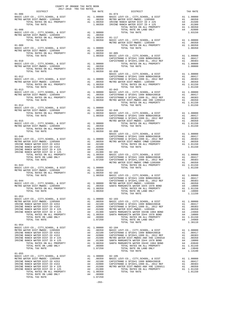|                |  |         | $\begin{tabular}{c c c c c c} \hline \texttt{TOTAL RATES ON ALL PROBERTY} & \texttt{A1 1.00350} & 82-102 & \\ \hline \texttt{TOTAL TAX RATE} & 1.00350 & 82-102 & \\ \hline \texttt{ACTA} & \texttt{TAX RATE} & 1.00350 & 82-102 & \\ \texttt{BAIC LEVY-CO.}, & \texttt{CITY}, \texttt{SCHOOL}, & \texttt{EDIST} & \texttt{A1 1.00000} \\ \texttt{B1-044} & \texttt{CAPISTRANO U SFIDH1 1999 BOND$ |  |
|----------------|--|---------|----------------------------------------------------------------------------------------------------------------------------------------------------------------------------------------------------------------------------------------------------------------------------------------------------------------------------------------------------------------------------------------------------|--|
|                |  |         |                                                                                                                                                                                                                                                                                                                                                                                                    |  |
|                |  |         |                                                                                                                                                                                                                                                                                                                                                                                                    |  |
|                |  |         |                                                                                                                                                                                                                                                                                                                                                                                                    |  |
| $81 - 053$     |  |         |                                                                                                                                                                                                                                                                                                                                                                                                    |  |
|                |  |         |                                                                                                                                                                                                                                                                                                                                                                                                    |  |
|                |  |         |                                                                                                                                                                                                                                                                                                                                                                                                    |  |
|                |  |         |                                                                                                                                                                                                                                                                                                                                                                                                    |  |
|                |  |         |                                                                                                                                                                                                                                                                                                                                                                                                    |  |
|                |  |         |                                                                                                                                                                                                                                                                                                                                                                                                    |  |
|                |  |         |                                                                                                                                                                                                                                                                                                                                                                                                    |  |
|                |  |         |                                                                                                                                                                                                                                                                                                                                                                                                    |  |
|                |  |         |                                                                                                                                                                                                                                                                                                                                                                                                    |  |
| $81 - 054$     |  |         |                                                                                                                                                                                                                                                                                                                                                                                                    |  |
|                |  |         |                                                                                                                                                                                                                                                                                                                                                                                                    |  |
|                |  |         |                                                                                                                                                                                                                                                                                                                                                                                                    |  |
|                |  |         |                                                                                                                                                                                                                                                                                                                                                                                                    |  |
|                |  |         |                                                                                                                                                                                                                                                                                                                                                                                                    |  |
|                |  |         |                                                                                                                                                                                                                                                                                                                                                                                                    |  |
|                |  |         |                                                                                                                                                                                                                                                                                                                                                                                                    |  |
|                |  |         |                                                                                                                                                                                                                                                                                                                                                                                                    |  |
|                |  |         |                                                                                                                                                                                                                                                                                                                                                                                                    |  |
| $81 - 055$     |  |         |                                                                                                                                                                                                                                                                                                                                                                                                    |  |
|                |  |         |                                                                                                                                                                                                                                                                                                                                                                                                    |  |
|                |  |         |                                                                                                                                                                                                                                                                                                                                                                                                    |  |
|                |  |         |                                                                                                                                                                                                                                                                                                                                                                                                    |  |
|                |  |         |                                                                                                                                                                                                                                                                                                                                                                                                    |  |
|                |  |         |                                                                                                                                                                                                                                                                                                                                                                                                    |  |
| TOTAL TAX RATE |  | 1.07250 |                                                                                                                                                                                                                                                                                                                                                                                                    |  |

COUNTY OF ORANGE TAX RATE BOOK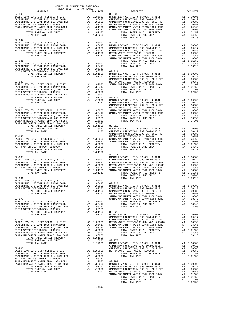| COUNTY OF ORANGE TAX RATE BOOK<br>2017-2018 TRA TAX RATES | TAX RATE<br>$82 - 208$ | DISTRICT | TAX RATE                                                                                                                                                                                                                                                                                                                                                                                                                                                                                                                                                    |
|-----------------------------------------------------------|------------------------|----------|-------------------------------------------------------------------------------------------------------------------------------------------------------------------------------------------------------------------------------------------------------------------------------------------------------------------------------------------------------------------------------------------------------------------------------------------------------------------------------------------------------------------------------------------------------------|
|                                                           |                        |          |                                                                                                                                                                                                                                                                                                                                                                                                                                                                                                                                                             |
|                                                           |                        |          |                                                                                                                                                                                                                                                                                                                                                                                                                                                                                                                                                             |
|                                                           |                        |          |                                                                                                                                                                                                                                                                                                                                                                                                                                                                                                                                                             |
|                                                           |                        |          |                                                                                                                                                                                                                                                                                                                                                                                                                                                                                                                                                             |
|                                                           |                        |          |                                                                                                                                                                                                                                                                                                                                                                                                                                                                                                                                                             |
|                                                           |                        |          |                                                                                                                                                                                                                                                                                                                                                                                                                                                                                                                                                             |
|                                                           |                        |          |                                                                                                                                                                                                                                                                                                                                                                                                                                                                                                                                                             |
|                                                           |                        |          |                                                                                                                                                                                                                                                                                                                                                                                                                                                                                                                                                             |
|                                                           |                        |          |                                                                                                                                                                                                                                                                                                                                                                                                                                                                                                                                                             |
|                                                           |                        |          |                                                                                                                                                                                                                                                                                                                                                                                                                                                                                                                                                             |
|                                                           |                        |          |                                                                                                                                                                                                                                                                                                                                                                                                                                                                                                                                                             |
|                                                           |                        |          |                                                                                                                                                                                                                                                                                                                                                                                                                                                                                                                                                             |
|                                                           |                        |          |                                                                                                                                                                                                                                                                                                                                                                                                                                                                                                                                                             |
|                                                           |                        |          |                                                                                                                                                                                                                                                                                                                                                                                                                                                                                                                                                             |
|                                                           |                        |          |                                                                                                                                                                                                                                                                                                                                                                                                                                                                                                                                                             |
|                                                           |                        |          |                                                                                                                                                                                                                                                                                                                                                                                                                                                                                                                                                             |
|                                                           |                        |          |                                                                                                                                                                                                                                                                                                                                                                                                                                                                                                                                                             |
|                                                           |                        |          |                                                                                                                                                                                                                                                                                                                                                                                                                                                                                                                                                             |
|                                                           |                        |          |                                                                                                                                                                                                                                                                                                                                                                                                                                                                                                                                                             |
|                                                           |                        |          |                                                                                                                                                                                                                                                                                                                                                                                                                                                                                                                                                             |
|                                                           |                        |          |                                                                                                                                                                                                                                                                                                                                                                                                                                                                                                                                                             |
|                                                           |                        |          |                                                                                                                                                                                                                                                                                                                                                                                                                                                                                                                                                             |
|                                                           |                        |          |                                                                                                                                                                                                                                                                                                                                                                                                                                                                                                                                                             |
|                                                           |                        |          |                                                                                                                                                                                                                                                                                                                                                                                                                                                                                                                                                             |
|                                                           |                        |          |                                                                                                                                                                                                                                                                                                                                                                                                                                                                                                                                                             |
|                                                           |                        |          |                                                                                                                                                                                                                                                                                                                                                                                                                                                                                                                                                             |
|                                                           |                        |          |                                                                                                                                                                                                                                                                                                                                                                                                                                                                                                                                                             |
|                                                           |                        |          |                                                                                                                                                                                                                                                                                                                                                                                                                                                                                                                                                             |
|                                                           |                        |          |                                                                                                                                                                                                                                                                                                                                                                                                                                                                                                                                                             |
|                                                           |                        |          |                                                                                                                                                                                                                                                                                                                                                                                                                                                                                                                                                             |
|                                                           |                        |          |                                                                                                                                                                                                                                                                                                                                                                                                                                                                                                                                                             |
|                                                           |                        |          |                                                                                                                                                                                                                                                                                                                                                                                                                                                                                                                                                             |
|                                                           |                        |          |                                                                                                                                                                                                                                                                                                                                                                                                                                                                                                                                                             |
|                                                           |                        |          |                                                                                                                                                                                                                                                                                                                                                                                                                                                                                                                                                             |
|                                                           |                        |          |                                                                                                                                                                                                                                                                                                                                                                                                                                                                                                                                                             |
|                                                           |                        |          |                                                                                                                                                                                                                                                                                                                                                                                                                                                                                                                                                             |
|                                                           |                        |          |                                                                                                                                                                                                                                                                                                                                                                                                                                                                                                                                                             |
|                                                           |                        |          |                                                                                                                                                                                                                                                                                                                                                                                                                                                                                                                                                             |
|                                                           |                        |          |                                                                                                                                                                                                                                                                                                                                                                                                                                                                                                                                                             |
|                                                           |                        |          |                                                                                                                                                                                                                                                                                                                                                                                                                                                                                                                                                             |
|                                                           |                        |          |                                                                                                                                                                                                                                                                                                                                                                                                                                                                                                                                                             |
|                                                           |                        |          |                                                                                                                                                                                                                                                                                                                                                                                                                                                                                                                                                             |
|                                                           |                        |          |                                                                                                                                                                                                                                                                                                                                                                                                                                                                                                                                                             |
|                                                           |                        |          |                                                                                                                                                                                                                                                                                                                                                                                                                                                                                                                                                             |
|                                                           |                        |          |                                                                                                                                                                                                                                                                                                                                                                                                                                                                                                                                                             |
|                                                           |                        |          |                                                                                                                                                                                                                                                                                                                                                                                                                                                                                                                                                             |
|                                                           |                        |          |                                                                                                                                                                                                                                                                                                                                                                                                                                                                                                                                                             |
|                                                           |                        |          |                                                                                                                                                                                                                                                                                                                                                                                                                                                                                                                                                             |
|                                                           |                        |          |                                                                                                                                                                                                                                                                                                                                                                                                                                                                                                                                                             |
|                                                           |                        |          |                                                                                                                                                                                                                                                                                                                                                                                                                                                                                                                                                             |
|                                                           |                        |          |                                                                                                                                                                                                                                                                                                                                                                                                                                                                                                                                                             |
|                                                           |                        |          |                                                                                                                                                                                                                                                                                                                                                                                                                                                                                                                                                             |
|                                                           |                        |          |                                                                                                                                                                                                                                                                                                                                                                                                                                                                                                                                                             |
|                                                           |                        |          |                                                                                                                                                                                                                                                                                                                                                                                                                                                                                                                                                             |
|                                                           |                        |          |                                                                                                                                                                                                                                                                                                                                                                                                                                                                                                                                                             |
|                                                           |                        |          |                                                                                                                                                                                                                                                                                                                                                                                                                                                                                                                                                             |
|                                                           |                        |          |                                                                                                                                                                                                                                                                                                                                                                                                                                                                                                                                                             |
|                                                           |                        |          |                                                                                                                                                                                                                                                                                                                                                                                                                                                                                                                                                             |
|                                                           |                        |          |                                                                                                                                                                                                                                                                                                                                                                                                                                                                                                                                                             |
|                                                           |                        |          |                                                                                                                                                                                                                                                                                                                                                                                                                                                                                                                                                             |
|                                                           |                        |          |                                                                                                                                                                                                                                                                                                                                                                                                                                                                                                                                                             |
|                                                           |                        |          |                                                                                                                                                                                                                                                                                                                                                                                                                                                                                                                                                             |
|                                                           |                        |          |                                                                                                                                                                                                                                                                                                                                                                                                                                                                                                                                                             |
|                                                           |                        |          |                                                                                                                                                                                                                                                                                                                                                                                                                                                                                                                                                             |
|                                                           |                        |          |                                                                                                                                                                                                                                                                                                                                                                                                                                                                                                                                                             |
|                                                           |                        |          |                                                                                                                                                                                                                                                                                                                                                                                                                                                                                                                                                             |
|                                                           |                        |          |                                                                                                                                                                                                                                                                                                                                                                                                                                                                                                                                                             |
|                                                           |                        |          |                                                                                                                                                                                                                                                                                                                                                                                                                                                                                                                                                             |
|                                                           |                        |          |                                                                                                                                                                                                                                                                                                                                                                                                                                                                                                                                                             |
|                                                           |                        |          |                                                                                                                                                                                                                                                                                                                                                                                                                                                                                                                                                             |
|                                                           |                        |          |                                                                                                                                                                                                                                                                                                                                                                                                                                                                                                                                                             |
|                                                           |                        |          |                                                                                                                                                                                                                                                                                                                                                                                                                                                                                                                                                             |
|                                                           |                        |          |                                                                                                                                                                                                                                                                                                                                                                                                                                                                                                                                                             |
|                                                           |                        |          |                                                                                                                                                                                                                                                                                                                                                                                                                                                                                                                                                             |
|                                                           |                        |          |                                                                                                                                                                                                                                                                                                                                                                                                                                                                                                                                                             |
|                                                           |                        |          |                                                                                                                                                                                                                                                                                                                                                                                                                                                                                                                                                             |
|                                                           |                        |          |                                                                                                                                                                                                                                                                                                                                                                                                                                                                                                                                                             |
|                                                           |                        |          |                                                                                                                                                                                                                                                                                                                                                                                                                                                                                                                                                             |
|                                                           |                        |          |                                                                                                                                                                                                                                                                                                                                                                                                                                                                                                                                                             |
|                                                           |                        |          | 19.1 1797 - 2004 - 2004 - 2004 - 2004 - 2004 - 2004 - 2004 - 2004 - 2004 - 2004 - 2004 - 2004 - 2004 - 2004 - 2004 - 2004 - 2004 - 2004 - 2004 - 2004 - 2004 - 2004 - 2004 - 2004 - 2004 - 2004 - 2004 - 2004 - 2004 - 2004 -<br>$\begin{tabular}{c c c c} \multicolumn{4}{c}{\textbf{32-16}} & 1.01150 & 82-217 & \multicolumn{4}{c}{\textbf{34-16}} & 1.01150 & 82-217 & \multicolumn{4}{c}{\textbf{34-16}} & 82-217 & \multicolumn{4}{c}{\textbf{34-16}} & 1.00000 & 8100000 & 8100000 & 8100000 & 8100000 & 8100000 & 8100000 & 8100000 & 8100000 & 81$ |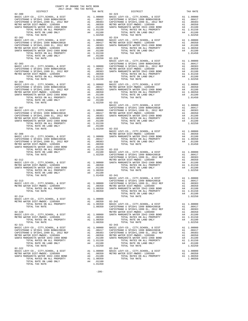| COUNTY OF ORANGE TAX RATE BOOK<br>2017-2018 TRA TAX RATES                                                                                                               |                                                                                                        |                       |
|-------------------------------------------------------------------------------------------------------------------------------------------------------------------------|--------------------------------------------------------------------------------------------------------|-----------------------|
| DISTRICT<br>$82 - 300$                                                                                                                                                  | TAX RATE                                                                                               | $82 - 323$            |
|                                                                                                                                                                         |                                                                                                        |                       |
|                                                                                                                                                                         |                                                                                                        |                       |
|                                                                                                                                                                         |                                                                                                        |                       |
|                                                                                                                                                                         |                                                                                                        |                       |
|                                                                                                                                                                         |                                                                                                        |                       |
|                                                                                                                                                                         |                                                                                                        |                       |
| TOTAL TAX RATE<br>$82 - 302$                                                                                                                                            | 1.02250                                                                                                | $82 - 324$            |
|                                                                                                                                                                         |                                                                                                        |                       |
|                                                                                                                                                                         |                                                                                                        |                       |
|                                                                                                                                                                         |                                                                                                        |                       |
|                                                                                                                                                                         |                                                                                                        |                       |
|                                                                                                                                                                         |                                                                                                        |                       |
| TOTAL TAX RATE                                                                                                                                                          | 1.02250 82-329                                                                                         |                       |
|                                                                                                                                                                         |                                                                                                        | BASIC L               |
| $82 - 303$                                                                                                                                                              |                                                                                                        | CAPISTR               |
|                                                                                                                                                                         |                                                                                                        |                       |
|                                                                                                                                                                         |                                                                                                        |                       |
|                                                                                                                                                                         |                                                                                                        |                       |
|                                                                                                                                                                         |                                                                                                        |                       |
| $82 - 304$                                                                                                                                                              |                                                                                                        | $82 - 330$            |
|                                                                                                                                                                         |                                                                                                        |                       |
| 82-304<br>BASIC LEVY-CO., CITY, SCHOOL, & DIST<br>CAPISTRANO U SFID#1 1999 BOND#2001B<br>CAPISTRANO U SFID#1,1999 EL, 2012 REF<br>LAPISTRANO U SFID#1,1999 EL, 2012 REF |                                                                                                        |                       |
|                                                                                                                                                                         |                                                                                                        |                       |
|                                                                                                                                                                         |                                                                                                        |                       |
|                                                                                                                                                                         |                                                                                                        |                       |
| TOTAL TAX RATE                                                                                                                                                          | 1.02250 82-331                                                                                         |                       |
|                                                                                                                                                                         |                                                                                                        | BASIC L               |
| 82-307                                                                                                                                                                  |                                                                                                        | CAPISTR               |
|                                                                                                                                                                         |                                                                                                        |                       |
|                                                                                                                                                                         |                                                                                                        |                       |
|                                                                                                                                                                         |                                                                                                        |                       |
|                                                                                                                                                                         |                                                                                                        |                       |
|                                                                                                                                                                         |                                                                                                        |                       |
| TOTAL TAX RATE                                                                                                                                                          | 1.02250                                                                                                | 82-332                |
|                                                                                                                                                                         |                                                                                                        | BASIC L               |
| $82 - 308$                                                                                                                                                              |                                                                                                        | METRO W               |
|                                                                                                                                                                         |                                                                                                        |                       |
|                                                                                                                                                                         |                                                                                                        |                       |
|                                                                                                                                                                         |                                                                                                        |                       |
|                                                                                                                                                                         |                                                                                                        |                       |
|                                                                                                                                                                         |                                                                                                        |                       |
|                                                                                                                                                                         |                                                                                                        |                       |
| $82 - 312$                                                                                                                                                              |                                                                                                        | CAPISTR               |
| BASIC LEVY-CO., CITY, SCHOOL, & DIST                                                                                                                                    | METRO W<br>A1 1.00000 SANTA M                                                                          |                       |
|                                                                                                                                                                         | A1 .00350                                                                                              |                       |
|                                                                                                                                                                         |                                                                                                        |                       |
|                                                                                                                                                                         |                                                                                                        |                       |
| TOTAL TAX RATE                                                                                                                                                          | 1.01450 82-341                                                                                         |                       |
|                                                                                                                                                                         |                                                                                                        | BASIC L<br>CAPISTR    |
| 82-313                                                                                                                                                                  |                                                                                                        |                       |
|                                                                                                                                                                         |                                                                                                        |                       |
| TOTAL RATES ON ALL PROPERTY                                                                                                                                             | A1 1.00350 SANTA M                                                                                     |                       |
| TOTAL TAX RATE                                                                                                                                                          | 1.00350                                                                                                |                       |
| $82 - 314$                                                                                                                                                              |                                                                                                        |                       |
| BASIC LEVY-CO., CITY, SCHOOL, & DIST                                                                                                                                    | A1 1.00000                                                                                             |                       |
| METRO WATER DIST-MWDOC- 1205999<br>TOTAL RATES ON ALL PROPERTY                                                                                                          | A1 .00350<br>A1 1,00350                                                                                | $82 - 342$<br>BASIC L |
| TOTAL TAX RATE                                                                                                                                                          | 1.00350                                                                                                | CAPISTR               |
|                                                                                                                                                                         |                                                                                                        | CAPISTR               |
| $82 - 320$                                                                                                                                                              |                                                                                                        | METRO W               |
| BASIC LEVY-CO., CITY, SCHOOL, & DIST<br>METRO WATER DIST-MWDOC- 1205999                                                                                                 | A1 1.00000<br>A1 .00350                                                                                | SANTA M               |
| TOTAL RATES ON ALL PROPERTY                                                                                                                                             | A1 1.00350                                                                                             |                       |
| TOTAL TAX RATE                                                                                                                                                          | 1,00350                                                                                                |                       |
| $82 - 321$                                                                                                                                                              |                                                                                                        | $82 - 343$            |
| BASIC LEVY-CO., CITY, SCHOOL, & DIST<br>CAPISTRANO U SFID#1 1999 BOND#2001B                                                                                             |                                                                                                        |                       |
| CAPISTRANO U SFID#1,1999 EL, 2012 REF                                                                                                                                   |                                                                                                        |                       |
| METRO WATER DIST-MWDOC- 1205999                                                                                                                                         | A1 1.00000 BASIC L<br>A1 .00417 CAPISTR<br>A1 .00383 CAPISTR<br>A1 .00350 METRO W<br>A4 .01100 SANTA M |                       |
| SANTA MARGARITA WATER ID#2-1968 BOND<br>TOTAL RATES ON ALL PROPERTY                                                                                                     |                                                                                                        |                       |
| TOTAL RATE ON LAND ONLY                                                                                                                                                 | A1 1.01150<br>A4 .01100                                                                                |                       |
| TOTAL TAX RATE                                                                                                                                                          | 1.02250                                                                                                |                       |
| 82-322                                                                                                                                                                  |                                                                                                        | $82 - 344$            |
| BASIC LEVY-CO., CITY, SCHOOL, & DIST<br>METRO WATER DIST-MWDOC- 1205999                                                                                                 | A1 1.00000 BASIC L<br>A1 .00350 METROW                                                                 |                       |
| SANTA MARGARITA WATER ID#2-1968 BOND                                                                                                                                    | A4 .01100                                                                                              |                       |
| TOTAL RATES ON ALL PROPERTY                                                                                                                                             | A1 1.00350                                                                                             |                       |
| TOTAL RATE ON LAND ONLY<br>TOTAL TAX RATE                                                                                                                               | A4 .01100<br>1.01450                                                                                   |                       |
|                                                                                                                                                                         |                                                                                                        |                       |

| 2017-2018 TRA TAX RATES |          |                                                                                                                                                                                                                                                                                                                                                                                                                        |          |
|-------------------------|----------|------------------------------------------------------------------------------------------------------------------------------------------------------------------------------------------------------------------------------------------------------------------------------------------------------------------------------------------------------------------------------------------------------------------------|----------|
| DISTRICT<br>$82 - 300$  | TAX RATE | $\begin{minipage}{.4\linewidth} \begin{tabular}{l} \bf{RATE} \\ \bf{01STRICT} \end{tabular} \end{minipage}$                                                                                                                                                                                                                                                                                                            | TAX RATE |
|                         |          |                                                                                                                                                                                                                                                                                                                                                                                                                        |          |
|                         |          |                                                                                                                                                                                                                                                                                                                                                                                                                        |          |
|                         |          |                                                                                                                                                                                                                                                                                                                                                                                                                        |          |
|                         |          |                                                                                                                                                                                                                                                                                                                                                                                                                        |          |
|                         |          |                                                                                                                                                                                                                                                                                                                                                                                                                        |          |
|                         |          |                                                                                                                                                                                                                                                                                                                                                                                                                        |          |
|                         |          |                                                                                                                                                                                                                                                                                                                                                                                                                        |          |
|                         |          |                                                                                                                                                                                                                                                                                                                                                                                                                        |          |
|                         |          |                                                                                                                                                                                                                                                                                                                                                                                                                        |          |
|                         |          |                                                                                                                                                                                                                                                                                                                                                                                                                        |          |
|                         |          |                                                                                                                                                                                                                                                                                                                                                                                                                        |          |
|                         |          |                                                                                                                                                                                                                                                                                                                                                                                                                        |          |
|                         |          |                                                                                                                                                                                                                                                                                                                                                                                                                        |          |
|                         |          |                                                                                                                                                                                                                                                                                                                                                                                                                        |          |
|                         |          |                                                                                                                                                                                                                                                                                                                                                                                                                        |          |
|                         |          |                                                                                                                                                                                                                                                                                                                                                                                                                        |          |
|                         |          |                                                                                                                                                                                                                                                                                                                                                                                                                        |          |
|                         |          |                                                                                                                                                                                                                                                                                                                                                                                                                        |          |
|                         |          |                                                                                                                                                                                                                                                                                                                                                                                                                        |          |
|                         |          |                                                                                                                                                                                                                                                                                                                                                                                                                        |          |
|                         |          |                                                                                                                                                                                                                                                                                                                                                                                                                        |          |
|                         |          |                                                                                                                                                                                                                                                                                                                                                                                                                        |          |
|                         |          |                                                                                                                                                                                                                                                                                                                                                                                                                        |          |
|                         |          |                                                                                                                                                                                                                                                                                                                                                                                                                        |          |
|                         |          |                                                                                                                                                                                                                                                                                                                                                                                                                        |          |
|                         |          |                                                                                                                                                                                                                                                                                                                                                                                                                        |          |
|                         |          |                                                                                                                                                                                                                                                                                                                                                                                                                        |          |
|                         |          |                                                                                                                                                                                                                                                                                                                                                                                                                        |          |
|                         |          |                                                                                                                                                                                                                                                                                                                                                                                                                        |          |
|                         |          |                                                                                                                                                                                                                                                                                                                                                                                                                        |          |
|                         |          |                                                                                                                                                                                                                                                                                                                                                                                                                        |          |
|                         |          |                                                                                                                                                                                                                                                                                                                                                                                                                        |          |
|                         |          |                                                                                                                                                                                                                                                                                                                                                                                                                        |          |
|                         |          |                                                                                                                                                                                                                                                                                                                                                                                                                        |          |
|                         |          |                                                                                                                                                                                                                                                                                                                                                                                                                        |          |
|                         |          |                                                                                                                                                                                                                                                                                                                                                                                                                        |          |
|                         |          |                                                                                                                                                                                                                                                                                                                                                                                                                        |          |
|                         |          |                                                                                                                                                                                                                                                                                                                                                                                                                        |          |
|                         |          |                                                                                                                                                                                                                                                                                                                                                                                                                        |          |
|                         |          |                                                                                                                                                                                                                                                                                                                                                                                                                        |          |
|                         |          |                                                                                                                                                                                                                                                                                                                                                                                                                        |          |
|                         |          |                                                                                                                                                                                                                                                                                                                                                                                                                        |          |
|                         |          |                                                                                                                                                                                                                                                                                                                                                                                                                        |          |
|                         |          |                                                                                                                                                                                                                                                                                                                                                                                                                        |          |
|                         |          |                                                                                                                                                                                                                                                                                                                                                                                                                        |          |
|                         |          |                                                                                                                                                                                                                                                                                                                                                                                                                        |          |
|                         |          | $\begin{tabular}{cccc} {\bf 10714L \,\, TAYR \,\, RTTE & 1.02250 & 82-332 \\ 1.02020 & 82-332 \\ 1.00000 \\ \begin{tabular}{cccc} \bf 24-308 \\ \bf 2501 \\ \bf 2612 \\ \bf 2711 \\ \bf 282-312 \\ \bf 2712 \\ \bf 2831 \\ \bf 2941 \\ \bf 2051 \\ \bf 2161 \\ \bf 2272 \\ \bf 2381 \\ \bf 2491 \\ \bf 2501 \\ \bf 2622 \\ \bf 2701 \\ \bf 2701$                                                                       |          |
|                         |          |                                                                                                                                                                                                                                                                                                                                                                                                                        |          |
|                         |          |                                                                                                                                                                                                                                                                                                                                                                                                                        |          |
|                         |          | $\begin{tabular}{c c c c c} \textbf{52-313} & \textbf{52-314} & \textbf{1.00450} & \textbf{22-314} & \textbf{22-314} & \textbf{22-314} & \textbf{22-314} & \textbf{22-314} & \textbf{22-314} & \textbf{22-314} & \textbf{22-314} & \textbf{22-314} & \textbf{22-314} & \textbf{22-314} & \textbf{22-314} & \textbf{22-314} & \textbf{22-314}$                                                                          |          |
|                         |          |                                                                                                                                                                                                                                                                                                                                                                                                                        |          |
|                         |          |                                                                                                                                                                                                                                                                                                                                                                                                                        |          |
|                         |          |                                                                                                                                                                                                                                                                                                                                                                                                                        |          |
|                         |          |                                                                                                                                                                                                                                                                                                                                                                                                                        |          |
|                         |          |                                                                                                                                                                                                                                                                                                                                                                                                                        |          |
|                         |          |                                                                                                                                                                                                                                                                                                                                                                                                                        |          |
|                         |          | $\begin{tabular}{l c c c c c} \multicolumn{4}{c}{\textbf{0.351}} & \multicolumn{4}{c}{\textbf{0.352}} & \multicolumn{4}{c}{\textbf{0.354}} & \multicolumn{4}{c}{\textbf{0.355}} & \multicolumn{4}{c}{\textbf{0.356}} & \multicolumn{4}{c}{\textbf{0.358}} & \multicolumn{4}{c}{\textbf{0.359}} & \multicolumn{4}{c}{\textbf{0.359}} & \multicolumn{4}{c}{\textbf{0.350}} & \multicolumn{4}{c}{\textbf{0.350}} & \mult$ |          |
|                         |          |                                                                                                                                                                                                                                                                                                                                                                                                                        |          |
|                         |          |                                                                                                                                                                                                                                                                                                                                                                                                                        |          |
|                         |          |                                                                                                                                                                                                                                                                                                                                                                                                                        |          |
|                         |          |                                                                                                                                                                                                                                                                                                                                                                                                                        |          |
|                         |          |                                                                                                                                                                                                                                                                                                                                                                                                                        |          |
|                         |          |                                                                                                                                                                                                                                                                                                                                                                                                                        |          |
| $82 - 321$              |          | $82 - 343$                                                                                                                                                                                                                                                                                                                                                                                                             |          |
|                         |          |                                                                                                                                                                                                                                                                                                                                                                                                                        |          |
|                         |          |                                                                                                                                                                                                                                                                                                                                                                                                                        |          |
|                         |          |                                                                                                                                                                                                                                                                                                                                                                                                                        |          |
|                         |          |                                                                                                                                                                                                                                                                                                                                                                                                                        |          |
|                         |          |                                                                                                                                                                                                                                                                                                                                                                                                                        |          |
|                         |          |                                                                                                                                                                                                                                                                                                                                                                                                                        |          |
|                         |          |                                                                                                                                                                                                                                                                                                                                                                                                                        |          |
|                         |          |                                                                                                                                                                                                                                                                                                                                                                                                                        |          |
|                         |          |                                                                                                                                                                                                                                                                                                                                                                                                                        |          |
|                         |          |                                                                                                                                                                                                                                                                                                                                                                                                                        |          |
|                         |          |                                                                                                                                                                                                                                                                                                                                                                                                                        |          |
|                         |          |                                                                                                                                                                                                                                                                                                                                                                                                                        |          |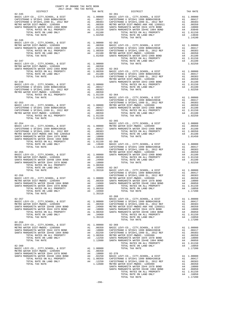| $82 - 345$                                                                                                                                                                                                                                                                                                                                                           | $82 - 361$ | TRA TAX RATE<br>TAX RATE DISTRICT | TAX RATE |
|----------------------------------------------------------------------------------------------------------------------------------------------------------------------------------------------------------------------------------------------------------------------------------------------------------------------------------------------------------------------|------------|-----------------------------------|----------|
|                                                                                                                                                                                                                                                                                                                                                                      |            |                                   |          |
|                                                                                                                                                                                                                                                                                                                                                                      |            |                                   |          |
|                                                                                                                                                                                                                                                                                                                                                                      |            |                                   |          |
|                                                                                                                                                                                                                                                                                                                                                                      |            |                                   |          |
|                                                                                                                                                                                                                                                                                                                                                                      |            |                                   |          |
|                                                                                                                                                                                                                                                                                                                                                                      |            |                                   |          |
|                                                                                                                                                                                                                                                                                                                                                                      |            |                                   |          |
|                                                                                                                                                                                                                                                                                                                                                                      |            |                                   |          |
| $82 - 346$                                                                                                                                                                                                                                                                                                                                                           |            |                                   |          |
|                                                                                                                                                                                                                                                                                                                                                                      |            |                                   |          |
|                                                                                                                                                                                                                                                                                                                                                                      |            |                                   |          |
|                                                                                                                                                                                                                                                                                                                                                                      |            |                                   |          |
|                                                                                                                                                                                                                                                                                                                                                                      |            |                                   |          |
|                                                                                                                                                                                                                                                                                                                                                                      |            |                                   |          |
|                                                                                                                                                                                                                                                                                                                                                                      |            |                                   |          |
|                                                                                                                                                                                                                                                                                                                                                                      |            |                                   |          |
|                                                                                                                                                                                                                                                                                                                                                                      |            |                                   |          |
|                                                                                                                                                                                                                                                                                                                                                                      |            |                                   |          |
|                                                                                                                                                                                                                                                                                                                                                                      |            |                                   |          |
|                                                                                                                                                                                                                                                                                                                                                                      |            |                                   |          |
|                                                                                                                                                                                                                                                                                                                                                                      |            |                                   |          |
|                                                                                                                                                                                                                                                                                                                                                                      |            |                                   |          |
|                                                                                                                                                                                                                                                                                                                                                                      |            |                                   |          |
|                                                                                                                                                                                                                                                                                                                                                                      |            |                                   |          |
|                                                                                                                                                                                                                                                                                                                                                                      |            |                                   |          |
|                                                                                                                                                                                                                                                                                                                                                                      |            |                                   |          |
|                                                                                                                                                                                                                                                                                                                                                                      |            |                                   |          |
|                                                                                                                                                                                                                                                                                                                                                                      |            |                                   |          |
|                                                                                                                                                                                                                                                                                                                                                                      |            |                                   |          |
|                                                                                                                                                                                                                                                                                                                                                                      |            |                                   |          |
|                                                                                                                                                                                                                                                                                                                                                                      |            |                                   |          |
|                                                                                                                                                                                                                                                                                                                                                                      |            |                                   |          |
|                                                                                                                                                                                                                                                                                                                                                                      |            |                                   |          |
|                                                                                                                                                                                                                                                                                                                                                                      |            |                                   |          |
|                                                                                                                                                                                                                                                                                                                                                                      |            |                                   |          |
|                                                                                                                                                                                                                                                                                                                                                                      |            |                                   |          |
|                                                                                                                                                                                                                                                                                                                                                                      |            |                                   |          |
|                                                                                                                                                                                                                                                                                                                                                                      |            |                                   |          |
|                                                                                                                                                                                                                                                                                                                                                                      |            |                                   |          |
|                                                                                                                                                                                                                                                                                                                                                                      |            |                                   |          |
|                                                                                                                                                                                                                                                                                                                                                                      |            |                                   |          |
|                                                                                                                                                                                                                                                                                                                                                                      |            |                                   |          |
|                                                                                                                                                                                                                                                                                                                                                                      |            |                                   |          |
|                                                                                                                                                                                                                                                                                                                                                                      |            |                                   |          |
|                                                                                                                                                                                                                                                                                                                                                                      |            |                                   |          |
|                                                                                                                                                                                                                                                                                                                                                                      |            |                                   |          |
|                                                                                                                                                                                                                                                                                                                                                                      |            |                                   |          |
|                                                                                                                                                                                                                                                                                                                                                                      |            |                                   |          |
|                                                                                                                                                                                                                                                                                                                                                                      |            |                                   |          |
|                                                                                                                                                                                                                                                                                                                                                                      |            |                                   |          |
|                                                                                                                                                                                                                                                                                                                                                                      |            |                                   |          |
|                                                                                                                                                                                                                                                                                                                                                                      |            |                                   |          |
|                                                                                                                                                                                                                                                                                                                                                                      |            |                                   |          |
|                                                                                                                                                                                                                                                                                                                                                                      |            |                                   |          |
|                                                                                                                                                                                                                                                                                                                                                                      |            |                                   |          |
|                                                                                                                                                                                                                                                                                                                                                                      |            | $82 - 368$                        |          |
|                                                                                                                                                                                                                                                                                                                                                                      |            |                                   |          |
|                                                                                                                                                                                                                                                                                                                                                                      |            |                                   |          |
|                                                                                                                                                                                                                                                                                                                                                                      |            |                                   |          |
|                                                                                                                                                                                                                                                                                                                                                                      |            |                                   |          |
|                                                                                                                                                                                                                                                                                                                                                                      |            |                                   |          |
|                                                                                                                                                                                                                                                                                                                                                                      |            |                                   |          |
|                                                                                                                                                                                                                                                                                                                                                                      |            |                                   |          |
|                                                                                                                                                                                                                                                                                                                                                                      |            |                                   |          |
|                                                                                                                                                                                                                                                                                                                                                                      |            |                                   |          |
|                                                                                                                                                                                                                                                                                                                                                                      |            |                                   |          |
|                                                                                                                                                                                                                                                                                                                                                                      |            |                                   |          |
|                                                                                                                                                                                                                                                                                                                                                                      |            |                                   |          |
|                                                                                                                                                                                                                                                                                                                                                                      |            |                                   |          |
|                                                                                                                                                                                                                                                                                                                                                                      |            |                                   |          |
|                                                                                                                                                                                                                                                                                                                                                                      |            |                                   |          |
|                                                                                                                                                                                                                                                                                                                                                                      |            |                                   |          |
|                                                                                                                                                                                                                                                                                                                                                                      |            |                                   |          |
|                                                                                                                                                                                                                                                                                                                                                                      |            |                                   |          |
|                                                                                                                                                                                                                                                                                                                                                                      |            |                                   |          |
|                                                                                                                                                                                                                                                                                                                                                                      |            |                                   |          |
|                                                                                                                                                                                                                                                                                                                                                                      |            |                                   |          |
|                                                                                                                                                                                                                                                                                                                                                                      |            |                                   |          |
| $\begin{tabular}{cccc} $82-359$ \\ BASC LEVY-CO, CITY, SCHOOL, & $DIST$ \\ SANTA MARGARTR NATER T1B41979 BOND & $A1$ & 1.00000 & $23-369 & \\ SANTA MARGARTR NATER T1B41979 BOND & $A1$ & 0.00350 & RASTC LEVY-CO, CITY, SCHOOL, & $DIST$ & $A1$ & 1.00000 \\ SANTA MARGARTR NATER T1B41979 BOND & $A4$ & .02250 & CAPISTERANO U SFTB11999 B L2001B2001B & $A1$ & .$ |            |                                   |          |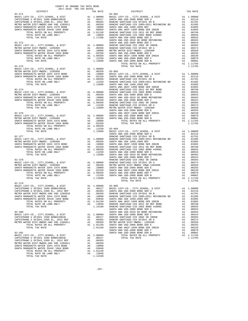| $2017-2018 \quad \text{TRA TAX RATES}$ DISTRICT $2017-2018 \quad \text{TRA TAX RATES}$<br>$82 - 371$ | TAX RATE | DISTRICT<br>$83 - 001$                                                                                                                                                                                                        | TAX RATE |
|------------------------------------------------------------------------------------------------------|----------|-------------------------------------------------------------------------------------------------------------------------------------------------------------------------------------------------------------------------------|----------|
|                                                                                                      |          |                                                                                                                                                                                                                               |          |
|                                                                                                      |          |                                                                                                                                                                                                                               |          |
|                                                                                                      |          |                                                                                                                                                                                                                               |          |
|                                                                                                      |          |                                                                                                                                                                                                                               |          |
|                                                                                                      |          |                                                                                                                                                                                                                               |          |
|                                                                                                      |          |                                                                                                                                                                                                                               |          |
|                                                                                                      |          |                                                                                                                                                                                                                               |          |
|                                                                                                      |          |                                                                                                                                                                                                                               |          |
|                                                                                                      |          |                                                                                                                                                                                                                               |          |
|                                                                                                      |          |                                                                                                                                                                                                                               |          |
|                                                                                                      |          |                                                                                                                                                                                                                               |          |
|                                                                                                      |          |                                                                                                                                                                                                                               |          |
|                                                                                                      |          |                                                                                                                                                                                                                               |          |
|                                                                                                      |          |                                                                                                                                                                                                                               |          |
|                                                                                                      |          |                                                                                                                                                                                                                               |          |
|                                                                                                      |          |                                                                                                                                                                                                                               |          |
|                                                                                                      |          |                                                                                                                                                                                                                               |          |
|                                                                                                      |          |                                                                                                                                                                                                                               |          |
|                                                                                                      |          |                                                                                                                                                                                                                               |          |
|                                                                                                      |          |                                                                                                                                                                                                                               |          |
|                                                                                                      |          |                                                                                                                                                                                                                               |          |
|                                                                                                      |          |                                                                                                                                                                                                                               |          |
|                                                                                                      |          |                                                                                                                                                                                                                               |          |
|                                                                                                      |          |                                                                                                                                                                                                                               |          |
|                                                                                                      |          |                                                                                                                                                                                                                               |          |
|                                                                                                      |          |                                                                                                                                                                                                                               |          |
|                                                                                                      |          |                                                                                                                                                                                                                               |          |
|                                                                                                      |          |                                                                                                                                                                                                                               |          |
|                                                                                                      |          |                                                                                                                                                                                                                               |          |
|                                                                                                      |          |                                                                                                                                                                                                                               |          |
|                                                                                                      |          |                                                                                                                                                                                                                               |          |
|                                                                                                      |          |                                                                                                                                                                                                                               |          |
|                                                                                                      |          |                                                                                                                                                                                                                               |          |
|                                                                                                      |          |                                                                                                                                                                                                                               |          |
|                                                                                                      |          |                                                                                                                                                                                                                               |          |
|                                                                                                      |          |                                                                                                                                                                                                                               |          |
|                                                                                                      |          |                                                                                                                                                                                                                               |          |
|                                                                                                      |          |                                                                                                                                                                                                                               |          |
|                                                                                                      |          |                                                                                                                                                                                                                               |          |
|                                                                                                      |          |                                                                                                                                                                                                                               |          |
|                                                                                                      |          |                                                                                                                                                                                                                               |          |
|                                                                                                      |          |                                                                                                                                                                                                                               |          |
|                                                                                                      |          |                                                                                                                                                                                                                               |          |
|                                                                                                      |          |                                                                                                                                                                                                                               |          |
|                                                                                                      |          |                                                                                                                                                                                                                               |          |
|                                                                                                      |          |                                                                                                                                                                                                                               |          |
|                                                                                                      |          |                                                                                                                                                                                                                               |          |
|                                                                                                      |          |                                                                                                                                                                                                                               |          |
|                                                                                                      |          |                                                                                                                                                                                                                               |          |
|                                                                                                      |          |                                                                                                                                                                                                                               |          |
|                                                                                                      |          |                                                                                                                                                                                                                               |          |
|                                                                                                      |          | 17270. THE MAIN AND THE RELEASE AND 11.1200 SUITA PRODUCES IN A 1990-2000 MAIN AND COMPARISON CONTINUES. A DET ALL 100000 MAIN AND CONTINUES. A DET ALL 100000 MAIN AND CONTINUES. A DET ALL 100000 MAIN AND CONTINUES. A DET |          |
| 82-379                                                                                               |          |                                                                                                                                                                                                                               |          |
| BASIC LEVY-CO., CITY, SCHOOL, & DIST A1 1.00000 83-005                                               |          |                                                                                                                                                                                                                               |          |
|                                                                                                      |          |                                                                                                                                                                                                                               |          |
|                                                                                                      |          |                                                                                                                                                                                                                               |          |
|                                                                                                      |          |                                                                                                                                                                                                                               |          |
|                                                                                                      |          |                                                                                                                                                                                                                               |          |
|                                                                                                      |          |                                                                                                                                                                                                                               |          |
|                                                                                                      |          |                                                                                                                                                                                                                               |          |
|                                                                                                      |          |                                                                                                                                                                                                                               |          |
|                                                                                                      |          |                                                                                                                                                                                                                               |          |
|                                                                                                      |          |                                                                                                                                                                                                                               |          |
|                                                                                                      |          |                                                                                                                                                                                                                               |          |
|                                                                                                      |          |                                                                                                                                                                                                                               |          |
|                                                                                                      |          |                                                                                                                                                                                                                               |          |
|                                                                                                      |          |                                                                                                                                                                                                                               |          |
|                                                                                                      |          |                                                                                                                                                                                                                               |          |
|                                                                                                      |          |                                                                                                                                                                                                                               |          |
|                                                                                                      |          |                                                                                                                                                                                                                               |          |
|                                                                                                      |          |                                                                                                                                                                                                                               |          |
|                                                                                                      |          |                                                                                                                                                                                                                               |          |
|                                                                                                      |          |                                                                                                                                                                                                                               |          |
|                                                                                                      |          |                                                                                                                                                                                                                               |          |
|                                                                                                      |          |                                                                                                                                                                                                                               |          |
|                                                                                                      |          |                                                                                                                                                                                                                               |          |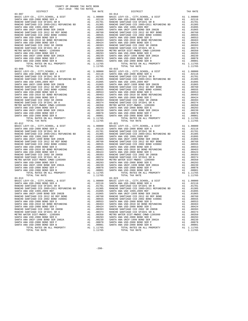| DISTRICT                                                             |          | TAX RATE         |                   |
|----------------------------------------------------------------------|----------|------------------|-------------------|
| $83 - 007$                                                           |          |                  | $83 - 014$        |
|                                                                      |          |                  |                   |
|                                                                      |          |                  |                   |
|                                                                      |          |                  |                   |
|                                                                      |          |                  |                   |
|                                                                      |          |                  |                   |
|                                                                      |          |                  |                   |
|                                                                      |          |                  |                   |
|                                                                      |          |                  |                   |
|                                                                      |          |                  |                   |
|                                                                      |          |                  |                   |
|                                                                      |          |                  |                   |
|                                                                      |          |                  |                   |
|                                                                      |          |                  |                   |
|                                                                      |          |                  |                   |
|                                                                      |          |                  |                   |
|                                                                      |          |                  |                   |
|                                                                      |          | A1 1.11765       |                   |
| TOTAL TAX RATE                                                       |          | 1.11765          |                   |
| $83 - 009$                                                           |          |                  | $83 - 015$        |
|                                                                      |          |                  |                   |
|                                                                      |          |                  |                   |
|                                                                      |          |                  |                   |
|                                                                      |          |                  |                   |
|                                                                      |          |                  |                   |
|                                                                      |          |                  |                   |
|                                                                      |          |                  |                   |
|                                                                      |          |                  |                   |
|                                                                      |          |                  |                   |
|                                                                      |          |                  |                   |
|                                                                      |          |                  |                   |
|                                                                      |          |                  |                   |
|                                                                      |          |                  |                   |
|                                                                      |          |                  |                   |
|                                                                      |          |                  |                   |
|                                                                      |          |                  |                   |
|                                                                      |          |                  |                   |
| TOTAL TAX RATE                                                       |          | 1.11765          |                   |
|                                                                      |          |                  |                   |
|                                                                      |          |                  |                   |
|                                                                      |          |                  |                   |
|                                                                      |          |                  |                   |
|                                                                      |          |                  |                   |
|                                                                      |          |                  |                   |
|                                                                      |          |                  |                   |
|                                                                      |          |                  |                   |
|                                                                      |          |                  |                   |
|                                                                      |          |                  |                   |
|                                                                      |          |                  |                   |
|                                                                      |          |                  |                   |
|                                                                      |          |                  |                   |
|                                                                      |          |                  |                   |
|                                                                      |          |                  |                   |
|                                                                      |          |                  |                   |
|                                                                      |          |                  |                   |
|                                                                      |          |                  |                   |
|                                                                      |          |                  |                   |
| TOTAL TAX RATE                                                       |          | 1.11765          |                   |
|                                                                      |          |                  |                   |
|                                                                      |          |                  |                   |
|                                                                      |          |                  |                   |
|                                                                      |          |                  |                   |
|                                                                      |          |                  |                   |
| SANTA ANA UNIF-1999 BOND SER 2002B                                   | A1       | .01065           | SANTA A           |
| RANCHO SANTIAGO CCD 2012 GO REF BOND                                 | A1       | .00760           | RANCHO            |
| RANCHO SANTIAGO CCD 2002 BOND #2006C                                 | A1       | .00555           | RANCHO            |
| SANTA ANA USD-2008 BOND SER D                                        | A1       | .00553           | SANTA A           |
| SANTA ANA USD-2010 GO BOND REFUNDING                                 | A1       | .00463           | SANTA A           |
| SANTA ANA USD-2008 BOND SER C                                        | A1       | .00424<br>.00393 | SANTA A<br>RANCHO |
| RANCHO SANTIAGO CCD 2002 SR 2005B<br>RANCHO SANTIAGO CCD SFID#1 SR A | A1<br>A1 |                  |                   |
| METRO WATER DIST-MWDOC- 1205999                                      | A1       | .00374<br>.00350 | RANCHO<br>METRO W |
| SANTA ANA USD-2008 BOND SER E                                        | A1       | .00293           | SANTA A           |
| SANTA ANA UNIF-1999 BOND SER 2002A                                   | A1       | .00239           | SANTA A           |
| SANTA ANA USD-2008 BOND SER F                                        | A1       | .00078           | SANTA A           |
| SANTA ANA USD-2008 BOND SER B                                        | A1       | .00001           | SANTA A           |
| TOTAL RATES ON ALL PROPERTY                                          |          | A1 1.11765       |                   |
|                                                                      |          |                  |                   |

| COUNTY OF ORANGE TAX RATE BOOK<br>$2017-2018 \quad \text{TRA RATES}$ DISTRICT $2017-2018 \quad \text{TRA TAX RATES}$ |          |                                                      |          |
|----------------------------------------------------------------------------------------------------------------------|----------|------------------------------------------------------|----------|
|                                                                                                                      | TAX RATE | DISTRICT                                             | TAX RATE |
| $83 - 007$                                                                                                           |          | $83 - 014$                                           |          |
|                                                                                                                      |          |                                                      |          |
|                                                                                                                      |          |                                                      |          |
|                                                                                                                      |          |                                                      |          |
|                                                                                                                      |          |                                                      |          |
|                                                                                                                      |          |                                                      |          |
|                                                                                                                      |          |                                                      |          |
|                                                                                                                      |          |                                                      |          |
|                                                                                                                      |          |                                                      |          |
|                                                                                                                      |          |                                                      |          |
|                                                                                                                      |          |                                                      |          |
|                                                                                                                      |          |                                                      |          |
|                                                                                                                      |          |                                                      |          |
|                                                                                                                      |          |                                                      |          |
|                                                                                                                      |          |                                                      |          |
|                                                                                                                      |          |                                                      |          |
|                                                                                                                      |          |                                                      |          |
|                                                                                                                      |          |                                                      |          |
|                                                                                                                      |          |                                                      |          |
|                                                                                                                      |          |                                                      |          |
|                                                                                                                      |          |                                                      |          |
|                                                                                                                      |          |                                                      |          |
|                                                                                                                      |          |                                                      |          |
|                                                                                                                      |          |                                                      |          |
|                                                                                                                      |          |                                                      |          |
|                                                                                                                      |          |                                                      |          |
|                                                                                                                      |          |                                                      |          |
|                                                                                                                      |          |                                                      |          |
|                                                                                                                      |          |                                                      |          |
|                                                                                                                      |          |                                                      |          |
|                                                                                                                      |          |                                                      |          |
|                                                                                                                      |          |                                                      |          |
|                                                                                                                      |          |                                                      |          |
|                                                                                                                      |          |                                                      |          |
|                                                                                                                      |          |                                                      |          |
|                                                                                                                      |          |                                                      |          |
|                                                                                                                      |          |                                                      |          |
|                                                                                                                      |          |                                                      |          |
| $83 - 012$                                                                                                           |          |                                                      |          |
|                                                                                                                      |          | $83 - 021$                                           |          |
|                                                                                                                      |          |                                                      |          |
|                                                                                                                      |          |                                                      |          |
|                                                                                                                      |          |                                                      |          |
|                                                                                                                      |          |                                                      |          |
|                                                                                                                      |          |                                                      |          |
|                                                                                                                      |          |                                                      |          |
|                                                                                                                      |          |                                                      |          |
|                                                                                                                      |          |                                                      |          |
|                                                                                                                      |          |                                                      |          |
|                                                                                                                      |          |                                                      |          |
|                                                                                                                      |          |                                                      |          |
|                                                                                                                      |          |                                                      |          |
|                                                                                                                      |          |                                                      |          |
|                                                                                                                      |          |                                                      |          |
|                                                                                                                      |          |                                                      |          |
|                                                                                                                      |          |                                                      |          |
|                                                                                                                      |          |                                                      |          |
|                                                                                                                      |          |                                                      |          |
|                                                                                                                      |          |                                                      |          |
|                                                                                                                      |          |                                                      |          |
|                                                                                                                      |          |                                                      |          |
| RANCHO SANTIAGO CCD 2005+2011 REFUNDING BD A1 .01305                                                                 |          |                                                      |          |
|                                                                                                                      |          | RANCHO SANTIAGO CCD 2005+2011 REFUNDING BD A1 .01305 |          |
|                                                                                                                      |          |                                                      |          |
|                                                                                                                      |          |                                                      |          |
|                                                                                                                      |          |                                                      |          |
|                                                                                                                      |          |                                                      |          |
|                                                                                                                      |          |                                                      |          |
|                                                                                                                      |          |                                                      |          |
|                                                                                                                      |          |                                                      |          |
|                                                                                                                      |          |                                                      |          |
|                                                                                                                      |          |                                                      |          |
|                                                                                                                      |          |                                                      |          |
|                                                                                                                      |          |                                                      |          |
|                                                                                                                      |          |                                                      |          |
|                                                                                                                      |          |                                                      |          |
|                                                                                                                      |          |                                                      |          |
|                                                                                                                      |          |                                                      |          |

-298-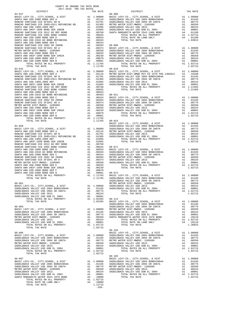| COUNTY OF ORANGE TAX RATE BOOK<br>2017-2018 TRA TAX RATES                                                                                                                                                                                  |    |                                                                                                                     |                       |
|--------------------------------------------------------------------------------------------------------------------------------------------------------------------------------------------------------------------------------------------|----|---------------------------------------------------------------------------------------------------------------------|-----------------------|
| DISTRICT                                                                                                                                                                                                                                   |    | TAX RATE                                                                                                            |                       |
| $83 - 027$                                                                                                                                                                                                                                 |    |                                                                                                                     | $88 - 008$            |
|                                                                                                                                                                                                                                            |    |                                                                                                                     |                       |
|                                                                                                                                                                                                                                            |    |                                                                                                                     |                       |
|                                                                                                                                                                                                                                            |    |                                                                                                                     |                       |
|                                                                                                                                                                                                                                            |    |                                                                                                                     |                       |
|                                                                                                                                                                                                                                            |    |                                                                                                                     |                       |
|                                                                                                                                                                                                                                            |    |                                                                                                                     |                       |
|                                                                                                                                                                                                                                            |    |                                                                                                                     |                       |
|                                                                                                                                                                                                                                            |    |                                                                                                                     |                       |
|                                                                                                                                                                                                                                            |    |                                                                                                                     |                       |
|                                                                                                                                                                                                                                            |    |                                                                                                                     |                       |
|                                                                                                                                                                                                                                            |    |                                                                                                                     |                       |
|                                                                                                                                                                                                                                            |    |                                                                                                                     |                       |
|                                                                                                                                                                                                                                            |    |                                                                                                                     |                       |
|                                                                                                                                                                                                                                            |    |                                                                                                                     |                       |
|                                                                                                                                                                                                                                            |    |                                                                                                                     |                       |
| $83 - 041$                                                                                                                                                                                                                                 |    |                                                                                                                     | $88 - 010$            |
|                                                                                                                                                                                                                                            |    |                                                                                                                     |                       |
|                                                                                                                                                                                                                                            |    |                                                                                                                     |                       |
|                                                                                                                                                                                                                                            |    |                                                                                                                     |                       |
|                                                                                                                                                                                                                                            |    |                                                                                                                     |                       |
|                                                                                                                                                                                                                                            |    |                                                                                                                     |                       |
|                                                                                                                                                                                                                                            |    |                                                                                                                     |                       |
|                                                                                                                                                                                                                                            |    |                                                                                                                     |                       |
|                                                                                                                                                                                                                                            |    |                                                                                                                     |                       |
|                                                                                                                                                                                                                                            |    |                                                                                                                     |                       |
|                                                                                                                                                                                                                                            |    |                                                                                                                     |                       |
|                                                                                                                                                                                                                                            |    |                                                                                                                     |                       |
|                                                                                                                                                                                                                                            |    |                                                                                                                     |                       |
|                                                                                                                                                                                                                                            |    |                                                                                                                     |                       |
|                                                                                                                                                                                                                                            |    |                                                                                                                     |                       |
| TOTAL TAX RATE                                                                                                                                                                                                                             |    | 1.11765 88-024                                                                                                      |                       |
|                                                                                                                                                                                                                                            |    |                                                                                                                     | BASIC L               |
|                                                                                                                                                                                                                                            |    |                                                                                                                     |                       |
|                                                                                                                                                                                                                                            |    |                                                                                                                     |                       |
|                                                                                                                                                                                                                                            |    |                                                                                                                     |                       |
|                                                                                                                                                                                                                                            |    |                                                                                                                     |                       |
|                                                                                                                                                                                                                                            |    |                                                                                                                     |                       |
|                                                                                                                                                                                                                                            |    |                                                                                                                     |                       |
|                                                                                                                                                                                                                                            |    |                                                                                                                     |                       |
|                                                                                                                                                                                                                                            |    |                                                                                                                     |                       |
|                                                                                                                                                                                                                                            |    |                                                                                                                     |                       |
|                                                                                                                                                                                                                                            |    |                                                                                                                     |                       |
|                                                                                                                                                                                                                                            |    |                                                                                                                     |                       |
|                                                                                                                                                                                                                                            |    |                                                                                                                     |                       |
|                                                                                                                                                                                                                                            |    |                                                                                                                     |                       |
|                                                                                                                                                                                                                                            |    |                                                                                                                     |                       |
| WHEN WALLET CONTROLL AND SANTA ANA USD-2008 BOND SER E<br>SANTA ANA USD-2008 BOND SER 2002A<br>SANTA ANA USD-2008 BOND SER P<br>SANTA ANA USD-2008 BOND SER P<br>SANTA ANA USD-2008 BOND SER B<br>TOTAL RATES ON ALL PROPERTY<br>TOTAL RAT |    |                                                                                                                     |                       |
|                                                                                                                                                                                                                                            |    |                                                                                                                     |                       |
|                                                                                                                                                                                                                                            |    |                                                                                                                     | SADDLEB               |
|                                                                                                                                                                                                                                            |    |                                                                                                                     |                       |
| 00-001 METRO W<br>BASIC LEVY-CO., CITY, SCHOOL, & DIST<br>CADDIERAC INITIAL COOL CALL THE LEVY ON THE ALL 1.00000 SADDLEB                                                                                                                  |    |                                                                                                                     |                       |
| SADDLEBACK VALLEY USD 2004 BOND#2004A<br>SADDLEBACK VALLEY USD 2004 SR 2007A                                                                                                                                                               | A1 | $A1 \t .01435$<br>.00775                                                                                            | SADDLEB               |
| SADDLEBACK VALLEY USD 2013                                                                                                                                                                                                                 |    | A1 .00154                                                                                                           |                       |
| SADDLEBACK VALLEY USD GOB EL 2004                                                                                                                                                                                                          |    | A1 .00001                                                                                                           |                       |
| TOTAL RATES ON ALL PROPERTY                                                                                                                                                                                                                |    | A1 1.02365<br>1.02365                                                                                               | $88 - 114$<br>BASIC L |
| TOTAL TAX RATE                                                                                                                                                                                                                             |    |                                                                                                                     | SADDLEB               |
| $88 - 003$                                                                                                                                                                                                                                 |    |                                                                                                                     | SADDLEB               |
| BASIC LEVY-CO., CITY, SCHOOL, & DIST                                                                                                                                                                                                       |    | A1 1.00000 WETRO W<br>A1 .01435 SADDLEB<br>A1 .00775 SADDLEB<br>A1 .00350 SANTA M                                   |                       |
| SADDLEBACK VALLEY USD 2004 BOND#2004A<br>SADDLEBACK VALLEY USD 2004 SR 2007A                                                                                                                                                               | A1 |                                                                                                                     |                       |
| METRO WATER DIST-MWDOC- 1205999                                                                                                                                                                                                            |    |                                                                                                                     |                       |
| SADDLEBACK VALLEY USD 2013                                                                                                                                                                                                                 |    | A1 .00154                                                                                                           |                       |
| SADDLEBACK VALLEY USD GOB EL 2004                                                                                                                                                                                                          |    | A1 .00001                                                                                                           |                       |
| TOTAL RATES ON ALL PROPERTY<br>TOTAL TAX RATE                                                                                                                                                                                              |    | A1 1.02715<br>1.02715                                                                                               |                       |
|                                                                                                                                                                                                                                            |    |                                                                                                                     | $88 - 194$            |
| $88 - 005$                                                                                                                                                                                                                                 |    |                                                                                                                     | BASIC L               |
| BASIC LEVY-CO., CITY, SCHOOL, & DIST<br>SADDLEBACK VALLEY USD 2004 BOND#2004A                                                                                                                                                              |    |                                                                                                                     |                       |
| SADDLEBACK VALLEY USD 2004 SR 2007A                                                                                                                                                                                                        |    |                                                                                                                     |                       |
| METRO WATER DIST-MWDOC- 1205999                                                                                                                                                                                                            |    | A1 1.00000 BADDLEB<br>A1 .01435 SADDLEB<br>A1 .00775 METRO W<br>A1 .00350 SADDLEB<br>A1 .00154 SADDLEB<br>A1 .00011 |                       |
| SADDLEBACK VALLEY USD 2013<br>SADDLEBACK VALLEY USD GOB EL 2004                                                                                                                                                                            | A1 | .00001                                                                                                              |                       |
| TOTAL RATES ON ALL PROPERTY                                                                                                                                                                                                                |    | A1 1.02715                                                                                                          |                       |
| TOTAL TAX RATE                                                                                                                                                                                                                             |    | 1.02715                                                                                                             |                       |
|                                                                                                                                                                                                                                            |    |                                                                                                                     | $88 - 195$            |
| $88 - 007$                                                                                                                                                                                                                                 |    |                                                                                                                     | BASIC L               |
| BASIC LEVY-CO., CITY, SCHOOL, & DIST<br>SADDLEBACK VALLEY USD 2004 BOND#2004A                                                                                                                                                              |    | A1 1.00000 SADDLEB<br>A1 .01435 SADDLEB<br>A1 .00775 METRO M<br>A1 .00154 SADDLEB<br>A1 .00154 SADDLEB              |                       |
| SADDLEBACK VALLEY USD 2004 SR 2007A                                                                                                                                                                                                        |    |                                                                                                                     |                       |
| METRO WATER DIST-MWDOC- 1205999                                                                                                                                                                                                            |    |                                                                                                                     |                       |
| SADDLEBACK VALLEY USD 2013<br>SADDLEBACK VALLEY USD GOB EL 2004                                                                                                                                                                            |    | A1 .00001                                                                                                           |                       |
| SANTA MARGARITA WATER ID#4 1978 BOND                                                                                                                                                                                                       | A4 | .10000                                                                                                              |                       |
| TOTAL RATES ON ALL PROPERTY                                                                                                                                                                                                                |    | A1 1.02715                                                                                                          |                       |
| TOTAL RATE ON LAND ONLY                                                                                                                                                                                                                    |    | A4 .10000                                                                                                           |                       |

| 2017 2010 The This Retire<br>DISTRICT | TAX RATE | DISTRICT                                                                                                                                                                                                                                                                                                                | TAX RATE |
|---------------------------------------|----------|-------------------------------------------------------------------------------------------------------------------------------------------------------------------------------------------------------------------------------------------------------------------------------------------------------------------------|----------|
|                                       |          |                                                                                                                                                                                                                                                                                                                         |          |
|                                       |          |                                                                                                                                                                                                                                                                                                                         |          |
|                                       |          |                                                                                                                                                                                                                                                                                                                         |          |
|                                       |          |                                                                                                                                                                                                                                                                                                                         |          |
|                                       |          |                                                                                                                                                                                                                                                                                                                         |          |
|                                       |          |                                                                                                                                                                                                                                                                                                                         |          |
|                                       |          |                                                                                                                                                                                                                                                                                                                         |          |
|                                       |          |                                                                                                                                                                                                                                                                                                                         |          |
|                                       |          |                                                                                                                                                                                                                                                                                                                         |          |
|                                       |          |                                                                                                                                                                                                                                                                                                                         |          |
|                                       |          |                                                                                                                                                                                                                                                                                                                         |          |
|                                       |          |                                                                                                                                                                                                                                                                                                                         |          |
|                                       |          |                                                                                                                                                                                                                                                                                                                         |          |
|                                       |          |                                                                                                                                                                                                                                                                                                                         |          |
|                                       |          |                                                                                                                                                                                                                                                                                                                         |          |
|                                       |          |                                                                                                                                                                                                                                                                                                                         |          |
|                                       |          |                                                                                                                                                                                                                                                                                                                         |          |
|                                       |          | $\begin{tabular}{cccccccc} $83-041$ & $1.0446$ & $1.0446$ & $1.0406$ & $1.00000$ & $1.02715$ \\ B3-041$ & $1.00000$ & $1.00000$ & $1.00000$ & $1.00000$ & $1.00000$ & $1.00000$ \\ RAMCHO SMTHCOO. & $CITY, SCHOOL, & $DISTY$ & $A1$ & $1.00000$ & $DSTY$ & $A1$ & $1.00000$ \\ RAMCHO SMTHCOO. & $DISTY$ & $A1$ & $1.$ |          |
|                                       |          |                                                                                                                                                                                                                                                                                                                         |          |
|                                       |          |                                                                                                                                                                                                                                                                                                                         |          |
|                                       |          |                                                                                                                                                                                                                                                                                                                         |          |
|                                       |          |                                                                                                                                                                                                                                                                                                                         |          |
|                                       |          |                                                                                                                                                                                                                                                                                                                         |          |
|                                       |          |                                                                                                                                                                                                                                                                                                                         |          |
|                                       |          |                                                                                                                                                                                                                                                                                                                         |          |
|                                       |          |                                                                                                                                                                                                                                                                                                                         |          |
|                                       |          |                                                                                                                                                                                                                                                                                                                         |          |
|                                       |          |                                                                                                                                                                                                                                                                                                                         |          |
|                                       |          |                                                                                                                                                                                                                                                                                                                         |          |
|                                       |          |                                                                                                                                                                                                                                                                                                                         |          |
|                                       |          |                                                                                                                                                                                                                                                                                                                         |          |
|                                       |          |                                                                                                                                                                                                                                                                                                                         |          |
|                                       |          |                                                                                                                                                                                                                                                                                                                         |          |
|                                       |          |                                                                                                                                                                                                                                                                                                                         |          |
|                                       |          |                                                                                                                                                                                                                                                                                                                         |          |
|                                       |          |                                                                                                                                                                                                                                                                                                                         |          |
|                                       |          |                                                                                                                                                                                                                                                                                                                         |          |
|                                       |          |                                                                                                                                                                                                                                                                                                                         |          |
|                                       |          |                                                                                                                                                                                                                                                                                                                         |          |
|                                       |          |                                                                                                                                                                                                                                                                                                                         |          |
|                                       |          |                                                                                                                                                                                                                                                                                                                         |          |
|                                       |          |                                                                                                                                                                                                                                                                                                                         |          |
|                                       |          |                                                                                                                                                                                                                                                                                                                         |          |
|                                       |          |                                                                                                                                                                                                                                                                                                                         |          |
|                                       |          |                                                                                                                                                                                                                                                                                                                         |          |
|                                       |          |                                                                                                                                                                                                                                                                                                                         |          |
|                                       |          |                                                                                                                                                                                                                                                                                                                         |          |
|                                       |          |                                                                                                                                                                                                                                                                                                                         |          |
|                                       |          |                                                                                                                                                                                                                                                                                                                         |          |
|                                       |          |                                                                                                                                                                                                                                                                                                                         |          |
|                                       |          |                                                                                                                                                                                                                                                                                                                         |          |
|                                       |          |                                                                                                                                                                                                                                                                                                                         |          |
|                                       |          |                                                                                                                                                                                                                                                                                                                         |          |
|                                       |          |                                                                                                                                                                                                                                                                                                                         |          |
|                                       |          |                                                                                                                                                                                                                                                                                                                         |          |
|                                       |          |                                                                                                                                                                                                                                                                                                                         |          |
|                                       |          | 30.475 AM 100-2619 MM (1990) 400 MM (1990) 400 MM (1990) 400 MM (1990) 400 MM (1990) 400 MM (1990) 400 MM (1990) 400 MM (1990) 400 MM (1990) 400 MM (1990) 400 MM (1990) 400 MM (1990) 400 MM (1990) 400 MM (1990) 400 MM (19                                                                                           |          |
|                                       |          |                                                                                                                                                                                                                                                                                                                         |          |
|                                       |          |                                                                                                                                                                                                                                                                                                                         |          |
|                                       |          |                                                                                                                                                                                                                                                                                                                         |          |
|                                       |          |                                                                                                                                                                                                                                                                                                                         |          |
|                                       |          |                                                                                                                                                                                                                                                                                                                         |          |
|                                       |          |                                                                                                                                                                                                                                                                                                                         |          |
|                                       |          |                                                                                                                                                                                                                                                                                                                         |          |
|                                       |          |                                                                                                                                                                                                                                                                                                                         |          |
|                                       |          |                                                                                                                                                                                                                                                                                                                         |          |
|                                       |          |                                                                                                                                                                                                                                                                                                                         |          |
|                                       |          | $88 - 194$                                                                                                                                                                                                                                                                                                              |          |
|                                       |          |                                                                                                                                                                                                                                                                                                                         |          |
|                                       |          |                                                                                                                                                                                                                                                                                                                         |          |
|                                       |          |                                                                                                                                                                                                                                                                                                                         |          |
|                                       |          |                                                                                                                                                                                                                                                                                                                         |          |
|                                       |          |                                                                                                                                                                                                                                                                                                                         |          |
|                                       |          |                                                                                                                                                                                                                                                                                                                         |          |
|                                       |          |                                                                                                                                                                                                                                                                                                                         |          |
|                                       |          |                                                                                                                                                                                                                                                                                                                         |          |
|                                       |          |                                                                                                                                                                                                                                                                                                                         |          |
|                                       |          |                                                                                                                                                                                                                                                                                                                         |          |
|                                       |          |                                                                                                                                                                                                                                                                                                                         |          |
|                                       |          |                                                                                                                                                                                                                                                                                                                         |          |
|                                       |          |                                                                                                                                                                                                                                                                                                                         |          |
|                                       |          |                                                                                                                                                                                                                                                                                                                         |          |
|                                       |          |                                                                                                                                                                                                                                                                                                                         |          |
|                                       |          |                                                                                                                                                                                                                                                                                                                         |          |
|                                       |          |                                                                                                                                                                                                                                                                                                                         |          |
|                                       |          |                                                                                                                                                                                                                                                                                                                         |          |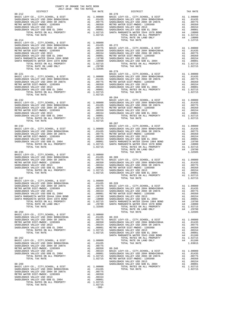| COUNTY OF ORANGE TAX RATE BOOK<br>2017-2018 TRA TAX RATES<br>$2017-2018 \quad \text{TRA TAX RATES}$ DISTRICT |          |                |            |
|--------------------------------------------------------------------------------------------------------------|----------|----------------|------------|
|                                                                                                              | TAX RATE | DISTRICT       | TAX RATE   |
| $88 - 212$                                                                                                   |          | $88 - 270$     |            |
|                                                                                                              |          |                |            |
|                                                                                                              |          |                |            |
|                                                                                                              |          |                |            |
|                                                                                                              |          |                |            |
|                                                                                                              |          |                |            |
|                                                                                                              |          |                |            |
|                                                                                                              |          |                |            |
|                                                                                                              |          |                |            |
|                                                                                                              |          |                |            |
|                                                                                                              |          |                |            |
|                                                                                                              |          |                |            |
|                                                                                                              |          |                |            |
|                                                                                                              |          | $88 - 284$     |            |
|                                                                                                              |          |                |            |
|                                                                                                              |          |                |            |
|                                                                                                              |          |                |            |
|                                                                                                              |          |                |            |
|                                                                                                              |          |                |            |
|                                                                                                              |          |                |            |
|                                                                                                              |          |                |            |
|                                                                                                              |          |                |            |
|                                                                                                              |          |                |            |
|                                                                                                              |          |                |            |
|                                                                                                              |          |                |            |
|                                                                                                              |          |                |            |
|                                                                                                              |          |                |            |
|                                                                                                              |          |                |            |
| $88 - 247$                                                                                                   |          | TOTAL TAX RATE | 1.02715    |
|                                                                                                              |          |                |            |
|                                                                                                              |          |                | A1 1.00000 |
|                                                                                                              |          |                |            |
|                                                                                                              |          |                |            |
|                                                                                                              |          |                |            |
|                                                                                                              |          |                |            |
|                                                                                                              |          |                |            |
|                                                                                                              |          |                |            |
|                                                                                                              |          |                |            |
|                                                                                                              |          |                |            |
|                                                                                                              |          |                |            |
|                                                                                                              |          |                |            |
|                                                                                                              |          |                |            |
|                                                                                                              |          |                |            |
|                                                                                                              |          |                |            |
|                                                                                                              |          |                |            |
|                                                                                                              |          |                |            |
|                                                                                                              |          |                |            |
|                                                                                                              |          |                |            |
|                                                                                                              |          |                |            |
|                                                                                                              |          |                |            |
|                                                                                                              | $-300-$  |                |            |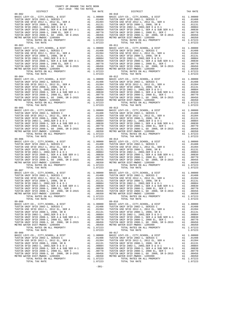89-002 89-010 89-004 89-012 89-005 89-013

 COUNTY OF ORANGE TAX RATE BOOK 2017-2018 TRA TAX RATES DISTRICT TAX RATE DISTRICT TAX RATE A1 1.00000 BASIC LEVY-CO., CITY, SCHOOL, & DIST A1 1.00000<br>
A1 .01408 TUSTIN UNIF SFID 2002-1, SERIES C A1 .01408<br>
A1 .01394 TUSTIN USD SFID 2008-1, 2002, SER B A1 .01394<br>
A1 .00884 TUSTIN UNIF SFID 2008-1, 2002, SER B A1 TUSTIN UNIF SFID 2002-1, SERIES C A1 .01408 TUSTIN UNIF SFID 2002-1, SERIES C A1 .01408 TUSTIN USD SFID 2012-1, 2012 EL, SER A A1 .01394 TUSTIN USD SFID 2012-1, 2012 EL, SER A A1 .01394 TUSTIN UNIF SFID 2008-1, 2008, SR B A1 .01131 TUSTIN UNIF SFID 2008-1, 2008, SR B A1 .01131 TUSTIN SFID 2002-1, 2002,SER D & D-1 A1 .00884 TUSTIN SFID 2002-1, 2002,SER D & D-1 A1 .00884 TUSTIN UNIF SFID 2008-1, SER A & SUB SER A-1 A1 .00830 TUSTIN UNIF SFID 2008-1, SER A & SUB SER A-1 A1 .00830 TUSTIN UNIF SFID 2008-1, 2008 EL, SER C A1 .00770 TUSTIN UNIF SFID 2008-1, 2008 EL, SER C A1 .00770 TUSTIN UNIF SFID 2008-1, GO 2008, SR D-2015 A1 .00456 TUSTIN UNIF SFID 2008-1, GO 2008, SR D-2015 A1 .00456 METRO WATER DIST-MWDOC- 1205999 A1 .00350 METRO WATER DIST-MWDOC- 1205999 A1 .00350 TOTAL RATES ON ALL PROPERTY A1 1.07223 TOTAL RATES ON ALL PROPERTY A1 1.07223 TOTAL RATES ON ALL PROPERTY AND CONSULTED 2008 (2008, SR D-2015 A1 .00456<br>TOTAL RATES ON ALL PROPERTY AT 1.07223<br>TOTAL TAX RATE 1.07223 TOTAL TAX RATE 1.07223<br>Pape 1.07223<br>Pape 1.07223<br>Pape 1.07223<br>Pape 1.07223<br>Pape 1.0722 89-003<br>
BASIC LEVY-CO., CITY, SCHOOL, & DIST<br>
TUSTIN UNIF SFID 2002-1, SERIES C<br>
TUSTIN UNIF SFID 2002-1, SERIES C<br>
TUSTIN UNIF SFID 2002-1, 2012 EL, SER A<br>
TUSTIN UNIF SFID 2003-1, 2012 EL, SER A<br>
TUSTIN UNIF SFID 2003-1, TUSTIN UNIF SFID 2008-1, 2008 EL, SER C A1 .00770 TUSTIN UNIF SFID 2008-1, 2008 EL, SER C A1 .00770 TUSTIN UNIF SFID 2008-1, GO 2008, SR D-2015 A1 .00456 TUSTIN UNIF SFID 2008-1, GO 2008, SR D-2015 A1 .00456 METRO WATER DIST-MWDOC- 1205999 A1 .00350 METRO WATER DIST-MWDOC- 1205999 A1 .00350 UNIF SFID 2008-1, 2008 EL, SER C = A1 1.00330 TUSTIN UNIF SFID 2008-1, 2008 EL, SER C = A1 1.00330 TUSTIN UNIF SFID 2008-1, 2008 EL, SER C = A1 1.07223<br>
TOTAL RATES ON ALL PROPERTY = A1 1.07223 TOTAL RATES ON ALL PROPERTY TOTAL TAX RATE 1.07223 TOTAL TAX RATE 1.07223 BASIC LEVY-CO., CITY,SCHOOL, & DIST A1 1.00000 BASIC LEVY-CO., CITY,SCHOOL, & DIST A1 1.00000 TUSTIN UNIF SFID 2002-1, SERIES C A1 .01408 TUSTIN UNIF SFID 2002-1, SERIES C A1 .01408 TUSTIN USD SFID 2012-1, 2012 EL, SER A A1 .01394 TUSTIN USD SFID 2012-1, 2012 EL, SER A A1 .01394 TUSTIN UNIF SFID 2008-1, 2008, SR B A1 .01131 TUSTIN UNIF SFID 2008-1, 2008, SR B A1 .01131 TUSTIN SFID 2002-1, 2002,SER D & D-1 A1 .00884 TUSTIN SFID 2002-1, 2002,SER D & D-1 A1 .00884 TUSTIN UNIF SFID 2008-1, SER A & SUB SER A-1 A1 .00830 TUSTIN UNIF SFID 2008-1, SER A & SUB SER A-1 A1 .00830 TUSTIN UNIF SFID 2008-1, 2008 EL, SER C A1 .00770 TUSTIN UNIF SFID 2008-1, 2008 EL, SER C A1 .00770 TUSTIN UNIF SFID 2008-1, GO 2008, SR D-2015 A1 .00456 TUSTIN UNIF SFID 2008-1, GO 2008, SR D-2015 A1 .00456 METRO WATER DIST-MWDOC- 1205999 A1 .00350 METRO WATER DIST-MWDOC- 1205999 A1 .00350 TOTAL RATES ON ALL PROPERTY A1 1.07223 TOTAL RATES ON ALL PROPERTY A1 1.07223 TOTAL TAX RATE 1.07223 TOTAL TAX RATE 1.07223 BASIC LEVY-CO., CITY,SCHOOL, & DIST A1 1.00000 BASIC LEVY-CO., CITY,SCHOOL, & DIST A1 1.00000 TUSTIN UNIF SFID 2002-1, SERIES C A1 .01408 TUSTIN UNIF SFID 2002-1, SERIES C A1 .01408 TUSTIN USD SFID 2012-1, 2012 EL, SER A A1 .01394 TUSTIN USD SFID 2012-1, 2012 EL, SER A A1 .01394 TUSTIN UNIF SFID 2008-1, 2008, SR B A1 .01131 TUSTIN UNIF SFID 2008-1, 2008, SR B A1 .01131 TUSTIN SFID 2002-1, 2002,SER D & D-1 A1 .00884 TUSTIN SFID 2002-1, 2002,SER D & D-1 A1 .00884 TUSTIN UNIF SFID 2008-1, SER A & SUB SER A-1 A1 .00830 TUSTIN UNIF SFID 2008-1, SER A & SUB SER A-1 A1 .00830 TUSTIN UNIF SFID 2008-1, 2008 EL, SER C A1 .00770 TUSTIN UNIF SFID 2008-1, 2008 EL, SER C A1 .00770 TUSTIN UNIF SFID 2008-1, GO 2008, SR D-2015 A1 .00456 TUSTIN UNIF SFID 2008-1, GO 2008, SR D-2015 A1 .00456 METRO WATER DIST-MWDOC- 1205999 A1 .00350 METRO WATER DIST-MWDOC- 1205999 A1 .00350 TOTAL RATES ON ALL PROPERTY A1 1.07223 TOTAL RATES ON ALL PROPERTY A1 1.07223 TOTAL TAX RATE 1.07223 TOTAL TAX RATE 1.07223 89-006 89-014 BASIC LEVY-CO., CITY,SCHOOL, & DIST A1 1.00000 BASIC LEVY-CO., CITY,SCHOOL, & DIST A1 1.00000 TUSTIN UNIF SFID 2002-1, SERIES C A1 .01408 TUSTIN UNIF SFID 2002-1, SERIES C A1 .01408 TUSTIN USD SFID 2012-1, 2012 EL, SER A A1 .01394 TUSTIN USD SFID 2012-1, 2012 EL, SER A A1 .01394 TUSTIN UNIF SFID 2008-1, 2008, SR B A1 .01131 TUSTIN UNIF SFID 2008-1, 2008, SR B A1 .01131 TUSTIN SFID 2002-1, 2002,SER D & D-1 A1 .00884 TUSTIN SFID 2002-1, 2002,SER D & D-1 A1 .00884 TUSTIN UNIF SFID 2008-1, SER A & SUB SER A-1 (000300 TUSTIN UNIF SFID 2008-1, SER A & SUB SER A & SUB SER A A<br>TUSTIN UNIF SFID 2008-1, 2008 BL, SER C A1 .00700 TUSTIN UNIF SFID 2008-1, 2008 EL, SER C A1 .00770<br>TUSTIN UNIF TOTAL TAX RATE 1.07223 TOTAL TAX RATE 1.07223 89-007 89-015 BASIC LEVY-CO., CITY,SCHOOL, & DIST A1 1.00000 BASIC LEVY-CO., CITY,SCHOOL, & DIST A1 1.00000 TUSTIN UNIF SFID 2002-1, SERIES C A1 .01408 TUSTIN UNIF SFID 2002-1, SERIES C A1 .01408 TUSTIN USD SFID 2012-1, 2012 EL, SER A A1 .01394 TUSTIN USD SFID 2012-1, 2012 EL, SER A A1 .01394 TUSTIN UNIF SFID 2008-1, 2008, SR B A1 .01131 TUSTIN UNIF SFID 2008-1, 2008, SR B A1 .01131 TUSTIN SFID 2002-1, 2002,SER D & D-1 A1 .00884 TUSTIN SFID 2002-1, 2002,SER D & D-1 A1 .00884 TUSTIN UNIF SFID 2008-1, SER A & SUB SER A-1 A1 .00830 TUSTIN UNIF SFID 2008-1, SER A & SUB SER A-1 A1 .00830 TUSTIN UNIF SFID 2008-1, 2008 EL, SER C A1 .00770 TUSTIN UNIF SFID 2008-1, 2008 EL, SER C A1 .00770 TUSTIN UNIF SFID 2008-1, GO 2008, SR D-2015 A1 .00456 TUSTIN UNIF SFID 2008-1, GO 2008, SR D-2015 A1 .00456 METRO WATER DIST-MWDOC- 1205999 A1 .00350 METRO WATER DIST-MWDOC- 1205999 A1 .00350 TOTAL RATES ON ALL PROPERTY A1 1.07223 TOTAL RATES ON ALL PROPERTY A1 1.07223 TOTAL TAX RATE 1.07223 TOTAL TAX RATE 1.07223 89-008 89-016 BASIC LEVY-CO., CITY,SCHOOL, & DIST A1 1.00000 BASIC LEVY-CO., CITY,SCHOOL, & DIST A1 1.00000 TUSTIN UNIF SFID 2002-1, SERIES C<br>TUSTIN UNIF SFID 2002-1, 2012-1, 2012-1, 2012-1, 2012-1, 2012-1, 2012-1, 2012-1, 2012-1, 2012-1, 2012-1, 2012-<br>TUSTIN UNIF SFID 2008-1, 2008, SR B A1 .01394<br>TUSTIN UNIF SFID 2002-1, 2002, TUSTIN UNIF SFID 2008–1, 2008 EL, SER C<br>TUSTIN UNIF SFID 2008–1, 2008 EL, SER C<br>TUSTIN UNIF SFID 2008–1, GO 2008, SR D-2015<br>METRO WATER DIST-MWDOC- 1205999<br>METRO WATER DIST-MWDOC- 1205999<br>TOTAL TATES ON ALL PROPERTY AT 1.0 10311 WHF STID 2008-1, 2008 EL, SER C<br>
TUSTIN WHF STID 2008-1, 2008 EL, SER C<br>
TUSTIN WHF STID 2008-1, 2008 EL, SER C<br>
METRO WATER DIST-WIND C-1205999<br>
METRO WATER DIST-WINDOC-1205999<br>
METRO WATER DIST-WINDOC-1205999<br>
TOTA BASIC LEVY-CO., CITY,SCHOOL, & DIST A1 1.00000 BASIC LEVY-CO., CITY,SCHOOL, & DIST A1 1.00000 TUSTIN UNIF SFID 2002-1, SERIES C A1 .01408 TUSTIN UNIF SFID 2002-1, SERIES C A1 .01408 TUSTIN USD SFID 2012-1, 2012 EL, SER A A1 .01394 TUSTIN USD SFID 2012-1, 2012 EL, SER A A1 .01394 TUSTIN UNIF SFID 2008-1, 2008, SR B A1 .01131 TUSTIN UNIF SFID 2008-1, 2008, SR B A1 .01131 TUSTIN SFID 2002-1, 2002,SER D & D-1 A1 .00884 TUSTIN SFID 2002-1, 2002,SER D & D-1 A1 .00884 TUSTIN UNIF SFID 2008-1, SER A & SUB SER A-1 A1 .00830 TUSTIN UNIF SFID 2008-1, SER A & SUB SER A-1 A1 .00830 TUSTIN UNIF SFID 2008-1, 2008 EL, SER C A1 .00770 TUSTIN UNIF SFID 2008-1, 2008 EL, SER C A1 .00770 TUSTIN UNIF SFID 2008-1, GO 2008, SR D-2015 A1 .00456 TUSTIN UNIF SFID 2008-1, GO 2008, SR D-2015 A1 .00456 METRO WATER DIST-MWDOC- 1205999 A1 .00350 METRO WATER DIST-MWDOC- 1205999 A1 .00350 TOTAL RATES ON ALL PROPERTY A1 1.07223 TOTAL RATES ON ALL PROPERTY A1 1.07223 TOTAL TAX RATE 1.07223 TOTAL TAX RATE 1.07223

-301-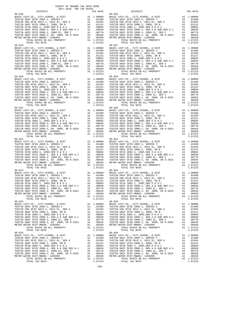| COUNTY OF ORANGE TAX RATE BOOK<br>2017-2018 TRA TAX RATES |          |                                                                                                                                                                                                                                                    |          |
|-----------------------------------------------------------|----------|----------------------------------------------------------------------------------------------------------------------------------------------------------------------------------------------------------------------------------------------------|----------|
| DISTRICT                                                  | TAX RATE | DISTRICT<br>$89 - 026$                                                                                                                                                                                                                             | TAX RATE |
| $89 - 018$                                                |          |                                                                                                                                                                                                                                                    |          |
|                                                           |          |                                                                                                                                                                                                                                                    |          |
|                                                           |          |                                                                                                                                                                                                                                                    |          |
|                                                           |          |                                                                                                                                                                                                                                                    |          |
| $89 - 023$                                                |          | $89 - 032$                                                                                                                                                                                                                                         |          |
|                                                           |          | FUSTIN WHE SPID 2008-1, 2008 EL, SER C<br>TUSTIN WHE SPID 2008-1, 2008 EL, SER C<br>TUSTIN WHE SPID 2008-1, 2008 EL, SER C<br>TUSTIN WHE SPID 2008-1, 2008 EL, SER C<br>METRO WATER DIST <sup>TIN</sup> WHE SPID 2008-1, 2008 EL, SER C<br>METRO W |          |
| $89 - 024$                                                |          | $89 - 034$                                                                                                                                                                                                                                         |          |
| $89 - 025$                                                |          | $89 - 035$                                                                                                                                                                                                                                         |          |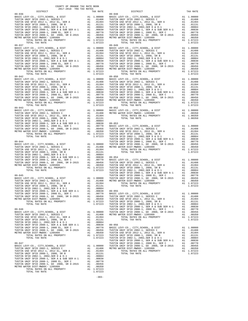TOTAL RATES ON ALL PROPERTY<br>TOTAL TAX RATE 1.0723 TOTAL RATES ON ALL PROPERTY<br>TOTAL RATES ON ALL PROPERTY<br>89-042 89-043<br>BASIC LEVY-CO., CITY, SCHOOL, & DIST A 89-047 TUSTIN UNIF SFID 2008-1, 2008 EL, SER C A1 .00770 BASIC LEVY-CO., CITY,SCHOOL, & DIST A1 1.00000 TUSTIN UNIF SFID 2008-1, GO 2008, SR D-2015 A1 .00456 TUSTIN UNIF SFID 2002-1, SERIES C A1 .01408 METRO WATER DIST-MWDOC- 1205999 A1 .00350 TUSTIN USD SFID 2012-1, 2012 EL, SER A A1 .01394 TOTAL RATES ON ALL PROPERTY A1 1.07223 TUSTIN UNIF SFID 2008-1, 2008, SR B A1 .01131 TOTAL TAX RATE 1.07223 TUSTIN SFID 2002-1, 2002,SER D & D-1 A1 .00884 TUSTIN UNIF SFID 2008-1, SER A & SUB SER A-1 A1 .00830 TUSTIN UNIF SFID 2008-1, 2008 EL, SER C A1 .00770 TUSTIN UNIF SFID 2008-1, GO 2008, SR D-2015 A1 .00456 METRO WATER DIST-MWDOC- 1205999 A1 .00350 TOTAL RATES ON ALL PROPERTY A1 1.07223 TOTAL TAX RATE 1.07223

COUNTY OF ORANGE TAX RATE BOOK 2017-2018 TRA TAX RATES

| TAX RATE<br>DISTRICT                                                                                                                                                                                                             |  | DISTRICT | TAX RATE |
|----------------------------------------------------------------------------------------------------------------------------------------------------------------------------------------------------------------------------------|--|----------|----------|
|                                                                                                                                                                                                                                  |  |          |          |
|                                                                                                                                                                                                                                  |  |          |          |
|                                                                                                                                                                                                                                  |  |          |          |
|                                                                                                                                                                                                                                  |  |          |          |
|                                                                                                                                                                                                                                  |  |          |          |
|                                                                                                                                                                                                                                  |  |          |          |
|                                                                                                                                                                                                                                  |  |          |          |
|                                                                                                                                                                                                                                  |  |          |          |
|                                                                                                                                                                                                                                  |  |          |          |
|                                                                                                                                                                                                                                  |  |          |          |
| TUSTIN SFID 2003-1, SER D $k$ D-1, 2003 SR B - 21 0.00884<br>TUSTIN URIF SFID 2008-1, SER A 6.913 SR B - 2015 AL -00270 2014 D-1, SER A 0.00770 2014. SER A 2019 SR B - 2016 EL, SER A 2019 SP - 2016 EL, SER A 2019 SP - 2016 E |  |          |          |
|                                                                                                                                                                                                                                  |  |          |          |

 $-303-$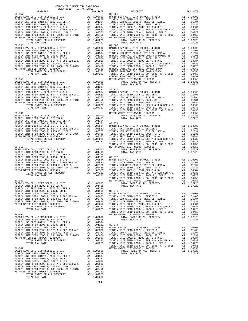| $1011$ $1010$ $1011$ $1011$<br>DISTRICT | TAX RATE | <b>DISTRICT</b> | TAX RATE |
|-----------------------------------------|----------|-----------------|----------|
|                                         |          |                 |          |
| $89 - 058$                              |          | $89 - 069$      |          |
|                                         |          |                 |          |
|                                         |          |                 |          |
|                                         |          |                 |          |
|                                         |          |                 |          |
|                                         |          |                 |          |
|                                         |          |                 |          |
|                                         |          |                 |          |
|                                         |          |                 |          |
|                                         |          |                 |          |
|                                         |          |                 |          |
|                                         |          |                 |          |
|                                         |          |                 |          |
|                                         |          |                 |          |
|                                         |          |                 |          |
|                                         |          |                 |          |
|                                         |          |                 |          |
|                                         |          |                 |          |
|                                         |          |                 |          |
|                                         |          |                 |          |
|                                         |          |                 |          |
|                                         |          |                 |          |
|                                         |          |                 |          |
|                                         |          |                 |          |
|                                         |          |                 |          |
|                                         |          |                 |          |
|                                         |          |                 |          |
|                                         |          |                 |          |
|                                         |          |                 |          |
|                                         |          |                 |          |
|                                         |          |                 |          |
|                                         |          |                 |          |
|                                         |          |                 |          |
|                                         |          |                 |          |
|                                         |          |                 |          |
|                                         |          |                 |          |
|                                         |          |                 |          |
|                                         |          |                 |          |
|                                         |          |                 |          |
|                                         |          |                 |          |
|                                         |          |                 |          |
|                                         |          |                 |          |
|                                         |          |                 |          |

-304-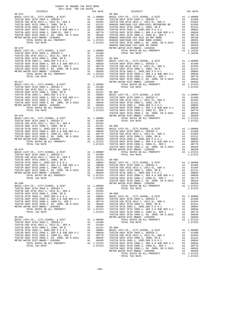| COUNTY OF ORANGE TAX RATE BOOK<br>2017-2018 TRA TAX RATES |          |          |          |
|-----------------------------------------------------------|----------|----------|----------|
| DISTRICT                                                  | TAX RATE | DISTRICT | TAX RATE |
|                                                           |          |          |          |
|                                                           |          |          |          |
|                                                           |          |          |          |
|                                                           |          |          |          |
|                                                           |          |          |          |
|                                                           |          |          |          |
|                                                           |          |          |          |
|                                                           |          |          |          |
|                                                           |          |          |          |
|                                                           |          |          |          |
|                                                           |          |          |          |
|                                                           |          |          |          |
|                                                           |          |          |          |
|                                                           |          |          |          |
|                                                           |          |          |          |
|                                                           |          |          |          |
|                                                           |          |          |          |
|                                                           |          |          |          |
|                                                           |          |          |          |
|                                                           |          |          |          |
|                                                           |          |          |          |
|                                                           |          |          |          |
|                                                           |          |          |          |
|                                                           |          |          |          |
|                                                           |          |          |          |
|                                                           |          |          |          |
|                                                           |          |          |          |
|                                                           |          |          |          |
|                                                           |          |          |          |
|                                                           |          |          |          |
|                                                           |          |          |          |
|                                                           |          |          |          |
|                                                           |          |          |          |
|                                                           |          |          |          |
|                                                           |          |          |          |
|                                                           |          |          |          |
|                                                           |          |          |          |
|                                                           |          |          |          |
|                                                           |          |          |          |
|                                                           |          |          |          |
|                                                           |          |          |          |
|                                                           |          |          |          |
|                                                           |          |          |          |
|                                                           |          |          |          |
|                                                           |          |          |          |
|                                                           |          |          |          |
|                                                           |          |          |          |
|                                                           |          |          |          |
|                                                           |          |          |          |
|                                                           |          |          |          |
|                                                           |          |          |          |
|                                                           |          |          |          |
|                                                           |          |          |          |
|                                                           |          |          |          |
|                                                           |          |          |          |
|                                                           |          |          |          |
|                                                           |          |          |          |
|                                                           |          |          |          |
|                                                           |          |          |          |
|                                                           |          |          |          |
|                                                           |          |          |          |
|                                                           |          |          |          |
|                                                           |          |          |          |
|                                                           |          |          |          |
|                                                           |          |          |          |
|                                                           |          |          |          |
|                                                           |          |          |          |
|                                                           |          |          |          |
|                                                           |          |          |          |
|                                                           |          |          |          |
|                                                           |          |          |          |
|                                                           |          |          |          |
|                                                           |          |          |          |
|                                                           |          |          |          |
|                                                           |          |          |          |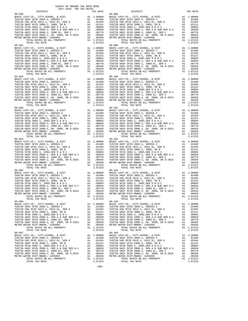| COUNTY OF ORANGE TAX RATE BOOK<br>2017-2018 TRA TAX RATES |          |                                                                                                                                                                                                                                                    |          |
|-----------------------------------------------------------|----------|----------------------------------------------------------------------------------------------------------------------------------------------------------------------------------------------------------------------------------------------------|----------|
| DISTRICT                                                  | TAX RATE | DISTRICT                                                                                                                                                                                                                                           | TAX RATE |
| $89 - 090$                                                |          | $89 - 098$                                                                                                                                                                                                                                         |          |
|                                                           |          |                                                                                                                                                                                                                                                    |          |
|                                                           |          |                                                                                                                                                                                                                                                    |          |
|                                                           |          |                                                                                                                                                                                                                                                    |          |
|                                                           |          |                                                                                                                                                                                                                                                    |          |
|                                                           |          |                                                                                                                                                                                                                                                    |          |
|                                                           |          |                                                                                                                                                                                                                                                    |          |
|                                                           |          |                                                                                                                                                                                                                                                    |          |
|                                                           |          |                                                                                                                                                                                                                                                    |          |
|                                                           |          |                                                                                                                                                                                                                                                    |          |
|                                                           |          |                                                                                                                                                                                                                                                    |          |
|                                                           |          |                                                                                                                                                                                                                                                    |          |
|                                                           |          |                                                                                                                                                                                                                                                    |          |
|                                                           |          |                                                                                                                                                                                                                                                    |          |
|                                                           |          |                                                                                                                                                                                                                                                    |          |
|                                                           |          |                                                                                                                                                                                                                                                    |          |
|                                                           |          |                                                                                                                                                                                                                                                    |          |
|                                                           |          |                                                                                                                                                                                                                                                    |          |
|                                                           |          |                                                                                                                                                                                                                                                    |          |
|                                                           |          |                                                                                                                                                                                                                                                    |          |
|                                                           |          |                                                                                                                                                                                                                                                    |          |
|                                                           |          |                                                                                                                                                                                                                                                    |          |
|                                                           |          |                                                                                                                                                                                                                                                    |          |
|                                                           |          |                                                                                                                                                                                                                                                    |          |
|                                                           |          |                                                                                                                                                                                                                                                    |          |
|                                                           |          |                                                                                                                                                                                                                                                    |          |
|                                                           |          |                                                                                                                                                                                                                                                    |          |
|                                                           |          |                                                                                                                                                                                                                                                    |          |
|                                                           |          |                                                                                                                                                                                                                                                    |          |
|                                                           |          |                                                                                                                                                                                                                                                    |          |
|                                                           |          |                                                                                                                                                                                                                                                    |          |
|                                                           |          |                                                                                                                                                                                                                                                    |          |
|                                                           |          |                                                                                                                                                                                                                                                    |          |
|                                                           |          |                                                                                                                                                                                                                                                    |          |
|                                                           |          |                                                                                                                                                                                                                                                    |          |
|                                                           |          |                                                                                                                                                                                                                                                    |          |
|                                                           |          |                                                                                                                                                                                                                                                    |          |
|                                                           |          |                                                                                                                                                                                                                                                    |          |
|                                                           |          |                                                                                                                                                                                                                                                    |          |
|                                                           |          |                                                                                                                                                                                                                                                    |          |
|                                                           |          |                                                                                                                                                                                                                                                    |          |
|                                                           |          |                                                                                                                                                                                                                                                    |          |
|                                                           |          |                                                                                                                                                                                                                                                    |          |
|                                                           |          |                                                                                                                                                                                                                                                    |          |
|                                                           |          |                                                                                                                                                                                                                                                    |          |
|                                                           |          |                                                                                                                                                                                                                                                    |          |
|                                                           |          |                                                                                                                                                                                                                                                    |          |
|                                                           |          |                                                                                                                                                                                                                                                    |          |
|                                                           |          |                                                                                                                                                                                                                                                    |          |
|                                                           |          |                                                                                                                                                                                                                                                    |          |
| $89 - 095$                                                |          | $89 - 103$                                                                                                                                                                                                                                         |          |
|                                                           |          |                                                                                                                                                                                                                                                    |          |
|                                                           |          |                                                                                                                                                                                                                                                    |          |
|                                                           |          |                                                                                                                                                                                                                                                    |          |
|                                                           |          |                                                                                                                                                                                                                                                    |          |
|                                                           |          |                                                                                                                                                                                                                                                    |          |
|                                                           |          |                                                                                                                                                                                                                                                    |          |
|                                                           |          | FUSTIN WHE SPID 2008-1, 2008 EL, SER C<br>TUSTIN WHE SPID 2008-1, 2008 EL, SER C<br>TUSTIN WHE SPID 2008-1, 2008 EL, SER C<br>TUSTIN WHE SPID 2008-1, 2008 EL, SER C<br>METRO WATER DIST <sup>TIN</sup> WHE SPID 2008-1, 2008 EL, SER C<br>METRO W |          |
|                                                           |          |                                                                                                                                                                                                                                                    |          |
|                                                           |          |                                                                                                                                                                                                                                                    |          |
| $89 - 096$                                                |          | $89 - 104$                                                                                                                                                                                                                                         |          |
|                                                           |          |                                                                                                                                                                                                                                                    |          |
|                                                           |          |                                                                                                                                                                                                                                                    |          |
|                                                           |          |                                                                                                                                                                                                                                                    |          |
|                                                           |          |                                                                                                                                                                                                                                                    |          |
|                                                           |          |                                                                                                                                                                                                                                                    |          |
|                                                           |          |                                                                                                                                                                                                                                                    |          |
|                                                           |          |                                                                                                                                                                                                                                                    |          |
|                                                           |          |                                                                                                                                                                                                                                                    |          |
|                                                           |          |                                                                                                                                                                                                                                                    |          |
| 89-097                                                    |          | $89 - 105$                                                                                                                                                                                                                                         |          |
|                                                           |          |                                                                                                                                                                                                                                                    |          |
|                                                           |          |                                                                                                                                                                                                                                                    |          |
|                                                           |          |                                                                                                                                                                                                                                                    |          |
|                                                           |          |                                                                                                                                                                                                                                                    |          |
|                                                           |          |                                                                                                                                                                                                                                                    |          |
|                                                           |          |                                                                                                                                                                                                                                                    |          |
|                                                           |          |                                                                                                                                                                                                                                                    |          |
|                                                           |          |                                                                                                                                                                                                                                                    |          |
|                                                           |          |                                                                                                                                                                                                                                                    |          |
|                                                           |          |                                                                                                                                                                                                                                                    |          |

-306-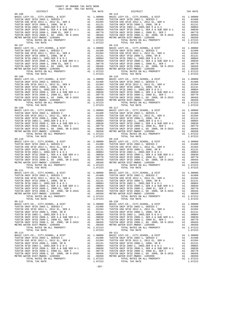| COUNTY OF ORANGE TAX RATE BOOK<br>2017-2018 TRA TAX RATES |          |                                                                                                                                                                                                                                      |          |
|-----------------------------------------------------------|----------|--------------------------------------------------------------------------------------------------------------------------------------------------------------------------------------------------------------------------------------|----------|
| DISTRICT                                                  | TAX RATE | DISTRICT                                                                                                                                                                                                                             | TAX RATE |
| $89 - 106$                                                |          | $89 - 114$                                                                                                                                                                                                                           |          |
|                                                           |          |                                                                                                                                                                                                                                      |          |
|                                                           |          |                                                                                                                                                                                                                                      |          |
|                                                           |          |                                                                                                                                                                                                                                      |          |
|                                                           |          |                                                                                                                                                                                                                                      |          |
|                                                           |          |                                                                                                                                                                                                                                      |          |
|                                                           |          |                                                                                                                                                                                                                                      |          |
|                                                           |          |                                                                                                                                                                                                                                      |          |
|                                                           |          |                                                                                                                                                                                                                                      |          |
|                                                           |          |                                                                                                                                                                                                                                      |          |
|                                                           |          |                                                                                                                                                                                                                                      |          |
|                                                           |          |                                                                                                                                                                                                                                      |          |
|                                                           |          |                                                                                                                                                                                                                                      |          |
|                                                           |          |                                                                                                                                                                                                                                      |          |
|                                                           |          |                                                                                                                                                                                                                                      |          |
|                                                           |          |                                                                                                                                                                                                                                      |          |
|                                                           |          |                                                                                                                                                                                                                                      |          |
|                                                           |          |                                                                                                                                                                                                                                      |          |
|                                                           |          |                                                                                                                                                                                                                                      |          |
|                                                           |          |                                                                                                                                                                                                                                      |          |
|                                                           |          |                                                                                                                                                                                                                                      |          |
|                                                           |          |                                                                                                                                                                                                                                      |          |
|                                                           |          |                                                                                                                                                                                                                                      |          |
|                                                           |          |                                                                                                                                                                                                                                      |          |
|                                                           |          |                                                                                                                                                                                                                                      |          |
|                                                           |          |                                                                                                                                                                                                                                      |          |
|                                                           |          |                                                                                                                                                                                                                                      |          |
|                                                           |          |                                                                                                                                                                                                                                      |          |
|                                                           |          |                                                                                                                                                                                                                                      |          |
|                                                           |          |                                                                                                                                                                                                                                      |          |
|                                                           |          |                                                                                                                                                                                                                                      |          |
|                                                           |          |                                                                                                                                                                                                                                      |          |
| 89-111                                                    |          | $89 - 119$                                                                                                                                                                                                                           |          |
|                                                           |          |                                                                                                                                                                                                                                      |          |
|                                                           |          |                                                                                                                                                                                                                                      |          |
|                                                           |          |                                                                                                                                                                                                                                      |          |
|                                                           |          |                                                                                                                                                                                                                                      |          |
|                                                           |          |                                                                                                                                                                                                                                      |          |
|                                                           |          | FUSTIN WHE SPID 2008-1, 2008 BL, SER A-1<br>TUSTIN WHE SPID 2008-1, 2008 EL, SER ARE ALL PROPERTY AND TUSTIN WHE SPID 2008-1, 2008 EL, SER C<br>TUSTIN WHE SPID 2008-1, CO 2008, SR D-2015<br>METRO WATER DISTIN WIRE SPID 2008-1, C |          |
| $89 - 112$                                                |          | $89 - 120$                                                                                                                                                                                                                           |          |
|                                                           |          |                                                                                                                                                                                                                                      |          |
|                                                           |          |                                                                                                                                                                                                                                      |          |
|                                                           |          |                                                                                                                                                                                                                                      |          |
|                                                           |          |                                                                                                                                                                                                                                      |          |
|                                                           |          |                                                                                                                                                                                                                                      |          |
|                                                           |          |                                                                                                                                                                                                                                      |          |
| $89 - 113$                                                |          | $89 - 121$                                                                                                                                                                                                                           |          |
|                                                           |          |                                                                                                                                                                                                                                      |          |
|                                                           |          |                                                                                                                                                                                                                                      |          |
|                                                           |          |                                                                                                                                                                                                                                      |          |
|                                                           |          |                                                                                                                                                                                                                                      |          |
|                                                           |          |                                                                                                                                                                                                                                      |          |
|                                                           |          |                                                                                                                                                                                                                                      |          |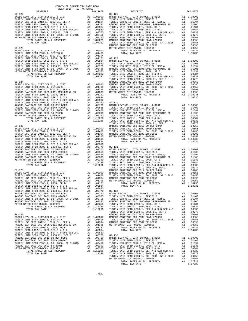| <b>TAX RATE</b><br>DISTRICT |  | DISTRICT   | TAX RATE |
|-----------------------------|--|------------|----------|
|                             |  | $89 - 128$ |          |
|                             |  |            |          |
|                             |  |            |          |
|                             |  |            |          |
|                             |  |            |          |
|                             |  |            |          |
|                             |  |            |          |
|                             |  |            |          |
|                             |  |            |          |
|                             |  |            |          |
|                             |  |            |          |
|                             |  |            |          |
|                             |  |            |          |
|                             |  |            |          |
|                             |  |            |          |
|                             |  |            |          |
|                             |  |            |          |
|                             |  |            |          |
|                             |  |            |          |
|                             |  |            |          |
|                             |  |            |          |
|                             |  |            |          |
|                             |  |            |          |
|                             |  |            |          |
|                             |  |            |          |
|                             |  |            |          |
|                             |  |            |          |
|                             |  |            |          |
|                             |  |            |          |
|                             |  |            |          |
|                             |  |            |          |
|                             |  |            |          |
|                             |  |            |          |
|                             |  |            |          |
|                             |  |            |          |
|                             |  |            |          |
|                             |  |            |          |
|                             |  |            |          |
|                             |  |            |          |
|                             |  |            |          |
|                             |  |            |          |
|                             |  |            |          |
|                             |  |            |          |
|                             |  |            |          |
|                             |  |            |          |
|                             |  |            |          |
|                             |  |            |          |
|                             |  |            |          |
|                             |  |            |          |
|                             |  |            |          |
|                             |  |            |          |
|                             |  |            |          |
|                             |  |            |          |
|                             |  |            |          |
|                             |  |            |          |
|                             |  |            |          |
|                             |  |            |          |
|                             |  |            |          |
|                             |  |            |          |
|                             |  |            |          |
|                             |  |            |          |
|                             |  |            |          |
|                             |  |            |          |
|                             |  |            |          |
|                             |  |            |          |
|                             |  |            |          |
|                             |  |            |          |
|                             |  |            |          |
|                             |  |            |          |
|                             |  |            |          |
|                             |  |            |          |
|                             |  |            |          |
|                             |  |            |          |
|                             |  |            |          |
|                             |  |            |          |
|                             |  |            |          |
|                             |  |            |          |
|                             |  |            |          |
|                             |  |            |          |
|                             |  |            |          |
|                             |  |            |          |
|                             |  |            |          |
|                             |  |            |          |
|                             |  |            |          |
|                             |  |            |          |
|                             |  |            |          |
|                             |  |            |          |
|                             |  |            |          |
|                             |  |            |          |
|                             |  |            |          |
|                             |  |            |          |
|                             |  |            |          |
|                             |  |            |          |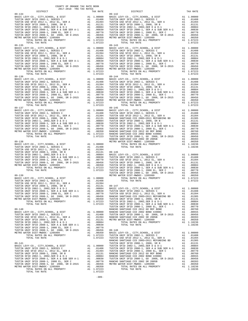| COUNTY OF ORANGE TAX RATE BOOK<br>2017-2018 TRA TAX RATES |          |                                                                                                                                                                                                                                       |          |
|-----------------------------------------------------------|----------|---------------------------------------------------------------------------------------------------------------------------------------------------------------------------------------------------------------------------------------|----------|
| <b>DISTRICT</b>                                           | TAX RATE | DISTRICT                                                                                                                                                                                                                              | TAX RATE |
| 89-134                                                    |          | $89 - 142$                                                                                                                                                                                                                            |          |
|                                                           |          |                                                                                                                                                                                                                                       |          |
|                                                           |          |                                                                                                                                                                                                                                       |          |
|                                                           |          |                                                                                                                                                                                                                                       |          |
|                                                           |          |                                                                                                                                                                                                                                       |          |
|                                                           |          |                                                                                                                                                                                                                                       |          |
|                                                           |          |                                                                                                                                                                                                                                       |          |
|                                                           |          |                                                                                                                                                                                                                                       |          |
|                                                           |          |                                                                                                                                                                                                                                       |          |
|                                                           |          |                                                                                                                                                                                                                                       |          |
|                                                           |          |                                                                                                                                                                                                                                       |          |
|                                                           |          |                                                                                                                                                                                                                                       |          |
|                                                           |          |                                                                                                                                                                                                                                       |          |
|                                                           |          |                                                                                                                                                                                                                                       |          |
|                                                           |          |                                                                                                                                                                                                                                       |          |
|                                                           |          |                                                                                                                                                                                                                                       |          |
|                                                           |          |                                                                                                                                                                                                                                       |          |
|                                                           |          |                                                                                                                                                                                                                                       |          |
|                                                           |          |                                                                                                                                                                                                                                       |          |
|                                                           |          |                                                                                                                                                                                                                                       |          |
|                                                           |          |                                                                                                                                                                                                                                       |          |
|                                                           |          |                                                                                                                                                                                                                                       |          |
|                                                           |          |                                                                                                                                                                                                                                       |          |
|                                                           |          |                                                                                                                                                                                                                                       |          |
|                                                           |          |                                                                                                                                                                                                                                       |          |
|                                                           |          |                                                                                                                                                                                                                                       |          |
|                                                           |          |                                                                                                                                                                                                                                       |          |
|                                                           |          |                                                                                                                                                                                                                                       |          |
|                                                           |          |                                                                                                                                                                                                                                       |          |
|                                                           |          |                                                                                                                                                                                                                                       |          |
|                                                           |          |                                                                                                                                                                                                                                       |          |
|                                                           |          |                                                                                                                                                                                                                                       |          |
|                                                           |          |                                                                                                                                                                                                                                       |          |
|                                                           |          |                                                                                                                                                                                                                                       |          |
|                                                           |          |                                                                                                                                                                                                                                       |          |
|                                                           |          |                                                                                                                                                                                                                                       |          |
|                                                           |          |                                                                                                                                                                                                                                       |          |
|                                                           |          |                                                                                                                                                                                                                                       |          |
|                                                           |          |                                                                                                                                                                                                                                       |          |
|                                                           |          |                                                                                                                                                                                                                                       |          |
|                                                           |          |                                                                                                                                                                                                                                       |          |
|                                                           |          |                                                                                                                                                                                                                                       |          |
|                                                           |          |                                                                                                                                                                                                                                       |          |
|                                                           |          |                                                                                                                                                                                                                                       |          |
|                                                           |          |                                                                                                                                                                                                                                       |          |
|                                                           |          |                                                                                                                                                                                                                                       |          |
|                                                           |          |                                                                                                                                                                                                                                       |          |
|                                                           |          |                                                                                                                                                                                                                                       |          |
|                                                           |          |                                                                                                                                                                                                                                       |          |
|                                                           |          |                                                                                                                                                                                                                                       |          |
|                                                           |          |                                                                                                                                                                                                                                       |          |
|                                                           |          |                                                                                                                                                                                                                                       |          |
|                                                           |          |                                                                                                                                                                                                                                       |          |
|                                                           |          |                                                                                                                                                                                                                                       |          |
|                                                           |          |                                                                                                                                                                                                                                       |          |
|                                                           |          |                                                                                                                                                                                                                                       |          |
|                                                           |          |                                                                                                                                                                                                                                       |          |
|                                                           |          |                                                                                                                                                                                                                                       |          |
|                                                           |          |                                                                                                                                                                                                                                       |          |
|                                                           |          |                                                                                                                                                                                                                                       |          |
|                                                           |          |                                                                                                                                                                                                                                       |          |
|                                                           |          |                                                                                                                                                                                                                                       |          |
|                                                           |          |                                                                                                                                                                                                                                       |          |
|                                                           |          |                                                                                                                                                                                                                                       |          |
|                                                           |          |                                                                                                                                                                                                                                       |          |
|                                                           |          |                                                                                                                                                                                                                                       |          |
|                                                           |          |                                                                                                                                                                                                                                       |          |
|                                                           |          |                                                                                                                                                                                                                                       |          |
|                                                           |          |                                                                                                                                                                                                                                       |          |
|                                                           |          |                                                                                                                                                                                                                                       |          |
|                                                           |          |                                                                                                                                                                                                                                       |          |
|                                                           |          |                                                                                                                                                                                                                                       |          |
|                                                           |          |                                                                                                                                                                                                                                       |          |
|                                                           |          |                                                                                                                                                                                                                                       |          |
|                                                           |          |                                                                                                                                                                                                                                       |          |
|                                                           |          |                                                                                                                                                                                                                                       |          |
|                                                           |          |                                                                                                                                                                                                                                       |          |
|                                                           |          | TOWER 1991 2003-1, 2012 12, 382, 382, 41 . 01339<br>TOWER UNE SPID 2003-1, 2012 2013 2014 1008 11 . 01311 20-147<br>TOWER SPID 2003-1, 2003 08. 8 . 41 . 01311 20-147<br>TOWER SPID 2003-1, 2003 08, 3R D--2015<br>TOWER SPID 2003-1, |          |
|                                                           |          |                                                                                                                                                                                                                                       |          |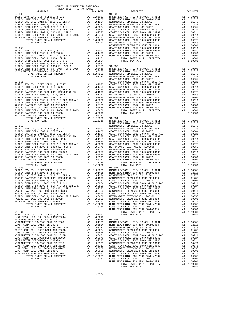| DISTRICT<br>19.149 PERIPHEND CORRESPOND 19. 19.161 19.162 10.000 102.000 102.000 102.000 102.000 102.000 102.000 102.000 102.000 102.000 102.000 102.000 102.000 102.000 102.000 102.000 102.000 102.000 102.000 102.000 102.000 102.000 | TAX RATE | DISTRICT   | TAX RATE |
|------------------------------------------------------------------------------------------------------------------------------------------------------------------------------------------------------------------------------------------|----------|------------|----------|
|                                                                                                                                                                                                                                          |          |            |          |
|                                                                                                                                                                                                                                          |          |            |          |
|                                                                                                                                                                                                                                          |          |            |          |
|                                                                                                                                                                                                                                          |          |            |          |
|                                                                                                                                                                                                                                          |          |            |          |
|                                                                                                                                                                                                                                          |          |            |          |
|                                                                                                                                                                                                                                          |          |            |          |
|                                                                                                                                                                                                                                          |          |            |          |
|                                                                                                                                                                                                                                          |          |            |          |
|                                                                                                                                                                                                                                          |          |            |          |
|                                                                                                                                                                                                                                          |          |            |          |
|                                                                                                                                                                                                                                          |          |            |          |
|                                                                                                                                                                                                                                          |          |            |          |
|                                                                                                                                                                                                                                          |          |            |          |
|                                                                                                                                                                                                                                          |          |            |          |
|                                                                                                                                                                                                                                          |          |            |          |
|                                                                                                                                                                                                                                          |          |            |          |
|                                                                                                                                                                                                                                          |          |            |          |
|                                                                                                                                                                                                                                          |          |            |          |
|                                                                                                                                                                                                                                          |          |            |          |
|                                                                                                                                                                                                                                          |          |            |          |
|                                                                                                                                                                                                                                          |          |            |          |
|                                                                                                                                                                                                                                          |          |            |          |
|                                                                                                                                                                                                                                          |          |            |          |
|                                                                                                                                                                                                                                          |          |            |          |
|                                                                                                                                                                                                                                          |          |            |          |
|                                                                                                                                                                                                                                          |          |            |          |
|                                                                                                                                                                                                                                          |          |            |          |
|                                                                                                                                                                                                                                          |          |            |          |
|                                                                                                                                                                                                                                          |          |            |          |
|                                                                                                                                                                                                                                          |          |            |          |
|                                                                                                                                                                                                                                          |          |            |          |
|                                                                                                                                                                                                                                          |          |            |          |
|                                                                                                                                                                                                                                          |          |            |          |
|                                                                                                                                                                                                                                          |          |            |          |
|                                                                                                                                                                                                                                          |          |            |          |
|                                                                                                                                                                                                                                          |          |            |          |
|                                                                                                                                                                                                                                          |          |            |          |
|                                                                                                                                                                                                                                          |          |            |          |
|                                                                                                                                                                                                                                          |          |            |          |
|                                                                                                                                                                                                                                          |          |            |          |
|                                                                                                                                                                                                                                          |          |            |          |
|                                                                                                                                                                                                                                          |          |            |          |
|                                                                                                                                                                                                                                          |          |            |          |
|                                                                                                                                                                                                                                          |          |            |          |
|                                                                                                                                                                                                                                          |          |            |          |
|                                                                                                                                                                                                                                          |          |            |          |
|                                                                                                                                                                                                                                          |          |            |          |
|                                                                                                                                                                                                                                          |          |            |          |
|                                                                                                                                                                                                                                          |          |            |          |
|                                                                                                                                                                                                                                          |          |            |          |
|                                                                                                                                                                                                                                          |          |            |          |
|                                                                                                                                                                                                                                          |          |            |          |
| $89 - 153$                                                                                                                                                                                                                               |          | $91 - 005$ |          |
|                                                                                                                                                                                                                                          |          |            |          |
|                                                                                                                                                                                                                                          |          |            |          |
|                                                                                                                                                                                                                                          |          |            |          |
|                                                                                                                                                                                                                                          |          |            |          |
|                                                                                                                                                                                                                                          |          |            |          |
|                                                                                                                                                                                                                                          |          |            |          |
|                                                                                                                                                                                                                                          |          |            |          |
|                                                                                                                                                                                                                                          |          |            |          |
|                                                                                                                                                                                                                                          |          |            |          |
|                                                                                                                                                                                                                                          |          |            |          |
|                                                                                                                                                                                                                                          |          |            |          |
|                                                                                                                                                                                                                                          |          |            |          |
|                                                                                                                                                                                                                                          |          |            |          |
|                                                                                                                                                                                                                                          |          |            |          |
|                                                                                                                                                                                                                                          |          |            |          |
|                                                                                                                                                                                                                                          |          |            |          |
|                                                                                                                                                                                                                                          |          |            |          |
|                                                                                                                                                                                                                                          |          |            |          |
|                                                                                                                                                                                                                                          |          |            |          |
|                                                                                                                                                                                                                                          |          |            |          |
|                                                                                                                                                                                                                                          |          |            |          |
|                                                                                                                                                                                                                                          |          |            |          |
|                                                                                                                                                                                                                                          |          |            |          |
|                                                                                                                                                                                                                                          |          |            |          |
|                                                                                                                                                                                                                                          |          |            |          |
|                                                                                                                                                                                                                                          |          |            |          |
|                                                                                                                                                                                                                                          |          |            |          |
|                                                                                                                                                                                                                                          |          |            |          |
|                                                                                                                                                                                                                                          |          |            |          |
|                                                                                                                                                                                                                                          |          |            |          |
|                                                                                                                                                                                                                                          |          |            |          |
|                                                                                                                                                                                                                                          |          |            |          |
|                                                                                                                                                                                                                                          |          |            |          |
|                                                                                                                                                                                                                                          |          |            |          |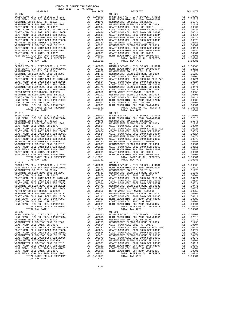| $91 - 007$                                                                                                                                                                                                                                                                                                                                                                                                                                |                                                                                                                                                                                                                                                        |                                                                                                                                                                                                                                                                   | $91 - 023$         |
|-------------------------------------------------------------------------------------------------------------------------------------------------------------------------------------------------------------------------------------------------------------------------------------------------------------------------------------------------------------------------------------------------------------------------------------------|--------------------------------------------------------------------------------------------------------------------------------------------------------------------------------------------------------------------------------------------------------|-------------------------------------------------------------------------------------------------------------------------------------------------------------------------------------------------------------------------------------------------------------------|--------------------|
|                                                                                                                                                                                                                                                                                                                                                                                                                                           |                                                                                                                                                                                                                                                        |                                                                                                                                                                                                                                                                   |                    |
|                                                                                                                                                                                                                                                                                                                                                                                                                                           |                                                                                                                                                                                                                                                        |                                                                                                                                                                                                                                                                   |                    |
|                                                                                                                                                                                                                                                                                                                                                                                                                                           |                                                                                                                                                                                                                                                        |                                                                                                                                                                                                                                                                   |                    |
|                                                                                                                                                                                                                                                                                                                                                                                                                                           |                                                                                                                                                                                                                                                        |                                                                                                                                                                                                                                                                   |                    |
|                                                                                                                                                                                                                                                                                                                                                                                                                                           |                                                                                                                                                                                                                                                        |                                                                                                                                                                                                                                                                   |                    |
|                                                                                                                                                                                                                                                                                                                                                                                                                                           |                                                                                                                                                                                                                                                        |                                                                                                                                                                                                                                                                   |                    |
|                                                                                                                                                                                                                                                                                                                                                                                                                                           |                                                                                                                                                                                                                                                        |                                                                                                                                                                                                                                                                   |                    |
|                                                                                                                                                                                                                                                                                                                                                                                                                                           |                                                                                                                                                                                                                                                        |                                                                                                                                                                                                                                                                   |                    |
|                                                                                                                                                                                                                                                                                                                                                                                                                                           |                                                                                                                                                                                                                                                        |                                                                                                                                                                                                                                                                   |                    |
|                                                                                                                                                                                                                                                                                                                                                                                                                                           |                                                                                                                                                                                                                                                        |                                                                                                                                                                                                                                                                   |                    |
|                                                                                                                                                                                                                                                                                                                                                                                                                                           |                                                                                                                                                                                                                                                        |                                                                                                                                                                                                                                                                   |                    |
|                                                                                                                                                                                                                                                                                                                                                                                                                                           |                                                                                                                                                                                                                                                        |                                                                                                                                                                                                                                                                   |                    |
|                                                                                                                                                                                                                                                                                                                                                                                                                                           |                                                                                                                                                                                                                                                        |                                                                                                                                                                                                                                                                   |                    |
| TOTAL RATES ON ALL PROPERTY                                                                                                                                                                                                                                                                                                                                                                                                               |                                                                                                                                                                                                                                                        | A1 1.10381                                                                                                                                                                                                                                                        |                    |
| TOTAL TAX RATE                                                                                                                                                                                                                                                                                                                                                                                                                            |                                                                                                                                                                                                                                                        | 1.10381                                                                                                                                                                                                                                                           |                    |
| $91 - 012$<br>$\begin{tabular}{l c c c} \multicolumn{4}{c}{\textbf{51-012}} & \multicolumn{4}{c}{\textbf{52-012}} & \multicolumn{4}{c}{\textbf{53-012}} & \multicolumn{4}{c}{\textbf{54-012}} & \multicolumn{4}{c}{\textbf{55-012}} & \multicolumn{4}{c}{\textbf{51-024}} \\ \multicolumn{4}{c}{\textbf{HINT BEACH HIGH SCH} & \multicolumn{4}{c}{\textbf{51-012}} & \multicolumn{4}{c}{\textbf{51-012}} & \multicolumn{4}{c}{\textbf{51$ |                                                                                                                                                                                                                                                        |                                                                                                                                                                                                                                                                   | $91 - 024$         |
|                                                                                                                                                                                                                                                                                                                                                                                                                                           |                                                                                                                                                                                                                                                        |                                                                                                                                                                                                                                                                   |                    |
|                                                                                                                                                                                                                                                                                                                                                                                                                                           |                                                                                                                                                                                                                                                        |                                                                                                                                                                                                                                                                   |                    |
|                                                                                                                                                                                                                                                                                                                                                                                                                                           |                                                                                                                                                                                                                                                        |                                                                                                                                                                                                                                                                   |                    |
|                                                                                                                                                                                                                                                                                                                                                                                                                                           |                                                                                                                                                                                                                                                        |                                                                                                                                                                                                                                                                   |                    |
|                                                                                                                                                                                                                                                                                                                                                                                                                                           |                                                                                                                                                                                                                                                        |                                                                                                                                                                                                                                                                   |                    |
|                                                                                                                                                                                                                                                                                                                                                                                                                                           |                                                                                                                                                                                                                                                        |                                                                                                                                                                                                                                                                   |                    |
|                                                                                                                                                                                                                                                                                                                                                                                                                                           |                                                                                                                                                                                                                                                        |                                                                                                                                                                                                                                                                   |                    |
|                                                                                                                                                                                                                                                                                                                                                                                                                                           |                                                                                                                                                                                                                                                        |                                                                                                                                                                                                                                                                   |                    |
|                                                                                                                                                                                                                                                                                                                                                                                                                                           |                                                                                                                                                                                                                                                        |                                                                                                                                                                                                                                                                   |                    |
|                                                                                                                                                                                                                                                                                                                                                                                                                                           |                                                                                                                                                                                                                                                        |                                                                                                                                                                                                                                                                   |                    |
|                                                                                                                                                                                                                                                                                                                                                                                                                                           |                                                                                                                                                                                                                                                        |                                                                                                                                                                                                                                                                   |                    |
|                                                                                                                                                                                                                                                                                                                                                                                                                                           |                                                                                                                                                                                                                                                        |                                                                                                                                                                                                                                                                   |                    |
|                                                                                                                                                                                                                                                                                                                                                                                                                                           |                                                                                                                                                                                                                                                        |                                                                                                                                                                                                                                                                   |                    |
|                                                                                                                                                                                                                                                                                                                                                                                                                                           |                                                                                                                                                                                                                                                        |                                                                                                                                                                                                                                                                   |                    |
|                                                                                                                                                                                                                                                                                                                                                                                                                                           |                                                                                                                                                                                                                                                        |                                                                                                                                                                                                                                                                   |                    |
| TOTAL TAX RATE                                                                                                                                                                                                                                                                                                                                                                                                                            |                                                                                                                                                                                                                                                        | 1.10381                                                                                                                                                                                                                                                           |                    |
| $91 - 013$                                                                                                                                                                                                                                                                                                                                                                                                                                | 91-025<br>A1 1.0000 BASIC L<br>A1 0000 BASIC L<br>A1 0.0173 WESTMIN<br>A1 0.1733 WESTMIN<br>A1 0.1733 WESTMIN<br>A1 0.0604 COAST C<br>A1 0.0624 COAST C<br>A1 0.0614 COAST C<br>A1 0.0311 WESTMIN<br>A1 0.0370 COAST C<br>A1 0.0300 METRO W<br>A1 0.03 |                                                                                                                                                                                                                                                                   | $91 - 025$         |
| BASIC LEVY-CO., CITY, SCHOOL, & DIST                                                                                                                                                                                                                                                                                                                                                                                                      |                                                                                                                                                                                                                                                        |                                                                                                                                                                                                                                                                   |                    |
| HUNT BEACH HIGH SCH 2004 BOND#2004A                                                                                                                                                                                                                                                                                                                                                                                                       |                                                                                                                                                                                                                                                        |                                                                                                                                                                                                                                                                   |                    |
| WESTMINSTER SD 2016, SR 2017A                                                                                                                                                                                                                                                                                                                                                                                                             |                                                                                                                                                                                                                                                        |                                                                                                                                                                                                                                                                   |                    |
| WESTMINSTER ELEM-2008 BOND SR 2009<br>COAST COMM COLL 2012, SR 2017E                                                                                                                                                                                                                                                                                                                                                                      |                                                                                                                                                                                                                                                        |                                                                                                                                                                                                                                                                   |                    |
| COAST COMM COLL 2012 BOND SR 2013 A&B                                                                                                                                                                                                                                                                                                                                                                                                     |                                                                                                                                                                                                                                                        |                                                                                                                                                                                                                                                                   |                    |
| COAST COMM COLL 2002 BOND SER 2006B                                                                                                                                                                                                                                                                                                                                                                                                       |                                                                                                                                                                                                                                                        |                                                                                                                                                                                                                                                                   |                    |
| COAST COMM COLL 2002 BOND SER 2003A                                                                                                                                                                                                                                                                                                                                                                                                       |                                                                                                                                                                                                                                                        |                                                                                                                                                                                                                                                                   |                    |
| WESTMINSTER ELEM-2008 BOND SR 2013B                                                                                                                                                                                                                                                                                                                                                                                                       |                                                                                                                                                                                                                                                        |                                                                                                                                                                                                                                                                   |                    |
| COAST COMM COLL 2002 BOND SER 2006C                                                                                                                                                                                                                                                                                                                                                                                                       |                                                                                                                                                                                                                                                        |                                                                                                                                                                                                                                                                   |                    |
| METRO WATER DIST-MWDOC- 1205999                                                                                                                                                                                                                                                                                                                                                                                                           |                                                                                                                                                                                                                                                        |                                                                                                                                                                                                                                                                   |                    |
| WESTMINSTER ELEM-2008 BOND SR 2013                                                                                                                                                                                                                                                                                                                                                                                                        |                                                                                                                                                                                                                                                        |                                                                                                                                                                                                                                                                   |                    |
| COAST COMM COLL 2012 BOND SER 2016C                                                                                                                                                                                                                                                                                                                                                                                                       |                                                                                                                                                                                                                                                        |                                                                                                                                                                                                                                                                   |                    |
| HUNT BEACH HIGH SCH 2004 BOND #2007<br>COAST COMM COLL 2012, SR 2017D                                                                                                                                                                                                                                                                                                                                                                     |                                                                                                                                                                                                                                                        |                                                                                                                                                                                                                                                                   |                    |
| HUNT BEACH HIGH SCH 2004 BOND#2005                                                                                                                                                                                                                                                                                                                                                                                                        |                                                                                                                                                                                                                                                        |                                                                                                                                                                                                                                                                   |                    |
| TOTAL RATES ON ALL PROPERTY                                                                                                                                                                                                                                                                                                                                                                                                               |                                                                                                                                                                                                                                                        | A1 1.10381                                                                                                                                                                                                                                                        |                    |
| TOTAL TAX RATE                                                                                                                                                                                                                                                                                                                                                                                                                            |                                                                                                                                                                                                                                                        | 1.10381                                                                                                                                                                                                                                                           |                    |
| $91 - 018$                                                                                                                                                                                                                                                                                                                                                                                                                                |                                                                                                                                                                                                                                                        |                                                                                                                                                                                                                                                                   | $91 - 034$         |
| BASIC LEVY-CO., CITY, SCHOOL, & DIST                                                                                                                                                                                                                                                                                                                                                                                                      | 91-034<br>A1 1.00000 BASIC L<br>A1 .02313 HUNT BE<br>A1 .01978 WESTMIN<br>A1 .01973 WESTMIN<br>A1 .00731 COAST C<br>A1 .00701 COAST C<br>A1 .00514 COAST C<br>A1 .00370 COAST C<br>A1 .00370 COAST C<br>A1 .00350 METRO W<br>A1 .00350 METRO W<br>A1 . |                                                                                                                                                                                                                                                                   |                    |
| HUNT BEACH HIGH SCH 2004 BOND#2004A                                                                                                                                                                                                                                                                                                                                                                                                       |                                                                                                                                                                                                                                                        |                                                                                                                                                                                                                                                                   |                    |
| WESTMINSTER SD 2016, SR 2017A                                                                                                                                                                                                                                                                                                                                                                                                             |                                                                                                                                                                                                                                                        |                                                                                                                                                                                                                                                                   |                    |
| WESTMINSTER ELEM-2008 BOND SR 2009                                                                                                                                                                                                                                                                                                                                                                                                        |                                                                                                                                                                                                                                                        |                                                                                                                                                                                                                                                                   |                    |
| COAST COMM COLL 2012, SR 2017E<br>COAST COMM COLL 2012 BOND SR 2013 A&B                                                                                                                                                                                                                                                                                                                                                                   |                                                                                                                                                                                                                                                        |                                                                                                                                                                                                                                                                   |                    |
| COAST COMM COLL 2002 BOND SER 2006B                                                                                                                                                                                                                                                                                                                                                                                                       |                                                                                                                                                                                                                                                        |                                                                                                                                                                                                                                                                   |                    |
| COAST COMM COLL 2002 BOND SER 2003A                                                                                                                                                                                                                                                                                                                                                                                                       |                                                                                                                                                                                                                                                        |                                                                                                                                                                                                                                                                   |                    |
|                                                                                                                                                                                                                                                                                                                                                                                                                                           |                                                                                                                                                                                                                                                        |                                                                                                                                                                                                                                                                   |                    |
|                                                                                                                                                                                                                                                                                                                                                                                                                                           |                                                                                                                                                                                                                                                        |                                                                                                                                                                                                                                                                   |                    |
| COAST COMM COLL 2008 BOND SR 2013B<br>COAST COMM COLL 2002 BOND SER 2006C<br>METRO WATER DIST-MWDOC- 1205999<br>WESTMINGTER DIST-MWDOC- 1205999                                                                                                                                                                                                                                                                                           |                                                                                                                                                                                                                                                        |                                                                                                                                                                                                                                                                   |                    |
| WESTMINSTER ELEM-2008 BOND SR 2013                                                                                                                                                                                                                                                                                                                                                                                                        |                                                                                                                                                                                                                                                        |                                                                                                                                                                                                                                                                   |                    |
| COAST COMM COLL 2012 BOND SER 2016C                                                                                                                                                                                                                                                                                                                                                                                                       | A1                                                                                                                                                                                                                                                     | .00111                                                                                                                                                                                                                                                            | COAST <sup>C</sup> |
| HUNT BEACH HIGH SCH 2004 BOND #2007<br>COAST COMM COLL 2012, SR 2017D                                                                                                                                                                                                                                                                                                                                                                     | A1<br>A1                                                                                                                                                                                                                                               | .00089<br>.00001                                                                                                                                                                                                                                                  | HUNT BE<br>COAST C |
| HUNT BEACH HIGH SCH 2004 BOND#2005                                                                                                                                                                                                                                                                                                                                                                                                        | A1                                                                                                                                                                                                                                                     | .00001                                                                                                                                                                                                                                                            | HUNT BE            |
| TOTAL RATES ON ALL PROPERTY                                                                                                                                                                                                                                                                                                                                                                                                               |                                                                                                                                                                                                                                                        | A1 1.10381                                                                                                                                                                                                                                                        |                    |
| TOTAL TAX RATE                                                                                                                                                                                                                                                                                                                                                                                                                            |                                                                                                                                                                                                                                                        | 1.10381                                                                                                                                                                                                                                                           |                    |
| $91 - 022$                                                                                                                                                                                                                                                                                                                                                                                                                                |                                                                                                                                                                                                                                                        |                                                                                                                                                                                                                                                                   | 91-901             |
| BASIC LEVY-CO., CITY, SCHOOL, & DIST                                                                                                                                                                                                                                                                                                                                                                                                      |                                                                                                                                                                                                                                                        | A1 1.00000                                                                                                                                                                                                                                                        | BASIC L            |
| HUNT BEACH HIGH SCH 2004 BOND#2004A                                                                                                                                                                                                                                                                                                                                                                                                       |                                                                                                                                                                                                                                                        | A1 .02313                                                                                                                                                                                                                                                         | HUNT BE            |
| WESTMINSTER SD 2016, SR 2017A                                                                                                                                                                                                                                                                                                                                                                                                             | A1                                                                                                                                                                                                                                                     | .01978                                                                                                                                                                                                                                                            | WESTMIN            |
| WESTMINSTER ELEM-2008 BOND SR 2009<br>COAST COMM COLL 2012, SR 2017E                                                                                                                                                                                                                                                                                                                                                                      |                                                                                                                                                                                                                                                        |                                                                                                                                                                                                                                                                   |                    |
| COAST COMM COLL 2012 BOND SR 2013 A&B                                                                                                                                                                                                                                                                                                                                                                                                     |                                                                                                                                                                                                                                                        |                                                                                                                                                                                                                                                                   |                    |
| COAST COMM COLL 2002 BOND SER 2006B                                                                                                                                                                                                                                                                                                                                                                                                       |                                                                                                                                                                                                                                                        |                                                                                                                                                                                                                                                                   |                    |
| COAST COMM COLL 2002 BOND SER 2003A                                                                                                                                                                                                                                                                                                                                                                                                       |                                                                                                                                                                                                                                                        |                                                                                                                                                                                                                                                                   |                    |
| WESTMINSTER ELEM-2008 BOND SR 2013B                                                                                                                                                                                                                                                                                                                                                                                                       |                                                                                                                                                                                                                                                        |                                                                                                                                                                                                                                                                   |                    |
| COAST COMM COLL 2002 BOND SER 2006C                                                                                                                                                                                                                                                                                                                                                                                                       |                                                                                                                                                                                                                                                        |                                                                                                                                                                                                                                                                   |                    |
| METRO WATER DIST-MWDOC- 1205999                                                                                                                                                                                                                                                                                                                                                                                                           |                                                                                                                                                                                                                                                        |                                                                                                                                                                                                                                                                   |                    |
| WESTMINSTER ELEM-2008 BOND SR 2013                                                                                                                                                                                                                                                                                                                                                                                                        |                                                                                                                                                                                                                                                        |                                                                                                                                                                                                                                                                   |                    |
| COAST COMM COLL 2012 BOND SER 2016C                                                                                                                                                                                                                                                                                                                                                                                                       |                                                                                                                                                                                                                                                        |                                                                                                                                                                                                                                                                   |                    |
| HUNT BEACH HIGH SCH 2004 BOND #2007<br>COAST COMM COLL 2012, SR 2017D                                                                                                                                                                                                                                                                                                                                                                     |                                                                                                                                                                                                                                                        |                                                                                                                                                                                                                                                                   |                    |
| HUNT BEACH HIGH SCH 2004 BOND#2005                                                                                                                                                                                                                                                                                                                                                                                                        |                                                                                                                                                                                                                                                        | A1 .01978 WESTMIN<br>A1 .01733 WESTMIN<br>A1 .00804 COAST C<br>A1 .00721 COAST C<br>A1 .00624 COAST C<br>A1 .00624 COAST C<br>A1 .00514 WESTMIN<br>A1 .00370 COAST C<br>A1 .00300 WESTMIN<br>A1 .00101 EUNT BE<br>A1 .00089 COAST C<br>A1 .00089 COA<br>A1 .00001 |                    |
|                                                                                                                                                                                                                                                                                                                                                                                                                                           |                                                                                                                                                                                                                                                        |                                                                                                                                                                                                                                                                   |                    |

| COUNTY OF ORANGE TAX RATE BOOK<br>2017-2018 TRA TAX RATES |          |            |          |
|-----------------------------------------------------------|----------|------------|----------|
| DISTRICT                                                  | TAX RATE | DISTRICT   | TAX RATE |
| $91 - 007$                                                |          | $91 - 023$ |          |
|                                                           |          |            |          |
|                                                           |          |            |          |
|                                                           |          |            |          |
|                                                           |          |            |          |
|                                                           |          |            |          |
|                                                           |          |            |          |
|                                                           |          |            |          |
|                                                           |          |            |          |
|                                                           |          |            |          |
|                                                           |          |            |          |
|                                                           |          |            |          |
|                                                           |          |            |          |
|                                                           |          |            |          |
|                                                           |          |            |          |
|                                                           |          |            |          |
|                                                           |          |            |          |
|                                                           |          |            |          |
|                                                           |          |            |          |
|                                                           |          |            |          |
|                                                           |          |            |          |
|                                                           |          |            |          |
|                                                           |          |            |          |
|                                                           |          |            |          |
|                                                           |          |            |          |
|                                                           |          |            |          |
|                                                           |          |            |          |
|                                                           |          |            |          |
|                                                           |          |            |          |
|                                                           |          |            |          |
|                                                           |          |            |          |
|                                                           |          |            |          |
|                                                           |          |            |          |
|                                                           |          |            |          |
|                                                           |          |            |          |
|                                                           |          |            |          |
|                                                           |          |            |          |
|                                                           |          |            |          |
|                                                           |          |            |          |
|                                                           |          |            |          |
|                                                           |          |            |          |
|                                                           |          |            |          |
|                                                           |          |            |          |
|                                                           |          |            |          |
|                                                           |          |            |          |
|                                                           |          |            |          |
|                                                           |          |            |          |
| $91 - 018$                                                |          | $91 - 034$ |          |
|                                                           |          |            |          |
|                                                           |          |            |          |
|                                                           |          |            |          |
|                                                           |          |            |          |
|                                                           |          |            |          |
|                                                           |          |            |          |
|                                                           |          |            |          |
|                                                           |          |            |          |
|                                                           |          |            |          |
|                                                           |          |            |          |
|                                                           |          |            |          |
|                                                           |          |            |          |
|                                                           |          |            |          |
|                                                           |          |            |          |
|                                                           |          |            |          |
|                                                           |          |            |          |
|                                                           |          |            |          |
|                                                           |          |            |          |
|                                                           |          |            |          |
|                                                           |          |            |          |
|                                                           |          |            |          |
|                                                           |          |            |          |
|                                                           |          |            |          |
|                                                           |          |            |          |
|                                                           |          |            |          |
|                                                           |          |            |          |
|                                                           |          |            |          |
|                                                           |          |            |          |
|                                                           |          |            |          |
|                                                           |          |            |          |
|                                                           |          |            |          |